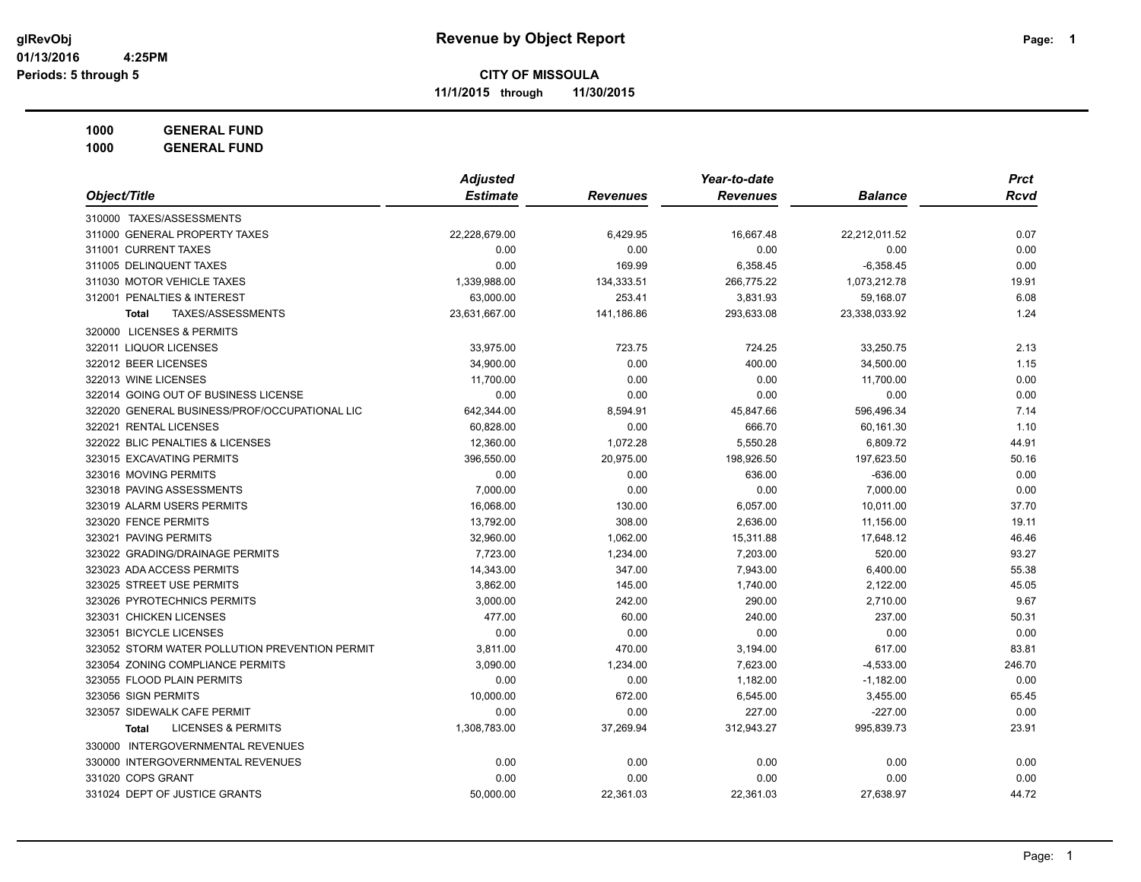**11/1/2015 through 11/30/2015**

**1000 GENERAL FUND**

| Object/Title                                   | <b>Adjusted</b> |                 | Year-to-date    |                | <b>Prct</b> |
|------------------------------------------------|-----------------|-----------------|-----------------|----------------|-------------|
|                                                | <b>Estimate</b> | <b>Revenues</b> | <b>Revenues</b> | <b>Balance</b> | Rcvd        |
| 310000 TAXES/ASSESSMENTS                       |                 |                 |                 |                |             |
| 311000 GENERAL PROPERTY TAXES                  | 22,228,679.00   | 6,429.95        | 16,667.48       | 22,212,011.52  | 0.07        |
| 311001 CURRENT TAXES                           | 0.00            | 0.00            | 0.00            | 0.00           | 0.00        |
| 311005 DELINQUENT TAXES                        | 0.00            | 169.99          | 6,358.45        | $-6,358.45$    | 0.00        |
| 311030 MOTOR VEHICLE TAXES                     | 1,339,988.00    | 134,333.51      | 266,775.22      | 1,073,212.78   | 19.91       |
| 312001 PENALTIES & INTEREST                    | 63,000.00       | 253.41          | 3,831.93        | 59,168.07      | 6.08        |
| TAXES/ASSESSMENTS<br><b>Total</b>              | 23,631,667.00   | 141,186.86      | 293,633.08      | 23,338,033.92  | 1.24        |
| 320000 LICENSES & PERMITS                      |                 |                 |                 |                |             |
| 322011 LIQUOR LICENSES                         | 33,975.00       | 723.75          | 724.25          | 33,250.75      | 2.13        |
| 322012 BEER LICENSES                           | 34,900.00       | 0.00            | 400.00          | 34,500.00      | 1.15        |
| 322013 WINE LICENSES                           | 11,700.00       | 0.00            | 0.00            | 11,700.00      | 0.00        |
| 322014 GOING OUT OF BUSINESS LICENSE           | 0.00            | 0.00            | 0.00            | 0.00           | 0.00        |
| 322020 GENERAL BUSINESS/PROF/OCCUPATIONAL LIC  | 642,344.00      | 8,594.91        | 45,847.66       | 596,496.34     | 7.14        |
| 322021 RENTAL LICENSES                         | 60,828.00       | 0.00            | 666.70          | 60,161.30      | 1.10        |
| 322022 BLIC PENALTIES & LICENSES               | 12,360.00       | 1,072.28        | 5,550.28        | 6,809.72       | 44.91       |
| 323015 EXCAVATING PERMITS                      | 396,550.00      | 20,975.00       | 198,926.50      | 197,623.50     | 50.16       |
| 323016 MOVING PERMITS                          | 0.00            | 0.00            | 636.00          | $-636.00$      | 0.00        |
| 323018 PAVING ASSESSMENTS                      | 7,000.00        | 0.00            | 0.00            | 7,000.00       | 0.00        |
| 323019 ALARM USERS PERMITS                     | 16,068.00       | 130.00          | 6,057.00        | 10,011.00      | 37.70       |
| 323020 FENCE PERMITS                           | 13,792.00       | 308.00          | 2,636.00        | 11,156.00      | 19.11       |
| 323021 PAVING PERMITS                          | 32,960.00       | 1,062.00        | 15,311.88       | 17,648.12      | 46.46       |
| 323022 GRADING/DRAINAGE PERMITS                | 7,723.00        | 1,234.00        | 7,203.00        | 520.00         | 93.27       |
| 323023 ADA ACCESS PERMITS                      | 14,343.00       | 347.00          | 7,943.00        | 6,400.00       | 55.38       |
| 323025 STREET USE PERMITS                      | 3,862.00        | 145.00          | 1,740.00        | 2,122.00       | 45.05       |
| 323026 PYROTECHNICS PERMITS                    | 3,000.00        | 242.00          | 290.00          | 2,710.00       | 9.67        |
| 323031 CHICKEN LICENSES                        | 477.00          | 60.00           | 240.00          | 237.00         | 50.31       |
| 323051 BICYCLE LICENSES                        | 0.00            | 0.00            | 0.00            | 0.00           | 0.00        |
| 323052 STORM WATER POLLUTION PREVENTION PERMIT | 3,811.00        | 470.00          | 3,194.00        | 617.00         | 83.81       |
| 323054 ZONING COMPLIANCE PERMITS               | 3,090.00        | 1,234.00        | 7,623.00        | $-4,533.00$    | 246.70      |
| 323055 FLOOD PLAIN PERMITS                     | 0.00            | 0.00            | 1,182.00        | $-1,182.00$    | 0.00        |
| 323056 SIGN PERMITS                            | 10,000.00       | 672.00          | 6,545.00        | 3,455.00       | 65.45       |
| 323057 SIDEWALK CAFE PERMIT                    | 0.00            | 0.00            | 227.00          | $-227.00$      | 0.00        |
| <b>LICENSES &amp; PERMITS</b><br><b>Total</b>  | 1,308,783.00    | 37,269.94       | 312,943.27      | 995,839.73     | 23.91       |
| 330000 INTERGOVERNMENTAL REVENUES              |                 |                 |                 |                |             |
| 330000 INTERGOVERNMENTAL REVENUES              | 0.00            | 0.00            | 0.00            | 0.00           | 0.00        |
| 331020 COPS GRANT                              | 0.00            | 0.00            | 0.00            | 0.00           | 0.00        |
| 331024 DEPT OF JUSTICE GRANTS                  | 50,000.00       | 22,361.03       | 22,361.03       | 27,638.97      | 44.72       |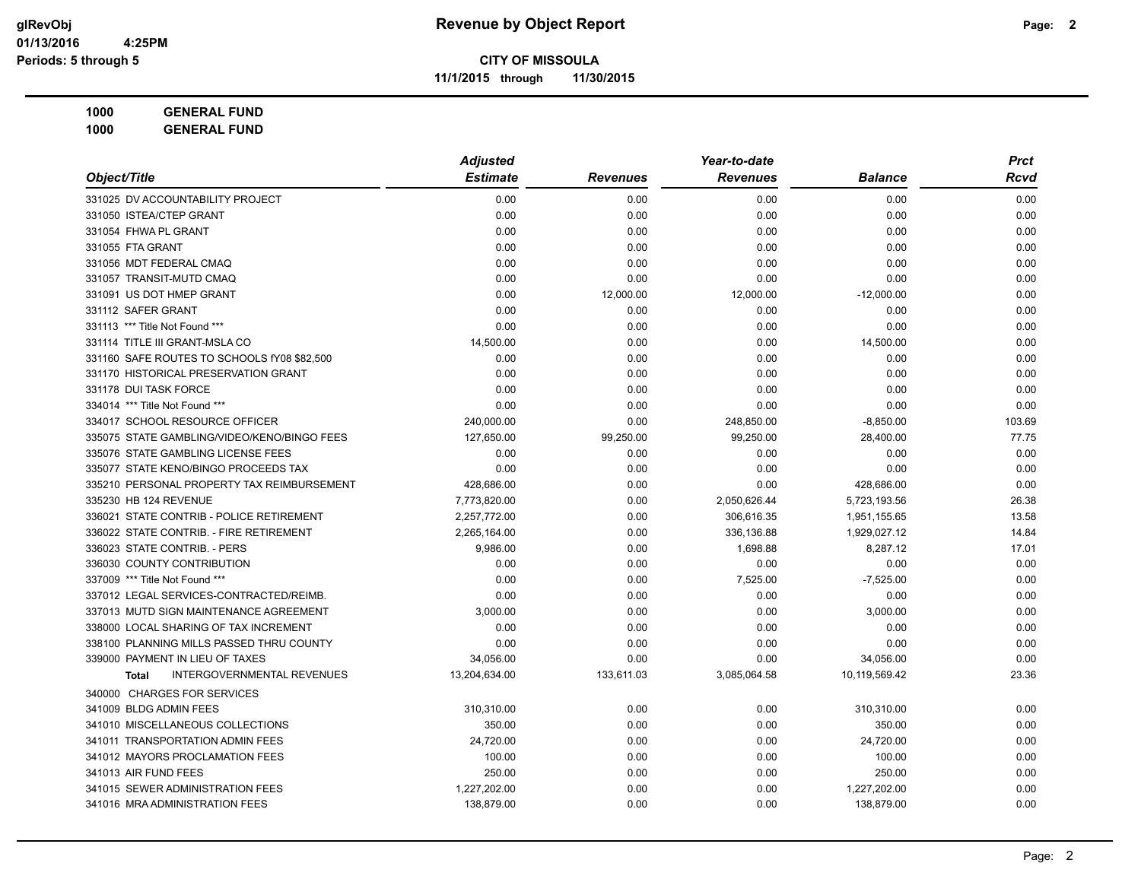**11/1/2015 through 11/30/2015**

| Object/Title                                      | <b>Adjusted</b> |                 | Year-to-date    |                | <b>Prct</b> |
|---------------------------------------------------|-----------------|-----------------|-----------------|----------------|-------------|
|                                                   | <b>Estimate</b> | <b>Revenues</b> | <b>Revenues</b> | <b>Balance</b> | Rcvd        |
| 331025 DV ACCOUNTABILITY PROJECT                  | 0.00            | 0.00            | 0.00            | 0.00           | 0.00        |
| 331050 ISTEA/CTEP GRANT                           | 0.00            | 0.00            | 0.00            | 0.00           | 0.00        |
| 331054 FHWA PL GRANT                              | 0.00            | 0.00            | 0.00            | 0.00           | 0.00        |
| 331055 FTA GRANT                                  | 0.00            | 0.00            | 0.00            | 0.00           | 0.00        |
| 331056 MDT FEDERAL CMAQ                           | 0.00            | 0.00            | 0.00            | 0.00           | 0.00        |
| 331057 TRANSIT-MUTD CMAQ                          | 0.00            | 0.00            | 0.00            | 0.00           | 0.00        |
| 331091 US DOT HMEP GRANT                          | 0.00            | 12,000.00       | 12,000.00       | $-12,000.00$   | 0.00        |
| 331112 SAFER GRANT                                | 0.00            | 0.00            | 0.00            | 0.00           | 0.00        |
| 331113 *** Title Not Found ***                    | 0.00            | 0.00            | 0.00            | 0.00           | 0.00        |
| 331114 TITLE III GRANT-MSLA CO                    | 14,500.00       | 0.00            | 0.00            | 14,500.00      | 0.00        |
| 331160 SAFE ROUTES TO SCHOOLS fY08 \$82,500       | 0.00            | 0.00            | 0.00            | 0.00           | 0.00        |
| 331170 HISTORICAL PRESERVATION GRANT              | 0.00            | 0.00            | 0.00            | 0.00           | 0.00        |
| 331178 DUI TASK FORCE                             | 0.00            | 0.00            | 0.00            | 0.00           | 0.00        |
| 334014 *** Title Not Found ***                    | 0.00            | 0.00            | 0.00            | 0.00           | 0.00        |
| 334017 SCHOOL RESOURCE OFFICER                    | 240,000.00      | 0.00            | 248,850.00      | $-8,850.00$    | 103.69      |
| 335075 STATE GAMBLING/VIDEO/KENO/BINGO FEES       | 127,650.00      | 99,250.00       | 99,250.00       | 28,400.00      | 77.75       |
| 335076 STATE GAMBLING LICENSE FEES                | 0.00            | 0.00            | 0.00            | 0.00           | 0.00        |
| 335077 STATE KENO/BINGO PROCEEDS TAX              | 0.00            | 0.00            | 0.00            | 0.00           | 0.00        |
| 335210 PERSONAL PROPERTY TAX REIMBURSEMENT        | 428,686.00      | 0.00            | 0.00            | 428,686.00     | 0.00        |
| 335230 HB 124 REVENUE                             | 7,773,820.00    | 0.00            | 2,050,626.44    | 5,723,193.56   | 26.38       |
| 336021 STATE CONTRIB - POLICE RETIREMENT          | 2,257,772.00    | 0.00            | 306,616.35      | 1,951,155.65   | 13.58       |
| 336022 STATE CONTRIB. - FIRE RETIREMENT           | 2,265,164.00    | 0.00            | 336,136.88      | 1,929,027.12   | 14.84       |
| 336023 STATE CONTRIB. - PERS                      | 9,986.00        | 0.00            | 1,698.88        | 8,287.12       | 17.01       |
| 336030 COUNTY CONTRIBUTION                        | 0.00            | 0.00            | 0.00            | 0.00           | 0.00        |
| 337009 *** Title Not Found ***                    | 0.00            | 0.00            | 7,525.00        | $-7,525.00$    | 0.00        |
| 337012 LEGAL SERVICES-CONTRACTED/REIMB.           | 0.00            | 0.00            | 0.00            | 0.00           | 0.00        |
| 337013 MUTD SIGN MAINTENANCE AGREEMENT            | 3,000.00        | 0.00            | 0.00            | 3,000.00       | 0.00        |
| 338000 LOCAL SHARING OF TAX INCREMENT             | 0.00            | 0.00            | 0.00            | 0.00           | 0.00        |
| 338100 PLANNING MILLS PASSED THRU COUNTY          | 0.00            | 0.00            | 0.00            | 0.00           | 0.00        |
| 339000 PAYMENT IN LIEU OF TAXES                   | 34,056.00       | 0.00            | 0.00            | 34,056.00      | 0.00        |
| <b>INTERGOVERNMENTAL REVENUES</b><br><b>Total</b> | 13,204,634.00   | 133,611.03      | 3,085,064.58    | 10,119,569.42  | 23.36       |
| 340000 CHARGES FOR SERVICES                       |                 |                 |                 |                |             |
| 341009 BLDG ADMIN FEES                            | 310,310.00      | 0.00            | 0.00            | 310,310.00     | 0.00        |
| 341010 MISCELLANEOUS COLLECTIONS                  | 350.00          | 0.00            | 0.00            | 350.00         | 0.00        |
| 341011 TRANSPORTATION ADMIN FEES                  | 24,720.00       | 0.00            | 0.00            | 24,720.00      | 0.00        |
| 341012 MAYORS PROCLAMATION FEES                   | 100.00          | 0.00            | 0.00            | 100.00         | 0.00        |
| 341013 AIR FUND FEES                              | 250.00          | 0.00            | 0.00            | 250.00         | 0.00        |
| 341015 SEWER ADMINISTRATION FEES                  | 1,227,202.00    | 0.00            | 0.00            | 1,227,202.00   | 0.00        |
| 341016 MRA ADMINISTRATION FEES                    | 138,879.00      | 0.00            | 0.00            | 138,879.00     | 0.00        |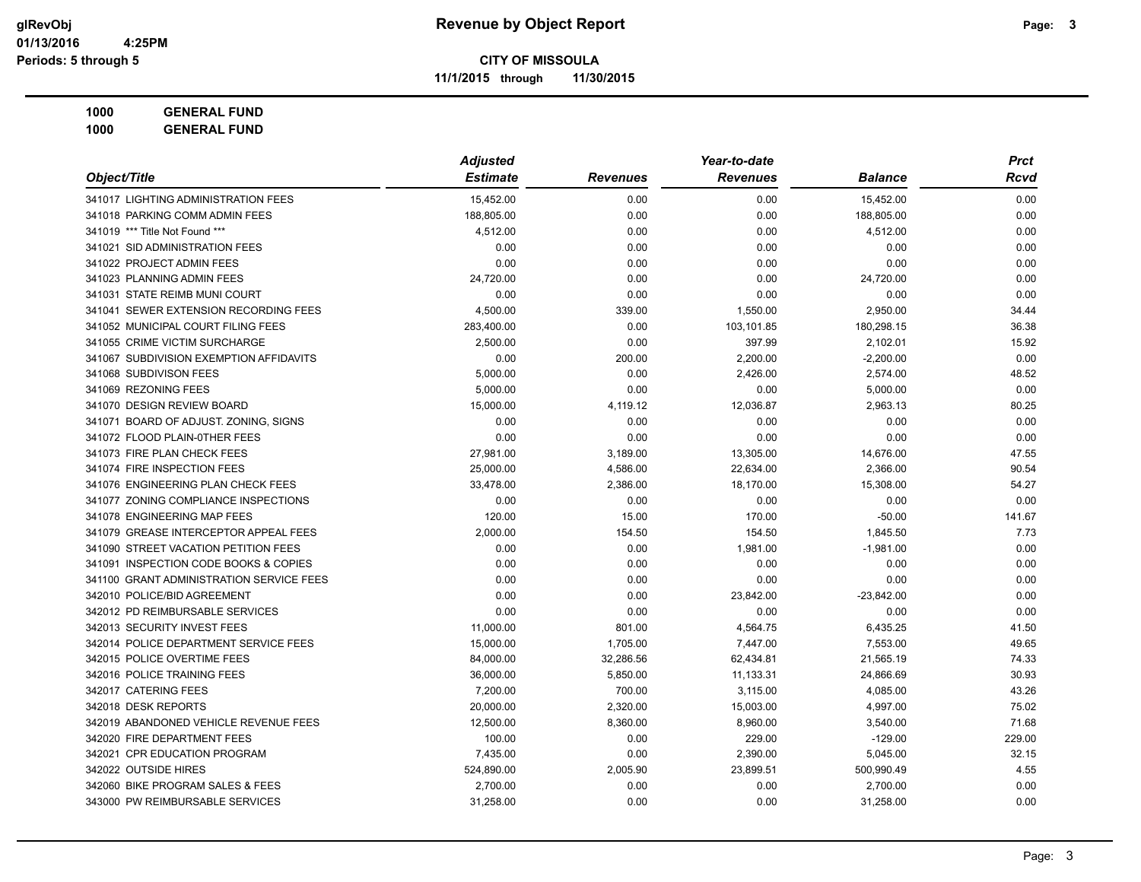**11/1/2015 through 11/30/2015**

| Object/Title                             | <b>Adjusted</b> |                 | Year-to-date    |                | <b>Prct</b> |
|------------------------------------------|-----------------|-----------------|-----------------|----------------|-------------|
|                                          | <b>Estimate</b> | <b>Revenues</b> | <b>Revenues</b> | <b>Balance</b> | Rcvd        |
| 341017 LIGHTING ADMINISTRATION FEES      | 15,452.00       | 0.00            | 0.00            | 15,452.00      | 0.00        |
| 341018 PARKING COMM ADMIN FEES           | 188,805.00      | 0.00            | 0.00            | 188,805.00     | 0.00        |
| 341019 *** Title Not Found ***           | 4,512.00        | 0.00            | 0.00            | 4,512.00       | 0.00        |
| 341021 SID ADMINISTRATION FEES           | 0.00            | 0.00            | 0.00            | 0.00           | 0.00        |
| 341022 PROJECT ADMIN FEES                | 0.00            | 0.00            | 0.00            | 0.00           | 0.00        |
| 341023 PLANNING ADMIN FEES               | 24,720.00       | 0.00            | 0.00            | 24,720.00      | 0.00        |
| 341031 STATE REIMB MUNI COURT            | 0.00            | 0.00            | 0.00            | 0.00           | 0.00        |
| 341041 SEWER EXTENSION RECORDING FEES    | 4,500.00        | 339.00          | 1,550.00        | 2,950.00       | 34.44       |
| 341052 MUNICIPAL COURT FILING FEES       | 283,400.00      | 0.00            | 103,101.85      | 180,298.15     | 36.38       |
| 341055 CRIME VICTIM SURCHARGE            | 2,500.00        | 0.00            | 397.99          | 2,102.01       | 15.92       |
| 341067 SUBDIVISION EXEMPTION AFFIDAVITS  | 0.00            | 200.00          | 2,200.00        | $-2,200.00$    | 0.00        |
| 341068 SUBDIVISON FEES                   | 5,000.00        | 0.00            | 2,426.00        | 2,574.00       | 48.52       |
| 341069 REZONING FEES                     | 5,000.00        | 0.00            | 0.00            | 5,000.00       | 0.00        |
| 341070 DESIGN REVIEW BOARD               | 15,000.00       | 4,119.12        | 12,036.87       | 2,963.13       | 80.25       |
| 341071 BOARD OF ADJUST. ZONING, SIGNS    | 0.00            | 0.00            | 0.00            | 0.00           | 0.00        |
| 341072 FLOOD PLAIN-0THER FEES            | 0.00            | 0.00            | 0.00            | 0.00           | 0.00        |
| 341073 FIRE PLAN CHECK FEES              | 27,981.00       | 3,189.00        | 13,305.00       | 14,676.00      | 47.55       |
| 341074 FIRE INSPECTION FEES              | 25,000.00       | 4,586.00        | 22,634.00       | 2,366.00       | 90.54       |
| 341076 ENGINEERING PLAN CHECK FEES       | 33,478.00       | 2,386.00        | 18,170.00       | 15,308.00      | 54.27       |
| 341077 ZONING COMPLIANCE INSPECTIONS     | 0.00            | 0.00            | 0.00            | 0.00           | 0.00        |
| 341078 ENGINEERING MAP FEES              | 120.00          | 15.00           | 170.00          | $-50.00$       | 141.67      |
| 341079 GREASE INTERCEPTOR APPEAL FEES    | 2,000.00        | 154.50          | 154.50          | 1,845.50       | 7.73        |
| 341090 STREET VACATION PETITION FEES     | 0.00            | 0.00            | 1,981.00        | $-1,981.00$    | 0.00        |
| 341091 INSPECTION CODE BOOKS & COPIES    | 0.00            | 0.00            | 0.00            | 0.00           | 0.00        |
| 341100 GRANT ADMINISTRATION SERVICE FEES | 0.00            | 0.00            | 0.00            | 0.00           | 0.00        |
| 342010 POLICE/BID AGREEMENT              | 0.00            | 0.00            | 23,842.00       | $-23,842.00$   | 0.00        |
| 342012 PD REIMBURSABLE SERVICES          | 0.00            | 0.00            | 0.00            | 0.00           | 0.00        |
| 342013 SECURITY INVEST FEES              | 11,000.00       | 801.00          | 4,564.75        | 6,435.25       | 41.50       |
| 342014 POLICE DEPARTMENT SERVICE FEES    | 15,000.00       | 1,705.00        | 7,447.00        | 7,553.00       | 49.65       |
| 342015 POLICE OVERTIME FEES              | 84,000.00       | 32.286.56       | 62,434.81       | 21,565.19      | 74.33       |
| 342016 POLICE TRAINING FEES              | 36,000.00       | 5,850.00        | 11,133.31       | 24,866.69      | 30.93       |
| 342017 CATERING FEES                     | 7,200.00        | 700.00          | 3,115.00        | 4,085.00       | 43.26       |
| 342018 DESK REPORTS                      | 20,000.00       | 2,320.00        | 15,003.00       | 4,997.00       | 75.02       |
| 342019 ABANDONED VEHICLE REVENUE FEES    | 12,500.00       | 8,360.00        | 8,960.00        | 3,540.00       | 71.68       |
| 342020 FIRE DEPARTMENT FEES              | 100.00          | 0.00            | 229.00          | $-129.00$      | 229.00      |
| 342021 CPR EDUCATION PROGRAM             | 7,435.00        | 0.00            | 2,390.00        | 5,045.00       | 32.15       |
| 342022 OUTSIDE HIRES                     | 524,890.00      | 2,005.90        | 23,899.51       | 500,990.49     | 4.55        |
| 342060 BIKE PROGRAM SALES & FEES         | 2,700.00        | 0.00            | 0.00            | 2,700.00       | 0.00        |
| 343000 PW REIMBURSABLE SERVICES          | 31,258.00       | 0.00            | 0.00            | 31,258.00      | 0.00        |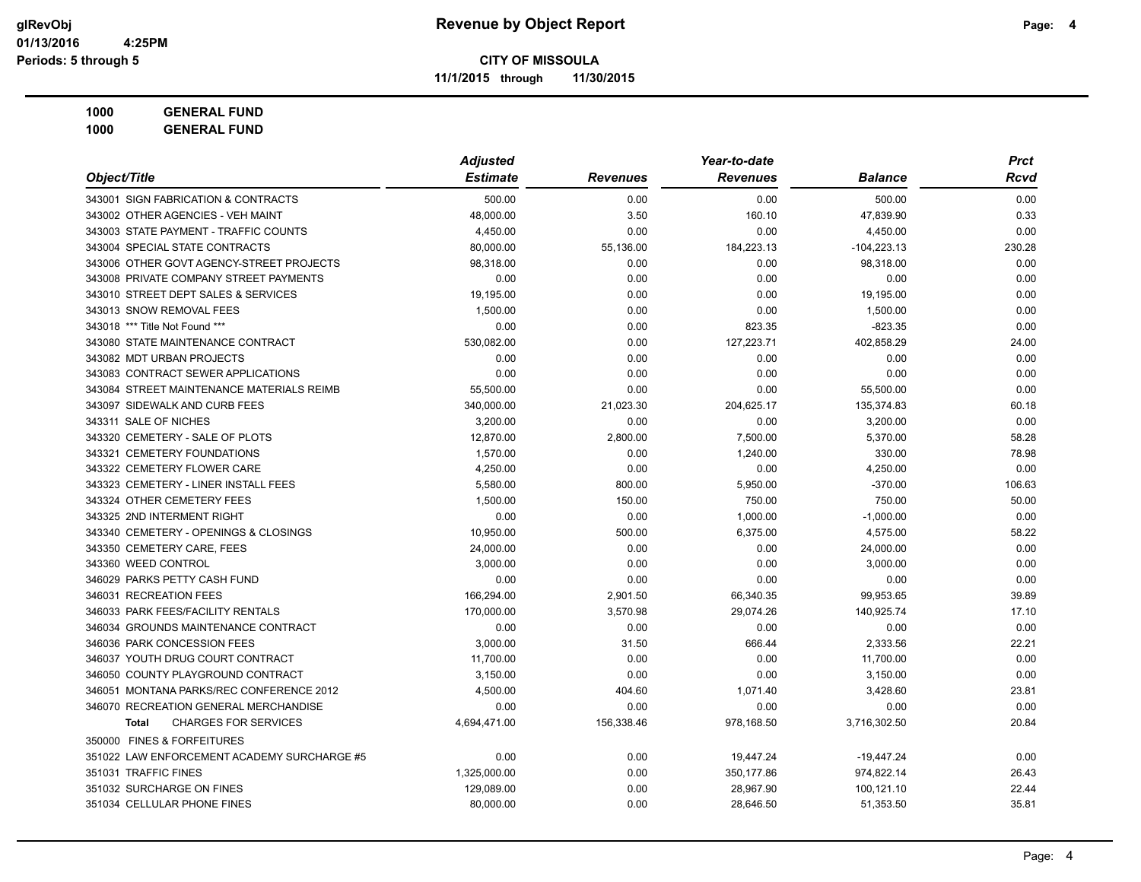**11/1/2015 through 11/30/2015**

|                                             | <b>Adjusted</b> |                 | Year-to-date    |                | <b>Prct</b> |
|---------------------------------------------|-----------------|-----------------|-----------------|----------------|-------------|
| Object/Title                                | <b>Estimate</b> | <b>Revenues</b> | <b>Revenues</b> | <b>Balance</b> | <b>Rcvd</b> |
| 343001 SIGN FABRICATION & CONTRACTS         | 500.00          | 0.00            | 0.00            | 500.00         | 0.00        |
| 343002 OTHER AGENCIES - VEH MAINT           | 48,000.00       | 3.50            | 160.10          | 47,839.90      | 0.33        |
| 343003 STATE PAYMENT - TRAFFIC COUNTS       | 4,450.00        | 0.00            | 0.00            | 4,450.00       | 0.00        |
| 343004 SPECIAL STATE CONTRACTS              | 80,000.00       | 55,136.00       | 184,223.13      | $-104,223.13$  | 230.28      |
| 343006 OTHER GOVT AGENCY-STREET PROJECTS    | 98,318.00       | 0.00            | 0.00            | 98,318.00      | 0.00        |
| 343008 PRIVATE COMPANY STREET PAYMENTS      | 0.00            | 0.00            | 0.00            | 0.00           | 0.00        |
| 343010 STREET DEPT SALES & SERVICES         | 19,195.00       | 0.00            | 0.00            | 19,195.00      | 0.00        |
| 343013 SNOW REMOVAL FEES                    | 1,500.00        | 0.00            | 0.00            | 1,500.00       | 0.00        |
| 343018 *** Title Not Found ***              | 0.00            | 0.00            | 823.35          | $-823.35$      | 0.00        |
| 343080 STATE MAINTENANCE CONTRACT           | 530,082.00      | 0.00            | 127,223.71      | 402,858.29     | 24.00       |
| 343082 MDT URBAN PROJECTS                   | 0.00            | 0.00            | 0.00            | 0.00           | 0.00        |
| 343083 CONTRACT SEWER APPLICATIONS          | 0.00            | 0.00            | 0.00            | 0.00           | 0.00        |
| 343084 STREET MAINTENANCE MATERIALS REIMB   | 55,500.00       | 0.00            | 0.00            | 55,500.00      | 0.00        |
| 343097 SIDEWALK AND CURB FEES               | 340,000.00      | 21,023.30       | 204,625.17      | 135,374.83     | 60.18       |
| 343311 SALE OF NICHES                       | 3,200.00        | 0.00            | 0.00            | 3,200.00       | 0.00        |
| 343320 CEMETERY - SALE OF PLOTS             | 12,870.00       | 2,800.00        | 7,500.00        | 5,370.00       | 58.28       |
| 343321 CEMETERY FOUNDATIONS                 | 1,570.00        | 0.00            | 1,240.00        | 330.00         | 78.98       |
| 343322 CEMETERY FLOWER CARE                 | 4,250.00        | 0.00            | 0.00            | 4,250.00       | 0.00        |
| 343323 CEMETERY - LINER INSTALL FEES        | 5,580.00        | 800.00          | 5,950.00        | $-370.00$      | 106.63      |
| 343324 OTHER CEMETERY FEES                  | 1,500.00        | 150.00          | 750.00          | 750.00         | 50.00       |
| 343325 2ND INTERMENT RIGHT                  | 0.00            | 0.00            | 1,000.00        | $-1,000.00$    | 0.00        |
| 343340 CEMETERY - OPENINGS & CLOSINGS       | 10,950.00       | 500.00          | 6,375.00        | 4,575.00       | 58.22       |
| 343350 CEMETERY CARE, FEES                  | 24,000.00       | 0.00            | 0.00            | 24,000.00      | 0.00        |
| 343360 WEED CONTROL                         | 3,000.00        | 0.00            | 0.00            | 3,000.00       | 0.00        |
| 346029 PARKS PETTY CASH FUND                | 0.00            | 0.00            | 0.00            | 0.00           | 0.00        |
| 346031 RECREATION FEES                      | 166,294.00      | 2,901.50        | 66,340.35       | 99,953.65      | 39.89       |
| 346033 PARK FEES/FACILITY RENTALS           | 170,000.00      | 3,570.98        | 29,074.26       | 140,925.74     | 17.10       |
| 346034 GROUNDS MAINTENANCE CONTRACT         | 0.00            | 0.00            | 0.00            | 0.00           | 0.00        |
| 346036 PARK CONCESSION FEES                 | 3,000.00        | 31.50           | 666.44          | 2,333.56       | 22.21       |
| 346037 YOUTH DRUG COURT CONTRACT            | 11,700.00       | 0.00            | 0.00            | 11,700.00      | 0.00        |
| 346050 COUNTY PLAYGROUND CONTRACT           | 3,150.00        | 0.00            | 0.00            | 3,150.00       | 0.00        |
| 346051 MONTANA PARKS/REC CONFERENCE 2012    | 4,500.00        | 404.60          | 1,071.40        | 3,428.60       | 23.81       |
| 346070 RECREATION GENERAL MERCHANDISE       | 0.00            | 0.00            | 0.00            | 0.00           | 0.00        |
| <b>CHARGES FOR SERVICES</b><br><b>Total</b> | 4,694,471.00    | 156,338.46      | 978,168.50      | 3,716,302.50   | 20.84       |
| 350000 FINES & FORFEITURES                  |                 |                 |                 |                |             |
| 351022 LAW ENFORCEMENT ACADEMY SURCHARGE #5 | 0.00            | 0.00            | 19,447.24       | $-19,447.24$   | 0.00        |
| 351031 TRAFFIC FINES                        | 1,325,000.00    | 0.00            | 350,177.86      | 974,822.14     | 26.43       |
| 351032 SURCHARGE ON FINES                   | 129,089.00      | 0.00            | 28,967.90       | 100,121.10     | 22.44       |
| 351034 CELLULAR PHONE FINES                 | 80,000.00       | 0.00            | 28,646.50       | 51,353.50      | 35.81       |
|                                             |                 |                 |                 |                |             |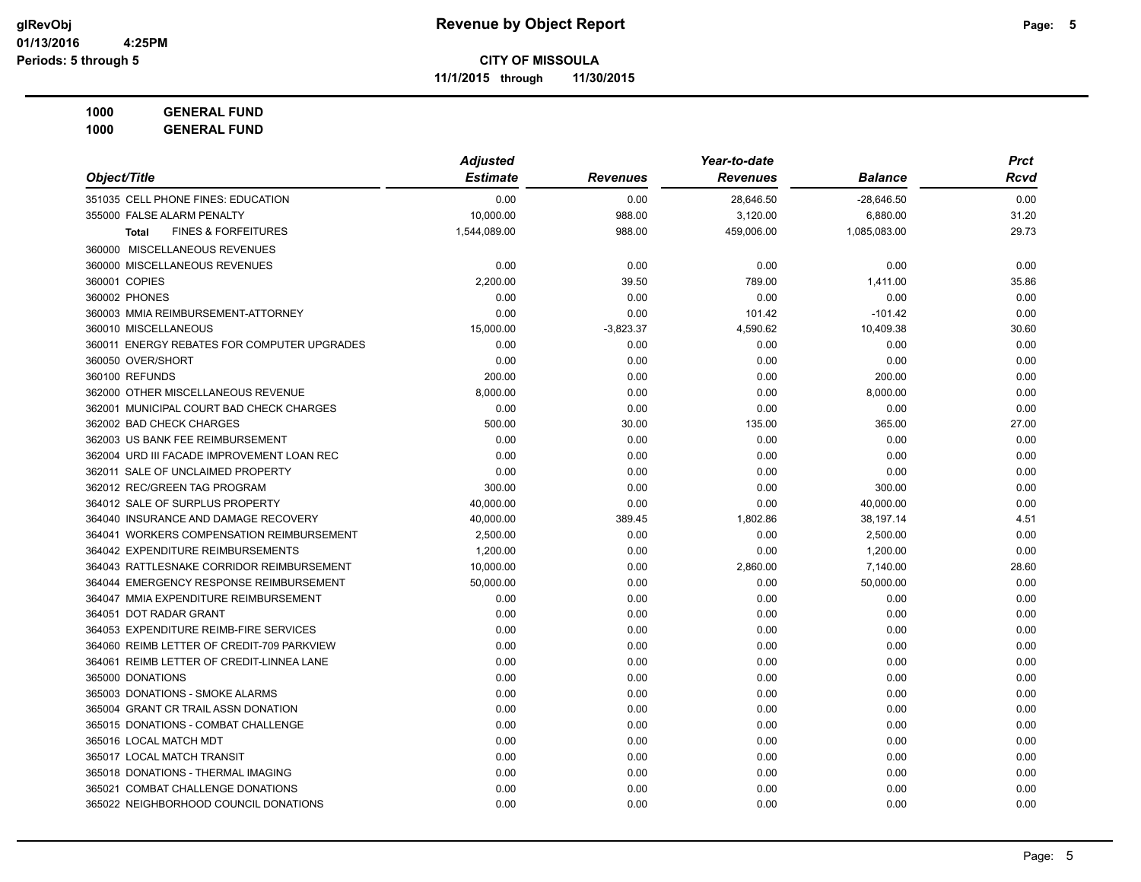**11/1/2015 through 11/30/2015**

|                                                | <b>Adjusted</b> | Year-to-date    |                 |                | <b>Prct</b> |
|------------------------------------------------|-----------------|-----------------|-----------------|----------------|-------------|
| Object/Title                                   | <b>Estimate</b> | <b>Revenues</b> | <b>Revenues</b> | <b>Balance</b> | Rcvd        |
| 351035 CELL PHONE FINES: EDUCATION             | 0.00            | 0.00            | 28.646.50       | $-28,646.50$   | 0.00        |
| 355000 FALSE ALARM PENALTY                     | 10,000.00       | 988.00          | 3,120.00        | 6,880.00       | 31.20       |
| <b>FINES &amp; FORFEITURES</b><br><b>Total</b> | 1,544,089.00    | 988.00          | 459,006.00      | 1,085,083.00   | 29.73       |
| 360000 MISCELLANEOUS REVENUES                  |                 |                 |                 |                |             |
| 360000 MISCELLANEOUS REVENUES                  | 0.00            | 0.00            | 0.00            | 0.00           | 0.00        |
| 360001 COPIES                                  | 2.200.00        | 39.50           | 789.00          | 1,411.00       | 35.86       |
| 360002 PHONES                                  | 0.00            | 0.00            | 0.00            | 0.00           | 0.00        |
| 360003 MMIA REIMBURSEMENT-ATTORNEY             | 0.00            | 0.00            | 101.42          | $-101.42$      | 0.00        |
| 360010 MISCELLANEOUS                           | 15,000.00       | $-3,823.37$     | 4,590.62        | 10,409.38      | 30.60       |
| 360011 ENERGY REBATES FOR COMPUTER UPGRADES    | 0.00            | 0.00            | 0.00            | 0.00           | 0.00        |
| 360050 OVER/SHORT                              | 0.00            | 0.00            | 0.00            | 0.00           | 0.00        |
| 360100 REFUNDS                                 | 200.00          | 0.00            | 0.00            | 200.00         | 0.00        |
| 362000 OTHER MISCELLANEOUS REVENUE             | 8,000.00        | 0.00            | 0.00            | 8,000.00       | 0.00        |
| 362001 MUNICIPAL COURT BAD CHECK CHARGES       | 0.00            | 0.00            | 0.00            | 0.00           | 0.00        |
| 362002 BAD CHECK CHARGES                       | 500.00          | 30.00           | 135.00          | 365.00         | 27.00       |
| 362003 US BANK FEE REIMBURSEMENT               | 0.00            | 0.00            | 0.00            | 0.00           | 0.00        |
| 362004 URD III FACADE IMPROVEMENT LOAN REC     | 0.00            | 0.00            | 0.00            | 0.00           | 0.00        |
| 362011 SALE OF UNCLAIMED PROPERTY              | 0.00            | 0.00            | 0.00            | 0.00           | 0.00        |
| 362012 REC/GREEN TAG PROGRAM                   | 300.00          | 0.00            | 0.00            | 300.00         | 0.00        |
| 364012 SALE OF SURPLUS PROPERTY                | 40,000.00       | 0.00            | 0.00            | 40,000.00      | 0.00        |
| 364040 INSURANCE AND DAMAGE RECOVERY           | 40,000.00       | 389.45          | 1,802.86        | 38,197.14      | 4.51        |
| 364041 WORKERS COMPENSATION REIMBURSEMENT      | 2,500.00        | 0.00            | 0.00            | 2,500.00       | 0.00        |
| 364042 EXPENDITURE REIMBURSEMENTS              | 1,200.00        | 0.00            | 0.00            | 1,200.00       | 0.00        |
| 364043 RATTLESNAKE CORRIDOR REIMBURSEMENT      | 10,000.00       | 0.00            | 2,860.00        | 7,140.00       | 28.60       |
| 364044 EMERGENCY RESPONSE REIMBURSEMENT        | 50,000.00       | 0.00            | 0.00            | 50,000.00      | 0.00        |
| 364047 MMIA EXPENDITURE REIMBURSEMENT          | 0.00            | 0.00            | 0.00            | 0.00           | 0.00        |
| 364051 DOT RADAR GRANT                         | 0.00            | 0.00            | 0.00            | 0.00           | 0.00        |
| 364053 EXPENDITURE REIMB-FIRE SERVICES         | 0.00            | 0.00            | 0.00            | 0.00           | 0.00        |
| 364060 REIMB LETTER OF CREDIT-709 PARKVIEW     | 0.00            | 0.00            | 0.00            | 0.00           | 0.00        |
| 364061 REIMB LETTER OF CREDIT-LINNEA LANE      | 0.00            | 0.00            | 0.00            | 0.00           | 0.00        |
| 365000 DONATIONS                               | 0.00            | 0.00            | 0.00            | 0.00           | 0.00        |
| 365003 DONATIONS - SMOKE ALARMS                | 0.00            | 0.00            | 0.00            | 0.00           | 0.00        |
| 365004 GRANT CR TRAIL ASSN DONATION            | 0.00            | 0.00            | 0.00            | 0.00           | 0.00        |
| 365015 DONATIONS - COMBAT CHALLENGE            | 0.00            | 0.00            | 0.00            | 0.00           | 0.00        |
| 365016 LOCAL MATCH MDT                         | 0.00            | 0.00            | 0.00            | 0.00           | 0.00        |
| 365017 LOCAL MATCH TRANSIT                     | 0.00            | 0.00            | 0.00            | 0.00           | 0.00        |
| 365018 DONATIONS - THERMAL IMAGING             | 0.00            | 0.00            | 0.00            | 0.00           | 0.00        |
| 365021 COMBAT CHALLENGE DONATIONS              | 0.00            | 0.00            | 0.00            | 0.00           | 0.00        |
| 365022 NEIGHBORHOOD COUNCIL DONATIONS          | 0.00            | 0.00            | 0.00            | 0.00           | 0.00        |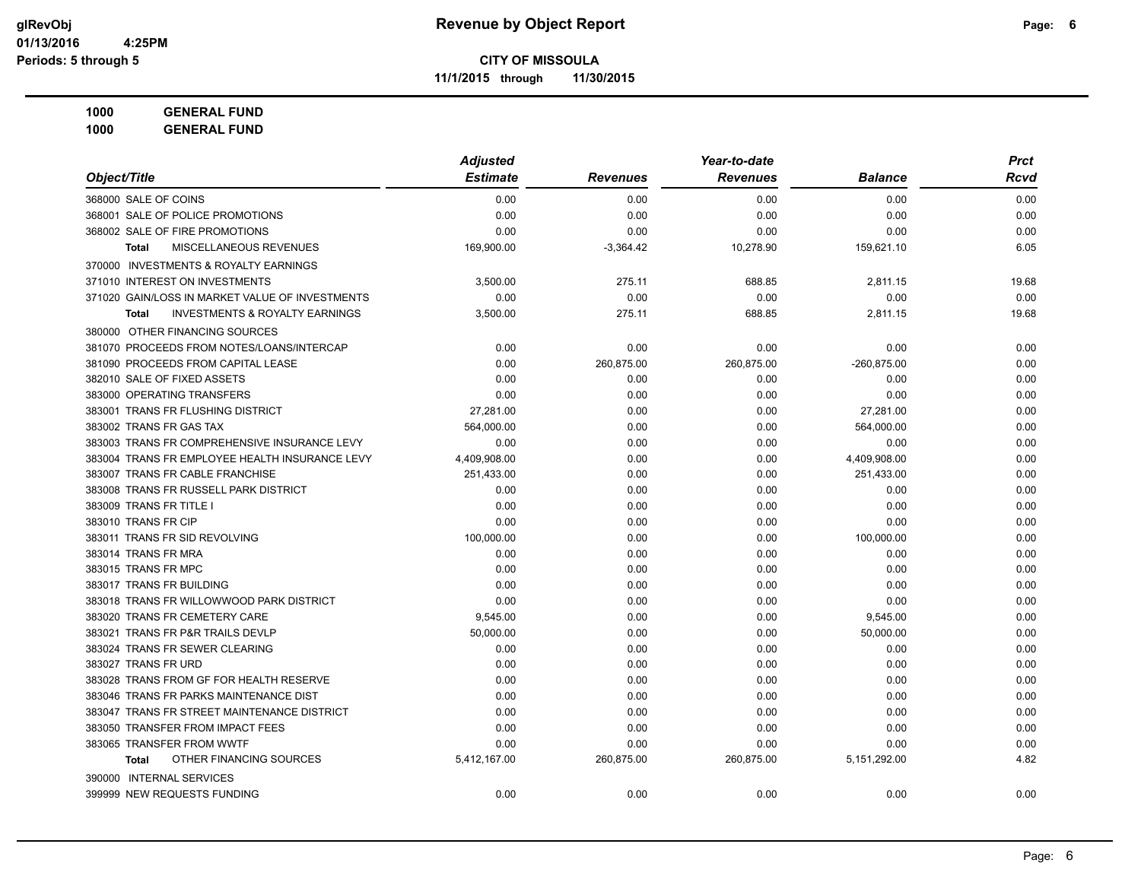**11/1/2015 through 11/30/2015**

|                                                    | <b>Adjusted</b> |                 | Year-to-date    |                | <b>Prct</b> |
|----------------------------------------------------|-----------------|-----------------|-----------------|----------------|-------------|
| Object/Title                                       | <b>Estimate</b> | <b>Revenues</b> | <b>Revenues</b> | <b>Balance</b> | <b>Rcvd</b> |
| 368000 SALE OF COINS                               | 0.00            | 0.00            | 0.00            | 0.00           | 0.00        |
| 368001 SALE OF POLICE PROMOTIONS                   | 0.00            | 0.00            | 0.00            | 0.00           | 0.00        |
| 368002 SALE OF FIRE PROMOTIONS                     | 0.00            | 0.00            | 0.00            | 0.00           | 0.00        |
| MISCELLANEOUS REVENUES<br><b>Total</b>             | 169,900.00      | $-3,364.42$     | 10,278.90       | 159,621.10     | 6.05        |
| 370000 INVESTMENTS & ROYALTY EARNINGS              |                 |                 |                 |                |             |
| 371010 INTEREST ON INVESTMENTS                     | 3,500.00        | 275.11          | 688.85          | 2.811.15       | 19.68       |
| 371020 GAIN/LOSS IN MARKET VALUE OF INVESTMENTS    | 0.00            | 0.00            | 0.00            | 0.00           | 0.00        |
| <b>INVESTMENTS &amp; ROYALTY EARNINGS</b><br>Total | 3,500.00        | 275.11          | 688.85          | 2,811.15       | 19.68       |
| 380000 OTHER FINANCING SOURCES                     |                 |                 |                 |                |             |
| 381070 PROCEEDS FROM NOTES/LOANS/INTERCAP          | 0.00            | 0.00            | 0.00            | 0.00           | 0.00        |
| 381090 PROCEEDS FROM CAPITAL LEASE                 | 0.00            | 260,875.00      | 260,875.00      | $-260,875.00$  | 0.00        |
| 382010 SALE OF FIXED ASSETS                        | 0.00            | 0.00            | 0.00            | 0.00           | 0.00        |
| 383000 OPERATING TRANSFERS                         | 0.00            | 0.00            | 0.00            | 0.00           | 0.00        |
| 383001 TRANS FR FLUSHING DISTRICT                  | 27,281.00       | 0.00            | 0.00            | 27,281.00      | 0.00        |
| 383002 TRANS FR GAS TAX                            | 564,000.00      | 0.00            | 0.00            | 564,000.00     | 0.00        |
| 383003 TRANS FR COMPREHENSIVE INSURANCE LEVY       | 0.00            | 0.00            | 0.00            | 0.00           | 0.00        |
| 383004 TRANS FR EMPLOYEE HEALTH INSURANCE LEVY     | 4,409,908.00    | 0.00            | 0.00            | 4,409,908.00   | 0.00        |
| 383007 TRANS FR CABLE FRANCHISE                    | 251,433.00      | 0.00            | 0.00            | 251,433.00     | 0.00        |
| 383008 TRANS FR RUSSELL PARK DISTRICT              | 0.00            | 0.00            | 0.00            | 0.00           | 0.00        |
| 383009 TRANS FR TITLE I                            | 0.00            | 0.00            | 0.00            | 0.00           | 0.00        |
| 383010 TRANS FR CIP                                | 0.00            | 0.00            | 0.00            | 0.00           | 0.00        |
| 383011 TRANS FR SID REVOLVING                      | 100,000.00      | 0.00            | 0.00            | 100,000.00     | 0.00        |
| 383014 TRANS FR MRA                                | 0.00            | 0.00            | 0.00            | 0.00           | 0.00        |
| 383015 TRANS FR MPC                                | 0.00            | 0.00            | 0.00            | 0.00           | 0.00        |
| 383017 TRANS FR BUILDING                           | 0.00            | 0.00            | 0.00            | 0.00           | 0.00        |
| 383018 TRANS FR WILLOWWOOD PARK DISTRICT           | 0.00            | 0.00            | 0.00            | 0.00           | 0.00        |
| 383020 TRANS FR CEMETERY CARE                      | 9.545.00        | 0.00            | 0.00            | 9,545.00       | 0.00        |
| 383021 TRANS FR P&R TRAILS DEVLP                   | 50,000.00       | 0.00            | 0.00            | 50,000.00      | 0.00        |
| 383024 TRANS FR SEWER CLEARING                     | 0.00            | 0.00            | 0.00            | 0.00           | 0.00        |
| 383027 TRANS FR URD                                | 0.00            | 0.00            | 0.00            | 0.00           | 0.00        |
| 383028 TRANS FROM GF FOR HEALTH RESERVE            | 0.00            | 0.00            | 0.00            | 0.00           | 0.00        |
| 383046 TRANS FR PARKS MAINTENANCE DIST             | 0.00            | 0.00            | 0.00            | 0.00           | 0.00        |
| 383047 TRANS FR STREET MAINTENANCE DISTRICT        | 0.00            | 0.00            | 0.00            | 0.00           | 0.00        |
| 383050 TRANSFER FROM IMPACT FEES                   | 0.00            | 0.00            | 0.00            | 0.00           | 0.00        |
| 383065 TRANSFER FROM WWTF                          | 0.00            | 0.00            | 0.00            | 0.00           | 0.00        |
| OTHER FINANCING SOURCES<br><b>Total</b>            | 5,412,167.00    | 260,875.00      | 260,875.00      | 5,151,292.00   | 4.82        |
| <b>INTERNAL SERVICES</b><br>390000                 |                 |                 |                 |                |             |
| 399999 NEW REQUESTS FUNDING                        | 0.00            | 0.00            | 0.00            | 0.00           | 0.00        |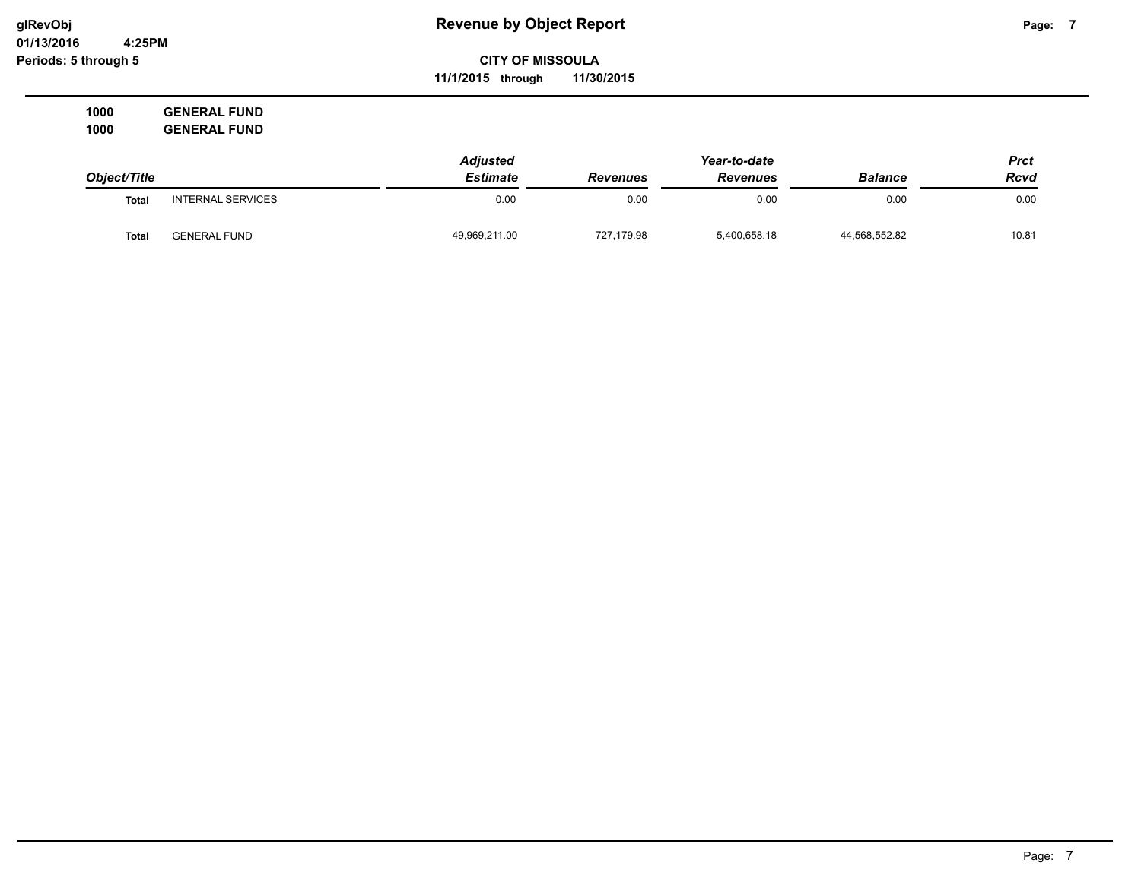**11/1/2015 through 11/30/2015**

|              |                          | <b>Adjusted</b> |                 | Year-to-date    |                | Prct  |
|--------------|--------------------------|-----------------|-----------------|-----------------|----------------|-------|
| Object/Title |                          | <b>Estimate</b> | <b>Revenues</b> | <b>Revenues</b> | <b>Balance</b> | Rcvd  |
| <b>Total</b> | <b>INTERNAL SERVICES</b> | 0.00            | 0.00            | 0.00            | 0.00           | 0.00  |
| <b>Total</b> | <b>GENERAL FUND</b>      | 49,969,211.00   | 727,179.98      | 5,400,658.18    | 44,568,552.82  | 10.81 |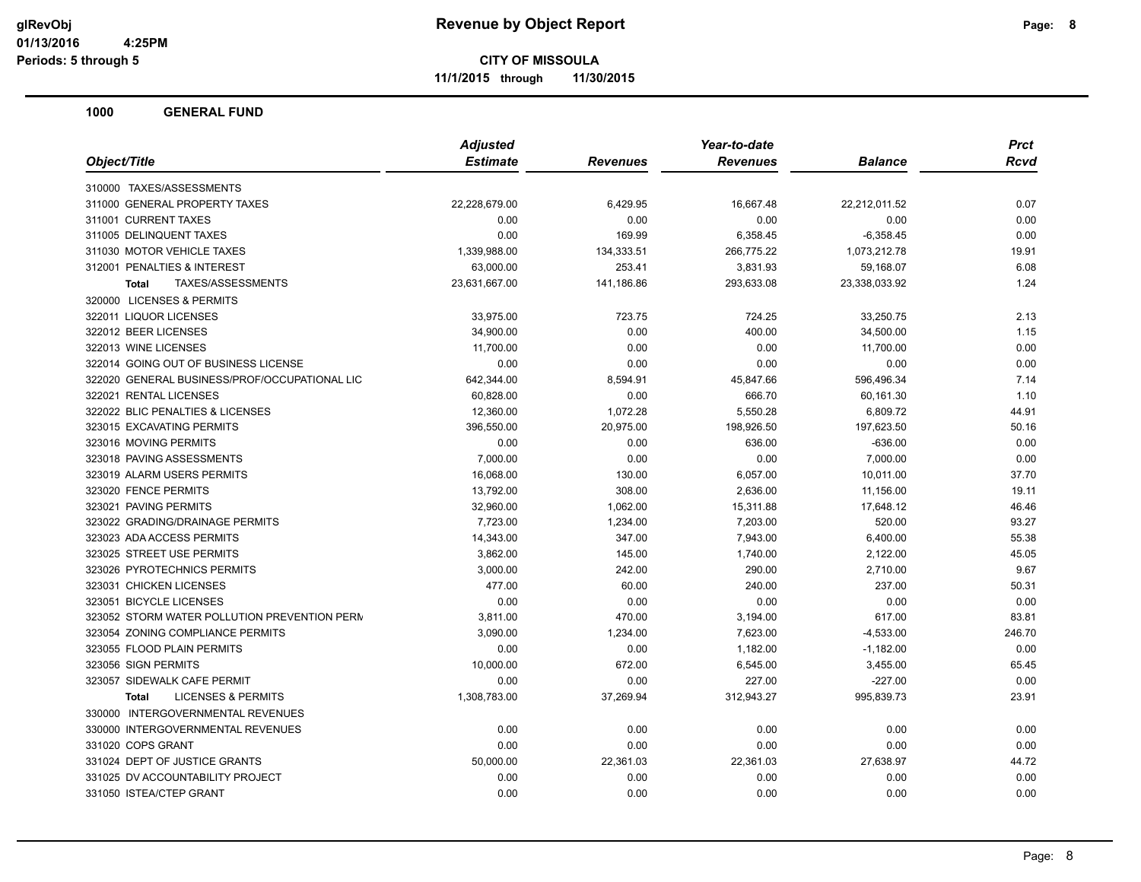**11/1/2015 through 11/30/2015**

|                                               | <b>Adjusted</b> | Year-to-date    |                 |                | <b>Prct</b> |
|-----------------------------------------------|-----------------|-----------------|-----------------|----------------|-------------|
| Object/Title                                  | <b>Estimate</b> | <b>Revenues</b> | <b>Revenues</b> | <b>Balance</b> | Rcvd        |
| 310000 TAXES/ASSESSMENTS                      |                 |                 |                 |                |             |
| 311000 GENERAL PROPERTY TAXES                 | 22,228,679.00   | 6,429.95        | 16,667.48       | 22,212,011.52  | 0.07        |
| 311001 CURRENT TAXES                          | 0.00            | 0.00            | 0.00            | 0.00           | 0.00        |
| 311005 DELINQUENT TAXES                       | 0.00            | 169.99          | 6,358.45        | $-6,358.45$    | 0.00        |
| 311030 MOTOR VEHICLE TAXES                    | 1,339,988.00    | 134,333.51      | 266,775.22      | 1,073,212.78   | 19.91       |
| 312001 PENALTIES & INTEREST                   | 63,000.00       | 253.41          | 3,831.93        | 59,168.07      | 6.08        |
| TAXES/ASSESSMENTS<br><b>Total</b>             | 23,631,667.00   | 141,186.86      | 293,633.08      | 23,338,033.92  | 1.24        |
| 320000 LICENSES & PERMITS                     |                 |                 |                 |                |             |
| 322011 LIQUOR LICENSES                        | 33,975.00       | 723.75          | 724.25          | 33,250.75      | 2.13        |
| 322012 BEER LICENSES                          | 34,900.00       | 0.00            | 400.00          | 34,500.00      | 1.15        |
| 322013 WINE LICENSES                          | 11,700.00       | 0.00            | 0.00            | 11,700.00      | 0.00        |
| 322014 GOING OUT OF BUSINESS LICENSE          | 0.00            | 0.00            | 0.00            | 0.00           | 0.00        |
| 322020 GENERAL BUSINESS/PROF/OCCUPATIONAL LIC | 642,344.00      | 8,594.91        | 45,847.66       | 596,496.34     | 7.14        |
| 322021 RENTAL LICENSES                        | 60,828.00       | 0.00            | 666.70          | 60,161.30      | 1.10        |
| 322022 BLIC PENALTIES & LICENSES              | 12,360.00       | 1,072.28        | 5,550.28        | 6,809.72       | 44.91       |
| 323015 EXCAVATING PERMITS                     | 396,550.00      | 20,975.00       | 198,926.50      | 197,623.50     | 50.16       |
| 323016 MOVING PERMITS                         | 0.00            | 0.00            | 636.00          | $-636.00$      | 0.00        |
| 323018 PAVING ASSESSMENTS                     | 7,000.00        | 0.00            | 0.00            | 7,000.00       | 0.00        |
| 323019 ALARM USERS PERMITS                    | 16,068.00       | 130.00          | 6,057.00        | 10,011.00      | 37.70       |
| 323020 FENCE PERMITS                          | 13,792.00       | 308.00          | 2,636.00        | 11,156.00      | 19.11       |
| 323021 PAVING PERMITS                         | 32,960.00       | 1,062.00        | 15,311.88       | 17,648.12      | 46.46       |
| 323022 GRADING/DRAINAGE PERMITS               | 7,723.00        | 1,234.00        | 7,203.00        | 520.00         | 93.27       |
| 323023 ADA ACCESS PERMITS                     | 14,343.00       | 347.00          | 7,943.00        | 6,400.00       | 55.38       |
| 323025 STREET USE PERMITS                     | 3,862.00        | 145.00          | 1,740.00        | 2,122.00       | 45.05       |
| 323026 PYROTECHNICS PERMITS                   | 3,000.00        | 242.00          | 290.00          | 2,710.00       | 9.67        |
| 323031 CHICKEN LICENSES                       | 477.00          | 60.00           | 240.00          | 237.00         | 50.31       |
| 323051 BICYCLE LICENSES                       | 0.00            | 0.00            | 0.00            | 0.00           | 0.00        |
| 323052 STORM WATER POLLUTION PREVENTION PERM  | 3,811.00        | 470.00          | 3,194.00        | 617.00         | 83.81       |
| 323054 ZONING COMPLIANCE PERMITS              | 3,090.00        | 1,234.00        | 7,623.00        | $-4,533.00$    | 246.70      |
| 323055 FLOOD PLAIN PERMITS                    | 0.00            | 0.00            | 1,182.00        | $-1,182.00$    | 0.00        |
| 323056 SIGN PERMITS                           | 10,000.00       | 672.00          | 6,545.00        | 3,455.00       | 65.45       |
| 323057 SIDEWALK CAFE PERMIT                   | 0.00            | 0.00            | 227.00          | $-227.00$      | 0.00        |
| <b>LICENSES &amp; PERMITS</b><br><b>Total</b> | 1,308,783.00    | 37,269.94       | 312,943.27      | 995,839.73     | 23.91       |
| 330000 INTERGOVERNMENTAL REVENUES             |                 |                 |                 |                |             |
| 330000 INTERGOVERNMENTAL REVENUES             | 0.00            | 0.00            | 0.00            | 0.00           | 0.00        |
| 331020 COPS GRANT                             | 0.00            | 0.00            | 0.00            | 0.00           | 0.00        |
| 331024 DEPT OF JUSTICE GRANTS                 | 50,000.00       | 22,361.03       | 22,361.03       | 27,638.97      | 44.72       |
| 331025 DV ACCOUNTABILITY PROJECT              | 0.00            | 0.00            | 0.00            | 0.00           | 0.00        |
| 331050 ISTEA/CTEP GRANT                       | 0.00            | 0.00            | 0.00            | 0.00           | 0.00        |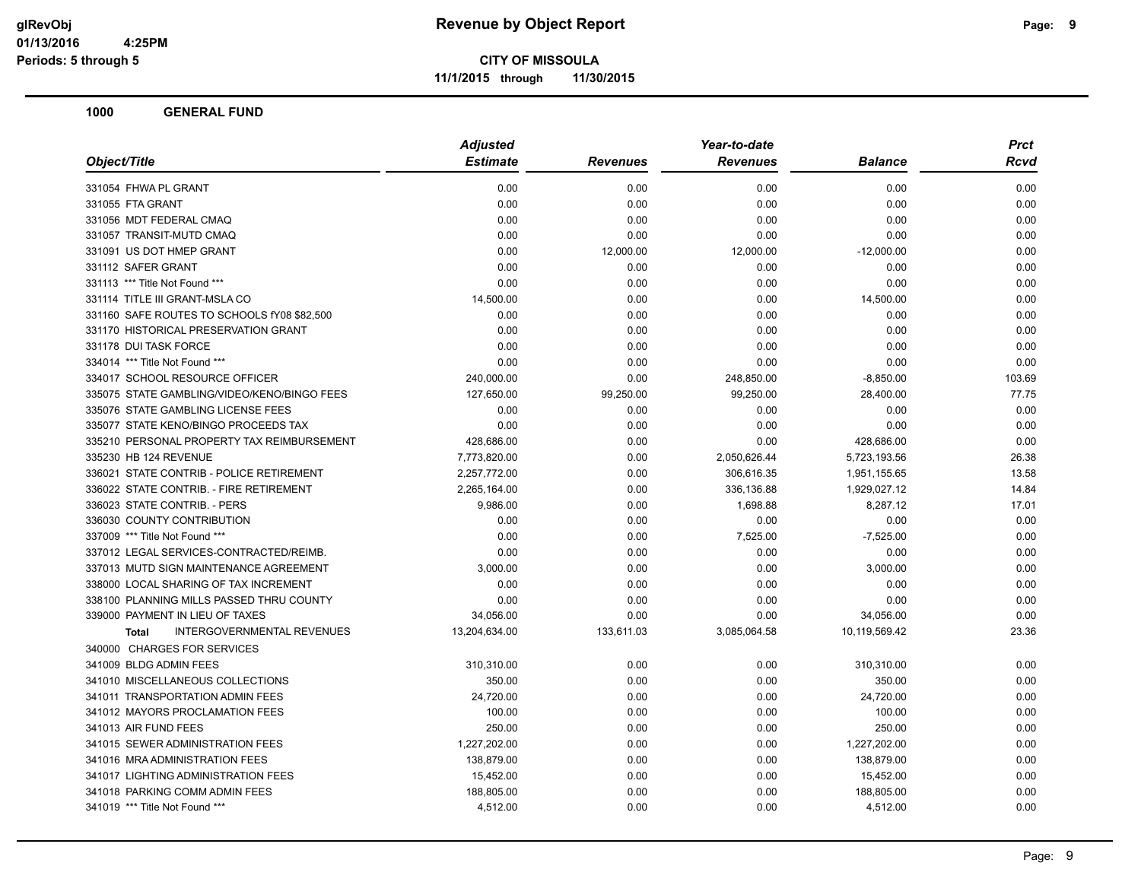**11/1/2015 through 11/30/2015**

| <b>Estimate</b><br><b>Revenues</b><br><b>Revenues</b><br><b>Balance</b><br>0.00<br>0.00<br>0.00<br>0.00<br>0.00<br>0.00<br>0.00<br>0.00<br>0.00<br>0.00<br>0.00<br>0.00<br>0.00<br>0.00<br>0.00<br>0.00<br>0.00<br>12,000.00<br>12,000.00<br>$-12,000.00$<br>0.00<br>0.00<br>0.00<br>0.00<br>0.00<br>0.00<br>0.00<br>0.00<br>14,500.00<br>0.00<br>0.00<br>14,500.00<br>0.00<br>0.00<br>0.00<br>0.00<br>0.00<br>0.00<br>0.00<br>0.00<br>0.00<br>0.00<br>0.00<br>0.00<br>0.00<br>0.00<br>0.00<br>0.00<br>240,000.00<br>0.00<br>248,850.00<br>$-8,850.00$<br>127,650.00<br>99,250.00<br>99,250.00<br>28,400.00<br>0.00<br>0.00<br>0.00<br>0.00<br>0.00<br>0.00<br>0.00<br>0.00<br>428.686.00<br>0.00<br>0.00<br>428.686.00<br>7,773,820.00<br>0.00<br>2,050,626.44<br>5,723,193.56<br>2,257,772.00<br>0.00<br>306,616.35<br>1,951,155.65<br>2,265,164.00<br>0.00<br>336,136.88<br>1,929,027.12<br>9,986.00<br>0.00<br>1,698.88<br>8,287.12<br>0.00<br>0.00<br>0.00<br>0.00<br>0.00<br>7,525.00<br>$-7,525.00$<br>0.00<br>0.00<br>0.00<br>0.00<br>0.00<br>3,000.00<br>0.00<br>0.00<br>3,000.00<br>0.00<br>0.00<br>0.00<br>0.00<br>0.00<br>0.00<br>0.00<br>0.00<br>0.00<br>0.00<br>34,056.00<br>34,056.00<br><b>INTERGOVERNMENTAL REVENUES</b><br>13,204,634.00<br>133,611.03<br>3,085,064.58<br>10,119,569.42<br><b>Total</b><br>310,310.00<br>0.00<br>0.00<br>310,310.00<br>350.00<br>0.00<br>0.00<br>350.00<br>24,720.00<br>0.00<br>0.00<br>24,720.00<br>100.00<br>0.00<br>0.00<br>100.00<br>250.00<br>0.00<br>0.00<br>250.00<br>1,227,202.00<br>0.00<br>0.00<br>1,227,202.00<br>138,879.00<br>138,879.00<br>0.00<br>0.00<br>15,452.00<br>0.00<br>0.00<br>15,452.00<br>188,805.00<br>0.00<br>0.00<br>188,805.00<br>4,512.00<br>0.00<br>0.00<br>4,512.00 | Object/Title                                | <b>Adjusted</b> | Year-to-date |  | Prct   |
|-------------------------------------------------------------------------------------------------------------------------------------------------------------------------------------------------------------------------------------------------------------------------------------------------------------------------------------------------------------------------------------------------------------------------------------------------------------------------------------------------------------------------------------------------------------------------------------------------------------------------------------------------------------------------------------------------------------------------------------------------------------------------------------------------------------------------------------------------------------------------------------------------------------------------------------------------------------------------------------------------------------------------------------------------------------------------------------------------------------------------------------------------------------------------------------------------------------------------------------------------------------------------------------------------------------------------------------------------------------------------------------------------------------------------------------------------------------------------------------------------------------------------------------------------------------------------------------------------------------------------------------------------------------------------------------------------------------------------------------------------------|---------------------------------------------|-----------------|--------------|--|--------|
|                                                                                                                                                                                                                                                                                                                                                                                                                                                                                                                                                                                                                                                                                                                                                                                                                                                                                                                                                                                                                                                                                                                                                                                                                                                                                                                                                                                                                                                                                                                                                                                                                                                                                                                                                       |                                             |                 |              |  | Rcvd   |
|                                                                                                                                                                                                                                                                                                                                                                                                                                                                                                                                                                                                                                                                                                                                                                                                                                                                                                                                                                                                                                                                                                                                                                                                                                                                                                                                                                                                                                                                                                                                                                                                                                                                                                                                                       | 331054 FHWA PL GRANT                        |                 |              |  | 0.00   |
|                                                                                                                                                                                                                                                                                                                                                                                                                                                                                                                                                                                                                                                                                                                                                                                                                                                                                                                                                                                                                                                                                                                                                                                                                                                                                                                                                                                                                                                                                                                                                                                                                                                                                                                                                       | 331055 FTA GRANT                            |                 |              |  | 0.00   |
|                                                                                                                                                                                                                                                                                                                                                                                                                                                                                                                                                                                                                                                                                                                                                                                                                                                                                                                                                                                                                                                                                                                                                                                                                                                                                                                                                                                                                                                                                                                                                                                                                                                                                                                                                       | 331056 MDT FEDERAL CMAQ                     |                 |              |  | 0.00   |
|                                                                                                                                                                                                                                                                                                                                                                                                                                                                                                                                                                                                                                                                                                                                                                                                                                                                                                                                                                                                                                                                                                                                                                                                                                                                                                                                                                                                                                                                                                                                                                                                                                                                                                                                                       | 331057 TRANSIT-MUTD CMAQ                    |                 |              |  | 0.00   |
|                                                                                                                                                                                                                                                                                                                                                                                                                                                                                                                                                                                                                                                                                                                                                                                                                                                                                                                                                                                                                                                                                                                                                                                                                                                                                                                                                                                                                                                                                                                                                                                                                                                                                                                                                       | 331091 US DOT HMEP GRANT                    |                 |              |  | 0.00   |
|                                                                                                                                                                                                                                                                                                                                                                                                                                                                                                                                                                                                                                                                                                                                                                                                                                                                                                                                                                                                                                                                                                                                                                                                                                                                                                                                                                                                                                                                                                                                                                                                                                                                                                                                                       | 331112 SAFER GRANT                          |                 |              |  | 0.00   |
|                                                                                                                                                                                                                                                                                                                                                                                                                                                                                                                                                                                                                                                                                                                                                                                                                                                                                                                                                                                                                                                                                                                                                                                                                                                                                                                                                                                                                                                                                                                                                                                                                                                                                                                                                       | 331113 *** Title Not Found ***              |                 |              |  | 0.00   |
|                                                                                                                                                                                                                                                                                                                                                                                                                                                                                                                                                                                                                                                                                                                                                                                                                                                                                                                                                                                                                                                                                                                                                                                                                                                                                                                                                                                                                                                                                                                                                                                                                                                                                                                                                       | 331114 TITLE III GRANT-MSLA CO              |                 |              |  | 0.00   |
|                                                                                                                                                                                                                                                                                                                                                                                                                                                                                                                                                                                                                                                                                                                                                                                                                                                                                                                                                                                                                                                                                                                                                                                                                                                                                                                                                                                                                                                                                                                                                                                                                                                                                                                                                       | 331160 SAFE ROUTES TO SCHOOLS fY08 \$82,500 |                 |              |  | 0.00   |
|                                                                                                                                                                                                                                                                                                                                                                                                                                                                                                                                                                                                                                                                                                                                                                                                                                                                                                                                                                                                                                                                                                                                                                                                                                                                                                                                                                                                                                                                                                                                                                                                                                                                                                                                                       | 331170 HISTORICAL PRESERVATION GRANT        |                 |              |  | 0.00   |
|                                                                                                                                                                                                                                                                                                                                                                                                                                                                                                                                                                                                                                                                                                                                                                                                                                                                                                                                                                                                                                                                                                                                                                                                                                                                                                                                                                                                                                                                                                                                                                                                                                                                                                                                                       | 331178 DUI TASK FORCE                       |                 |              |  | 0.00   |
|                                                                                                                                                                                                                                                                                                                                                                                                                                                                                                                                                                                                                                                                                                                                                                                                                                                                                                                                                                                                                                                                                                                                                                                                                                                                                                                                                                                                                                                                                                                                                                                                                                                                                                                                                       | 334014 *** Title Not Found ***              |                 |              |  | 0.00   |
|                                                                                                                                                                                                                                                                                                                                                                                                                                                                                                                                                                                                                                                                                                                                                                                                                                                                                                                                                                                                                                                                                                                                                                                                                                                                                                                                                                                                                                                                                                                                                                                                                                                                                                                                                       | 334017 SCHOOL RESOURCE OFFICER              |                 |              |  | 103.69 |
|                                                                                                                                                                                                                                                                                                                                                                                                                                                                                                                                                                                                                                                                                                                                                                                                                                                                                                                                                                                                                                                                                                                                                                                                                                                                                                                                                                                                                                                                                                                                                                                                                                                                                                                                                       | 335075 STATE GAMBLING/VIDEO/KENO/BINGO FEES |                 |              |  | 77.75  |
|                                                                                                                                                                                                                                                                                                                                                                                                                                                                                                                                                                                                                                                                                                                                                                                                                                                                                                                                                                                                                                                                                                                                                                                                                                                                                                                                                                                                                                                                                                                                                                                                                                                                                                                                                       | 335076 STATE GAMBLING LICENSE FEES          |                 |              |  | 0.00   |
|                                                                                                                                                                                                                                                                                                                                                                                                                                                                                                                                                                                                                                                                                                                                                                                                                                                                                                                                                                                                                                                                                                                                                                                                                                                                                                                                                                                                                                                                                                                                                                                                                                                                                                                                                       | 335077 STATE KENO/BINGO PROCEEDS TAX        |                 |              |  | 0.00   |
|                                                                                                                                                                                                                                                                                                                                                                                                                                                                                                                                                                                                                                                                                                                                                                                                                                                                                                                                                                                                                                                                                                                                                                                                                                                                                                                                                                                                                                                                                                                                                                                                                                                                                                                                                       | 335210 PERSONAL PROPERTY TAX REIMBURSEMENT  |                 |              |  | 0.00   |
|                                                                                                                                                                                                                                                                                                                                                                                                                                                                                                                                                                                                                                                                                                                                                                                                                                                                                                                                                                                                                                                                                                                                                                                                                                                                                                                                                                                                                                                                                                                                                                                                                                                                                                                                                       | 335230 HB 124 REVENUE                       |                 |              |  | 26.38  |
|                                                                                                                                                                                                                                                                                                                                                                                                                                                                                                                                                                                                                                                                                                                                                                                                                                                                                                                                                                                                                                                                                                                                                                                                                                                                                                                                                                                                                                                                                                                                                                                                                                                                                                                                                       | 336021 STATE CONTRIB - POLICE RETIREMENT    |                 |              |  | 13.58  |
|                                                                                                                                                                                                                                                                                                                                                                                                                                                                                                                                                                                                                                                                                                                                                                                                                                                                                                                                                                                                                                                                                                                                                                                                                                                                                                                                                                                                                                                                                                                                                                                                                                                                                                                                                       | 336022 STATE CONTRIB. - FIRE RETIREMENT     |                 |              |  | 14.84  |
|                                                                                                                                                                                                                                                                                                                                                                                                                                                                                                                                                                                                                                                                                                                                                                                                                                                                                                                                                                                                                                                                                                                                                                                                                                                                                                                                                                                                                                                                                                                                                                                                                                                                                                                                                       | 336023 STATE CONTRIB. - PERS                |                 |              |  | 17.01  |
|                                                                                                                                                                                                                                                                                                                                                                                                                                                                                                                                                                                                                                                                                                                                                                                                                                                                                                                                                                                                                                                                                                                                                                                                                                                                                                                                                                                                                                                                                                                                                                                                                                                                                                                                                       | 336030 COUNTY CONTRIBUTION                  |                 |              |  | 0.00   |
|                                                                                                                                                                                                                                                                                                                                                                                                                                                                                                                                                                                                                                                                                                                                                                                                                                                                                                                                                                                                                                                                                                                                                                                                                                                                                                                                                                                                                                                                                                                                                                                                                                                                                                                                                       | 337009 *** Title Not Found ***              |                 |              |  | 0.00   |
|                                                                                                                                                                                                                                                                                                                                                                                                                                                                                                                                                                                                                                                                                                                                                                                                                                                                                                                                                                                                                                                                                                                                                                                                                                                                                                                                                                                                                                                                                                                                                                                                                                                                                                                                                       | 337012 LEGAL SERVICES-CONTRACTED/REIMB.     |                 |              |  | 0.00   |
|                                                                                                                                                                                                                                                                                                                                                                                                                                                                                                                                                                                                                                                                                                                                                                                                                                                                                                                                                                                                                                                                                                                                                                                                                                                                                                                                                                                                                                                                                                                                                                                                                                                                                                                                                       | 337013 MUTD SIGN MAINTENANCE AGREEMENT      |                 |              |  | 0.00   |
|                                                                                                                                                                                                                                                                                                                                                                                                                                                                                                                                                                                                                                                                                                                                                                                                                                                                                                                                                                                                                                                                                                                                                                                                                                                                                                                                                                                                                                                                                                                                                                                                                                                                                                                                                       | 338000 LOCAL SHARING OF TAX INCREMENT       |                 |              |  | 0.00   |
|                                                                                                                                                                                                                                                                                                                                                                                                                                                                                                                                                                                                                                                                                                                                                                                                                                                                                                                                                                                                                                                                                                                                                                                                                                                                                                                                                                                                                                                                                                                                                                                                                                                                                                                                                       | 338100 PLANNING MILLS PASSED THRU COUNTY    |                 |              |  | 0.00   |
|                                                                                                                                                                                                                                                                                                                                                                                                                                                                                                                                                                                                                                                                                                                                                                                                                                                                                                                                                                                                                                                                                                                                                                                                                                                                                                                                                                                                                                                                                                                                                                                                                                                                                                                                                       | 339000 PAYMENT IN LIEU OF TAXES             |                 |              |  | 0.00   |
|                                                                                                                                                                                                                                                                                                                                                                                                                                                                                                                                                                                                                                                                                                                                                                                                                                                                                                                                                                                                                                                                                                                                                                                                                                                                                                                                                                                                                                                                                                                                                                                                                                                                                                                                                       |                                             |                 |              |  | 23.36  |
|                                                                                                                                                                                                                                                                                                                                                                                                                                                                                                                                                                                                                                                                                                                                                                                                                                                                                                                                                                                                                                                                                                                                                                                                                                                                                                                                                                                                                                                                                                                                                                                                                                                                                                                                                       | 340000 CHARGES FOR SERVICES                 |                 |              |  |        |
|                                                                                                                                                                                                                                                                                                                                                                                                                                                                                                                                                                                                                                                                                                                                                                                                                                                                                                                                                                                                                                                                                                                                                                                                                                                                                                                                                                                                                                                                                                                                                                                                                                                                                                                                                       | 341009 BLDG ADMIN FEES                      |                 |              |  | 0.00   |
|                                                                                                                                                                                                                                                                                                                                                                                                                                                                                                                                                                                                                                                                                                                                                                                                                                                                                                                                                                                                                                                                                                                                                                                                                                                                                                                                                                                                                                                                                                                                                                                                                                                                                                                                                       | 341010 MISCELLANEOUS COLLECTIONS            |                 |              |  | 0.00   |
|                                                                                                                                                                                                                                                                                                                                                                                                                                                                                                                                                                                                                                                                                                                                                                                                                                                                                                                                                                                                                                                                                                                                                                                                                                                                                                                                                                                                                                                                                                                                                                                                                                                                                                                                                       | 341011 TRANSPORTATION ADMIN FEES            |                 |              |  | 0.00   |
|                                                                                                                                                                                                                                                                                                                                                                                                                                                                                                                                                                                                                                                                                                                                                                                                                                                                                                                                                                                                                                                                                                                                                                                                                                                                                                                                                                                                                                                                                                                                                                                                                                                                                                                                                       | 341012 MAYORS PROCLAMATION FEES             |                 |              |  | 0.00   |
|                                                                                                                                                                                                                                                                                                                                                                                                                                                                                                                                                                                                                                                                                                                                                                                                                                                                                                                                                                                                                                                                                                                                                                                                                                                                                                                                                                                                                                                                                                                                                                                                                                                                                                                                                       | 341013 AIR FUND FEES                        |                 |              |  | 0.00   |
|                                                                                                                                                                                                                                                                                                                                                                                                                                                                                                                                                                                                                                                                                                                                                                                                                                                                                                                                                                                                                                                                                                                                                                                                                                                                                                                                                                                                                                                                                                                                                                                                                                                                                                                                                       | 341015 SEWER ADMINISTRATION FEES            |                 |              |  | 0.00   |
|                                                                                                                                                                                                                                                                                                                                                                                                                                                                                                                                                                                                                                                                                                                                                                                                                                                                                                                                                                                                                                                                                                                                                                                                                                                                                                                                                                                                                                                                                                                                                                                                                                                                                                                                                       | 341016 MRA ADMINISTRATION FEES              |                 |              |  | 0.00   |
|                                                                                                                                                                                                                                                                                                                                                                                                                                                                                                                                                                                                                                                                                                                                                                                                                                                                                                                                                                                                                                                                                                                                                                                                                                                                                                                                                                                                                                                                                                                                                                                                                                                                                                                                                       | 341017 LIGHTING ADMINISTRATION FEES         |                 |              |  | 0.00   |
|                                                                                                                                                                                                                                                                                                                                                                                                                                                                                                                                                                                                                                                                                                                                                                                                                                                                                                                                                                                                                                                                                                                                                                                                                                                                                                                                                                                                                                                                                                                                                                                                                                                                                                                                                       | 341018 PARKING COMM ADMIN FEES              |                 |              |  | 0.00   |
|                                                                                                                                                                                                                                                                                                                                                                                                                                                                                                                                                                                                                                                                                                                                                                                                                                                                                                                                                                                                                                                                                                                                                                                                                                                                                                                                                                                                                                                                                                                                                                                                                                                                                                                                                       | 341019 *** Title Not Found ***              |                 |              |  | 0.00   |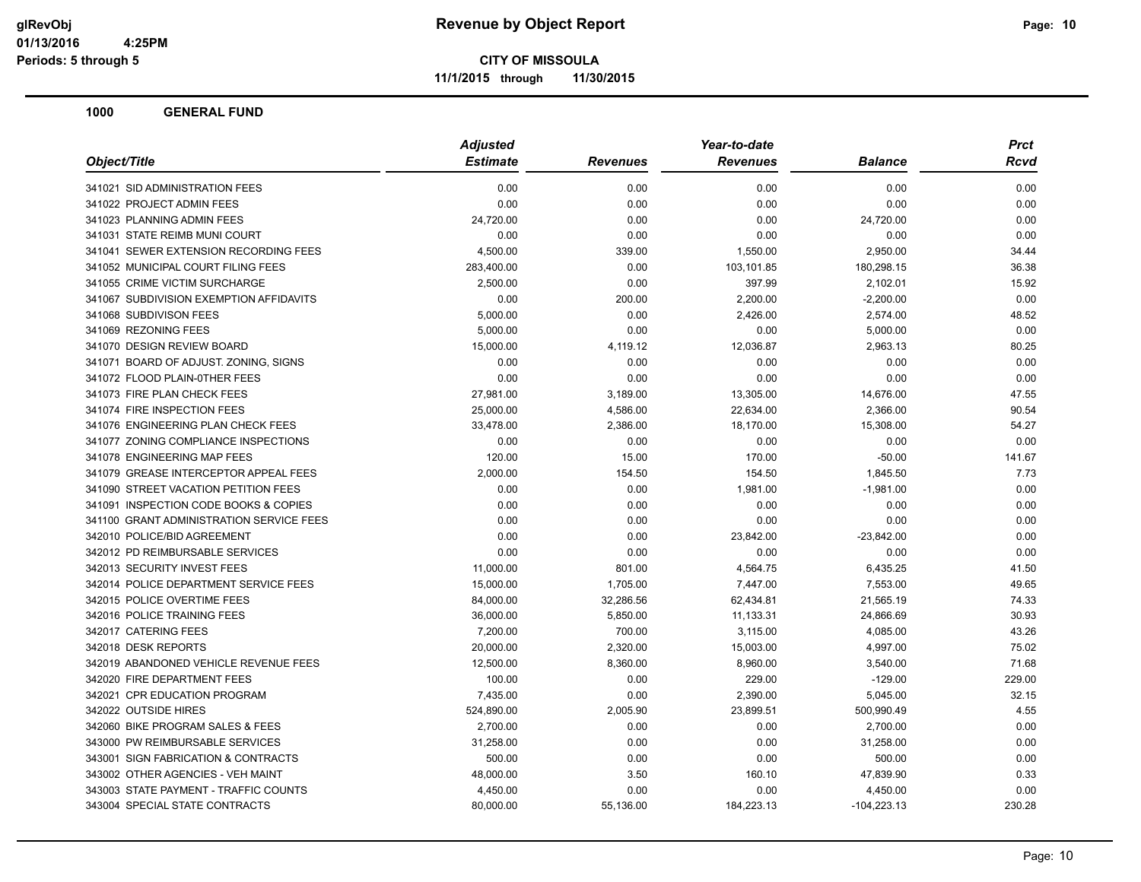**11/1/2015 through 11/30/2015**

| Object/Title                             | <b>Adjusted</b> |                 | Year-to-date    |                | <b>Prct</b> |
|------------------------------------------|-----------------|-----------------|-----------------|----------------|-------------|
|                                          | <b>Estimate</b> | <b>Revenues</b> | <b>Revenues</b> | <b>Balance</b> | <b>Rcvd</b> |
| 341021 SID ADMINISTRATION FEES           | 0.00            | 0.00            | 0.00            | 0.00           | 0.00        |
| 341022 PROJECT ADMIN FEES                | 0.00            | 0.00            | 0.00            | 0.00           | 0.00        |
| 341023 PLANNING ADMIN FEES               | 24,720.00       | 0.00            | 0.00            | 24,720.00      | 0.00        |
| 341031 STATE REIMB MUNI COURT            | 0.00            | 0.00            | 0.00            | 0.00           | 0.00        |
| 341041 SEWER EXTENSION RECORDING FEES    | 4,500.00        | 339.00          | 1,550.00        | 2,950.00       | 34.44       |
| 341052 MUNICIPAL COURT FILING FEES       | 283,400.00      | 0.00            | 103,101.85      | 180,298.15     | 36.38       |
| 341055 CRIME VICTIM SURCHARGE            | 2,500.00        | 0.00            | 397.99          | 2,102.01       | 15.92       |
| 341067 SUBDIVISION EXEMPTION AFFIDAVITS  | 0.00            | 200.00          | 2,200.00        | $-2,200.00$    | 0.00        |
| 341068 SUBDIVISON FEES                   | 5,000.00        | 0.00            | 2,426.00        | 2,574.00       | 48.52       |
| 341069 REZONING FEES                     | 5,000.00        | 0.00            | 0.00            | 5,000.00       | 0.00        |
| 341070 DESIGN REVIEW BOARD               | 15,000.00       | 4,119.12        | 12,036.87       | 2,963.13       | 80.25       |
| 341071 BOARD OF ADJUST. ZONING, SIGNS    | 0.00            | 0.00            | 0.00            | 0.00           | 0.00        |
| 341072 FLOOD PLAIN-0THER FEES            | 0.00            | 0.00            | 0.00            | 0.00           | 0.00        |
| 341073 FIRE PLAN CHECK FEES              | 27,981.00       | 3,189.00        | 13,305.00       | 14,676.00      | 47.55       |
| 341074 FIRE INSPECTION FEES              | 25,000.00       | 4,586.00        | 22,634.00       | 2,366.00       | 90.54       |
| 341076 ENGINEERING PLAN CHECK FEES       | 33,478.00       | 2,386.00        | 18,170.00       | 15,308.00      | 54.27       |
| 341077 ZONING COMPLIANCE INSPECTIONS     | 0.00            | 0.00            | 0.00            | 0.00           | 0.00        |
| 341078 ENGINEERING MAP FEES              | 120.00          | 15.00           | 170.00          | $-50.00$       | 141.67      |
| 341079 GREASE INTERCEPTOR APPEAL FEES    | 2,000.00        | 154.50          | 154.50          | 1,845.50       | 7.73        |
| 341090 STREET VACATION PETITION FEES     | 0.00            | 0.00            | 1,981.00        | $-1,981.00$    | 0.00        |
| 341091 INSPECTION CODE BOOKS & COPIES    | 0.00            | 0.00            | 0.00            | 0.00           | 0.00        |
| 341100 GRANT ADMINISTRATION SERVICE FEES | 0.00            | 0.00            | 0.00            | 0.00           | 0.00        |
| 342010 POLICE/BID AGREEMENT              | 0.00            | 0.00            | 23,842.00       | $-23,842.00$   | 0.00        |
| 342012 PD REIMBURSABLE SERVICES          | 0.00            | 0.00            | 0.00            | 0.00           | 0.00        |
| 342013 SECURITY INVEST FEES              | 11,000.00       | 801.00          | 4,564.75        | 6,435.25       | 41.50       |
| 342014 POLICE DEPARTMENT SERVICE FEES    | 15,000.00       | 1,705.00        | 7,447.00        | 7,553.00       | 49.65       |
| 342015 POLICE OVERTIME FEES              | 84,000.00       | 32,286.56       | 62,434.81       | 21,565.19      | 74.33       |
| 342016 POLICE TRAINING FEES              | 36,000.00       | 5,850.00        | 11,133.31       | 24,866.69      | 30.93       |
| 342017 CATERING FEES                     | 7,200.00        | 700.00          | 3,115.00        | 4,085.00       | 43.26       |
| 342018 DESK REPORTS                      | 20,000.00       | 2,320.00        | 15,003.00       | 4,997.00       | 75.02       |
| 342019 ABANDONED VEHICLE REVENUE FEES    | 12,500.00       | 8,360.00        | 8,960.00        | 3,540.00       | 71.68       |
| 342020 FIRE DEPARTMENT FEES              | 100.00          | 0.00            | 229.00          | $-129.00$      | 229.00      |
| 342021 CPR EDUCATION PROGRAM             | 7,435.00        | 0.00            | 2,390.00        | 5,045.00       | 32.15       |
| 342022 OUTSIDE HIRES                     | 524,890.00      | 2,005.90        | 23,899.51       | 500,990.49     | 4.55        |
| 342060 BIKE PROGRAM SALES & FEES         | 2,700.00        | 0.00            | 0.00            | 2,700.00       | 0.00        |
| 343000 PW REIMBURSABLE SERVICES          | 31,258.00       | 0.00            | 0.00            | 31,258.00      | 0.00        |
| 343001 SIGN FABRICATION & CONTRACTS      | 500.00          | 0.00            | 0.00            | 500.00         | 0.00        |
| 343002 OTHER AGENCIES - VEH MAINT        | 48,000.00       | 3.50            | 160.10          | 47,839.90      | 0.33        |
| 343003 STATE PAYMENT - TRAFFIC COUNTS    | 4,450.00        | 0.00            | 0.00            | 4,450.00       | 0.00        |
| 343004 SPECIAL STATE CONTRACTS           | 80,000.00       | 55,136.00       | 184,223.13      | $-104,223.13$  | 230.28      |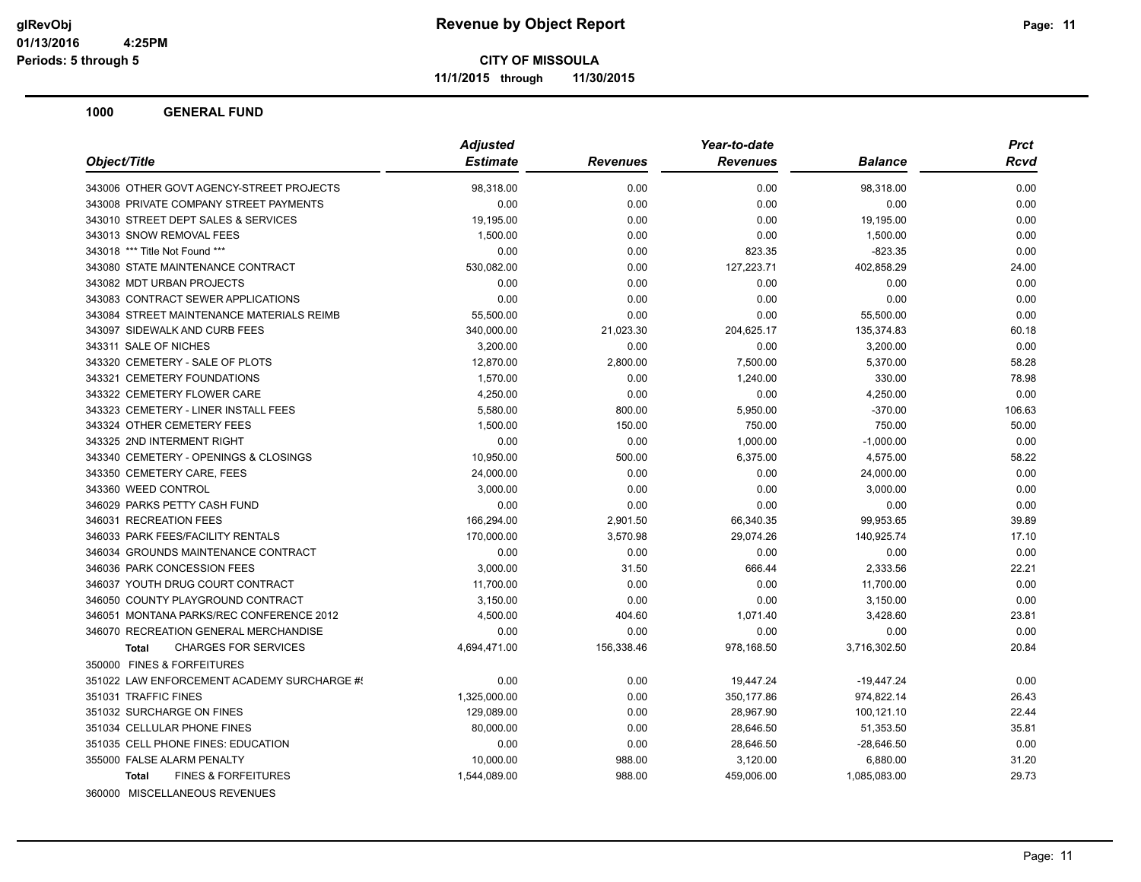**11/1/2015 through 11/30/2015**

| Object/Title                                   | <b>Adjusted</b> |                 | Year-to-date    |                |             |
|------------------------------------------------|-----------------|-----------------|-----------------|----------------|-------------|
|                                                | <b>Estimate</b> | <b>Revenues</b> | <b>Revenues</b> | <b>Balance</b> | <b>Rcvd</b> |
| 343006 OTHER GOVT AGENCY-STREET PROJECTS       | 98,318.00       | 0.00            | 0.00            | 98,318.00      | 0.00        |
| 343008 PRIVATE COMPANY STREET PAYMENTS         | 0.00            | 0.00            | 0.00            | 0.00           | 0.00        |
| 343010 STREET DEPT SALES & SERVICES            | 19,195.00       | 0.00            | 0.00            | 19,195.00      | 0.00        |
| 343013 SNOW REMOVAL FEES                       | 1,500.00        | 0.00            | 0.00            | 1,500.00       | 0.00        |
| 343018 *** Title Not Found ***                 | 0.00            | 0.00            | 823.35          | $-823.35$      | 0.00        |
| 343080 STATE MAINTENANCE CONTRACT              | 530,082.00      | 0.00            | 127,223.71      | 402,858.29     | 24.00       |
| 343082 MDT URBAN PROJECTS                      | 0.00            | 0.00            | 0.00            | 0.00           | 0.00        |
| 343083 CONTRACT SEWER APPLICATIONS             | 0.00            | 0.00            | 0.00            | 0.00           | 0.00        |
| 343084 STREET MAINTENANCE MATERIALS REIMB      | 55,500.00       | 0.00            | 0.00            | 55,500.00      | 0.00        |
| 343097 SIDEWALK AND CURB FEES                  | 340,000.00      | 21,023.30       | 204,625.17      | 135,374.83     | 60.18       |
| 343311 SALE OF NICHES                          | 3,200.00        | 0.00            | 0.00            | 3,200.00       | 0.00        |
| 343320 CEMETERY - SALE OF PLOTS                | 12,870.00       | 2,800.00        | 7,500.00        | 5,370.00       | 58.28       |
| 343321 CEMETERY FOUNDATIONS                    | 1,570.00        | 0.00            | 1,240.00        | 330.00         | 78.98       |
| 343322 CEMETERY FLOWER CARE                    | 4,250.00        | 0.00            | 0.00            | 4,250.00       | 0.00        |
| 343323 CEMETERY - LINER INSTALL FEES           | 5,580.00        | 800.00          | 5,950.00        | $-370.00$      | 106.63      |
| 343324 OTHER CEMETERY FEES                     | 1,500.00        | 150.00          | 750.00          | 750.00         | 50.00       |
| 343325 2ND INTERMENT RIGHT                     | 0.00            | 0.00            | 1,000.00        | $-1,000.00$    | 0.00        |
| 343340 CEMETERY - OPENINGS & CLOSINGS          | 10,950.00       | 500.00          | 6,375.00        | 4,575.00       | 58.22       |
| 343350 CEMETERY CARE, FEES                     | 24,000.00       | 0.00            | 0.00            | 24,000.00      | 0.00        |
| 343360 WEED CONTROL                            | 3,000.00        | 0.00            | 0.00            | 3,000.00       | 0.00        |
| 346029 PARKS PETTY CASH FUND                   | 0.00            | 0.00            | 0.00            | 0.00           | 0.00        |
| 346031 RECREATION FEES                         | 166,294.00      | 2,901.50        | 66,340.35       | 99,953.65      | 39.89       |
| 346033 PARK FEES/FACILITY RENTALS              | 170,000.00      | 3,570.98        | 29,074.26       | 140,925.74     | 17.10       |
| 346034 GROUNDS MAINTENANCE CONTRACT            | 0.00            | 0.00            | 0.00            | 0.00           | 0.00        |
| 346036 PARK CONCESSION FEES                    | 3,000.00        | 31.50           | 666.44          | 2,333.56       | 22.21       |
| 346037 YOUTH DRUG COURT CONTRACT               | 11,700.00       | 0.00            | 0.00            | 11,700.00      | 0.00        |
| 346050 COUNTY PLAYGROUND CONTRACT              | 3,150.00        | 0.00            | 0.00            | 3,150.00       | 0.00        |
| 346051 MONTANA PARKS/REC CONFERENCE 2012       | 4,500.00        | 404.60          | 1,071.40        | 3,428.60       | 23.81       |
| 346070 RECREATION GENERAL MERCHANDISE          | 0.00            | 0.00            | 0.00            | 0.00           | 0.00        |
| <b>CHARGES FOR SERVICES</b><br><b>Total</b>    | 4,694,471.00    | 156,338.46      | 978,168.50      | 3,716,302.50   | 20.84       |
| 350000 FINES & FORFEITURES                     |                 |                 |                 |                |             |
| 351022 LAW ENFORCEMENT ACADEMY SURCHARGE #!    | 0.00            | 0.00            | 19,447.24       | $-19,447.24$   | 0.00        |
| 351031 TRAFFIC FINES                           | 1,325,000.00    | 0.00            | 350.177.86      | 974,822.14     | 26.43       |
| 351032 SURCHARGE ON FINES                      | 129,089.00      | 0.00            | 28,967.90       | 100,121.10     | 22.44       |
| 351034 CELLULAR PHONE FINES                    | 80,000.00       | 0.00            | 28,646.50       | 51,353.50      | 35.81       |
| 351035 CELL PHONE FINES: EDUCATION             | 0.00            | 0.00            | 28,646.50       | $-28,646.50$   | 0.00        |
| 355000 FALSE ALARM PENALTY                     | 10,000.00       | 988.00          | 3,120.00        | 6,880.00       | 31.20       |
| <b>FINES &amp; FORFEITURES</b><br><b>Total</b> | 1,544,089.00    | 988.00          | 459,006.00      | 1,085,083.00   | 29.73       |
| 360000 MISCELLANEOUS REVENUES                  |                 |                 |                 |                |             |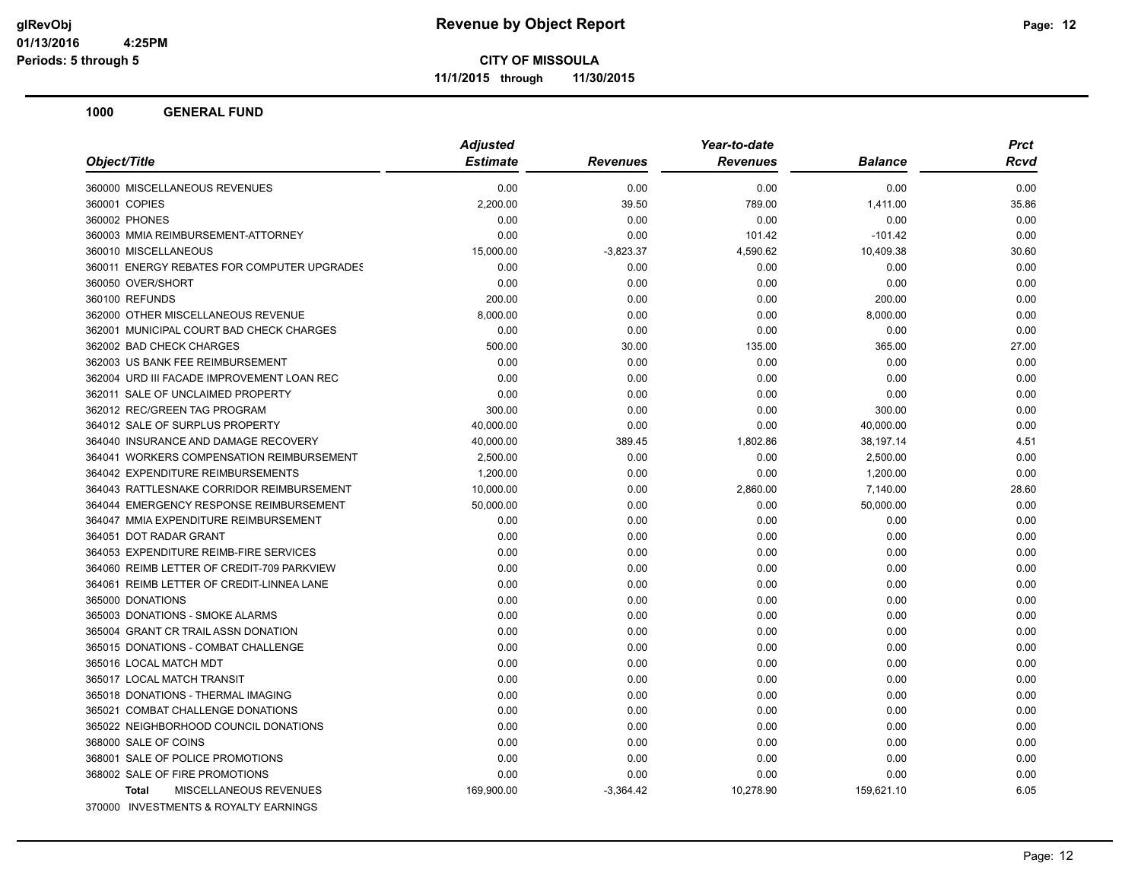**11/1/2015 through 11/30/2015**

|                                               | <b>Adjusted</b> |                 | Year-to-date    |                | <b>Prct</b> |
|-----------------------------------------------|-----------------|-----------------|-----------------|----------------|-------------|
| Object/Title                                  | <b>Estimate</b> | <b>Revenues</b> | <b>Revenues</b> | <b>Balance</b> | Rcvd        |
| 360000 MISCELLANEOUS REVENUES                 | 0.00            | 0.00            | 0.00            | 0.00           | 0.00        |
| 360001 COPIES                                 | 2,200.00        | 39.50           | 789.00          | 1,411.00       | 35.86       |
| 360002 PHONES                                 | 0.00            | 0.00            | 0.00            | 0.00           | 0.00        |
| 360003 MMIA REIMBURSEMENT-ATTORNEY            | 0.00            | 0.00            | 101.42          | $-101.42$      | 0.00        |
| 360010 MISCELLANEOUS                          | 15,000.00       | $-3,823.37$     | 4,590.62        | 10,409.38      | 30.60       |
| 360011 ENERGY REBATES FOR COMPUTER UPGRADES   | 0.00            | 0.00            | 0.00            | 0.00           | 0.00        |
| 360050 OVER/SHORT                             | 0.00            | 0.00            | 0.00            | 0.00           | 0.00        |
| 360100 REFUNDS                                | 200.00          | 0.00            | 0.00            | 200.00         | 0.00        |
| 362000 OTHER MISCELLANEOUS REVENUE            | 8,000.00        | 0.00            | 0.00            | 8,000.00       | 0.00        |
| 362001 MUNICIPAL COURT BAD CHECK CHARGES      | 0.00            | 0.00            | 0.00            | 0.00           | 0.00        |
| 362002 BAD CHECK CHARGES                      | 500.00          | 30.00           | 135.00          | 365.00         | 27.00       |
| 362003 US BANK FEE REIMBURSEMENT              | 0.00            | 0.00            | 0.00            | 0.00           | 0.00        |
| 362004 URD III FACADE IMPROVEMENT LOAN REC    | 0.00            | 0.00            | 0.00            | 0.00           | 0.00        |
| 362011 SALE OF UNCLAIMED PROPERTY             | 0.00            | 0.00            | 0.00            | 0.00           | 0.00        |
| 362012 REC/GREEN TAG PROGRAM                  | 300.00          | 0.00            | 0.00            | 300.00         | 0.00        |
| 364012 SALE OF SURPLUS PROPERTY               | 40,000.00       | 0.00            | 0.00            | 40,000.00      | 0.00        |
| 364040 INSURANCE AND DAMAGE RECOVERY          | 40,000.00       | 389.45          | 1,802.86        | 38,197.14      | 4.51        |
| 364041 WORKERS COMPENSATION REIMBURSEMENT     | 2,500.00        | 0.00            | 0.00            | 2,500.00       | 0.00        |
| 364042 EXPENDITURE REIMBURSEMENTS             | 1,200.00        | 0.00            | 0.00            | 1,200.00       | 0.00        |
| 364043 RATTLESNAKE CORRIDOR REIMBURSEMENT     | 10,000.00       | 0.00            | 2,860.00        | 7,140.00       | 28.60       |
| 364044 EMERGENCY RESPONSE REIMBURSEMENT       | 50,000.00       | 0.00            | 0.00            | 50,000.00      | 0.00        |
| 364047 MMIA EXPENDITURE REIMBURSEMENT         | 0.00            | 0.00            | 0.00            | 0.00           | 0.00        |
| 364051 DOT RADAR GRANT                        | 0.00            | 0.00            | 0.00            | 0.00           | 0.00        |
| 364053 EXPENDITURE REIMB-FIRE SERVICES        | 0.00            | 0.00            | 0.00            | 0.00           | 0.00        |
| 364060 REIMB LETTER OF CREDIT-709 PARKVIEW    | 0.00            | 0.00            | 0.00            | 0.00           | 0.00        |
| 364061 REIMB LETTER OF CREDIT-LINNEA LANE     | 0.00            | 0.00            | 0.00            | 0.00           | 0.00        |
| 365000 DONATIONS                              | 0.00            | 0.00            | 0.00            | 0.00           | 0.00        |
| 365003 DONATIONS - SMOKE ALARMS               | 0.00            | 0.00            | 0.00            | 0.00           | 0.00        |
| 365004 GRANT CR TRAIL ASSN DONATION           | 0.00            | 0.00            | 0.00            | 0.00           | 0.00        |
| 365015 DONATIONS - COMBAT CHALLENGE           | 0.00            | 0.00            | 0.00            | 0.00           | 0.00        |
| 365016 LOCAL MATCH MDT                        | 0.00            | 0.00            | 0.00            | 0.00           | 0.00        |
| 365017 LOCAL MATCH TRANSIT                    | 0.00            | 0.00            | 0.00            | 0.00           | 0.00        |
| 365018 DONATIONS - THERMAL IMAGING            | 0.00            | 0.00            | 0.00            | 0.00           | 0.00        |
| 365021 COMBAT CHALLENGE DONATIONS             | 0.00            | 0.00            | 0.00            | 0.00           | 0.00        |
| 365022 NEIGHBORHOOD COUNCIL DONATIONS         | 0.00            | 0.00            | 0.00            | 0.00           | 0.00        |
| 368000 SALE OF COINS                          | 0.00            | 0.00            | 0.00            | 0.00           | 0.00        |
| 368001 SALE OF POLICE PROMOTIONS              | 0.00            | 0.00            | 0.00            | 0.00           | 0.00        |
| 368002 SALE OF FIRE PROMOTIONS                | 0.00            | 0.00            | 0.00            | 0.00           | 0.00        |
| <b>MISCELLANEOUS REVENUES</b><br><b>Total</b> | 169,900.00      | $-3,364.42$     | 10,278.90       | 159,621.10     | 6.05        |
| 370000 INVESTMENTS & ROYALTY EARNINGS         |                 |                 |                 |                |             |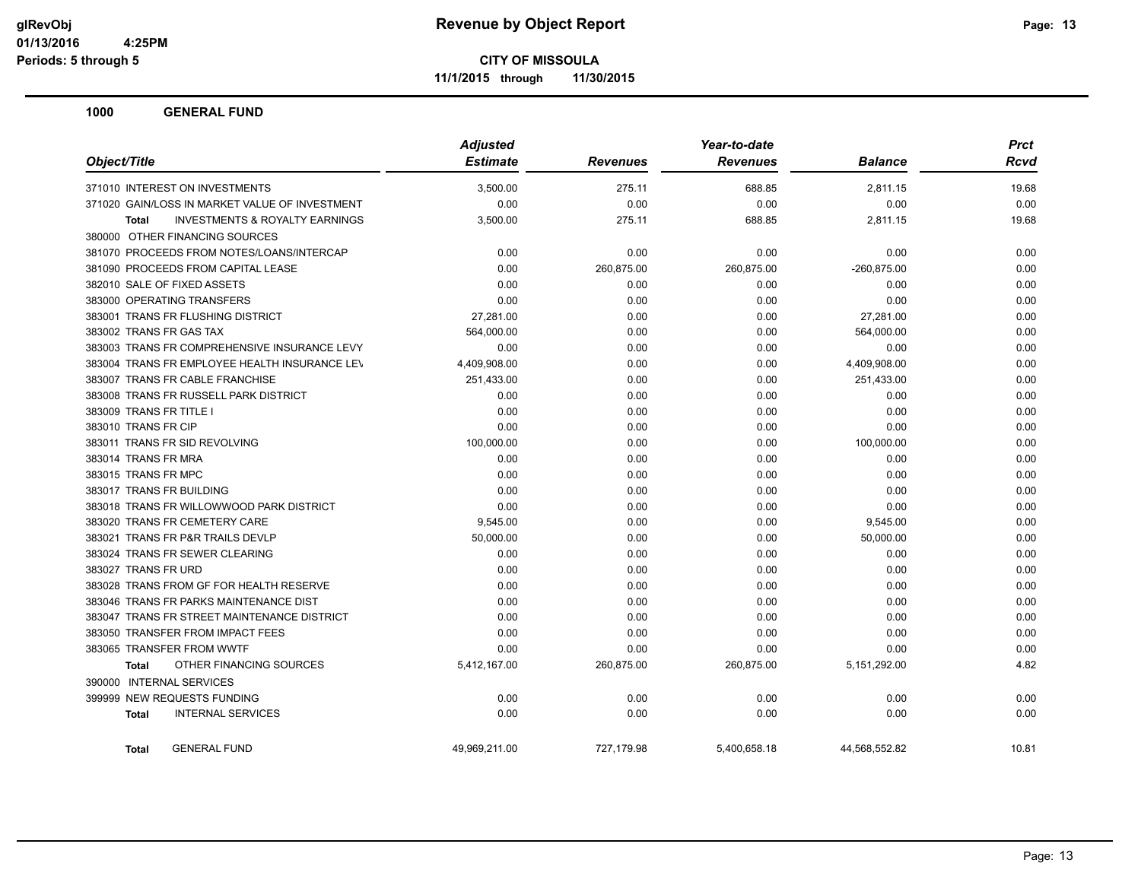**11/1/2015 through 11/30/2015**

|                                                           | <b>Adjusted</b> |                 | Year-to-date    |                | <b>Prct</b> |
|-----------------------------------------------------------|-----------------|-----------------|-----------------|----------------|-------------|
| Object/Title                                              | <b>Estimate</b> | <b>Revenues</b> | <b>Revenues</b> | <b>Balance</b> | <b>Rcvd</b> |
| 371010 INTEREST ON INVESTMENTS                            | 3,500.00        | 275.11          | 688.85          | 2,811.15       | 19.68       |
| 371020 GAIN/LOSS IN MARKET VALUE OF INVESTMENT            | 0.00            | 0.00            | 0.00            | 0.00           | 0.00        |
| <b>INVESTMENTS &amp; ROYALTY EARNINGS</b><br><b>Total</b> | 3,500.00        | 275.11          | 688.85          | 2,811.15       | 19.68       |
| 380000 OTHER FINANCING SOURCES                            |                 |                 |                 |                |             |
| 381070 PROCEEDS FROM NOTES/LOANS/INTERCAP                 | 0.00            | 0.00            | 0.00            | 0.00           | 0.00        |
| 381090 PROCEEDS FROM CAPITAL LEASE                        | 0.00            | 260,875.00      | 260,875.00      | -260,875.00    | 0.00        |
| 382010 SALE OF FIXED ASSETS                               | 0.00            | 0.00            | 0.00            | 0.00           | 0.00        |
| 383000 OPERATING TRANSFERS                                | 0.00            | 0.00            | 0.00            | 0.00           | 0.00        |
| 383001 TRANS FR FLUSHING DISTRICT                         | 27,281.00       | 0.00            | 0.00            | 27,281.00      | 0.00        |
| 383002 TRANS FR GAS TAX                                   | 564,000.00      | 0.00            | 0.00            | 564,000.00     | 0.00        |
| 383003 TRANS FR COMPREHENSIVE INSURANCE LEVY              | 0.00            | 0.00            | 0.00            | 0.00           | 0.00        |
| 383004 TRANS FR EMPLOYEE HEALTH INSURANCE LEV             | 4,409,908.00    | 0.00            | 0.00            | 4,409,908.00   | 0.00        |
| 383007 TRANS FR CABLE FRANCHISE                           | 251,433.00      | 0.00            | 0.00            | 251,433.00     | 0.00        |
| 383008 TRANS FR RUSSELL PARK DISTRICT                     | 0.00            | 0.00            | 0.00            | 0.00           | 0.00        |
| 383009 TRANS FR TITLE I                                   | 0.00            | 0.00            | 0.00            | 0.00           | 0.00        |
| 383010 TRANS FR CIP                                       | 0.00            | 0.00            | 0.00            | 0.00           | 0.00        |
| 383011 TRANS FR SID REVOLVING                             | 100,000.00      | 0.00            | 0.00            | 100,000.00     | 0.00        |
| 383014 TRANS FR MRA                                       | 0.00            | 0.00            | 0.00            | 0.00           | 0.00        |
| 383015 TRANS FR MPC                                       | 0.00            | 0.00            | 0.00            | 0.00           | 0.00        |
| 383017 TRANS FR BUILDING                                  | 0.00            | 0.00            | 0.00            | 0.00           | 0.00        |
| 383018 TRANS FR WILLOWWOOD PARK DISTRICT                  | 0.00            | 0.00            | 0.00            | 0.00           | 0.00        |
| 383020 TRANS FR CEMETERY CARE                             | 9,545.00        | 0.00            | 0.00            | 9,545.00       | 0.00        |
| 383021 TRANS FR P&R TRAILS DEVLP                          | 50,000.00       | 0.00            | 0.00            | 50,000.00      | 0.00        |
| 383024 TRANS FR SEWER CLEARING                            | 0.00            | 0.00            | 0.00            | 0.00           | 0.00        |
| 383027 TRANS FR URD                                       | 0.00            | 0.00            | 0.00            | 0.00           | 0.00        |
| 383028 TRANS FROM GF FOR HEALTH RESERVE                   | 0.00            | 0.00            | 0.00            | 0.00           | 0.00        |
| 383046 TRANS FR PARKS MAINTENANCE DIST                    | 0.00            | 0.00            | 0.00            | 0.00           | 0.00        |
| 383047 TRANS FR STREET MAINTENANCE DISTRICT               | 0.00            | 0.00            | 0.00            | 0.00           | 0.00        |
| 383050 TRANSFER FROM IMPACT FEES                          | 0.00            | 0.00            | 0.00            | 0.00           | 0.00        |
| 383065 TRANSFER FROM WWTF                                 | 0.00            | 0.00            | 0.00            | 0.00           | 0.00        |
| OTHER FINANCING SOURCES<br><b>Total</b>                   | 5,412,167.00    | 260,875.00      | 260,875.00      | 5,151,292.00   | 4.82        |
| 390000 INTERNAL SERVICES                                  |                 |                 |                 |                |             |
| 399999 NEW REQUESTS FUNDING                               | 0.00            | 0.00            | 0.00            | 0.00           | 0.00        |
| <b>INTERNAL SERVICES</b><br><b>Total</b>                  | 0.00            | 0.00            | 0.00            | 0.00           | 0.00        |
| <b>GENERAL FUND</b><br><b>Total</b>                       | 49,969,211.00   | 727,179.98      | 5,400,658.18    | 44,568,552.82  | 10.81       |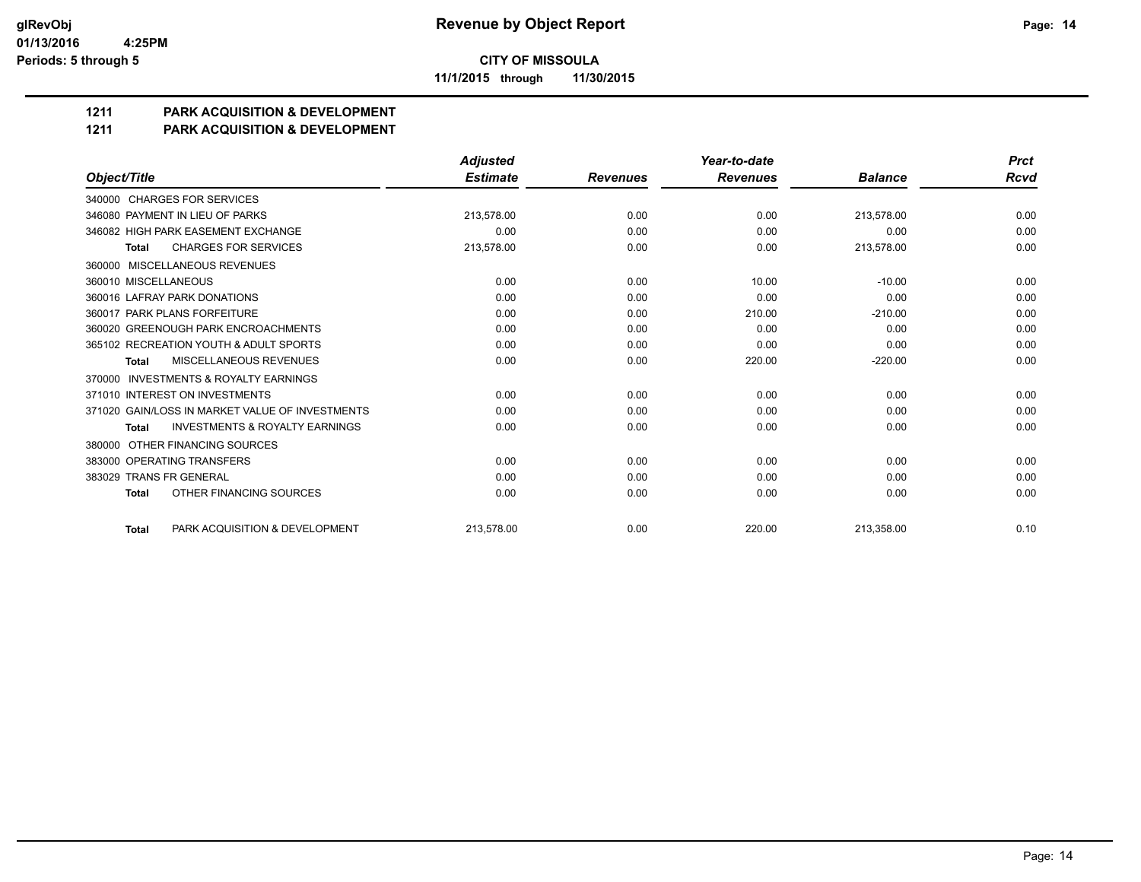**11/1/2015 through 11/30/2015**

# **1211 PARK ACQUISITION & DEVELOPMENT**

### **1211 PARK ACQUISITION & DEVELOPMENT**

|                                                           | <b>Adjusted</b> |                 | Year-to-date    |                | <b>Prct</b> |
|-----------------------------------------------------------|-----------------|-----------------|-----------------|----------------|-------------|
| Object/Title                                              | <b>Estimate</b> | <b>Revenues</b> | <b>Revenues</b> | <b>Balance</b> | <b>Rcvd</b> |
| 340000 CHARGES FOR SERVICES                               |                 |                 |                 |                |             |
| 346080 PAYMENT IN LIEU OF PARKS                           | 213,578.00      | 0.00            | 0.00            | 213.578.00     | 0.00        |
| 346082 HIGH PARK EASEMENT EXCHANGE                        | 0.00            | 0.00            | 0.00            | 0.00           | 0.00        |
| <b>CHARGES FOR SERVICES</b><br>Total                      | 213,578.00      | 0.00            | 0.00            | 213,578.00     | 0.00        |
| MISCELLANEOUS REVENUES<br>360000                          |                 |                 |                 |                |             |
| 360010 MISCELLANEOUS                                      | 0.00            | 0.00            | 10.00           | $-10.00$       | 0.00        |
| 360016 LAFRAY PARK DONATIONS                              | 0.00            | 0.00            | 0.00            | 0.00           | 0.00        |
| 360017 PARK PLANS FORFEITURE                              | 0.00            | 0.00            | 210.00          | $-210.00$      | 0.00        |
| 360020 GREENOUGH PARK ENCROACHMENTS                       | 0.00            | 0.00            | 0.00            | 0.00           | 0.00        |
| 365102 RECREATION YOUTH & ADULT SPORTS                    | 0.00            | 0.00            | 0.00            | 0.00           | 0.00        |
| MISCELLANEOUS REVENUES<br><b>Total</b>                    | 0.00            | 0.00            | 220.00          | $-220.00$      | 0.00        |
| <b>INVESTMENTS &amp; ROYALTY EARNINGS</b><br>370000       |                 |                 |                 |                |             |
| 371010 INTEREST ON INVESTMENTS                            | 0.00            | 0.00            | 0.00            | 0.00           | 0.00        |
| 371020 GAIN/LOSS IN MARKET VALUE OF INVESTMENTS           | 0.00            | 0.00            | 0.00            | 0.00           | 0.00        |
| <b>INVESTMENTS &amp; ROYALTY EARNINGS</b><br><b>Total</b> | 0.00            | 0.00            | 0.00            | 0.00           | 0.00        |
| OTHER FINANCING SOURCES<br>380000                         |                 |                 |                 |                |             |
| 383000 OPERATING TRANSFERS                                | 0.00            | 0.00            | 0.00            | 0.00           | 0.00        |
| 383029 TRANS FR GENERAL                                   | 0.00            | 0.00            | 0.00            | 0.00           | 0.00        |
| OTHER FINANCING SOURCES<br><b>Total</b>                   | 0.00            | 0.00            | 0.00            | 0.00           | 0.00        |
| PARK ACQUISITION & DEVELOPMENT<br><b>Total</b>            | 213.578.00      | 0.00            | 220.00          | 213.358.00     | 0.10        |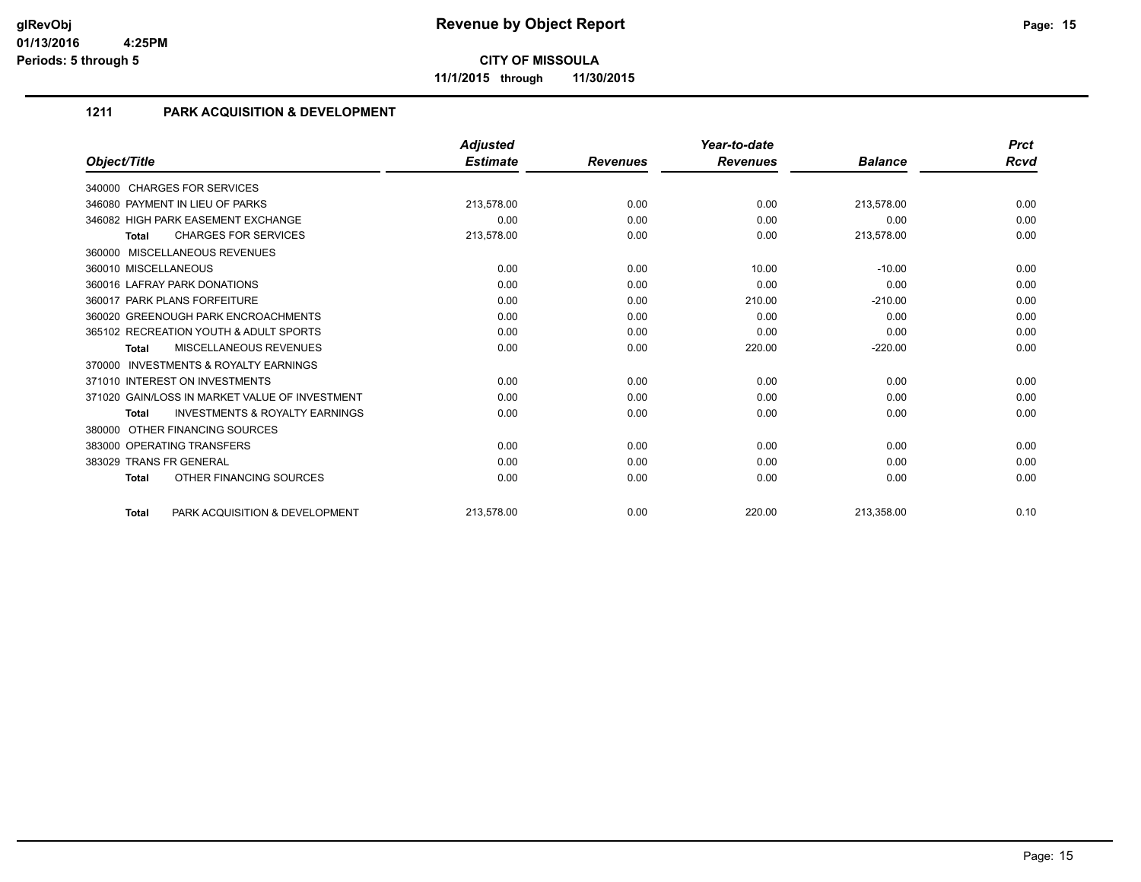**11/1/2015 through 11/30/2015**

# **1211 PARK ACQUISITION & DEVELOPMENT**

|                                                           | <b>Adjusted</b> |                 | Year-to-date    |                | <b>Prct</b> |
|-----------------------------------------------------------|-----------------|-----------------|-----------------|----------------|-------------|
| Object/Title                                              | <b>Estimate</b> | <b>Revenues</b> | <b>Revenues</b> | <b>Balance</b> | Rcvd        |
| 340000 CHARGES FOR SERVICES                               |                 |                 |                 |                |             |
| 346080 PAYMENT IN LIEU OF PARKS                           | 213,578.00      | 0.00            | 0.00            | 213,578.00     | 0.00        |
| 346082 HIGH PARK EASEMENT EXCHANGE                        | 0.00            | 0.00            | 0.00            | 0.00           | 0.00        |
| <b>CHARGES FOR SERVICES</b><br>Total                      | 213,578.00      | 0.00            | 0.00            | 213,578.00     | 0.00        |
| 360000 MISCELLANEOUS REVENUES                             |                 |                 |                 |                |             |
| 360010 MISCELLANEOUS                                      | 0.00            | 0.00            | 10.00           | $-10.00$       | 0.00        |
| 360016 LAFRAY PARK DONATIONS                              | 0.00            | 0.00            | 0.00            | 0.00           | 0.00        |
| 360017 PARK PLANS FORFEITURE                              | 0.00            | 0.00            | 210.00          | $-210.00$      | 0.00        |
| 360020 GREENOUGH PARK ENCROACHMENTS                       | 0.00            | 0.00            | 0.00            | 0.00           | 0.00        |
| 365102 RECREATION YOUTH & ADULT SPORTS                    | 0.00            | 0.00            | 0.00            | 0.00           | 0.00        |
| <b>MISCELLANEOUS REVENUES</b><br>Total                    | 0.00            | 0.00            | 220.00          | $-220.00$      | 0.00        |
| <b>INVESTMENTS &amp; ROYALTY EARNINGS</b><br>370000       |                 |                 |                 |                |             |
| 371010 INTEREST ON INVESTMENTS                            | 0.00            | 0.00            | 0.00            | 0.00           | 0.00        |
| 371020 GAIN/LOSS IN MARKET VALUE OF INVESTMENT            | 0.00            | 0.00            | 0.00            | 0.00           | 0.00        |
| <b>INVESTMENTS &amp; ROYALTY EARNINGS</b><br><b>Total</b> | 0.00            | 0.00            | 0.00            | 0.00           | 0.00        |
| 380000 OTHER FINANCING SOURCES                            |                 |                 |                 |                |             |
| 383000 OPERATING TRANSFERS                                | 0.00            | 0.00            | 0.00            | 0.00           | 0.00        |
| 383029 TRANS FR GENERAL                                   | 0.00            | 0.00            | 0.00            | 0.00           | 0.00        |
| OTHER FINANCING SOURCES<br><b>Total</b>                   | 0.00            | 0.00            | 0.00            | 0.00           | 0.00        |
| PARK ACQUISITION & DEVELOPMENT<br><b>Total</b>            | 213,578.00      | 0.00            | 220.00          | 213,358.00     | 0.10        |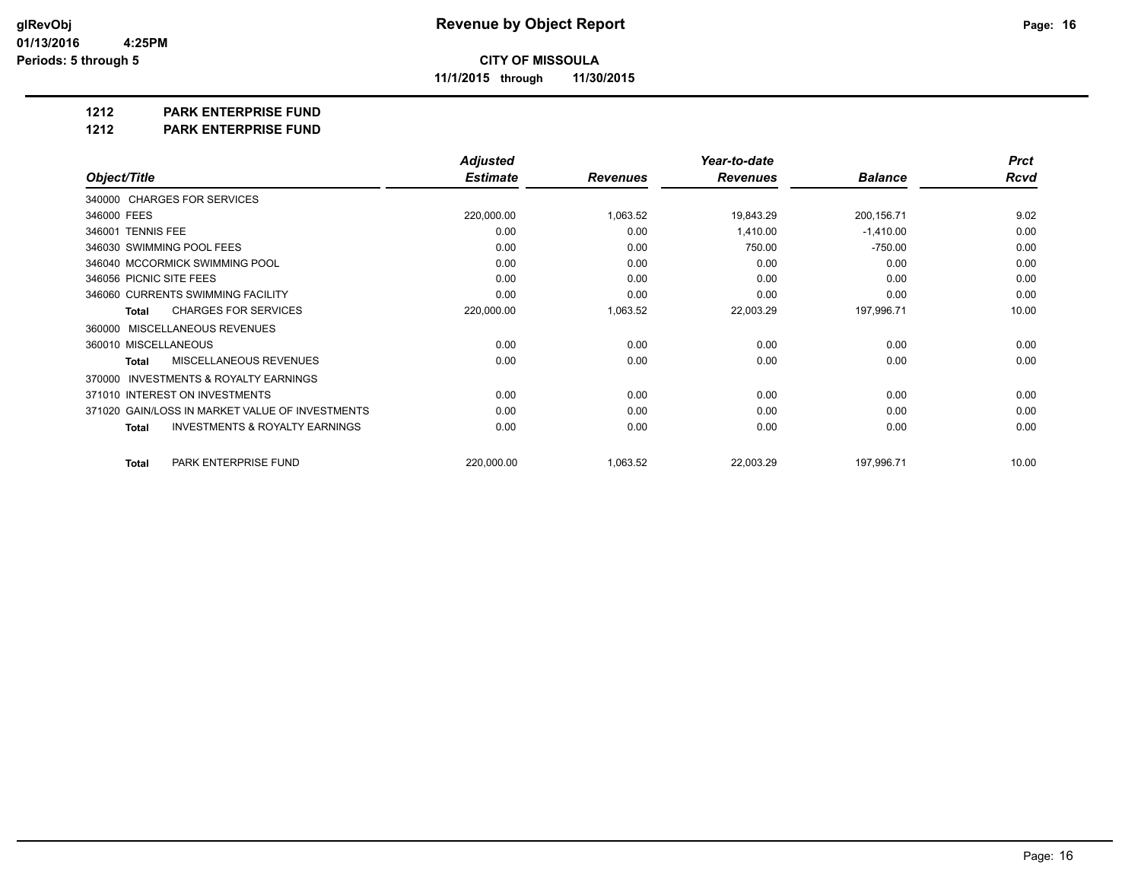**11/1/2015 through 11/30/2015**

**1212 PARK ENTERPRISE FUND**

**1212 PARK ENTERPRISE FUND**

|                                                           | <b>Adjusted</b> |                 | Year-to-date    |                | <b>Prct</b> |
|-----------------------------------------------------------|-----------------|-----------------|-----------------|----------------|-------------|
| Object/Title                                              | <b>Estimate</b> | <b>Revenues</b> | <b>Revenues</b> | <b>Balance</b> | <b>Rcvd</b> |
| 340000 CHARGES FOR SERVICES                               |                 |                 |                 |                |             |
| 346000 FEES                                               | 220,000.00      | 1,063.52        | 19,843.29       | 200,156.71     | 9.02        |
| 346001 TENNIS FEE                                         | 0.00            | 0.00            | 1,410.00        | $-1,410.00$    | 0.00        |
| 346030 SWIMMING POOL FEES                                 | 0.00            | 0.00            | 750.00          | $-750.00$      | 0.00        |
| 346040 MCCORMICK SWIMMING POOL                            | 0.00            | 0.00            | 0.00            | 0.00           | 0.00        |
| 346056 PICNIC SITE FEES                                   | 0.00            | 0.00            | 0.00            | 0.00           | 0.00        |
| 346060 CURRENTS SWIMMING FACILITY                         | 0.00            | 0.00            | 0.00            | 0.00           | 0.00        |
| <b>CHARGES FOR SERVICES</b><br>Total                      | 220,000.00      | 1,063.52        | 22,003.29       | 197,996.71     | 10.00       |
| MISCELLANEOUS REVENUES<br>360000                          |                 |                 |                 |                |             |
| 360010 MISCELLANEOUS                                      | 0.00            | 0.00            | 0.00            | 0.00           | 0.00        |
| <b>MISCELLANEOUS REVENUES</b><br><b>Total</b>             | 0.00            | 0.00            | 0.00            | 0.00           | 0.00        |
| <b>INVESTMENTS &amp; ROYALTY EARNINGS</b><br>370000       |                 |                 |                 |                |             |
| 371010 INTEREST ON INVESTMENTS                            | 0.00            | 0.00            | 0.00            | 0.00           | 0.00        |
| 371020 GAIN/LOSS IN MARKET VALUE OF INVESTMENTS           | 0.00            | 0.00            | 0.00            | 0.00           | 0.00        |
| <b>INVESTMENTS &amp; ROYALTY EARNINGS</b><br><b>Total</b> | 0.00            | 0.00            | 0.00            | 0.00           | 0.00        |
| PARK ENTERPRISE FUND<br><b>Total</b>                      | 220,000.00      | 1,063.52        | 22,003.29       | 197,996.71     | 10.00       |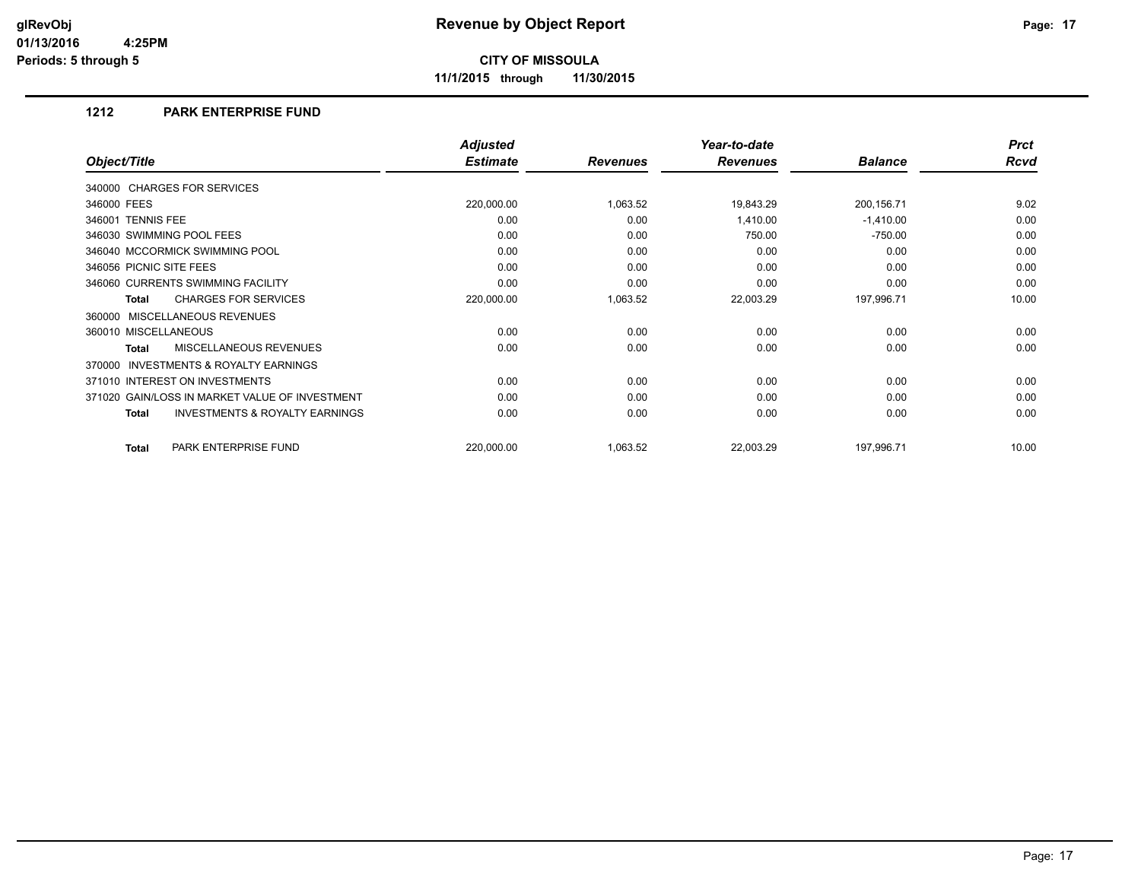**11/1/2015 through 11/30/2015**

### **1212 PARK ENTERPRISE FUND**

|                                                           | <b>Adjusted</b> |                 | Year-to-date    |                | <b>Prct</b> |
|-----------------------------------------------------------|-----------------|-----------------|-----------------|----------------|-------------|
| Object/Title                                              | <b>Estimate</b> | <b>Revenues</b> | <b>Revenues</b> | <b>Balance</b> | <b>Rcvd</b> |
| 340000 CHARGES FOR SERVICES                               |                 |                 |                 |                |             |
| 346000 FEES                                               | 220,000.00      | 1,063.52        | 19,843.29       | 200,156.71     | 9.02        |
| 346001 TENNIS FEE                                         | 0.00            | 0.00            | 1,410.00        | $-1,410.00$    | 0.00        |
| 346030 SWIMMING POOL FEES                                 | 0.00            | 0.00            | 750.00          | $-750.00$      | 0.00        |
| 346040 MCCORMICK SWIMMING POOL                            | 0.00            | 0.00            | 0.00            | 0.00           | 0.00        |
| 346056 PICNIC SITE FEES                                   | 0.00            | 0.00            | 0.00            | 0.00           | 0.00        |
| 346060 CURRENTS SWIMMING FACILITY                         | 0.00            | 0.00            | 0.00            | 0.00           | 0.00        |
| <b>CHARGES FOR SERVICES</b><br><b>Total</b>               | 220,000.00      | 1,063.52        | 22,003.29       | 197,996.71     | 10.00       |
| 360000 MISCELLANEOUS REVENUES                             |                 |                 |                 |                |             |
| 360010 MISCELLANEOUS                                      | 0.00            | 0.00            | 0.00            | 0.00           | 0.00        |
| <b>MISCELLANEOUS REVENUES</b><br><b>Total</b>             | 0.00            | 0.00            | 0.00            | 0.00           | 0.00        |
| INVESTMENTS & ROYALTY EARNINGS<br>370000                  |                 |                 |                 |                |             |
| 371010 INTEREST ON INVESTMENTS                            | 0.00            | 0.00            | 0.00            | 0.00           | 0.00        |
| 371020 GAIN/LOSS IN MARKET VALUE OF INVESTMENT            | 0.00            | 0.00            | 0.00            | 0.00           | 0.00        |
| <b>INVESTMENTS &amp; ROYALTY EARNINGS</b><br><b>Total</b> | 0.00            | 0.00            | 0.00            | 0.00           | 0.00        |
| PARK ENTERPRISE FUND<br><b>Total</b>                      | 220,000.00      | 1,063.52        | 22,003.29       | 197,996.71     | 10.00       |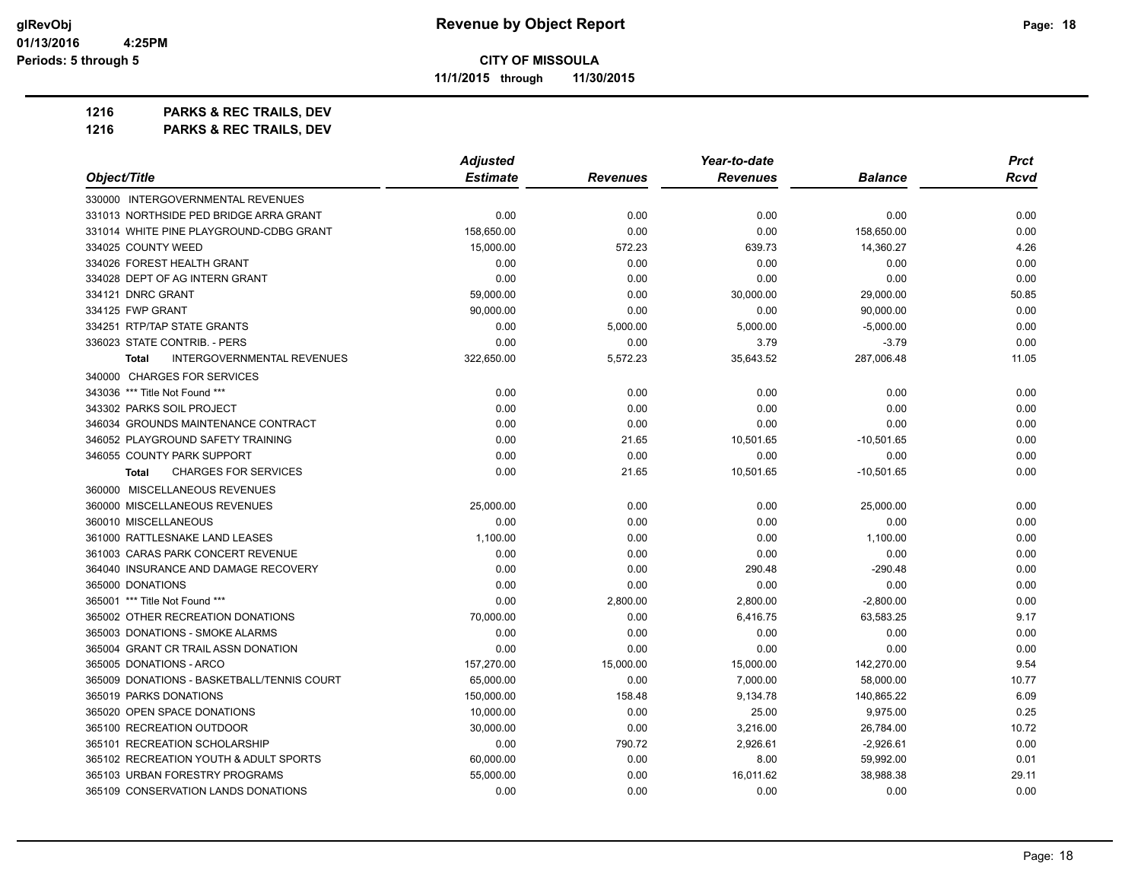**11/1/2015 through 11/30/2015**

**1216 PARKS & REC TRAILS, DEV 1216 PARKS & REC TRAILS, DEV**

*Object/Title Adjusted Estimate Revenues Year-to-date Revenues Balance Prct Rcvd* 330000 INTERGOVERNMENTAL REVENUES 331013 NORTHSIDE PED BRIDGE ARRA GRANT 0.00 0.00 0.00 0.00 0.00 331014 WHITE PINE PLAYGROUND-CDBG GRANT 158,650.00 0.00 158,650.00 0.00 0 334025 COUNTY WEED 15,000.00 572.23 639.73 14,360.27 4.26 334026 FOREST HEALTH GRANT 0.00 0.00 0.00 0.00 0.00 334028 DEPT OF AG INTERN GRANT 0.00 0.00 0.00 0.00 0.00 334121 DNRC GRANT 59,000.00 0.00 30,000.00 29,000.00 50.85 334125 FWP GRANT 90,000.00 0.00 0.00 90,000.00 0.00 334251 RTP/TAP STATE GRANTS 0.00 5,000.00 5,000.00 -5,000.00 0.00 336023 STATE CONTRIB. - PERS 0.00 0.00 0.00 0.00 0.00 0.00 3.79 -3.79 -3.79 0.00 **Total** INTERGOVERNMENTAL REVENUES 322,650.00 5,572.23 35,643.52 287,006.48 11.05 340000 CHARGES FOR SERVICES 343036 \*\*\* Title Not Found \*\*\* 0.00 0.00 0.00 0.00 0.00 343302 PARKS SOIL PROJECT 0.00 0.00 0.00 0.00 0.00 346034 GROUNDS MAINTENANCE CONTRACT 0.00 0.00 0.00 0.00 0.00 346052 PLAYGROUND SAFETY TRAINING 0.00 21.65 10,501.65 -10,501.65 0.00 346055 COUNTY PARK SUPPORT 0.00 0.00 0.00 0.00 0.00 **Total** CHARGES FOR SERVICES 0.00 21.65 10,501.65 -10,501.65 0.00 360000 MISCELLANEOUS REVENUES 360000 MISCELLANEOUS REVENUES 25,000.00 0.00 0.00 25,000.00 0.00 360010 MISCELLANEOUS 0.00 0.00 0.00 0.00 0.00 361000 RATTLESNAKE LAND LEASES 1,100.00 0.00 0.00 1,100.00 0.00 361003 CARAS PARK CONCERT REVENUE 0.00 0.00 0.00 0.00 0.00 364040 INSURANCE AND DAMAGE RECOVERY 0.00 0.00 290.48 -290.48 0.00 365000 DONATIONS 0.00 0.00 0.00 0.00 0.00 365001 \*\*\* Title Not Found \*\*\* 0.00 2,800.00 2,800.00 -2,800.00 0.00 365002 OTHER RECREATION DONATIONS 70,000.00 0.00 6,416.75 63,583.25 9.17 365003 DONATIONS - SMOKE ALARMS 0.00 0.00 0.00 0.00 0.00 365004 GRANT CR TRAIL ASSN DONATION 0.00 0.00 0.00 0.00 0.00 365005 DONATIONS - ARCO 157,270.00 15,000.00 15,000.00 142,270.00 9.54 365009 DONATIONS - BASKETBALL/TENNIS COURT 65,000.00 0.00 7,000.00 58,000.00 10.77 365019 PARKS DONATIONS 150,000.00 158.48 9,134.78 140,865.22 6.09 365020 OPEN SPACE DONATIONS 10,000.00 0.00 25.00 9,975.00 0.25 365100 RECREATION OUTDOOR 30,000.00 0.00 3,216.00 26,784.00 10.72 365101 RECREATION SCHOLARSHIP 0.00 790.72 2,926.61 -2,926.61 0.00 365102 RECREATION YOUTH & ADULT SPORTS 60,000.00 0.00 8.00 59,992.00 0.01 365103 URBAN FORESTRY PROGRAMS 55,000.00 0.00 16,011.62 38,988.38 29.11 365109 CONSERVATION LANDS DONATIONS 0.00 0.00 0.00 0.00 0.00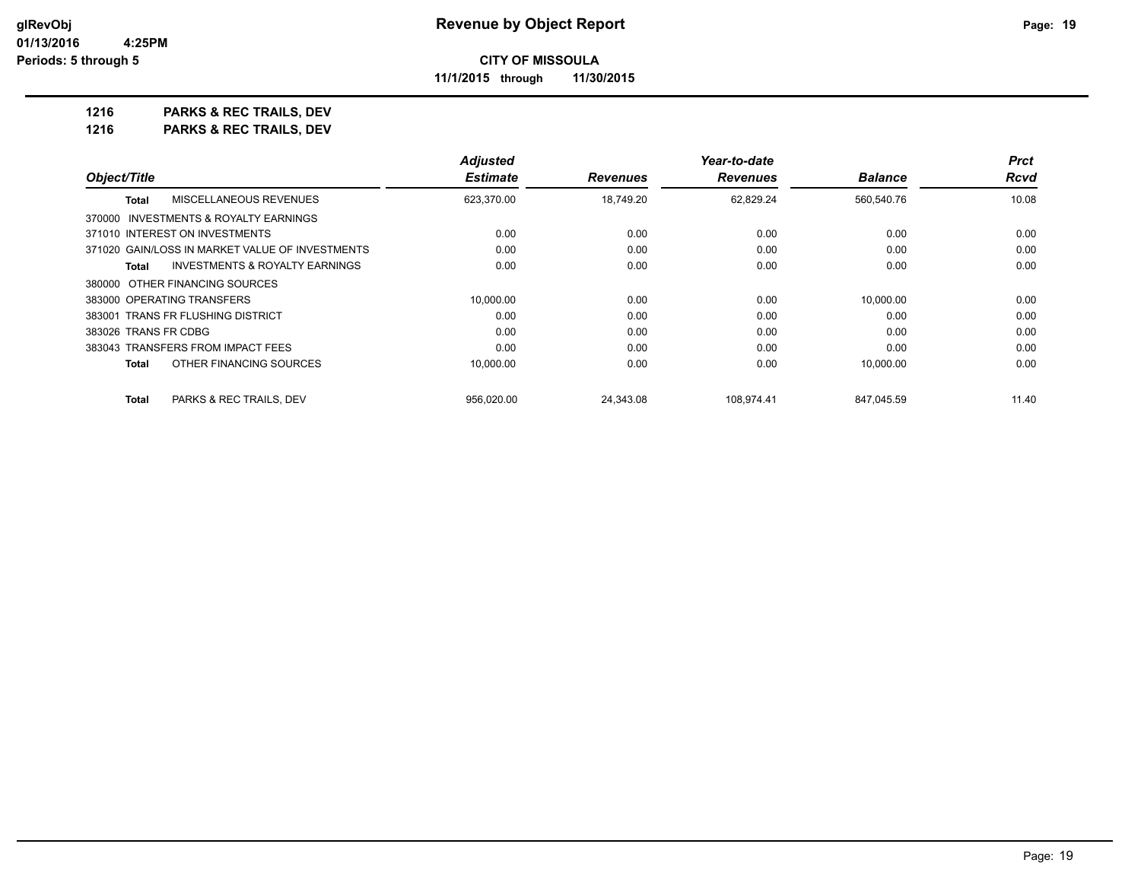**11/1/2015 through 11/30/2015**

**1216 PARKS & REC TRAILS, DEV 1216 PARKS & REC TRAILS, DEV**

| Object/Title                                       | <b>Adjusted</b><br><b>Estimate</b> | <b>Revenues</b> | Year-to-date<br><b>Revenues</b> | <b>Balance</b> | <b>Prct</b><br>Rcvd |
|----------------------------------------------------|------------------------------------|-----------------|---------------------------------|----------------|---------------------|
| <b>MISCELLANEOUS REVENUES</b><br>Total             | 623,370.00                         | 18.749.20       | 62,829.24                       | 560,540.76     | 10.08               |
| INVESTMENTS & ROYALTY EARNINGS<br>370000           |                                    |                 |                                 |                |                     |
| 371010 INTEREST ON INVESTMENTS                     | 0.00                               | 0.00            | 0.00                            | 0.00           | 0.00                |
| 371020 GAIN/LOSS IN MARKET VALUE OF INVESTMENTS    | 0.00                               | 0.00            | 0.00                            | 0.00           | 0.00                |
| <b>INVESTMENTS &amp; ROYALTY EARNINGS</b><br>Total | 0.00                               | 0.00            | 0.00                            | 0.00           | 0.00                |
| 380000 OTHER FINANCING SOURCES                     |                                    |                 |                                 |                |                     |
| 383000 OPERATING TRANSFERS                         | 10.000.00                          | 0.00            | 0.00                            | 10,000.00      | 0.00                |
| 383001 TRANS FR FLUSHING DISTRICT                  | 0.00                               | 0.00            | 0.00                            | 0.00           | 0.00                |
| 383026 TRANS FR CDBG                               | 0.00                               | 0.00            | 0.00                            | 0.00           | 0.00                |
| 383043 TRANSFERS FROM IMPACT FEES                  | 0.00                               | 0.00            | 0.00                            | 0.00           | 0.00                |
| OTHER FINANCING SOURCES<br><b>Total</b>            | 10,000.00                          | 0.00            | 0.00                            | 10,000.00      | 0.00                |
| <b>Total</b><br>PARKS & REC TRAILS, DEV            | 956.020.00                         | 24.343.08       | 108.974.41                      | 847.045.59     | 11.40               |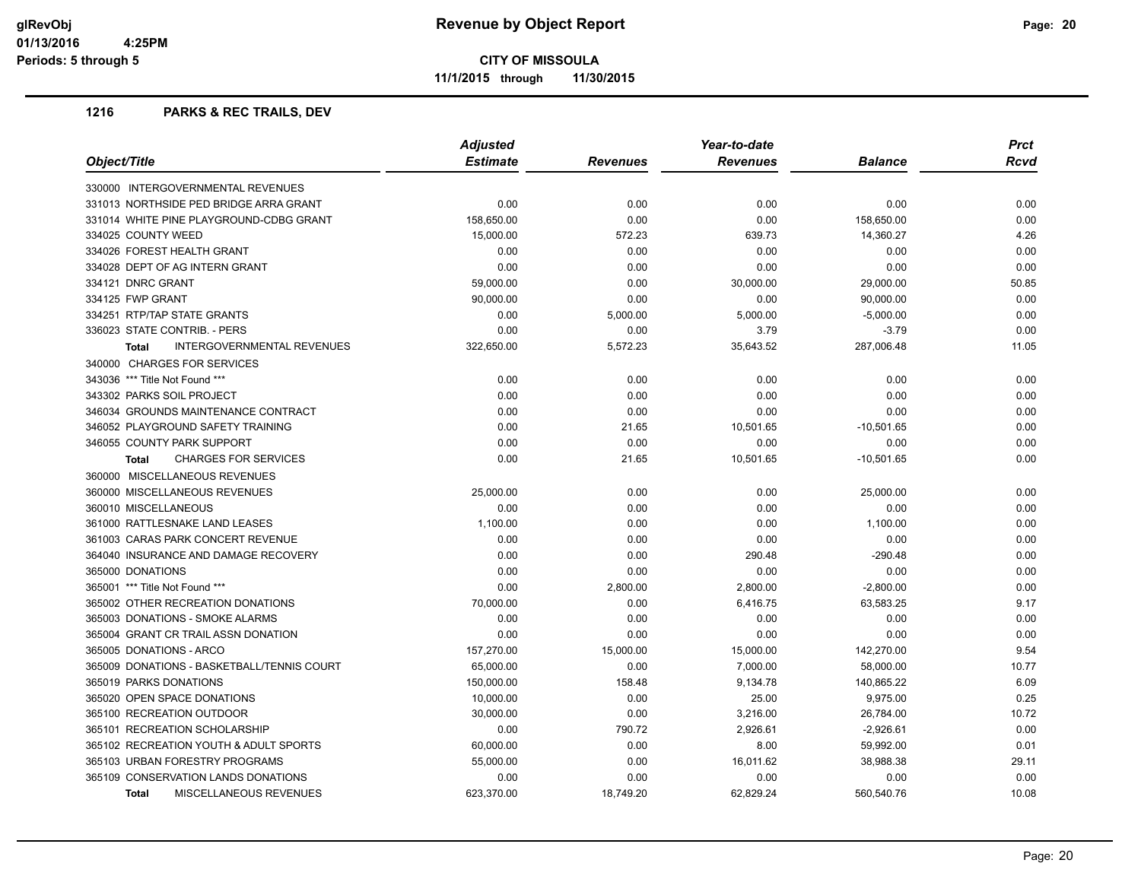**11/1/2015 through 11/30/2015**

### **1216 PARKS & REC TRAILS, DEV**

|                                                   | <b>Adjusted</b> |           | Year-to-date    |                | <b>Prct</b> |
|---------------------------------------------------|-----------------|-----------|-----------------|----------------|-------------|
| Object/Title                                      | <b>Estimate</b> | Revenues  | <b>Revenues</b> | <b>Balance</b> | Rcvd        |
| 330000 INTERGOVERNMENTAL REVENUES                 |                 |           |                 |                |             |
| 331013 NORTHSIDE PED BRIDGE ARRA GRANT            | 0.00            | 0.00      | 0.00            | 0.00           | 0.00        |
| 331014 WHITE PINE PLAYGROUND-CDBG GRANT           | 158,650.00      | 0.00      | 0.00            | 158,650.00     | 0.00        |
| 334025 COUNTY WEED                                | 15,000.00       | 572.23    | 639.73          | 14,360.27      | 4.26        |
| 334026 FOREST HEALTH GRANT                        | 0.00            | 0.00      | 0.00            | 0.00           | 0.00        |
| 334028 DEPT OF AG INTERN GRANT                    | 0.00            | 0.00      | 0.00            | 0.00           | 0.00        |
| 334121 DNRC GRANT                                 | 59,000.00       | 0.00      | 30,000.00       | 29,000.00      | 50.85       |
| 334125 FWP GRANT                                  | 90,000.00       | 0.00      | 0.00            | 90,000.00      | 0.00        |
| 334251 RTP/TAP STATE GRANTS                       | 0.00            | 5,000.00  | 5,000.00        | $-5,000.00$    | 0.00        |
| 336023 STATE CONTRIB. - PERS                      | 0.00            | 0.00      | 3.79            | $-3.79$        | 0.00        |
| <b>INTERGOVERNMENTAL REVENUES</b><br><b>Total</b> | 322,650.00      | 5,572.23  | 35,643.52       | 287,006.48     | 11.05       |
| 340000 CHARGES FOR SERVICES                       |                 |           |                 |                |             |
| 343036 *** Title Not Found ***                    | 0.00            | 0.00      | 0.00            | 0.00           | 0.00        |
| 343302 PARKS SOIL PROJECT                         | 0.00            | 0.00      | 0.00            | 0.00           | 0.00        |
| 346034 GROUNDS MAINTENANCE CONTRACT               | 0.00            | 0.00      | 0.00            | 0.00           | 0.00        |
| 346052 PLAYGROUND SAFETY TRAINING                 | 0.00            | 21.65     | 10,501.65       | $-10,501.65$   | 0.00        |
| 346055 COUNTY PARK SUPPORT                        | 0.00            | 0.00      | 0.00            | 0.00           | 0.00        |
| <b>CHARGES FOR SERVICES</b><br>Total              | 0.00            | 21.65     | 10,501.65       | $-10,501.65$   | 0.00        |
| 360000 MISCELLANEOUS REVENUES                     |                 |           |                 |                |             |
| 360000 MISCELLANEOUS REVENUES                     | 25,000.00       | 0.00      | 0.00            | 25,000.00      | 0.00        |
| 360010 MISCELLANEOUS                              | 0.00            | 0.00      | 0.00            | 0.00           | 0.00        |
| 361000 RATTLESNAKE LAND LEASES                    | 1,100.00        | 0.00      | 0.00            | 1,100.00       | 0.00        |
| 361003 CARAS PARK CONCERT REVENUE                 | 0.00            | 0.00      | 0.00            | 0.00           | 0.00        |
| 364040 INSURANCE AND DAMAGE RECOVERY              | 0.00            | 0.00      | 290.48          | $-290.48$      | 0.00        |
| 365000 DONATIONS                                  | 0.00            | 0.00      | 0.00            | 0.00           | 0.00        |
| 365001 *** Title Not Found ***                    | 0.00            | 2,800.00  | 2,800.00        | $-2,800.00$    | 0.00        |
| 365002 OTHER RECREATION DONATIONS                 | 70,000.00       | 0.00      | 6,416.75        | 63,583.25      | 9.17        |
| 365003 DONATIONS - SMOKE ALARMS                   | 0.00            | 0.00      | 0.00            | 0.00           | 0.00        |
| 365004 GRANT CR TRAIL ASSN DONATION               | 0.00            | 0.00      | 0.00            | 0.00           | 0.00        |
| 365005 DONATIONS - ARCO                           | 157,270.00      | 15,000.00 | 15,000.00       | 142,270.00     | 9.54        |
| 365009 DONATIONS - BASKETBALL/TENNIS COURT        | 65,000.00       | 0.00      | 7,000.00        | 58,000.00      | 10.77       |
| 365019 PARKS DONATIONS                            | 150,000.00      | 158.48    | 9,134.78        | 140,865.22     | 6.09        |
| 365020 OPEN SPACE DONATIONS                       | 10,000.00       | 0.00      | 25.00           | 9,975.00       | 0.25        |
| 365100 RECREATION OUTDOOR                         | 30,000.00       | 0.00      | 3,216.00        | 26,784.00      | 10.72       |
| 365101 RECREATION SCHOLARSHIP                     | 0.00            | 790.72    | 2,926.61        | $-2,926.61$    | 0.00        |
| 365102 RECREATION YOUTH & ADULT SPORTS            | 60,000.00       | 0.00      | 8.00            | 59,992.00      | 0.01        |
| 365103 URBAN FORESTRY PROGRAMS                    | 55,000.00       | 0.00      | 16,011.62       | 38,988.38      | 29.11       |
| 365109 CONSERVATION LANDS DONATIONS               | 0.00            | 0.00      | 0.00            | 0.00           | 0.00        |
| <b>MISCELLANEOUS REVENUES</b><br><b>Total</b>     | 623.370.00      | 18.749.20 | 62.829.24       | 560.540.76     | 10.08       |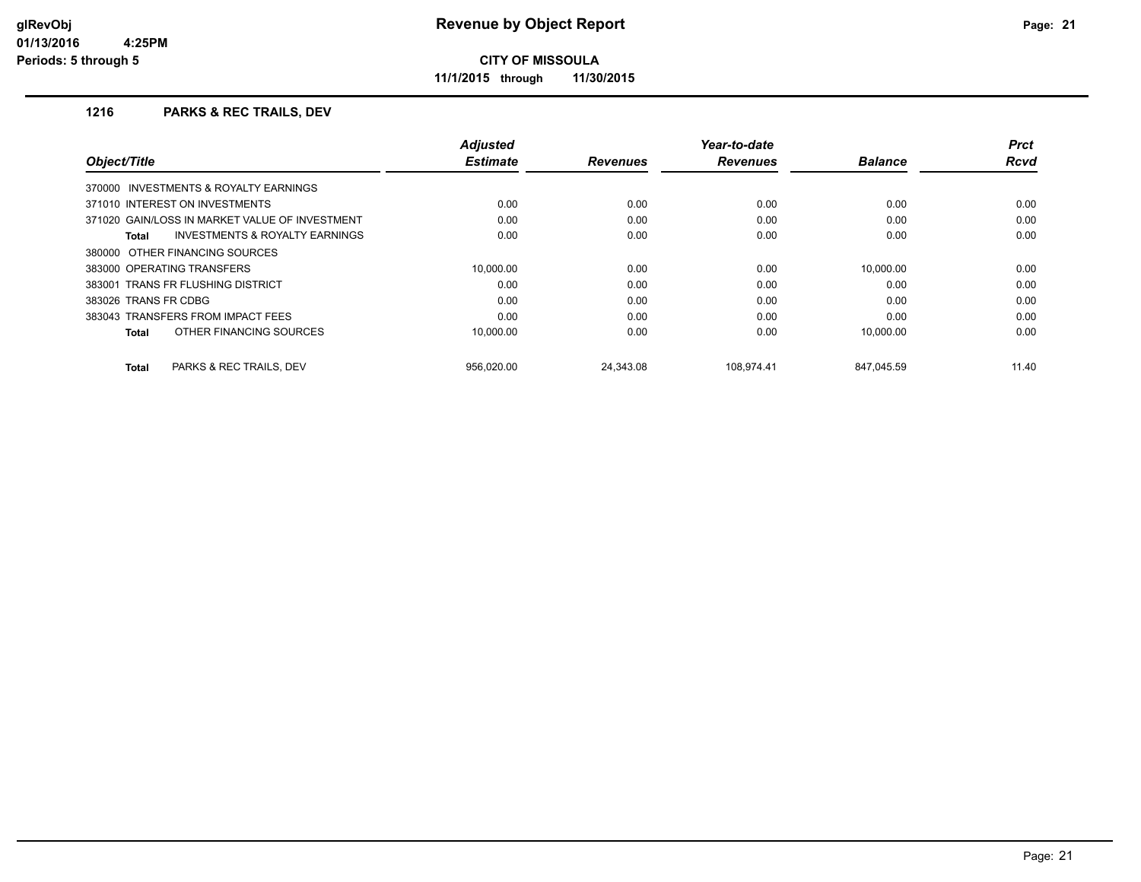**11/1/2015 through 11/30/2015**

### **1216 PARKS & REC TRAILS, DEV**

|                                                    | <b>Adjusted</b> |                 | Year-to-date    |                | <b>Prct</b> |
|----------------------------------------------------|-----------------|-----------------|-----------------|----------------|-------------|
| Object/Title                                       | <b>Estimate</b> | <b>Revenues</b> | <b>Revenues</b> | <b>Balance</b> | <b>Rcvd</b> |
| 370000 INVESTMENTS & ROYALTY EARNINGS              |                 |                 |                 |                |             |
| 371010 INTEREST ON INVESTMENTS                     | 0.00            | 0.00            | 0.00            | 0.00           | 0.00        |
| 371020 GAIN/LOSS IN MARKET VALUE OF INVESTMENT     | 0.00            | 0.00            | 0.00            | 0.00           | 0.00        |
| <b>INVESTMENTS &amp; ROYALTY EARNINGS</b><br>Total | 0.00            | 0.00            | 0.00            | 0.00           | 0.00        |
| 380000 OTHER FINANCING SOURCES                     |                 |                 |                 |                |             |
| 383000 OPERATING TRANSFERS                         | 10.000.00       | 0.00            | 0.00            | 10.000.00      | 0.00        |
| 383001 TRANS FR FLUSHING DISTRICT                  | 0.00            | 0.00            | 0.00            | 0.00           | 0.00        |
| 383026 TRANS FR CDBG                               | 0.00            | 0.00            | 0.00            | 0.00           | 0.00        |
| 383043 TRANSFERS FROM IMPACT FEES                  | 0.00            | 0.00            | 0.00            | 0.00           | 0.00        |
| OTHER FINANCING SOURCES<br>Total                   | 10.000.00       | 0.00            | 0.00            | 10,000.00      | 0.00        |
| PARKS & REC TRAILS, DEV<br>Total                   | 956.020.00      | 24.343.08       | 108.974.41      | 847.045.59     | 11.40       |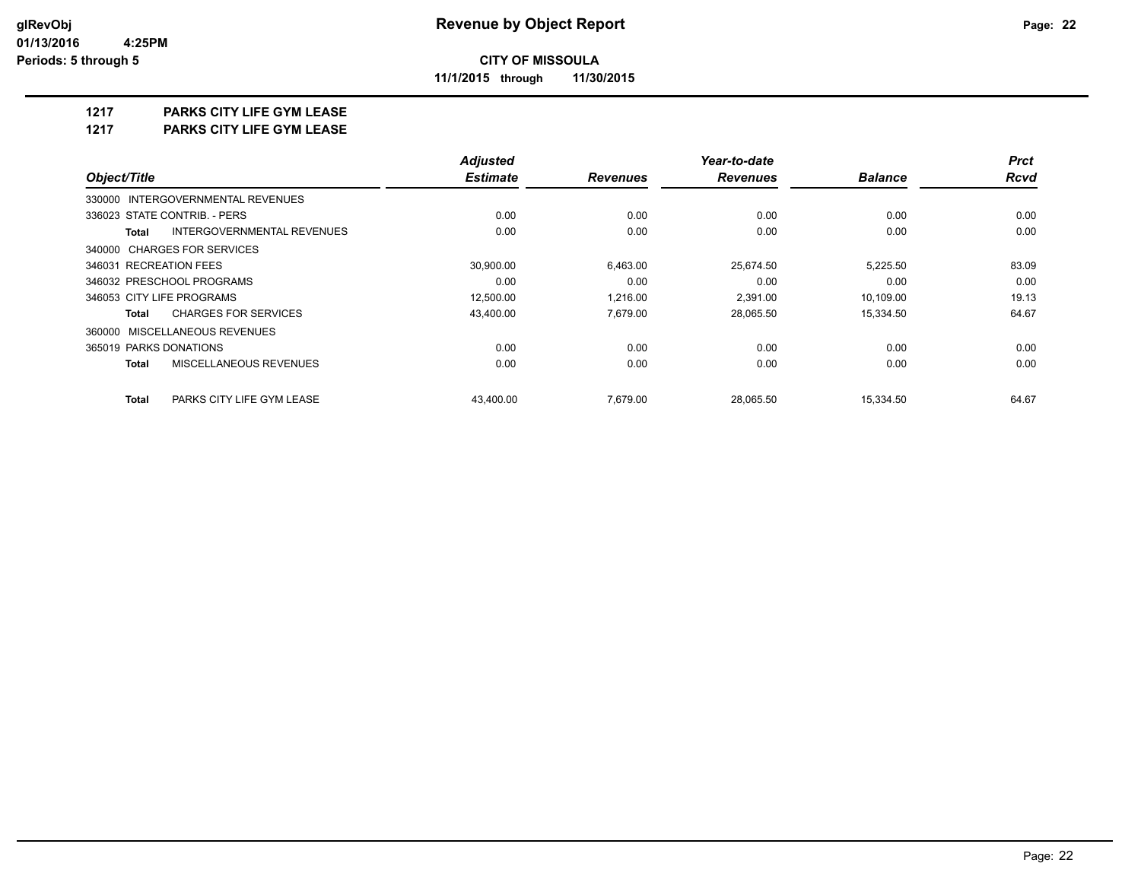**11/1/2015 through 11/30/2015**

### **1217 PARKS CITY LIFE GYM LEASE**

**1217 PARKS CITY LIFE GYM LEASE**

|                                            | <b>Adjusted</b> |                 | Year-to-date    |                | <b>Prct</b> |
|--------------------------------------------|-----------------|-----------------|-----------------|----------------|-------------|
| Object/Title                               | <b>Estimate</b> | <b>Revenues</b> | <b>Revenues</b> | <b>Balance</b> | <b>Rcvd</b> |
| 330000 INTERGOVERNMENTAL REVENUES          |                 |                 |                 |                |             |
| 336023 STATE CONTRIB. - PERS               | 0.00            | 0.00            | 0.00            | 0.00           | 0.00        |
| INTERGOVERNMENTAL REVENUES<br><b>Total</b> | 0.00            | 0.00            | 0.00            | 0.00           | 0.00        |
| 340000 CHARGES FOR SERVICES                |                 |                 |                 |                |             |
| 346031 RECREATION FEES                     | 30,900.00       | 6,463.00        | 25.674.50       | 5,225.50       | 83.09       |
| 346032 PRESCHOOL PROGRAMS                  | 0.00            | 0.00            | 0.00            | 0.00           | 0.00        |
| 346053 CITY LIFE PROGRAMS                  | 12,500.00       | 1,216.00        | 2,391.00        | 10,109.00      | 19.13       |
| <b>CHARGES FOR SERVICES</b><br>Total       | 43,400.00       | 7,679.00        | 28,065.50       | 15,334.50      | 64.67       |
| 360000 MISCELLANEOUS REVENUES              |                 |                 |                 |                |             |
| 365019 PARKS DONATIONS                     | 0.00            | 0.00            | 0.00            | 0.00           | 0.00        |
| MISCELLANEOUS REVENUES<br><b>Total</b>     | 0.00            | 0.00            | 0.00            | 0.00           | 0.00        |
| <b>Total</b><br>PARKS CITY LIFE GYM LEASE  | 43.400.00       | 7,679.00        | 28.065.50       | 15.334.50      | 64.67       |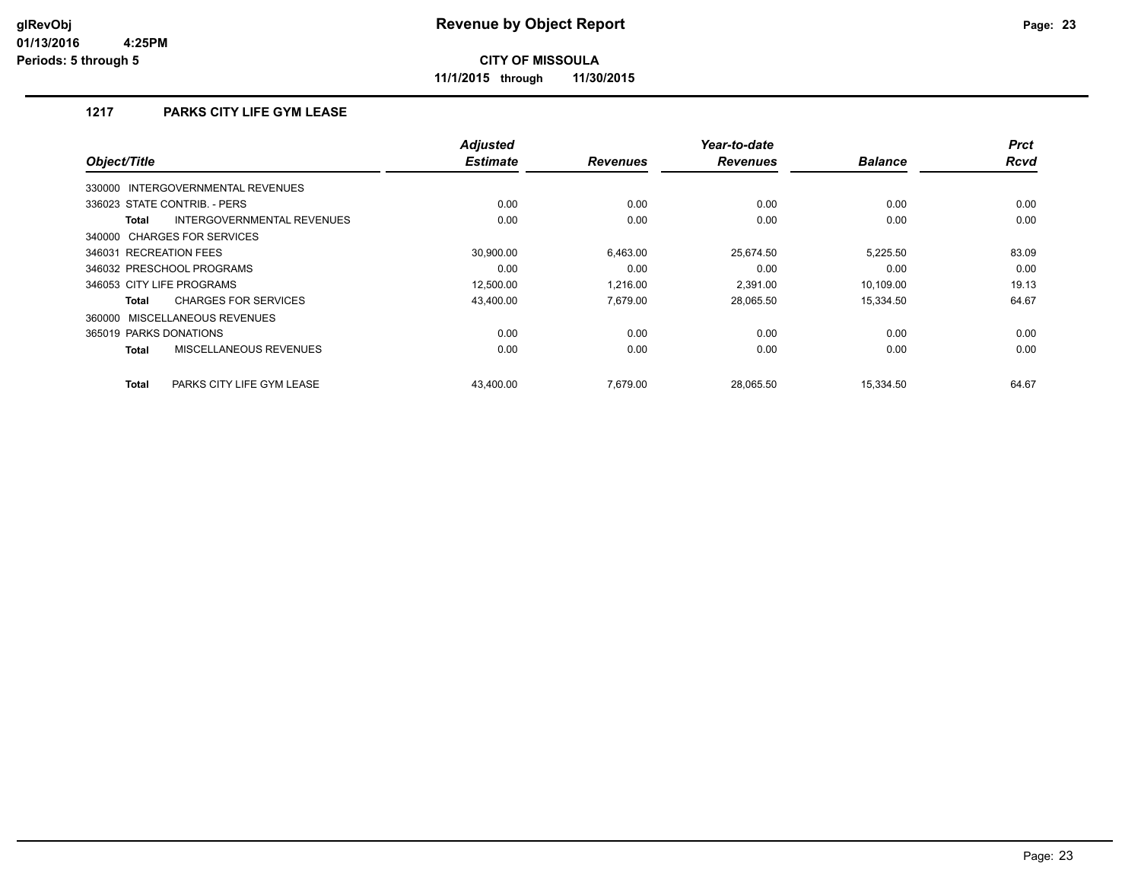**11/1/2015 through 11/30/2015**

# **1217 PARKS CITY LIFE GYM LEASE**

| Object/Title                                | <b>Adjusted</b><br><b>Estimate</b> | <b>Revenues</b> | Year-to-date<br><b>Revenues</b> | <b>Balance</b> | <b>Prct</b><br><b>Rcvd</b> |
|---------------------------------------------|------------------------------------|-----------------|---------------------------------|----------------|----------------------------|
| 330000 INTERGOVERNMENTAL REVENUES           |                                    |                 |                                 |                |                            |
| 336023 STATE CONTRIB. - PERS                | 0.00                               | 0.00            | 0.00                            | 0.00           | 0.00                       |
| INTERGOVERNMENTAL REVENUES<br><b>Total</b>  | 0.00                               | 0.00            | 0.00                            | 0.00           | 0.00                       |
| 340000 CHARGES FOR SERVICES                 |                                    |                 |                                 |                |                            |
| 346031 RECREATION FEES                      | 30.900.00                          | 6.463.00        | 25.674.50                       | 5,225.50       | 83.09                      |
| 346032 PRESCHOOL PROGRAMS                   | 0.00                               | 0.00            | 0.00                            | 0.00           | 0.00                       |
| 346053 CITY LIFE PROGRAMS                   | 12,500.00                          | 1.216.00        | 2.391.00                        | 10.109.00      | 19.13                      |
| <b>CHARGES FOR SERVICES</b><br><b>Total</b> | 43,400.00                          | 7.679.00        | 28,065.50                       | 15,334.50      | 64.67                      |
| 360000 MISCELLANEOUS REVENUES               |                                    |                 |                                 |                |                            |
| 365019 PARKS DONATIONS                      | 0.00                               | 0.00            | 0.00                            | 0.00           | 0.00                       |
| MISCELLANEOUS REVENUES<br><b>Total</b>      | 0.00                               | 0.00            | 0.00                            | 0.00           | 0.00                       |
| PARKS CITY LIFE GYM LEASE<br><b>Total</b>   | 43,400.00                          | 7,679.00        | 28,065.50                       | 15,334.50      | 64.67                      |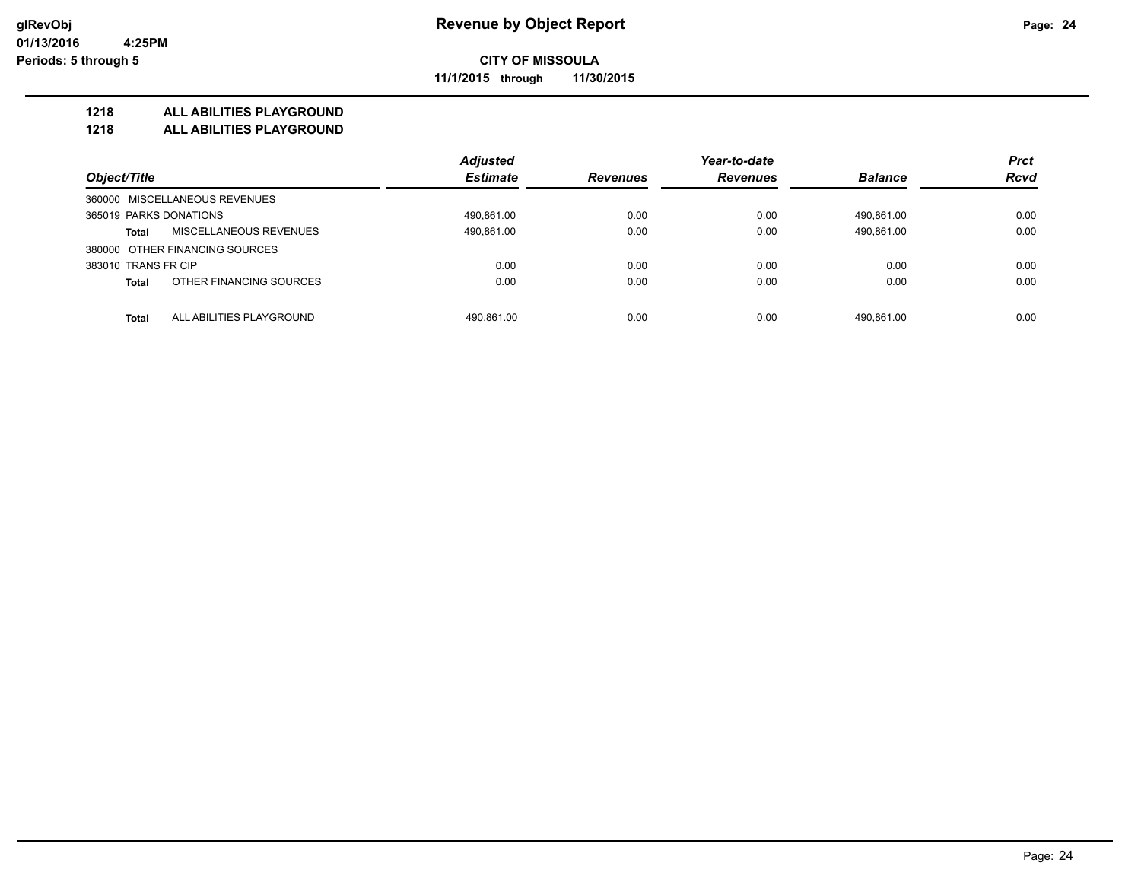**11/1/2015 through 11/30/2015**

### **1218 ALL ABILITIES PLAYGROUND**

#### **1218 ALL ABILITIES PLAYGROUND**

|                                          | <b>Adjusted</b> |                 | Year-to-date    |                | <b>Prct</b> |
|------------------------------------------|-----------------|-----------------|-----------------|----------------|-------------|
| Object/Title                             | <b>Estimate</b> | <b>Revenues</b> | <b>Revenues</b> | <b>Balance</b> | <b>Rcvd</b> |
| 360000 MISCELLANEOUS REVENUES            |                 |                 |                 |                |             |
| 365019 PARKS DONATIONS                   | 490,861.00      | 0.00            | 0.00            | 490.861.00     | 0.00        |
| MISCELLANEOUS REVENUES<br>Total          | 490,861.00      | 0.00            | 0.00            | 490,861.00     | 0.00        |
| 380000 OTHER FINANCING SOURCES           |                 |                 |                 |                |             |
| 383010 TRANS FR CIP                      | 0.00            | 0.00            | 0.00            | 0.00           | 0.00        |
| OTHER FINANCING SOURCES<br><b>Total</b>  | 0.00            | 0.00            | 0.00            | 0.00           | 0.00        |
|                                          |                 |                 |                 |                |             |
| ALL ABILITIES PLAYGROUND<br><b>Total</b> | 490.861.00      | 0.00            | 0.00            | 490.861.00     | 0.00        |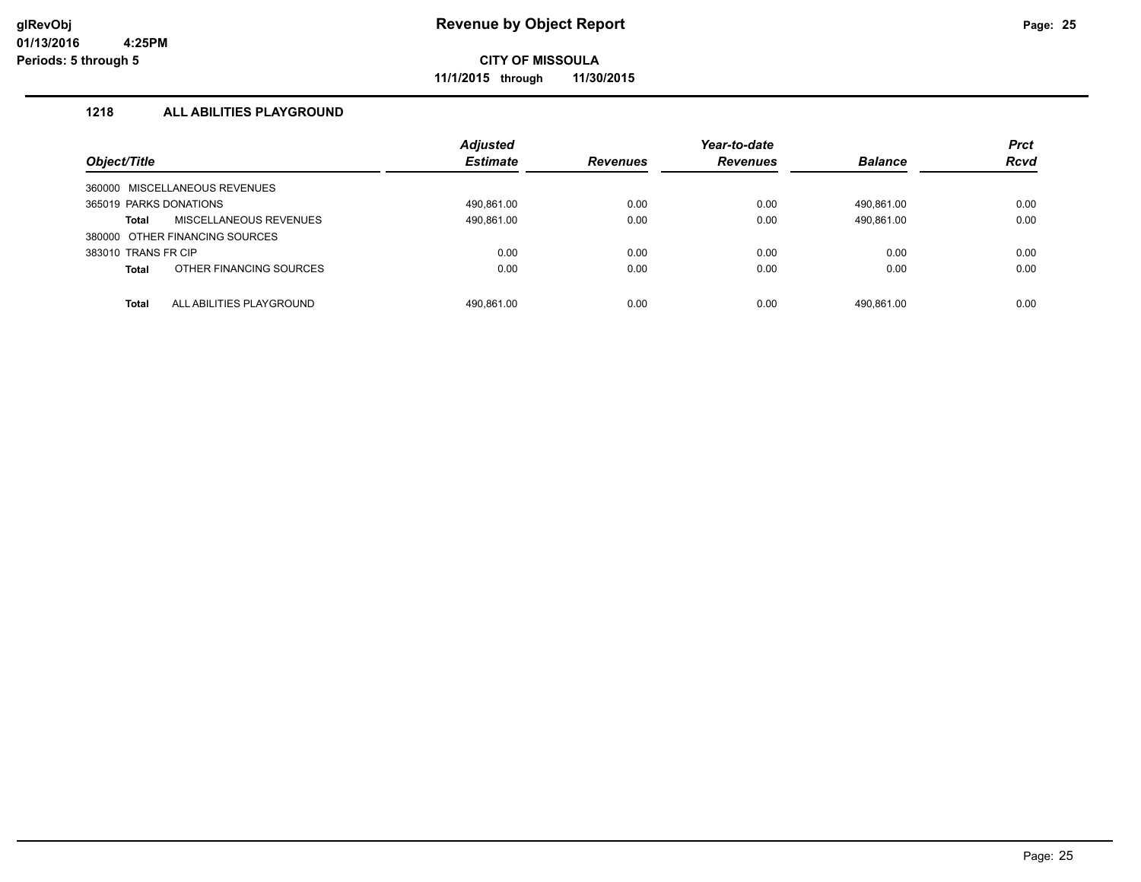**11/1/2015 through 11/30/2015**

# **1218 ALL ABILITIES PLAYGROUND**

|                        |                                | <b>Adjusted</b> |                 | Year-to-date    |                | <b>Prct</b> |
|------------------------|--------------------------------|-----------------|-----------------|-----------------|----------------|-------------|
| Object/Title           |                                | <b>Estimate</b> | <b>Revenues</b> | <b>Revenues</b> | <b>Balance</b> | <b>Rcvd</b> |
|                        | 360000 MISCELLANEOUS REVENUES  |                 |                 |                 |                |             |
| 365019 PARKS DONATIONS |                                | 490.861.00      | 0.00            | 0.00            | 490.861.00     | 0.00        |
| Total                  | MISCELLANEOUS REVENUES         | 490,861.00      | 0.00            | 0.00            | 490,861.00     | 0.00        |
|                        | 380000 OTHER FINANCING SOURCES |                 |                 |                 |                |             |
| 383010 TRANS FR CIP    |                                | 0.00            | 0.00            | 0.00            | 0.00           | 0.00        |
| <b>Total</b>           | OTHER FINANCING SOURCES        | 0.00            | 0.00            | 0.00            | 0.00           | 0.00        |
| <b>Total</b>           | ALL ABILITIES PLAYGROUND       | 490.861.00      | 0.00            | 0.00            | 490.861.00     | 0.00        |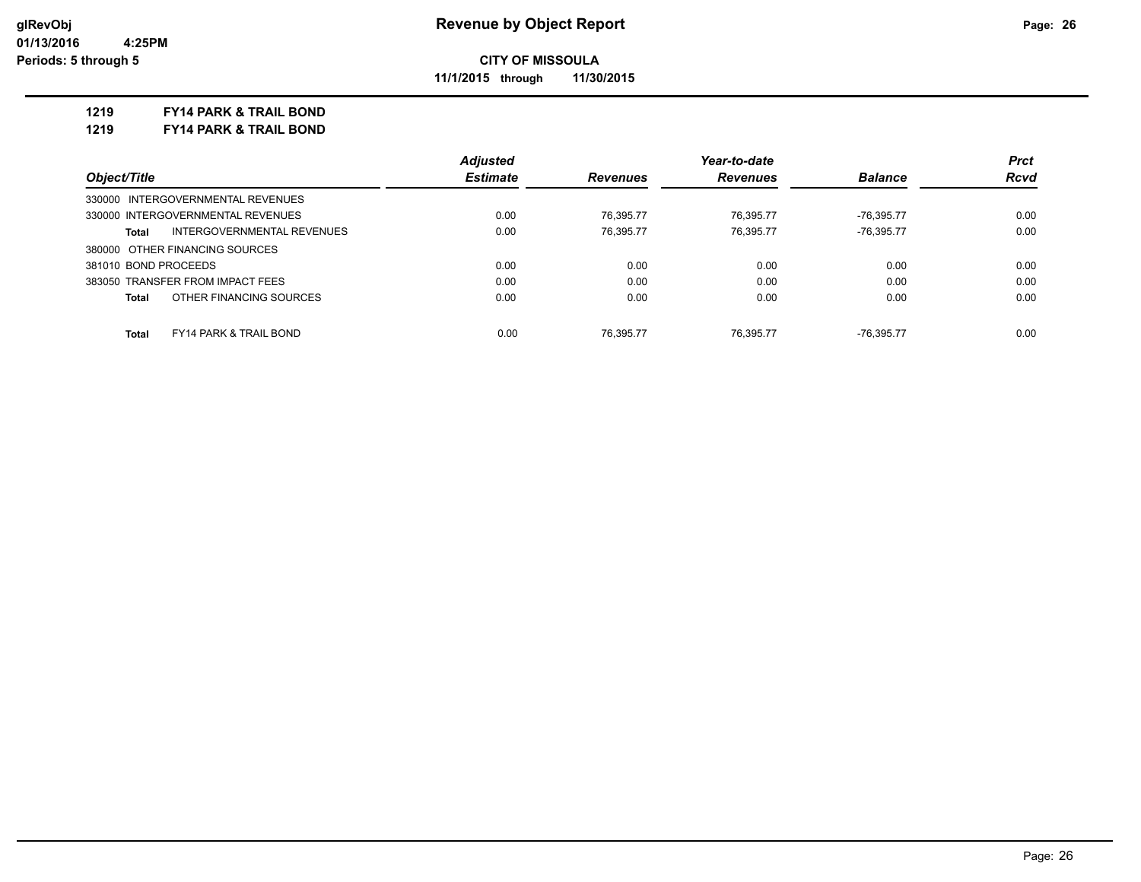**11/1/2015 through 11/30/2015**

### **1219 FY14 PARK & TRAIL BOND**

**1219 FY14 PARK & TRAIL BOND**

|                                                   | <b>Adjusted</b> |                 | Year-to-date    |                | <b>Prct</b> |
|---------------------------------------------------|-----------------|-----------------|-----------------|----------------|-------------|
| Object/Title                                      | <b>Estimate</b> | <b>Revenues</b> | <b>Revenues</b> | <b>Balance</b> | <b>Rcvd</b> |
| 330000 INTERGOVERNMENTAL REVENUES                 |                 |                 |                 |                |             |
| 330000 INTERGOVERNMENTAL REVENUES                 | 0.00            | 76.395.77       | 76.395.77       | -76.395.77     | 0.00        |
| INTERGOVERNMENTAL REVENUES<br><b>Total</b>        | 0.00            | 76.395.77       | 76.395.77       | -76.395.77     | 0.00        |
| 380000 OTHER FINANCING SOURCES                    |                 |                 |                 |                |             |
| 381010 BOND PROCEEDS                              | 0.00            | 0.00            | 0.00            | 0.00           | 0.00        |
| 383050 TRANSFER FROM IMPACT FEES                  | 0.00            | 0.00            | 0.00            | 0.00           | 0.00        |
| OTHER FINANCING SOURCES<br><b>Total</b>           | 0.00            | 0.00            | 0.00            | 0.00           | 0.00        |
| <b>FY14 PARK &amp; TRAIL BOND</b><br><b>Total</b> | 0.00            | 76.395.77       | 76.395.77       | -76.395.77     | 0.00        |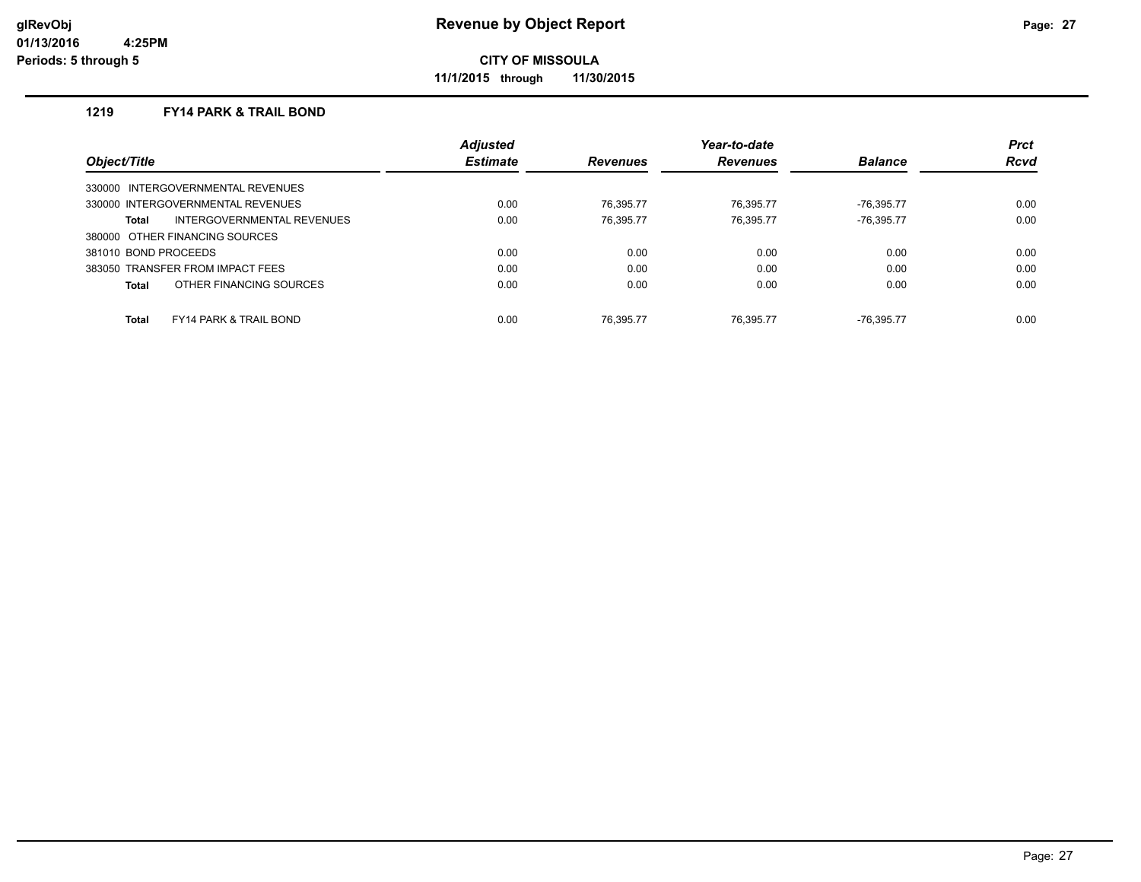**11/1/2015 through 11/30/2015**

# **1219 FY14 PARK & TRAIL BOND**

|                                            | <b>Adjusted</b> |                 | Year-to-date    |                | <b>Prct</b> |
|--------------------------------------------|-----------------|-----------------|-----------------|----------------|-------------|
| Object/Title                               | <b>Estimate</b> | <b>Revenues</b> | <b>Revenues</b> | <b>Balance</b> | Rcvd        |
| 330000 INTERGOVERNMENTAL REVENUES          |                 |                 |                 |                |             |
| 330000 INTERGOVERNMENTAL REVENUES          | 0.00            | 76.395.77       | 76.395.77       | -76.395.77     | 0.00        |
| INTERGOVERNMENTAL REVENUES<br>Total        | 0.00            | 76,395.77       | 76,395.77       | $-76,395.77$   | 0.00        |
| 380000 OTHER FINANCING SOURCES             |                 |                 |                 |                |             |
| 381010 BOND PROCEEDS                       | 0.00            | 0.00            | 0.00            | 0.00           | 0.00        |
| 383050 TRANSFER FROM IMPACT FEES           | 0.00            | 0.00            | 0.00            | 0.00           | 0.00        |
| OTHER FINANCING SOURCES<br>Total           | 0.00            | 0.00            | 0.00            | 0.00           | 0.00        |
|                                            |                 |                 |                 |                |             |
| Total<br><b>FY14 PARK &amp; TRAIL BOND</b> | 0.00            | 76.395.77       | 76.395.77       | -76.395.77     | 0.00        |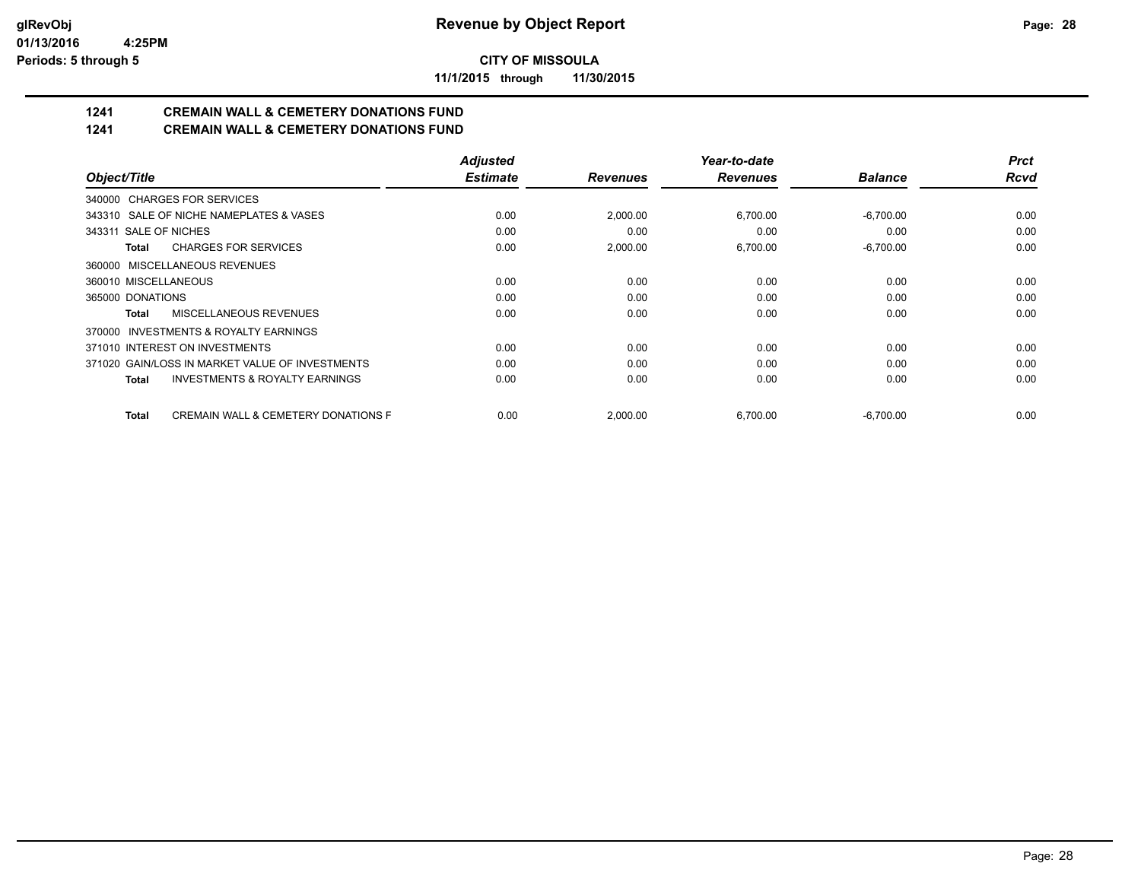**11/1/2015 through 11/30/2015**

# **1241 CREMAIN WALL & CEMETERY DONATIONS FUND**

# **1241 CREMAIN WALL & CEMETERY DONATIONS FUND**

|                                                         | <b>Adjusted</b> |                 | Year-to-date    |                | <b>Prct</b> |
|---------------------------------------------------------|-----------------|-----------------|-----------------|----------------|-------------|
| Object/Title                                            | <b>Estimate</b> | <b>Revenues</b> | <b>Revenues</b> | <b>Balance</b> | <b>Rcvd</b> |
| 340000 CHARGES FOR SERVICES                             |                 |                 |                 |                |             |
| 343310 SALE OF NICHE NAMEPLATES & VASES                 | 0.00            | 2,000.00        | 6,700.00        | $-6,700.00$    | 0.00        |
| 343311 SALE OF NICHES                                   | 0.00            | 0.00            | 0.00            | 0.00           | 0.00        |
| <b>CHARGES FOR SERVICES</b><br>Total                    | 0.00            | 2,000.00        | 6.700.00        | $-6.700.00$    | 0.00        |
| MISCELLANEOUS REVENUES<br>360000                        |                 |                 |                 |                |             |
| 360010 MISCELLANEOUS                                    | 0.00            | 0.00            | 0.00            | 0.00           | 0.00        |
| 365000 DONATIONS                                        | 0.00            | 0.00            | 0.00            | 0.00           | 0.00        |
| MISCELLANEOUS REVENUES<br><b>Total</b>                  | 0.00            | 0.00            | 0.00            | 0.00           | 0.00        |
| INVESTMENTS & ROYALTY EARNINGS<br>370000                |                 |                 |                 |                |             |
| 371010 INTEREST ON INVESTMENTS                          | 0.00            | 0.00            | 0.00            | 0.00           | 0.00        |
| 371020 GAIN/LOSS IN MARKET VALUE OF INVESTMENTS         | 0.00            | 0.00            | 0.00            | 0.00           | 0.00        |
| <b>INVESTMENTS &amp; ROYALTY EARNINGS</b><br>Total      | 0.00            | 0.00            | 0.00            | 0.00           | 0.00        |
| <b>CREMAIN WALL &amp; CEMETERY DONATIONS F</b><br>Total | 0.00            | 2,000.00        | 6,700.00        | $-6,700.00$    | 0.00        |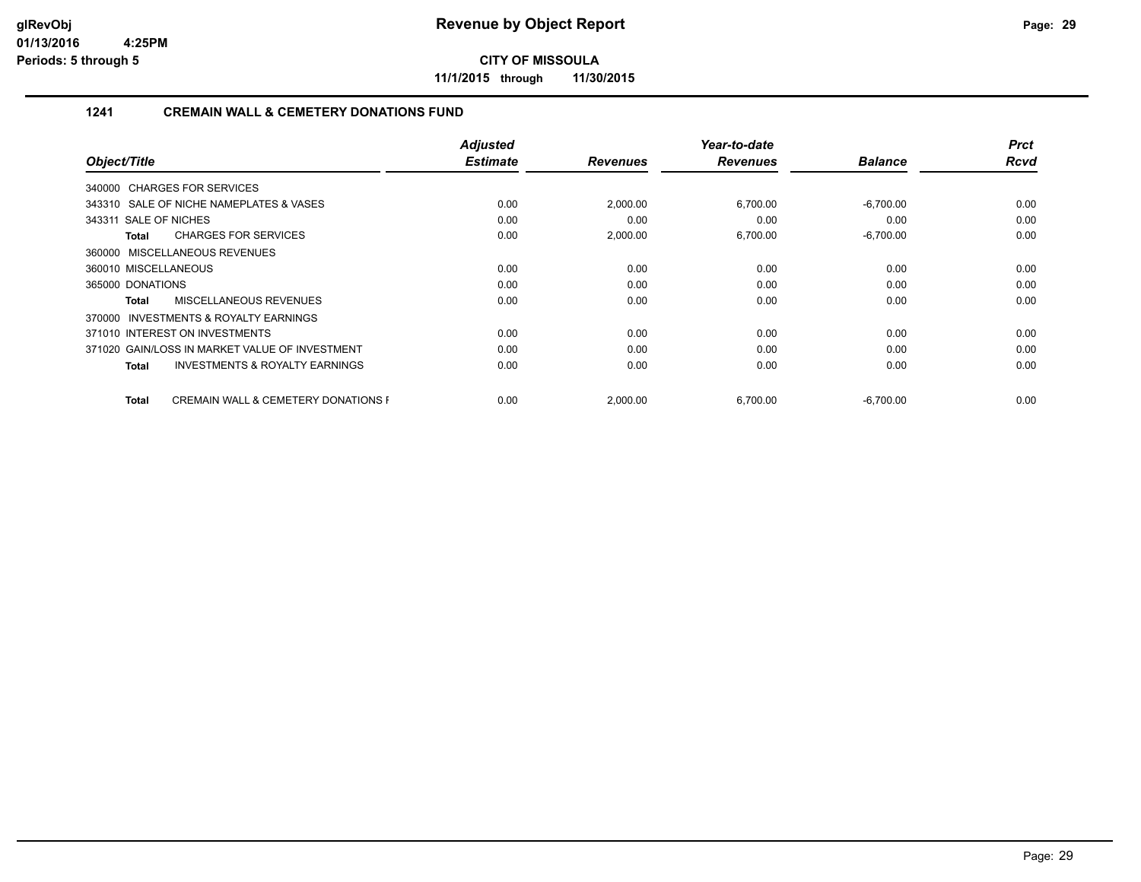**11/1/2015 through 11/30/2015**

# **1241 CREMAIN WALL & CEMETERY DONATIONS FUND**

|                                                                | <b>Adjusted</b> |                 | Year-to-date    |                | <b>Prct</b> |
|----------------------------------------------------------------|-----------------|-----------------|-----------------|----------------|-------------|
| Object/Title                                                   | <b>Estimate</b> | <b>Revenues</b> | <b>Revenues</b> | <b>Balance</b> | <b>Rcvd</b> |
| 340000 CHARGES FOR SERVICES                                    |                 |                 |                 |                |             |
| 343310 SALE OF NICHE NAMEPLATES & VASES                        | 0.00            | 2,000.00        | 6,700.00        | $-6,700.00$    | 0.00        |
| 343311 SALE OF NICHES                                          | 0.00            | 0.00            | 0.00            | 0.00           | 0.00        |
| <b>CHARGES FOR SERVICES</b><br>Total                           | 0.00            | 2,000.00        | 6,700.00        | $-6,700.00$    | 0.00        |
| 360000 MISCELLANEOUS REVENUES                                  |                 |                 |                 |                |             |
| 360010 MISCELLANEOUS                                           | 0.00            | 0.00            | 0.00            | 0.00           | 0.00        |
| 365000 DONATIONS                                               | 0.00            | 0.00            | 0.00            | 0.00           | 0.00        |
| MISCELLANEOUS REVENUES<br>Total                                | 0.00            | 0.00            | 0.00            | 0.00           | 0.00        |
| 370000 INVESTMENTS & ROYALTY EARNINGS                          |                 |                 |                 |                |             |
| 371010 INTEREST ON INVESTMENTS                                 | 0.00            | 0.00            | 0.00            | 0.00           | 0.00        |
| 371020 GAIN/LOSS IN MARKET VALUE OF INVESTMENT                 | 0.00            | 0.00            | 0.00            | 0.00           | 0.00        |
| <b>INVESTMENTS &amp; ROYALTY EARNINGS</b><br>Total             | 0.00            | 0.00            | 0.00            | 0.00           | 0.00        |
| <b>CREMAIN WALL &amp; CEMETERY DONATIONS F</b><br><b>Total</b> | 0.00            | 2,000.00        | 6,700.00        | $-6,700.00$    | 0.00        |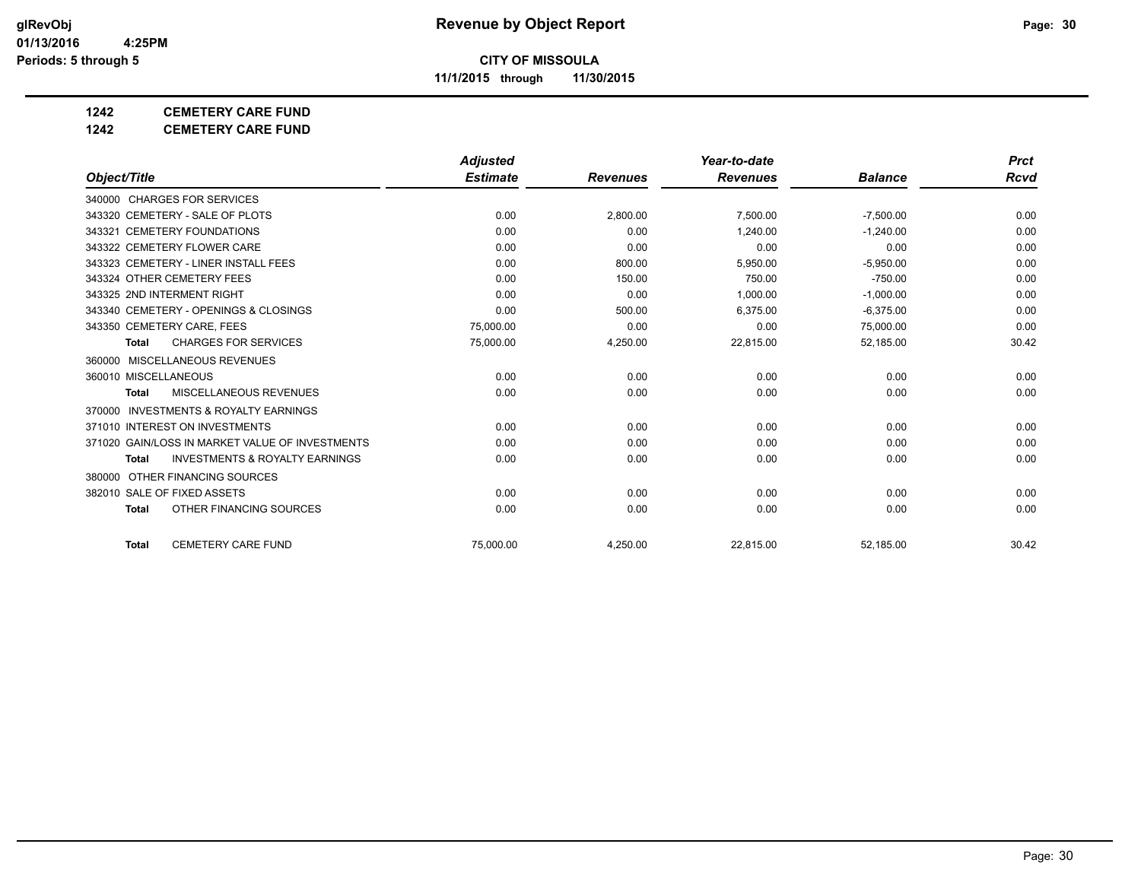**11/1/2015 through 11/30/2015**

# **1242 CEMETERY CARE FUND**

**1242 CEMETERY CARE FUND**

|                                                     | <b>Adjusted</b> |                 | Year-to-date    |                | <b>Prct</b> |
|-----------------------------------------------------|-----------------|-----------------|-----------------|----------------|-------------|
| Object/Title                                        | <b>Estimate</b> | <b>Revenues</b> | <b>Revenues</b> | <b>Balance</b> | Rcvd        |
| 340000 CHARGES FOR SERVICES                         |                 |                 |                 |                |             |
| 343320 CEMETERY - SALE OF PLOTS                     | 0.00            | 2,800.00        | 7,500.00        | $-7,500.00$    | 0.00        |
| 343321 CEMETERY FOUNDATIONS                         | 0.00            | 0.00            | 1.240.00        | $-1.240.00$    | 0.00        |
| 343322 CEMETERY FLOWER CARE                         | 0.00            | 0.00            | 0.00            | 0.00           | 0.00        |
| 343323 CEMETERY - LINER INSTALL FEES                | 0.00            | 800.00          | 5,950.00        | $-5,950.00$    | 0.00        |
| 343324 OTHER CEMETERY FEES                          | 0.00            | 150.00          | 750.00          | $-750.00$      | 0.00        |
| 343325 2ND INTERMENT RIGHT                          | 0.00            | 0.00            | 1.000.00        | $-1,000.00$    | 0.00        |
| 343340 CEMETERY - OPENINGS & CLOSINGS               | 0.00            | 500.00          | 6,375.00        | $-6,375.00$    | 0.00        |
| 343350 CEMETERY CARE, FEES                          | 75,000.00       | 0.00            | 0.00            | 75,000.00      | 0.00        |
| <b>CHARGES FOR SERVICES</b><br><b>Total</b>         | 75,000.00       | 4,250.00        | 22,815.00       | 52,185.00      | 30.42       |
| MISCELLANEOUS REVENUES<br>360000                    |                 |                 |                 |                |             |
| 360010 MISCELLANEOUS                                | 0.00            | 0.00            | 0.00            | 0.00           | 0.00        |
| <b>MISCELLANEOUS REVENUES</b><br><b>Total</b>       | 0.00            | 0.00            | 0.00            | 0.00           | 0.00        |
| <b>INVESTMENTS &amp; ROYALTY EARNINGS</b><br>370000 |                 |                 |                 |                |             |
| 371010 INTEREST ON INVESTMENTS                      | 0.00            | 0.00            | 0.00            | 0.00           | 0.00        |
| 371020 GAIN/LOSS IN MARKET VALUE OF INVESTMENTS     | 0.00            | 0.00            | 0.00            | 0.00           | 0.00        |
| <b>INVESTMENTS &amp; ROYALTY EARNINGS</b><br>Total  | 0.00            | 0.00            | 0.00            | 0.00           | 0.00        |
| 380000 OTHER FINANCING SOURCES                      |                 |                 |                 |                |             |
| 382010 SALE OF FIXED ASSETS                         | 0.00            | 0.00            | 0.00            | 0.00           | 0.00        |
| OTHER FINANCING SOURCES<br><b>Total</b>             | 0.00            | 0.00            | 0.00            | 0.00           | 0.00        |
| <b>CEMETERY CARE FUND</b><br><b>Total</b>           | 75.000.00       | 4,250.00        | 22,815.00       | 52,185.00      | 30.42       |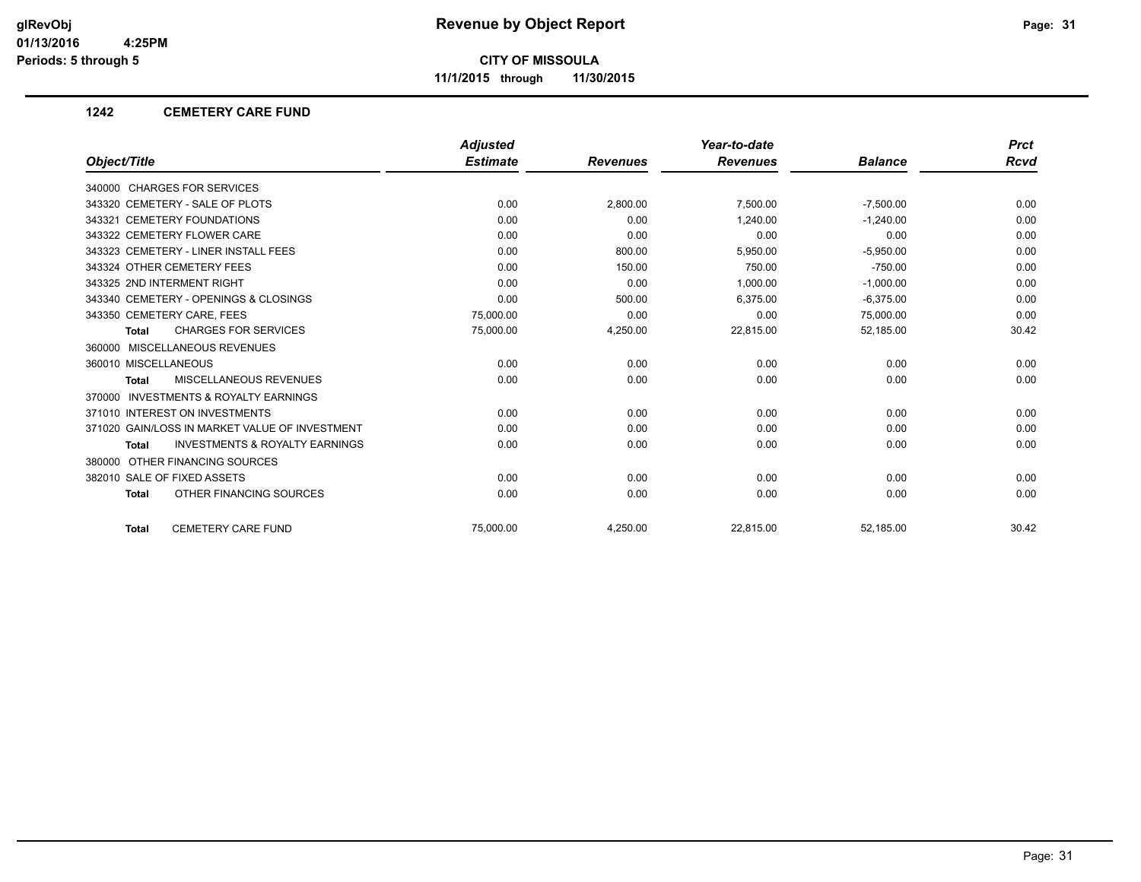**11/1/2015 through 11/30/2015**

### **1242 CEMETERY CARE FUND**

|                                                           | <b>Adjusted</b> |                 | Year-to-date    |                | <b>Prct</b> |
|-----------------------------------------------------------|-----------------|-----------------|-----------------|----------------|-------------|
| Object/Title                                              | <b>Estimate</b> | <b>Revenues</b> | <b>Revenues</b> | <b>Balance</b> | Rcvd        |
| 340000 CHARGES FOR SERVICES                               |                 |                 |                 |                |             |
| 343320 CEMETERY - SALE OF PLOTS                           | 0.00            | 2,800.00        | 7,500.00        | $-7,500.00$    | 0.00        |
| 343321 CEMETERY FOUNDATIONS                               | 0.00            | 0.00            | 1,240.00        | $-1,240.00$    | 0.00        |
| 343322 CEMETERY FLOWER CARE                               | 0.00            | 0.00            | 0.00            | 0.00           | 0.00        |
| 343323 CEMETERY - LINER INSTALL FEES                      | 0.00            | 800.00          | 5,950.00        | $-5,950.00$    | 0.00        |
| 343324 OTHER CEMETERY FEES                                | 0.00            | 150.00          | 750.00          | $-750.00$      | 0.00        |
| 343325 2ND INTERMENT RIGHT                                | 0.00            | 0.00            | 1,000.00        | $-1,000.00$    | 0.00        |
| 343340 CEMETERY - OPENINGS & CLOSINGS                     | 0.00            | 500.00          | 6,375.00        | $-6,375.00$    | 0.00        |
| 343350 CEMETERY CARE, FEES                                | 75,000.00       | 0.00            | 0.00            | 75,000.00      | 0.00        |
| <b>CHARGES FOR SERVICES</b><br><b>Total</b>               | 75,000.00       | 4,250.00        | 22,815.00       | 52,185.00      | 30.42       |
| 360000 MISCELLANEOUS REVENUES                             |                 |                 |                 |                |             |
| 360010 MISCELLANEOUS                                      | 0.00            | 0.00            | 0.00            | 0.00           | 0.00        |
| <b>MISCELLANEOUS REVENUES</b><br><b>Total</b>             | 0.00            | 0.00            | 0.00            | 0.00           | 0.00        |
| 370000 INVESTMENTS & ROYALTY EARNINGS                     |                 |                 |                 |                |             |
| 371010 INTEREST ON INVESTMENTS                            | 0.00            | 0.00            | 0.00            | 0.00           | 0.00        |
| 371020 GAIN/LOSS IN MARKET VALUE OF INVESTMENT            | 0.00            | 0.00            | 0.00            | 0.00           | 0.00        |
| <b>INVESTMENTS &amp; ROYALTY EARNINGS</b><br><b>Total</b> | 0.00            | 0.00            | 0.00            | 0.00           | 0.00        |
| 380000 OTHER FINANCING SOURCES                            |                 |                 |                 |                |             |
| 382010 SALE OF FIXED ASSETS                               | 0.00            | 0.00            | 0.00            | 0.00           | 0.00        |
| OTHER FINANCING SOURCES<br><b>Total</b>                   | 0.00            | 0.00            | 0.00            | 0.00           | 0.00        |
| <b>CEMETERY CARE FUND</b><br><b>Total</b>                 | 75.000.00       | 4,250.00        | 22.815.00       | 52,185.00      | 30.42       |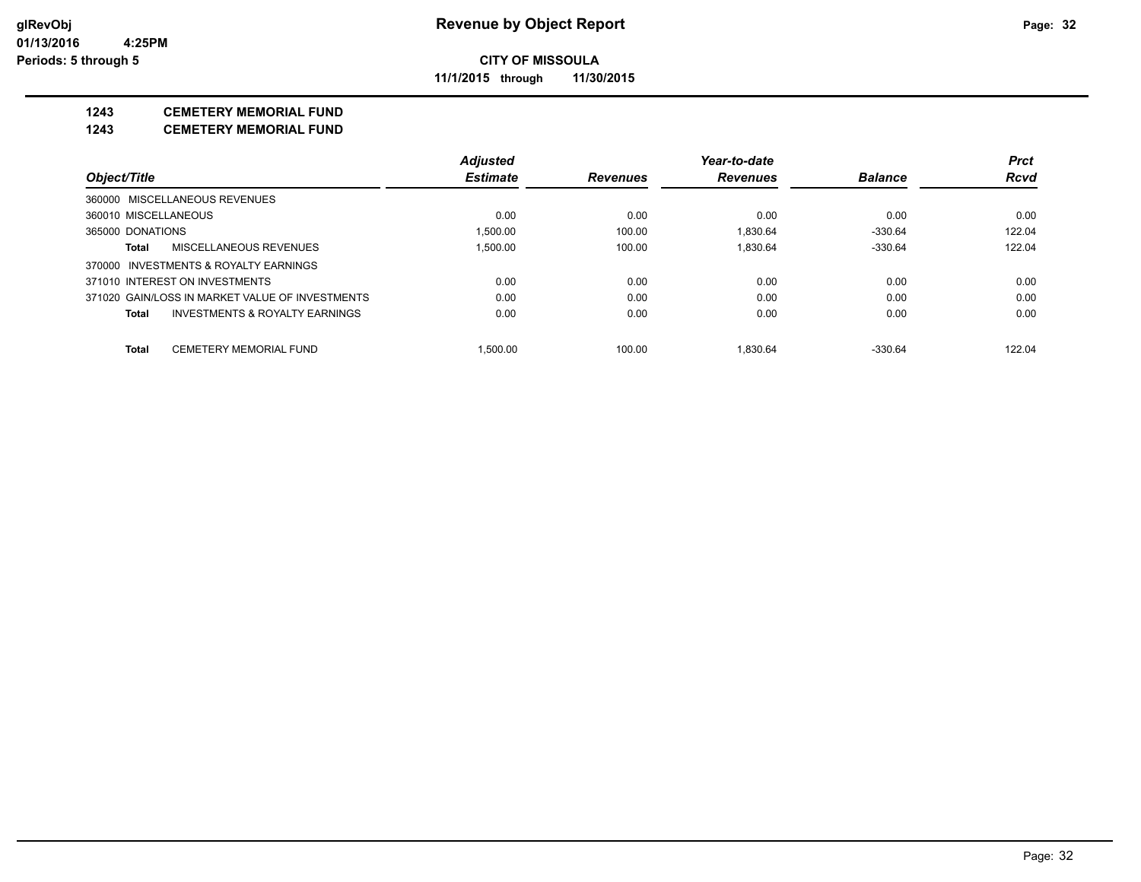**11/1/2015 through 11/30/2015**

# **1243 CEMETERY MEMORIAL FUND**

**1243 CEMETERY MEMORIAL FUND**

|                                                    | <b>Adjusted</b> |                 | Year-to-date    |                | <b>Prct</b> |
|----------------------------------------------------|-----------------|-----------------|-----------------|----------------|-------------|
| Object/Title                                       | <b>Estimate</b> | <b>Revenues</b> | <b>Revenues</b> | <b>Balance</b> | <b>Rcvd</b> |
| 360000 MISCELLANEOUS REVENUES                      |                 |                 |                 |                |             |
| 360010 MISCELLANEOUS                               | 0.00            | 0.00            | 0.00            | 0.00           | 0.00        |
| 365000 DONATIONS                                   | 1.500.00        | 100.00          | 1.830.64        | $-330.64$      | 122.04      |
| MISCELLANEOUS REVENUES<br>Total                    | 1.500.00        | 100.00          | 1.830.64        | $-330.64$      | 122.04      |
| 370000 INVESTMENTS & ROYALTY EARNINGS              |                 |                 |                 |                |             |
| 371010 INTEREST ON INVESTMENTS                     | 0.00            | 0.00            | 0.00            | 0.00           | 0.00        |
| 371020 GAIN/LOSS IN MARKET VALUE OF INVESTMENTS    | 0.00            | 0.00            | 0.00            | 0.00           | 0.00        |
| <b>INVESTMENTS &amp; ROYALTY EARNINGS</b><br>Total | 0.00            | 0.00            | 0.00            | 0.00           | 0.00        |
| <b>CEMETERY MEMORIAL FUND</b><br>Total             | 1.500.00        | 100.00          | 1.830.64        | $-330.64$      | 122.04      |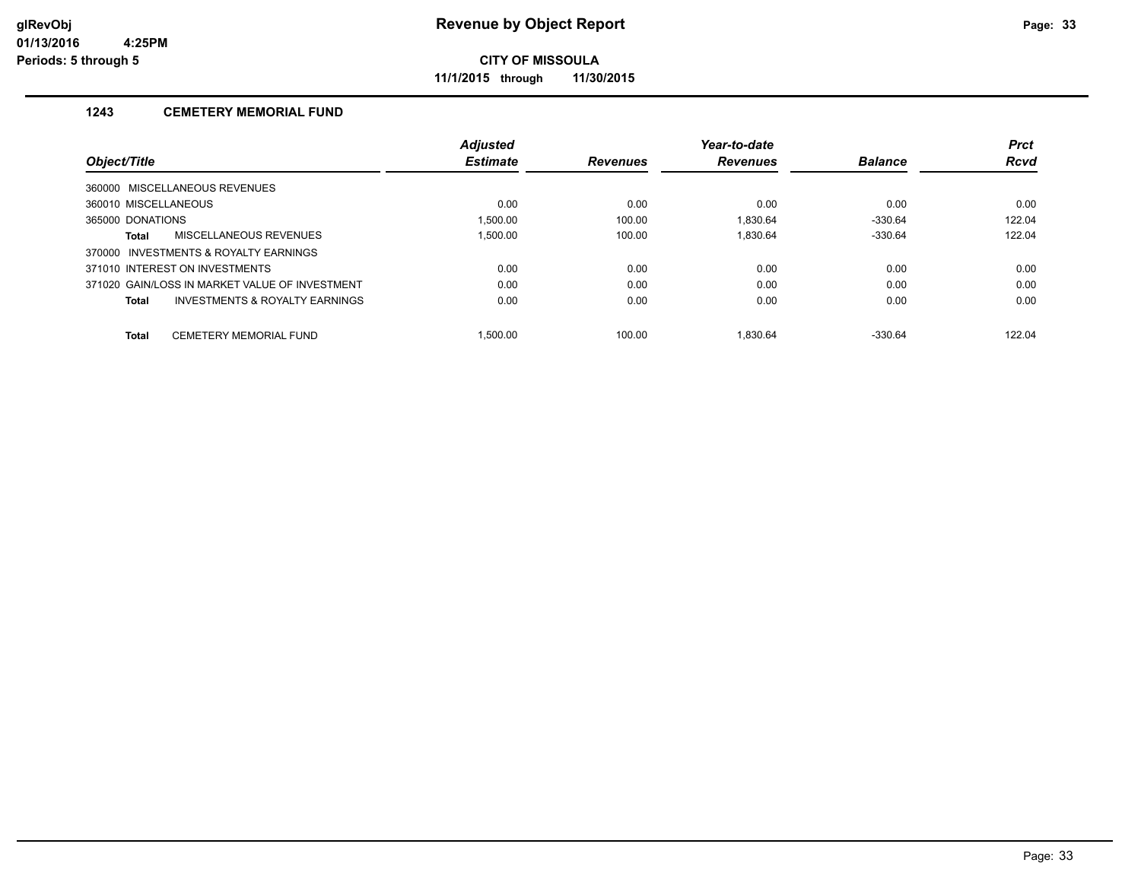**11/1/2015 through 11/30/2015**

# **1243 CEMETERY MEMORIAL FUND**

|                                       |                                                | <b>Adjusted</b> |                 | Year-to-date    |                | <b>Prct</b> |
|---------------------------------------|------------------------------------------------|-----------------|-----------------|-----------------|----------------|-------------|
| Object/Title                          |                                                | <b>Estimate</b> | <b>Revenues</b> | <b>Revenues</b> | <b>Balance</b> | <b>Rcvd</b> |
| 360000 MISCELLANEOUS REVENUES         |                                                |                 |                 |                 |                |             |
| 360010 MISCELLANEOUS                  |                                                | 0.00            | 0.00            | 0.00            | 0.00           | 0.00        |
| 365000 DONATIONS                      |                                                | 1.500.00        | 100.00          | 1.830.64        | $-330.64$      | 122.04      |
| <b>Total</b>                          | MISCELLANEOUS REVENUES                         | 1.500.00        | 100.00          | 1.830.64        | $-330.64$      | 122.04      |
| 370000 INVESTMENTS & ROYALTY EARNINGS |                                                |                 |                 |                 |                |             |
| 371010 INTEREST ON INVESTMENTS        |                                                | 0.00            | 0.00            | 0.00            | 0.00           | 0.00        |
|                                       | 371020 GAIN/LOSS IN MARKET VALUE OF INVESTMENT | 0.00            | 0.00            | 0.00            | 0.00           | 0.00        |
| <b>Total</b>                          | INVESTMENTS & ROYALTY EARNINGS                 | 0.00            | 0.00            | 0.00            | 0.00           | 0.00        |
| <b>Total</b>                          | CEMETERY MEMORIAL FUND                         | 1.500.00        | 100.00          | 1.830.64        | $-330.64$      | 122.04      |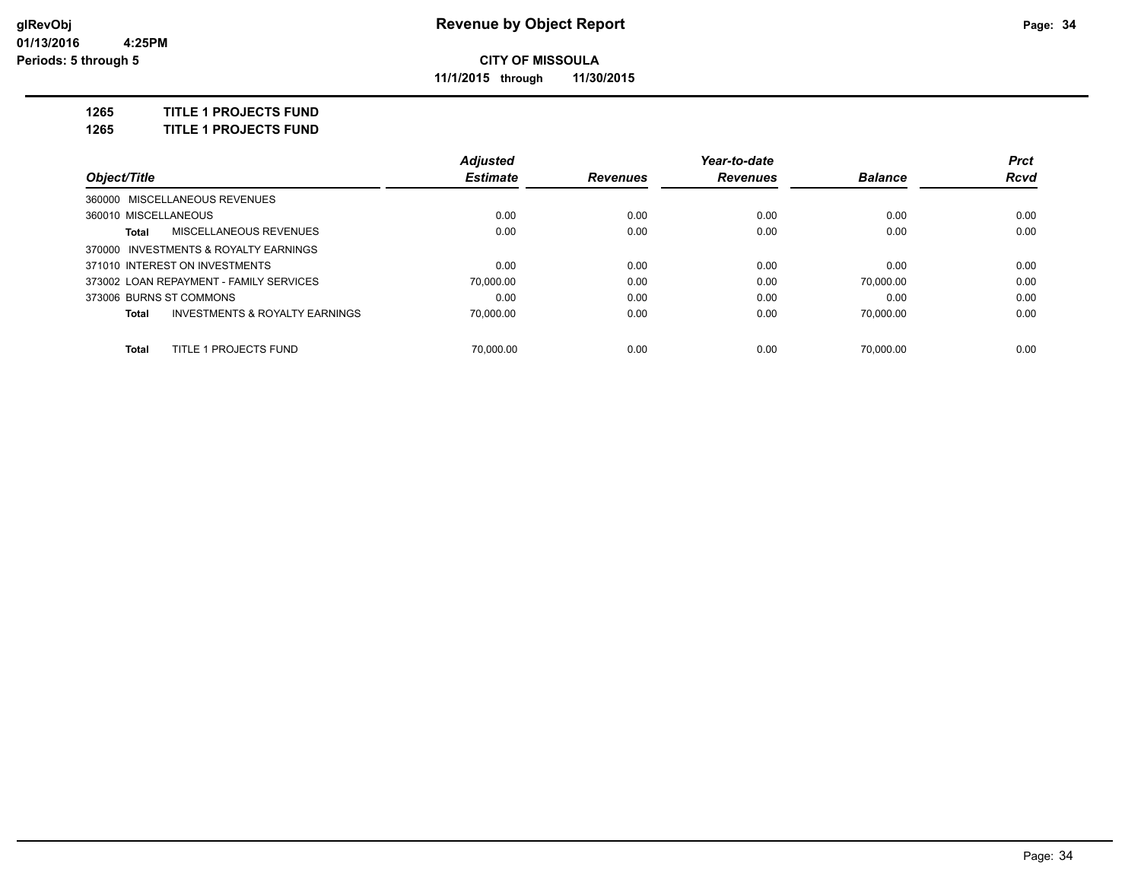**11/1/2015 through 11/30/2015**

### **1265 TITLE 1 PROJECTS FUND**

**1265 TITLE 1 PROJECTS FUND**

|                                                    | <b>Adjusted</b> |                 | Year-to-date    |                | <b>Prct</b> |
|----------------------------------------------------|-----------------|-----------------|-----------------|----------------|-------------|
| Object/Title                                       | <b>Estimate</b> | <b>Revenues</b> | <b>Revenues</b> | <b>Balance</b> | <b>Rcvd</b> |
| 360000 MISCELLANEOUS REVENUES                      |                 |                 |                 |                |             |
| 360010 MISCELLANEOUS                               | 0.00            | 0.00            | 0.00            | 0.00           | 0.00        |
| MISCELLANEOUS REVENUES<br>Total                    | 0.00            | 0.00            | 0.00            | 0.00           | 0.00        |
| 370000 INVESTMENTS & ROYALTY EARNINGS              |                 |                 |                 |                |             |
| 371010 INTEREST ON INVESTMENTS                     | 0.00            | 0.00            | 0.00            | 0.00           | 0.00        |
| 373002 LOAN REPAYMENT - FAMILY SERVICES            | 70.000.00       | 0.00            | 0.00            | 70.000.00      | 0.00        |
| 373006 BURNS ST COMMONS                            | 0.00            | 0.00            | 0.00            | 0.00           | 0.00        |
| <b>INVESTMENTS &amp; ROYALTY EARNINGS</b><br>Total | 70.000.00       | 0.00            | 0.00            | 70.000.00      | 0.00        |
| <b>TITLE 1 PROJECTS FUND</b><br><b>Total</b>       | 70.000.00       | 0.00            | 0.00            | 70.000.00      | 0.00        |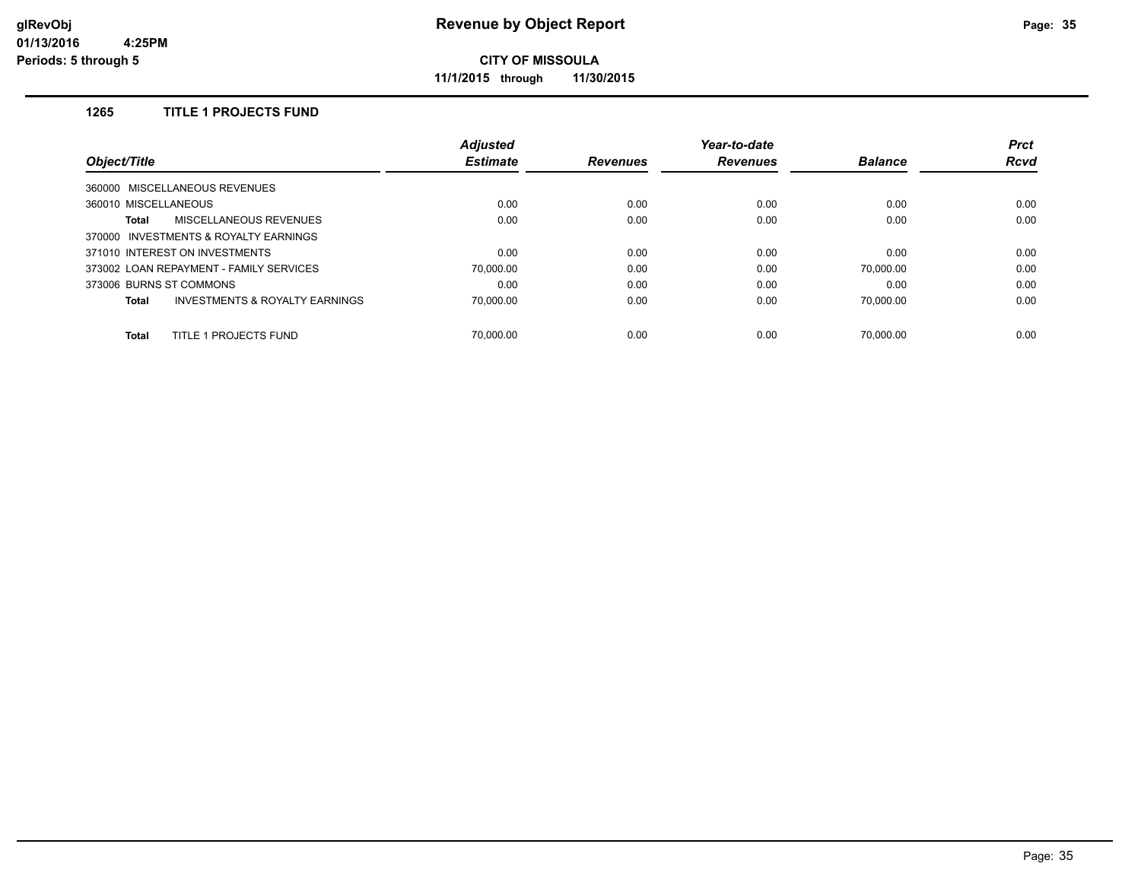**11/1/2015 through 11/30/2015**

# **1265 TITLE 1 PROJECTS FUND**

|                                                    | <b>Adjusted</b> |                 | Year-to-date    |                | <b>Prct</b> |
|----------------------------------------------------|-----------------|-----------------|-----------------|----------------|-------------|
| Object/Title                                       | <b>Estimate</b> | <b>Revenues</b> | <b>Revenues</b> | <b>Balance</b> | <b>Rcvd</b> |
| 360000 MISCELLANEOUS REVENUES                      |                 |                 |                 |                |             |
| 360010 MISCELLANEOUS                               | 0.00            | 0.00            | 0.00            | 0.00           | 0.00        |
| <b>MISCELLANEOUS REVENUES</b><br>Total             | 0.00            | 0.00            | 0.00            | 0.00           | 0.00        |
| 370000 INVESTMENTS & ROYALTY EARNINGS              |                 |                 |                 |                |             |
| 371010 INTEREST ON INVESTMENTS                     | 0.00            | 0.00            | 0.00            | 0.00           | 0.00        |
| 373002 LOAN REPAYMENT - FAMILY SERVICES            | 70.000.00       | 0.00            | 0.00            | 70.000.00      | 0.00        |
| 373006 BURNS ST COMMONS                            | 0.00            | 0.00            | 0.00            | 0.00           | 0.00        |
| <b>INVESTMENTS &amp; ROYALTY EARNINGS</b><br>Total | 70.000.00       | 0.00            | 0.00            | 70.000.00      | 0.00        |
| TITLE 1 PROJECTS FUND<br><b>Total</b>              | 70.000.00       | 0.00            | 0.00            | 70.000.00      | 0.00        |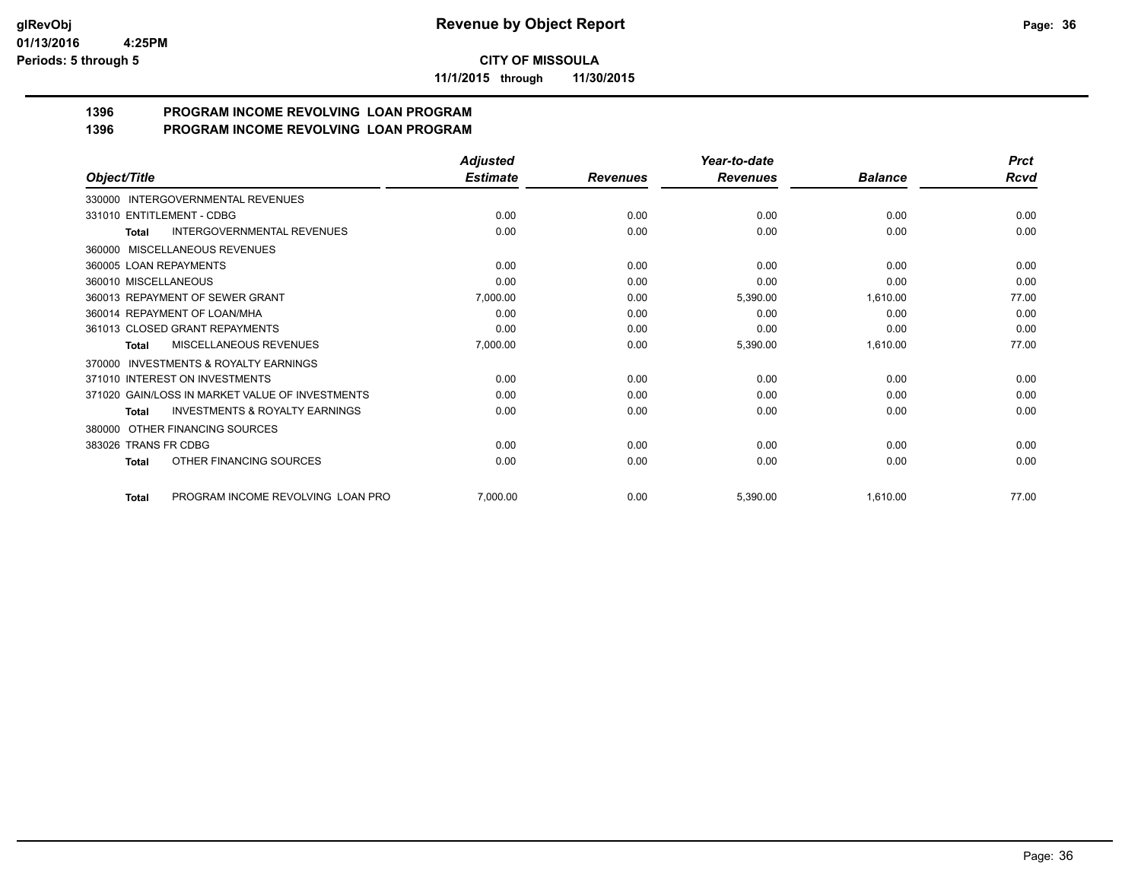**11/1/2015 through 11/30/2015**

#### **1396 PROGRAM INCOME REVOLVING LOAN PROGRAM 1396 PROGRAM INCOME REVOLVING LOAN PROGRAM**

|                                                     | <b>Adjusted</b> |                 | Year-to-date    |                | <b>Prct</b> |
|-----------------------------------------------------|-----------------|-----------------|-----------------|----------------|-------------|
| Object/Title                                        | <b>Estimate</b> | <b>Revenues</b> | <b>Revenues</b> | <b>Balance</b> | <b>Rcvd</b> |
| INTERGOVERNMENTAL REVENUES<br>330000                |                 |                 |                 |                |             |
| 331010 ENTITLEMENT - CDBG                           | 0.00            | 0.00            | 0.00            | 0.00           | 0.00        |
| INTERGOVERNMENTAL REVENUES<br><b>Total</b>          | 0.00            | 0.00            | 0.00            | 0.00           | 0.00        |
| 360000 MISCELLANEOUS REVENUES                       |                 |                 |                 |                |             |
| 360005 LOAN REPAYMENTS                              | 0.00            | 0.00            | 0.00            | 0.00           | 0.00        |
| 360010 MISCELLANEOUS                                | 0.00            | 0.00            | 0.00            | 0.00           | 0.00        |
| 360013 REPAYMENT OF SEWER GRANT                     | 7.000.00        | 0.00            | 5.390.00        | 1,610.00       | 77.00       |
| 360014 REPAYMENT OF LOAN/MHA                        | 0.00            | 0.00            | 0.00            | 0.00           | 0.00        |
| 361013 CLOSED GRANT REPAYMENTS                      | 0.00            | 0.00            | 0.00            | 0.00           | 0.00        |
| MISCELLANEOUS REVENUES<br><b>Total</b>              | 7,000.00        | 0.00            | 5,390.00        | 1,610.00       | 77.00       |
| <b>INVESTMENTS &amp; ROYALTY EARNINGS</b><br>370000 |                 |                 |                 |                |             |
| 371010 INTEREST ON INVESTMENTS                      | 0.00            | 0.00            | 0.00            | 0.00           | 0.00        |
| 371020 GAIN/LOSS IN MARKET VALUE OF INVESTMENTS     | 0.00            | 0.00            | 0.00            | 0.00           | 0.00        |
| <b>INVESTMENTS &amp; ROYALTY EARNINGS</b><br>Total  | 0.00            | 0.00            | 0.00            | 0.00           | 0.00        |
| OTHER FINANCING SOURCES<br>380000                   |                 |                 |                 |                |             |
| <b>TRANS FR CDBG</b><br>383026                      | 0.00            | 0.00            | 0.00            | 0.00           | 0.00        |
| OTHER FINANCING SOURCES<br>Total                    | 0.00            | 0.00            | 0.00            | 0.00           | 0.00        |
| PROGRAM INCOME REVOLVING LOAN PRO<br><b>Total</b>   | 7,000.00        | 0.00            | 5,390.00        | 1,610.00       | 77.00       |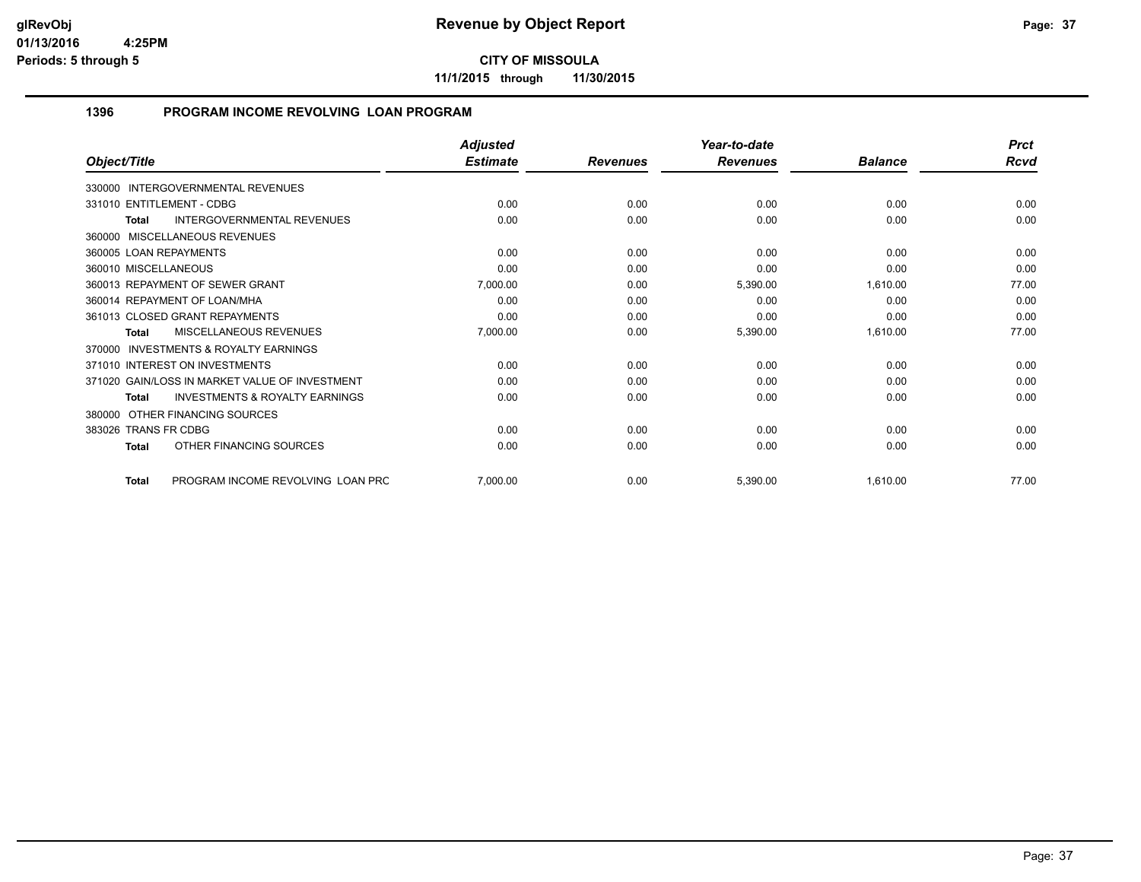**11/1/2015 through 11/30/2015**

## **1396 PROGRAM INCOME REVOLVING LOAN PROGRAM**

|                                                           | <b>Adjusted</b> |                 | Year-to-date    |                | <b>Prct</b> |
|-----------------------------------------------------------|-----------------|-----------------|-----------------|----------------|-------------|
| Object/Title                                              | <b>Estimate</b> | <b>Revenues</b> | <b>Revenues</b> | <b>Balance</b> | <b>Rcvd</b> |
| 330000 INTERGOVERNMENTAL REVENUES                         |                 |                 |                 |                |             |
| 331010 ENTITLEMENT - CDBG                                 | 0.00            | 0.00            | 0.00            | 0.00           | 0.00        |
| <b>INTERGOVERNMENTAL REVENUES</b><br><b>Total</b>         | 0.00            | 0.00            | 0.00            | 0.00           | 0.00        |
| 360000 MISCELLANEOUS REVENUES                             |                 |                 |                 |                |             |
| 360005 LOAN REPAYMENTS                                    | 0.00            | 0.00            | 0.00            | 0.00           | 0.00        |
| 360010 MISCELLANEOUS                                      | 0.00            | 0.00            | 0.00            | 0.00           | 0.00        |
| 360013 REPAYMENT OF SEWER GRANT                           | 7,000.00        | 0.00            | 5,390.00        | 1,610.00       | 77.00       |
| 360014 REPAYMENT OF LOAN/MHA                              | 0.00            | 0.00            | 0.00            | 0.00           | 0.00        |
| 361013 CLOSED GRANT REPAYMENTS                            | 0.00            | 0.00            | 0.00            | 0.00           | 0.00        |
| MISCELLANEOUS REVENUES<br><b>Total</b>                    | 7,000.00        | 0.00            | 5,390.00        | 1,610.00       | 77.00       |
| 370000 INVESTMENTS & ROYALTY EARNINGS                     |                 |                 |                 |                |             |
| 371010 INTEREST ON INVESTMENTS                            | 0.00            | 0.00            | 0.00            | 0.00           | 0.00        |
| 371020 GAIN/LOSS IN MARKET VALUE OF INVESTMENT            | 0.00            | 0.00            | 0.00            | 0.00           | 0.00        |
| <b>INVESTMENTS &amp; ROYALTY EARNINGS</b><br><b>Total</b> | 0.00            | 0.00            | 0.00            | 0.00           | 0.00        |
| 380000 OTHER FINANCING SOURCES                            |                 |                 |                 |                |             |
| 383026 TRANS FR CDBG                                      | 0.00            | 0.00            | 0.00            | 0.00           | 0.00        |
| OTHER FINANCING SOURCES<br><b>Total</b>                   | 0.00            | 0.00            | 0.00            | 0.00           | 0.00        |
| PROGRAM INCOME REVOLVING LOAN PRC<br><b>Total</b>         | 7,000.00        | 0.00            | 5.390.00        | 1,610.00       | 77.00       |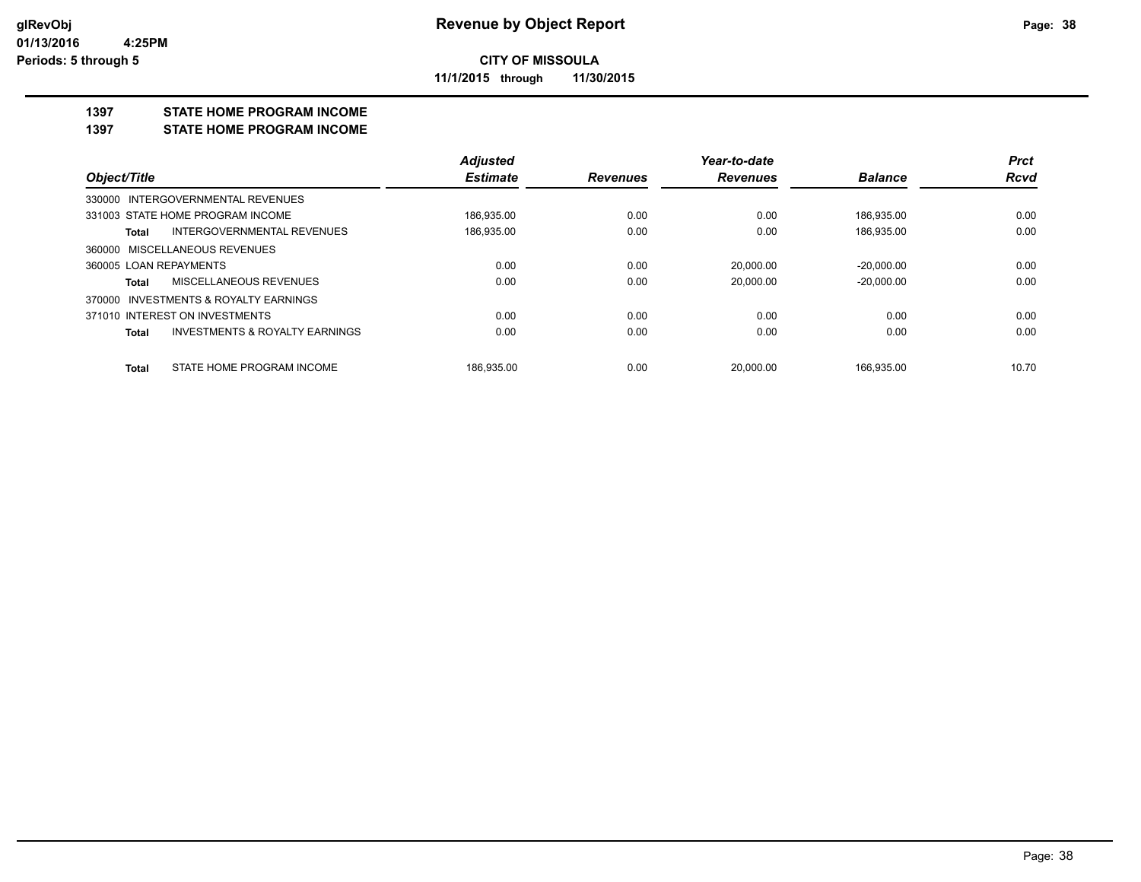**11/1/2015 through 11/30/2015**

#### **1397 STATE HOME PROGRAM INCOME**

**1397 STATE HOME PROGRAM INCOME**

|                                                    | <b>Adjusted</b> |                 | Year-to-date    |                | <b>Prct</b> |
|----------------------------------------------------|-----------------|-----------------|-----------------|----------------|-------------|
| Object/Title                                       | <b>Estimate</b> | <b>Revenues</b> | <b>Revenues</b> | <b>Balance</b> | <b>Rcvd</b> |
| 330000 INTERGOVERNMENTAL REVENUES                  |                 |                 |                 |                |             |
| 331003 STATE HOME PROGRAM INCOME                   | 186,935.00      | 0.00            | 0.00            | 186,935.00     | 0.00        |
| INTERGOVERNMENTAL REVENUES<br>Total                | 186,935.00      | 0.00            | 0.00            | 186,935.00     | 0.00        |
| 360000 MISCELLANEOUS REVENUES                      |                 |                 |                 |                |             |
| 360005 LOAN REPAYMENTS                             | 0.00            | 0.00            | 20.000.00       | $-20.000.00$   | 0.00        |
| MISCELLANEOUS REVENUES<br>Total                    | 0.00            | 0.00            | 20.000.00       | $-20.000.00$   | 0.00        |
| 370000 INVESTMENTS & ROYALTY EARNINGS              |                 |                 |                 |                |             |
| 371010 INTEREST ON INVESTMENTS                     | 0.00            | 0.00            | 0.00            | 0.00           | 0.00        |
| <b>INVESTMENTS &amp; ROYALTY EARNINGS</b><br>Total | 0.00            | 0.00            | 0.00            | 0.00           | 0.00        |
| STATE HOME PROGRAM INCOME<br>Total                 | 186.935.00      | 0.00            | 20.000.00       | 166.935.00     | 10.70       |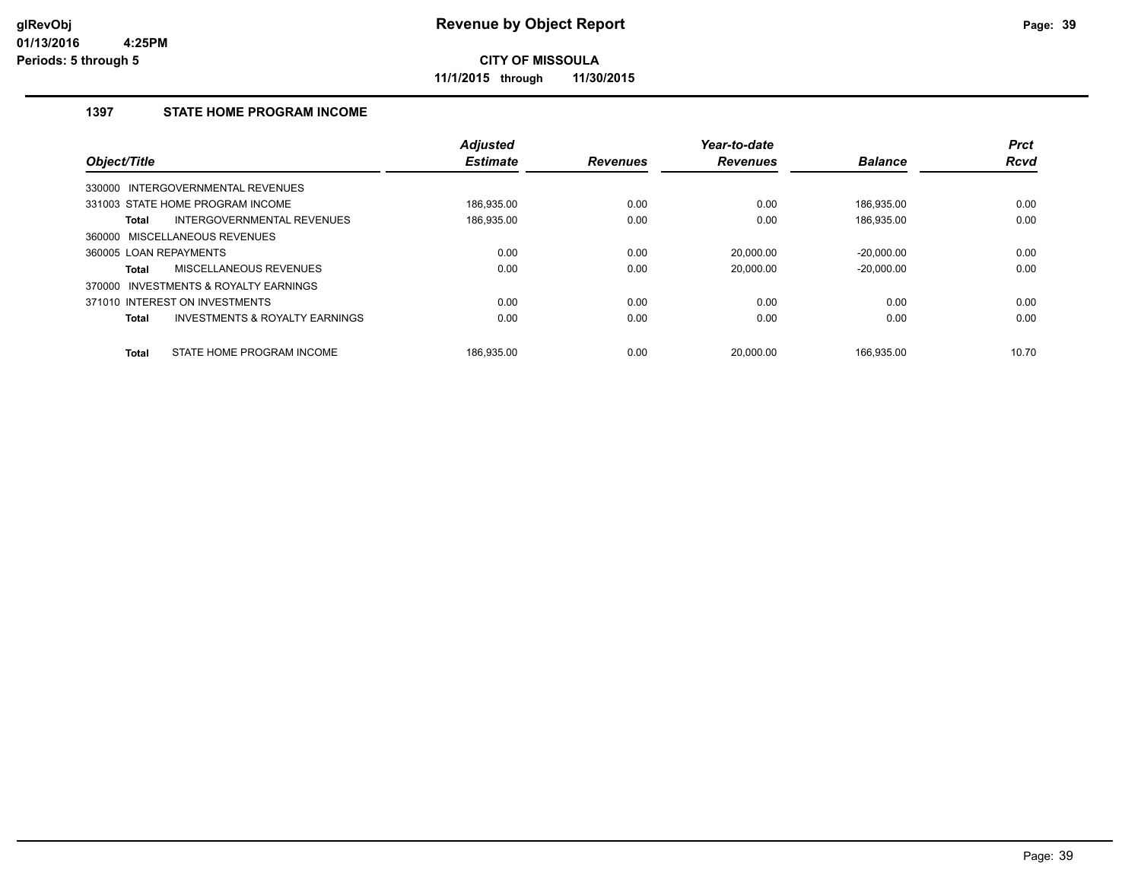**11/1/2015 through 11/30/2015**

## **1397 STATE HOME PROGRAM INCOME**

| Object/Title                                              | <b>Adjusted</b><br><b>Estimate</b> | <b>Revenues</b> | Year-to-date<br><b>Revenues</b> | <b>Balance</b> | <b>Prct</b><br><b>Rcvd</b> |
|-----------------------------------------------------------|------------------------------------|-----------------|---------------------------------|----------------|----------------------------|
| INTERGOVERNMENTAL REVENUES<br>330000                      |                                    |                 |                                 |                |                            |
| 331003 STATE HOME PROGRAM INCOME                          | 186,935.00                         | 0.00            | 0.00                            | 186.935.00     | 0.00                       |
| <b>INTERGOVERNMENTAL REVENUES</b><br>Total                | 186,935.00                         | 0.00            | 0.00                            | 186.935.00     | 0.00                       |
| MISCELLANEOUS REVENUES<br>360000                          |                                    |                 |                                 |                |                            |
| 360005 LOAN REPAYMENTS                                    | 0.00                               | 0.00            | 20.000.00                       | $-20.000.00$   | 0.00                       |
| MISCELLANEOUS REVENUES<br>Total                           | 0.00                               | 0.00            | 20.000.00                       | $-20,000.00$   | 0.00                       |
| INVESTMENTS & ROYALTY EARNINGS<br>370000                  |                                    |                 |                                 |                |                            |
| 371010 INTEREST ON INVESTMENTS                            | 0.00                               | 0.00            | 0.00                            | 0.00           | 0.00                       |
| <b>INVESTMENTS &amp; ROYALTY EARNINGS</b><br><b>Total</b> | 0.00                               | 0.00            | 0.00                            | 0.00           | 0.00                       |
| STATE HOME PROGRAM INCOME<br><b>Total</b>                 | 186.935.00                         | 0.00            | 20.000.00                       | 166.935.00     | 10.70                      |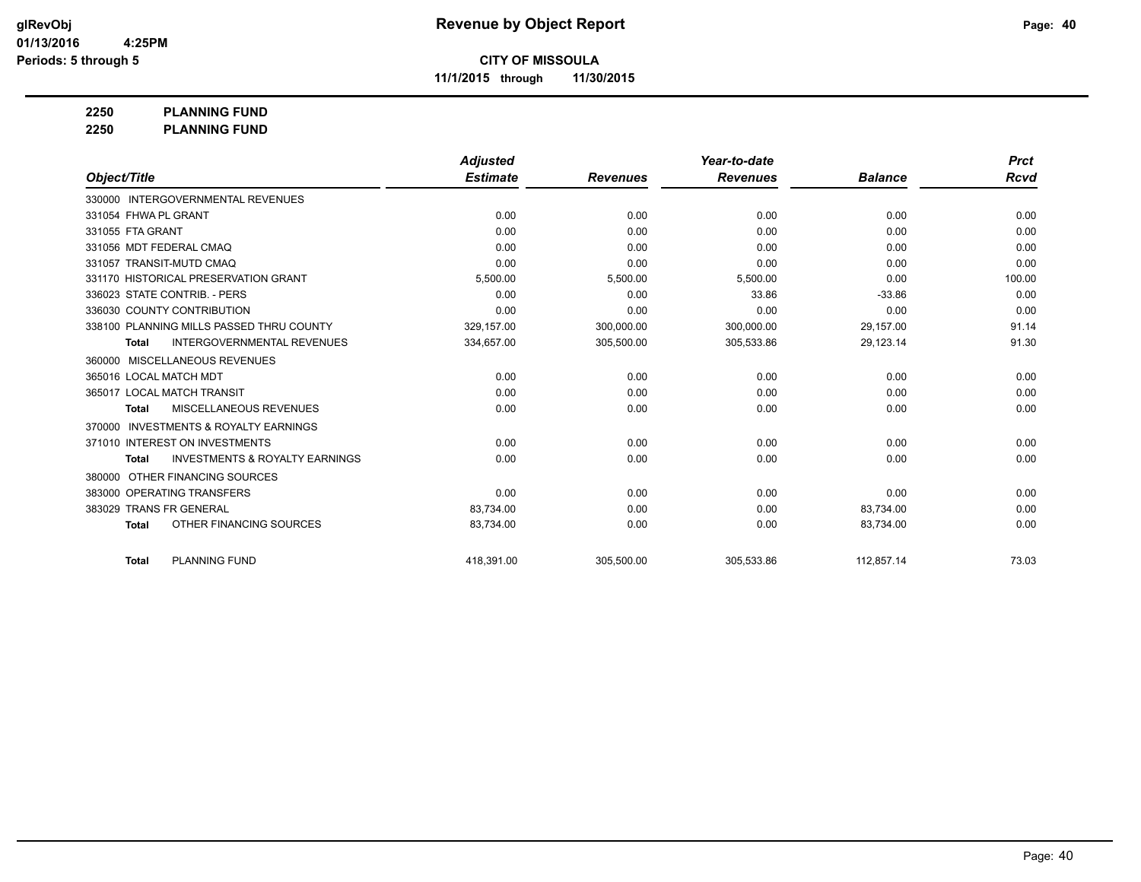**11/1/2015 through 11/30/2015**

**2250 PLANNING FUND**

**2250 PLANNING FUND**

|                                                           | <b>Adjusted</b> |                 | Year-to-date    |                | <b>Prct</b> |
|-----------------------------------------------------------|-----------------|-----------------|-----------------|----------------|-------------|
| Object/Title                                              | <b>Estimate</b> | <b>Revenues</b> | <b>Revenues</b> | <b>Balance</b> | Rcvd        |
| 330000 INTERGOVERNMENTAL REVENUES                         |                 |                 |                 |                |             |
| 331054 FHWA PL GRANT                                      | 0.00            | 0.00            | 0.00            | 0.00           | 0.00        |
| 331055 FTA GRANT                                          | 0.00            | 0.00            | 0.00            | 0.00           | 0.00        |
| 331056 MDT FEDERAL CMAQ                                   | 0.00            | 0.00            | 0.00            | 0.00           | 0.00        |
| 331057 TRANSIT-MUTD CMAQ                                  | 0.00            | 0.00            | 0.00            | 0.00           | 0.00        |
| 331170 HISTORICAL PRESERVATION GRANT                      | 5,500.00        | 5,500.00        | 5,500.00        | 0.00           | 100.00      |
| 336023 STATE CONTRIB. - PERS                              | 0.00            | 0.00            | 33.86           | $-33.86$       | 0.00        |
| 336030 COUNTY CONTRIBUTION                                | 0.00            | 0.00            | 0.00            | 0.00           | 0.00        |
| 338100 PLANNING MILLS PASSED THRU COUNTY                  | 329,157.00      | 300,000.00      | 300,000.00      | 29,157.00      | 91.14       |
| <b>INTERGOVERNMENTAL REVENUES</b><br><b>Total</b>         | 334,657.00      | 305,500.00      | 305,533.86      | 29,123.14      | 91.30       |
| <b>MISCELLANEOUS REVENUES</b><br>360000                   |                 |                 |                 |                |             |
| 365016 LOCAL MATCH MDT                                    | 0.00            | 0.00            | 0.00            | 0.00           | 0.00        |
| 365017 LOCAL MATCH TRANSIT                                | 0.00            | 0.00            | 0.00            | 0.00           | 0.00        |
| MISCELLANEOUS REVENUES<br><b>Total</b>                    | 0.00            | 0.00            | 0.00            | 0.00           | 0.00        |
| <b>INVESTMENTS &amp; ROYALTY EARNINGS</b><br>370000       |                 |                 |                 |                |             |
| 371010 INTEREST ON INVESTMENTS                            | 0.00            | 0.00            | 0.00            | 0.00           | 0.00        |
| <b>INVESTMENTS &amp; ROYALTY EARNINGS</b><br><b>Total</b> | 0.00            | 0.00            | 0.00            | 0.00           | 0.00        |
| OTHER FINANCING SOURCES<br>380000                         |                 |                 |                 |                |             |
| 383000 OPERATING TRANSFERS                                | 0.00            | 0.00            | 0.00            | 0.00           | 0.00        |
| <b>TRANS FR GENERAL</b><br>383029                         | 83,734.00       | 0.00            | 0.00            | 83,734.00      | 0.00        |
| OTHER FINANCING SOURCES<br><b>Total</b>                   | 83,734.00       | 0.00            | 0.00            | 83,734.00      | 0.00        |
| <b>PLANNING FUND</b><br><b>Total</b>                      | 418.391.00      | 305.500.00      | 305.533.86      | 112.857.14     | 73.03       |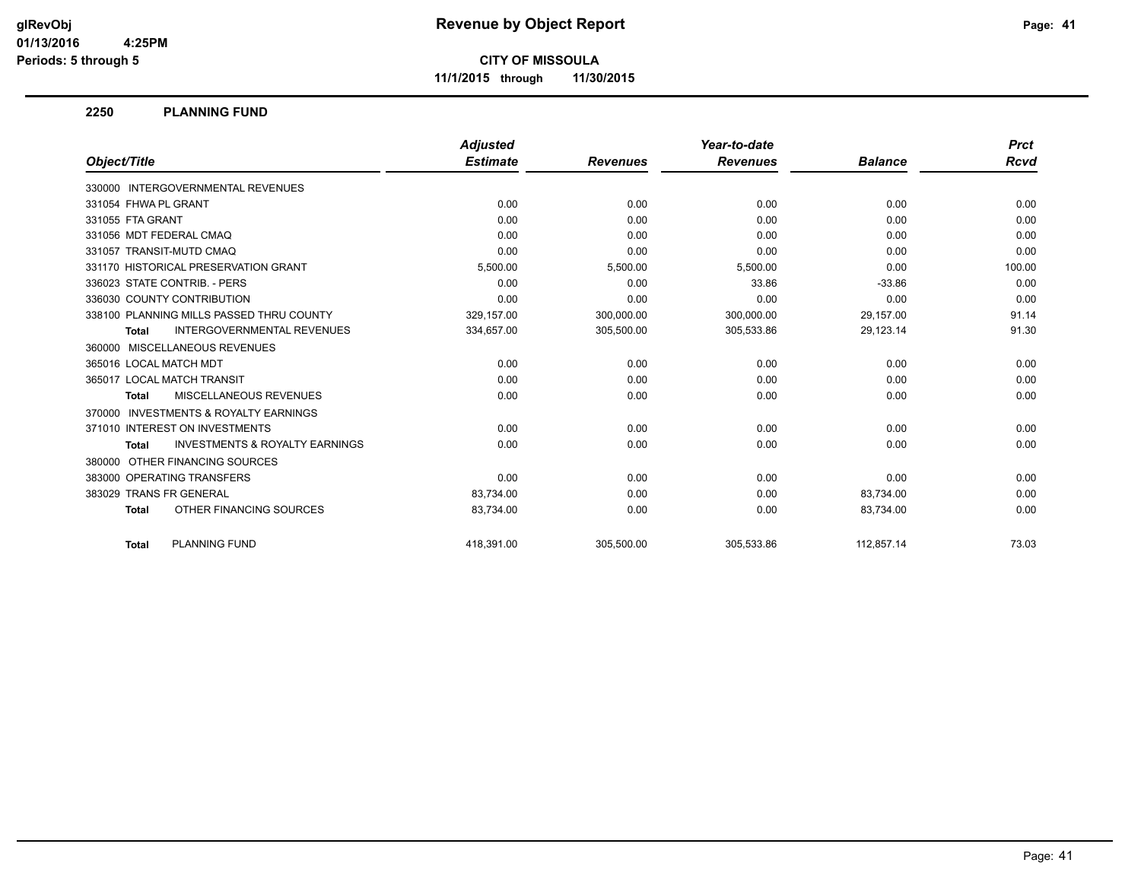**11/1/2015 through 11/30/2015**

#### **2250 PLANNING FUND**

|                                                           | <b>Adjusted</b> |                 | Year-to-date    |                | <b>Prct</b> |
|-----------------------------------------------------------|-----------------|-----------------|-----------------|----------------|-------------|
| Object/Title                                              | <b>Estimate</b> | <b>Revenues</b> | <b>Revenues</b> | <b>Balance</b> | Rcvd        |
| 330000 INTERGOVERNMENTAL REVENUES                         |                 |                 |                 |                |             |
| 331054 FHWA PL GRANT                                      | 0.00            | 0.00            | 0.00            | 0.00           | 0.00        |
| 331055 FTA GRANT                                          | 0.00            | 0.00            | 0.00            | 0.00           | 0.00        |
| 331056 MDT FEDERAL CMAQ                                   | 0.00            | 0.00            | 0.00            | 0.00           | 0.00        |
| 331057 TRANSIT-MUTD CMAQ                                  | 0.00            | 0.00            | 0.00            | 0.00           | 0.00        |
| 331170 HISTORICAL PRESERVATION GRANT                      | 5,500.00        | 5,500.00        | 5,500.00        | 0.00           | 100.00      |
| 336023 STATE CONTRIB. - PERS                              | 0.00            | 0.00            | 33.86           | $-33.86$       | 0.00        |
| 336030 COUNTY CONTRIBUTION                                | 0.00            | 0.00            | 0.00            | 0.00           | 0.00        |
| 338100 PLANNING MILLS PASSED THRU COUNTY                  | 329,157.00      | 300,000.00      | 300,000.00      | 29,157.00      | 91.14       |
| <b>INTERGOVERNMENTAL REVENUES</b><br><b>Total</b>         | 334,657.00      | 305,500.00      | 305,533.86      | 29,123.14      | 91.30       |
| 360000 MISCELLANEOUS REVENUES                             |                 |                 |                 |                |             |
| 365016 LOCAL MATCH MDT                                    | 0.00            | 0.00            | 0.00            | 0.00           | 0.00        |
| 365017 LOCAL MATCH TRANSIT                                | 0.00            | 0.00            | 0.00            | 0.00           | 0.00        |
| <b>MISCELLANEOUS REVENUES</b><br><b>Total</b>             | 0.00            | 0.00            | 0.00            | 0.00           | 0.00        |
| <b>INVESTMENTS &amp; ROYALTY EARNINGS</b><br>370000       |                 |                 |                 |                |             |
| 371010 INTEREST ON INVESTMENTS                            | 0.00            | 0.00            | 0.00            | 0.00           | 0.00        |
| <b>INVESTMENTS &amp; ROYALTY EARNINGS</b><br><b>Total</b> | 0.00            | 0.00            | 0.00            | 0.00           | 0.00        |
| OTHER FINANCING SOURCES<br>380000                         |                 |                 |                 |                |             |
| 383000 OPERATING TRANSFERS                                | 0.00            | 0.00            | 0.00            | 0.00           | 0.00        |
| 383029 TRANS FR GENERAL                                   | 83,734.00       | 0.00            | 0.00            | 83,734.00      | 0.00        |
| OTHER FINANCING SOURCES<br><b>Total</b>                   | 83,734.00       | 0.00            | 0.00            | 83,734.00      | 0.00        |
| <b>PLANNING FUND</b><br><b>Total</b>                      | 418.391.00      | 305.500.00      | 305.533.86      | 112.857.14     | 73.03       |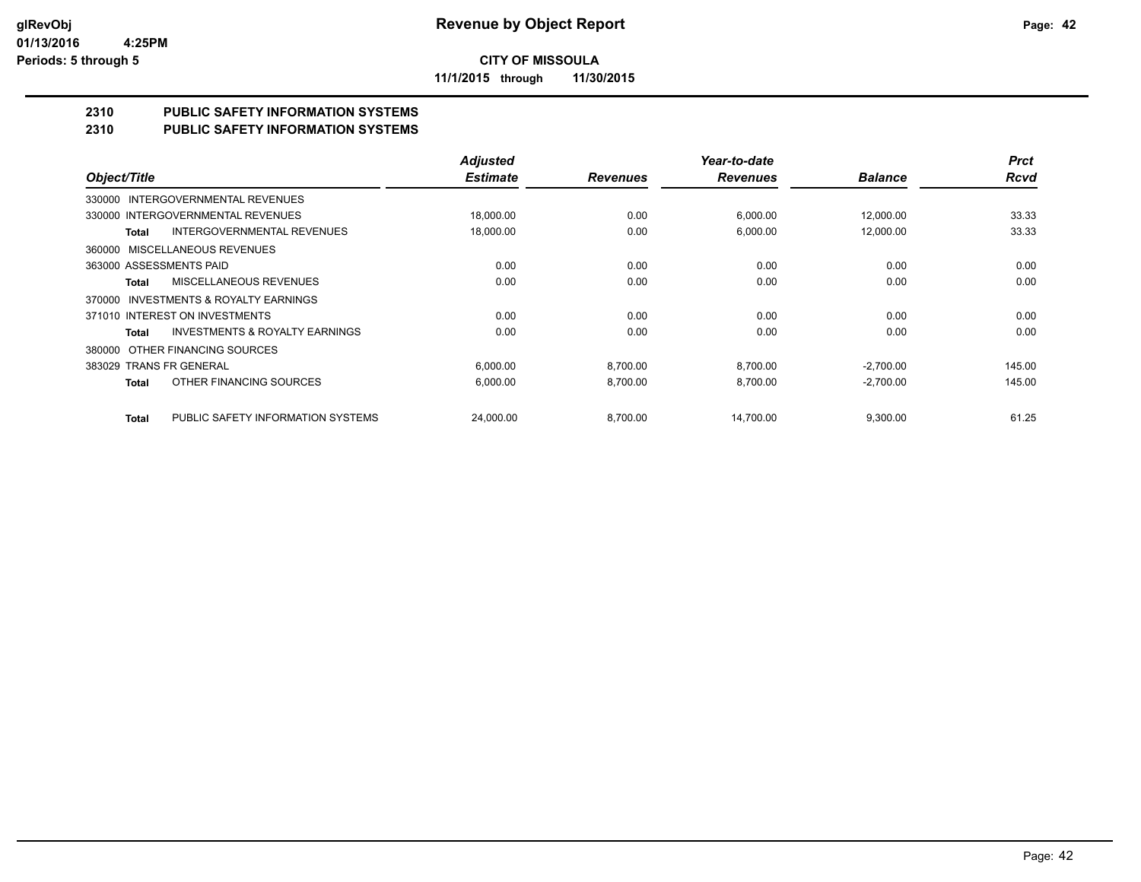**11/1/2015 through 11/30/2015**

# **2310 PUBLIC SAFETY INFORMATION SYSTEMS**

## **2310 PUBLIC SAFETY INFORMATION SYSTEMS**

|                                                    | <b>Adjusted</b> |                 | Year-to-date    |                | <b>Prct</b> |
|----------------------------------------------------|-----------------|-----------------|-----------------|----------------|-------------|
| Object/Title                                       | <b>Estimate</b> | <b>Revenues</b> | <b>Revenues</b> | <b>Balance</b> | Rcvd        |
| 330000 INTERGOVERNMENTAL REVENUES                  |                 |                 |                 |                |             |
| 330000 INTERGOVERNMENTAL REVENUES                  | 18,000.00       | 0.00            | 6,000.00        | 12,000.00      | 33.33       |
| <b>INTERGOVERNMENTAL REVENUES</b><br>Total         | 18,000.00       | 0.00            | 6,000.00        | 12,000.00      | 33.33       |
| 360000 MISCELLANEOUS REVENUES                      |                 |                 |                 |                |             |
| 363000 ASSESSMENTS PAID                            | 0.00            | 0.00            | 0.00            | 0.00           | 0.00        |
| MISCELLANEOUS REVENUES<br>Total                    | 0.00            | 0.00            | 0.00            | 0.00           | 0.00        |
| INVESTMENTS & ROYALTY EARNINGS<br>370000           |                 |                 |                 |                |             |
| 371010 INTEREST ON INVESTMENTS                     | 0.00            | 0.00            | 0.00            | 0.00           | 0.00        |
| <b>INVESTMENTS &amp; ROYALTY EARNINGS</b><br>Total | 0.00            | 0.00            | 0.00            | 0.00           | 0.00        |
| OTHER FINANCING SOURCES<br>380000                  |                 |                 |                 |                |             |
| 383029 TRANS FR GENERAL                            | 6,000.00        | 8,700.00        | 8.700.00        | $-2,700.00$    | 145.00      |
| OTHER FINANCING SOURCES<br><b>Total</b>            | 6,000.00        | 8,700.00        | 8,700.00        | $-2,700.00$    | 145.00      |
|                                                    |                 |                 |                 |                |             |
| PUBLIC SAFETY INFORMATION SYSTEMS<br>Total         | 24.000.00       | 8.700.00        | 14.700.00       | 9,300.00       | 61.25       |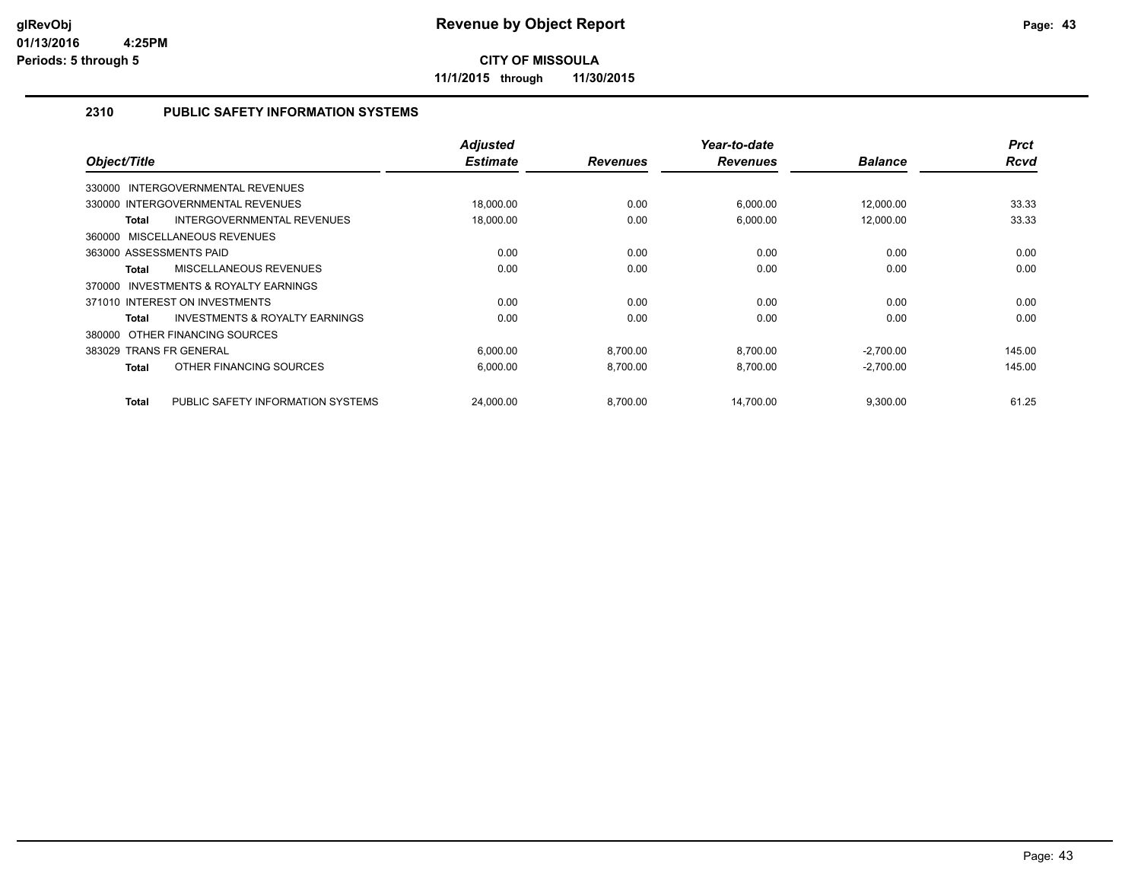**11/1/2015 through 11/30/2015**

## **2310 PUBLIC SAFETY INFORMATION SYSTEMS**

| Object/Title                               | <b>Adjusted</b><br><b>Estimate</b> | <b>Revenues</b> | Year-to-date<br><b>Revenues</b> | <b>Balance</b> | <b>Prct</b><br>Rcvd |
|--------------------------------------------|------------------------------------|-----------------|---------------------------------|----------------|---------------------|
| INTERGOVERNMENTAL REVENUES<br>330000       |                                    |                 |                                 |                |                     |
| 330000 INTERGOVERNMENTAL REVENUES          | 18,000.00                          | 0.00            | 6,000.00                        | 12,000.00      | 33.33               |
| <b>INTERGOVERNMENTAL REVENUES</b><br>Total | 18,000.00                          | 0.00            | 6,000.00                        | 12,000.00      | 33.33               |
| 360000 MISCELLANEOUS REVENUES              |                                    |                 |                                 |                |                     |
| 363000 ASSESSMENTS PAID                    | 0.00                               | 0.00            | 0.00                            | 0.00           | 0.00                |
| MISCELLANEOUS REVENUES<br>Total            | 0.00                               | 0.00            | 0.00                            | 0.00           | 0.00                |
| INVESTMENTS & ROYALTY EARNINGS<br>370000   |                                    |                 |                                 |                |                     |
| 371010 INTEREST ON INVESTMENTS             | 0.00                               | 0.00            | 0.00                            | 0.00           | 0.00                |
| INVESTMENTS & ROYALTY EARNINGS<br>Total    | 0.00                               | 0.00            | 0.00                            | 0.00           | 0.00                |
| 380000 OTHER FINANCING SOURCES             |                                    |                 |                                 |                |                     |
| 383029 TRANS FR GENERAL                    | 6.000.00                           | 8,700.00        | 8,700.00                        | $-2,700.00$    | 145.00              |
| OTHER FINANCING SOURCES<br>Total           | 6,000.00                           | 8,700.00        | 8,700.00                        | $-2,700.00$    | 145.00              |
| PUBLIC SAFETY INFORMATION SYSTEMS<br>Total | 24,000.00                          | 8,700.00        | 14,700.00                       | 9,300.00       | 61.25               |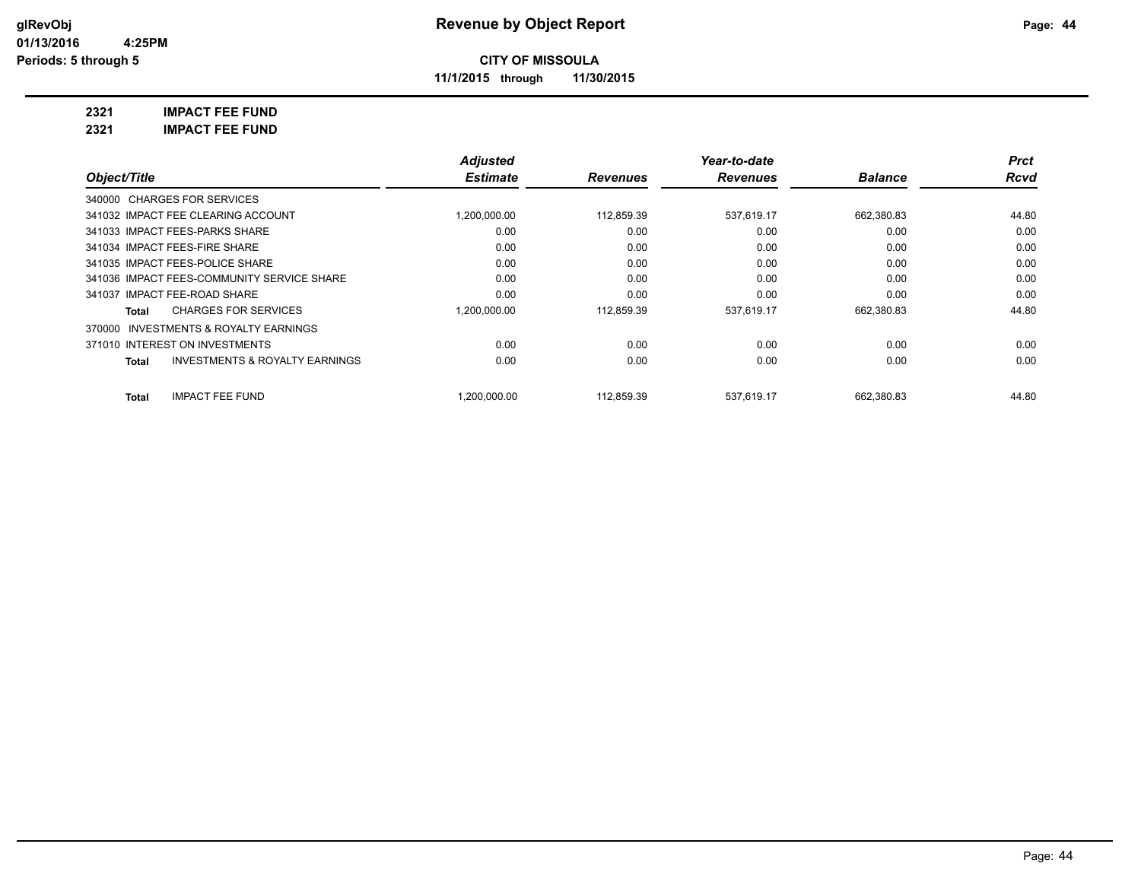**11/1/2015 through 11/30/2015**

**2321 IMPACT FEE FUND**

**2321 IMPACT FEE FUND**

|                                                    | <b>Adjusted</b> |                 | Year-to-date    |                | Prct        |
|----------------------------------------------------|-----------------|-----------------|-----------------|----------------|-------------|
| Object/Title                                       | <b>Estimate</b> | <b>Revenues</b> | <b>Revenues</b> | <b>Balance</b> | <b>Rcvd</b> |
| 340000 CHARGES FOR SERVICES                        |                 |                 |                 |                |             |
| 341032 IMPACT FEE CLEARING ACCOUNT                 | 1,200,000.00    | 112,859.39      | 537,619.17      | 662,380.83     | 44.80       |
| 341033 IMPACT FEES-PARKS SHARE                     | 0.00            | 0.00            | 0.00            | 0.00           | 0.00        |
| 341034 IMPACT FEES-FIRE SHARE                      | 0.00            | 0.00            | 0.00            | 0.00           | 0.00        |
| 341035 IMPACT FEES-POLICE SHARE                    | 0.00            | 0.00            | 0.00            | 0.00           | 0.00        |
| 341036 IMPACT FEES-COMMUNITY SERVICE SHARE         | 0.00            | 0.00            | 0.00            | 0.00           | 0.00        |
| 341037 IMPACT FEE-ROAD SHARE                       | 0.00            | 0.00            | 0.00            | 0.00           | 0.00        |
| <b>CHARGES FOR SERVICES</b><br>Total               | 1,200,000.00    | 112,859.39      | 537,619.17      | 662,380.83     | 44.80       |
| INVESTMENTS & ROYALTY EARNINGS<br>370000           |                 |                 |                 |                |             |
| 371010 INTEREST ON INVESTMENTS                     | 0.00            | 0.00            | 0.00            | 0.00           | 0.00        |
| <b>INVESTMENTS &amp; ROYALTY EARNINGS</b><br>Total | 0.00            | 0.00            | 0.00            | 0.00           | 0.00        |
| <b>IMPACT FEE FUND</b><br>Total                    | 1.200.000.00    | 112.859.39      | 537.619.17      | 662.380.83     | 44.80       |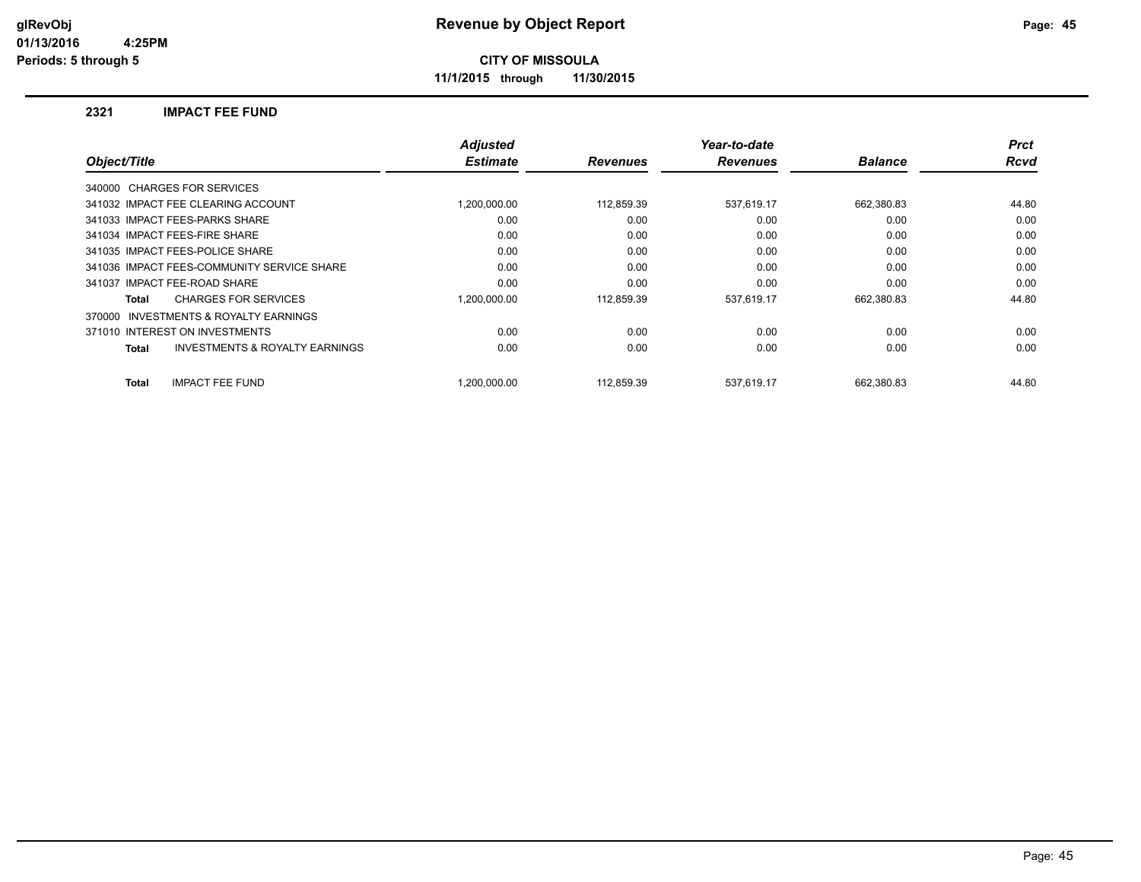**11/1/2015 through 11/30/2015**

#### **2321 IMPACT FEE FUND**

|                                                     |                                           | <b>Adjusted</b> |                 | Year-to-date    |                | <b>Prct</b> |
|-----------------------------------------------------|-------------------------------------------|-----------------|-----------------|-----------------|----------------|-------------|
| Object/Title                                        |                                           | <b>Estimate</b> | <b>Revenues</b> | <b>Revenues</b> | <b>Balance</b> | <b>Rcvd</b> |
| 340000 CHARGES FOR SERVICES                         |                                           |                 |                 |                 |                |             |
| 341032 IMPACT FEE CLEARING ACCOUNT                  |                                           | 1,200,000.00    | 112,859.39      | 537,619.17      | 662,380.83     | 44.80       |
| 341033 IMPACT FEES-PARKS SHARE                      |                                           | 0.00            | 0.00            | 0.00            | 0.00           | 0.00        |
| 341034 IMPACT FEES-FIRE SHARE                       |                                           | 0.00            | 0.00            | 0.00            | 0.00           | 0.00        |
| 341035 IMPACT FEES-POLICE SHARE                     |                                           | 0.00            | 0.00            | 0.00            | 0.00           | 0.00        |
| 341036 IMPACT FEES-COMMUNITY SERVICE SHARE          |                                           | 0.00            | 0.00            | 0.00            | 0.00           | 0.00        |
| 341037 IMPACT FEE-ROAD SHARE                        |                                           | 0.00            | 0.00            | 0.00            | 0.00           | 0.00        |
| Total                                               | <b>CHARGES FOR SERVICES</b>               | 1,200,000.00    | 112,859.39      | 537,619.17      | 662,380.83     | 44.80       |
| <b>INVESTMENTS &amp; ROYALTY EARNINGS</b><br>370000 |                                           |                 |                 |                 |                |             |
| 371010 INTEREST ON INVESTMENTS                      |                                           | 0.00            | 0.00            | 0.00            | 0.00           | 0.00        |
| Total                                               | <b>INVESTMENTS &amp; ROYALTY EARNINGS</b> | 0.00            | 0.00            | 0.00            | 0.00           | 0.00        |
| <b>IMPACT FEE FUND</b><br><b>Total</b>              |                                           | 1.200.000.00    | 112.859.39      | 537.619.17      | 662.380.83     | 44.80       |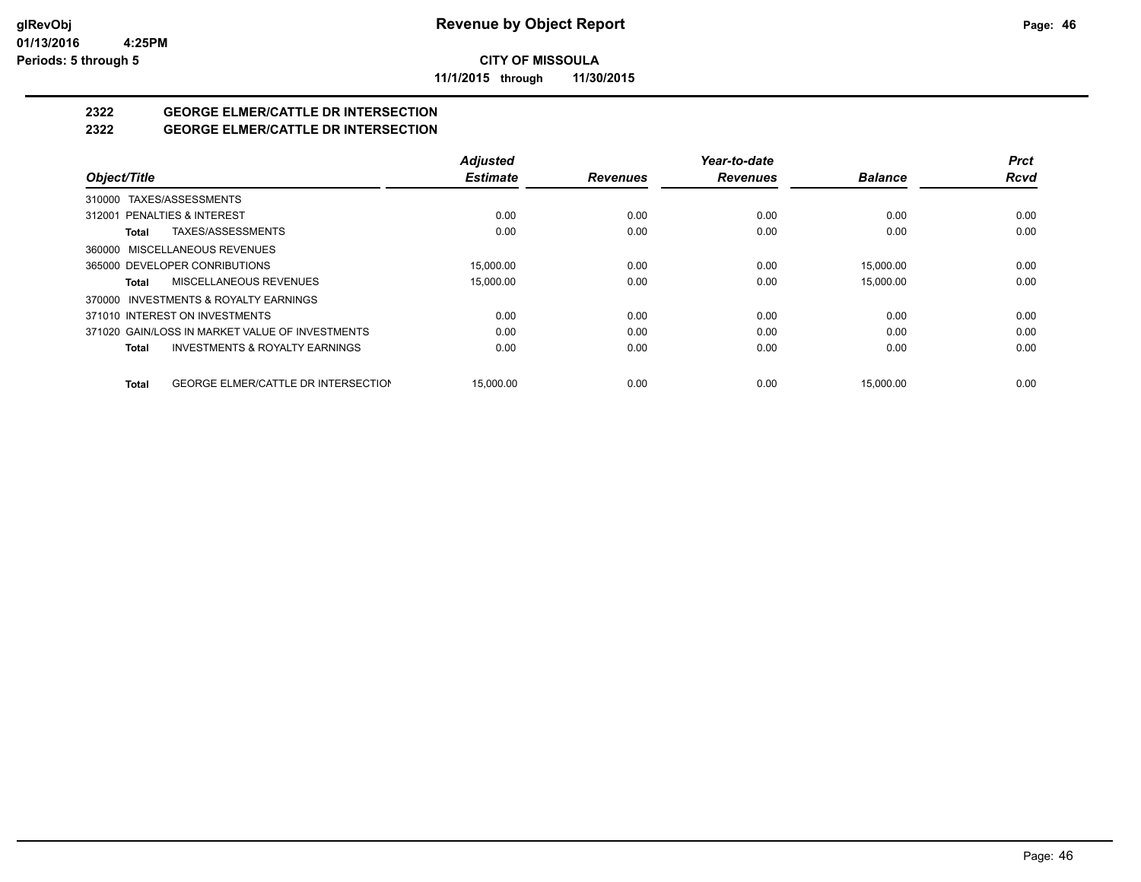**11/1/2015 through 11/30/2015**

# **2322 GEORGE ELMER/CATTLE DR INTERSECTION**

## **2322 GEORGE ELMER/CATTLE DR INTERSECTION**

|                                                            | <b>Adjusted</b> |                 | Year-to-date    |                | <b>Prct</b> |
|------------------------------------------------------------|-----------------|-----------------|-----------------|----------------|-------------|
| Object/Title                                               | <b>Estimate</b> | <b>Revenues</b> | <b>Revenues</b> | <b>Balance</b> | <b>Rcvd</b> |
| 310000 TAXES/ASSESSMENTS                                   |                 |                 |                 |                |             |
| 312001 PENALTIES & INTEREST                                | 0.00            | 0.00            | 0.00            | 0.00           | 0.00        |
| TAXES/ASSESSMENTS<br>Total                                 | 0.00            | 0.00            | 0.00            | 0.00           | 0.00        |
| 360000 MISCELLANEOUS REVENUES                              |                 |                 |                 |                |             |
| 365000 DEVELOPER CONRIBUTIONS                              | 15,000.00       | 0.00            | 0.00            | 15,000.00      | 0.00        |
| MISCELLANEOUS REVENUES<br>Total                            | 15,000.00       | 0.00            | 0.00            | 15,000.00      | 0.00        |
| 370000 INVESTMENTS & ROYALTY EARNINGS                      |                 |                 |                 |                |             |
| 371010 INTEREST ON INVESTMENTS                             | 0.00            | 0.00            | 0.00            | 0.00           | 0.00        |
| 371020 GAIN/LOSS IN MARKET VALUE OF INVESTMENTS            | 0.00            | 0.00            | 0.00            | 0.00           | 0.00        |
| <b>INVESTMENTS &amp; ROYALTY EARNINGS</b><br>Total         | 0.00            | 0.00            | 0.00            | 0.00           | 0.00        |
| <b>GEORGE ELMER/CATTLE DR INTERSECTION</b><br><b>Total</b> | 15.000.00       | 0.00            | 0.00            | 15.000.00      | 0.00        |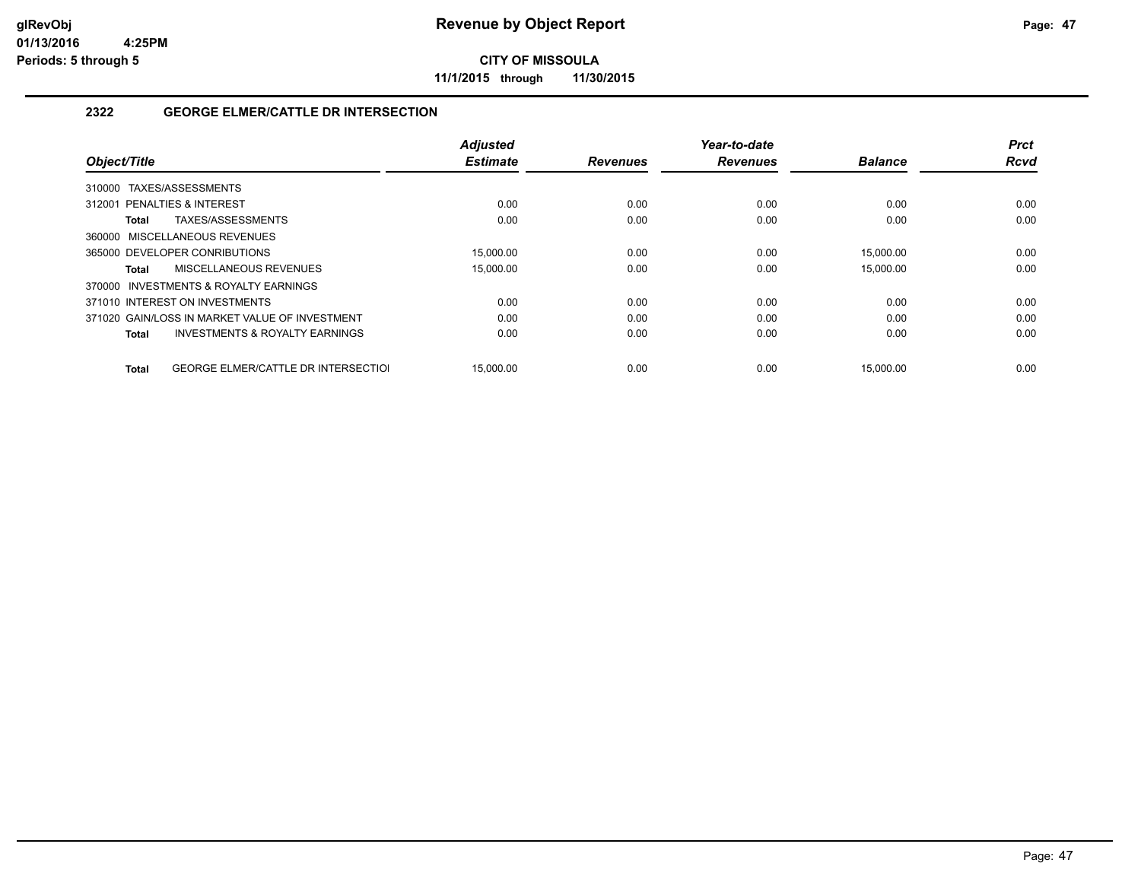**11/1/2015 through 11/30/2015**

## **2322 GEORGE ELMER/CATTLE DR INTERSECTION**

|                                                     | <b>Adjusted</b> |                 | Year-to-date    |                | <b>Prct</b> |
|-----------------------------------------------------|-----------------|-----------------|-----------------|----------------|-------------|
| Object/Title                                        | <b>Estimate</b> | <b>Revenues</b> | <b>Revenues</b> | <b>Balance</b> | <b>Rcvd</b> |
| TAXES/ASSESSMENTS<br>310000                         |                 |                 |                 |                |             |
| 312001 PENALTIES & INTEREST                         | 0.00            | 0.00            | 0.00            | 0.00           | 0.00        |
| TAXES/ASSESSMENTS<br>Total                          | 0.00            | 0.00            | 0.00            | 0.00           | 0.00        |
| 360000 MISCELLANEOUS REVENUES                       |                 |                 |                 |                |             |
| 365000 DEVELOPER CONRIBUTIONS                       | 15.000.00       | 0.00            | 0.00            | 15.000.00      | 0.00        |
| MISCELLANEOUS REVENUES<br>Total                     | 15.000.00       | 0.00            | 0.00            | 15,000.00      | 0.00        |
| <b>INVESTMENTS &amp; ROYALTY EARNINGS</b><br>370000 |                 |                 |                 |                |             |
| 371010 INTEREST ON INVESTMENTS                      | 0.00            | 0.00            | 0.00            | 0.00           | 0.00        |
| 371020 GAIN/LOSS IN MARKET VALUE OF INVESTMENT      | 0.00            | 0.00            | 0.00            | 0.00           | 0.00        |
| <b>INVESTMENTS &amp; ROYALTY EARNINGS</b><br>Total  | 0.00            | 0.00            | 0.00            | 0.00           | 0.00        |
|                                                     |                 |                 |                 |                |             |
| <b>GEORGE ELMER/CATTLE DR INTERSECTIOL</b><br>Total | 15.000.00       | 0.00            | 0.00            | 15.000.00      | 0.00        |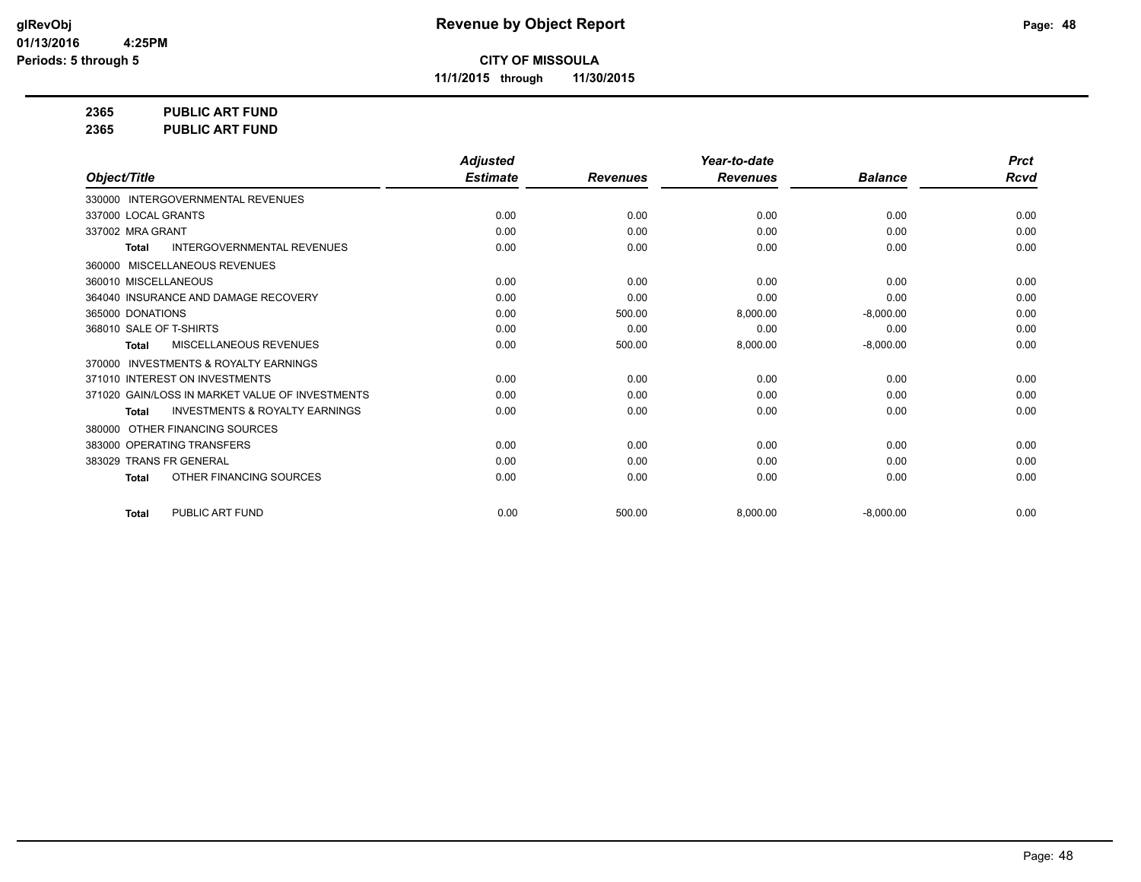**11/1/2015 through 11/30/2015**

**2365 PUBLIC ART FUND**

**2365 PUBLIC ART FUND**

|                                                           | <b>Adjusted</b> |                 | Year-to-date    |                | <b>Prct</b> |
|-----------------------------------------------------------|-----------------|-----------------|-----------------|----------------|-------------|
| Object/Title                                              | <b>Estimate</b> | <b>Revenues</b> | <b>Revenues</b> | <b>Balance</b> | Rcvd        |
| 330000 INTERGOVERNMENTAL REVENUES                         |                 |                 |                 |                |             |
| 337000 LOCAL GRANTS                                       | 0.00            | 0.00            | 0.00            | 0.00           | 0.00        |
| 337002 MRA GRANT                                          | 0.00            | 0.00            | 0.00            | 0.00           | 0.00        |
| <b>INTERGOVERNMENTAL REVENUES</b><br><b>Total</b>         | 0.00            | 0.00            | 0.00            | 0.00           | 0.00        |
| MISCELLANEOUS REVENUES<br>360000                          |                 |                 |                 |                |             |
| 360010 MISCELLANEOUS                                      | 0.00            | 0.00            | 0.00            | 0.00           | 0.00        |
| 364040 INSURANCE AND DAMAGE RECOVERY                      | 0.00            | 0.00            | 0.00            | 0.00           | 0.00        |
| 365000 DONATIONS                                          | 0.00            | 500.00          | 8,000.00        | $-8,000.00$    | 0.00        |
| 368010 SALE OF T-SHIRTS                                   | 0.00            | 0.00            | 0.00            | 0.00           | 0.00        |
| <b>MISCELLANEOUS REVENUES</b><br><b>Total</b>             | 0.00            | 500.00          | 8,000.00        | $-8,000.00$    | 0.00        |
| <b>INVESTMENTS &amp; ROYALTY EARNINGS</b><br>370000       |                 |                 |                 |                |             |
| 371010 INTEREST ON INVESTMENTS                            | 0.00            | 0.00            | 0.00            | 0.00           | 0.00        |
| 371020 GAIN/LOSS IN MARKET VALUE OF INVESTMENTS           | 0.00            | 0.00            | 0.00            | 0.00           | 0.00        |
| <b>INVESTMENTS &amp; ROYALTY EARNINGS</b><br><b>Total</b> | 0.00            | 0.00            | 0.00            | 0.00           | 0.00        |
| OTHER FINANCING SOURCES<br>380000                         |                 |                 |                 |                |             |
| 383000 OPERATING TRANSFERS                                | 0.00            | 0.00            | 0.00            | 0.00           | 0.00        |
| 383029 TRANS FR GENERAL                                   | 0.00            | 0.00            | 0.00            | 0.00           | 0.00        |
| OTHER FINANCING SOURCES<br><b>Total</b>                   | 0.00            | 0.00            | 0.00            | 0.00           | 0.00        |
| PUBLIC ART FUND<br><b>Total</b>                           | 0.00            | 500.00          | 8,000.00        | $-8,000.00$    | 0.00        |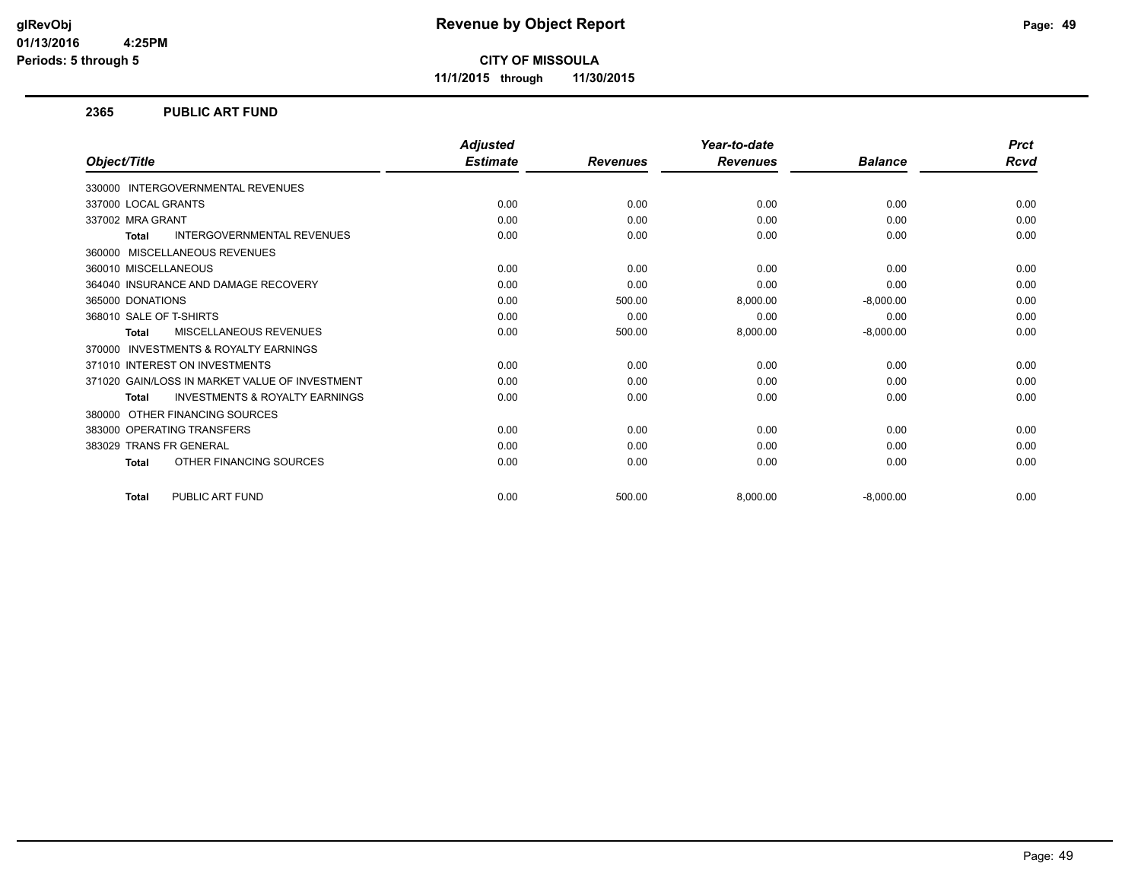**11/1/2015 through 11/30/2015**

#### **2365 PUBLIC ART FUND**

|                                                     | <b>Adjusted</b> |                 | Year-to-date    |                | <b>Prct</b> |
|-----------------------------------------------------|-----------------|-----------------|-----------------|----------------|-------------|
| Object/Title                                        | <b>Estimate</b> | <b>Revenues</b> | <b>Revenues</b> | <b>Balance</b> | <b>Rcvd</b> |
| 330000 INTERGOVERNMENTAL REVENUES                   |                 |                 |                 |                |             |
| 337000 LOCAL GRANTS                                 | 0.00            | 0.00            | 0.00            | 0.00           | 0.00        |
| 337002 MRA GRANT                                    | 0.00            | 0.00            | 0.00            | 0.00           | 0.00        |
| <b>INTERGOVERNMENTAL REVENUES</b><br><b>Total</b>   | 0.00            | 0.00            | 0.00            | 0.00           | 0.00        |
| MISCELLANEOUS REVENUES<br>360000                    |                 |                 |                 |                |             |
| 360010 MISCELLANEOUS                                | 0.00            | 0.00            | 0.00            | 0.00           | 0.00        |
| 364040 INSURANCE AND DAMAGE RECOVERY                | 0.00            | 0.00            | 0.00            | 0.00           | 0.00        |
| 365000 DONATIONS                                    | 0.00            | 500.00          | 8,000.00        | $-8,000.00$    | 0.00        |
| 368010 SALE OF T-SHIRTS                             | 0.00            | 0.00            | 0.00            | 0.00           | 0.00        |
| <b>MISCELLANEOUS REVENUES</b><br>Total              | 0.00            | 500.00          | 8,000.00        | $-8,000.00$    | 0.00        |
| <b>INVESTMENTS &amp; ROYALTY EARNINGS</b><br>370000 |                 |                 |                 |                |             |
| 371010 INTEREST ON INVESTMENTS                      | 0.00            | 0.00            | 0.00            | 0.00           | 0.00        |
| 371020 GAIN/LOSS IN MARKET VALUE OF INVESTMENT      | 0.00            | 0.00            | 0.00            | 0.00           | 0.00        |
| <b>INVESTMENTS &amp; ROYALTY EARNINGS</b><br>Total  | 0.00            | 0.00            | 0.00            | 0.00           | 0.00        |
| OTHER FINANCING SOURCES<br>380000                   |                 |                 |                 |                |             |
| 383000 OPERATING TRANSFERS                          | 0.00            | 0.00            | 0.00            | 0.00           | 0.00        |
| 383029 TRANS FR GENERAL                             | 0.00            | 0.00            | 0.00            | 0.00           | 0.00        |
| OTHER FINANCING SOURCES<br><b>Total</b>             | 0.00            | 0.00            | 0.00            | 0.00           | 0.00        |
|                                                     |                 |                 |                 |                |             |
| PUBLIC ART FUND<br><b>Total</b>                     | 0.00            | 500.00          | 8,000.00        | $-8,000.00$    | 0.00        |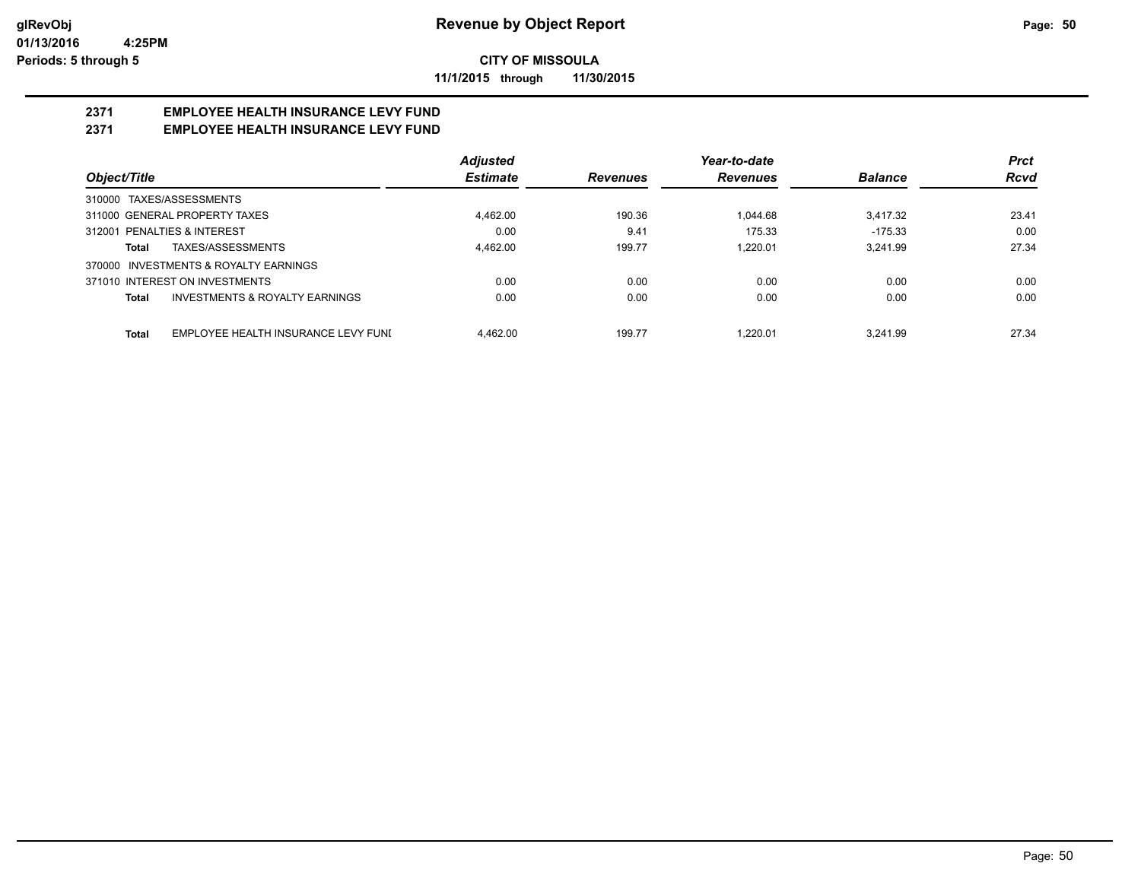**11/1/2015 through 11/30/2015**

# **2371 EMPLOYEE HEALTH INSURANCE LEVY FUND**

## **2371 EMPLOYEE HEALTH INSURANCE LEVY FUND**

|                                                     | <b>Adjusted</b> |                 | Year-to-date    |                | <b>Prct</b> |
|-----------------------------------------------------|-----------------|-----------------|-----------------|----------------|-------------|
| Object/Title                                        | <b>Estimate</b> | <b>Revenues</b> | <b>Revenues</b> | <b>Balance</b> | <b>Rcvd</b> |
| 310000 TAXES/ASSESSMENTS                            |                 |                 |                 |                |             |
| 311000 GENERAL PROPERTY TAXES                       | 4,462.00        | 190.36          | 1.044.68        | 3.417.32       | 23.41       |
| 312001 PENALTIES & INTEREST                         | 0.00            | 9.41            | 175.33          | $-175.33$      | 0.00        |
| TAXES/ASSESSMENTS<br>Total                          | 4.462.00        | 199.77          | 1.220.01        | 3.241.99       | 27.34       |
| 370000 INVESTMENTS & ROYALTY EARNINGS               |                 |                 |                 |                |             |
| 371010 INTEREST ON INVESTMENTS                      | 0.00            | 0.00            | 0.00            | 0.00           | 0.00        |
| INVESTMENTS & ROYALTY EARNINGS<br>Total             | 0.00            | 0.00            | 0.00            | 0.00           | 0.00        |
| EMPLOYEE HEALTH INSURANCE LEVY FUNI<br><b>Total</b> | 4.462.00        | 199.77          | 1.220.01        | 3.241.99       | 27.34       |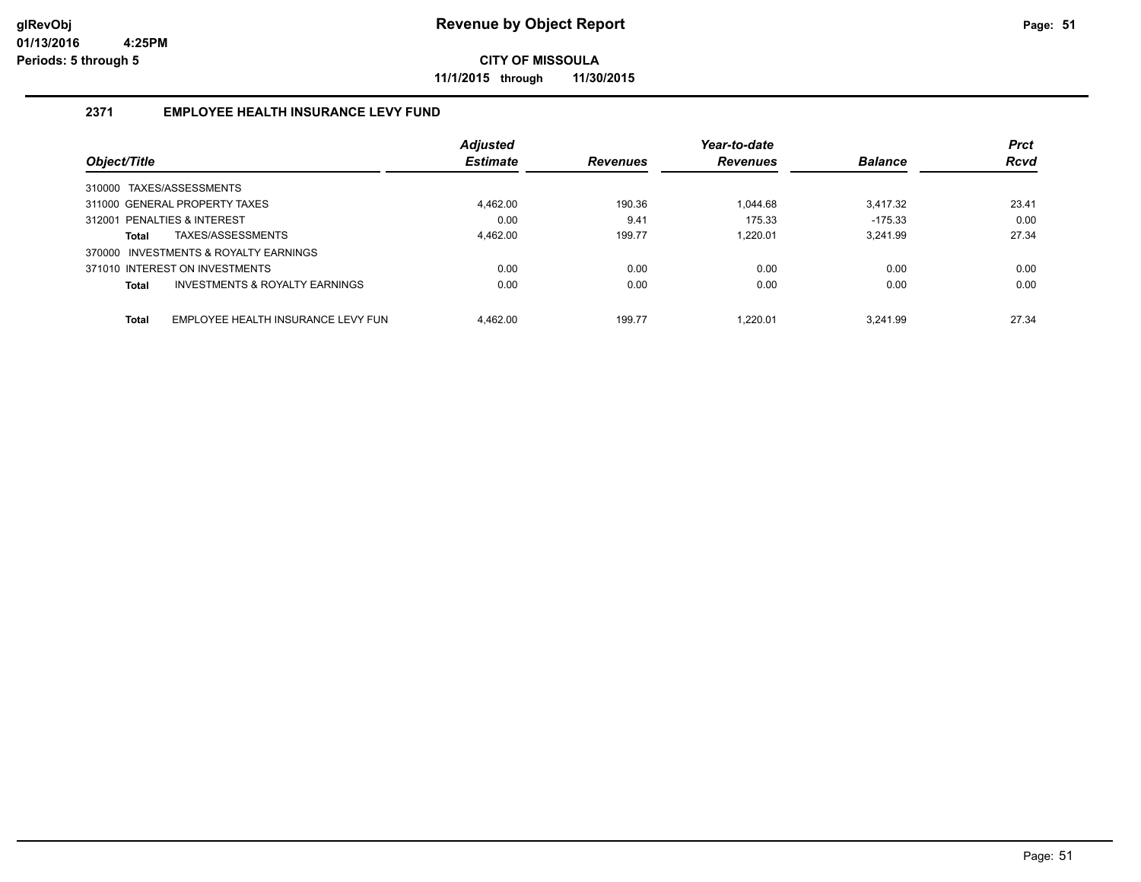**11/1/2015 through 11/30/2015**

## **2371 EMPLOYEE HEALTH INSURANCE LEVY FUND**

|                                                    | <b>Adjusted</b> |                 | Year-to-date    |                | <b>Prct</b> |
|----------------------------------------------------|-----------------|-----------------|-----------------|----------------|-------------|
| Object/Title                                       | <b>Estimate</b> | <b>Revenues</b> | <b>Revenues</b> | <b>Balance</b> | <b>Rcvd</b> |
| 310000 TAXES/ASSESSMENTS                           |                 |                 |                 |                |             |
| 311000 GENERAL PROPERTY TAXES                      | 4.462.00        | 190.36          | 1.044.68        | 3.417.32       | 23.41       |
| 312001 PENALTIES & INTEREST                        | 0.00            | 9.41            | 175.33          | $-175.33$      | 0.00        |
| TAXES/ASSESSMENTS<br><b>Total</b>                  | 4.462.00        | 199.77          | 1.220.01        | 3.241.99       | 27.34       |
| 370000 INVESTMENTS & ROYALTY EARNINGS              |                 |                 |                 |                |             |
| 371010 INTEREST ON INVESTMENTS                     | 0.00            | 0.00            | 0.00            | 0.00           | 0.00        |
| INVESTMENTS & ROYALTY EARNINGS<br><b>Total</b>     | 0.00            | 0.00            | 0.00            | 0.00           | 0.00        |
| <b>Total</b><br>EMPLOYEE HEALTH INSURANCE LEVY FUN | 4.462.00        | 199.77          | 1.220.01        | 3.241.99       | 27.34       |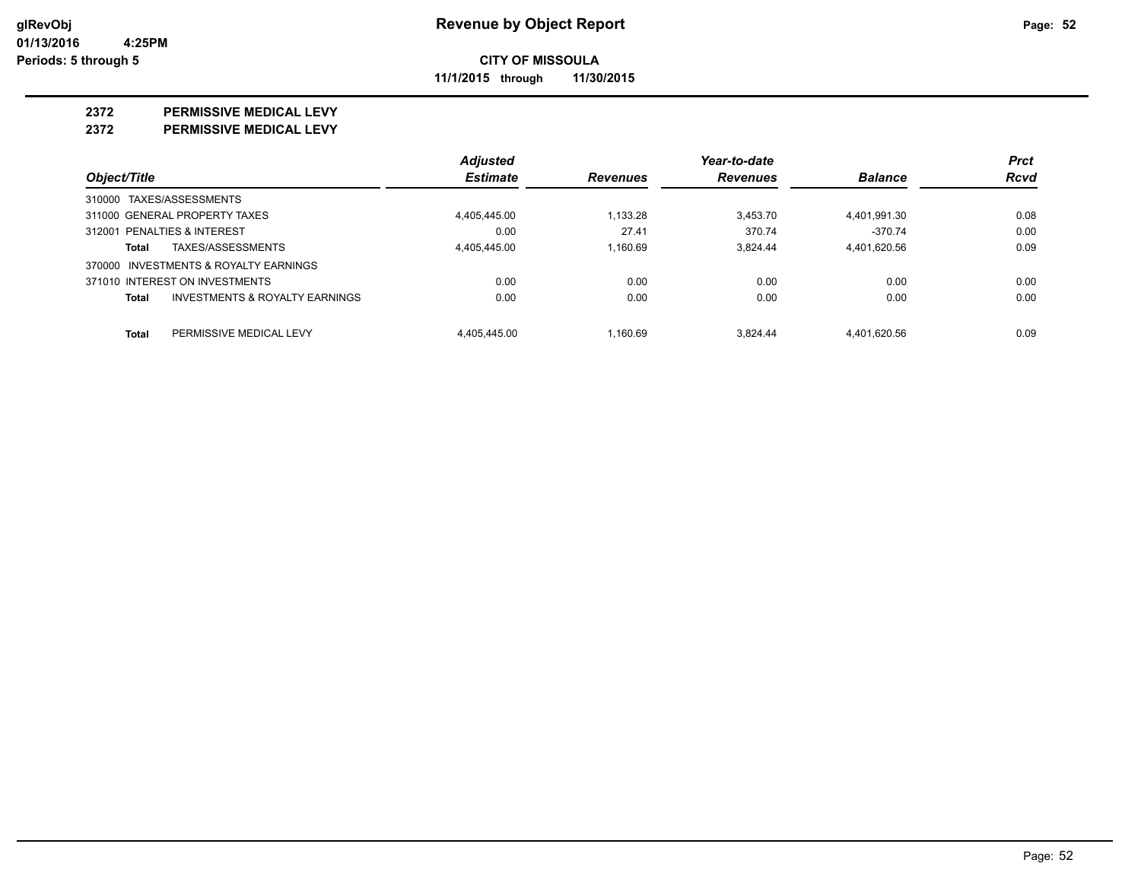**11/1/2015 through 11/30/2015**

#### **2372 PERMISSIVE MEDICAL LEVY**

**2372 PERMISSIVE MEDICAL LEVY**

|              |                                           | <b>Adjusted</b> |                 | Year-to-date    |                | <b>Prct</b> |
|--------------|-------------------------------------------|-----------------|-----------------|-----------------|----------------|-------------|
| Object/Title |                                           | <b>Estimate</b> | <b>Revenues</b> | <b>Revenues</b> | <b>Balance</b> | Rcvd        |
|              | 310000 TAXES/ASSESSMENTS                  |                 |                 |                 |                |             |
|              | 311000 GENERAL PROPERTY TAXES             | 4.405.445.00    | 1.133.28        | 3.453.70        | 4,401,991.30   | 0.08        |
|              | 312001 PENALTIES & INTEREST               | 0.00            | 27.41           | 370.74          | $-370.74$      | 0.00        |
| Total        | TAXES/ASSESSMENTS                         | 4,405,445.00    | 1.160.69        | 3.824.44        | 4,401,620.56   | 0.09        |
|              | 370000 INVESTMENTS & ROYALTY EARNINGS     |                 |                 |                 |                |             |
|              | 371010 INTEREST ON INVESTMENTS            | 0.00            | 0.00            | 0.00            | 0.00           | 0.00        |
| Total        | <b>INVESTMENTS &amp; ROYALTY EARNINGS</b> | 0.00            | 0.00            | 0.00            | 0.00           | 0.00        |
| Total        | PERMISSIVE MEDICAL LEVY                   | 4.405.445.00    | 1.160.69        | 3.824.44        | 4.401.620.56   | 0.09        |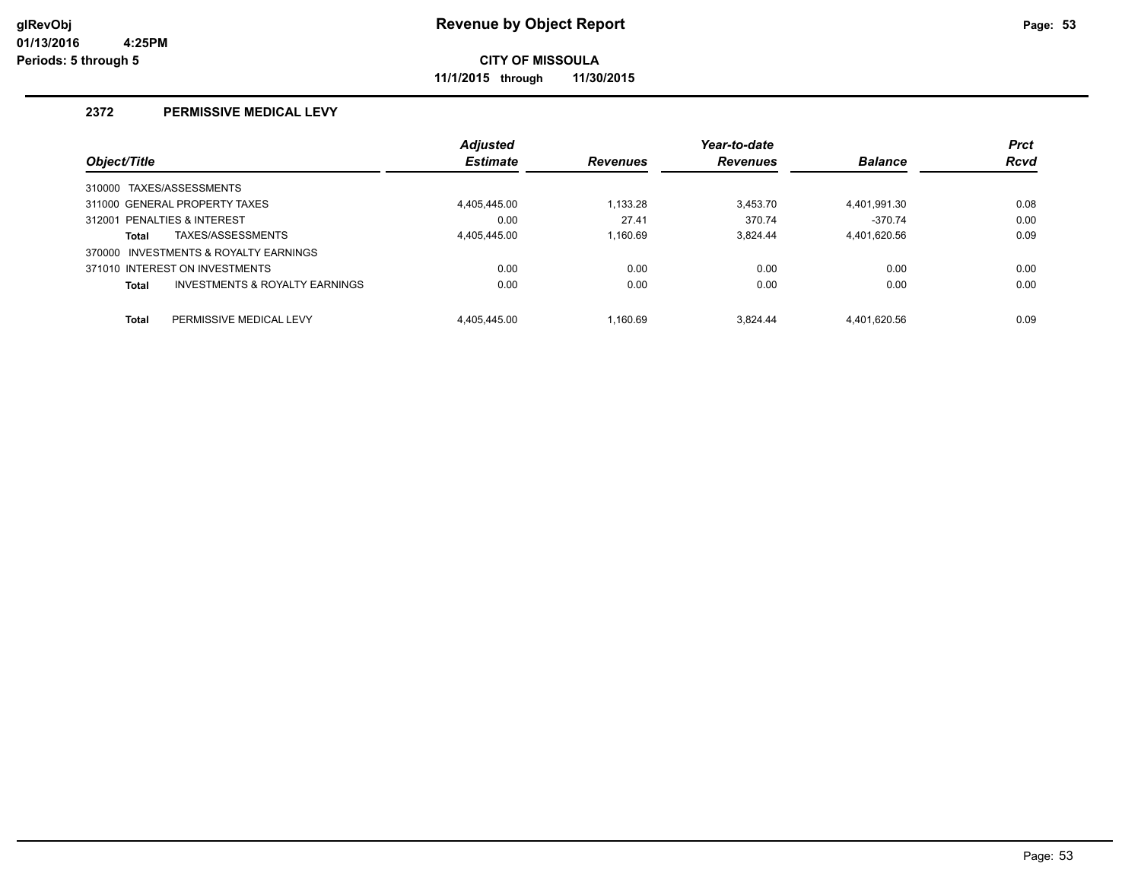**11/1/2015 through 11/30/2015**

### **2372 PERMISSIVE MEDICAL LEVY**

|                                         |                                | <b>Adjusted</b> |                 | Year-to-date    |                | <b>Prct</b> |
|-----------------------------------------|--------------------------------|-----------------|-----------------|-----------------|----------------|-------------|
| Object/Title                            |                                | <b>Estimate</b> | <b>Revenues</b> | <b>Revenues</b> | <b>Balance</b> | <b>Rcvd</b> |
| 310000 TAXES/ASSESSMENTS                |                                |                 |                 |                 |                |             |
| 311000 GENERAL PROPERTY TAXES           |                                | 4.405.445.00    | 1.133.28        | 3.453.70        | 4,401,991.30   | 0.08        |
| 312001 PENALTIES & INTEREST             |                                | 0.00            | 27.41           | 370.74          | $-370.74$      | 0.00        |
| TAXES/ASSESSMENTS<br><b>Total</b>       |                                | 4.405.445.00    | 1.160.69        | 3.824.44        | 4.401.620.56   | 0.09        |
| 370000 INVESTMENTS & ROYALTY EARNINGS   |                                |                 |                 |                 |                |             |
| 371010 INTEREST ON INVESTMENTS          |                                | 0.00            | 0.00            | 0.00            | 0.00           | 0.00        |
| <b>Total</b>                            | INVESTMENTS & ROYALTY EARNINGS | 0.00            | 0.00            | 0.00            | 0.00           | 0.00        |
|                                         |                                |                 |                 |                 |                |             |
| <b>Total</b><br>PERMISSIVE MEDICAL LEVY |                                | 4.405.445.00    | 1.160.69        | 3.824.44        | 4.401.620.56   | 0.09        |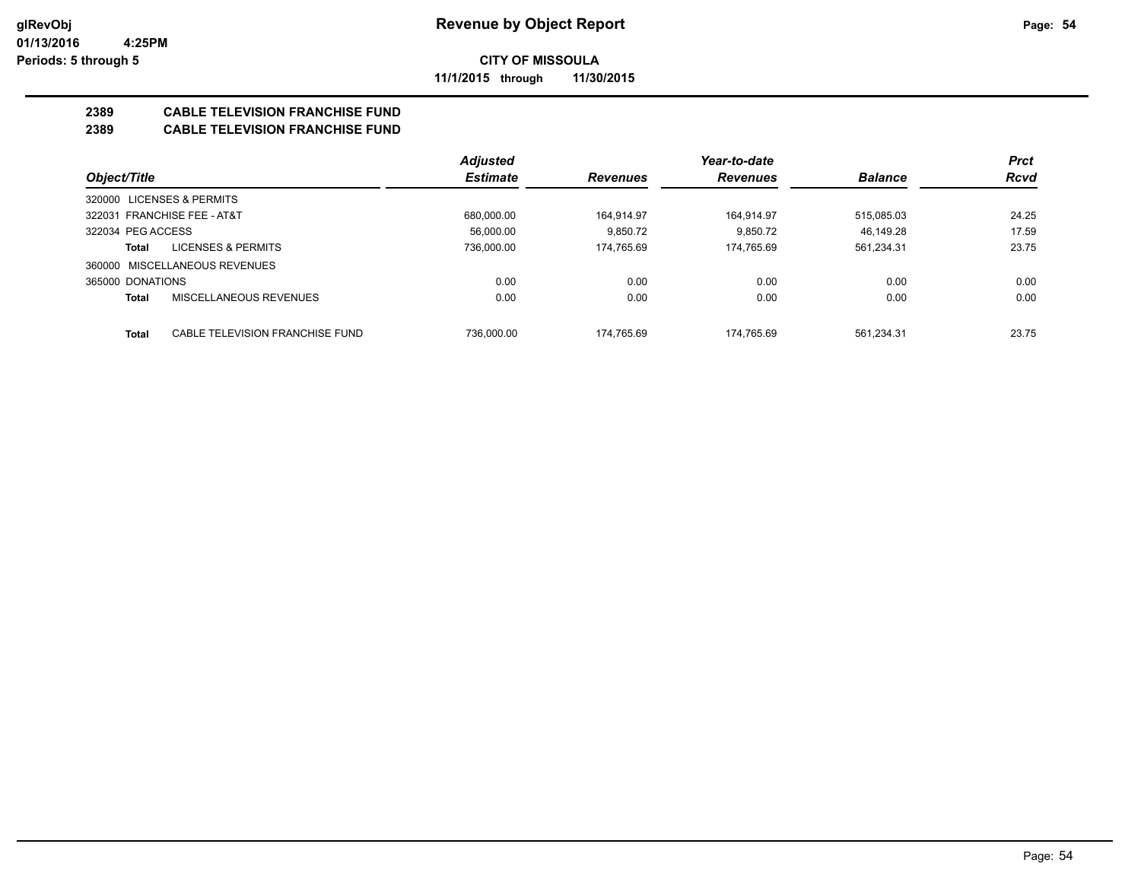**11/1/2015 through 11/30/2015**

## **2389 CABLE TELEVISION FRANCHISE FUND**

## **2389 CABLE TELEVISION FRANCHISE FUND**

|                                                 | <b>Adjusted</b> |                 | Year-to-date    |                | <b>Prct</b> |
|-------------------------------------------------|-----------------|-----------------|-----------------|----------------|-------------|
| Object/Title                                    | <b>Estimate</b> | <b>Revenues</b> | <b>Revenues</b> | <b>Balance</b> | <b>Rcvd</b> |
| <b>LICENSES &amp; PERMITS</b><br>320000         |                 |                 |                 |                |             |
| 322031 FRANCHISE FEE - AT&T                     | 680.000.00      | 164.914.97      | 164.914.97      | 515,085.03     | 24.25       |
| 322034 PEG ACCESS                               | 56.000.00       | 9.850.72        | 9.850.72        | 46.149.28      | 17.59       |
| <b>LICENSES &amp; PERMITS</b><br>Total          | 736.000.00      | 174.765.69      | 174.765.69      | 561,234.31     | 23.75       |
| 360000 MISCELLANEOUS REVENUES                   |                 |                 |                 |                |             |
| 365000 DONATIONS                                | 0.00            | 0.00            | 0.00            | 0.00           | 0.00        |
| MISCELLANEOUS REVENUES<br><b>Total</b>          | 0.00            | 0.00            | 0.00            | 0.00           | 0.00        |
| <b>Total</b><br>CABLE TELEVISION FRANCHISE FUND | 736.000.00      | 174.765.69      | 174.765.69      | 561.234.31     | 23.75       |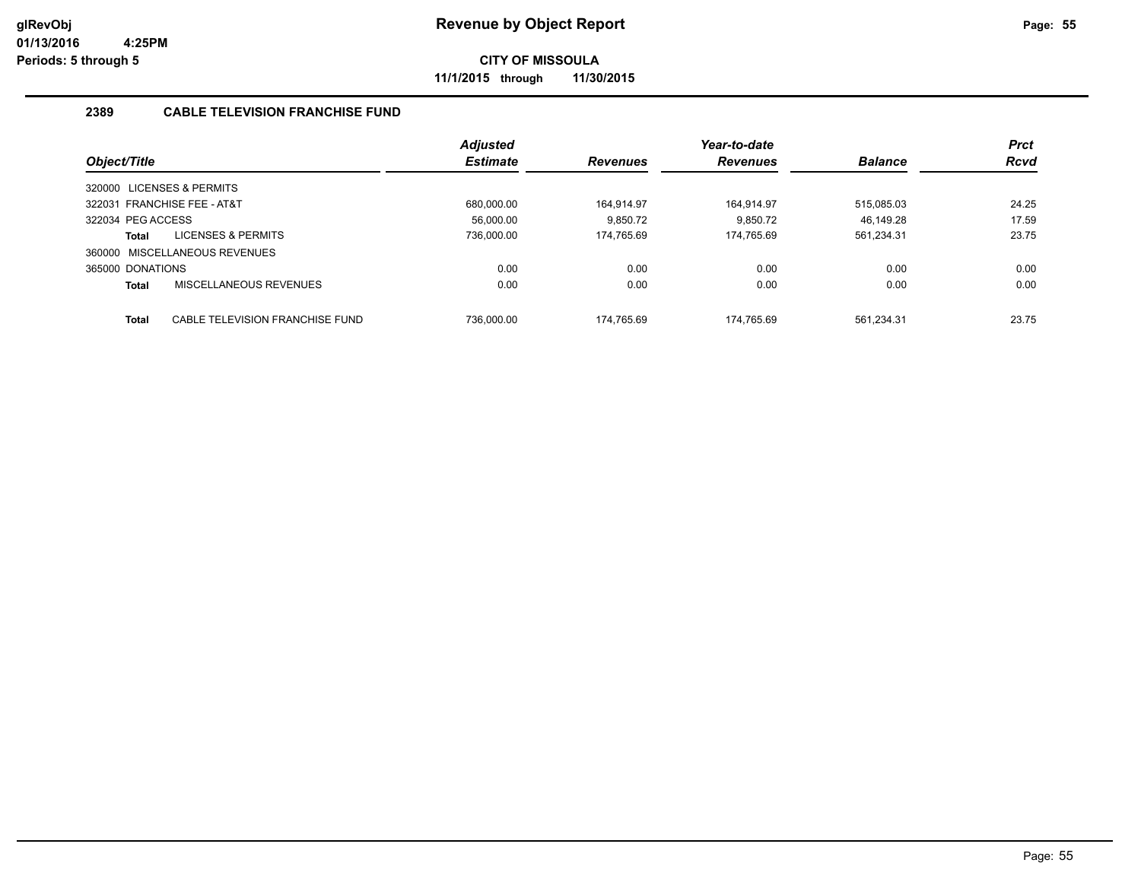**11/1/2015 through 11/30/2015**

### **2389 CABLE TELEVISION FRANCHISE FUND**

|                           |                                 | <b>Adjusted</b> |                 | Year-to-date    |                | <b>Prct</b> |
|---------------------------|---------------------------------|-----------------|-----------------|-----------------|----------------|-------------|
| Object/Title              |                                 | <b>Estimate</b> | <b>Revenues</b> | <b>Revenues</b> | <b>Balance</b> | <b>Rcvd</b> |
| 320000 LICENSES & PERMITS |                                 |                 |                 |                 |                |             |
|                           | 322031 FRANCHISE FEE - AT&T     | 680.000.00      | 164.914.97      | 164.914.97      | 515.085.03     | 24.25       |
| 322034 PEG ACCESS         |                                 | 56.000.00       | 9.850.72        | 9.850.72        | 46.149.28      | 17.59       |
| Total                     | <b>LICENSES &amp; PERMITS</b>   | 736.000.00      | 174.765.69      | 174.765.69      | 561,234.31     | 23.75       |
|                           | 360000 MISCELLANEOUS REVENUES   |                 |                 |                 |                |             |
| 365000 DONATIONS          |                                 | 0.00            | 0.00            | 0.00            | 0.00           | 0.00        |
| Total                     | MISCELLANEOUS REVENUES          | 0.00            | 0.00            | 0.00            | 0.00           | 0.00        |
|                           |                                 |                 |                 |                 |                |             |
| Total                     | CABLE TELEVISION FRANCHISE FUND | 736.000.00      | 174.765.69      | 174.765.69      | 561.234.31     | 23.75       |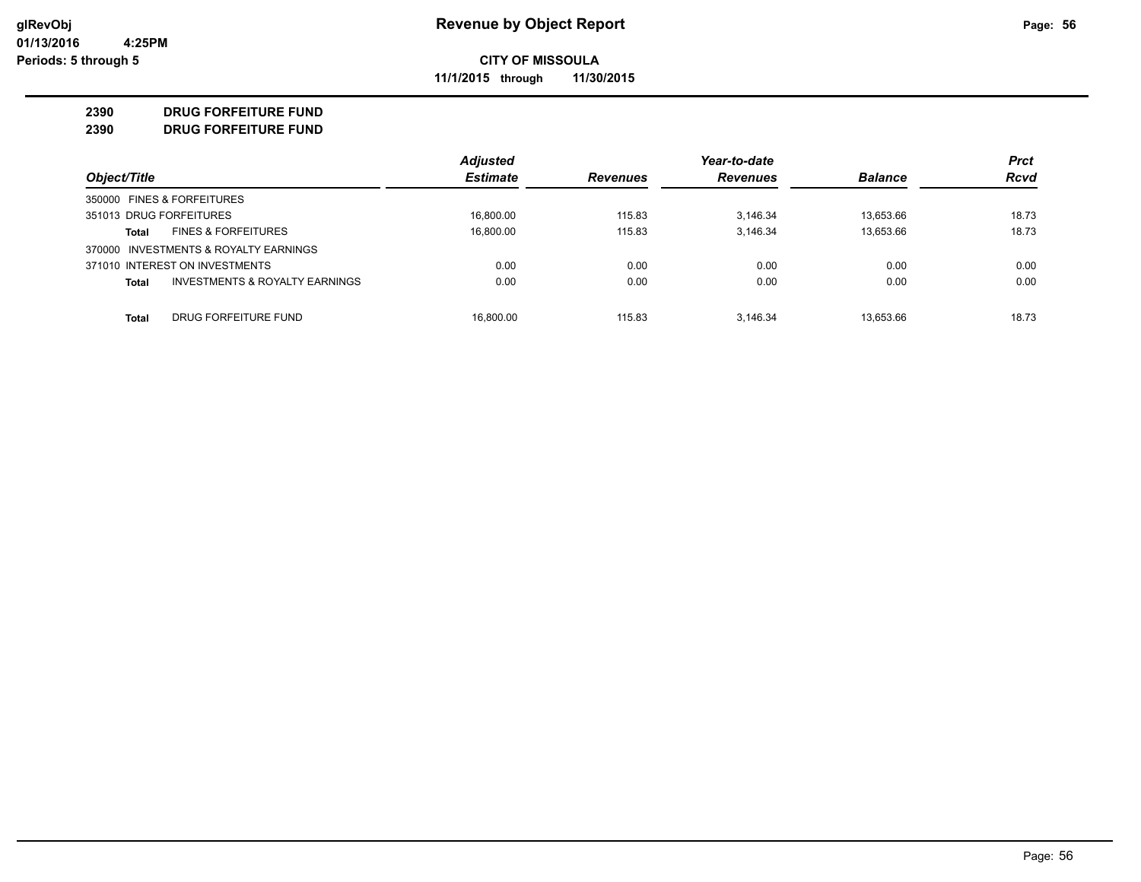**11/1/2015 through 11/30/2015**

#### **2390 DRUG FORFEITURE FUND**

**2390 DRUG FORFEITURE FUND**

|                                                           | <b>Adjusted</b> |                 | Year-to-date    |                | <b>Prct</b> |
|-----------------------------------------------------------|-----------------|-----------------|-----------------|----------------|-------------|
| Object/Title                                              | <b>Estimate</b> | <b>Revenues</b> | <b>Revenues</b> | <b>Balance</b> | <b>Rcvd</b> |
| 350000 FINES & FORFEITURES                                |                 |                 |                 |                |             |
| 351013 DRUG FORFEITURES                                   | 16.800.00       | 115.83          | 3.146.34        | 13.653.66      | 18.73       |
| <b>FINES &amp; FORFEITURES</b><br>Total                   | 16,800.00       | 115.83          | 3,146.34        | 13.653.66      | 18.73       |
| 370000 INVESTMENTS & ROYALTY EARNINGS                     |                 |                 |                 |                |             |
| 371010 INTEREST ON INVESTMENTS                            | 0.00            | 0.00            | 0.00            | 0.00           | 0.00        |
| <b>INVESTMENTS &amp; ROYALTY EARNINGS</b><br><b>Total</b> | 0.00            | 0.00            | 0.00            | 0.00           | 0.00        |
| DRUG FORFEITURE FUND<br><b>Total</b>                      | 16.800.00       | 115.83          | 3.146.34        | 13.653.66      | 18.73       |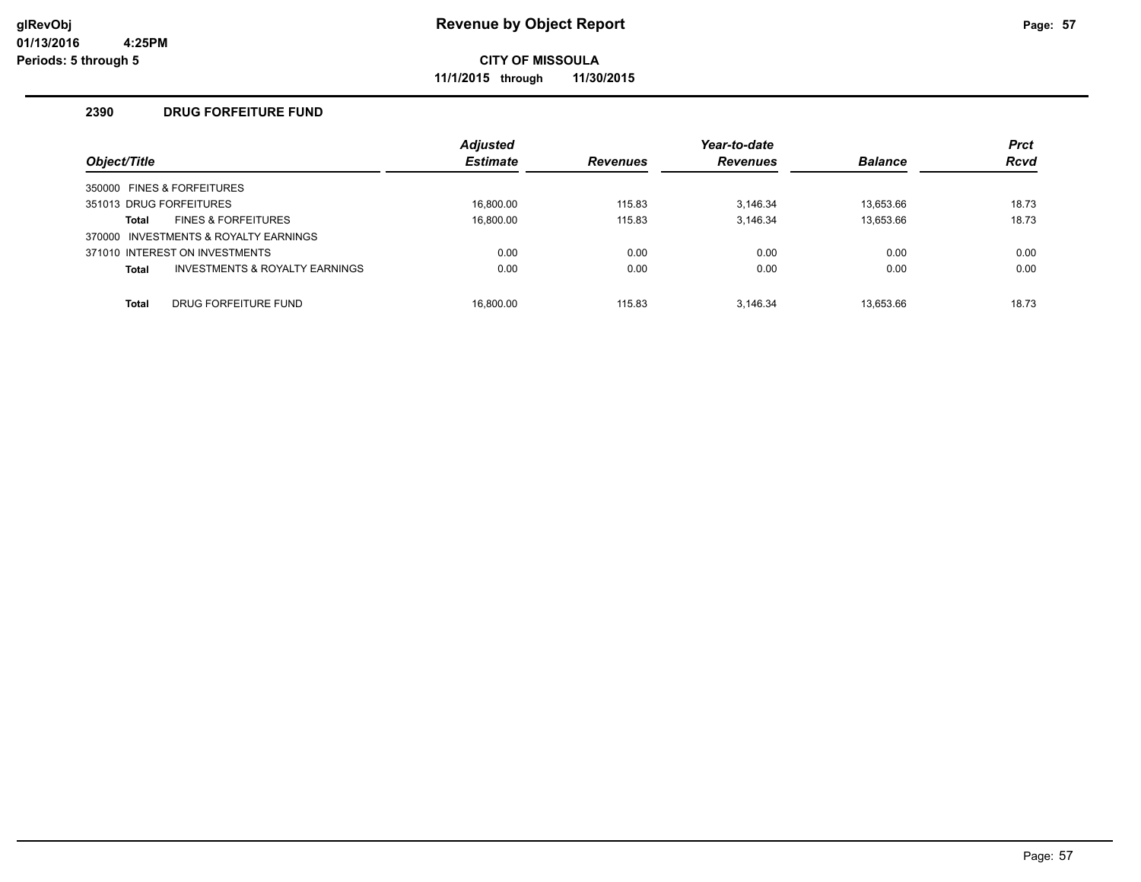**11/1/2015 through 11/30/2015**

### **2390 DRUG FORFEITURE FUND**

| Object/Title |                                           | <b>Adjusted</b><br><b>Estimate</b> | <b>Revenues</b> | Year-to-date<br><b>Revenues</b> | <b>Balance</b> | <b>Prct</b><br><b>Rcvd</b> |
|--------------|-------------------------------------------|------------------------------------|-----------------|---------------------------------|----------------|----------------------------|
|              | 350000 FINES & FORFEITURES                |                                    |                 |                                 |                |                            |
|              | 351013 DRUG FORFEITURES                   | 16.800.00                          | 115.83          | 3.146.34                        | 13.653.66      | 18.73                      |
| Total        | <b>FINES &amp; FORFEITURES</b>            | 16,800.00                          | 115.83          | 3.146.34                        | 13.653.66      | 18.73                      |
|              | 370000 INVESTMENTS & ROYALTY EARNINGS     |                                    |                 |                                 |                |                            |
|              | 371010 INTEREST ON INVESTMENTS            | 0.00                               | 0.00            | 0.00                            | 0.00           | 0.00                       |
| <b>Total</b> | <b>INVESTMENTS &amp; ROYALTY EARNINGS</b> | 0.00                               | 0.00            | 0.00                            | 0.00           | 0.00                       |
|              |                                           |                                    |                 |                                 |                |                            |
| <b>Total</b> | DRUG FORFEITURE FUND                      | 16.800.00                          | 115.83          | 3.146.34                        | 13.653.66      | 18.73                      |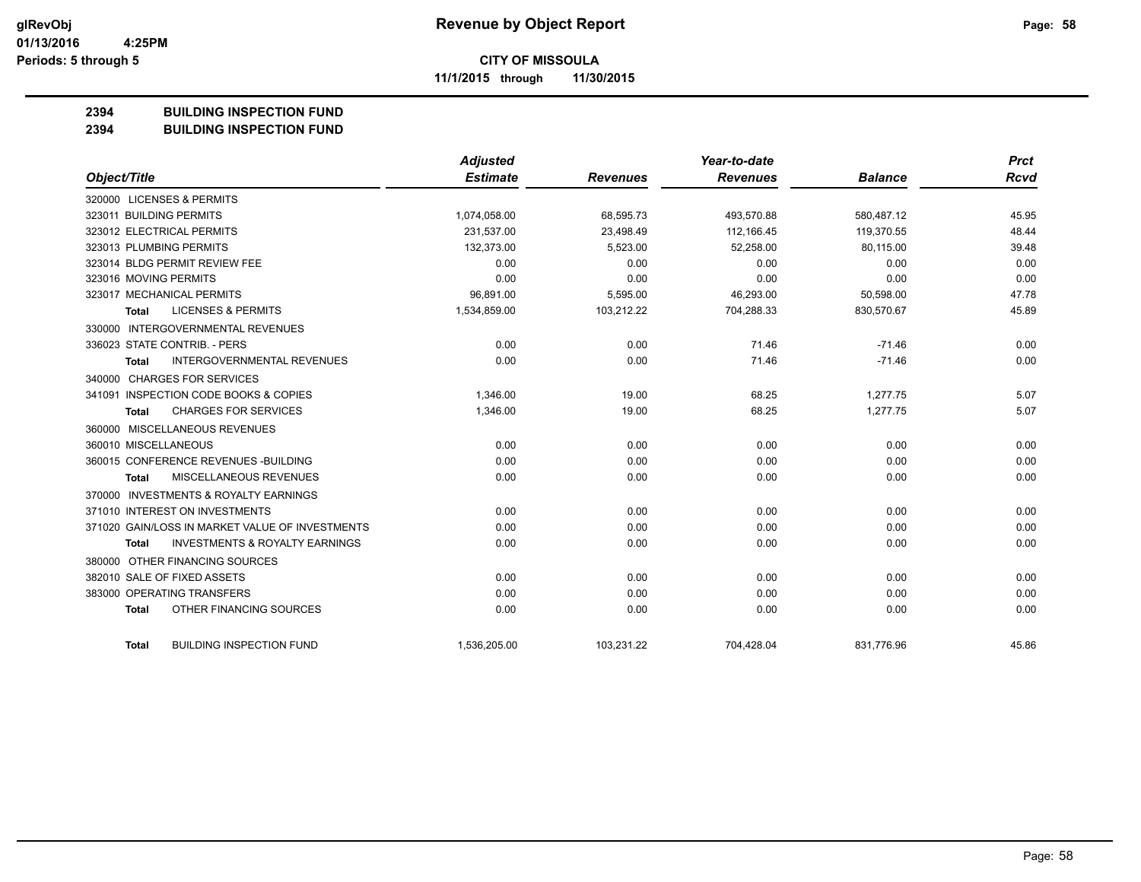**11/1/2015 through 11/30/2015**

## **2394 BUILDING INSPECTION FUND**

**2394 BUILDING INSPECTION FUND**

|                                                           | Adjusted        |                 | Year-to-date    |                | <b>Prct</b> |
|-----------------------------------------------------------|-----------------|-----------------|-----------------|----------------|-------------|
| Object/Title                                              | <b>Estimate</b> | <b>Revenues</b> | <b>Revenues</b> | <b>Balance</b> | Rcvd        |
| 320000 LICENSES & PERMITS                                 |                 |                 |                 |                |             |
| 323011 BUILDING PERMITS                                   | 1,074,058.00    | 68,595.73       | 493,570.88      | 580,487.12     | 45.95       |
| 323012 ELECTRICAL PERMITS                                 | 231,537.00      | 23,498.49       | 112,166.45      | 119,370.55     | 48.44       |
| 323013 PLUMBING PERMITS                                   | 132,373.00      | 5,523.00        | 52,258.00       | 80,115.00      | 39.48       |
| 323014 BLDG PERMIT REVIEW FEE                             | 0.00            | 0.00            | 0.00            | 0.00           | 0.00        |
| 323016 MOVING PERMITS                                     | 0.00            | 0.00            | 0.00            | 0.00           | 0.00        |
| 323017 MECHANICAL PERMITS                                 | 96,891.00       | 5,595.00        | 46,293.00       | 50,598.00      | 47.78       |
| <b>LICENSES &amp; PERMITS</b><br>Total                    | 1,534,859.00    | 103,212.22      | 704,288.33      | 830,570.67     | 45.89       |
| 330000 INTERGOVERNMENTAL REVENUES                         |                 |                 |                 |                |             |
| 336023 STATE CONTRIB. - PERS                              | 0.00            | 0.00            | 71.46           | $-71.46$       | 0.00        |
| <b>INTERGOVERNMENTAL REVENUES</b><br><b>Total</b>         | 0.00            | 0.00            | 71.46           | $-71.46$       | 0.00        |
| 340000 CHARGES FOR SERVICES                               |                 |                 |                 |                |             |
| 341091 INSPECTION CODE BOOKS & COPIES                     | 1,346.00        | 19.00           | 68.25           | 1,277.75       | 5.07        |
| <b>CHARGES FOR SERVICES</b><br>Total                      | 1,346.00        | 19.00           | 68.25           | 1,277.75       | 5.07        |
| 360000 MISCELLANEOUS REVENUES                             |                 |                 |                 |                |             |
| 360010 MISCELLANEOUS                                      | 0.00            | 0.00            | 0.00            | 0.00           | 0.00        |
| 360015 CONFERENCE REVENUES - BUILDING                     | 0.00            | 0.00            | 0.00            | 0.00           | 0.00        |
| MISCELLANEOUS REVENUES<br><b>Total</b>                    | 0.00            | 0.00            | 0.00            | 0.00           | 0.00        |
| 370000 INVESTMENTS & ROYALTY EARNINGS                     |                 |                 |                 |                |             |
| 371010 INTEREST ON INVESTMENTS                            | 0.00            | 0.00            | 0.00            | 0.00           | 0.00        |
| 371020 GAIN/LOSS IN MARKET VALUE OF INVESTMENTS           | 0.00            | 0.00            | 0.00            | 0.00           | 0.00        |
| <b>INVESTMENTS &amp; ROYALTY EARNINGS</b><br><b>Total</b> | 0.00            | 0.00            | 0.00            | 0.00           | 0.00        |
| 380000 OTHER FINANCING SOURCES                            |                 |                 |                 |                |             |
| 382010 SALE OF FIXED ASSETS                               | 0.00            | 0.00            | 0.00            | 0.00           | 0.00        |
| 383000 OPERATING TRANSFERS                                | 0.00            | 0.00            | 0.00            | 0.00           | 0.00        |
| OTHER FINANCING SOURCES<br><b>Total</b>                   | 0.00            | 0.00            | 0.00            | 0.00           | 0.00        |
| <b>BUILDING INSPECTION FUND</b><br><b>Total</b>           | 1,536,205.00    | 103,231.22      | 704,428.04      | 831,776.96     | 45.86       |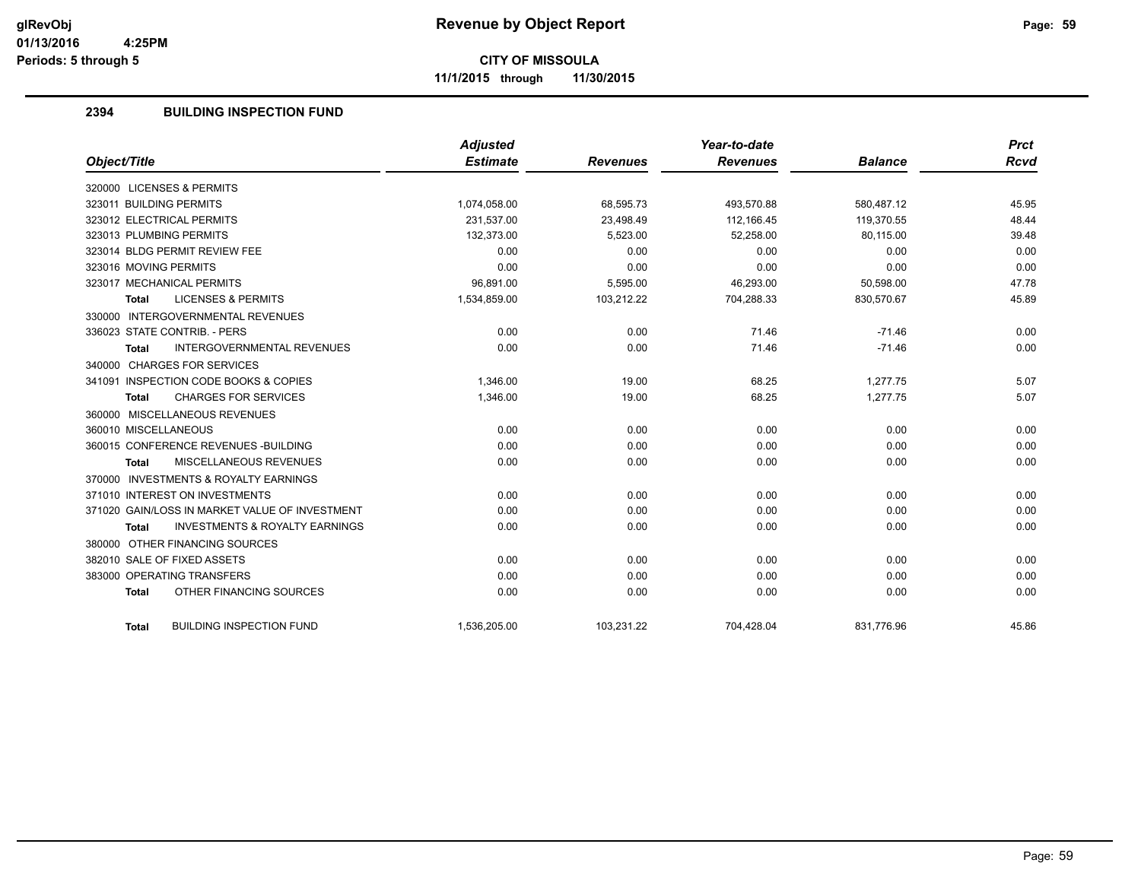**11/1/2015 through 11/30/2015**

## **2394 BUILDING INSPECTION FUND**

| Object/Title                                       | <b>Adjusted</b><br><b>Estimate</b> | <b>Revenues</b> | Year-to-date<br><b>Revenues</b> | <b>Balance</b> | <b>Prct</b><br><b>Rcvd</b> |
|----------------------------------------------------|------------------------------------|-----------------|---------------------------------|----------------|----------------------------|
|                                                    |                                    |                 |                                 |                |                            |
| 320000 LICENSES & PERMITS                          |                                    |                 |                                 |                |                            |
| 323011 BUILDING PERMITS                            | 1,074,058.00                       | 68,595.73       | 493,570.88                      | 580,487.12     | 45.95                      |
| 323012 ELECTRICAL PERMITS                          | 231.537.00                         | 23.498.49       | 112.166.45                      | 119.370.55     | 48.44                      |
| 323013 PLUMBING PERMITS                            | 132,373.00                         | 5,523.00        | 52,258.00                       | 80,115.00      | 39.48                      |
| 323014 BLDG PERMIT REVIEW FEE                      | 0.00                               | 0.00            | 0.00                            | 0.00           | 0.00                       |
| 323016 MOVING PERMITS                              | 0.00                               | 0.00            | 0.00                            | 0.00           | 0.00                       |
| 323017 MECHANICAL PERMITS                          | 96,891.00                          | 5,595.00        | 46,293.00                       | 50,598.00      | 47.78                      |
| <b>LICENSES &amp; PERMITS</b><br><b>Total</b>      | 1,534,859.00                       | 103,212.22      | 704,288.33                      | 830,570.67     | 45.89                      |
| 330000 INTERGOVERNMENTAL REVENUES                  |                                    |                 |                                 |                |                            |
| 336023 STATE CONTRIB. - PERS                       | 0.00                               | 0.00            | 71.46                           | $-71.46$       | 0.00                       |
| <b>INTERGOVERNMENTAL REVENUES</b><br><b>Total</b>  | 0.00                               | 0.00            | 71.46                           | $-71.46$       | 0.00                       |
| <b>CHARGES FOR SERVICES</b><br>340000              |                                    |                 |                                 |                |                            |
| 341091 INSPECTION CODE BOOKS & COPIES              | 1,346.00                           | 19.00           | 68.25                           | 1.277.75       | 5.07                       |
| <b>CHARGES FOR SERVICES</b><br>Total               | 1,346.00                           | 19.00           | 68.25                           | 1,277.75       | 5.07                       |
| 360000 MISCELLANEOUS REVENUES                      |                                    |                 |                                 |                |                            |
| 360010 MISCELLANEOUS                               | 0.00                               | 0.00            | 0.00                            | 0.00           | 0.00                       |
| 360015 CONFERENCE REVENUES - BUILDING              | 0.00                               | 0.00            | 0.00                            | 0.00           | 0.00                       |
| <b>MISCELLANEOUS REVENUES</b><br><b>Total</b>      | 0.00                               | 0.00            | 0.00                            | 0.00           | 0.00                       |
| 370000 INVESTMENTS & ROYALTY EARNINGS              |                                    |                 |                                 |                |                            |
| 371010 INTEREST ON INVESTMENTS                     | 0.00                               | 0.00            | 0.00                            | 0.00           | 0.00                       |
| 371020 GAIN/LOSS IN MARKET VALUE OF INVESTMENT     | 0.00                               | 0.00            | 0.00                            | 0.00           | 0.00                       |
| <b>INVESTMENTS &amp; ROYALTY EARNINGS</b><br>Total | 0.00                               | 0.00            | 0.00                            | 0.00           | 0.00                       |
| 380000 OTHER FINANCING SOURCES                     |                                    |                 |                                 |                |                            |
| 382010 SALE OF FIXED ASSETS                        | 0.00                               | 0.00            | 0.00                            | 0.00           | 0.00                       |
| 383000 OPERATING TRANSFERS                         | 0.00                               | 0.00            | 0.00                            | 0.00           | 0.00                       |
| OTHER FINANCING SOURCES<br>Total                   | 0.00                               | 0.00            | 0.00                            | 0.00           | 0.00                       |
| <b>BUILDING INSPECTION FUND</b><br>Total           | 1,536,205.00                       | 103,231.22      | 704,428.04                      | 831,776.96     | 45.86                      |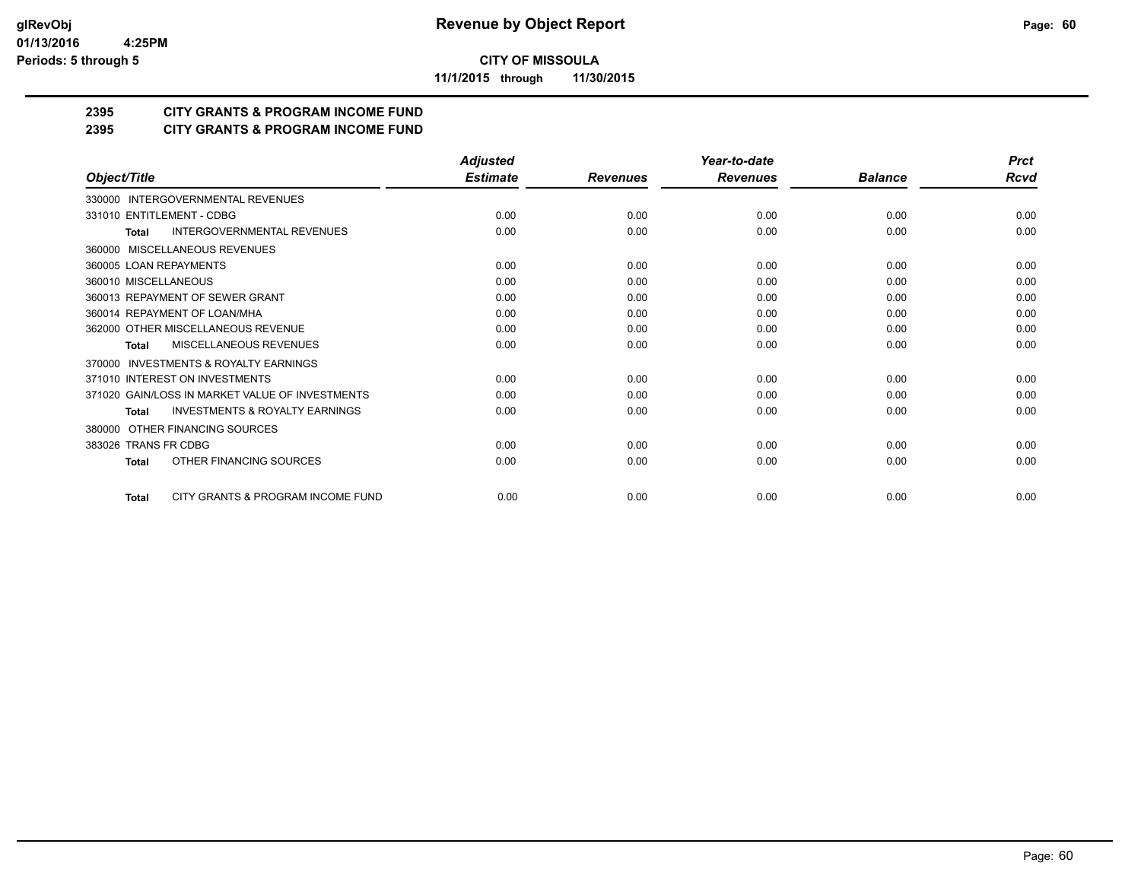**11/1/2015 through 11/30/2015**

## **2395 CITY GRANTS & PROGRAM INCOME FUND**

## **2395 CITY GRANTS & PROGRAM INCOME FUND**

|                                                           | <b>Adjusted</b> |                 | Year-to-date    |                | <b>Prct</b> |
|-----------------------------------------------------------|-----------------|-----------------|-----------------|----------------|-------------|
| Object/Title                                              | <b>Estimate</b> | <b>Revenues</b> | <b>Revenues</b> | <b>Balance</b> | Rcvd        |
| 330000 INTERGOVERNMENTAL REVENUES                         |                 |                 |                 |                |             |
| 331010 ENTITLEMENT - CDBG                                 | 0.00            | 0.00            | 0.00            | 0.00           | 0.00        |
| <b>INTERGOVERNMENTAL REVENUES</b><br><b>Total</b>         | 0.00            | 0.00            | 0.00            | 0.00           | 0.00        |
| 360000 MISCELLANEOUS REVENUES                             |                 |                 |                 |                |             |
| 360005 LOAN REPAYMENTS                                    | 0.00            | 0.00            | 0.00            | 0.00           | 0.00        |
| 360010 MISCELLANEOUS                                      | 0.00            | 0.00            | 0.00            | 0.00           | 0.00        |
| 360013 REPAYMENT OF SEWER GRANT                           | 0.00            | 0.00            | 0.00            | 0.00           | 0.00        |
| 360014 REPAYMENT OF LOAN/MHA                              | 0.00            | 0.00            | 0.00            | 0.00           | 0.00        |
| 362000 OTHER MISCELLANEOUS REVENUE                        | 0.00            | 0.00            | 0.00            | 0.00           | 0.00        |
| <b>MISCELLANEOUS REVENUES</b><br><b>Total</b>             | 0.00            | 0.00            | 0.00            | 0.00           | 0.00        |
| INVESTMENTS & ROYALTY EARNINGS<br>370000                  |                 |                 |                 |                |             |
| 371010 INTEREST ON INVESTMENTS                            | 0.00            | 0.00            | 0.00            | 0.00           | 0.00        |
| 371020 GAIN/LOSS IN MARKET VALUE OF INVESTMENTS           | 0.00            | 0.00            | 0.00            | 0.00           | 0.00        |
| <b>INVESTMENTS &amp; ROYALTY EARNINGS</b><br><b>Total</b> | 0.00            | 0.00            | 0.00            | 0.00           | 0.00        |
| OTHER FINANCING SOURCES<br>380000                         |                 |                 |                 |                |             |
| 383026 TRANS FR CDBG                                      | 0.00            | 0.00            | 0.00            | 0.00           | 0.00        |
| OTHER FINANCING SOURCES<br><b>Total</b>                   | 0.00            | 0.00            | 0.00            | 0.00           | 0.00        |
| CITY GRANTS & PROGRAM INCOME FUND<br><b>Total</b>         | 0.00            | 0.00            | 0.00            | 0.00           | 0.00        |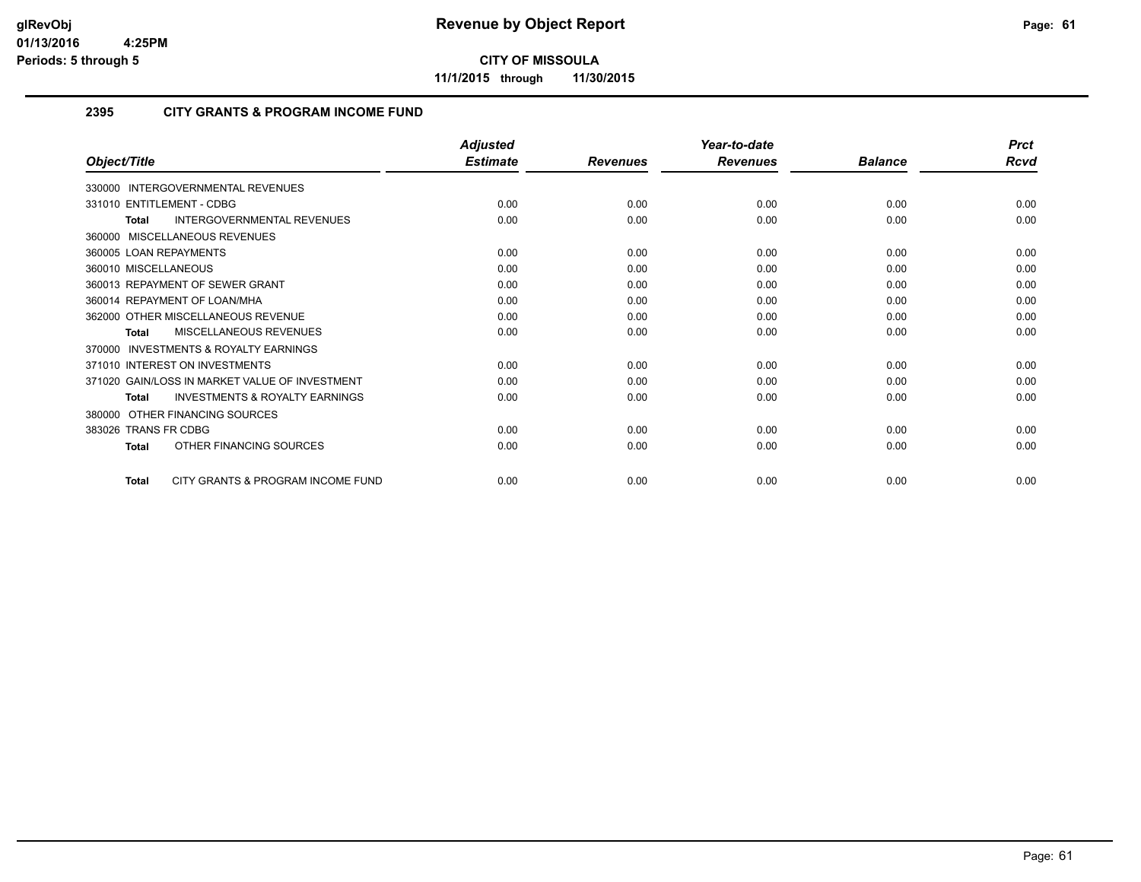**11/1/2015 through 11/30/2015**

## **2395 CITY GRANTS & PROGRAM INCOME FUND**

|                                                    | <b>Adjusted</b> |                 | Year-to-date    |                | <b>Prct</b> |
|----------------------------------------------------|-----------------|-----------------|-----------------|----------------|-------------|
| Object/Title                                       | <b>Estimate</b> | <b>Revenues</b> | <b>Revenues</b> | <b>Balance</b> | Rcvd        |
| 330000 INTERGOVERNMENTAL REVENUES                  |                 |                 |                 |                |             |
| 331010 ENTITLEMENT - CDBG                          | 0.00            | 0.00            | 0.00            | 0.00           | 0.00        |
| <b>INTERGOVERNMENTAL REVENUES</b><br><b>Total</b>  | 0.00            | 0.00            | 0.00            | 0.00           | 0.00        |
| 360000 MISCELLANEOUS REVENUES                      |                 |                 |                 |                |             |
| 360005 LOAN REPAYMENTS                             | 0.00            | 0.00            | 0.00            | 0.00           | 0.00        |
| 360010 MISCELLANEOUS                               | 0.00            | 0.00            | 0.00            | 0.00           | 0.00        |
| 360013 REPAYMENT OF SEWER GRANT                    | 0.00            | 0.00            | 0.00            | 0.00           | 0.00        |
| 360014 REPAYMENT OF LOAN/MHA                       | 0.00            | 0.00            | 0.00            | 0.00           | 0.00        |
| 362000 OTHER MISCELLANEOUS REVENUE                 | 0.00            | 0.00            | 0.00            | 0.00           | 0.00        |
| MISCELLANEOUS REVENUES<br>Total                    | 0.00            | 0.00            | 0.00            | 0.00           | 0.00        |
| 370000 INVESTMENTS & ROYALTY EARNINGS              |                 |                 |                 |                |             |
| 371010 INTEREST ON INVESTMENTS                     | 0.00            | 0.00            | 0.00            | 0.00           | 0.00        |
| 371020 GAIN/LOSS IN MARKET VALUE OF INVESTMENT     | 0.00            | 0.00            | 0.00            | 0.00           | 0.00        |
| <b>INVESTMENTS &amp; ROYALTY EARNINGS</b><br>Total | 0.00            | 0.00            | 0.00            | 0.00           | 0.00        |
| 380000 OTHER FINANCING SOURCES                     |                 |                 |                 |                |             |
| 383026 TRANS FR CDBG                               | 0.00            | 0.00            | 0.00            | 0.00           | 0.00        |
| OTHER FINANCING SOURCES<br>Total                   | 0.00            | 0.00            | 0.00            | 0.00           | 0.00        |
|                                                    |                 |                 |                 |                |             |
| CITY GRANTS & PROGRAM INCOME FUND<br><b>Total</b>  | 0.00            | 0.00            | 0.00            | 0.00           | 0.00        |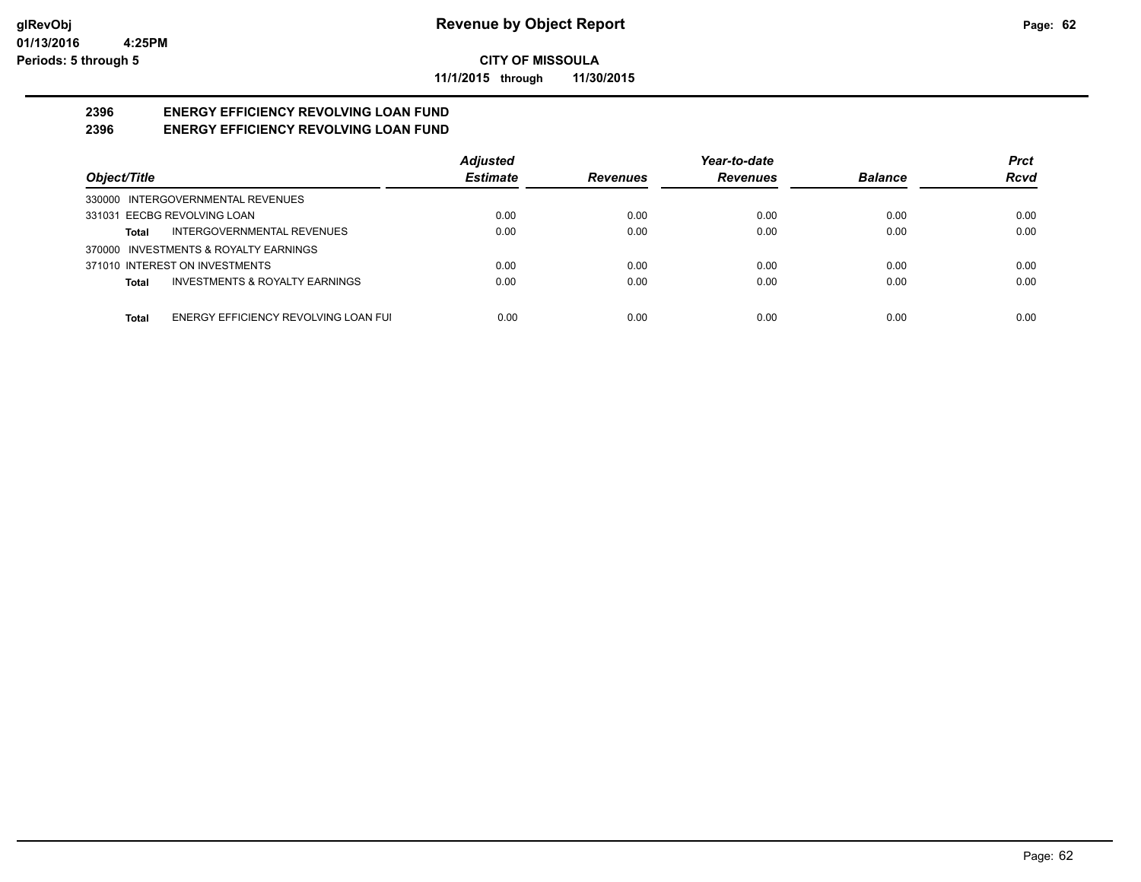**11/1/2015 through 11/30/2015**

#### **2396 ENERGY EFFICIENCY REVOLVING LOAN FUND 2396 ENERGY EFFICIENCY REVOLVING LOAN FUND**

|                                               | <b>Adjusted</b> |                 | Year-to-date    |                | <b>Prct</b> |
|-----------------------------------------------|-----------------|-----------------|-----------------|----------------|-------------|
| Object/Title                                  | <b>Estimate</b> | <b>Revenues</b> | <b>Revenues</b> | <b>Balance</b> | <b>Rcvd</b> |
| 330000 INTERGOVERNMENTAL REVENUES             |                 |                 |                 |                |             |
| 331031 EECBG REVOLVING LOAN                   | 0.00            | 0.00            | 0.00            | 0.00           | 0.00        |
| INTERGOVERNMENTAL REVENUES<br>Total           | 0.00            | 0.00            | 0.00            | 0.00           | 0.00        |
| 370000 INVESTMENTS & ROYALTY EARNINGS         |                 |                 |                 |                |             |
| 371010 INTEREST ON INVESTMENTS                | 0.00            | 0.00            | 0.00            | 0.00           | 0.00        |
| INVESTMENTS & ROYALTY EARNINGS<br>Total       | 0.00            | 0.00            | 0.00            | 0.00           | 0.00        |
|                                               |                 |                 |                 |                |             |
| ENERGY EFFICIENCY REVOLVING LOAN FUI<br>Total | 0.00            | 0.00            | 0.00            | 0.00           | 0.00        |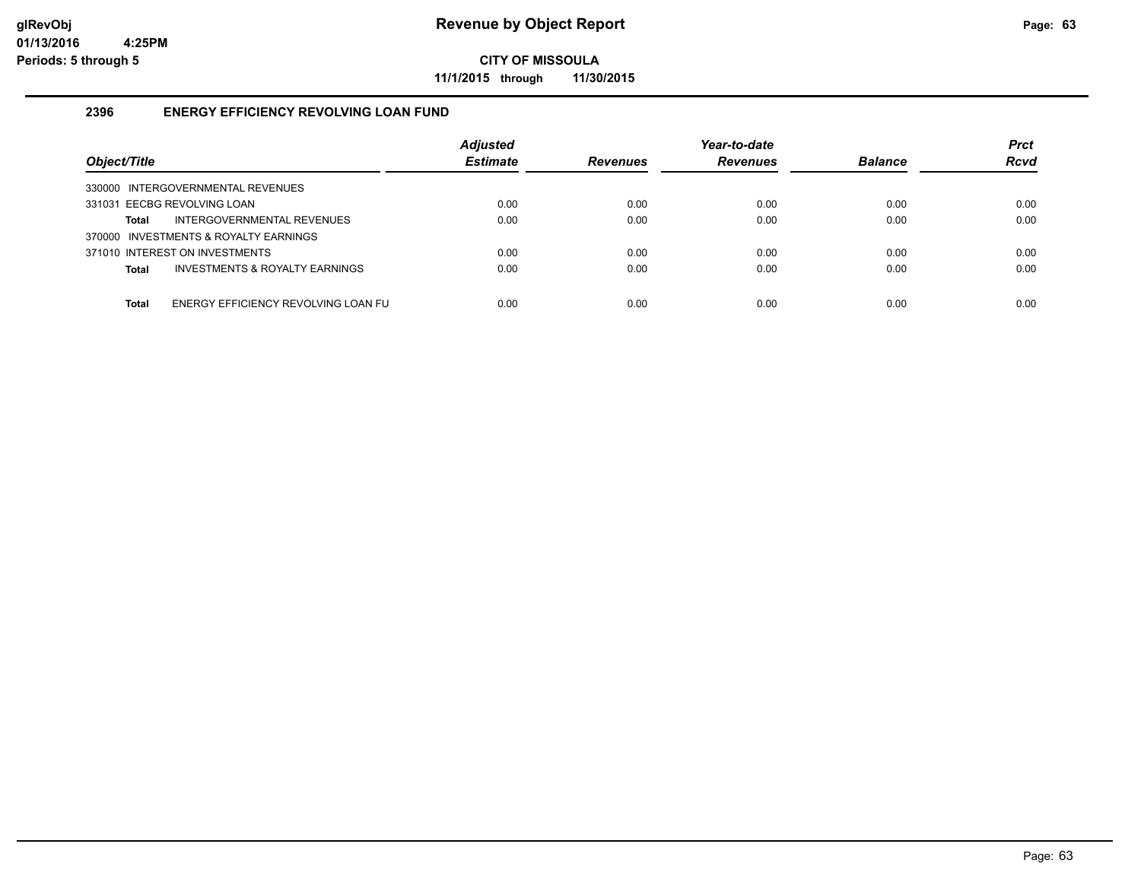**11/1/2015 through 11/30/2015**

### **2396 ENERGY EFFICIENCY REVOLVING LOAN FUND**

| Object/Title                                   | <b>Adjusted</b><br><b>Estimate</b> | <b>Revenues</b> | Year-to-date<br><b>Revenues</b> | <b>Balance</b> | <b>Prct</b><br><b>Rcvd</b> |
|------------------------------------------------|------------------------------------|-----------------|---------------------------------|----------------|----------------------------|
| 330000 INTERGOVERNMENTAL REVENUES              |                                    |                 |                                 |                |                            |
| 331031 EECBG REVOLVING LOAN                    | 0.00                               | 0.00            | 0.00                            | 0.00           | 0.00                       |
| INTERGOVERNMENTAL REVENUES<br>Total            | 0.00                               | 0.00            | 0.00                            | 0.00           | 0.00                       |
| 370000 INVESTMENTS & ROYALTY EARNINGS          |                                    |                 |                                 |                |                            |
| 371010 INTEREST ON INVESTMENTS                 | 0.00                               | 0.00            | 0.00                            | 0.00           | 0.00                       |
| INVESTMENTS & ROYALTY EARNINGS<br><b>Total</b> | 0.00                               | 0.00            | 0.00                            | 0.00           | 0.00                       |
|                                                |                                    |                 |                                 |                |                            |
| ENERGY EFFICIENCY REVOLVING LOAN FU<br>Total   | 0.00                               | 0.00            | 0.00                            | 0.00           | 0.00                       |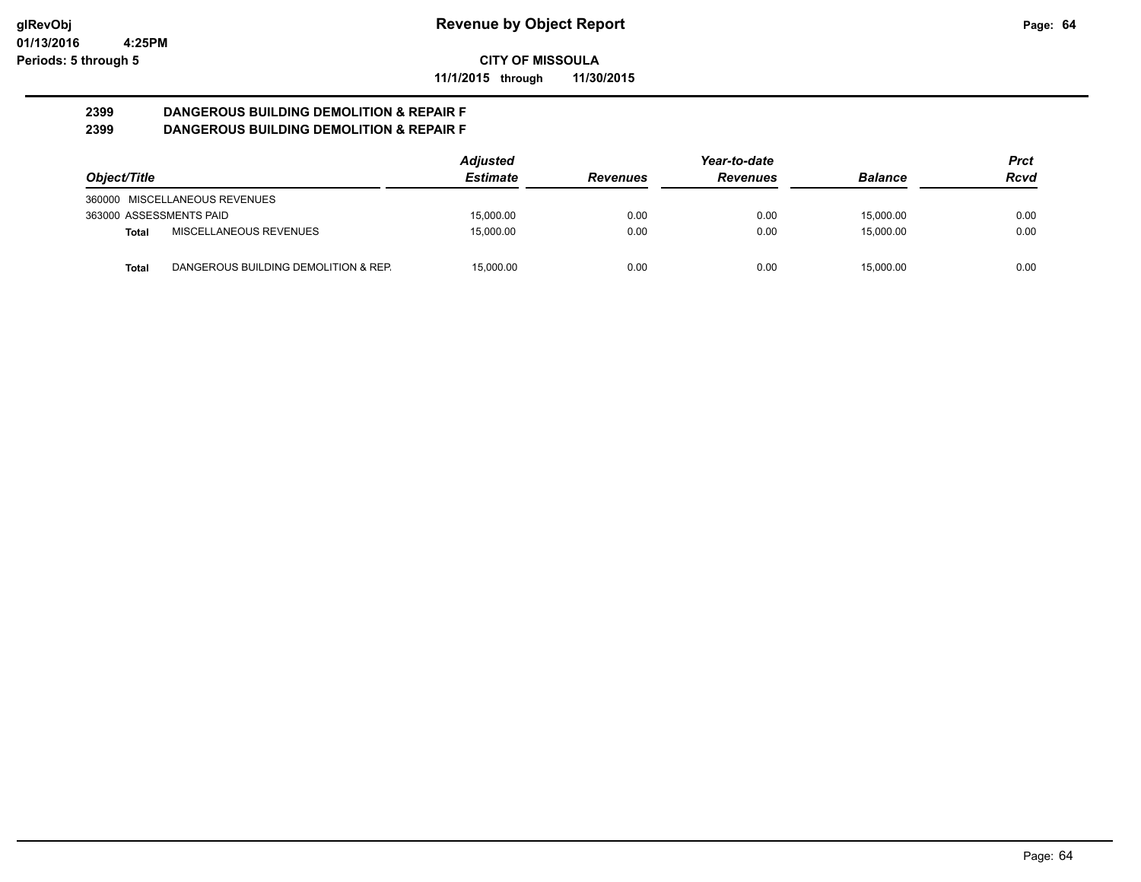**11/1/2015 through 11/30/2015**

#### **2399 DANGEROUS BUILDING DEMOLITION & REPAIR F 2399 DANGEROUS BUILDING DEMOLITION & REPAIR F**

|                         |                                      | <b>Adjusted</b> |                 |                 | Prct           |      |
|-------------------------|--------------------------------------|-----------------|-----------------|-----------------|----------------|------|
| Object/Title            |                                      | <b>Estimate</b> | <b>Revenues</b> | <b>Revenues</b> | <b>Balance</b> | Rcvd |
|                         | 360000 MISCELLANEOUS REVENUES        |                 |                 |                 |                |      |
| 363000 ASSESSMENTS PAID |                                      | 15.000.00       | 0.00            | 0.00            | 15.000.00      | 0.00 |
| Total                   | MISCELLANEOUS REVENUES               | 15.000.00       | 0.00            | 0.00            | 15.000.00      | 0.00 |
| Total                   | DANGEROUS BUILDING DEMOLITION & REP. | 15.000.00       | 0.00            | 0.00            | 15.000.00      | 0.00 |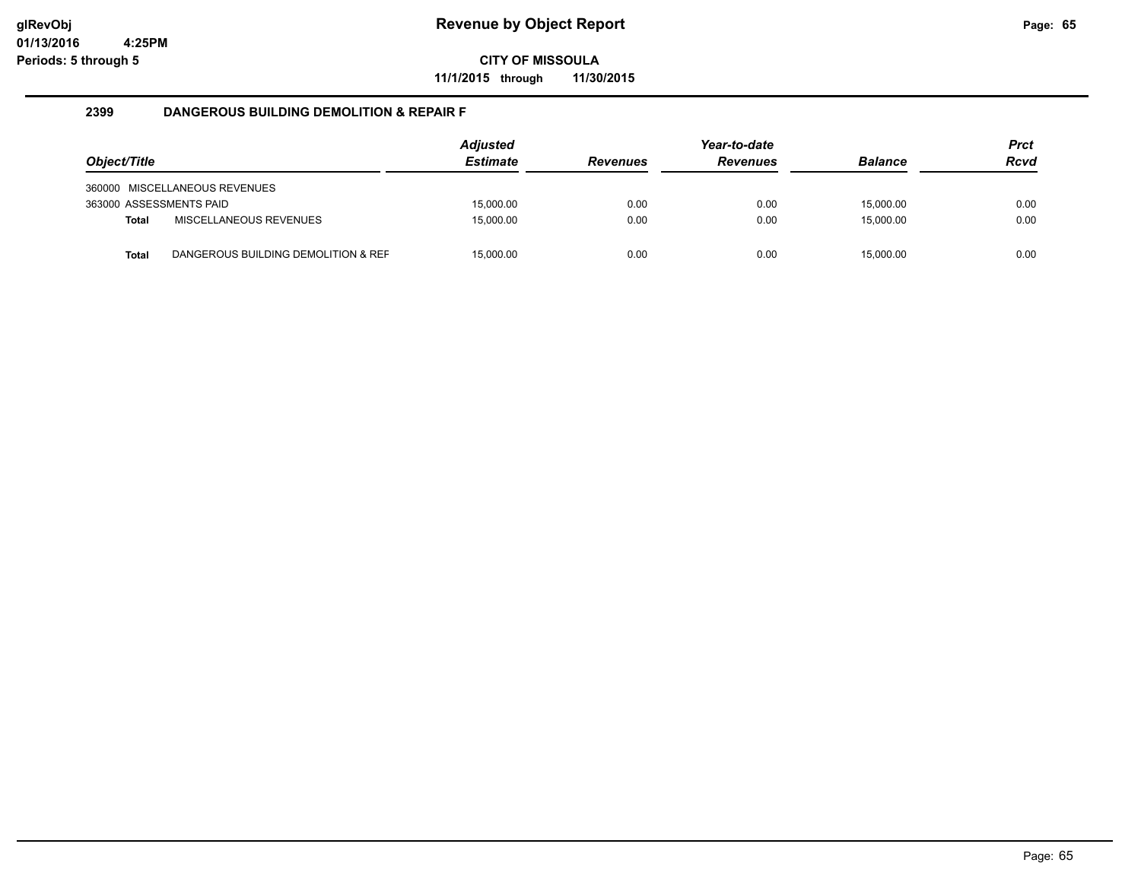**11/1/2015 through 11/30/2015**

#### **2399 DANGEROUS BUILDING DEMOLITION & REPAIR F**

| Object/Title            |                                     | <b>Adjusted</b><br><b>Estimate</b> | <b>Revenues</b> | Year-to-date<br><b>Revenues</b> | <b>Balance</b> | <b>Prct</b><br><b>Rcvd</b> |
|-------------------------|-------------------------------------|------------------------------------|-----------------|---------------------------------|----------------|----------------------------|
|                         | 360000 MISCELLANEOUS REVENUES       |                                    |                 |                                 |                |                            |
| 363000 ASSESSMENTS PAID |                                     | 15.000.00                          | 0.00            | 0.00                            | 15,000.00      | 0.00                       |
| <b>Total</b>            | MISCELLANEOUS REVENUES              | 15.000.00                          | 0.00            | 0.00                            | 15,000.00      | 0.00                       |
|                         |                                     |                                    |                 |                                 |                |                            |
| Total                   | DANGEROUS BUILDING DEMOLITION & REF | 15.000.00                          | 0.00            | 0.00                            | 15,000.00      | 0.00                       |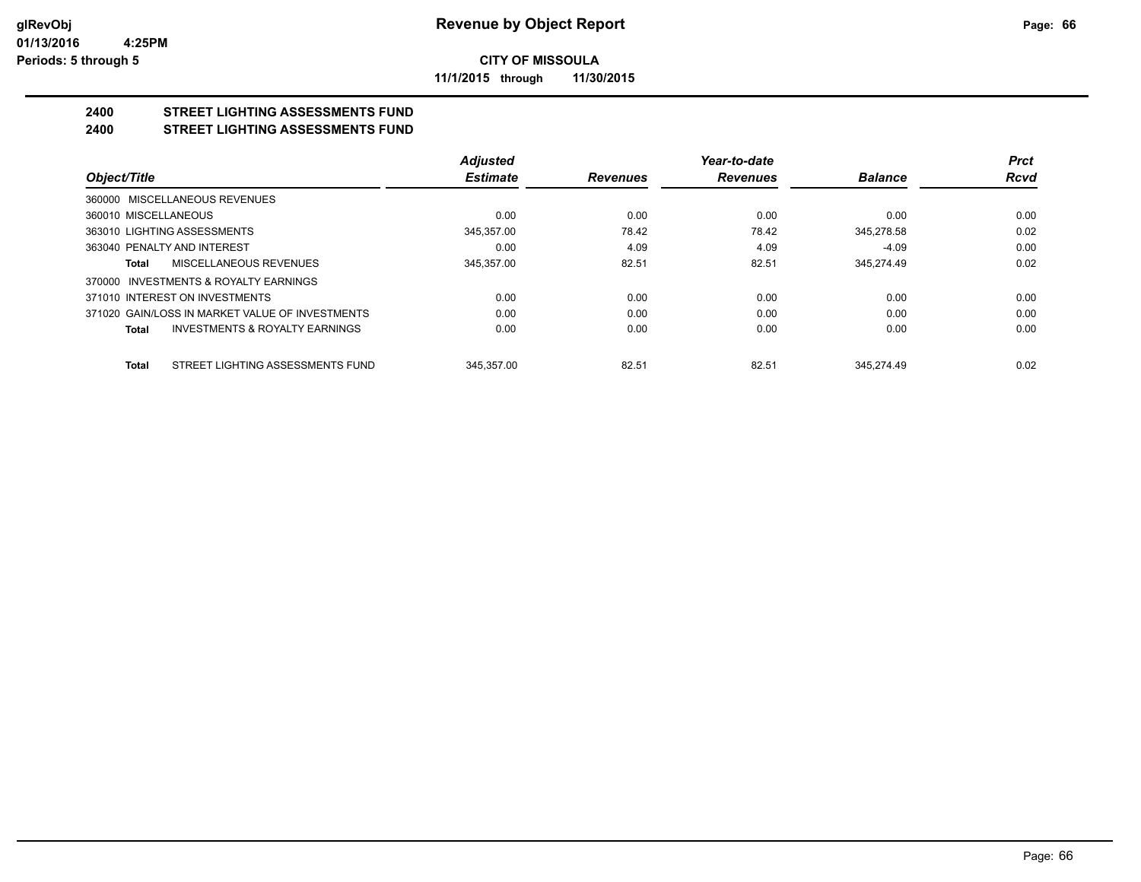**11/1/2015 through 11/30/2015**

#### **2400 STREET LIGHTING ASSESSMENTS FUND 2400 STREET LIGHTING ASSESSMENTS FUND**

|                      |                                                 | <b>Adjusted</b> |                 | Year-to-date    |                | <b>Prct</b> |
|----------------------|-------------------------------------------------|-----------------|-----------------|-----------------|----------------|-------------|
| Object/Title         |                                                 | <b>Estimate</b> | <b>Revenues</b> | <b>Revenues</b> | <b>Balance</b> | <b>Rcvd</b> |
|                      | 360000 MISCELLANEOUS REVENUES                   |                 |                 |                 |                |             |
| 360010 MISCELLANEOUS |                                                 | 0.00            | 0.00            | 0.00            | 0.00           | 0.00        |
|                      | 363010 LIGHTING ASSESSMENTS                     | 345.357.00      | 78.42           | 78.42           | 345.278.58     | 0.02        |
|                      | 363040 PENALTY AND INTEREST                     | 0.00            | 4.09            | 4.09            | $-4.09$        | 0.00        |
| Total                | MISCELLANEOUS REVENUES                          | 345.357.00      | 82.51           | 82.51           | 345.274.49     | 0.02        |
|                      | 370000 INVESTMENTS & ROYALTY EARNINGS           |                 |                 |                 |                |             |
|                      | 371010 INTEREST ON INVESTMENTS                  | 0.00            | 0.00            | 0.00            | 0.00           | 0.00        |
|                      | 371020 GAIN/LOSS IN MARKET VALUE OF INVESTMENTS | 0.00            | 0.00            | 0.00            | 0.00           | 0.00        |
| Total                | <b>INVESTMENTS &amp; ROYALTY EARNINGS</b>       | 0.00            | 0.00            | 0.00            | 0.00           | 0.00        |
| Total                | STREET LIGHTING ASSESSMENTS FUND                | 345.357.00      | 82.51           | 82.51           | 345.274.49     | 0.02        |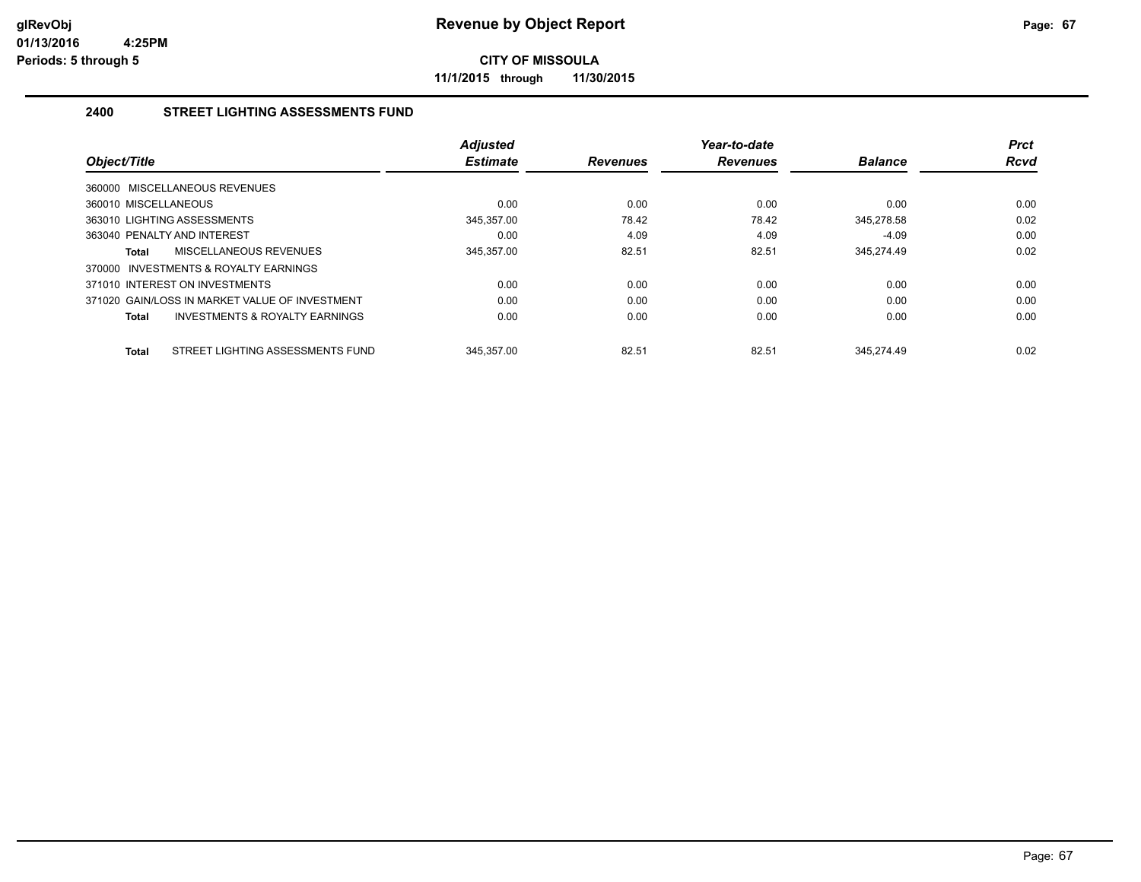**11/1/2015 through 11/30/2015**

## **2400 STREET LIGHTING ASSESSMENTS FUND**

| Object/Title                                       | <b>Adjusted</b><br><b>Estimate</b> | <b>Revenues</b> | Year-to-date<br><b>Revenues</b> | <b>Balance</b> | <b>Prct</b><br><b>Rcvd</b> |
|----------------------------------------------------|------------------------------------|-----------------|---------------------------------|----------------|----------------------------|
| 360000 MISCELLANEOUS REVENUES                      |                                    |                 |                                 |                |                            |
| 360010 MISCELLANEOUS                               | 0.00                               | 0.00            | 0.00                            | 0.00           | 0.00                       |
| 363010 LIGHTING ASSESSMENTS                        | 345.357.00                         | 78.42           | 78.42                           | 345.278.58     | 0.02                       |
| 363040 PENALTY AND INTEREST                        | 0.00                               | 4.09            | 4.09                            | $-4.09$        | 0.00                       |
| MISCELLANEOUS REVENUES<br>Total                    | 345,357.00                         | 82.51           | 82.51                           | 345,274.49     | 0.02                       |
| 370000 INVESTMENTS & ROYALTY EARNINGS              |                                    |                 |                                 |                |                            |
| 371010 INTEREST ON INVESTMENTS                     | 0.00                               | 0.00            | 0.00                            | 0.00           | 0.00                       |
| 371020 GAIN/LOSS IN MARKET VALUE OF INVESTMENT     | 0.00                               | 0.00            | 0.00                            | 0.00           | 0.00                       |
| <b>INVESTMENTS &amp; ROYALTY EARNINGS</b><br>Total | 0.00                               | 0.00            | 0.00                            | 0.00           | 0.00                       |
|                                                    |                                    |                 |                                 |                |                            |
| STREET LIGHTING ASSESSMENTS FUND<br>Total          | 345.357.00                         | 82.51           | 82.51                           | 345.274.49     | 0.02                       |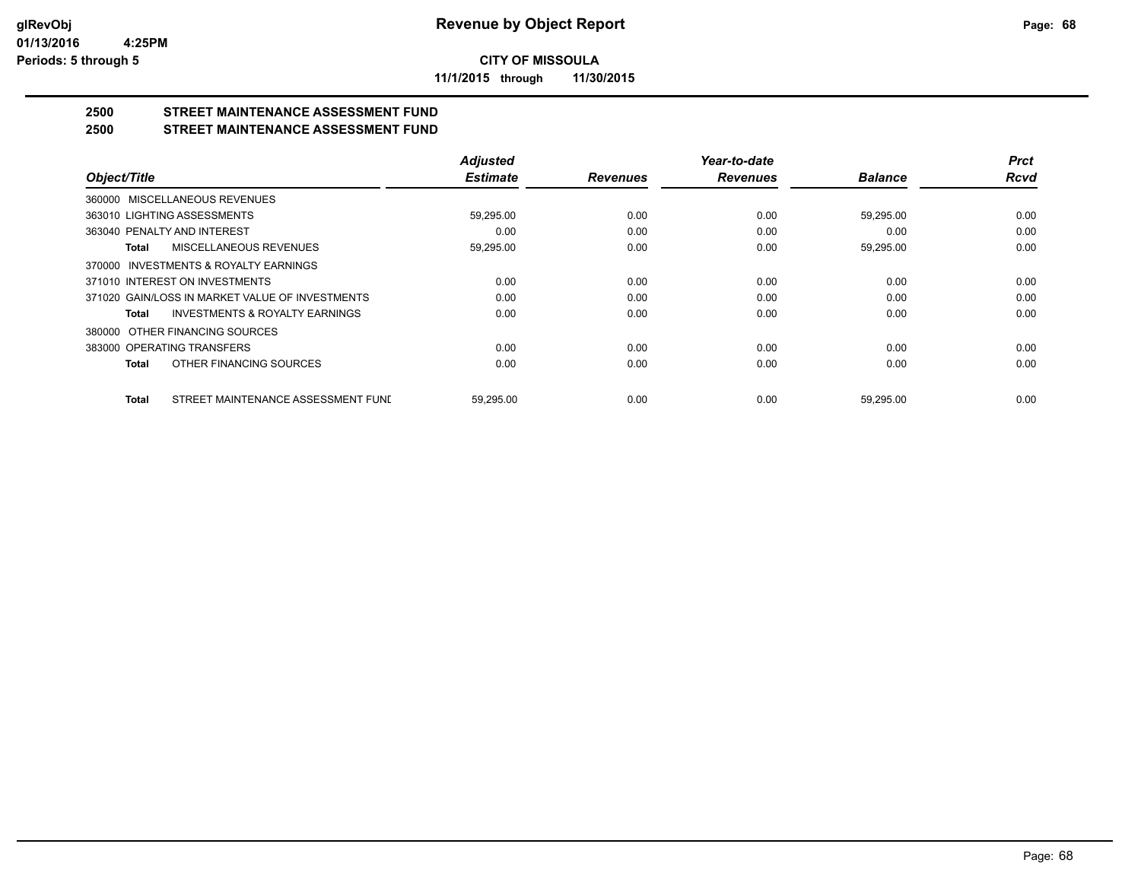**11/1/2015 through 11/30/2015**

# **2500 STREET MAINTENANCE ASSESSMENT FUND**

## **2500 STREET MAINTENANCE ASSESSMENT FUND**

|                                                           | <b>Adjusted</b> |                 | Year-to-date    |                | <b>Prct</b> |
|-----------------------------------------------------------|-----------------|-----------------|-----------------|----------------|-------------|
| Object/Title                                              | <b>Estimate</b> | <b>Revenues</b> | <b>Revenues</b> | <b>Balance</b> | <b>Rcvd</b> |
| 360000 MISCELLANEOUS REVENUES                             |                 |                 |                 |                |             |
| 363010 LIGHTING ASSESSMENTS                               | 59,295.00       | 0.00            | 0.00            | 59,295.00      | 0.00        |
| 363040 PENALTY AND INTEREST                               | 0.00            | 0.00            | 0.00            | 0.00           | 0.00        |
| MISCELLANEOUS REVENUES<br><b>Total</b>                    | 59,295.00       | 0.00            | 0.00            | 59,295.00      | 0.00        |
| 370000 INVESTMENTS & ROYALTY EARNINGS                     |                 |                 |                 |                |             |
| 371010 INTEREST ON INVESTMENTS                            | 0.00            | 0.00            | 0.00            | 0.00           | 0.00        |
| 371020 GAIN/LOSS IN MARKET VALUE OF INVESTMENTS           | 0.00            | 0.00            | 0.00            | 0.00           | 0.00        |
| <b>INVESTMENTS &amp; ROYALTY EARNINGS</b><br><b>Total</b> | 0.00            | 0.00            | 0.00            | 0.00           | 0.00        |
| OTHER FINANCING SOURCES<br>380000                         |                 |                 |                 |                |             |
| 383000 OPERATING TRANSFERS                                | 0.00            | 0.00            | 0.00            | 0.00           | 0.00        |
| OTHER FINANCING SOURCES<br><b>Total</b>                   | 0.00            | 0.00            | 0.00            | 0.00           | 0.00        |
| STREET MAINTENANCE ASSESSMENT FUNI<br><b>Total</b>        | 59.295.00       | 0.00            | 0.00            | 59.295.00      | 0.00        |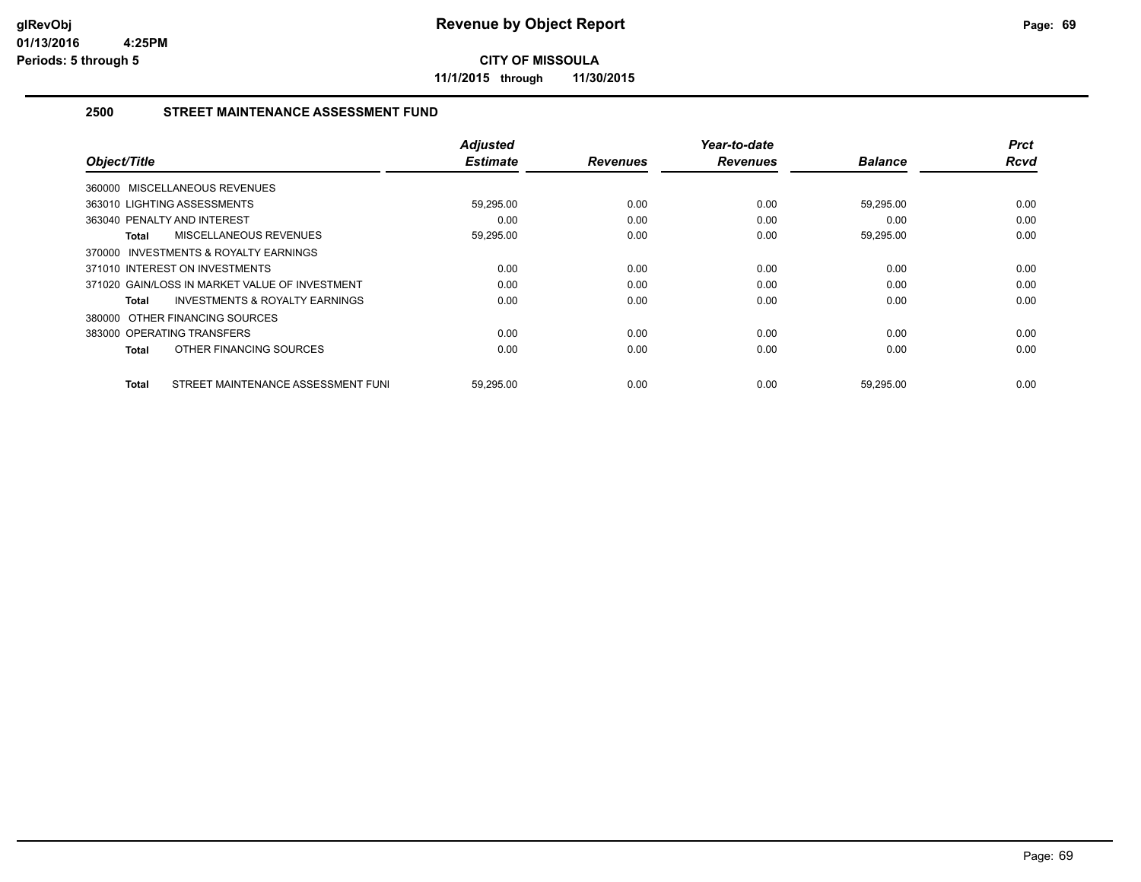**11/1/2015 through 11/30/2015**

### **2500 STREET MAINTENANCE ASSESSMENT FUND**

| Object/Title                                       | <b>Adjusted</b><br><b>Estimate</b> | <b>Revenues</b> | Year-to-date<br><b>Revenues</b> | <b>Balance</b> | <b>Prct</b><br>Rcvd |
|----------------------------------------------------|------------------------------------|-----------------|---------------------------------|----------------|---------------------|
| 360000 MISCELLANEOUS REVENUES                      |                                    |                 |                                 |                |                     |
| 363010 LIGHTING ASSESSMENTS                        | 59,295.00                          | 0.00            | 0.00                            | 59.295.00      | 0.00                |
| 363040 PENALTY AND INTEREST                        | 0.00                               | 0.00            | 0.00                            | 0.00           | 0.00                |
| MISCELLANEOUS REVENUES<br>Total                    | 59,295.00                          | 0.00            | 0.00                            | 59,295.00      | 0.00                |
| 370000 INVESTMENTS & ROYALTY EARNINGS              |                                    |                 |                                 |                |                     |
| 371010 INTEREST ON INVESTMENTS                     | 0.00                               | 0.00            | 0.00                            | 0.00           | 0.00                |
| 371020 GAIN/LOSS IN MARKET VALUE OF INVESTMENT     | 0.00                               | 0.00            | 0.00                            | 0.00           | 0.00                |
| <b>INVESTMENTS &amp; ROYALTY EARNINGS</b><br>Total | 0.00                               | 0.00            | 0.00                            | 0.00           | 0.00                |
| 380000 OTHER FINANCING SOURCES                     |                                    |                 |                                 |                |                     |
| 383000 OPERATING TRANSFERS                         | 0.00                               | 0.00            | 0.00                            | 0.00           | 0.00                |
| OTHER FINANCING SOURCES<br>Total                   | 0.00                               | 0.00            | 0.00                            | 0.00           | 0.00                |
| STREET MAINTENANCE ASSESSMENT FUNI<br>Total        | 59,295.00                          | 0.00            | 0.00                            | 59,295.00      | 0.00                |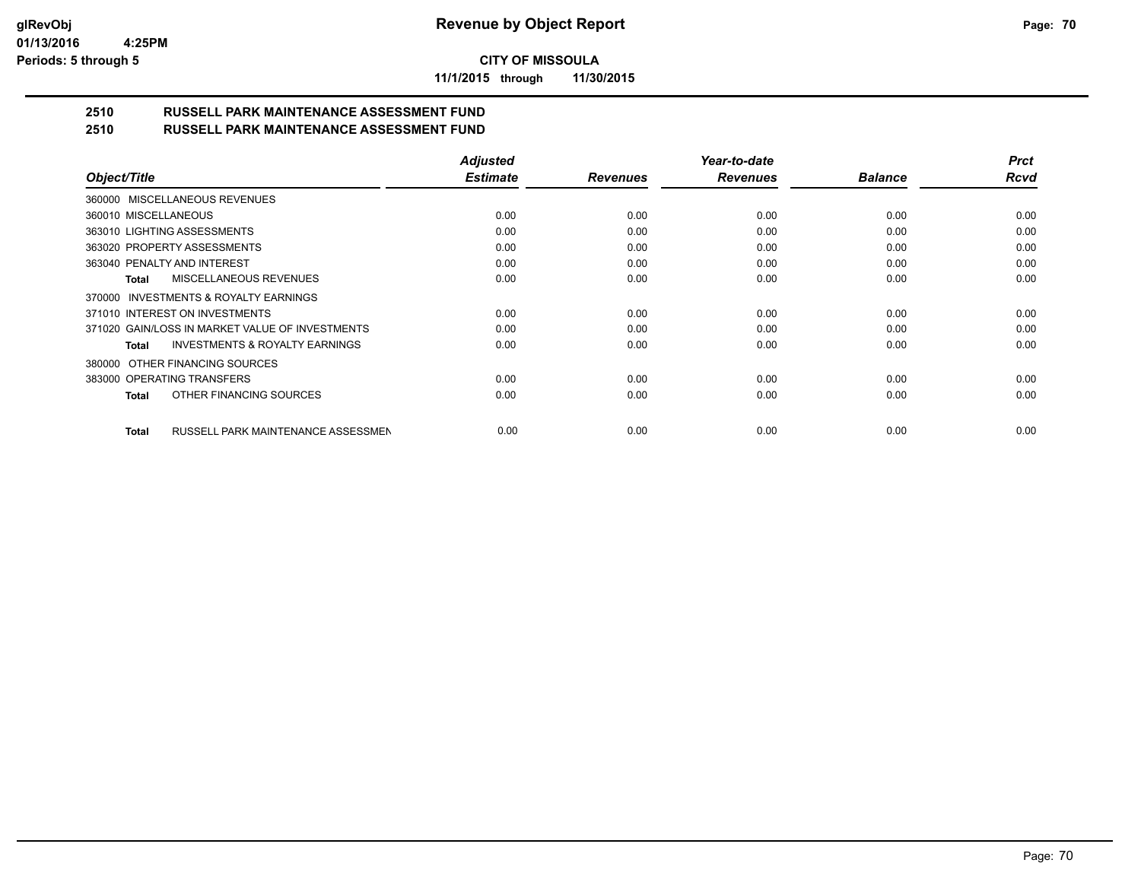**11/1/2015 through 11/30/2015**

# **2510 RUSSELL PARK MAINTENANCE ASSESSMENT FUND**

| 2510 | <b>RUSSELL PARK MAINTENANCE ASSESSMENT FUND</b> |
|------|-------------------------------------------------|
|      |                                                 |

|                                                           | <b>Adjusted</b> |                 | Year-to-date    |                | <b>Prct</b> |
|-----------------------------------------------------------|-----------------|-----------------|-----------------|----------------|-------------|
| Object/Title                                              | <b>Estimate</b> | <b>Revenues</b> | <b>Revenues</b> | <b>Balance</b> | Rcvd        |
| 360000 MISCELLANEOUS REVENUES                             |                 |                 |                 |                |             |
| 360010 MISCELLANEOUS                                      | 0.00            | 0.00            | 0.00            | 0.00           | 0.00        |
| 363010 LIGHTING ASSESSMENTS                               | 0.00            | 0.00            | 0.00            | 0.00           | 0.00        |
| 363020 PROPERTY ASSESSMENTS                               | 0.00            | 0.00            | 0.00            | 0.00           | 0.00        |
| 363040 PENALTY AND INTEREST                               | 0.00            | 0.00            | 0.00            | 0.00           | 0.00        |
| MISCELLANEOUS REVENUES<br>Total                           | 0.00            | 0.00            | 0.00            | 0.00           | 0.00        |
| 370000 INVESTMENTS & ROYALTY EARNINGS                     |                 |                 |                 |                |             |
| 371010 INTEREST ON INVESTMENTS                            | 0.00            | 0.00            | 0.00            | 0.00           | 0.00        |
| 371020 GAIN/LOSS IN MARKET VALUE OF INVESTMENTS           | 0.00            | 0.00            | 0.00            | 0.00           | 0.00        |
| <b>INVESTMENTS &amp; ROYALTY EARNINGS</b><br><b>Total</b> | 0.00            | 0.00            | 0.00            | 0.00           | 0.00        |
| 380000 OTHER FINANCING SOURCES                            |                 |                 |                 |                |             |
| 383000 OPERATING TRANSFERS                                | 0.00            | 0.00            | 0.00            | 0.00           | 0.00        |
| OTHER FINANCING SOURCES<br><b>Total</b>                   | 0.00            | 0.00            | 0.00            | 0.00           | 0.00        |
| RUSSELL PARK MAINTENANCE ASSESSMEN<br>Total               | 0.00            | 0.00            | 0.00            | 0.00           | 0.00        |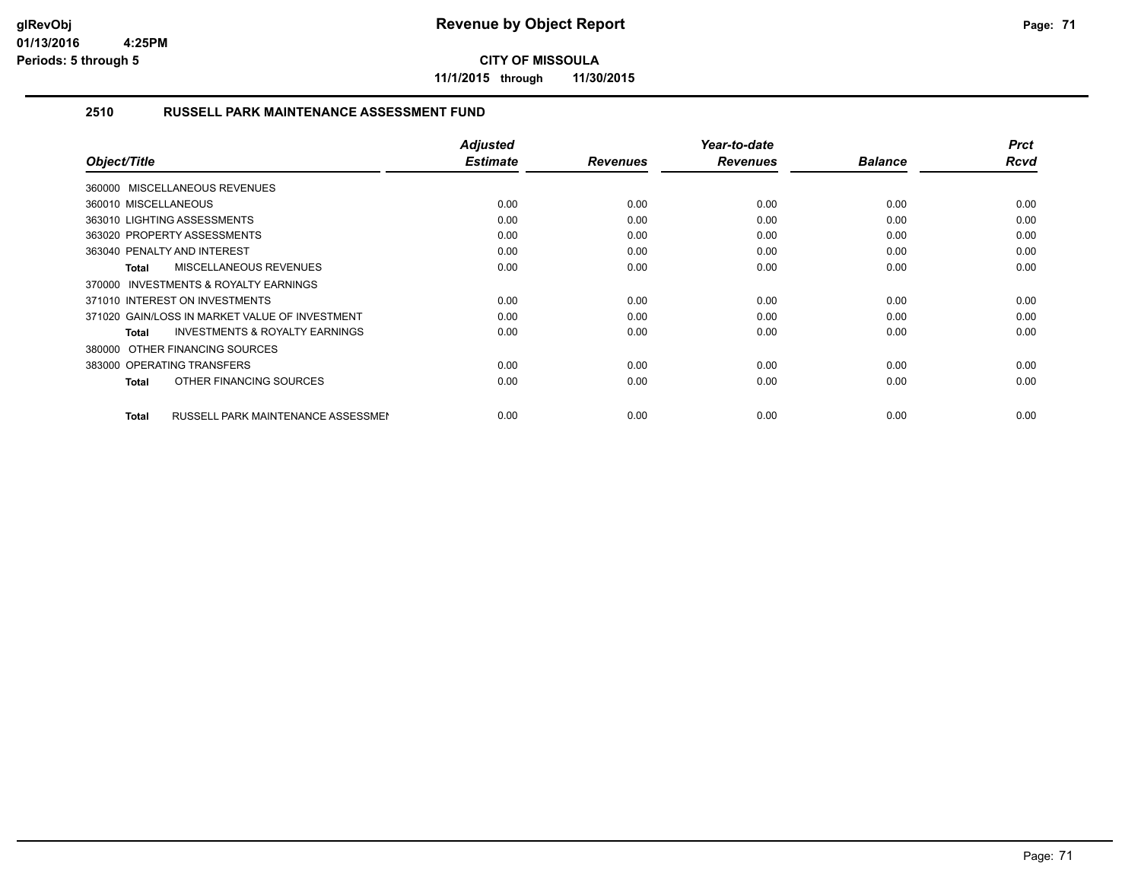**11/1/2015 through 11/30/2015**

## **2510 RUSSELL PARK MAINTENANCE ASSESSMENT FUND**

|                                                    | <b>Adjusted</b><br><b>Estimate</b> |                 | Year-to-date    |                | <b>Prct</b><br><b>Rcvd</b> |
|----------------------------------------------------|------------------------------------|-----------------|-----------------|----------------|----------------------------|
| Object/Title                                       |                                    | <b>Revenues</b> | <b>Revenues</b> | <b>Balance</b> |                            |
| 360000 MISCELLANEOUS REVENUES                      |                                    |                 |                 |                |                            |
| 360010 MISCELLANEOUS                               | 0.00                               | 0.00            | 0.00            | 0.00           | 0.00                       |
| 363010 LIGHTING ASSESSMENTS                        | 0.00                               | 0.00            | 0.00            | 0.00           | 0.00                       |
| 363020 PROPERTY ASSESSMENTS                        | 0.00                               | 0.00            | 0.00            | 0.00           | 0.00                       |
| 363040 PENALTY AND INTEREST                        | 0.00                               | 0.00            | 0.00            | 0.00           | 0.00                       |
| <b>MISCELLANEOUS REVENUES</b><br>Total             | 0.00                               | 0.00            | 0.00            | 0.00           | 0.00                       |
| 370000 INVESTMENTS & ROYALTY EARNINGS              |                                    |                 |                 |                |                            |
| 371010 INTEREST ON INVESTMENTS                     | 0.00                               | 0.00            | 0.00            | 0.00           | 0.00                       |
| 371020 GAIN/LOSS IN MARKET VALUE OF INVESTMENT     | 0.00                               | 0.00            | 0.00            | 0.00           | 0.00                       |
| <b>INVESTMENTS &amp; ROYALTY EARNINGS</b><br>Total | 0.00                               | 0.00            | 0.00            | 0.00           | 0.00                       |
| 380000 OTHER FINANCING SOURCES                     |                                    |                 |                 |                |                            |
| 383000 OPERATING TRANSFERS                         | 0.00                               | 0.00            | 0.00            | 0.00           | 0.00                       |
| OTHER FINANCING SOURCES<br>Total                   | 0.00                               | 0.00            | 0.00            | 0.00           | 0.00                       |
|                                                    |                                    |                 |                 |                |                            |
| RUSSELL PARK MAINTENANCE ASSESSMEN<br><b>Total</b> | 0.00                               | 0.00            | 0.00            | 0.00           | 0.00                       |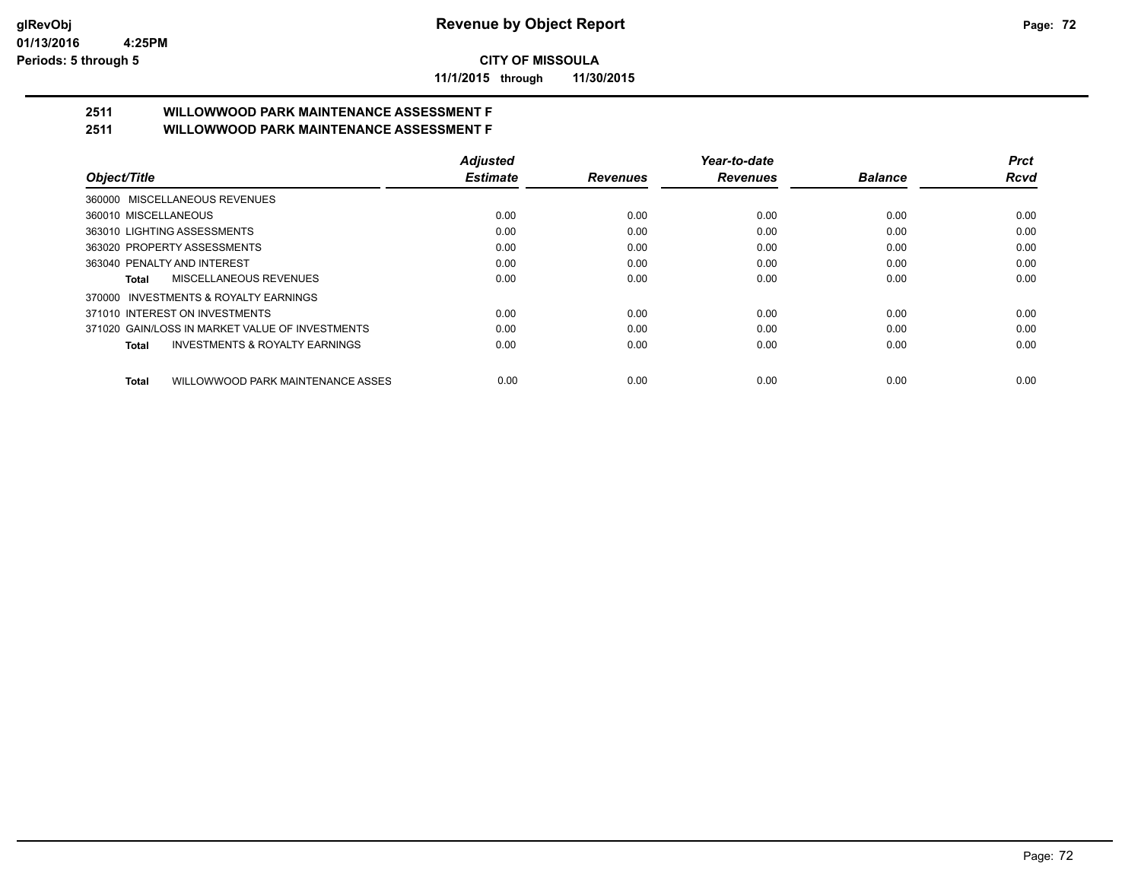**11/1/2015 through 11/30/2015**

# **2511 WILLOWWOOD PARK MAINTENANCE ASSESSMENT F**

| 2511 | <b>WILLOWWOOD PARK MAINTENANCE ASSESSMENT F</b> |  |
|------|-------------------------------------------------|--|
|      |                                                 |  |

|                                                    | <b>Adjusted</b> |                 | Year-to-date    |                | <b>Prct</b> |
|----------------------------------------------------|-----------------|-----------------|-----------------|----------------|-------------|
| Object/Title                                       | <b>Estimate</b> | <b>Revenues</b> | <b>Revenues</b> | <b>Balance</b> | <b>Rcvd</b> |
| 360000 MISCELLANEOUS REVENUES                      |                 |                 |                 |                |             |
| 360010 MISCELLANEOUS                               | 0.00            | 0.00            | 0.00            | 0.00           | 0.00        |
| 363010 LIGHTING ASSESSMENTS                        | 0.00            | 0.00            | 0.00            | 0.00           | 0.00        |
| 363020 PROPERTY ASSESSMENTS                        | 0.00            | 0.00            | 0.00            | 0.00           | 0.00        |
| 363040 PENALTY AND INTEREST                        | 0.00            | 0.00            | 0.00            | 0.00           | 0.00        |
| MISCELLANEOUS REVENUES<br>Total                    | 0.00            | 0.00            | 0.00            | 0.00           | 0.00        |
| 370000 INVESTMENTS & ROYALTY EARNINGS              |                 |                 |                 |                |             |
| 371010 INTEREST ON INVESTMENTS                     | 0.00            | 0.00            | 0.00            | 0.00           | 0.00        |
| 371020 GAIN/LOSS IN MARKET VALUE OF INVESTMENTS    | 0.00            | 0.00            | 0.00            | 0.00           | 0.00        |
| <b>INVESTMENTS &amp; ROYALTY EARNINGS</b><br>Total | 0.00            | 0.00            | 0.00            | 0.00           | 0.00        |
| WILLOWWOOD PARK MAINTENANCE ASSES<br><b>Total</b>  | 0.00            | 0.00            | 0.00            | 0.00           | 0.00        |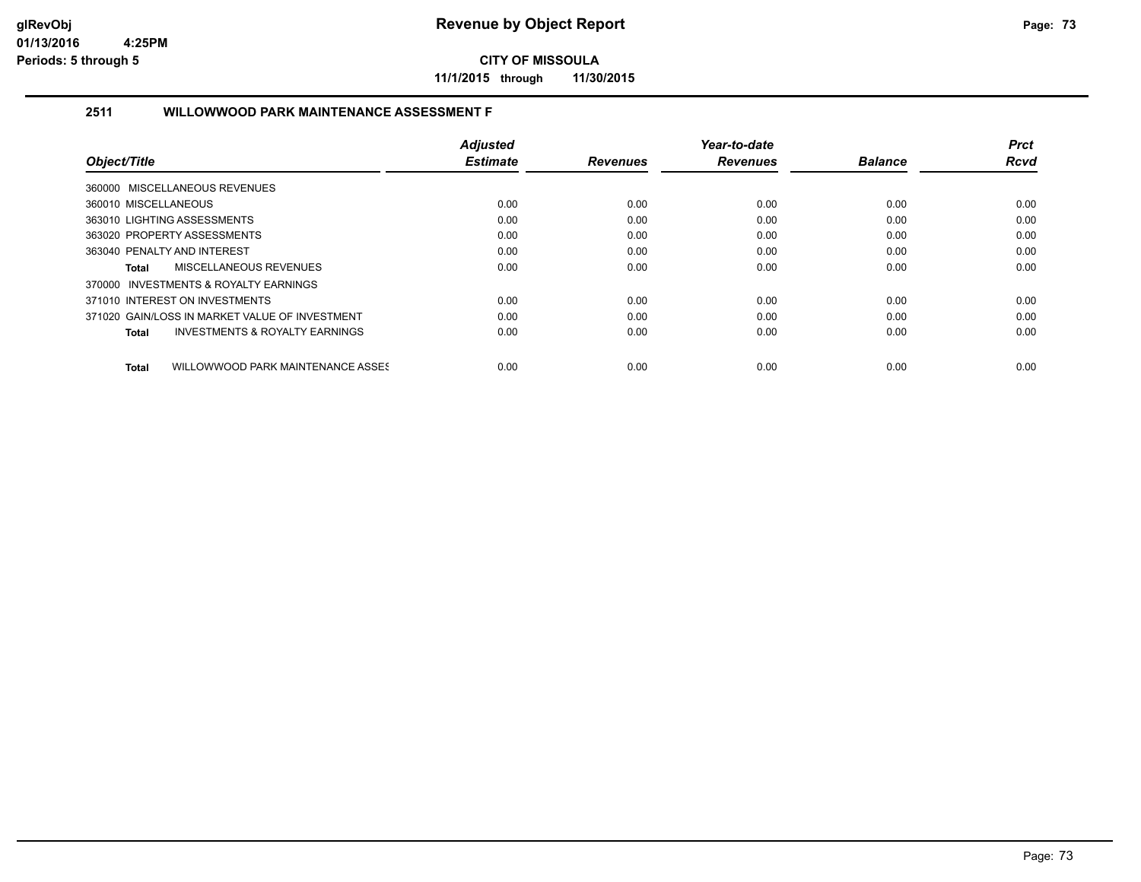**11/1/2015 through 11/30/2015**

## **2511 WILLOWWOOD PARK MAINTENANCE ASSESSMENT F**

| Object/Title                                       | <b>Adjusted</b><br><b>Estimate</b> | <b>Revenues</b> | Year-to-date<br><b>Revenues</b> | <b>Balance</b> | <b>Prct</b><br><b>Rcvd</b> |
|----------------------------------------------------|------------------------------------|-----------------|---------------------------------|----------------|----------------------------|
|                                                    |                                    |                 |                                 |                |                            |
| 360000 MISCELLANEOUS REVENUES                      |                                    |                 |                                 |                |                            |
| 360010 MISCELLANEOUS                               | 0.00                               | 0.00            | 0.00                            | 0.00           | 0.00                       |
| 363010 LIGHTING ASSESSMENTS                        | 0.00                               | 0.00            | 0.00                            | 0.00           | 0.00                       |
| 363020 PROPERTY ASSESSMENTS                        | 0.00                               | 0.00            | 0.00                            | 0.00           | 0.00                       |
| 363040 PENALTY AND INTEREST                        | 0.00                               | 0.00            | 0.00                            | 0.00           | 0.00                       |
| <b>MISCELLANEOUS REVENUES</b><br>Total             | 0.00                               | 0.00            | 0.00                            | 0.00           | 0.00                       |
| 370000 INVESTMENTS & ROYALTY EARNINGS              |                                    |                 |                                 |                |                            |
| 371010 INTEREST ON INVESTMENTS                     | 0.00                               | 0.00            | 0.00                            | 0.00           | 0.00                       |
| 371020 GAIN/LOSS IN MARKET VALUE OF INVESTMENT     | 0.00                               | 0.00            | 0.00                            | 0.00           | 0.00                       |
| <b>INVESTMENTS &amp; ROYALTY EARNINGS</b><br>Total | 0.00                               | 0.00            | 0.00                            | 0.00           | 0.00                       |
|                                                    |                                    |                 |                                 |                |                            |
| WILLOWWOOD PARK MAINTENANCE ASSES<br>Total         | 0.00                               | 0.00            | 0.00                            | 0.00           | 0.00                       |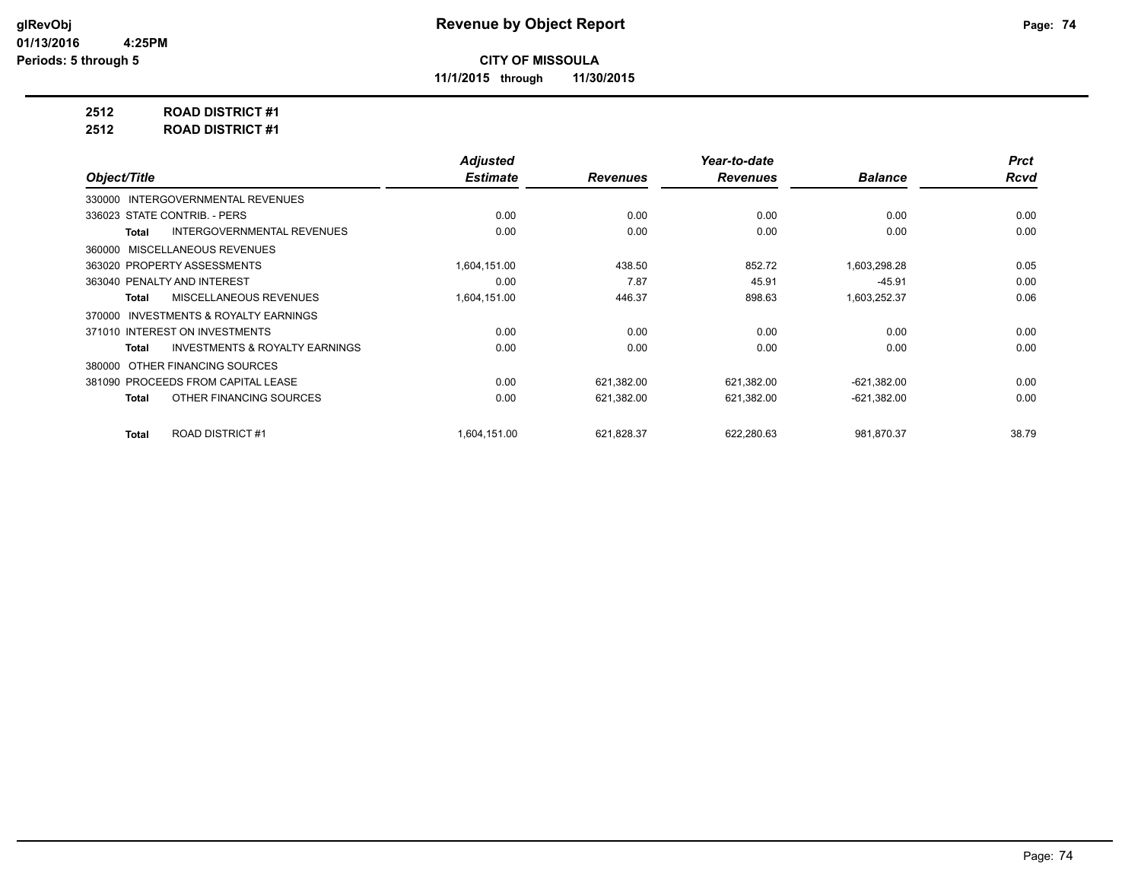**11/1/2015 through 11/30/2015**

# **2512 ROAD DISTRICT #1**

**2512 ROAD DISTRICT #1**

|                                                    | <b>Adjusted</b> |                 | Year-to-date    |                | <b>Prct</b> |
|----------------------------------------------------|-----------------|-----------------|-----------------|----------------|-------------|
| Object/Title                                       | <b>Estimate</b> | <b>Revenues</b> | <b>Revenues</b> | <b>Balance</b> | <b>Rcvd</b> |
| INTERGOVERNMENTAL REVENUES<br>330000               |                 |                 |                 |                |             |
| 336023 STATE CONTRIB. - PERS                       | 0.00            | 0.00            | 0.00            | 0.00           | 0.00        |
| <b>INTERGOVERNMENTAL REVENUES</b><br>Total         | 0.00            | 0.00            | 0.00            | 0.00           | 0.00        |
| 360000 MISCELLANEOUS REVENUES                      |                 |                 |                 |                |             |
| 363020 PROPERTY ASSESSMENTS                        | 1,604,151.00    | 438.50          | 852.72          | 1,603,298.28   | 0.05        |
| 363040 PENALTY AND INTEREST                        | 0.00            | 7.87            | 45.91           | $-45.91$       | 0.00        |
| MISCELLANEOUS REVENUES<br>Total                    | 1,604,151.00    | 446.37          | 898.63          | 1,603,252.37   | 0.06        |
| 370000 INVESTMENTS & ROYALTY EARNINGS              |                 |                 |                 |                |             |
| 371010 INTEREST ON INVESTMENTS                     | 0.00            | 0.00            | 0.00            | 0.00           | 0.00        |
| <b>INVESTMENTS &amp; ROYALTY EARNINGS</b><br>Total | 0.00            | 0.00            | 0.00            | 0.00           | 0.00        |
| 380000 OTHER FINANCING SOURCES                     |                 |                 |                 |                |             |
| 381090 PROCEEDS FROM CAPITAL LEASE                 | 0.00            | 621,382.00      | 621,382.00      | $-621,382.00$  | 0.00        |
| OTHER FINANCING SOURCES<br>Total                   | 0.00            | 621,382.00      | 621,382.00      | $-621,382.00$  | 0.00        |
| <b>ROAD DISTRICT #1</b><br><b>Total</b>            | 1.604.151.00    | 621.828.37      | 622,280.63      | 981,870.37     | 38.79       |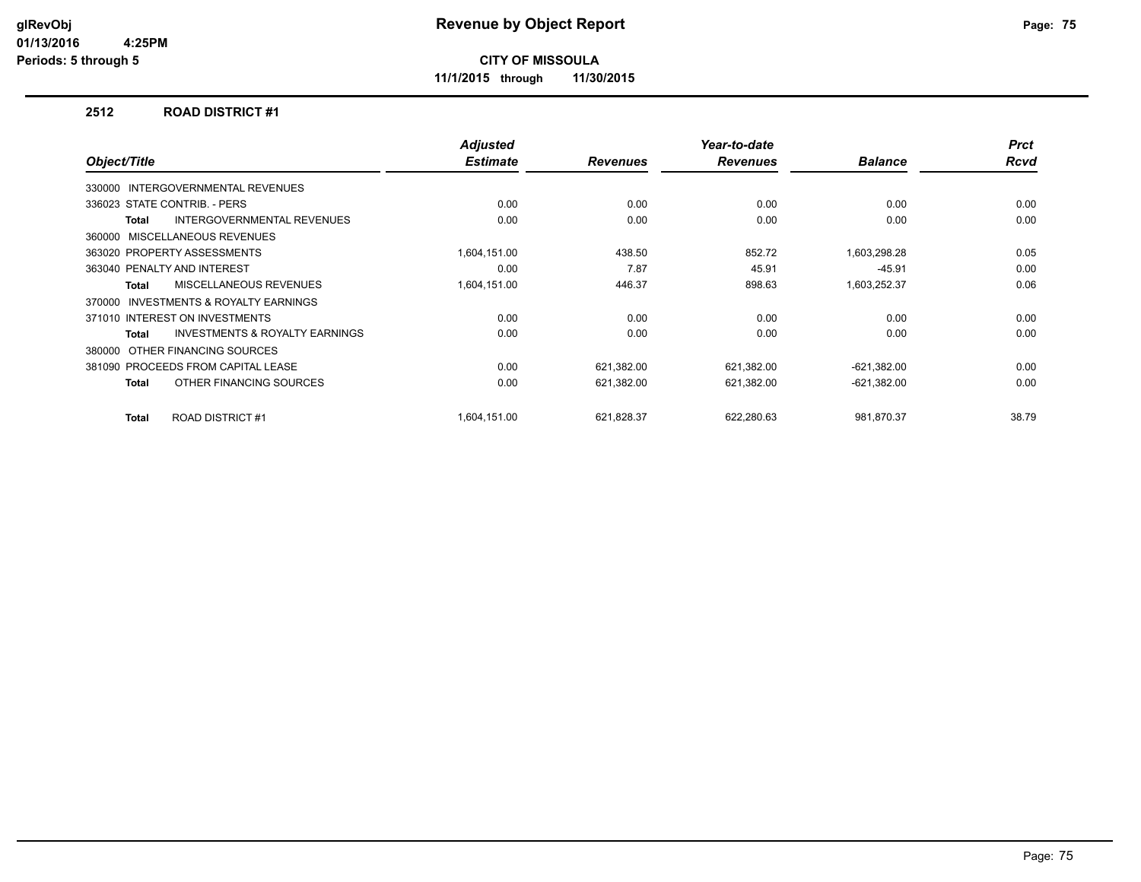**11/1/2015 through 11/30/2015**

#### **2512 ROAD DISTRICT #1**

|                                                    | <b>Adjusted</b> |                 | Year-to-date    |                | <b>Prct</b> |
|----------------------------------------------------|-----------------|-----------------|-----------------|----------------|-------------|
| Object/Title                                       | <b>Estimate</b> | <b>Revenues</b> | <b>Revenues</b> | <b>Balance</b> | <b>Rcvd</b> |
| 330000 INTERGOVERNMENTAL REVENUES                  |                 |                 |                 |                |             |
| 336023 STATE CONTRIB. - PERS                       | 0.00            | 0.00            | 0.00            | 0.00           | 0.00        |
| <b>INTERGOVERNMENTAL REVENUES</b><br>Total         | 0.00            | 0.00            | 0.00            | 0.00           | 0.00        |
| 360000 MISCELLANEOUS REVENUES                      |                 |                 |                 |                |             |
| 363020 PROPERTY ASSESSMENTS                        | 1,604,151.00    | 438.50          | 852.72          | 1,603,298.28   | 0.05        |
| 363040 PENALTY AND INTEREST                        | 0.00            | 7.87            | 45.91           | $-45.91$       | 0.00        |
| MISCELLANEOUS REVENUES<br>Total                    | 1,604,151.00    | 446.37          | 898.63          | 1,603,252.37   | 0.06        |
| 370000 INVESTMENTS & ROYALTY EARNINGS              |                 |                 |                 |                |             |
| 371010 INTEREST ON INVESTMENTS                     | 0.00            | 0.00            | 0.00            | 0.00           | 0.00        |
| <b>INVESTMENTS &amp; ROYALTY EARNINGS</b><br>Total | 0.00            | 0.00            | 0.00            | 0.00           | 0.00        |
| 380000 OTHER FINANCING SOURCES                     |                 |                 |                 |                |             |
| 381090 PROCEEDS FROM CAPITAL LEASE                 | 0.00            | 621,382.00      | 621,382.00      | $-621,382.00$  | 0.00        |
| OTHER FINANCING SOURCES<br>Total                   | 0.00            | 621,382.00      | 621,382.00      | $-621,382.00$  | 0.00        |
|                                                    |                 |                 |                 |                |             |
| <b>ROAD DISTRICT #1</b><br>Total                   | 1,604,151.00    | 621,828.37      | 622,280.63      | 981,870.37     | 38.79       |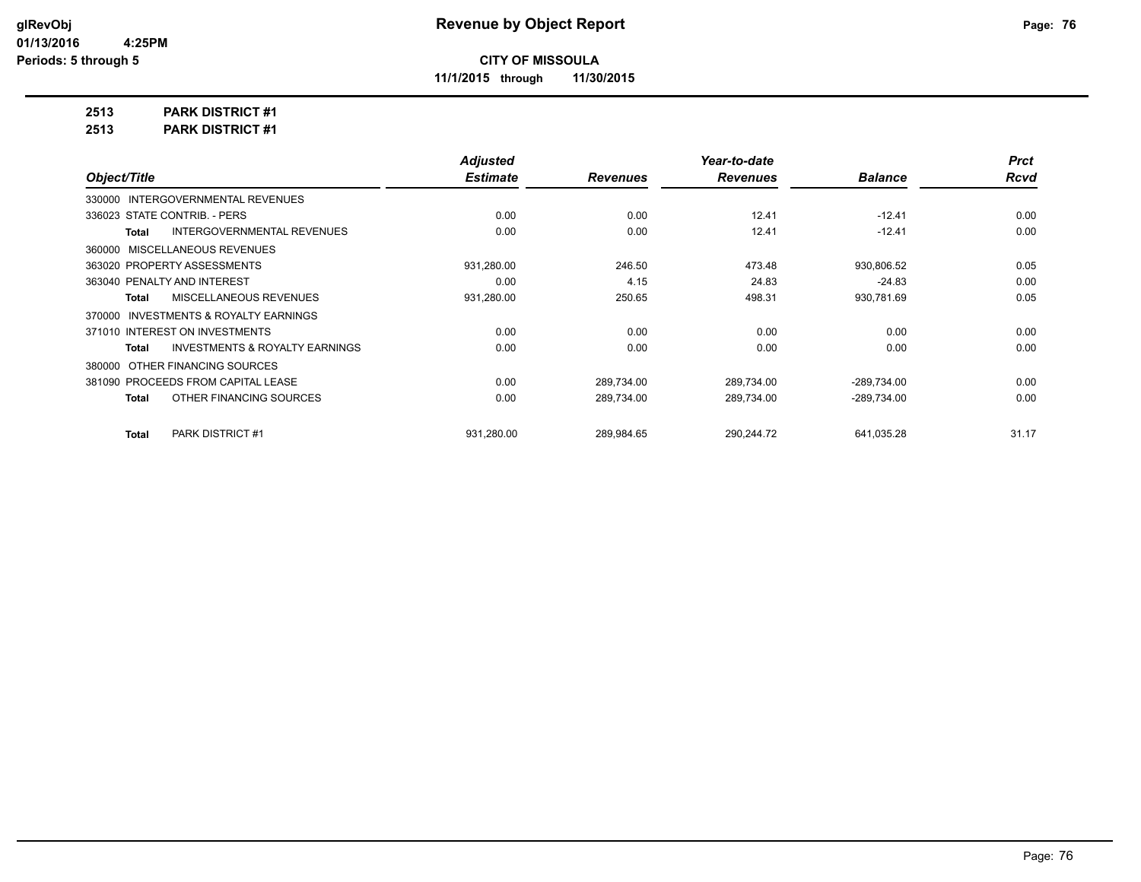**11/1/2015 through 11/30/2015**

**2513 PARK DISTRICT #1**

**2513 PARK DISTRICT #1**

|                                                           | <b>Adjusted</b> |                 | Year-to-date    |                | <b>Prct</b> |
|-----------------------------------------------------------|-----------------|-----------------|-----------------|----------------|-------------|
| Object/Title                                              | <b>Estimate</b> | <b>Revenues</b> | <b>Revenues</b> | <b>Balance</b> | <b>Rcvd</b> |
| 330000 INTERGOVERNMENTAL REVENUES                         |                 |                 |                 |                |             |
| 336023 STATE CONTRIB. - PERS                              | 0.00            | 0.00            | 12.41           | $-12.41$       | 0.00        |
| <b>INTERGOVERNMENTAL REVENUES</b><br><b>Total</b>         | 0.00            | 0.00            | 12.41           | $-12.41$       | 0.00        |
| 360000 MISCELLANEOUS REVENUES                             |                 |                 |                 |                |             |
| 363020 PROPERTY ASSESSMENTS                               | 931,280.00      | 246.50          | 473.48          | 930,806.52     | 0.05        |
| 363040 PENALTY AND INTEREST                               | 0.00            | 4.15            | 24.83           | $-24.83$       | 0.00        |
| MISCELLANEOUS REVENUES<br><b>Total</b>                    | 931,280.00      | 250.65          | 498.31          | 930,781.69     | 0.05        |
| INVESTMENTS & ROYALTY EARNINGS<br>370000                  |                 |                 |                 |                |             |
| 371010 INTEREST ON INVESTMENTS                            | 0.00            | 0.00            | 0.00            | 0.00           | 0.00        |
| <b>INVESTMENTS &amp; ROYALTY EARNINGS</b><br><b>Total</b> | 0.00            | 0.00            | 0.00            | 0.00           | 0.00        |
| OTHER FINANCING SOURCES<br>380000                         |                 |                 |                 |                |             |
| 381090 PROCEEDS FROM CAPITAL LEASE                        | 0.00            | 289,734.00      | 289,734.00      | $-289,734.00$  | 0.00        |
| OTHER FINANCING SOURCES<br><b>Total</b>                   | 0.00            | 289,734.00      | 289,734.00      | $-289,734.00$  | 0.00        |
| <b>PARK DISTRICT #1</b><br><b>Total</b>                   | 931,280.00      | 289,984.65      | 290,244.72      | 641,035.28     | 31.17       |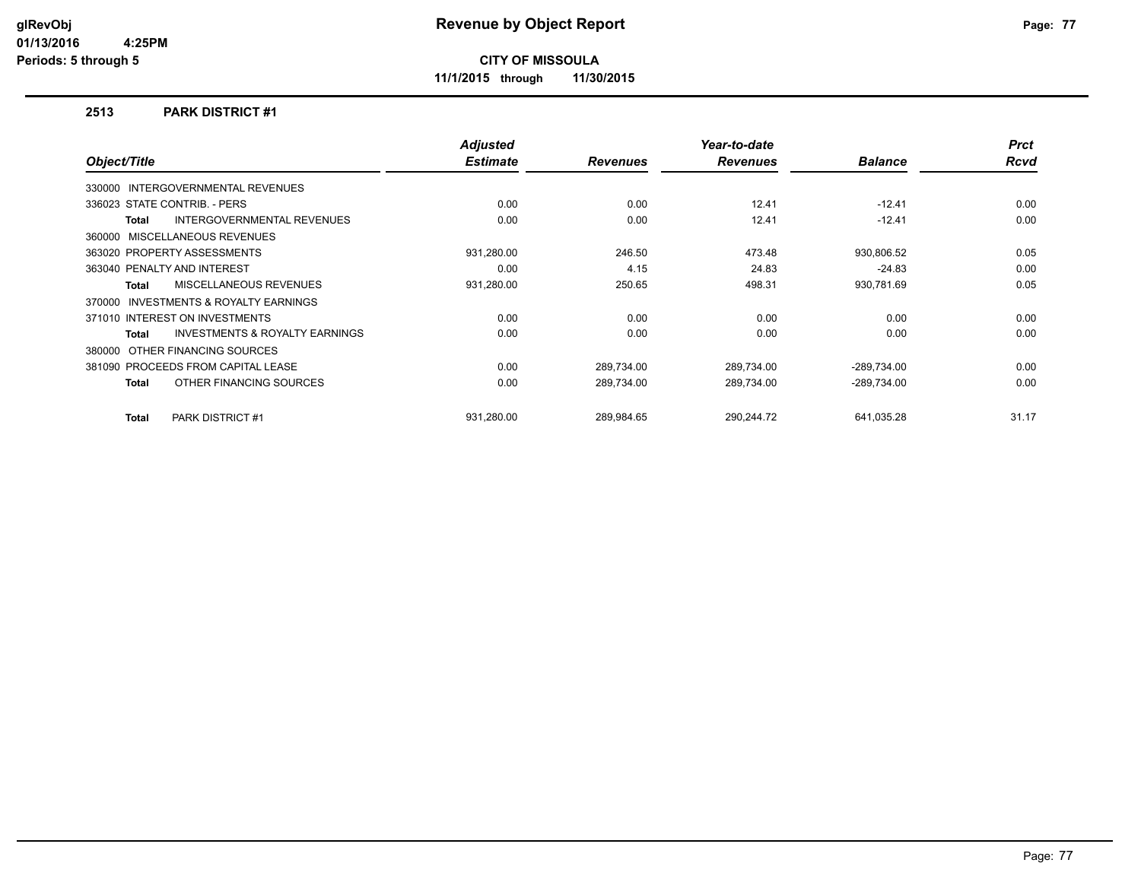**11/1/2015 through 11/30/2015**

#### **2513 PARK DISTRICT #1**

|              |                                           | <b>Adjusted</b> |                 | Year-to-date    |                | <b>Prct</b> |
|--------------|-------------------------------------------|-----------------|-----------------|-----------------|----------------|-------------|
| Object/Title |                                           | <b>Estimate</b> | <b>Revenues</b> | <b>Revenues</b> | <b>Balance</b> | <b>Rcvd</b> |
|              | 330000 INTERGOVERNMENTAL REVENUES         |                 |                 |                 |                |             |
|              | 336023 STATE CONTRIB. - PERS              | 0.00            | 0.00            | 12.41           | $-12.41$       | 0.00        |
| Total        | <b>INTERGOVERNMENTAL REVENUES</b>         | 0.00            | 0.00            | 12.41           | $-12.41$       | 0.00        |
|              | 360000 MISCELLANEOUS REVENUES             |                 |                 |                 |                |             |
|              | 363020 PROPERTY ASSESSMENTS               | 931,280.00      | 246.50          | 473.48          | 930,806.52     | 0.05        |
|              | 363040 PENALTY AND INTEREST               | 0.00            | 4.15            | 24.83           | $-24.83$       | 0.00        |
| <b>Total</b> | <b>MISCELLANEOUS REVENUES</b>             | 931,280.00      | 250.65          | 498.31          | 930,781.69     | 0.05        |
|              | 370000 INVESTMENTS & ROYALTY EARNINGS     |                 |                 |                 |                |             |
|              | 371010 INTEREST ON INVESTMENTS            | 0.00            | 0.00            | 0.00            | 0.00           | 0.00        |
| Total        | <b>INVESTMENTS &amp; ROYALTY EARNINGS</b> | 0.00            | 0.00            | 0.00            | 0.00           | 0.00        |
|              | 380000 OTHER FINANCING SOURCES            |                 |                 |                 |                |             |
|              | 381090 PROCEEDS FROM CAPITAL LEASE        | 0.00            | 289,734.00      | 289,734.00      | $-289,734.00$  | 0.00        |
| <b>Total</b> | OTHER FINANCING SOURCES                   | 0.00            | 289,734.00      | 289,734.00      | $-289,734.00$  | 0.00        |
| Total        | PARK DISTRICT #1                          | 931.280.00      | 289.984.65      | 290.244.72      | 641,035.28     | 31.17       |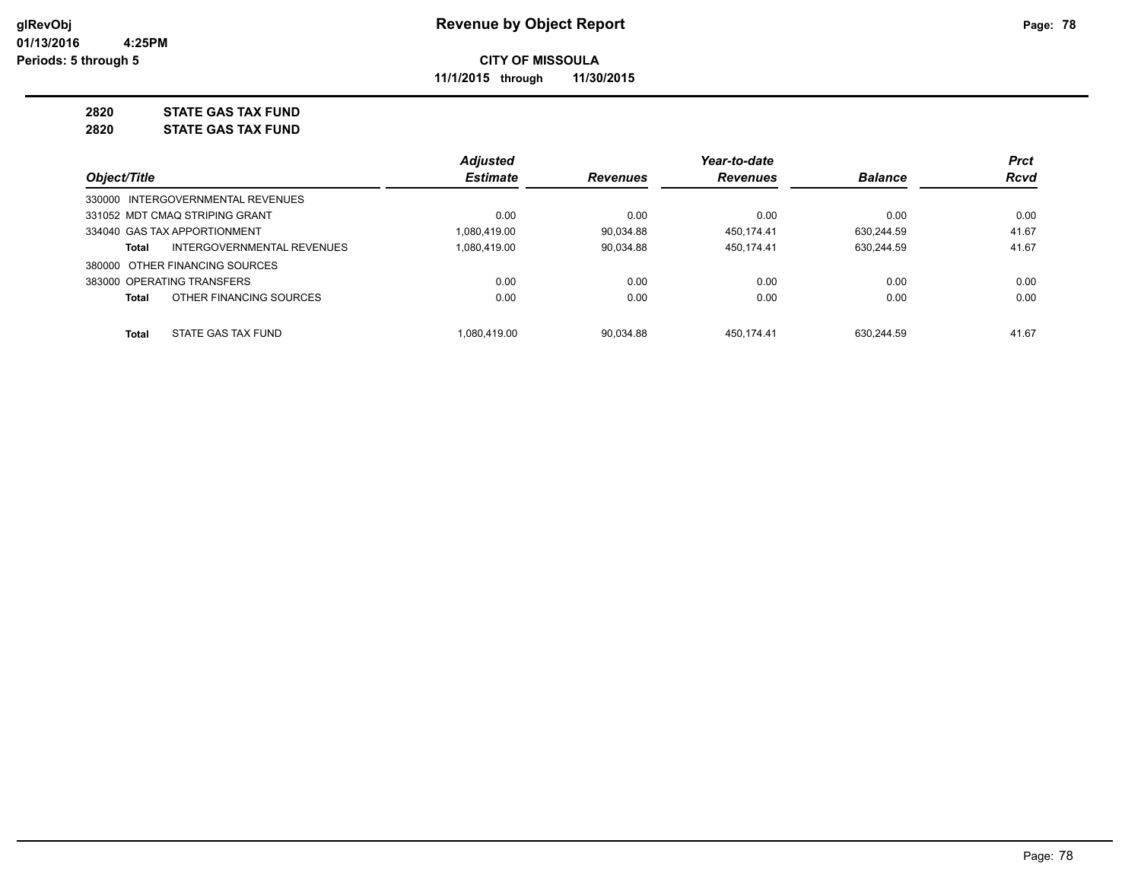**11/1/2015 through 11/30/2015**

# **2820 STATE GAS TAX FUND**

**2820 STATE GAS TAX FUND**

|                                         | <b>Adjusted</b> |                 | Year-to-date    |                | <b>Prct</b> |
|-----------------------------------------|-----------------|-----------------|-----------------|----------------|-------------|
| Object/Title                            | <b>Estimate</b> | <b>Revenues</b> | <b>Revenues</b> | <b>Balance</b> | <b>Rcvd</b> |
| 330000 INTERGOVERNMENTAL REVENUES       |                 |                 |                 |                |             |
| 331052 MDT CMAQ STRIPING GRANT          | 0.00            | 0.00            | 0.00            | 0.00           | 0.00        |
| 334040 GAS TAX APPORTIONMENT            | 1.080.419.00    | 90.034.88       | 450.174.41      | 630.244.59     | 41.67       |
| INTERGOVERNMENTAL REVENUES<br>Total     | 1.080.419.00    | 90.034.88       | 450.174.41      | 630.244.59     | 41.67       |
| 380000 OTHER FINANCING SOURCES          |                 |                 |                 |                |             |
| 383000 OPERATING TRANSFERS              | 0.00            | 0.00            | 0.00            | 0.00           | 0.00        |
| OTHER FINANCING SOURCES<br><b>Total</b> | 0.00            | 0.00            | 0.00            | 0.00           | 0.00        |
| STATE GAS TAX FUND<br>Total             | 1.080.419.00    | 90.034.88       | 450.174.41      | 630.244.59     | 41.67       |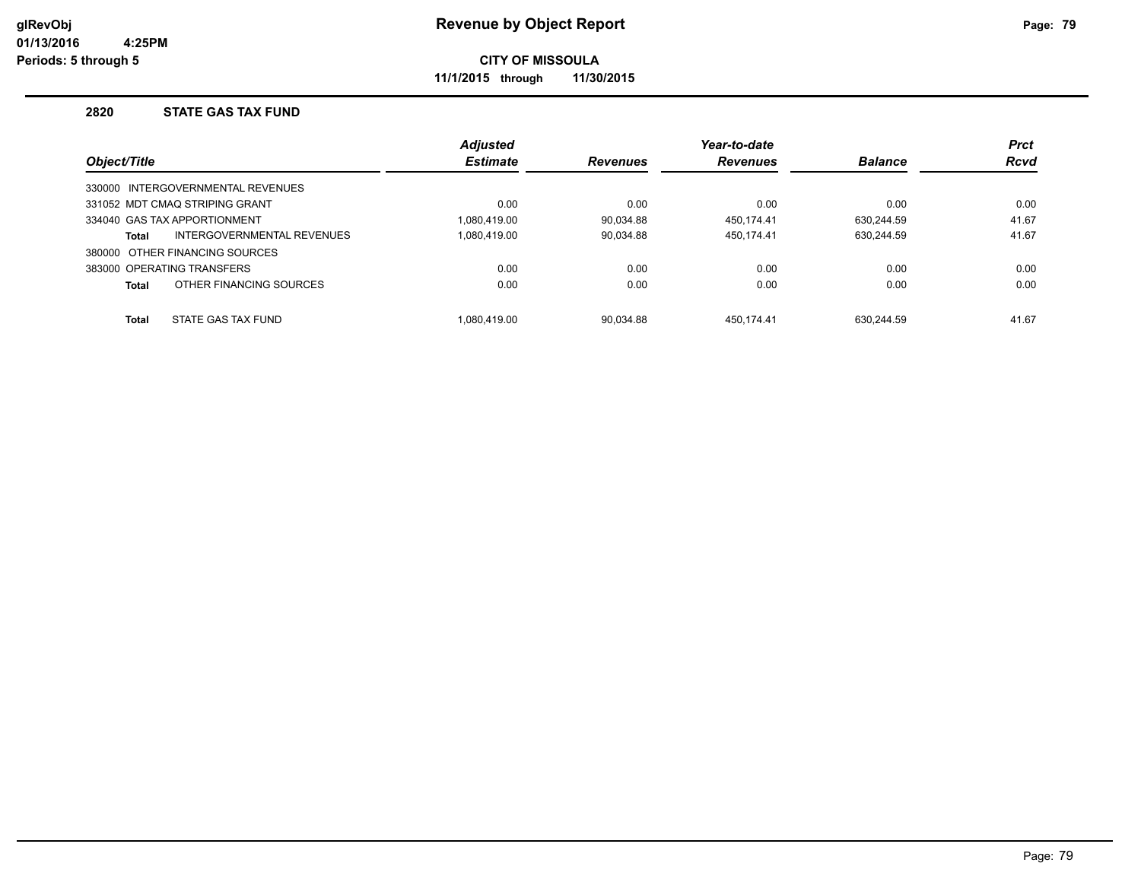**11/1/2015 through 11/30/2015**

#### **2820 STATE GAS TAX FUND**

|              |                                   | <b>Adjusted</b> |                 | Year-to-date    |                | <b>Prct</b> |
|--------------|-----------------------------------|-----------------|-----------------|-----------------|----------------|-------------|
| Object/Title |                                   | <b>Estimate</b> | <b>Revenues</b> | <b>Revenues</b> | <b>Balance</b> | <b>Rcvd</b> |
|              | 330000 INTERGOVERNMENTAL REVENUES |                 |                 |                 |                |             |
|              | 331052 MDT CMAQ STRIPING GRANT    | 0.00            | 0.00            | 0.00            | 0.00           | 0.00        |
|              | 334040 GAS TAX APPORTIONMENT      | 1.080.419.00    | 90.034.88       | 450.174.41      | 630.244.59     | 41.67       |
| <b>Total</b> | INTERGOVERNMENTAL REVENUES        | 1.080.419.00    | 90.034.88       | 450.174.41      | 630.244.59     | 41.67       |
|              | 380000 OTHER FINANCING SOURCES    |                 |                 |                 |                |             |
|              | 383000 OPERATING TRANSFERS        | 0.00            | 0.00            | 0.00            | 0.00           | 0.00        |
| Total        | OTHER FINANCING SOURCES           | 0.00            | 0.00            | 0.00            | 0.00           | 0.00        |
| <b>Total</b> | STATE GAS TAX FUND                | 1.080.419.00    | 90.034.88       | 450.174.41      | 630.244.59     | 41.67       |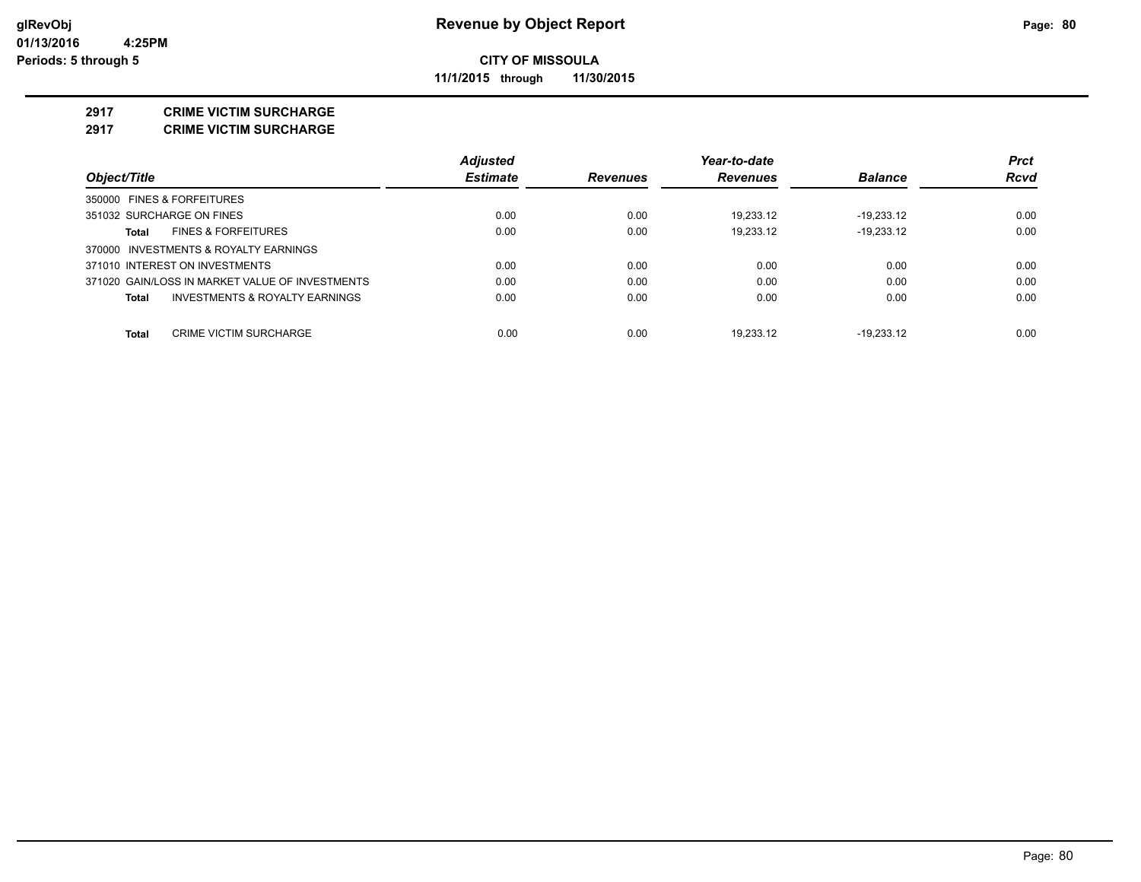**11/1/2015 through 11/30/2015**

#### **2917 CRIME VICTIM SURCHARGE**

**2917 CRIME VICTIM SURCHARGE**

|                                                 | <b>Adjusted</b> |                 | Year-to-date    |                | <b>Prct</b> |
|-------------------------------------------------|-----------------|-----------------|-----------------|----------------|-------------|
| Object/Title                                    | <b>Estimate</b> | <b>Revenues</b> | <b>Revenues</b> | <b>Balance</b> | <b>Rcvd</b> |
| 350000 FINES & FORFEITURES                      |                 |                 |                 |                |             |
| 351032 SURCHARGE ON FINES                       | 0.00            | 0.00            | 19.233.12       | $-19.233.12$   | 0.00        |
| <b>FINES &amp; FORFEITURES</b><br>Total         | 0.00            | 0.00            | 19.233.12       | $-19.233.12$   | 0.00        |
| 370000 INVESTMENTS & ROYALTY EARNINGS           |                 |                 |                 |                |             |
| 371010 INTEREST ON INVESTMENTS                  | 0.00            | 0.00            | 0.00            | 0.00           | 0.00        |
| 371020 GAIN/LOSS IN MARKET VALUE OF INVESTMENTS | 0.00            | 0.00            | 0.00            | 0.00           | 0.00        |
| INVESTMENTS & ROYALTY EARNINGS<br>Total         | 0.00            | 0.00            | 0.00            | 0.00           | 0.00        |
| Total<br><b>CRIME VICTIM SURCHARGE</b>          | 0.00            | 0.00            | 19.233.12       | $-19.233.12$   | 0.00        |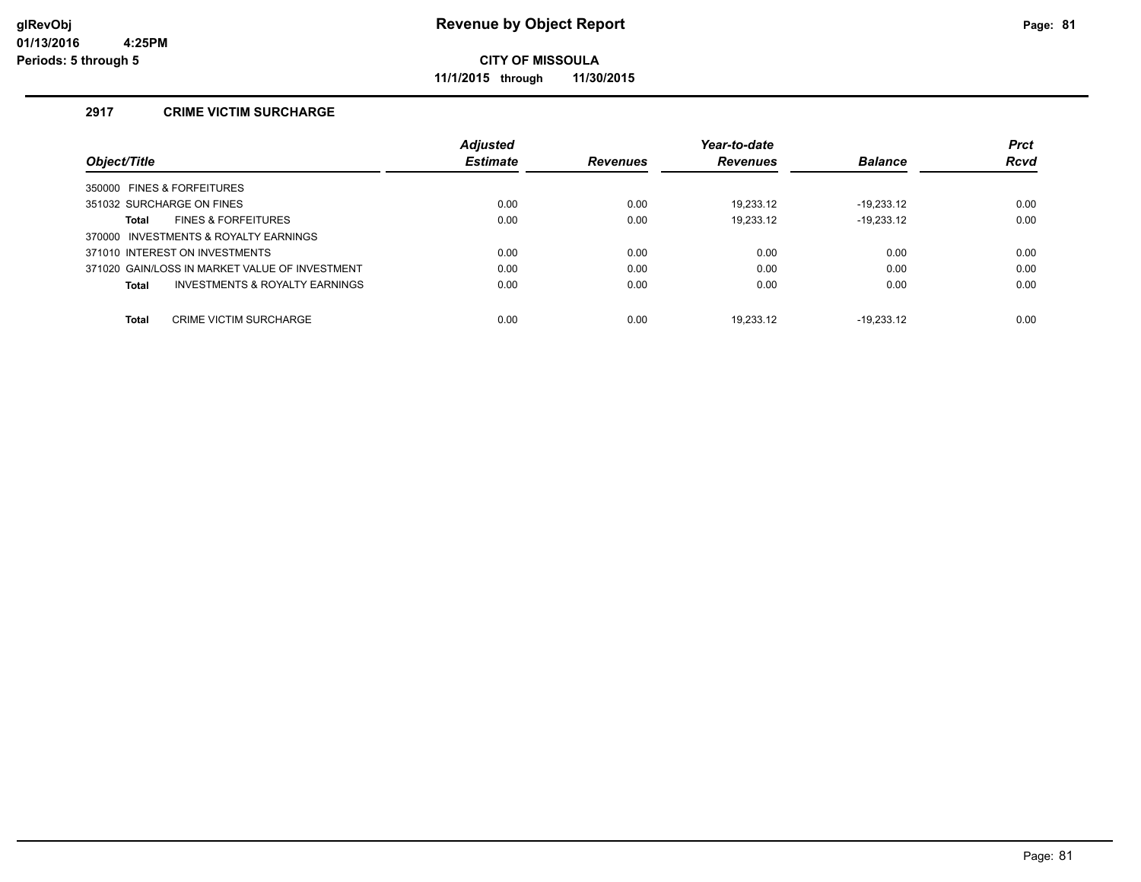**11/1/2015 through 11/30/2015**

## **2917 CRIME VICTIM SURCHARGE**

|                                                | <b>Adjusted</b> |                 | Year-to-date    |                | <b>Prct</b> |
|------------------------------------------------|-----------------|-----------------|-----------------|----------------|-------------|
| Object/Title                                   | <b>Estimate</b> | <b>Revenues</b> | <b>Revenues</b> | <b>Balance</b> | <b>Rcvd</b> |
| 350000 FINES & FORFEITURES                     |                 |                 |                 |                |             |
| 351032 SURCHARGE ON FINES                      | 0.00            | 0.00            | 19.233.12       | $-19.233.12$   | 0.00        |
| <b>FINES &amp; FORFEITURES</b><br><b>Total</b> | 0.00            | 0.00            | 19.233.12       | $-19,233.12$   | 0.00        |
| 370000 INVESTMENTS & ROYALTY EARNINGS          |                 |                 |                 |                |             |
| 371010 INTEREST ON INVESTMENTS                 | 0.00            | 0.00            | 0.00            | 0.00           | 0.00        |
| 371020 GAIN/LOSS IN MARKET VALUE OF INVESTMENT | 0.00            | 0.00            | 0.00            | 0.00           | 0.00        |
| INVESTMENTS & ROYALTY EARNINGS<br><b>Total</b> | 0.00            | 0.00            | 0.00            | 0.00           | 0.00        |
|                                                |                 |                 |                 |                |             |
| <b>CRIME VICTIM SURCHARGE</b><br><b>Total</b>  | 0.00            | 0.00            | 19.233.12       | $-19.233.12$   | 0.00        |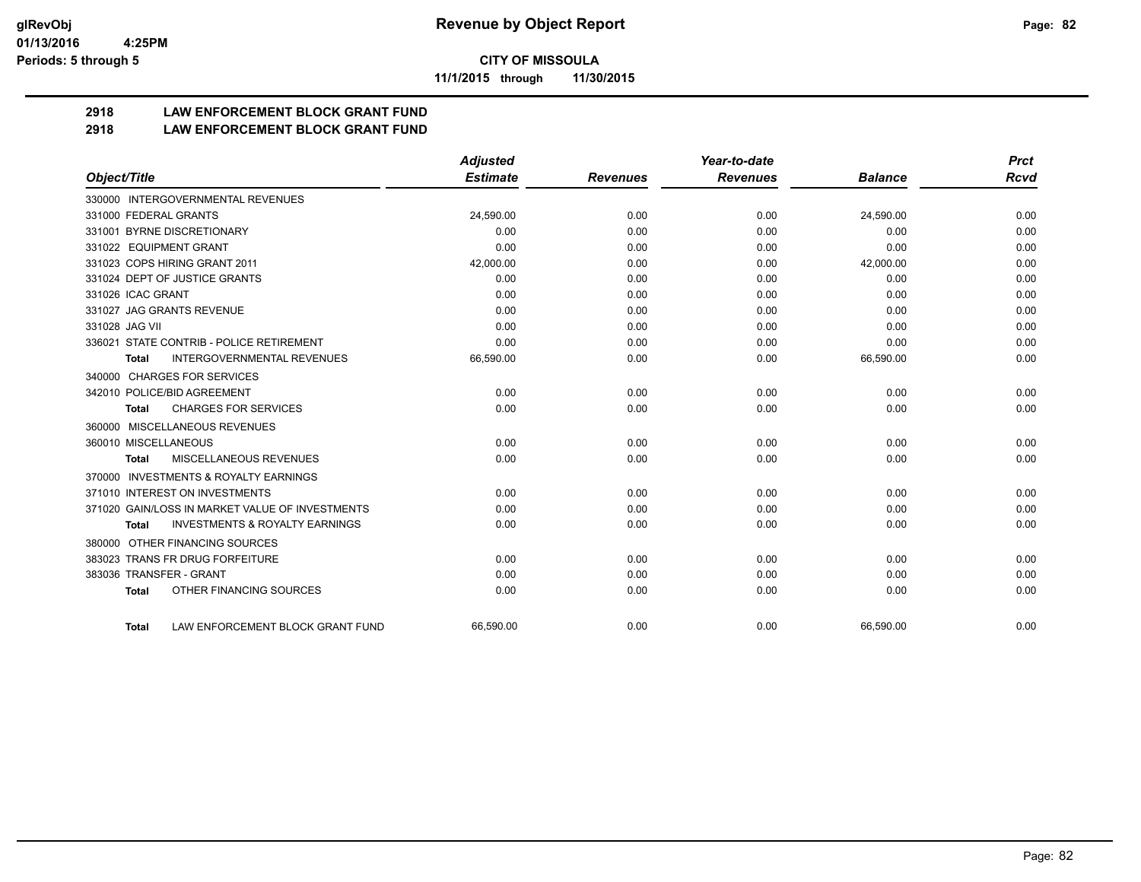**11/1/2015 through 11/30/2015**

# **2918 LAW ENFORCEMENT BLOCK GRANT FUND**

**2918 LAW ENFORCEMENT BLOCK GRANT FUND**

|                               |                                                 | <b>Adjusted</b> |                 | Year-to-date    |                | <b>Prct</b> |
|-------------------------------|-------------------------------------------------|-----------------|-----------------|-----------------|----------------|-------------|
| Object/Title                  |                                                 | <b>Estimate</b> | <b>Revenues</b> | <b>Revenues</b> | <b>Balance</b> | <b>Rcvd</b> |
|                               | 330000 INTERGOVERNMENTAL REVENUES               |                 |                 |                 |                |             |
| 331000 FEDERAL GRANTS         |                                                 | 24,590.00       | 0.00            | 0.00            | 24,590.00      | 0.00        |
| 331001 BYRNE DISCRETIONARY    |                                                 | 0.00            | 0.00            | 0.00            | 0.00           | 0.00        |
| 331022 EQUIPMENT GRANT        |                                                 | 0.00            | 0.00            | 0.00            | 0.00           | 0.00        |
| 331023 COPS HIRING GRANT 2011 |                                                 | 42,000.00       | 0.00            | 0.00            | 42,000.00      | 0.00        |
| 331024 DEPT OF JUSTICE GRANTS |                                                 | 0.00            | 0.00            | 0.00            | 0.00           | 0.00        |
| 331026 ICAC GRANT             |                                                 | 0.00            | 0.00            | 0.00            | 0.00           | 0.00        |
| 331027 JAG GRANTS REVENUE     |                                                 | 0.00            | 0.00            | 0.00            | 0.00           | 0.00        |
| 331028 JAG VII                |                                                 | 0.00            | 0.00            | 0.00            | 0.00           | 0.00        |
|                               | 336021 STATE CONTRIB - POLICE RETIREMENT        | 0.00            | 0.00            | 0.00            | 0.00           | 0.00        |
| Total                         | <b>INTERGOVERNMENTAL REVENUES</b>               | 66,590.00       | 0.00            | 0.00            | 66,590.00      | 0.00        |
| 340000                        | <b>CHARGES FOR SERVICES</b>                     |                 |                 |                 |                |             |
| 342010 POLICE/BID AGREEMENT   |                                                 | 0.00            | 0.00            | 0.00            | 0.00           | 0.00        |
| <b>Total</b>                  | <b>CHARGES FOR SERVICES</b>                     | 0.00            | 0.00            | 0.00            | 0.00           | 0.00        |
|                               | 360000 MISCELLANEOUS REVENUES                   |                 |                 |                 |                |             |
| 360010 MISCELLANEOUS          |                                                 | 0.00            | 0.00            | 0.00            | 0.00           | 0.00        |
| <b>Total</b>                  | <b>MISCELLANEOUS REVENUES</b>                   | 0.00            | 0.00            | 0.00            | 0.00           | 0.00        |
| 370000                        | <b>INVESTMENTS &amp; ROYALTY EARNINGS</b>       |                 |                 |                 |                |             |
|                               | 371010 INTEREST ON INVESTMENTS                  | 0.00            | 0.00            | 0.00            | 0.00           | 0.00        |
|                               | 371020 GAIN/LOSS IN MARKET VALUE OF INVESTMENTS | 0.00            | 0.00            | 0.00            | 0.00           | 0.00        |
| <b>Total</b>                  | <b>INVESTMENTS &amp; ROYALTY EARNINGS</b>       | 0.00            | 0.00            | 0.00            | 0.00           | 0.00        |
| 380000                        | OTHER FINANCING SOURCES                         |                 |                 |                 |                |             |
|                               | 383023 TRANS FR DRUG FORFEITURE                 | 0.00            | 0.00            | 0.00            | 0.00           | 0.00        |
| 383036 TRANSFER - GRANT       |                                                 | 0.00            | 0.00            | 0.00            | 0.00           | 0.00        |
| <b>Total</b>                  | OTHER FINANCING SOURCES                         | 0.00            | 0.00            | 0.00            | 0.00           | 0.00        |
| <b>Total</b>                  | LAW ENFORCEMENT BLOCK GRANT FUND                | 66,590.00       | 0.00            | 0.00            | 66,590.00      | 0.00        |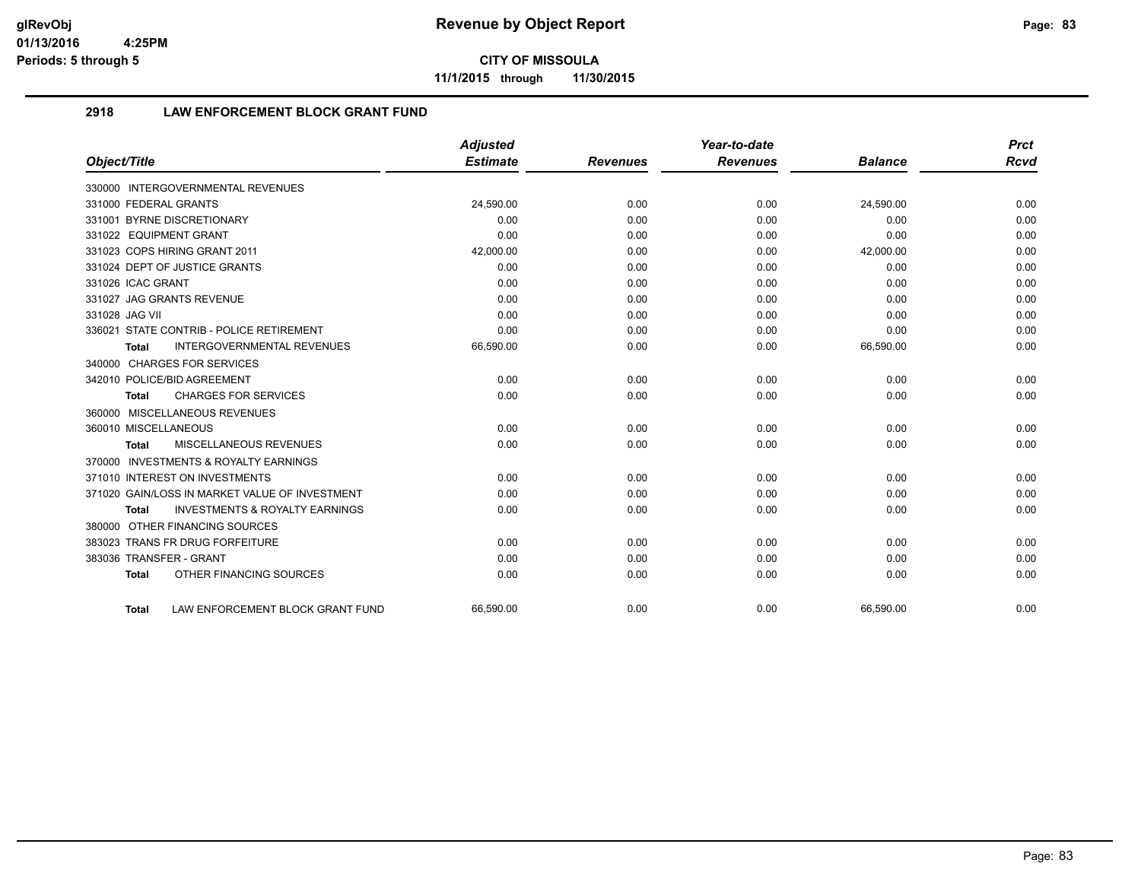**11/1/2015 through 11/30/2015**

## **2918 LAW ENFORCEMENT BLOCK GRANT FUND**

|                                                           | <b>Adjusted</b> |                 | Year-to-date    |                | <b>Prct</b> |
|-----------------------------------------------------------|-----------------|-----------------|-----------------|----------------|-------------|
| Object/Title                                              | <b>Estimate</b> | <b>Revenues</b> | <b>Revenues</b> | <b>Balance</b> | <b>Rcvd</b> |
| 330000 INTERGOVERNMENTAL REVENUES                         |                 |                 |                 |                |             |
| 331000 FEDERAL GRANTS                                     | 24,590.00       | 0.00            | 0.00            | 24.590.00      | 0.00        |
| 331001 BYRNE DISCRETIONARY                                | 0.00            | 0.00            | 0.00            | 0.00           | 0.00        |
| 331022 EQUIPMENT GRANT                                    | 0.00            | 0.00            | 0.00            | 0.00           | 0.00        |
| 331023 COPS HIRING GRANT 2011                             | 42,000.00       | 0.00            | 0.00            | 42,000.00      | 0.00        |
| 331024 DEPT OF JUSTICE GRANTS                             | 0.00            | 0.00            | 0.00            | 0.00           | 0.00        |
| 331026 ICAC GRANT                                         | 0.00            | 0.00            | 0.00            | 0.00           | 0.00        |
| 331027 JAG GRANTS REVENUE                                 | 0.00            | 0.00            | 0.00            | 0.00           | 0.00        |
| 331028 JAG VII                                            | 0.00            | 0.00            | 0.00            | 0.00           | 0.00        |
| 336021 STATE CONTRIB - POLICE RETIREMENT                  | 0.00            | 0.00            | 0.00            | 0.00           | 0.00        |
| <b>INTERGOVERNMENTAL REVENUES</b><br><b>Total</b>         | 66,590.00       | 0.00            | 0.00            | 66,590.00      | 0.00        |
| 340000 CHARGES FOR SERVICES                               |                 |                 |                 |                |             |
| 342010 POLICE/BID AGREEMENT                               | 0.00            | 0.00            | 0.00            | 0.00           | 0.00        |
| <b>CHARGES FOR SERVICES</b><br><b>Total</b>               | 0.00            | 0.00            | 0.00            | 0.00           | 0.00        |
| 360000 MISCELLANEOUS REVENUES                             |                 |                 |                 |                |             |
| 360010 MISCELLANEOUS                                      | 0.00            | 0.00            | 0.00            | 0.00           | 0.00        |
| <b>MISCELLANEOUS REVENUES</b><br>Total                    | 0.00            | 0.00            | 0.00            | 0.00           | 0.00        |
| 370000 INVESTMENTS & ROYALTY EARNINGS                     |                 |                 |                 |                |             |
| 371010 INTEREST ON INVESTMENTS                            | 0.00            | 0.00            | 0.00            | 0.00           | 0.00        |
| 371020 GAIN/LOSS IN MARKET VALUE OF INVESTMENT            | 0.00            | 0.00            | 0.00            | 0.00           | 0.00        |
| <b>INVESTMENTS &amp; ROYALTY EARNINGS</b><br><b>Total</b> | 0.00            | 0.00            | 0.00            | 0.00           | 0.00        |
| 380000 OTHER FINANCING SOURCES                            |                 |                 |                 |                |             |
| 383023 TRANS FR DRUG FORFEITURE                           | 0.00            | 0.00            | 0.00            | 0.00           | 0.00        |
| 383036 TRANSFER - GRANT                                   | 0.00            | 0.00            | 0.00            | 0.00           | 0.00        |
| OTHER FINANCING SOURCES<br><b>Total</b>                   | 0.00            | 0.00            | 0.00            | 0.00           | 0.00        |
| LAW ENFORCEMENT BLOCK GRANT FUND<br><b>Total</b>          | 66,590.00       | 0.00            | 0.00            | 66,590.00      | 0.00        |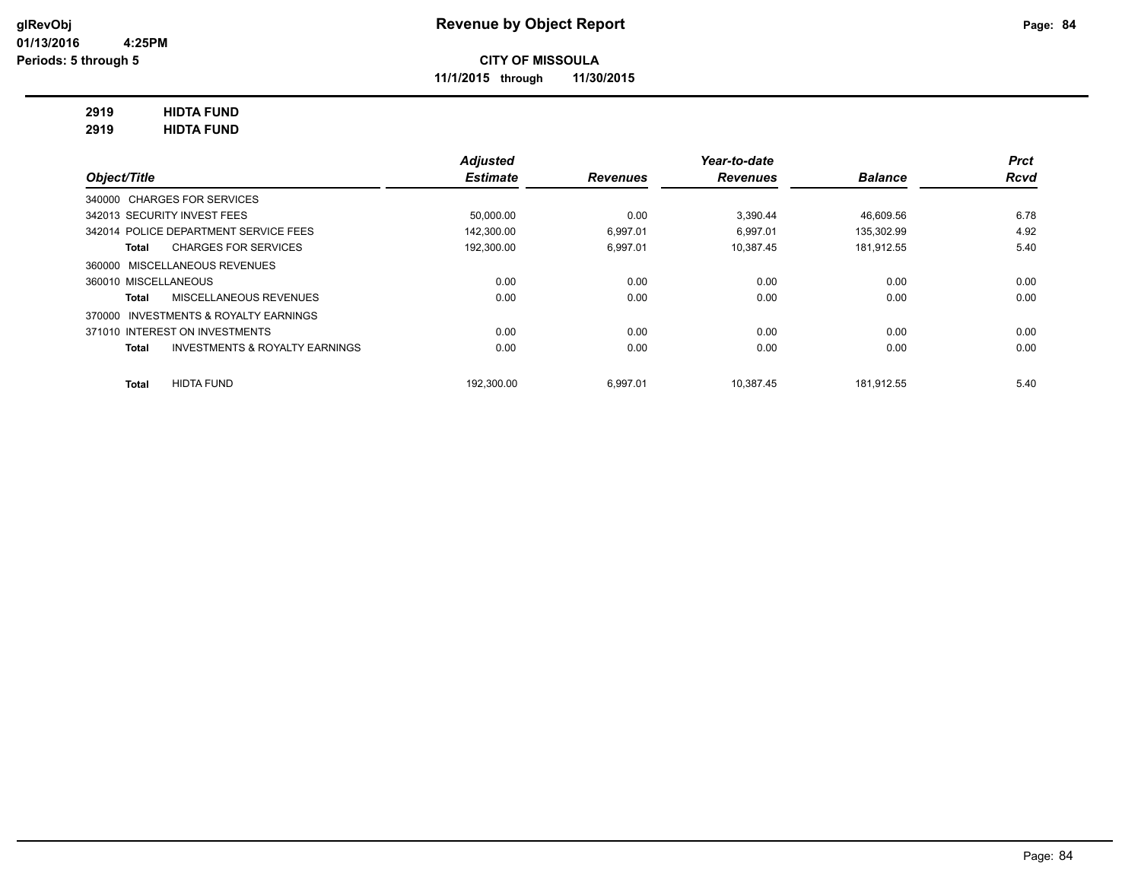**11/1/2015 through 11/30/2015**

## **2919 HIDTA FUND**

**2919 HIDTA FUND**

|                                                    | <b>Adjusted</b> |                 | Year-to-date    |                | <b>Prct</b> |
|----------------------------------------------------|-----------------|-----------------|-----------------|----------------|-------------|
| Object/Title                                       | <b>Estimate</b> | <b>Revenues</b> | <b>Revenues</b> | <b>Balance</b> | Rcvd        |
| 340000 CHARGES FOR SERVICES                        |                 |                 |                 |                |             |
| 342013 SECURITY INVEST FEES                        | 50,000.00       | 0.00            | 3.390.44        | 46,609.56      | 6.78        |
| 342014 POLICE DEPARTMENT SERVICE FEES              | 142.300.00      | 6.997.01        | 6.997.01        | 135.302.99     | 4.92        |
| <b>CHARGES FOR SERVICES</b><br>Total               | 192,300.00      | 6.997.01        | 10.387.45       | 181.912.55     | 5.40        |
| 360000 MISCELLANEOUS REVENUES                      |                 |                 |                 |                |             |
| 360010 MISCELLANEOUS                               | 0.00            | 0.00            | 0.00            | 0.00           | 0.00        |
| MISCELLANEOUS REVENUES<br>Total                    | 0.00            | 0.00            | 0.00            | 0.00           | 0.00        |
| INVESTMENTS & ROYALTY EARNINGS<br>370000           |                 |                 |                 |                |             |
| 371010 INTEREST ON INVESTMENTS                     | 0.00            | 0.00            | 0.00            | 0.00           | 0.00        |
| <b>INVESTMENTS &amp; ROYALTY EARNINGS</b><br>Total | 0.00            | 0.00            | 0.00            | 0.00           | 0.00        |
| <b>HIDTA FUND</b><br><b>Total</b>                  | 192.300.00      | 6.997.01        | 10.387.45       | 181.912.55     | 5.40        |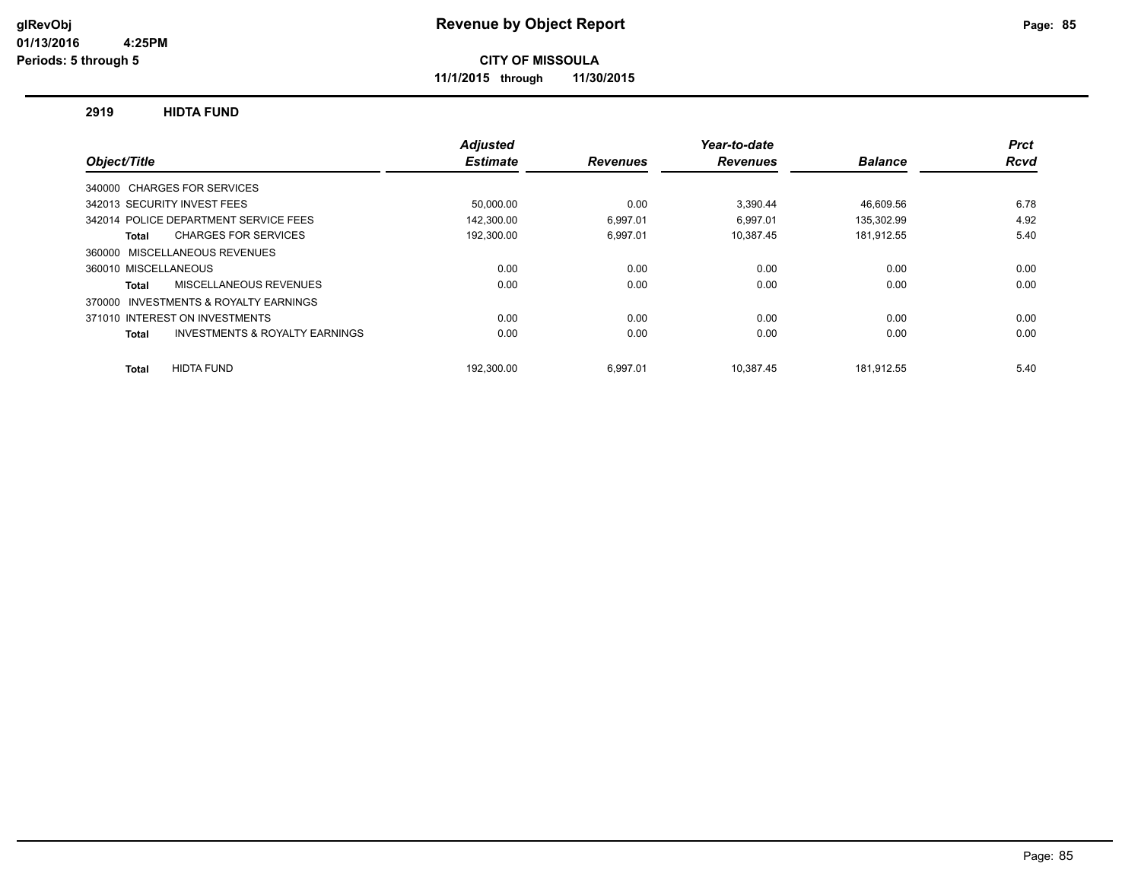**11/1/2015 through 11/30/2015**

#### **2919 HIDTA FUND**

|                                                           | <b>Adjusted</b> |                 | Year-to-date    |                | <b>Prct</b> |
|-----------------------------------------------------------|-----------------|-----------------|-----------------|----------------|-------------|
| Object/Title                                              | <b>Estimate</b> | <b>Revenues</b> | <b>Revenues</b> | <b>Balance</b> | Rcvd        |
| 340000 CHARGES FOR SERVICES                               |                 |                 |                 |                |             |
| 342013 SECURITY INVEST FEES                               | 50,000.00       | 0.00            | 3,390.44        | 46,609.56      | 6.78        |
| 342014 POLICE DEPARTMENT SERVICE FEES                     | 142,300.00      | 6.997.01        | 6.997.01        | 135.302.99     | 4.92        |
| <b>CHARGES FOR SERVICES</b><br>Total                      | 192,300.00      | 6,997.01        | 10,387.45       | 181,912.55     | 5.40        |
| MISCELLANEOUS REVENUES<br>360000                          |                 |                 |                 |                |             |
| 360010 MISCELLANEOUS                                      | 0.00            | 0.00            | 0.00            | 0.00           | 0.00        |
| MISCELLANEOUS REVENUES<br>Total                           | 0.00            | 0.00            | 0.00            | 0.00           | 0.00        |
| INVESTMENTS & ROYALTY EARNINGS<br>370000                  |                 |                 |                 |                |             |
| 371010 INTEREST ON INVESTMENTS                            | 0.00            | 0.00            | 0.00            | 0.00           | 0.00        |
| <b>INVESTMENTS &amp; ROYALTY EARNINGS</b><br><b>Total</b> | 0.00            | 0.00            | 0.00            | 0.00           | 0.00        |
| <b>HIDTA FUND</b><br>Total                                | 192.300.00      | 6.997.01        | 10.387.45       | 181.912.55     | 5.40        |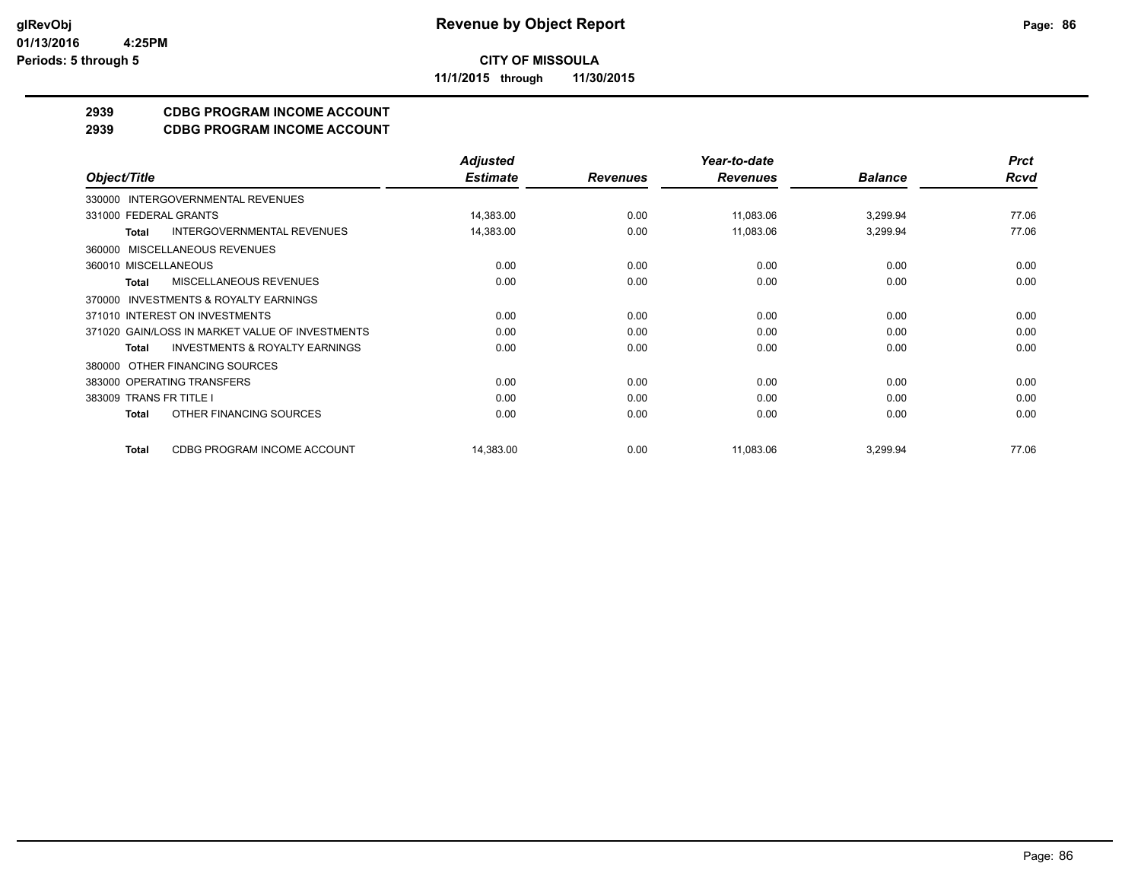**11/1/2015 through 11/30/2015**

# **2939 CDBG PROGRAM INCOME ACCOUNT**

**2939 CDBG PROGRAM INCOME ACCOUNT**

|                                                           | <b>Adjusted</b> |                 | Year-to-date    |                | <b>Prct</b> |
|-----------------------------------------------------------|-----------------|-----------------|-----------------|----------------|-------------|
| Object/Title                                              | <b>Estimate</b> | <b>Revenues</b> | <b>Revenues</b> | <b>Balance</b> | <b>Rcvd</b> |
| INTERGOVERNMENTAL REVENUES<br>330000                      |                 |                 |                 |                |             |
| 331000 FEDERAL GRANTS                                     | 14,383.00       | 0.00            | 11,083.06       | 3,299.94       | 77.06       |
| INTERGOVERNMENTAL REVENUES<br>Total                       | 14,383.00       | 0.00            | 11,083.06       | 3,299.94       | 77.06       |
| MISCELLANEOUS REVENUES<br>360000                          |                 |                 |                 |                |             |
| 360010 MISCELLANEOUS                                      | 0.00            | 0.00            | 0.00            | 0.00           | 0.00        |
| MISCELLANEOUS REVENUES<br><b>Total</b>                    | 0.00            | 0.00            | 0.00            | 0.00           | 0.00        |
| <b>INVESTMENTS &amp; ROYALTY EARNINGS</b><br>370000       |                 |                 |                 |                |             |
| 371010 INTEREST ON INVESTMENTS                            | 0.00            | 0.00            | 0.00            | 0.00           | 0.00        |
| 371020 GAIN/LOSS IN MARKET VALUE OF INVESTMENTS           | 0.00            | 0.00            | 0.00            | 0.00           | 0.00        |
| <b>INVESTMENTS &amp; ROYALTY EARNINGS</b><br><b>Total</b> | 0.00            | 0.00            | 0.00            | 0.00           | 0.00        |
| OTHER FINANCING SOURCES<br>380000                         |                 |                 |                 |                |             |
| 383000 OPERATING TRANSFERS                                | 0.00            | 0.00            | 0.00            | 0.00           | 0.00        |
| 383009 TRANS FR TITLE I                                   | 0.00            | 0.00            | 0.00            | 0.00           | 0.00        |
| OTHER FINANCING SOURCES<br><b>Total</b>                   | 0.00            | 0.00            | 0.00            | 0.00           | 0.00        |
| CDBG PROGRAM INCOME ACCOUNT<br><b>Total</b>               | 14,383.00       | 0.00            | 11,083.06       | 3,299.94       | 77.06       |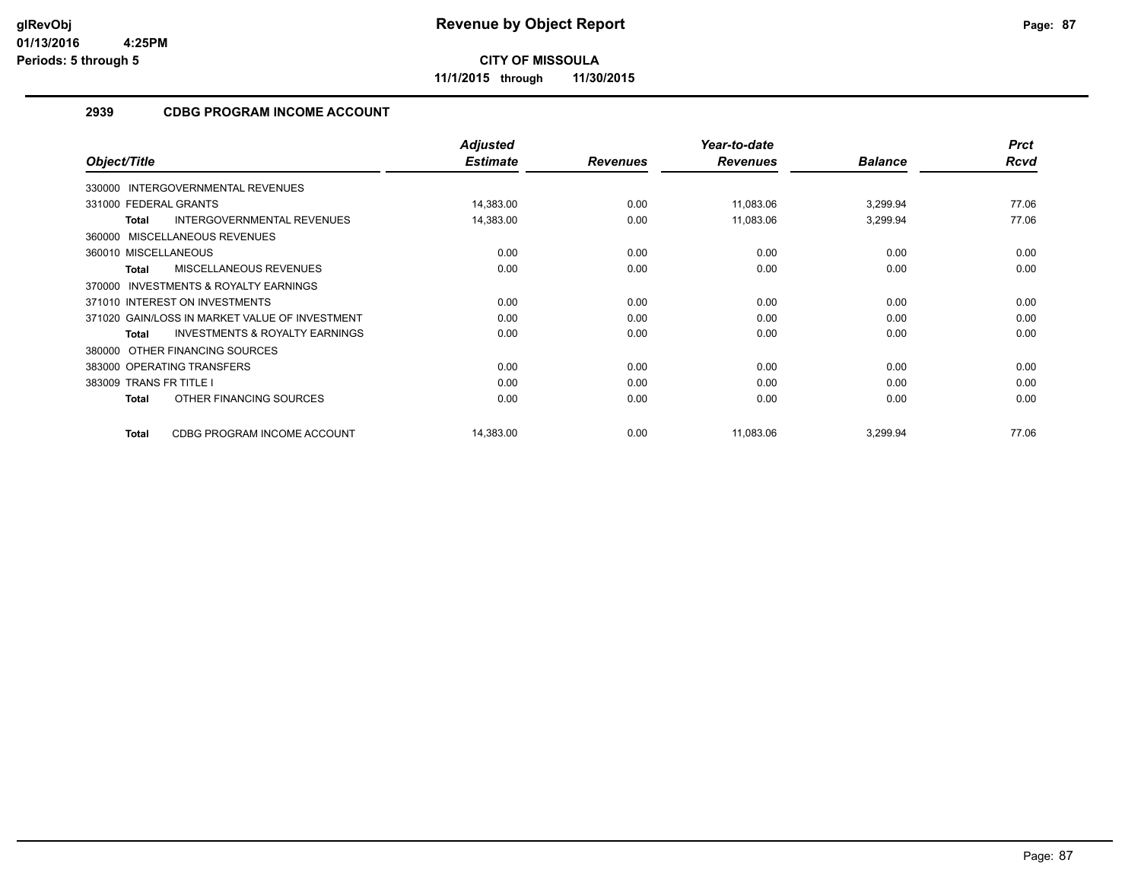**11/1/2015 through 11/30/2015**

# **2939 CDBG PROGRAM INCOME ACCOUNT**

|                                                           | <b>Adjusted</b> |                 | Year-to-date    |                | <b>Prct</b> |
|-----------------------------------------------------------|-----------------|-----------------|-----------------|----------------|-------------|
| Object/Title                                              | <b>Estimate</b> | <b>Revenues</b> | <b>Revenues</b> | <b>Balance</b> | Rcvd        |
| 330000 INTERGOVERNMENTAL REVENUES                         |                 |                 |                 |                |             |
| 331000 FEDERAL GRANTS                                     | 14,383.00       | 0.00            | 11,083.06       | 3,299.94       | 77.06       |
| <b>INTERGOVERNMENTAL REVENUES</b><br><b>Total</b>         | 14,383.00       | 0.00            | 11,083.06       | 3,299.94       | 77.06       |
| 360000 MISCELLANEOUS REVENUES                             |                 |                 |                 |                |             |
| 360010 MISCELLANEOUS                                      | 0.00            | 0.00            | 0.00            | 0.00           | 0.00        |
| MISCELLANEOUS REVENUES<br><b>Total</b>                    | 0.00            | 0.00            | 0.00            | 0.00           | 0.00        |
| 370000 INVESTMENTS & ROYALTY EARNINGS                     |                 |                 |                 |                |             |
| 371010 INTEREST ON INVESTMENTS                            | 0.00            | 0.00            | 0.00            | 0.00           | 0.00        |
| 371020 GAIN/LOSS IN MARKET VALUE OF INVESTMENT            | 0.00            | 0.00            | 0.00            | 0.00           | 0.00        |
| <b>INVESTMENTS &amp; ROYALTY EARNINGS</b><br><b>Total</b> | 0.00            | 0.00            | 0.00            | 0.00           | 0.00        |
| 380000 OTHER FINANCING SOURCES                            |                 |                 |                 |                |             |
| 383000 OPERATING TRANSFERS                                | 0.00            | 0.00            | 0.00            | 0.00           | 0.00        |
| 383009 TRANS FR TITLE I                                   | 0.00            | 0.00            | 0.00            | 0.00           | 0.00        |
| OTHER FINANCING SOURCES<br><b>Total</b>                   | 0.00            | 0.00            | 0.00            | 0.00           | 0.00        |
| CDBG PROGRAM INCOME ACCOUNT<br><b>Total</b>               | 14,383.00       | 0.00            | 11,083.06       | 3,299.94       | 77.06       |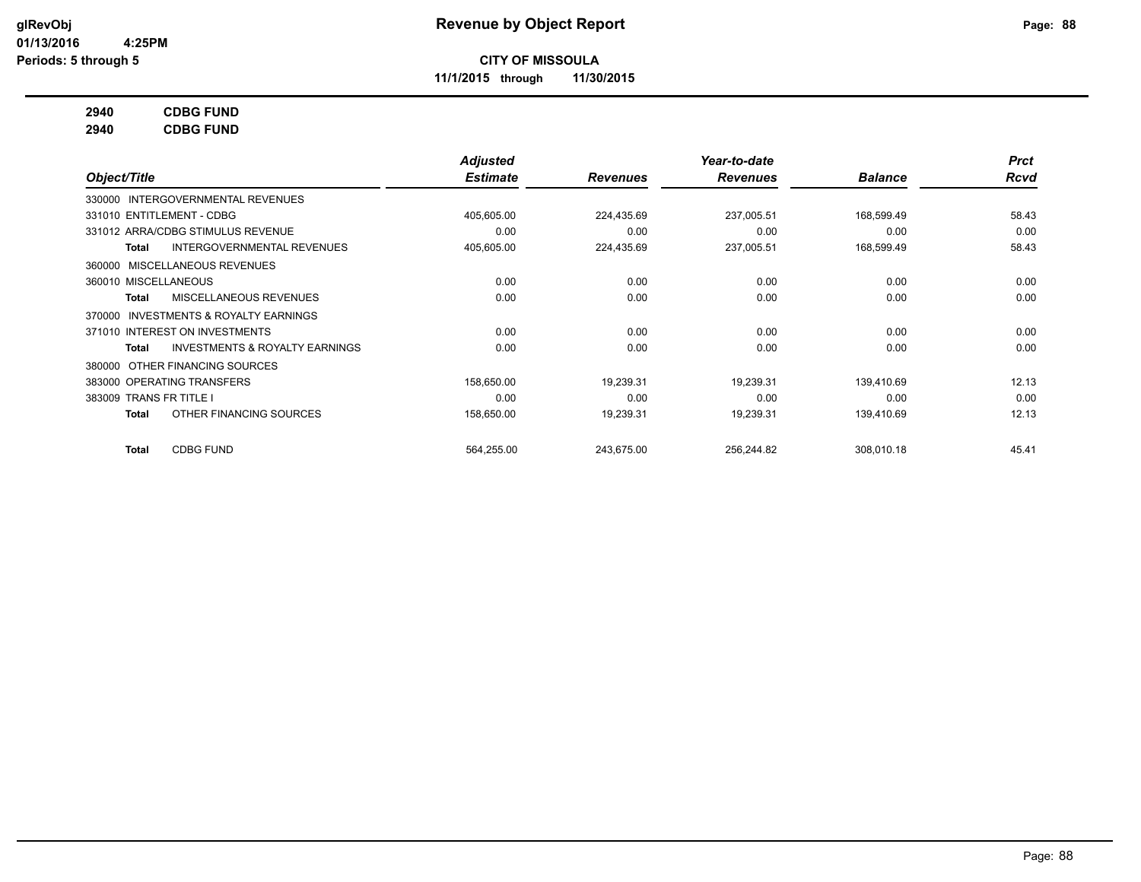**11/1/2015 through 11/30/2015**

## **2940 CDBG FUND**

**2940 CDBG FUND**

|                                                           | <b>Adjusted</b> |                 | Year-to-date    |                | <b>Prct</b> |
|-----------------------------------------------------------|-----------------|-----------------|-----------------|----------------|-------------|
| Object/Title                                              | <b>Estimate</b> | <b>Revenues</b> | <b>Revenues</b> | <b>Balance</b> | <b>Rcvd</b> |
| 330000 INTERGOVERNMENTAL REVENUES                         |                 |                 |                 |                |             |
| 331010 ENTITLEMENT - CDBG                                 | 405,605.00      | 224,435.69      | 237,005.51      | 168,599.49     | 58.43       |
| 331012 ARRA/CDBG STIMULUS REVENUE                         | 0.00            | 0.00            | 0.00            | 0.00           | 0.00        |
| <b>INTERGOVERNMENTAL REVENUES</b><br>Total                | 405,605.00      | 224,435.69      | 237,005.51      | 168,599.49     | 58.43       |
| MISCELLANEOUS REVENUES<br>360000                          |                 |                 |                 |                |             |
| 360010 MISCELLANEOUS                                      | 0.00            | 0.00            | 0.00            | 0.00           | 0.00        |
| MISCELLANEOUS REVENUES<br>Total                           | 0.00            | 0.00            | 0.00            | 0.00           | 0.00        |
| <b>INVESTMENTS &amp; ROYALTY EARNINGS</b><br>370000       |                 |                 |                 |                |             |
| 371010 INTEREST ON INVESTMENTS                            | 0.00            | 0.00            | 0.00            | 0.00           | 0.00        |
| <b>INVESTMENTS &amp; ROYALTY EARNINGS</b><br><b>Total</b> | 0.00            | 0.00            | 0.00            | 0.00           | 0.00        |
| OTHER FINANCING SOURCES<br>380000                         |                 |                 |                 |                |             |
| 383000 OPERATING TRANSFERS                                | 158,650.00      | 19,239.31       | 19.239.31       | 139.410.69     | 12.13       |
| 383009 TRANS FR TITLE I                                   | 0.00            | 0.00            | 0.00            | 0.00           | 0.00        |
| OTHER FINANCING SOURCES<br><b>Total</b>                   | 158,650.00      | 19,239.31       | 19,239.31       | 139,410.69     | 12.13       |
| <b>CDBG FUND</b><br><b>Total</b>                          | 564,255.00      | 243,675.00      | 256.244.82      | 308,010.18     | 45.41       |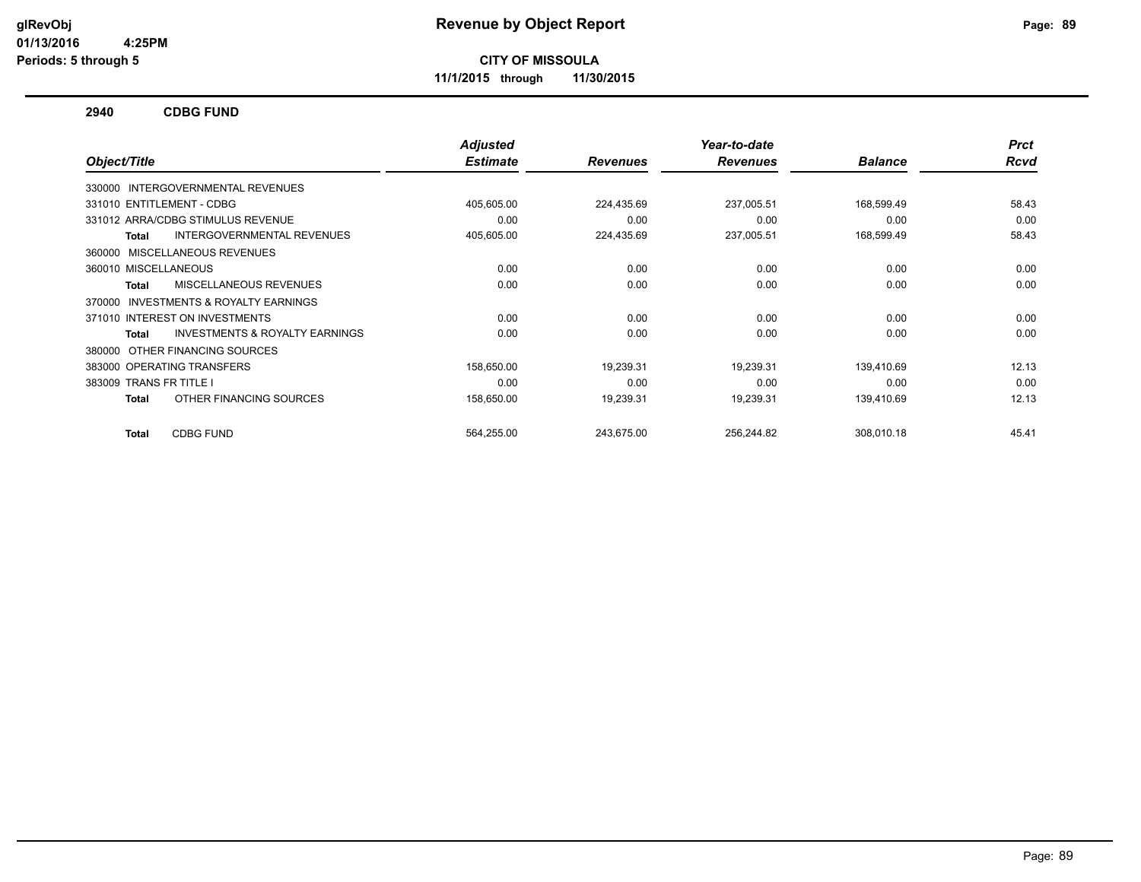**11/1/2015 through 11/30/2015**

#### **2940 CDBG FUND**

|                                                           | <b>Adjusted</b> |                 | Year-to-date    |                | <b>Prct</b> |
|-----------------------------------------------------------|-----------------|-----------------|-----------------|----------------|-------------|
| Object/Title                                              | <b>Estimate</b> | <b>Revenues</b> | <b>Revenues</b> | <b>Balance</b> | <b>Rcvd</b> |
| 330000 INTERGOVERNMENTAL REVENUES                         |                 |                 |                 |                |             |
| 331010 ENTITLEMENT - CDBG                                 | 405,605.00      | 224,435.69      | 237,005.51      | 168,599.49     | 58.43       |
| 331012 ARRA/CDBG STIMULUS REVENUE                         | 0.00            | 0.00            | 0.00            | 0.00           | 0.00        |
| INTERGOVERNMENTAL REVENUES<br><b>Total</b>                | 405,605.00      | 224,435.69      | 237,005.51      | 168,599.49     | 58.43       |
| MISCELLANEOUS REVENUES<br>360000                          |                 |                 |                 |                |             |
| 360010 MISCELLANEOUS                                      | 0.00            | 0.00            | 0.00            | 0.00           | 0.00        |
| MISCELLANEOUS REVENUES<br><b>Total</b>                    | 0.00            | 0.00            | 0.00            | 0.00           | 0.00        |
| <b>INVESTMENTS &amp; ROYALTY EARNINGS</b><br>370000       |                 |                 |                 |                |             |
| 371010 INTEREST ON INVESTMENTS                            | 0.00            | 0.00            | 0.00            | 0.00           | 0.00        |
| <b>INVESTMENTS &amp; ROYALTY EARNINGS</b><br><b>Total</b> | 0.00            | 0.00            | 0.00            | 0.00           | 0.00        |
| OTHER FINANCING SOURCES<br>380000                         |                 |                 |                 |                |             |
| 383000 OPERATING TRANSFERS                                | 158,650.00      | 19,239.31       | 19,239.31       | 139,410.69     | 12.13       |
| 383009 TRANS FR TITLE I                                   | 0.00            | 0.00            | 0.00            | 0.00           | 0.00        |
| OTHER FINANCING SOURCES<br><b>Total</b>                   | 158,650.00      | 19,239.31       | 19,239.31       | 139,410.69     | 12.13       |
| <b>CDBG FUND</b><br><b>Total</b>                          | 564,255.00      | 243.675.00      | 256.244.82      | 308,010.18     | 45.41       |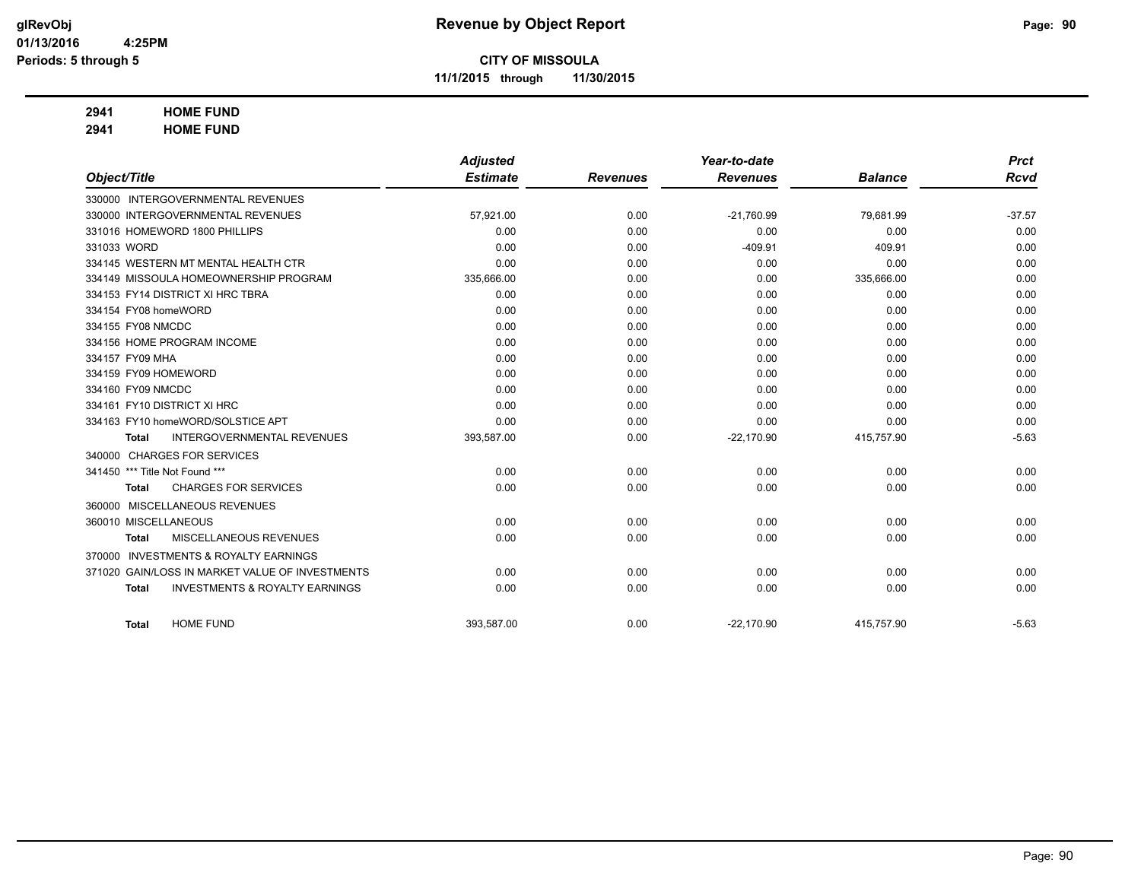**11/1/2015 through 11/30/2015**

## **2941 HOME FUND**

**2941 HOME FUND**

|                                |                                                 | <b>Adjusted</b> |                 | Year-to-date    |                | <b>Prct</b> |
|--------------------------------|-------------------------------------------------|-----------------|-----------------|-----------------|----------------|-------------|
| Object/Title                   |                                                 | <b>Estimate</b> | <b>Revenues</b> | <b>Revenues</b> | <b>Balance</b> | <b>Rcvd</b> |
|                                | 330000 INTERGOVERNMENTAL REVENUES               |                 |                 |                 |                |             |
|                                | 330000 INTERGOVERNMENTAL REVENUES               | 57,921.00       | 0.00            | $-21,760.99$    | 79,681.99      | $-37.57$    |
|                                | 331016 HOMEWORD 1800 PHILLIPS                   | 0.00            | 0.00            | 0.00            | 0.00           | 0.00        |
| 331033 WORD                    |                                                 | 0.00            | 0.00            | $-409.91$       | 409.91         | 0.00        |
|                                | 334145 WESTERN MT MENTAL HEALTH CTR             | 0.00            | 0.00            | 0.00            | 0.00           | 0.00        |
|                                | 334149 MISSOULA HOMEOWNERSHIP PROGRAM           | 335,666.00      | 0.00            | 0.00            | 335,666.00     | 0.00        |
|                                | 334153 FY14 DISTRICT XI HRC TBRA                | 0.00            | 0.00            | 0.00            | 0.00           | 0.00        |
| 334154 FY08 homeWORD           |                                                 | 0.00            | 0.00            | 0.00            | 0.00           | 0.00        |
| 334155 FY08 NMCDC              |                                                 | 0.00            | 0.00            | 0.00            | 0.00           | 0.00        |
|                                | 334156 HOME PROGRAM INCOME                      | 0.00            | 0.00            | 0.00            | 0.00           | 0.00        |
| 334157 FY09 MHA                |                                                 | 0.00            | 0.00            | 0.00            | 0.00           | 0.00        |
| 334159 FY09 HOMEWORD           |                                                 | 0.00            | 0.00            | 0.00            | 0.00           | 0.00        |
| 334160 FY09 NMCDC              |                                                 | 0.00            | 0.00            | 0.00            | 0.00           | 0.00        |
|                                | 334161 FY10 DISTRICT XI HRC                     | 0.00            | 0.00            | 0.00            | 0.00           | 0.00        |
|                                | 334163 FY10 homeWORD/SOLSTICE APT               | 0.00            | 0.00            | 0.00            | 0.00           | 0.00        |
| <b>Total</b>                   | <b>INTERGOVERNMENTAL REVENUES</b>               | 393,587.00      | 0.00            | $-22,170.90$    | 415,757.90     | $-5.63$     |
|                                | 340000 CHARGES FOR SERVICES                     |                 |                 |                 |                |             |
| 341450 *** Title Not Found *** |                                                 | 0.00            | 0.00            | 0.00            | 0.00           | 0.00        |
| <b>Total</b>                   | <b>CHARGES FOR SERVICES</b>                     | 0.00            | 0.00            | 0.00            | 0.00           | 0.00        |
|                                | 360000 MISCELLANEOUS REVENUES                   |                 |                 |                 |                |             |
| 360010 MISCELLANEOUS           |                                                 | 0.00            | 0.00            | 0.00            | 0.00           | 0.00        |
| <b>Total</b>                   | MISCELLANEOUS REVENUES                          | 0.00            | 0.00            | 0.00            | 0.00           | 0.00        |
| 370000                         | <b>INVESTMENTS &amp; ROYALTY EARNINGS</b>       |                 |                 |                 |                |             |
|                                | 371020 GAIN/LOSS IN MARKET VALUE OF INVESTMENTS | 0.00            | 0.00            | 0.00            | 0.00           | 0.00        |
| <b>Total</b>                   | <b>INVESTMENTS &amp; ROYALTY EARNINGS</b>       | 0.00            | 0.00            | 0.00            | 0.00           | 0.00        |
|                                |                                                 |                 |                 |                 |                |             |
| <b>Total</b>                   | <b>HOME FUND</b>                                | 393,587.00      | 0.00            | $-22,170.90$    | 415,757.90     | $-5.63$     |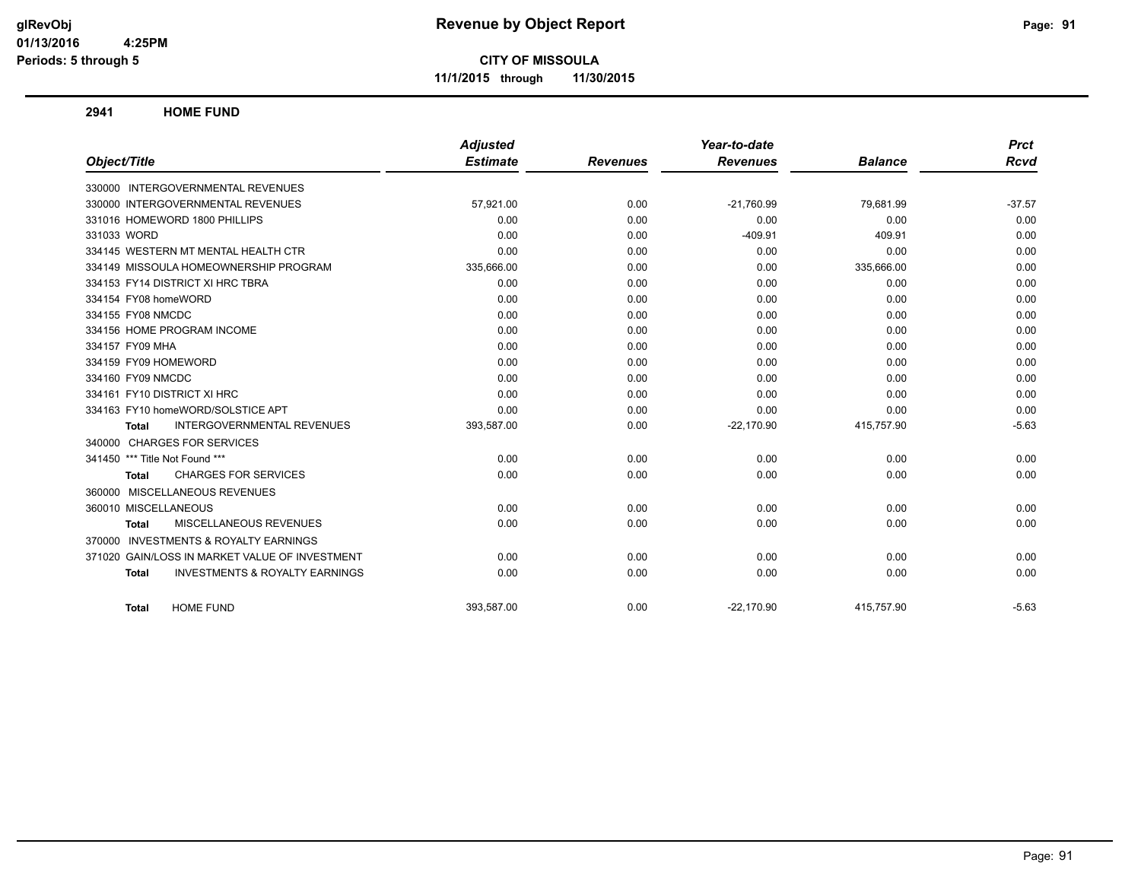**11/1/2015 through 11/30/2015**

**2941 HOME FUND**

|                                                           | <b>Adjusted</b> |                 | Year-to-date    |                | <b>Prct</b> |
|-----------------------------------------------------------|-----------------|-----------------|-----------------|----------------|-------------|
| Object/Title                                              | <b>Estimate</b> | <b>Revenues</b> | <b>Revenues</b> | <b>Balance</b> | <b>Rcvd</b> |
| 330000 INTERGOVERNMENTAL REVENUES                         |                 |                 |                 |                |             |
| 330000 INTERGOVERNMENTAL REVENUES                         | 57,921.00       | 0.00            | $-21,760.99$    | 79,681.99      | $-37.57$    |
| 331016 HOMEWORD 1800 PHILLIPS                             | 0.00            | 0.00            | 0.00            | 0.00           | 0.00        |
| 331033 WORD                                               | 0.00            | 0.00            | $-409.91$       | 409.91         | 0.00        |
| 334145 WESTERN MT MENTAL HEALTH CTR                       | 0.00            | 0.00            | 0.00            | 0.00           | 0.00        |
| 334149 MISSOULA HOMEOWNERSHIP PROGRAM                     | 335,666.00      | 0.00            | 0.00            | 335,666.00     | 0.00        |
| 334153 FY14 DISTRICT XI HRC TBRA                          | 0.00            | 0.00            | 0.00            | 0.00           | 0.00        |
| 334154 FY08 homeWORD                                      | 0.00            | 0.00            | 0.00            | 0.00           | 0.00        |
| 334155 FY08 NMCDC                                         | 0.00            | 0.00            | 0.00            | 0.00           | 0.00        |
| 334156 HOME PROGRAM INCOME                                | 0.00            | 0.00            | 0.00            | 0.00           | 0.00        |
| 334157 FY09 MHA                                           | 0.00            | 0.00            | 0.00            | 0.00           | 0.00        |
| 334159 FY09 HOMEWORD                                      | 0.00            | 0.00            | 0.00            | 0.00           | 0.00        |
| 334160 FY09 NMCDC                                         | 0.00            | 0.00            | 0.00            | 0.00           | 0.00        |
| 334161 FY10 DISTRICT XI HRC                               | 0.00            | 0.00            | 0.00            | 0.00           | 0.00        |
| 334163 FY10 homeWORD/SOLSTICE APT                         | 0.00            | 0.00            | 0.00            | 0.00           | 0.00        |
| INTERGOVERNMENTAL REVENUES<br><b>Total</b>                | 393,587.00      | 0.00            | $-22,170.90$    | 415,757.90     | $-5.63$     |
| 340000 CHARGES FOR SERVICES                               |                 |                 |                 |                |             |
| 341450 *** Title Not Found ***                            | 0.00            | 0.00            | 0.00            | 0.00           | 0.00        |
| <b>CHARGES FOR SERVICES</b><br>Total                      | 0.00            | 0.00            | 0.00            | 0.00           | 0.00        |
| 360000 MISCELLANEOUS REVENUES                             |                 |                 |                 |                |             |
| 360010 MISCELLANEOUS                                      | 0.00            | 0.00            | 0.00            | 0.00           | 0.00        |
| MISCELLANEOUS REVENUES<br><b>Total</b>                    | 0.00            | 0.00            | 0.00            | 0.00           | 0.00        |
| 370000 INVESTMENTS & ROYALTY EARNINGS                     |                 |                 |                 |                |             |
| 371020 GAIN/LOSS IN MARKET VALUE OF INVESTMENT            | 0.00            | 0.00            | 0.00            | 0.00           | 0.00        |
| <b>INVESTMENTS &amp; ROYALTY EARNINGS</b><br><b>Total</b> | 0.00            | 0.00            | 0.00            | 0.00           | 0.00        |
| <b>HOME FUND</b><br><b>Total</b>                          | 393.587.00      | 0.00            | $-22,170.90$    | 415,757.90     | $-5.63$     |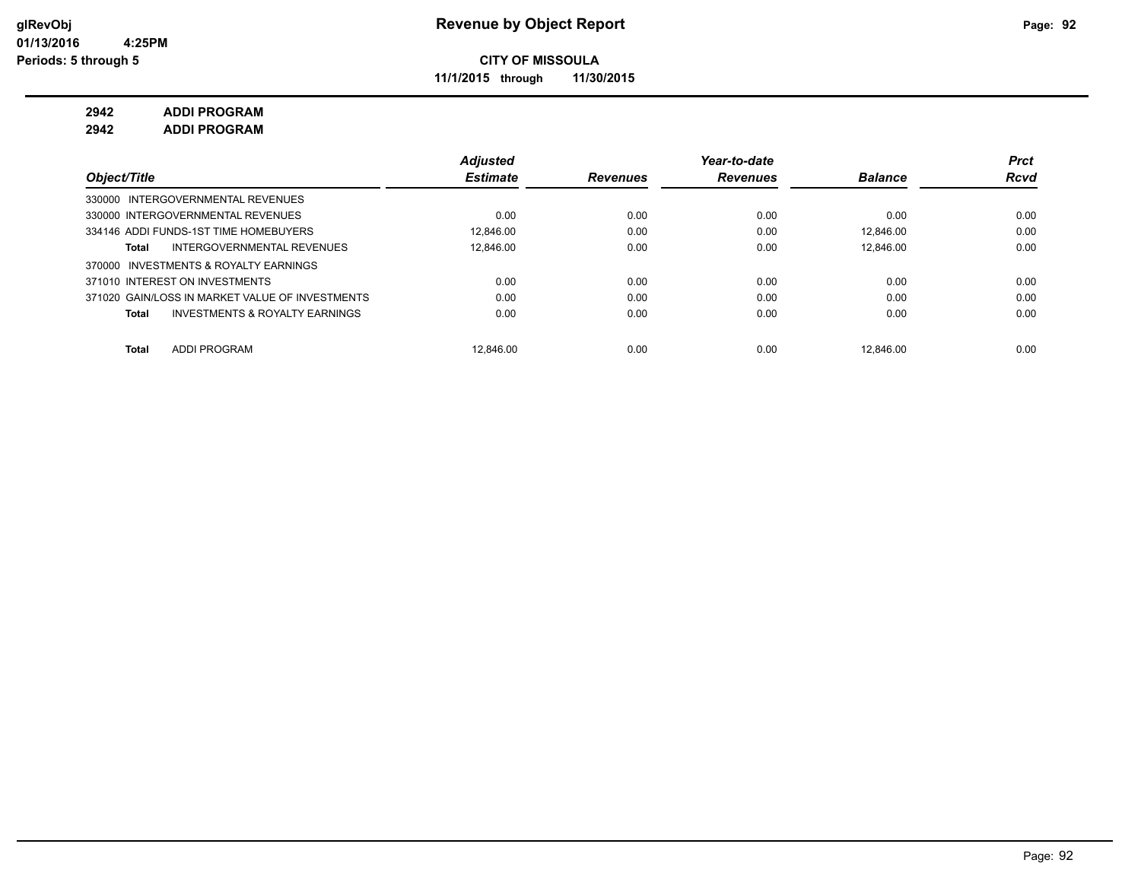**11/1/2015 through 11/30/2015**

# **2942 ADDI PROGRAM**

**2942 ADDI PROGRAM**

|                                                    | Adjusted        |                 | Year-to-date    |                | <b>Prct</b> |
|----------------------------------------------------|-----------------|-----------------|-----------------|----------------|-------------|
| Object/Title                                       | <b>Estimate</b> | <b>Revenues</b> | <b>Revenues</b> | <b>Balance</b> | Rcvd        |
| 330000 INTERGOVERNMENTAL REVENUES                  |                 |                 |                 |                |             |
| 330000 INTERGOVERNMENTAL REVENUES                  | 0.00            | 0.00            | 0.00            | 0.00           | 0.00        |
| 334146 ADDI FUNDS-1ST TIME HOMEBUYERS              | 12.846.00       | 0.00            | 0.00            | 12.846.00      | 0.00        |
| INTERGOVERNMENTAL REVENUES<br>Total                | 12,846.00       | 0.00            | 0.00            | 12.846.00      | 0.00        |
| INVESTMENTS & ROYALTY EARNINGS<br>370000           |                 |                 |                 |                |             |
| 371010 INTEREST ON INVESTMENTS                     | 0.00            | 0.00            | 0.00            | 0.00           | 0.00        |
| 371020 GAIN/LOSS IN MARKET VALUE OF INVESTMENTS    | 0.00            | 0.00            | 0.00            | 0.00           | 0.00        |
| <b>INVESTMENTS &amp; ROYALTY EARNINGS</b><br>Total | 0.00            | 0.00            | 0.00            | 0.00           | 0.00        |
| <b>ADDI PROGRAM</b><br>Total                       | 12.846.00       | 0.00            | 0.00            | 12.846.00      | 0.00        |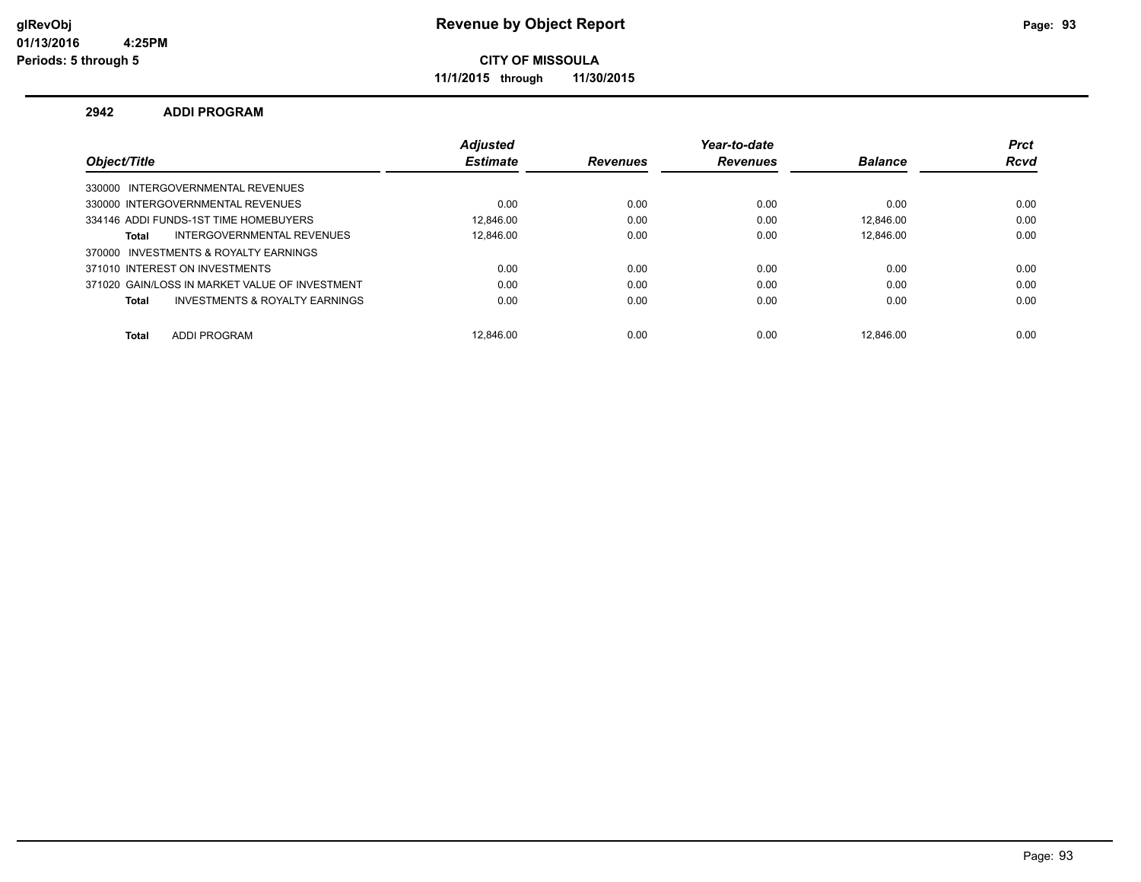**11/1/2015 through 11/30/2015**

#### **2942 ADDI PROGRAM**

|                                                    | <b>Adjusted</b> |                 | Year-to-date    |                | <b>Prct</b> |
|----------------------------------------------------|-----------------|-----------------|-----------------|----------------|-------------|
| Object/Title                                       | <b>Estimate</b> | <b>Revenues</b> | <b>Revenues</b> | <b>Balance</b> | <b>Rcvd</b> |
| 330000 INTERGOVERNMENTAL REVENUES                  |                 |                 |                 |                |             |
| 330000 INTERGOVERNMENTAL REVENUES                  | 0.00            | 0.00            | 0.00            | 0.00           | 0.00        |
| 334146 ADDI FUNDS-1ST TIME HOMEBUYERS              | 12.846.00       | 0.00            | 0.00            | 12.846.00      | 0.00        |
| INTERGOVERNMENTAL REVENUES<br>Total                | 12.846.00       | 0.00            | 0.00            | 12.846.00      | 0.00        |
| 370000 INVESTMENTS & ROYALTY EARNINGS              |                 |                 |                 |                |             |
| 371010 INTEREST ON INVESTMENTS                     | 0.00            | 0.00            | 0.00            | 0.00           | 0.00        |
| 371020 GAIN/LOSS IN MARKET VALUE OF INVESTMENT     | 0.00            | 0.00            | 0.00            | 0.00           | 0.00        |
| <b>INVESTMENTS &amp; ROYALTY EARNINGS</b><br>Total | 0.00            | 0.00            | 0.00            | 0.00           | 0.00        |
|                                                    |                 |                 |                 |                |             |
| <b>ADDI PROGRAM</b><br>Total                       | 12.846.00       | 0.00            | 0.00            | 12.846.00      | 0.00        |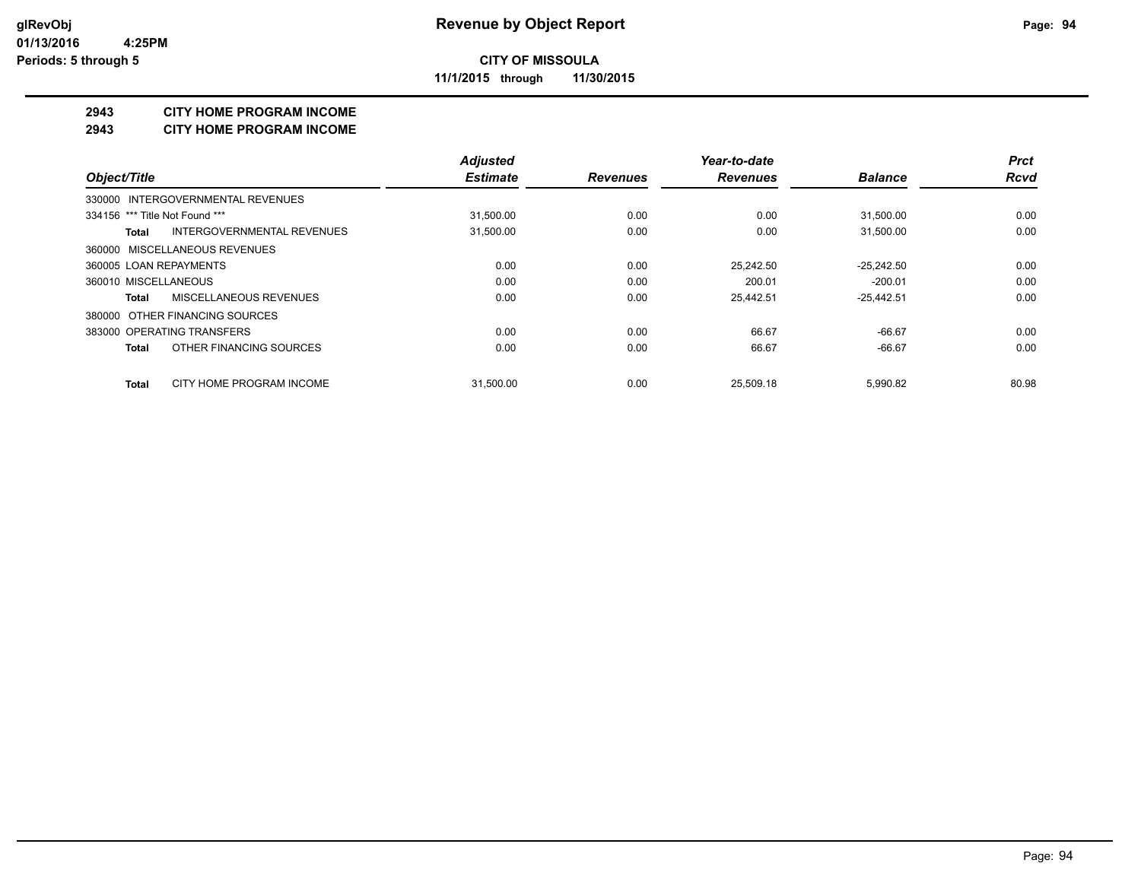**11/1/2015 through 11/30/2015**

#### **2943 CITY HOME PROGRAM INCOME**

#### **2943 CITY HOME PROGRAM INCOME**

|                                          | <b>Adjusted</b> |                 | Year-to-date    |                | <b>Prct</b> |
|------------------------------------------|-----------------|-----------------|-----------------|----------------|-------------|
| Object/Title                             | <b>Estimate</b> | <b>Revenues</b> | <b>Revenues</b> | <b>Balance</b> | <b>Rcvd</b> |
| 330000 INTERGOVERNMENTAL REVENUES        |                 |                 |                 |                |             |
| 334156 *** Title Not Found ***           | 31,500.00       | 0.00            | 0.00            | 31,500.00      | 0.00        |
| INTERGOVERNMENTAL REVENUES<br>Total      | 31,500.00       | 0.00            | 0.00            | 31,500.00      | 0.00        |
| 360000 MISCELLANEOUS REVENUES            |                 |                 |                 |                |             |
| 360005 LOAN REPAYMENTS                   | 0.00            | 0.00            | 25.242.50       | $-25.242.50$   | 0.00        |
| 360010 MISCELLANEOUS                     | 0.00            | 0.00            | 200.01          | $-200.01$      | 0.00        |
| MISCELLANEOUS REVENUES<br>Total          | 0.00            | 0.00            | 25.442.51       | $-25.442.51$   | 0.00        |
| 380000 OTHER FINANCING SOURCES           |                 |                 |                 |                |             |
| 383000 OPERATING TRANSFERS               | 0.00            | 0.00            | 66.67           | $-66.67$       | 0.00        |
| OTHER FINANCING SOURCES<br>Total         | 0.00            | 0.00            | 66.67           | $-66.67$       | 0.00        |
| CITY HOME PROGRAM INCOME<br><b>Total</b> | 31.500.00       | 0.00            | 25.509.18       | 5.990.82       | 80.98       |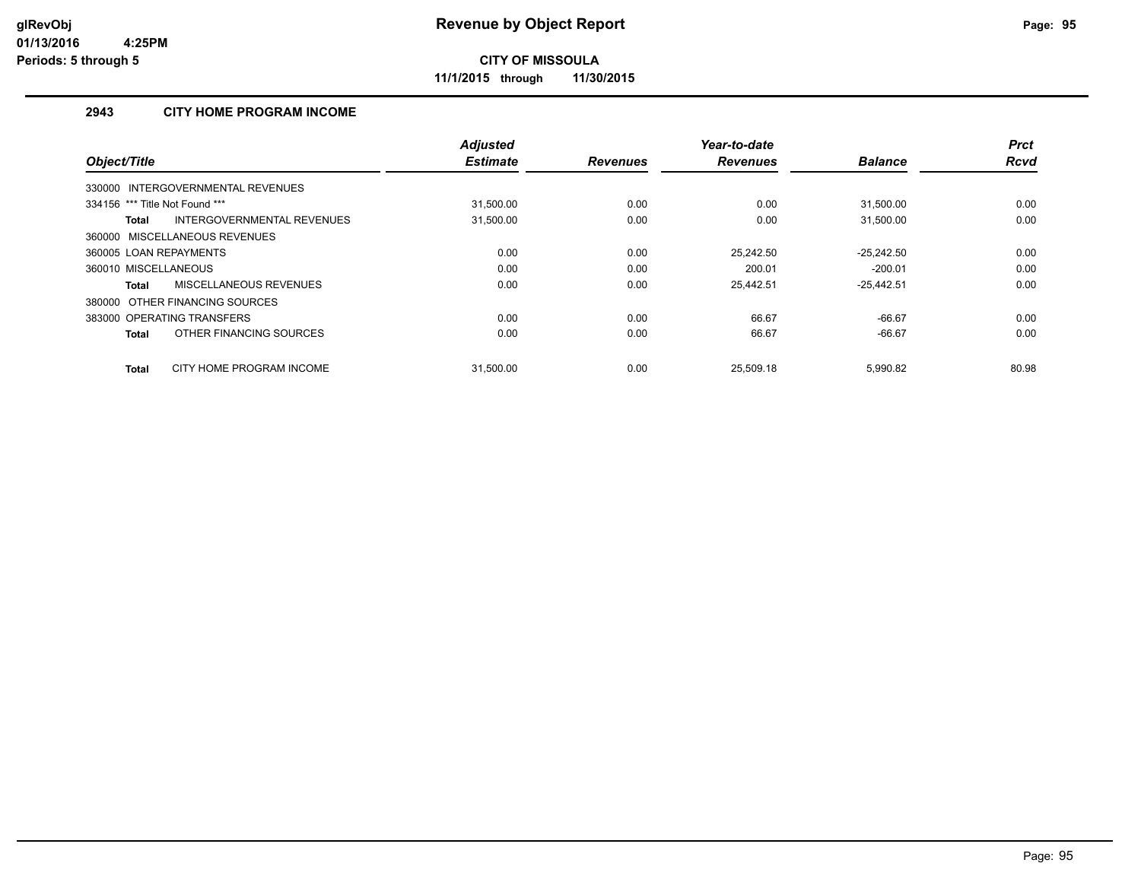**11/1/2015 through 11/30/2015**

## **2943 CITY HOME PROGRAM INCOME**

| Object/Title                               | <b>Adjusted</b><br><b>Estimate</b> | <b>Revenues</b> | Year-to-date<br><b>Revenues</b> | <b>Balance</b> | <b>Prct</b><br><b>Rcvd</b> |
|--------------------------------------------|------------------------------------|-----------------|---------------------------------|----------------|----------------------------|
|                                            |                                    |                 |                                 |                |                            |
| 330000 INTERGOVERNMENTAL REVENUES          |                                    |                 |                                 |                |                            |
| 334156 *** Title Not Found ***             | 31,500.00                          | 0.00            | 0.00                            | 31,500.00      | 0.00                       |
| INTERGOVERNMENTAL REVENUES<br><b>Total</b> | 31,500.00                          | 0.00            | 0.00                            | 31,500.00      | 0.00                       |
| 360000 MISCELLANEOUS REVENUES              |                                    |                 |                                 |                |                            |
| 360005 LOAN REPAYMENTS                     | 0.00                               | 0.00            | 25.242.50                       | $-25,242.50$   | 0.00                       |
| 360010 MISCELLANEOUS                       | 0.00                               | 0.00            | 200.01                          | $-200.01$      | 0.00                       |
| MISCELLANEOUS REVENUES<br><b>Total</b>     | 0.00                               | 0.00            | 25,442.51                       | $-25.442.51$   | 0.00                       |
| 380000 OTHER FINANCING SOURCES             |                                    |                 |                                 |                |                            |
| 383000 OPERATING TRANSFERS                 | 0.00                               | 0.00            | 66.67                           | $-66.67$       | 0.00                       |
| OTHER FINANCING SOURCES<br><b>Total</b>    | 0.00                               | 0.00            | 66.67                           | $-66.67$       | 0.00                       |
| CITY HOME PROGRAM INCOME<br><b>Total</b>   | 31.500.00                          | 0.00            | 25.509.18                       | 5.990.82       | 80.98                      |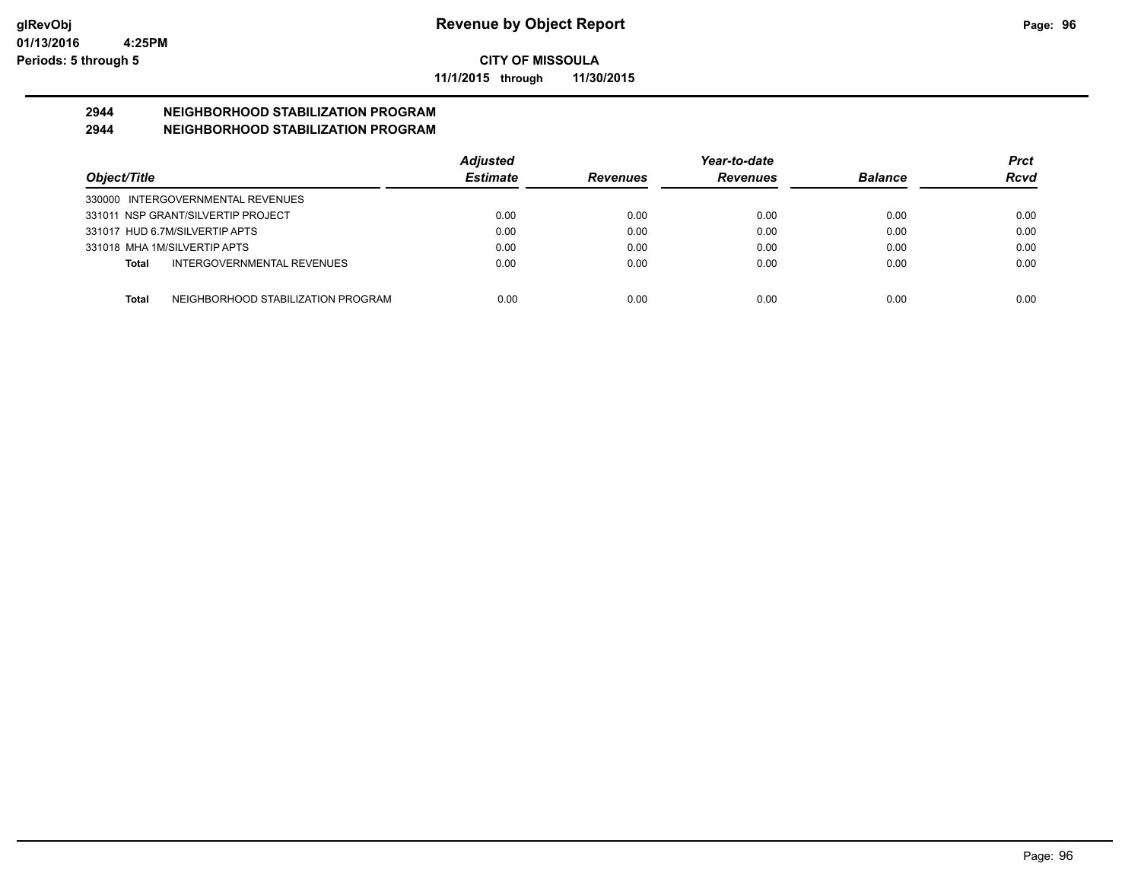**11/1/2015 through 11/30/2015**

# **2944 NEIGHBORHOOD STABILIZATION PROGRAM**

# **2944 NEIGHBORHOOD STABILIZATION PROGRAM**

|                                                    | <b>Adjusted</b> |                 | Year-to-date    |                | Prct |
|----------------------------------------------------|-----------------|-----------------|-----------------|----------------|------|
| Object/Title                                       | <b>Estimate</b> | <b>Revenues</b> | <b>Revenues</b> | <b>Balance</b> | Rcvd |
| 330000 INTERGOVERNMENTAL REVENUES                  |                 |                 |                 |                |      |
| 331011 NSP GRANT/SILVERTIP PROJECT                 | 0.00            | 0.00            | 0.00            | 0.00           | 0.00 |
| 331017 HUD 6.7M/SILVERTIP APTS                     | 0.00            | 0.00            | 0.00            | 0.00           | 0.00 |
| 331018 MHA 1M/SILVERTIP APTS                       | 0.00            | 0.00            | 0.00            | 0.00           | 0.00 |
| INTERGOVERNMENTAL REVENUES<br>Total                | 0.00            | 0.00            | 0.00            | 0.00           | 0.00 |
|                                                    |                 |                 |                 |                |      |
| NEIGHBORHOOD STABILIZATION PROGRAM<br><b>Total</b> | 0.00            | 0.00            | 0.00            | 0.00           | 0.00 |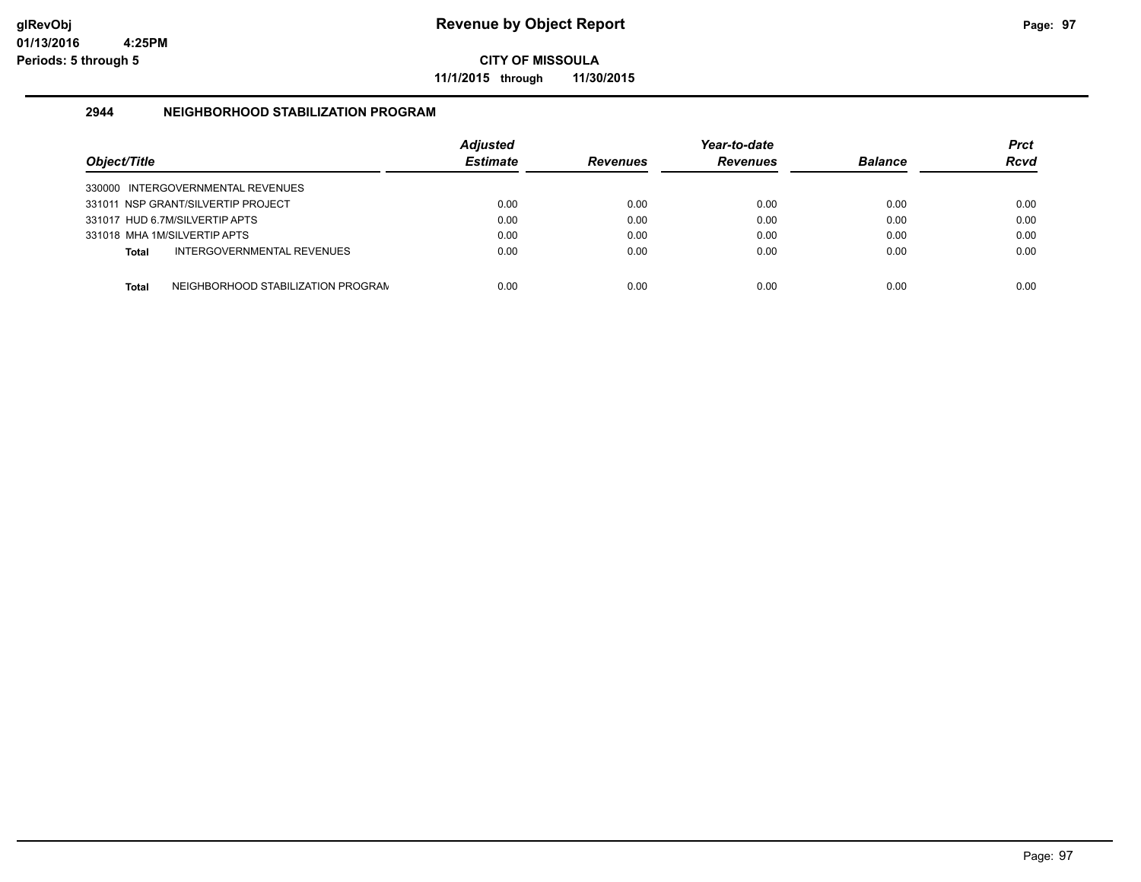**11/1/2015 through 11/30/2015**

#### **2944 NEIGHBORHOOD STABILIZATION PROGRAM**

| Object/Title |                                    | <b>Adiusted</b><br><b>Estimate</b> | <b>Revenues</b> | Year-to-date<br><b>Revenues</b> | <b>Balance</b> | <b>Prct</b><br><b>Rcvd</b> |
|--------------|------------------------------------|------------------------------------|-----------------|---------------------------------|----------------|----------------------------|
|              | 330000 INTERGOVERNMENTAL REVENUES  |                                    |                 |                                 |                |                            |
|              | 331011 NSP GRANT/SILVERTIP PROJECT | 0.00                               | 0.00            | 0.00                            | 0.00           | 0.00                       |
|              | 331017 HUD 6.7M/SILVERTIP APTS     | 0.00                               | 0.00            | 0.00                            | 0.00           | 0.00                       |
|              | 331018 MHA 1M/SILVERTIP APTS       | 0.00                               | 0.00            | 0.00                            | 0.00           | 0.00                       |
| <b>Total</b> | INTERGOVERNMENTAL REVENUES         | 0.00                               | 0.00            | 0.00                            | 0.00           | 0.00                       |
| <b>Total</b> | NEIGHBORHOOD STABILIZATION PROGRAM | 0.00                               | 0.00            | 0.00                            | 0.00           | 0.00                       |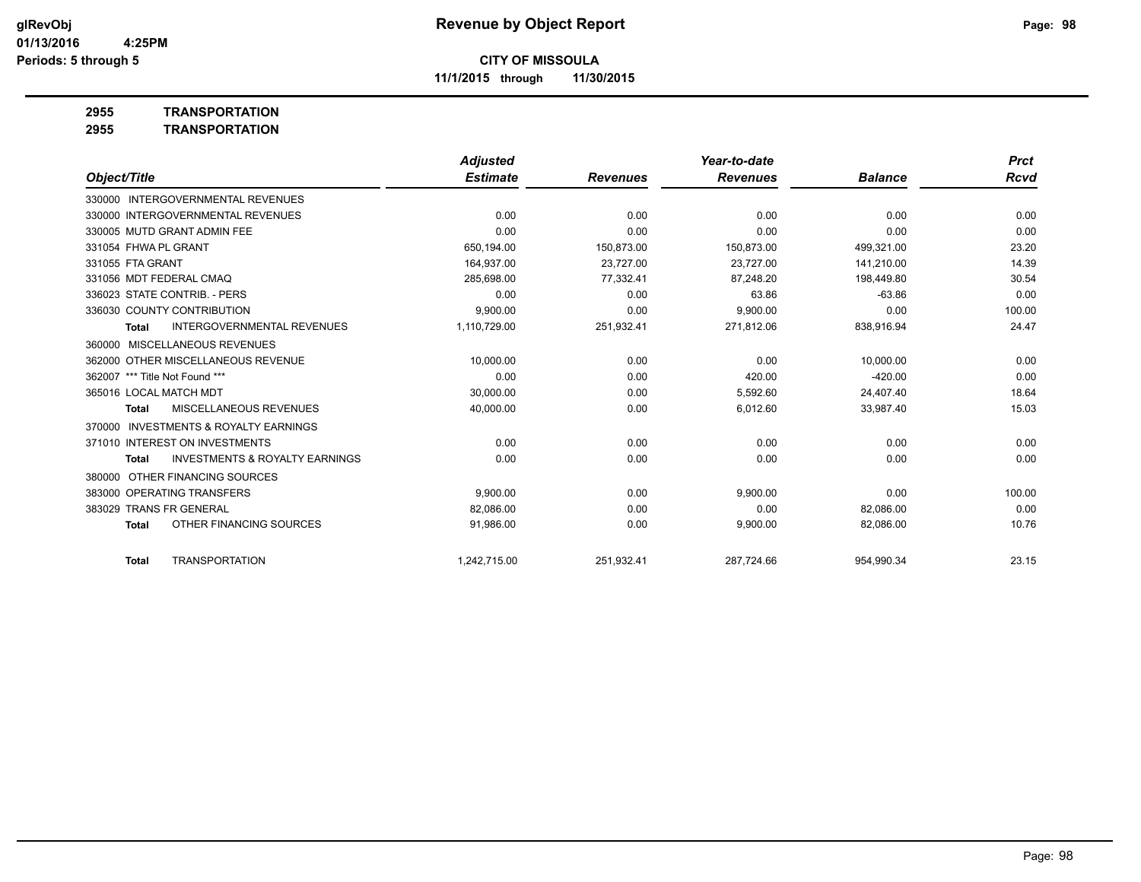**11/1/2015 through 11/30/2015**

**2955 TRANSPORTATION**

**2955 TRANSPORTATION**

|                                                           | <b>Adjusted</b> |                 | Year-to-date    |                | <b>Prct</b> |
|-----------------------------------------------------------|-----------------|-----------------|-----------------|----------------|-------------|
| Object/Title                                              | <b>Estimate</b> | <b>Revenues</b> | <b>Revenues</b> | <b>Balance</b> | <b>Rcvd</b> |
| 330000 INTERGOVERNMENTAL REVENUES                         |                 |                 |                 |                |             |
| 330000 INTERGOVERNMENTAL REVENUES                         | 0.00            | 0.00            | 0.00            | 0.00           | 0.00        |
| 330005 MUTD GRANT ADMIN FEE                               | 0.00            | 0.00            | 0.00            | 0.00           | 0.00        |
| 331054 FHWA PL GRANT                                      | 650,194.00      | 150,873.00      | 150,873.00      | 499,321.00     | 23.20       |
| 331055 FTA GRANT                                          | 164,937.00      | 23,727.00       | 23,727.00       | 141,210.00     | 14.39       |
| 331056 MDT FEDERAL CMAQ                                   | 285,698.00      | 77,332.41       | 87.248.20       | 198.449.80     | 30.54       |
| 336023 STATE CONTRIB. - PERS                              | 0.00            | 0.00            | 63.86           | $-63.86$       | 0.00        |
| 336030 COUNTY CONTRIBUTION                                | 9,900.00        | 0.00            | 9,900.00        | 0.00           | 100.00      |
| <b>INTERGOVERNMENTAL REVENUES</b><br><b>Total</b>         | 1,110,729.00    | 251,932.41      | 271,812.06      | 838,916.94     | 24.47       |
| <b>MISCELLANEOUS REVENUES</b><br>360000                   |                 |                 |                 |                |             |
| 362000 OTHER MISCELLANEOUS REVENUE                        | 10,000.00       | 0.00            | 0.00            | 10,000.00      | 0.00        |
| 362007 *** Title Not Found ***                            | 0.00            | 0.00            | 420.00          | $-420.00$      | 0.00        |
| 365016 LOCAL MATCH MDT                                    | 30.000.00       | 0.00            | 5,592.60        | 24,407.40      | 18.64       |
| MISCELLANEOUS REVENUES<br><b>Total</b>                    | 40,000.00       | 0.00            | 6,012.60        | 33,987.40      | 15.03       |
| <b>INVESTMENTS &amp; ROYALTY EARNINGS</b><br>370000       |                 |                 |                 |                |             |
| 371010 INTEREST ON INVESTMENTS                            | 0.00            | 0.00            | 0.00            | 0.00           | 0.00        |
| <b>INVESTMENTS &amp; ROYALTY EARNINGS</b><br><b>Total</b> | 0.00            | 0.00            | 0.00            | 0.00           | 0.00        |
| OTHER FINANCING SOURCES<br>380000                         |                 |                 |                 |                |             |
| 383000 OPERATING TRANSFERS                                | 9.900.00        | 0.00            | 9,900.00        | 0.00           | 100.00      |
| <b>TRANS FR GENERAL</b><br>383029                         | 82,086.00       | 0.00            | 0.00            | 82,086.00      | 0.00        |
| OTHER FINANCING SOURCES<br><b>Total</b>                   | 91,986.00       | 0.00            | 9,900.00        | 82,086.00      | 10.76       |
| <b>TRANSPORTATION</b><br><b>Total</b>                     | 1,242,715.00    | 251,932.41      | 287,724.66      | 954,990.34     | 23.15       |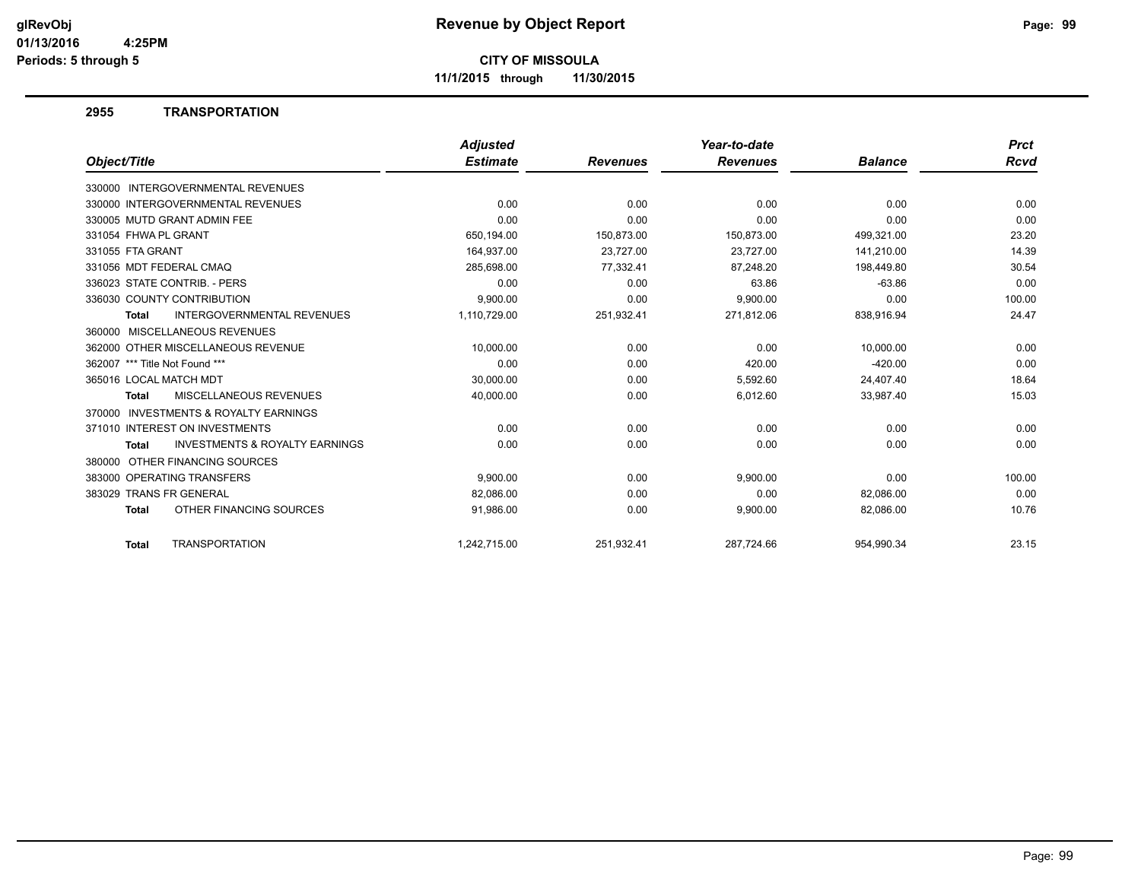**11/1/2015 through 11/30/2015**

#### **2955 TRANSPORTATION**

|                                                           | <b>Adjusted</b> |                 | Year-to-date    |                | <b>Prct</b> |
|-----------------------------------------------------------|-----------------|-----------------|-----------------|----------------|-------------|
| Object/Title                                              | <b>Estimate</b> | <b>Revenues</b> | <b>Revenues</b> | <b>Balance</b> | Rcvd        |
| 330000 INTERGOVERNMENTAL REVENUES                         |                 |                 |                 |                |             |
| 330000 INTERGOVERNMENTAL REVENUES                         | 0.00            | 0.00            | 0.00            | 0.00           | 0.00        |
| 330005 MUTD GRANT ADMIN FEE                               | 0.00            | 0.00            | 0.00            | 0.00           | 0.00        |
| 331054 FHWA PL GRANT                                      | 650,194.00      | 150,873.00      | 150,873.00      | 499,321.00     | 23.20       |
| 331055 FTA GRANT                                          | 164,937.00      | 23,727.00       | 23,727.00       | 141,210.00     | 14.39       |
| 331056 MDT FEDERAL CMAQ                                   | 285,698.00      | 77,332.41       | 87,248.20       | 198,449.80     | 30.54       |
| 336023 STATE CONTRIB. - PERS                              | 0.00            | 0.00            | 63.86           | $-63.86$       | 0.00        |
| 336030 COUNTY CONTRIBUTION                                | 9,900.00        | 0.00            | 9,900.00        | 0.00           | 100.00      |
| <b>INTERGOVERNMENTAL REVENUES</b><br><b>Total</b>         | 1,110,729.00    | 251,932.41      | 271,812.06      | 838,916.94     | 24.47       |
| 360000 MISCELLANEOUS REVENUES                             |                 |                 |                 |                |             |
| 362000 OTHER MISCELLANEOUS REVENUE                        | 10.000.00       | 0.00            | 0.00            | 10.000.00      | 0.00        |
| 362007 *** Title Not Found ***                            | 0.00            | 0.00            | 420.00          | $-420.00$      | 0.00        |
| 365016 LOCAL MATCH MDT                                    | 30,000.00       | 0.00            | 5,592.60        | 24,407.40      | 18.64       |
| <b>MISCELLANEOUS REVENUES</b><br><b>Total</b>             | 40,000.00       | 0.00            | 6,012.60        | 33,987.40      | 15.03       |
| <b>INVESTMENTS &amp; ROYALTY EARNINGS</b><br>370000       |                 |                 |                 |                |             |
| 371010 INTEREST ON INVESTMENTS                            | 0.00            | 0.00            | 0.00            | 0.00           | 0.00        |
| <b>INVESTMENTS &amp; ROYALTY EARNINGS</b><br><b>Total</b> | 0.00            | 0.00            | 0.00            | 0.00           | 0.00        |
| OTHER FINANCING SOURCES<br>380000                         |                 |                 |                 |                |             |
| 383000 OPERATING TRANSFERS                                | 9,900.00        | 0.00            | 9,900.00        | 0.00           | 100.00      |
| 383029 TRANS FR GENERAL                                   | 82,086.00       | 0.00            | 0.00            | 82,086.00      | 0.00        |
| OTHER FINANCING SOURCES<br><b>Total</b>                   | 91,986.00       | 0.00            | 9,900.00        | 82,086.00      | 10.76       |
| <b>TRANSPORTATION</b><br><b>Total</b>                     | 1.242.715.00    | 251.932.41      | 287.724.66      | 954.990.34     | 23.15       |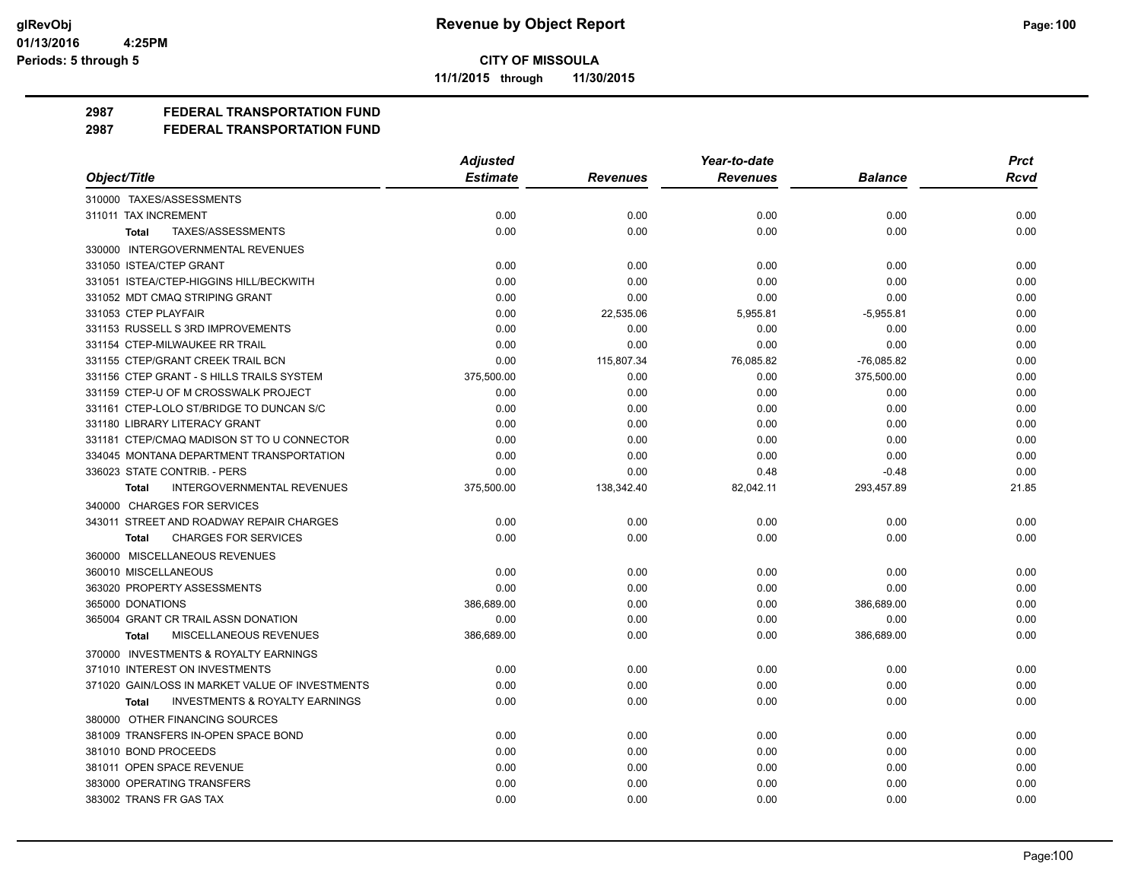**11/1/2015 through 11/30/2015**

# **2987 FEDERAL TRANSPORTATION FUND**

|                                                           | <b>Adjusted</b> |                 | Year-to-date    |                | <b>Prct</b> |  |
|-----------------------------------------------------------|-----------------|-----------------|-----------------|----------------|-------------|--|
| Object/Title                                              | <b>Estimate</b> | <b>Revenues</b> | <b>Revenues</b> | <b>Balance</b> | <b>Rcvd</b> |  |
| 310000 TAXES/ASSESSMENTS                                  |                 |                 |                 |                |             |  |
| 311011 TAX INCREMENT                                      | 0.00            | 0.00            | 0.00            | 0.00           | 0.00        |  |
| TAXES/ASSESSMENTS<br>Total                                | 0.00            | 0.00            | 0.00            | 0.00           | 0.00        |  |
| 330000 INTERGOVERNMENTAL REVENUES                         |                 |                 |                 |                |             |  |
| 331050 ISTEA/CTEP GRANT                                   | 0.00            | 0.00            | 0.00            | 0.00           | 0.00        |  |
| 331051 ISTEA/CTEP-HIGGINS HILL/BECKWITH                   | 0.00            | 0.00            | 0.00            | 0.00           | 0.00        |  |
| 331052 MDT CMAQ STRIPING GRANT                            | 0.00            | 0.00            | 0.00            | 0.00           | 0.00        |  |
| 331053 CTEP PLAYFAIR                                      | 0.00            | 22,535.06       | 5,955.81        | $-5,955.81$    | 0.00        |  |
| 331153 RUSSELL S 3RD IMPROVEMENTS                         | 0.00            | 0.00            | 0.00            | 0.00           | 0.00        |  |
| 331154 CTEP-MILWAUKEE RR TRAIL                            | 0.00            | 0.00            | 0.00            | 0.00           | 0.00        |  |
| 331155 CTEP/GRANT CREEK TRAIL BCN                         | 0.00            | 115,807.34      | 76,085.82       | $-76,085.82$   | 0.00        |  |
| 331156 CTEP GRANT - S HILLS TRAILS SYSTEM                 | 375,500.00      | 0.00            | 0.00            | 375,500.00     | 0.00        |  |
| 331159 CTEP-U OF M CROSSWALK PROJECT                      | 0.00            | 0.00            | 0.00            | 0.00           | 0.00        |  |
| 331161 CTEP-LOLO ST/BRIDGE TO DUNCAN S/C                  | 0.00            | 0.00            | 0.00            | 0.00           | 0.00        |  |
| 331180 LIBRARY LITERACY GRANT                             | 0.00            | 0.00            | 0.00            | 0.00           | 0.00        |  |
| 331181 CTEP/CMAQ MADISON ST TO U CONNECTOR                | 0.00            | 0.00            | 0.00            | 0.00           | 0.00        |  |
| 334045 MONTANA DEPARTMENT TRANSPORTATION                  | 0.00            | 0.00            | 0.00            | 0.00           | 0.00        |  |
| 336023 STATE CONTRIB. - PERS                              | 0.00            | 0.00            | 0.48            | $-0.48$        | 0.00        |  |
| <b>INTERGOVERNMENTAL REVENUES</b><br>Total                | 375,500.00      | 138,342.40      | 82,042.11       | 293,457.89     | 21.85       |  |
| 340000 CHARGES FOR SERVICES                               |                 |                 |                 |                |             |  |
| 343011 STREET AND ROADWAY REPAIR CHARGES                  | 0.00            | 0.00            | 0.00            | 0.00           | 0.00        |  |
| <b>CHARGES FOR SERVICES</b><br><b>Total</b>               | 0.00            | 0.00            | 0.00            | 0.00           | 0.00        |  |
| 360000 MISCELLANEOUS REVENUES                             |                 |                 |                 |                |             |  |
| 360010 MISCELLANEOUS                                      | 0.00            | 0.00            | 0.00            | 0.00           | 0.00        |  |
| 363020 PROPERTY ASSESSMENTS                               | 0.00            | 0.00            | 0.00            | 0.00           | 0.00        |  |
| 365000 DONATIONS                                          | 386.689.00      | 0.00            | 0.00            | 386,689.00     | 0.00        |  |
| 365004 GRANT CR TRAIL ASSN DONATION                       | 0.00            | 0.00            | 0.00            | 0.00           | 0.00        |  |
| MISCELLANEOUS REVENUES<br>Total                           | 386,689.00      | 0.00            | 0.00            | 386,689.00     | 0.00        |  |
| 370000 INVESTMENTS & ROYALTY EARNINGS                     |                 |                 |                 |                |             |  |
| 371010 INTEREST ON INVESTMENTS                            | 0.00            | 0.00            | 0.00            | 0.00           | 0.00        |  |
| 371020 GAIN/LOSS IN MARKET VALUE OF INVESTMENTS           | 0.00            | 0.00            | 0.00            | 0.00           | 0.00        |  |
| <b>INVESTMENTS &amp; ROYALTY EARNINGS</b><br><b>Total</b> | 0.00            | 0.00            | 0.00            | 0.00           | 0.00        |  |
| 380000 OTHER FINANCING SOURCES                            |                 |                 |                 |                |             |  |
| 381009 TRANSFERS IN-OPEN SPACE BOND                       | 0.00            | 0.00            | 0.00            | 0.00           | 0.00        |  |
| 381010 BOND PROCEEDS                                      | 0.00            | 0.00            | 0.00            | 0.00           | 0.00        |  |
| 381011 OPEN SPACE REVENUE                                 | 0.00            | 0.00            | 0.00            | 0.00           | 0.00        |  |
| 383000 OPERATING TRANSFERS                                | 0.00            | 0.00            | 0.00            | 0.00           | 0.00        |  |
| 383002 TRANS FR GAS TAX                                   | 0.00            | 0.00            | 0.00            | 0.00           | 0.00        |  |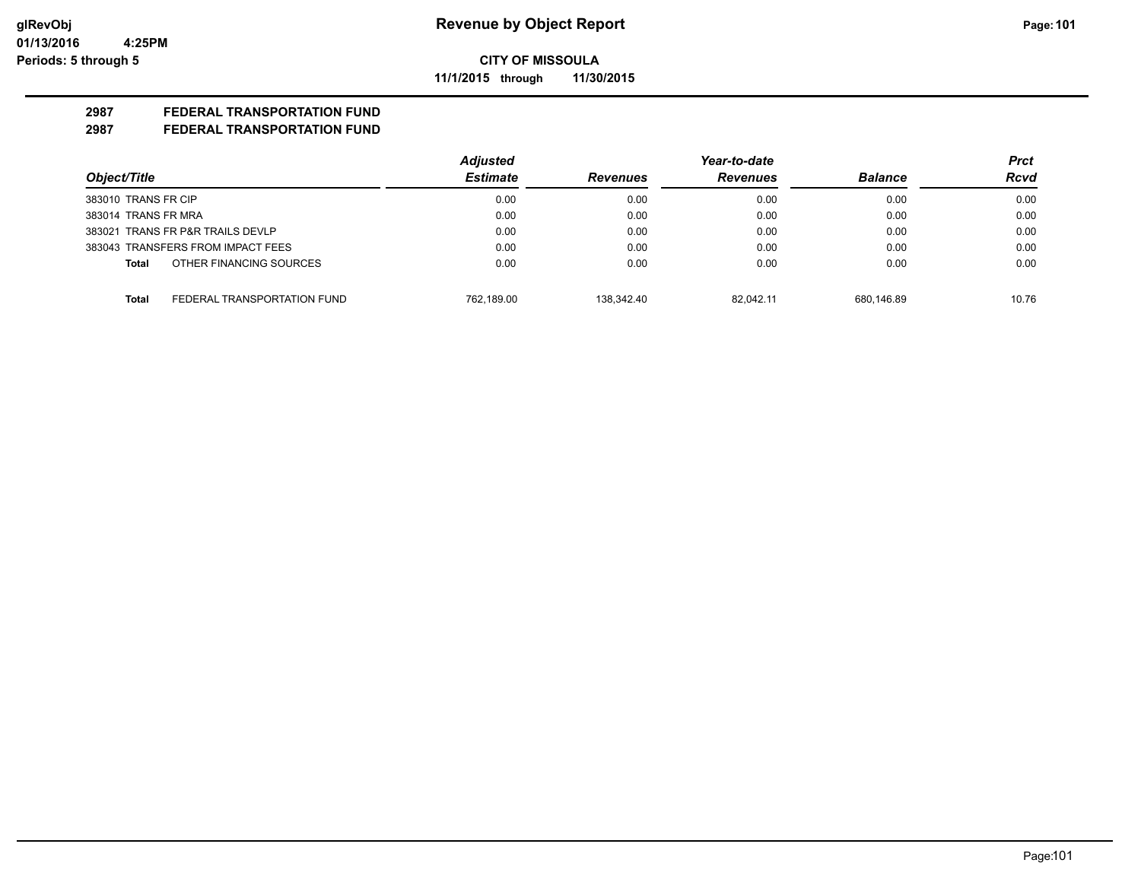**11/1/2015 through 11/30/2015**

# **2987 FEDERAL TRANSPORTATION FUND**

|                                      | <b>Adjusted</b> |                 | Year-to-date    |                | Prct        |
|--------------------------------------|-----------------|-----------------|-----------------|----------------|-------------|
| Object/Title                         | <b>Estimate</b> | <b>Revenues</b> | <b>Revenues</b> | <b>Balance</b> | <b>Rcvd</b> |
| 383010 TRANS FR CIP                  | 0.00            | 0.00            | 0.00            | 0.00           | 0.00        |
| 383014 TRANS FR MRA                  | 0.00            | 0.00            | 0.00            | 0.00           | 0.00        |
| 383021 TRANS FR P&R TRAILS DEVLP     | 0.00            | 0.00            | 0.00            | 0.00           | 0.00        |
| 383043 TRANSFERS FROM IMPACT FEES    | 0.00            | 0.00            | 0.00            | 0.00           | 0.00        |
| OTHER FINANCING SOURCES<br>Total     | 0.00            | 0.00            | 0.00            | 0.00           | 0.00        |
| FEDERAL TRANSPORTATION FUND<br>Total | 762.189.00      | 138.342.40      | 82.042.11       | 680.146.89     | 10.76       |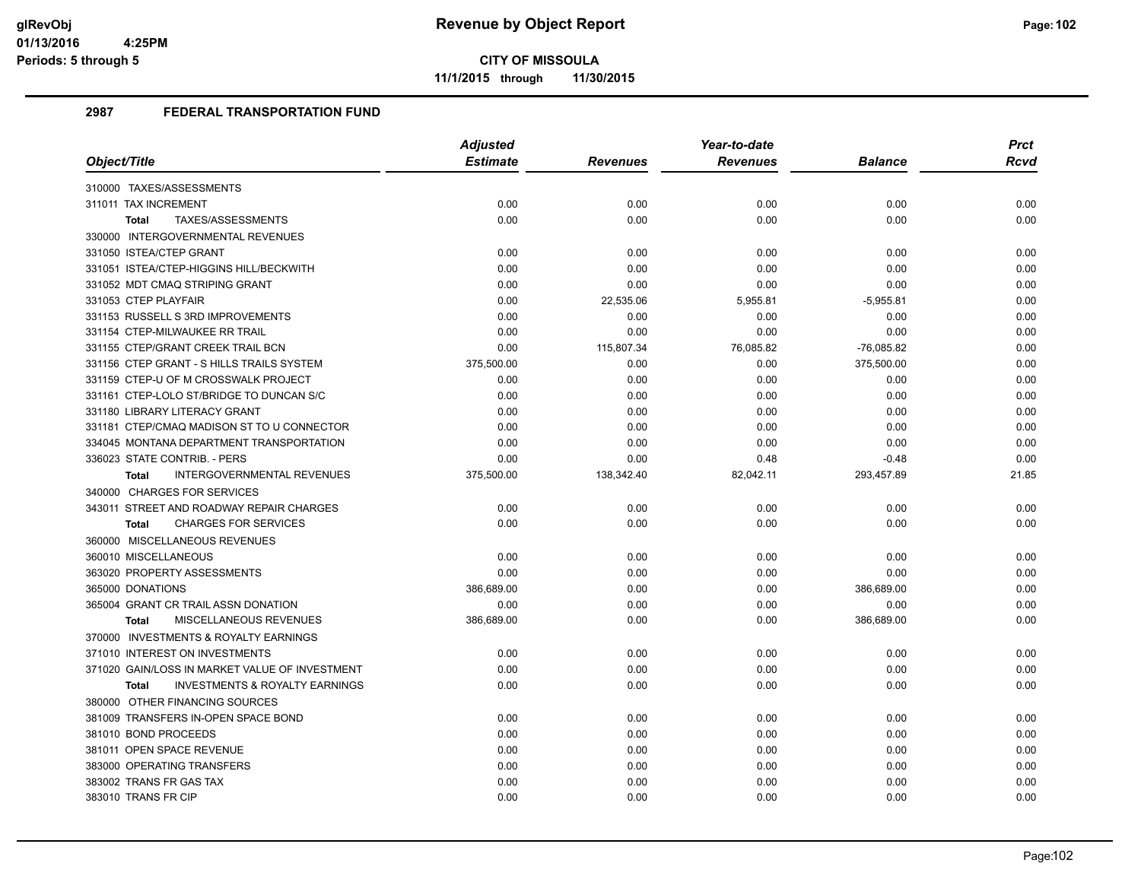**11/1/2015 through 11/30/2015**

|                                                           | <b>Adjusted</b> |                 | Year-to-date    |                | <b>Prct</b> |
|-----------------------------------------------------------|-----------------|-----------------|-----------------|----------------|-------------|
| Object/Title                                              | <b>Estimate</b> | <b>Revenues</b> | <b>Revenues</b> | <b>Balance</b> | Rcvd        |
| 310000 TAXES/ASSESSMENTS                                  |                 |                 |                 |                |             |
| 311011 TAX INCREMENT                                      | 0.00            | 0.00            | 0.00            | 0.00           | 0.00        |
| TAXES/ASSESSMENTS<br><b>Total</b>                         | 0.00            | 0.00            | 0.00            | 0.00           | 0.00        |
| 330000 INTERGOVERNMENTAL REVENUES                         |                 |                 |                 |                |             |
| 331050 ISTEA/CTEP GRANT                                   | 0.00            | 0.00            | 0.00            | 0.00           | 0.00        |
| 331051 ISTEA/CTEP-HIGGINS HILL/BECKWITH                   | 0.00            | 0.00            | 0.00            | 0.00           | 0.00        |
| 331052 MDT CMAQ STRIPING GRANT                            | 0.00            | 0.00            | 0.00            | 0.00           | 0.00        |
| 331053 CTEP PLAYFAIR                                      | 0.00            | 22,535.06       | 5,955.81        | $-5,955.81$    | 0.00        |
| 331153 RUSSELL S 3RD IMPROVEMENTS                         | 0.00            | 0.00            | 0.00            | 0.00           | 0.00        |
| 331154 CTEP-MILWAUKEE RR TRAIL                            | 0.00            | 0.00            | 0.00            | 0.00           | 0.00        |
| 331155 CTEP/GRANT CREEK TRAIL BCN                         | 0.00            | 115,807.34      | 76,085.82       | $-76,085.82$   | 0.00        |
| 331156 CTEP GRANT - S HILLS TRAILS SYSTEM                 | 375,500.00      | 0.00            | 0.00            | 375,500.00     | 0.00        |
| 331159 CTEP-U OF M CROSSWALK PROJECT                      | 0.00            | 0.00            | 0.00            | 0.00           | 0.00        |
| 331161 CTEP-LOLO ST/BRIDGE TO DUNCAN S/C                  | 0.00            | 0.00            | 0.00            | 0.00           | 0.00        |
| 331180 LIBRARY LITERACY GRANT                             | 0.00            | 0.00            | 0.00            | 0.00           | 0.00        |
| 331181 CTEP/CMAQ MADISON ST TO U CONNECTOR                | 0.00            | 0.00            | 0.00            | 0.00           | 0.00        |
| 334045 MONTANA DEPARTMENT TRANSPORTATION                  | 0.00            | 0.00            | 0.00            | 0.00           | 0.00        |
| 336023 STATE CONTRIB. - PERS                              | 0.00            | 0.00            | 0.48            | $-0.48$        | 0.00        |
| <b>INTERGOVERNMENTAL REVENUES</b><br><b>Total</b>         | 375,500.00      | 138,342.40      | 82,042.11       | 293,457.89     | 21.85       |
| 340000 CHARGES FOR SERVICES                               |                 |                 |                 |                |             |
| 343011 STREET AND ROADWAY REPAIR CHARGES                  | 0.00            | 0.00            | 0.00            | 0.00           | 0.00        |
| <b>CHARGES FOR SERVICES</b><br><b>Total</b>               | 0.00            | 0.00            | 0.00            | 0.00           | 0.00        |
| 360000 MISCELLANEOUS REVENUES                             |                 |                 |                 |                |             |
| 360010 MISCELLANEOUS                                      | 0.00            | 0.00            | 0.00            | 0.00           | 0.00        |
| 363020 PROPERTY ASSESSMENTS                               | 0.00            | 0.00            | 0.00            | 0.00           | 0.00        |
| 365000 DONATIONS                                          | 386,689.00      | 0.00            | 0.00            | 386,689.00     | 0.00        |
| 365004 GRANT CR TRAIL ASSN DONATION                       | 0.00            | 0.00            | 0.00            | 0.00           | 0.00        |
| MISCELLANEOUS REVENUES<br><b>Total</b>                    | 386,689.00      | 0.00            | 0.00            | 386,689.00     | 0.00        |
| 370000 INVESTMENTS & ROYALTY EARNINGS                     |                 |                 |                 |                |             |
| 371010 INTEREST ON INVESTMENTS                            | 0.00            | 0.00            | 0.00            | 0.00           | 0.00        |
| 371020 GAIN/LOSS IN MARKET VALUE OF INVESTMENT            | 0.00            | 0.00            | 0.00            | 0.00           | 0.00        |
| <b>INVESTMENTS &amp; ROYALTY EARNINGS</b><br><b>Total</b> | 0.00            | 0.00            | 0.00            | 0.00           | 0.00        |
| 380000 OTHER FINANCING SOURCES                            |                 |                 |                 |                |             |
| 381009 TRANSFERS IN-OPEN SPACE BOND                       | 0.00            | 0.00            | 0.00            | 0.00           | 0.00        |
| 381010 BOND PROCEEDS                                      | 0.00            | 0.00            | 0.00            | 0.00           | 0.00        |
| 381011 OPEN SPACE REVENUE                                 | 0.00            | 0.00            | 0.00            | 0.00           | 0.00        |
| 383000 OPERATING TRANSFERS                                | 0.00            | 0.00            | 0.00            | 0.00           | 0.00        |
| 383002 TRANS FR GAS TAX                                   | 0.00            | 0.00            | 0.00            | 0.00           | 0.00        |
| 383010 TRANS FR CIP                                       | 0.00            | 0.00            | 0.00            | 0.00           | 0.00        |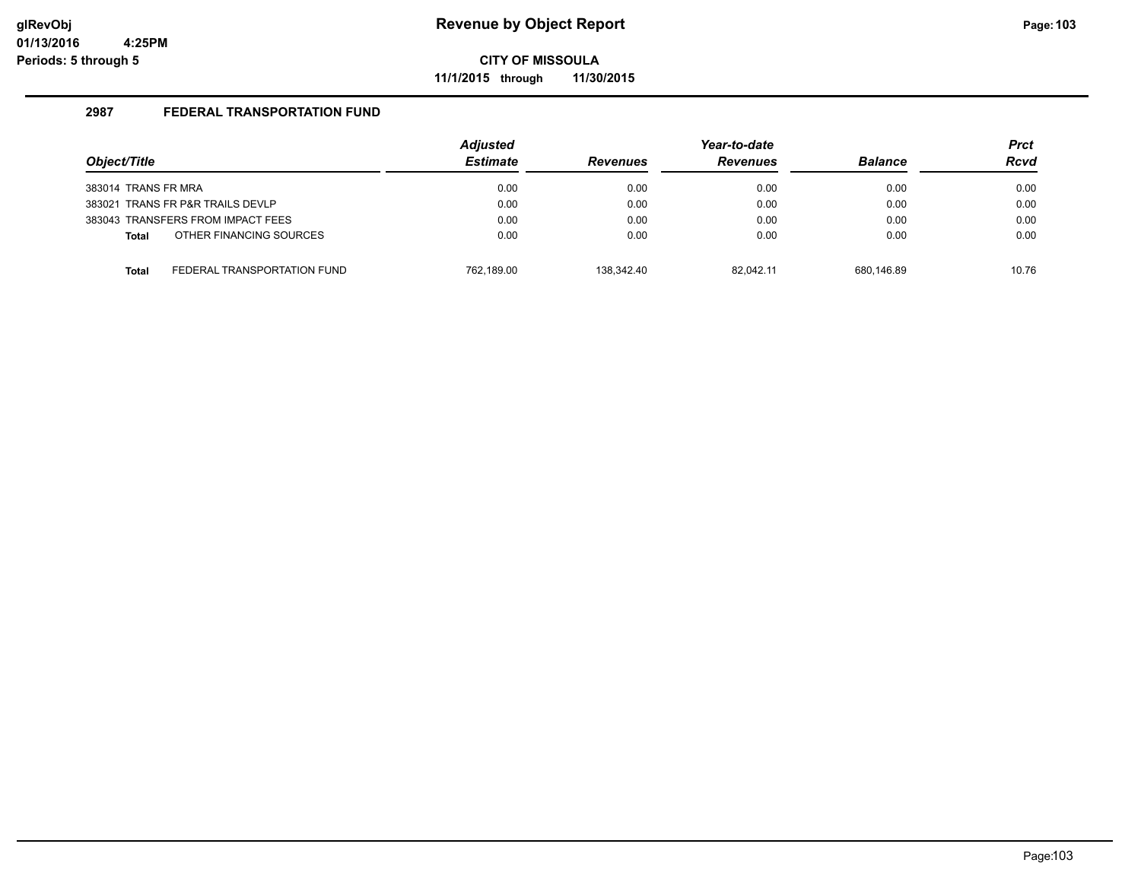**11/1/2015 through 11/30/2015**

| Object/Title                                | <b>Adjusted</b><br><b>Estimate</b> | <b>Revenues</b> | Year-to-date<br><b>Revenues</b> | <b>Balance</b> | <b>Prct</b><br><b>Rcvd</b> |
|---------------------------------------------|------------------------------------|-----------------|---------------------------------|----------------|----------------------------|
| 383014 TRANS FR MRA                         | 0.00                               | 0.00            | 0.00                            | 0.00           | 0.00                       |
| 383021 TRANS FR P&R TRAILS DEVLP            | 0.00                               | 0.00            | 0.00                            | 0.00           | 0.00                       |
| 383043 TRANSFERS FROM IMPACT FEES           | 0.00                               | 0.00            | 0.00                            | 0.00           | 0.00                       |
| OTHER FINANCING SOURCES<br><b>Total</b>     | 0.00                               | 0.00            | 0.00                            | 0.00           | 0.00                       |
|                                             |                                    |                 |                                 |                |                            |
| FEDERAL TRANSPORTATION FUND<br><b>Total</b> | 762.189.00                         | 138.342.40      | 82.042.11                       | 680.146.89     | 10.76                      |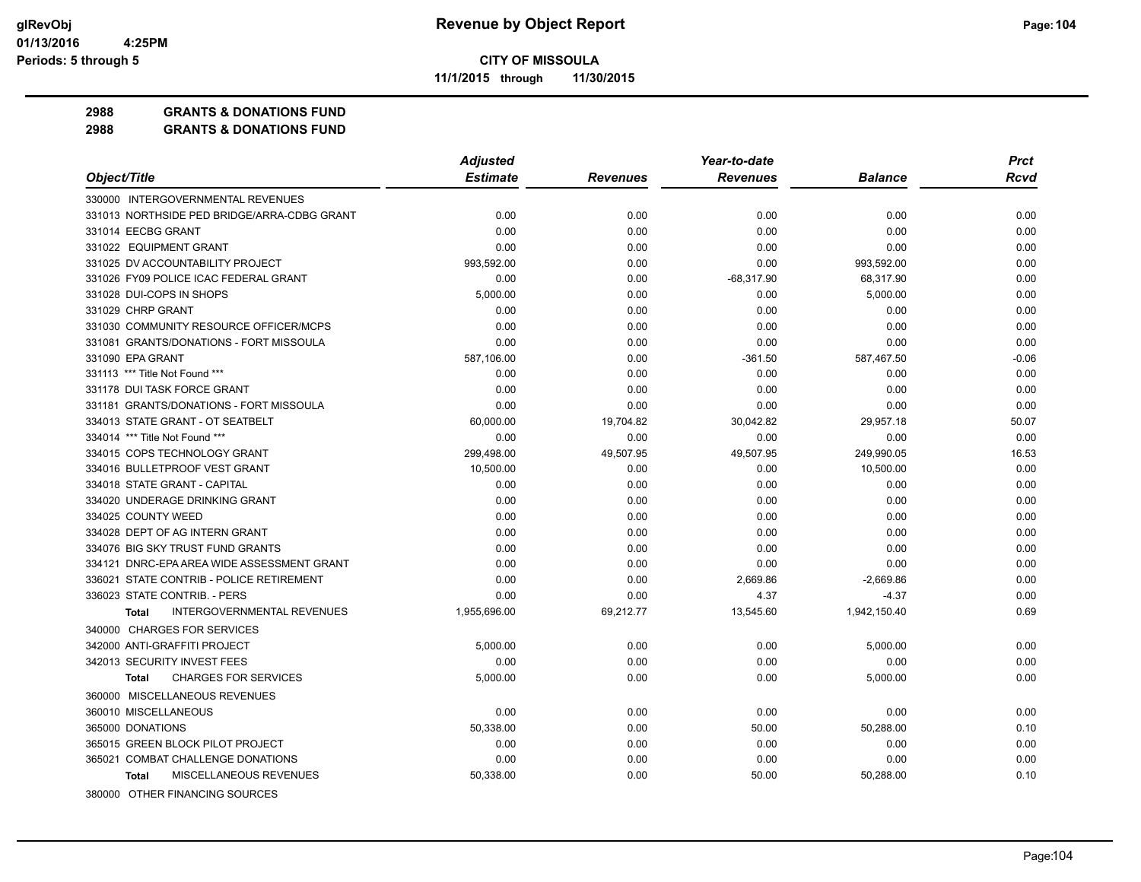**11/1/2015 through 11/30/2015**

**2988 GRANTS & DONATIONS FUND**

| <b>Estimate</b><br>Object/Title<br><b>Revenues</b><br><b>Balance</b><br><b>Rcvd</b><br><b>Revenues</b><br>330000 INTERGOVERNMENTAL REVENUES<br>331013 NORTHSIDE PED BRIDGE/ARRA-CDBG GRANT<br>0.00<br>0.00<br>0.00<br>0.00<br>0.00<br>331014 EECBG GRANT<br>0.00<br>0.00<br>0.00<br>0.00<br>0.00<br>331022 EQUIPMENT GRANT<br>0.00<br>0.00<br>0.00<br>0.00<br>0.00<br>993,592.00<br>331025 DV ACCOUNTABILITY PROJECT<br>0.00<br>0.00<br>993,592.00<br>0.00<br>331026 FY09 POLICE ICAC FEDERAL GRANT<br>0.00<br>0.00<br>$-68,317.90$<br>68,317.90<br>0.00<br>331028 DUI-COPS IN SHOPS<br>5,000.00<br>0.00<br>0.00<br>5,000.00<br>0.00<br>331029 CHRP GRANT<br>0.00<br>0.00<br>0.00<br>0.00<br>0.00<br>0.00<br>331030 COMMUNITY RESOURCE OFFICER/MCPS<br>0.00<br>0.00<br>0.00<br>0.00<br>331081 GRANTS/DONATIONS - FORT MISSOULA<br>0.00<br>0.00<br>0.00<br>0.00<br>0.00<br>331090 EPA GRANT<br>587,106.00<br>$-0.06$<br>0.00<br>$-361.50$<br>587,467.50<br>0.00<br>331113 *** Title Not Found ***<br>0.00<br>0.00<br>0.00<br>0.00<br>0.00<br>331178 DUI TASK FORCE GRANT<br>0.00<br>0.00<br>0.00<br>0.00<br>331181 GRANTS/DONATIONS - FORT MISSOULA<br>0.00<br>0.00<br>0.00<br>0.00<br>0.00<br>334013 STATE GRANT - OT SEATBELT<br>30,042.82<br>50.07<br>60,000.00<br>19,704.82<br>29,957.18<br>334014 *** Title Not Found ***<br>0.00<br>0.00<br>0.00<br>0.00<br>0.00<br>334015 COPS TECHNOLOGY GRANT<br>299,498.00<br>49,507.95<br>49,507.95<br>249,990.05<br>16.53<br>334016 BULLETPROOF VEST GRANT<br>10,500.00<br>0.00<br>0.00<br>10,500.00<br>0.00<br>334018 STATE GRANT - CAPITAL<br>0.00<br>0.00<br>0.00<br>0.00<br>0.00<br>334020 UNDERAGE DRINKING GRANT<br>0.00<br>0.00<br>0.00<br>0.00<br>0.00<br>334025 COUNTY WEED<br>0.00<br>0.00<br>0.00<br>0.00<br>0.00<br>334028 DEPT OF AG INTERN GRANT<br>0.00<br>0.00<br>0.00<br>0.00<br>0.00<br>334076 BIG SKY TRUST FUND GRANTS<br>0.00<br>0.00<br>0.00<br>0.00<br>0.00<br>334121 DNRC-EPA AREA WIDE ASSESSMENT GRANT<br>0.00<br>0.00<br>0.00<br>0.00<br>0.00<br>336021 STATE CONTRIB - POLICE RETIREMENT<br>0.00<br>0.00<br>2,669.86<br>$-2,669.86$<br>0.00<br>336023 STATE CONTRIB. - PERS<br>0.00<br>0.00<br>4.37<br>$-4.37$<br>0.00<br><b>INTERGOVERNMENTAL REVENUES</b><br>0.69<br>1,955,696.00<br>69,212.77<br>13,545.60<br>1,942,150.40<br><b>Total</b><br>340000 CHARGES FOR SERVICES<br>342000 ANTI-GRAFFITI PROJECT<br>5,000.00<br>0.00<br>0.00<br>5,000.00<br>0.00<br>342013 SECURITY INVEST FEES<br>0.00<br>0.00<br>0.00<br>0.00<br>0.00<br><b>CHARGES FOR SERVICES</b><br>5,000.00<br>0.00<br>0.00<br>5,000.00<br>0.00<br><b>Total</b><br>360000 MISCELLANEOUS REVENUES<br>360010 MISCELLANEOUS<br>0.00<br>0.00<br>0.00<br>0.00<br>0.00<br>365000 DONATIONS<br>50,338.00<br>0.00<br>50.00<br>50,288.00<br>0.10<br>365015 GREEN BLOCK PILOT PROJECT<br>0.00<br>0.00<br>0.00<br>0.00<br>0.00<br>365021 COMBAT CHALLENGE DONATIONS<br>0.00<br>0.00<br>0.00<br>0.00<br>0.00<br>MISCELLANEOUS REVENUES<br>50,288.00<br>0.10<br>50,338.00<br>0.00<br>50.00<br><b>Total</b> |                                | <b>Adjusted</b> | Year-to-date | <b>Prct</b> |
|-----------------------------------------------------------------------------------------------------------------------------------------------------------------------------------------------------------------------------------------------------------------------------------------------------------------------------------------------------------------------------------------------------------------------------------------------------------------------------------------------------------------------------------------------------------------------------------------------------------------------------------------------------------------------------------------------------------------------------------------------------------------------------------------------------------------------------------------------------------------------------------------------------------------------------------------------------------------------------------------------------------------------------------------------------------------------------------------------------------------------------------------------------------------------------------------------------------------------------------------------------------------------------------------------------------------------------------------------------------------------------------------------------------------------------------------------------------------------------------------------------------------------------------------------------------------------------------------------------------------------------------------------------------------------------------------------------------------------------------------------------------------------------------------------------------------------------------------------------------------------------------------------------------------------------------------------------------------------------------------------------------------------------------------------------------------------------------------------------------------------------------------------------------------------------------------------------------------------------------------------------------------------------------------------------------------------------------------------------------------------------------------------------------------------------------------------------------------------------------------------------------------------------------------------------------------------------------------------------------------------------------------------------------------------------------------------------------------------------------------------------------------------------------------------------------------------------------------------------------------------------------------------------------------------------------------------------------------------------------------------------------------------------------------|--------------------------------|-----------------|--------------|-------------|
|                                                                                                                                                                                                                                                                                                                                                                                                                                                                                                                                                                                                                                                                                                                                                                                                                                                                                                                                                                                                                                                                                                                                                                                                                                                                                                                                                                                                                                                                                                                                                                                                                                                                                                                                                                                                                                                                                                                                                                                                                                                                                                                                                                                                                                                                                                                                                                                                                                                                                                                                                                                                                                                                                                                                                                                                                                                                                                                                                                                                                                         |                                |                 |              |             |
|                                                                                                                                                                                                                                                                                                                                                                                                                                                                                                                                                                                                                                                                                                                                                                                                                                                                                                                                                                                                                                                                                                                                                                                                                                                                                                                                                                                                                                                                                                                                                                                                                                                                                                                                                                                                                                                                                                                                                                                                                                                                                                                                                                                                                                                                                                                                                                                                                                                                                                                                                                                                                                                                                                                                                                                                                                                                                                                                                                                                                                         |                                |                 |              |             |
|                                                                                                                                                                                                                                                                                                                                                                                                                                                                                                                                                                                                                                                                                                                                                                                                                                                                                                                                                                                                                                                                                                                                                                                                                                                                                                                                                                                                                                                                                                                                                                                                                                                                                                                                                                                                                                                                                                                                                                                                                                                                                                                                                                                                                                                                                                                                                                                                                                                                                                                                                                                                                                                                                                                                                                                                                                                                                                                                                                                                                                         |                                |                 |              |             |
|                                                                                                                                                                                                                                                                                                                                                                                                                                                                                                                                                                                                                                                                                                                                                                                                                                                                                                                                                                                                                                                                                                                                                                                                                                                                                                                                                                                                                                                                                                                                                                                                                                                                                                                                                                                                                                                                                                                                                                                                                                                                                                                                                                                                                                                                                                                                                                                                                                                                                                                                                                                                                                                                                                                                                                                                                                                                                                                                                                                                                                         |                                |                 |              |             |
|                                                                                                                                                                                                                                                                                                                                                                                                                                                                                                                                                                                                                                                                                                                                                                                                                                                                                                                                                                                                                                                                                                                                                                                                                                                                                                                                                                                                                                                                                                                                                                                                                                                                                                                                                                                                                                                                                                                                                                                                                                                                                                                                                                                                                                                                                                                                                                                                                                                                                                                                                                                                                                                                                                                                                                                                                                                                                                                                                                                                                                         |                                |                 |              |             |
|                                                                                                                                                                                                                                                                                                                                                                                                                                                                                                                                                                                                                                                                                                                                                                                                                                                                                                                                                                                                                                                                                                                                                                                                                                                                                                                                                                                                                                                                                                                                                                                                                                                                                                                                                                                                                                                                                                                                                                                                                                                                                                                                                                                                                                                                                                                                                                                                                                                                                                                                                                                                                                                                                                                                                                                                                                                                                                                                                                                                                                         |                                |                 |              |             |
|                                                                                                                                                                                                                                                                                                                                                                                                                                                                                                                                                                                                                                                                                                                                                                                                                                                                                                                                                                                                                                                                                                                                                                                                                                                                                                                                                                                                                                                                                                                                                                                                                                                                                                                                                                                                                                                                                                                                                                                                                                                                                                                                                                                                                                                                                                                                                                                                                                                                                                                                                                                                                                                                                                                                                                                                                                                                                                                                                                                                                                         |                                |                 |              |             |
|                                                                                                                                                                                                                                                                                                                                                                                                                                                                                                                                                                                                                                                                                                                                                                                                                                                                                                                                                                                                                                                                                                                                                                                                                                                                                                                                                                                                                                                                                                                                                                                                                                                                                                                                                                                                                                                                                                                                                                                                                                                                                                                                                                                                                                                                                                                                                                                                                                                                                                                                                                                                                                                                                                                                                                                                                                                                                                                                                                                                                                         |                                |                 |              |             |
|                                                                                                                                                                                                                                                                                                                                                                                                                                                                                                                                                                                                                                                                                                                                                                                                                                                                                                                                                                                                                                                                                                                                                                                                                                                                                                                                                                                                                                                                                                                                                                                                                                                                                                                                                                                                                                                                                                                                                                                                                                                                                                                                                                                                                                                                                                                                                                                                                                                                                                                                                                                                                                                                                                                                                                                                                                                                                                                                                                                                                                         |                                |                 |              |             |
|                                                                                                                                                                                                                                                                                                                                                                                                                                                                                                                                                                                                                                                                                                                                                                                                                                                                                                                                                                                                                                                                                                                                                                                                                                                                                                                                                                                                                                                                                                                                                                                                                                                                                                                                                                                                                                                                                                                                                                                                                                                                                                                                                                                                                                                                                                                                                                                                                                                                                                                                                                                                                                                                                                                                                                                                                                                                                                                                                                                                                                         |                                |                 |              |             |
|                                                                                                                                                                                                                                                                                                                                                                                                                                                                                                                                                                                                                                                                                                                                                                                                                                                                                                                                                                                                                                                                                                                                                                                                                                                                                                                                                                                                                                                                                                                                                                                                                                                                                                                                                                                                                                                                                                                                                                                                                                                                                                                                                                                                                                                                                                                                                                                                                                                                                                                                                                                                                                                                                                                                                                                                                                                                                                                                                                                                                                         |                                |                 |              |             |
|                                                                                                                                                                                                                                                                                                                                                                                                                                                                                                                                                                                                                                                                                                                                                                                                                                                                                                                                                                                                                                                                                                                                                                                                                                                                                                                                                                                                                                                                                                                                                                                                                                                                                                                                                                                                                                                                                                                                                                                                                                                                                                                                                                                                                                                                                                                                                                                                                                                                                                                                                                                                                                                                                                                                                                                                                                                                                                                                                                                                                                         |                                |                 |              |             |
|                                                                                                                                                                                                                                                                                                                                                                                                                                                                                                                                                                                                                                                                                                                                                                                                                                                                                                                                                                                                                                                                                                                                                                                                                                                                                                                                                                                                                                                                                                                                                                                                                                                                                                                                                                                                                                                                                                                                                                                                                                                                                                                                                                                                                                                                                                                                                                                                                                                                                                                                                                                                                                                                                                                                                                                                                                                                                                                                                                                                                                         |                                |                 |              |             |
|                                                                                                                                                                                                                                                                                                                                                                                                                                                                                                                                                                                                                                                                                                                                                                                                                                                                                                                                                                                                                                                                                                                                                                                                                                                                                                                                                                                                                                                                                                                                                                                                                                                                                                                                                                                                                                                                                                                                                                                                                                                                                                                                                                                                                                                                                                                                                                                                                                                                                                                                                                                                                                                                                                                                                                                                                                                                                                                                                                                                                                         |                                |                 |              |             |
|                                                                                                                                                                                                                                                                                                                                                                                                                                                                                                                                                                                                                                                                                                                                                                                                                                                                                                                                                                                                                                                                                                                                                                                                                                                                                                                                                                                                                                                                                                                                                                                                                                                                                                                                                                                                                                                                                                                                                                                                                                                                                                                                                                                                                                                                                                                                                                                                                                                                                                                                                                                                                                                                                                                                                                                                                                                                                                                                                                                                                                         |                                |                 |              |             |
|                                                                                                                                                                                                                                                                                                                                                                                                                                                                                                                                                                                                                                                                                                                                                                                                                                                                                                                                                                                                                                                                                                                                                                                                                                                                                                                                                                                                                                                                                                                                                                                                                                                                                                                                                                                                                                                                                                                                                                                                                                                                                                                                                                                                                                                                                                                                                                                                                                                                                                                                                                                                                                                                                                                                                                                                                                                                                                                                                                                                                                         |                                |                 |              |             |
|                                                                                                                                                                                                                                                                                                                                                                                                                                                                                                                                                                                                                                                                                                                                                                                                                                                                                                                                                                                                                                                                                                                                                                                                                                                                                                                                                                                                                                                                                                                                                                                                                                                                                                                                                                                                                                                                                                                                                                                                                                                                                                                                                                                                                                                                                                                                                                                                                                                                                                                                                                                                                                                                                                                                                                                                                                                                                                                                                                                                                                         |                                |                 |              |             |
|                                                                                                                                                                                                                                                                                                                                                                                                                                                                                                                                                                                                                                                                                                                                                                                                                                                                                                                                                                                                                                                                                                                                                                                                                                                                                                                                                                                                                                                                                                                                                                                                                                                                                                                                                                                                                                                                                                                                                                                                                                                                                                                                                                                                                                                                                                                                                                                                                                                                                                                                                                                                                                                                                                                                                                                                                                                                                                                                                                                                                                         |                                |                 |              |             |
|                                                                                                                                                                                                                                                                                                                                                                                                                                                                                                                                                                                                                                                                                                                                                                                                                                                                                                                                                                                                                                                                                                                                                                                                                                                                                                                                                                                                                                                                                                                                                                                                                                                                                                                                                                                                                                                                                                                                                                                                                                                                                                                                                                                                                                                                                                                                                                                                                                                                                                                                                                                                                                                                                                                                                                                                                                                                                                                                                                                                                                         |                                |                 |              |             |
|                                                                                                                                                                                                                                                                                                                                                                                                                                                                                                                                                                                                                                                                                                                                                                                                                                                                                                                                                                                                                                                                                                                                                                                                                                                                                                                                                                                                                                                                                                                                                                                                                                                                                                                                                                                                                                                                                                                                                                                                                                                                                                                                                                                                                                                                                                                                                                                                                                                                                                                                                                                                                                                                                                                                                                                                                                                                                                                                                                                                                                         |                                |                 |              |             |
|                                                                                                                                                                                                                                                                                                                                                                                                                                                                                                                                                                                                                                                                                                                                                                                                                                                                                                                                                                                                                                                                                                                                                                                                                                                                                                                                                                                                                                                                                                                                                                                                                                                                                                                                                                                                                                                                                                                                                                                                                                                                                                                                                                                                                                                                                                                                                                                                                                                                                                                                                                                                                                                                                                                                                                                                                                                                                                                                                                                                                                         |                                |                 |              |             |
|                                                                                                                                                                                                                                                                                                                                                                                                                                                                                                                                                                                                                                                                                                                                                                                                                                                                                                                                                                                                                                                                                                                                                                                                                                                                                                                                                                                                                                                                                                                                                                                                                                                                                                                                                                                                                                                                                                                                                                                                                                                                                                                                                                                                                                                                                                                                                                                                                                                                                                                                                                                                                                                                                                                                                                                                                                                                                                                                                                                                                                         |                                |                 |              |             |
|                                                                                                                                                                                                                                                                                                                                                                                                                                                                                                                                                                                                                                                                                                                                                                                                                                                                                                                                                                                                                                                                                                                                                                                                                                                                                                                                                                                                                                                                                                                                                                                                                                                                                                                                                                                                                                                                                                                                                                                                                                                                                                                                                                                                                                                                                                                                                                                                                                                                                                                                                                                                                                                                                                                                                                                                                                                                                                                                                                                                                                         |                                |                 |              |             |
|                                                                                                                                                                                                                                                                                                                                                                                                                                                                                                                                                                                                                                                                                                                                                                                                                                                                                                                                                                                                                                                                                                                                                                                                                                                                                                                                                                                                                                                                                                                                                                                                                                                                                                                                                                                                                                                                                                                                                                                                                                                                                                                                                                                                                                                                                                                                                                                                                                                                                                                                                                                                                                                                                                                                                                                                                                                                                                                                                                                                                                         |                                |                 |              |             |
|                                                                                                                                                                                                                                                                                                                                                                                                                                                                                                                                                                                                                                                                                                                                                                                                                                                                                                                                                                                                                                                                                                                                                                                                                                                                                                                                                                                                                                                                                                                                                                                                                                                                                                                                                                                                                                                                                                                                                                                                                                                                                                                                                                                                                                                                                                                                                                                                                                                                                                                                                                                                                                                                                                                                                                                                                                                                                                                                                                                                                                         |                                |                 |              |             |
|                                                                                                                                                                                                                                                                                                                                                                                                                                                                                                                                                                                                                                                                                                                                                                                                                                                                                                                                                                                                                                                                                                                                                                                                                                                                                                                                                                                                                                                                                                                                                                                                                                                                                                                                                                                                                                                                                                                                                                                                                                                                                                                                                                                                                                                                                                                                                                                                                                                                                                                                                                                                                                                                                                                                                                                                                                                                                                                                                                                                                                         |                                |                 |              |             |
|                                                                                                                                                                                                                                                                                                                                                                                                                                                                                                                                                                                                                                                                                                                                                                                                                                                                                                                                                                                                                                                                                                                                                                                                                                                                                                                                                                                                                                                                                                                                                                                                                                                                                                                                                                                                                                                                                                                                                                                                                                                                                                                                                                                                                                                                                                                                                                                                                                                                                                                                                                                                                                                                                                                                                                                                                                                                                                                                                                                                                                         |                                |                 |              |             |
|                                                                                                                                                                                                                                                                                                                                                                                                                                                                                                                                                                                                                                                                                                                                                                                                                                                                                                                                                                                                                                                                                                                                                                                                                                                                                                                                                                                                                                                                                                                                                                                                                                                                                                                                                                                                                                                                                                                                                                                                                                                                                                                                                                                                                                                                                                                                                                                                                                                                                                                                                                                                                                                                                                                                                                                                                                                                                                                                                                                                                                         |                                |                 |              |             |
|                                                                                                                                                                                                                                                                                                                                                                                                                                                                                                                                                                                                                                                                                                                                                                                                                                                                                                                                                                                                                                                                                                                                                                                                                                                                                                                                                                                                                                                                                                                                                                                                                                                                                                                                                                                                                                                                                                                                                                                                                                                                                                                                                                                                                                                                                                                                                                                                                                                                                                                                                                                                                                                                                                                                                                                                                                                                                                                                                                                                                                         |                                |                 |              |             |
|                                                                                                                                                                                                                                                                                                                                                                                                                                                                                                                                                                                                                                                                                                                                                                                                                                                                                                                                                                                                                                                                                                                                                                                                                                                                                                                                                                                                                                                                                                                                                                                                                                                                                                                                                                                                                                                                                                                                                                                                                                                                                                                                                                                                                                                                                                                                                                                                                                                                                                                                                                                                                                                                                                                                                                                                                                                                                                                                                                                                                                         |                                |                 |              |             |
|                                                                                                                                                                                                                                                                                                                                                                                                                                                                                                                                                                                                                                                                                                                                                                                                                                                                                                                                                                                                                                                                                                                                                                                                                                                                                                                                                                                                                                                                                                                                                                                                                                                                                                                                                                                                                                                                                                                                                                                                                                                                                                                                                                                                                                                                                                                                                                                                                                                                                                                                                                                                                                                                                                                                                                                                                                                                                                                                                                                                                                         |                                |                 |              |             |
|                                                                                                                                                                                                                                                                                                                                                                                                                                                                                                                                                                                                                                                                                                                                                                                                                                                                                                                                                                                                                                                                                                                                                                                                                                                                                                                                                                                                                                                                                                                                                                                                                                                                                                                                                                                                                                                                                                                                                                                                                                                                                                                                                                                                                                                                                                                                                                                                                                                                                                                                                                                                                                                                                                                                                                                                                                                                                                                                                                                                                                         |                                |                 |              |             |
|                                                                                                                                                                                                                                                                                                                                                                                                                                                                                                                                                                                                                                                                                                                                                                                                                                                                                                                                                                                                                                                                                                                                                                                                                                                                                                                                                                                                                                                                                                                                                                                                                                                                                                                                                                                                                                                                                                                                                                                                                                                                                                                                                                                                                                                                                                                                                                                                                                                                                                                                                                                                                                                                                                                                                                                                                                                                                                                                                                                                                                         |                                |                 |              |             |
|                                                                                                                                                                                                                                                                                                                                                                                                                                                                                                                                                                                                                                                                                                                                                                                                                                                                                                                                                                                                                                                                                                                                                                                                                                                                                                                                                                                                                                                                                                                                                                                                                                                                                                                                                                                                                                                                                                                                                                                                                                                                                                                                                                                                                                                                                                                                                                                                                                                                                                                                                                                                                                                                                                                                                                                                                                                                                                                                                                                                                                         |                                |                 |              |             |
|                                                                                                                                                                                                                                                                                                                                                                                                                                                                                                                                                                                                                                                                                                                                                                                                                                                                                                                                                                                                                                                                                                                                                                                                                                                                                                                                                                                                                                                                                                                                                                                                                                                                                                                                                                                                                                                                                                                                                                                                                                                                                                                                                                                                                                                                                                                                                                                                                                                                                                                                                                                                                                                                                                                                                                                                                                                                                                                                                                                                                                         |                                |                 |              |             |
|                                                                                                                                                                                                                                                                                                                                                                                                                                                                                                                                                                                                                                                                                                                                                                                                                                                                                                                                                                                                                                                                                                                                                                                                                                                                                                                                                                                                                                                                                                                                                                                                                                                                                                                                                                                                                                                                                                                                                                                                                                                                                                                                                                                                                                                                                                                                                                                                                                                                                                                                                                                                                                                                                                                                                                                                                                                                                                                                                                                                                                         |                                |                 |              |             |
|                                                                                                                                                                                                                                                                                                                                                                                                                                                                                                                                                                                                                                                                                                                                                                                                                                                                                                                                                                                                                                                                                                                                                                                                                                                                                                                                                                                                                                                                                                                                                                                                                                                                                                                                                                                                                                                                                                                                                                                                                                                                                                                                                                                                                                                                                                                                                                                                                                                                                                                                                                                                                                                                                                                                                                                                                                                                                                                                                                                                                                         |                                |                 |              |             |
|                                                                                                                                                                                                                                                                                                                                                                                                                                                                                                                                                                                                                                                                                                                                                                                                                                                                                                                                                                                                                                                                                                                                                                                                                                                                                                                                                                                                                                                                                                                                                                                                                                                                                                                                                                                                                                                                                                                                                                                                                                                                                                                                                                                                                                                                                                                                                                                                                                                                                                                                                                                                                                                                                                                                                                                                                                                                                                                                                                                                                                         |                                |                 |              |             |
|                                                                                                                                                                                                                                                                                                                                                                                                                                                                                                                                                                                                                                                                                                                                                                                                                                                                                                                                                                                                                                                                                                                                                                                                                                                                                                                                                                                                                                                                                                                                                                                                                                                                                                                                                                                                                                                                                                                                                                                                                                                                                                                                                                                                                                                                                                                                                                                                                                                                                                                                                                                                                                                                                                                                                                                                                                                                                                                                                                                                                                         | 380000 OTHER FINANCING SOURCES |                 |              |             |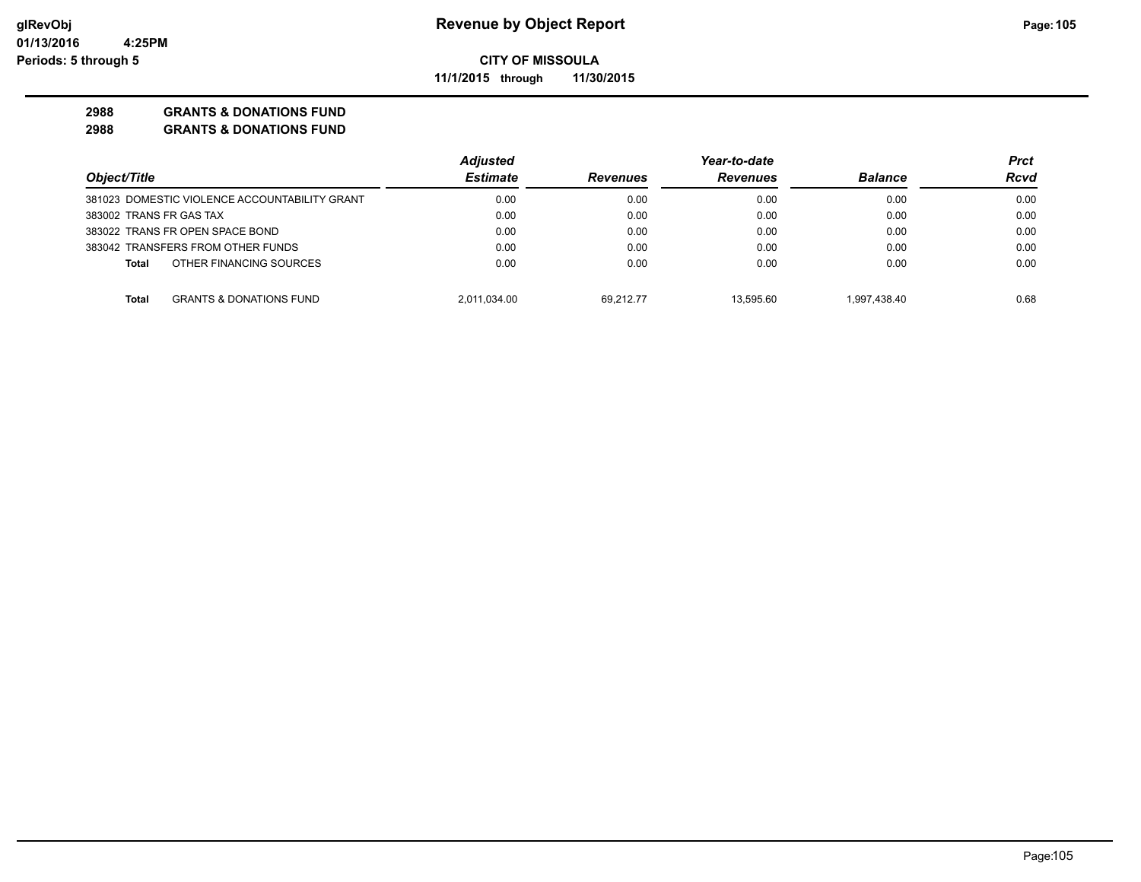**11/1/2015 through 11/30/2015**

## **2988 GRANTS & DONATIONS FUND**

|                                                    | <b>Adjusted</b> |                 | Year-to-date    |                | Prct |
|----------------------------------------------------|-----------------|-----------------|-----------------|----------------|------|
| Object/Title                                       | <b>Estimate</b> | <b>Revenues</b> | <b>Revenues</b> | <b>Balance</b> | Rcvd |
| 381023 DOMESTIC VIOLENCE ACCOUNTABILITY GRANT      | 0.00            | 0.00            | 0.00            | 0.00           | 0.00 |
| 383002 TRANS FR GAS TAX                            | 0.00            | 0.00            | 0.00            | 0.00           | 0.00 |
| 383022 TRANS FR OPEN SPACE BOND                    | 0.00            | 0.00            | 0.00            | 0.00           | 0.00 |
| 383042 TRANSFERS FROM OTHER FUNDS                  | 0.00            | 0.00            | 0.00            | 0.00           | 0.00 |
| OTHER FINANCING SOURCES<br>Total                   | 0.00            | 0.00            | 0.00            | 0.00           | 0.00 |
| <b>GRANTS &amp; DONATIONS FUND</b><br><b>Total</b> | 2,011,034.00    | 69.212.77       | 13.595.60       | 1.997.438.40   | 0.68 |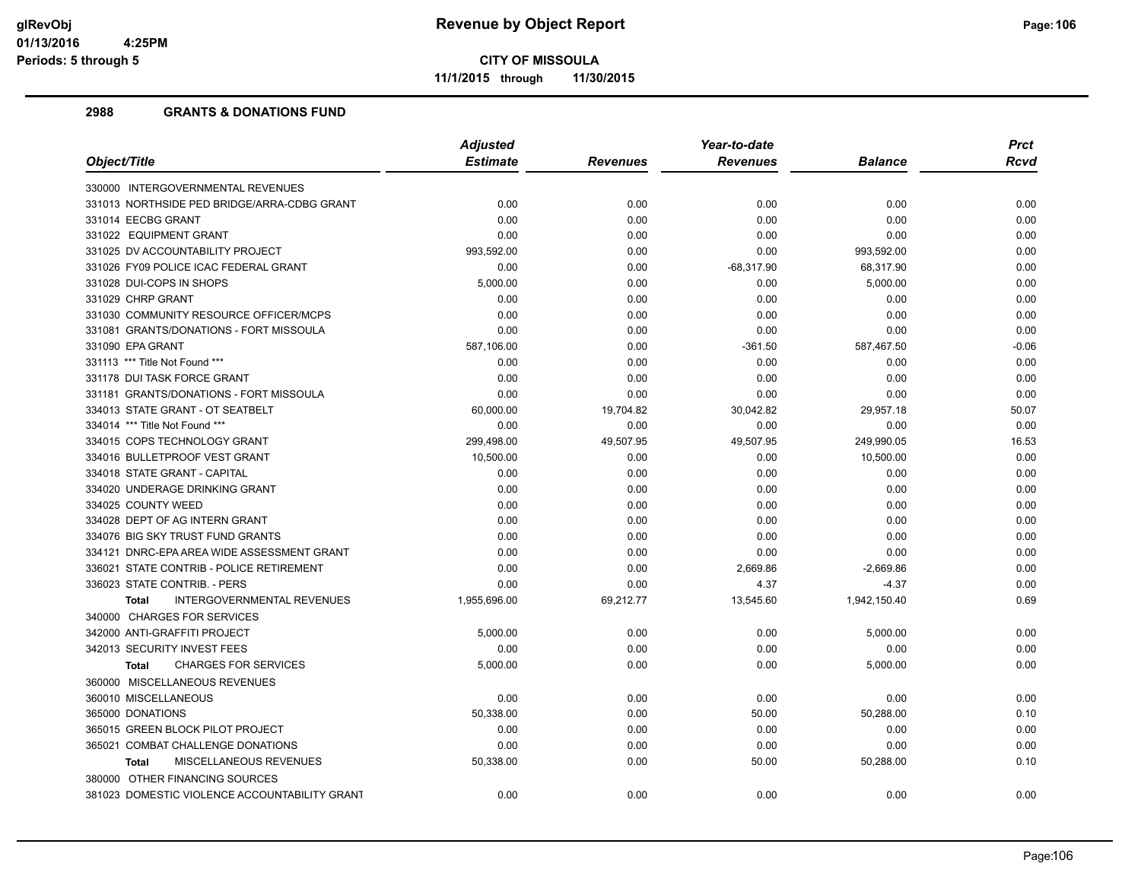**11/1/2015 through 11/30/2015**

|                                                   | <b>Adjusted</b> |                 | Year-to-date    |                | <b>Prct</b> |
|---------------------------------------------------|-----------------|-----------------|-----------------|----------------|-------------|
| Object/Title                                      | <b>Estimate</b> | <b>Revenues</b> | <b>Revenues</b> | <b>Balance</b> | Rcvd        |
| 330000 INTERGOVERNMENTAL REVENUES                 |                 |                 |                 |                |             |
| 331013 NORTHSIDE PED BRIDGE/ARRA-CDBG GRANT       | 0.00            | 0.00            | 0.00            | 0.00           | 0.00        |
| 331014 EECBG GRANT                                | 0.00            | 0.00            | 0.00            | 0.00           | 0.00        |
| 331022 EQUIPMENT GRANT                            | 0.00            | 0.00            | 0.00            | 0.00           | 0.00        |
| 331025 DV ACCOUNTABILITY PROJECT                  | 993,592.00      | 0.00            | 0.00            | 993,592.00     | 0.00        |
| 331026 FY09 POLICE ICAC FEDERAL GRANT             | 0.00            | 0.00            | $-68,317.90$    | 68.317.90      | 0.00        |
| 331028 DUI-COPS IN SHOPS                          | 5,000.00        | 0.00            | 0.00            | 5,000.00       | 0.00        |
| 331029 CHRP GRANT                                 | 0.00            | 0.00            | 0.00            | 0.00           | 0.00        |
| 331030 COMMUNITY RESOURCE OFFICER/MCPS            | 0.00            | 0.00            | 0.00            | 0.00           | 0.00        |
| 331081 GRANTS/DONATIONS - FORT MISSOULA           | 0.00            | 0.00            | 0.00            | 0.00           | 0.00        |
| 331090 EPA GRANT                                  | 587,106.00      | 0.00            | $-361.50$       | 587,467.50     | $-0.06$     |
| 331113 *** Title Not Found ***                    | 0.00            | 0.00            | 0.00            | 0.00           | 0.00        |
| 331178 DUI TASK FORCE GRANT                       | 0.00            | 0.00            | 0.00            | 0.00           | 0.00        |
| 331181 GRANTS/DONATIONS - FORT MISSOULA           | 0.00            | 0.00            | 0.00            | 0.00           | 0.00        |
| 334013 STATE GRANT - OT SEATBELT                  | 60,000.00       | 19,704.82       | 30,042.82       | 29,957.18      | 50.07       |
| 334014 *** Title Not Found ***                    | 0.00            | 0.00            | 0.00            | 0.00           | 0.00        |
| 334015 COPS TECHNOLOGY GRANT                      | 299,498.00      | 49,507.95       | 49,507.95       | 249,990.05     | 16.53       |
| 334016 BULLETPROOF VEST GRANT                     | 10,500.00       | 0.00            | 0.00            | 10,500.00      | 0.00        |
| 334018 STATE GRANT - CAPITAL                      | 0.00            | 0.00            | 0.00            | 0.00           | 0.00        |
| 334020 UNDERAGE DRINKING GRANT                    | 0.00            | 0.00            | 0.00            | 0.00           | 0.00        |
| 334025 COUNTY WEED                                | 0.00            | 0.00            | 0.00            | 0.00           | 0.00        |
| 334028 DEPT OF AG INTERN GRANT                    | 0.00            | 0.00            | 0.00            | 0.00           | 0.00        |
| 334076 BIG SKY TRUST FUND GRANTS                  | 0.00            | 0.00            | 0.00            | 0.00           | 0.00        |
| 334121 DNRC-EPA AREA WIDE ASSESSMENT GRANT        | 0.00            | 0.00            | 0.00            | 0.00           | 0.00        |
| 336021 STATE CONTRIB - POLICE RETIREMENT          | 0.00            | 0.00            | 2,669.86        | $-2,669.86$    | 0.00        |
| 336023 STATE CONTRIB. - PERS                      | 0.00            | 0.00            | 4.37            | $-4.37$        | 0.00        |
| <b>INTERGOVERNMENTAL REVENUES</b><br><b>Total</b> | 1,955,696.00    | 69,212.77       | 13,545.60       | 1,942,150.40   | 0.69        |
| 340000 CHARGES FOR SERVICES                       |                 |                 |                 |                |             |
| 342000 ANTI-GRAFFITI PROJECT                      | 5,000.00        | 0.00            | 0.00            | 5,000.00       | 0.00        |
| 342013 SECURITY INVEST FEES                       | 0.00            | 0.00            | 0.00            | 0.00           | 0.00        |
| <b>CHARGES FOR SERVICES</b><br><b>Total</b>       | 5,000.00        | 0.00            | 0.00            | 5,000.00       | 0.00        |
| 360000 MISCELLANEOUS REVENUES                     |                 |                 |                 |                |             |
| 360010 MISCELLANEOUS                              | 0.00            | 0.00            | 0.00            | 0.00           | 0.00        |
| 365000 DONATIONS                                  | 50,338.00       | 0.00            | 50.00           | 50,288.00      | 0.10        |
| 365015 GREEN BLOCK PILOT PROJECT                  | 0.00            | 0.00            | 0.00            | 0.00           | 0.00        |
| 365021 COMBAT CHALLENGE DONATIONS                 | 0.00            | 0.00            | 0.00            | 0.00           | 0.00        |
| MISCELLANEOUS REVENUES<br><b>Total</b>            | 50,338.00       | 0.00            | 50.00           | 50,288.00      | 0.10        |
| 380000 OTHER FINANCING SOURCES                    |                 |                 |                 |                |             |
| 381023 DOMESTIC VIOLENCE ACCOUNTABILITY GRANT     | 0.00            | 0.00            | 0.00            | 0.00           | 0.00        |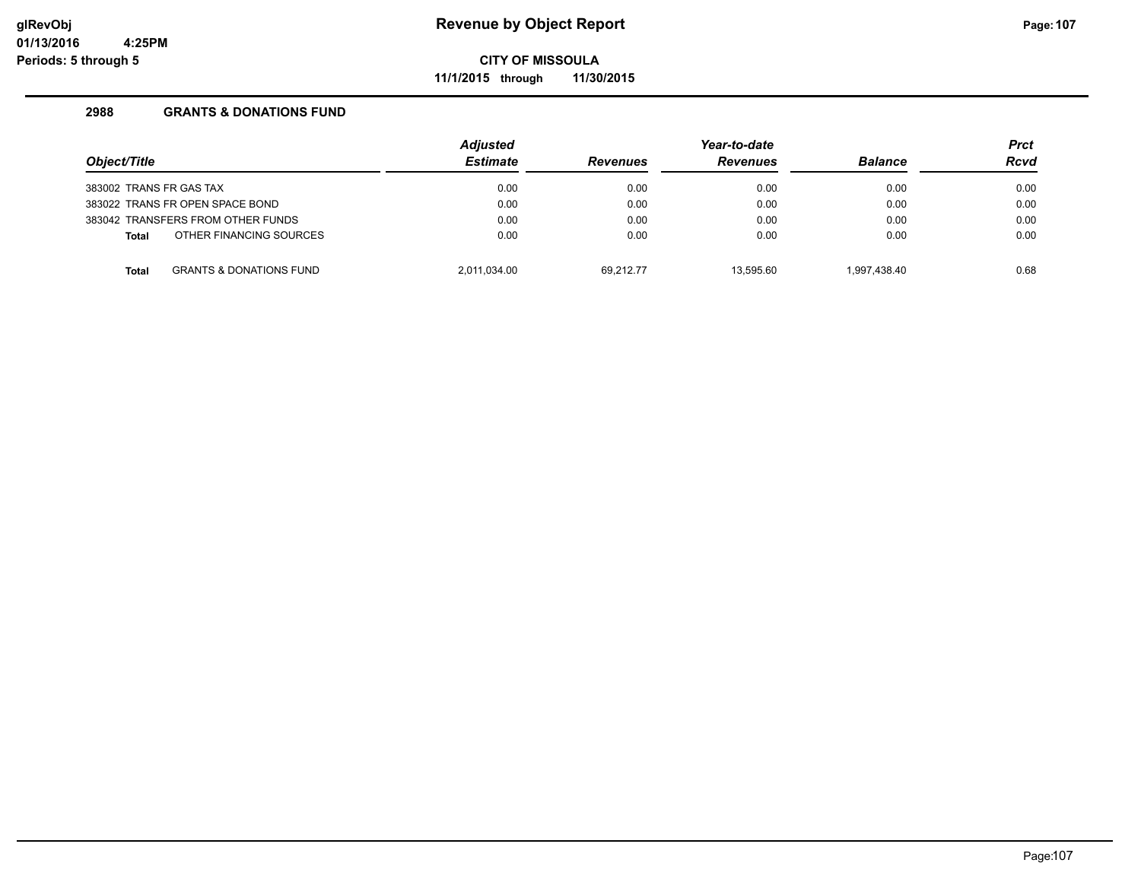**11/1/2015 through 11/30/2015**

| Object/Title                                       | <b>Adjusted</b><br><b>Estimate</b> | <b>Revenues</b> | Year-to-date<br><b>Revenues</b> | <b>Balance</b> | <b>Prct</b><br><b>Rcvd</b> |
|----------------------------------------------------|------------------------------------|-----------------|---------------------------------|----------------|----------------------------|
| 383002 TRANS FR GAS TAX                            | 0.00                               | 0.00            | 0.00                            | 0.00           | 0.00                       |
| 383022 TRANS FR OPEN SPACE BOND                    | 0.00                               | 0.00            | 0.00                            | 0.00           | 0.00                       |
| 383042 TRANSFERS FROM OTHER FUNDS                  | 0.00                               | 0.00            | 0.00                            | 0.00           | 0.00                       |
| OTHER FINANCING SOURCES<br><b>Total</b>            | 0.00                               | 0.00            | 0.00                            | 0.00           | 0.00                       |
| <b>GRANTS &amp; DONATIONS FUND</b><br><b>Total</b> | 2.011.034.00                       | 69.212.77       | 13.595.60                       | 1.997.438.40   | 0.68                       |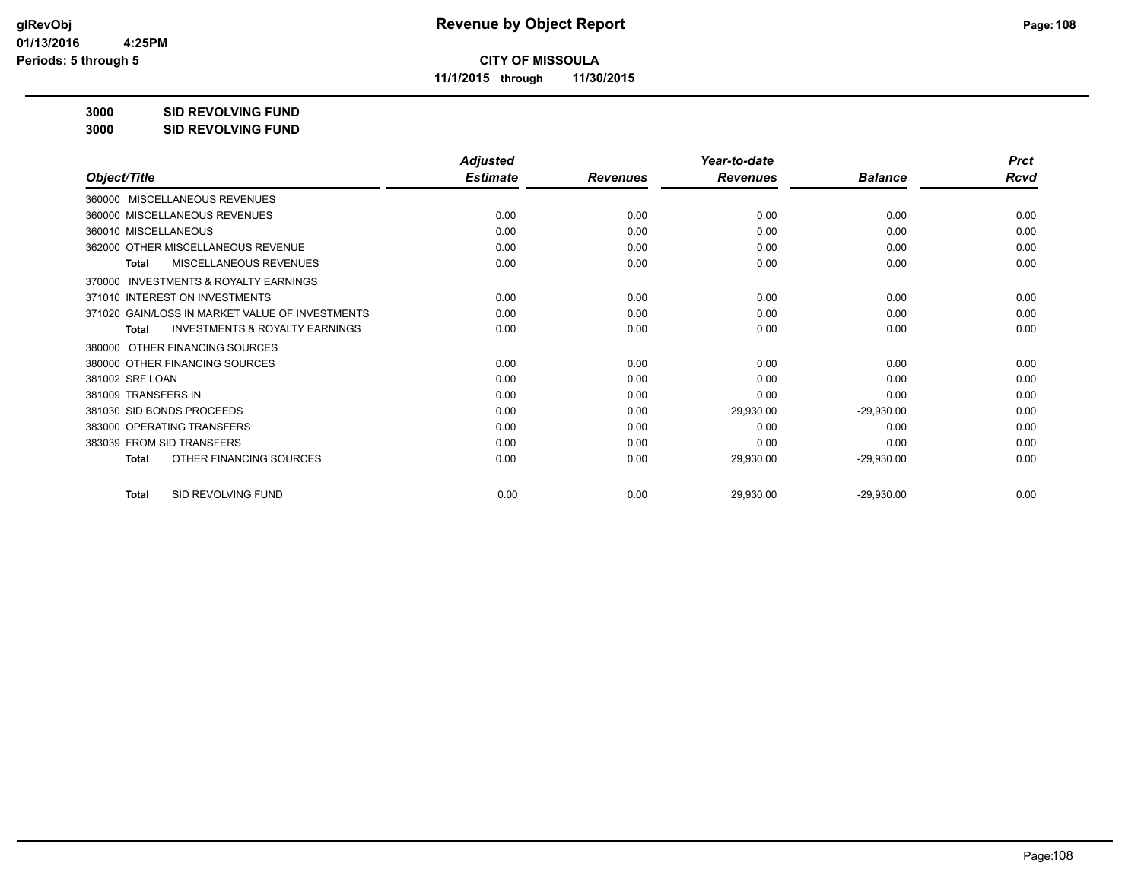**11/1/2015 through 11/30/2015**

**3000 SID REVOLVING FUND**

**3000 SID REVOLVING FUND**

|                                                     | <b>Adjusted</b> |                 | Year-to-date    |                | <b>Prct</b> |
|-----------------------------------------------------|-----------------|-----------------|-----------------|----------------|-------------|
| Object/Title                                        | <b>Estimate</b> | <b>Revenues</b> | <b>Revenues</b> | <b>Balance</b> | <b>Rcvd</b> |
| MISCELLANEOUS REVENUES<br>360000                    |                 |                 |                 |                |             |
| 360000 MISCELLANEOUS REVENUES                       | 0.00            | 0.00            | 0.00            | 0.00           | 0.00        |
| 360010 MISCELLANEOUS                                | 0.00            | 0.00            | 0.00            | 0.00           | 0.00        |
| 362000 OTHER MISCELLANEOUS REVENUE                  | 0.00            | 0.00            | 0.00            | 0.00           | 0.00        |
| <b>MISCELLANEOUS REVENUES</b><br>Total              | 0.00            | 0.00            | 0.00            | 0.00           | 0.00        |
| <b>INVESTMENTS &amp; ROYALTY EARNINGS</b><br>370000 |                 |                 |                 |                |             |
| 371010 INTEREST ON INVESTMENTS                      | 0.00            | 0.00            | 0.00            | 0.00           | 0.00        |
| 371020 GAIN/LOSS IN MARKET VALUE OF INVESTMENTS     | 0.00            | 0.00            | 0.00            | 0.00           | 0.00        |
| <b>INVESTMENTS &amp; ROYALTY EARNINGS</b><br>Total  | 0.00            | 0.00            | 0.00            | 0.00           | 0.00        |
| OTHER FINANCING SOURCES<br>380000                   |                 |                 |                 |                |             |
| 380000 OTHER FINANCING SOURCES                      | 0.00            | 0.00            | 0.00            | 0.00           | 0.00        |
| 381002 SRF LOAN                                     | 0.00            | 0.00            | 0.00            | 0.00           | 0.00        |
| 381009 TRANSFERS IN                                 | 0.00            | 0.00            | 0.00            | 0.00           | 0.00        |
| 381030 SID BONDS PROCEEDS                           | 0.00            | 0.00            | 29,930.00       | $-29,930.00$   | 0.00        |
| 383000 OPERATING TRANSFERS                          | 0.00            | 0.00            | 0.00            | 0.00           | 0.00        |
| 383039 FROM SID TRANSFERS                           | 0.00            | 0.00            | 0.00            | 0.00           | 0.00        |
| OTHER FINANCING SOURCES<br><b>Total</b>             | 0.00            | 0.00            | 29,930.00       | $-29,930.00$   | 0.00        |
| SID REVOLVING FUND<br><b>Total</b>                  | 0.00            | 0.00            | 29,930.00       | $-29,930.00$   | 0.00        |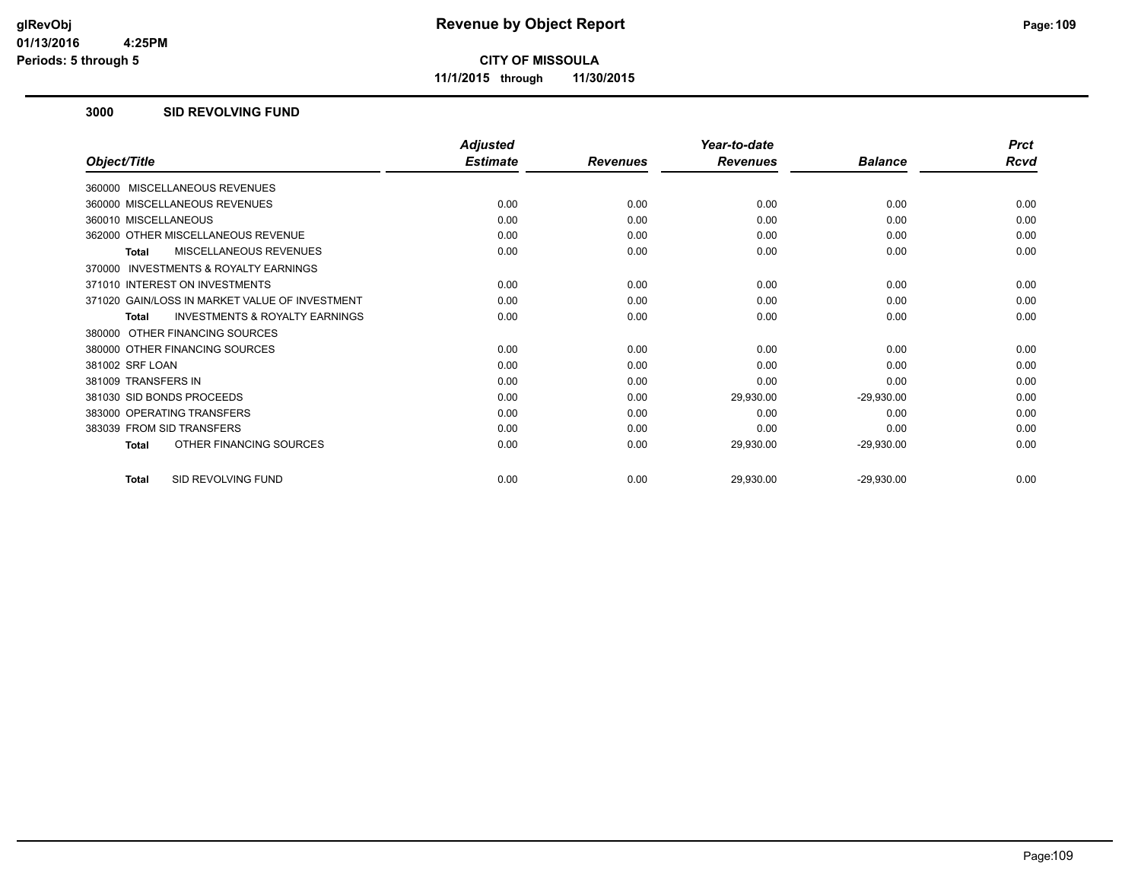**11/1/2015 through 11/30/2015**

### **3000 SID REVOLVING FUND**

|                                                     | <b>Adjusted</b> |                 | Year-to-date    |                | <b>Prct</b> |
|-----------------------------------------------------|-----------------|-----------------|-----------------|----------------|-------------|
| Object/Title                                        | <b>Estimate</b> | <b>Revenues</b> | <b>Revenues</b> | <b>Balance</b> | Rcvd        |
| 360000 MISCELLANEOUS REVENUES                       |                 |                 |                 |                |             |
| 360000 MISCELLANEOUS REVENUES                       | 0.00            | 0.00            | 0.00            | 0.00           | 0.00        |
| 360010 MISCELLANEOUS                                | 0.00            | 0.00            | 0.00            | 0.00           | 0.00        |
| 362000 OTHER MISCELLANEOUS REVENUE                  | 0.00            | 0.00            | 0.00            | 0.00           | 0.00        |
| MISCELLANEOUS REVENUES<br>Total                     | 0.00            | 0.00            | 0.00            | 0.00           | 0.00        |
| <b>INVESTMENTS &amp; ROYALTY EARNINGS</b><br>370000 |                 |                 |                 |                |             |
| 371010 INTEREST ON INVESTMENTS                      | 0.00            | 0.00            | 0.00            | 0.00           | 0.00        |
| 371020 GAIN/LOSS IN MARKET VALUE OF INVESTMENT      | 0.00            | 0.00            | 0.00            | 0.00           | 0.00        |
| <b>INVESTMENTS &amp; ROYALTY EARNINGS</b><br>Total  | 0.00            | 0.00            | 0.00            | 0.00           | 0.00        |
| 380000 OTHER FINANCING SOURCES                      |                 |                 |                 |                |             |
| 380000 OTHER FINANCING SOURCES                      | 0.00            | 0.00            | 0.00            | 0.00           | 0.00        |
| 381002 SRF LOAN                                     | 0.00            | 0.00            | 0.00            | 0.00           | 0.00        |
| 381009 TRANSFERS IN                                 | 0.00            | 0.00            | 0.00            | 0.00           | 0.00        |
| 381030 SID BONDS PROCEEDS                           | 0.00            | 0.00            | 29,930.00       | $-29,930.00$   | 0.00        |
| 383000 OPERATING TRANSFERS                          | 0.00            | 0.00            | 0.00            | 0.00           | 0.00        |
| 383039 FROM SID TRANSFERS                           | 0.00            | 0.00            | 0.00            | 0.00           | 0.00        |
| OTHER FINANCING SOURCES<br><b>Total</b>             | 0.00            | 0.00            | 29,930.00       | $-29,930.00$   | 0.00        |
| SID REVOLVING FUND<br><b>Total</b>                  | 0.00            | 0.00            | 29,930.00       | $-29,930.00$   | 0.00        |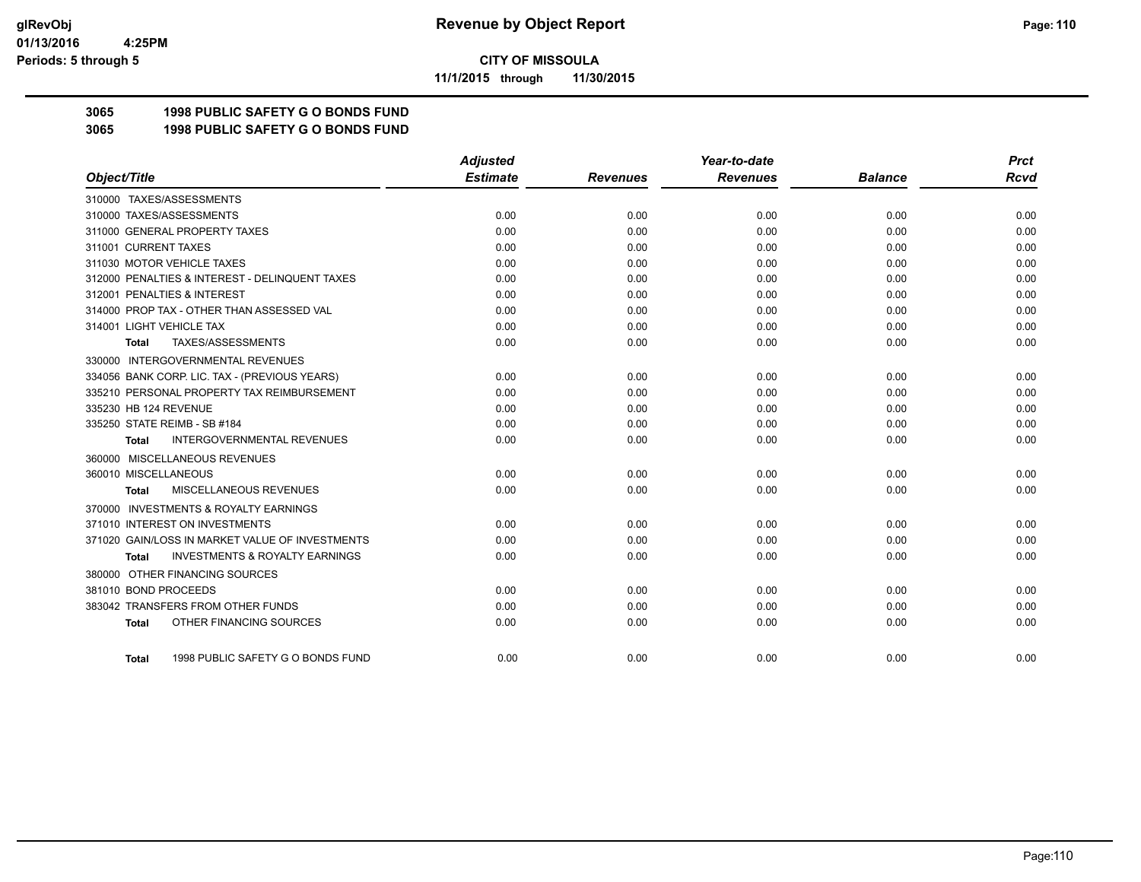**11/1/2015 through 11/30/2015**

## **3065 1998 PUBLIC SAFETY G O BONDS FUND**

**3065 1998 PUBLIC SAFETY G O BONDS FUND**

|                                                     | <b>Adjusted</b> |                 | Year-to-date    |                | <b>Prct</b> |
|-----------------------------------------------------|-----------------|-----------------|-----------------|----------------|-------------|
| Object/Title                                        | <b>Estimate</b> | <b>Revenues</b> | <b>Revenues</b> | <b>Balance</b> | Rcvd        |
| 310000 TAXES/ASSESSMENTS                            |                 |                 |                 |                |             |
| 310000 TAXES/ASSESSMENTS                            | 0.00            | 0.00            | 0.00            | 0.00           | 0.00        |
| 311000 GENERAL PROPERTY TAXES                       | 0.00            | 0.00            | 0.00            | 0.00           | 0.00        |
| 311001 CURRENT TAXES                                | 0.00            | 0.00            | 0.00            | 0.00           | 0.00        |
| 311030 MOTOR VEHICLE TAXES                          | 0.00            | 0.00            | 0.00            | 0.00           | 0.00        |
| 312000 PENALTIES & INTEREST - DELINQUENT TAXES      | 0.00            | 0.00            | 0.00            | 0.00           | 0.00        |
| 312001 PENALTIES & INTEREST                         | 0.00            | 0.00            | 0.00            | 0.00           | 0.00        |
| 314000 PROP TAX - OTHER THAN ASSESSED VAL           | 0.00            | 0.00            | 0.00            | 0.00           | 0.00        |
| 314001 LIGHT VEHICLE TAX                            | 0.00            | 0.00            | 0.00            | 0.00           | 0.00        |
| TAXES/ASSESSMENTS<br>Total                          | 0.00            | 0.00            | 0.00            | 0.00           | 0.00        |
| 330000 INTERGOVERNMENTAL REVENUES                   |                 |                 |                 |                |             |
| 334056 BANK CORP. LIC. TAX - (PREVIOUS YEARS)       | 0.00            | 0.00            | 0.00            | 0.00           | 0.00        |
| 335210 PERSONAL PROPERTY TAX REIMBURSEMENT          | 0.00            | 0.00            | 0.00            | 0.00           | 0.00        |
| 335230 HB 124 REVENUE                               | 0.00            | 0.00            | 0.00            | 0.00           | 0.00        |
| 335250 STATE REIMB - SB #184                        | 0.00            | 0.00            | 0.00            | 0.00           | 0.00        |
| <b>INTERGOVERNMENTAL REVENUES</b><br><b>Total</b>   | 0.00            | 0.00            | 0.00            | 0.00           | 0.00        |
| 360000 MISCELLANEOUS REVENUES                       |                 |                 |                 |                |             |
| 360010 MISCELLANEOUS                                | 0.00            | 0.00            | 0.00            | 0.00           | 0.00        |
| MISCELLANEOUS REVENUES<br>Total                     | 0.00            | 0.00            | 0.00            | 0.00           | 0.00        |
| <b>INVESTMENTS &amp; ROYALTY EARNINGS</b><br>370000 |                 |                 |                 |                |             |
| 371010 INTEREST ON INVESTMENTS                      | 0.00            | 0.00            | 0.00            | 0.00           | 0.00        |
| 371020 GAIN/LOSS IN MARKET VALUE OF INVESTMENTS     | 0.00            | 0.00            | 0.00            | 0.00           | 0.00        |
| <b>INVESTMENTS &amp; ROYALTY EARNINGS</b><br>Total  | 0.00            | 0.00            | 0.00            | 0.00           | 0.00        |
| 380000 OTHER FINANCING SOURCES                      |                 |                 |                 |                |             |
| 381010 BOND PROCEEDS                                | 0.00            | 0.00            | 0.00            | 0.00           | 0.00        |
| 383042 TRANSFERS FROM OTHER FUNDS                   | 0.00            | 0.00            | 0.00            | 0.00           | 0.00        |
| OTHER FINANCING SOURCES<br><b>Total</b>             | 0.00            | 0.00            | 0.00            | 0.00           | 0.00        |
| 1998 PUBLIC SAFETY G O BONDS FUND<br>Total          | 0.00            | 0.00            | 0.00            | 0.00           | 0.00        |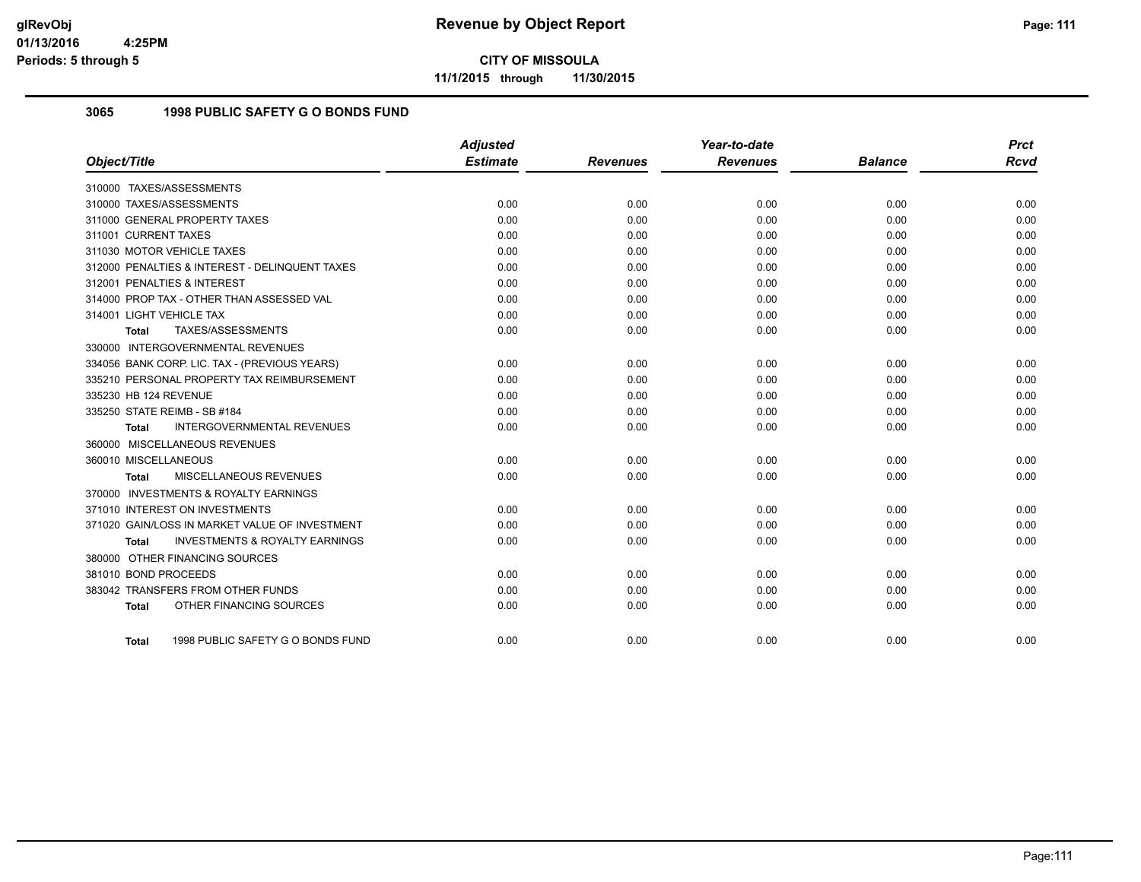**11/1/2015 through 11/30/2015**

### **3065 1998 PUBLIC SAFETY G O BONDS FUND**

|                                                           | <b>Adjusted</b> |                 | Year-to-date    |                | <b>Prct</b> |
|-----------------------------------------------------------|-----------------|-----------------|-----------------|----------------|-------------|
| Object/Title                                              | <b>Estimate</b> | <b>Revenues</b> | <b>Revenues</b> | <b>Balance</b> | Rcvd        |
| 310000 TAXES/ASSESSMENTS                                  |                 |                 |                 |                |             |
| 310000 TAXES/ASSESSMENTS                                  | 0.00            | 0.00            | 0.00            | 0.00           | 0.00        |
| 311000 GENERAL PROPERTY TAXES                             | 0.00            | 0.00            | 0.00            | 0.00           | 0.00        |
| 311001 CURRENT TAXES                                      | 0.00            | 0.00            | 0.00            | 0.00           | 0.00        |
| 311030 MOTOR VEHICLE TAXES                                | 0.00            | 0.00            | 0.00            | 0.00           | 0.00        |
| 312000 PENALTIES & INTEREST - DELINQUENT TAXES            | 0.00            | 0.00            | 0.00            | 0.00           | 0.00        |
| 312001 PENALTIES & INTEREST                               | 0.00            | 0.00            | 0.00            | 0.00           | 0.00        |
| 314000 PROP TAX - OTHER THAN ASSESSED VAL                 | 0.00            | 0.00            | 0.00            | 0.00           | 0.00        |
| 314001 LIGHT VEHICLE TAX                                  | 0.00            | 0.00            | 0.00            | 0.00           | 0.00        |
| TAXES/ASSESSMENTS<br><b>Total</b>                         | 0.00            | 0.00            | 0.00            | 0.00           | 0.00        |
| 330000 INTERGOVERNMENTAL REVENUES                         |                 |                 |                 |                |             |
| 334056 BANK CORP. LIC. TAX - (PREVIOUS YEARS)             | 0.00            | 0.00            | 0.00            | 0.00           | 0.00        |
| 335210 PERSONAL PROPERTY TAX REIMBURSEMENT                | 0.00            | 0.00            | 0.00            | 0.00           | 0.00        |
| 335230 HB 124 REVENUE                                     | 0.00            | 0.00            | 0.00            | 0.00           | 0.00        |
| 335250 STATE REIMB - SB #184                              | 0.00            | 0.00            | 0.00            | 0.00           | 0.00        |
| <b>INTERGOVERNMENTAL REVENUES</b><br><b>Total</b>         | 0.00            | 0.00            | 0.00            | 0.00           | 0.00        |
| 360000 MISCELLANEOUS REVENUES                             |                 |                 |                 |                |             |
| 360010 MISCELLANEOUS                                      | 0.00            | 0.00            | 0.00            | 0.00           | 0.00        |
| MISCELLANEOUS REVENUES<br><b>Total</b>                    | 0.00            | 0.00            | 0.00            | 0.00           | 0.00        |
| 370000 INVESTMENTS & ROYALTY EARNINGS                     |                 |                 |                 |                |             |
| 371010 INTEREST ON INVESTMENTS                            | 0.00            | 0.00            | 0.00            | 0.00           | 0.00        |
| 371020 GAIN/LOSS IN MARKET VALUE OF INVESTMENT            | 0.00            | 0.00            | 0.00            | 0.00           | 0.00        |
| <b>INVESTMENTS &amp; ROYALTY EARNINGS</b><br><b>Total</b> | 0.00            | 0.00            | 0.00            | 0.00           | 0.00        |
| 380000 OTHER FINANCING SOURCES                            |                 |                 |                 |                |             |
| 381010 BOND PROCEEDS                                      | 0.00            | 0.00            | 0.00            | 0.00           | 0.00        |
| 383042 TRANSFERS FROM OTHER FUNDS                         | 0.00            | 0.00            | 0.00            | 0.00           | 0.00        |
| OTHER FINANCING SOURCES<br><b>Total</b>                   | 0.00            | 0.00            | 0.00            | 0.00           | 0.00        |
|                                                           |                 |                 |                 |                |             |
| 1998 PUBLIC SAFETY G O BONDS FUND<br>Total                | 0.00            | 0.00            | 0.00            | 0.00           | 0.00        |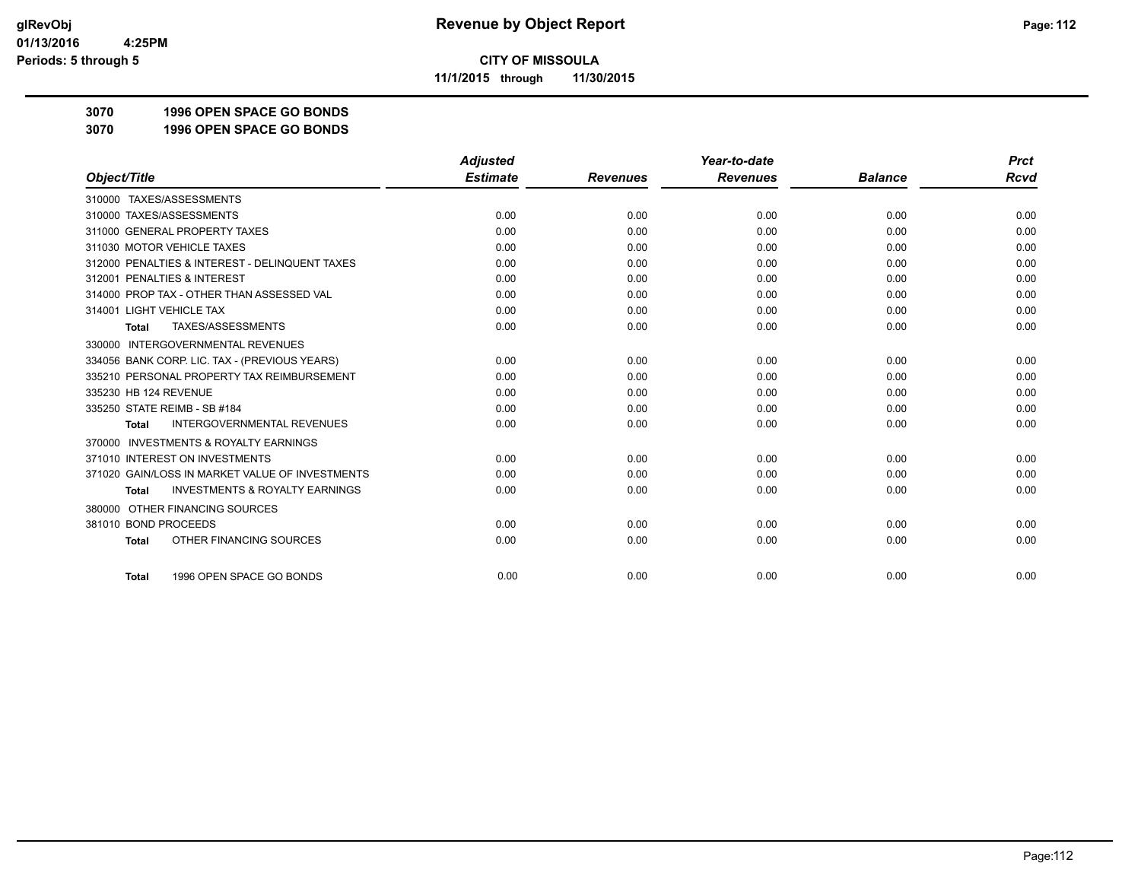**11/1/2015 through 11/30/2015**

**3070 1996 OPEN SPACE GO BONDS**

**3070 1996 OPEN SPACE GO BONDS**

|                                                           | <b>Adjusted</b> |                 | Year-to-date    |                | <b>Prct</b> |
|-----------------------------------------------------------|-----------------|-----------------|-----------------|----------------|-------------|
| Object/Title                                              | <b>Estimate</b> | <b>Revenues</b> | <b>Revenues</b> | <b>Balance</b> | <b>Rcvd</b> |
| 310000 TAXES/ASSESSMENTS                                  |                 |                 |                 |                |             |
| 310000 TAXES/ASSESSMENTS                                  | 0.00            | 0.00            | 0.00            | 0.00           | 0.00        |
| 311000 GENERAL PROPERTY TAXES                             | 0.00            | 0.00            | 0.00            | 0.00           | 0.00        |
| 311030 MOTOR VEHICLE TAXES                                | 0.00            | 0.00            | 0.00            | 0.00           | 0.00        |
| 312000 PENALTIES & INTEREST - DELINQUENT TAXES            | 0.00            | 0.00            | 0.00            | 0.00           | 0.00        |
| 312001 PENALTIES & INTEREST                               | 0.00            | 0.00            | 0.00            | 0.00           | 0.00        |
| 314000 PROP TAX - OTHER THAN ASSESSED VAL                 | 0.00            | 0.00            | 0.00            | 0.00           | 0.00        |
| 314001 LIGHT VEHICLE TAX                                  | 0.00            | 0.00            | 0.00            | 0.00           | 0.00        |
| TAXES/ASSESSMENTS<br><b>Total</b>                         | 0.00            | 0.00            | 0.00            | 0.00           | 0.00        |
| 330000 INTERGOVERNMENTAL REVENUES                         |                 |                 |                 |                |             |
| 334056 BANK CORP. LIC. TAX - (PREVIOUS YEARS)             | 0.00            | 0.00            | 0.00            | 0.00           | 0.00        |
| 335210 PERSONAL PROPERTY TAX REIMBURSEMENT                | 0.00            | 0.00            | 0.00            | 0.00           | 0.00        |
| 335230 HB 124 REVENUE                                     | 0.00            | 0.00            | 0.00            | 0.00           | 0.00        |
| 335250 STATE REIMB - SB #184                              | 0.00            | 0.00            | 0.00            | 0.00           | 0.00        |
| <b>INTERGOVERNMENTAL REVENUES</b><br><b>Total</b>         | 0.00            | 0.00            | 0.00            | 0.00           | 0.00        |
| <b>INVESTMENTS &amp; ROYALTY EARNINGS</b><br>370000       |                 |                 |                 |                |             |
| 371010 INTEREST ON INVESTMENTS                            | 0.00            | 0.00            | 0.00            | 0.00           | 0.00        |
| 371020 GAIN/LOSS IN MARKET VALUE OF INVESTMENTS           | 0.00            | 0.00            | 0.00            | 0.00           | 0.00        |
| <b>INVESTMENTS &amp; ROYALTY EARNINGS</b><br><b>Total</b> | 0.00            | 0.00            | 0.00            | 0.00           | 0.00        |
| OTHER FINANCING SOURCES<br>380000                         |                 |                 |                 |                |             |
| 381010 BOND PROCEEDS                                      | 0.00            | 0.00            | 0.00            | 0.00           | 0.00        |
| OTHER FINANCING SOURCES<br><b>Total</b>                   | 0.00            | 0.00            | 0.00            | 0.00           | 0.00        |
| 1996 OPEN SPACE GO BONDS<br><b>Total</b>                  | 0.00            | 0.00            | 0.00            | 0.00           | 0.00        |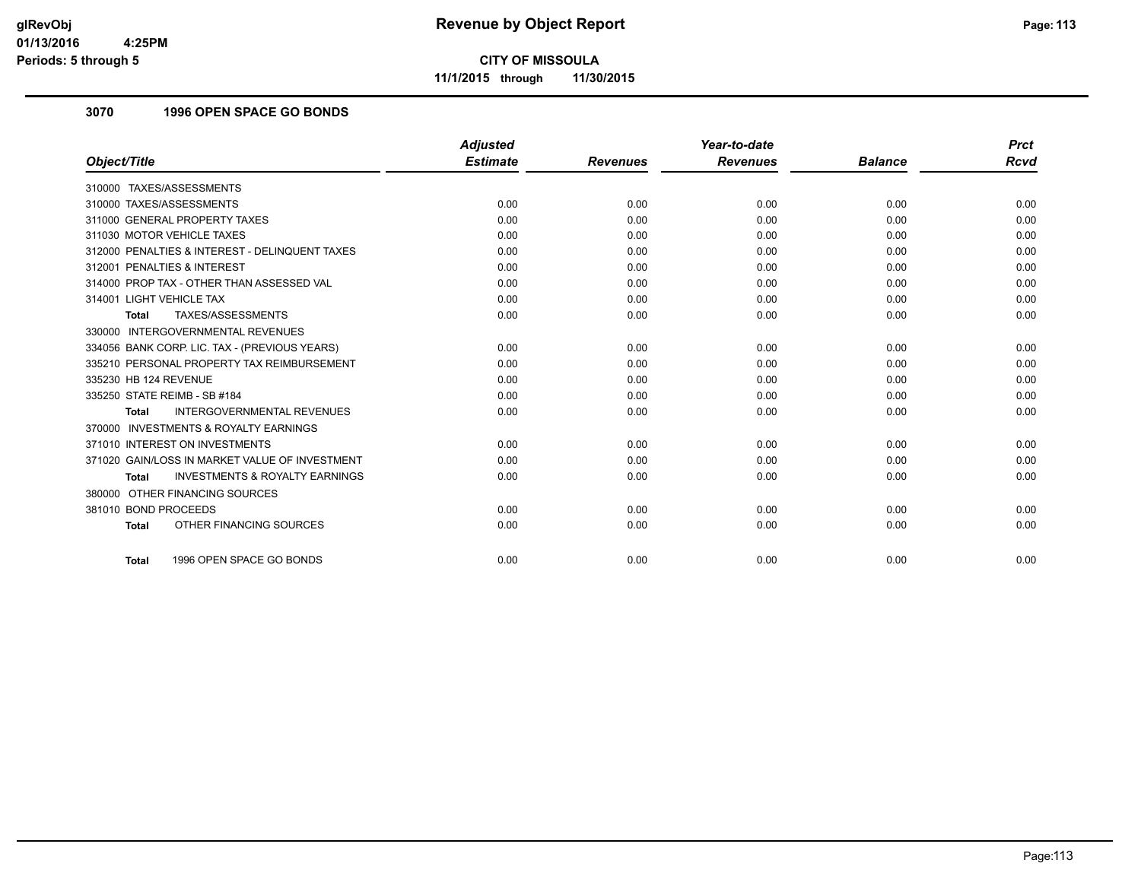**11/1/2015 through 11/30/2015**

### **3070 1996 OPEN SPACE GO BONDS**

|                                                           | <b>Adjusted</b> |                 | Year-to-date    |                | <b>Prct</b> |
|-----------------------------------------------------------|-----------------|-----------------|-----------------|----------------|-------------|
| Object/Title                                              | <b>Estimate</b> | <b>Revenues</b> | <b>Revenues</b> | <b>Balance</b> | <b>Rcvd</b> |
| 310000 TAXES/ASSESSMENTS                                  |                 |                 |                 |                |             |
| 310000 TAXES/ASSESSMENTS                                  | 0.00            | 0.00            | 0.00            | 0.00           | 0.00        |
| 311000 GENERAL PROPERTY TAXES                             | 0.00            | 0.00            | 0.00            | 0.00           | 0.00        |
| 311030 MOTOR VEHICLE TAXES                                | 0.00            | 0.00            | 0.00            | 0.00           | 0.00        |
| 312000 PENALTIES & INTEREST - DELINQUENT TAXES            | 0.00            | 0.00            | 0.00            | 0.00           | 0.00        |
| 312001 PENALTIES & INTEREST                               | 0.00            | 0.00            | 0.00            | 0.00           | 0.00        |
| 314000 PROP TAX - OTHER THAN ASSESSED VAL                 | 0.00            | 0.00            | 0.00            | 0.00           | 0.00        |
| 314001 LIGHT VEHICLE TAX                                  | 0.00            | 0.00            | 0.00            | 0.00           | 0.00        |
| TAXES/ASSESSMENTS<br>Total                                | 0.00            | 0.00            | 0.00            | 0.00           | 0.00        |
| 330000 INTERGOVERNMENTAL REVENUES                         |                 |                 |                 |                |             |
| 334056 BANK CORP. LIC. TAX - (PREVIOUS YEARS)             | 0.00            | 0.00            | 0.00            | 0.00           | 0.00        |
| 335210 PERSONAL PROPERTY TAX REIMBURSEMENT                | 0.00            | 0.00            | 0.00            | 0.00           | 0.00        |
| 335230 HB 124 REVENUE                                     | 0.00            | 0.00            | 0.00            | 0.00           | 0.00        |
| 335250 STATE REIMB - SB #184                              | 0.00            | 0.00            | 0.00            | 0.00           | 0.00        |
| <b>INTERGOVERNMENTAL REVENUES</b><br><b>Total</b>         | 0.00            | 0.00            | 0.00            | 0.00           | 0.00        |
| 370000 INVESTMENTS & ROYALTY EARNINGS                     |                 |                 |                 |                |             |
| 371010 INTEREST ON INVESTMENTS                            | 0.00            | 0.00            | 0.00            | 0.00           | 0.00        |
| 371020 GAIN/LOSS IN MARKET VALUE OF INVESTMENT            | 0.00            | 0.00            | 0.00            | 0.00           | 0.00        |
| <b>INVESTMENTS &amp; ROYALTY EARNINGS</b><br><b>Total</b> | 0.00            | 0.00            | 0.00            | 0.00           | 0.00        |
| 380000 OTHER FINANCING SOURCES                            |                 |                 |                 |                |             |
| 381010 BOND PROCEEDS                                      | 0.00            | 0.00            | 0.00            | 0.00           | 0.00        |
| OTHER FINANCING SOURCES<br><b>Total</b>                   | 0.00            | 0.00            | 0.00            | 0.00           | 0.00        |
|                                                           |                 |                 |                 |                |             |
| 1996 OPEN SPACE GO BONDS<br><b>Total</b>                  | 0.00            | 0.00            | 0.00            | 0.00           | 0.00        |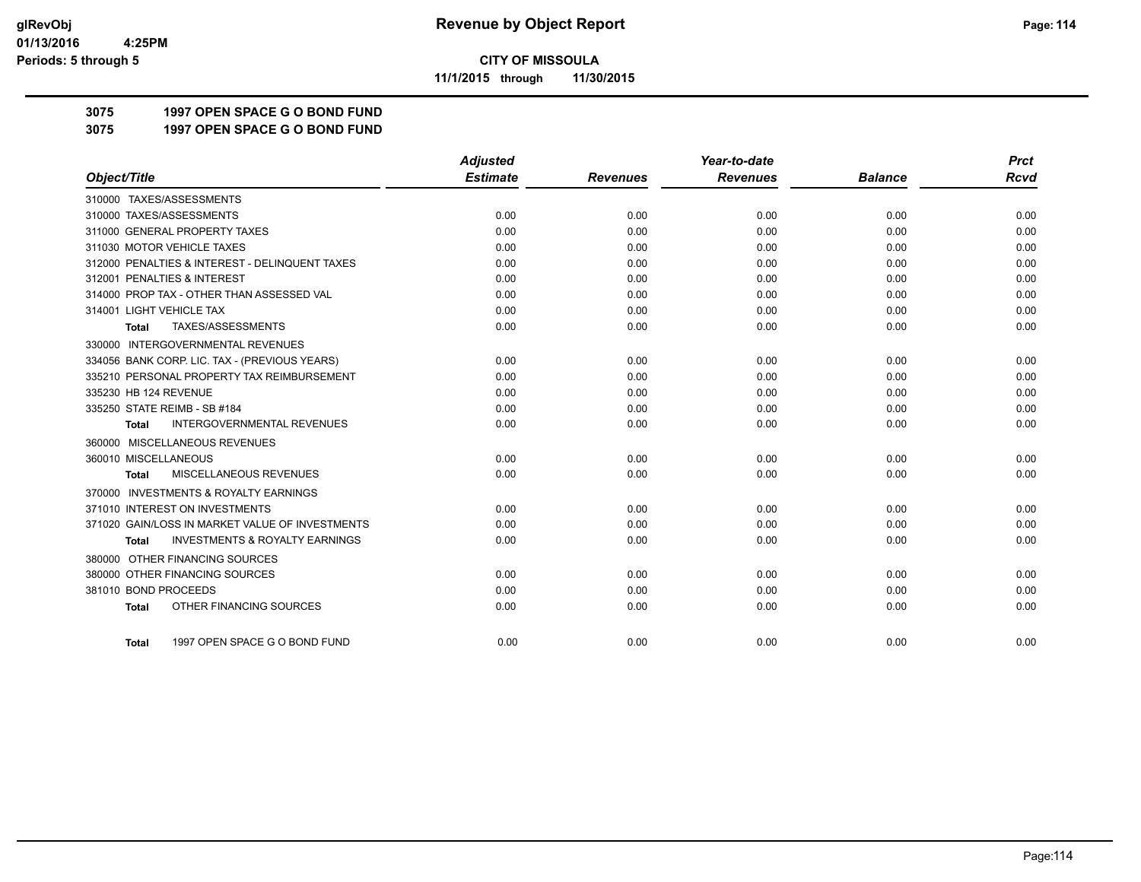**11/1/2015 through 11/30/2015**

### **3075 1997 OPEN SPACE G O BOND FUND**

**3075 1997 OPEN SPACE G O BOND FUND**

|                                                           | <b>Adjusted</b> |                 | Year-to-date    |                | <b>Prct</b> |
|-----------------------------------------------------------|-----------------|-----------------|-----------------|----------------|-------------|
| Object/Title                                              | <b>Estimate</b> | <b>Revenues</b> | <b>Revenues</b> | <b>Balance</b> | <b>Rcvd</b> |
| 310000 TAXES/ASSESSMENTS                                  |                 |                 |                 |                |             |
| 310000 TAXES/ASSESSMENTS                                  | 0.00            | 0.00            | 0.00            | 0.00           | 0.00        |
| 311000 GENERAL PROPERTY TAXES                             | 0.00            | 0.00            | 0.00            | 0.00           | 0.00        |
| 311030 MOTOR VEHICLE TAXES                                | 0.00            | 0.00            | 0.00            | 0.00           | 0.00        |
| 312000 PENALTIES & INTEREST - DELINQUENT TAXES            | 0.00            | 0.00            | 0.00            | 0.00           | 0.00        |
| 312001 PENALTIES & INTEREST                               | 0.00            | 0.00            | 0.00            | 0.00           | 0.00        |
| 314000 PROP TAX - OTHER THAN ASSESSED VAL                 | 0.00            | 0.00            | 0.00            | 0.00           | 0.00        |
| 314001 LIGHT VEHICLE TAX                                  | 0.00            | 0.00            | 0.00            | 0.00           | 0.00        |
| TAXES/ASSESSMENTS<br>Total                                | 0.00            | 0.00            | 0.00            | 0.00           | 0.00        |
| 330000 INTERGOVERNMENTAL REVENUES                         |                 |                 |                 |                |             |
| 334056 BANK CORP. LIC. TAX - (PREVIOUS YEARS)             | 0.00            | 0.00            | 0.00            | 0.00           | 0.00        |
| 335210 PERSONAL PROPERTY TAX REIMBURSEMENT                | 0.00            | 0.00            | 0.00            | 0.00           | 0.00        |
| 335230 HB 124 REVENUE                                     | 0.00            | 0.00            | 0.00            | 0.00           | 0.00        |
| 335250 STATE REIMB - SB #184                              | 0.00            | 0.00            | 0.00            | 0.00           | 0.00        |
| <b>INTERGOVERNMENTAL REVENUES</b><br>Total                | 0.00            | 0.00            | 0.00            | 0.00           | 0.00        |
| 360000 MISCELLANEOUS REVENUES                             |                 |                 |                 |                |             |
| 360010 MISCELLANEOUS                                      | 0.00            | 0.00            | 0.00            | 0.00           | 0.00        |
| MISCELLANEOUS REVENUES<br>Total                           | 0.00            | 0.00            | 0.00            | 0.00           | 0.00        |
| 370000 INVESTMENTS & ROYALTY EARNINGS                     |                 |                 |                 |                |             |
| 371010 INTEREST ON INVESTMENTS                            | 0.00            | 0.00            | 0.00            | 0.00           | 0.00        |
| 371020 GAIN/LOSS IN MARKET VALUE OF INVESTMENTS           | 0.00            | 0.00            | 0.00            | 0.00           | 0.00        |
| <b>INVESTMENTS &amp; ROYALTY EARNINGS</b><br><b>Total</b> | 0.00            | 0.00            | 0.00            | 0.00           | 0.00        |
| 380000 OTHER FINANCING SOURCES                            |                 |                 |                 |                |             |
| 380000 OTHER FINANCING SOURCES                            | 0.00            | 0.00            | 0.00            | 0.00           | 0.00        |
| 381010 BOND PROCEEDS                                      | 0.00            | 0.00            | 0.00            | 0.00           | 0.00        |
| OTHER FINANCING SOURCES<br>Total                          | 0.00            | 0.00            | 0.00            | 0.00           | 0.00        |
|                                                           |                 |                 |                 |                |             |
| 1997 OPEN SPACE G O BOND FUND<br><b>Total</b>             | 0.00            | 0.00            | 0.00            | 0.00           | 0.00        |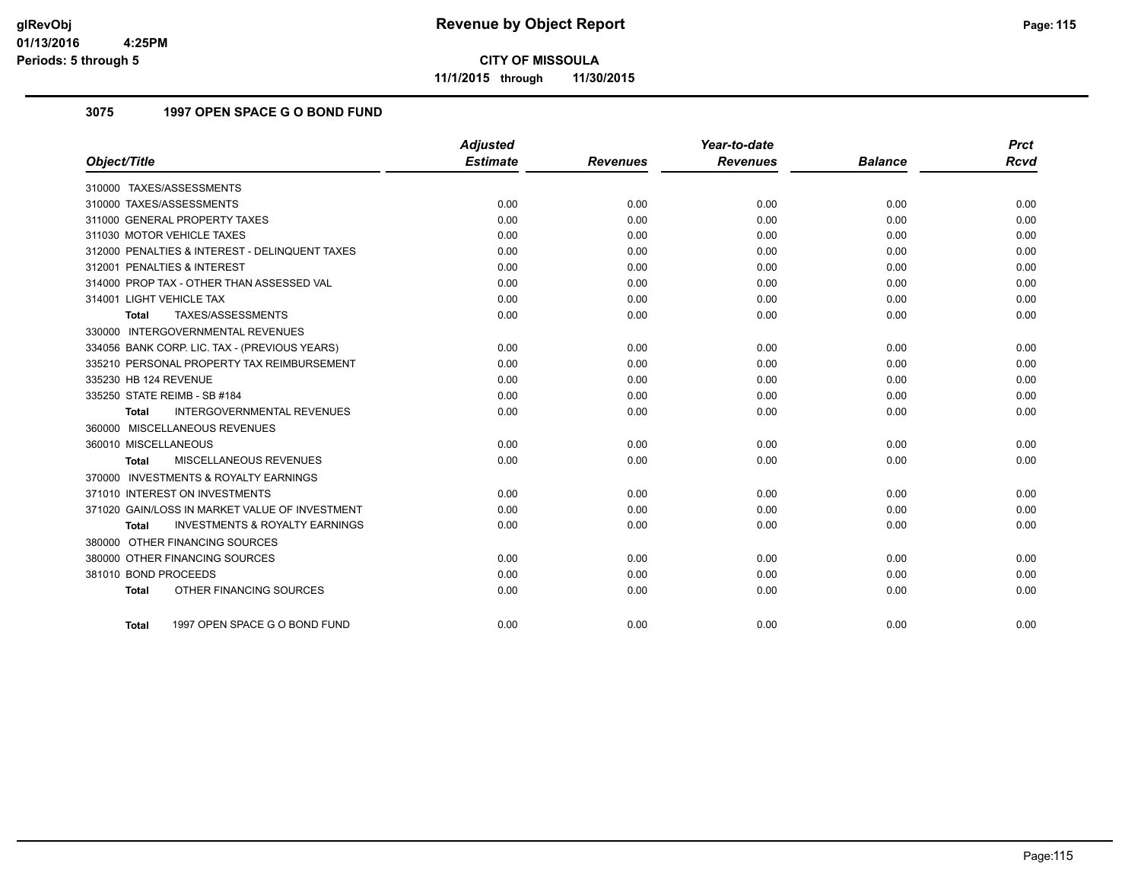**11/1/2015 through 11/30/2015**

### **3075 1997 OPEN SPACE G O BOND FUND**

|                                                           | <b>Adjusted</b> |                 | Year-to-date    |                | <b>Prct</b> |
|-----------------------------------------------------------|-----------------|-----------------|-----------------|----------------|-------------|
| Object/Title                                              | <b>Estimate</b> | <b>Revenues</b> | <b>Revenues</b> | <b>Balance</b> | <b>Rcvd</b> |
| 310000 TAXES/ASSESSMENTS                                  |                 |                 |                 |                |             |
| 310000 TAXES/ASSESSMENTS                                  | 0.00            | 0.00            | 0.00            | 0.00           | 0.00        |
| 311000 GENERAL PROPERTY TAXES                             | 0.00            | 0.00            | 0.00            | 0.00           | 0.00        |
| 311030 MOTOR VEHICLE TAXES                                | 0.00            | 0.00            | 0.00            | 0.00           | 0.00        |
| 312000 PENALTIES & INTEREST - DELINQUENT TAXES            | 0.00            | 0.00            | 0.00            | 0.00           | 0.00        |
| 312001 PENALTIES & INTEREST                               | 0.00            | 0.00            | 0.00            | 0.00           | 0.00        |
| 314000 PROP TAX - OTHER THAN ASSESSED VAL                 | 0.00            | 0.00            | 0.00            | 0.00           | 0.00        |
| 314001 LIGHT VEHICLE TAX                                  | 0.00            | 0.00            | 0.00            | 0.00           | 0.00        |
| TAXES/ASSESSMENTS<br><b>Total</b>                         | 0.00            | 0.00            | 0.00            | 0.00           | 0.00        |
| 330000 INTERGOVERNMENTAL REVENUES                         |                 |                 |                 |                |             |
| 334056 BANK CORP. LIC. TAX - (PREVIOUS YEARS)             | 0.00            | 0.00            | 0.00            | 0.00           | 0.00        |
| 335210 PERSONAL PROPERTY TAX REIMBURSEMENT                | 0.00            | 0.00            | 0.00            | 0.00           | 0.00        |
| 335230 HB 124 REVENUE                                     | 0.00            | 0.00            | 0.00            | 0.00           | 0.00        |
| 335250 STATE REIMB - SB #184                              | 0.00            | 0.00            | 0.00            | 0.00           | 0.00        |
| INTERGOVERNMENTAL REVENUES<br><b>Total</b>                | 0.00            | 0.00            | 0.00            | 0.00           | 0.00        |
| 360000 MISCELLANEOUS REVENUES                             |                 |                 |                 |                |             |
| 360010 MISCELLANEOUS                                      | 0.00            | 0.00            | 0.00            | 0.00           | 0.00        |
| MISCELLANEOUS REVENUES<br>Total                           | 0.00            | 0.00            | 0.00            | 0.00           | 0.00        |
| 370000 INVESTMENTS & ROYALTY EARNINGS                     |                 |                 |                 |                |             |
| 371010 INTEREST ON INVESTMENTS                            | 0.00            | 0.00            | 0.00            | 0.00           | 0.00        |
| 371020 GAIN/LOSS IN MARKET VALUE OF INVESTMENT            | 0.00            | 0.00            | 0.00            | 0.00           | 0.00        |
| <b>INVESTMENTS &amp; ROYALTY EARNINGS</b><br><b>Total</b> | 0.00            | 0.00            | 0.00            | 0.00           | 0.00        |
| 380000 OTHER FINANCING SOURCES                            |                 |                 |                 |                |             |
| 380000 OTHER FINANCING SOURCES                            | 0.00            | 0.00            | 0.00            | 0.00           | 0.00        |
| 381010 BOND PROCEEDS                                      | 0.00            | 0.00            | 0.00            | 0.00           | 0.00        |
| OTHER FINANCING SOURCES<br><b>Total</b>                   | 0.00            | 0.00            | 0.00            | 0.00           | 0.00        |
|                                                           |                 |                 |                 |                |             |
| 1997 OPEN SPACE G O BOND FUND<br>Total                    | 0.00            | 0.00            | 0.00            | 0.00           | 0.00        |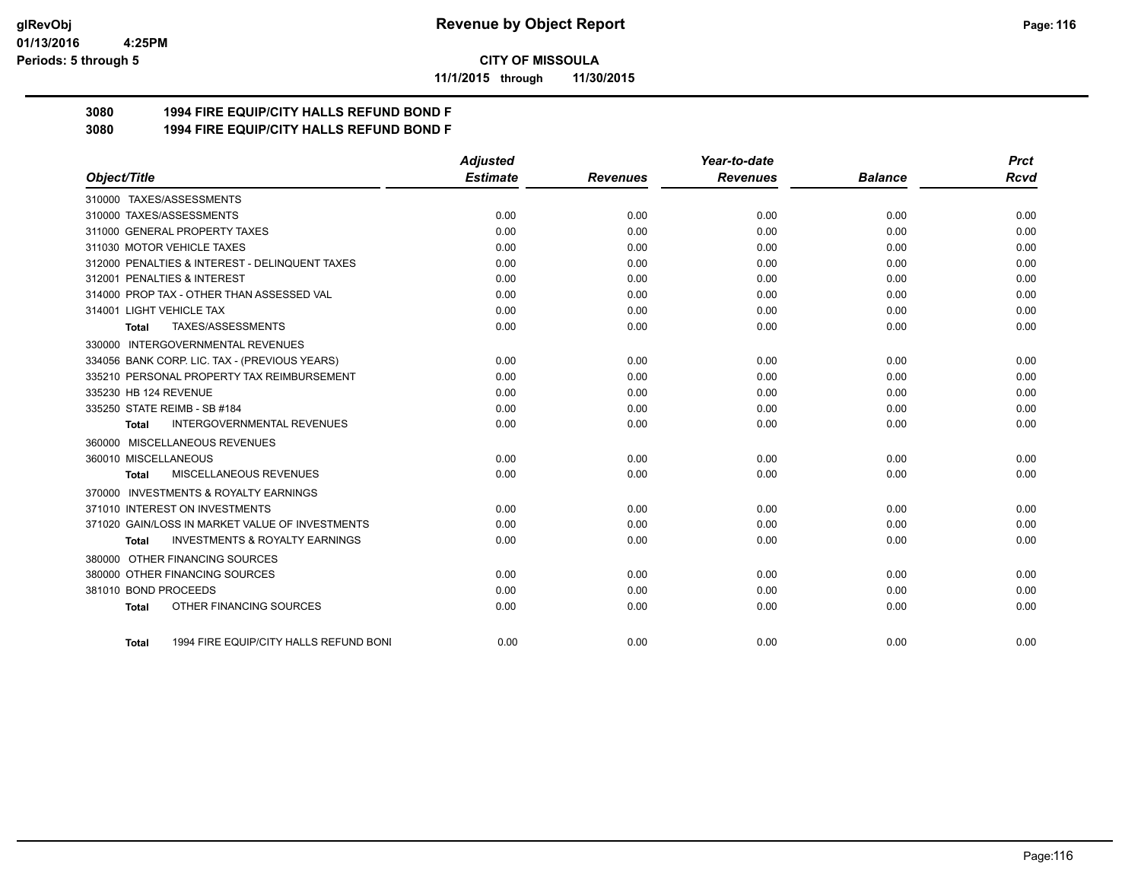**11/1/2015 through 11/30/2015**

### **3080 1994 FIRE EQUIP/CITY HALLS REFUND BOND F**

**3080 1994 FIRE EQUIP/CITY HALLS REFUND BOND F**

|                                                           | <b>Adjusted</b> |                 | Year-to-date    |                | <b>Prct</b> |
|-----------------------------------------------------------|-----------------|-----------------|-----------------|----------------|-------------|
| Object/Title                                              | <b>Estimate</b> | <b>Revenues</b> | <b>Revenues</b> | <b>Balance</b> | Rcvd        |
| 310000 TAXES/ASSESSMENTS                                  |                 |                 |                 |                |             |
| 310000 TAXES/ASSESSMENTS                                  | 0.00            | 0.00            | 0.00            | 0.00           | 0.00        |
| 311000 GENERAL PROPERTY TAXES                             | 0.00            | 0.00            | 0.00            | 0.00           | 0.00        |
| 311030 MOTOR VEHICLE TAXES                                | 0.00            | 0.00            | 0.00            | 0.00           | 0.00        |
| 312000 PENALTIES & INTEREST - DELINQUENT TAXES            | 0.00            | 0.00            | 0.00            | 0.00           | 0.00        |
| 312001 PENALTIES & INTEREST                               | 0.00            | 0.00            | 0.00            | 0.00           | 0.00        |
| 314000 PROP TAX - OTHER THAN ASSESSED VAL                 | 0.00            | 0.00            | 0.00            | 0.00           | 0.00        |
| 314001 LIGHT VEHICLE TAX                                  | 0.00            | 0.00            | 0.00            | 0.00           | 0.00        |
| TAXES/ASSESSMENTS<br><b>Total</b>                         | 0.00            | 0.00            | 0.00            | 0.00           | 0.00        |
| 330000 INTERGOVERNMENTAL REVENUES                         |                 |                 |                 |                |             |
| 334056 BANK CORP. LIC. TAX - (PREVIOUS YEARS)             | 0.00            | 0.00            | 0.00            | 0.00           | 0.00        |
| 335210 PERSONAL PROPERTY TAX REIMBURSEMENT                | 0.00            | 0.00            | 0.00            | 0.00           | 0.00        |
| 335230 HB 124 REVENUE                                     | 0.00            | 0.00            | 0.00            | 0.00           | 0.00        |
| 335250 STATE REIMB - SB #184                              | 0.00            | 0.00            | 0.00            | 0.00           | 0.00        |
| <b>INTERGOVERNMENTAL REVENUES</b><br>Total                | 0.00            | 0.00            | 0.00            | 0.00           | 0.00        |
| 360000 MISCELLANEOUS REVENUES                             |                 |                 |                 |                |             |
| 360010 MISCELLANEOUS                                      | 0.00            | 0.00            | 0.00            | 0.00           | 0.00        |
| MISCELLANEOUS REVENUES<br><b>Total</b>                    | 0.00            | 0.00            | 0.00            | 0.00           | 0.00        |
| 370000 INVESTMENTS & ROYALTY EARNINGS                     |                 |                 |                 |                |             |
| 371010 INTEREST ON INVESTMENTS                            | 0.00            | 0.00            | 0.00            | 0.00           | 0.00        |
| 371020 GAIN/LOSS IN MARKET VALUE OF INVESTMENTS           | 0.00            | 0.00            | 0.00            | 0.00           | 0.00        |
| <b>INVESTMENTS &amp; ROYALTY EARNINGS</b><br><b>Total</b> | 0.00            | 0.00            | 0.00            | 0.00           | 0.00        |
| 380000 OTHER FINANCING SOURCES                            |                 |                 |                 |                |             |
| 380000 OTHER FINANCING SOURCES                            | 0.00            | 0.00            | 0.00            | 0.00           | 0.00        |
| 381010 BOND PROCEEDS                                      | 0.00            | 0.00            | 0.00            | 0.00           | 0.00        |
| OTHER FINANCING SOURCES<br><b>Total</b>                   | 0.00            | 0.00            | 0.00            | 0.00           | 0.00        |
| 1994 FIRE EQUIP/CITY HALLS REFUND BONI<br>Total           | 0.00            | 0.00            | 0.00            | 0.00           | 0.00        |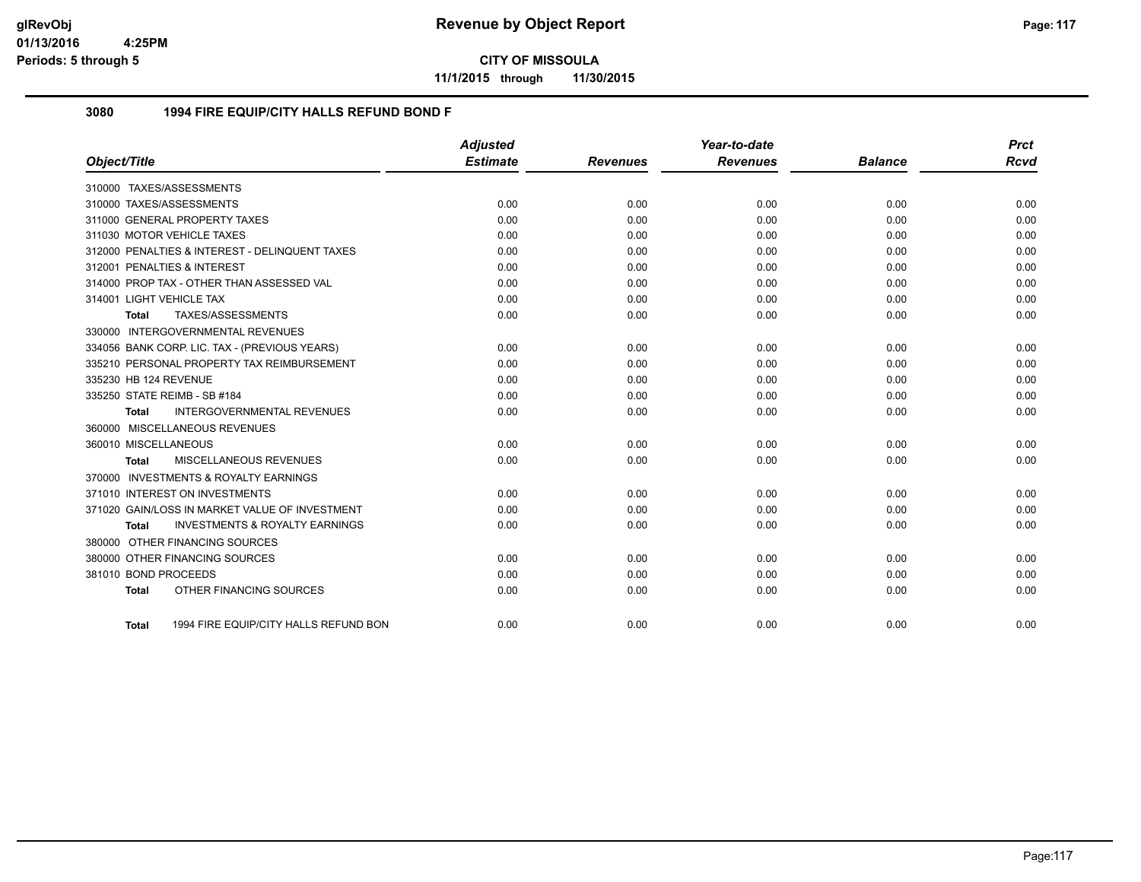**11/1/2015 through 11/30/2015**

### **3080 1994 FIRE EQUIP/CITY HALLS REFUND BOND F**

|                                                |                                           | <b>Adjusted</b> |                 | Year-to-date    |                | <b>Prct</b> |
|------------------------------------------------|-------------------------------------------|-----------------|-----------------|-----------------|----------------|-------------|
| Object/Title                                   |                                           | <b>Estimate</b> | <b>Revenues</b> | <b>Revenues</b> | <b>Balance</b> | <b>Rcvd</b> |
| 310000 TAXES/ASSESSMENTS                       |                                           |                 |                 |                 |                |             |
| 310000 TAXES/ASSESSMENTS                       |                                           | 0.00            | 0.00            | 0.00            | 0.00           | 0.00        |
| 311000 GENERAL PROPERTY TAXES                  |                                           | 0.00            | 0.00            | 0.00            | 0.00           | 0.00        |
| 311030 MOTOR VEHICLE TAXES                     |                                           | 0.00            | 0.00            | 0.00            | 0.00           | 0.00        |
| 312000 PENALTIES & INTEREST - DELINQUENT TAXES |                                           | 0.00            | 0.00            | 0.00            | 0.00           | 0.00        |
| 312001 PENALTIES & INTEREST                    |                                           | 0.00            | 0.00            | 0.00            | 0.00           | 0.00        |
| 314000 PROP TAX - OTHER THAN ASSESSED VAL      |                                           | 0.00            | 0.00            | 0.00            | 0.00           | 0.00        |
| 314001 LIGHT VEHICLE TAX                       |                                           | 0.00            | 0.00            | 0.00            | 0.00           | 0.00        |
| TAXES/ASSESSMENTS<br><b>Total</b>              |                                           | 0.00            | 0.00            | 0.00            | 0.00           | 0.00        |
| INTERGOVERNMENTAL REVENUES<br>330000           |                                           |                 |                 |                 |                |             |
| 334056 BANK CORP. LIC. TAX - (PREVIOUS YEARS)  |                                           | 0.00            | 0.00            | 0.00            | 0.00           | 0.00        |
| 335210 PERSONAL PROPERTY TAX REIMBURSEMENT     |                                           | 0.00            | 0.00            | 0.00            | 0.00           | 0.00        |
| 335230 HB 124 REVENUE                          |                                           | 0.00            | 0.00            | 0.00            | 0.00           | 0.00        |
| 335250 STATE REIMB - SB #184                   |                                           | 0.00            | 0.00            | 0.00            | 0.00           | 0.00        |
| Total                                          | INTERGOVERNMENTAL REVENUES                | 0.00            | 0.00            | 0.00            | 0.00           | 0.00        |
| 360000 MISCELLANEOUS REVENUES                  |                                           |                 |                 |                 |                |             |
| 360010 MISCELLANEOUS                           |                                           | 0.00            | 0.00            | 0.00            | 0.00           | 0.00        |
| MISCELLANEOUS REVENUES<br>Total                |                                           | 0.00            | 0.00            | 0.00            | 0.00           | 0.00        |
| 370000 INVESTMENTS & ROYALTY EARNINGS          |                                           |                 |                 |                 |                |             |
| 371010 INTEREST ON INVESTMENTS                 |                                           | 0.00            | 0.00            | 0.00            | 0.00           | 0.00        |
| 371020 GAIN/LOSS IN MARKET VALUE OF INVESTMENT |                                           | 0.00            | 0.00            | 0.00            | 0.00           | 0.00        |
| Total                                          | <b>INVESTMENTS &amp; ROYALTY EARNINGS</b> | 0.00            | 0.00            | 0.00            | 0.00           | 0.00        |
| 380000 OTHER FINANCING SOURCES                 |                                           |                 |                 |                 |                |             |
| 380000 OTHER FINANCING SOURCES                 |                                           | 0.00            | 0.00            | 0.00            | 0.00           | 0.00        |
| 381010 BOND PROCEEDS                           |                                           | 0.00            | 0.00            | 0.00            | 0.00           | 0.00        |
| OTHER FINANCING SOURCES<br>Total               |                                           | 0.00            | 0.00            | 0.00            | 0.00           | 0.00        |
|                                                |                                           |                 |                 |                 |                |             |
| Total                                          | 1994 FIRE EQUIP/CITY HALLS REFUND BON     | 0.00            | 0.00            | 0.00            | 0.00           | 0.00        |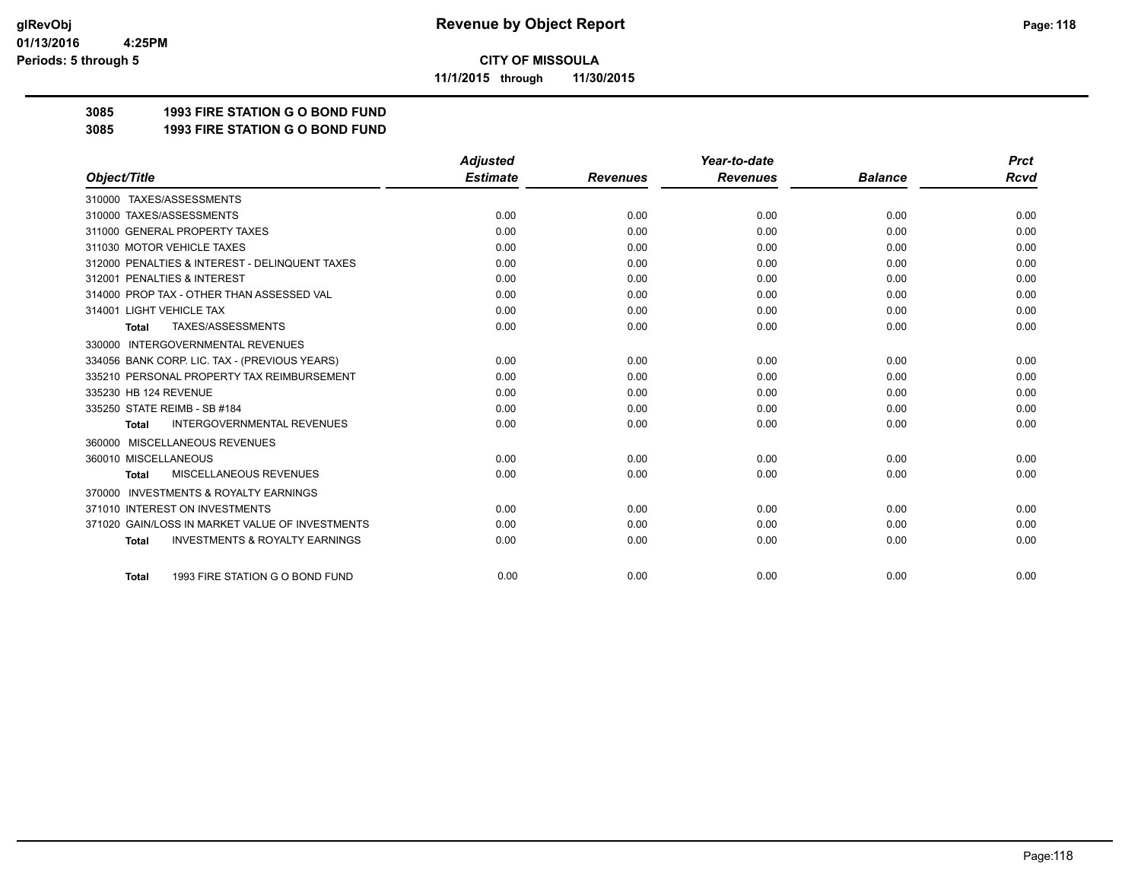**11/1/2015 through 11/30/2015**

## **3085 1993 FIRE STATION G O BOND FUND**

**3085 1993 FIRE STATION G O BOND FUND**

|                                                           | <b>Adjusted</b> |                 | Year-to-date    |                | <b>Prct</b> |
|-----------------------------------------------------------|-----------------|-----------------|-----------------|----------------|-------------|
| Object/Title                                              | <b>Estimate</b> | <b>Revenues</b> | <b>Revenues</b> | <b>Balance</b> | <b>Rcvd</b> |
| 310000 TAXES/ASSESSMENTS                                  |                 |                 |                 |                |             |
| 310000 TAXES/ASSESSMENTS                                  | 0.00            | 0.00            | 0.00            | 0.00           | 0.00        |
| 311000 GENERAL PROPERTY TAXES                             | 0.00            | 0.00            | 0.00            | 0.00           | 0.00        |
| 311030 MOTOR VEHICLE TAXES                                | 0.00            | 0.00            | 0.00            | 0.00           | 0.00        |
| 312000 PENALTIES & INTEREST - DELINQUENT TAXES            | 0.00            | 0.00            | 0.00            | 0.00           | 0.00        |
| 312001 PENALTIES & INTEREST                               | 0.00            | 0.00            | 0.00            | 0.00           | 0.00        |
| 314000 PROP TAX - OTHER THAN ASSESSED VAL                 | 0.00            | 0.00            | 0.00            | 0.00           | 0.00        |
| 314001 LIGHT VEHICLE TAX                                  | 0.00            | 0.00            | 0.00            | 0.00           | 0.00        |
| TAXES/ASSESSMENTS<br><b>Total</b>                         | 0.00            | 0.00            | 0.00            | 0.00           | 0.00        |
| <b>INTERGOVERNMENTAL REVENUES</b><br>330000               |                 |                 |                 |                |             |
| 334056 BANK CORP. LIC. TAX - (PREVIOUS YEARS)             | 0.00            | 0.00            | 0.00            | 0.00           | 0.00        |
| 335210 PERSONAL PROPERTY TAX REIMBURSEMENT                | 0.00            | 0.00            | 0.00            | 0.00           | 0.00        |
| 335230 HB 124 REVENUE                                     | 0.00            | 0.00            | 0.00            | 0.00           | 0.00        |
| 335250 STATE REIMB - SB #184                              | 0.00            | 0.00            | 0.00            | 0.00           | 0.00        |
| <b>INTERGOVERNMENTAL REVENUES</b><br><b>Total</b>         | 0.00            | 0.00            | 0.00            | 0.00           | 0.00        |
| MISCELLANEOUS REVENUES<br>360000                          |                 |                 |                 |                |             |
| 360010 MISCELLANEOUS                                      | 0.00            | 0.00            | 0.00            | 0.00           | 0.00        |
| <b>MISCELLANEOUS REVENUES</b><br><b>Total</b>             | 0.00            | 0.00            | 0.00            | 0.00           | 0.00        |
| <b>INVESTMENTS &amp; ROYALTY EARNINGS</b><br>370000       |                 |                 |                 |                |             |
| 371010 INTEREST ON INVESTMENTS                            | 0.00            | 0.00            | 0.00            | 0.00           | 0.00        |
| 371020 GAIN/LOSS IN MARKET VALUE OF INVESTMENTS           | 0.00            | 0.00            | 0.00            | 0.00           | 0.00        |
| <b>INVESTMENTS &amp; ROYALTY EARNINGS</b><br><b>Total</b> | 0.00            | 0.00            | 0.00            | 0.00           | 0.00        |
|                                                           |                 |                 |                 |                |             |
| 1993 FIRE STATION G O BOND FUND<br><b>Total</b>           | 0.00            | 0.00            | 0.00            | 0.00           | 0.00        |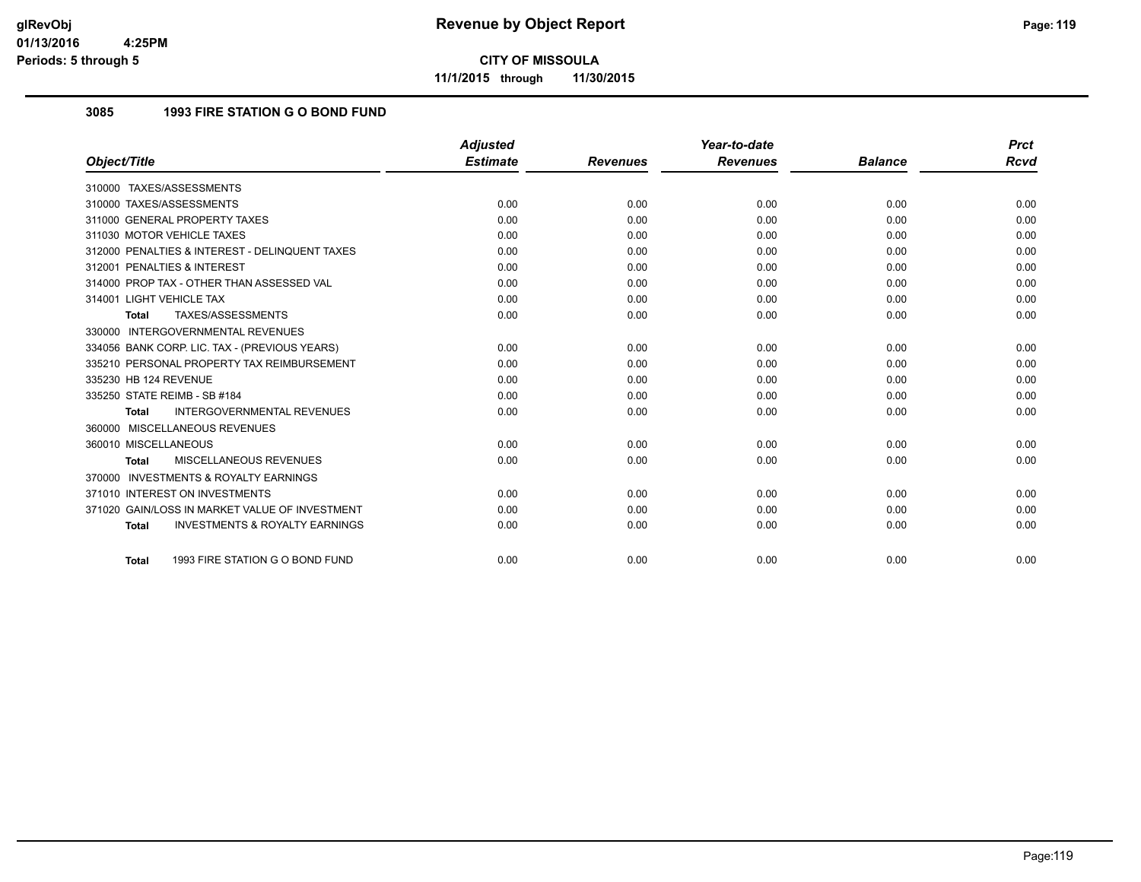**11/1/2015 through 11/30/2015**

### **3085 1993 FIRE STATION G O BOND FUND**

|                                                           | <b>Adjusted</b> |                 | Year-to-date    |                | <b>Prct</b> |
|-----------------------------------------------------------|-----------------|-----------------|-----------------|----------------|-------------|
| Object/Title                                              | <b>Estimate</b> | <b>Revenues</b> | <b>Revenues</b> | <b>Balance</b> | Rcvd        |
| 310000 TAXES/ASSESSMENTS                                  |                 |                 |                 |                |             |
| 310000 TAXES/ASSESSMENTS                                  | 0.00            | 0.00            | 0.00            | 0.00           | 0.00        |
| 311000 GENERAL PROPERTY TAXES                             | 0.00            | 0.00            | 0.00            | 0.00           | 0.00        |
| 311030 MOTOR VEHICLE TAXES                                | 0.00            | 0.00            | 0.00            | 0.00           | 0.00        |
| 312000 PENALTIES & INTEREST - DELINQUENT TAXES            | 0.00            | 0.00            | 0.00            | 0.00           | 0.00        |
| 312001 PENALTIES & INTEREST                               | 0.00            | 0.00            | 0.00            | 0.00           | 0.00        |
| 314000 PROP TAX - OTHER THAN ASSESSED VAL                 | 0.00            | 0.00            | 0.00            | 0.00           | 0.00        |
| 314001 LIGHT VEHICLE TAX                                  | 0.00            | 0.00            | 0.00            | 0.00           | 0.00        |
| TAXES/ASSESSMENTS<br><b>Total</b>                         | 0.00            | 0.00            | 0.00            | 0.00           | 0.00        |
| 330000 INTERGOVERNMENTAL REVENUES                         |                 |                 |                 |                |             |
| 334056 BANK CORP. LIC. TAX - (PREVIOUS YEARS)             | 0.00            | 0.00            | 0.00            | 0.00           | 0.00        |
| 335210 PERSONAL PROPERTY TAX REIMBURSEMENT                | 0.00            | 0.00            | 0.00            | 0.00           | 0.00        |
| 335230 HB 124 REVENUE                                     | 0.00            | 0.00            | 0.00            | 0.00           | 0.00        |
| 335250 STATE REIMB - SB #184                              | 0.00            | 0.00            | 0.00            | 0.00           | 0.00        |
| <b>INTERGOVERNMENTAL REVENUES</b><br><b>Total</b>         | 0.00            | 0.00            | 0.00            | 0.00           | 0.00        |
| 360000 MISCELLANEOUS REVENUES                             |                 |                 |                 |                |             |
| 360010 MISCELLANEOUS                                      | 0.00            | 0.00            | 0.00            | 0.00           | 0.00        |
| <b>MISCELLANEOUS REVENUES</b><br><b>Total</b>             | 0.00            | 0.00            | 0.00            | 0.00           | 0.00        |
| 370000 INVESTMENTS & ROYALTY EARNINGS                     |                 |                 |                 |                |             |
| 371010 INTEREST ON INVESTMENTS                            | 0.00            | 0.00            | 0.00            | 0.00           | 0.00        |
| 371020 GAIN/LOSS IN MARKET VALUE OF INVESTMENT            | 0.00            | 0.00            | 0.00            | 0.00           | 0.00        |
| <b>INVESTMENTS &amp; ROYALTY EARNINGS</b><br><b>Total</b> | 0.00            | 0.00            | 0.00            | 0.00           | 0.00        |
| 1993 FIRE STATION G O BOND FUND<br><b>Total</b>           | 0.00            | 0.00            | 0.00            | 0.00           | 0.00        |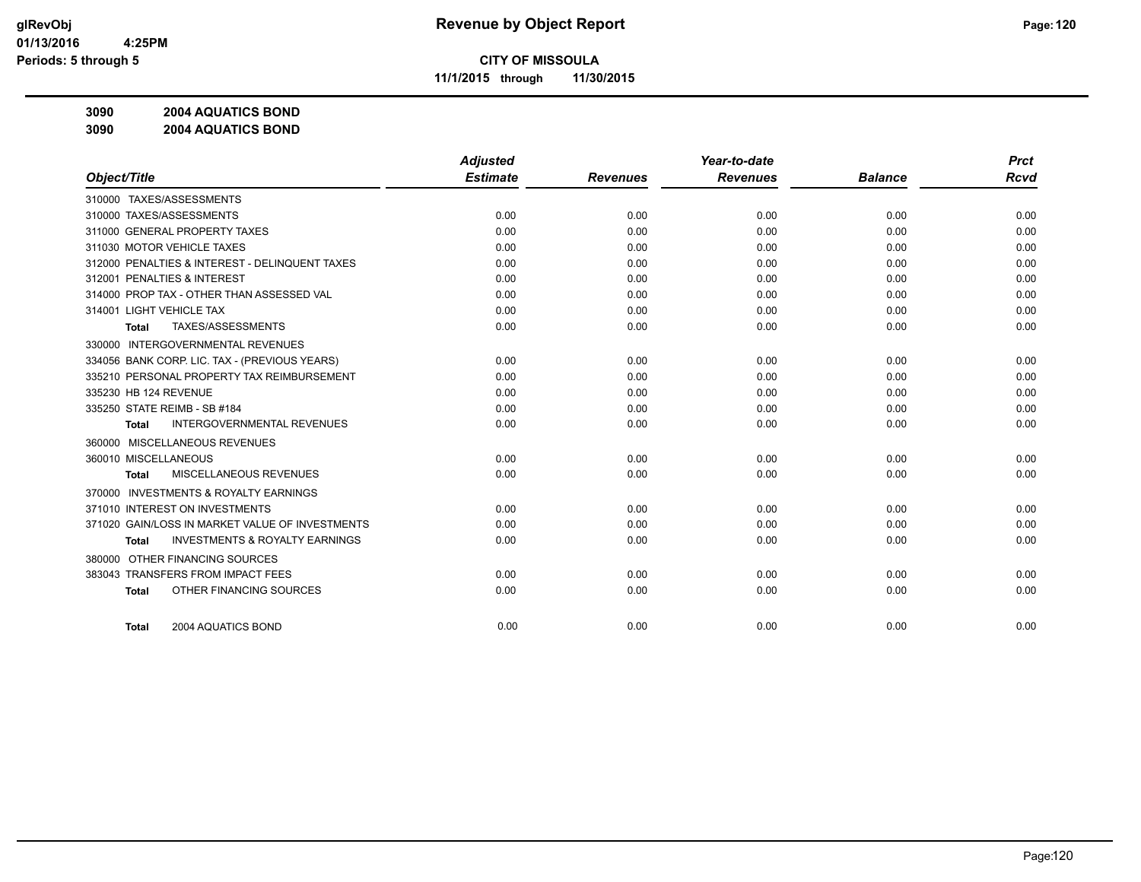**11/1/2015 through 11/30/2015**

**3090 2004 AQUATICS BOND**

**3090 2004 AQUATICS BOND**

|                                                     | <b>Adjusted</b> |                 | Year-to-date    |                | <b>Prct</b> |
|-----------------------------------------------------|-----------------|-----------------|-----------------|----------------|-------------|
| Object/Title                                        | <b>Estimate</b> | <b>Revenues</b> | <b>Revenues</b> | <b>Balance</b> | <b>Rcvd</b> |
| 310000 TAXES/ASSESSMENTS                            |                 |                 |                 |                |             |
| 310000 TAXES/ASSESSMENTS                            | 0.00            | 0.00            | 0.00            | 0.00           | 0.00        |
| 311000 GENERAL PROPERTY TAXES                       | 0.00            | 0.00            | 0.00            | 0.00           | 0.00        |
| 311030 MOTOR VEHICLE TAXES                          | 0.00            | 0.00            | 0.00            | 0.00           | 0.00        |
| 312000 PENALTIES & INTEREST - DELINQUENT TAXES      | 0.00            | 0.00            | 0.00            | 0.00           | 0.00        |
| 312001 PENALTIES & INTEREST                         | 0.00            | 0.00            | 0.00            | 0.00           | 0.00        |
| 314000 PROP TAX - OTHER THAN ASSESSED VAL           | 0.00            | 0.00            | 0.00            | 0.00           | 0.00        |
| 314001 LIGHT VEHICLE TAX                            | 0.00            | 0.00            | 0.00            | 0.00           | 0.00        |
| TAXES/ASSESSMENTS<br>Total                          | 0.00            | 0.00            | 0.00            | 0.00           | 0.00        |
| 330000 INTERGOVERNMENTAL REVENUES                   |                 |                 |                 |                |             |
| 334056 BANK CORP. LIC. TAX - (PREVIOUS YEARS)       | 0.00            | 0.00            | 0.00            | 0.00           | 0.00        |
| 335210 PERSONAL PROPERTY TAX REIMBURSEMENT          | 0.00            | 0.00            | 0.00            | 0.00           | 0.00        |
| 335230 HB 124 REVENUE                               | 0.00            | 0.00            | 0.00            | 0.00           | 0.00        |
| 335250 STATE REIMB - SB #184                        | 0.00            | 0.00            | 0.00            | 0.00           | 0.00        |
| <b>INTERGOVERNMENTAL REVENUES</b><br><b>Total</b>   | 0.00            | 0.00            | 0.00            | 0.00           | 0.00        |
| 360000 MISCELLANEOUS REVENUES                       |                 |                 |                 |                |             |
| 360010 MISCELLANEOUS                                | 0.00            | 0.00            | 0.00            | 0.00           | 0.00        |
| MISCELLANEOUS REVENUES<br>Total                     | 0.00            | 0.00            | 0.00            | 0.00           | 0.00        |
| <b>INVESTMENTS &amp; ROYALTY EARNINGS</b><br>370000 |                 |                 |                 |                |             |
| 371010 INTEREST ON INVESTMENTS                      | 0.00            | 0.00            | 0.00            | 0.00           | 0.00        |
| 371020 GAIN/LOSS IN MARKET VALUE OF INVESTMENTS     | 0.00            | 0.00            | 0.00            | 0.00           | 0.00        |
| <b>INVESTMENTS &amp; ROYALTY EARNINGS</b><br>Total  | 0.00            | 0.00            | 0.00            | 0.00           | 0.00        |
| OTHER FINANCING SOURCES<br>380000                   |                 |                 |                 |                |             |
| 383043 TRANSFERS FROM IMPACT FEES                   | 0.00            | 0.00            | 0.00            | 0.00           | 0.00        |
| OTHER FINANCING SOURCES<br><b>Total</b>             | 0.00            | 0.00            | 0.00            | 0.00           | 0.00        |
|                                                     |                 |                 |                 |                |             |
| 2004 AQUATICS BOND<br><b>Total</b>                  | 0.00            | 0.00            | 0.00            | 0.00           | 0.00        |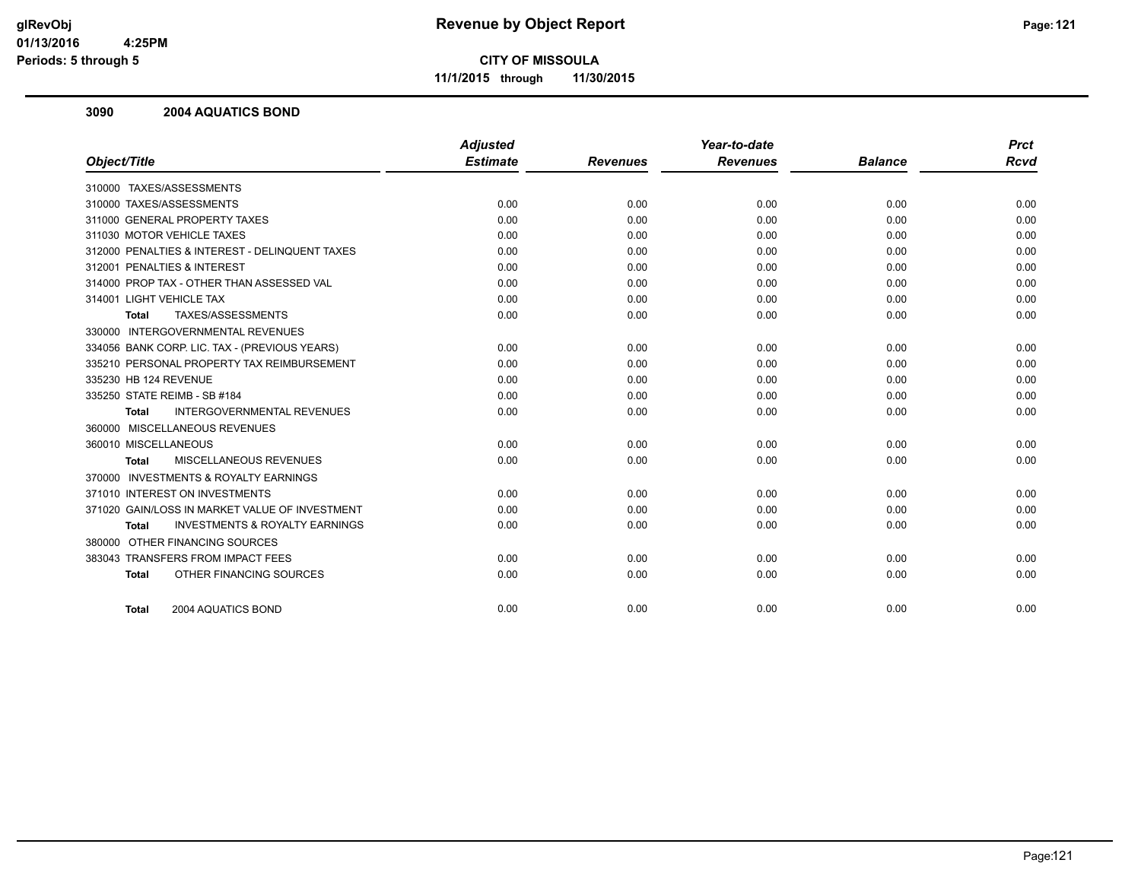**11/1/2015 through 11/30/2015**

### **3090 2004 AQUATICS BOND**

|                                                           | <b>Adjusted</b> |                 | Year-to-date    |                | <b>Prct</b> |
|-----------------------------------------------------------|-----------------|-----------------|-----------------|----------------|-------------|
| Object/Title                                              | <b>Estimate</b> | <b>Revenues</b> | <b>Revenues</b> | <b>Balance</b> | <b>Rcvd</b> |
| 310000 TAXES/ASSESSMENTS                                  |                 |                 |                 |                |             |
| 310000 TAXES/ASSESSMENTS                                  | 0.00            | 0.00            | 0.00            | 0.00           | 0.00        |
| 311000 GENERAL PROPERTY TAXES                             | 0.00            | 0.00            | 0.00            | 0.00           | 0.00        |
| 311030 MOTOR VEHICLE TAXES                                | 0.00            | 0.00            | 0.00            | 0.00           | 0.00        |
| 312000 PENALTIES & INTEREST - DELINQUENT TAXES            | 0.00            | 0.00            | 0.00            | 0.00           | 0.00        |
| 312001 PENALTIES & INTEREST                               | 0.00            | 0.00            | 0.00            | 0.00           | 0.00        |
| 314000 PROP TAX - OTHER THAN ASSESSED VAL                 | 0.00            | 0.00            | 0.00            | 0.00           | 0.00        |
| 314001 LIGHT VEHICLE TAX                                  | 0.00            | 0.00            | 0.00            | 0.00           | 0.00        |
| TAXES/ASSESSMENTS<br><b>Total</b>                         | 0.00            | 0.00            | 0.00            | 0.00           | 0.00        |
| 330000 INTERGOVERNMENTAL REVENUES                         |                 |                 |                 |                |             |
| 334056 BANK CORP. LIC. TAX - (PREVIOUS YEARS)             | 0.00            | 0.00            | 0.00            | 0.00           | 0.00        |
| 335210 PERSONAL PROPERTY TAX REIMBURSEMENT                | 0.00            | 0.00            | 0.00            | 0.00           | 0.00        |
| 335230 HB 124 REVENUE                                     | 0.00            | 0.00            | 0.00            | 0.00           | 0.00        |
| 335250 STATE REIMB - SB #184                              | 0.00            | 0.00            | 0.00            | 0.00           | 0.00        |
| <b>INTERGOVERNMENTAL REVENUES</b><br><b>Total</b>         | 0.00            | 0.00            | 0.00            | 0.00           | 0.00        |
| 360000 MISCELLANEOUS REVENUES                             |                 |                 |                 |                |             |
| 360010 MISCELLANEOUS                                      | 0.00            | 0.00            | 0.00            | 0.00           | 0.00        |
| <b>MISCELLANEOUS REVENUES</b><br>Total                    | 0.00            | 0.00            | 0.00            | 0.00           | 0.00        |
| 370000 INVESTMENTS & ROYALTY EARNINGS                     |                 |                 |                 |                |             |
| 371010 INTEREST ON INVESTMENTS                            | 0.00            | 0.00            | 0.00            | 0.00           | 0.00        |
| 371020 GAIN/LOSS IN MARKET VALUE OF INVESTMENT            | 0.00            | 0.00            | 0.00            | 0.00           | 0.00        |
| <b>INVESTMENTS &amp; ROYALTY EARNINGS</b><br><b>Total</b> | 0.00            | 0.00            | 0.00            | 0.00           | 0.00        |
| 380000 OTHER FINANCING SOURCES                            |                 |                 |                 |                |             |
| 383043 TRANSFERS FROM IMPACT FEES                         | 0.00            | 0.00            | 0.00            | 0.00           | 0.00        |
| OTHER FINANCING SOURCES<br><b>Total</b>                   | 0.00            | 0.00            | 0.00            | 0.00           | 0.00        |
| 2004 AQUATICS BOND<br>Total                               | 0.00            | 0.00            | 0.00            | 0.00           | 0.00        |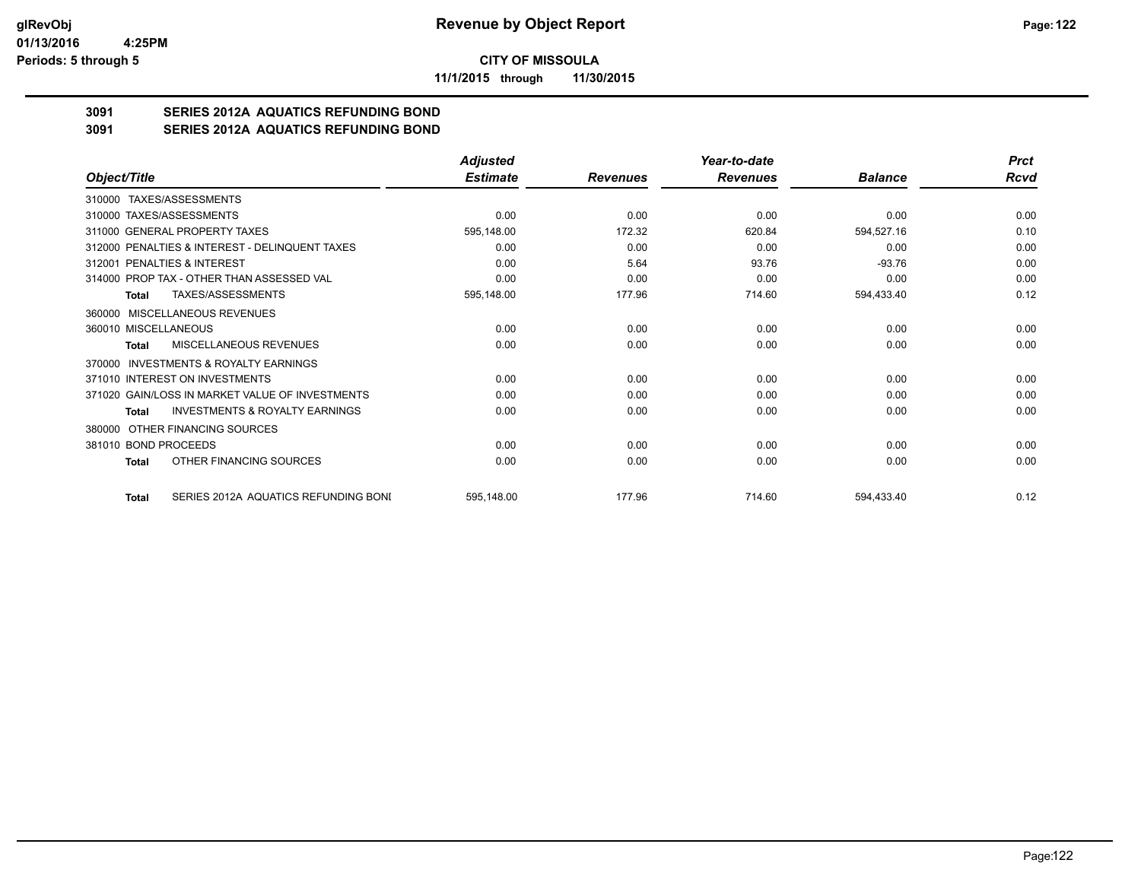**11/1/2015 through 11/30/2015**

## **3091 SERIES 2012A AQUATICS REFUNDING BOND**

**3091 SERIES 2012A AQUATICS REFUNDING BOND**

|                                                     | <b>Adjusted</b> |                 | Year-to-date    |                | <b>Prct</b> |
|-----------------------------------------------------|-----------------|-----------------|-----------------|----------------|-------------|
| Object/Title                                        | <b>Estimate</b> | <b>Revenues</b> | <b>Revenues</b> | <b>Balance</b> | Rcvd        |
| 310000 TAXES/ASSESSMENTS                            |                 |                 |                 |                |             |
| 310000 TAXES/ASSESSMENTS                            | 0.00            | 0.00            | 0.00            | 0.00           | 0.00        |
| 311000 GENERAL PROPERTY TAXES                       | 595,148.00      | 172.32          | 620.84          | 594,527.16     | 0.10        |
| 312000 PENALTIES & INTEREST - DELINQUENT TAXES      | 0.00            | 0.00            | 0.00            | 0.00           | 0.00        |
| 312001 PENALTIES & INTEREST                         | 0.00            | 5.64            | 93.76           | $-93.76$       | 0.00        |
| 314000 PROP TAX - OTHER THAN ASSESSED VAL           | 0.00            | 0.00            | 0.00            | 0.00           | 0.00        |
| TAXES/ASSESSMENTS<br>Total                          | 595,148.00      | 177.96          | 714.60          | 594,433.40     | 0.12        |
| 360000 MISCELLANEOUS REVENUES                       |                 |                 |                 |                |             |
| 360010 MISCELLANEOUS                                | 0.00            | 0.00            | 0.00            | 0.00           | 0.00        |
| MISCELLANEOUS REVENUES<br>Total                     | 0.00            | 0.00            | 0.00            | 0.00           | 0.00        |
| <b>INVESTMENTS &amp; ROYALTY EARNINGS</b><br>370000 |                 |                 |                 |                |             |
| 371010 INTEREST ON INVESTMENTS                      | 0.00            | 0.00            | 0.00            | 0.00           | 0.00        |
| 371020 GAIN/LOSS IN MARKET VALUE OF INVESTMENTS     | 0.00            | 0.00            | 0.00            | 0.00           | 0.00        |
| <b>INVESTMENTS &amp; ROYALTY EARNINGS</b><br>Total  | 0.00            | 0.00            | 0.00            | 0.00           | 0.00        |
| OTHER FINANCING SOURCES<br>380000                   |                 |                 |                 |                |             |
| 381010 BOND PROCEEDS                                | 0.00            | 0.00            | 0.00            | 0.00           | 0.00        |
| OTHER FINANCING SOURCES<br>Total                    | 0.00            | 0.00            | 0.00            | 0.00           | 0.00        |
| SERIES 2012A AQUATICS REFUNDING BONI<br>Total       | 595,148.00      | 177.96          | 714.60          | 594,433.40     | 0.12        |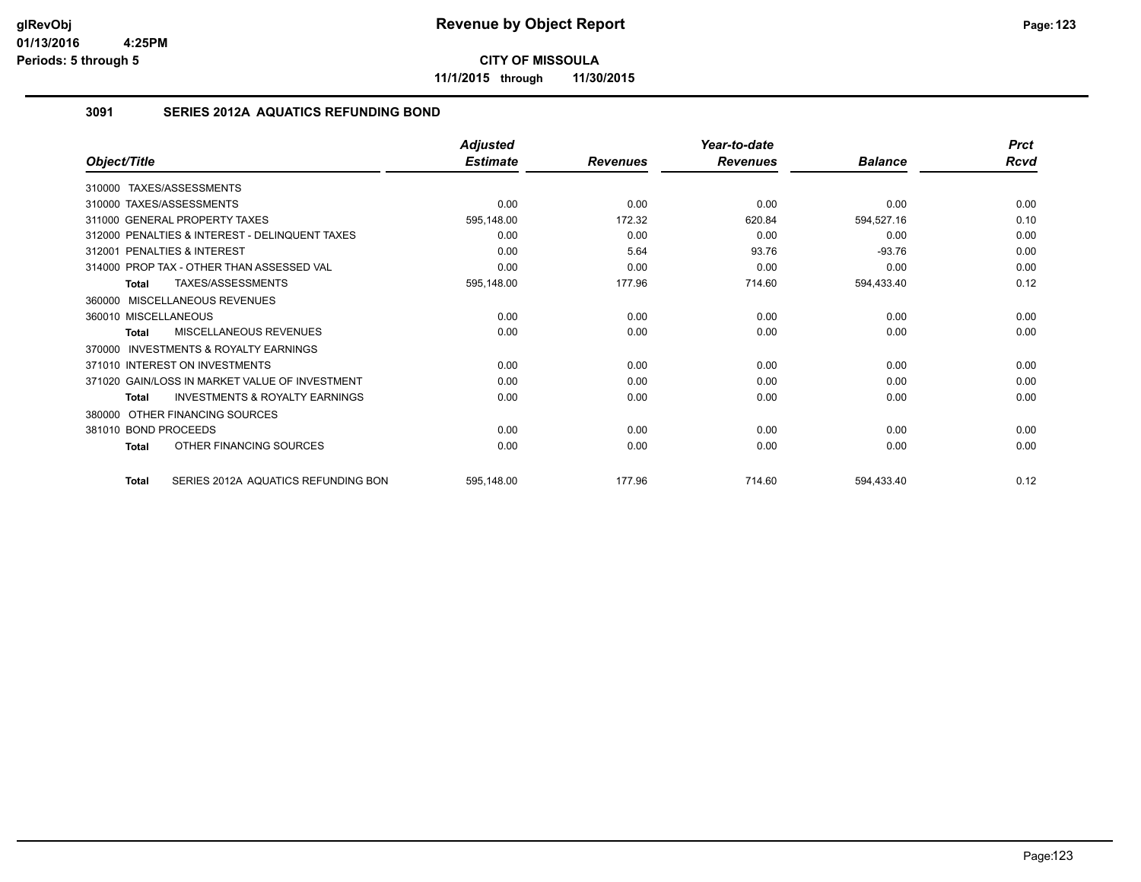**11/1/2015 through 11/30/2015**

### **3091 SERIES 2012A AQUATICS REFUNDING BOND**

|                                                           | <b>Adjusted</b> |                 | Year-to-date    |                | <b>Prct</b> |
|-----------------------------------------------------------|-----------------|-----------------|-----------------|----------------|-------------|
| Object/Title                                              | <b>Estimate</b> | <b>Revenues</b> | <b>Revenues</b> | <b>Balance</b> | <b>Rcvd</b> |
| TAXES/ASSESSMENTS<br>310000                               |                 |                 |                 |                |             |
| 310000 TAXES/ASSESSMENTS                                  | 0.00            | 0.00            | 0.00            | 0.00           | 0.00        |
| 311000 GENERAL PROPERTY TAXES                             | 595,148.00      | 172.32          | 620.84          | 594,527.16     | 0.10        |
| 312000 PENALTIES & INTEREST - DELINQUENT TAXES            | 0.00            | 0.00            | 0.00            | 0.00           | 0.00        |
| 312001 PENALTIES & INTEREST                               | 0.00            | 5.64            | 93.76           | $-93.76$       | 0.00        |
| 314000 PROP TAX - OTHER THAN ASSESSED VAL                 | 0.00            | 0.00            | 0.00            | 0.00           | 0.00        |
| TAXES/ASSESSMENTS<br><b>Total</b>                         | 595,148.00      | 177.96          | 714.60          | 594,433.40     | 0.12        |
| MISCELLANEOUS REVENUES<br>360000                          |                 |                 |                 |                |             |
| 360010 MISCELLANEOUS                                      | 0.00            | 0.00            | 0.00            | 0.00           | 0.00        |
| <b>MISCELLANEOUS REVENUES</b><br><b>Total</b>             | 0.00            | 0.00            | 0.00            | 0.00           | 0.00        |
| <b>INVESTMENTS &amp; ROYALTY EARNINGS</b><br>370000       |                 |                 |                 |                |             |
| 371010 INTEREST ON INVESTMENTS                            | 0.00            | 0.00            | 0.00            | 0.00           | 0.00        |
| 371020 GAIN/LOSS IN MARKET VALUE OF INVESTMENT            | 0.00            | 0.00            | 0.00            | 0.00           | 0.00        |
| <b>INVESTMENTS &amp; ROYALTY EARNINGS</b><br><b>Total</b> | 0.00            | 0.00            | 0.00            | 0.00           | 0.00        |
| OTHER FINANCING SOURCES<br>380000                         |                 |                 |                 |                |             |
| 381010 BOND PROCEEDS                                      | 0.00            | 0.00            | 0.00            | 0.00           | 0.00        |
| OTHER FINANCING SOURCES<br><b>Total</b>                   | 0.00            | 0.00            | 0.00            | 0.00           | 0.00        |
| SERIES 2012A AQUATICS REFUNDING BON<br><b>Total</b>       | 595,148.00      | 177.96          | 714.60          | 594,433.40     | 0.12        |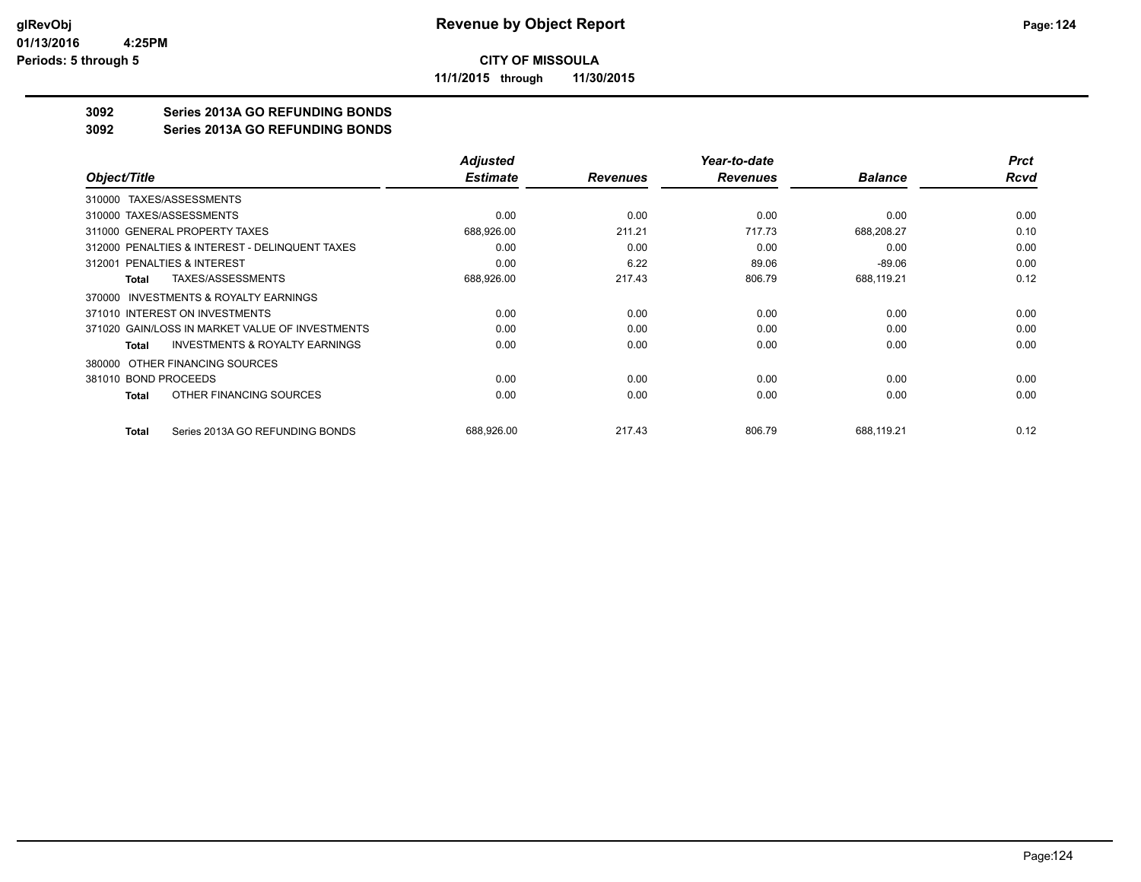**11/1/2015 through 11/30/2015**

## **3092 Series 2013A GO REFUNDING BONDS**

**3092 Series 2013A GO REFUNDING BONDS**

|                                                    | <b>Adjusted</b> |                 | Year-to-date    |                | <b>Prct</b> |
|----------------------------------------------------|-----------------|-----------------|-----------------|----------------|-------------|
| Object/Title                                       | <b>Estimate</b> | <b>Revenues</b> | <b>Revenues</b> | <b>Balance</b> | <b>Rcvd</b> |
| 310000 TAXES/ASSESSMENTS                           |                 |                 |                 |                |             |
| 310000 TAXES/ASSESSMENTS                           | 0.00            | 0.00            | 0.00            | 0.00           | 0.00        |
| 311000 GENERAL PROPERTY TAXES                      | 688,926.00      | 211.21          | 717.73          | 688,208.27     | 0.10        |
| 312000 PENALTIES & INTEREST - DELINQUENT TAXES     | 0.00            | 0.00            | 0.00            | 0.00           | 0.00        |
| 312001 PENALTIES & INTEREST                        | 0.00            | 6.22            | 89.06           | $-89.06$       | 0.00        |
| TAXES/ASSESSMENTS<br>Total                         | 688,926.00      | 217.43          | 806.79          | 688,119.21     | 0.12        |
| 370000 INVESTMENTS & ROYALTY EARNINGS              |                 |                 |                 |                |             |
| 371010 INTEREST ON INVESTMENTS                     | 0.00            | 0.00            | 0.00            | 0.00           | 0.00        |
| 371020 GAIN/LOSS IN MARKET VALUE OF INVESTMENTS    | 0.00            | 0.00            | 0.00            | 0.00           | 0.00        |
| <b>INVESTMENTS &amp; ROYALTY EARNINGS</b><br>Total | 0.00            | 0.00            | 0.00            | 0.00           | 0.00        |
| OTHER FINANCING SOURCES<br>380000                  |                 |                 |                 |                |             |
| 381010 BOND PROCEEDS                               | 0.00            | 0.00            | 0.00            | 0.00           | 0.00        |
| OTHER FINANCING SOURCES<br>Total                   | 0.00            | 0.00            | 0.00            | 0.00           | 0.00        |
| Series 2013A GO REFUNDING BONDS<br>Total           | 688,926.00      | 217.43          | 806.79          | 688,119.21     | 0.12        |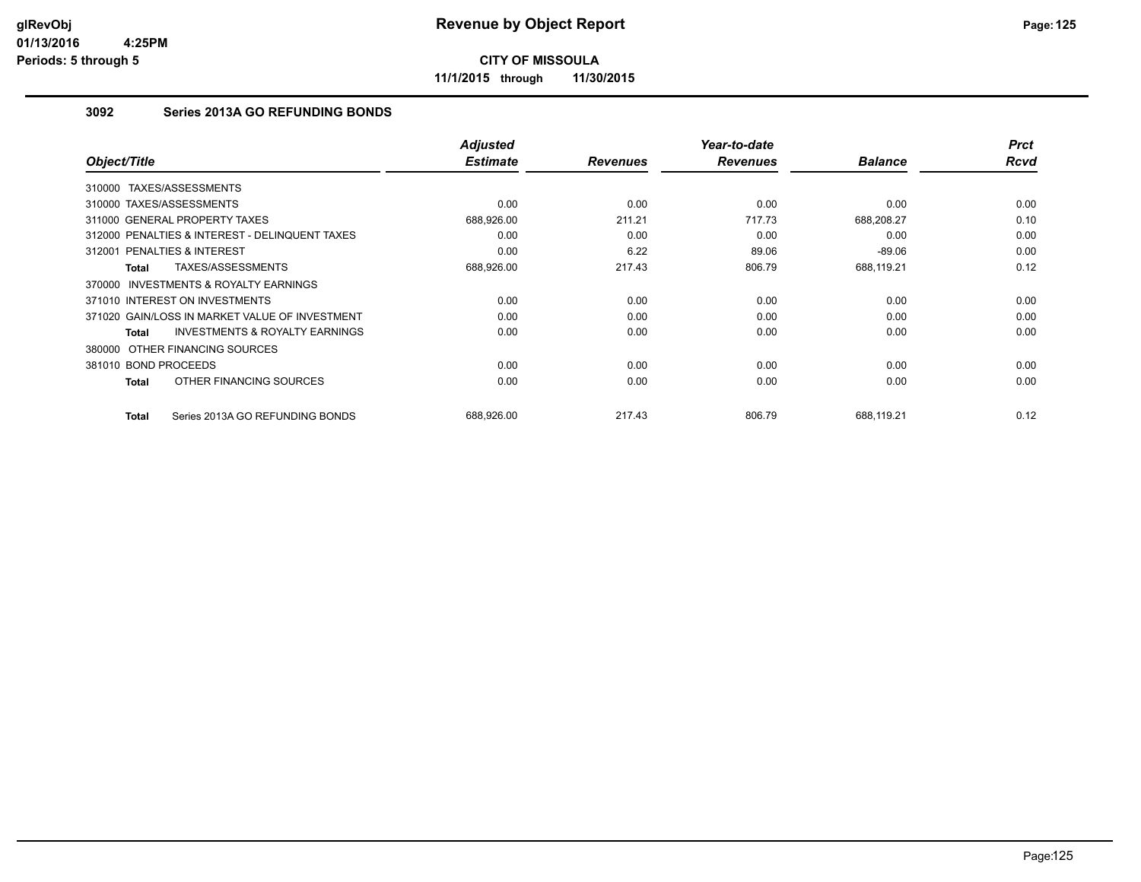**11/1/2015 through 11/30/2015**

### **3092 Series 2013A GO REFUNDING BONDS**

| Object/Title                                        | <b>Adjusted</b><br><b>Estimate</b> | <b>Revenues</b> | Year-to-date<br><b>Revenues</b> | <b>Balance</b> | <b>Prct</b><br><b>Rcvd</b> |
|-----------------------------------------------------|------------------------------------|-----------------|---------------------------------|----------------|----------------------------|
| TAXES/ASSESSMENTS<br>310000                         |                                    |                 |                                 |                |                            |
| 310000 TAXES/ASSESSMENTS                            | 0.00                               | 0.00            | 0.00                            | 0.00           | 0.00                       |
| 311000 GENERAL PROPERTY TAXES                       | 688,926.00                         | 211.21          | 717.73                          | 688,208.27     | 0.10                       |
| 312000 PENALTIES & INTEREST - DELINQUENT TAXES      | 0.00                               | 0.00            | 0.00                            | 0.00           | 0.00                       |
| PENALTIES & INTEREST<br>312001                      | 0.00                               | 6.22            | 89.06                           | $-89.06$       | 0.00                       |
| TAXES/ASSESSMENTS<br>Total                          | 688,926.00                         | 217.43          | 806.79                          | 688,119.21     | 0.12                       |
| <b>INVESTMENTS &amp; ROYALTY EARNINGS</b><br>370000 |                                    |                 |                                 |                |                            |
| 371010 INTEREST ON INVESTMENTS                      | 0.00                               | 0.00            | 0.00                            | 0.00           | 0.00                       |
| 371020 GAIN/LOSS IN MARKET VALUE OF INVESTMENT      | 0.00                               | 0.00            | 0.00                            | 0.00           | 0.00                       |
| <b>INVESTMENTS &amp; ROYALTY EARNINGS</b><br>Total  | 0.00                               | 0.00            | 0.00                            | 0.00           | 0.00                       |
| 380000 OTHER FINANCING SOURCES                      |                                    |                 |                                 |                |                            |
| 381010 BOND PROCEEDS                                | 0.00                               | 0.00            | 0.00                            | 0.00           | 0.00                       |
| OTHER FINANCING SOURCES<br>Total                    | 0.00                               | 0.00            | 0.00                            | 0.00           | 0.00                       |
| Series 2013A GO REFUNDING BONDS<br>Total            | 688.926.00                         | 217.43          | 806.79                          | 688.119.21     | 0.12                       |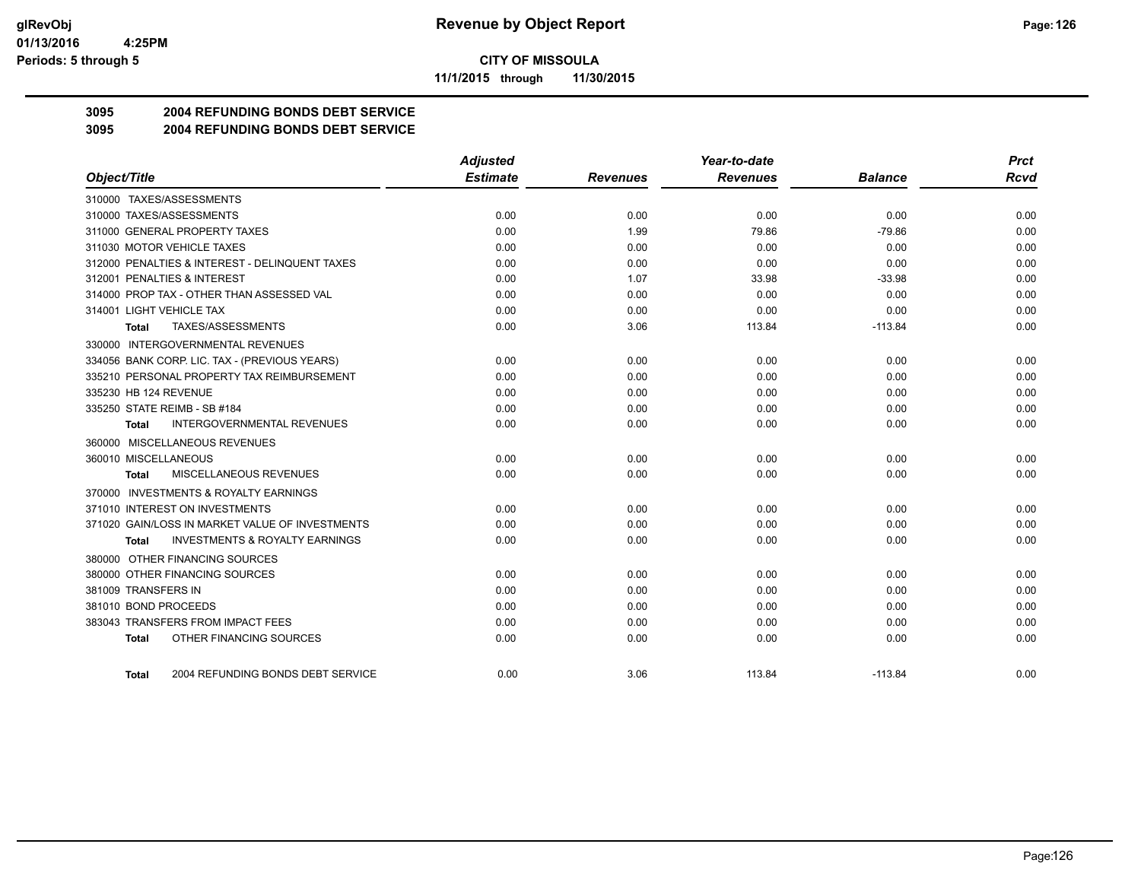**11/1/2015 through 11/30/2015**

## **3095 2004 REFUNDING BONDS DEBT SERVICE**

### **3095 2004 REFUNDING BONDS DEBT SERVICE**

|                          |                                                 | <b>Adjusted</b> |                 | Year-to-date    |                | <b>Prct</b> |
|--------------------------|-------------------------------------------------|-----------------|-----------------|-----------------|----------------|-------------|
| Object/Title             |                                                 | <b>Estimate</b> | <b>Revenues</b> | <b>Revenues</b> | <b>Balance</b> | <b>Rcvd</b> |
|                          | 310000 TAXES/ASSESSMENTS                        |                 |                 |                 |                |             |
|                          | 310000 TAXES/ASSESSMENTS                        | 0.00            | 0.00            | 0.00            | 0.00           | 0.00        |
|                          | 311000 GENERAL PROPERTY TAXES                   | 0.00            | 1.99            | 79.86           | $-79.86$       | 0.00        |
|                          | 311030 MOTOR VEHICLE TAXES                      | 0.00            | 0.00            | 0.00            | 0.00           | 0.00        |
|                          | 312000 PENALTIES & INTEREST - DELINQUENT TAXES  | 0.00            | 0.00            | 0.00            | 0.00           | 0.00        |
|                          | 312001 PENALTIES & INTEREST                     | 0.00            | 1.07            | 33.98           | $-33.98$       | 0.00        |
|                          | 314000 PROP TAX - OTHER THAN ASSESSED VAL       | 0.00            | 0.00            | 0.00            | 0.00           | 0.00        |
| 314001 LIGHT VEHICLE TAX |                                                 | 0.00            | 0.00            | 0.00            | 0.00           | 0.00        |
| Total                    | TAXES/ASSESSMENTS                               | 0.00            | 3.06            | 113.84          | $-113.84$      | 0.00        |
|                          | 330000 INTERGOVERNMENTAL REVENUES               |                 |                 |                 |                |             |
|                          | 334056 BANK CORP. LIC. TAX - (PREVIOUS YEARS)   | 0.00            | 0.00            | 0.00            | 0.00           | 0.00        |
|                          | 335210 PERSONAL PROPERTY TAX REIMBURSEMENT      | 0.00            | 0.00            | 0.00            | 0.00           | 0.00        |
| 335230 HB 124 REVENUE    |                                                 | 0.00            | 0.00            | 0.00            | 0.00           | 0.00        |
|                          | 335250 STATE REIMB - SB #184                    | 0.00            | 0.00            | 0.00            | 0.00           | 0.00        |
| Total                    | <b>INTERGOVERNMENTAL REVENUES</b>               | 0.00            | 0.00            | 0.00            | 0.00           | 0.00        |
|                          | 360000 MISCELLANEOUS REVENUES                   |                 |                 |                 |                |             |
| 360010 MISCELLANEOUS     |                                                 | 0.00            | 0.00            | 0.00            | 0.00           | 0.00        |
| <b>Total</b>             | MISCELLANEOUS REVENUES                          | 0.00            | 0.00            | 0.00            | 0.00           | 0.00        |
|                          | 370000 INVESTMENTS & ROYALTY EARNINGS           |                 |                 |                 |                |             |
|                          | 371010 INTEREST ON INVESTMENTS                  | 0.00            | 0.00            | 0.00            | 0.00           | 0.00        |
|                          | 371020 GAIN/LOSS IN MARKET VALUE OF INVESTMENTS | 0.00            | 0.00            | 0.00            | 0.00           | 0.00        |
| Total                    | <b>INVESTMENTS &amp; ROYALTY EARNINGS</b>       | 0.00            | 0.00            | 0.00            | 0.00           | 0.00        |
|                          | 380000 OTHER FINANCING SOURCES                  |                 |                 |                 |                |             |
|                          | 380000 OTHER FINANCING SOURCES                  | 0.00            | 0.00            | 0.00            | 0.00           | 0.00        |
| 381009 TRANSFERS IN      |                                                 | 0.00            | 0.00            | 0.00            | 0.00           | 0.00        |
| 381010 BOND PROCEEDS     |                                                 | 0.00            | 0.00            | 0.00            | 0.00           | 0.00        |
|                          | 383043 TRANSFERS FROM IMPACT FEES               | 0.00            | 0.00            | 0.00            | 0.00           | 0.00        |
| Total                    | OTHER FINANCING SOURCES                         | 0.00            | 0.00            | 0.00            | 0.00           | 0.00        |
| Total                    | 2004 REFUNDING BONDS DEBT SERVICE               | 0.00            | 3.06            | 113.84          | $-113.84$      | 0.00        |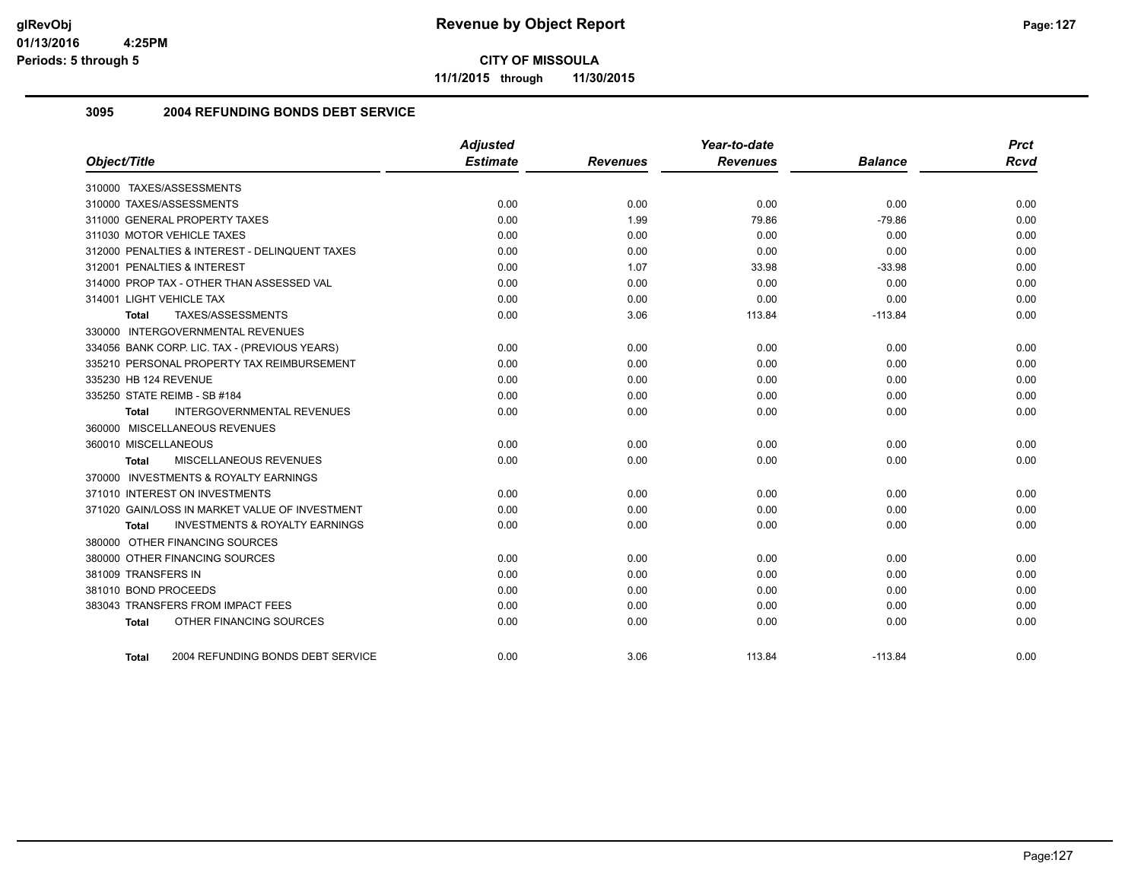**11/1/2015 through 11/30/2015**

### **3095 2004 REFUNDING BONDS DEBT SERVICE**

| Object/Title                                       | <b>Adjusted</b><br><b>Estimate</b> | <b>Revenues</b> | Year-to-date<br><b>Revenues</b> | <b>Balance</b> | <b>Prct</b><br><b>Rcvd</b> |
|----------------------------------------------------|------------------------------------|-----------------|---------------------------------|----------------|----------------------------|
| 310000 TAXES/ASSESSMENTS                           |                                    |                 |                                 |                |                            |
| 310000 TAXES/ASSESSMENTS                           | 0.00                               | 0.00            | 0.00                            | 0.00           | 0.00                       |
| 311000 GENERAL PROPERTY TAXES                      | 0.00                               | 1.99            | 79.86                           | $-79.86$       | 0.00                       |
| 311030 MOTOR VEHICLE TAXES                         | 0.00                               | 0.00            | 0.00                            | 0.00           | 0.00                       |
| 312000 PENALTIES & INTEREST - DELINQUENT TAXES     | 0.00                               | 0.00            | 0.00                            | 0.00           | 0.00                       |
| 312001 PENALTIES & INTEREST                        | 0.00                               | 1.07            | 33.98                           | $-33.98$       | 0.00                       |
| 314000 PROP TAX - OTHER THAN ASSESSED VAL          | 0.00                               | 0.00            | 0.00                            | 0.00           | 0.00                       |
| 314001 LIGHT VEHICLE TAX                           | 0.00                               | 0.00            | 0.00                            | 0.00           | 0.00                       |
| TAXES/ASSESSMENTS<br>Total                         | 0.00                               | 3.06            | 113.84                          | $-113.84$      | 0.00                       |
| 330000 INTERGOVERNMENTAL REVENUES                  |                                    |                 |                                 |                |                            |
| 334056 BANK CORP. LIC. TAX - (PREVIOUS YEARS)      | 0.00                               | 0.00            | 0.00                            | 0.00           | 0.00                       |
| 335210 PERSONAL PROPERTY TAX REIMBURSEMENT         | 0.00                               | 0.00            | 0.00                            | 0.00           | 0.00                       |
| 335230 HB 124 REVENUE                              | 0.00                               | 0.00            | 0.00                            | 0.00           | 0.00                       |
| 335250 STATE REIMB - SB #184                       | 0.00                               | 0.00            | 0.00                            | 0.00           | 0.00                       |
| <b>INTERGOVERNMENTAL REVENUES</b><br>Total         | 0.00                               | 0.00            | 0.00                            | 0.00           | 0.00                       |
| 360000 MISCELLANEOUS REVENUES                      |                                    |                 |                                 |                |                            |
| 360010 MISCELLANEOUS                               | 0.00                               | 0.00            | 0.00                            | 0.00           | 0.00                       |
| MISCELLANEOUS REVENUES<br>Total                    | 0.00                               | 0.00            | 0.00                            | 0.00           | 0.00                       |
| 370000 INVESTMENTS & ROYALTY EARNINGS              |                                    |                 |                                 |                |                            |
| 371010 INTEREST ON INVESTMENTS                     | 0.00                               | 0.00            | 0.00                            | 0.00           | 0.00                       |
| 371020 GAIN/LOSS IN MARKET VALUE OF INVESTMENT     | 0.00                               | 0.00            | 0.00                            | 0.00           | 0.00                       |
| <b>INVESTMENTS &amp; ROYALTY EARNINGS</b><br>Total | 0.00                               | 0.00            | 0.00                            | 0.00           | 0.00                       |
| 380000 OTHER FINANCING SOURCES                     |                                    |                 |                                 |                |                            |
| 380000 OTHER FINANCING SOURCES                     | 0.00                               | 0.00            | 0.00                            | 0.00           | 0.00                       |
| 381009 TRANSFERS IN                                | 0.00                               | 0.00            | 0.00                            | 0.00           | 0.00                       |
| 381010 BOND PROCEEDS                               | 0.00                               | 0.00            | 0.00                            | 0.00           | 0.00                       |
| 383043 TRANSFERS FROM IMPACT FEES                  | 0.00                               | 0.00            | 0.00                            | 0.00           | 0.00                       |
| OTHER FINANCING SOURCES<br><b>Total</b>            | 0.00                               | 0.00            | 0.00                            | 0.00           | 0.00                       |
| 2004 REFUNDING BONDS DEBT SERVICE<br><b>Total</b>  | 0.00                               | 3.06            | 113.84                          | $-113.84$      | 0.00                       |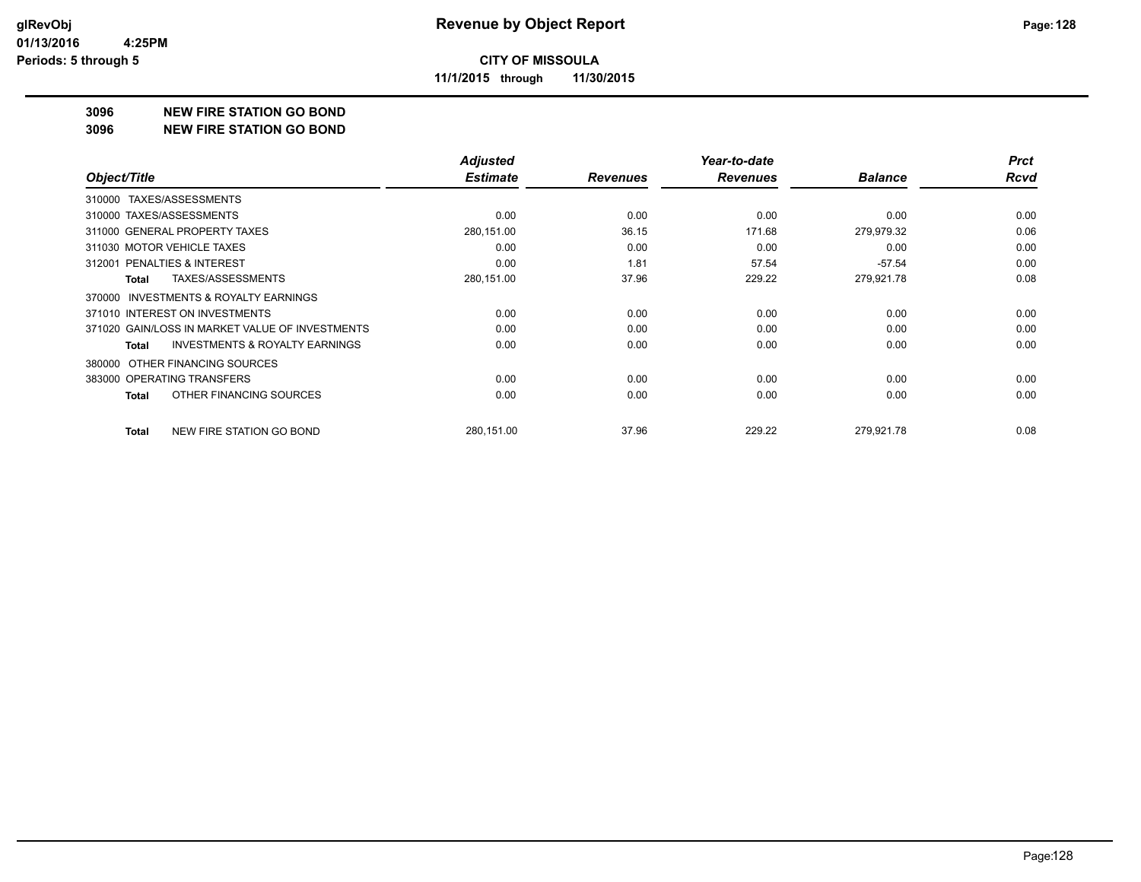**11/1/2015 through 11/30/2015**

#### **3096 NEW FIRE STATION GO BOND**

#### **3096 NEW FIRE STATION GO BOND**

|                                                     | <b>Adjusted</b> |                 | Year-to-date    |                | <b>Prct</b> |
|-----------------------------------------------------|-----------------|-----------------|-----------------|----------------|-------------|
| Object/Title                                        | <b>Estimate</b> | <b>Revenues</b> | <b>Revenues</b> | <b>Balance</b> | <b>Rcvd</b> |
| TAXES/ASSESSMENTS<br>310000                         |                 |                 |                 |                |             |
| 310000 TAXES/ASSESSMENTS                            | 0.00            | 0.00            | 0.00            | 0.00           | 0.00        |
| 311000 GENERAL PROPERTY TAXES                       | 280,151.00      | 36.15           | 171.68          | 279.979.32     | 0.06        |
| 311030 MOTOR VEHICLE TAXES                          | 0.00            | 0.00            | 0.00            | 0.00           | 0.00        |
| 312001 PENALTIES & INTEREST                         | 0.00            | 1.81            | 57.54           | $-57.54$       | 0.00        |
| <b>TAXES/ASSESSMENTS</b><br>Total                   | 280,151.00      | 37.96           | 229.22          | 279,921.78     | 0.08        |
| <b>INVESTMENTS &amp; ROYALTY EARNINGS</b><br>370000 |                 |                 |                 |                |             |
| 371010 INTEREST ON INVESTMENTS                      | 0.00            | 0.00            | 0.00            | 0.00           | 0.00        |
| 371020 GAIN/LOSS IN MARKET VALUE OF INVESTMENTS     | 0.00            | 0.00            | 0.00            | 0.00           | 0.00        |
| <b>INVESTMENTS &amp; ROYALTY EARNINGS</b><br>Total  | 0.00            | 0.00            | 0.00            | 0.00           | 0.00        |
| OTHER FINANCING SOURCES<br>380000                   |                 |                 |                 |                |             |
| 383000 OPERATING TRANSFERS                          | 0.00            | 0.00            | 0.00            | 0.00           | 0.00        |
| OTHER FINANCING SOURCES<br>Total                    | 0.00            | 0.00            | 0.00            | 0.00           | 0.00        |
| NEW FIRE STATION GO BOND<br>Total                   | 280,151.00      | 37.96           | 229.22          | 279,921.78     | 0.08        |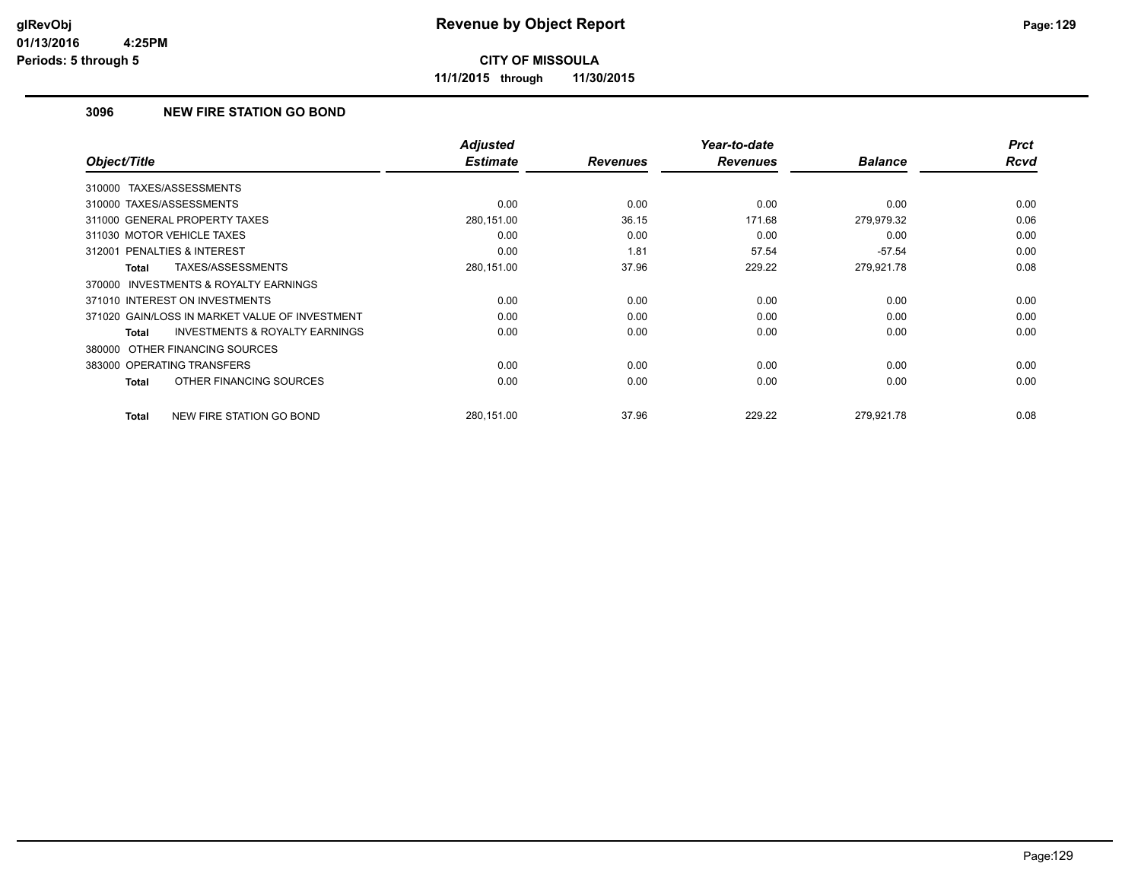**11/1/2015 through 11/30/2015**

### **3096 NEW FIRE STATION GO BOND**

| Object/Title                                       | <b>Adjusted</b><br><b>Estimate</b> | <b>Revenues</b> | Year-to-date<br><b>Revenues</b> | <b>Balance</b> | <b>Prct</b><br><b>Rcvd</b> |
|----------------------------------------------------|------------------------------------|-----------------|---------------------------------|----------------|----------------------------|
| 310000 TAXES/ASSESSMENTS                           |                                    |                 |                                 |                |                            |
| 310000 TAXES/ASSESSMENTS                           | 0.00                               | 0.00            | 0.00                            | 0.00           | 0.00                       |
| 311000 GENERAL PROPERTY TAXES                      | 280,151.00                         | 36.15           | 171.68                          | 279,979.32     | 0.06                       |
| 311030 MOTOR VEHICLE TAXES                         | 0.00                               | 0.00            | 0.00                            | 0.00           | 0.00                       |
| PENALTIES & INTEREST<br>312001                     | 0.00                               | 1.81            | 57.54                           | $-57.54$       | 0.00                       |
| TAXES/ASSESSMENTS<br>Total                         | 280,151.00                         | 37.96           | 229.22                          | 279,921.78     | 0.08                       |
| 370000 INVESTMENTS & ROYALTY EARNINGS              |                                    |                 |                                 |                |                            |
| 371010 INTEREST ON INVESTMENTS                     | 0.00                               | 0.00            | 0.00                            | 0.00           | 0.00                       |
| 371020 GAIN/LOSS IN MARKET VALUE OF INVESTMENT     | 0.00                               | 0.00            | 0.00                            | 0.00           | 0.00                       |
| <b>INVESTMENTS &amp; ROYALTY EARNINGS</b><br>Total | 0.00                               | 0.00            | 0.00                            | 0.00           | 0.00                       |
| 380000 OTHER FINANCING SOURCES                     |                                    |                 |                                 |                |                            |
| 383000 OPERATING TRANSFERS                         | 0.00                               | 0.00            | 0.00                            | 0.00           | 0.00                       |
| OTHER FINANCING SOURCES<br>Total                   | 0.00                               | 0.00            | 0.00                            | 0.00           | 0.00                       |
|                                                    |                                    |                 |                                 |                |                            |
| NEW FIRE STATION GO BOND<br>Total                  | 280,151.00                         | 37.96           | 229.22                          | 279,921.78     | 0.08                       |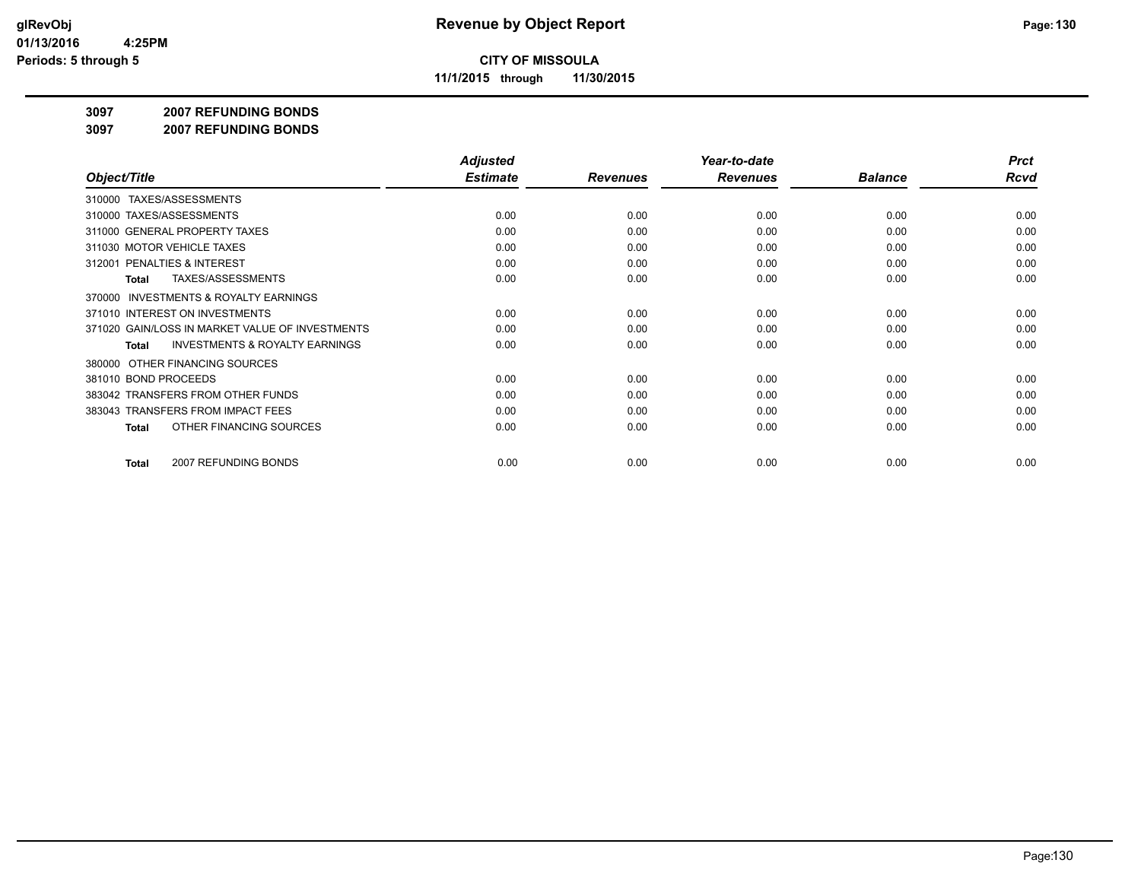**11/1/2015 through 11/30/2015**

#### **3097 2007 REFUNDING BONDS**

**3097 2007 REFUNDING BONDS**

|                                                     | <b>Adjusted</b> |                 | Year-to-date    |                | <b>Prct</b> |
|-----------------------------------------------------|-----------------|-----------------|-----------------|----------------|-------------|
| Object/Title                                        | <b>Estimate</b> | <b>Revenues</b> | <b>Revenues</b> | <b>Balance</b> | <b>Rcvd</b> |
| 310000 TAXES/ASSESSMENTS                            |                 |                 |                 |                |             |
| 310000 TAXES/ASSESSMENTS                            | 0.00            | 0.00            | 0.00            | 0.00           | 0.00        |
| 311000 GENERAL PROPERTY TAXES                       | 0.00            | 0.00            | 0.00            | 0.00           | 0.00        |
| 311030 MOTOR VEHICLE TAXES                          | 0.00            | 0.00            | 0.00            | 0.00           | 0.00        |
| 312001 PENALTIES & INTEREST                         | 0.00            | 0.00            | 0.00            | 0.00           | 0.00        |
| <b>TAXES/ASSESSMENTS</b><br><b>Total</b>            | 0.00            | 0.00            | 0.00            | 0.00           | 0.00        |
| <b>INVESTMENTS &amp; ROYALTY EARNINGS</b><br>370000 |                 |                 |                 |                |             |
| 371010 INTEREST ON INVESTMENTS                      | 0.00            | 0.00            | 0.00            | 0.00           | 0.00        |
| 371020 GAIN/LOSS IN MARKET VALUE OF INVESTMENTS     | 0.00            | 0.00            | 0.00            | 0.00           | 0.00        |
| <b>INVESTMENTS &amp; ROYALTY EARNINGS</b><br>Total  | 0.00            | 0.00            | 0.00            | 0.00           | 0.00        |
| OTHER FINANCING SOURCES<br>380000                   |                 |                 |                 |                |             |
| 381010 BOND PROCEEDS                                | 0.00            | 0.00            | 0.00            | 0.00           | 0.00        |
| 383042 TRANSFERS FROM OTHER FUNDS                   | 0.00            | 0.00            | 0.00            | 0.00           | 0.00        |
| 383043 TRANSFERS FROM IMPACT FEES                   | 0.00            | 0.00            | 0.00            | 0.00           | 0.00        |
| OTHER FINANCING SOURCES<br>Total                    | 0.00            | 0.00            | 0.00            | 0.00           | 0.00        |
| 2007 REFUNDING BONDS<br>Total                       | 0.00            | 0.00            | 0.00            | 0.00           | 0.00        |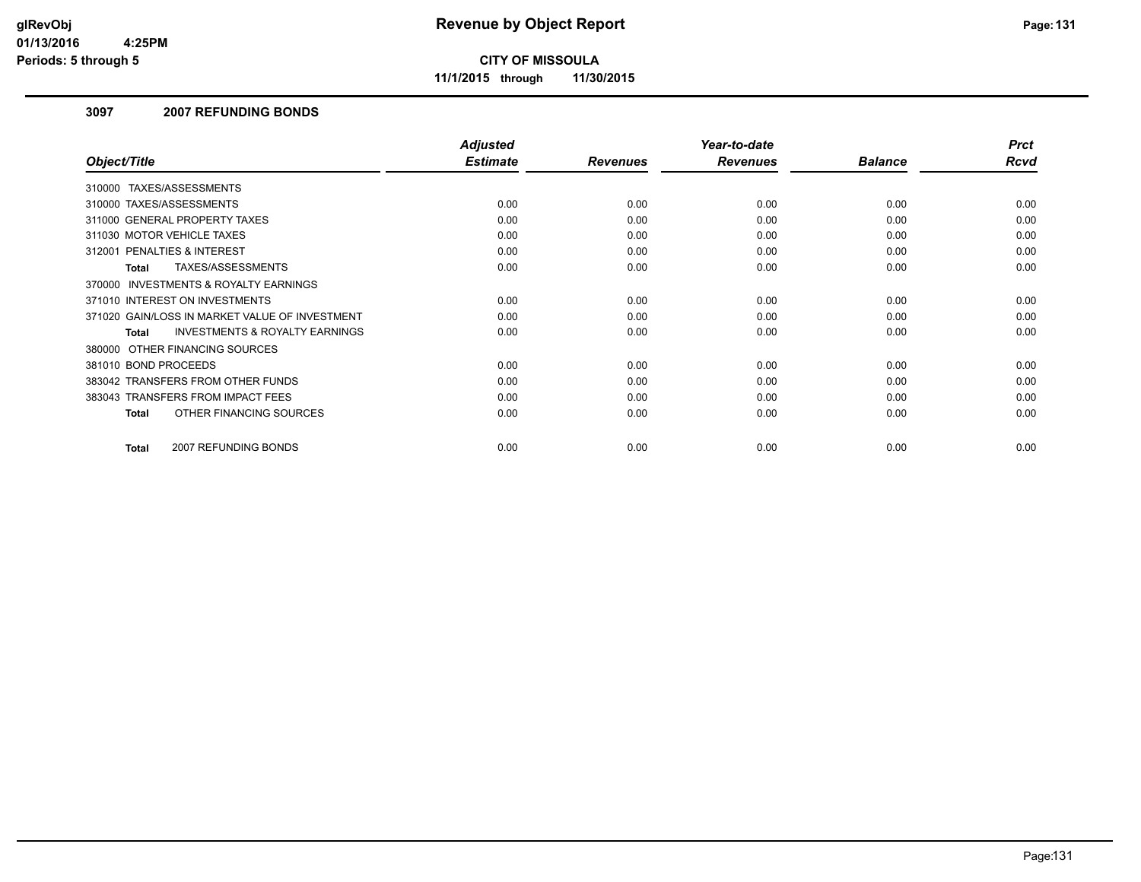**11/1/2015 through 11/30/2015**

### **3097 2007 REFUNDING BONDS**

|                                                     | <b>Adjusted</b> |                 | Year-to-date    |                | <b>Prct</b> |
|-----------------------------------------------------|-----------------|-----------------|-----------------|----------------|-------------|
| Object/Title                                        | <b>Estimate</b> | <b>Revenues</b> | <b>Revenues</b> | <b>Balance</b> | Rcvd        |
| 310000 TAXES/ASSESSMENTS                            |                 |                 |                 |                |             |
| 310000 TAXES/ASSESSMENTS                            | 0.00            | 0.00            | 0.00            | 0.00           | 0.00        |
| 311000 GENERAL PROPERTY TAXES                       | 0.00            | 0.00            | 0.00            | 0.00           | 0.00        |
| 311030 MOTOR VEHICLE TAXES                          | 0.00            | 0.00            | 0.00            | 0.00           | 0.00        |
| 312001 PENALTIES & INTEREST                         | 0.00            | 0.00            | 0.00            | 0.00           | 0.00        |
| TAXES/ASSESSMENTS<br>Total                          | 0.00            | 0.00            | 0.00            | 0.00           | 0.00        |
| <b>INVESTMENTS &amp; ROYALTY EARNINGS</b><br>370000 |                 |                 |                 |                |             |
| 371010 INTEREST ON INVESTMENTS                      | 0.00            | 0.00            | 0.00            | 0.00           | 0.00        |
| 371020 GAIN/LOSS IN MARKET VALUE OF INVESTMENT      | 0.00            | 0.00            | 0.00            | 0.00           | 0.00        |
| <b>INVESTMENTS &amp; ROYALTY EARNINGS</b><br>Total  | 0.00            | 0.00            | 0.00            | 0.00           | 0.00        |
| 380000 OTHER FINANCING SOURCES                      |                 |                 |                 |                |             |
| 381010 BOND PROCEEDS                                | 0.00            | 0.00            | 0.00            | 0.00           | 0.00        |
| 383042 TRANSFERS FROM OTHER FUNDS                   | 0.00            | 0.00            | 0.00            | 0.00           | 0.00        |
| 383043 TRANSFERS FROM IMPACT FEES                   | 0.00            | 0.00            | 0.00            | 0.00           | 0.00        |
| OTHER FINANCING SOURCES<br><b>Total</b>             | 0.00            | 0.00            | 0.00            | 0.00           | 0.00        |
| 2007 REFUNDING BONDS<br>Total                       | 0.00            | 0.00            | 0.00            | 0.00           | 0.00        |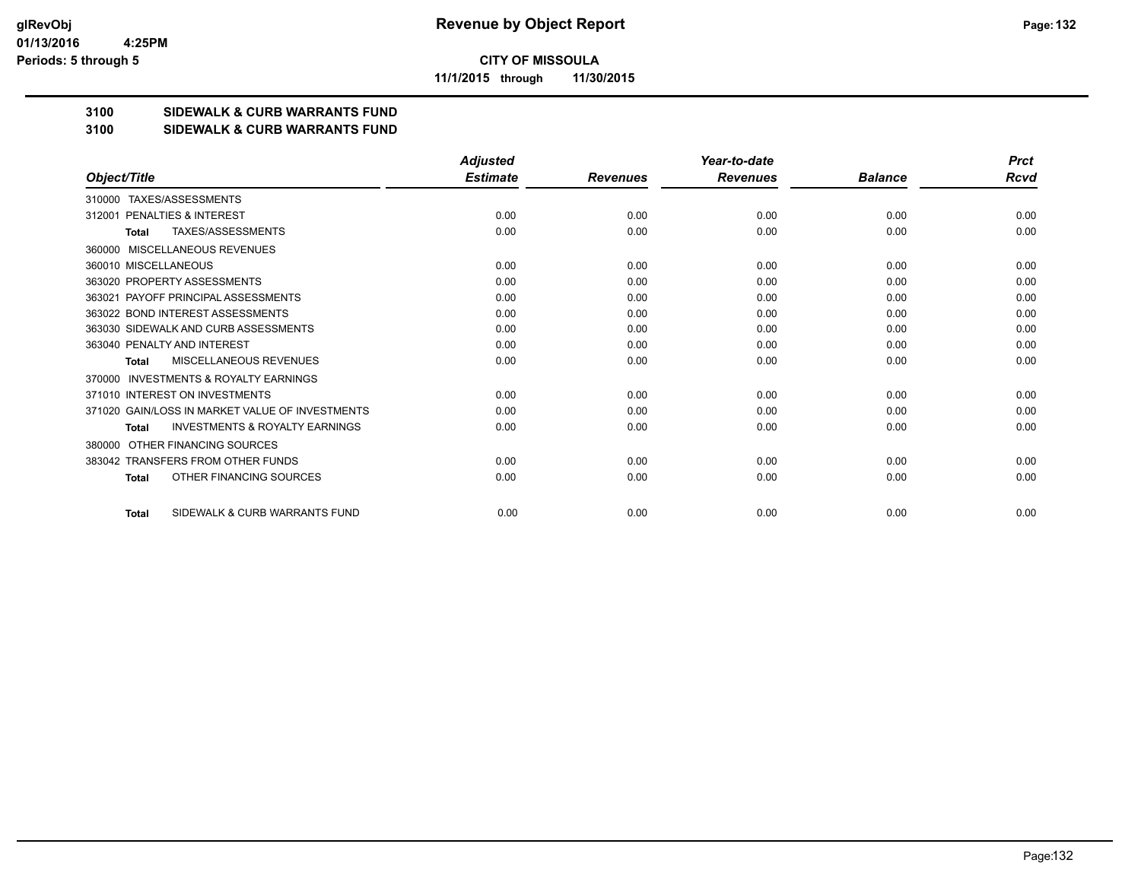**11/1/2015 through 11/30/2015**

### **3100 SIDEWALK & CURB WARRANTS FUND**

#### **3100 SIDEWALK & CURB WARRANTS FUND**

|                                                           | <b>Adjusted</b> |                 | Year-to-date    |                |             |
|-----------------------------------------------------------|-----------------|-----------------|-----------------|----------------|-------------|
| Object/Title                                              | <b>Estimate</b> | <b>Revenues</b> | <b>Revenues</b> | <b>Balance</b> | <b>Rcvd</b> |
| TAXES/ASSESSMENTS<br>310000                               |                 |                 |                 |                |             |
| PENALTIES & INTEREST<br>312001                            | 0.00            | 0.00            | 0.00            | 0.00           | 0.00        |
| TAXES/ASSESSMENTS<br><b>Total</b>                         | 0.00            | 0.00            | 0.00            | 0.00           | 0.00        |
| MISCELLANEOUS REVENUES<br>360000                          |                 |                 |                 |                |             |
| 360010 MISCELLANEOUS                                      | 0.00            | 0.00            | 0.00            | 0.00           | 0.00        |
| 363020 PROPERTY ASSESSMENTS                               | 0.00            | 0.00            | 0.00            | 0.00           | 0.00        |
| 363021 PAYOFF PRINCIPAL ASSESSMENTS                       | 0.00            | 0.00            | 0.00            | 0.00           | 0.00        |
| 363022 BOND INTEREST ASSESSMENTS                          | 0.00            | 0.00            | 0.00            | 0.00           | 0.00        |
| 363030 SIDEWALK AND CURB ASSESSMENTS                      | 0.00            | 0.00            | 0.00            | 0.00           | 0.00        |
| 363040 PENALTY AND INTEREST                               | 0.00            | 0.00            | 0.00            | 0.00           | 0.00        |
| MISCELLANEOUS REVENUES<br><b>Total</b>                    | 0.00            | 0.00            | 0.00            | 0.00           | 0.00        |
| <b>INVESTMENTS &amp; ROYALTY EARNINGS</b><br>370000       |                 |                 |                 |                |             |
| 371010 INTEREST ON INVESTMENTS                            | 0.00            | 0.00            | 0.00            | 0.00           | 0.00        |
| 371020 GAIN/LOSS IN MARKET VALUE OF INVESTMENTS           | 0.00            | 0.00            | 0.00            | 0.00           | 0.00        |
| <b>INVESTMENTS &amp; ROYALTY EARNINGS</b><br><b>Total</b> | 0.00            | 0.00            | 0.00            | 0.00           | 0.00        |
| OTHER FINANCING SOURCES<br>380000                         |                 |                 |                 |                |             |
| 383042 TRANSFERS FROM OTHER FUNDS                         | 0.00            | 0.00            | 0.00            | 0.00           | 0.00        |
| OTHER FINANCING SOURCES<br><b>Total</b>                   | 0.00            | 0.00            | 0.00            | 0.00           | 0.00        |
| SIDEWALK & CURB WARRANTS FUND<br><b>Total</b>             | 0.00            | 0.00            | 0.00            | 0.00           | 0.00        |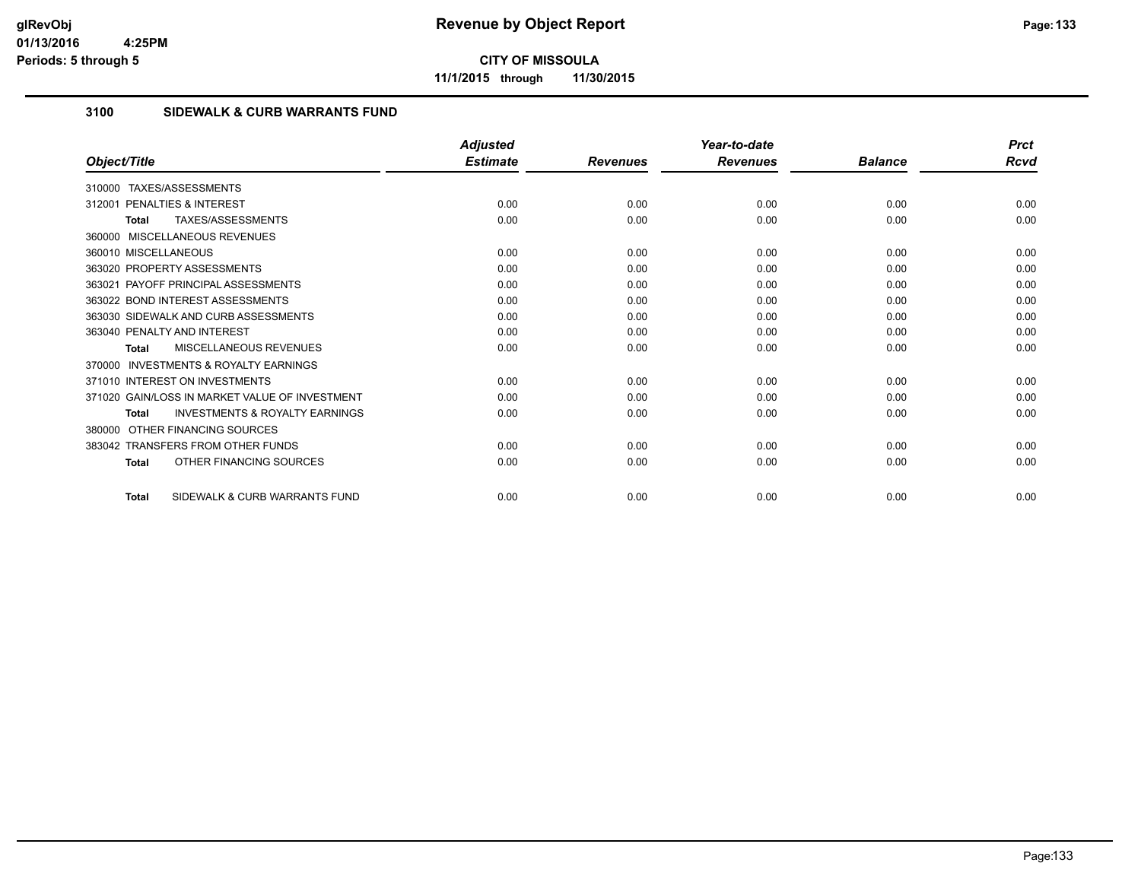**11/1/2015 through 11/30/2015**

### **3100 SIDEWALK & CURB WARRANTS FUND**

|                                                           | <b>Adjusted</b> |                 | Year-to-date    |                | <b>Prct</b> |
|-----------------------------------------------------------|-----------------|-----------------|-----------------|----------------|-------------|
| Object/Title                                              | <b>Estimate</b> | <b>Revenues</b> | <b>Revenues</b> | <b>Balance</b> | Rcvd        |
| TAXES/ASSESSMENTS<br>310000                               |                 |                 |                 |                |             |
| <b>PENALTIES &amp; INTEREST</b><br>312001                 | 0.00            | 0.00            | 0.00            | 0.00           | 0.00        |
| <b>TAXES/ASSESSMENTS</b><br><b>Total</b>                  | 0.00            | 0.00            | 0.00            | 0.00           | 0.00        |
| 360000 MISCELLANEOUS REVENUES                             |                 |                 |                 |                |             |
| 360010 MISCELLANEOUS                                      | 0.00            | 0.00            | 0.00            | 0.00           | 0.00        |
| 363020 PROPERTY ASSESSMENTS                               | 0.00            | 0.00            | 0.00            | 0.00           | 0.00        |
| 363021 PAYOFF PRINCIPAL ASSESSMENTS                       | 0.00            | 0.00            | 0.00            | 0.00           | 0.00        |
| 363022 BOND INTEREST ASSESSMENTS                          | 0.00            | 0.00            | 0.00            | 0.00           | 0.00        |
| 363030 SIDEWALK AND CURB ASSESSMENTS                      | 0.00            | 0.00            | 0.00            | 0.00           | 0.00        |
| 363040 PENALTY AND INTEREST                               | 0.00            | 0.00            | 0.00            | 0.00           | 0.00        |
| <b>MISCELLANEOUS REVENUES</b><br><b>Total</b>             | 0.00            | 0.00            | 0.00            | 0.00           | 0.00        |
| <b>INVESTMENTS &amp; ROYALTY EARNINGS</b><br>370000       |                 |                 |                 |                |             |
| 371010 INTEREST ON INVESTMENTS                            | 0.00            | 0.00            | 0.00            | 0.00           | 0.00        |
| 371020 GAIN/LOSS IN MARKET VALUE OF INVESTMENT            | 0.00            | 0.00            | 0.00            | 0.00           | 0.00        |
| <b>INVESTMENTS &amp; ROYALTY EARNINGS</b><br><b>Total</b> | 0.00            | 0.00            | 0.00            | 0.00           | 0.00        |
| OTHER FINANCING SOURCES<br>380000                         |                 |                 |                 |                |             |
| 383042 TRANSFERS FROM OTHER FUNDS                         | 0.00            | 0.00            | 0.00            | 0.00           | 0.00        |
| OTHER FINANCING SOURCES<br><b>Total</b>                   | 0.00            | 0.00            | 0.00            | 0.00           | 0.00        |
| SIDEWALK & CURB WARRANTS FUND<br><b>Total</b>             | 0.00            | 0.00            | 0.00            | 0.00           | 0.00        |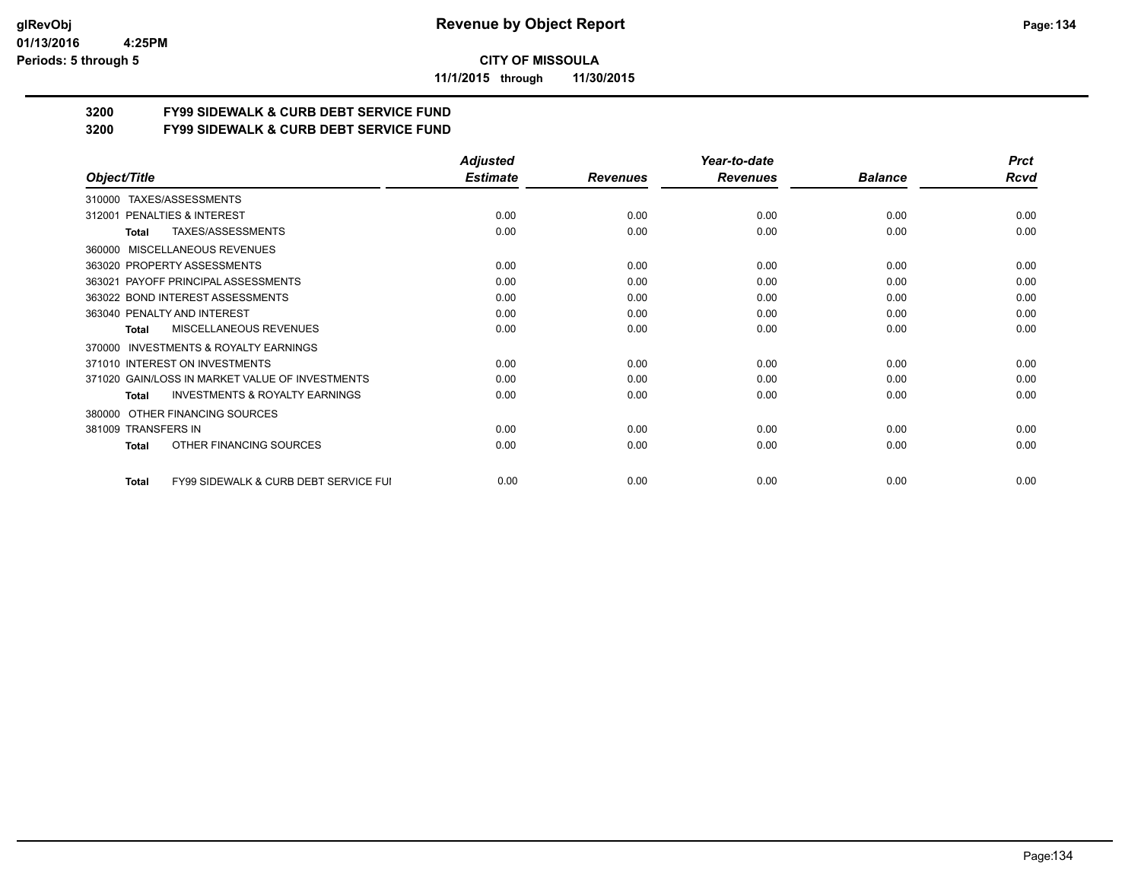**11/1/2015 through 11/30/2015**

## **3200 FY99 SIDEWALK & CURB DEBT SERVICE FUND**

**3200 FY99 SIDEWALK & CURB DEBT SERVICE FUND**

|                                                           | <b>Adjusted</b> |                 | Year-to-date    |                | <b>Prct</b> |
|-----------------------------------------------------------|-----------------|-----------------|-----------------|----------------|-------------|
| Object/Title                                              | <b>Estimate</b> | <b>Revenues</b> | <b>Revenues</b> | <b>Balance</b> | Rcvd        |
| TAXES/ASSESSMENTS<br>310000                               |                 |                 |                 |                |             |
| <b>PENALTIES &amp; INTEREST</b><br>312001                 | 0.00            | 0.00            | 0.00            | 0.00           | 0.00        |
| TAXES/ASSESSMENTS<br>Total                                | 0.00            | 0.00            | 0.00            | 0.00           | 0.00        |
| MISCELLANEOUS REVENUES<br>360000                          |                 |                 |                 |                |             |
| 363020 PROPERTY ASSESSMENTS                               | 0.00            | 0.00            | 0.00            | 0.00           | 0.00        |
| PAYOFF PRINCIPAL ASSESSMENTS<br>363021                    | 0.00            | 0.00            | 0.00            | 0.00           | 0.00        |
| 363022 BOND INTEREST ASSESSMENTS                          | 0.00            | 0.00            | 0.00            | 0.00           | 0.00        |
| 363040 PENALTY AND INTEREST                               | 0.00            | 0.00            | 0.00            | 0.00           | 0.00        |
| <b>MISCELLANEOUS REVENUES</b><br>Total                    | 0.00            | 0.00            | 0.00            | 0.00           | 0.00        |
| <b>INVESTMENTS &amp; ROYALTY EARNINGS</b><br>370000       |                 |                 |                 |                |             |
| 371010 INTEREST ON INVESTMENTS                            | 0.00            | 0.00            | 0.00            | 0.00           | 0.00        |
| 371020 GAIN/LOSS IN MARKET VALUE OF INVESTMENTS           | 0.00            | 0.00            | 0.00            | 0.00           | 0.00        |
| <b>INVESTMENTS &amp; ROYALTY EARNINGS</b><br><b>Total</b> | 0.00            | 0.00            | 0.00            | 0.00           | 0.00        |
| OTHER FINANCING SOURCES<br>380000                         |                 |                 |                 |                |             |
| 381009 TRANSFERS IN                                       | 0.00            | 0.00            | 0.00            | 0.00           | 0.00        |
| OTHER FINANCING SOURCES<br>Total                          | 0.00            | 0.00            | 0.00            | 0.00           | 0.00        |
| FY99 SIDEWALK & CURB DEBT SERVICE FUI<br><b>Total</b>     | 0.00            | 0.00            | 0.00            | 0.00           | 0.00        |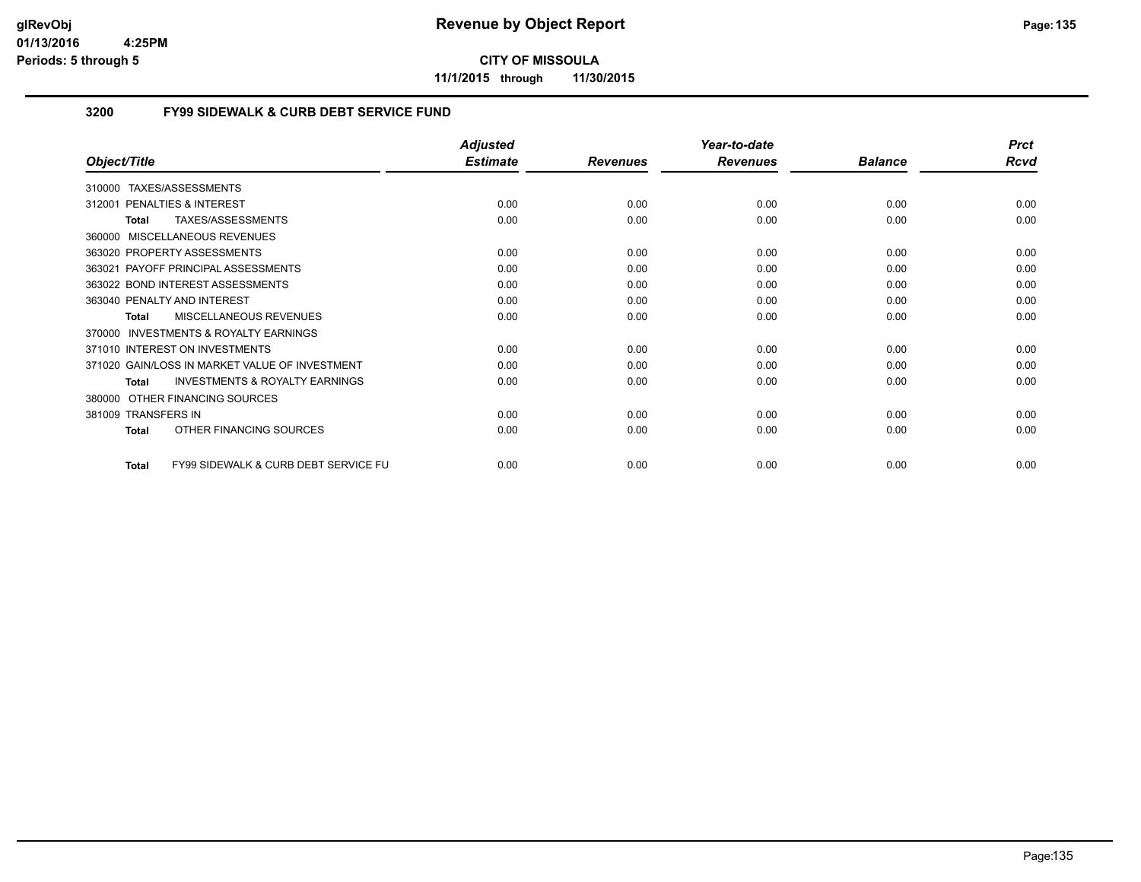**11/1/2015 through 11/30/2015**

### **3200 FY99 SIDEWALK & CURB DEBT SERVICE FUND**

|                                                                 | <b>Adjusted</b> |                 | Year-to-date    |                | <b>Prct</b> |
|-----------------------------------------------------------------|-----------------|-----------------|-----------------|----------------|-------------|
| Object/Title                                                    | <b>Estimate</b> | <b>Revenues</b> | <b>Revenues</b> | <b>Balance</b> | <b>Rcvd</b> |
| TAXES/ASSESSMENTS<br>310000                                     |                 |                 |                 |                |             |
| PENALTIES & INTEREST<br>312001                                  | 0.00            | 0.00            | 0.00            | 0.00           | 0.00        |
| TAXES/ASSESSMENTS<br><b>Total</b>                               | 0.00            | 0.00            | 0.00            | 0.00           | 0.00        |
| MISCELLANEOUS REVENUES<br>360000                                |                 |                 |                 |                |             |
| 363020 PROPERTY ASSESSMENTS                                     | 0.00            | 0.00            | 0.00            | 0.00           | 0.00        |
| 363021 PAYOFF PRINCIPAL ASSESSMENTS                             | 0.00            | 0.00            | 0.00            | 0.00           | 0.00        |
| 363022 BOND INTEREST ASSESSMENTS                                | 0.00            | 0.00            | 0.00            | 0.00           | 0.00        |
| 363040 PENALTY AND INTEREST                                     | 0.00            | 0.00            | 0.00            | 0.00           | 0.00        |
| MISCELLANEOUS REVENUES<br><b>Total</b>                          | 0.00            | 0.00            | 0.00            | 0.00           | 0.00        |
| <b>INVESTMENTS &amp; ROYALTY EARNINGS</b><br>370000             |                 |                 |                 |                |             |
| 371010 INTEREST ON INVESTMENTS                                  | 0.00            | 0.00            | 0.00            | 0.00           | 0.00        |
| 371020 GAIN/LOSS IN MARKET VALUE OF INVESTMENT                  | 0.00            | 0.00            | 0.00            | 0.00           | 0.00        |
| <b>INVESTMENTS &amp; ROYALTY EARNINGS</b><br><b>Total</b>       | 0.00            | 0.00            | 0.00            | 0.00           | 0.00        |
| OTHER FINANCING SOURCES<br>380000                               |                 |                 |                 |                |             |
| 381009 TRANSFERS IN                                             | 0.00            | 0.00            | 0.00            | 0.00           | 0.00        |
| OTHER FINANCING SOURCES<br><b>Total</b>                         | 0.00            | 0.00            | 0.00            | 0.00           | 0.00        |
| <b>FY99 SIDEWALK &amp; CURB DEBT SERVICE FU</b><br><b>Total</b> | 0.00            | 0.00            | 0.00            | 0.00           | 0.00        |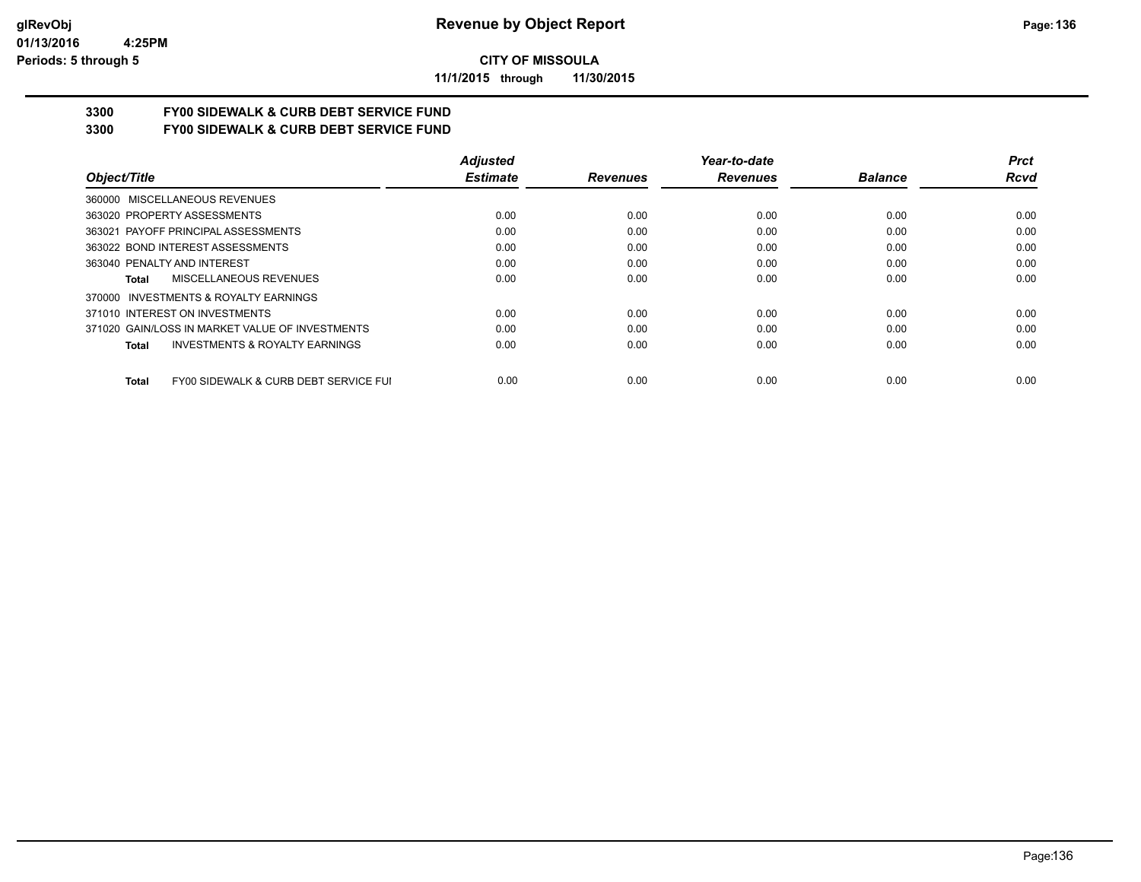**11/1/2015 through 11/30/2015**

# **3300 FY00 SIDEWALK & CURB DEBT SERVICE FUND**

**3300 FY00 SIDEWALK & CURB DEBT SERVICE FUND**

|                                                       | <b>Adjusted</b> |                 | Year-to-date    |                | <b>Prct</b> |
|-------------------------------------------------------|-----------------|-----------------|-----------------|----------------|-------------|
| Object/Title                                          | <b>Estimate</b> | <b>Revenues</b> | <b>Revenues</b> | <b>Balance</b> | <b>Rcvd</b> |
| 360000 MISCELLANEOUS REVENUES                         |                 |                 |                 |                |             |
| 363020 PROPERTY ASSESSMENTS                           | 0.00            | 0.00            | 0.00            | 0.00           | 0.00        |
| 363021 PAYOFF PRINCIPAL ASSESSMENTS                   | 0.00            | 0.00            | 0.00            | 0.00           | 0.00        |
| 363022 BOND INTEREST ASSESSMENTS                      | 0.00            | 0.00            | 0.00            | 0.00           | 0.00        |
| 363040 PENALTY AND INTEREST                           | 0.00            | 0.00            | 0.00            | 0.00           | 0.00        |
| MISCELLANEOUS REVENUES<br>Total                       | 0.00            | 0.00            | 0.00            | 0.00           | 0.00        |
| INVESTMENTS & ROYALTY EARNINGS<br>370000              |                 |                 |                 |                |             |
| 371010 INTEREST ON INVESTMENTS                        | 0.00            | 0.00            | 0.00            | 0.00           | 0.00        |
| 371020 GAIN/LOSS IN MARKET VALUE OF INVESTMENTS       | 0.00            | 0.00            | 0.00            | 0.00           | 0.00        |
| <b>INVESTMENTS &amp; ROYALTY EARNINGS</b><br>Total    | 0.00            | 0.00            | 0.00            | 0.00           | 0.00        |
| FY00 SIDEWALK & CURB DEBT SERVICE FUI<br><b>Total</b> | 0.00            | 0.00            | 0.00            | 0.00           | 0.00        |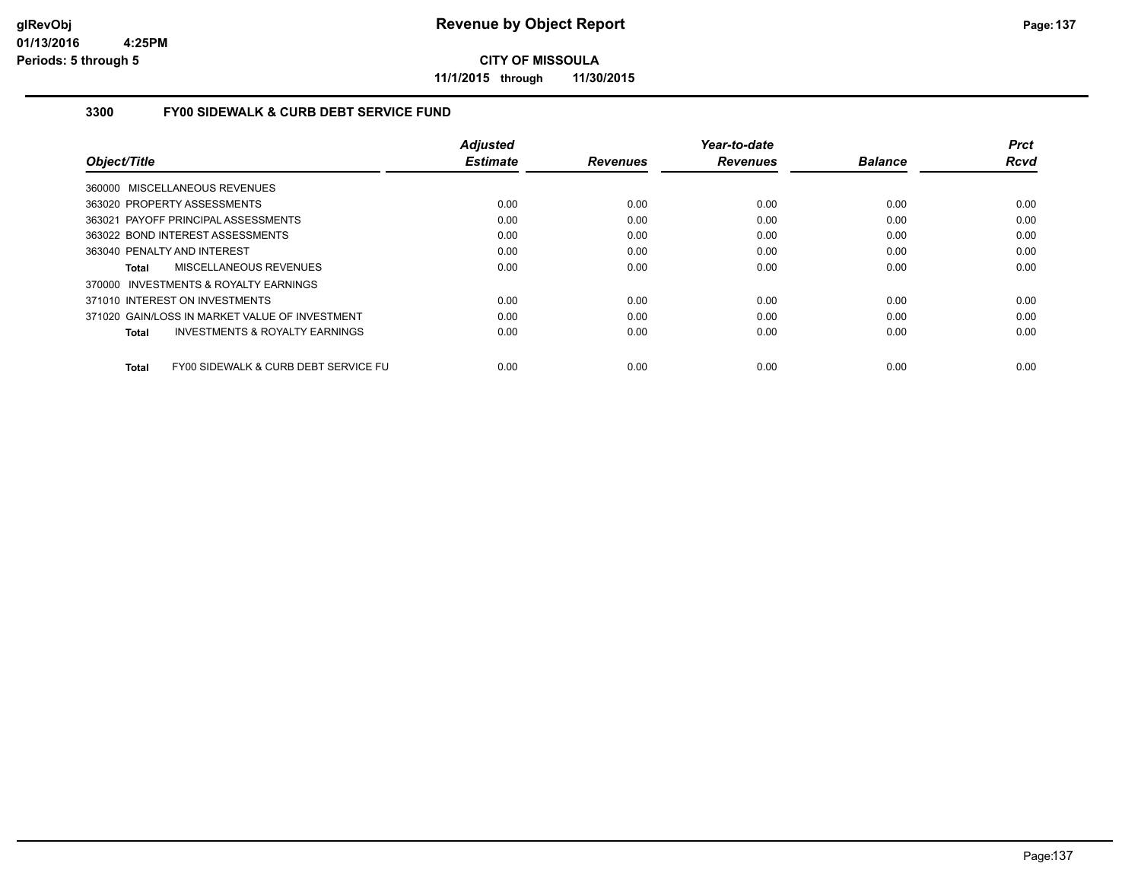**11/1/2015 through 11/30/2015**

### **3300 FY00 SIDEWALK & CURB DEBT SERVICE FUND**

|                                                      | <b>Adjusted</b> |                 | Year-to-date    |                | <b>Prct</b> |
|------------------------------------------------------|-----------------|-----------------|-----------------|----------------|-------------|
| Object/Title                                         | <b>Estimate</b> | <b>Revenues</b> | <b>Revenues</b> | <b>Balance</b> | <b>Rcvd</b> |
| 360000 MISCELLANEOUS REVENUES                        |                 |                 |                 |                |             |
| 363020 PROPERTY ASSESSMENTS                          | 0.00            | 0.00            | 0.00            | 0.00           | 0.00        |
| 363021 PAYOFF PRINCIPAL ASSESSMENTS                  | 0.00            | 0.00            | 0.00            | 0.00           | 0.00        |
| 363022 BOND INTEREST ASSESSMENTS                     | 0.00            | 0.00            | 0.00            | 0.00           | 0.00        |
| 363040 PENALTY AND INTEREST                          | 0.00            | 0.00            | 0.00            | 0.00           | 0.00        |
| MISCELLANEOUS REVENUES<br>Total                      | 0.00            | 0.00            | 0.00            | 0.00           | 0.00        |
| 370000 INVESTMENTS & ROYALTY EARNINGS                |                 |                 |                 |                |             |
| 371010 INTEREST ON INVESTMENTS                       | 0.00            | 0.00            | 0.00            | 0.00           | 0.00        |
| 371020 GAIN/LOSS IN MARKET VALUE OF INVESTMENT       | 0.00            | 0.00            | 0.00            | 0.00           | 0.00        |
| <b>INVESTMENTS &amp; ROYALTY EARNINGS</b><br>Total   | 0.00            | 0.00            | 0.00            | 0.00           | 0.00        |
| FY00 SIDEWALK & CURB DEBT SERVICE FU<br><b>Total</b> | 0.00            | 0.00            | 0.00            | 0.00           | 0.00        |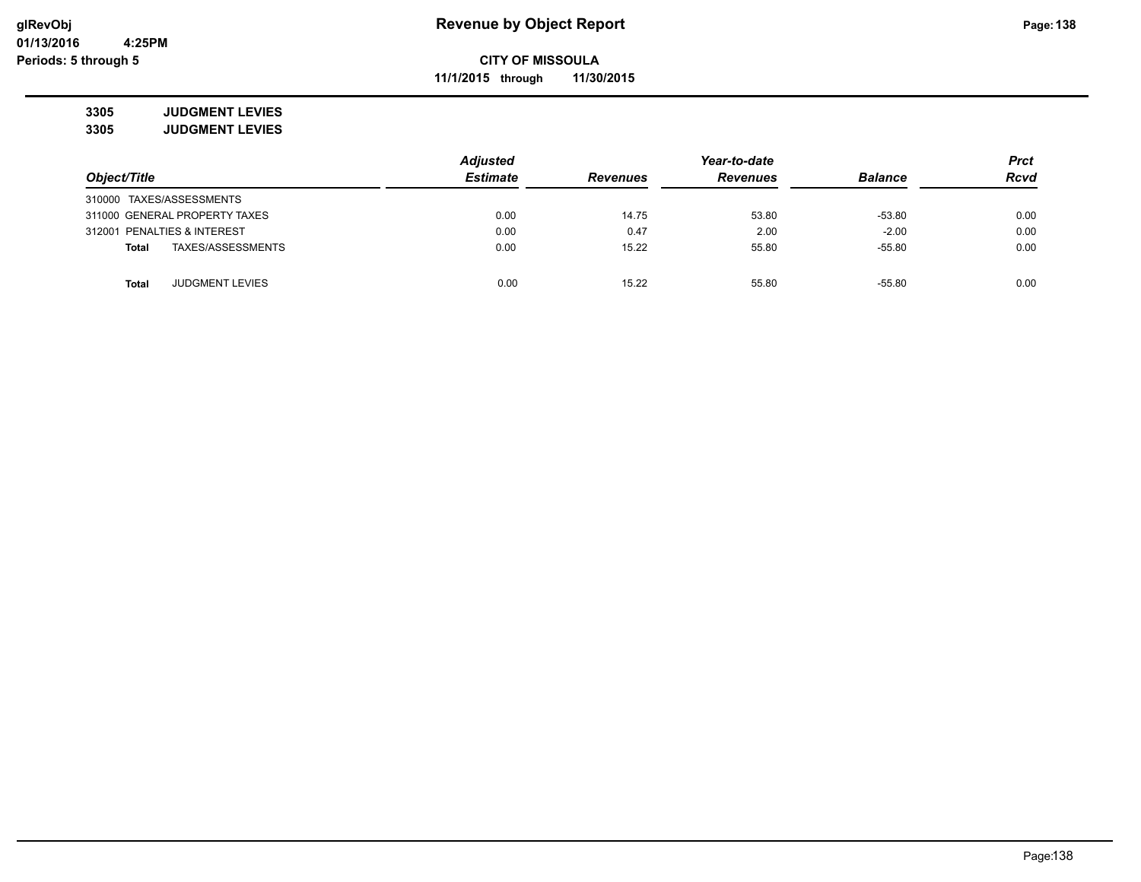**11/1/2015 through 11/30/2015**

**3305 JUDGMENT LEVIES 3305 JUDGMENT LEVIES**

|              |                               | Adjusted        |                 | <b>Prct</b>     |                |             |
|--------------|-------------------------------|-----------------|-----------------|-----------------|----------------|-------------|
| Object/Title |                               | <b>Estimate</b> | <b>Revenues</b> | <b>Revenues</b> | <b>Balance</b> | <b>Rcvd</b> |
|              | 310000 TAXES/ASSESSMENTS      |                 |                 |                 |                |             |
|              | 311000 GENERAL PROPERTY TAXES | 0.00            | 14.75           | 53.80           | $-53.80$       | 0.00        |
|              | 312001 PENALTIES & INTEREST   | 0.00            | 0.47            | 2.00            | $-2.00$        | 0.00        |
| <b>Total</b> | TAXES/ASSESSMENTS             | 0.00            | 15.22           | 55.80           | $-55.80$       | 0.00        |
| <b>Total</b> | <b>JUDGMENT LEVIES</b>        | 0.00            | 15.22           | 55.80           | $-55.80$       | 0.00        |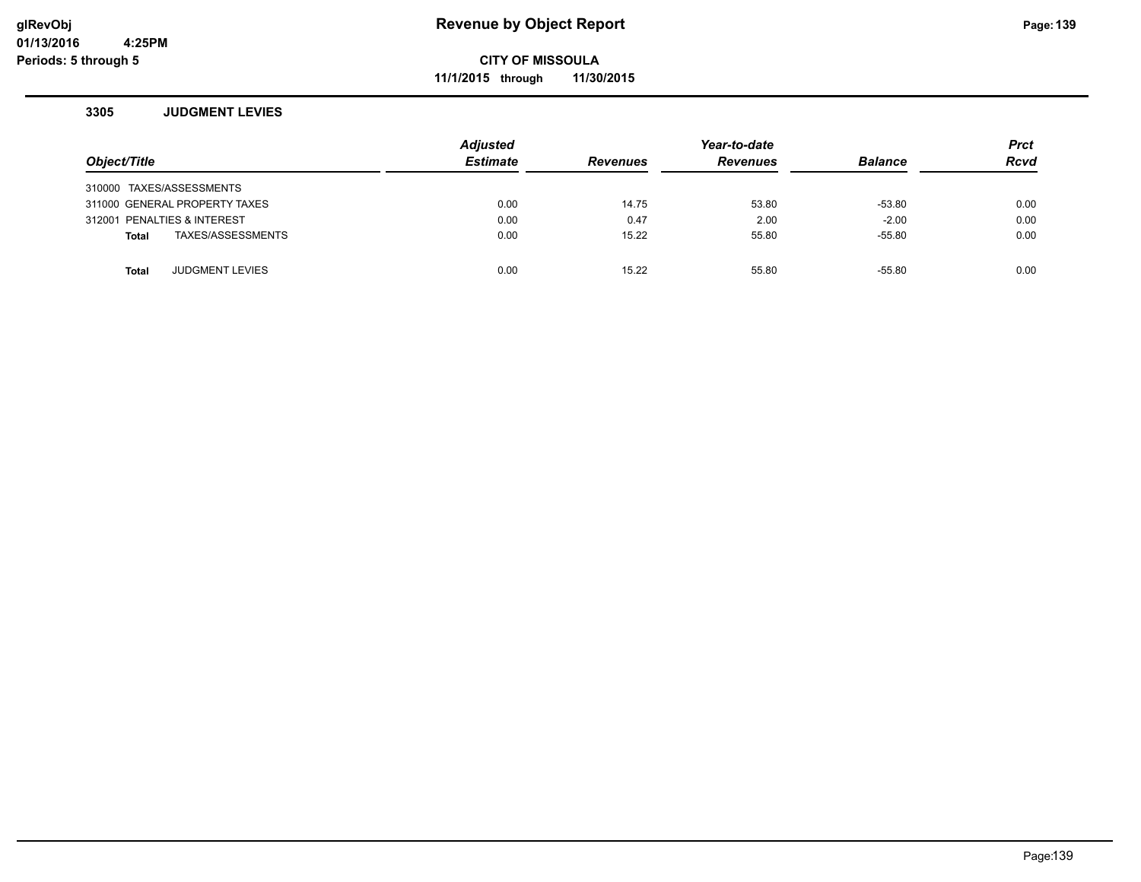### **glRevObj Revenue by Object Report Page:139**

**CITY OF MISSOULA**

**11/1/2015 through 11/30/2015**

#### **3305 JUDGMENT LEVIES**

| Object/Title                           | <b>Adjusted</b><br><b>Estimate</b> | <b>Revenues</b> | Year-to-date<br><b>Revenues</b> | <b>Balance</b> | <b>Prct</b><br><b>Rcvd</b> |
|----------------------------------------|------------------------------------|-----------------|---------------------------------|----------------|----------------------------|
| 310000 TAXES/ASSESSMENTS               |                                    |                 |                                 |                |                            |
| 311000 GENERAL PROPERTY TAXES          | 0.00                               | 14.75           | 53.80                           | $-53.80$       | 0.00                       |
| 312001 PENALTIES & INTEREST            | 0.00                               | 0.47            | 2.00                            | $-2.00$        | 0.00                       |
| TAXES/ASSESSMENTS<br>Total             | 0.00                               | 15.22           | 55.80                           | $-55.80$       | 0.00                       |
|                                        |                                    |                 |                                 |                |                            |
| <b>JUDGMENT LEVIES</b><br><b>Total</b> | 0.00                               | 15.22           | 55.80                           | $-55.80$       | 0.00                       |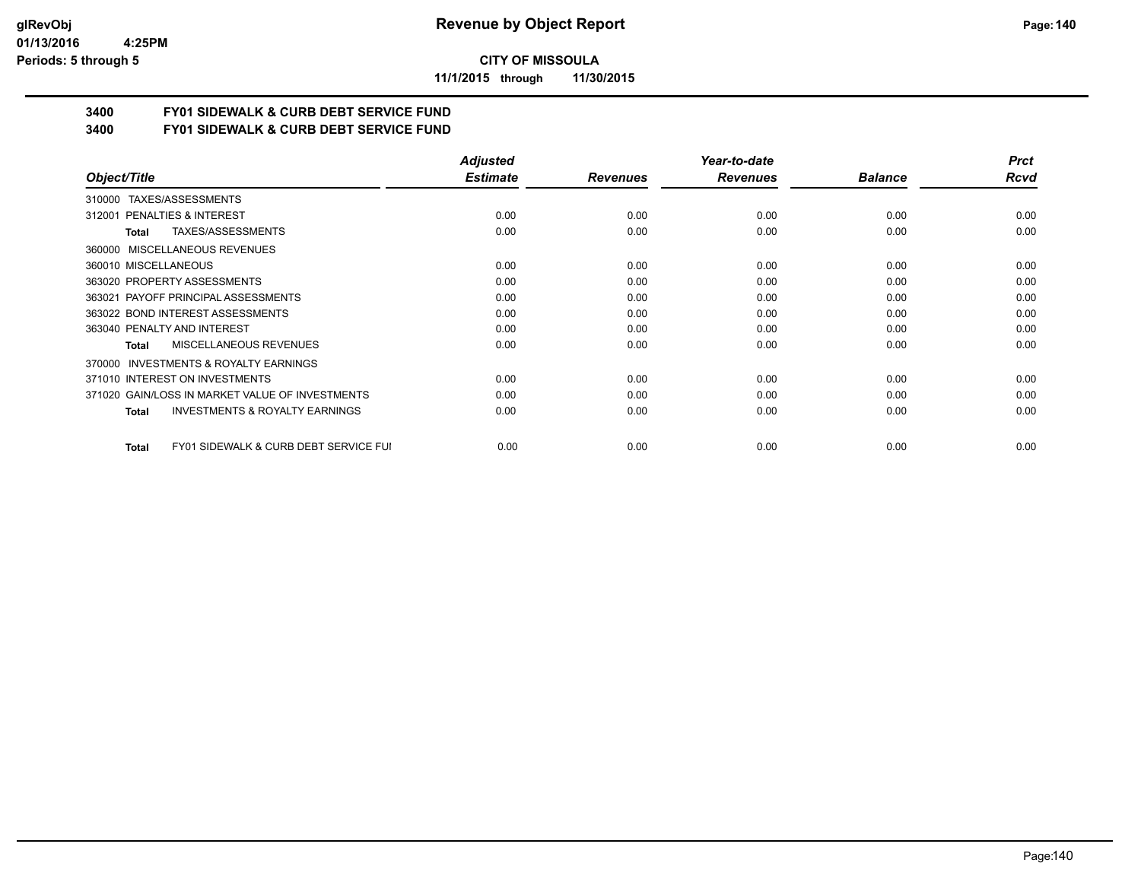#### **01/13/2016 4:25PM Periods: 5 through 5**

**CITY OF MISSOULA**

**11/1/2015 through 11/30/2015**

# **3400 FY01 SIDEWALK & CURB DEBT SERVICE FUND**

**3400 FY01 SIDEWALK & CURB DEBT SERVICE FUND**

|                                                           | <b>Adjusted</b> |                 | Year-to-date    |                | <b>Prct</b> |
|-----------------------------------------------------------|-----------------|-----------------|-----------------|----------------|-------------|
| Object/Title                                              | <b>Estimate</b> | <b>Revenues</b> | <b>Revenues</b> | <b>Balance</b> | <b>Rcvd</b> |
| TAXES/ASSESSMENTS<br>310000                               |                 |                 |                 |                |             |
| 312001 PENALTIES & INTEREST                               | 0.00            | 0.00            | 0.00            | 0.00           | 0.00        |
| TAXES/ASSESSMENTS<br>Total                                | 0.00            | 0.00            | 0.00            | 0.00           | 0.00        |
| 360000 MISCELLANEOUS REVENUES                             |                 |                 |                 |                |             |
| 360010 MISCELLANEOUS                                      | 0.00            | 0.00            | 0.00            | 0.00           | 0.00        |
| 363020 PROPERTY ASSESSMENTS                               | 0.00            | 0.00            | 0.00            | 0.00           | 0.00        |
| 363021 PAYOFF PRINCIPAL ASSESSMENTS                       | 0.00            | 0.00            | 0.00            | 0.00           | 0.00        |
| 363022 BOND INTEREST ASSESSMENTS                          | 0.00            | 0.00            | 0.00            | 0.00           | 0.00        |
| 363040 PENALTY AND INTEREST                               | 0.00            | 0.00            | 0.00            | 0.00           | 0.00        |
| <b>MISCELLANEOUS REVENUES</b><br>Total                    | 0.00            | 0.00            | 0.00            | 0.00           | 0.00        |
| <b>INVESTMENTS &amp; ROYALTY EARNINGS</b><br>370000       |                 |                 |                 |                |             |
| 371010 INTEREST ON INVESTMENTS                            | 0.00            | 0.00            | 0.00            | 0.00           | 0.00        |
| 371020 GAIN/LOSS IN MARKET VALUE OF INVESTMENTS           | 0.00            | 0.00            | 0.00            | 0.00           | 0.00        |
| <b>INVESTMENTS &amp; ROYALTY EARNINGS</b><br>Total        | 0.00            | 0.00            | 0.00            | 0.00           | 0.00        |
| <b>FY01 SIDEWALK &amp; CURB DEBT SERVICE FUI</b><br>Total | 0.00            | 0.00            | 0.00            | 0.00           | 0.00        |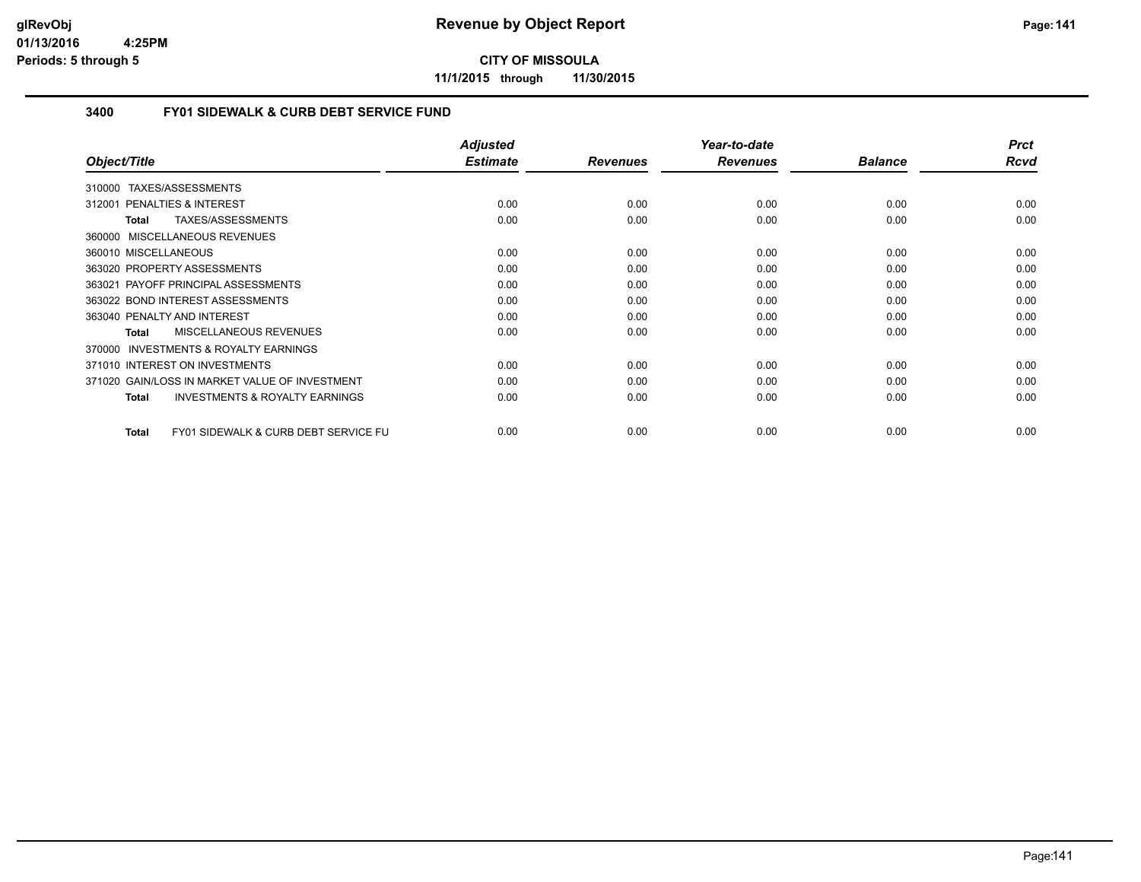**11/1/2015 through 11/30/2015**

### **3400 FY01 SIDEWALK & CURB DEBT SERVICE FUND**

|                                                                 | <b>Adjusted</b> |                 | Year-to-date    |                | <b>Prct</b> |
|-----------------------------------------------------------------|-----------------|-----------------|-----------------|----------------|-------------|
| Object/Title                                                    | <b>Estimate</b> | <b>Revenues</b> | <b>Revenues</b> | <b>Balance</b> | Rcvd        |
| 310000 TAXES/ASSESSMENTS                                        |                 |                 |                 |                |             |
| 312001 PENALTIES & INTEREST                                     | 0.00            | 0.00            | 0.00            | 0.00           | 0.00        |
| TAXES/ASSESSMENTS<br><b>Total</b>                               | 0.00            | 0.00            | 0.00            | 0.00           | 0.00        |
| MISCELLANEOUS REVENUES<br>360000                                |                 |                 |                 |                |             |
| 360010 MISCELLANEOUS                                            | 0.00            | 0.00            | 0.00            | 0.00           | 0.00        |
| 363020 PROPERTY ASSESSMENTS                                     | 0.00            | 0.00            | 0.00            | 0.00           | 0.00        |
| 363021 PAYOFF PRINCIPAL ASSESSMENTS                             | 0.00            | 0.00            | 0.00            | 0.00           | 0.00        |
| 363022 BOND INTEREST ASSESSMENTS                                | 0.00            | 0.00            | 0.00            | 0.00           | 0.00        |
| 363040 PENALTY AND INTEREST                                     | 0.00            | 0.00            | 0.00            | 0.00           | 0.00        |
| MISCELLANEOUS REVENUES<br><b>Total</b>                          | 0.00            | 0.00            | 0.00            | 0.00           | 0.00        |
| INVESTMENTS & ROYALTY EARNINGS<br>370000                        |                 |                 |                 |                |             |
| 371010 INTEREST ON INVESTMENTS                                  | 0.00            | 0.00            | 0.00            | 0.00           | 0.00        |
| 371020 GAIN/LOSS IN MARKET VALUE OF INVESTMENT                  | 0.00            | 0.00            | 0.00            | 0.00           | 0.00        |
| <b>INVESTMENTS &amp; ROYALTY EARNINGS</b><br><b>Total</b>       | 0.00            | 0.00            | 0.00            | 0.00           | 0.00        |
| <b>FY01 SIDEWALK &amp; CURB DEBT SERVICE FU</b><br><b>Total</b> | 0.00            | 0.00            | 0.00            | 0.00           | 0.00        |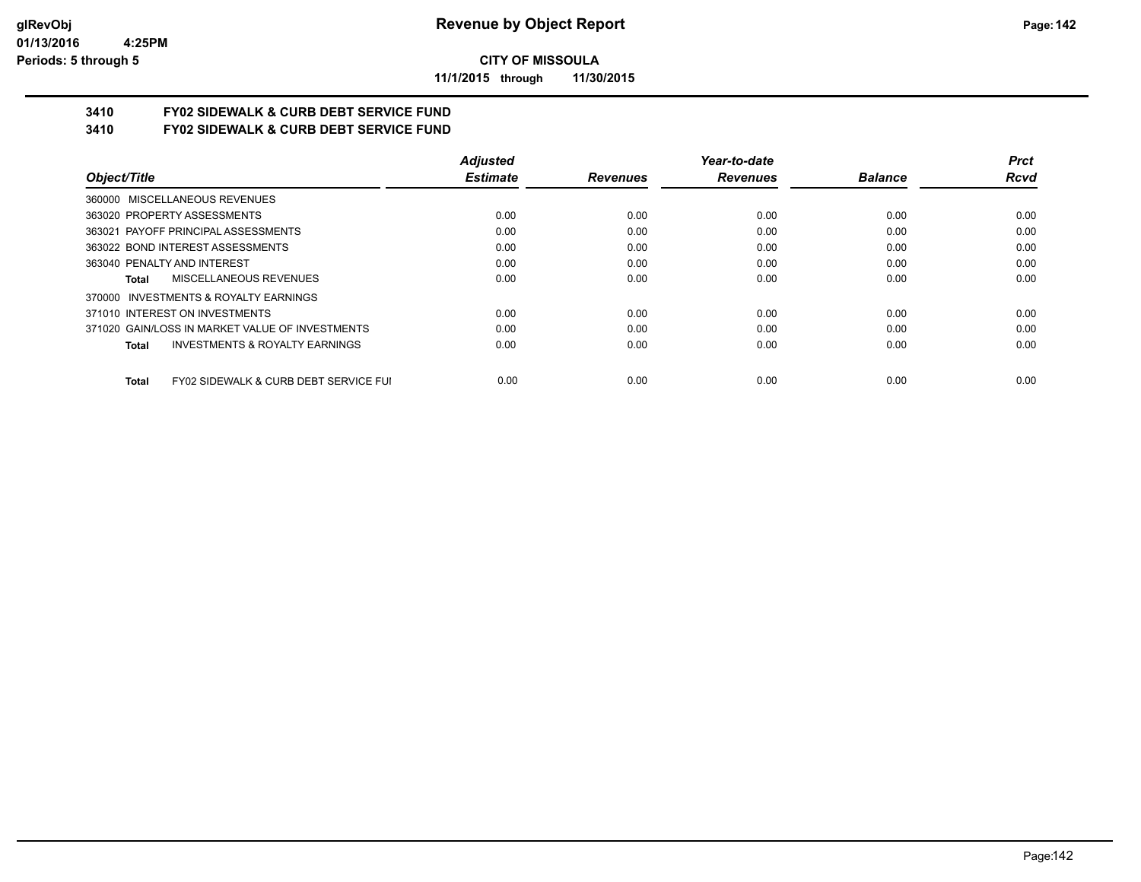**11/1/2015 through 11/30/2015**

# **3410 FY02 SIDEWALK & CURB DEBT SERVICE FUND**

**3410 FY02 SIDEWALK & CURB DEBT SERVICE FUND**

|                                                                  | <b>Adjusted</b> |                 | Year-to-date    |                | <b>Prct</b> |
|------------------------------------------------------------------|-----------------|-----------------|-----------------|----------------|-------------|
| Object/Title                                                     | <b>Estimate</b> | <b>Revenues</b> | <b>Revenues</b> | <b>Balance</b> | Rcvd        |
| 360000 MISCELLANEOUS REVENUES                                    |                 |                 |                 |                |             |
| 363020 PROPERTY ASSESSMENTS                                      | 0.00            | 0.00            | 0.00            | 0.00           | 0.00        |
| 363021 PAYOFF PRINCIPAL ASSESSMENTS                              | 0.00            | 0.00            | 0.00            | 0.00           | 0.00        |
| 363022 BOND INTEREST ASSESSMENTS                                 | 0.00            | 0.00            | 0.00            | 0.00           | 0.00        |
| 363040 PENALTY AND INTEREST                                      | 0.00            | 0.00            | 0.00            | 0.00           | 0.00        |
| MISCELLANEOUS REVENUES<br>Total                                  | 0.00            | 0.00            | 0.00            | 0.00           | 0.00        |
| INVESTMENTS & ROYALTY EARNINGS<br>370000                         |                 |                 |                 |                |             |
| 371010 INTEREST ON INVESTMENTS                                   | 0.00            | 0.00            | 0.00            | 0.00           | 0.00        |
| 371020 GAIN/LOSS IN MARKET VALUE OF INVESTMENTS                  | 0.00            | 0.00            | 0.00            | 0.00           | 0.00        |
| <b>INVESTMENTS &amp; ROYALTY EARNINGS</b><br><b>Total</b>        | 0.00            | 0.00            | 0.00            | 0.00           | 0.00        |
| <b>FY02 SIDEWALK &amp; CURB DEBT SERVICE FUI</b><br><b>Total</b> | 0.00            | 0.00            | 0.00            | 0.00           | 0.00        |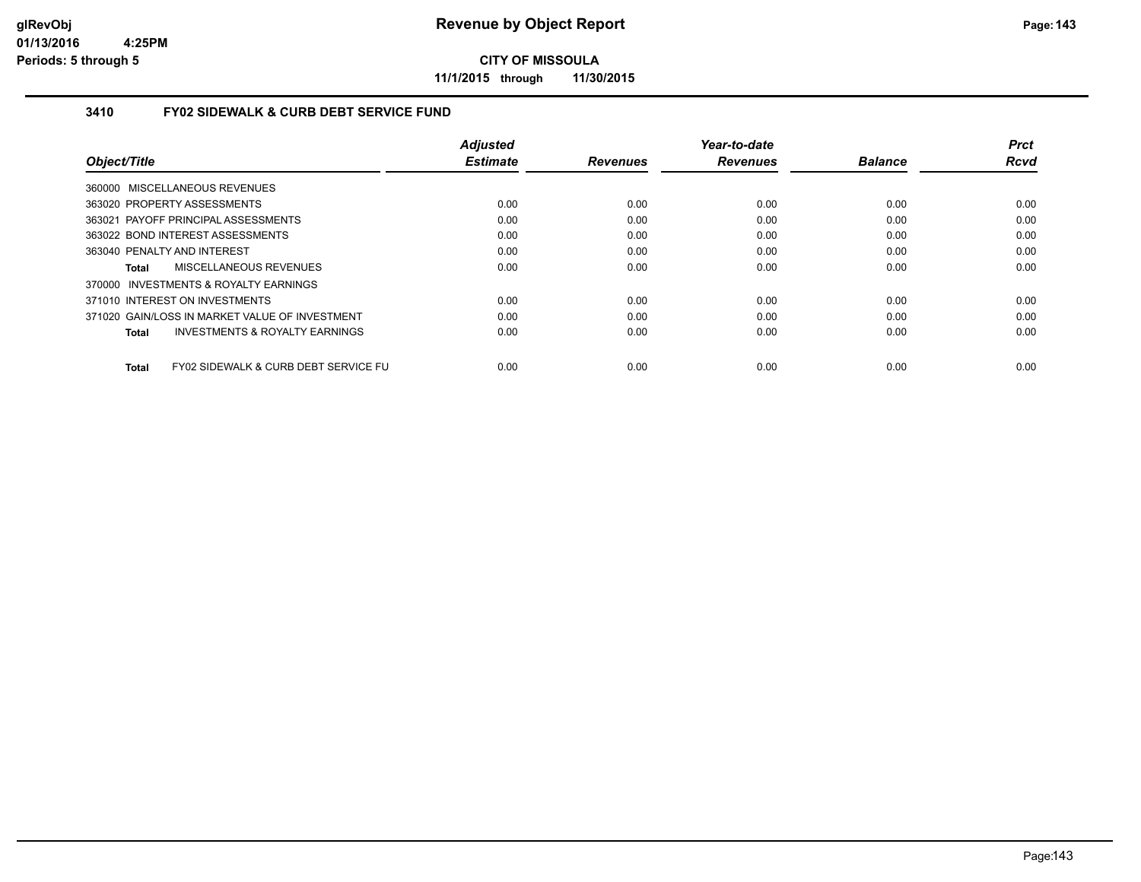**11/1/2015 through 11/30/2015**

### **3410 FY02 SIDEWALK & CURB DEBT SERVICE FUND**

|                                                                 | <b>Adjusted</b> |                 | Year-to-date    |                | <b>Prct</b> |
|-----------------------------------------------------------------|-----------------|-----------------|-----------------|----------------|-------------|
| Object/Title                                                    | <b>Estimate</b> | <b>Revenues</b> | <b>Revenues</b> | <b>Balance</b> | Rcvd        |
| 360000 MISCELLANEOUS REVENUES                                   |                 |                 |                 |                |             |
| 363020 PROPERTY ASSESSMENTS                                     | 0.00            | 0.00            | 0.00            | 0.00           | 0.00        |
| 363021 PAYOFF PRINCIPAL ASSESSMENTS                             | 0.00            | 0.00            | 0.00            | 0.00           | 0.00        |
| 363022 BOND INTEREST ASSESSMENTS                                | 0.00            | 0.00            | 0.00            | 0.00           | 0.00        |
| 363040 PENALTY AND INTEREST                                     | 0.00            | 0.00            | 0.00            | 0.00           | 0.00        |
| MISCELLANEOUS REVENUES<br>Total                                 | 0.00            | 0.00            | 0.00            | 0.00           | 0.00        |
| 370000 INVESTMENTS & ROYALTY EARNINGS                           |                 |                 |                 |                |             |
| 371010 INTEREST ON INVESTMENTS                                  | 0.00            | 0.00            | 0.00            | 0.00           | 0.00        |
| 371020 GAIN/LOSS IN MARKET VALUE OF INVESTMENT                  | 0.00            | 0.00            | 0.00            | 0.00           | 0.00        |
| <b>INVESTMENTS &amp; ROYALTY EARNINGS</b><br>Total              | 0.00            | 0.00            | 0.00            | 0.00           | 0.00        |
| <b>FY02 SIDEWALK &amp; CURB DEBT SERVICE FU</b><br><b>Total</b> | 0.00            | 0.00            | 0.00            | 0.00           | 0.00        |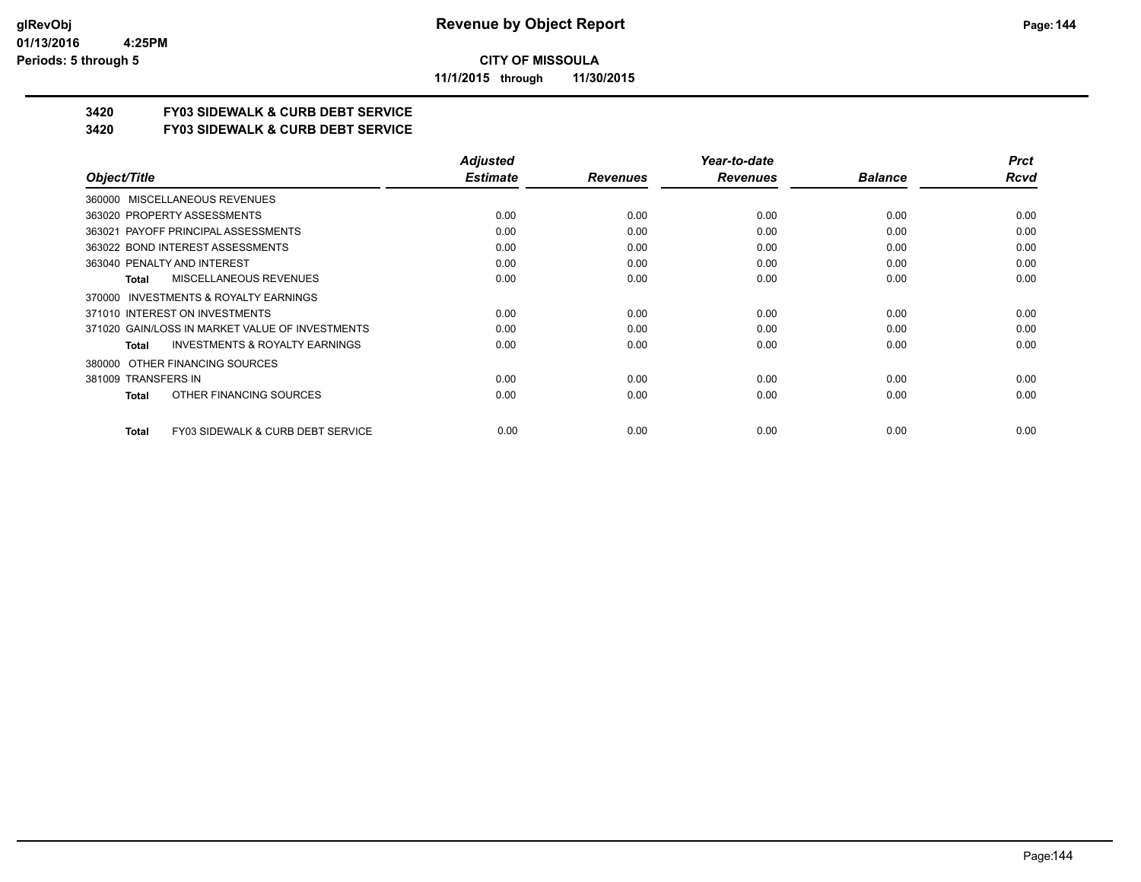**11/1/2015 through 11/30/2015**

## **3420 FY03 SIDEWALK & CURB DEBT SERVICE**

**3420 FY03 SIDEWALK & CURB DEBT SERVICE**

|                                                    | <b>Adjusted</b> |                 | Year-to-date    |                | <b>Prct</b> |
|----------------------------------------------------|-----------------|-----------------|-----------------|----------------|-------------|
| Object/Title                                       | <b>Estimate</b> | <b>Revenues</b> | <b>Revenues</b> | <b>Balance</b> | Rcvd        |
| 360000 MISCELLANEOUS REVENUES                      |                 |                 |                 |                |             |
| 363020 PROPERTY ASSESSMENTS                        | 0.00            | 0.00            | 0.00            | 0.00           | 0.00        |
| 363021 PAYOFF PRINCIPAL ASSESSMENTS                | 0.00            | 0.00            | 0.00            | 0.00           | 0.00        |
| 363022 BOND INTEREST ASSESSMENTS                   | 0.00            | 0.00            | 0.00            | 0.00           | 0.00        |
| 363040 PENALTY AND INTEREST                        | 0.00            | 0.00            | 0.00            | 0.00           | 0.00        |
| <b>MISCELLANEOUS REVENUES</b><br><b>Total</b>      | 0.00            | 0.00            | 0.00            | 0.00           | 0.00        |
| INVESTMENTS & ROYALTY EARNINGS<br>370000           |                 |                 |                 |                |             |
| 371010 INTEREST ON INVESTMENTS                     | 0.00            | 0.00            | 0.00            | 0.00           | 0.00        |
| 371020 GAIN/LOSS IN MARKET VALUE OF INVESTMENTS    | 0.00            | 0.00            | 0.00            | 0.00           | 0.00        |
| <b>INVESTMENTS &amp; ROYALTY EARNINGS</b><br>Total | 0.00            | 0.00            | 0.00            | 0.00           | 0.00        |
| OTHER FINANCING SOURCES<br>380000                  |                 |                 |                 |                |             |
| 381009 TRANSFERS IN                                | 0.00            | 0.00            | 0.00            | 0.00           | 0.00        |
| OTHER FINANCING SOURCES<br><b>Total</b>            | 0.00            | 0.00            | 0.00            | 0.00           | 0.00        |
|                                                    |                 |                 |                 |                |             |
| FY03 SIDEWALK & CURB DEBT SERVICE<br><b>Total</b>  | 0.00            | 0.00            | 0.00            | 0.00           | 0.00        |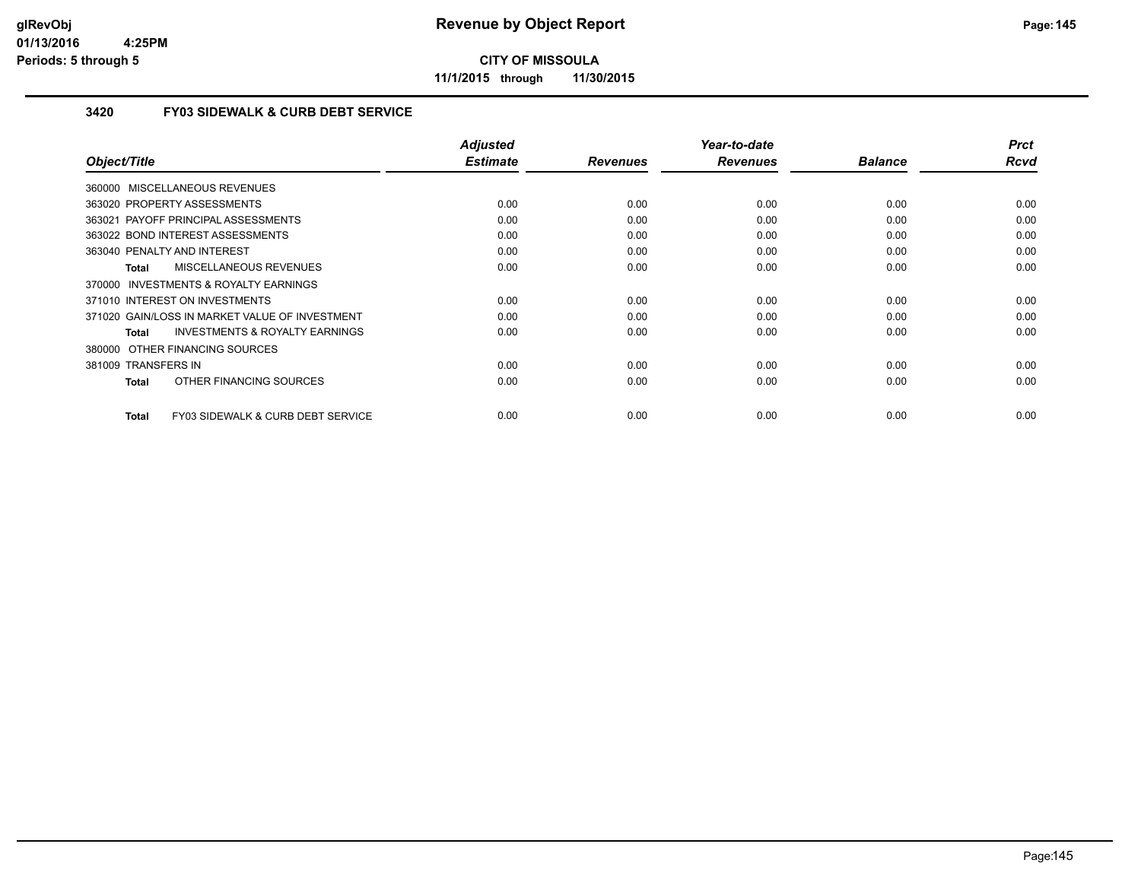**11/1/2015 through 11/30/2015**

#### **3420 FY03 SIDEWALK & CURB DEBT SERVICE**

| Object/Title                                       | <b>Adjusted</b><br><b>Estimate</b> | <b>Revenues</b> | Year-to-date<br><b>Revenues</b> | <b>Balance</b> | <b>Prct</b><br><b>Rcvd</b> |
|----------------------------------------------------|------------------------------------|-----------------|---------------------------------|----------------|----------------------------|
| 360000 MISCELLANEOUS REVENUES                      |                                    |                 |                                 |                |                            |
| 363020 PROPERTY ASSESSMENTS                        | 0.00                               | 0.00            | 0.00                            | 0.00           | 0.00                       |
| 363021 PAYOFF PRINCIPAL ASSESSMENTS                | 0.00                               | 0.00            | 0.00                            | 0.00           | 0.00                       |
| 363022 BOND INTEREST ASSESSMENTS                   | 0.00                               | 0.00            | 0.00                            | 0.00           | 0.00                       |
| 363040 PENALTY AND INTEREST                        | 0.00                               | 0.00            | 0.00                            | 0.00           | 0.00                       |
| <b>MISCELLANEOUS REVENUES</b><br>Total             | 0.00                               | 0.00            | 0.00                            | 0.00           | 0.00                       |
| 370000 INVESTMENTS & ROYALTY EARNINGS              |                                    |                 |                                 |                |                            |
| 371010 INTEREST ON INVESTMENTS                     | 0.00                               | 0.00            | 0.00                            | 0.00           | 0.00                       |
| 371020 GAIN/LOSS IN MARKET VALUE OF INVESTMENT     | 0.00                               | 0.00            | 0.00                            | 0.00           | 0.00                       |
| <b>INVESTMENTS &amp; ROYALTY EARNINGS</b><br>Total | 0.00                               | 0.00            | 0.00                            | 0.00           | 0.00                       |
| 380000 OTHER FINANCING SOURCES                     |                                    |                 |                                 |                |                            |
| 381009 TRANSFERS IN                                | 0.00                               | 0.00            | 0.00                            | 0.00           | 0.00                       |
| OTHER FINANCING SOURCES<br>Total                   | 0.00                               | 0.00            | 0.00                            | 0.00           | 0.00                       |
| FY03 SIDEWALK & CURB DEBT SERVICE<br><b>Total</b>  | 0.00                               | 0.00            | 0.00                            | 0.00           | 0.00                       |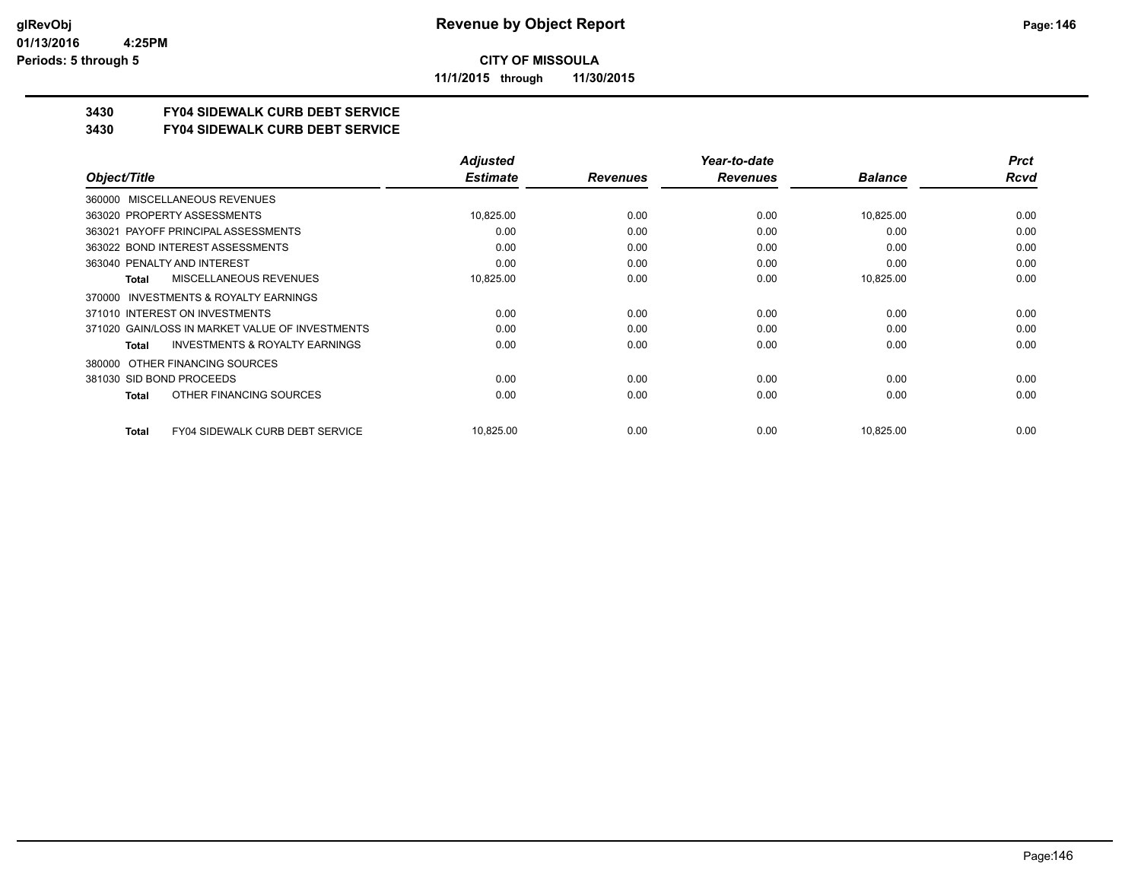**11/1/2015 through 11/30/2015**

## **3430 FY04 SIDEWALK CURB DEBT SERVICE**

#### **3430 FY04 SIDEWALK CURB DEBT SERVICE**

|                                                           | <b>Adjusted</b> |                 | Year-to-date    |                | <b>Prct</b> |
|-----------------------------------------------------------|-----------------|-----------------|-----------------|----------------|-------------|
| Object/Title                                              | <b>Estimate</b> | <b>Revenues</b> | <b>Revenues</b> | <b>Balance</b> | Rcvd        |
| MISCELLANEOUS REVENUES<br>360000                          |                 |                 |                 |                |             |
| 363020 PROPERTY ASSESSMENTS                               | 10,825.00       | 0.00            | 0.00            | 10,825.00      | 0.00        |
| 363021 PAYOFF PRINCIPAL ASSESSMENTS                       | 0.00            | 0.00            | 0.00            | 0.00           | 0.00        |
| 363022 BOND INTEREST ASSESSMENTS                          | 0.00            | 0.00            | 0.00            | 0.00           | 0.00        |
| 363040 PENALTY AND INTEREST                               | 0.00            | 0.00            | 0.00            | 0.00           | 0.00        |
| MISCELLANEOUS REVENUES<br><b>Total</b>                    | 10,825.00       | 0.00            | 0.00            | 10,825.00      | 0.00        |
| INVESTMENTS & ROYALTY EARNINGS<br>370000                  |                 |                 |                 |                |             |
| 371010 INTEREST ON INVESTMENTS                            | 0.00            | 0.00            | 0.00            | 0.00           | 0.00        |
| 371020 GAIN/LOSS IN MARKET VALUE OF INVESTMENTS           | 0.00            | 0.00            | 0.00            | 0.00           | 0.00        |
| <b>INVESTMENTS &amp; ROYALTY EARNINGS</b><br><b>Total</b> | 0.00            | 0.00            | 0.00            | 0.00           | 0.00        |
| OTHER FINANCING SOURCES<br>380000                         |                 |                 |                 |                |             |
| 381030 SID BOND PROCEEDS                                  | 0.00            | 0.00            | 0.00            | 0.00           | 0.00        |
| OTHER FINANCING SOURCES<br><b>Total</b>                   | 0.00            | 0.00            | 0.00            | 0.00           | 0.00        |
| <b>FY04 SIDEWALK CURB DEBT SERVICE</b><br><b>Total</b>    | 10,825.00       | 0.00            | 0.00            | 10,825.00      | 0.00        |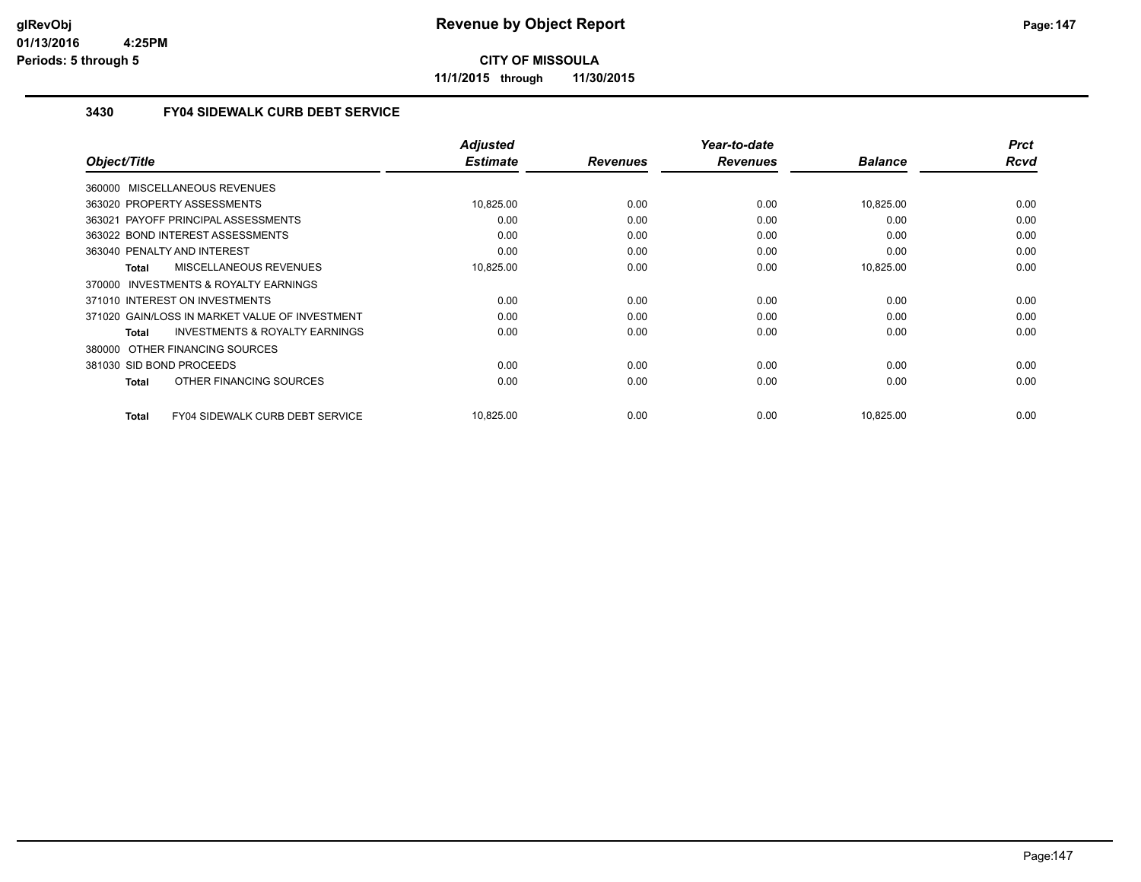**11/1/2015 through 11/30/2015**

### **3430 FY04 SIDEWALK CURB DEBT SERVICE**

|                                                    | <b>Adjusted</b> |                 | Year-to-date    |                | <b>Prct</b> |
|----------------------------------------------------|-----------------|-----------------|-----------------|----------------|-------------|
| Object/Title                                       | <b>Estimate</b> | <b>Revenues</b> | <b>Revenues</b> | <b>Balance</b> | <b>Rcvd</b> |
| 360000 MISCELLANEOUS REVENUES                      |                 |                 |                 |                |             |
| 363020 PROPERTY ASSESSMENTS                        | 10,825.00       | 0.00            | 0.00            | 10,825.00      | 0.00        |
| 363021 PAYOFF PRINCIPAL ASSESSMENTS                | 0.00            | 0.00            | 0.00            | 0.00           | 0.00        |
| 363022 BOND INTEREST ASSESSMENTS                   | 0.00            | 0.00            | 0.00            | 0.00           | 0.00        |
| 363040 PENALTY AND INTEREST                        | 0.00            | 0.00            | 0.00            | 0.00           | 0.00        |
| MISCELLANEOUS REVENUES<br>Total                    | 10,825.00       | 0.00            | 0.00            | 10,825.00      | 0.00        |
| 370000 INVESTMENTS & ROYALTY EARNINGS              |                 |                 |                 |                |             |
| 371010 INTEREST ON INVESTMENTS                     | 0.00            | 0.00            | 0.00            | 0.00           | 0.00        |
| 371020 GAIN/LOSS IN MARKET VALUE OF INVESTMENT     | 0.00            | 0.00            | 0.00            | 0.00           | 0.00        |
| <b>INVESTMENTS &amp; ROYALTY EARNINGS</b><br>Total | 0.00            | 0.00            | 0.00            | 0.00           | 0.00        |
| 380000 OTHER FINANCING SOURCES                     |                 |                 |                 |                |             |
| 381030 SID BOND PROCEEDS                           | 0.00            | 0.00            | 0.00            | 0.00           | 0.00        |
| OTHER FINANCING SOURCES<br><b>Total</b>            | 0.00            | 0.00            | 0.00            | 0.00           | 0.00        |
|                                                    |                 |                 |                 |                |             |
| FY04 SIDEWALK CURB DEBT SERVICE<br><b>Total</b>    | 10,825.00       | 0.00            | 0.00            | 10,825.00      | 0.00        |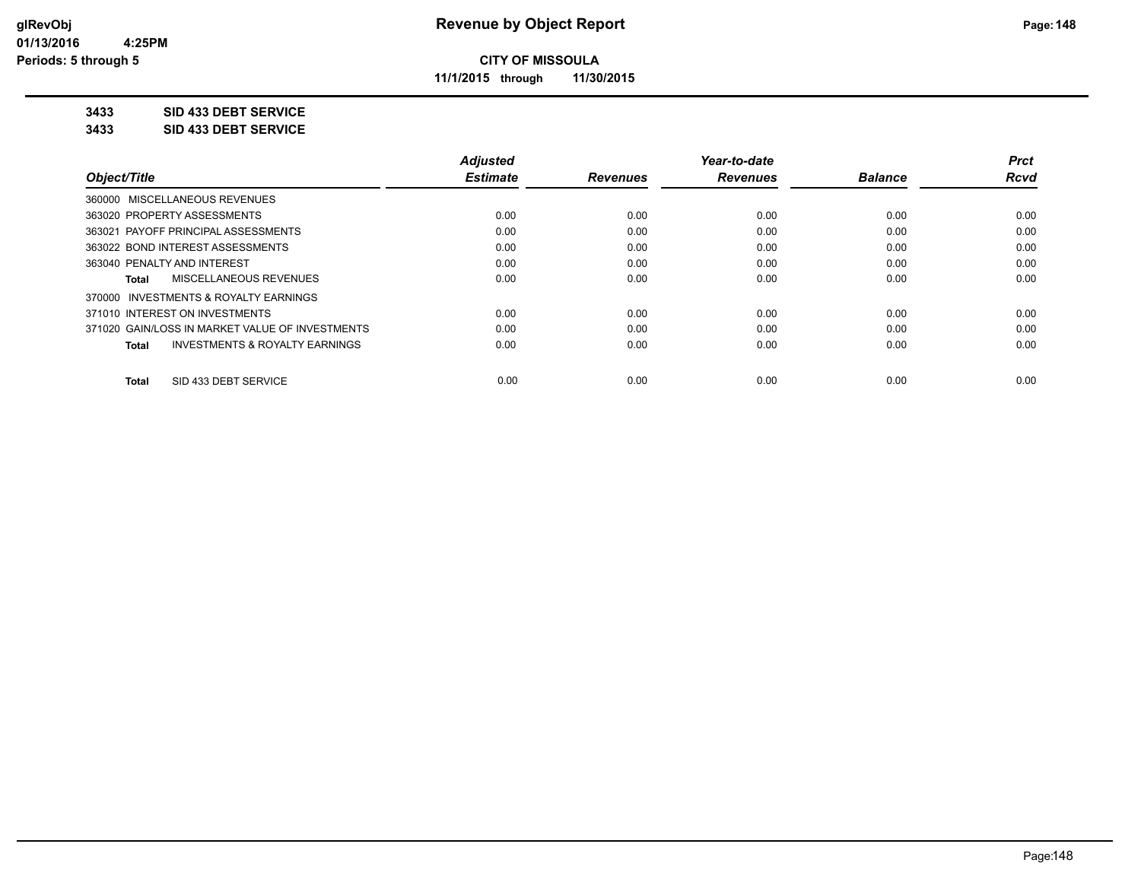**11/1/2015 through 11/30/2015**

**3433 SID 433 DEBT SERVICE**

**3433 SID 433 DEBT SERVICE**

|                                                    | <b>Adjusted</b> |                 | Year-to-date    |                | <b>Prct</b> |
|----------------------------------------------------|-----------------|-----------------|-----------------|----------------|-------------|
| Object/Title                                       | <b>Estimate</b> | <b>Revenues</b> | <b>Revenues</b> | <b>Balance</b> | <b>Rcvd</b> |
| 360000 MISCELLANEOUS REVENUES                      |                 |                 |                 |                |             |
| 363020 PROPERTY ASSESSMENTS                        | 0.00            | 0.00            | 0.00            | 0.00           | 0.00        |
| 363021 PAYOFF PRINCIPAL ASSESSMENTS                | 0.00            | 0.00            | 0.00            | 0.00           | 0.00        |
| 363022 BOND INTEREST ASSESSMENTS                   | 0.00            | 0.00            | 0.00            | 0.00           | 0.00        |
| 363040 PENALTY AND INTEREST                        | 0.00            | 0.00            | 0.00            | 0.00           | 0.00        |
| MISCELLANEOUS REVENUES<br>Total                    | 0.00            | 0.00            | 0.00            | 0.00           | 0.00        |
| INVESTMENTS & ROYALTY EARNINGS<br>370000           |                 |                 |                 |                |             |
| 371010 INTEREST ON INVESTMENTS                     | 0.00            | 0.00            | 0.00            | 0.00           | 0.00        |
| 371020 GAIN/LOSS IN MARKET VALUE OF INVESTMENTS    | 0.00            | 0.00            | 0.00            | 0.00           | 0.00        |
| <b>INVESTMENTS &amp; ROYALTY EARNINGS</b><br>Total | 0.00            | 0.00            | 0.00            | 0.00           | 0.00        |
| SID 433 DEBT SERVICE<br><b>Total</b>               | 0.00            | 0.00            | 0.00            | 0.00           | 0.00        |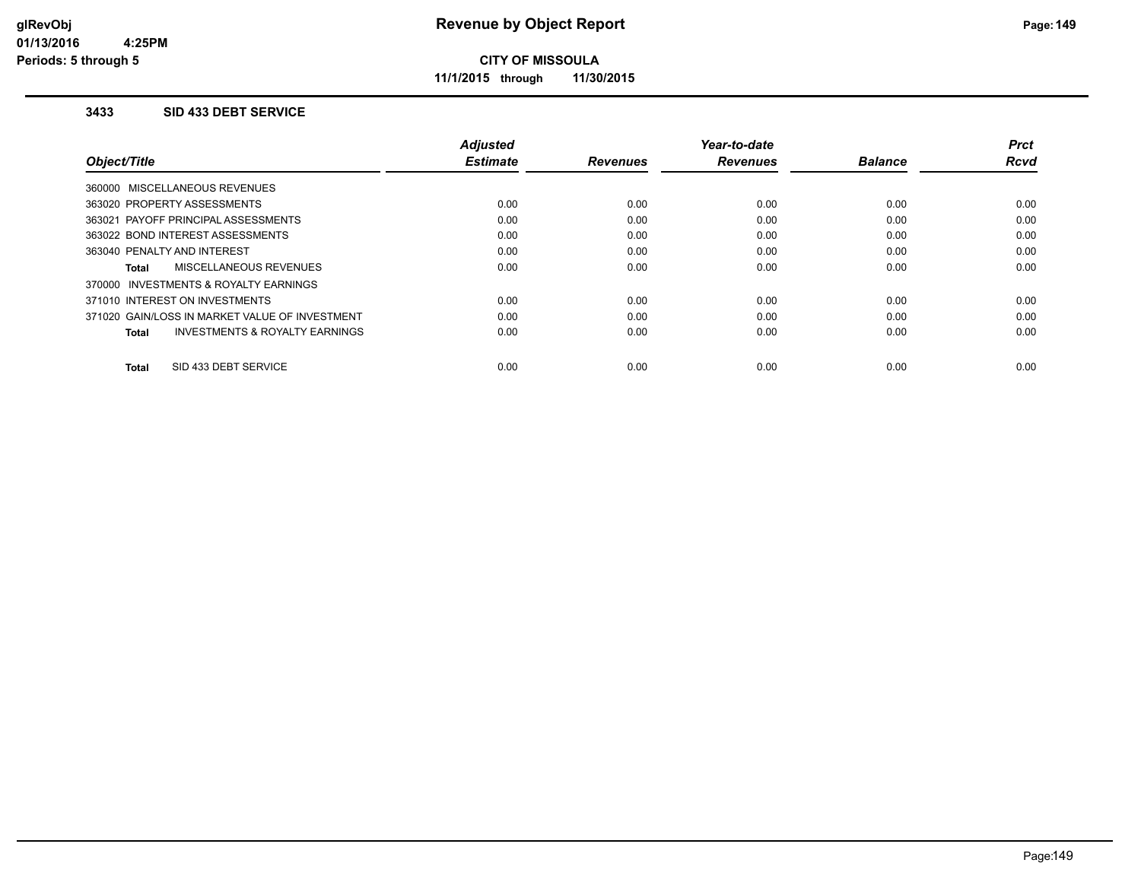**11/1/2015 through 11/30/2015**

#### **3433 SID 433 DEBT SERVICE**

|                                                    | <b>Adjusted</b> |                 | Year-to-date    |                | <b>Prct</b> |
|----------------------------------------------------|-----------------|-----------------|-----------------|----------------|-------------|
| Object/Title                                       | <b>Estimate</b> | <b>Revenues</b> | <b>Revenues</b> | <b>Balance</b> | <b>Rcvd</b> |
| 360000 MISCELLANEOUS REVENUES                      |                 |                 |                 |                |             |
| 363020 PROPERTY ASSESSMENTS                        | 0.00            | 0.00            | 0.00            | 0.00           | 0.00        |
| 363021 PAYOFF PRINCIPAL ASSESSMENTS                | 0.00            | 0.00            | 0.00            | 0.00           | 0.00        |
| 363022 BOND INTEREST ASSESSMENTS                   | 0.00            | 0.00            | 0.00            | 0.00           | 0.00        |
| 363040 PENALTY AND INTEREST                        | 0.00            | 0.00            | 0.00            | 0.00           | 0.00        |
| MISCELLANEOUS REVENUES<br>Total                    | 0.00            | 0.00            | 0.00            | 0.00           | 0.00        |
| 370000 INVESTMENTS & ROYALTY EARNINGS              |                 |                 |                 |                |             |
| 371010 INTEREST ON INVESTMENTS                     | 0.00            | 0.00            | 0.00            | 0.00           | 0.00        |
| 371020 GAIN/LOSS IN MARKET VALUE OF INVESTMENT     | 0.00            | 0.00            | 0.00            | 0.00           | 0.00        |
| <b>INVESTMENTS &amp; ROYALTY EARNINGS</b><br>Total | 0.00            | 0.00            | 0.00            | 0.00           | 0.00        |
|                                                    |                 |                 |                 |                |             |
| SID 433 DEBT SERVICE<br><b>Total</b>               | 0.00            | 0.00            | 0.00            | 0.00           | 0.00        |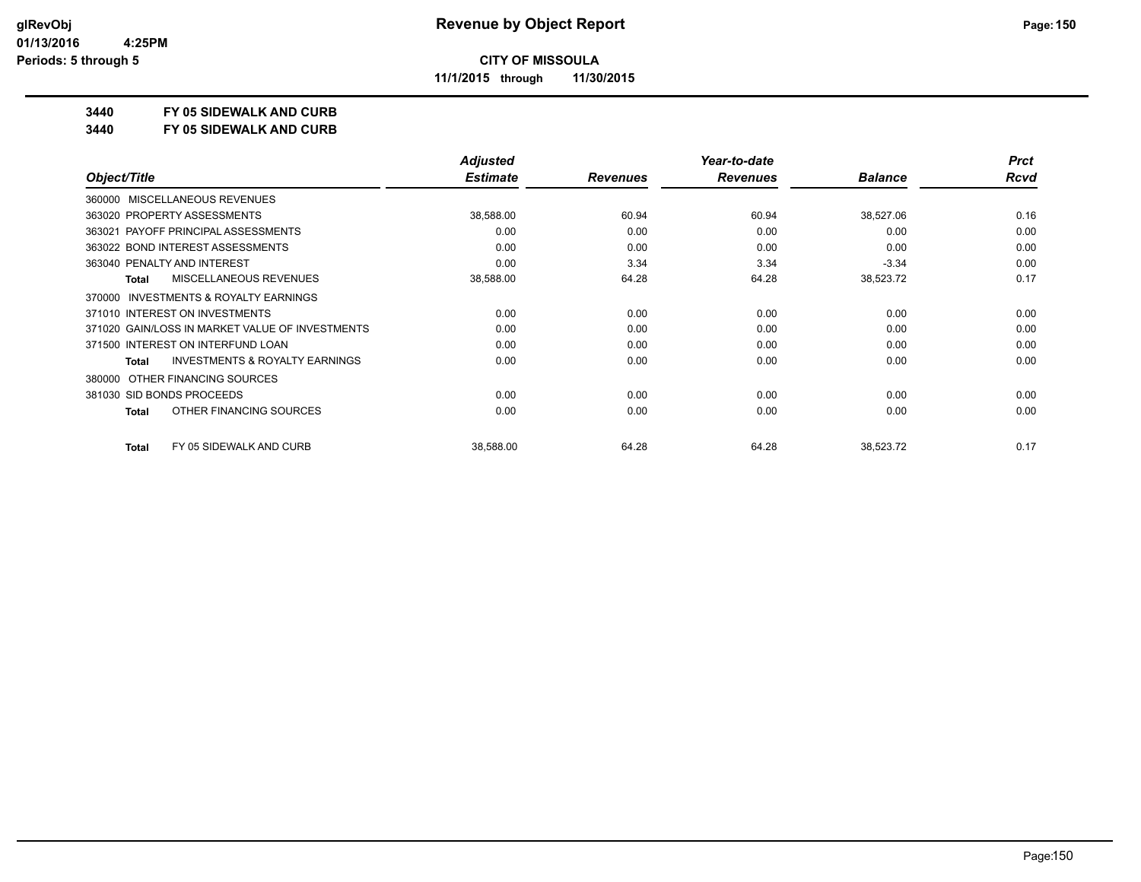**11/1/2015 through 11/30/2015**

### **3440 FY 05 SIDEWALK AND CURB**

**3440 FY 05 SIDEWALK AND CURB**

|                                                           | <b>Adjusted</b> |                 | Year-to-date    |                | <b>Prct</b> |
|-----------------------------------------------------------|-----------------|-----------------|-----------------|----------------|-------------|
| Object/Title                                              | <b>Estimate</b> | <b>Revenues</b> | <b>Revenues</b> | <b>Balance</b> | Rcvd        |
| MISCELLANEOUS REVENUES<br>360000                          |                 |                 |                 |                |             |
| 363020 PROPERTY ASSESSMENTS                               | 38,588.00       | 60.94           | 60.94           | 38,527.06      | 0.16        |
| 363021 PAYOFF PRINCIPAL ASSESSMENTS                       | 0.00            | 0.00            | 0.00            | 0.00           | 0.00        |
| 363022 BOND INTEREST ASSESSMENTS                          | 0.00            | 0.00            | 0.00            | 0.00           | 0.00        |
| 363040 PENALTY AND INTEREST                               | 0.00            | 3.34            | 3.34            | $-3.34$        | 0.00        |
| <b>MISCELLANEOUS REVENUES</b><br><b>Total</b>             | 38,588.00       | 64.28           | 64.28           | 38,523.72      | 0.17        |
| INVESTMENTS & ROYALTY EARNINGS<br>370000                  |                 |                 |                 |                |             |
| 371010 INTEREST ON INVESTMENTS                            | 0.00            | 0.00            | 0.00            | 0.00           | 0.00        |
| 371020 GAIN/LOSS IN MARKET VALUE OF INVESTMENTS           | 0.00            | 0.00            | 0.00            | 0.00           | 0.00        |
| 371500 INTEREST ON INTERFUND LOAN                         | 0.00            | 0.00            | 0.00            | 0.00           | 0.00        |
| <b>INVESTMENTS &amp; ROYALTY EARNINGS</b><br><b>Total</b> | 0.00            | 0.00            | 0.00            | 0.00           | 0.00        |
| OTHER FINANCING SOURCES<br>380000                         |                 |                 |                 |                |             |
| 381030 SID BONDS PROCEEDS                                 | 0.00            | 0.00            | 0.00            | 0.00           | 0.00        |
| OTHER FINANCING SOURCES<br><b>Total</b>                   | 0.00            | 0.00            | 0.00            | 0.00           | 0.00        |
| FY 05 SIDEWALK AND CURB<br><b>Total</b>                   | 38,588.00       | 64.28           | 64.28           | 38,523.72      | 0.17        |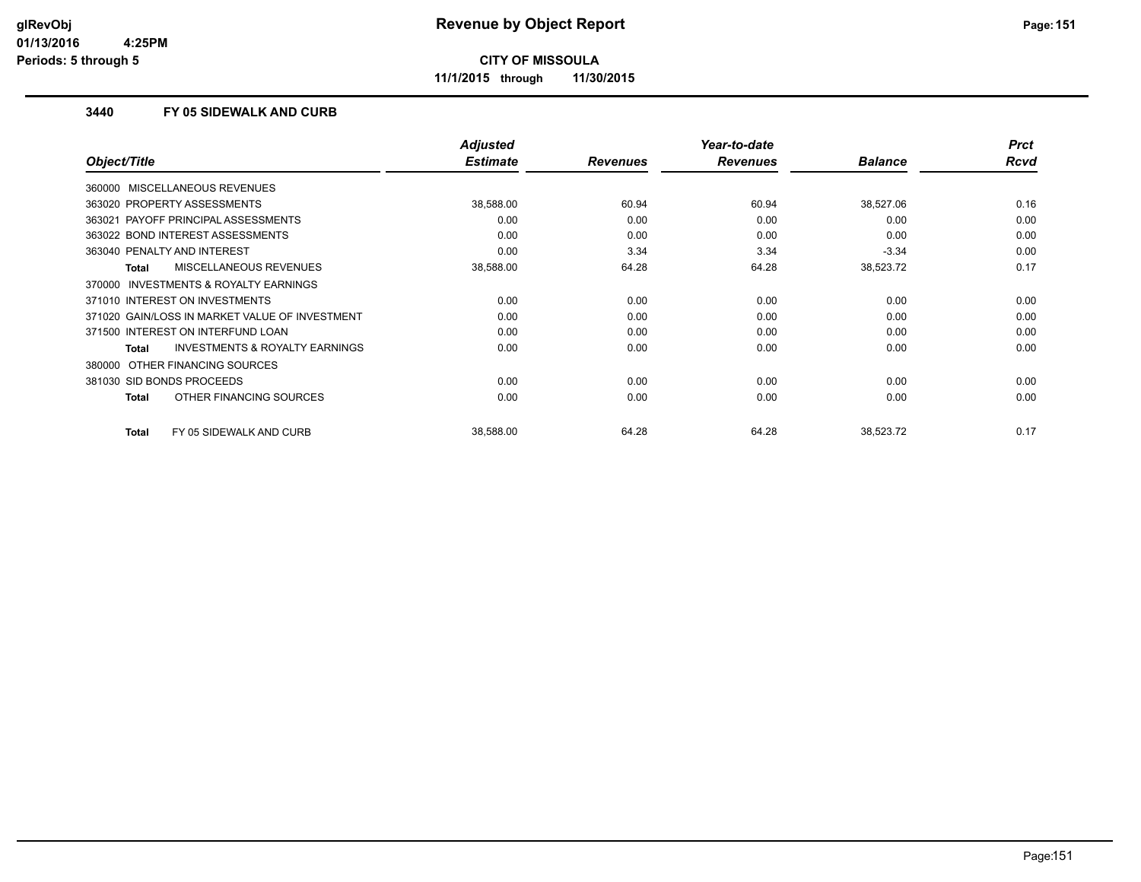**11/1/2015 through 11/30/2015**

#### **3440 FY 05 SIDEWALK AND CURB**

|                                                           | <b>Adjusted</b> |                 | Year-to-date    |                | <b>Prct</b> |
|-----------------------------------------------------------|-----------------|-----------------|-----------------|----------------|-------------|
| Object/Title                                              | <b>Estimate</b> | <b>Revenues</b> | <b>Revenues</b> | <b>Balance</b> | Rcvd        |
| 360000 MISCELLANEOUS REVENUES                             |                 |                 |                 |                |             |
| 363020 PROPERTY ASSESSMENTS                               | 38,588.00       | 60.94           | 60.94           | 38,527.06      | 0.16        |
| 363021 PAYOFF PRINCIPAL ASSESSMENTS                       | 0.00            | 0.00            | 0.00            | 0.00           | 0.00        |
| 363022 BOND INTEREST ASSESSMENTS                          | 0.00            | 0.00            | 0.00            | 0.00           | 0.00        |
| 363040 PENALTY AND INTEREST                               | 0.00            | 3.34            | 3.34            | $-3.34$        | 0.00        |
| <b>MISCELLANEOUS REVENUES</b><br><b>Total</b>             | 38,588.00       | 64.28           | 64.28           | 38,523.72      | 0.17        |
| <b>INVESTMENTS &amp; ROYALTY EARNINGS</b><br>370000       |                 |                 |                 |                |             |
| 371010 INTEREST ON INVESTMENTS                            | 0.00            | 0.00            | 0.00            | 0.00           | 0.00        |
| 371020 GAIN/LOSS IN MARKET VALUE OF INVESTMENT            | 0.00            | 0.00            | 0.00            | 0.00           | 0.00        |
| 371500 INTEREST ON INTERFUND LOAN                         | 0.00            | 0.00            | 0.00            | 0.00           | 0.00        |
| <b>INVESTMENTS &amp; ROYALTY EARNINGS</b><br><b>Total</b> | 0.00            | 0.00            | 0.00            | 0.00           | 0.00        |
| 380000 OTHER FINANCING SOURCES                            |                 |                 |                 |                |             |
| 381030 SID BONDS PROCEEDS                                 | 0.00            | 0.00            | 0.00            | 0.00           | 0.00        |
| OTHER FINANCING SOURCES<br><b>Total</b>                   | 0.00            | 0.00            | 0.00            | 0.00           | 0.00        |
|                                                           |                 |                 |                 |                |             |
| FY 05 SIDEWALK AND CURB<br><b>Total</b>                   | 38,588.00       | 64.28           | 64.28           | 38,523.72      | 0.17        |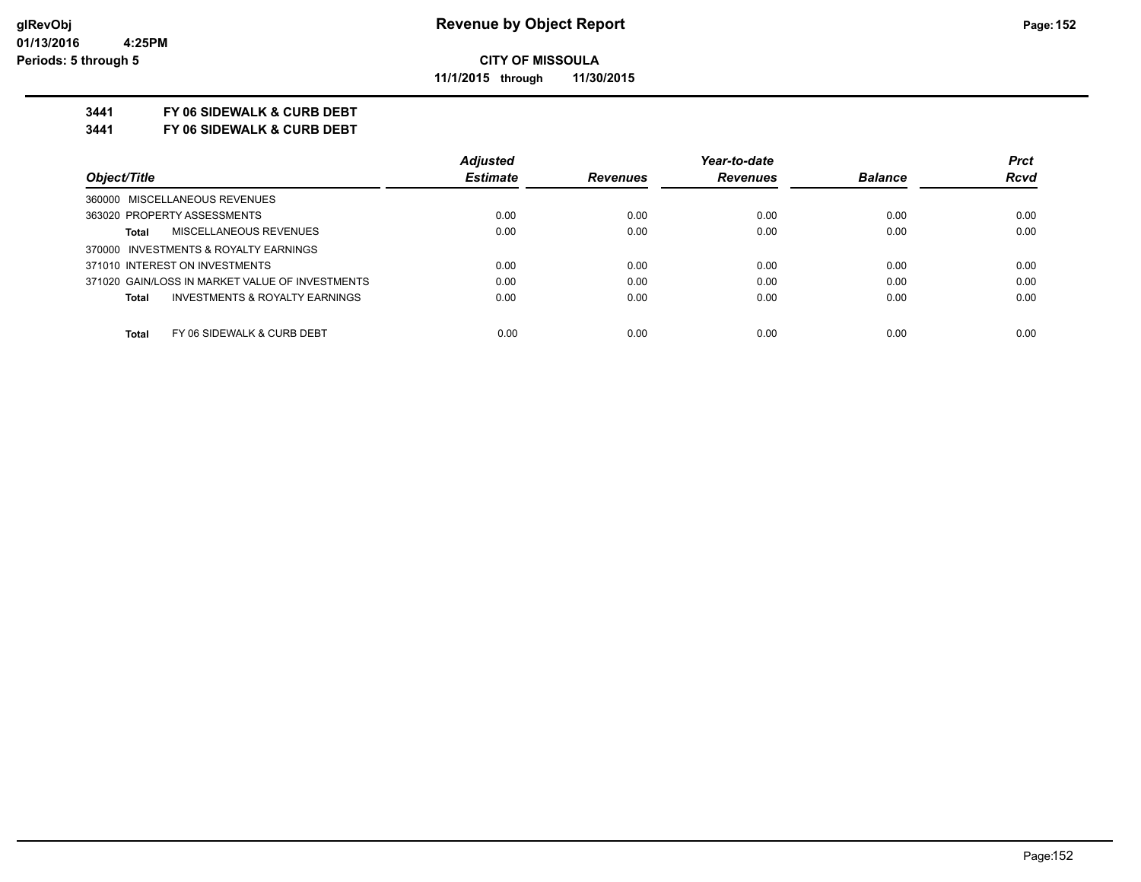**11/1/2015 through 11/30/2015**

#### **3441 FY 06 SIDEWALK & CURB DEBT**

**3441 FY 06 SIDEWALK & CURB DEBT**

|                                                 | <b>Adjusted</b> |                 | Year-to-date    |                | <b>Prct</b> |
|-------------------------------------------------|-----------------|-----------------|-----------------|----------------|-------------|
| Object/Title                                    | <b>Estimate</b> | <b>Revenues</b> | <b>Revenues</b> | <b>Balance</b> | <b>Rcvd</b> |
| 360000 MISCELLANEOUS REVENUES                   |                 |                 |                 |                |             |
| 363020 PROPERTY ASSESSMENTS                     | 0.00            | 0.00            | 0.00            | 0.00           | 0.00        |
| MISCELLANEOUS REVENUES<br>Total                 | 0.00            | 0.00            | 0.00            | 0.00           | 0.00        |
| 370000 INVESTMENTS & ROYALTY EARNINGS           |                 |                 |                 |                |             |
| 371010 INTEREST ON INVESTMENTS                  | 0.00            | 0.00            | 0.00            | 0.00           | 0.00        |
| 371020 GAIN/LOSS IN MARKET VALUE OF INVESTMENTS | 0.00            | 0.00            | 0.00            | 0.00           | 0.00        |
| INVESTMENTS & ROYALTY EARNINGS<br>Total         | 0.00            | 0.00            | 0.00            | 0.00           | 0.00        |
|                                                 |                 |                 |                 |                |             |
| Total<br>FY 06 SIDEWALK & CURB DEBT             | 0.00            | 0.00            | 0.00            | 0.00           | 0.00        |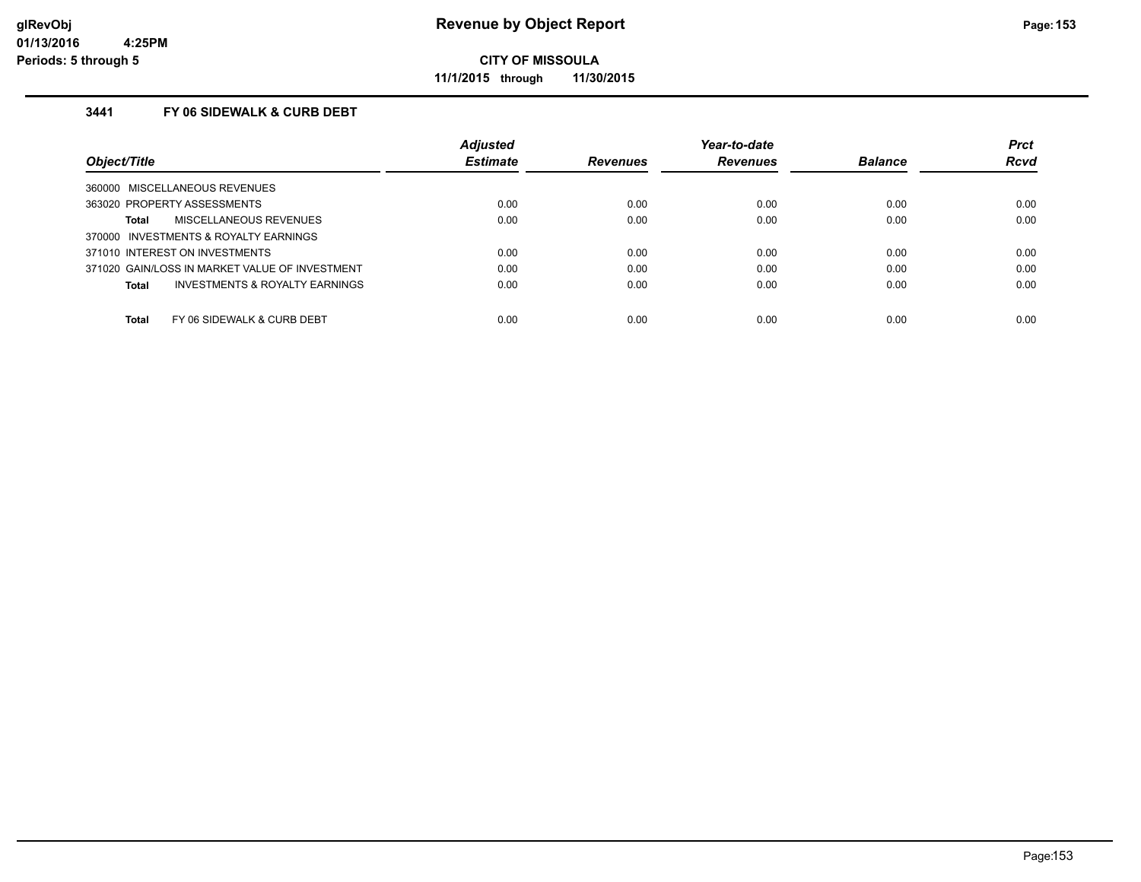**11/1/2015 through 11/30/2015**

### **3441 FY 06 SIDEWALK & CURB DEBT**

|                                                    | <b>Adjusted</b> |                 | Year-to-date    |                | <b>Prct</b> |
|----------------------------------------------------|-----------------|-----------------|-----------------|----------------|-------------|
| Object/Title                                       | <b>Estimate</b> | <b>Revenues</b> | <b>Revenues</b> | <b>Balance</b> | <b>Rcvd</b> |
| 360000 MISCELLANEOUS REVENUES                      |                 |                 |                 |                |             |
| 363020 PROPERTY ASSESSMENTS                        | 0.00            | 0.00            | 0.00            | 0.00           | 0.00        |
| <b>MISCELLANEOUS REVENUES</b><br>Total             | 0.00            | 0.00            | 0.00            | 0.00           | 0.00        |
| 370000 INVESTMENTS & ROYALTY EARNINGS              |                 |                 |                 |                |             |
| 371010 INTEREST ON INVESTMENTS                     | 0.00            | 0.00            | 0.00            | 0.00           | 0.00        |
| 371020 GAIN/LOSS IN MARKET VALUE OF INVESTMENT     | 0.00            | 0.00            | 0.00            | 0.00           | 0.00        |
| <b>INVESTMENTS &amp; ROYALTY EARNINGS</b><br>Total | 0.00            | 0.00            | 0.00            | 0.00           | 0.00        |
|                                                    |                 |                 |                 |                |             |
| Total<br>FY 06 SIDEWALK & CURB DEBT                | 0.00            | 0.00            | 0.00            | 0.00           | 0.00        |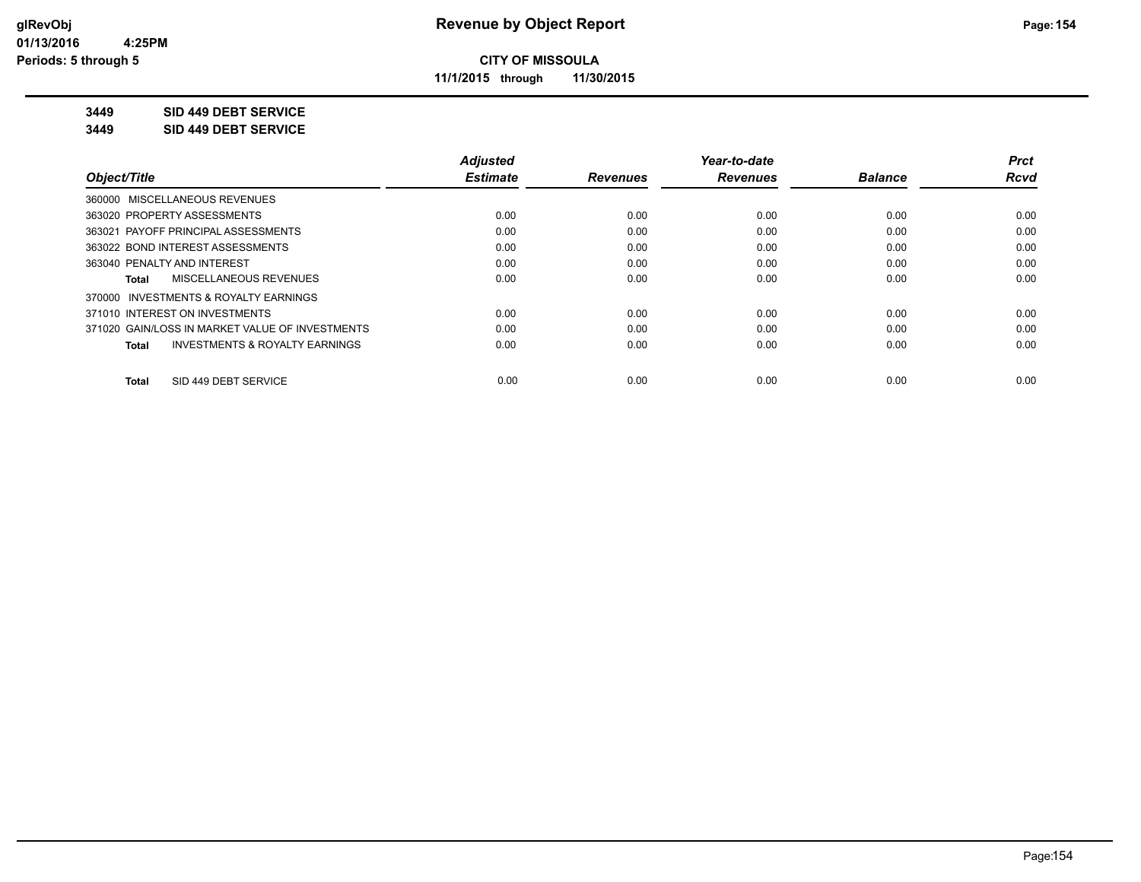**11/1/2015 through 11/30/2015**

**3449 SID 449 DEBT SERVICE**

**3449 SID 449 DEBT SERVICE**

|                                                    | <b>Adjusted</b> |                 | Year-to-date    |                | <b>Prct</b> |
|----------------------------------------------------|-----------------|-----------------|-----------------|----------------|-------------|
| Object/Title                                       | <b>Estimate</b> | <b>Revenues</b> | <b>Revenues</b> | <b>Balance</b> | <b>Rcvd</b> |
| 360000 MISCELLANEOUS REVENUES                      |                 |                 |                 |                |             |
| 363020 PROPERTY ASSESSMENTS                        | 0.00            | 0.00            | 0.00            | 0.00           | 0.00        |
| 363021 PAYOFF PRINCIPAL ASSESSMENTS                | 0.00            | 0.00            | 0.00            | 0.00           | 0.00        |
| 363022 BOND INTEREST ASSESSMENTS                   | 0.00            | 0.00            | 0.00            | 0.00           | 0.00        |
| 363040 PENALTY AND INTEREST                        | 0.00            | 0.00            | 0.00            | 0.00           | 0.00        |
| MISCELLANEOUS REVENUES<br>Total                    | 0.00            | 0.00            | 0.00            | 0.00           | 0.00        |
| INVESTMENTS & ROYALTY EARNINGS<br>370000           |                 |                 |                 |                |             |
| 371010 INTEREST ON INVESTMENTS                     | 0.00            | 0.00            | 0.00            | 0.00           | 0.00        |
| 371020 GAIN/LOSS IN MARKET VALUE OF INVESTMENTS    | 0.00            | 0.00            | 0.00            | 0.00           | 0.00        |
| <b>INVESTMENTS &amp; ROYALTY EARNINGS</b><br>Total | 0.00            | 0.00            | 0.00            | 0.00           | 0.00        |
| SID 449 DEBT SERVICE<br><b>Total</b>               | 0.00            | 0.00            | 0.00            | 0.00           | 0.00        |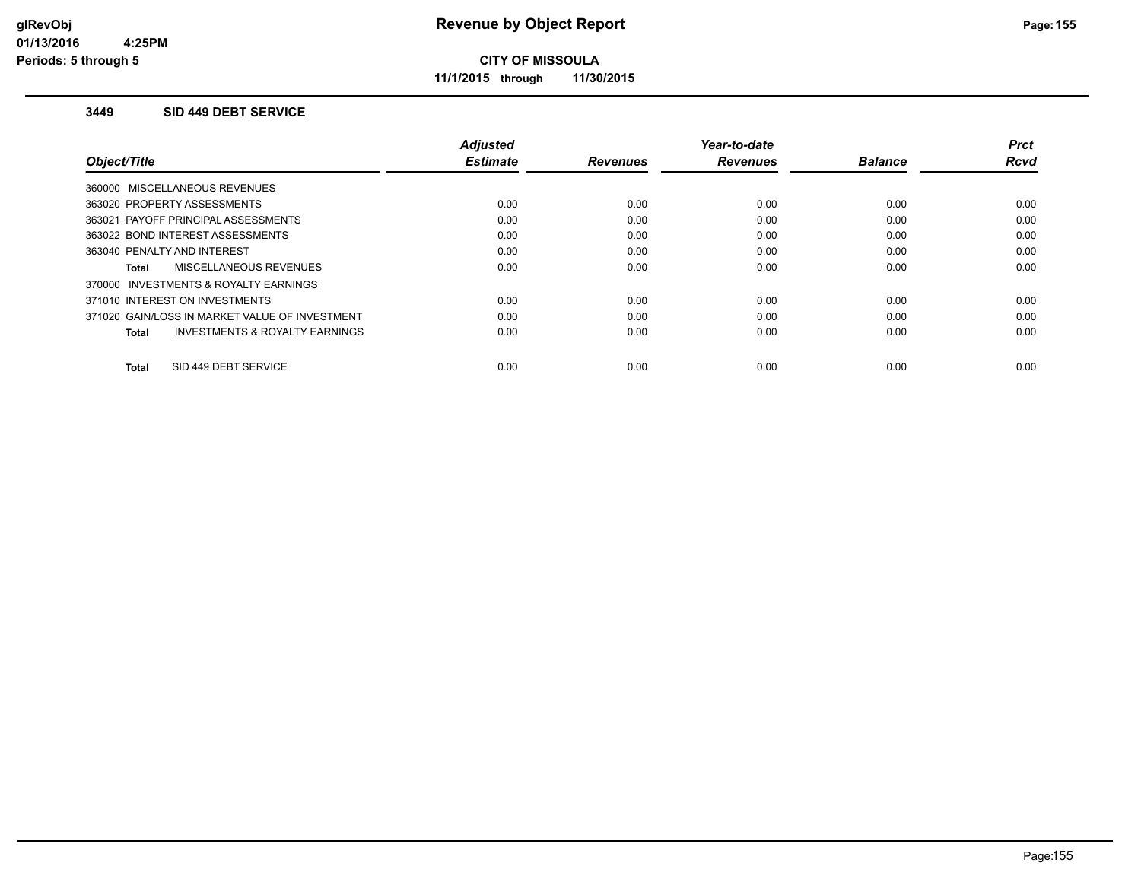**11/1/2015 through 11/30/2015**

#### **3449 SID 449 DEBT SERVICE**

|                                                           | <b>Adjusted</b> |                 | Year-to-date    |                | <b>Prct</b> |
|-----------------------------------------------------------|-----------------|-----------------|-----------------|----------------|-------------|
| Object/Title                                              | <b>Estimate</b> | <b>Revenues</b> | <b>Revenues</b> | <b>Balance</b> | <b>Rcvd</b> |
| 360000 MISCELLANEOUS REVENUES                             |                 |                 |                 |                |             |
| 363020 PROPERTY ASSESSMENTS                               | 0.00            | 0.00            | 0.00            | 0.00           | 0.00        |
| 363021 PAYOFF PRINCIPAL ASSESSMENTS                       | 0.00            | 0.00            | 0.00            | 0.00           | 0.00        |
| 363022 BOND INTEREST ASSESSMENTS                          | 0.00            | 0.00            | 0.00            | 0.00           | 0.00        |
| 363040 PENALTY AND INTEREST                               | 0.00            | 0.00            | 0.00            | 0.00           | 0.00        |
| <b>MISCELLANEOUS REVENUES</b><br>Total                    | 0.00            | 0.00            | 0.00            | 0.00           | 0.00        |
| 370000 INVESTMENTS & ROYALTY EARNINGS                     |                 |                 |                 |                |             |
| 371010 INTEREST ON INVESTMENTS                            | 0.00            | 0.00            | 0.00            | 0.00           | 0.00        |
| 371020 GAIN/LOSS IN MARKET VALUE OF INVESTMENT            | 0.00            | 0.00            | 0.00            | 0.00           | 0.00        |
| <b>INVESTMENTS &amp; ROYALTY EARNINGS</b><br><b>Total</b> | 0.00            | 0.00            | 0.00            | 0.00           | 0.00        |
|                                                           |                 |                 |                 |                |             |
| SID 449 DEBT SERVICE<br>Total                             | 0.00            | 0.00            | 0.00            | 0.00           | 0.00        |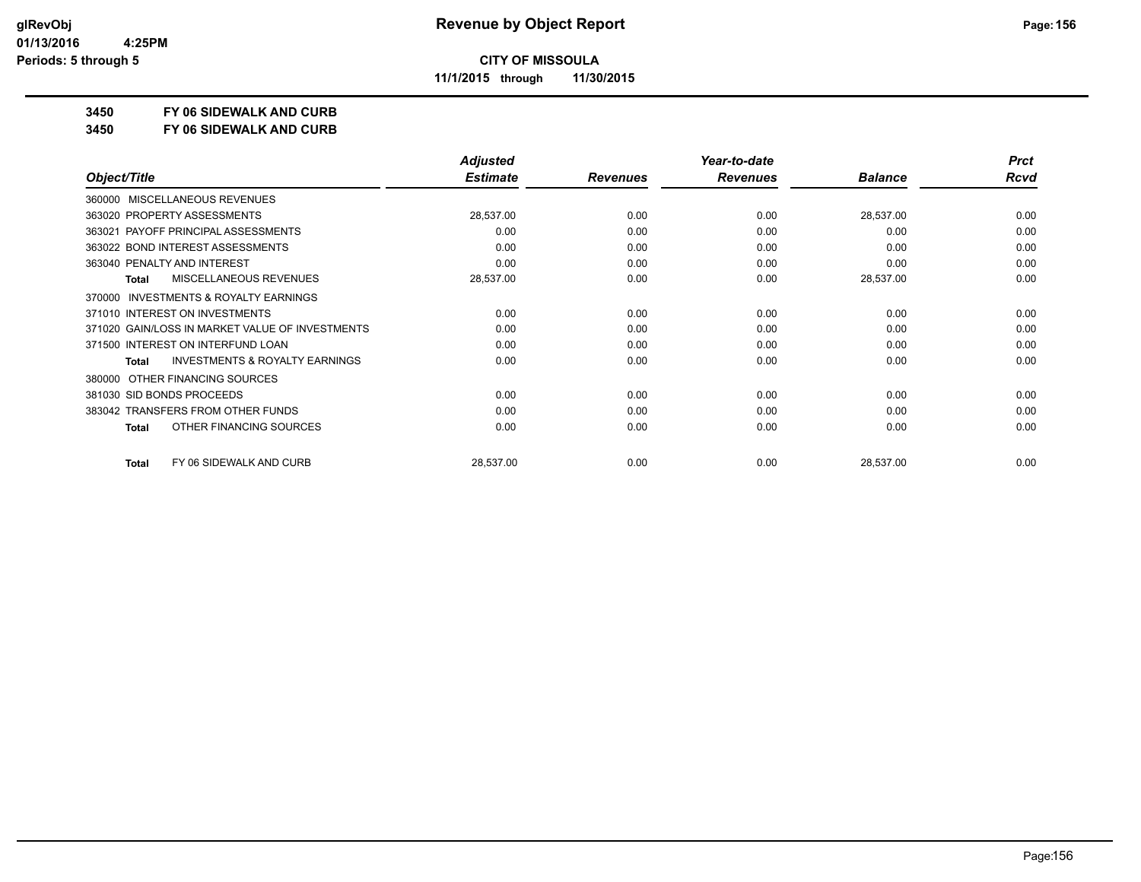**11/1/2015 through 11/30/2015**

### **3450 FY 06 SIDEWALK AND CURB**

**3450 FY 06 SIDEWALK AND CURB**

|                                                           | <b>Adjusted</b> |                 | Year-to-date    |                | <b>Prct</b> |
|-----------------------------------------------------------|-----------------|-----------------|-----------------|----------------|-------------|
| Object/Title                                              | <b>Estimate</b> | <b>Revenues</b> | <b>Revenues</b> | <b>Balance</b> | <b>Rcvd</b> |
| MISCELLANEOUS REVENUES<br>360000                          |                 |                 |                 |                |             |
| 363020 PROPERTY ASSESSMENTS                               | 28,537.00       | 0.00            | 0.00            | 28,537.00      | 0.00        |
| 363021 PAYOFF PRINCIPAL ASSESSMENTS                       | 0.00            | 0.00            | 0.00            | 0.00           | 0.00        |
| 363022 BOND INTEREST ASSESSMENTS                          | 0.00            | 0.00            | 0.00            | 0.00           | 0.00        |
| 363040 PENALTY AND INTEREST                               | 0.00            | 0.00            | 0.00            | 0.00           | 0.00        |
| <b>MISCELLANEOUS REVENUES</b><br><b>Total</b>             | 28,537.00       | 0.00            | 0.00            | 28,537.00      | 0.00        |
| <b>INVESTMENTS &amp; ROYALTY EARNINGS</b><br>370000       |                 |                 |                 |                |             |
| 371010 INTEREST ON INVESTMENTS                            | 0.00            | 0.00            | 0.00            | 0.00           | 0.00        |
| 371020 GAIN/LOSS IN MARKET VALUE OF INVESTMENTS           | 0.00            | 0.00            | 0.00            | 0.00           | 0.00        |
| 371500 INTEREST ON INTERFUND LOAN                         | 0.00            | 0.00            | 0.00            | 0.00           | 0.00        |
| <b>INVESTMENTS &amp; ROYALTY EARNINGS</b><br><b>Total</b> | 0.00            | 0.00            | 0.00            | 0.00           | 0.00        |
| OTHER FINANCING SOURCES<br>380000                         |                 |                 |                 |                |             |
| 381030 SID BONDS PROCEEDS                                 | 0.00            | 0.00            | 0.00            | 0.00           | 0.00        |
| 383042 TRANSFERS FROM OTHER FUNDS                         | 0.00            | 0.00            | 0.00            | 0.00           | 0.00        |
| OTHER FINANCING SOURCES<br>Total                          | 0.00            | 0.00            | 0.00            | 0.00           | 0.00        |
| FY 06 SIDEWALK AND CURB<br><b>Total</b>                   | 28,537.00       | 0.00            | 0.00            | 28,537.00      | 0.00        |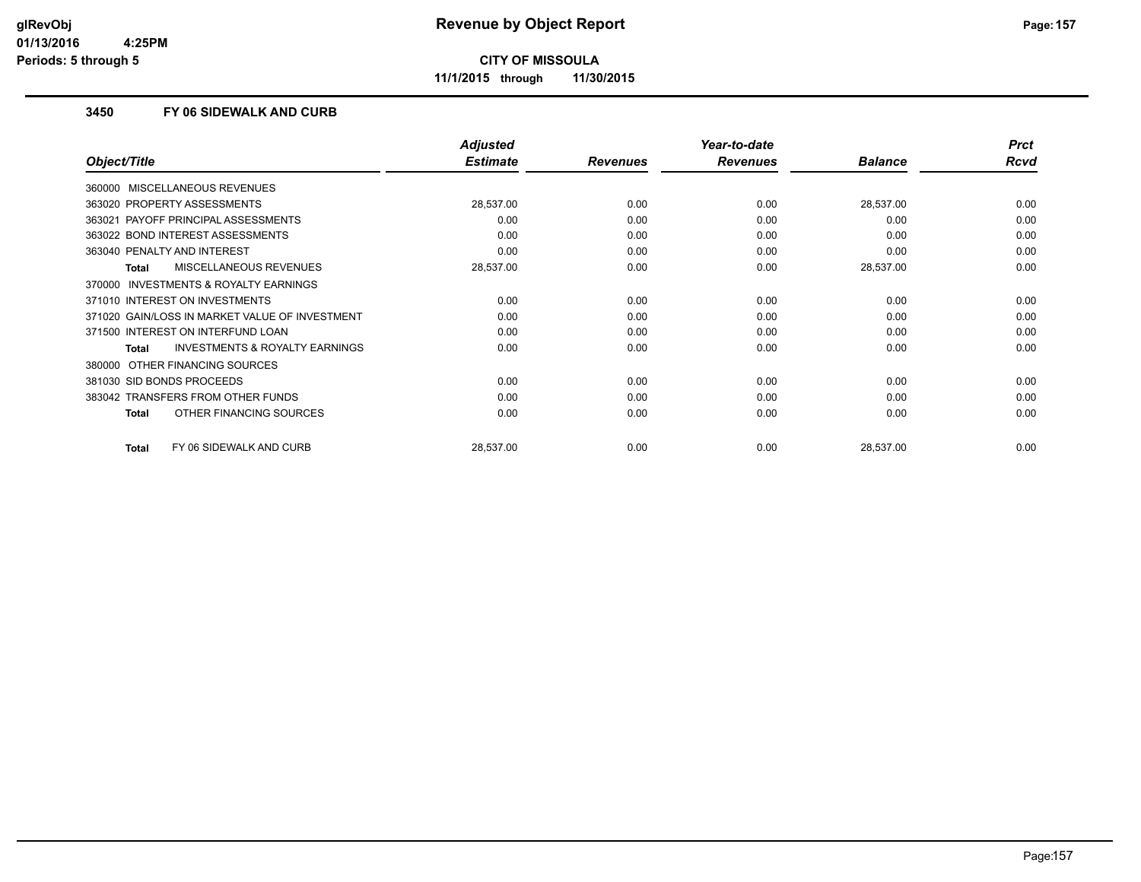**11/1/2015 through 11/30/2015**

#### **3450 FY 06 SIDEWALK AND CURB**

|                                                    | <b>Adjusted</b> |                 | Year-to-date    |                | <b>Prct</b> |
|----------------------------------------------------|-----------------|-----------------|-----------------|----------------|-------------|
| Object/Title                                       | <b>Estimate</b> | <b>Revenues</b> | <b>Revenues</b> | <b>Balance</b> | <b>Rcvd</b> |
| 360000 MISCELLANEOUS REVENUES                      |                 |                 |                 |                |             |
| 363020 PROPERTY ASSESSMENTS                        | 28,537.00       | 0.00            | 0.00            | 28,537.00      | 0.00        |
| PAYOFF PRINCIPAL ASSESSMENTS<br>363021             | 0.00            | 0.00            | 0.00            | 0.00           | 0.00        |
| 363022 BOND INTEREST ASSESSMENTS                   | 0.00            | 0.00            | 0.00            | 0.00           | 0.00        |
| 363040 PENALTY AND INTEREST                        | 0.00            | 0.00            | 0.00            | 0.00           | 0.00        |
| <b>MISCELLANEOUS REVENUES</b><br>Total             | 28,537.00       | 0.00            | 0.00            | 28,537.00      | 0.00        |
| 370000 INVESTMENTS & ROYALTY EARNINGS              |                 |                 |                 |                |             |
| 371010 INTEREST ON INVESTMENTS                     | 0.00            | 0.00            | 0.00            | 0.00           | 0.00        |
| 371020 GAIN/LOSS IN MARKET VALUE OF INVESTMENT     | 0.00            | 0.00            | 0.00            | 0.00           | 0.00        |
| 371500 INTEREST ON INTERFUND LOAN                  | 0.00            | 0.00            | 0.00            | 0.00           | 0.00        |
| <b>INVESTMENTS &amp; ROYALTY EARNINGS</b><br>Total | 0.00            | 0.00            | 0.00            | 0.00           | 0.00        |
| 380000 OTHER FINANCING SOURCES                     |                 |                 |                 |                |             |
| 381030 SID BONDS PROCEEDS                          | 0.00            | 0.00            | 0.00            | 0.00           | 0.00        |
| 383042 TRANSFERS FROM OTHER FUNDS                  | 0.00            | 0.00            | 0.00            | 0.00           | 0.00        |
| OTHER FINANCING SOURCES<br><b>Total</b>            | 0.00            | 0.00            | 0.00            | 0.00           | 0.00        |
| FY 06 SIDEWALK AND CURB<br><b>Total</b>            | 28,537.00       | 0.00            | 0.00            | 28,537.00      | 0.00        |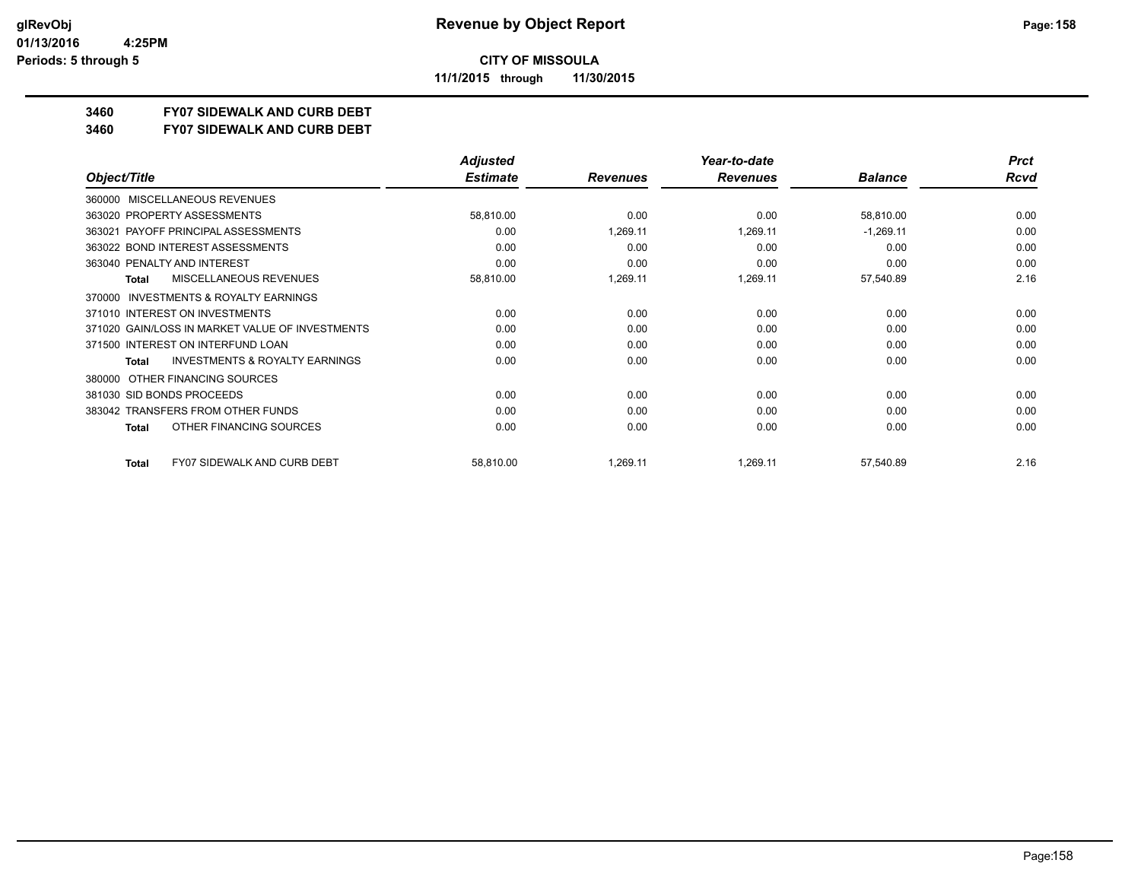**11/1/2015 through 11/30/2015**

## **3460 FY07 SIDEWALK AND CURB DEBT**

#### **3460 FY07 SIDEWALK AND CURB DEBT**

|                                                     | <b>Adjusted</b> |                 | Year-to-date    |                | <b>Prct</b> |
|-----------------------------------------------------|-----------------|-----------------|-----------------|----------------|-------------|
| Object/Title                                        | <b>Estimate</b> | <b>Revenues</b> | <b>Revenues</b> | <b>Balance</b> | Rcvd        |
| <b>MISCELLANEOUS REVENUES</b><br>360000             |                 |                 |                 |                |             |
| 363020 PROPERTY ASSESSMENTS                         | 58,810.00       | 0.00            | 0.00            | 58,810.00      | 0.00        |
| 363021 PAYOFF PRINCIPAL ASSESSMENTS                 | 0.00            | 1,269.11        | 1,269.11        | $-1,269.11$    | 0.00        |
| 363022 BOND INTEREST ASSESSMENTS                    | 0.00            | 0.00            | 0.00            | 0.00           | 0.00        |
| 363040 PENALTY AND INTEREST                         | 0.00            | 0.00            | 0.00            | 0.00           | 0.00        |
| MISCELLANEOUS REVENUES<br><b>Total</b>              | 58,810.00       | 1,269.11        | 1,269.11        | 57,540.89      | 2.16        |
| <b>INVESTMENTS &amp; ROYALTY EARNINGS</b><br>370000 |                 |                 |                 |                |             |
| 371010 INTEREST ON INVESTMENTS                      | 0.00            | 0.00            | 0.00            | 0.00           | 0.00        |
| 371020 GAIN/LOSS IN MARKET VALUE OF INVESTMENTS     | 0.00            | 0.00            | 0.00            | 0.00           | 0.00        |
| 371500 INTEREST ON INTERFUND LOAN                   | 0.00            | 0.00            | 0.00            | 0.00           | 0.00        |
| <b>INVESTMENTS &amp; ROYALTY EARNINGS</b><br>Total  | 0.00            | 0.00            | 0.00            | 0.00           | 0.00        |
| OTHER FINANCING SOURCES<br>380000                   |                 |                 |                 |                |             |
| 381030 SID BONDS PROCEEDS                           | 0.00            | 0.00            | 0.00            | 0.00           | 0.00        |
| 383042 TRANSFERS FROM OTHER FUNDS                   | 0.00            | 0.00            | 0.00            | 0.00           | 0.00        |
| OTHER FINANCING SOURCES<br>Total                    | 0.00            | 0.00            | 0.00            | 0.00           | 0.00        |
| <b>FY07 SIDEWALK AND CURB DEBT</b><br>Total         | 58,810.00       | 1,269.11        | 1,269.11        | 57,540.89      | 2.16        |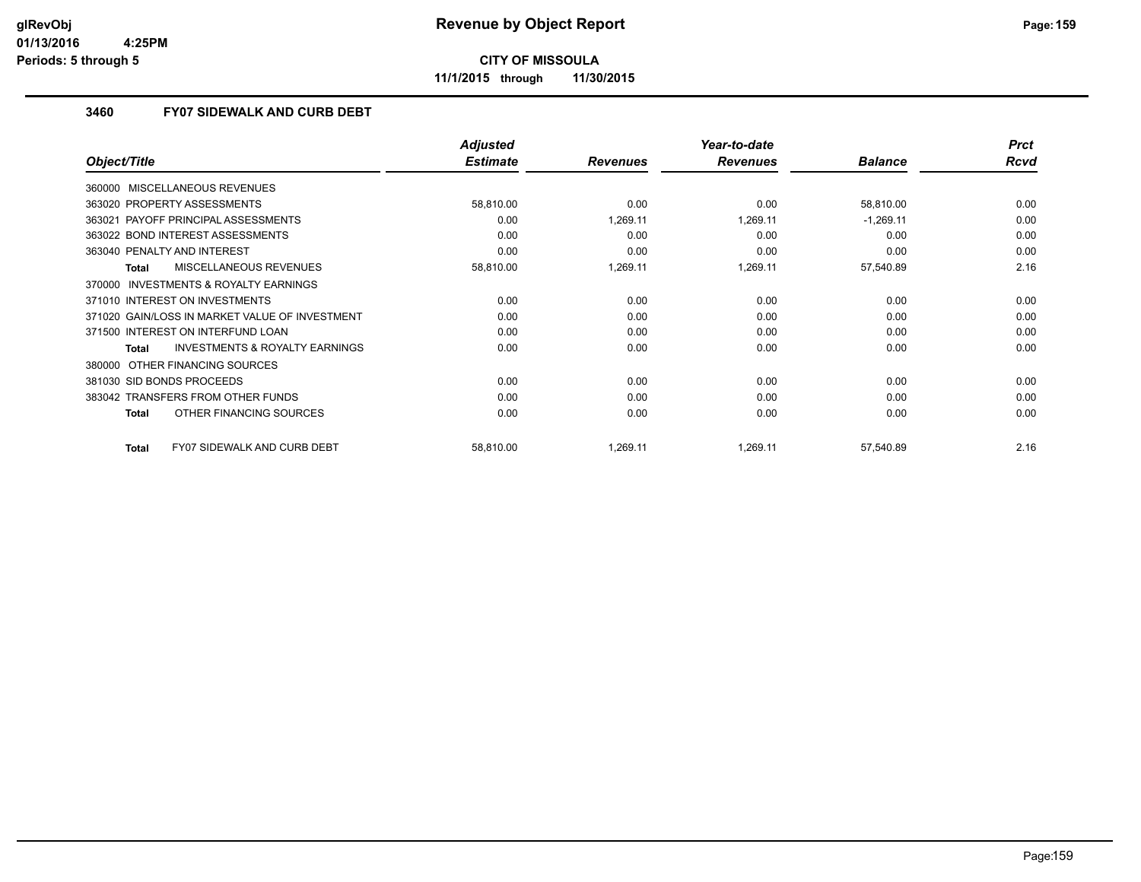**11/1/2015 through 11/30/2015**

#### **3460 FY07 SIDEWALK AND CURB DEBT**

|                                                           | <b>Adjusted</b> |                 | Year-to-date    |                | <b>Prct</b> |
|-----------------------------------------------------------|-----------------|-----------------|-----------------|----------------|-------------|
| Object/Title                                              | <b>Estimate</b> | <b>Revenues</b> | <b>Revenues</b> | <b>Balance</b> | <b>Rcvd</b> |
| MISCELLANEOUS REVENUES<br>360000                          |                 |                 |                 |                |             |
| 363020 PROPERTY ASSESSMENTS                               | 58,810.00       | 0.00            | 0.00            | 58,810.00      | 0.00        |
| 363021 PAYOFF PRINCIPAL ASSESSMENTS                       | 0.00            | 1,269.11        | 1,269.11        | $-1,269.11$    | 0.00        |
| 363022 BOND INTEREST ASSESSMENTS                          | 0.00            | 0.00            | 0.00            | 0.00           | 0.00        |
| 363040 PENALTY AND INTEREST                               | 0.00            | 0.00            | 0.00            | 0.00           | 0.00        |
| <b>MISCELLANEOUS REVENUES</b><br><b>Total</b>             | 58,810.00       | 1,269.11        | 1,269.11        | 57,540.89      | 2.16        |
| <b>INVESTMENTS &amp; ROYALTY EARNINGS</b><br>370000       |                 |                 |                 |                |             |
| 371010 INTEREST ON INVESTMENTS                            | 0.00            | 0.00            | 0.00            | 0.00           | 0.00        |
| 371020 GAIN/LOSS IN MARKET VALUE OF INVESTMENT            | 0.00            | 0.00            | 0.00            | 0.00           | 0.00        |
| 371500 INTEREST ON INTERFUND LOAN                         | 0.00            | 0.00            | 0.00            | 0.00           | 0.00        |
| <b>INVESTMENTS &amp; ROYALTY EARNINGS</b><br><b>Total</b> | 0.00            | 0.00            | 0.00            | 0.00           | 0.00        |
| OTHER FINANCING SOURCES<br>380000                         |                 |                 |                 |                |             |
| 381030 SID BONDS PROCEEDS                                 | 0.00            | 0.00            | 0.00            | 0.00           | 0.00        |
| 383042 TRANSFERS FROM OTHER FUNDS                         | 0.00            | 0.00            | 0.00            | 0.00           | 0.00        |
| OTHER FINANCING SOURCES<br><b>Total</b>                   | 0.00            | 0.00            | 0.00            | 0.00           | 0.00        |
| <b>FY07 SIDEWALK AND CURB DEBT</b><br><b>Total</b>        | 58,810.00       | 1,269.11        | 1,269.11        | 57,540.89      | 2.16        |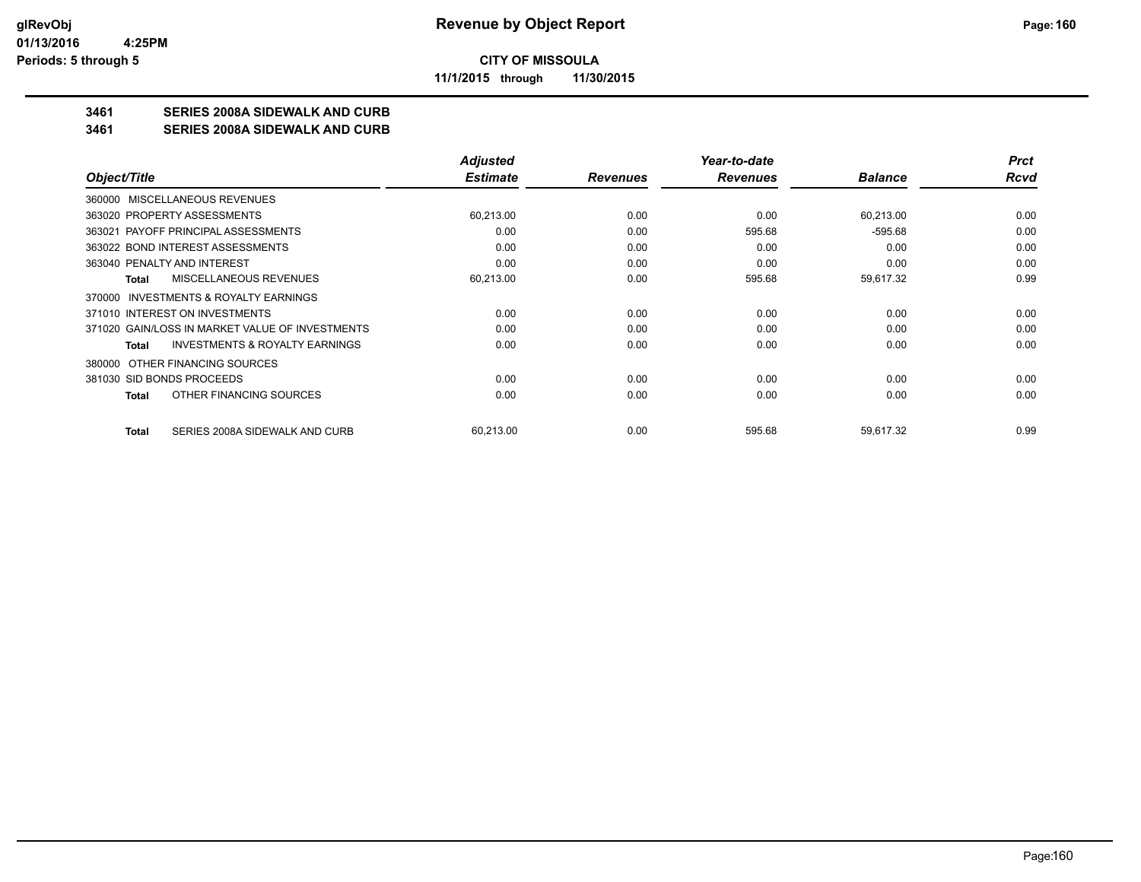**11/1/2015 through 11/30/2015**

### **3461 SERIES 2008A SIDEWALK AND CURB**

**3461 SERIES 2008A SIDEWALK AND CURB**

|                                                           | <b>Adjusted</b> |                 | Year-to-date    |                | <b>Prct</b> |
|-----------------------------------------------------------|-----------------|-----------------|-----------------|----------------|-------------|
| Object/Title                                              | <b>Estimate</b> | <b>Revenues</b> | <b>Revenues</b> | <b>Balance</b> | <b>Rcvd</b> |
| 360000 MISCELLANEOUS REVENUES                             |                 |                 |                 |                |             |
| 363020 PROPERTY ASSESSMENTS                               | 60,213.00       | 0.00            | 0.00            | 60,213.00      | 0.00        |
| 363021 PAYOFF PRINCIPAL ASSESSMENTS                       | 0.00            | 0.00            | 595.68          | $-595.68$      | 0.00        |
| 363022 BOND INTEREST ASSESSMENTS                          | 0.00            | 0.00            | 0.00            | 0.00           | 0.00        |
| 363040 PENALTY AND INTEREST                               | 0.00            | 0.00            | 0.00            | 0.00           | 0.00        |
| MISCELLANEOUS REVENUES<br><b>Total</b>                    | 60,213.00       | 0.00            | 595.68          | 59,617.32      | 0.99        |
| INVESTMENTS & ROYALTY EARNINGS<br>370000                  |                 |                 |                 |                |             |
| 371010 INTEREST ON INVESTMENTS                            | 0.00            | 0.00            | 0.00            | 0.00           | 0.00        |
| 371020 GAIN/LOSS IN MARKET VALUE OF INVESTMENTS           | 0.00            | 0.00            | 0.00            | 0.00           | 0.00        |
| <b>INVESTMENTS &amp; ROYALTY EARNINGS</b><br><b>Total</b> | 0.00            | 0.00            | 0.00            | 0.00           | 0.00        |
| OTHER FINANCING SOURCES<br>380000                         |                 |                 |                 |                |             |
| 381030 SID BONDS PROCEEDS                                 | 0.00            | 0.00            | 0.00            | 0.00           | 0.00        |
| OTHER FINANCING SOURCES<br><b>Total</b>                   | 0.00            | 0.00            | 0.00            | 0.00           | 0.00        |
| SERIES 2008A SIDEWALK AND CURB<br><b>Total</b>            | 60,213.00       | 0.00            | 595.68          | 59,617.32      | 0.99        |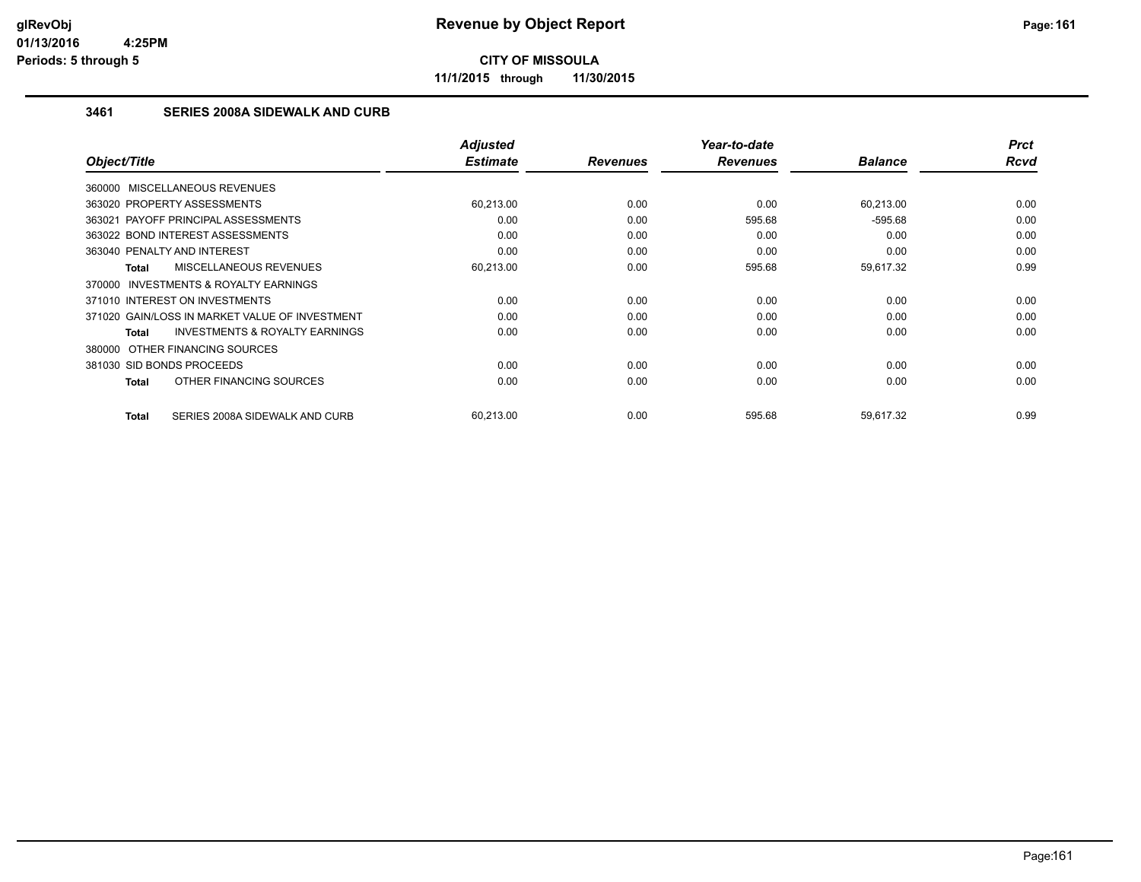**11/1/2015 through 11/30/2015**

### **3461 SERIES 2008A SIDEWALK AND CURB**

| Object/Title                        |                                                | <b>Adjusted</b><br><b>Estimate</b> | <b>Revenues</b> | Year-to-date<br><b>Revenues</b> | <b>Balance</b> | <b>Prct</b><br>Rcvd |
|-------------------------------------|------------------------------------------------|------------------------------------|-----------------|---------------------------------|----------------|---------------------|
| 360000 MISCELLANEOUS REVENUES       |                                                |                                    |                 |                                 |                |                     |
| 363020 PROPERTY ASSESSMENTS         |                                                | 60.213.00                          | 0.00            | 0.00                            | 60,213.00      | 0.00                |
|                                     |                                                |                                    |                 |                                 |                |                     |
| 363021 PAYOFF PRINCIPAL ASSESSMENTS |                                                | 0.00                               | 0.00            | 595.68                          | $-595.68$      | 0.00                |
| 363022 BOND INTEREST ASSESSMENTS    |                                                | 0.00                               | 0.00            | 0.00                            | 0.00           | 0.00                |
| 363040 PENALTY AND INTEREST         |                                                | 0.00                               | 0.00            | 0.00                            | 0.00           | 0.00                |
| <b>Total</b>                        | <b>MISCELLANEOUS REVENUES</b>                  | 60,213.00                          | 0.00            | 595.68                          | 59,617.32      | 0.99                |
| 370000                              | <b>INVESTMENTS &amp; ROYALTY EARNINGS</b>      |                                    |                 |                                 |                |                     |
| 371010 INTEREST ON INVESTMENTS      |                                                | 0.00                               | 0.00            | 0.00                            | 0.00           | 0.00                |
|                                     | 371020 GAIN/LOSS IN MARKET VALUE OF INVESTMENT | 0.00                               | 0.00            | 0.00                            | 0.00           | 0.00                |
| <b>Total</b>                        | <b>INVESTMENTS &amp; ROYALTY EARNINGS</b>      | 0.00                               | 0.00            | 0.00                            | 0.00           | 0.00                |
| 380000 OTHER FINANCING SOURCES      |                                                |                                    |                 |                                 |                |                     |
| 381030 SID BONDS PROCEEDS           |                                                | 0.00                               | 0.00            | 0.00                            | 0.00           | 0.00                |
| Total                               | OTHER FINANCING SOURCES                        | 0.00                               | 0.00            | 0.00                            | 0.00           | 0.00                |
| <b>Total</b>                        | SERIES 2008A SIDEWALK AND CURB                 | 60,213.00                          | 0.00            | 595.68                          | 59,617.32      | 0.99                |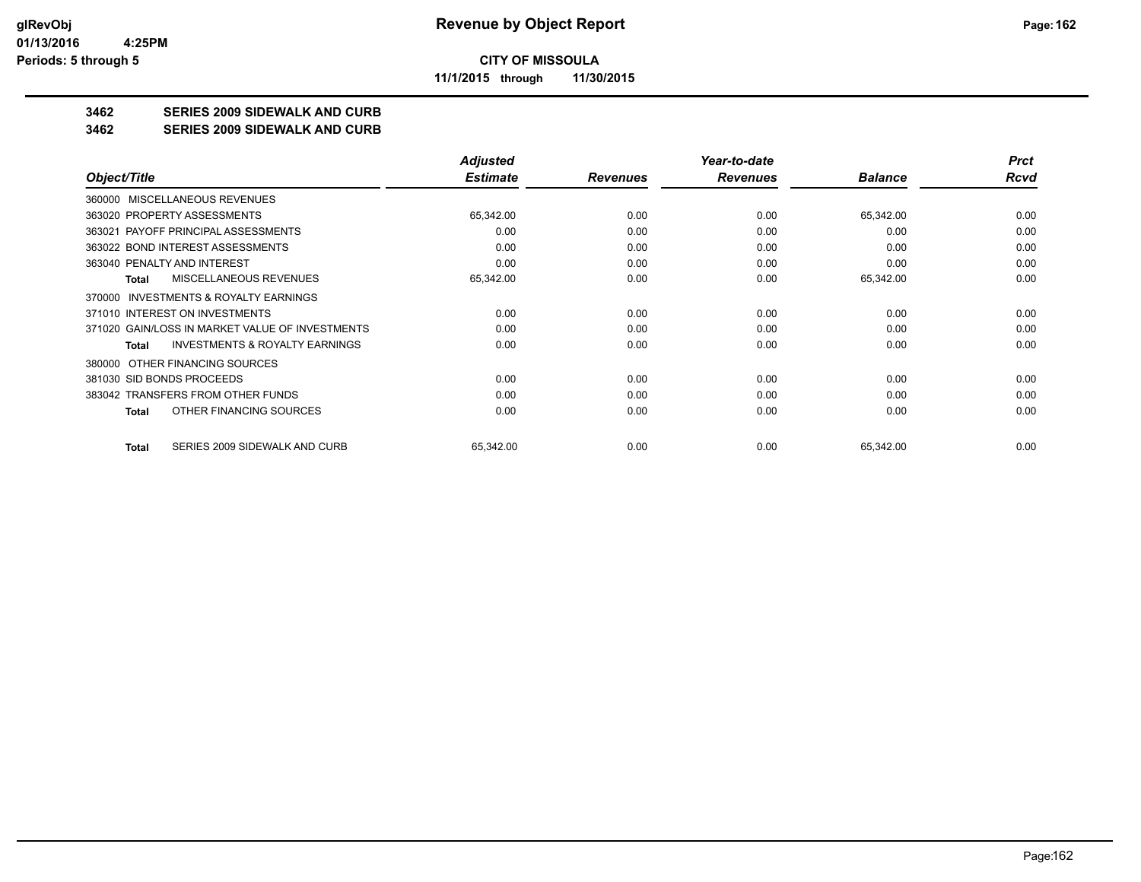**11/1/2015 through 11/30/2015**

## **3462 SERIES 2009 SIDEWALK AND CURB**

#### **3462 SERIES 2009 SIDEWALK AND CURB**

|                                                           | <b>Adjusted</b> |                 | Year-to-date    |                | <b>Prct</b> |
|-----------------------------------------------------------|-----------------|-----------------|-----------------|----------------|-------------|
| Object/Title                                              | <b>Estimate</b> | <b>Revenues</b> | <b>Revenues</b> | <b>Balance</b> | Rcvd        |
| MISCELLANEOUS REVENUES<br>360000                          |                 |                 |                 |                |             |
| 363020 PROPERTY ASSESSMENTS                               | 65,342.00       | 0.00            | 0.00            | 65,342.00      | 0.00        |
| 363021 PAYOFF PRINCIPAL ASSESSMENTS                       | 0.00            | 0.00            | 0.00            | 0.00           | 0.00        |
| 363022 BOND INTEREST ASSESSMENTS                          | 0.00            | 0.00            | 0.00            | 0.00           | 0.00        |
| 363040 PENALTY AND INTEREST                               | 0.00            | 0.00            | 0.00            | 0.00           | 0.00        |
| MISCELLANEOUS REVENUES<br>Total                           | 65,342.00       | 0.00            | 0.00            | 65,342.00      | 0.00        |
| <b>INVESTMENTS &amp; ROYALTY EARNINGS</b><br>370000       |                 |                 |                 |                |             |
| 371010 INTEREST ON INVESTMENTS                            | 0.00            | 0.00            | 0.00            | 0.00           | 0.00        |
| 371020 GAIN/LOSS IN MARKET VALUE OF INVESTMENTS           | 0.00            | 0.00            | 0.00            | 0.00           | 0.00        |
| <b>INVESTMENTS &amp; ROYALTY EARNINGS</b><br><b>Total</b> | 0.00            | 0.00            | 0.00            | 0.00           | 0.00        |
| OTHER FINANCING SOURCES<br>380000                         |                 |                 |                 |                |             |
| 381030 SID BONDS PROCEEDS                                 | 0.00            | 0.00            | 0.00            | 0.00           | 0.00        |
| 383042 TRANSFERS FROM OTHER FUNDS                         | 0.00            | 0.00            | 0.00            | 0.00           | 0.00        |
| OTHER FINANCING SOURCES<br>Total                          | 0.00            | 0.00            | 0.00            | 0.00           | 0.00        |
| SERIES 2009 SIDEWALK AND CURB<br><b>Total</b>             | 65,342.00       | 0.00            | 0.00            | 65,342.00      | 0.00        |
|                                                           |                 |                 |                 |                |             |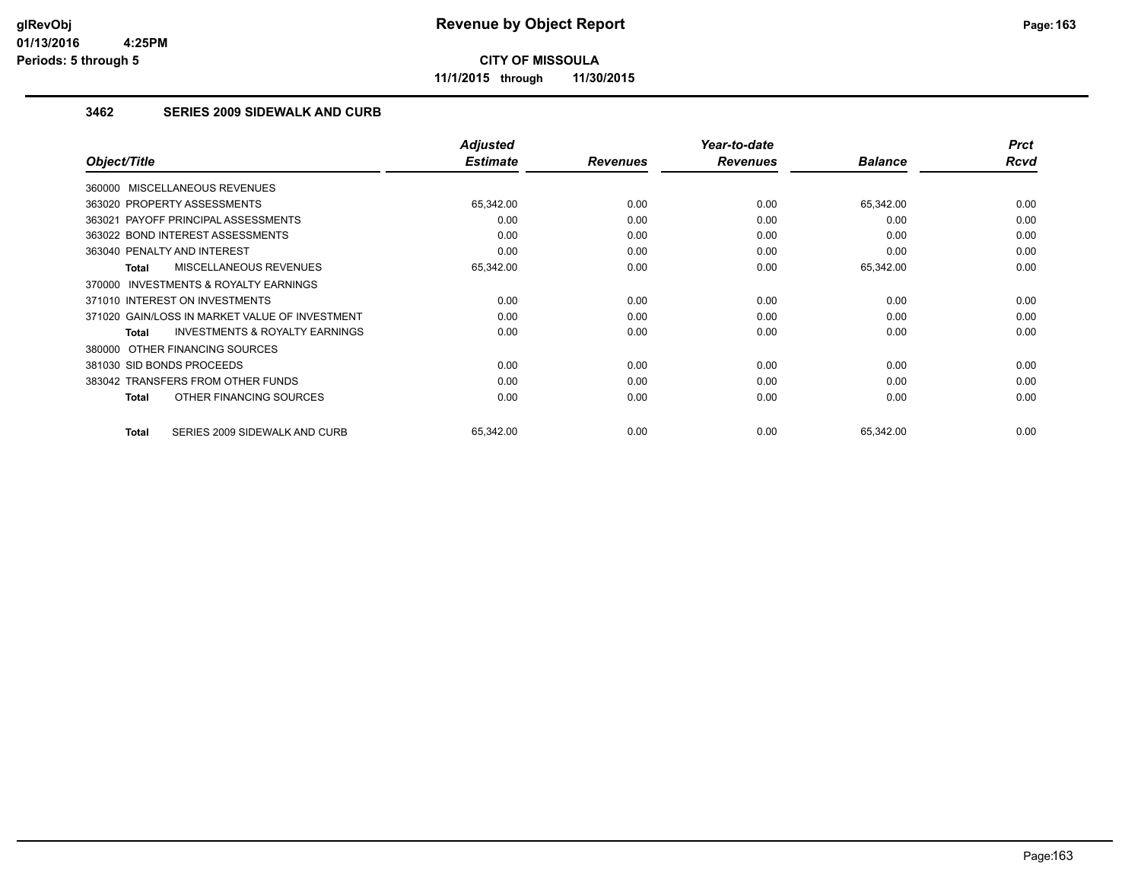**11/1/2015 through 11/30/2015**

#### **3462 SERIES 2009 SIDEWALK AND CURB**

|                                                     | <b>Adjusted</b> |                 | Year-to-date    |                | <b>Prct</b> |
|-----------------------------------------------------|-----------------|-----------------|-----------------|----------------|-------------|
| Object/Title                                        | <b>Estimate</b> | <b>Revenues</b> | <b>Revenues</b> | <b>Balance</b> | Rcvd        |
| 360000 MISCELLANEOUS REVENUES                       |                 |                 |                 |                |             |
| 363020 PROPERTY ASSESSMENTS                         | 65,342.00       | 0.00            | 0.00            | 65,342.00      | 0.00        |
| 363021 PAYOFF PRINCIPAL ASSESSMENTS                 | 0.00            | 0.00            | 0.00            | 0.00           | 0.00        |
| 363022 BOND INTEREST ASSESSMENTS                    | 0.00            | 0.00            | 0.00            | 0.00           | 0.00        |
| 363040 PENALTY AND INTEREST                         | 0.00            | 0.00            | 0.00            | 0.00           | 0.00        |
| MISCELLANEOUS REVENUES<br>Total                     | 65,342.00       | 0.00            | 0.00            | 65,342.00      | 0.00        |
| <b>INVESTMENTS &amp; ROYALTY EARNINGS</b><br>370000 |                 |                 |                 |                |             |
| 371010 INTEREST ON INVESTMENTS                      | 0.00            | 0.00            | 0.00            | 0.00           | 0.00        |
| 371020 GAIN/LOSS IN MARKET VALUE OF INVESTMENT      | 0.00            | 0.00            | 0.00            | 0.00           | 0.00        |
| <b>INVESTMENTS &amp; ROYALTY EARNINGS</b><br>Total  | 0.00            | 0.00            | 0.00            | 0.00           | 0.00        |
| 380000 OTHER FINANCING SOURCES                      |                 |                 |                 |                |             |
| 381030 SID BONDS PROCEEDS                           | 0.00            | 0.00            | 0.00            | 0.00           | 0.00        |
| 383042 TRANSFERS FROM OTHER FUNDS                   | 0.00            | 0.00            | 0.00            | 0.00           | 0.00        |
| OTHER FINANCING SOURCES<br>Total                    | 0.00            | 0.00            | 0.00            | 0.00           | 0.00        |
|                                                     |                 |                 |                 |                |             |
| SERIES 2009 SIDEWALK AND CURB<br>Total              | 65,342.00       | 0.00            | 0.00            | 65,342.00      | 0.00        |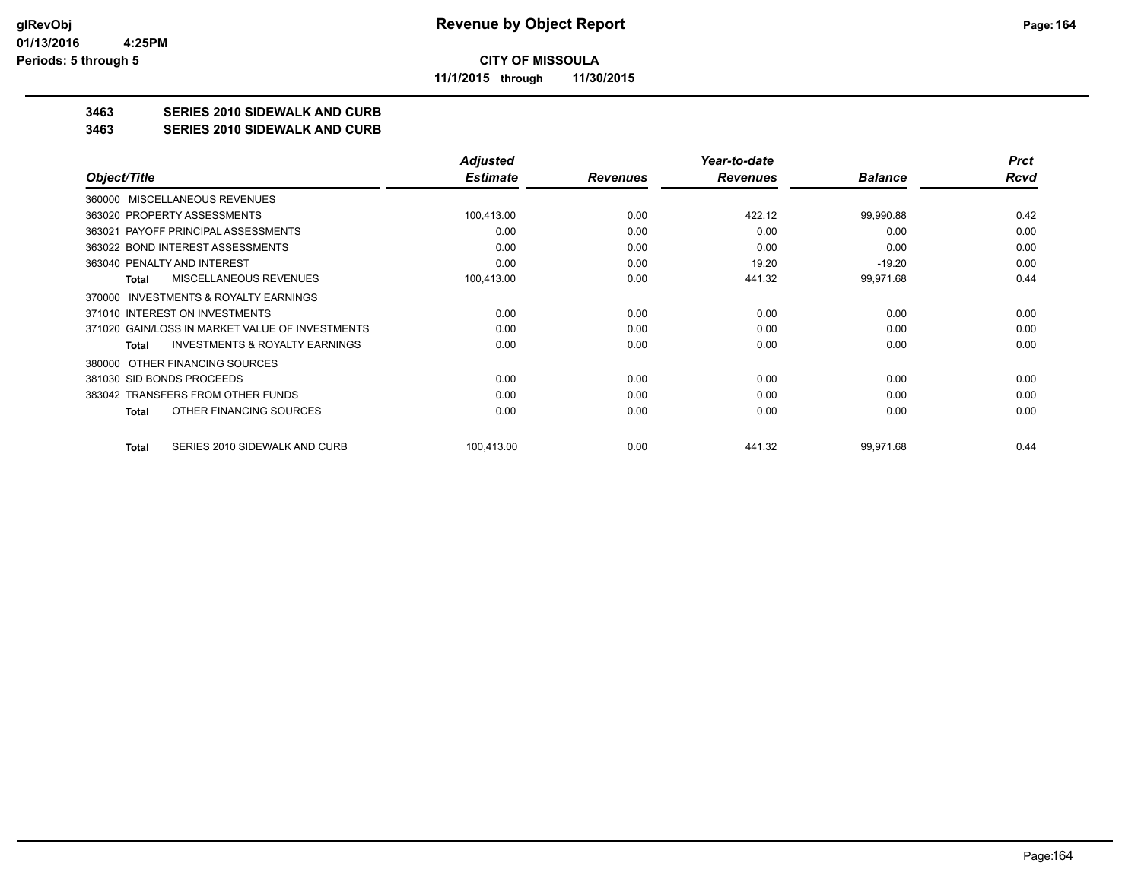**11/1/2015 through 11/30/2015**

### **3463 SERIES 2010 SIDEWALK AND CURB**

#### **3463 SERIES 2010 SIDEWALK AND CURB**

|                                                           | <b>Adjusted</b> |                 | Year-to-date    |                | <b>Prct</b> |
|-----------------------------------------------------------|-----------------|-----------------|-----------------|----------------|-------------|
| Object/Title                                              | <b>Estimate</b> | <b>Revenues</b> | <b>Revenues</b> | <b>Balance</b> | Rcvd        |
| MISCELLANEOUS REVENUES<br>360000                          |                 |                 |                 |                |             |
| 363020 PROPERTY ASSESSMENTS                               | 100.413.00      | 0.00            | 422.12          | 99,990.88      | 0.42        |
| 363021 PAYOFF PRINCIPAL ASSESSMENTS                       | 0.00            | 0.00            | 0.00            | 0.00           | 0.00        |
| 363022 BOND INTEREST ASSESSMENTS                          | 0.00            | 0.00            | 0.00            | 0.00           | 0.00        |
| 363040 PENALTY AND INTEREST                               | 0.00            | 0.00            | 19.20           | $-19.20$       | 0.00        |
| MISCELLANEOUS REVENUES<br><b>Total</b>                    | 100,413.00      | 0.00            | 441.32          | 99,971.68      | 0.44        |
| <b>INVESTMENTS &amp; ROYALTY EARNINGS</b><br>370000       |                 |                 |                 |                |             |
| 371010 INTEREST ON INVESTMENTS                            | 0.00            | 0.00            | 0.00            | 0.00           | 0.00        |
| 371020 GAIN/LOSS IN MARKET VALUE OF INVESTMENTS           | 0.00            | 0.00            | 0.00            | 0.00           | 0.00        |
| <b>INVESTMENTS &amp; ROYALTY EARNINGS</b><br><b>Total</b> | 0.00            | 0.00            | 0.00            | 0.00           | 0.00        |
| OTHER FINANCING SOURCES<br>380000                         |                 |                 |                 |                |             |
| 381030 SID BONDS PROCEEDS                                 | 0.00            | 0.00            | 0.00            | 0.00           | 0.00        |
| 383042 TRANSFERS FROM OTHER FUNDS                         | 0.00            | 0.00            | 0.00            | 0.00           | 0.00        |
| OTHER FINANCING SOURCES<br><b>Total</b>                   | 0.00            | 0.00            | 0.00            | 0.00           | 0.00        |
| SERIES 2010 SIDEWALK AND CURB<br><b>Total</b>             | 100,413.00      | 0.00            | 441.32          | 99,971.68      | 0.44        |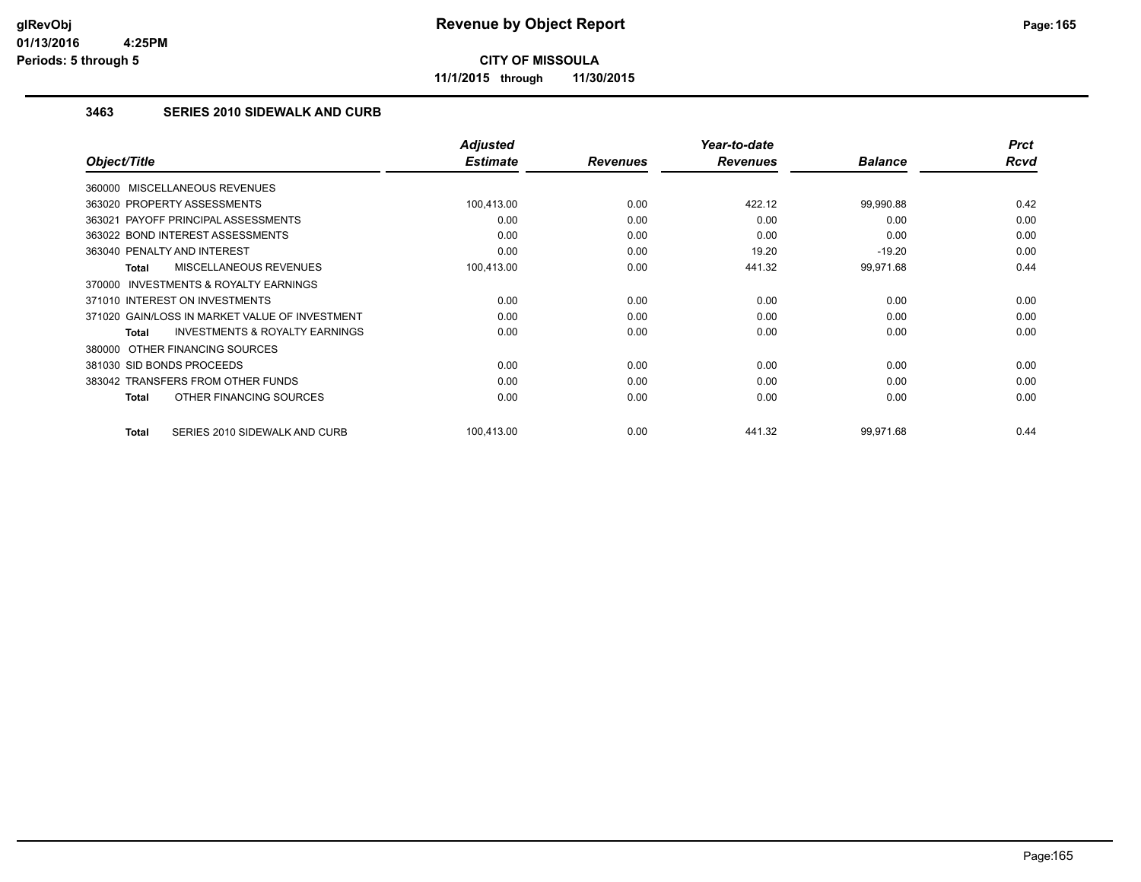**11/1/2015 through 11/30/2015**

### **3463 SERIES 2010 SIDEWALK AND CURB**

|                                                           | <b>Adjusted</b> |                 | Year-to-date    |                | <b>Prct</b> |
|-----------------------------------------------------------|-----------------|-----------------|-----------------|----------------|-------------|
| Object/Title                                              | <b>Estimate</b> | <b>Revenues</b> | <b>Revenues</b> | <b>Balance</b> | Rcvd        |
| 360000 MISCELLANEOUS REVENUES                             |                 |                 |                 |                |             |
| 363020 PROPERTY ASSESSMENTS                               | 100,413.00      | 0.00            | 422.12          | 99,990.88      | 0.42        |
| 363021 PAYOFF PRINCIPAL ASSESSMENTS                       | 0.00            | 0.00            | 0.00            | 0.00           | 0.00        |
| 363022 BOND INTEREST ASSESSMENTS                          | 0.00            | 0.00            | 0.00            | 0.00           | 0.00        |
| 363040 PENALTY AND INTEREST                               | 0.00            | 0.00            | 19.20           | $-19.20$       | 0.00        |
| MISCELLANEOUS REVENUES<br><b>Total</b>                    | 100,413.00      | 0.00            | 441.32          | 99,971.68      | 0.44        |
| INVESTMENTS & ROYALTY EARNINGS<br>370000                  |                 |                 |                 |                |             |
| 371010 INTEREST ON INVESTMENTS                            | 0.00            | 0.00            | 0.00            | 0.00           | 0.00        |
| 371020 GAIN/LOSS IN MARKET VALUE OF INVESTMENT            | 0.00            | 0.00            | 0.00            | 0.00           | 0.00        |
| <b>INVESTMENTS &amp; ROYALTY EARNINGS</b><br><b>Total</b> | 0.00            | 0.00            | 0.00            | 0.00           | 0.00        |
| 380000 OTHER FINANCING SOURCES                            |                 |                 |                 |                |             |
| 381030 SID BONDS PROCEEDS                                 | 0.00            | 0.00            | 0.00            | 0.00           | 0.00        |
| 383042 TRANSFERS FROM OTHER FUNDS                         | 0.00            | 0.00            | 0.00            | 0.00           | 0.00        |
| OTHER FINANCING SOURCES<br><b>Total</b>                   | 0.00            | 0.00            | 0.00            | 0.00           | 0.00        |
|                                                           |                 |                 |                 |                |             |
| SERIES 2010 SIDEWALK AND CURB<br><b>Total</b>             | 100.413.00      | 0.00            | 441.32          | 99,971.68      | 0.44        |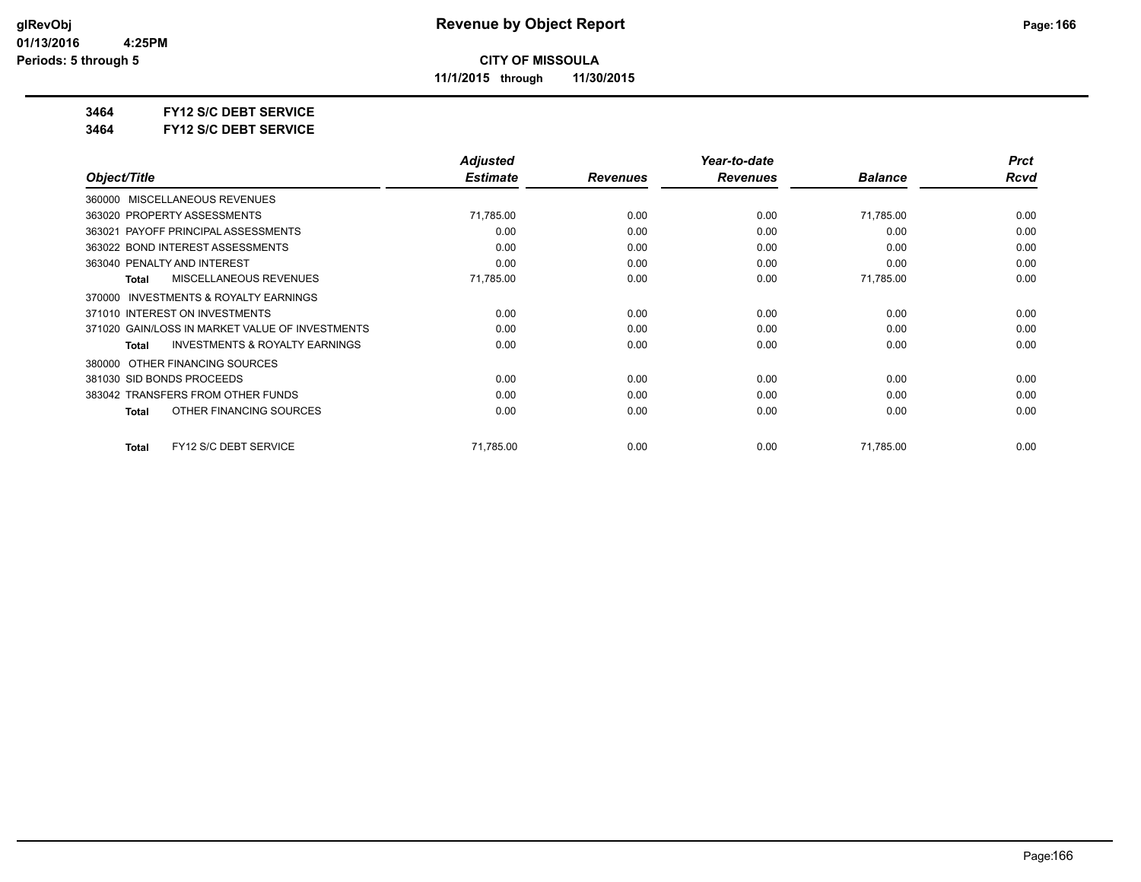**11/1/2015 through 11/30/2015**

**3464 FY12 S/C DEBT SERVICE**

**3464 FY12 S/C DEBT SERVICE**

|                                                    | <b>Adjusted</b> |                 | Year-to-date    |                | <b>Prct</b> |
|----------------------------------------------------|-----------------|-----------------|-----------------|----------------|-------------|
| Object/Title                                       | <b>Estimate</b> | <b>Revenues</b> | <b>Revenues</b> | <b>Balance</b> | Rcvd        |
| 360000 MISCELLANEOUS REVENUES                      |                 |                 |                 |                |             |
| 363020 PROPERTY ASSESSMENTS                        | 71,785.00       | 0.00            | 0.00            | 71,785.00      | 0.00        |
| 363021 PAYOFF PRINCIPAL ASSESSMENTS                | 0.00            | 0.00            | 0.00            | 0.00           | 0.00        |
| 363022 BOND INTEREST ASSESSMENTS                   | 0.00            | 0.00            | 0.00            | 0.00           | 0.00        |
| 363040 PENALTY AND INTEREST                        | 0.00            | 0.00            | 0.00            | 0.00           | 0.00        |
| <b>MISCELLANEOUS REVENUES</b><br><b>Total</b>      | 71,785.00       | 0.00            | 0.00            | 71,785.00      | 0.00        |
| INVESTMENTS & ROYALTY EARNINGS<br>370000           |                 |                 |                 |                |             |
| 371010 INTEREST ON INVESTMENTS                     | 0.00            | 0.00            | 0.00            | 0.00           | 0.00        |
| 371020 GAIN/LOSS IN MARKET VALUE OF INVESTMENTS    | 0.00            | 0.00            | 0.00            | 0.00           | 0.00        |
| <b>INVESTMENTS &amp; ROYALTY EARNINGS</b><br>Total | 0.00            | 0.00            | 0.00            | 0.00           | 0.00        |
| OTHER FINANCING SOURCES<br>380000                  |                 |                 |                 |                |             |
| 381030 SID BONDS PROCEEDS                          | 0.00            | 0.00            | 0.00            | 0.00           | 0.00        |
| 383042 TRANSFERS FROM OTHER FUNDS                  | 0.00            | 0.00            | 0.00            | 0.00           | 0.00        |
| OTHER FINANCING SOURCES<br>Total                   | 0.00            | 0.00            | 0.00            | 0.00           | 0.00        |
| FY12 S/C DEBT SERVICE<br><b>Total</b>              | 71,785.00       | 0.00            | 0.00            | 71,785.00      | 0.00        |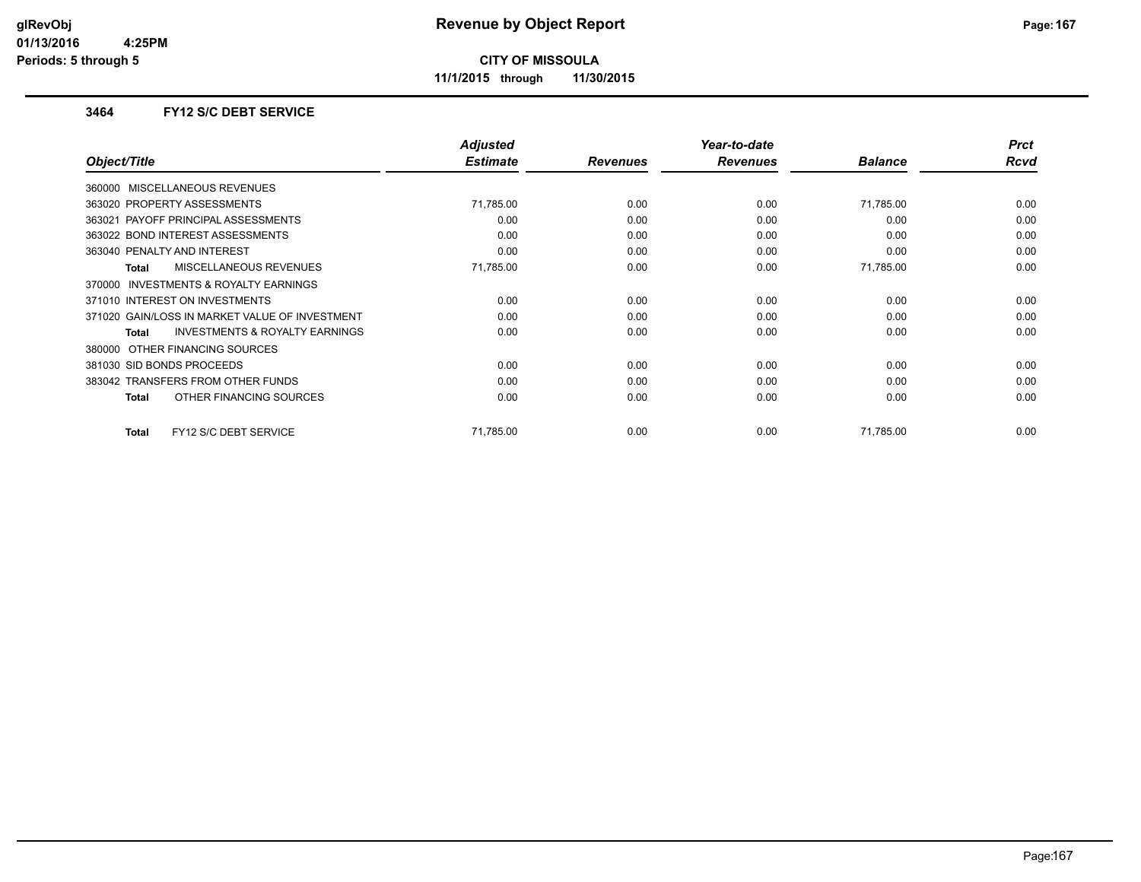**11/1/2015 through 11/30/2015**

#### **3464 FY12 S/C DEBT SERVICE**

|                                                           | <b>Adjusted</b> |                 | Year-to-date    |                | <b>Prct</b> |
|-----------------------------------------------------------|-----------------|-----------------|-----------------|----------------|-------------|
| Object/Title                                              | <b>Estimate</b> | <b>Revenues</b> | <b>Revenues</b> | <b>Balance</b> | Rcvd        |
| 360000 MISCELLANEOUS REVENUES                             |                 |                 |                 |                |             |
| 363020 PROPERTY ASSESSMENTS                               | 71,785.00       | 0.00            | 0.00            | 71,785.00      | 0.00        |
| 363021 PAYOFF PRINCIPAL ASSESSMENTS                       | 0.00            | 0.00            | 0.00            | 0.00           | 0.00        |
| 363022 BOND INTEREST ASSESSMENTS                          | 0.00            | 0.00            | 0.00            | 0.00           | 0.00        |
| 363040 PENALTY AND INTEREST                               | 0.00            | 0.00            | 0.00            | 0.00           | 0.00        |
| <b>MISCELLANEOUS REVENUES</b><br><b>Total</b>             | 71,785.00       | 0.00            | 0.00            | 71,785.00      | 0.00        |
| <b>INVESTMENTS &amp; ROYALTY EARNINGS</b><br>370000       |                 |                 |                 |                |             |
| 371010 INTEREST ON INVESTMENTS                            | 0.00            | 0.00            | 0.00            | 0.00           | 0.00        |
| 371020 GAIN/LOSS IN MARKET VALUE OF INVESTMENT            | 0.00            | 0.00            | 0.00            | 0.00           | 0.00        |
| <b>INVESTMENTS &amp; ROYALTY EARNINGS</b><br><b>Total</b> | 0.00            | 0.00            | 0.00            | 0.00           | 0.00        |
| OTHER FINANCING SOURCES<br>380000                         |                 |                 |                 |                |             |
| 381030 SID BONDS PROCEEDS                                 | 0.00            | 0.00            | 0.00            | 0.00           | 0.00        |
| 383042 TRANSFERS FROM OTHER FUNDS                         | 0.00            | 0.00            | 0.00            | 0.00           | 0.00        |
| OTHER FINANCING SOURCES<br><b>Total</b>                   | 0.00            | 0.00            | 0.00            | 0.00           | 0.00        |
| FY12 S/C DEBT SERVICE<br><b>Total</b>                     | 71,785.00       | 0.00            | 0.00            | 71.785.00      | 0.00        |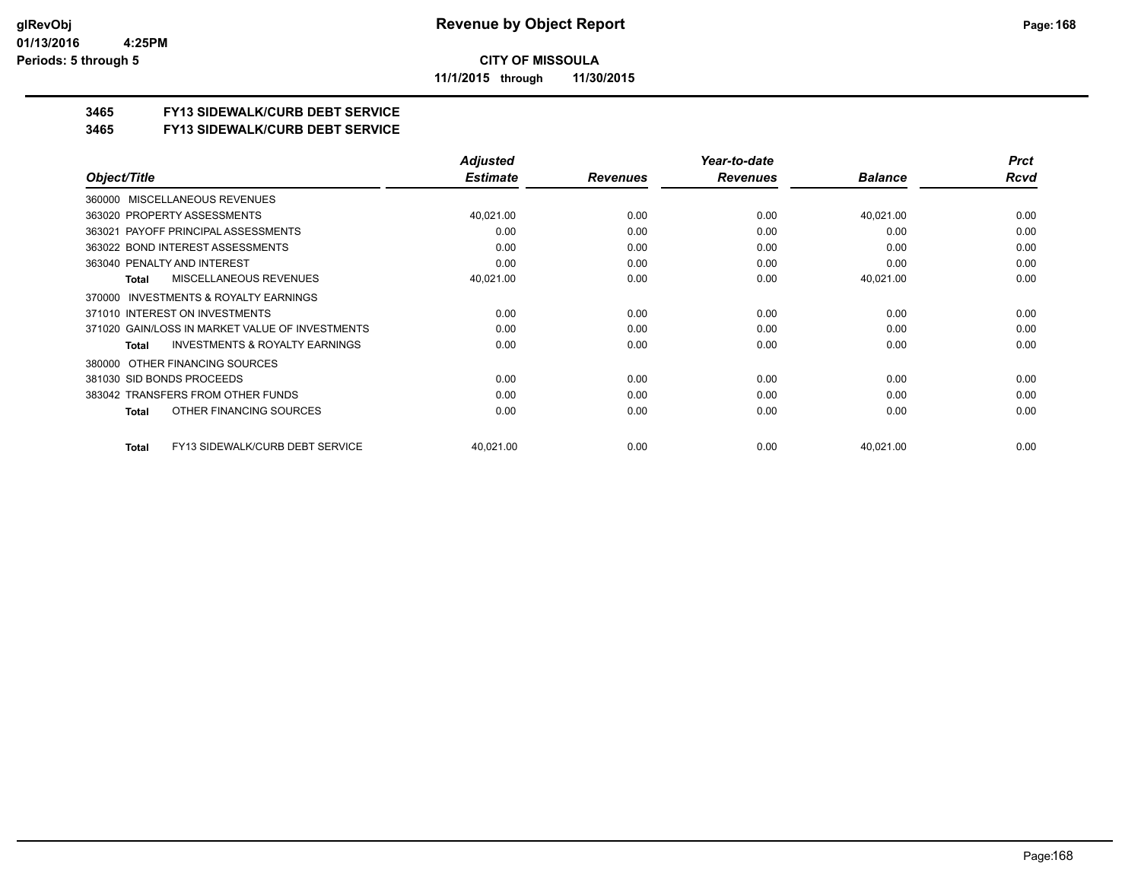**11/1/2015 through 11/30/2015**

### **3465 FY13 SIDEWALK/CURB DEBT SERVICE**

#### **3465 FY13 SIDEWALK/CURB DEBT SERVICE**

|                                                           | <b>Adjusted</b> |                 | Year-to-date    |                | <b>Prct</b> |
|-----------------------------------------------------------|-----------------|-----------------|-----------------|----------------|-------------|
| Object/Title                                              | <b>Estimate</b> | <b>Revenues</b> | <b>Revenues</b> | <b>Balance</b> | Rcvd        |
| MISCELLANEOUS REVENUES<br>360000                          |                 |                 |                 |                |             |
| 363020 PROPERTY ASSESSMENTS                               | 40,021.00       | 0.00            | 0.00            | 40,021.00      | 0.00        |
| 363021 PAYOFF PRINCIPAL ASSESSMENTS                       | 0.00            | 0.00            | 0.00            | 0.00           | 0.00        |
| 363022 BOND INTEREST ASSESSMENTS                          | 0.00            | 0.00            | 0.00            | 0.00           | 0.00        |
| 363040 PENALTY AND INTEREST                               | 0.00            | 0.00            | 0.00            | 0.00           | 0.00        |
| MISCELLANEOUS REVENUES<br>Total                           | 40,021.00       | 0.00            | 0.00            | 40,021.00      | 0.00        |
| INVESTMENTS & ROYALTY EARNINGS<br>370000                  |                 |                 |                 |                |             |
| 371010 INTEREST ON INVESTMENTS                            | 0.00            | 0.00            | 0.00            | 0.00           | 0.00        |
| 371020 GAIN/LOSS IN MARKET VALUE OF INVESTMENTS           | 0.00            | 0.00            | 0.00            | 0.00           | 0.00        |
| <b>INVESTMENTS &amp; ROYALTY EARNINGS</b><br><b>Total</b> | 0.00            | 0.00            | 0.00            | 0.00           | 0.00        |
| OTHER FINANCING SOURCES<br>380000                         |                 |                 |                 |                |             |
| 381030 SID BONDS PROCEEDS                                 | 0.00            | 0.00            | 0.00            | 0.00           | 0.00        |
| 383042 TRANSFERS FROM OTHER FUNDS                         | 0.00            | 0.00            | 0.00            | 0.00           | 0.00        |
| OTHER FINANCING SOURCES<br>Total                          | 0.00            | 0.00            | 0.00            | 0.00           | 0.00        |
| FY13 SIDEWALK/CURB DEBT SERVICE<br>Total                  | 40,021.00       | 0.00            | 0.00            | 40,021.00      | 0.00        |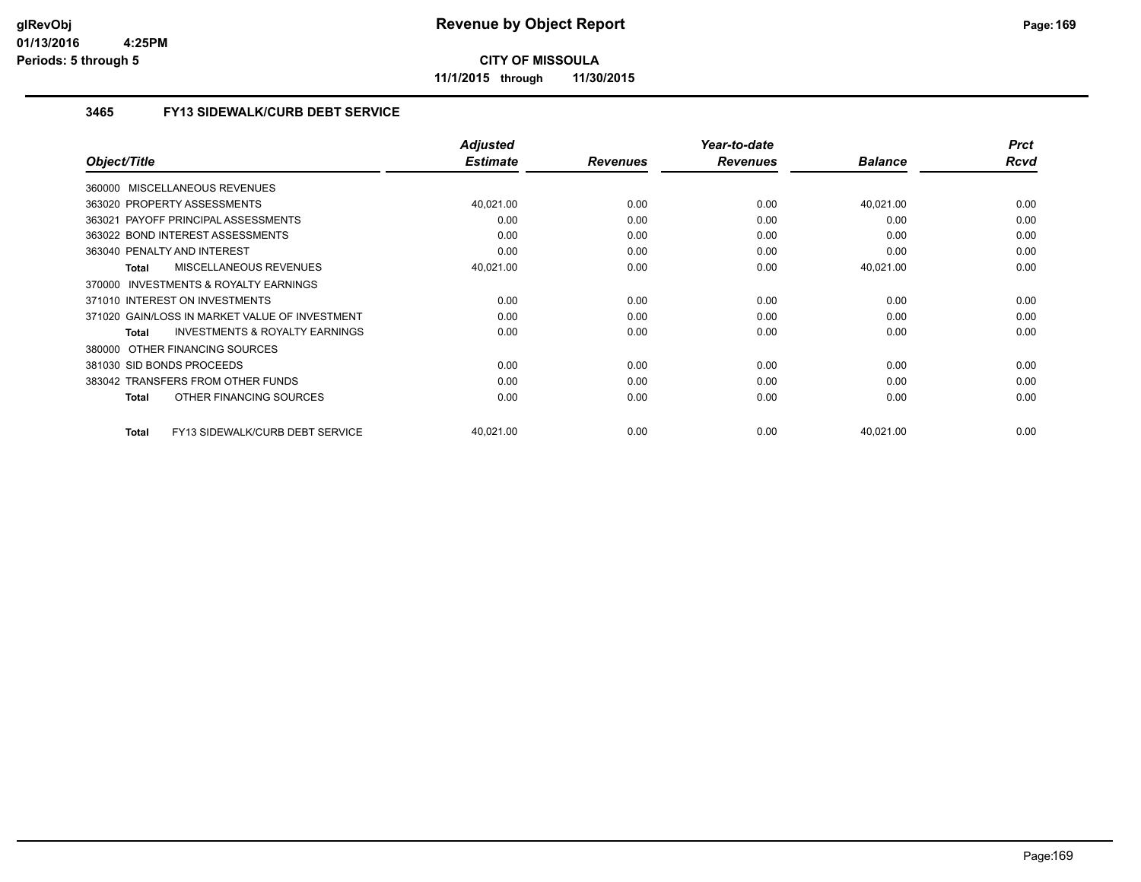**11/1/2015 through 11/30/2015**

### **3465 FY13 SIDEWALK/CURB DEBT SERVICE**

|                                                           | <b>Adjusted</b> |                 | Year-to-date    |                | <b>Prct</b> |
|-----------------------------------------------------------|-----------------|-----------------|-----------------|----------------|-------------|
| Object/Title                                              | <b>Estimate</b> | <b>Revenues</b> | <b>Revenues</b> | <b>Balance</b> | Rcvd        |
| 360000 MISCELLANEOUS REVENUES                             |                 |                 |                 |                |             |
| 363020 PROPERTY ASSESSMENTS                               | 40,021.00       | 0.00            | 0.00            | 40,021.00      | 0.00        |
| 363021 PAYOFF PRINCIPAL ASSESSMENTS                       | 0.00            | 0.00            | 0.00            | 0.00           | 0.00        |
| 363022 BOND INTEREST ASSESSMENTS                          | 0.00            | 0.00            | 0.00            | 0.00           | 0.00        |
| 363040 PENALTY AND INTEREST                               | 0.00            | 0.00            | 0.00            | 0.00           | 0.00        |
| MISCELLANEOUS REVENUES<br><b>Total</b>                    | 40,021.00       | 0.00            | 0.00            | 40,021.00      | 0.00        |
| 370000 INVESTMENTS & ROYALTY EARNINGS                     |                 |                 |                 |                |             |
| 371010 INTEREST ON INVESTMENTS                            | 0.00            | 0.00            | 0.00            | 0.00           | 0.00        |
| 371020 GAIN/LOSS IN MARKET VALUE OF INVESTMENT            | 0.00            | 0.00            | 0.00            | 0.00           | 0.00        |
| <b>INVESTMENTS &amp; ROYALTY EARNINGS</b><br><b>Total</b> | 0.00            | 0.00            | 0.00            | 0.00           | 0.00        |
| OTHER FINANCING SOURCES<br>380000                         |                 |                 |                 |                |             |
| 381030 SID BONDS PROCEEDS                                 | 0.00            | 0.00            | 0.00            | 0.00           | 0.00        |
| 383042 TRANSFERS FROM OTHER FUNDS                         | 0.00            | 0.00            | 0.00            | 0.00           | 0.00        |
| OTHER FINANCING SOURCES<br><b>Total</b>                   | 0.00            | 0.00            | 0.00            | 0.00           | 0.00        |
|                                                           |                 |                 |                 |                |             |
| FY13 SIDEWALK/CURB DEBT SERVICE<br><b>Total</b>           | 40,021.00       | 0.00            | 0.00            | 40,021.00      | 0.00        |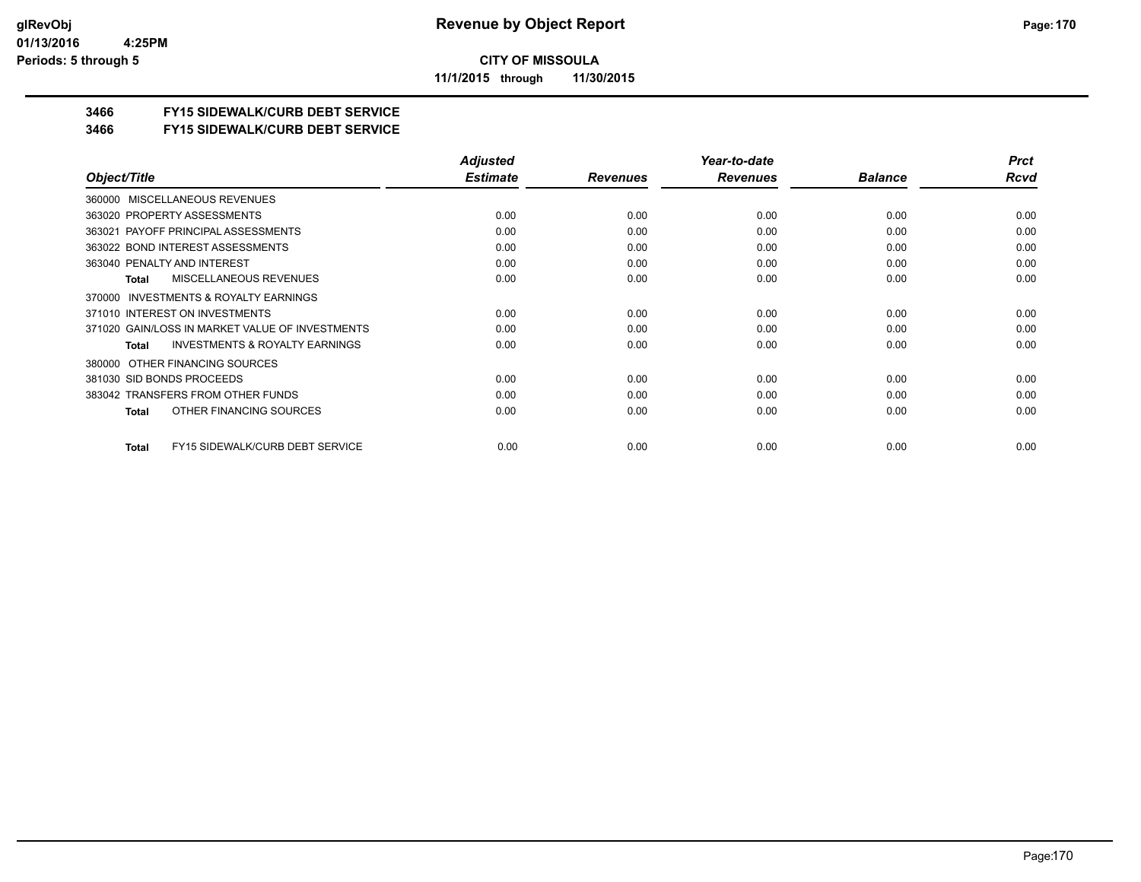**11/1/2015 through 11/30/2015**

### **3466 FY15 SIDEWALK/CURB DEBT SERVICE**

**3466 FY15 SIDEWALK/CURB DEBT SERVICE**

|                                                     | <b>Adjusted</b> |                 | Year-to-date    |                | <b>Prct</b> |
|-----------------------------------------------------|-----------------|-----------------|-----------------|----------------|-------------|
| Object/Title                                        | <b>Estimate</b> | <b>Revenues</b> | <b>Revenues</b> | <b>Balance</b> | Rcvd        |
| MISCELLANEOUS REVENUES<br>360000                    |                 |                 |                 |                |             |
| 363020 PROPERTY ASSESSMENTS                         | 0.00            | 0.00            | 0.00            | 0.00           | 0.00        |
| 363021 PAYOFF PRINCIPAL ASSESSMENTS                 | 0.00            | 0.00            | 0.00            | 0.00           | 0.00        |
| 363022 BOND INTEREST ASSESSMENTS                    | 0.00            | 0.00            | 0.00            | 0.00           | 0.00        |
| 363040 PENALTY AND INTEREST                         | 0.00            | 0.00            | 0.00            | 0.00           | 0.00        |
| MISCELLANEOUS REVENUES<br><b>Total</b>              | 0.00            | 0.00            | 0.00            | 0.00           | 0.00        |
| <b>INVESTMENTS &amp; ROYALTY EARNINGS</b><br>370000 |                 |                 |                 |                |             |
| 371010 INTEREST ON INVESTMENTS                      | 0.00            | 0.00            | 0.00            | 0.00           | 0.00        |
| 371020 GAIN/LOSS IN MARKET VALUE OF INVESTMENTS     | 0.00            | 0.00            | 0.00            | 0.00           | 0.00        |
| <b>INVESTMENTS &amp; ROYALTY EARNINGS</b><br>Total  | 0.00            | 0.00            | 0.00            | 0.00           | 0.00        |
| 380000 OTHER FINANCING SOURCES                      |                 |                 |                 |                |             |
| 381030 SID BONDS PROCEEDS                           | 0.00            | 0.00            | 0.00            | 0.00           | 0.00        |
| 383042 TRANSFERS FROM OTHER FUNDS                   | 0.00            | 0.00            | 0.00            | 0.00           | 0.00        |
| OTHER FINANCING SOURCES<br><b>Total</b>             | 0.00            | 0.00            | 0.00            | 0.00           | 0.00        |
| FY15 SIDEWALK/CURB DEBT SERVICE<br><b>Total</b>     | 0.00            | 0.00            | 0.00            | 0.00           | 0.00        |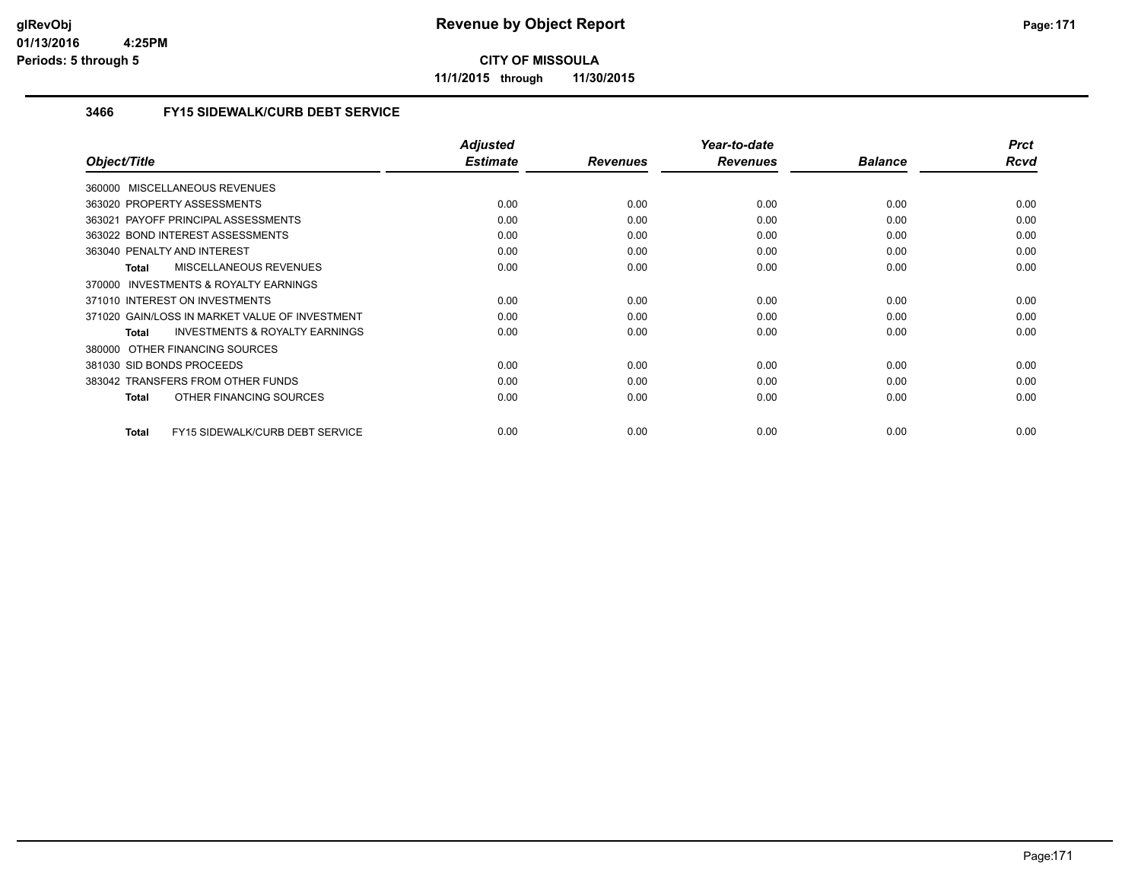**11/1/2015 through 11/30/2015**

### **3466 FY15 SIDEWALK/CURB DEBT SERVICE**

| Object/Title                                       | <b>Adjusted</b><br><b>Estimate</b> | <b>Revenues</b> | Year-to-date<br><b>Revenues</b> | <b>Balance</b> | <b>Prct</b><br>Rcvd |
|----------------------------------------------------|------------------------------------|-----------------|---------------------------------|----------------|---------------------|
|                                                    |                                    |                 |                                 |                |                     |
| 360000 MISCELLANEOUS REVENUES                      |                                    |                 |                                 |                |                     |
| 363020 PROPERTY ASSESSMENTS                        | 0.00                               | 0.00            | 0.00                            | 0.00           | 0.00                |
| 363021 PAYOFF PRINCIPAL ASSESSMENTS                | 0.00                               | 0.00            | 0.00                            | 0.00           | 0.00                |
| 363022 BOND INTEREST ASSESSMENTS                   | 0.00                               | 0.00            | 0.00                            | 0.00           | 0.00                |
| 363040 PENALTY AND INTEREST                        | 0.00                               | 0.00            | 0.00                            | 0.00           | 0.00                |
| <b>MISCELLANEOUS REVENUES</b><br><b>Total</b>      | 0.00                               | 0.00            | 0.00                            | 0.00           | 0.00                |
| 370000 INVESTMENTS & ROYALTY EARNINGS              |                                    |                 |                                 |                |                     |
| 371010 INTEREST ON INVESTMENTS                     | 0.00                               | 0.00            | 0.00                            | 0.00           | 0.00                |
| 371020 GAIN/LOSS IN MARKET VALUE OF INVESTMENT     | 0.00                               | 0.00            | 0.00                            | 0.00           | 0.00                |
| <b>INVESTMENTS &amp; ROYALTY EARNINGS</b><br>Total | 0.00                               | 0.00            | 0.00                            | 0.00           | 0.00                |
| OTHER FINANCING SOURCES<br>380000                  |                                    |                 |                                 |                |                     |
| 381030 SID BONDS PROCEEDS                          | 0.00                               | 0.00            | 0.00                            | 0.00           | 0.00                |
| 383042 TRANSFERS FROM OTHER FUNDS                  | 0.00                               | 0.00            | 0.00                            | 0.00           | 0.00                |
| OTHER FINANCING SOURCES<br><b>Total</b>            | 0.00                               | 0.00            | 0.00                            | 0.00           | 0.00                |
|                                                    |                                    |                 |                                 |                |                     |
| FY15 SIDEWALK/CURB DEBT SERVICE<br><b>Total</b>    | 0.00                               | 0.00            | 0.00                            | 0.00           | 0.00                |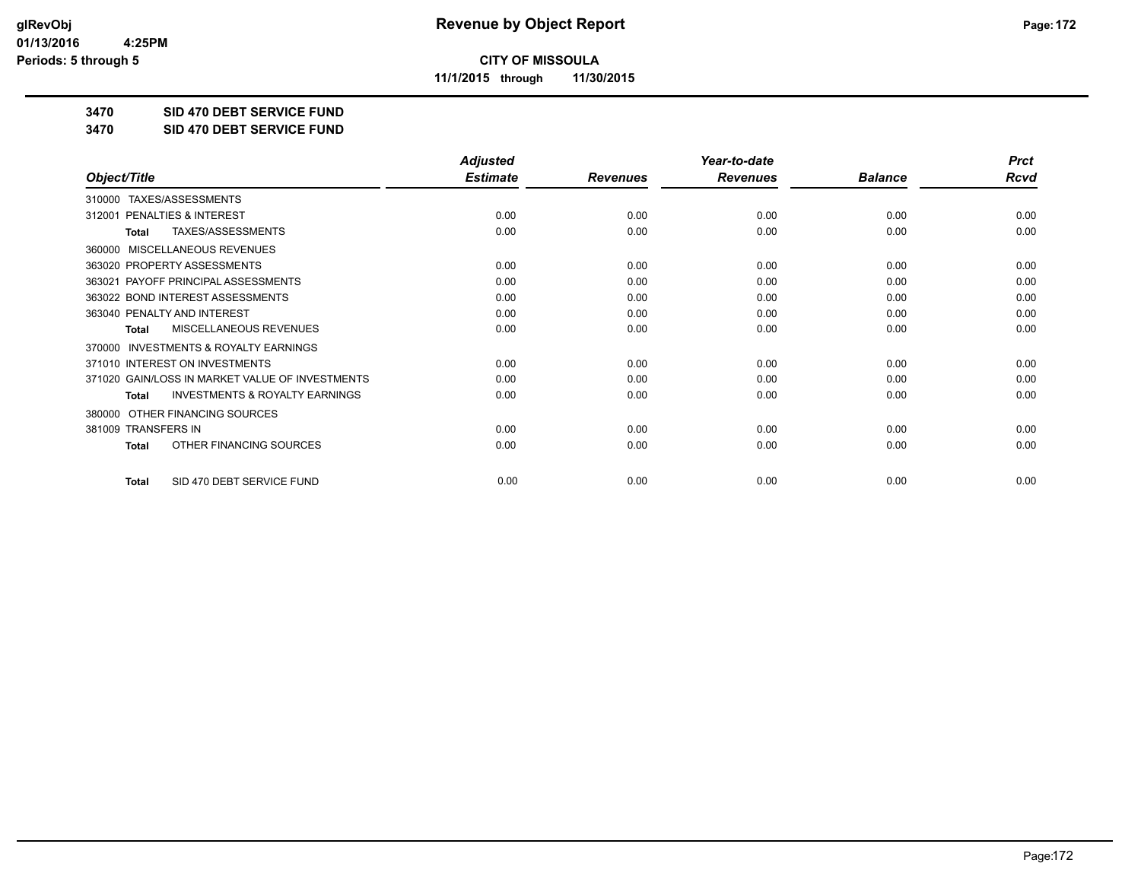**11/1/2015 through 11/30/2015**

**3470 SID 470 DEBT SERVICE FUND**

**3470 SID 470 DEBT SERVICE FUND**

|                                                     | <b>Adjusted</b> |                 | Year-to-date    |                | <b>Prct</b> |
|-----------------------------------------------------|-----------------|-----------------|-----------------|----------------|-------------|
| Object/Title                                        | <b>Estimate</b> | <b>Revenues</b> | <b>Revenues</b> | <b>Balance</b> | <b>Rcvd</b> |
| TAXES/ASSESSMENTS<br>310000                         |                 |                 |                 |                |             |
| PENALTIES & INTEREST<br>312001                      | 0.00            | 0.00            | 0.00            | 0.00           | 0.00        |
| TAXES/ASSESSMENTS<br>Total                          | 0.00            | 0.00            | 0.00            | 0.00           | 0.00        |
| MISCELLANEOUS REVENUES<br>360000                    |                 |                 |                 |                |             |
| 363020 PROPERTY ASSESSMENTS                         | 0.00            | 0.00            | 0.00            | 0.00           | 0.00        |
| PAYOFF PRINCIPAL ASSESSMENTS<br>363021              | 0.00            | 0.00            | 0.00            | 0.00           | 0.00        |
| 363022 BOND INTEREST ASSESSMENTS                    | 0.00            | 0.00            | 0.00            | 0.00           | 0.00        |
| 363040 PENALTY AND INTEREST                         | 0.00            | 0.00            | 0.00            | 0.00           | 0.00        |
| MISCELLANEOUS REVENUES<br>Total                     | 0.00            | 0.00            | 0.00            | 0.00           | 0.00        |
| <b>INVESTMENTS &amp; ROYALTY EARNINGS</b><br>370000 |                 |                 |                 |                |             |
| 371010 INTEREST ON INVESTMENTS                      | 0.00            | 0.00            | 0.00            | 0.00           | 0.00        |
| 371020 GAIN/LOSS IN MARKET VALUE OF INVESTMENTS     | 0.00            | 0.00            | 0.00            | 0.00           | 0.00        |
| <b>INVESTMENTS &amp; ROYALTY EARNINGS</b><br>Total  | 0.00            | 0.00            | 0.00            | 0.00           | 0.00        |
| OTHER FINANCING SOURCES<br>380000                   |                 |                 |                 |                |             |
| 381009 TRANSFERS IN                                 | 0.00            | 0.00            | 0.00            | 0.00           | 0.00        |
| OTHER FINANCING SOURCES<br><b>Total</b>             | 0.00            | 0.00            | 0.00            | 0.00           | 0.00        |
| SID 470 DEBT SERVICE FUND<br><b>Total</b>           | 0.00            | 0.00            | 0.00            | 0.00           | 0.00        |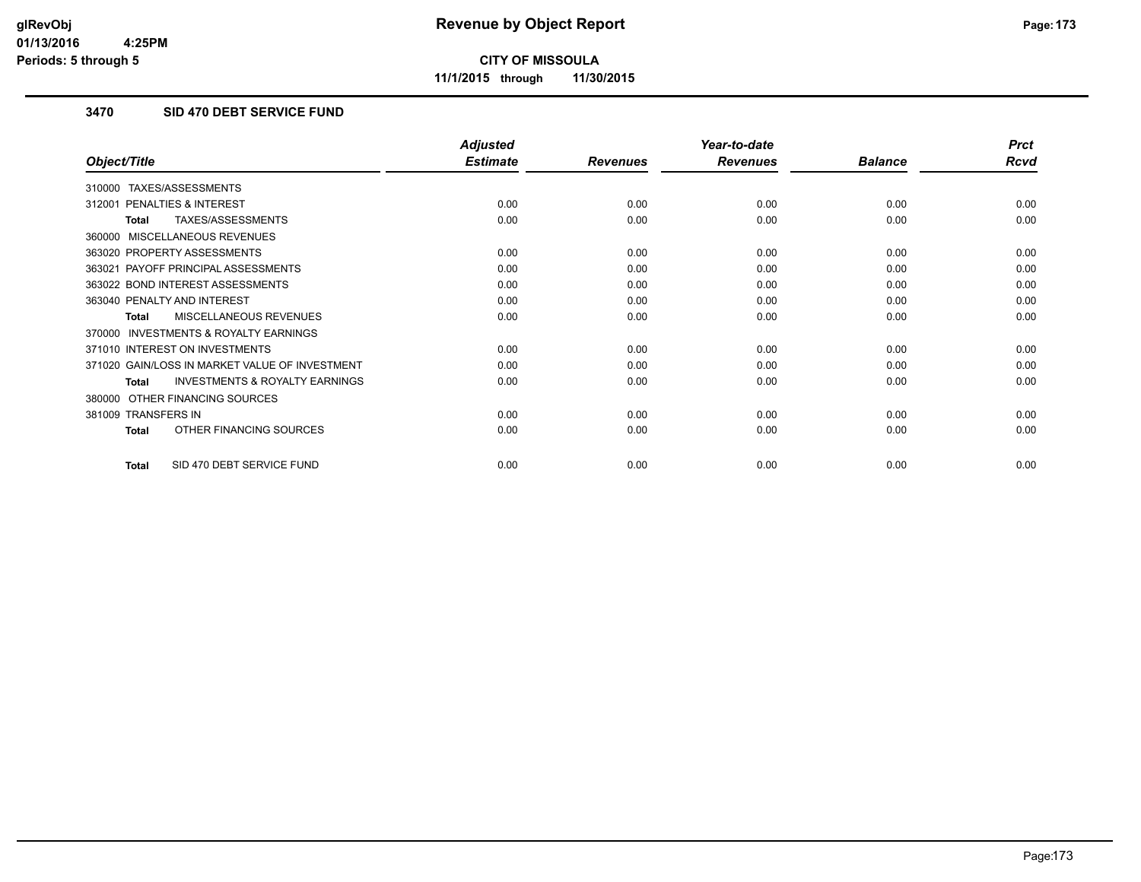**11/1/2015 through 11/30/2015**

### **3470 SID 470 DEBT SERVICE FUND**

|                                                           | <b>Adjusted</b> |                 | Year-to-date    |                | <b>Prct</b> |
|-----------------------------------------------------------|-----------------|-----------------|-----------------|----------------|-------------|
| Object/Title                                              | <b>Estimate</b> | <b>Revenues</b> | <b>Revenues</b> | <b>Balance</b> | <b>Rcvd</b> |
| TAXES/ASSESSMENTS<br>310000                               |                 |                 |                 |                |             |
| <b>PENALTIES &amp; INTEREST</b><br>312001                 | 0.00            | 0.00            | 0.00            | 0.00           | 0.00        |
| TAXES/ASSESSMENTS<br><b>Total</b>                         | 0.00            | 0.00            | 0.00            | 0.00           | 0.00        |
| MISCELLANEOUS REVENUES<br>360000                          |                 |                 |                 |                |             |
| 363020 PROPERTY ASSESSMENTS                               | 0.00            | 0.00            | 0.00            | 0.00           | 0.00        |
| 363021 PAYOFF PRINCIPAL ASSESSMENTS                       | 0.00            | 0.00            | 0.00            | 0.00           | 0.00        |
| 363022 BOND INTEREST ASSESSMENTS                          | 0.00            | 0.00            | 0.00            | 0.00           | 0.00        |
| 363040 PENALTY AND INTEREST                               | 0.00            | 0.00            | 0.00            | 0.00           | 0.00        |
| <b>MISCELLANEOUS REVENUES</b><br><b>Total</b>             | 0.00            | 0.00            | 0.00            | 0.00           | 0.00        |
| <b>INVESTMENTS &amp; ROYALTY EARNINGS</b><br>370000       |                 |                 |                 |                |             |
| 371010 INTEREST ON INVESTMENTS                            | 0.00            | 0.00            | 0.00            | 0.00           | 0.00        |
| 371020 GAIN/LOSS IN MARKET VALUE OF INVESTMENT            | 0.00            | 0.00            | 0.00            | 0.00           | 0.00        |
| <b>INVESTMENTS &amp; ROYALTY EARNINGS</b><br><b>Total</b> | 0.00            | 0.00            | 0.00            | 0.00           | 0.00        |
| OTHER FINANCING SOURCES<br>380000                         |                 |                 |                 |                |             |
| 381009 TRANSFERS IN                                       | 0.00            | 0.00            | 0.00            | 0.00           | 0.00        |
| OTHER FINANCING SOURCES<br><b>Total</b>                   | 0.00            | 0.00            | 0.00            | 0.00           | 0.00        |
| SID 470 DEBT SERVICE FUND<br>Total                        | 0.00            | 0.00            | 0.00            | 0.00           | 0.00        |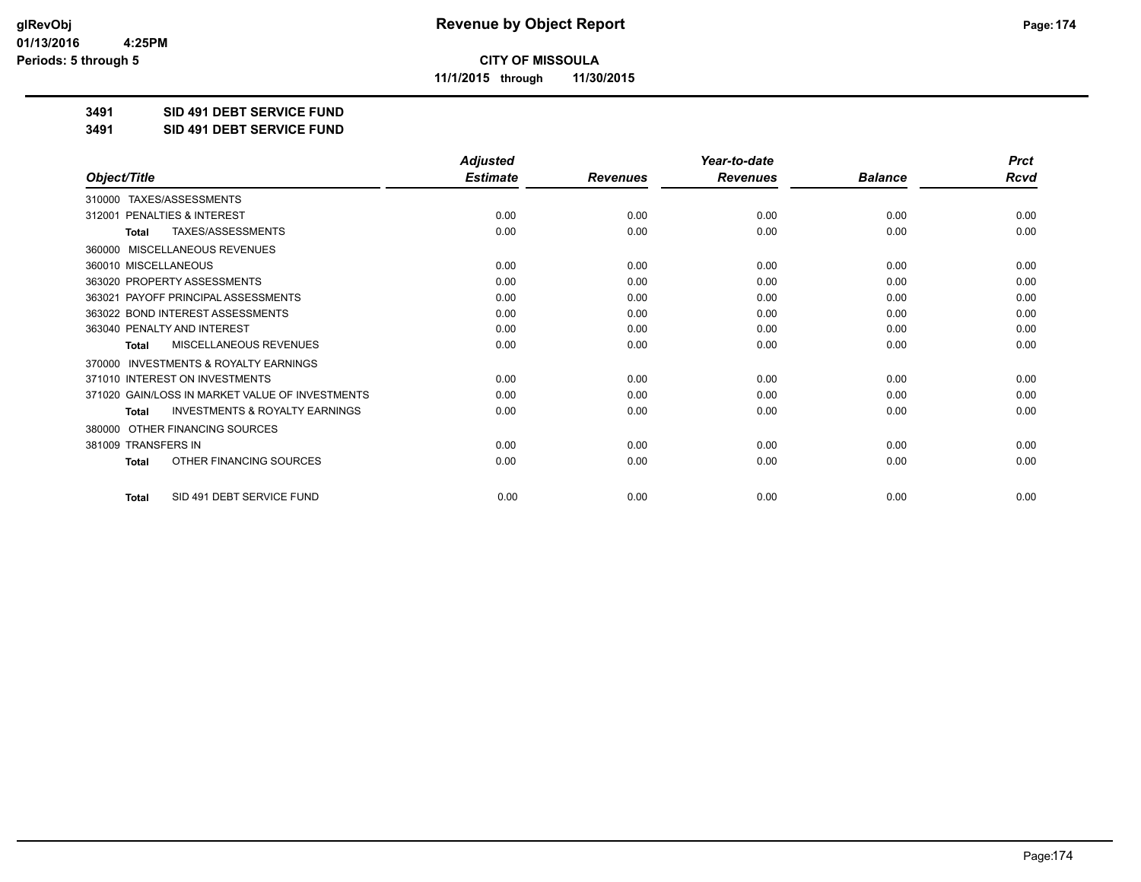**11/1/2015 through 11/30/2015**

**3491 SID 491 DEBT SERVICE FUND**

**3491 SID 491 DEBT SERVICE FUND**

|                                                     | <b>Adjusted</b> |                 | Year-to-date    |                | <b>Prct</b> |
|-----------------------------------------------------|-----------------|-----------------|-----------------|----------------|-------------|
| Object/Title                                        | <b>Estimate</b> | <b>Revenues</b> | <b>Revenues</b> | <b>Balance</b> | <b>Rcvd</b> |
| 310000 TAXES/ASSESSMENTS                            |                 |                 |                 |                |             |
| <b>PENALTIES &amp; INTEREST</b><br>312001           | 0.00            | 0.00            | 0.00            | 0.00           | 0.00        |
| TAXES/ASSESSMENTS<br><b>Total</b>                   | 0.00            | 0.00            | 0.00            | 0.00           | 0.00        |
| MISCELLANEOUS REVENUES<br>360000                    |                 |                 |                 |                |             |
| 360010 MISCELLANEOUS                                | 0.00            | 0.00            | 0.00            | 0.00           | 0.00        |
| 363020 PROPERTY ASSESSMENTS                         | 0.00            | 0.00            | 0.00            | 0.00           | 0.00        |
| 363021 PAYOFF PRINCIPAL ASSESSMENTS                 | 0.00            | 0.00            | 0.00            | 0.00           | 0.00        |
| 363022 BOND INTEREST ASSESSMENTS                    | 0.00            | 0.00            | 0.00            | 0.00           | 0.00        |
| 363040 PENALTY AND INTEREST                         | 0.00            | 0.00            | 0.00            | 0.00           | 0.00        |
| MISCELLANEOUS REVENUES<br><b>Total</b>              | 0.00            | 0.00            | 0.00            | 0.00           | 0.00        |
| <b>INVESTMENTS &amp; ROYALTY EARNINGS</b><br>370000 |                 |                 |                 |                |             |
| 371010 INTEREST ON INVESTMENTS                      | 0.00            | 0.00            | 0.00            | 0.00           | 0.00        |
| 371020 GAIN/LOSS IN MARKET VALUE OF INVESTMENTS     | 0.00            | 0.00            | 0.00            | 0.00           | 0.00        |
| <b>INVESTMENTS &amp; ROYALTY EARNINGS</b><br>Total  | 0.00            | 0.00            | 0.00            | 0.00           | 0.00        |
| OTHER FINANCING SOURCES<br>380000                   |                 |                 |                 |                |             |
| 381009 TRANSFERS IN                                 | 0.00            | 0.00            | 0.00            | 0.00           | 0.00        |
| OTHER FINANCING SOURCES<br>Total                    | 0.00            | 0.00            | 0.00            | 0.00           | 0.00        |
| SID 491 DEBT SERVICE FUND<br><b>Total</b>           | 0.00            | 0.00            | 0.00            | 0.00           | 0.00        |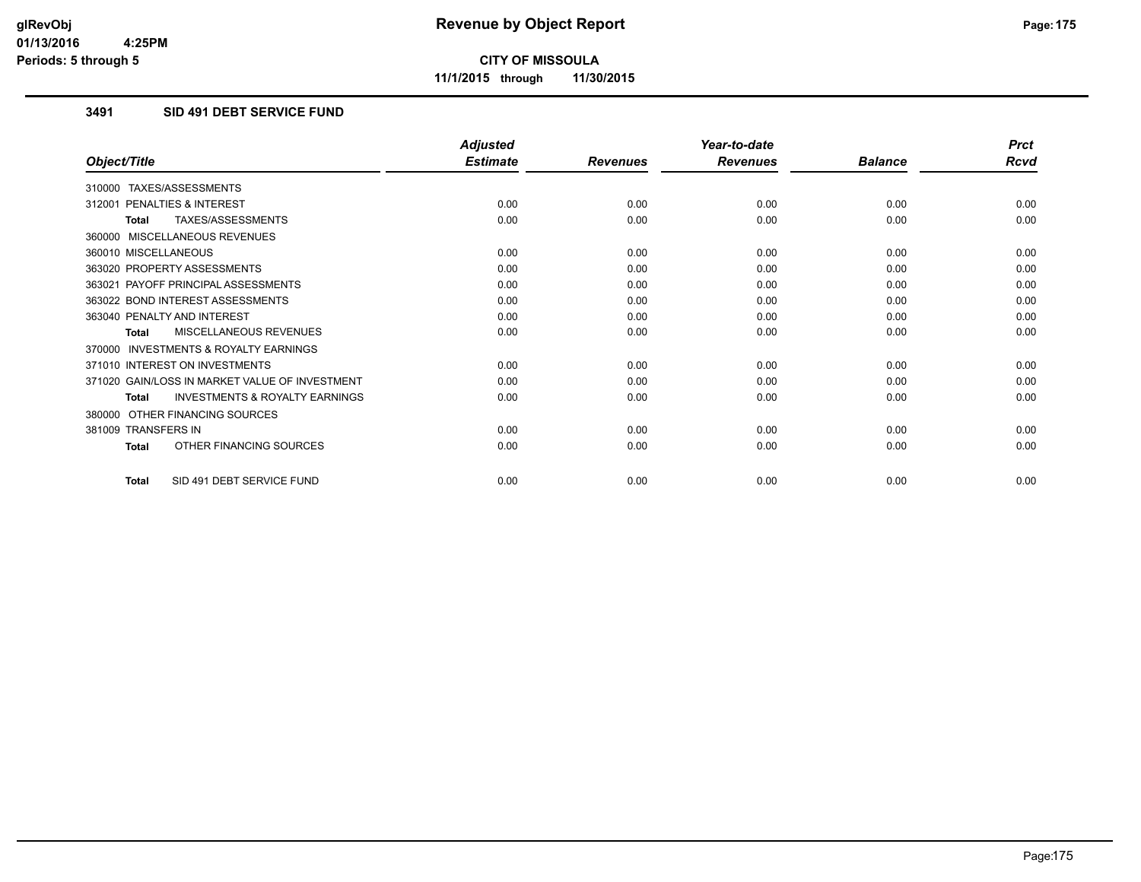**11/1/2015 through 11/30/2015**

### **3491 SID 491 DEBT SERVICE FUND**

|                                                           | <b>Adjusted</b> |                 | Year-to-date    |                | <b>Prct</b> |
|-----------------------------------------------------------|-----------------|-----------------|-----------------|----------------|-------------|
| Object/Title                                              | <b>Estimate</b> | <b>Revenues</b> | <b>Revenues</b> | <b>Balance</b> | <b>Rcvd</b> |
| 310000 TAXES/ASSESSMENTS                                  |                 |                 |                 |                |             |
| PENALTIES & INTEREST<br>312001                            | 0.00            | 0.00            | 0.00            | 0.00           | 0.00        |
| TAXES/ASSESSMENTS<br><b>Total</b>                         | 0.00            | 0.00            | 0.00            | 0.00           | 0.00        |
| 360000 MISCELLANEOUS REVENUES                             |                 |                 |                 |                |             |
| 360010 MISCELLANEOUS                                      | 0.00            | 0.00            | 0.00            | 0.00           | 0.00        |
| 363020 PROPERTY ASSESSMENTS                               | 0.00            | 0.00            | 0.00            | 0.00           | 0.00        |
| 363021 PAYOFF PRINCIPAL ASSESSMENTS                       | 0.00            | 0.00            | 0.00            | 0.00           | 0.00        |
| 363022 BOND INTEREST ASSESSMENTS                          | 0.00            | 0.00            | 0.00            | 0.00           | 0.00        |
| 363040 PENALTY AND INTEREST                               | 0.00            | 0.00            | 0.00            | 0.00           | 0.00        |
| MISCELLANEOUS REVENUES<br><b>Total</b>                    | 0.00            | 0.00            | 0.00            | 0.00           | 0.00        |
| <b>INVESTMENTS &amp; ROYALTY EARNINGS</b><br>370000       |                 |                 |                 |                |             |
| 371010 INTEREST ON INVESTMENTS                            | 0.00            | 0.00            | 0.00            | 0.00           | 0.00        |
| 371020 GAIN/LOSS IN MARKET VALUE OF INVESTMENT            | 0.00            | 0.00            | 0.00            | 0.00           | 0.00        |
| <b>INVESTMENTS &amp; ROYALTY EARNINGS</b><br><b>Total</b> | 0.00            | 0.00            | 0.00            | 0.00           | 0.00        |
| OTHER FINANCING SOURCES<br>380000                         |                 |                 |                 |                |             |
| 381009 TRANSFERS IN                                       | 0.00            | 0.00            | 0.00            | 0.00           | 0.00        |
| OTHER FINANCING SOURCES<br><b>Total</b>                   | 0.00            | 0.00            | 0.00            | 0.00           | 0.00        |
| SID 491 DEBT SERVICE FUND<br><b>Total</b>                 | 0.00            | 0.00            | 0.00            | 0.00           | 0.00        |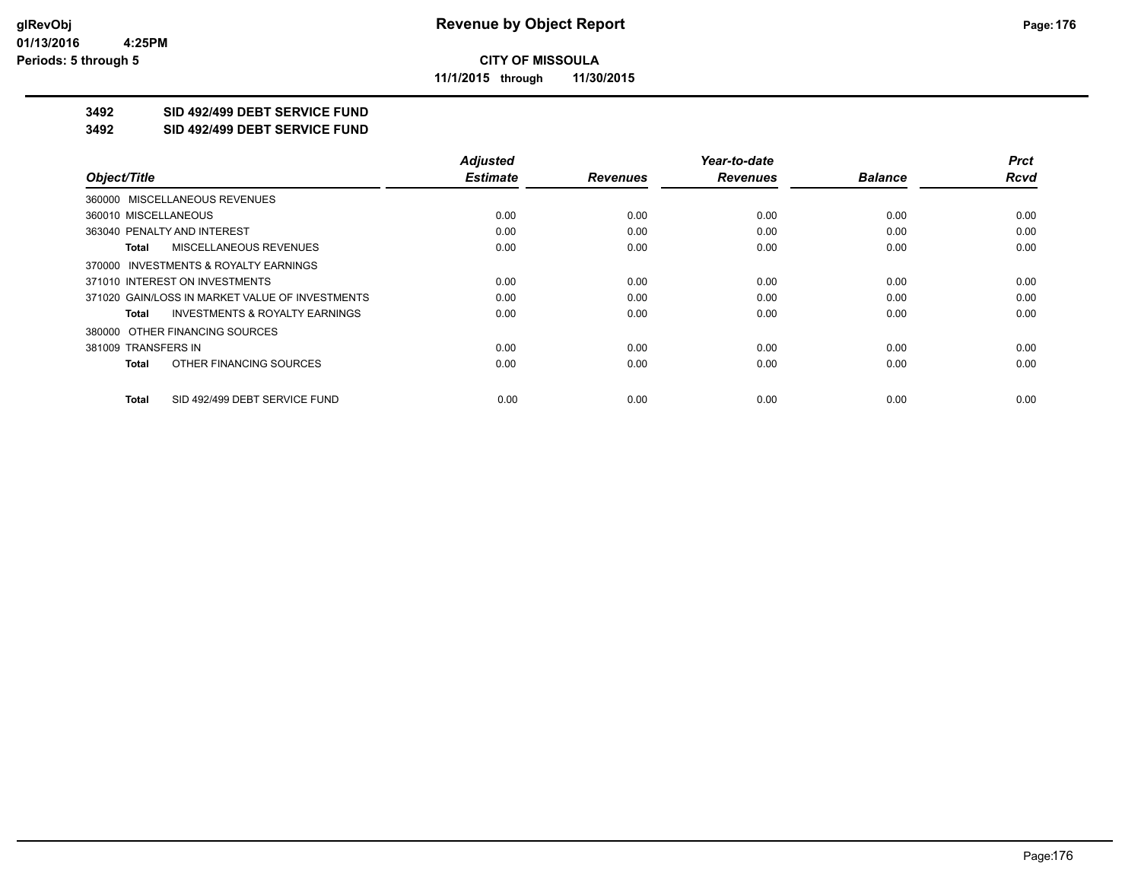**11/1/2015 through 11/30/2015**

## **3492 SID 492/499 DEBT SERVICE FUND**

**3492 SID 492/499 DEBT SERVICE FUND**

|                                                    | <b>Adjusted</b> |                 | Year-to-date    |                | <b>Prct</b> |
|----------------------------------------------------|-----------------|-----------------|-----------------|----------------|-------------|
| Object/Title                                       | <b>Estimate</b> | <b>Revenues</b> | <b>Revenues</b> | <b>Balance</b> | <b>Rcvd</b> |
| 360000 MISCELLANEOUS REVENUES                      |                 |                 |                 |                |             |
| 360010 MISCELLANEOUS                               | 0.00            | 0.00            | 0.00            | 0.00           | 0.00        |
| 363040 PENALTY AND INTEREST                        | 0.00            | 0.00            | 0.00            | 0.00           | 0.00        |
| <b>MISCELLANEOUS REVENUES</b><br>Total             | 0.00            | 0.00            | 0.00            | 0.00           | 0.00        |
| 370000 INVESTMENTS & ROYALTY EARNINGS              |                 |                 |                 |                |             |
| 371010 INTEREST ON INVESTMENTS                     | 0.00            | 0.00            | 0.00            | 0.00           | 0.00        |
| 371020 GAIN/LOSS IN MARKET VALUE OF INVESTMENTS    | 0.00            | 0.00            | 0.00            | 0.00           | 0.00        |
| <b>INVESTMENTS &amp; ROYALTY EARNINGS</b><br>Total | 0.00            | 0.00            | 0.00            | 0.00           | 0.00        |
| 380000 OTHER FINANCING SOURCES                     |                 |                 |                 |                |             |
| 381009 TRANSFERS IN                                | 0.00            | 0.00            | 0.00            | 0.00           | 0.00        |
| OTHER FINANCING SOURCES<br>Total                   | 0.00            | 0.00            | 0.00            | 0.00           | 0.00        |
| SID 492/499 DEBT SERVICE FUND<br>Total             | 0.00            | 0.00            | 0.00            | 0.00           | 0.00        |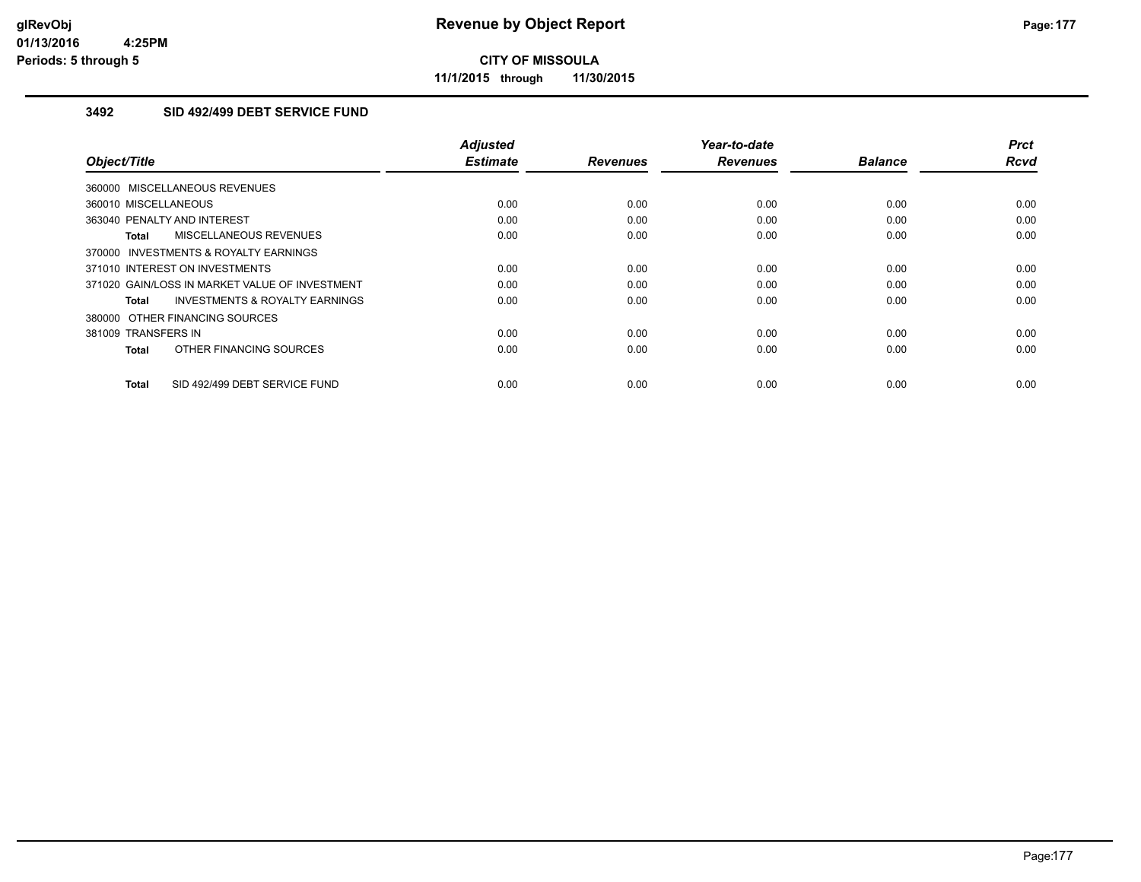**11/1/2015 through 11/30/2015**

### **3492 SID 492/499 DEBT SERVICE FUND**

| Object/Title                                              | <b>Adjusted</b><br><b>Estimate</b> | <b>Revenues</b> | Year-to-date<br><b>Revenues</b> | <b>Balance</b> | <b>Prct</b><br><b>Rcvd</b> |
|-----------------------------------------------------------|------------------------------------|-----------------|---------------------------------|----------------|----------------------------|
| 360000 MISCELLANEOUS REVENUES                             |                                    |                 |                                 |                |                            |
| 360010 MISCELLANEOUS                                      | 0.00                               | 0.00            | 0.00                            | 0.00           | 0.00                       |
| 363040 PENALTY AND INTEREST                               | 0.00                               | 0.00            | 0.00                            | 0.00           | 0.00                       |
| MISCELLANEOUS REVENUES<br><b>Total</b>                    | 0.00                               | 0.00            | 0.00                            | 0.00           | 0.00                       |
| 370000 INVESTMENTS & ROYALTY EARNINGS                     |                                    |                 |                                 |                |                            |
| 371010 INTEREST ON INVESTMENTS                            | 0.00                               | 0.00            | 0.00                            | 0.00           | 0.00                       |
| 371020 GAIN/LOSS IN MARKET VALUE OF INVESTMENT            | 0.00                               | 0.00            | 0.00                            | 0.00           | 0.00                       |
| <b>INVESTMENTS &amp; ROYALTY EARNINGS</b><br><b>Total</b> | 0.00                               | 0.00            | 0.00                            | 0.00           | 0.00                       |
| 380000 OTHER FINANCING SOURCES                            |                                    |                 |                                 |                |                            |
| 381009 TRANSFERS IN                                       | 0.00                               | 0.00            | 0.00                            | 0.00           | 0.00                       |
| OTHER FINANCING SOURCES<br><b>Total</b>                   | 0.00                               | 0.00            | 0.00                            | 0.00           | 0.00                       |
| SID 492/499 DEBT SERVICE FUND<br><b>Total</b>             | 0.00                               | 0.00            | 0.00                            | 0.00           | 0.00                       |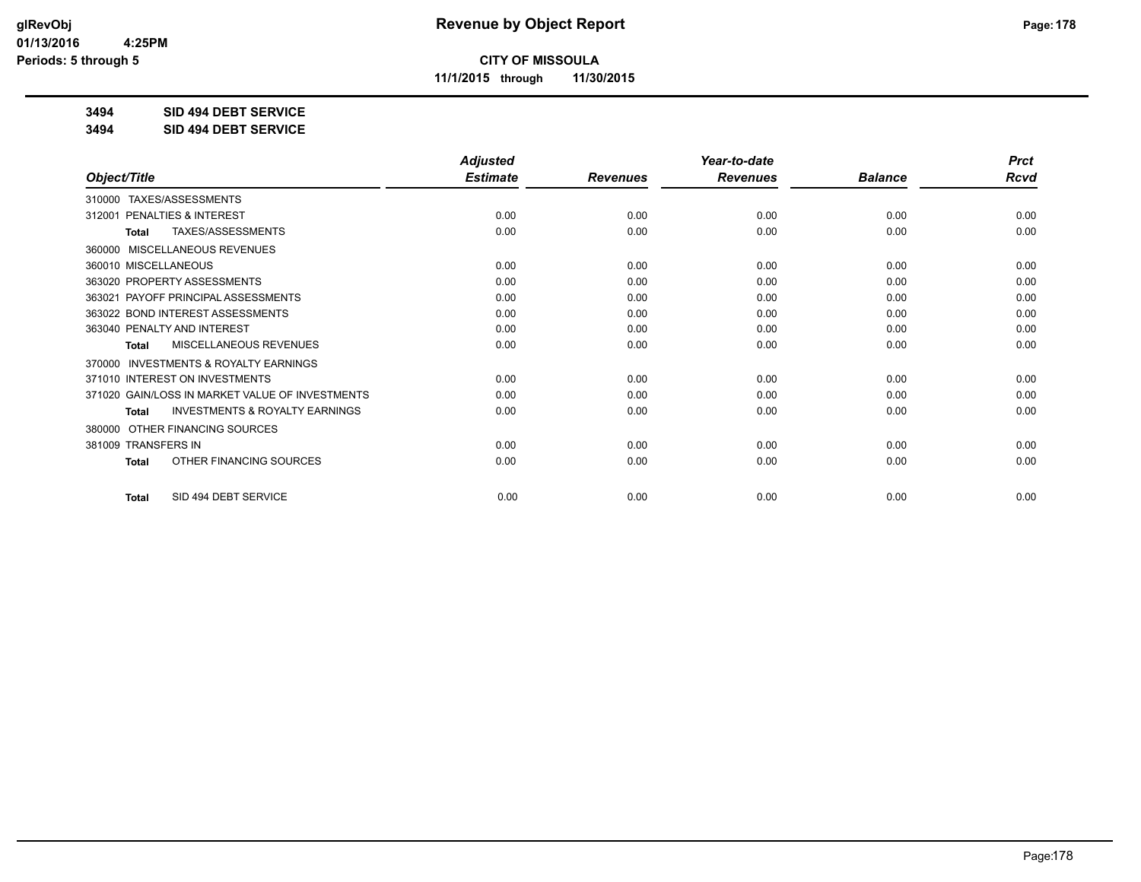**11/1/2015 through 11/30/2015**

**3494 SID 494 DEBT SERVICE**

**3494 SID 494 DEBT SERVICE**

|                                                           | <b>Adjusted</b> |                 | Year-to-date    |                | <b>Prct</b> |
|-----------------------------------------------------------|-----------------|-----------------|-----------------|----------------|-------------|
| Object/Title                                              | <b>Estimate</b> | <b>Revenues</b> | <b>Revenues</b> | <b>Balance</b> | <b>Rcvd</b> |
| TAXES/ASSESSMENTS<br>310000                               |                 |                 |                 |                |             |
| PENALTIES & INTEREST<br>312001                            | 0.00            | 0.00            | 0.00            | 0.00           | 0.00        |
| TAXES/ASSESSMENTS<br><b>Total</b>                         | 0.00            | 0.00            | 0.00            | 0.00           | 0.00        |
| MISCELLANEOUS REVENUES<br>360000                          |                 |                 |                 |                |             |
| 360010 MISCELLANEOUS                                      | 0.00            | 0.00            | 0.00            | 0.00           | 0.00        |
| 363020 PROPERTY ASSESSMENTS                               | 0.00            | 0.00            | 0.00            | 0.00           | 0.00        |
| 363021 PAYOFF PRINCIPAL ASSESSMENTS                       | 0.00            | 0.00            | 0.00            | 0.00           | 0.00        |
| 363022 BOND INTEREST ASSESSMENTS                          | 0.00            | 0.00            | 0.00            | 0.00           | 0.00        |
| 363040 PENALTY AND INTEREST                               | 0.00            | 0.00            | 0.00            | 0.00           | 0.00        |
| MISCELLANEOUS REVENUES<br>Total                           | 0.00            | 0.00            | 0.00            | 0.00           | 0.00        |
| <b>INVESTMENTS &amp; ROYALTY EARNINGS</b><br>370000       |                 |                 |                 |                |             |
| 371010 INTEREST ON INVESTMENTS                            | 0.00            | 0.00            | 0.00            | 0.00           | 0.00        |
| 371020 GAIN/LOSS IN MARKET VALUE OF INVESTMENTS           | 0.00            | 0.00            | 0.00            | 0.00           | 0.00        |
| <b>INVESTMENTS &amp; ROYALTY EARNINGS</b><br><b>Total</b> | 0.00            | 0.00            | 0.00            | 0.00           | 0.00        |
| OTHER FINANCING SOURCES<br>380000                         |                 |                 |                 |                |             |
| <b>TRANSFERS IN</b><br>381009                             | 0.00            | 0.00            | 0.00            | 0.00           | 0.00        |
| OTHER FINANCING SOURCES<br>Total                          | 0.00            | 0.00            | 0.00            | 0.00           | 0.00        |
| SID 494 DEBT SERVICE<br><b>Total</b>                      | 0.00            | 0.00            | 0.00            | 0.00           | 0.00        |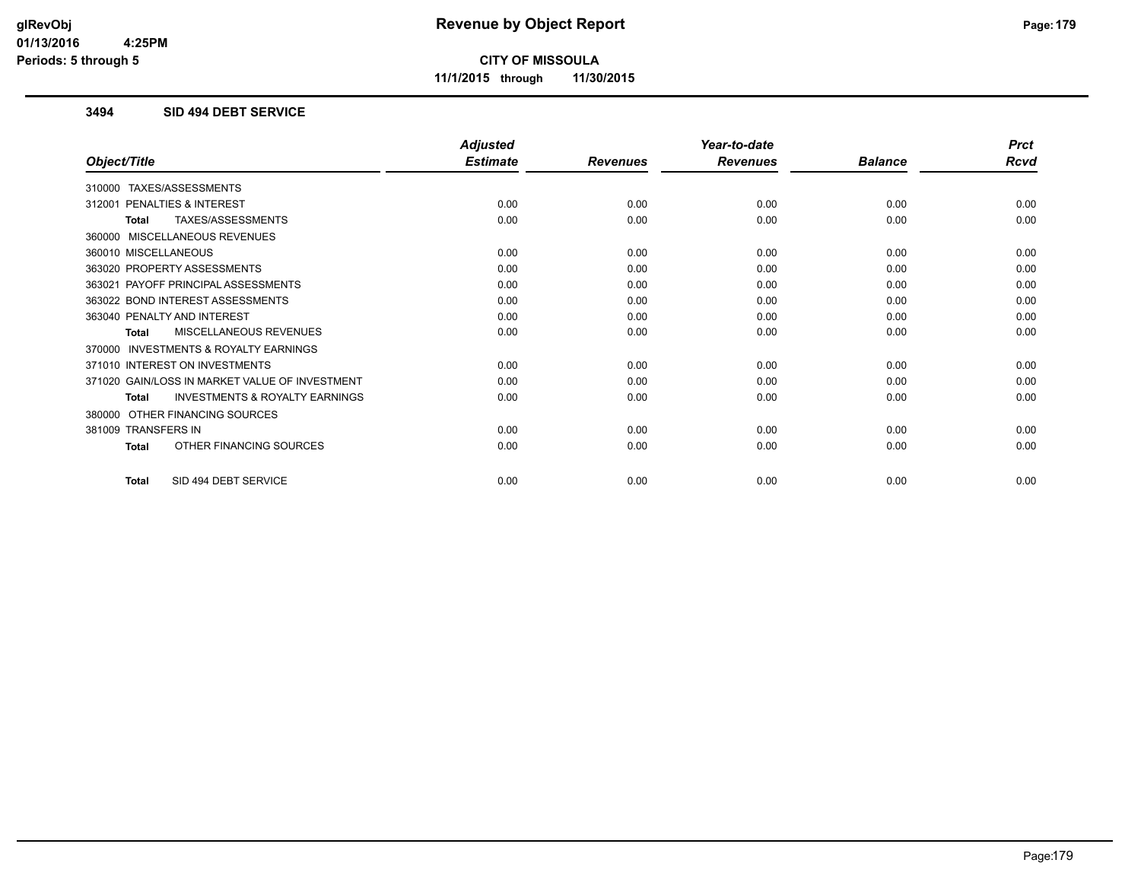**11/1/2015 through 11/30/2015**

#### **3494 SID 494 DEBT SERVICE**

|                                                           | <b>Adjusted</b> |                 | Year-to-date    |                | <b>Prct</b> |
|-----------------------------------------------------------|-----------------|-----------------|-----------------|----------------|-------------|
| Object/Title                                              | <b>Estimate</b> | <b>Revenues</b> | <b>Revenues</b> | <b>Balance</b> | <b>Rcvd</b> |
| 310000 TAXES/ASSESSMENTS                                  |                 |                 |                 |                |             |
| PENALTIES & INTEREST<br>312001                            | 0.00            | 0.00            | 0.00            | 0.00           | 0.00        |
| TAXES/ASSESSMENTS<br><b>Total</b>                         | 0.00            | 0.00            | 0.00            | 0.00           | 0.00        |
| 360000 MISCELLANEOUS REVENUES                             |                 |                 |                 |                |             |
| 360010 MISCELLANEOUS                                      | 0.00            | 0.00            | 0.00            | 0.00           | 0.00        |
| 363020 PROPERTY ASSESSMENTS                               | 0.00            | 0.00            | 0.00            | 0.00           | 0.00        |
| 363021 PAYOFF PRINCIPAL ASSESSMENTS                       | 0.00            | 0.00            | 0.00            | 0.00           | 0.00        |
| 363022 BOND INTEREST ASSESSMENTS                          | 0.00            | 0.00            | 0.00            | 0.00           | 0.00        |
| 363040 PENALTY AND INTEREST                               | 0.00            | 0.00            | 0.00            | 0.00           | 0.00        |
| MISCELLANEOUS REVENUES<br><b>Total</b>                    | 0.00            | 0.00            | 0.00            | 0.00           | 0.00        |
| 370000 INVESTMENTS & ROYALTY EARNINGS                     |                 |                 |                 |                |             |
| 371010 INTEREST ON INVESTMENTS                            | 0.00            | 0.00            | 0.00            | 0.00           | 0.00        |
| 371020 GAIN/LOSS IN MARKET VALUE OF INVESTMENT            | 0.00            | 0.00            | 0.00            | 0.00           | 0.00        |
| <b>INVESTMENTS &amp; ROYALTY EARNINGS</b><br><b>Total</b> | 0.00            | 0.00            | 0.00            | 0.00           | 0.00        |
| 380000 OTHER FINANCING SOURCES                            |                 |                 |                 |                |             |
| 381009 TRANSFERS IN                                       | 0.00            | 0.00            | 0.00            | 0.00           | 0.00        |
| OTHER FINANCING SOURCES<br><b>Total</b>                   | 0.00            | 0.00            | 0.00            | 0.00           | 0.00        |
| SID 494 DEBT SERVICE<br><b>Total</b>                      | 0.00            | 0.00            | 0.00            | 0.00           | 0.00        |
|                                                           |                 |                 |                 |                |             |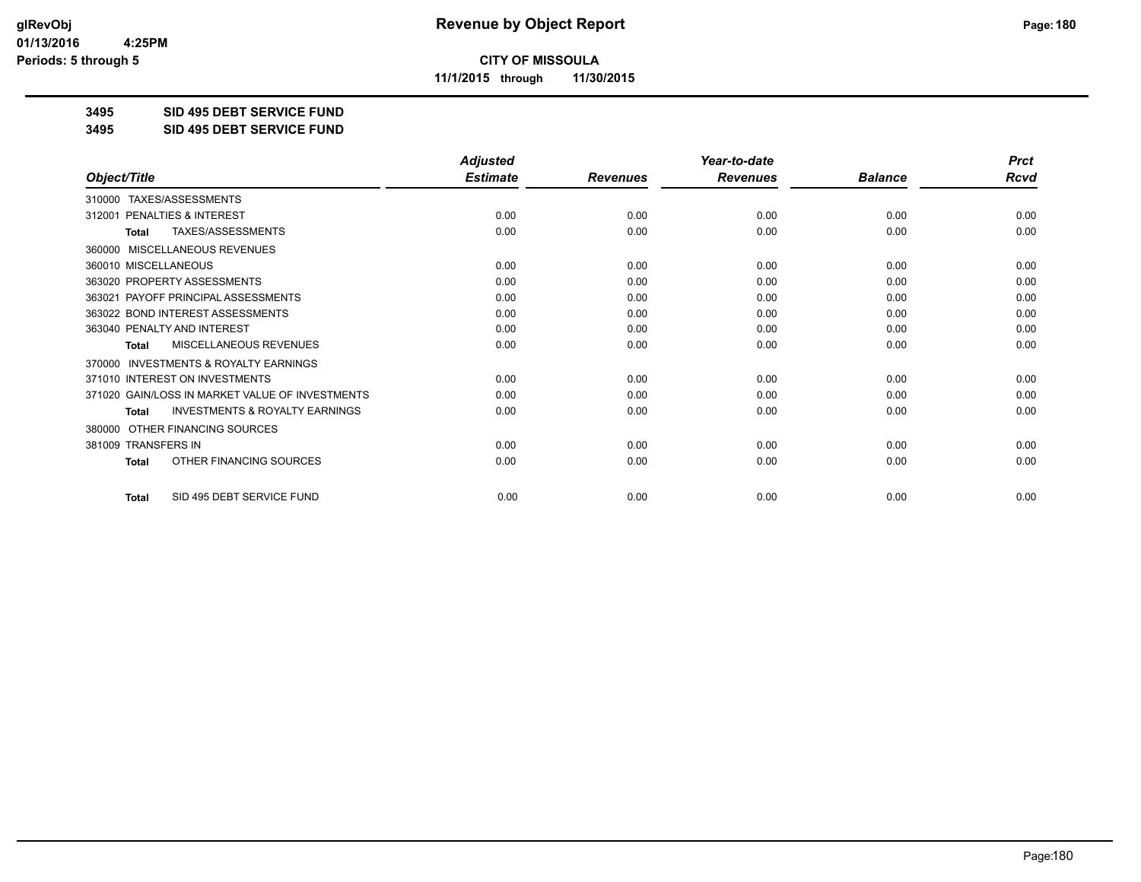**11/1/2015 through 11/30/2015**

**3495 SID 495 DEBT SERVICE FUND**

**3495 SID 495 DEBT SERVICE FUND**

|                                                     | <b>Adjusted</b> |                 | Year-to-date    |                | <b>Prct</b> |
|-----------------------------------------------------|-----------------|-----------------|-----------------|----------------|-------------|
| Object/Title                                        | <b>Estimate</b> | <b>Revenues</b> | <b>Revenues</b> | <b>Balance</b> | <b>Rcvd</b> |
| 310000 TAXES/ASSESSMENTS                            |                 |                 |                 |                |             |
| <b>PENALTIES &amp; INTEREST</b><br>312001           | 0.00            | 0.00            | 0.00            | 0.00           | 0.00        |
| TAXES/ASSESSMENTS<br><b>Total</b>                   | 0.00            | 0.00            | 0.00            | 0.00           | 0.00        |
| MISCELLANEOUS REVENUES<br>360000                    |                 |                 |                 |                |             |
| 360010 MISCELLANEOUS                                | 0.00            | 0.00            | 0.00            | 0.00           | 0.00        |
| 363020 PROPERTY ASSESSMENTS                         | 0.00            | 0.00            | 0.00            | 0.00           | 0.00        |
| 363021 PAYOFF PRINCIPAL ASSESSMENTS                 | 0.00            | 0.00            | 0.00            | 0.00           | 0.00        |
| 363022 BOND INTEREST ASSESSMENTS                    | 0.00            | 0.00            | 0.00            | 0.00           | 0.00        |
| 363040 PENALTY AND INTEREST                         | 0.00            | 0.00            | 0.00            | 0.00           | 0.00        |
| MISCELLANEOUS REVENUES<br><b>Total</b>              | 0.00            | 0.00            | 0.00            | 0.00           | 0.00        |
| <b>INVESTMENTS &amp; ROYALTY EARNINGS</b><br>370000 |                 |                 |                 |                |             |
| 371010 INTEREST ON INVESTMENTS                      | 0.00            | 0.00            | 0.00            | 0.00           | 0.00        |
| 371020 GAIN/LOSS IN MARKET VALUE OF INVESTMENTS     | 0.00            | 0.00            | 0.00            | 0.00           | 0.00        |
| <b>INVESTMENTS &amp; ROYALTY EARNINGS</b><br>Total  | 0.00            | 0.00            | 0.00            | 0.00           | 0.00        |
| OTHER FINANCING SOURCES<br>380000                   |                 |                 |                 |                |             |
| 381009 TRANSFERS IN                                 | 0.00            | 0.00            | 0.00            | 0.00           | 0.00        |
| OTHER FINANCING SOURCES<br>Total                    | 0.00            | 0.00            | 0.00            | 0.00           | 0.00        |
| SID 495 DEBT SERVICE FUND<br><b>Total</b>           | 0.00            | 0.00            | 0.00            | 0.00           | 0.00        |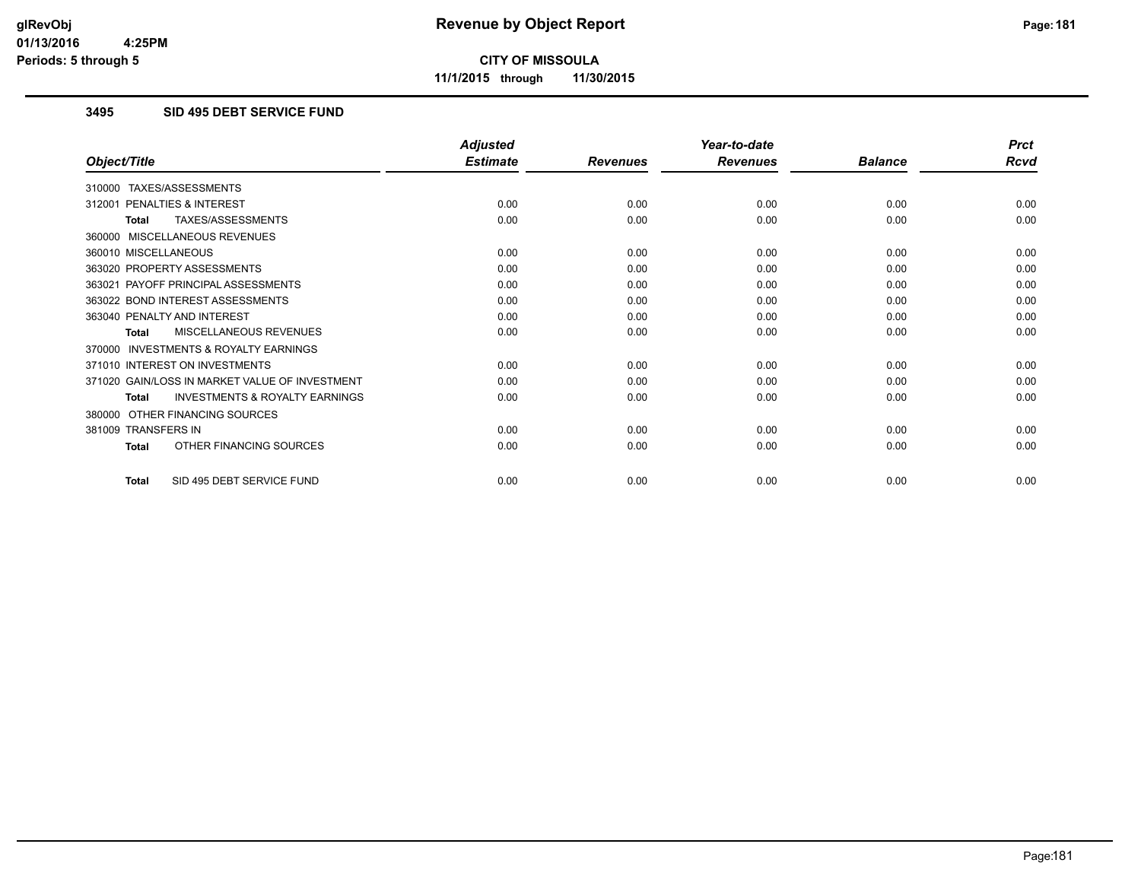**11/1/2015 through 11/30/2015**

### **3495 SID 495 DEBT SERVICE FUND**

|                                                           | <b>Adjusted</b> |                 | Year-to-date    |                | <b>Prct</b> |
|-----------------------------------------------------------|-----------------|-----------------|-----------------|----------------|-------------|
| Object/Title                                              | <b>Estimate</b> | <b>Revenues</b> | <b>Revenues</b> | <b>Balance</b> | <b>Rcvd</b> |
| 310000 TAXES/ASSESSMENTS                                  |                 |                 |                 |                |             |
| PENALTIES & INTEREST<br>312001                            | 0.00            | 0.00            | 0.00            | 0.00           | 0.00        |
| TAXES/ASSESSMENTS<br><b>Total</b>                         | 0.00            | 0.00            | 0.00            | 0.00           | 0.00        |
| 360000 MISCELLANEOUS REVENUES                             |                 |                 |                 |                |             |
| 360010 MISCELLANEOUS                                      | 0.00            | 0.00            | 0.00            | 0.00           | 0.00        |
| 363020 PROPERTY ASSESSMENTS                               | 0.00            | 0.00            | 0.00            | 0.00           | 0.00        |
| 363021 PAYOFF PRINCIPAL ASSESSMENTS                       | 0.00            | 0.00            | 0.00            | 0.00           | 0.00        |
| 363022 BOND INTEREST ASSESSMENTS                          | 0.00            | 0.00            | 0.00            | 0.00           | 0.00        |
| 363040 PENALTY AND INTEREST                               | 0.00            | 0.00            | 0.00            | 0.00           | 0.00        |
| MISCELLANEOUS REVENUES<br><b>Total</b>                    | 0.00            | 0.00            | 0.00            | 0.00           | 0.00        |
| <b>INVESTMENTS &amp; ROYALTY EARNINGS</b><br>370000       |                 |                 |                 |                |             |
| 371010 INTEREST ON INVESTMENTS                            | 0.00            | 0.00            | 0.00            | 0.00           | 0.00        |
| 371020 GAIN/LOSS IN MARKET VALUE OF INVESTMENT            | 0.00            | 0.00            | 0.00            | 0.00           | 0.00        |
| <b>INVESTMENTS &amp; ROYALTY EARNINGS</b><br><b>Total</b> | 0.00            | 0.00            | 0.00            | 0.00           | 0.00        |
| OTHER FINANCING SOURCES<br>380000                         |                 |                 |                 |                |             |
| 381009 TRANSFERS IN                                       | 0.00            | 0.00            | 0.00            | 0.00           | 0.00        |
| OTHER FINANCING SOURCES<br><b>Total</b>                   | 0.00            | 0.00            | 0.00            | 0.00           | 0.00        |
| SID 495 DEBT SERVICE FUND<br><b>Total</b>                 | 0.00            | 0.00            | 0.00            | 0.00           | 0.00        |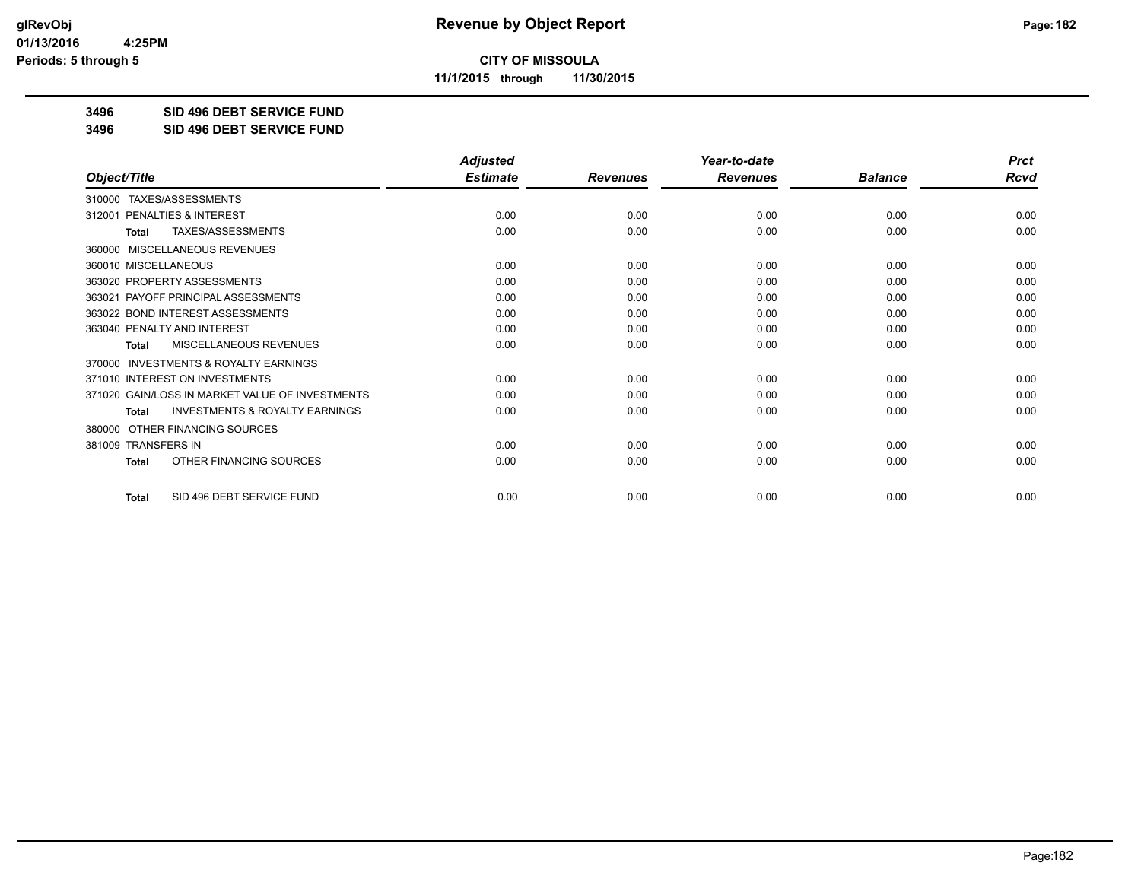**11/1/2015 through 11/30/2015**

**3496 SID 496 DEBT SERVICE FUND**

**3496 SID 496 DEBT SERVICE FUND**

|                                                           | <b>Adjusted</b> |                 | Year-to-date    |                | <b>Prct</b> |
|-----------------------------------------------------------|-----------------|-----------------|-----------------|----------------|-------------|
| Object/Title                                              | <b>Estimate</b> | <b>Revenues</b> | <b>Revenues</b> | <b>Balance</b> | <b>Rcvd</b> |
| 310000 TAXES/ASSESSMENTS                                  |                 |                 |                 |                |             |
| 312001 PENALTIES & INTEREST                               | 0.00            | 0.00            | 0.00            | 0.00           | 0.00        |
| TAXES/ASSESSMENTS<br><b>Total</b>                         | 0.00            | 0.00            | 0.00            | 0.00           | 0.00        |
| MISCELLANEOUS REVENUES<br>360000                          |                 |                 |                 |                |             |
| 360010 MISCELLANEOUS                                      | 0.00            | 0.00            | 0.00            | 0.00           | 0.00        |
| 363020 PROPERTY ASSESSMENTS                               | 0.00            | 0.00            | 0.00            | 0.00           | 0.00        |
| 363021 PAYOFF PRINCIPAL ASSESSMENTS                       | 0.00            | 0.00            | 0.00            | 0.00           | 0.00        |
| 363022 BOND INTEREST ASSESSMENTS                          | 0.00            | 0.00            | 0.00            | 0.00           | 0.00        |
| 363040 PENALTY AND INTEREST                               | 0.00            | 0.00            | 0.00            | 0.00           | 0.00        |
| MISCELLANEOUS REVENUES<br><b>Total</b>                    | 0.00            | 0.00            | 0.00            | 0.00           | 0.00        |
| <b>INVESTMENTS &amp; ROYALTY EARNINGS</b><br>370000       |                 |                 |                 |                |             |
| 371010 INTEREST ON INVESTMENTS                            | 0.00            | 0.00            | 0.00            | 0.00           | 0.00        |
| 371020 GAIN/LOSS IN MARKET VALUE OF INVESTMENTS           | 0.00            | 0.00            | 0.00            | 0.00           | 0.00        |
| <b>INVESTMENTS &amp; ROYALTY EARNINGS</b><br><b>Total</b> | 0.00            | 0.00            | 0.00            | 0.00           | 0.00        |
| OTHER FINANCING SOURCES<br>380000                         |                 |                 |                 |                |             |
| 381009 TRANSFERS IN                                       | 0.00            | 0.00            | 0.00            | 0.00           | 0.00        |
| OTHER FINANCING SOURCES<br><b>Total</b>                   | 0.00            | 0.00            | 0.00            | 0.00           | 0.00        |
| SID 496 DEBT SERVICE FUND<br><b>Total</b>                 | 0.00            | 0.00            | 0.00            | 0.00           | 0.00        |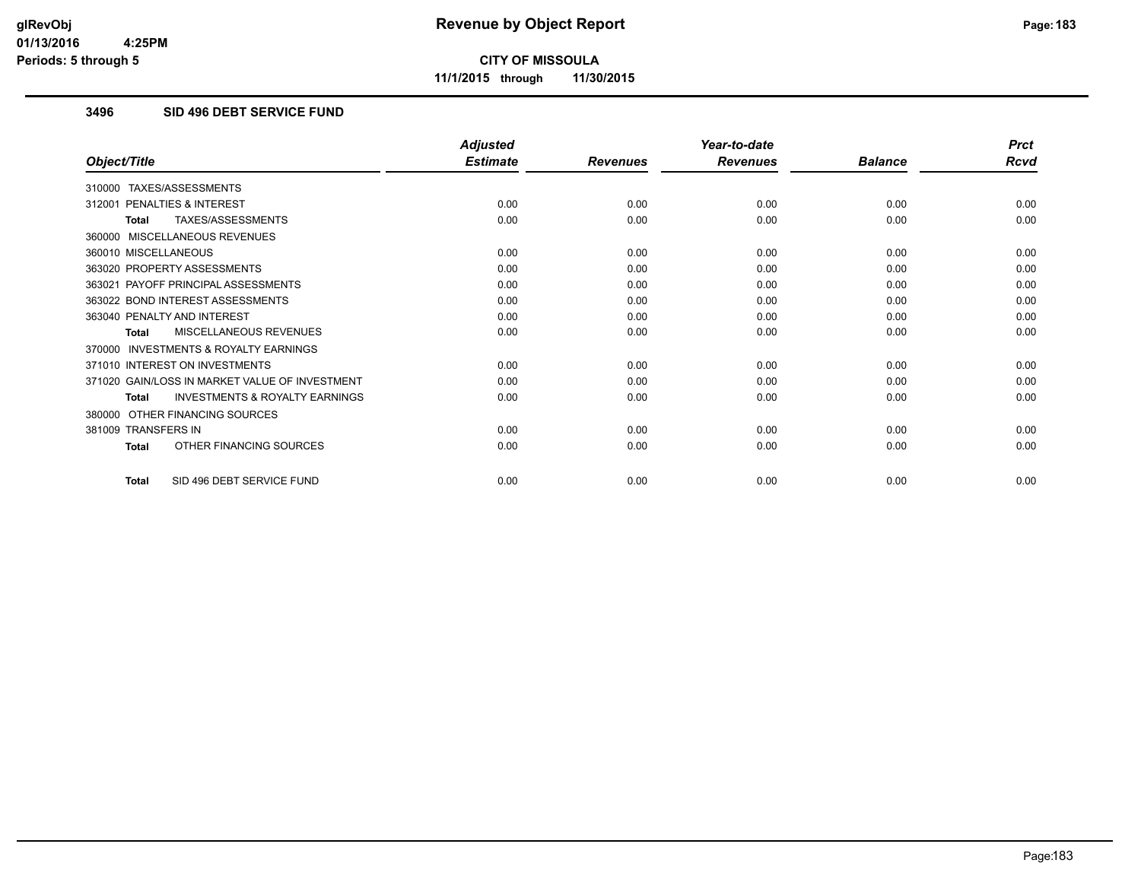**11/1/2015 through 11/30/2015**

#### **3496 SID 496 DEBT SERVICE FUND**

|                                                           | <b>Adjusted</b> |                 | Year-to-date    |                | <b>Prct</b> |
|-----------------------------------------------------------|-----------------|-----------------|-----------------|----------------|-------------|
| Object/Title                                              | <b>Estimate</b> | <b>Revenues</b> | <b>Revenues</b> | <b>Balance</b> | <b>Rcvd</b> |
| 310000 TAXES/ASSESSMENTS                                  |                 |                 |                 |                |             |
| PENALTIES & INTEREST<br>312001                            | 0.00            | 0.00            | 0.00            | 0.00           | 0.00        |
| TAXES/ASSESSMENTS<br><b>Total</b>                         | 0.00            | 0.00            | 0.00            | 0.00           | 0.00        |
| 360000 MISCELLANEOUS REVENUES                             |                 |                 |                 |                |             |
| 360010 MISCELLANEOUS                                      | 0.00            | 0.00            | 0.00            | 0.00           | 0.00        |
| 363020 PROPERTY ASSESSMENTS                               | 0.00            | 0.00            | 0.00            | 0.00           | 0.00        |
| 363021 PAYOFF PRINCIPAL ASSESSMENTS                       | 0.00            | 0.00            | 0.00            | 0.00           | 0.00        |
| 363022 BOND INTEREST ASSESSMENTS                          | 0.00            | 0.00            | 0.00            | 0.00           | 0.00        |
| 363040 PENALTY AND INTEREST                               | 0.00            | 0.00            | 0.00            | 0.00           | 0.00        |
| MISCELLANEOUS REVENUES<br><b>Total</b>                    | 0.00            | 0.00            | 0.00            | 0.00           | 0.00        |
| <b>INVESTMENTS &amp; ROYALTY EARNINGS</b><br>370000       |                 |                 |                 |                |             |
| 371010 INTEREST ON INVESTMENTS                            | 0.00            | 0.00            | 0.00            | 0.00           | 0.00        |
| 371020 GAIN/LOSS IN MARKET VALUE OF INVESTMENT            | 0.00            | 0.00            | 0.00            | 0.00           | 0.00        |
| <b>INVESTMENTS &amp; ROYALTY EARNINGS</b><br><b>Total</b> | 0.00            | 0.00            | 0.00            | 0.00           | 0.00        |
| OTHER FINANCING SOURCES<br>380000                         |                 |                 |                 |                |             |
| 381009 TRANSFERS IN                                       | 0.00            | 0.00            | 0.00            | 0.00           | 0.00        |
| OTHER FINANCING SOURCES<br><b>Total</b>                   | 0.00            | 0.00            | 0.00            | 0.00           | 0.00        |
| SID 496 DEBT SERVICE FUND<br><b>Total</b>                 | 0.00            | 0.00            | 0.00            | 0.00           | 0.00        |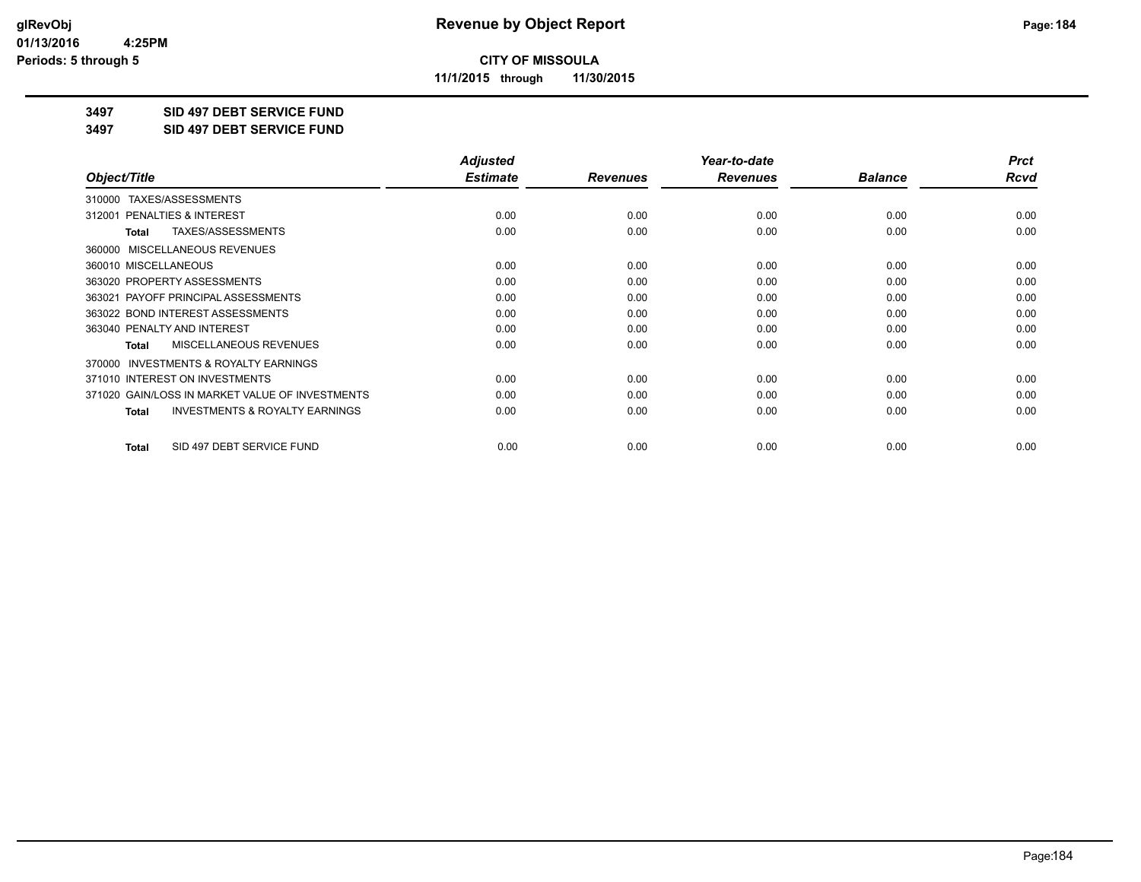**11/1/2015 through 11/30/2015**

**3497 SID 497 DEBT SERVICE FUND**

**3497 SID 497 DEBT SERVICE FUND**

|                                                     | <b>Adjusted</b> |                 | Year-to-date    |                | <b>Prct</b> |
|-----------------------------------------------------|-----------------|-----------------|-----------------|----------------|-------------|
| Object/Title                                        | <b>Estimate</b> | <b>Revenues</b> | <b>Revenues</b> | <b>Balance</b> | Rcvd        |
| TAXES/ASSESSMENTS<br>310000                         |                 |                 |                 |                |             |
| <b>PENALTIES &amp; INTEREST</b><br>312001           | 0.00            | 0.00            | 0.00            | 0.00           | 0.00        |
| TAXES/ASSESSMENTS<br>Total                          | 0.00            | 0.00            | 0.00            | 0.00           | 0.00        |
| 360000 MISCELLANEOUS REVENUES                       |                 |                 |                 |                |             |
| 360010 MISCELLANEOUS                                | 0.00            | 0.00            | 0.00            | 0.00           | 0.00        |
| 363020 PROPERTY ASSESSMENTS                         | 0.00            | 0.00            | 0.00            | 0.00           | 0.00        |
| 363021 PAYOFF PRINCIPAL ASSESSMENTS                 | 0.00            | 0.00            | 0.00            | 0.00           | 0.00        |
| 363022 BOND INTEREST ASSESSMENTS                    | 0.00            | 0.00            | 0.00            | 0.00           | 0.00        |
| 363040 PENALTY AND INTEREST                         | 0.00            | 0.00            | 0.00            | 0.00           | 0.00        |
| <b>MISCELLANEOUS REVENUES</b><br>Total              | 0.00            | 0.00            | 0.00            | 0.00           | 0.00        |
| <b>INVESTMENTS &amp; ROYALTY EARNINGS</b><br>370000 |                 |                 |                 |                |             |
| 371010 INTEREST ON INVESTMENTS                      | 0.00            | 0.00            | 0.00            | 0.00           | 0.00        |
| 371020 GAIN/LOSS IN MARKET VALUE OF INVESTMENTS     | 0.00            | 0.00            | 0.00            | 0.00           | 0.00        |
| <b>INVESTMENTS &amp; ROYALTY EARNINGS</b><br>Total  | 0.00            | 0.00            | 0.00            | 0.00           | 0.00        |
| SID 497 DEBT SERVICE FUND<br><b>Total</b>           | 0.00            | 0.00            | 0.00            | 0.00           | 0.00        |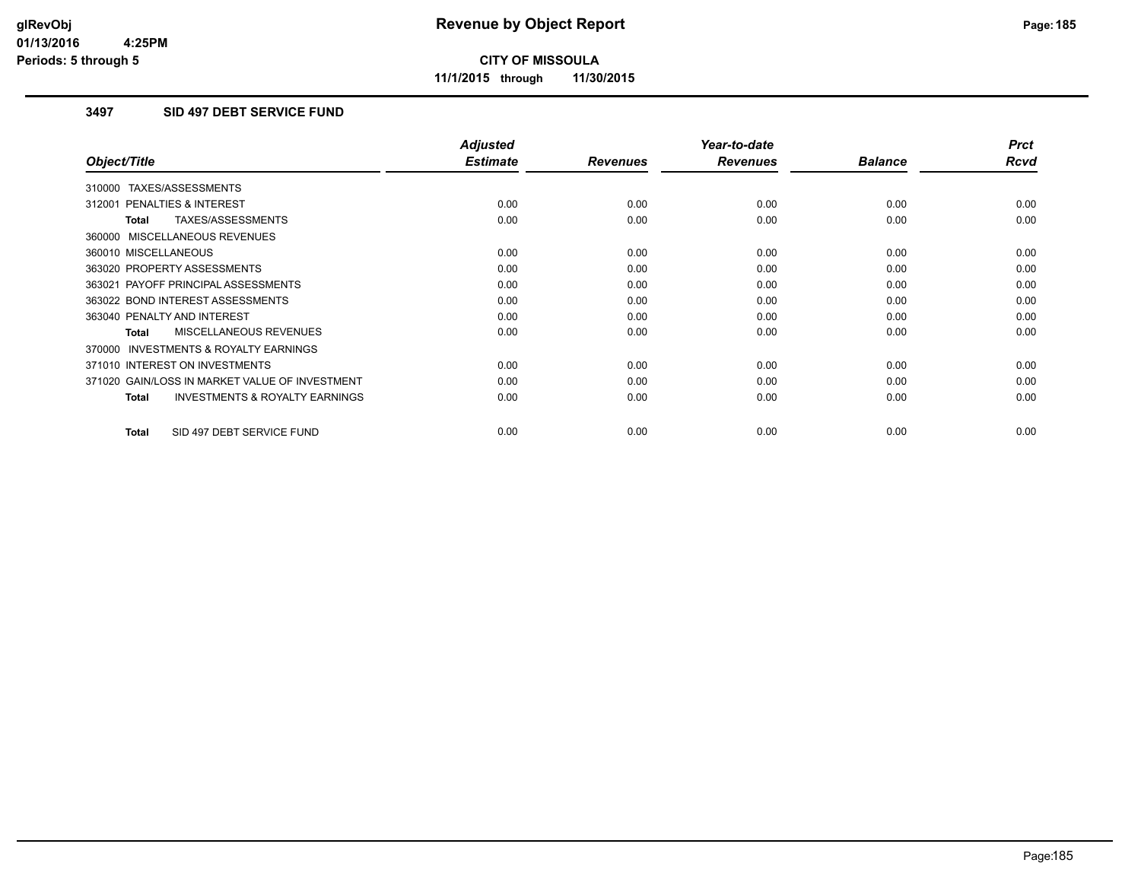**11/1/2015 through 11/30/2015**

#### **3497 SID 497 DEBT SERVICE FUND**

|                                                           | <b>Adjusted</b> |                 | Year-to-date    |                | <b>Prct</b> |
|-----------------------------------------------------------|-----------------|-----------------|-----------------|----------------|-------------|
| Object/Title                                              | <b>Estimate</b> | <b>Revenues</b> | <b>Revenues</b> | <b>Balance</b> | <b>Rcvd</b> |
| 310000 TAXES/ASSESSMENTS                                  |                 |                 |                 |                |             |
| 312001 PENALTIES & INTEREST                               | 0.00            | 0.00            | 0.00            | 0.00           | 0.00        |
| TAXES/ASSESSMENTS<br><b>Total</b>                         | 0.00            | 0.00            | 0.00            | 0.00           | 0.00        |
| 360000 MISCELLANEOUS REVENUES                             |                 |                 |                 |                |             |
| 360010 MISCELLANEOUS                                      | 0.00            | 0.00            | 0.00            | 0.00           | 0.00        |
| 363020 PROPERTY ASSESSMENTS                               | 0.00            | 0.00            | 0.00            | 0.00           | 0.00        |
| 363021 PAYOFF PRINCIPAL ASSESSMENTS                       | 0.00            | 0.00            | 0.00            | 0.00           | 0.00        |
| 363022 BOND INTEREST ASSESSMENTS                          | 0.00            | 0.00            | 0.00            | 0.00           | 0.00        |
| 363040 PENALTY AND INTEREST                               | 0.00            | 0.00            | 0.00            | 0.00           | 0.00        |
| <b>MISCELLANEOUS REVENUES</b><br><b>Total</b>             | 0.00            | 0.00            | 0.00            | 0.00           | 0.00        |
| <b>INVESTMENTS &amp; ROYALTY EARNINGS</b><br>370000       |                 |                 |                 |                |             |
| 371010 INTEREST ON INVESTMENTS                            | 0.00            | 0.00            | 0.00            | 0.00           | 0.00        |
| 371020 GAIN/LOSS IN MARKET VALUE OF INVESTMENT            | 0.00            | 0.00            | 0.00            | 0.00           | 0.00        |
| <b>INVESTMENTS &amp; ROYALTY EARNINGS</b><br><b>Total</b> | 0.00            | 0.00            | 0.00            | 0.00           | 0.00        |
| SID 497 DEBT SERVICE FUND<br><b>Total</b>                 | 0.00            | 0.00            | 0.00            | 0.00           | 0.00        |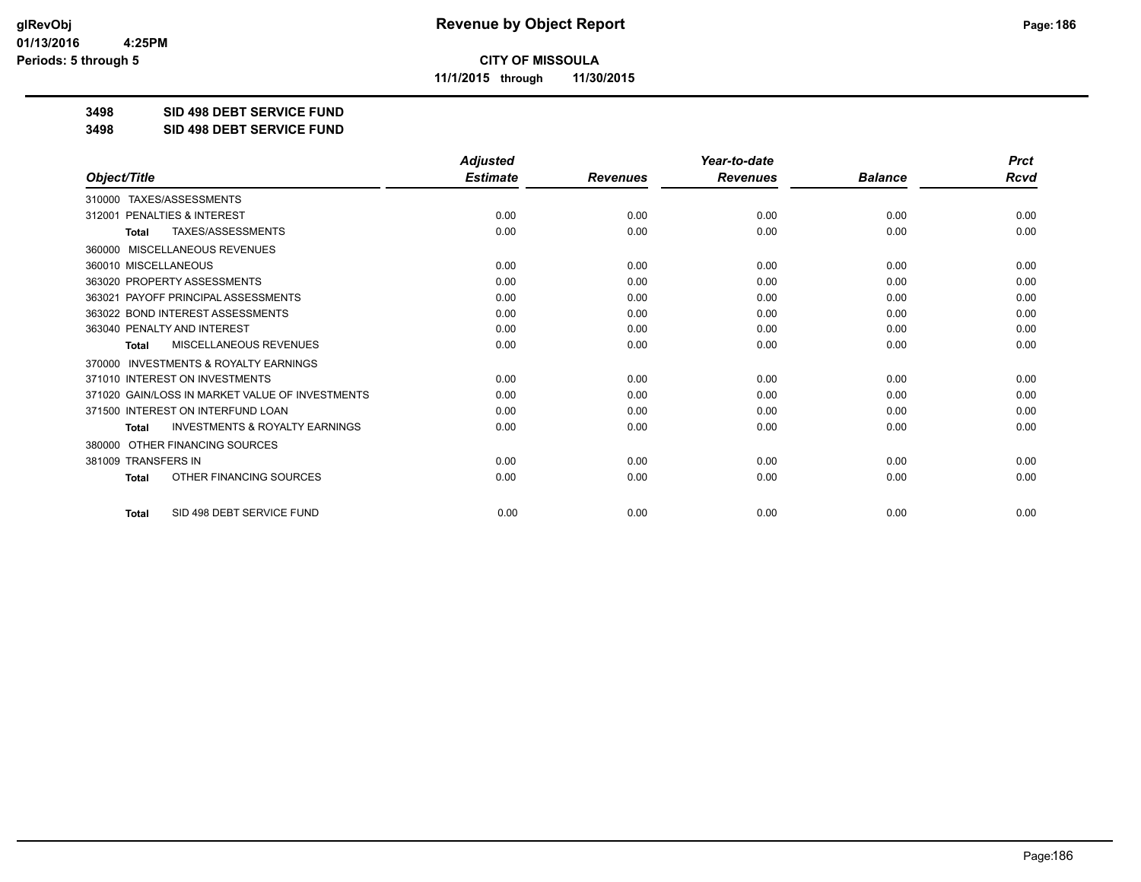**11/1/2015 through 11/30/2015**

**3498 SID 498 DEBT SERVICE FUND**

**3498 SID 498 DEBT SERVICE FUND**

|                                                           | <b>Adjusted</b> |                 | Year-to-date    |                | <b>Prct</b> |
|-----------------------------------------------------------|-----------------|-----------------|-----------------|----------------|-------------|
| Object/Title                                              | <b>Estimate</b> | <b>Revenues</b> | <b>Revenues</b> | <b>Balance</b> | Rcvd        |
| TAXES/ASSESSMENTS<br>310000                               |                 |                 |                 |                |             |
| 312001 PENALTIES & INTEREST                               | 0.00            | 0.00            | 0.00            | 0.00           | 0.00        |
| <b>TAXES/ASSESSMENTS</b><br><b>Total</b>                  | 0.00            | 0.00            | 0.00            | 0.00           | 0.00        |
| MISCELLANEOUS REVENUES<br>360000                          |                 |                 |                 |                |             |
| 360010 MISCELLANEOUS                                      | 0.00            | 0.00            | 0.00            | 0.00           | 0.00        |
| 363020 PROPERTY ASSESSMENTS                               | 0.00            | 0.00            | 0.00            | 0.00           | 0.00        |
| 363021 PAYOFF PRINCIPAL ASSESSMENTS                       | 0.00            | 0.00            | 0.00            | 0.00           | 0.00        |
| 363022 BOND INTEREST ASSESSMENTS                          | 0.00            | 0.00            | 0.00            | 0.00           | 0.00        |
| 363040 PENALTY AND INTEREST                               | 0.00            | 0.00            | 0.00            | 0.00           | 0.00        |
| MISCELLANEOUS REVENUES<br><b>Total</b>                    | 0.00            | 0.00            | 0.00            | 0.00           | 0.00        |
| 370000 INVESTMENTS & ROYALTY EARNINGS                     |                 |                 |                 |                |             |
| 371010 INTEREST ON INVESTMENTS                            | 0.00            | 0.00            | 0.00            | 0.00           | 0.00        |
| 371020 GAIN/LOSS IN MARKET VALUE OF INVESTMENTS           | 0.00            | 0.00            | 0.00            | 0.00           | 0.00        |
| 371500 INTEREST ON INTERFUND LOAN                         | 0.00            | 0.00            | 0.00            | 0.00           | 0.00        |
| <b>INVESTMENTS &amp; ROYALTY EARNINGS</b><br><b>Total</b> | 0.00            | 0.00            | 0.00            | 0.00           | 0.00        |
| OTHER FINANCING SOURCES<br>380000                         |                 |                 |                 |                |             |
| 381009 TRANSFERS IN                                       | 0.00            | 0.00            | 0.00            | 0.00           | 0.00        |
| OTHER FINANCING SOURCES<br><b>Total</b>                   | 0.00            | 0.00            | 0.00            | 0.00           | 0.00        |
| SID 498 DEBT SERVICE FUND<br><b>Total</b>                 | 0.00            | 0.00            | 0.00            | 0.00           | 0.00        |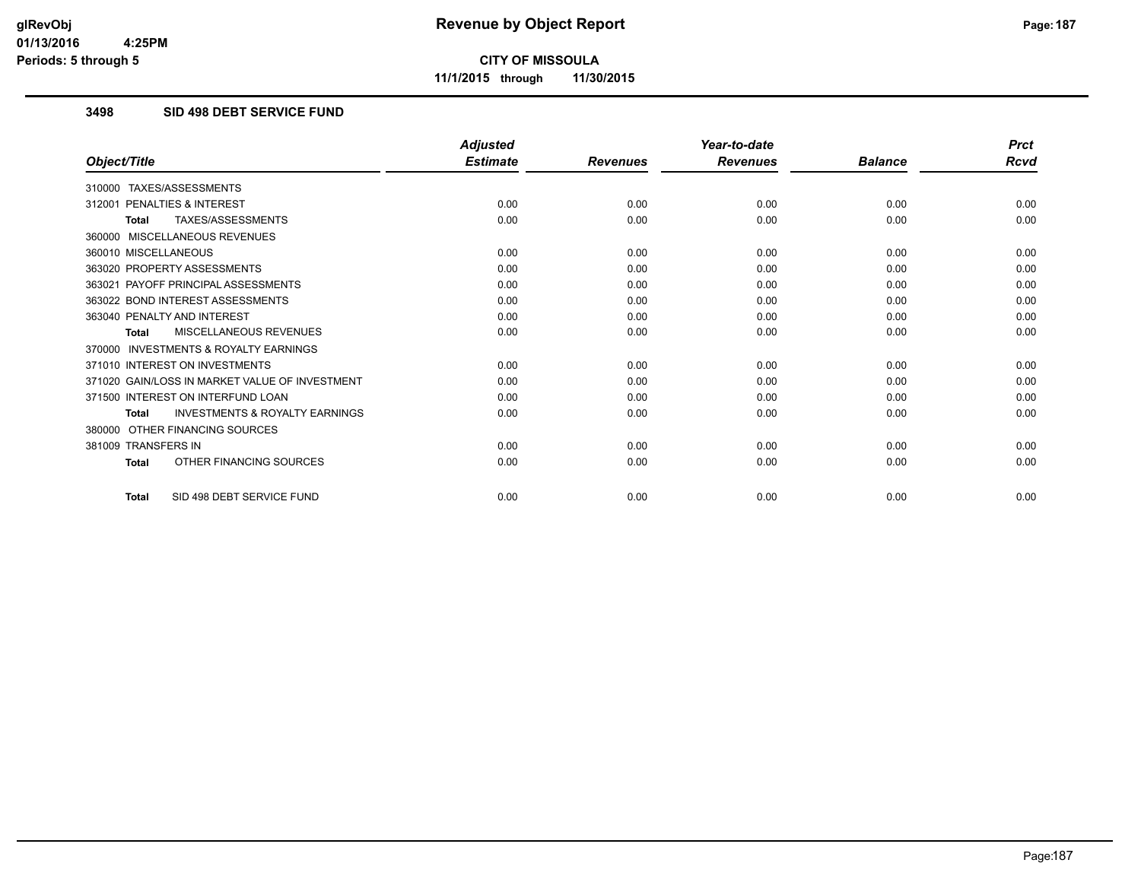**11/1/2015 through 11/30/2015**

### **3498 SID 498 DEBT SERVICE FUND**

|                                                           | <b>Adjusted</b> |                 | Year-to-date    |                | <b>Prct</b> |
|-----------------------------------------------------------|-----------------|-----------------|-----------------|----------------|-------------|
| Object/Title                                              | <b>Estimate</b> | <b>Revenues</b> | <b>Revenues</b> | <b>Balance</b> | Rcvd        |
| TAXES/ASSESSMENTS<br>310000                               |                 |                 |                 |                |             |
| <b>PENALTIES &amp; INTEREST</b><br>312001                 | 0.00            | 0.00            | 0.00            | 0.00           | 0.00        |
| <b>TAXES/ASSESSMENTS</b><br><b>Total</b>                  | 0.00            | 0.00            | 0.00            | 0.00           | 0.00        |
| 360000 MISCELLANEOUS REVENUES                             |                 |                 |                 |                |             |
| 360010 MISCELLANEOUS                                      | 0.00            | 0.00            | 0.00            | 0.00           | 0.00        |
| 363020 PROPERTY ASSESSMENTS                               | 0.00            | 0.00            | 0.00            | 0.00           | 0.00        |
| 363021 PAYOFF PRINCIPAL ASSESSMENTS                       | 0.00            | 0.00            | 0.00            | 0.00           | 0.00        |
| 363022 BOND INTEREST ASSESSMENTS                          | 0.00            | 0.00            | 0.00            | 0.00           | 0.00        |
| 363040 PENALTY AND INTEREST                               | 0.00            | 0.00            | 0.00            | 0.00           | 0.00        |
| MISCELLANEOUS REVENUES<br><b>Total</b>                    | 0.00            | 0.00            | 0.00            | 0.00           | 0.00        |
| <b>INVESTMENTS &amp; ROYALTY EARNINGS</b><br>370000       |                 |                 |                 |                |             |
| 371010 INTEREST ON INVESTMENTS                            | 0.00            | 0.00            | 0.00            | 0.00           | 0.00        |
| 371020 GAIN/LOSS IN MARKET VALUE OF INVESTMENT            | 0.00            | 0.00            | 0.00            | 0.00           | 0.00        |
| 371500 INTEREST ON INTERFUND LOAN                         | 0.00            | 0.00            | 0.00            | 0.00           | 0.00        |
| <b>INVESTMENTS &amp; ROYALTY EARNINGS</b><br><b>Total</b> | 0.00            | 0.00            | 0.00            | 0.00           | 0.00        |
| OTHER FINANCING SOURCES<br>380000                         |                 |                 |                 |                |             |
| 381009 TRANSFERS IN                                       | 0.00            | 0.00            | 0.00            | 0.00           | 0.00        |
| OTHER FINANCING SOURCES<br><b>Total</b>                   | 0.00            | 0.00            | 0.00            | 0.00           | 0.00        |
| SID 498 DEBT SERVICE FUND<br><b>Total</b>                 | 0.00            | 0.00            | 0.00            | 0.00           | 0.00        |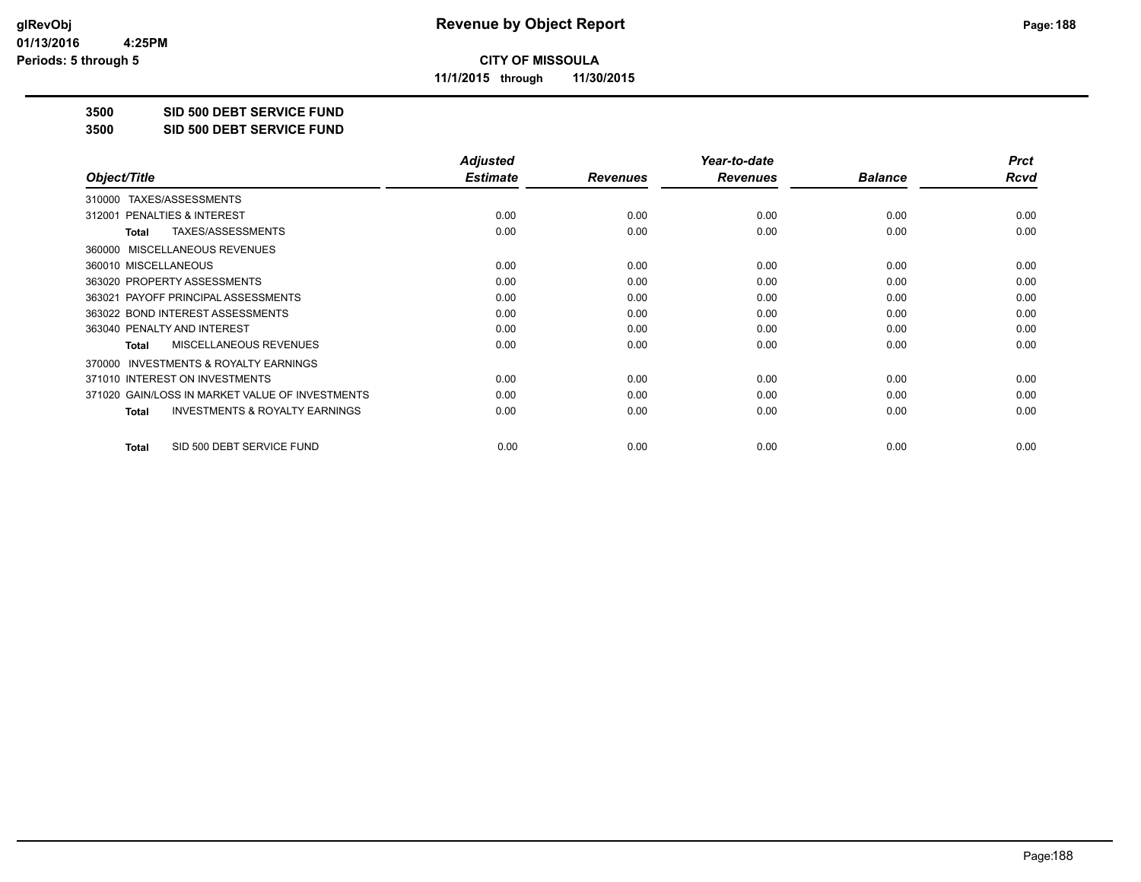**11/1/2015 through 11/30/2015**

**3500 SID 500 DEBT SERVICE FUND**

**3500 SID 500 DEBT SERVICE FUND**

|                                                           | <b>Adjusted</b> |                 | Year-to-date    |                | <b>Prct</b> |
|-----------------------------------------------------------|-----------------|-----------------|-----------------|----------------|-------------|
| Object/Title                                              | <b>Estimate</b> | <b>Revenues</b> | <b>Revenues</b> | <b>Balance</b> | Rcvd        |
| TAXES/ASSESSMENTS<br>310000                               |                 |                 |                 |                |             |
| 312001 PENALTIES & INTEREST                               | 0.00            | 0.00            | 0.00            | 0.00           | 0.00        |
| TAXES/ASSESSMENTS<br>Total                                | 0.00            | 0.00            | 0.00            | 0.00           | 0.00        |
| MISCELLANEOUS REVENUES<br>360000                          |                 |                 |                 |                |             |
| 360010 MISCELLANEOUS                                      | 0.00            | 0.00            | 0.00            | 0.00           | 0.00        |
| 363020 PROPERTY ASSESSMENTS                               | 0.00            | 0.00            | 0.00            | 0.00           | 0.00        |
| 363021 PAYOFF PRINCIPAL ASSESSMENTS                       | 0.00            | 0.00            | 0.00            | 0.00           | 0.00        |
| 363022 BOND INTEREST ASSESSMENTS                          | 0.00            | 0.00            | 0.00            | 0.00           | 0.00        |
| 363040 PENALTY AND INTEREST                               | 0.00            | 0.00            | 0.00            | 0.00           | 0.00        |
| MISCELLANEOUS REVENUES<br><b>Total</b>                    | 0.00            | 0.00            | 0.00            | 0.00           | 0.00        |
| <b>INVESTMENTS &amp; ROYALTY EARNINGS</b><br>370000       |                 |                 |                 |                |             |
| 371010 INTEREST ON INVESTMENTS                            | 0.00            | 0.00            | 0.00            | 0.00           | 0.00        |
| 371020 GAIN/LOSS IN MARKET VALUE OF INVESTMENTS           | 0.00            | 0.00            | 0.00            | 0.00           | 0.00        |
| <b>INVESTMENTS &amp; ROYALTY EARNINGS</b><br><b>Total</b> | 0.00            | 0.00            | 0.00            | 0.00           | 0.00        |
| SID 500 DEBT SERVICE FUND<br><b>Total</b>                 | 0.00            | 0.00            | 0.00            | 0.00           | 0.00        |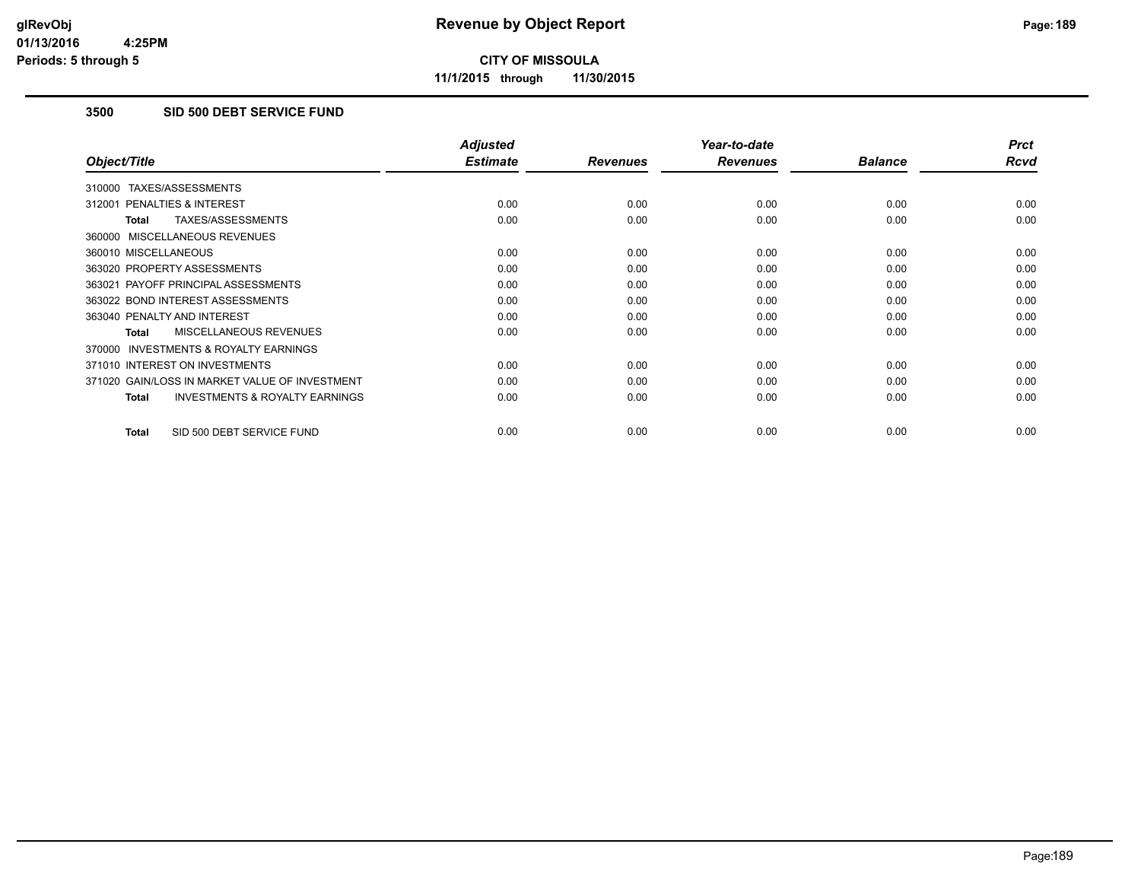**11/1/2015 through 11/30/2015**

### **3500 SID 500 DEBT SERVICE FUND**

|                                                           | <b>Adjusted</b> |                 | Year-to-date    |                | <b>Prct</b> |
|-----------------------------------------------------------|-----------------|-----------------|-----------------|----------------|-------------|
| Object/Title                                              | <b>Estimate</b> | <b>Revenues</b> | <b>Revenues</b> | <b>Balance</b> | <b>Rcvd</b> |
| 310000 TAXES/ASSESSMENTS                                  |                 |                 |                 |                |             |
| 312001 PENALTIES & INTEREST                               | 0.00            | 0.00            | 0.00            | 0.00           | 0.00        |
| TAXES/ASSESSMENTS<br><b>Total</b>                         | 0.00            | 0.00            | 0.00            | 0.00           | 0.00        |
| 360000 MISCELLANEOUS REVENUES                             |                 |                 |                 |                |             |
| 360010 MISCELLANEOUS                                      | 0.00            | 0.00            | 0.00            | 0.00           | 0.00        |
| 363020 PROPERTY ASSESSMENTS                               | 0.00            | 0.00            | 0.00            | 0.00           | 0.00        |
| 363021 PAYOFF PRINCIPAL ASSESSMENTS                       | 0.00            | 0.00            | 0.00            | 0.00           | 0.00        |
| 363022 BOND INTEREST ASSESSMENTS                          | 0.00            | 0.00            | 0.00            | 0.00           | 0.00        |
| 363040 PENALTY AND INTEREST                               | 0.00            | 0.00            | 0.00            | 0.00           | 0.00        |
| <b>MISCELLANEOUS REVENUES</b><br><b>Total</b>             | 0.00            | 0.00            | 0.00            | 0.00           | 0.00        |
| <b>INVESTMENTS &amp; ROYALTY EARNINGS</b><br>370000       |                 |                 |                 |                |             |
| 371010 INTEREST ON INVESTMENTS                            | 0.00            | 0.00            | 0.00            | 0.00           | 0.00        |
| 371020 GAIN/LOSS IN MARKET VALUE OF INVESTMENT            | 0.00            | 0.00            | 0.00            | 0.00           | 0.00        |
| <b>INVESTMENTS &amp; ROYALTY EARNINGS</b><br><b>Total</b> | 0.00            | 0.00            | 0.00            | 0.00           | 0.00        |
| SID 500 DEBT SERVICE FUND<br><b>Total</b>                 | 0.00            | 0.00            | 0.00            | 0.00           | 0.00        |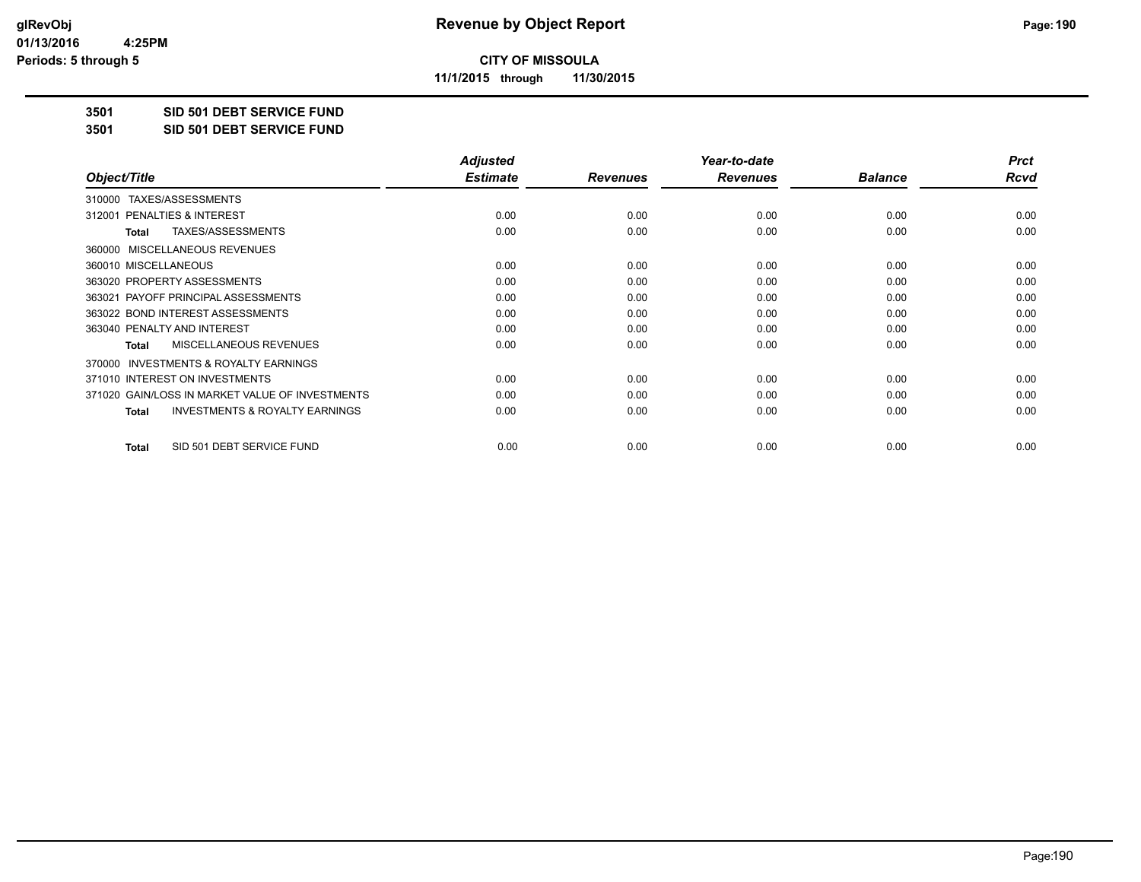**11/1/2015 through 11/30/2015**

**3501 SID 501 DEBT SERVICE FUND**

**3501 SID 501 DEBT SERVICE FUND**

|                                                           | <b>Adjusted</b> |                 | Year-to-date    |                | <b>Prct</b> |
|-----------------------------------------------------------|-----------------|-----------------|-----------------|----------------|-------------|
| Object/Title                                              | <b>Estimate</b> | <b>Revenues</b> | <b>Revenues</b> | <b>Balance</b> | Rcvd        |
| TAXES/ASSESSMENTS<br>310000                               |                 |                 |                 |                |             |
| 312001 PENALTIES & INTEREST                               | 0.00            | 0.00            | 0.00            | 0.00           | 0.00        |
| TAXES/ASSESSMENTS<br>Total                                | 0.00            | 0.00            | 0.00            | 0.00           | 0.00        |
| MISCELLANEOUS REVENUES<br>360000                          |                 |                 |                 |                |             |
| 360010 MISCELLANEOUS                                      | 0.00            | 0.00            | 0.00            | 0.00           | 0.00        |
| 363020 PROPERTY ASSESSMENTS                               | 0.00            | 0.00            | 0.00            | 0.00           | 0.00        |
| 363021 PAYOFF PRINCIPAL ASSESSMENTS                       | 0.00            | 0.00            | 0.00            | 0.00           | 0.00        |
| 363022 BOND INTEREST ASSESSMENTS                          | 0.00            | 0.00            | 0.00            | 0.00           | 0.00        |
| 363040 PENALTY AND INTEREST                               | 0.00            | 0.00            | 0.00            | 0.00           | 0.00        |
| MISCELLANEOUS REVENUES<br><b>Total</b>                    | 0.00            | 0.00            | 0.00            | 0.00           | 0.00        |
| <b>INVESTMENTS &amp; ROYALTY EARNINGS</b><br>370000       |                 |                 |                 |                |             |
| 371010 INTEREST ON INVESTMENTS                            | 0.00            | 0.00            | 0.00            | 0.00           | 0.00        |
| 371020 GAIN/LOSS IN MARKET VALUE OF INVESTMENTS           | 0.00            | 0.00            | 0.00            | 0.00           | 0.00        |
| <b>INVESTMENTS &amp; ROYALTY EARNINGS</b><br><b>Total</b> | 0.00            | 0.00            | 0.00            | 0.00           | 0.00        |
| SID 501 DEBT SERVICE FUND<br><b>Total</b>                 | 0.00            | 0.00            | 0.00            | 0.00           | 0.00        |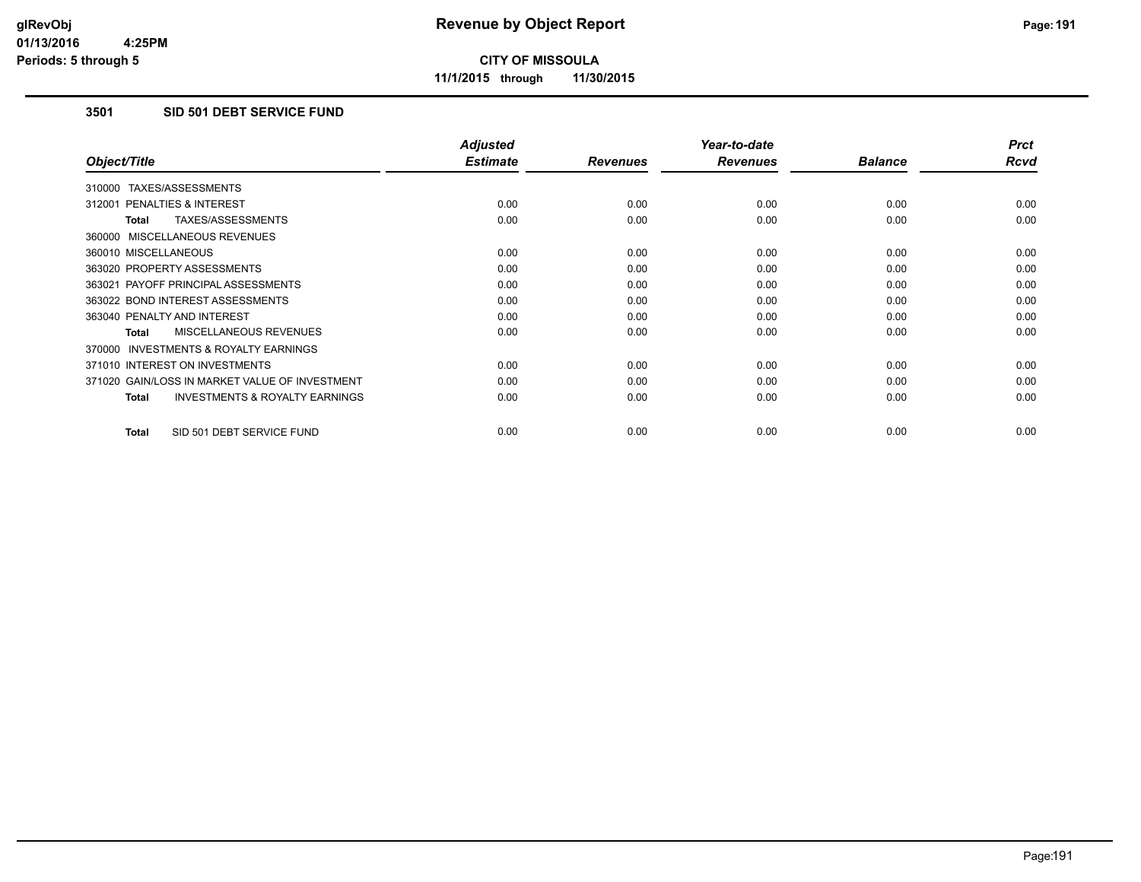**11/1/2015 through 11/30/2015**

### **3501 SID 501 DEBT SERVICE FUND**

|                                                           | <b>Adjusted</b> |                 | Year-to-date    |                | <b>Prct</b> |
|-----------------------------------------------------------|-----------------|-----------------|-----------------|----------------|-------------|
| Object/Title                                              | <b>Estimate</b> | <b>Revenues</b> | <b>Revenues</b> | <b>Balance</b> | <b>Rcvd</b> |
| 310000 TAXES/ASSESSMENTS                                  |                 |                 |                 |                |             |
| 312001 PENALTIES & INTEREST                               | 0.00            | 0.00            | 0.00            | 0.00           | 0.00        |
| TAXES/ASSESSMENTS<br><b>Total</b>                         | 0.00            | 0.00            | 0.00            | 0.00           | 0.00        |
| 360000 MISCELLANEOUS REVENUES                             |                 |                 |                 |                |             |
| 360010 MISCELLANEOUS                                      | 0.00            | 0.00            | 0.00            | 0.00           | 0.00        |
| 363020 PROPERTY ASSESSMENTS                               | 0.00            | 0.00            | 0.00            | 0.00           | 0.00        |
| 363021 PAYOFF PRINCIPAL ASSESSMENTS                       | 0.00            | 0.00            | 0.00            | 0.00           | 0.00        |
| 363022 BOND INTEREST ASSESSMENTS                          | 0.00            | 0.00            | 0.00            | 0.00           | 0.00        |
| 363040 PENALTY AND INTEREST                               | 0.00            | 0.00            | 0.00            | 0.00           | 0.00        |
| <b>MISCELLANEOUS REVENUES</b><br><b>Total</b>             | 0.00            | 0.00            | 0.00            | 0.00           | 0.00        |
| <b>INVESTMENTS &amp; ROYALTY EARNINGS</b><br>370000       |                 |                 |                 |                |             |
| 371010 INTEREST ON INVESTMENTS                            | 0.00            | 0.00            | 0.00            | 0.00           | 0.00        |
| 371020 GAIN/LOSS IN MARKET VALUE OF INVESTMENT            | 0.00            | 0.00            | 0.00            | 0.00           | 0.00        |
| <b>INVESTMENTS &amp; ROYALTY EARNINGS</b><br><b>Total</b> | 0.00            | 0.00            | 0.00            | 0.00           | 0.00        |
| SID 501 DEBT SERVICE FUND<br><b>Total</b>                 | 0.00            | 0.00            | 0.00            | 0.00           | 0.00        |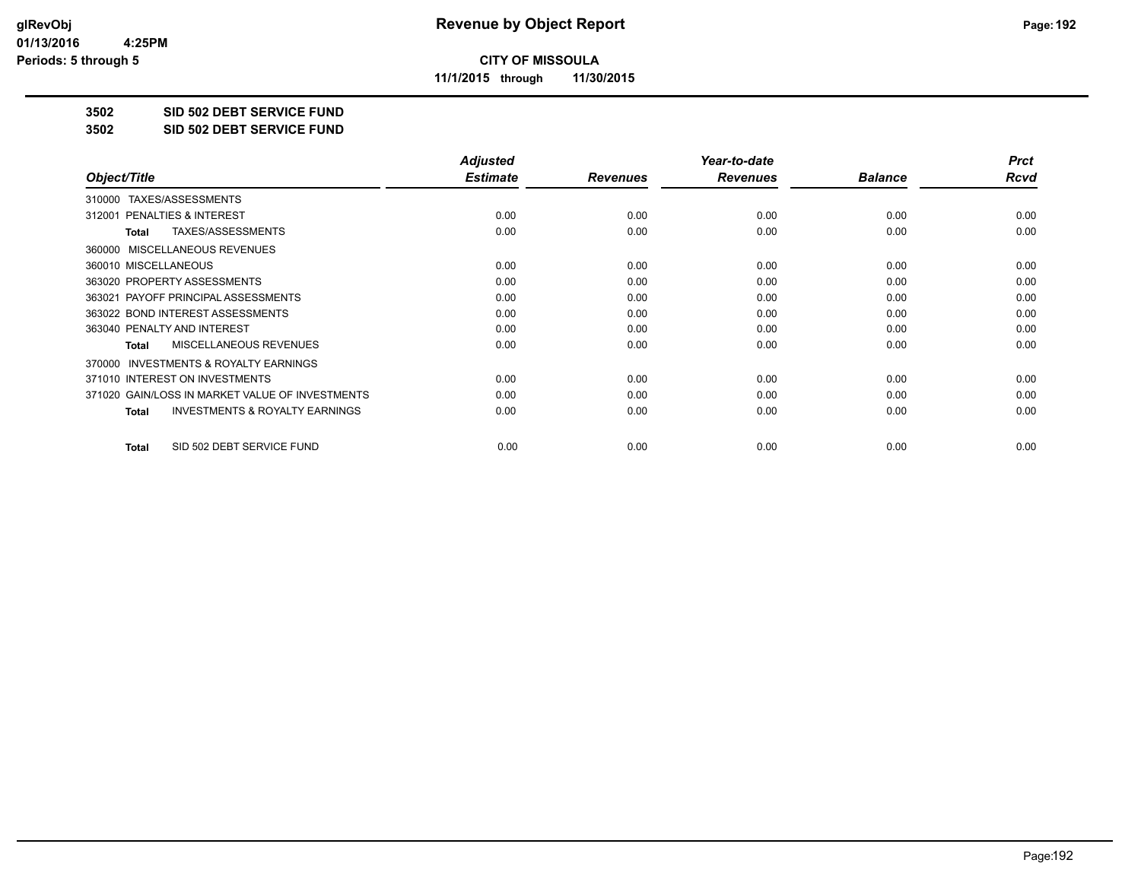**11/1/2015 through 11/30/2015**

**3502 SID 502 DEBT SERVICE FUND**

**3502 SID 502 DEBT SERVICE FUND**

|                                                     | <b>Adjusted</b> |                 | Year-to-date    |                | <b>Prct</b> |
|-----------------------------------------------------|-----------------|-----------------|-----------------|----------------|-------------|
| Object/Title                                        | <b>Estimate</b> | <b>Revenues</b> | <b>Revenues</b> | <b>Balance</b> | Rcvd        |
| TAXES/ASSESSMENTS<br>310000                         |                 |                 |                 |                |             |
| <b>PENALTIES &amp; INTEREST</b><br>312001           | 0.00            | 0.00            | 0.00            | 0.00           | 0.00        |
| TAXES/ASSESSMENTS<br>Total                          | 0.00            | 0.00            | 0.00            | 0.00           | 0.00        |
| 360000 MISCELLANEOUS REVENUES                       |                 |                 |                 |                |             |
| 360010 MISCELLANEOUS                                | 0.00            | 0.00            | 0.00            | 0.00           | 0.00        |
| 363020 PROPERTY ASSESSMENTS                         | 0.00            | 0.00            | 0.00            | 0.00           | 0.00        |
| 363021 PAYOFF PRINCIPAL ASSESSMENTS                 | 0.00            | 0.00            | 0.00            | 0.00           | 0.00        |
| 363022 BOND INTEREST ASSESSMENTS                    | 0.00            | 0.00            | 0.00            | 0.00           | 0.00        |
| 363040 PENALTY AND INTEREST                         | 0.00            | 0.00            | 0.00            | 0.00           | 0.00        |
| <b>MISCELLANEOUS REVENUES</b><br>Total              | 0.00            | 0.00            | 0.00            | 0.00           | 0.00        |
| <b>INVESTMENTS &amp; ROYALTY EARNINGS</b><br>370000 |                 |                 |                 |                |             |
| 371010 INTEREST ON INVESTMENTS                      | 0.00            | 0.00            | 0.00            | 0.00           | 0.00        |
| 371020 GAIN/LOSS IN MARKET VALUE OF INVESTMENTS     | 0.00            | 0.00            | 0.00            | 0.00           | 0.00        |
| <b>INVESTMENTS &amp; ROYALTY EARNINGS</b><br>Total  | 0.00            | 0.00            | 0.00            | 0.00           | 0.00        |
| SID 502 DEBT SERVICE FUND<br><b>Total</b>           | 0.00            | 0.00            | 0.00            | 0.00           | 0.00        |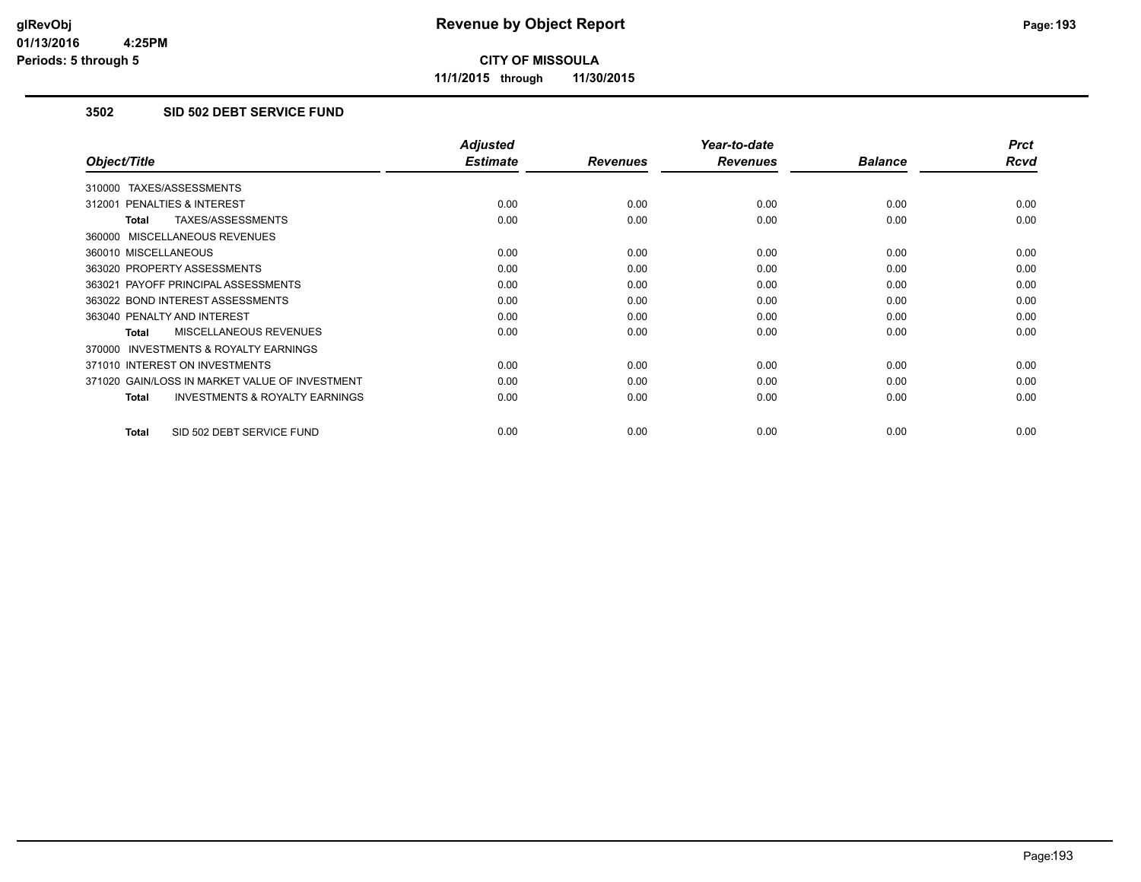**11/1/2015 through 11/30/2015**

### **3502 SID 502 DEBT SERVICE FUND**

|                                                           | <b>Adjusted</b> |                 | Year-to-date    |                | <b>Prct</b> |
|-----------------------------------------------------------|-----------------|-----------------|-----------------|----------------|-------------|
| Object/Title                                              | <b>Estimate</b> | <b>Revenues</b> | <b>Revenues</b> | <b>Balance</b> | <b>Rcvd</b> |
| 310000 TAXES/ASSESSMENTS                                  |                 |                 |                 |                |             |
| 312001 PENALTIES & INTEREST                               | 0.00            | 0.00            | 0.00            | 0.00           | 0.00        |
| TAXES/ASSESSMENTS<br><b>Total</b>                         | 0.00            | 0.00            | 0.00            | 0.00           | 0.00        |
| 360000 MISCELLANEOUS REVENUES                             |                 |                 |                 |                |             |
| 360010 MISCELLANEOUS                                      | 0.00            | 0.00            | 0.00            | 0.00           | 0.00        |
| 363020 PROPERTY ASSESSMENTS                               | 0.00            | 0.00            | 0.00            | 0.00           | 0.00        |
| 363021 PAYOFF PRINCIPAL ASSESSMENTS                       | 0.00            | 0.00            | 0.00            | 0.00           | 0.00        |
| 363022 BOND INTEREST ASSESSMENTS                          | 0.00            | 0.00            | 0.00            | 0.00           | 0.00        |
| 363040 PENALTY AND INTEREST                               | 0.00            | 0.00            | 0.00            | 0.00           | 0.00        |
| <b>MISCELLANEOUS REVENUES</b><br><b>Total</b>             | 0.00            | 0.00            | 0.00            | 0.00           | 0.00        |
| <b>INVESTMENTS &amp; ROYALTY EARNINGS</b><br>370000       |                 |                 |                 |                |             |
| 371010 INTEREST ON INVESTMENTS                            | 0.00            | 0.00            | 0.00            | 0.00           | 0.00        |
| 371020 GAIN/LOSS IN MARKET VALUE OF INVESTMENT            | 0.00            | 0.00            | 0.00            | 0.00           | 0.00        |
| <b>INVESTMENTS &amp; ROYALTY EARNINGS</b><br><b>Total</b> | 0.00            | 0.00            | 0.00            | 0.00           | 0.00        |
| SID 502 DEBT SERVICE FUND<br><b>Total</b>                 | 0.00            | 0.00            | 0.00            | 0.00           | 0.00        |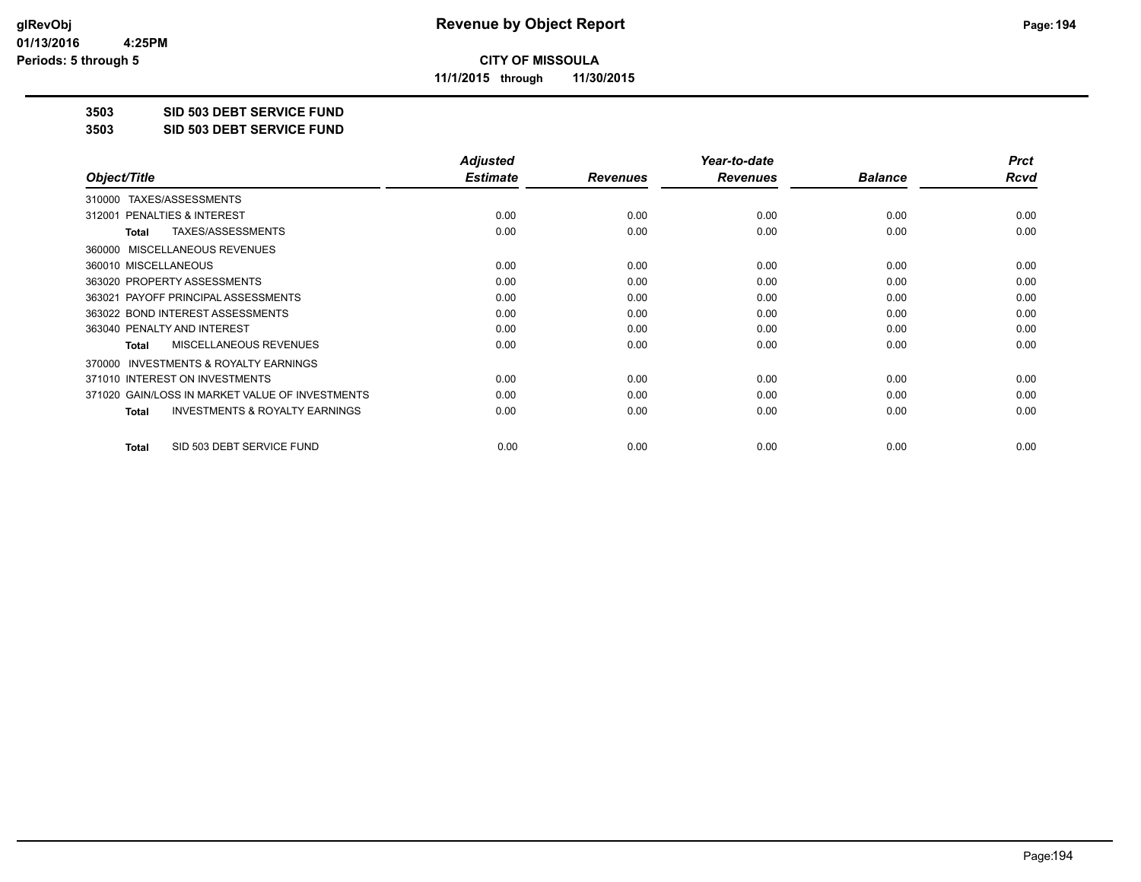**11/1/2015 through 11/30/2015**

**3503 SID 503 DEBT SERVICE FUND**

**3503 SID 503 DEBT SERVICE FUND**

|                                                           | <b>Adjusted</b> |                 | Year-to-date    |                | <b>Prct</b> |
|-----------------------------------------------------------|-----------------|-----------------|-----------------|----------------|-------------|
| Object/Title                                              | <b>Estimate</b> | <b>Revenues</b> | <b>Revenues</b> | <b>Balance</b> | Rcvd        |
| 310000 TAXES/ASSESSMENTS                                  |                 |                 |                 |                |             |
| <b>PENALTIES &amp; INTEREST</b><br>312001                 | 0.00            | 0.00            | 0.00            | 0.00           | 0.00        |
| TAXES/ASSESSMENTS<br>Total                                | 0.00            | 0.00            | 0.00            | 0.00           | 0.00        |
| 360000 MISCELLANEOUS REVENUES                             |                 |                 |                 |                |             |
| 360010 MISCELLANEOUS                                      | 0.00            | 0.00            | 0.00            | 0.00           | 0.00        |
| 363020 PROPERTY ASSESSMENTS                               | 0.00            | 0.00            | 0.00            | 0.00           | 0.00        |
| 363021 PAYOFF PRINCIPAL ASSESSMENTS                       | 0.00            | 0.00            | 0.00            | 0.00           | 0.00        |
| 363022 BOND INTEREST ASSESSMENTS                          | 0.00            | 0.00            | 0.00            | 0.00           | 0.00        |
| 363040 PENALTY AND INTEREST                               | 0.00            | 0.00            | 0.00            | 0.00           | 0.00        |
| <b>MISCELLANEOUS REVENUES</b><br>Total                    | 0.00            | 0.00            | 0.00            | 0.00           | 0.00        |
| <b>INVESTMENTS &amp; ROYALTY EARNINGS</b><br>370000       |                 |                 |                 |                |             |
| 371010 INTEREST ON INVESTMENTS                            | 0.00            | 0.00            | 0.00            | 0.00           | 0.00        |
| 371020 GAIN/LOSS IN MARKET VALUE OF INVESTMENTS           | 0.00            | 0.00            | 0.00            | 0.00           | 0.00        |
| <b>INVESTMENTS &amp; ROYALTY EARNINGS</b><br><b>Total</b> | 0.00            | 0.00            | 0.00            | 0.00           | 0.00        |
| SID 503 DEBT SERVICE FUND<br><b>Total</b>                 | 0.00            | 0.00            | 0.00            | 0.00           | 0.00        |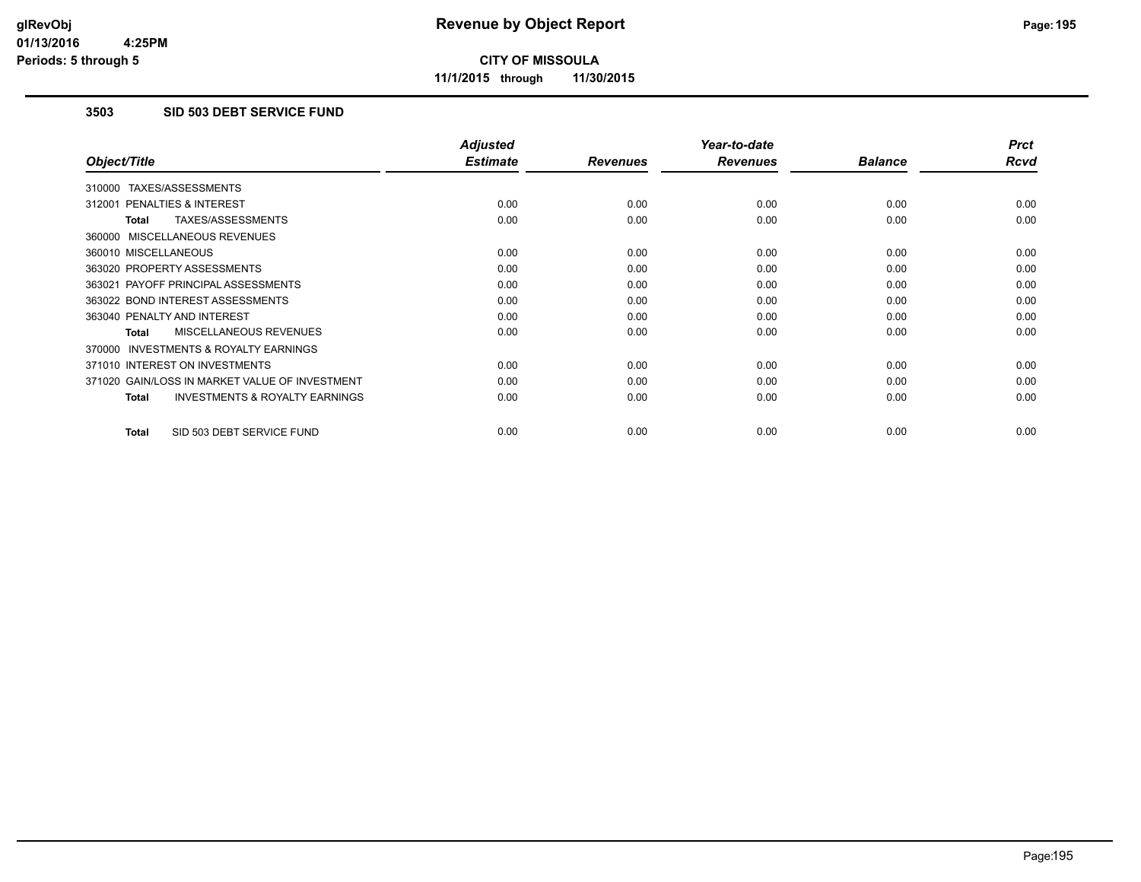**11/1/2015 through 11/30/2015**

### **3503 SID 503 DEBT SERVICE FUND**

|                                                           | <b>Adjusted</b> |                 | Year-to-date    |                | <b>Prct</b> |
|-----------------------------------------------------------|-----------------|-----------------|-----------------|----------------|-------------|
| Object/Title                                              | <b>Estimate</b> | <b>Revenues</b> | <b>Revenues</b> | <b>Balance</b> | <b>Rcvd</b> |
| 310000 TAXES/ASSESSMENTS                                  |                 |                 |                 |                |             |
| 312001 PENALTIES & INTEREST                               | 0.00            | 0.00            | 0.00            | 0.00           | 0.00        |
| TAXES/ASSESSMENTS<br><b>Total</b>                         | 0.00            | 0.00            | 0.00            | 0.00           | 0.00        |
| 360000 MISCELLANEOUS REVENUES                             |                 |                 |                 |                |             |
| 360010 MISCELLANEOUS                                      | 0.00            | 0.00            | 0.00            | 0.00           | 0.00        |
| 363020 PROPERTY ASSESSMENTS                               | 0.00            | 0.00            | 0.00            | 0.00           | 0.00        |
| 363021 PAYOFF PRINCIPAL ASSESSMENTS                       | 0.00            | 0.00            | 0.00            | 0.00           | 0.00        |
| 363022 BOND INTEREST ASSESSMENTS                          | 0.00            | 0.00            | 0.00            | 0.00           | 0.00        |
| 363040 PENALTY AND INTEREST                               | 0.00            | 0.00            | 0.00            | 0.00           | 0.00        |
| <b>MISCELLANEOUS REVENUES</b><br><b>Total</b>             | 0.00            | 0.00            | 0.00            | 0.00           | 0.00        |
| <b>INVESTMENTS &amp; ROYALTY EARNINGS</b><br>370000       |                 |                 |                 |                |             |
| 371010 INTEREST ON INVESTMENTS                            | 0.00            | 0.00            | 0.00            | 0.00           | 0.00        |
| 371020 GAIN/LOSS IN MARKET VALUE OF INVESTMENT            | 0.00            | 0.00            | 0.00            | 0.00           | 0.00        |
| <b>INVESTMENTS &amp; ROYALTY EARNINGS</b><br><b>Total</b> | 0.00            | 0.00            | 0.00            | 0.00           | 0.00        |
| SID 503 DEBT SERVICE FUND<br><b>Total</b>                 | 0.00            | 0.00            | 0.00            | 0.00           | 0.00        |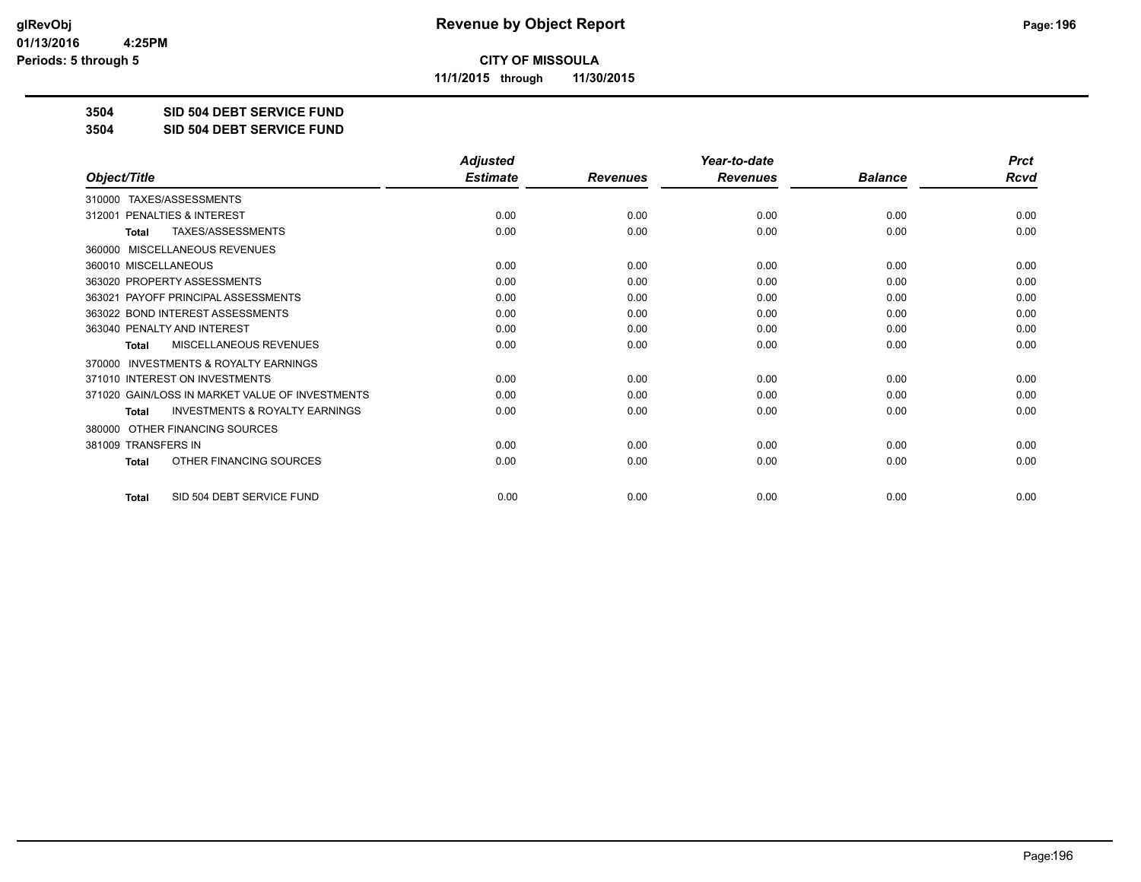**11/1/2015 through 11/30/2015**

**3504 SID 504 DEBT SERVICE FUND**

**3504 SID 504 DEBT SERVICE FUND**

|                                                           | <b>Adjusted</b> |                 | Year-to-date    |                | <b>Prct</b> |
|-----------------------------------------------------------|-----------------|-----------------|-----------------|----------------|-------------|
| Object/Title                                              | <b>Estimate</b> | <b>Revenues</b> | <b>Revenues</b> | <b>Balance</b> | <b>Rcvd</b> |
| 310000 TAXES/ASSESSMENTS                                  |                 |                 |                 |                |             |
| 312001 PENALTIES & INTEREST                               | 0.00            | 0.00            | 0.00            | 0.00           | 0.00        |
| TAXES/ASSESSMENTS<br><b>Total</b>                         | 0.00            | 0.00            | 0.00            | 0.00           | 0.00        |
| MISCELLANEOUS REVENUES<br>360000                          |                 |                 |                 |                |             |
| 360010 MISCELLANEOUS                                      | 0.00            | 0.00            | 0.00            | 0.00           | 0.00        |
| 363020 PROPERTY ASSESSMENTS                               | 0.00            | 0.00            | 0.00            | 0.00           | 0.00        |
| 363021 PAYOFF PRINCIPAL ASSESSMENTS                       | 0.00            | 0.00            | 0.00            | 0.00           | 0.00        |
| 363022 BOND INTEREST ASSESSMENTS                          | 0.00            | 0.00            | 0.00            | 0.00           | 0.00        |
| 363040 PENALTY AND INTEREST                               | 0.00            | 0.00            | 0.00            | 0.00           | 0.00        |
| MISCELLANEOUS REVENUES<br><b>Total</b>                    | 0.00            | 0.00            | 0.00            | 0.00           | 0.00        |
| <b>INVESTMENTS &amp; ROYALTY EARNINGS</b><br>370000       |                 |                 |                 |                |             |
| 371010 INTEREST ON INVESTMENTS                            | 0.00            | 0.00            | 0.00            | 0.00           | 0.00        |
| 371020 GAIN/LOSS IN MARKET VALUE OF INVESTMENTS           | 0.00            | 0.00            | 0.00            | 0.00           | 0.00        |
| <b>INVESTMENTS &amp; ROYALTY EARNINGS</b><br><b>Total</b> | 0.00            | 0.00            | 0.00            | 0.00           | 0.00        |
| OTHER FINANCING SOURCES<br>380000                         |                 |                 |                 |                |             |
| 381009 TRANSFERS IN                                       | 0.00            | 0.00            | 0.00            | 0.00           | 0.00        |
| OTHER FINANCING SOURCES<br><b>Total</b>                   | 0.00            | 0.00            | 0.00            | 0.00           | 0.00        |
| SID 504 DEBT SERVICE FUND<br><b>Total</b>                 | 0.00            | 0.00            | 0.00            | 0.00           | 0.00        |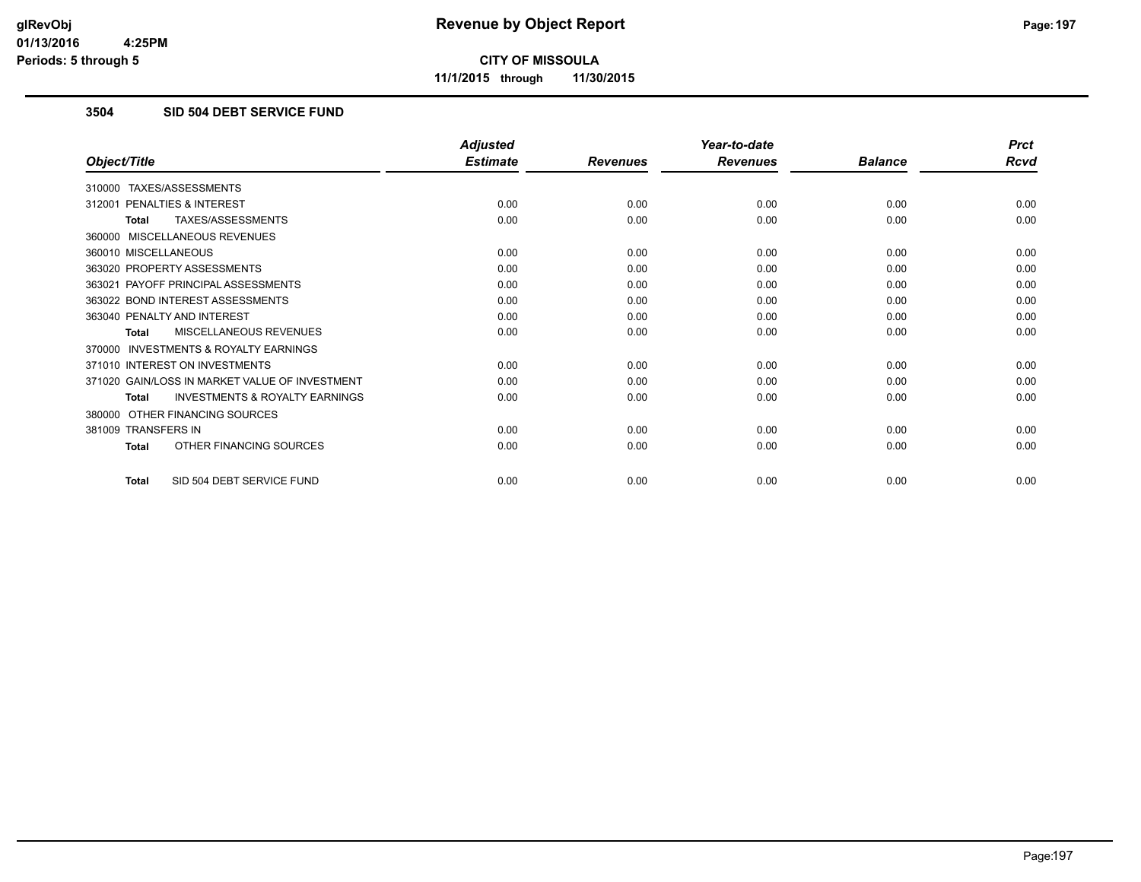**11/1/2015 through 11/30/2015**

### **3504 SID 504 DEBT SERVICE FUND**

|                                                           | <b>Adjusted</b> |                 | Year-to-date    |                | <b>Prct</b> |
|-----------------------------------------------------------|-----------------|-----------------|-----------------|----------------|-------------|
| Object/Title                                              | <b>Estimate</b> | <b>Revenues</b> | <b>Revenues</b> | <b>Balance</b> | <b>Rcvd</b> |
| 310000 TAXES/ASSESSMENTS                                  |                 |                 |                 |                |             |
| PENALTIES & INTEREST<br>312001                            | 0.00            | 0.00            | 0.00            | 0.00           | 0.00        |
| TAXES/ASSESSMENTS<br><b>Total</b>                         | 0.00            | 0.00            | 0.00            | 0.00           | 0.00        |
| 360000 MISCELLANEOUS REVENUES                             |                 |                 |                 |                |             |
| 360010 MISCELLANEOUS                                      | 0.00            | 0.00            | 0.00            | 0.00           | 0.00        |
| 363020 PROPERTY ASSESSMENTS                               | 0.00            | 0.00            | 0.00            | 0.00           | 0.00        |
| 363021 PAYOFF PRINCIPAL ASSESSMENTS                       | 0.00            | 0.00            | 0.00            | 0.00           | 0.00        |
| 363022 BOND INTEREST ASSESSMENTS                          | 0.00            | 0.00            | 0.00            | 0.00           | 0.00        |
| 363040 PENALTY AND INTEREST                               | 0.00            | 0.00            | 0.00            | 0.00           | 0.00        |
| MISCELLANEOUS REVENUES<br><b>Total</b>                    | 0.00            | 0.00            | 0.00            | 0.00           | 0.00        |
| <b>INVESTMENTS &amp; ROYALTY EARNINGS</b><br>370000       |                 |                 |                 |                |             |
| 371010 INTEREST ON INVESTMENTS                            | 0.00            | 0.00            | 0.00            | 0.00           | 0.00        |
| 371020 GAIN/LOSS IN MARKET VALUE OF INVESTMENT            | 0.00            | 0.00            | 0.00            | 0.00           | 0.00        |
| <b>INVESTMENTS &amp; ROYALTY EARNINGS</b><br><b>Total</b> | 0.00            | 0.00            | 0.00            | 0.00           | 0.00        |
| OTHER FINANCING SOURCES<br>380000                         |                 |                 |                 |                |             |
| 381009 TRANSFERS IN                                       | 0.00            | 0.00            | 0.00            | 0.00           | 0.00        |
| OTHER FINANCING SOURCES<br><b>Total</b>                   | 0.00            | 0.00            | 0.00            | 0.00           | 0.00        |
| SID 504 DEBT SERVICE FUND<br><b>Total</b>                 | 0.00            | 0.00            | 0.00            | 0.00           | 0.00        |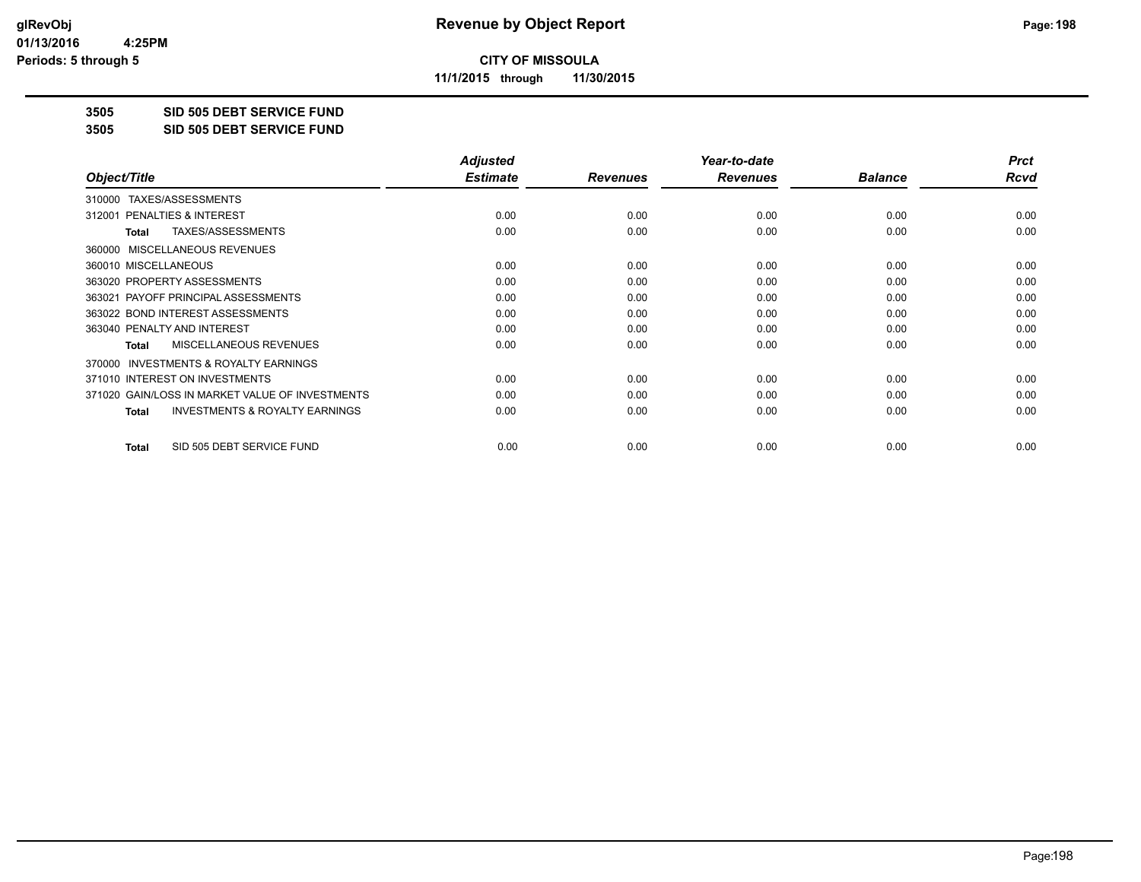**11/1/2015 through 11/30/2015**

**3505 SID 505 DEBT SERVICE FUND**

**3505 SID 505 DEBT SERVICE FUND**

|                                                           | <b>Adjusted</b> |                 | Year-to-date    |                | <b>Prct</b> |
|-----------------------------------------------------------|-----------------|-----------------|-----------------|----------------|-------------|
| Object/Title                                              | <b>Estimate</b> | <b>Revenues</b> | <b>Revenues</b> | <b>Balance</b> | Rcvd        |
| TAXES/ASSESSMENTS<br>310000                               |                 |                 |                 |                |             |
| 312001 PENALTIES & INTEREST                               | 0.00            | 0.00            | 0.00            | 0.00           | 0.00        |
| TAXES/ASSESSMENTS<br>Total                                | 0.00            | 0.00            | 0.00            | 0.00           | 0.00        |
| MISCELLANEOUS REVENUES<br>360000                          |                 |                 |                 |                |             |
| 360010 MISCELLANEOUS                                      | 0.00            | 0.00            | 0.00            | 0.00           | 0.00        |
| 363020 PROPERTY ASSESSMENTS                               | 0.00            | 0.00            | 0.00            | 0.00           | 0.00        |
| 363021 PAYOFF PRINCIPAL ASSESSMENTS                       | 0.00            | 0.00            | 0.00            | 0.00           | 0.00        |
| 363022 BOND INTEREST ASSESSMENTS                          | 0.00            | 0.00            | 0.00            | 0.00           | 0.00        |
| 363040 PENALTY AND INTEREST                               | 0.00            | 0.00            | 0.00            | 0.00           | 0.00        |
| MISCELLANEOUS REVENUES<br><b>Total</b>                    | 0.00            | 0.00            | 0.00            | 0.00           | 0.00        |
| <b>INVESTMENTS &amp; ROYALTY EARNINGS</b><br>370000       |                 |                 |                 |                |             |
| 371010 INTEREST ON INVESTMENTS                            | 0.00            | 0.00            | 0.00            | 0.00           | 0.00        |
| 371020 GAIN/LOSS IN MARKET VALUE OF INVESTMENTS           | 0.00            | 0.00            | 0.00            | 0.00           | 0.00        |
| <b>INVESTMENTS &amp; ROYALTY EARNINGS</b><br><b>Total</b> | 0.00            | 0.00            | 0.00            | 0.00           | 0.00        |
| SID 505 DEBT SERVICE FUND<br><b>Total</b>                 | 0.00            | 0.00            | 0.00            | 0.00           | 0.00        |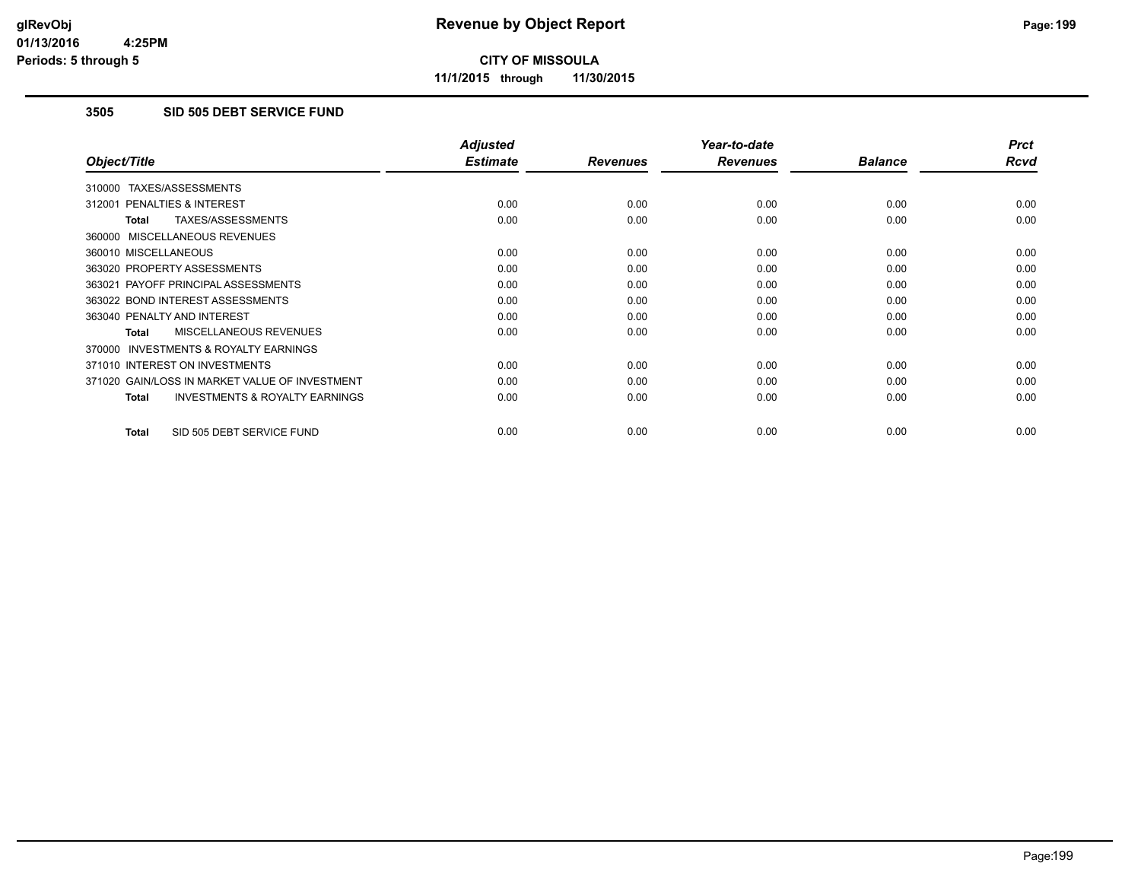**11/1/2015 through 11/30/2015**

### **3505 SID 505 DEBT SERVICE FUND**

|                                                           | <b>Adjusted</b> |                 | Year-to-date    |                | <b>Prct</b> |
|-----------------------------------------------------------|-----------------|-----------------|-----------------|----------------|-------------|
| Object/Title                                              | <b>Estimate</b> | <b>Revenues</b> | <b>Revenues</b> | <b>Balance</b> | <b>Rcvd</b> |
| 310000 TAXES/ASSESSMENTS                                  |                 |                 |                 |                |             |
| 312001 PENALTIES & INTEREST                               | 0.00            | 0.00            | 0.00            | 0.00           | 0.00        |
| TAXES/ASSESSMENTS<br><b>Total</b>                         | 0.00            | 0.00            | 0.00            | 0.00           | 0.00        |
| 360000 MISCELLANEOUS REVENUES                             |                 |                 |                 |                |             |
| 360010 MISCELLANEOUS                                      | 0.00            | 0.00            | 0.00            | 0.00           | 0.00        |
| 363020 PROPERTY ASSESSMENTS                               | 0.00            | 0.00            | 0.00            | 0.00           | 0.00        |
| 363021 PAYOFF PRINCIPAL ASSESSMENTS                       | 0.00            | 0.00            | 0.00            | 0.00           | 0.00        |
| 363022 BOND INTEREST ASSESSMENTS                          | 0.00            | 0.00            | 0.00            | 0.00           | 0.00        |
| 363040 PENALTY AND INTEREST                               | 0.00            | 0.00            | 0.00            | 0.00           | 0.00        |
| <b>MISCELLANEOUS REVENUES</b><br><b>Total</b>             | 0.00            | 0.00            | 0.00            | 0.00           | 0.00        |
| <b>INVESTMENTS &amp; ROYALTY EARNINGS</b><br>370000       |                 |                 |                 |                |             |
| 371010 INTEREST ON INVESTMENTS                            | 0.00            | 0.00            | 0.00            | 0.00           | 0.00        |
| 371020 GAIN/LOSS IN MARKET VALUE OF INVESTMENT            | 0.00            | 0.00            | 0.00            | 0.00           | 0.00        |
| <b>INVESTMENTS &amp; ROYALTY EARNINGS</b><br><b>Total</b> | 0.00            | 0.00            | 0.00            | 0.00           | 0.00        |
| SID 505 DEBT SERVICE FUND<br><b>Total</b>                 | 0.00            | 0.00            | 0.00            | 0.00           | 0.00        |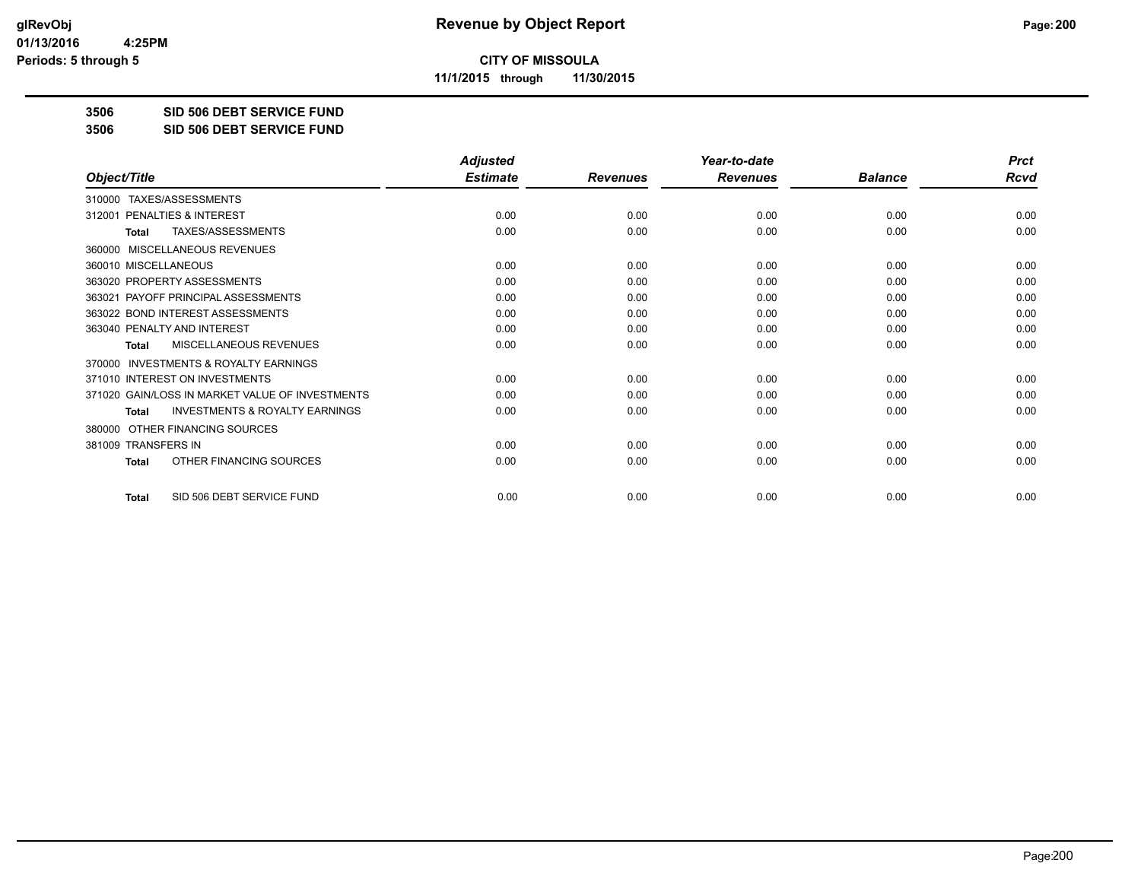**11/1/2015 through 11/30/2015**

**3506 SID 506 DEBT SERVICE FUND**

**3506 SID 506 DEBT SERVICE FUND**

|                                                     | <b>Adjusted</b> |                 | Year-to-date    |                | <b>Prct</b> |
|-----------------------------------------------------|-----------------|-----------------|-----------------|----------------|-------------|
| Object/Title                                        | <b>Estimate</b> | <b>Revenues</b> | <b>Revenues</b> | <b>Balance</b> | <b>Rcvd</b> |
| 310000 TAXES/ASSESSMENTS                            |                 |                 |                 |                |             |
| PENALTIES & INTEREST<br>312001                      | 0.00            | 0.00            | 0.00            | 0.00           | 0.00        |
| TAXES/ASSESSMENTS<br><b>Total</b>                   | 0.00            | 0.00            | 0.00            | 0.00           | 0.00        |
| MISCELLANEOUS REVENUES<br>360000                    |                 |                 |                 |                |             |
| 360010 MISCELLANEOUS                                | 0.00            | 0.00            | 0.00            | 0.00           | 0.00        |
| 363020 PROPERTY ASSESSMENTS                         | 0.00            | 0.00            | 0.00            | 0.00           | 0.00        |
| 363021 PAYOFF PRINCIPAL ASSESSMENTS                 | 0.00            | 0.00            | 0.00            | 0.00           | 0.00        |
| 363022 BOND INTEREST ASSESSMENTS                    | 0.00            | 0.00            | 0.00            | 0.00           | 0.00        |
| 363040 PENALTY AND INTEREST                         | 0.00            | 0.00            | 0.00            | 0.00           | 0.00        |
| MISCELLANEOUS REVENUES<br><b>Total</b>              | 0.00            | 0.00            | 0.00            | 0.00           | 0.00        |
| <b>INVESTMENTS &amp; ROYALTY EARNINGS</b><br>370000 |                 |                 |                 |                |             |
| 371010 INTEREST ON INVESTMENTS                      | 0.00            | 0.00            | 0.00            | 0.00           | 0.00        |
| 371020 GAIN/LOSS IN MARKET VALUE OF INVESTMENTS     | 0.00            | 0.00            | 0.00            | 0.00           | 0.00        |
| <b>INVESTMENTS &amp; ROYALTY EARNINGS</b><br>Total  | 0.00            | 0.00            | 0.00            | 0.00           | 0.00        |
| OTHER FINANCING SOURCES<br>380000                   |                 |                 |                 |                |             |
| 381009 TRANSFERS IN                                 | 0.00            | 0.00            | 0.00            | 0.00           | 0.00        |
| OTHER FINANCING SOURCES<br>Total                    | 0.00            | 0.00            | 0.00            | 0.00           | 0.00        |
| SID 506 DEBT SERVICE FUND<br><b>Total</b>           | 0.00            | 0.00            | 0.00            | 0.00           | 0.00        |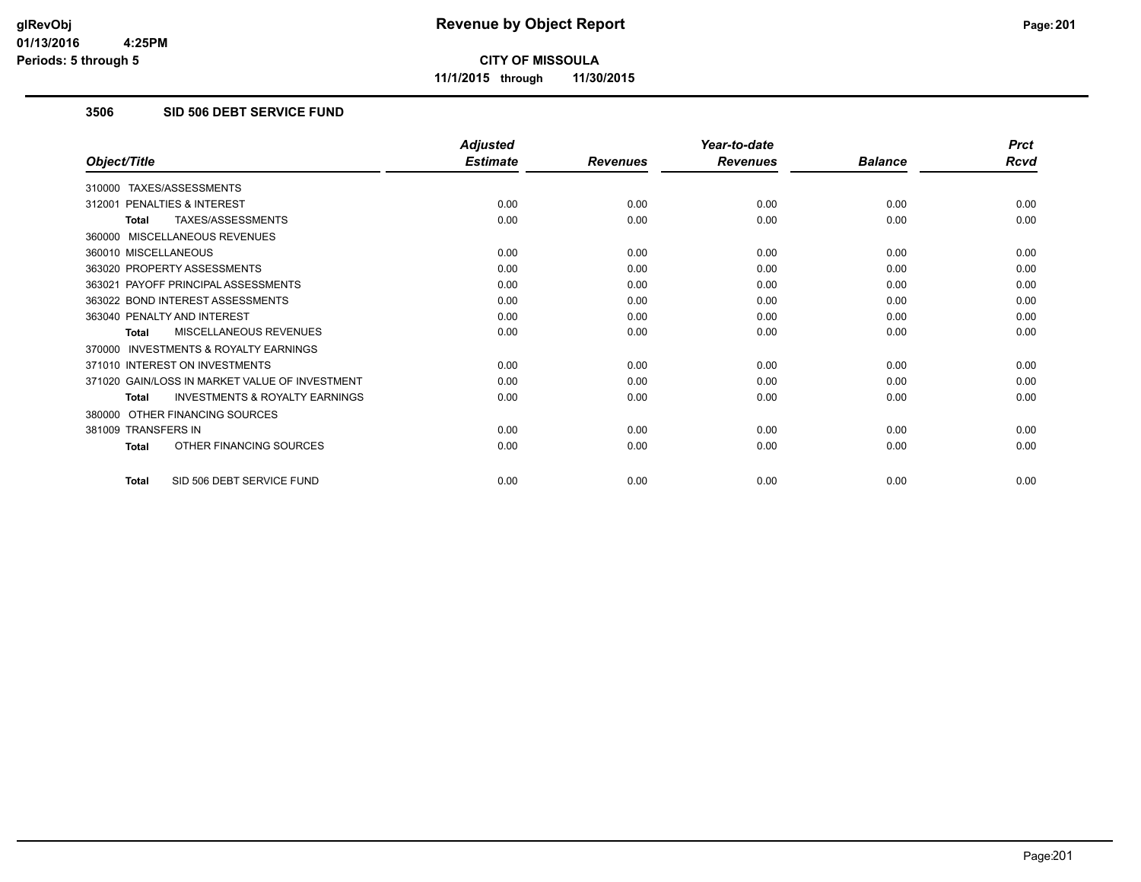**11/1/2015 through 11/30/2015**

### **3506 SID 506 DEBT SERVICE FUND**

|                                                           | <b>Adjusted</b> |                 | Year-to-date    |                | <b>Prct</b> |
|-----------------------------------------------------------|-----------------|-----------------|-----------------|----------------|-------------|
| Object/Title                                              | <b>Estimate</b> | <b>Revenues</b> | <b>Revenues</b> | <b>Balance</b> | <b>Rcvd</b> |
| 310000 TAXES/ASSESSMENTS                                  |                 |                 |                 |                |             |
| PENALTIES & INTEREST<br>312001                            | 0.00            | 0.00            | 0.00            | 0.00           | 0.00        |
| TAXES/ASSESSMENTS<br><b>Total</b>                         | 0.00            | 0.00            | 0.00            | 0.00           | 0.00        |
| 360000 MISCELLANEOUS REVENUES                             |                 |                 |                 |                |             |
| 360010 MISCELLANEOUS                                      | 0.00            | 0.00            | 0.00            | 0.00           | 0.00        |
| 363020 PROPERTY ASSESSMENTS                               | 0.00            | 0.00            | 0.00            | 0.00           | 0.00        |
| 363021 PAYOFF PRINCIPAL ASSESSMENTS                       | 0.00            | 0.00            | 0.00            | 0.00           | 0.00        |
| 363022 BOND INTEREST ASSESSMENTS                          | 0.00            | 0.00            | 0.00            | 0.00           | 0.00        |
| 363040 PENALTY AND INTEREST                               | 0.00            | 0.00            | 0.00            | 0.00           | 0.00        |
| MISCELLANEOUS REVENUES<br><b>Total</b>                    | 0.00            | 0.00            | 0.00            | 0.00           | 0.00        |
| <b>INVESTMENTS &amp; ROYALTY EARNINGS</b><br>370000       |                 |                 |                 |                |             |
| 371010 INTEREST ON INVESTMENTS                            | 0.00            | 0.00            | 0.00            | 0.00           | 0.00        |
| 371020 GAIN/LOSS IN MARKET VALUE OF INVESTMENT            | 0.00            | 0.00            | 0.00            | 0.00           | 0.00        |
| <b>INVESTMENTS &amp; ROYALTY EARNINGS</b><br><b>Total</b> | 0.00            | 0.00            | 0.00            | 0.00           | 0.00        |
| OTHER FINANCING SOURCES<br>380000                         |                 |                 |                 |                |             |
| 381009 TRANSFERS IN                                       | 0.00            | 0.00            | 0.00            | 0.00           | 0.00        |
| OTHER FINANCING SOURCES<br><b>Total</b>                   | 0.00            | 0.00            | 0.00            | 0.00           | 0.00        |
| SID 506 DEBT SERVICE FUND<br><b>Total</b>                 | 0.00            | 0.00            | 0.00            | 0.00           | 0.00        |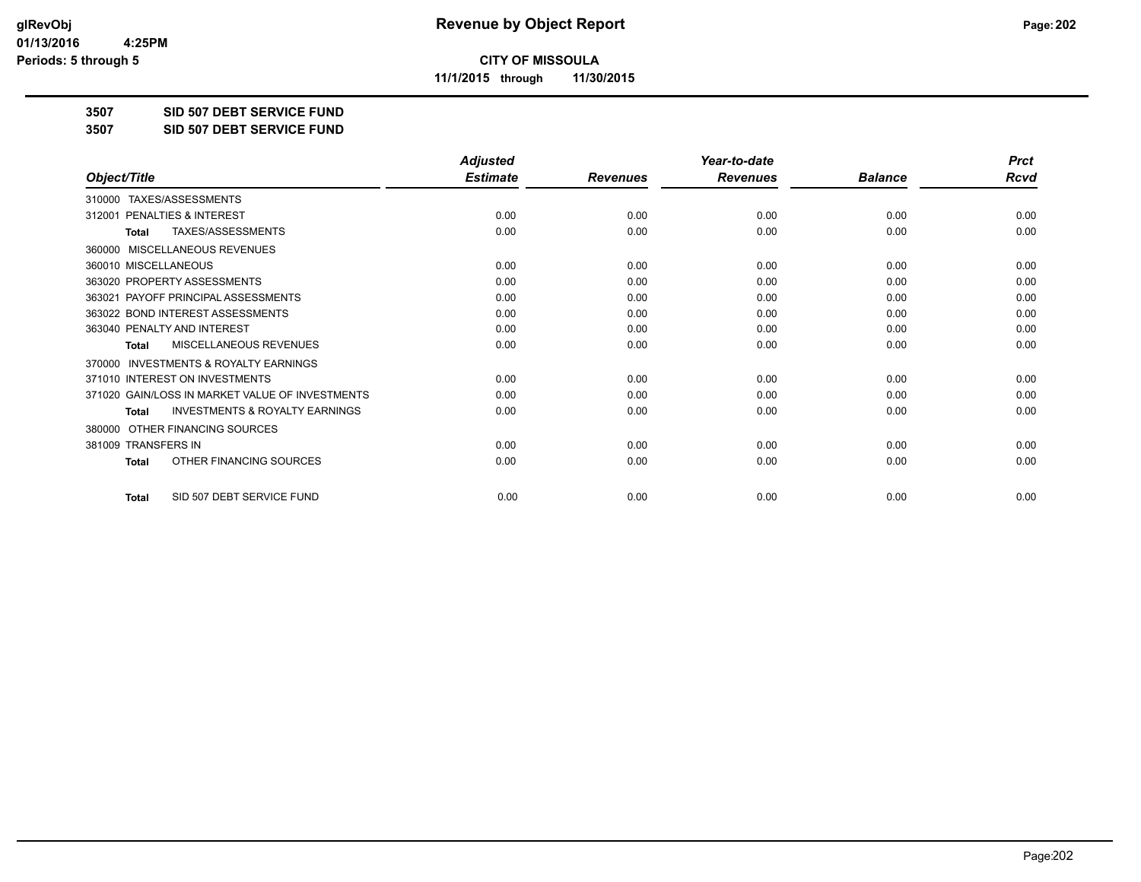**11/1/2015 through 11/30/2015**

**3507 SID 507 DEBT SERVICE FUND**

**3507 SID 507 DEBT SERVICE FUND**

|                                                           | <b>Adjusted</b> |                 | Year-to-date    |                | <b>Prct</b> |
|-----------------------------------------------------------|-----------------|-----------------|-----------------|----------------|-------------|
| Object/Title                                              | <b>Estimate</b> | <b>Revenues</b> | <b>Revenues</b> | <b>Balance</b> | <b>Rcvd</b> |
| 310000 TAXES/ASSESSMENTS                                  |                 |                 |                 |                |             |
| 312001 PENALTIES & INTEREST                               | 0.00            | 0.00            | 0.00            | 0.00           | 0.00        |
| <b>TAXES/ASSESSMENTS</b><br><b>Total</b>                  | 0.00            | 0.00            | 0.00            | 0.00           | 0.00        |
| MISCELLANEOUS REVENUES<br>360000                          |                 |                 |                 |                |             |
| 360010 MISCELLANEOUS                                      | 0.00            | 0.00            | 0.00            | 0.00           | 0.00        |
| 363020 PROPERTY ASSESSMENTS                               | 0.00            | 0.00            | 0.00            | 0.00           | 0.00        |
| 363021 PAYOFF PRINCIPAL ASSESSMENTS                       | 0.00            | 0.00            | 0.00            | 0.00           | 0.00        |
| 363022 BOND INTEREST ASSESSMENTS                          | 0.00            | 0.00            | 0.00            | 0.00           | 0.00        |
| 363040 PENALTY AND INTEREST                               | 0.00            | 0.00            | 0.00            | 0.00           | 0.00        |
| MISCELLANEOUS REVENUES<br><b>Total</b>                    | 0.00            | 0.00            | 0.00            | 0.00           | 0.00        |
| <b>INVESTMENTS &amp; ROYALTY EARNINGS</b><br>370000       |                 |                 |                 |                |             |
| 371010 INTEREST ON INVESTMENTS                            | 0.00            | 0.00            | 0.00            | 0.00           | 0.00        |
| 371020 GAIN/LOSS IN MARKET VALUE OF INVESTMENTS           | 0.00            | 0.00            | 0.00            | 0.00           | 0.00        |
| <b>INVESTMENTS &amp; ROYALTY EARNINGS</b><br><b>Total</b> | 0.00            | 0.00            | 0.00            | 0.00           | 0.00        |
| OTHER FINANCING SOURCES<br>380000                         |                 |                 |                 |                |             |
| 381009 TRANSFERS IN                                       | 0.00            | 0.00            | 0.00            | 0.00           | 0.00        |
| OTHER FINANCING SOURCES<br><b>Total</b>                   | 0.00            | 0.00            | 0.00            | 0.00           | 0.00        |
| SID 507 DEBT SERVICE FUND<br><b>Total</b>                 | 0.00            | 0.00            | 0.00            | 0.00           | 0.00        |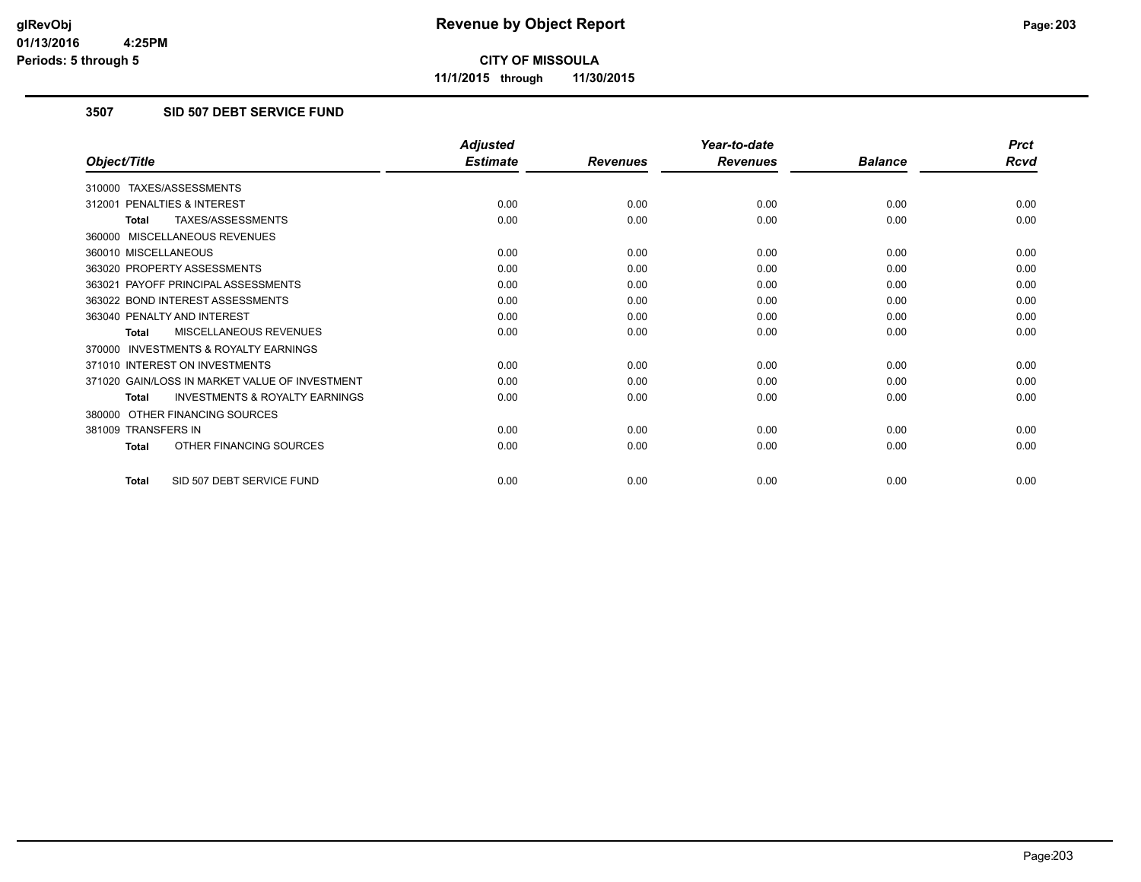**11/1/2015 through 11/30/2015**

#### **3507 SID 507 DEBT SERVICE FUND**

|                                                           | <b>Adjusted</b> |                 | Year-to-date    |                | <b>Prct</b> |
|-----------------------------------------------------------|-----------------|-----------------|-----------------|----------------|-------------|
| Object/Title                                              | <b>Estimate</b> | <b>Revenues</b> | <b>Revenues</b> | <b>Balance</b> | <b>Rcvd</b> |
| 310000 TAXES/ASSESSMENTS                                  |                 |                 |                 |                |             |
| PENALTIES & INTEREST<br>312001                            | 0.00            | 0.00            | 0.00            | 0.00           | 0.00        |
| TAXES/ASSESSMENTS<br><b>Total</b>                         | 0.00            | 0.00            | 0.00            | 0.00           | 0.00        |
| 360000 MISCELLANEOUS REVENUES                             |                 |                 |                 |                |             |
| 360010 MISCELLANEOUS                                      | 0.00            | 0.00            | 0.00            | 0.00           | 0.00        |
| 363020 PROPERTY ASSESSMENTS                               | 0.00            | 0.00            | 0.00            | 0.00           | 0.00        |
| 363021 PAYOFF PRINCIPAL ASSESSMENTS                       | 0.00            | 0.00            | 0.00            | 0.00           | 0.00        |
| 363022 BOND INTEREST ASSESSMENTS                          | 0.00            | 0.00            | 0.00            | 0.00           | 0.00        |
| 363040 PENALTY AND INTEREST                               | 0.00            | 0.00            | 0.00            | 0.00           | 0.00        |
| MISCELLANEOUS REVENUES<br><b>Total</b>                    | 0.00            | 0.00            | 0.00            | 0.00           | 0.00        |
| <b>INVESTMENTS &amp; ROYALTY EARNINGS</b><br>370000       |                 |                 |                 |                |             |
| 371010 INTEREST ON INVESTMENTS                            | 0.00            | 0.00            | 0.00            | 0.00           | 0.00        |
| 371020 GAIN/LOSS IN MARKET VALUE OF INVESTMENT            | 0.00            | 0.00            | 0.00            | 0.00           | 0.00        |
| <b>INVESTMENTS &amp; ROYALTY EARNINGS</b><br><b>Total</b> | 0.00            | 0.00            | 0.00            | 0.00           | 0.00        |
| 380000 OTHER FINANCING SOURCES                            |                 |                 |                 |                |             |
| 381009 TRANSFERS IN                                       | 0.00            | 0.00            | 0.00            | 0.00           | 0.00        |
| OTHER FINANCING SOURCES<br><b>Total</b>                   | 0.00            | 0.00            | 0.00            | 0.00           | 0.00        |
| SID 507 DEBT SERVICE FUND<br><b>Total</b>                 | 0.00            | 0.00            | 0.00            | 0.00           | 0.00        |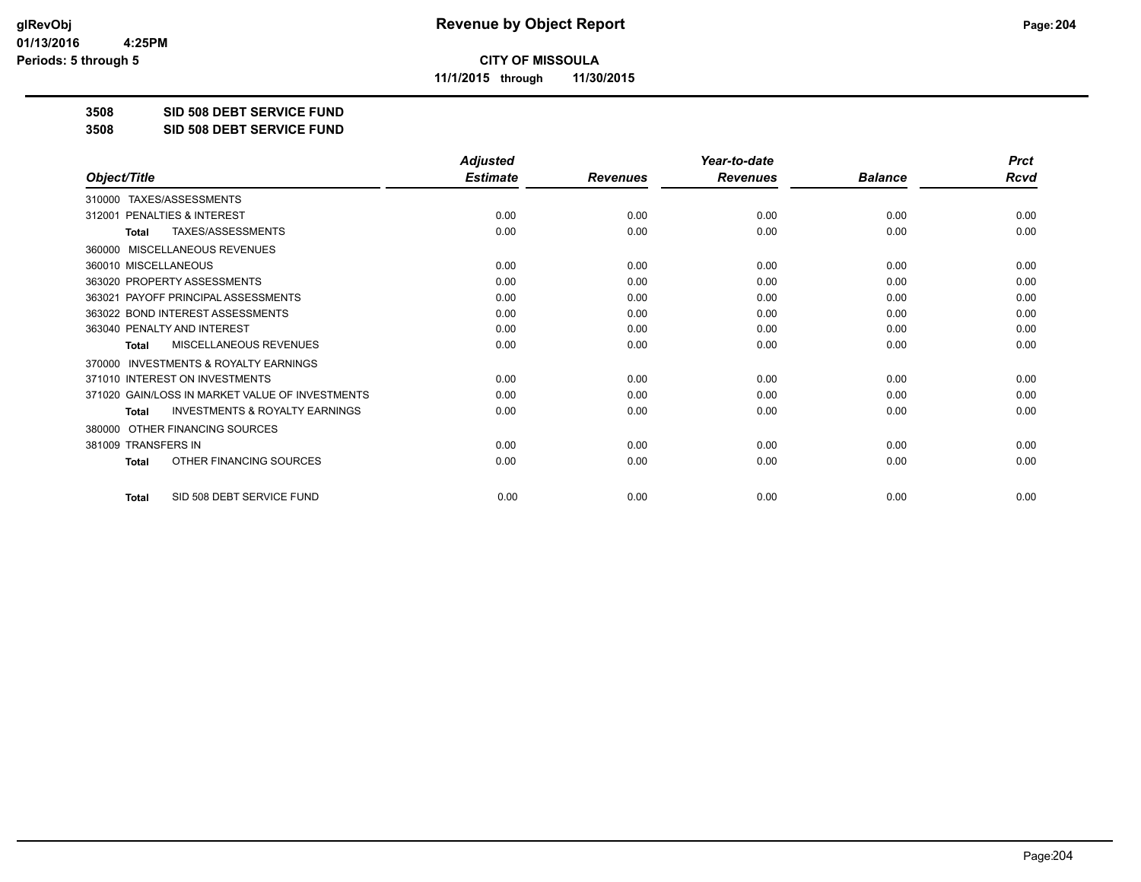**11/1/2015 through 11/30/2015**

**3508 SID 508 DEBT SERVICE FUND**

**3508 SID 508 DEBT SERVICE FUND**

|                                                     | <b>Adjusted</b> |                 | Year-to-date    |                | <b>Prct</b> |
|-----------------------------------------------------|-----------------|-----------------|-----------------|----------------|-------------|
| Object/Title                                        | <b>Estimate</b> | <b>Revenues</b> | <b>Revenues</b> | <b>Balance</b> | Rcvd        |
| 310000 TAXES/ASSESSMENTS                            |                 |                 |                 |                |             |
| PENALTIES & INTEREST<br>312001                      | 0.00            | 0.00            | 0.00            | 0.00           | 0.00        |
| TAXES/ASSESSMENTS<br><b>Total</b>                   | 0.00            | 0.00            | 0.00            | 0.00           | 0.00        |
| MISCELLANEOUS REVENUES<br>360000                    |                 |                 |                 |                |             |
| 360010 MISCELLANEOUS                                | 0.00            | 0.00            | 0.00            | 0.00           | 0.00        |
| 363020 PROPERTY ASSESSMENTS                         | 0.00            | 0.00            | 0.00            | 0.00           | 0.00        |
| 363021 PAYOFF PRINCIPAL ASSESSMENTS                 | 0.00            | 0.00            | 0.00            | 0.00           | 0.00        |
| 363022 BOND INTEREST ASSESSMENTS                    | 0.00            | 0.00            | 0.00            | 0.00           | 0.00        |
| 363040 PENALTY AND INTEREST                         | 0.00            | 0.00            | 0.00            | 0.00           | 0.00        |
| MISCELLANEOUS REVENUES<br>Total                     | 0.00            | 0.00            | 0.00            | 0.00           | 0.00        |
| <b>INVESTMENTS &amp; ROYALTY EARNINGS</b><br>370000 |                 |                 |                 |                |             |
| 371010 INTEREST ON INVESTMENTS                      | 0.00            | 0.00            | 0.00            | 0.00           | 0.00        |
| 371020 GAIN/LOSS IN MARKET VALUE OF INVESTMENTS     | 0.00            | 0.00            | 0.00            | 0.00           | 0.00        |
| <b>INVESTMENTS &amp; ROYALTY EARNINGS</b><br>Total  | 0.00            | 0.00            | 0.00            | 0.00           | 0.00        |
| OTHER FINANCING SOURCES<br>380000                   |                 |                 |                 |                |             |
| 381009 TRANSFERS IN                                 | 0.00            | 0.00            | 0.00            | 0.00           | 0.00        |
| OTHER FINANCING SOURCES<br><b>Total</b>             | 0.00            | 0.00            | 0.00            | 0.00           | 0.00        |
| SID 508 DEBT SERVICE FUND<br><b>Total</b>           | 0.00            | 0.00            | 0.00            | 0.00           | 0.00        |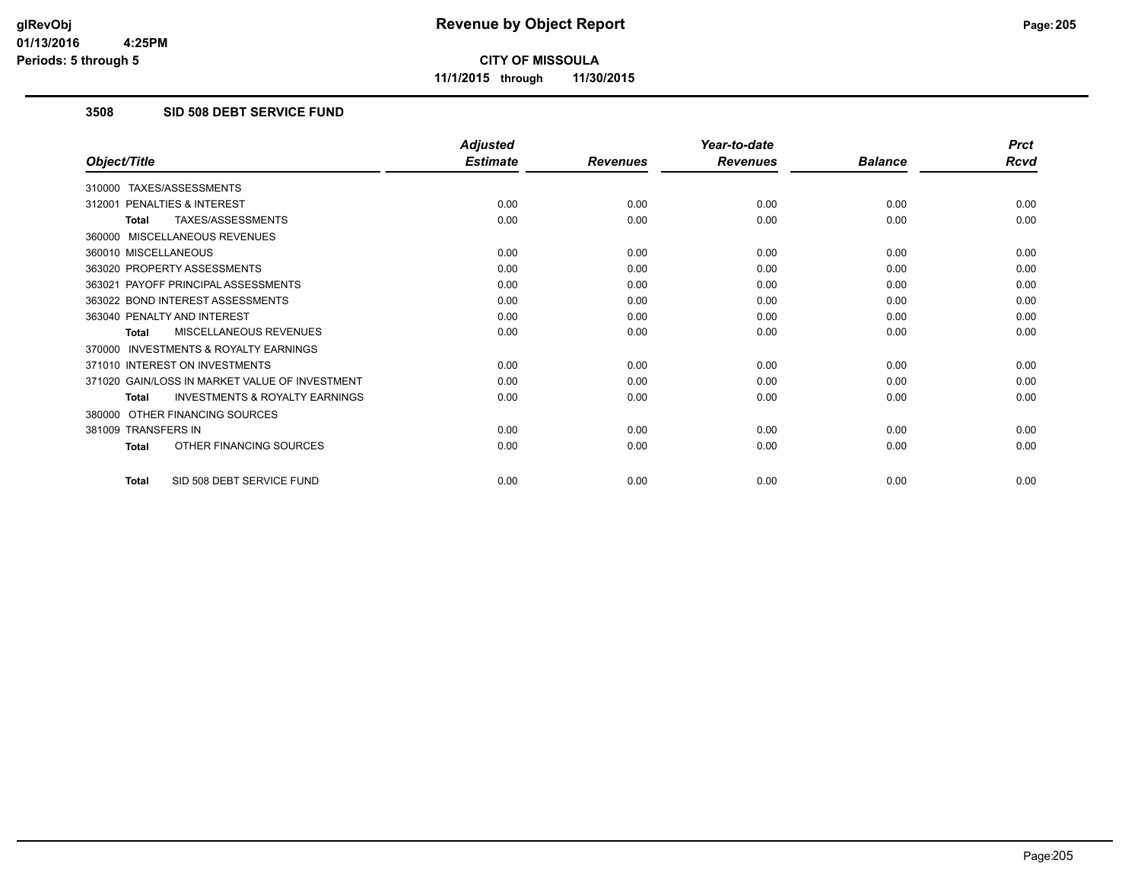**11/1/2015 through 11/30/2015**

#### **3508 SID 508 DEBT SERVICE FUND**

|                                                           | <b>Adjusted</b> |                 | Year-to-date    |                | <b>Prct</b> |
|-----------------------------------------------------------|-----------------|-----------------|-----------------|----------------|-------------|
| Object/Title                                              | <b>Estimate</b> | <b>Revenues</b> | <b>Revenues</b> | <b>Balance</b> | <b>Rcvd</b> |
| 310000 TAXES/ASSESSMENTS                                  |                 |                 |                 |                |             |
| PENALTIES & INTEREST<br>312001                            | 0.00            | 0.00            | 0.00            | 0.00           | 0.00        |
| TAXES/ASSESSMENTS<br><b>Total</b>                         | 0.00            | 0.00            | 0.00            | 0.00           | 0.00        |
| 360000 MISCELLANEOUS REVENUES                             |                 |                 |                 |                |             |
| 360010 MISCELLANEOUS                                      | 0.00            | 0.00            | 0.00            | 0.00           | 0.00        |
| 363020 PROPERTY ASSESSMENTS                               | 0.00            | 0.00            | 0.00            | 0.00           | 0.00        |
| 363021 PAYOFF PRINCIPAL ASSESSMENTS                       | 0.00            | 0.00            | 0.00            | 0.00           | 0.00        |
| 363022 BOND INTEREST ASSESSMENTS                          | 0.00            | 0.00            | 0.00            | 0.00           | 0.00        |
| 363040 PENALTY AND INTEREST                               | 0.00            | 0.00            | 0.00            | 0.00           | 0.00        |
| MISCELLANEOUS REVENUES<br><b>Total</b>                    | 0.00            | 0.00            | 0.00            | 0.00           | 0.00        |
| <b>INVESTMENTS &amp; ROYALTY EARNINGS</b><br>370000       |                 |                 |                 |                |             |
| 371010 INTEREST ON INVESTMENTS                            | 0.00            | 0.00            | 0.00            | 0.00           | 0.00        |
| 371020 GAIN/LOSS IN MARKET VALUE OF INVESTMENT            | 0.00            | 0.00            | 0.00            | 0.00           | 0.00        |
| <b>INVESTMENTS &amp; ROYALTY EARNINGS</b><br><b>Total</b> | 0.00            | 0.00            | 0.00            | 0.00           | 0.00        |
| 380000 OTHER FINANCING SOURCES                            |                 |                 |                 |                |             |
| 381009 TRANSFERS IN                                       | 0.00            | 0.00            | 0.00            | 0.00           | 0.00        |
| OTHER FINANCING SOURCES<br><b>Total</b>                   | 0.00            | 0.00            | 0.00            | 0.00           | 0.00        |
| SID 508 DEBT SERVICE FUND<br><b>Total</b>                 | 0.00            | 0.00            | 0.00            | 0.00           | 0.00        |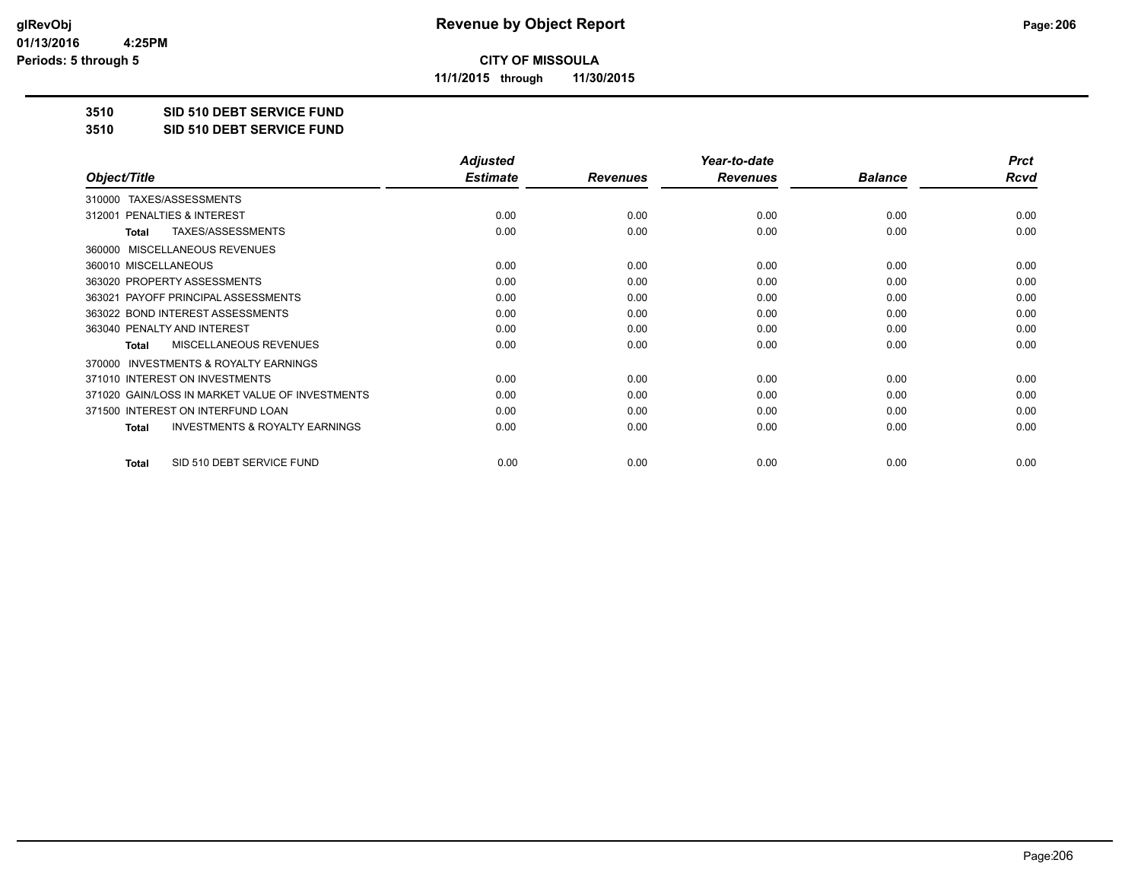**11/1/2015 through 11/30/2015**

**3510 SID 510 DEBT SERVICE FUND**

**3510 SID 510 DEBT SERVICE FUND**

|                                                           | <b>Adjusted</b> |                 | Year-to-date    |                | <b>Prct</b> |
|-----------------------------------------------------------|-----------------|-----------------|-----------------|----------------|-------------|
| Object/Title                                              | <b>Estimate</b> | <b>Revenues</b> | <b>Revenues</b> | <b>Balance</b> | <b>Rcvd</b> |
| TAXES/ASSESSMENTS<br>310000                               |                 |                 |                 |                |             |
| PENALTIES & INTEREST<br>312001                            | 0.00            | 0.00            | 0.00            | 0.00           | 0.00        |
| TAXES/ASSESSMENTS<br><b>Total</b>                         | 0.00            | 0.00            | 0.00            | 0.00           | 0.00        |
| MISCELLANEOUS REVENUES<br>360000                          |                 |                 |                 |                |             |
| 360010 MISCELLANEOUS                                      | 0.00            | 0.00            | 0.00            | 0.00           | 0.00        |
| 363020 PROPERTY ASSESSMENTS                               | 0.00            | 0.00            | 0.00            | 0.00           | 0.00        |
| 363021 PAYOFF PRINCIPAL ASSESSMENTS                       | 0.00            | 0.00            | 0.00            | 0.00           | 0.00        |
| 363022 BOND INTEREST ASSESSMENTS                          | 0.00            | 0.00            | 0.00            | 0.00           | 0.00        |
| 363040 PENALTY AND INTEREST                               | 0.00            | 0.00            | 0.00            | 0.00           | 0.00        |
| <b>MISCELLANEOUS REVENUES</b><br><b>Total</b>             | 0.00            | 0.00            | 0.00            | 0.00           | 0.00        |
| <b>INVESTMENTS &amp; ROYALTY EARNINGS</b><br>370000       |                 |                 |                 |                |             |
| 371010 INTEREST ON INVESTMENTS                            | 0.00            | 0.00            | 0.00            | 0.00           | 0.00        |
| 371020 GAIN/LOSS IN MARKET VALUE OF INVESTMENTS           | 0.00            | 0.00            | 0.00            | 0.00           | 0.00        |
| 371500 INTEREST ON INTERFUND LOAN                         | 0.00            | 0.00            | 0.00            | 0.00           | 0.00        |
| <b>INVESTMENTS &amp; ROYALTY EARNINGS</b><br><b>Total</b> | 0.00            | 0.00            | 0.00            | 0.00           | 0.00        |
| SID 510 DEBT SERVICE FUND<br><b>Total</b>                 | 0.00            | 0.00            | 0.00            | 0.00           | 0.00        |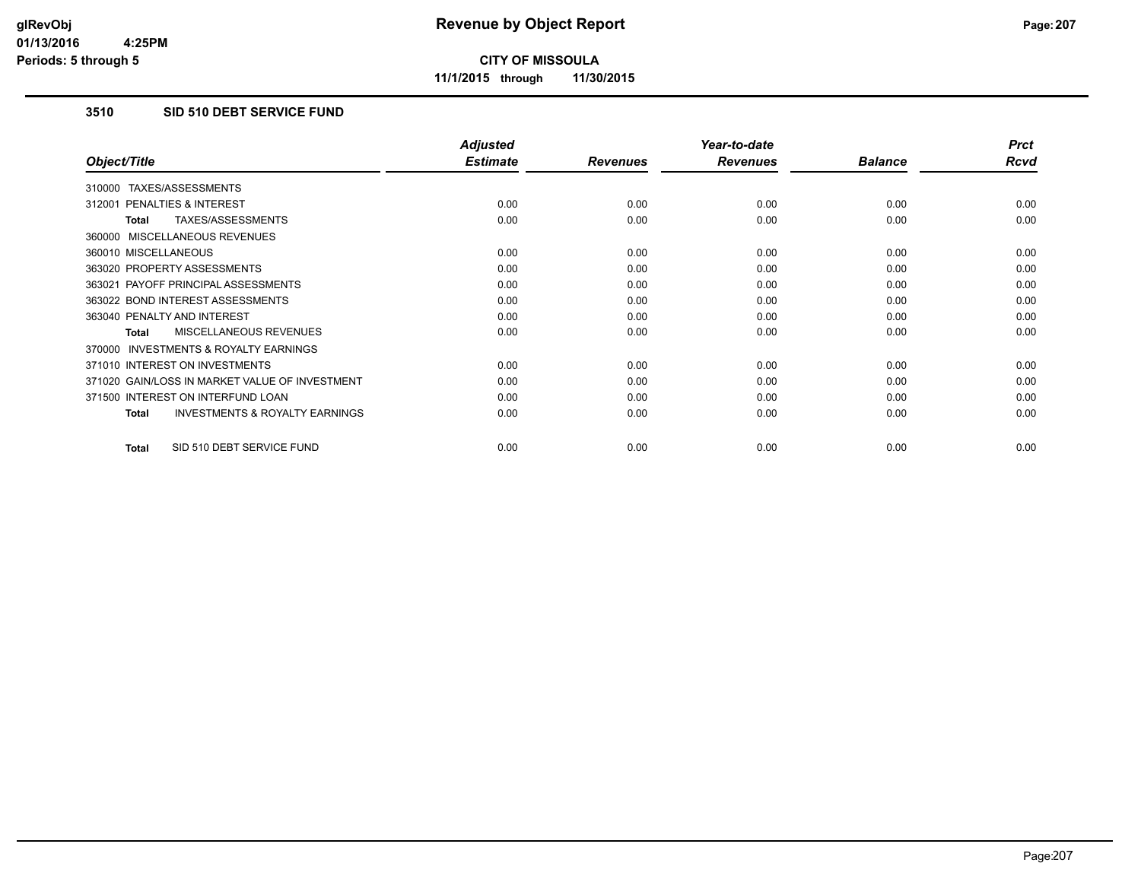**11/1/2015 through 11/30/2015**

### **3510 SID 510 DEBT SERVICE FUND**

|                                                           | <b>Adjusted</b> |                 | Year-to-date    |                | <b>Prct</b> |
|-----------------------------------------------------------|-----------------|-----------------|-----------------|----------------|-------------|
| Object/Title                                              | <b>Estimate</b> | <b>Revenues</b> | <b>Revenues</b> | <b>Balance</b> | <b>Rcvd</b> |
| TAXES/ASSESSMENTS<br>310000                               |                 |                 |                 |                |             |
| PENALTIES & INTEREST<br>312001                            | 0.00            | 0.00            | 0.00            | 0.00           | 0.00        |
| TAXES/ASSESSMENTS<br>Total                                | 0.00            | 0.00            | 0.00            | 0.00           | 0.00        |
| 360000 MISCELLANEOUS REVENUES                             |                 |                 |                 |                |             |
| 360010 MISCELLANEOUS                                      | 0.00            | 0.00            | 0.00            | 0.00           | 0.00        |
| 363020 PROPERTY ASSESSMENTS                               | 0.00            | 0.00            | 0.00            | 0.00           | 0.00        |
| 363021 PAYOFF PRINCIPAL ASSESSMENTS                       | 0.00            | 0.00            | 0.00            | 0.00           | 0.00        |
| 363022 BOND INTEREST ASSESSMENTS                          | 0.00            | 0.00            | 0.00            | 0.00           | 0.00        |
| 363040 PENALTY AND INTEREST                               | 0.00            | 0.00            | 0.00            | 0.00           | 0.00        |
| <b>MISCELLANEOUS REVENUES</b><br><b>Total</b>             | 0.00            | 0.00            | 0.00            | 0.00           | 0.00        |
| <b>INVESTMENTS &amp; ROYALTY EARNINGS</b><br>370000       |                 |                 |                 |                |             |
| 371010 INTEREST ON INVESTMENTS                            | 0.00            | 0.00            | 0.00            | 0.00           | 0.00        |
| 371020 GAIN/LOSS IN MARKET VALUE OF INVESTMENT            | 0.00            | 0.00            | 0.00            | 0.00           | 0.00        |
| 371500 INTEREST ON INTERFUND LOAN                         | 0.00            | 0.00            | 0.00            | 0.00           | 0.00        |
| <b>INVESTMENTS &amp; ROYALTY EARNINGS</b><br><b>Total</b> | 0.00            | 0.00            | 0.00            | 0.00           | 0.00        |
| SID 510 DEBT SERVICE FUND<br><b>Total</b>                 | 0.00            | 0.00            | 0.00            | 0.00           | 0.00        |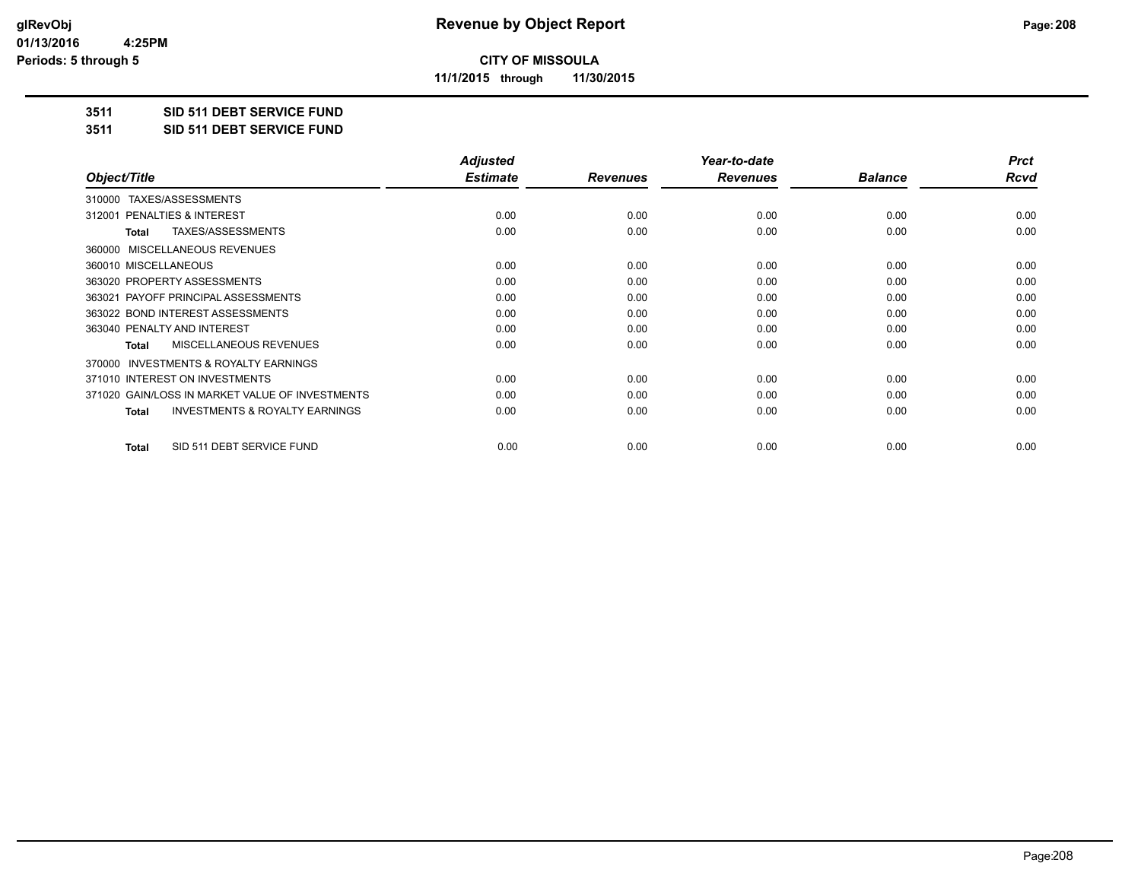**11/1/2015 through 11/30/2015**

**3511 SID 511 DEBT SERVICE FUND**

**3511 SID 511 DEBT SERVICE FUND**

|                                                           | <b>Adjusted</b> |                 | Year-to-date    |                | <b>Prct</b> |
|-----------------------------------------------------------|-----------------|-----------------|-----------------|----------------|-------------|
| Object/Title                                              | <b>Estimate</b> | <b>Revenues</b> | <b>Revenues</b> | <b>Balance</b> | Rcvd        |
| TAXES/ASSESSMENTS<br>310000                               |                 |                 |                 |                |             |
| 312001 PENALTIES & INTEREST                               | 0.00            | 0.00            | 0.00            | 0.00           | 0.00        |
| TAXES/ASSESSMENTS<br>Total                                | 0.00            | 0.00            | 0.00            | 0.00           | 0.00        |
| MISCELLANEOUS REVENUES<br>360000                          |                 |                 |                 |                |             |
| 360010 MISCELLANEOUS                                      | 0.00            | 0.00            | 0.00            | 0.00           | 0.00        |
| 363020 PROPERTY ASSESSMENTS                               | 0.00            | 0.00            | 0.00            | 0.00           | 0.00        |
| 363021 PAYOFF PRINCIPAL ASSESSMENTS                       | 0.00            | 0.00            | 0.00            | 0.00           | 0.00        |
| 363022 BOND INTEREST ASSESSMENTS                          | 0.00            | 0.00            | 0.00            | 0.00           | 0.00        |
| 363040 PENALTY AND INTEREST                               | 0.00            | 0.00            | 0.00            | 0.00           | 0.00        |
| <b>MISCELLANEOUS REVENUES</b><br>Total                    | 0.00            | 0.00            | 0.00            | 0.00           | 0.00        |
| <b>INVESTMENTS &amp; ROYALTY EARNINGS</b><br>370000       |                 |                 |                 |                |             |
| 371010 INTEREST ON INVESTMENTS                            | 0.00            | 0.00            | 0.00            | 0.00           | 0.00        |
| 371020 GAIN/LOSS IN MARKET VALUE OF INVESTMENTS           | 0.00            | 0.00            | 0.00            | 0.00           | 0.00        |
| <b>INVESTMENTS &amp; ROYALTY EARNINGS</b><br><b>Total</b> | 0.00            | 0.00            | 0.00            | 0.00           | 0.00        |
| SID 511 DEBT SERVICE FUND<br><b>Total</b>                 | 0.00            | 0.00            | 0.00            | 0.00           | 0.00        |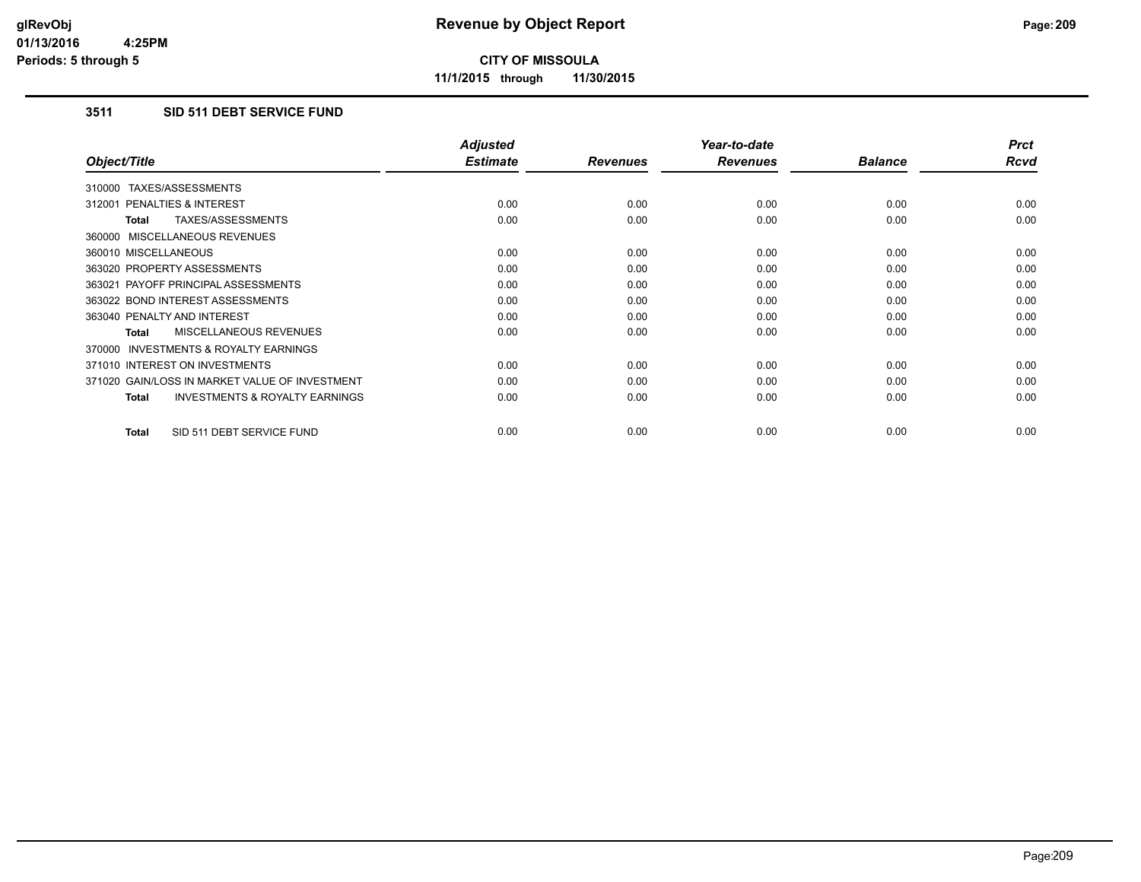**11/1/2015 through 11/30/2015**

### **3511 SID 511 DEBT SERVICE FUND**

|                                                     | <b>Adjusted</b> |                 | Year-to-date    |                | <b>Prct</b> |
|-----------------------------------------------------|-----------------|-----------------|-----------------|----------------|-------------|
| Object/Title                                        | <b>Estimate</b> | <b>Revenues</b> | <b>Revenues</b> | <b>Balance</b> | <b>Rcvd</b> |
| 310000 TAXES/ASSESSMENTS                            |                 |                 |                 |                |             |
| 312001 PENALTIES & INTEREST                         | 0.00            | 0.00            | 0.00            | 0.00           | 0.00        |
| TAXES/ASSESSMENTS<br><b>Total</b>                   | 0.00            | 0.00            | 0.00            | 0.00           | 0.00        |
| 360000 MISCELLANEOUS REVENUES                       |                 |                 |                 |                |             |
| 360010 MISCELLANEOUS                                | 0.00            | 0.00            | 0.00            | 0.00           | 0.00        |
| 363020 PROPERTY ASSESSMENTS                         | 0.00            | 0.00            | 0.00            | 0.00           | 0.00        |
| 363021 PAYOFF PRINCIPAL ASSESSMENTS                 | 0.00            | 0.00            | 0.00            | 0.00           | 0.00        |
| 363022 BOND INTEREST ASSESSMENTS                    | 0.00            | 0.00            | 0.00            | 0.00           | 0.00        |
| 363040 PENALTY AND INTEREST                         | 0.00            | 0.00            | 0.00            | 0.00           | 0.00        |
| <b>MISCELLANEOUS REVENUES</b><br>Total              | 0.00            | 0.00            | 0.00            | 0.00           | 0.00        |
| <b>INVESTMENTS &amp; ROYALTY EARNINGS</b><br>370000 |                 |                 |                 |                |             |
| 371010 INTEREST ON INVESTMENTS                      | 0.00            | 0.00            | 0.00            | 0.00           | 0.00        |
| 371020 GAIN/LOSS IN MARKET VALUE OF INVESTMENT      | 0.00            | 0.00            | 0.00            | 0.00           | 0.00        |
| <b>INVESTMENTS &amp; ROYALTY EARNINGS</b><br>Total  | 0.00            | 0.00            | 0.00            | 0.00           | 0.00        |
| SID 511 DEBT SERVICE FUND<br><b>Total</b>           | 0.00            | 0.00            | 0.00            | 0.00           | 0.00        |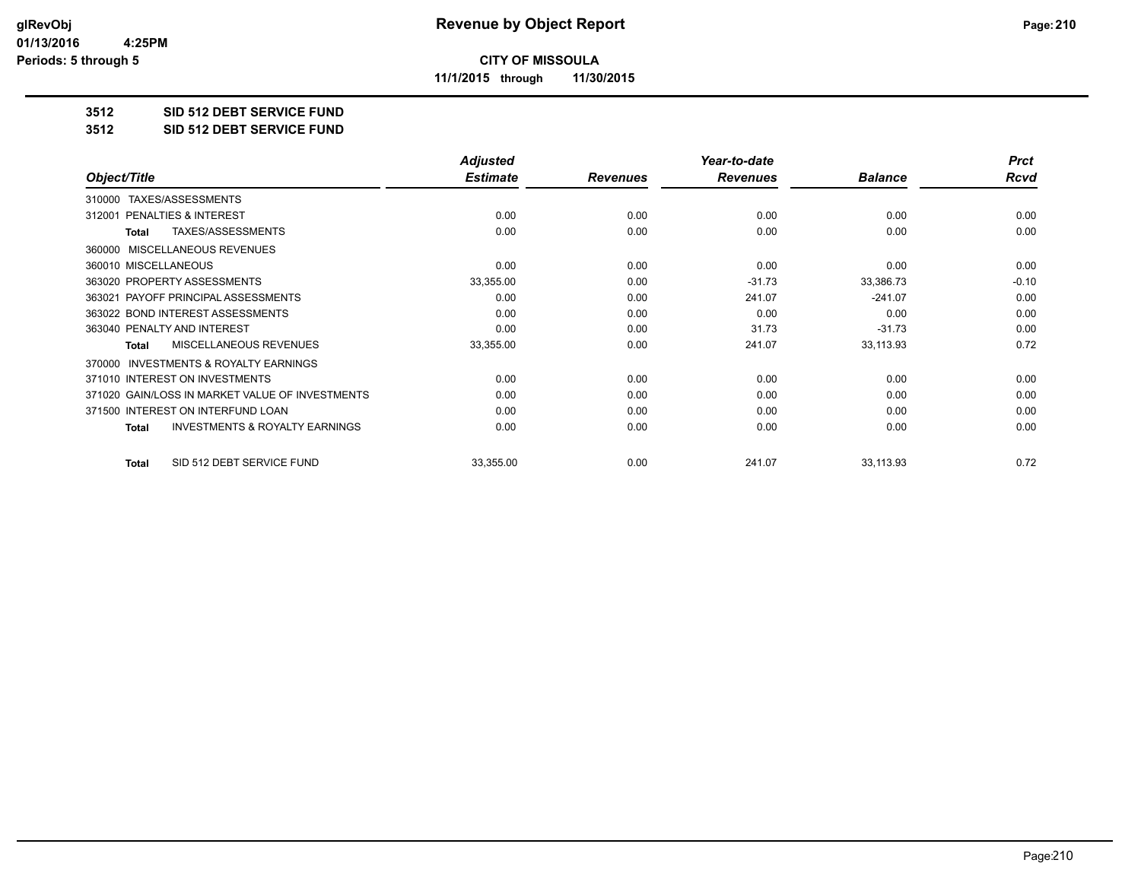**11/1/2015 through 11/30/2015**

#### **3512 SID 512 DEBT SERVICE FUND**

**3512 SID 512 DEBT SERVICE FUND**

|                                                           | <b>Adjusted</b> |                 | Year-to-date    |                | <b>Prct</b> |
|-----------------------------------------------------------|-----------------|-----------------|-----------------|----------------|-------------|
| Object/Title                                              | <b>Estimate</b> | <b>Revenues</b> | <b>Revenues</b> | <b>Balance</b> | <b>Rcvd</b> |
| TAXES/ASSESSMENTS<br>310000                               |                 |                 |                 |                |             |
| <b>PENALTIES &amp; INTEREST</b><br>312001                 | 0.00            | 0.00            | 0.00            | 0.00           | 0.00        |
| TAXES/ASSESSMENTS<br><b>Total</b>                         | 0.00            | 0.00            | 0.00            | 0.00           | 0.00        |
| MISCELLANEOUS REVENUES<br>360000                          |                 |                 |                 |                |             |
| 360010 MISCELLANEOUS                                      | 0.00            | 0.00            | 0.00            | 0.00           | 0.00        |
| 363020 PROPERTY ASSESSMENTS                               | 33,355.00       | 0.00            | $-31.73$        | 33,386.73      | $-0.10$     |
| 363021 PAYOFF PRINCIPAL ASSESSMENTS                       | 0.00            | 0.00            | 241.07          | $-241.07$      | 0.00        |
| 363022 BOND INTEREST ASSESSMENTS                          | 0.00            | 0.00            | 0.00            | 0.00           | 0.00        |
| 363040 PENALTY AND INTEREST                               | 0.00            | 0.00            | 31.73           | $-31.73$       | 0.00        |
| <b>MISCELLANEOUS REVENUES</b><br><b>Total</b>             | 33,355.00       | 0.00            | 241.07          | 33,113.93      | 0.72        |
| <b>INVESTMENTS &amp; ROYALTY EARNINGS</b><br>370000       |                 |                 |                 |                |             |
| 371010 INTEREST ON INVESTMENTS                            | 0.00            | 0.00            | 0.00            | 0.00           | 0.00        |
| 371020 GAIN/LOSS IN MARKET VALUE OF INVESTMENTS           | 0.00            | 0.00            | 0.00            | 0.00           | 0.00        |
| 371500 INTEREST ON INTERFUND LOAN                         | 0.00            | 0.00            | 0.00            | 0.00           | 0.00        |
| <b>INVESTMENTS &amp; ROYALTY EARNINGS</b><br><b>Total</b> | 0.00            | 0.00            | 0.00            | 0.00           | 0.00        |
| SID 512 DEBT SERVICE FUND<br><b>Total</b>                 | 33,355.00       | 0.00            | 241.07          | 33,113.93      | 0.72        |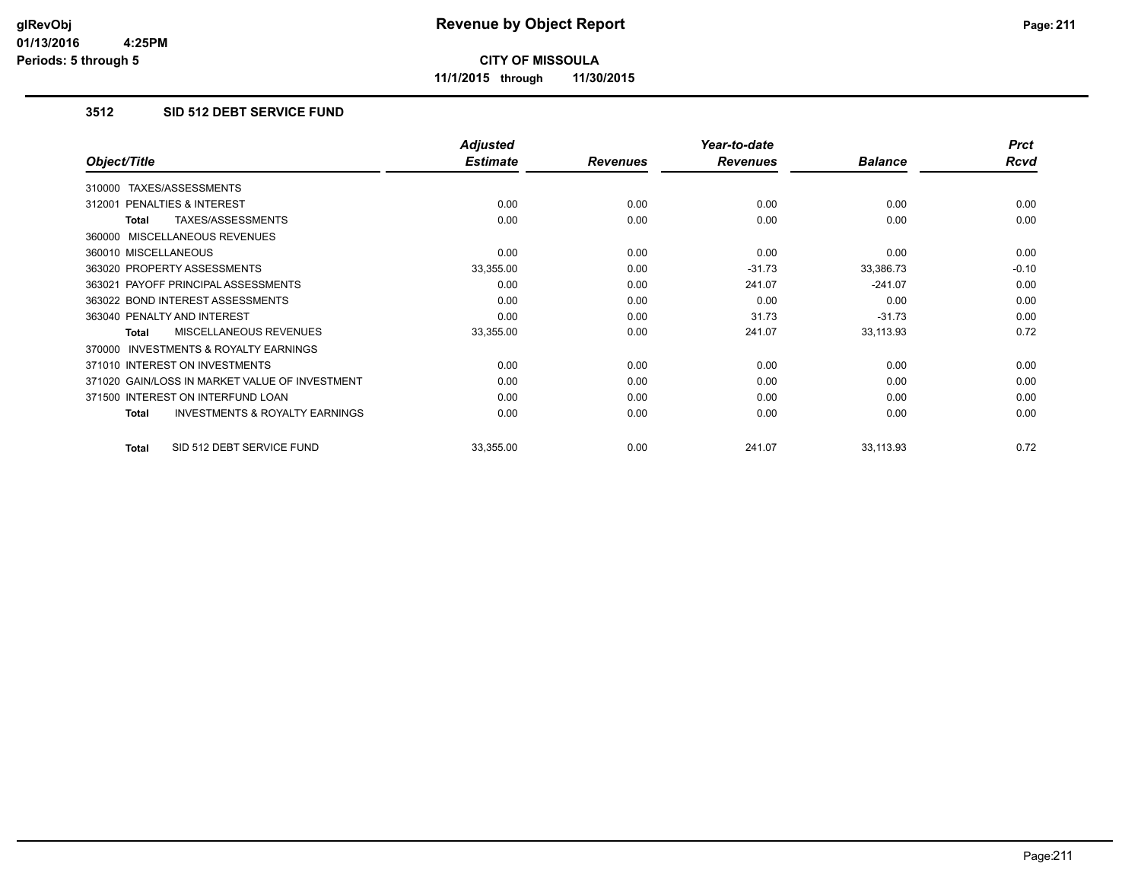**11/1/2015 through 11/30/2015**

#### **3512 SID 512 DEBT SERVICE FUND**

|                                                           | <b>Adjusted</b> |                 | Year-to-date    |                | <b>Prct</b> |
|-----------------------------------------------------------|-----------------|-----------------|-----------------|----------------|-------------|
| Object/Title                                              | <b>Estimate</b> | <b>Revenues</b> | <b>Revenues</b> | <b>Balance</b> | Rcvd        |
| TAXES/ASSESSMENTS<br>310000                               |                 |                 |                 |                |             |
| 312001 PENALTIES & INTEREST                               | 0.00            | 0.00            | 0.00            | 0.00           | 0.00        |
| TAXES/ASSESSMENTS<br>Total                                | 0.00            | 0.00            | 0.00            | 0.00           | 0.00        |
| 360000 MISCELLANEOUS REVENUES                             |                 |                 |                 |                |             |
| 360010 MISCELLANEOUS                                      | 0.00            | 0.00            | 0.00            | 0.00           | 0.00        |
| 363020 PROPERTY ASSESSMENTS                               | 33,355.00       | 0.00            | $-31.73$        | 33,386.73      | $-0.10$     |
| 363021 PAYOFF PRINCIPAL ASSESSMENTS                       | 0.00            | 0.00            | 241.07          | $-241.07$      | 0.00        |
| 363022 BOND INTEREST ASSESSMENTS                          | 0.00            | 0.00            | 0.00            | 0.00           | 0.00        |
| 363040 PENALTY AND INTEREST                               | 0.00            | 0.00            | 31.73           | $-31.73$       | 0.00        |
| MISCELLANEOUS REVENUES<br>Total                           | 33,355.00       | 0.00            | 241.07          | 33,113.93      | 0.72        |
| 370000 INVESTMENTS & ROYALTY EARNINGS                     |                 |                 |                 |                |             |
| 371010 INTEREST ON INVESTMENTS                            | 0.00            | 0.00            | 0.00            | 0.00           | 0.00        |
| 371020 GAIN/LOSS IN MARKET VALUE OF INVESTMENT            | 0.00            | 0.00            | 0.00            | 0.00           | 0.00        |
| 371500 INTEREST ON INTERFUND LOAN                         | 0.00            | 0.00            | 0.00            | 0.00           | 0.00        |
| <b>INVESTMENTS &amp; ROYALTY EARNINGS</b><br><b>Total</b> | 0.00            | 0.00            | 0.00            | 0.00           | 0.00        |
| SID 512 DEBT SERVICE FUND<br><b>Total</b>                 | 33,355.00       | 0.00            | 241.07          | 33,113.93      | 0.72        |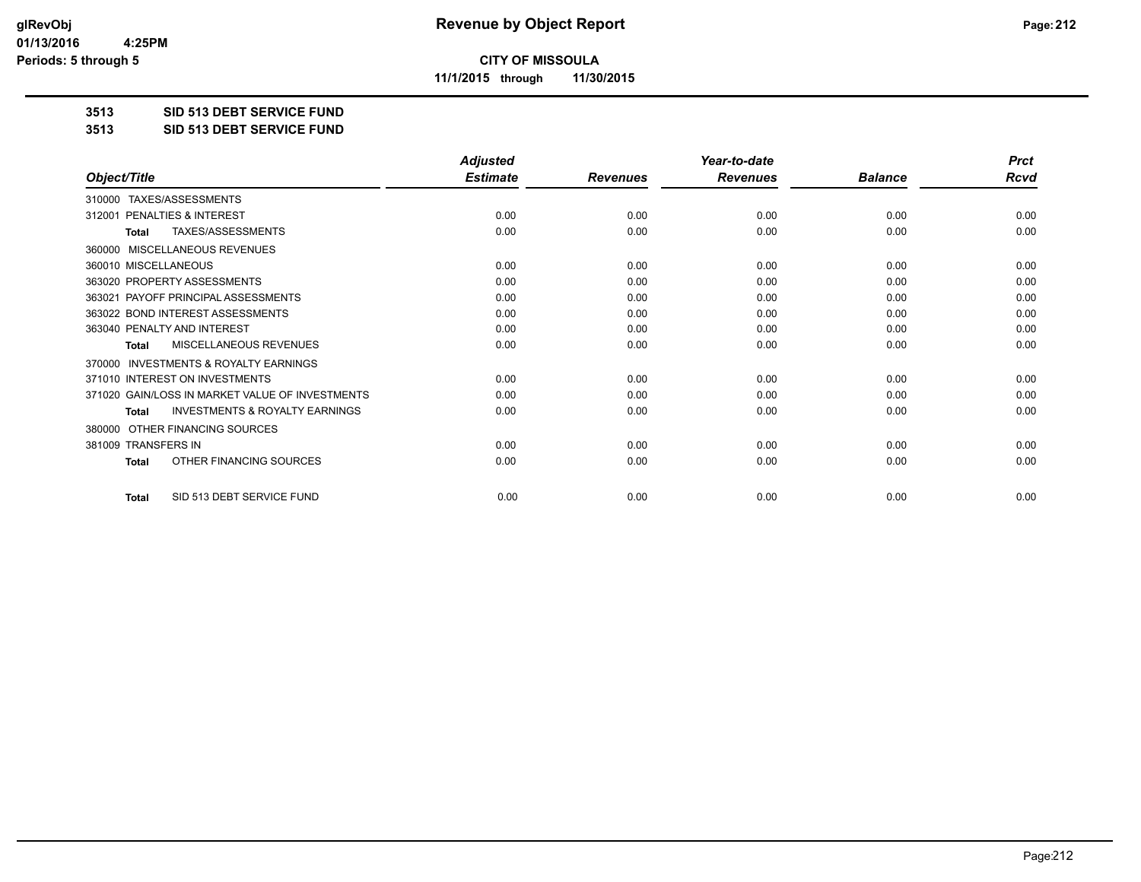**11/1/2015 through 11/30/2015**

#### **3513 SID 513 DEBT SERVICE FUND**

**3513 SID 513 DEBT SERVICE FUND**

|                                                           | <b>Adjusted</b> |                 | Year-to-date    |                | <b>Prct</b> |
|-----------------------------------------------------------|-----------------|-----------------|-----------------|----------------|-------------|
| Object/Title                                              | <b>Estimate</b> | <b>Revenues</b> | <b>Revenues</b> | <b>Balance</b> | <b>Rcvd</b> |
| 310000 TAXES/ASSESSMENTS                                  |                 |                 |                 |                |             |
| 312001 PENALTIES & INTEREST                               | 0.00            | 0.00            | 0.00            | 0.00           | 0.00        |
| <b>TAXES/ASSESSMENTS</b><br><b>Total</b>                  | 0.00            | 0.00            | 0.00            | 0.00           | 0.00        |
| MISCELLANEOUS REVENUES<br>360000                          |                 |                 |                 |                |             |
| 360010 MISCELLANEOUS                                      | 0.00            | 0.00            | 0.00            | 0.00           | 0.00        |
| 363020 PROPERTY ASSESSMENTS                               | 0.00            | 0.00            | 0.00            | 0.00           | 0.00        |
| 363021 PAYOFF PRINCIPAL ASSESSMENTS                       | 0.00            | 0.00            | 0.00            | 0.00           | 0.00        |
| 363022 BOND INTEREST ASSESSMENTS                          | 0.00            | 0.00            | 0.00            | 0.00           | 0.00        |
| 363040 PENALTY AND INTEREST                               | 0.00            | 0.00            | 0.00            | 0.00           | 0.00        |
| MISCELLANEOUS REVENUES<br><b>Total</b>                    | 0.00            | 0.00            | 0.00            | 0.00           | 0.00        |
| <b>INVESTMENTS &amp; ROYALTY EARNINGS</b><br>370000       |                 |                 |                 |                |             |
| 371010 INTEREST ON INVESTMENTS                            | 0.00            | 0.00            | 0.00            | 0.00           | 0.00        |
| 371020 GAIN/LOSS IN MARKET VALUE OF INVESTMENTS           | 0.00            | 0.00            | 0.00            | 0.00           | 0.00        |
| <b>INVESTMENTS &amp; ROYALTY EARNINGS</b><br><b>Total</b> | 0.00            | 0.00            | 0.00            | 0.00           | 0.00        |
| OTHER FINANCING SOURCES<br>380000                         |                 |                 |                 |                |             |
| 381009 TRANSFERS IN                                       | 0.00            | 0.00            | 0.00            | 0.00           | 0.00        |
| OTHER FINANCING SOURCES<br><b>Total</b>                   | 0.00            | 0.00            | 0.00            | 0.00           | 0.00        |
| SID 513 DEBT SERVICE FUND<br><b>Total</b>                 | 0.00            | 0.00            | 0.00            | 0.00           | 0.00        |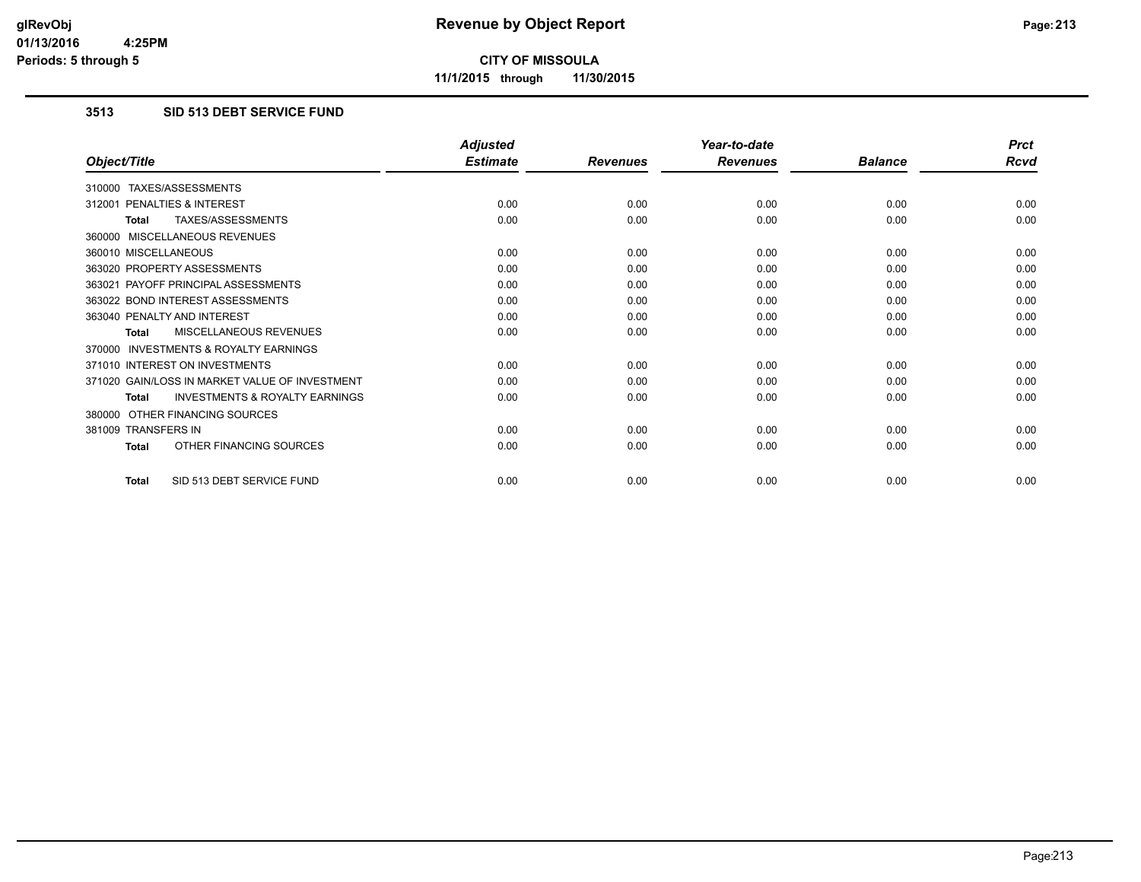**11/1/2015 through 11/30/2015**

### **3513 SID 513 DEBT SERVICE FUND**

|                                                           | <b>Adjusted</b> |                 | Year-to-date    |                | <b>Prct</b> |
|-----------------------------------------------------------|-----------------|-----------------|-----------------|----------------|-------------|
| Object/Title                                              | <b>Estimate</b> | <b>Revenues</b> | <b>Revenues</b> | <b>Balance</b> | <b>Rcvd</b> |
| 310000 TAXES/ASSESSMENTS                                  |                 |                 |                 |                |             |
| PENALTIES & INTEREST<br>312001                            | 0.00            | 0.00            | 0.00            | 0.00           | 0.00        |
| TAXES/ASSESSMENTS<br><b>Total</b>                         | 0.00            | 0.00            | 0.00            | 0.00           | 0.00        |
| 360000 MISCELLANEOUS REVENUES                             |                 |                 |                 |                |             |
| 360010 MISCELLANEOUS                                      | 0.00            | 0.00            | 0.00            | 0.00           | 0.00        |
| 363020 PROPERTY ASSESSMENTS                               | 0.00            | 0.00            | 0.00            | 0.00           | 0.00        |
| 363021 PAYOFF PRINCIPAL ASSESSMENTS                       | 0.00            | 0.00            | 0.00            | 0.00           | 0.00        |
| 363022 BOND INTEREST ASSESSMENTS                          | 0.00            | 0.00            | 0.00            | 0.00           | 0.00        |
| 363040 PENALTY AND INTEREST                               | 0.00            | 0.00            | 0.00            | 0.00           | 0.00        |
| MISCELLANEOUS REVENUES<br><b>Total</b>                    | 0.00            | 0.00            | 0.00            | 0.00           | 0.00        |
| <b>INVESTMENTS &amp; ROYALTY EARNINGS</b><br>370000       |                 |                 |                 |                |             |
| 371010 INTEREST ON INVESTMENTS                            | 0.00            | 0.00            | 0.00            | 0.00           | 0.00        |
| 371020 GAIN/LOSS IN MARKET VALUE OF INVESTMENT            | 0.00            | 0.00            | 0.00            | 0.00           | 0.00        |
| <b>INVESTMENTS &amp; ROYALTY EARNINGS</b><br><b>Total</b> | 0.00            | 0.00            | 0.00            | 0.00           | 0.00        |
| OTHER FINANCING SOURCES<br>380000                         |                 |                 |                 |                |             |
| 381009 TRANSFERS IN                                       | 0.00            | 0.00            | 0.00            | 0.00           | 0.00        |
| OTHER FINANCING SOURCES<br><b>Total</b>                   | 0.00            | 0.00            | 0.00            | 0.00           | 0.00        |
| SID 513 DEBT SERVICE FUND<br><b>Total</b>                 | 0.00            | 0.00            | 0.00            | 0.00           | 0.00        |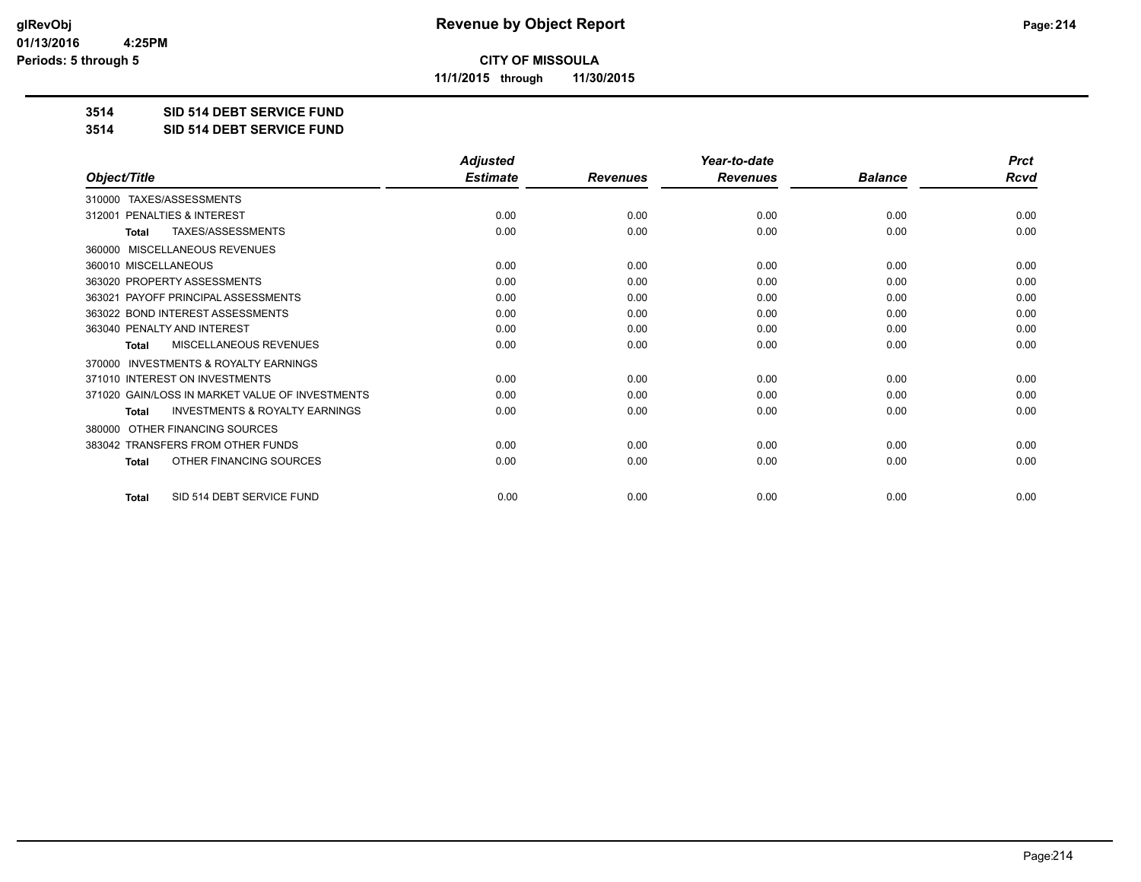**11/1/2015 through 11/30/2015**

#### **3514 SID 514 DEBT SERVICE FUND**

**3514 SID 514 DEBT SERVICE FUND**

|                                                     | <b>Adjusted</b> |                 | Year-to-date    |                | <b>Prct</b> |
|-----------------------------------------------------|-----------------|-----------------|-----------------|----------------|-------------|
| Object/Title                                        | <b>Estimate</b> | <b>Revenues</b> | <b>Revenues</b> | <b>Balance</b> | <b>Rcvd</b> |
| 310000 TAXES/ASSESSMENTS                            |                 |                 |                 |                |             |
| <b>PENALTIES &amp; INTEREST</b><br>312001           | 0.00            | 0.00            | 0.00            | 0.00           | 0.00        |
| TAXES/ASSESSMENTS<br><b>Total</b>                   | 0.00            | 0.00            | 0.00            | 0.00           | 0.00        |
| MISCELLANEOUS REVENUES<br>360000                    |                 |                 |                 |                |             |
| 360010 MISCELLANEOUS                                | 0.00            | 0.00            | 0.00            | 0.00           | 0.00        |
| 363020 PROPERTY ASSESSMENTS                         | 0.00            | 0.00            | 0.00            | 0.00           | 0.00        |
| 363021 PAYOFF PRINCIPAL ASSESSMENTS                 | 0.00            | 0.00            | 0.00            | 0.00           | 0.00        |
| 363022 BOND INTEREST ASSESSMENTS                    | 0.00            | 0.00            | 0.00            | 0.00           | 0.00        |
| 363040 PENALTY AND INTEREST                         | 0.00            | 0.00            | 0.00            | 0.00           | 0.00        |
| MISCELLANEOUS REVENUES<br><b>Total</b>              | 0.00            | 0.00            | 0.00            | 0.00           | 0.00        |
| <b>INVESTMENTS &amp; ROYALTY EARNINGS</b><br>370000 |                 |                 |                 |                |             |
| 371010 INTEREST ON INVESTMENTS                      | 0.00            | 0.00            | 0.00            | 0.00           | 0.00        |
| 371020 GAIN/LOSS IN MARKET VALUE OF INVESTMENTS     | 0.00            | 0.00            | 0.00            | 0.00           | 0.00        |
| <b>INVESTMENTS &amp; ROYALTY EARNINGS</b><br>Total  | 0.00            | 0.00            | 0.00            | 0.00           | 0.00        |
| OTHER FINANCING SOURCES<br>380000                   |                 |                 |                 |                |             |
| 383042 TRANSFERS FROM OTHER FUNDS                   | 0.00            | 0.00            | 0.00            | 0.00           | 0.00        |
| OTHER FINANCING SOURCES<br>Total                    | 0.00            | 0.00            | 0.00            | 0.00           | 0.00        |
| SID 514 DEBT SERVICE FUND<br><b>Total</b>           | 0.00            | 0.00            | 0.00            | 0.00           | 0.00        |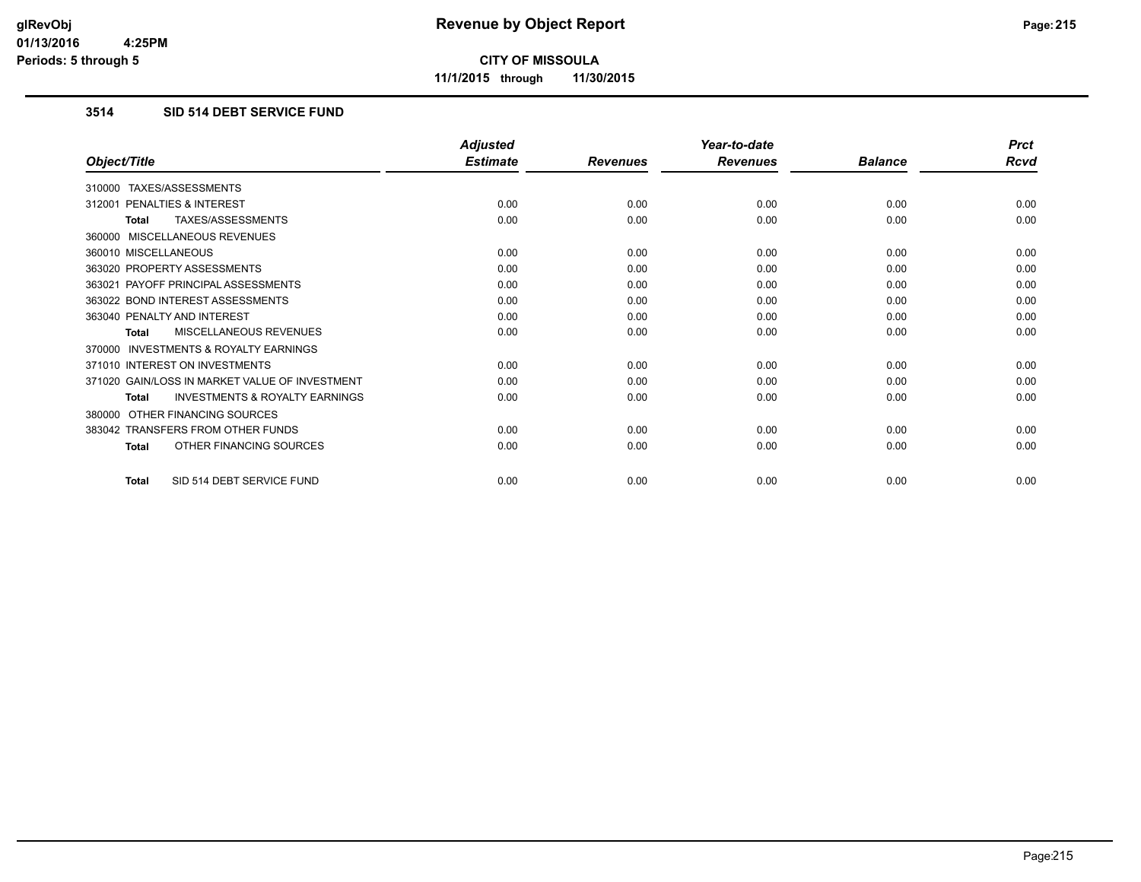**11/1/2015 through 11/30/2015**

### **3514 SID 514 DEBT SERVICE FUND**

|                                                           | <b>Adjusted</b> |                 | Year-to-date    |                | <b>Prct</b> |
|-----------------------------------------------------------|-----------------|-----------------|-----------------|----------------|-------------|
| Object/Title                                              | <b>Estimate</b> | <b>Revenues</b> | <b>Revenues</b> | <b>Balance</b> | Rcvd        |
| 310000 TAXES/ASSESSMENTS                                  |                 |                 |                 |                |             |
| PENALTIES & INTEREST<br>312001                            | 0.00            | 0.00            | 0.00            | 0.00           | 0.00        |
| TAXES/ASSESSMENTS<br><b>Total</b>                         | 0.00            | 0.00            | 0.00            | 0.00           | 0.00        |
| 360000 MISCELLANEOUS REVENUES                             |                 |                 |                 |                |             |
| 360010 MISCELLANEOUS                                      | 0.00            | 0.00            | 0.00            | 0.00           | 0.00        |
| 363020 PROPERTY ASSESSMENTS                               | 0.00            | 0.00            | 0.00            | 0.00           | 0.00        |
| 363021 PAYOFF PRINCIPAL ASSESSMENTS                       | 0.00            | 0.00            | 0.00            | 0.00           | 0.00        |
| 363022 BOND INTEREST ASSESSMENTS                          | 0.00            | 0.00            | 0.00            | 0.00           | 0.00        |
| 363040 PENALTY AND INTEREST                               | 0.00            | 0.00            | 0.00            | 0.00           | 0.00        |
| MISCELLANEOUS REVENUES<br><b>Total</b>                    | 0.00            | 0.00            | 0.00            | 0.00           | 0.00        |
| <b>INVESTMENTS &amp; ROYALTY EARNINGS</b><br>370000       |                 |                 |                 |                |             |
| 371010 INTEREST ON INVESTMENTS                            | 0.00            | 0.00            | 0.00            | 0.00           | 0.00        |
| 371020 GAIN/LOSS IN MARKET VALUE OF INVESTMENT            | 0.00            | 0.00            | 0.00            | 0.00           | 0.00        |
| <b>INVESTMENTS &amp; ROYALTY EARNINGS</b><br><b>Total</b> | 0.00            | 0.00            | 0.00            | 0.00           | 0.00        |
| OTHER FINANCING SOURCES<br>380000                         |                 |                 |                 |                |             |
| 383042 TRANSFERS FROM OTHER FUNDS                         | 0.00            | 0.00            | 0.00            | 0.00           | 0.00        |
| OTHER FINANCING SOURCES<br><b>Total</b>                   | 0.00            | 0.00            | 0.00            | 0.00           | 0.00        |
| SID 514 DEBT SERVICE FUND<br><b>Total</b>                 | 0.00            | 0.00            | 0.00            | 0.00           | 0.00        |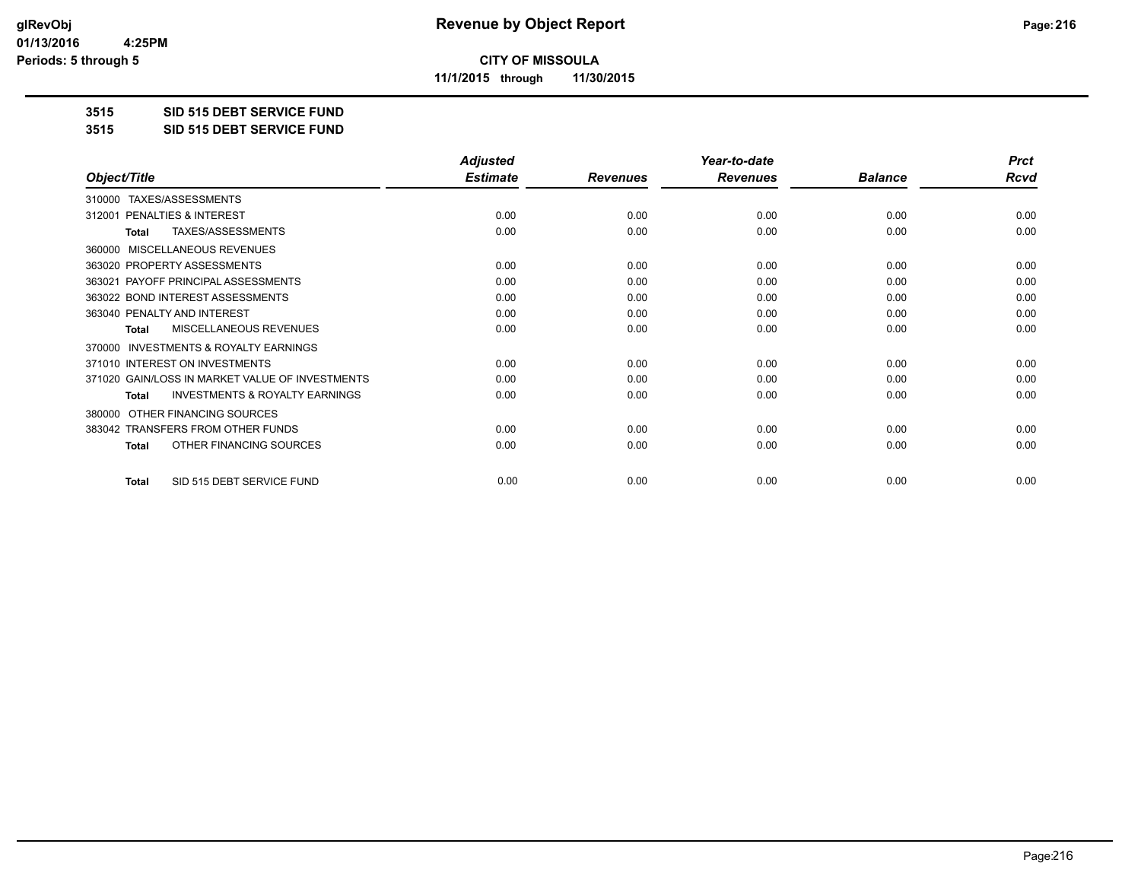**11/1/2015 through 11/30/2015**

**3515 SID 515 DEBT SERVICE FUND**

**3515 SID 515 DEBT SERVICE FUND**

|                                                           | <b>Adjusted</b> |                 | Year-to-date    |                | <b>Prct</b> |
|-----------------------------------------------------------|-----------------|-----------------|-----------------|----------------|-------------|
| Object/Title                                              | <b>Estimate</b> | <b>Revenues</b> | <b>Revenues</b> | <b>Balance</b> | Rcvd        |
| TAXES/ASSESSMENTS<br>310000                               |                 |                 |                 |                |             |
| PENALTIES & INTEREST<br>312001                            | 0.00            | 0.00            | 0.00            | 0.00           | 0.00        |
| TAXES/ASSESSMENTS<br><b>Total</b>                         | 0.00            | 0.00            | 0.00            | 0.00           | 0.00        |
| MISCELLANEOUS REVENUES<br>360000                          |                 |                 |                 |                |             |
| 363020 PROPERTY ASSESSMENTS                               | 0.00            | 0.00            | 0.00            | 0.00           | 0.00        |
| PAYOFF PRINCIPAL ASSESSMENTS<br>363021                    | 0.00            | 0.00            | 0.00            | 0.00           | 0.00        |
| 363022 BOND INTEREST ASSESSMENTS                          | 0.00            | 0.00            | 0.00            | 0.00           | 0.00        |
| 363040 PENALTY AND INTEREST                               | 0.00            | 0.00            | 0.00            | 0.00           | 0.00        |
| MISCELLANEOUS REVENUES<br><b>Total</b>                    | 0.00            | 0.00            | 0.00            | 0.00           | 0.00        |
| <b>INVESTMENTS &amp; ROYALTY EARNINGS</b><br>370000       |                 |                 |                 |                |             |
| 371010 INTEREST ON INVESTMENTS                            | 0.00            | 0.00            | 0.00            | 0.00           | 0.00        |
| 371020 GAIN/LOSS IN MARKET VALUE OF INVESTMENTS           | 0.00            | 0.00            | 0.00            | 0.00           | 0.00        |
| <b>INVESTMENTS &amp; ROYALTY EARNINGS</b><br><b>Total</b> | 0.00            | 0.00            | 0.00            | 0.00           | 0.00        |
| OTHER FINANCING SOURCES<br>380000                         |                 |                 |                 |                |             |
| 383042 TRANSFERS FROM OTHER FUNDS                         | 0.00            | 0.00            | 0.00            | 0.00           | 0.00        |
| OTHER FINANCING SOURCES<br><b>Total</b>                   | 0.00            | 0.00            | 0.00            | 0.00           | 0.00        |
|                                                           |                 |                 |                 |                |             |
| SID 515 DEBT SERVICE FUND<br><b>Total</b>                 | 0.00            | 0.00            | 0.00            | 0.00           | 0.00        |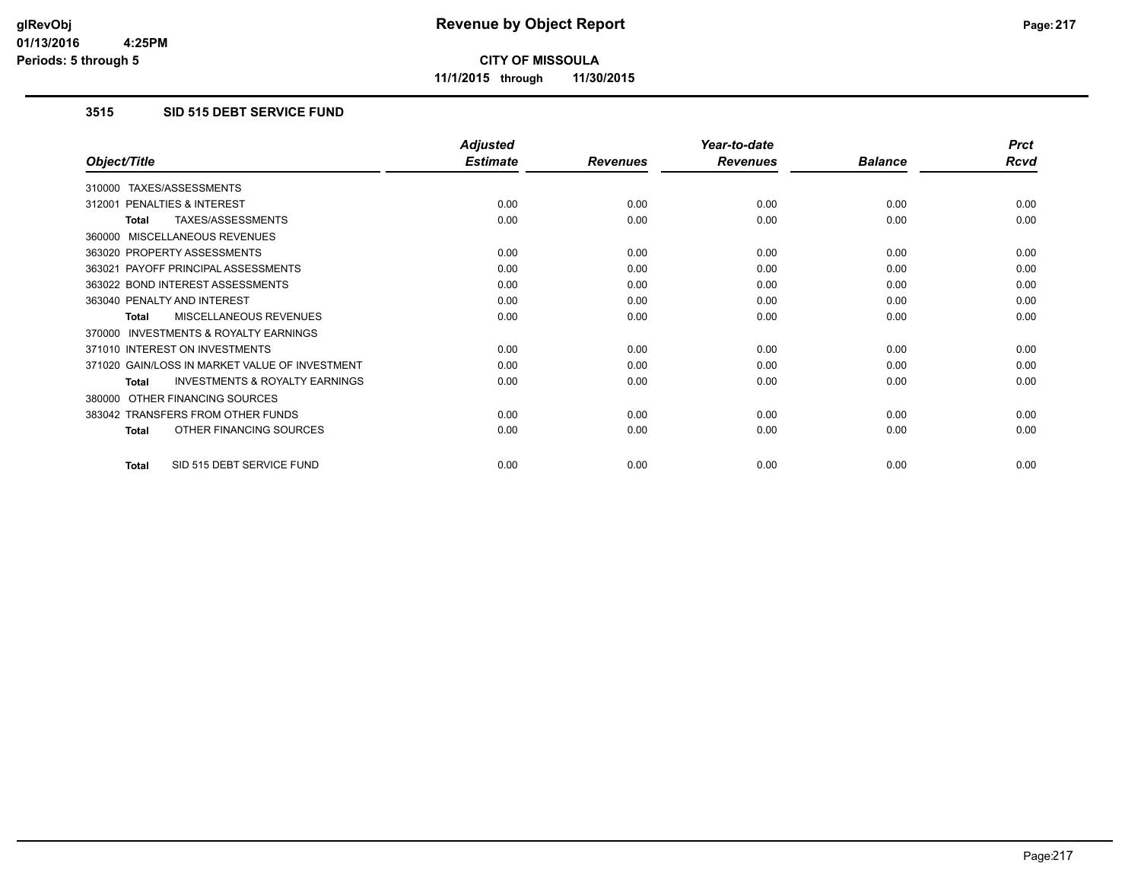**11/1/2015 through 11/30/2015**

## **3515 SID 515 DEBT SERVICE FUND**

|                                                           | <b>Adjusted</b> |                 | Year-to-date    |                | <b>Prct</b> |
|-----------------------------------------------------------|-----------------|-----------------|-----------------|----------------|-------------|
| Object/Title                                              | <b>Estimate</b> | <b>Revenues</b> | <b>Revenues</b> | <b>Balance</b> | <b>Rcvd</b> |
| TAXES/ASSESSMENTS<br>310000                               |                 |                 |                 |                |             |
| <b>PENALTIES &amp; INTEREST</b><br>312001                 | 0.00            | 0.00            | 0.00            | 0.00           | 0.00        |
| TAXES/ASSESSMENTS<br>Total                                | 0.00            | 0.00            | 0.00            | 0.00           | 0.00        |
| MISCELLANEOUS REVENUES<br>360000                          |                 |                 |                 |                |             |
| 363020 PROPERTY ASSESSMENTS                               | 0.00            | 0.00            | 0.00            | 0.00           | 0.00        |
| 363021 PAYOFF PRINCIPAL ASSESSMENTS                       | 0.00            | 0.00            | 0.00            | 0.00           | 0.00        |
| 363022 BOND INTEREST ASSESSMENTS                          | 0.00            | 0.00            | 0.00            | 0.00           | 0.00        |
| 363040 PENALTY AND INTEREST                               | 0.00            | 0.00            | 0.00            | 0.00           | 0.00        |
| <b>MISCELLANEOUS REVENUES</b><br><b>Total</b>             | 0.00            | 0.00            | 0.00            | 0.00           | 0.00        |
| <b>INVESTMENTS &amp; ROYALTY EARNINGS</b><br>370000       |                 |                 |                 |                |             |
| 371010 INTEREST ON INVESTMENTS                            | 0.00            | 0.00            | 0.00            | 0.00           | 0.00        |
| 371020 GAIN/LOSS IN MARKET VALUE OF INVESTMENT            | 0.00            | 0.00            | 0.00            | 0.00           | 0.00        |
| <b>INVESTMENTS &amp; ROYALTY EARNINGS</b><br><b>Total</b> | 0.00            | 0.00            | 0.00            | 0.00           | 0.00        |
| OTHER FINANCING SOURCES<br>380000                         |                 |                 |                 |                |             |
| 383042 TRANSFERS FROM OTHER FUNDS                         | 0.00            | 0.00            | 0.00            | 0.00           | 0.00        |
| OTHER FINANCING SOURCES<br><b>Total</b>                   | 0.00            | 0.00            | 0.00            | 0.00           | 0.00        |
| SID 515 DEBT SERVICE FUND<br><b>Total</b>                 | 0.00            | 0.00            | 0.00            | 0.00           | 0.00        |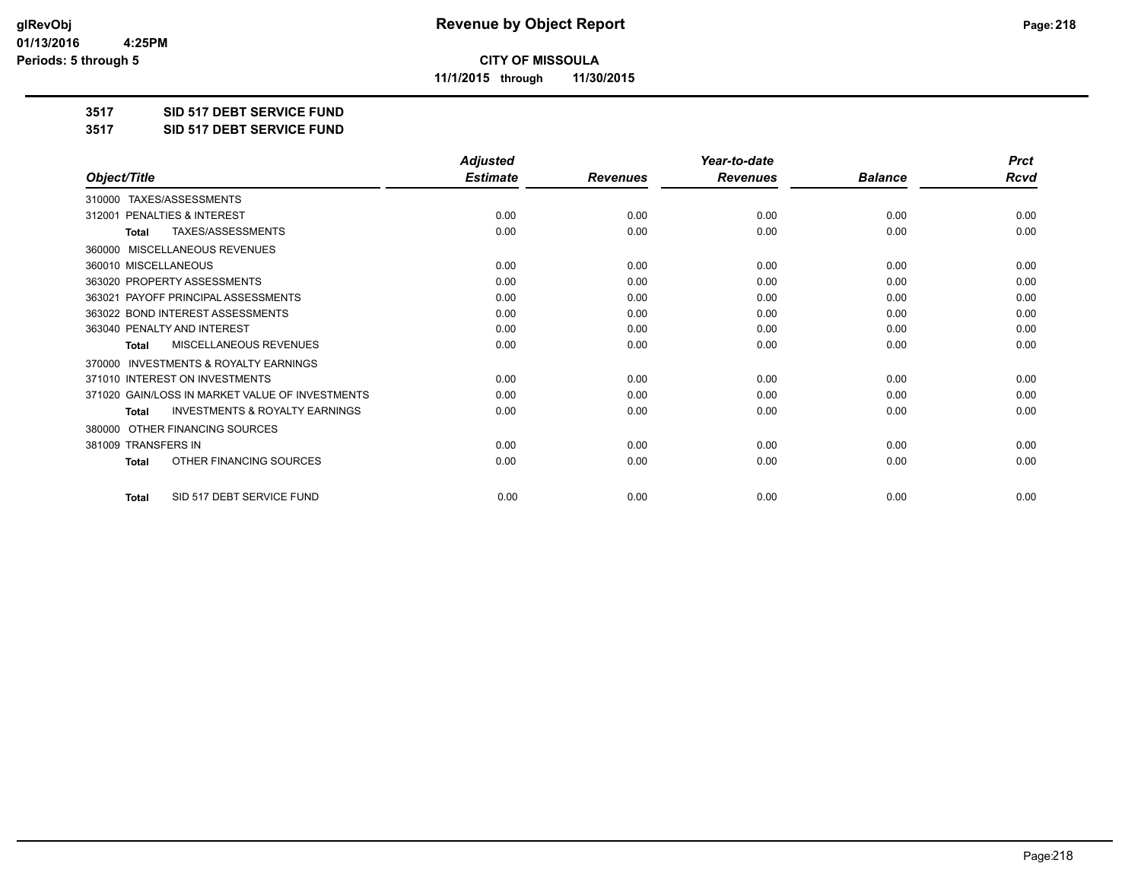**11/1/2015 through 11/30/2015**

**3517 SID 517 DEBT SERVICE FUND**

**3517 SID 517 DEBT SERVICE FUND**

|                                                           | <b>Adjusted</b> |                 | Year-to-date    |                | <b>Prct</b> |
|-----------------------------------------------------------|-----------------|-----------------|-----------------|----------------|-------------|
| Object/Title                                              | <b>Estimate</b> | <b>Revenues</b> | <b>Revenues</b> | <b>Balance</b> | <b>Rcvd</b> |
| TAXES/ASSESSMENTS<br>310000                               |                 |                 |                 |                |             |
| PENALTIES & INTEREST<br>312001                            | 0.00            | 0.00            | 0.00            | 0.00           | 0.00        |
| TAXES/ASSESSMENTS<br><b>Total</b>                         | 0.00            | 0.00            | 0.00            | 0.00           | 0.00        |
| MISCELLANEOUS REVENUES<br>360000                          |                 |                 |                 |                |             |
| 360010 MISCELLANEOUS                                      | 0.00            | 0.00            | 0.00            | 0.00           | 0.00        |
| 363020 PROPERTY ASSESSMENTS                               | 0.00            | 0.00            | 0.00            | 0.00           | 0.00        |
| 363021 PAYOFF PRINCIPAL ASSESSMENTS                       | 0.00            | 0.00            | 0.00            | 0.00           | 0.00        |
| 363022 BOND INTEREST ASSESSMENTS                          | 0.00            | 0.00            | 0.00            | 0.00           | 0.00        |
| 363040 PENALTY AND INTEREST                               | 0.00            | 0.00            | 0.00            | 0.00           | 0.00        |
| <b>MISCELLANEOUS REVENUES</b><br><b>Total</b>             | 0.00            | 0.00            | 0.00            | 0.00           | 0.00        |
| <b>INVESTMENTS &amp; ROYALTY EARNINGS</b><br>370000       |                 |                 |                 |                |             |
| 371010 INTEREST ON INVESTMENTS                            | 0.00            | 0.00            | 0.00            | 0.00           | 0.00        |
| 371020 GAIN/LOSS IN MARKET VALUE OF INVESTMENTS           | 0.00            | 0.00            | 0.00            | 0.00           | 0.00        |
| <b>INVESTMENTS &amp; ROYALTY EARNINGS</b><br><b>Total</b> | 0.00            | 0.00            | 0.00            | 0.00           | 0.00        |
| OTHER FINANCING SOURCES<br>380000                         |                 |                 |                 |                |             |
| 381009 TRANSFERS IN                                       | 0.00            | 0.00            | 0.00            | 0.00           | 0.00        |
| OTHER FINANCING SOURCES<br><b>Total</b>                   | 0.00            | 0.00            | 0.00            | 0.00           | 0.00        |
| SID 517 DEBT SERVICE FUND<br><b>Total</b>                 | 0.00            | 0.00            | 0.00            | 0.00           | 0.00        |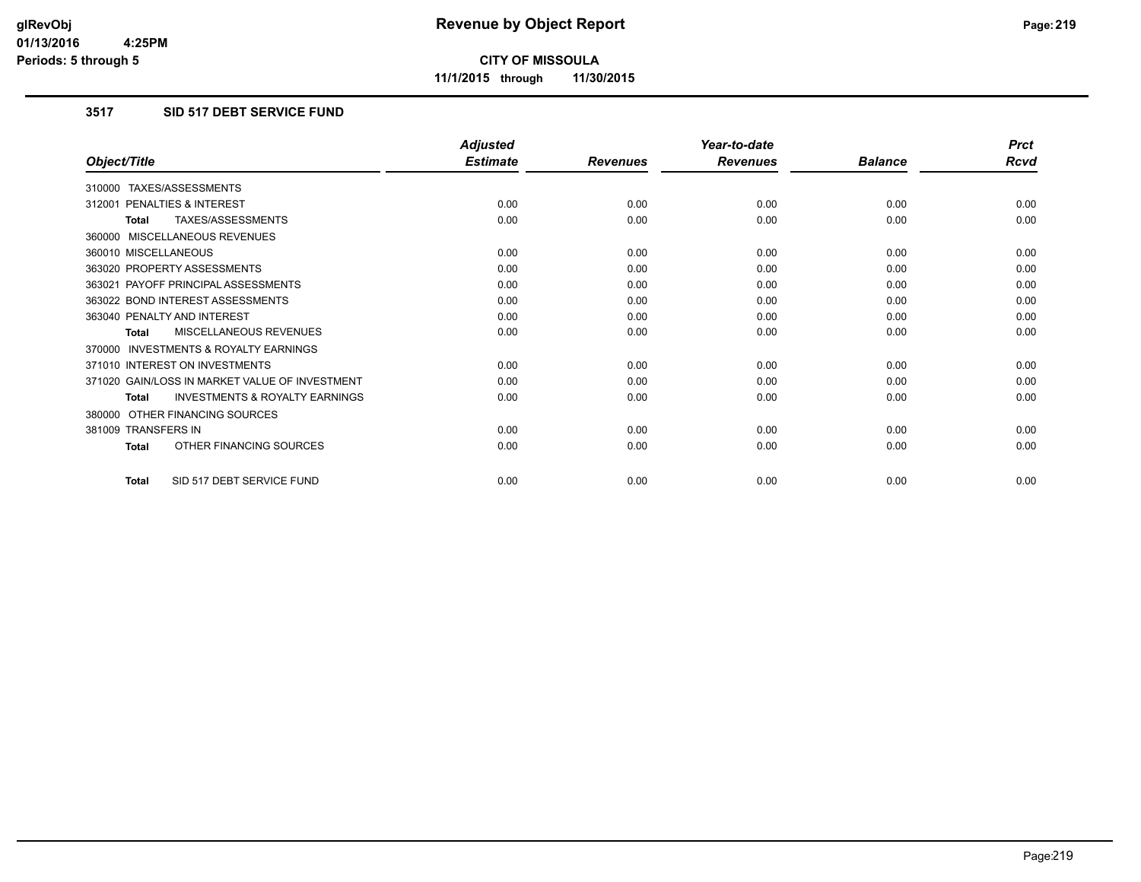**11/1/2015 through 11/30/2015**

## **3517 SID 517 DEBT SERVICE FUND**

|                                                           | <b>Adjusted</b> |                 | Year-to-date    |                | <b>Prct</b> |
|-----------------------------------------------------------|-----------------|-----------------|-----------------|----------------|-------------|
| Object/Title                                              | <b>Estimate</b> | <b>Revenues</b> | <b>Revenues</b> | <b>Balance</b> | <b>Rcvd</b> |
| 310000 TAXES/ASSESSMENTS                                  |                 |                 |                 |                |             |
| 312001 PENALTIES & INTEREST                               | 0.00            | 0.00            | 0.00            | 0.00           | 0.00        |
| TAXES/ASSESSMENTS<br><b>Total</b>                         | 0.00            | 0.00            | 0.00            | 0.00           | 0.00        |
| 360000 MISCELLANEOUS REVENUES                             |                 |                 |                 |                |             |
| 360010 MISCELLANEOUS                                      | 0.00            | 0.00            | 0.00            | 0.00           | 0.00        |
| 363020 PROPERTY ASSESSMENTS                               | 0.00            | 0.00            | 0.00            | 0.00           | 0.00        |
| 363021 PAYOFF PRINCIPAL ASSESSMENTS                       | 0.00            | 0.00            | 0.00            | 0.00           | 0.00        |
| 363022 BOND INTEREST ASSESSMENTS                          | 0.00            | 0.00            | 0.00            | 0.00           | 0.00        |
| 363040 PENALTY AND INTEREST                               | 0.00            | 0.00            | 0.00            | 0.00           | 0.00        |
| MISCELLANEOUS REVENUES<br><b>Total</b>                    | 0.00            | 0.00            | 0.00            | 0.00           | 0.00        |
| <b>INVESTMENTS &amp; ROYALTY EARNINGS</b><br>370000       |                 |                 |                 |                |             |
| 371010 INTEREST ON INVESTMENTS                            | 0.00            | 0.00            | 0.00            | 0.00           | 0.00        |
| 371020 GAIN/LOSS IN MARKET VALUE OF INVESTMENT            | 0.00            | 0.00            | 0.00            | 0.00           | 0.00        |
| <b>INVESTMENTS &amp; ROYALTY EARNINGS</b><br><b>Total</b> | 0.00            | 0.00            | 0.00            | 0.00           | 0.00        |
| 380000 OTHER FINANCING SOURCES                            |                 |                 |                 |                |             |
| 381009 TRANSFERS IN                                       | 0.00            | 0.00            | 0.00            | 0.00           | 0.00        |
| OTHER FINANCING SOURCES<br><b>Total</b>                   | 0.00            | 0.00            | 0.00            | 0.00           | 0.00        |
| SID 517 DEBT SERVICE FUND<br>Total                        | 0.00            | 0.00            | 0.00            | 0.00           | 0.00        |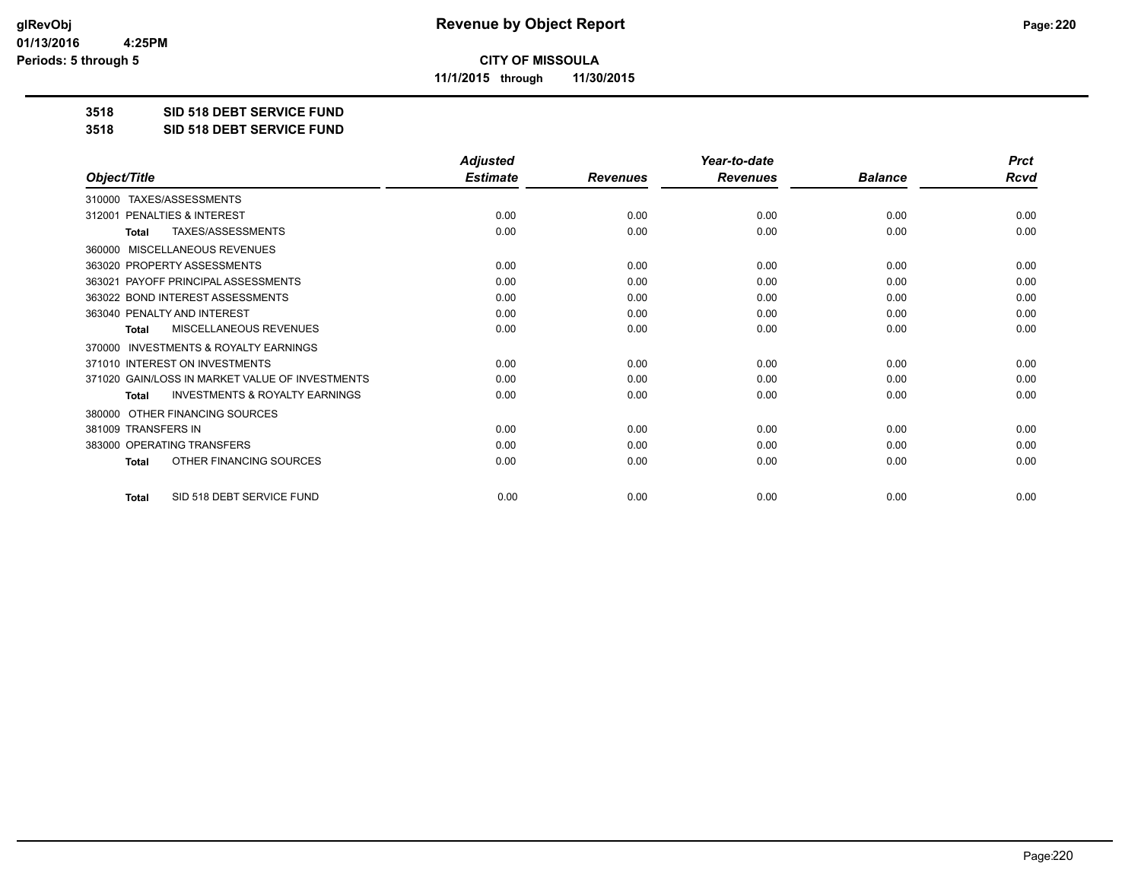**11/1/2015 through 11/30/2015**

#### **3518 SID 518 DEBT SERVICE FUND**

**3518 SID 518 DEBT SERVICE FUND**

|                                                           | <b>Adjusted</b> |                 | Year-to-date    |                | <b>Prct</b> |
|-----------------------------------------------------------|-----------------|-----------------|-----------------|----------------|-------------|
| Object/Title                                              | <b>Estimate</b> | <b>Revenues</b> | <b>Revenues</b> | <b>Balance</b> | <b>Rcvd</b> |
| 310000 TAXES/ASSESSMENTS                                  |                 |                 |                 |                |             |
| PENALTIES & INTEREST<br>312001                            | 0.00            | 0.00            | 0.00            | 0.00           | 0.00        |
| TAXES/ASSESSMENTS<br><b>Total</b>                         | 0.00            | 0.00            | 0.00            | 0.00           | 0.00        |
| MISCELLANEOUS REVENUES<br>360000                          |                 |                 |                 |                |             |
| 363020 PROPERTY ASSESSMENTS                               | 0.00            | 0.00            | 0.00            | 0.00           | 0.00        |
| 363021 PAYOFF PRINCIPAL ASSESSMENTS                       | 0.00            | 0.00            | 0.00            | 0.00           | 0.00        |
| 363022 BOND INTEREST ASSESSMENTS                          | 0.00            | 0.00            | 0.00            | 0.00           | 0.00        |
| 363040 PENALTY AND INTEREST                               | 0.00            | 0.00            | 0.00            | 0.00           | 0.00        |
| <b>MISCELLANEOUS REVENUES</b><br><b>Total</b>             | 0.00            | 0.00            | 0.00            | 0.00           | 0.00        |
| <b>INVESTMENTS &amp; ROYALTY EARNINGS</b><br>370000       |                 |                 |                 |                |             |
| 371010 INTEREST ON INVESTMENTS                            | 0.00            | 0.00            | 0.00            | 0.00           | 0.00        |
| 371020 GAIN/LOSS IN MARKET VALUE OF INVESTMENTS           | 0.00            | 0.00            | 0.00            | 0.00           | 0.00        |
| <b>INVESTMENTS &amp; ROYALTY EARNINGS</b><br><b>Total</b> | 0.00            | 0.00            | 0.00            | 0.00           | 0.00        |
| OTHER FINANCING SOURCES<br>380000                         |                 |                 |                 |                |             |
| 381009 TRANSFERS IN                                       | 0.00            | 0.00            | 0.00            | 0.00           | 0.00        |
| 383000 OPERATING TRANSFERS                                | 0.00            | 0.00            | 0.00            | 0.00           | 0.00        |
| OTHER FINANCING SOURCES<br><b>Total</b>                   | 0.00            | 0.00            | 0.00            | 0.00           | 0.00        |
| SID 518 DEBT SERVICE FUND<br><b>Total</b>                 | 0.00            | 0.00            | 0.00            | 0.00           | 0.00        |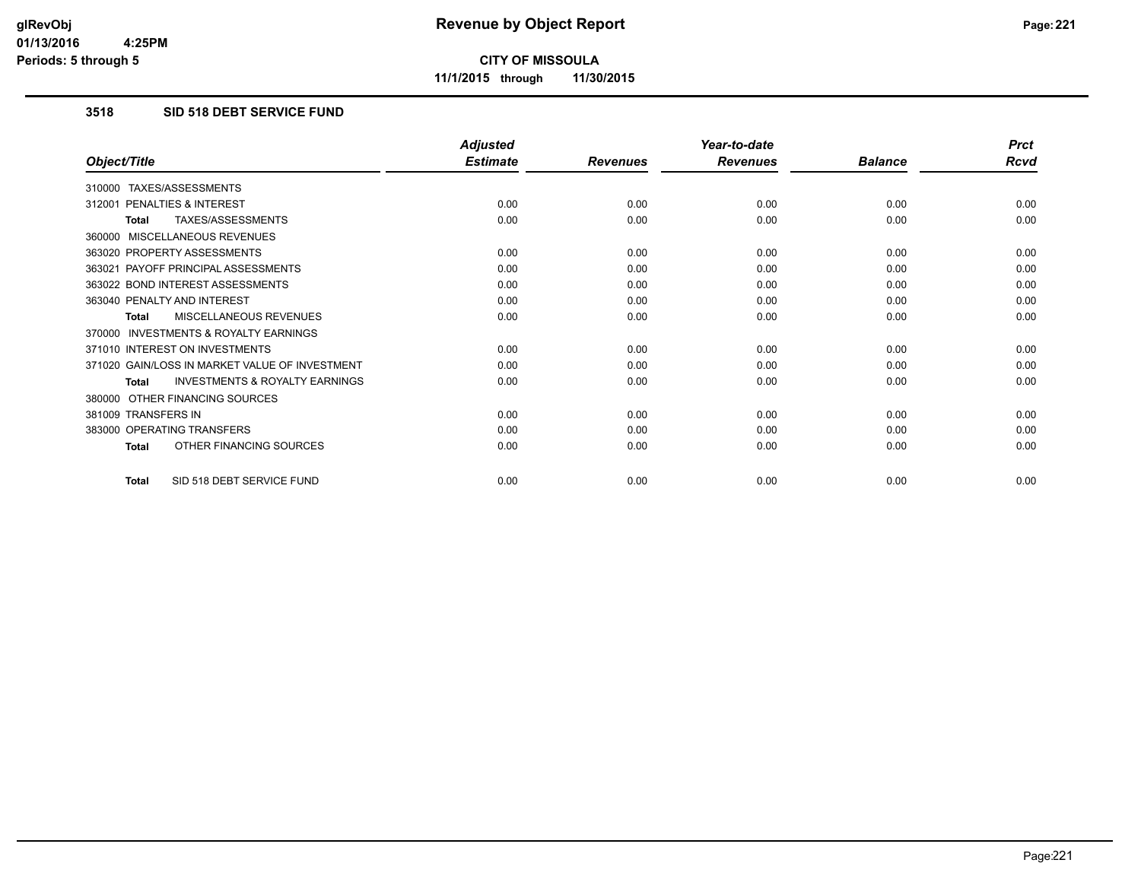**11/1/2015 through 11/30/2015**

## **3518 SID 518 DEBT SERVICE FUND**

|                                                           | <b>Adjusted</b> |                 | Year-to-date    |                | <b>Prct</b> |
|-----------------------------------------------------------|-----------------|-----------------|-----------------|----------------|-------------|
| Object/Title                                              | <b>Estimate</b> | <b>Revenues</b> | <b>Revenues</b> | <b>Balance</b> | <b>Rcvd</b> |
| 310000 TAXES/ASSESSMENTS                                  |                 |                 |                 |                |             |
| PENALTIES & INTEREST<br>312001                            | 0.00            | 0.00            | 0.00            | 0.00           | 0.00        |
| TAXES/ASSESSMENTS<br><b>Total</b>                         | 0.00            | 0.00            | 0.00            | 0.00           | 0.00        |
| 360000 MISCELLANEOUS REVENUES                             |                 |                 |                 |                |             |
| 363020 PROPERTY ASSESSMENTS                               | 0.00            | 0.00            | 0.00            | 0.00           | 0.00        |
| 363021 PAYOFF PRINCIPAL ASSESSMENTS                       | 0.00            | 0.00            | 0.00            | 0.00           | 0.00        |
| 363022 BOND INTEREST ASSESSMENTS                          | 0.00            | 0.00            | 0.00            | 0.00           | 0.00        |
| 363040 PENALTY AND INTEREST                               | 0.00            | 0.00            | 0.00            | 0.00           | 0.00        |
| MISCELLANEOUS REVENUES<br><b>Total</b>                    | 0.00            | 0.00            | 0.00            | 0.00           | 0.00        |
| <b>INVESTMENTS &amp; ROYALTY EARNINGS</b><br>370000       |                 |                 |                 |                |             |
| 371010 INTEREST ON INVESTMENTS                            | 0.00            | 0.00            | 0.00            | 0.00           | 0.00        |
| 371020 GAIN/LOSS IN MARKET VALUE OF INVESTMENT            | 0.00            | 0.00            | 0.00            | 0.00           | 0.00        |
| <b>INVESTMENTS &amp; ROYALTY EARNINGS</b><br><b>Total</b> | 0.00            | 0.00            | 0.00            | 0.00           | 0.00        |
| 380000 OTHER FINANCING SOURCES                            |                 |                 |                 |                |             |
| 381009 TRANSFERS IN                                       | 0.00            | 0.00            | 0.00            | 0.00           | 0.00        |
| 383000 OPERATING TRANSFERS                                | 0.00            | 0.00            | 0.00            | 0.00           | 0.00        |
| OTHER FINANCING SOURCES<br><b>Total</b>                   | 0.00            | 0.00            | 0.00            | 0.00           | 0.00        |
| SID 518 DEBT SERVICE FUND<br><b>Total</b>                 | 0.00            | 0.00            | 0.00            | 0.00           | 0.00        |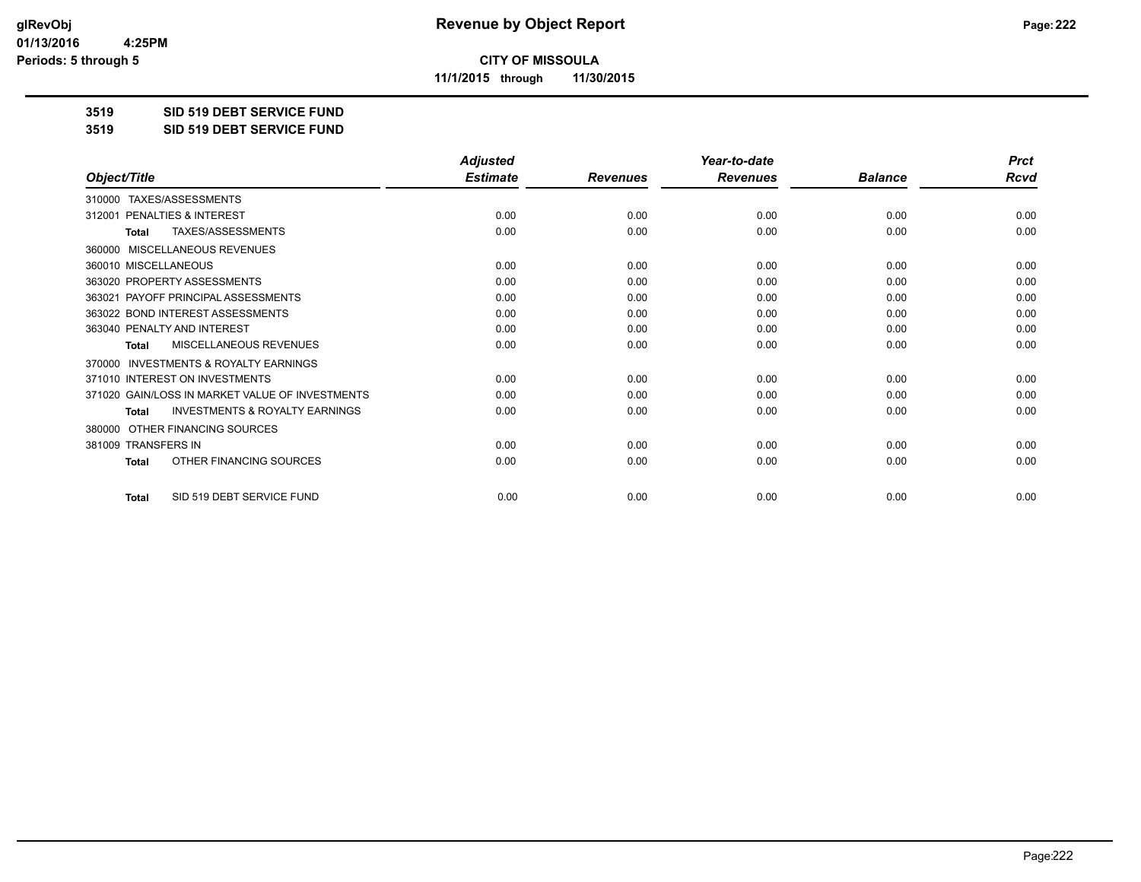**11/1/2015 through 11/30/2015**

**3519 SID 519 DEBT SERVICE FUND**

**3519 SID 519 DEBT SERVICE FUND**

|                                                     | <b>Adjusted</b> |                 | Year-to-date    |                | <b>Prct</b> |
|-----------------------------------------------------|-----------------|-----------------|-----------------|----------------|-------------|
| Object/Title                                        | <b>Estimate</b> | <b>Revenues</b> | <b>Revenues</b> | <b>Balance</b> | <b>Rcvd</b> |
| 310000 TAXES/ASSESSMENTS                            |                 |                 |                 |                |             |
| PENALTIES & INTEREST<br>312001                      | 0.00            | 0.00            | 0.00            | 0.00           | 0.00        |
| TAXES/ASSESSMENTS<br><b>Total</b>                   | 0.00            | 0.00            | 0.00            | 0.00           | 0.00        |
| MISCELLANEOUS REVENUES<br>360000                    |                 |                 |                 |                |             |
| 360010 MISCELLANEOUS                                | 0.00            | 0.00            | 0.00            | 0.00           | 0.00        |
| 363020 PROPERTY ASSESSMENTS                         | 0.00            | 0.00            | 0.00            | 0.00           | 0.00        |
| 363021 PAYOFF PRINCIPAL ASSESSMENTS                 | 0.00            | 0.00            | 0.00            | 0.00           | 0.00        |
| 363022 BOND INTEREST ASSESSMENTS                    | 0.00            | 0.00            | 0.00            | 0.00           | 0.00        |
| 363040 PENALTY AND INTEREST                         | 0.00            | 0.00            | 0.00            | 0.00           | 0.00        |
| MISCELLANEOUS REVENUES<br><b>Total</b>              | 0.00            | 0.00            | 0.00            | 0.00           | 0.00        |
| <b>INVESTMENTS &amp; ROYALTY EARNINGS</b><br>370000 |                 |                 |                 |                |             |
| 371010 INTEREST ON INVESTMENTS                      | 0.00            | 0.00            | 0.00            | 0.00           | 0.00        |
| 371020 GAIN/LOSS IN MARKET VALUE OF INVESTMENTS     | 0.00            | 0.00            | 0.00            | 0.00           | 0.00        |
| <b>INVESTMENTS &amp; ROYALTY EARNINGS</b><br>Total  | 0.00            | 0.00            | 0.00            | 0.00           | 0.00        |
| OTHER FINANCING SOURCES<br>380000                   |                 |                 |                 |                |             |
| 381009 TRANSFERS IN                                 | 0.00            | 0.00            | 0.00            | 0.00           | 0.00        |
| OTHER FINANCING SOURCES<br>Total                    | 0.00            | 0.00            | 0.00            | 0.00           | 0.00        |
| SID 519 DEBT SERVICE FUND<br><b>Total</b>           | 0.00            | 0.00            | 0.00            | 0.00           | 0.00        |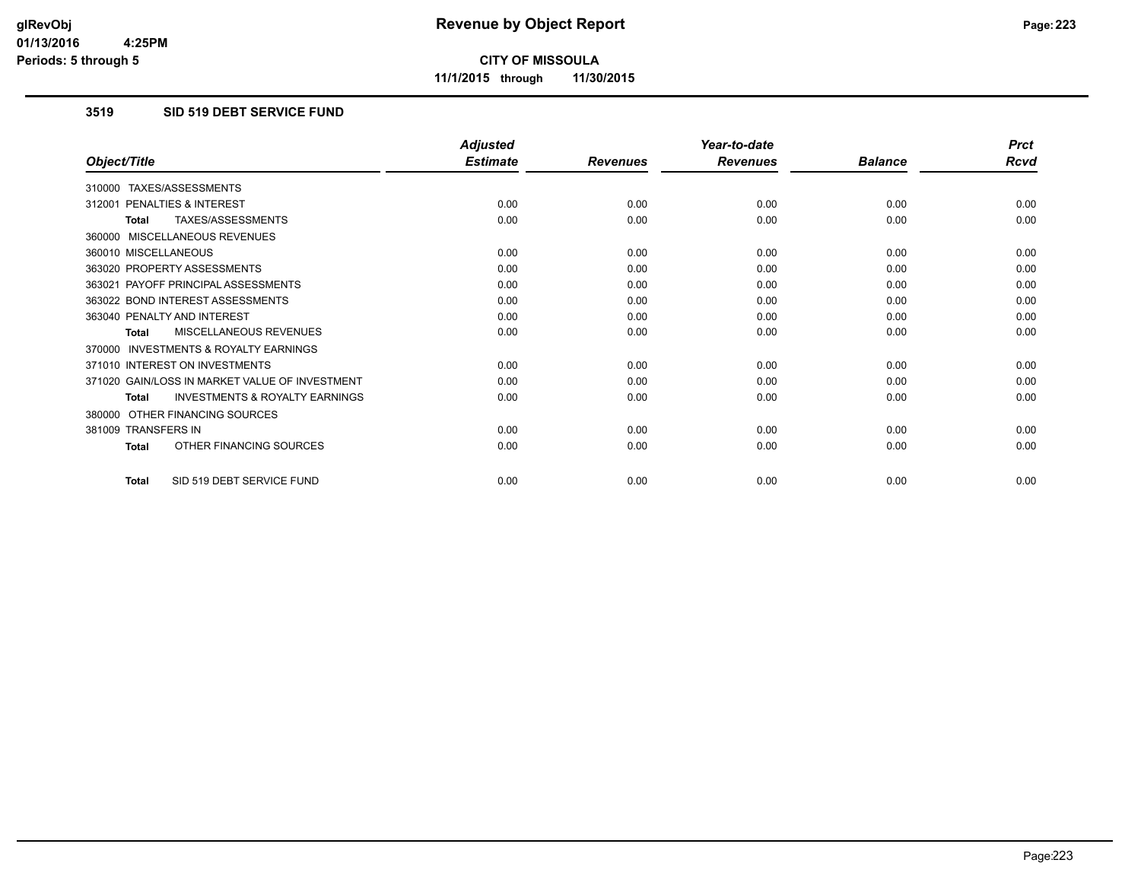**11/1/2015 through 11/30/2015**

## **3519 SID 519 DEBT SERVICE FUND**

|                                                           | <b>Adjusted</b> |                 | Year-to-date    |                | <b>Prct</b> |
|-----------------------------------------------------------|-----------------|-----------------|-----------------|----------------|-------------|
| Object/Title                                              | <b>Estimate</b> | <b>Revenues</b> | <b>Revenues</b> | <b>Balance</b> | <b>Rcvd</b> |
| 310000 TAXES/ASSESSMENTS                                  |                 |                 |                 |                |             |
| PENALTIES & INTEREST<br>312001                            | 0.00            | 0.00            | 0.00            | 0.00           | 0.00        |
| TAXES/ASSESSMENTS<br><b>Total</b>                         | 0.00            | 0.00            | 0.00            | 0.00           | 0.00        |
| 360000 MISCELLANEOUS REVENUES                             |                 |                 |                 |                |             |
| 360010 MISCELLANEOUS                                      | 0.00            | 0.00            | 0.00            | 0.00           | 0.00        |
| 363020 PROPERTY ASSESSMENTS                               | 0.00            | 0.00            | 0.00            | 0.00           | 0.00        |
| 363021 PAYOFF PRINCIPAL ASSESSMENTS                       | 0.00            | 0.00            | 0.00            | 0.00           | 0.00        |
| 363022 BOND INTEREST ASSESSMENTS                          | 0.00            | 0.00            | 0.00            | 0.00           | 0.00        |
| 363040 PENALTY AND INTEREST                               | 0.00            | 0.00            | 0.00            | 0.00           | 0.00        |
| MISCELLANEOUS REVENUES<br><b>Total</b>                    | 0.00            | 0.00            | 0.00            | 0.00           | 0.00        |
| <b>INVESTMENTS &amp; ROYALTY EARNINGS</b><br>370000       |                 |                 |                 |                |             |
| 371010 INTEREST ON INVESTMENTS                            | 0.00            | 0.00            | 0.00            | 0.00           | 0.00        |
| 371020 GAIN/LOSS IN MARKET VALUE OF INVESTMENT            | 0.00            | 0.00            | 0.00            | 0.00           | 0.00        |
| <b>INVESTMENTS &amp; ROYALTY EARNINGS</b><br><b>Total</b> | 0.00            | 0.00            | 0.00            | 0.00           | 0.00        |
| OTHER FINANCING SOURCES<br>380000                         |                 |                 |                 |                |             |
| 381009 TRANSFERS IN                                       | 0.00            | 0.00            | 0.00            | 0.00           | 0.00        |
| OTHER FINANCING SOURCES<br><b>Total</b>                   | 0.00            | 0.00            | 0.00            | 0.00           | 0.00        |
| SID 519 DEBT SERVICE FUND<br><b>Total</b>                 | 0.00            | 0.00            | 0.00            | 0.00           | 0.00        |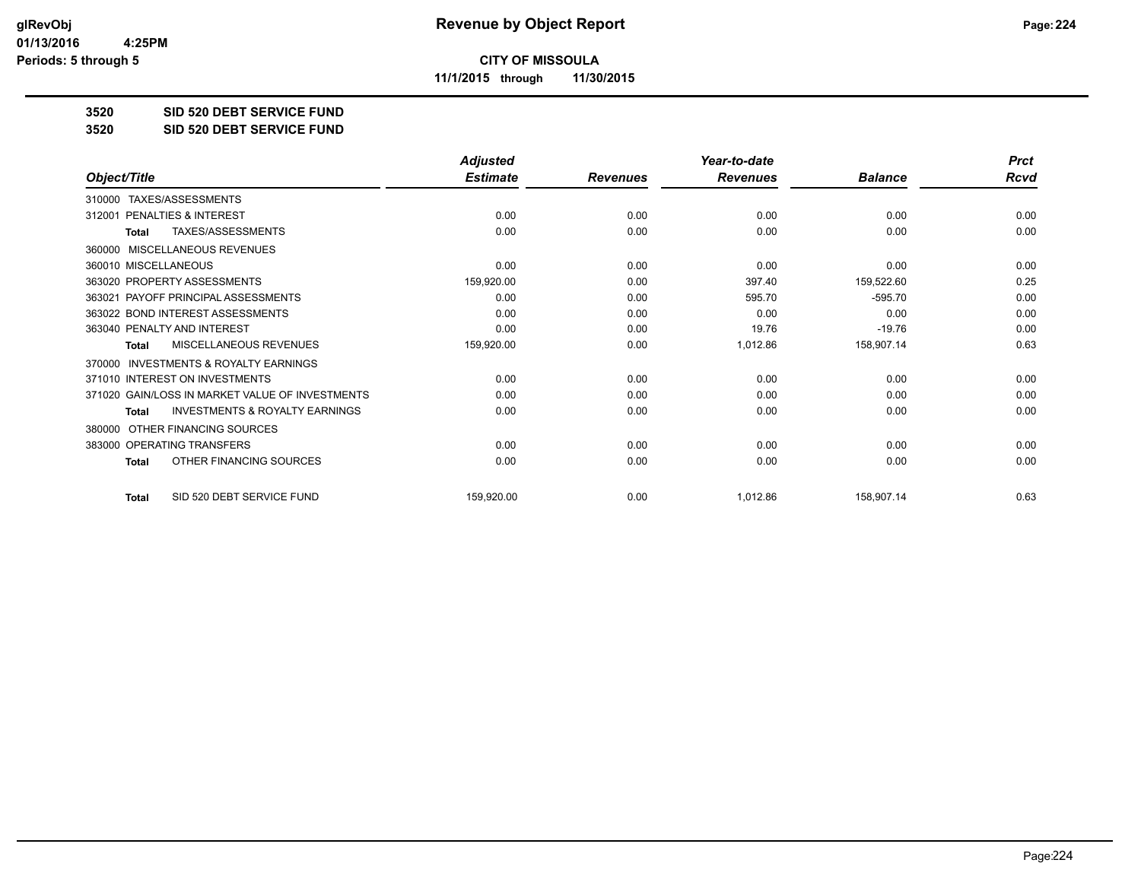**11/1/2015 through 11/30/2015**

**3520 SID 520 DEBT SERVICE FUND**

**3520 SID 520 DEBT SERVICE FUND**

|                                                           | <b>Adjusted</b> |                 | Year-to-date    |                | <b>Prct</b> |
|-----------------------------------------------------------|-----------------|-----------------|-----------------|----------------|-------------|
| Object/Title                                              | <b>Estimate</b> | <b>Revenues</b> | <b>Revenues</b> | <b>Balance</b> | <b>Rcvd</b> |
| TAXES/ASSESSMENTS<br>310000                               |                 |                 |                 |                |             |
| PENALTIES & INTEREST<br>312001                            | 0.00            | 0.00            | 0.00            | 0.00           | 0.00        |
| <b>TAXES/ASSESSMENTS</b><br><b>Total</b>                  | 0.00            | 0.00            | 0.00            | 0.00           | 0.00        |
| MISCELLANEOUS REVENUES<br>360000                          |                 |                 |                 |                |             |
| 360010 MISCELLANEOUS                                      | 0.00            | 0.00            | 0.00            | 0.00           | 0.00        |
| 363020 PROPERTY ASSESSMENTS                               | 159,920.00      | 0.00            | 397.40          | 159,522.60     | 0.25        |
| 363021 PAYOFF PRINCIPAL ASSESSMENTS                       | 0.00            | 0.00            | 595.70          | $-595.70$      | 0.00        |
| 363022 BOND INTEREST ASSESSMENTS                          | 0.00            | 0.00            | 0.00            | 0.00           | 0.00        |
| 363040 PENALTY AND INTEREST                               | 0.00            | 0.00            | 19.76           | $-19.76$       | 0.00        |
| MISCELLANEOUS REVENUES<br>Total                           | 159,920.00      | 0.00            | 1,012.86        | 158,907.14     | 0.63        |
| INVESTMENTS & ROYALTY EARNINGS<br>370000                  |                 |                 |                 |                |             |
| 371010 INTEREST ON INVESTMENTS                            | 0.00            | 0.00            | 0.00            | 0.00           | 0.00        |
| 371020 GAIN/LOSS IN MARKET VALUE OF INVESTMENTS           | 0.00            | 0.00            | 0.00            | 0.00           | 0.00        |
| <b>INVESTMENTS &amp; ROYALTY EARNINGS</b><br><b>Total</b> | 0.00            | 0.00            | 0.00            | 0.00           | 0.00        |
| OTHER FINANCING SOURCES<br>380000                         |                 |                 |                 |                |             |
| 383000 OPERATING TRANSFERS                                | 0.00            | 0.00            | 0.00            | 0.00           | 0.00        |
| OTHER FINANCING SOURCES<br><b>Total</b>                   | 0.00            | 0.00            | 0.00            | 0.00           | 0.00        |
| SID 520 DEBT SERVICE FUND<br><b>Total</b>                 | 159,920.00      | 0.00            | 1,012.86        | 158,907.14     | 0.63        |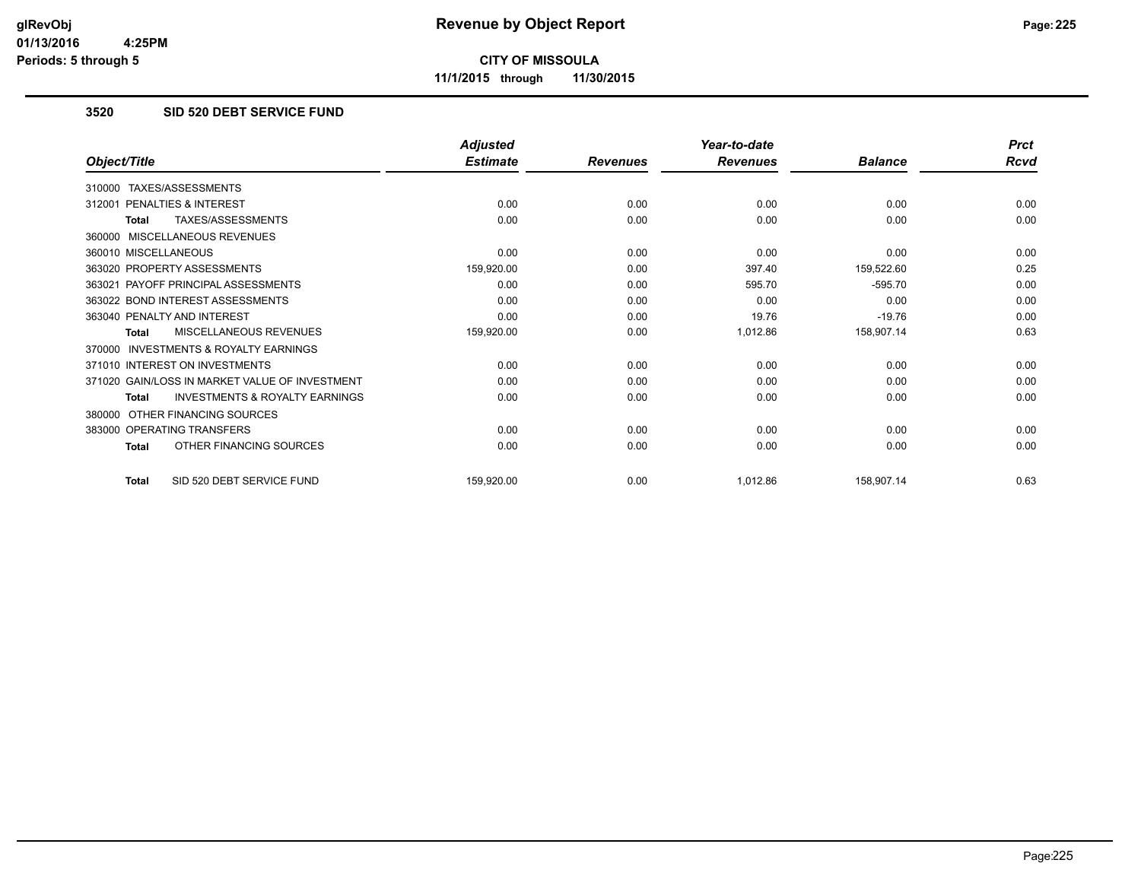**11/1/2015 through 11/30/2015**

## **3520 SID 520 DEBT SERVICE FUND**

|                                                           | <b>Adjusted</b> |                 | Year-to-date    |                | <b>Prct</b> |
|-----------------------------------------------------------|-----------------|-----------------|-----------------|----------------|-------------|
| Object/Title                                              | <b>Estimate</b> | <b>Revenues</b> | <b>Revenues</b> | <b>Balance</b> | Rcvd        |
| 310000 TAXES/ASSESSMENTS                                  |                 |                 |                 |                |             |
| PENALTIES & INTEREST<br>312001                            | 0.00            | 0.00            | 0.00            | 0.00           | 0.00        |
| TAXES/ASSESSMENTS<br><b>Total</b>                         | 0.00            | 0.00            | 0.00            | 0.00           | 0.00        |
| MISCELLANEOUS REVENUES<br>360000                          |                 |                 |                 |                |             |
| 360010 MISCELLANEOUS                                      | 0.00            | 0.00            | 0.00            | 0.00           | 0.00        |
| 363020 PROPERTY ASSESSMENTS                               | 159,920.00      | 0.00            | 397.40          | 159,522.60     | 0.25        |
| 363021 PAYOFF PRINCIPAL ASSESSMENTS                       | 0.00            | 0.00            | 595.70          | $-595.70$      | 0.00        |
| 363022 BOND INTEREST ASSESSMENTS                          | 0.00            | 0.00            | 0.00            | 0.00           | 0.00        |
| 363040 PENALTY AND INTEREST                               | 0.00            | 0.00            | 19.76           | $-19.76$       | 0.00        |
| MISCELLANEOUS REVENUES<br><b>Total</b>                    | 159,920.00      | 0.00            | 1,012.86        | 158,907.14     | 0.63        |
| INVESTMENTS & ROYALTY EARNINGS<br>370000                  |                 |                 |                 |                |             |
| 371010 INTEREST ON INVESTMENTS                            | 0.00            | 0.00            | 0.00            | 0.00           | 0.00        |
| 371020 GAIN/LOSS IN MARKET VALUE OF INVESTMENT            | 0.00            | 0.00            | 0.00            | 0.00           | 0.00        |
| <b>INVESTMENTS &amp; ROYALTY EARNINGS</b><br><b>Total</b> | 0.00            | 0.00            | 0.00            | 0.00           | 0.00        |
| OTHER FINANCING SOURCES<br>380000                         |                 |                 |                 |                |             |
| 383000 OPERATING TRANSFERS                                | 0.00            | 0.00            | 0.00            | 0.00           | 0.00        |
| OTHER FINANCING SOURCES<br><b>Total</b>                   | 0.00            | 0.00            | 0.00            | 0.00           | 0.00        |
| SID 520 DEBT SERVICE FUND<br><b>Total</b>                 | 159,920.00      | 0.00            | 1,012.86        | 158,907.14     | 0.63        |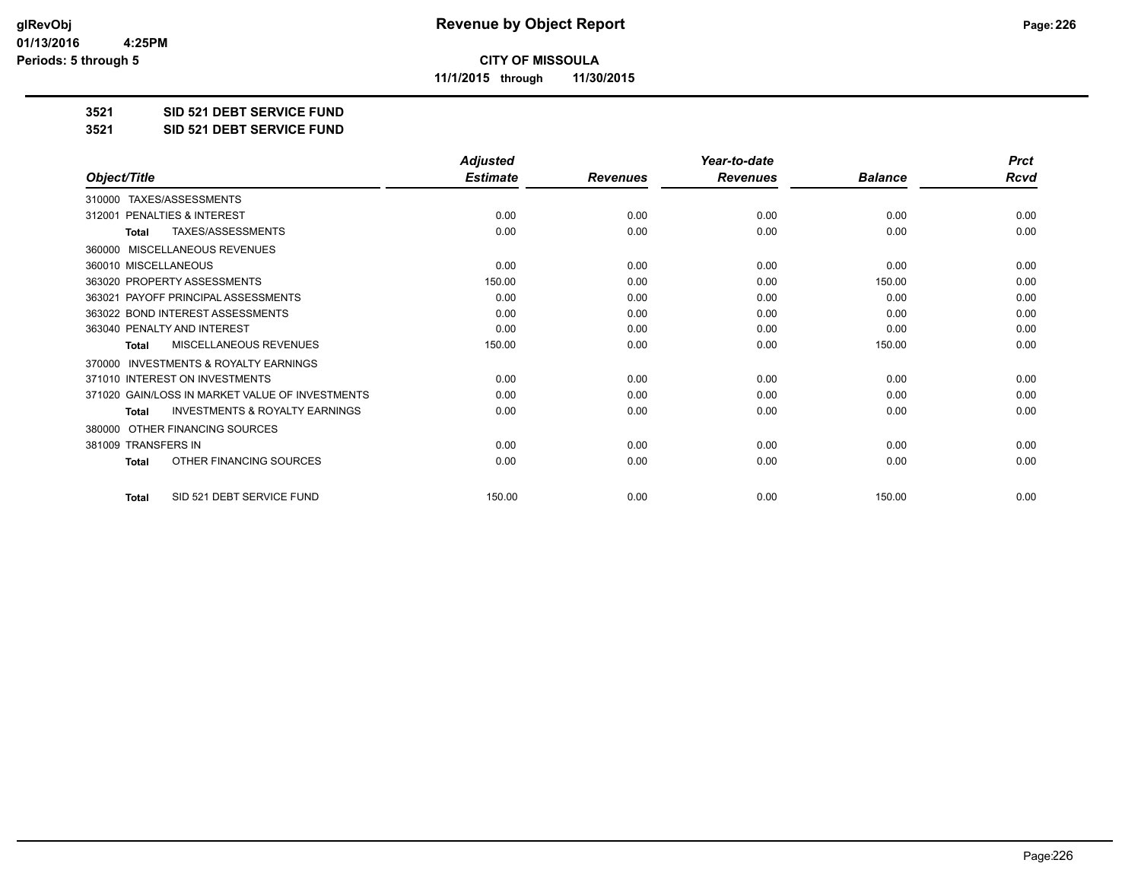**11/1/2015 through 11/30/2015**

**3521 SID 521 DEBT SERVICE FUND**

**3521 SID 521 DEBT SERVICE FUND**

|                                                           | <b>Adjusted</b> |                 | Year-to-date    |                | <b>Prct</b> |
|-----------------------------------------------------------|-----------------|-----------------|-----------------|----------------|-------------|
| Object/Title                                              | <b>Estimate</b> | <b>Revenues</b> | <b>Revenues</b> | <b>Balance</b> | <b>Rcvd</b> |
| TAXES/ASSESSMENTS<br>310000                               |                 |                 |                 |                |             |
| 312001 PENALTIES & INTEREST                               | 0.00            | 0.00            | 0.00            | 0.00           | 0.00        |
| TAXES/ASSESSMENTS<br><b>Total</b>                         | 0.00            | 0.00            | 0.00            | 0.00           | 0.00        |
| MISCELLANEOUS REVENUES<br>360000                          |                 |                 |                 |                |             |
| 360010 MISCELLANEOUS                                      | 0.00            | 0.00            | 0.00            | 0.00           | 0.00        |
| 363020 PROPERTY ASSESSMENTS                               | 150.00          | 0.00            | 0.00            | 150.00         | 0.00        |
| 363021 PAYOFF PRINCIPAL ASSESSMENTS                       | 0.00            | 0.00            | 0.00            | 0.00           | 0.00        |
| 363022 BOND INTEREST ASSESSMENTS                          | 0.00            | 0.00            | 0.00            | 0.00           | 0.00        |
| 363040 PENALTY AND INTEREST                               | 0.00            | 0.00            | 0.00            | 0.00           | 0.00        |
| <b>MISCELLANEOUS REVENUES</b><br><b>Total</b>             | 150.00          | 0.00            | 0.00            | 150.00         | 0.00        |
| <b>INVESTMENTS &amp; ROYALTY EARNINGS</b><br>370000       |                 |                 |                 |                |             |
| 371010 INTEREST ON INVESTMENTS                            | 0.00            | 0.00            | 0.00            | 0.00           | 0.00        |
| 371020 GAIN/LOSS IN MARKET VALUE OF INVESTMENTS           | 0.00            | 0.00            | 0.00            | 0.00           | 0.00        |
| <b>INVESTMENTS &amp; ROYALTY EARNINGS</b><br><b>Total</b> | 0.00            | 0.00            | 0.00            | 0.00           | 0.00        |
| OTHER FINANCING SOURCES<br>380000                         |                 |                 |                 |                |             |
| 381009 TRANSFERS IN                                       | 0.00            | 0.00            | 0.00            | 0.00           | 0.00        |
| OTHER FINANCING SOURCES<br><b>Total</b>                   | 0.00            | 0.00            | 0.00            | 0.00           | 0.00        |
| SID 521 DEBT SERVICE FUND<br><b>Total</b>                 | 150.00          | 0.00            | 0.00            | 150.00         | 0.00        |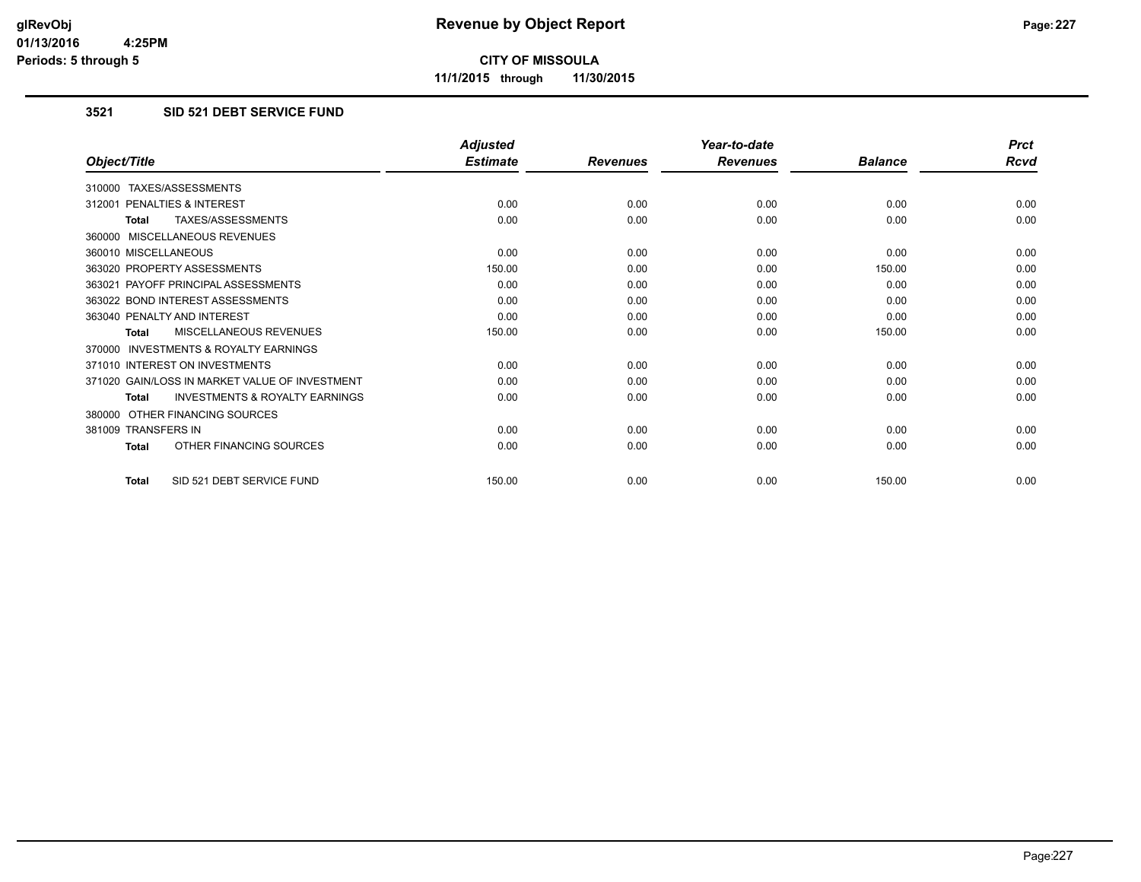**11/1/2015 through 11/30/2015**

## **3521 SID 521 DEBT SERVICE FUND**

|                                                           | <b>Adjusted</b> |                 | Year-to-date    |                | <b>Prct</b> |
|-----------------------------------------------------------|-----------------|-----------------|-----------------|----------------|-------------|
| Object/Title                                              | <b>Estimate</b> | <b>Revenues</b> | <b>Revenues</b> | <b>Balance</b> | <b>Rcvd</b> |
| 310000 TAXES/ASSESSMENTS                                  |                 |                 |                 |                |             |
| PENALTIES & INTEREST<br>312001                            | 0.00            | 0.00            | 0.00            | 0.00           | 0.00        |
| TAXES/ASSESSMENTS<br><b>Total</b>                         | 0.00            | 0.00            | 0.00            | 0.00           | 0.00        |
| 360000 MISCELLANEOUS REVENUES                             |                 |                 |                 |                |             |
| 360010 MISCELLANEOUS                                      | 0.00            | 0.00            | 0.00            | 0.00           | 0.00        |
| 363020 PROPERTY ASSESSMENTS                               | 150.00          | 0.00            | 0.00            | 150.00         | 0.00        |
| 363021 PAYOFF PRINCIPAL ASSESSMENTS                       | 0.00            | 0.00            | 0.00            | 0.00           | 0.00        |
| 363022 BOND INTEREST ASSESSMENTS                          | 0.00            | 0.00            | 0.00            | 0.00           | 0.00        |
| 363040 PENALTY AND INTEREST                               | 0.00            | 0.00            | 0.00            | 0.00           | 0.00        |
| MISCELLANEOUS REVENUES<br><b>Total</b>                    | 150.00          | 0.00            | 0.00            | 150.00         | 0.00        |
| <b>INVESTMENTS &amp; ROYALTY EARNINGS</b><br>370000       |                 |                 |                 |                |             |
| 371010 INTEREST ON INVESTMENTS                            | 0.00            | 0.00            | 0.00            | 0.00           | 0.00        |
| 371020 GAIN/LOSS IN MARKET VALUE OF INVESTMENT            | 0.00            | 0.00            | 0.00            | 0.00           | 0.00        |
| <b>INVESTMENTS &amp; ROYALTY EARNINGS</b><br><b>Total</b> | 0.00            | 0.00            | 0.00            | 0.00           | 0.00        |
| OTHER FINANCING SOURCES<br>380000                         |                 |                 |                 |                |             |
| 381009 TRANSFERS IN                                       | 0.00            | 0.00            | 0.00            | 0.00           | 0.00        |
| OTHER FINANCING SOURCES<br><b>Total</b>                   | 0.00            | 0.00            | 0.00            | 0.00           | 0.00        |
| SID 521 DEBT SERVICE FUND<br><b>Total</b>                 | 150.00          | 0.00            | 0.00            | 150.00         | 0.00        |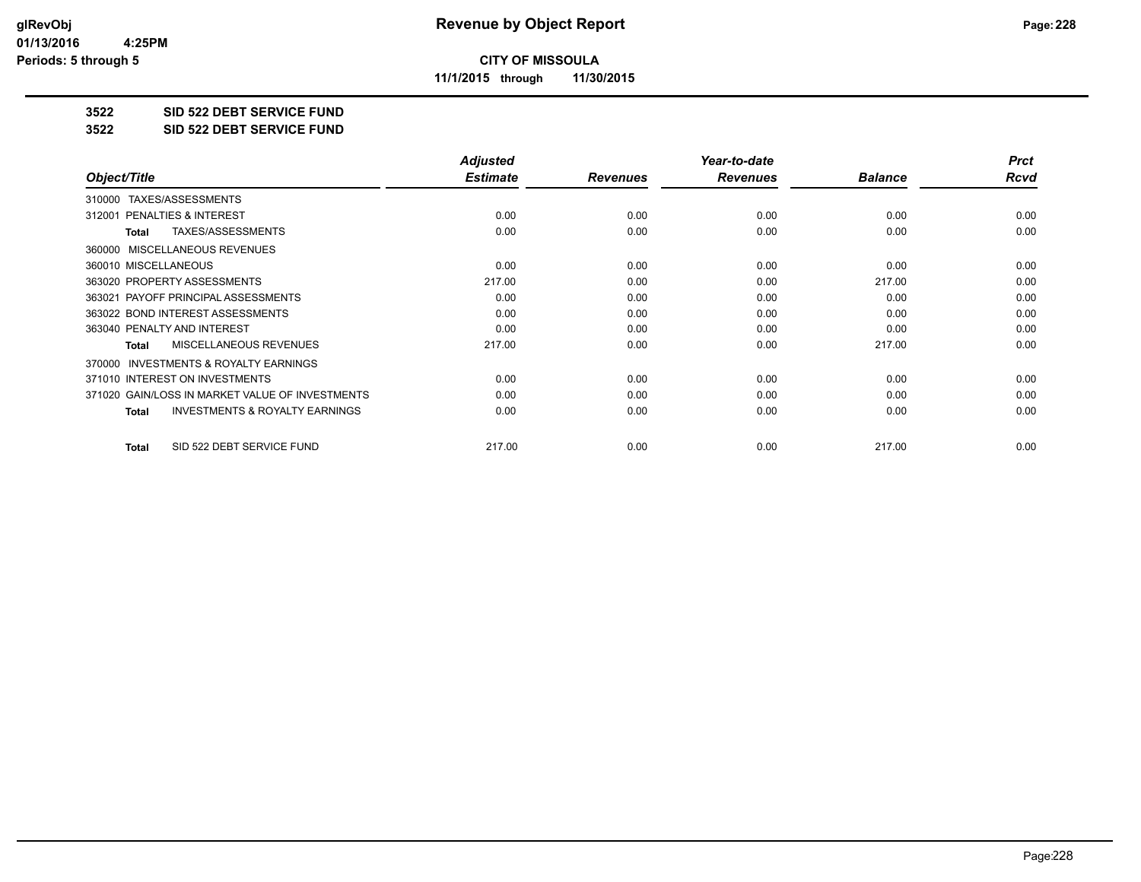**11/1/2015 through 11/30/2015**

**3522 SID 522 DEBT SERVICE FUND**

**3522 SID 522 DEBT SERVICE FUND**

|                                                    | <b>Adjusted</b> |                 | Year-to-date    |                | <b>Prct</b> |
|----------------------------------------------------|-----------------|-----------------|-----------------|----------------|-------------|
| Object/Title                                       | <b>Estimate</b> | <b>Revenues</b> | <b>Revenues</b> | <b>Balance</b> | Rcvd        |
| TAXES/ASSESSMENTS<br>310000                        |                 |                 |                 |                |             |
| PENALTIES & INTEREST<br>312001                     | 0.00            | 0.00            | 0.00            | 0.00           | 0.00        |
| TAXES/ASSESSMENTS<br>Total                         | 0.00            | 0.00            | 0.00            | 0.00           | 0.00        |
| 360000 MISCELLANEOUS REVENUES                      |                 |                 |                 |                |             |
| 360010 MISCELLANEOUS                               | 0.00            | 0.00            | 0.00            | 0.00           | 0.00        |
| 363020 PROPERTY ASSESSMENTS                        | 217.00          | 0.00            | 0.00            | 217.00         | 0.00        |
| 363021 PAYOFF PRINCIPAL ASSESSMENTS                | 0.00            | 0.00            | 0.00            | 0.00           | 0.00        |
| 363022 BOND INTEREST ASSESSMENTS                   | 0.00            | 0.00            | 0.00            | 0.00           | 0.00        |
| 363040 PENALTY AND INTEREST                        | 0.00            | 0.00            | 0.00            | 0.00           | 0.00        |
| <b>MISCELLANEOUS REVENUES</b><br>Total             | 217.00          | 0.00            | 0.00            | 217.00         | 0.00        |
| 370000 INVESTMENTS & ROYALTY EARNINGS              |                 |                 |                 |                |             |
| 371010 INTEREST ON INVESTMENTS                     | 0.00            | 0.00            | 0.00            | 0.00           | 0.00        |
| 371020 GAIN/LOSS IN MARKET VALUE OF INVESTMENTS    | 0.00            | 0.00            | 0.00            | 0.00           | 0.00        |
| <b>INVESTMENTS &amp; ROYALTY EARNINGS</b><br>Total | 0.00            | 0.00            | 0.00            | 0.00           | 0.00        |
| SID 522 DEBT SERVICE FUND<br>Total                 | 217.00          | 0.00            | 0.00            | 217.00         | 0.00        |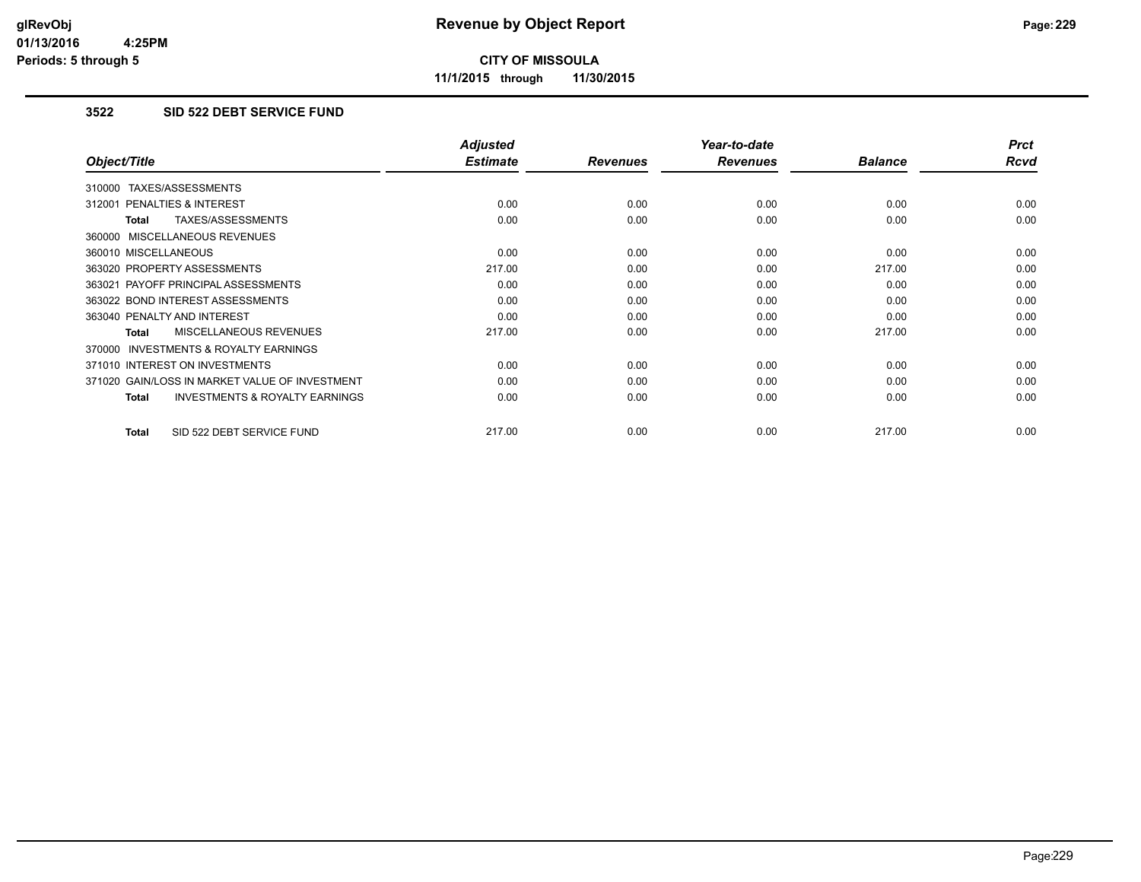**11/1/2015 through 11/30/2015**

## **3522 SID 522 DEBT SERVICE FUND**

|                                                           | <b>Adjusted</b> |                 | Year-to-date    |                | <b>Prct</b> |
|-----------------------------------------------------------|-----------------|-----------------|-----------------|----------------|-------------|
| Object/Title                                              | <b>Estimate</b> | <b>Revenues</b> | <b>Revenues</b> | <b>Balance</b> | <b>Rcvd</b> |
| 310000 TAXES/ASSESSMENTS                                  |                 |                 |                 |                |             |
| PENALTIES & INTEREST<br>312001                            | 0.00            | 0.00            | 0.00            | 0.00           | 0.00        |
| TAXES/ASSESSMENTS<br>Total                                | 0.00            | 0.00            | 0.00            | 0.00           | 0.00        |
| 360000 MISCELLANEOUS REVENUES                             |                 |                 |                 |                |             |
| 360010 MISCELLANEOUS                                      | 0.00            | 0.00            | 0.00            | 0.00           | 0.00        |
| 363020 PROPERTY ASSESSMENTS                               | 217.00          | 0.00            | 0.00            | 217.00         | 0.00        |
| 363021 PAYOFF PRINCIPAL ASSESSMENTS                       | 0.00            | 0.00            | 0.00            | 0.00           | 0.00        |
| 363022 BOND INTEREST ASSESSMENTS                          | 0.00            | 0.00            | 0.00            | 0.00           | 0.00        |
| 363040 PENALTY AND INTEREST                               | 0.00            | 0.00            | 0.00            | 0.00           | 0.00        |
| <b>MISCELLANEOUS REVENUES</b><br>Total                    | 217.00          | 0.00            | 0.00            | 217.00         | 0.00        |
| <b>INVESTMENTS &amp; ROYALTY EARNINGS</b><br>370000       |                 |                 |                 |                |             |
| 371010 INTEREST ON INVESTMENTS                            | 0.00            | 0.00            | 0.00            | 0.00           | 0.00        |
| 371020 GAIN/LOSS IN MARKET VALUE OF INVESTMENT            | 0.00            | 0.00            | 0.00            | 0.00           | 0.00        |
| <b>INVESTMENTS &amp; ROYALTY EARNINGS</b><br><b>Total</b> | 0.00            | 0.00            | 0.00            | 0.00           | 0.00        |
| SID 522 DEBT SERVICE FUND<br><b>Total</b>                 | 217.00          | 0.00            | 0.00            | 217.00         | 0.00        |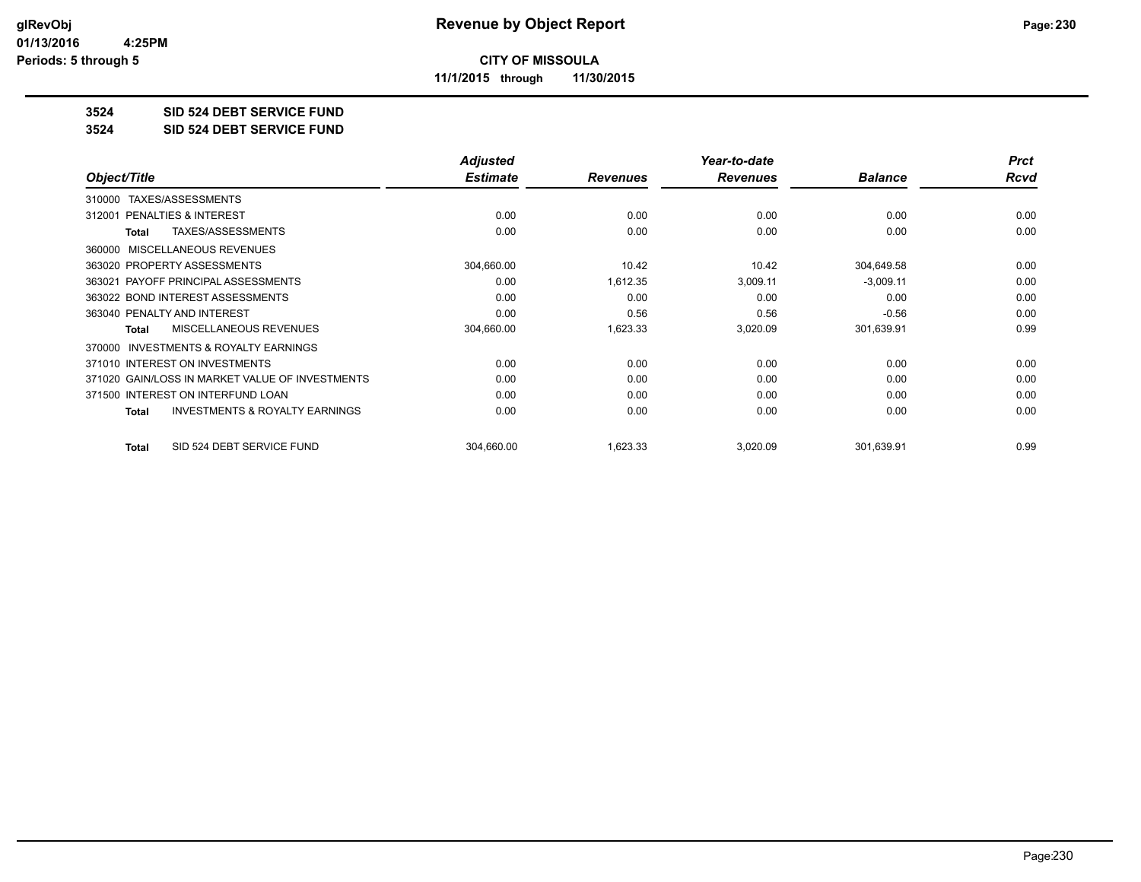**11/1/2015 through 11/30/2015**

**3524 SID 524 DEBT SERVICE FUND**

**3524 SID 524 DEBT SERVICE FUND**

|                                                     | <b>Adjusted</b> |                 | Year-to-date    |                | <b>Prct</b> |
|-----------------------------------------------------|-----------------|-----------------|-----------------|----------------|-------------|
| Object/Title                                        | <b>Estimate</b> | <b>Revenues</b> | <b>Revenues</b> | <b>Balance</b> | <b>Rcvd</b> |
| TAXES/ASSESSMENTS<br>310000                         |                 |                 |                 |                |             |
| PENALTIES & INTEREST<br>312001                      | 0.00            | 0.00            | 0.00            | 0.00           | 0.00        |
| TAXES/ASSESSMENTS<br>Total                          | 0.00            | 0.00            | 0.00            | 0.00           | 0.00        |
| MISCELLANEOUS REVENUES<br>360000                    |                 |                 |                 |                |             |
| 363020 PROPERTY ASSESSMENTS                         | 304,660.00      | 10.42           | 10.42           | 304,649.58     | 0.00        |
| 363021 PAYOFF PRINCIPAL ASSESSMENTS                 | 0.00            | 1,612.35        | 3,009.11        | $-3,009.11$    | 0.00        |
| 363022 BOND INTEREST ASSESSMENTS                    | 0.00            | 0.00            | 0.00            | 0.00           | 0.00        |
| 363040 PENALTY AND INTEREST                         | 0.00            | 0.56            | 0.56            | $-0.56$        | 0.00        |
| <b>MISCELLANEOUS REVENUES</b><br>Total              | 304,660.00      | 1,623.33        | 3,020.09        | 301,639.91     | 0.99        |
| <b>INVESTMENTS &amp; ROYALTY EARNINGS</b><br>370000 |                 |                 |                 |                |             |
| 371010 INTEREST ON INVESTMENTS                      | 0.00            | 0.00            | 0.00            | 0.00           | 0.00        |
| 371020 GAIN/LOSS IN MARKET VALUE OF INVESTMENTS     | 0.00            | 0.00            | 0.00            | 0.00           | 0.00        |
| 371500 INTEREST ON INTERFUND LOAN                   | 0.00            | 0.00            | 0.00            | 0.00           | 0.00        |
| <b>INVESTMENTS &amp; ROYALTY EARNINGS</b><br>Total  | 0.00            | 0.00            | 0.00            | 0.00           | 0.00        |
| SID 524 DEBT SERVICE FUND<br><b>Total</b>           | 304,660.00      | 1,623.33        | 3,020.09        | 301,639.91     | 0.99        |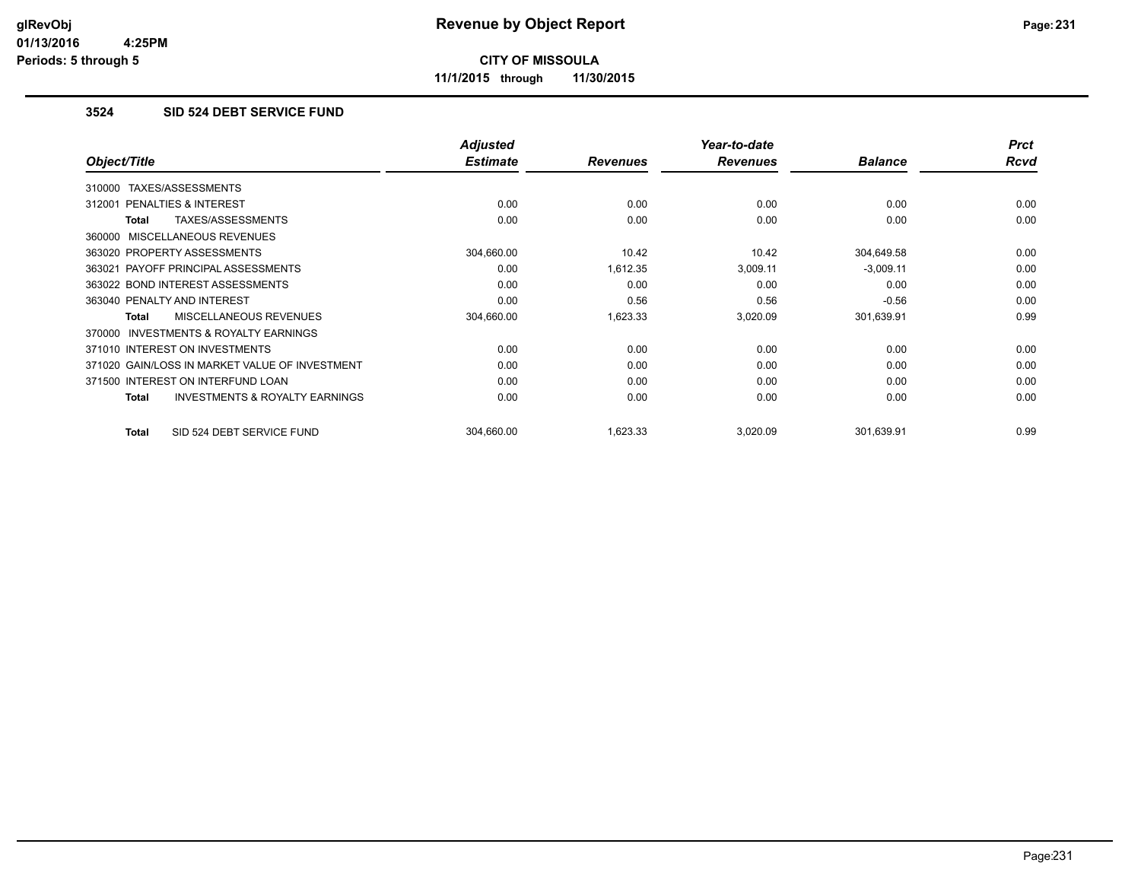**11/1/2015 through 11/30/2015**

## **3524 SID 524 DEBT SERVICE FUND**

|                                                           | Adjusted        |                 | Year-to-date    |                | <b>Prct</b> |
|-----------------------------------------------------------|-----------------|-----------------|-----------------|----------------|-------------|
| Object/Title                                              | <b>Estimate</b> | <b>Revenues</b> | <b>Revenues</b> | <b>Balance</b> | Rcvd        |
| 310000 TAXES/ASSESSMENTS                                  |                 |                 |                 |                |             |
| 312001 PENALTIES & INTEREST                               | 0.00            | 0.00            | 0.00            | 0.00           | 0.00        |
| TAXES/ASSESSMENTS<br><b>Total</b>                         | 0.00            | 0.00            | 0.00            | 0.00           | 0.00        |
| 360000 MISCELLANEOUS REVENUES                             |                 |                 |                 |                |             |
| 363020 PROPERTY ASSESSMENTS                               | 304,660.00      | 10.42           | 10.42           | 304,649.58     | 0.00        |
| 363021 PAYOFF PRINCIPAL ASSESSMENTS                       | 0.00            | 1,612.35        | 3,009.11        | $-3,009.11$    | 0.00        |
| 363022 BOND INTEREST ASSESSMENTS                          | 0.00            | 0.00            | 0.00            | 0.00           | 0.00        |
| 363040 PENALTY AND INTEREST                               | 0.00            | 0.56            | 0.56            | $-0.56$        | 0.00        |
| MISCELLANEOUS REVENUES<br><b>Total</b>                    | 304,660.00      | 1,623.33        | 3,020.09        | 301,639.91     | 0.99        |
| INVESTMENTS & ROYALTY EARNINGS<br>370000                  |                 |                 |                 |                |             |
| 371010 INTEREST ON INVESTMENTS                            | 0.00            | 0.00            | 0.00            | 0.00           | 0.00        |
| 371020 GAIN/LOSS IN MARKET VALUE OF INVESTMENT            | 0.00            | 0.00            | 0.00            | 0.00           | 0.00        |
| 371500 INTEREST ON INTERFUND LOAN                         | 0.00            | 0.00            | 0.00            | 0.00           | 0.00        |
| <b>INVESTMENTS &amp; ROYALTY EARNINGS</b><br><b>Total</b> | 0.00            | 0.00            | 0.00            | 0.00           | 0.00        |
| SID 524 DEBT SERVICE FUND<br><b>Total</b>                 | 304.660.00      | 1,623.33        | 3,020.09        | 301,639.91     | 0.99        |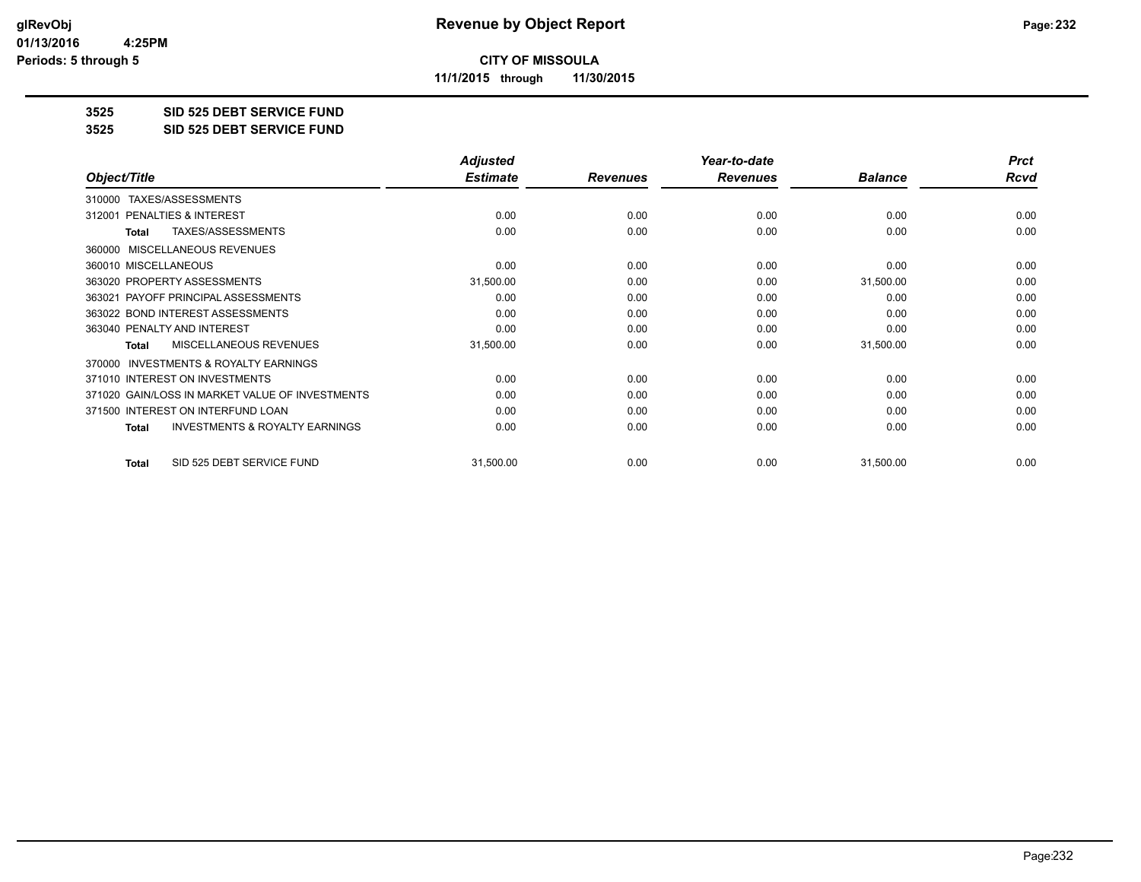**11/1/2015 through 11/30/2015**

**3525 SID 525 DEBT SERVICE FUND**

**3525 SID 525 DEBT SERVICE FUND**

|                                                           | <b>Adjusted</b> |                 | Year-to-date    |                | <b>Prct</b> |
|-----------------------------------------------------------|-----------------|-----------------|-----------------|----------------|-------------|
| Object/Title                                              | <b>Estimate</b> | <b>Revenues</b> | <b>Revenues</b> | <b>Balance</b> | <b>Rcvd</b> |
| TAXES/ASSESSMENTS<br>310000                               |                 |                 |                 |                |             |
| <b>PENALTIES &amp; INTEREST</b><br>312001                 | 0.00            | 0.00            | 0.00            | 0.00           | 0.00        |
| TAXES/ASSESSMENTS<br><b>Total</b>                         | 0.00            | 0.00            | 0.00            | 0.00           | 0.00        |
| MISCELLANEOUS REVENUES<br>360000                          |                 |                 |                 |                |             |
| 360010 MISCELLANEOUS                                      | 0.00            | 0.00            | 0.00            | 0.00           | 0.00        |
| 363020 PROPERTY ASSESSMENTS                               | 31,500.00       | 0.00            | 0.00            | 31,500.00      | 0.00        |
| 363021 PAYOFF PRINCIPAL ASSESSMENTS                       | 0.00            | 0.00            | 0.00            | 0.00           | 0.00        |
| 363022 BOND INTEREST ASSESSMENTS                          | 0.00            | 0.00            | 0.00            | 0.00           | 0.00        |
| 363040 PENALTY AND INTEREST                               | 0.00            | 0.00            | 0.00            | 0.00           | 0.00        |
| <b>MISCELLANEOUS REVENUES</b><br><b>Total</b>             | 31,500.00       | 0.00            | 0.00            | 31,500.00      | 0.00        |
| <b>INVESTMENTS &amp; ROYALTY EARNINGS</b><br>370000       |                 |                 |                 |                |             |
| 371010 INTEREST ON INVESTMENTS                            | 0.00            | 0.00            | 0.00            | 0.00           | 0.00        |
| 371020 GAIN/LOSS IN MARKET VALUE OF INVESTMENTS           | 0.00            | 0.00            | 0.00            | 0.00           | 0.00        |
| 371500 INTEREST ON INTERFUND LOAN                         | 0.00            | 0.00            | 0.00            | 0.00           | 0.00        |
| <b>INVESTMENTS &amp; ROYALTY EARNINGS</b><br><b>Total</b> | 0.00            | 0.00            | 0.00            | 0.00           | 0.00        |
| SID 525 DEBT SERVICE FUND<br><b>Total</b>                 | 31,500.00       | 0.00            | 0.00            | 31,500.00      | 0.00        |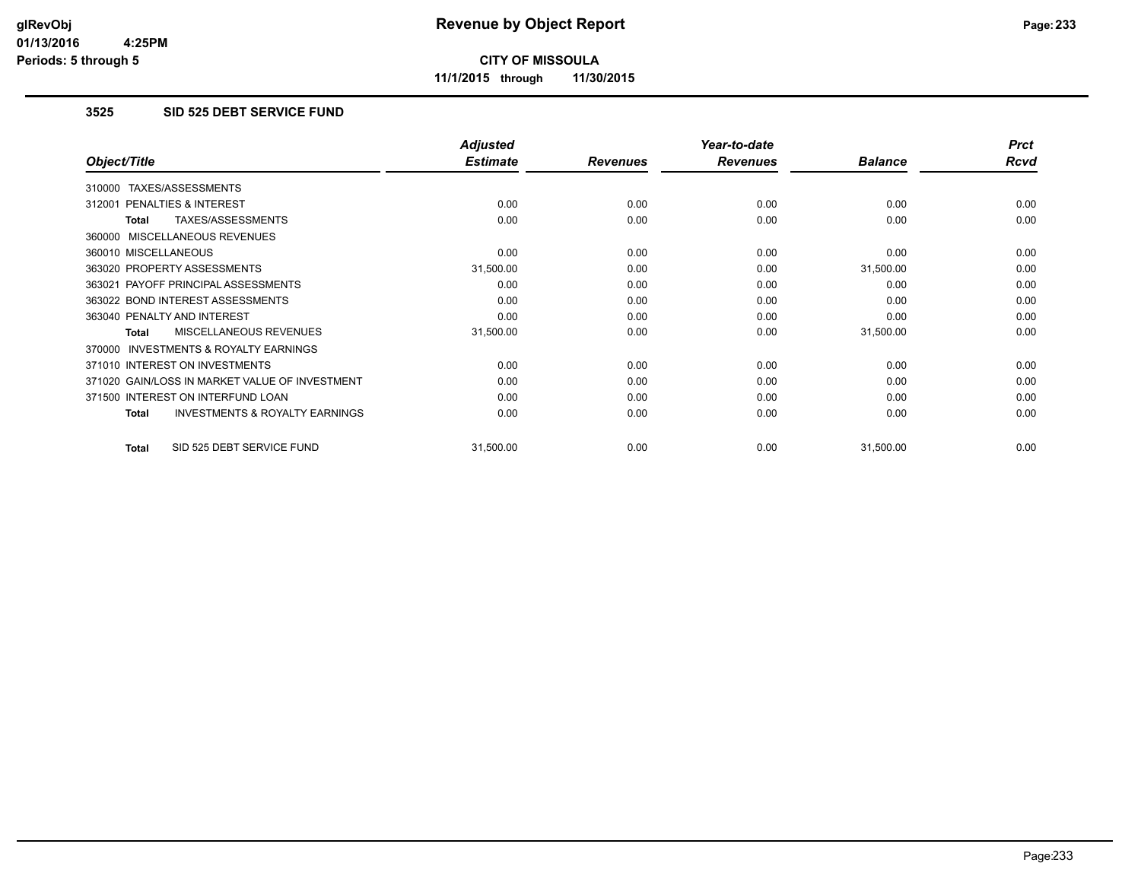**11/1/2015 through 11/30/2015**

## **3525 SID 525 DEBT SERVICE FUND**

|                                                           | <b>Adjusted</b> |                 | Year-to-date    |                | <b>Prct</b> |
|-----------------------------------------------------------|-----------------|-----------------|-----------------|----------------|-------------|
| Object/Title                                              | <b>Estimate</b> | <b>Revenues</b> | <b>Revenues</b> | <b>Balance</b> | Rcvd        |
| TAXES/ASSESSMENTS<br>310000                               |                 |                 |                 |                |             |
| 312001 PENALTIES & INTEREST                               | 0.00            | 0.00            | 0.00            | 0.00           | 0.00        |
| TAXES/ASSESSMENTS<br>Total                                | 0.00            | 0.00            | 0.00            | 0.00           | 0.00        |
| 360000 MISCELLANEOUS REVENUES                             |                 |                 |                 |                |             |
| 360010 MISCELLANEOUS                                      | 0.00            | 0.00            | 0.00            | 0.00           | 0.00        |
| 363020 PROPERTY ASSESSMENTS                               | 31,500.00       | 0.00            | 0.00            | 31,500.00      | 0.00        |
| 363021 PAYOFF PRINCIPAL ASSESSMENTS                       | 0.00            | 0.00            | 0.00            | 0.00           | 0.00        |
| 363022 BOND INTEREST ASSESSMENTS                          | 0.00            | 0.00            | 0.00            | 0.00           | 0.00        |
| 363040 PENALTY AND INTEREST                               | 0.00            | 0.00            | 0.00            | 0.00           | 0.00        |
| MISCELLANEOUS REVENUES<br>Total                           | 31,500.00       | 0.00            | 0.00            | 31,500.00      | 0.00        |
| 370000 INVESTMENTS & ROYALTY EARNINGS                     |                 |                 |                 |                |             |
| 371010 INTEREST ON INVESTMENTS                            | 0.00            | 0.00            | 0.00            | 0.00           | 0.00        |
| 371020 GAIN/LOSS IN MARKET VALUE OF INVESTMENT            | 0.00            | 0.00            | 0.00            | 0.00           | 0.00        |
| 371500 INTEREST ON INTERFUND LOAN                         | 0.00            | 0.00            | 0.00            | 0.00           | 0.00        |
| <b>INVESTMENTS &amp; ROYALTY EARNINGS</b><br><b>Total</b> | 0.00            | 0.00            | 0.00            | 0.00           | 0.00        |
| SID 525 DEBT SERVICE FUND<br><b>Total</b>                 | 31,500.00       | 0.00            | 0.00            | 31,500.00      | 0.00        |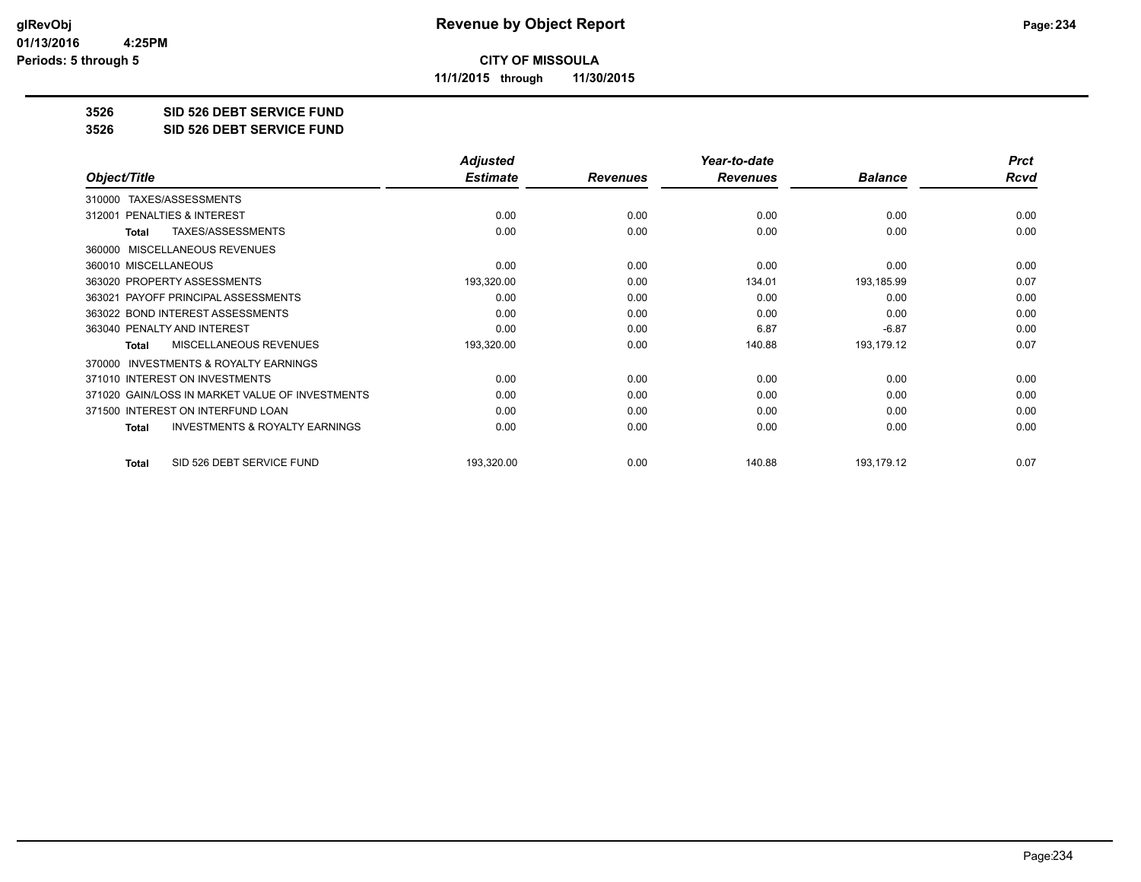**11/1/2015 through 11/30/2015**

**3526 SID 526 DEBT SERVICE FUND**

**3526 SID 526 DEBT SERVICE FUND**

|                                                    | <b>Adjusted</b> |                 | Year-to-date    |                | <b>Prct</b> |
|----------------------------------------------------|-----------------|-----------------|-----------------|----------------|-------------|
| Object/Title                                       | <b>Estimate</b> | <b>Revenues</b> | <b>Revenues</b> | <b>Balance</b> | <b>Rcvd</b> |
| TAXES/ASSESSMENTS<br>310000                        |                 |                 |                 |                |             |
| <b>PENALTIES &amp; INTEREST</b><br>312001          | 0.00            | 0.00            | 0.00            | 0.00           | 0.00        |
| TAXES/ASSESSMENTS<br><b>Total</b>                  | 0.00            | 0.00            | 0.00            | 0.00           | 0.00        |
| MISCELLANEOUS REVENUES<br>360000                   |                 |                 |                 |                |             |
| 360010 MISCELLANEOUS                               | 0.00            | 0.00            | 0.00            | 0.00           | 0.00        |
| 363020 PROPERTY ASSESSMENTS                        | 193,320.00      | 0.00            | 134.01          | 193,185.99     | 0.07        |
| 363021 PAYOFF PRINCIPAL ASSESSMENTS                | 0.00            | 0.00            | 0.00            | 0.00           | 0.00        |
| 363022 BOND INTEREST ASSESSMENTS                   | 0.00            | 0.00            | 0.00            | 0.00           | 0.00        |
| 363040 PENALTY AND INTEREST                        | 0.00            | 0.00            | 6.87            | $-6.87$        | 0.00        |
| <b>MISCELLANEOUS REVENUES</b><br>Total             | 193,320.00      | 0.00            | 140.88          | 193,179.12     | 0.07        |
| INVESTMENTS & ROYALTY EARNINGS<br>370000           |                 |                 |                 |                |             |
| 371010 INTEREST ON INVESTMENTS                     | 0.00            | 0.00            | 0.00            | 0.00           | 0.00        |
| 371020 GAIN/LOSS IN MARKET VALUE OF INVESTMENTS    | 0.00            | 0.00            | 0.00            | 0.00           | 0.00        |
| 371500 INTEREST ON INTERFUND LOAN                  | 0.00            | 0.00            | 0.00            | 0.00           | 0.00        |
| <b>INVESTMENTS &amp; ROYALTY EARNINGS</b><br>Total | 0.00            | 0.00            | 0.00            | 0.00           | 0.00        |
| SID 526 DEBT SERVICE FUND<br><b>Total</b>          | 193,320.00      | 0.00            | 140.88          | 193,179.12     | 0.07        |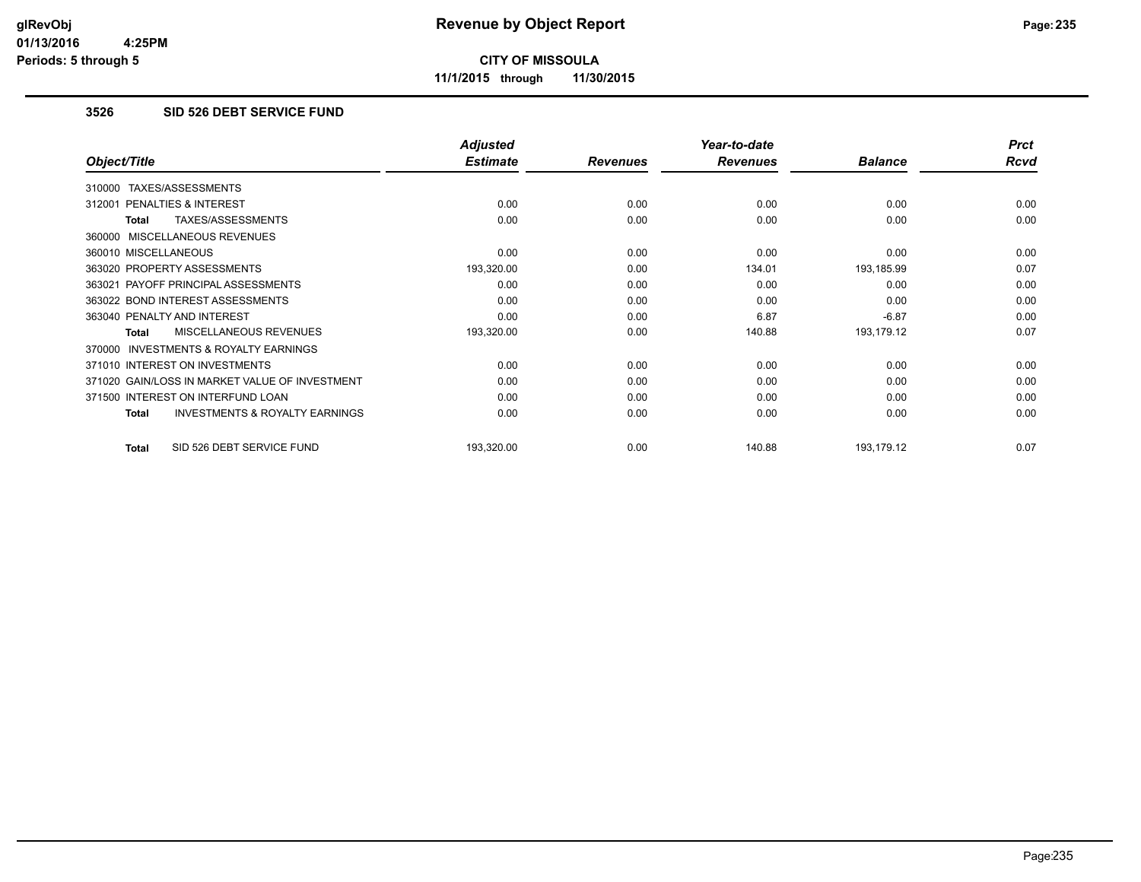**11/1/2015 through 11/30/2015**

## **3526 SID 526 DEBT SERVICE FUND**

| Object/Title                                              | <b>Adjusted</b><br><b>Estimate</b> | <b>Revenues</b> | Year-to-date<br><b>Revenues</b> | <b>Balance</b> | <b>Prct</b><br>Rcvd |
|-----------------------------------------------------------|------------------------------------|-----------------|---------------------------------|----------------|---------------------|
| TAXES/ASSESSMENTS<br>310000                               |                                    |                 |                                 |                |                     |
| PENALTIES & INTEREST<br>312001                            | 0.00                               | 0.00            | 0.00                            | 0.00           | 0.00                |
| TAXES/ASSESSMENTS<br><b>Total</b>                         | 0.00                               | 0.00            | 0.00                            | 0.00           | 0.00                |
| 360000 MISCELLANEOUS REVENUES                             |                                    |                 |                                 |                |                     |
| 360010 MISCELLANEOUS                                      | 0.00                               | 0.00            | 0.00                            | 0.00           | 0.00                |
| 363020 PROPERTY ASSESSMENTS                               | 193,320.00                         | 0.00            | 134.01                          | 193,185.99     | 0.07                |
| 363021 PAYOFF PRINCIPAL ASSESSMENTS                       | 0.00                               | 0.00            | 0.00                            | 0.00           | 0.00                |
| 363022 BOND INTEREST ASSESSMENTS                          | 0.00                               | 0.00            | 0.00                            | 0.00           | 0.00                |
| 363040 PENALTY AND INTEREST                               | 0.00                               | 0.00            | 6.87                            | $-6.87$        | 0.00                |
| MISCELLANEOUS REVENUES<br>Total                           | 193,320.00                         | 0.00            | 140.88                          | 193,179.12     | 0.07                |
| <b>INVESTMENTS &amp; ROYALTY EARNINGS</b><br>370000       |                                    |                 |                                 |                |                     |
| 371010 INTEREST ON INVESTMENTS                            | 0.00                               | 0.00            | 0.00                            | 0.00           | 0.00                |
| 371020 GAIN/LOSS IN MARKET VALUE OF INVESTMENT            | 0.00                               | 0.00            | 0.00                            | 0.00           | 0.00                |
| 371500 INTEREST ON INTERFUND LOAN                         | 0.00                               | 0.00            | 0.00                            | 0.00           | 0.00                |
| <b>INVESTMENTS &amp; ROYALTY EARNINGS</b><br><b>Total</b> | 0.00                               | 0.00            | 0.00                            | 0.00           | 0.00                |
|                                                           |                                    |                 |                                 |                |                     |
| SID 526 DEBT SERVICE FUND<br><b>Total</b>                 | 193,320.00                         | 0.00            | 140.88                          | 193,179.12     | 0.07                |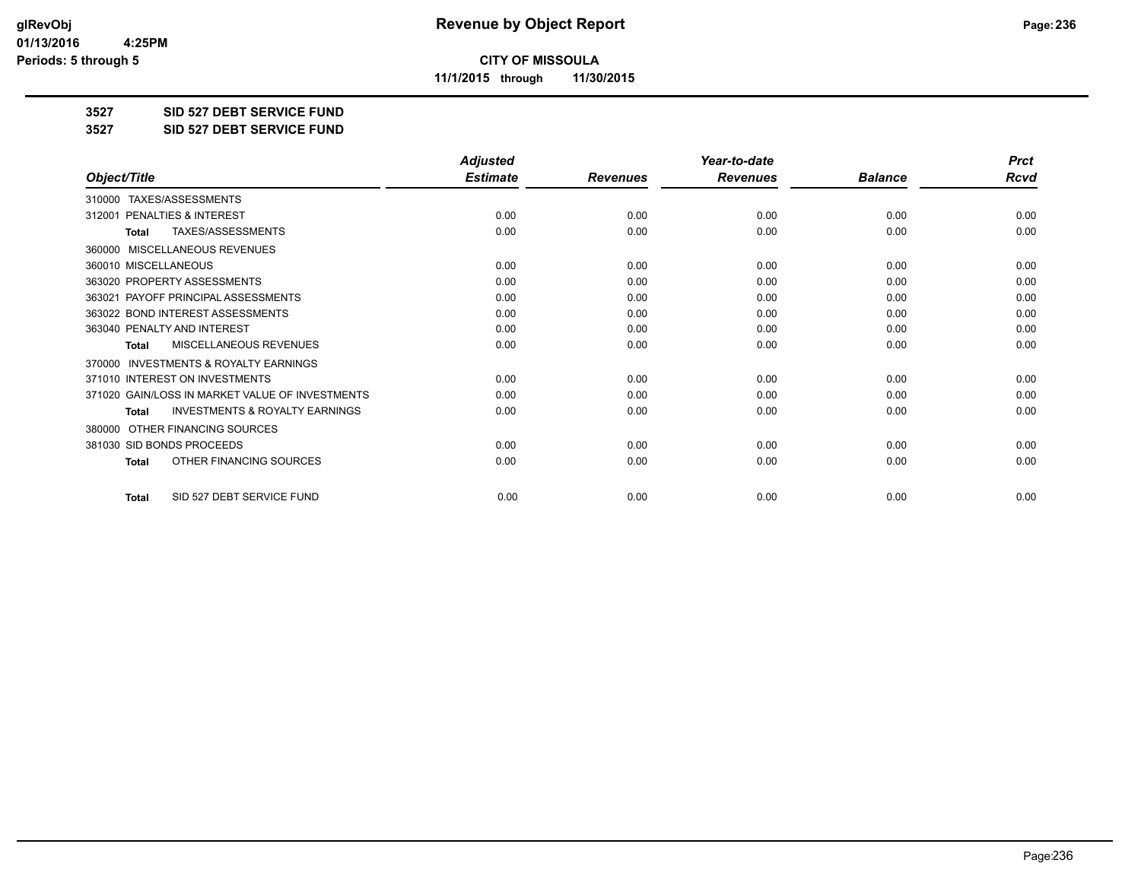**11/1/2015 through 11/30/2015**

**3527 SID 527 DEBT SERVICE FUND**

**3527 SID 527 DEBT SERVICE FUND**

|                                                           | <b>Adjusted</b> |                 | Year-to-date    |                | <b>Prct</b> |
|-----------------------------------------------------------|-----------------|-----------------|-----------------|----------------|-------------|
| Object/Title                                              | <b>Estimate</b> | <b>Revenues</b> | <b>Revenues</b> | <b>Balance</b> | <b>Rcvd</b> |
| 310000 TAXES/ASSESSMENTS                                  |                 |                 |                 |                |             |
| 312001 PENALTIES & INTEREST                               | 0.00            | 0.00            | 0.00            | 0.00           | 0.00        |
| TAXES/ASSESSMENTS<br><b>Total</b>                         | 0.00            | 0.00            | 0.00            | 0.00           | 0.00        |
| MISCELLANEOUS REVENUES<br>360000                          |                 |                 |                 |                |             |
| 360010 MISCELLANEOUS                                      | 0.00            | 0.00            | 0.00            | 0.00           | 0.00        |
| 363020 PROPERTY ASSESSMENTS                               | 0.00            | 0.00            | 0.00            | 0.00           | 0.00        |
| 363021 PAYOFF PRINCIPAL ASSESSMENTS                       | 0.00            | 0.00            | 0.00            | 0.00           | 0.00        |
| 363022 BOND INTEREST ASSESSMENTS                          | 0.00            | 0.00            | 0.00            | 0.00           | 0.00        |
| 363040 PENALTY AND INTEREST                               | 0.00            | 0.00            | 0.00            | 0.00           | 0.00        |
| MISCELLANEOUS REVENUES<br><b>Total</b>                    | 0.00            | 0.00            | 0.00            | 0.00           | 0.00        |
| <b>INVESTMENTS &amp; ROYALTY EARNINGS</b><br>370000       |                 |                 |                 |                |             |
| 371010 INTEREST ON INVESTMENTS                            | 0.00            | 0.00            | 0.00            | 0.00           | 0.00        |
| 371020 GAIN/LOSS IN MARKET VALUE OF INVESTMENTS           | 0.00            | 0.00            | 0.00            | 0.00           | 0.00        |
| <b>INVESTMENTS &amp; ROYALTY EARNINGS</b><br><b>Total</b> | 0.00            | 0.00            | 0.00            | 0.00           | 0.00        |
| OTHER FINANCING SOURCES<br>380000                         |                 |                 |                 |                |             |
| 381030 SID BONDS PROCEEDS                                 | 0.00            | 0.00            | 0.00            | 0.00           | 0.00        |
| OTHER FINANCING SOURCES<br><b>Total</b>                   | 0.00            | 0.00            | 0.00            | 0.00           | 0.00        |
| SID 527 DEBT SERVICE FUND<br><b>Total</b>                 | 0.00            | 0.00            | 0.00            | 0.00           | 0.00        |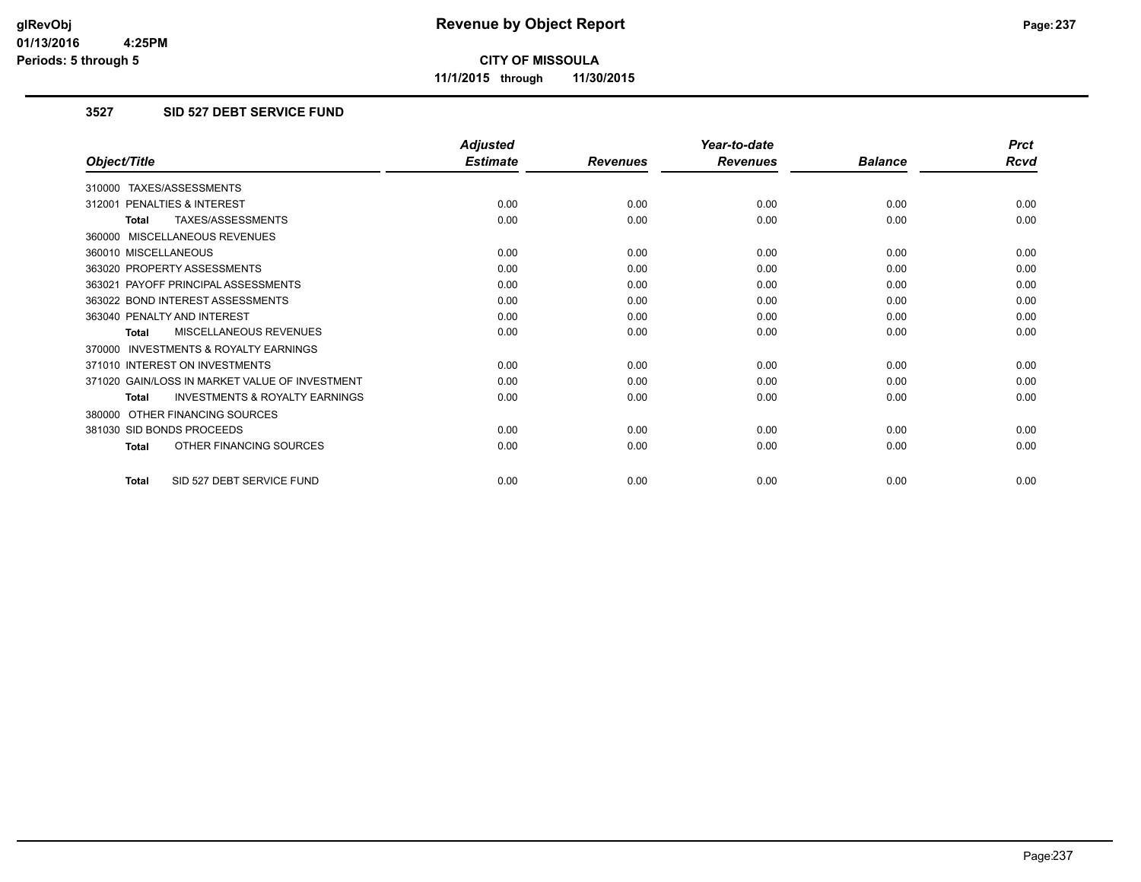**11/1/2015 through 11/30/2015**

## **3527 SID 527 DEBT SERVICE FUND**

|                                                           | <b>Adjusted</b> |                 | Year-to-date    |                | <b>Prct</b> |
|-----------------------------------------------------------|-----------------|-----------------|-----------------|----------------|-------------|
| Object/Title                                              | <b>Estimate</b> | <b>Revenues</b> | <b>Revenues</b> | <b>Balance</b> | Rcvd        |
| 310000 TAXES/ASSESSMENTS                                  |                 |                 |                 |                |             |
| 312001 PENALTIES & INTEREST                               | 0.00            | 0.00            | 0.00            | 0.00           | 0.00        |
| TAXES/ASSESSMENTS<br><b>Total</b>                         | 0.00            | 0.00            | 0.00            | 0.00           | 0.00        |
| 360000 MISCELLANEOUS REVENUES                             |                 |                 |                 |                |             |
| 360010 MISCELLANEOUS                                      | 0.00            | 0.00            | 0.00            | 0.00           | 0.00        |
| 363020 PROPERTY ASSESSMENTS                               | 0.00            | 0.00            | 0.00            | 0.00           | 0.00        |
| 363021 PAYOFF PRINCIPAL ASSESSMENTS                       | 0.00            | 0.00            | 0.00            | 0.00           | 0.00        |
| 363022 BOND INTEREST ASSESSMENTS                          | 0.00            | 0.00            | 0.00            | 0.00           | 0.00        |
| 363040 PENALTY AND INTEREST                               | 0.00            | 0.00            | 0.00            | 0.00           | 0.00        |
| MISCELLANEOUS REVENUES<br><b>Total</b>                    | 0.00            | 0.00            | 0.00            | 0.00           | 0.00        |
| <b>INVESTMENTS &amp; ROYALTY EARNINGS</b><br>370000       |                 |                 |                 |                |             |
| 371010 INTEREST ON INVESTMENTS                            | 0.00            | 0.00            | 0.00            | 0.00           | 0.00        |
| 371020 GAIN/LOSS IN MARKET VALUE OF INVESTMENT            | 0.00            | 0.00            | 0.00            | 0.00           | 0.00        |
| <b>INVESTMENTS &amp; ROYALTY EARNINGS</b><br><b>Total</b> | 0.00            | 0.00            | 0.00            | 0.00           | 0.00        |
| 380000 OTHER FINANCING SOURCES                            |                 |                 |                 |                |             |
| 381030 SID BONDS PROCEEDS                                 | 0.00            | 0.00            | 0.00            | 0.00           | 0.00        |
| OTHER FINANCING SOURCES<br><b>Total</b>                   | 0.00            | 0.00            | 0.00            | 0.00           | 0.00        |
| SID 527 DEBT SERVICE FUND<br>Total                        | 0.00            | 0.00            | 0.00            | 0.00           | 0.00        |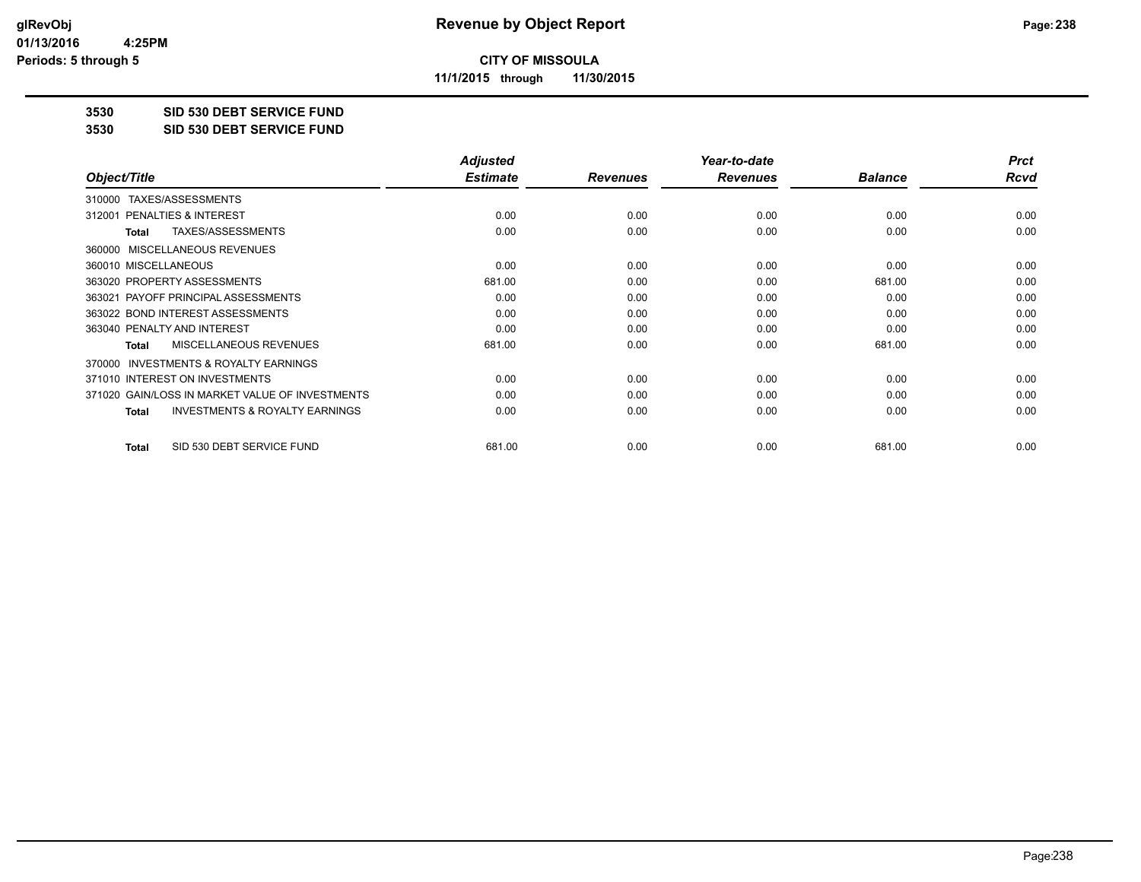**11/1/2015 through 11/30/2015**

**3530 SID 530 DEBT SERVICE FUND**

**3530 SID 530 DEBT SERVICE FUND**

|                                                     | <b>Adjusted</b> |                 | Year-to-date    |                | <b>Prct</b> |
|-----------------------------------------------------|-----------------|-----------------|-----------------|----------------|-------------|
| Object/Title                                        | <b>Estimate</b> | <b>Revenues</b> | <b>Revenues</b> | <b>Balance</b> | <b>Rcvd</b> |
| TAXES/ASSESSMENTS<br>310000                         |                 |                 |                 |                |             |
| PENALTIES & INTEREST<br>312001                      | 0.00            | 0.00            | 0.00            | 0.00           | 0.00        |
| TAXES/ASSESSMENTS<br>Total                          | 0.00            | 0.00            | 0.00            | 0.00           | 0.00        |
| 360000 MISCELLANEOUS REVENUES                       |                 |                 |                 |                |             |
| 360010 MISCELLANEOUS                                | 0.00            | 0.00            | 0.00            | 0.00           | 0.00        |
| 363020 PROPERTY ASSESSMENTS                         | 681.00          | 0.00            | 0.00            | 681.00         | 0.00        |
| 363021 PAYOFF PRINCIPAL ASSESSMENTS                 | 0.00            | 0.00            | 0.00            | 0.00           | 0.00        |
| 363022 BOND INTEREST ASSESSMENTS                    | 0.00            | 0.00            | 0.00            | 0.00           | 0.00        |
| 363040 PENALTY AND INTEREST                         | 0.00            | 0.00            | 0.00            | 0.00           | 0.00        |
| <b>MISCELLANEOUS REVENUES</b><br>Total              | 681.00          | 0.00            | 0.00            | 681.00         | 0.00        |
| <b>INVESTMENTS &amp; ROYALTY EARNINGS</b><br>370000 |                 |                 |                 |                |             |
| 371010 INTEREST ON INVESTMENTS                      | 0.00            | 0.00            | 0.00            | 0.00           | 0.00        |
| 371020 GAIN/LOSS IN MARKET VALUE OF INVESTMENTS     | 0.00            | 0.00            | 0.00            | 0.00           | 0.00        |
| <b>INVESTMENTS &amp; ROYALTY EARNINGS</b><br>Total  | 0.00            | 0.00            | 0.00            | 0.00           | 0.00        |
| SID 530 DEBT SERVICE FUND<br><b>Total</b>           | 681.00          | 0.00            | 0.00            | 681.00         | 0.00        |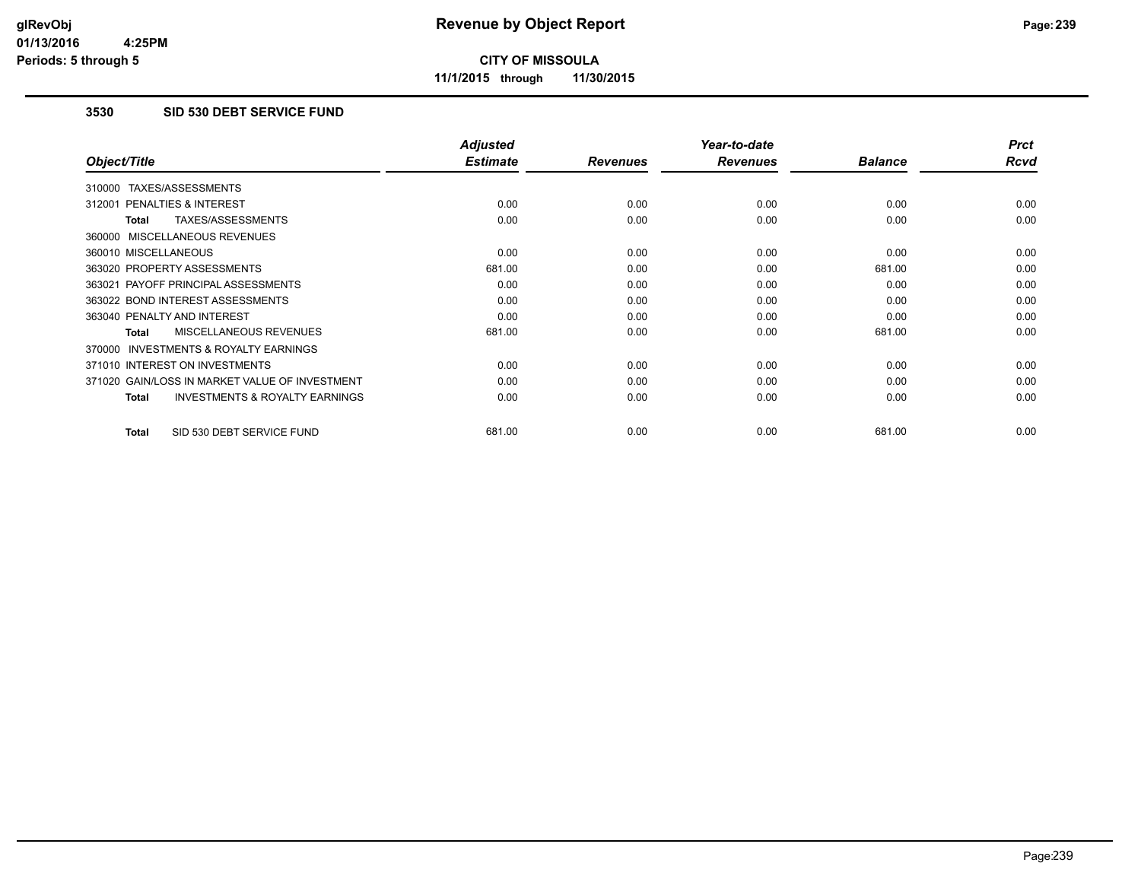**11/1/2015 through 11/30/2015**

## **3530 SID 530 DEBT SERVICE FUND**

|                                                           | <b>Adjusted</b> |                 | Year-to-date    |                | <b>Prct</b> |
|-----------------------------------------------------------|-----------------|-----------------|-----------------|----------------|-------------|
| Object/Title                                              | <b>Estimate</b> | <b>Revenues</b> | <b>Revenues</b> | <b>Balance</b> | <b>Rcvd</b> |
| 310000 TAXES/ASSESSMENTS                                  |                 |                 |                 |                |             |
| PENALTIES & INTEREST<br>312001                            | 0.00            | 0.00            | 0.00            | 0.00           | 0.00        |
| TAXES/ASSESSMENTS<br>Total                                | 0.00            | 0.00            | 0.00            | 0.00           | 0.00        |
| 360000 MISCELLANEOUS REVENUES                             |                 |                 |                 |                |             |
| 360010 MISCELLANEOUS                                      | 0.00            | 0.00            | 0.00            | 0.00           | 0.00        |
| 363020 PROPERTY ASSESSMENTS                               | 681.00          | 0.00            | 0.00            | 681.00         | 0.00        |
| 363021 PAYOFF PRINCIPAL ASSESSMENTS                       | 0.00            | 0.00            | 0.00            | 0.00           | 0.00        |
| 363022 BOND INTEREST ASSESSMENTS                          | 0.00            | 0.00            | 0.00            | 0.00           | 0.00        |
| 363040 PENALTY AND INTEREST                               | 0.00            | 0.00            | 0.00            | 0.00           | 0.00        |
| <b>MISCELLANEOUS REVENUES</b><br>Total                    | 681.00          | 0.00            | 0.00            | 681.00         | 0.00        |
| <b>INVESTMENTS &amp; ROYALTY EARNINGS</b><br>370000       |                 |                 |                 |                |             |
| 371010 INTEREST ON INVESTMENTS                            | 0.00            | 0.00            | 0.00            | 0.00           | 0.00        |
| 371020 GAIN/LOSS IN MARKET VALUE OF INVESTMENT            | 0.00            | 0.00            | 0.00            | 0.00           | 0.00        |
| <b>INVESTMENTS &amp; ROYALTY EARNINGS</b><br><b>Total</b> | 0.00            | 0.00            | 0.00            | 0.00           | 0.00        |
| SID 530 DEBT SERVICE FUND<br><b>Total</b>                 | 681.00          | 0.00            | 0.00            | 681.00         | 0.00        |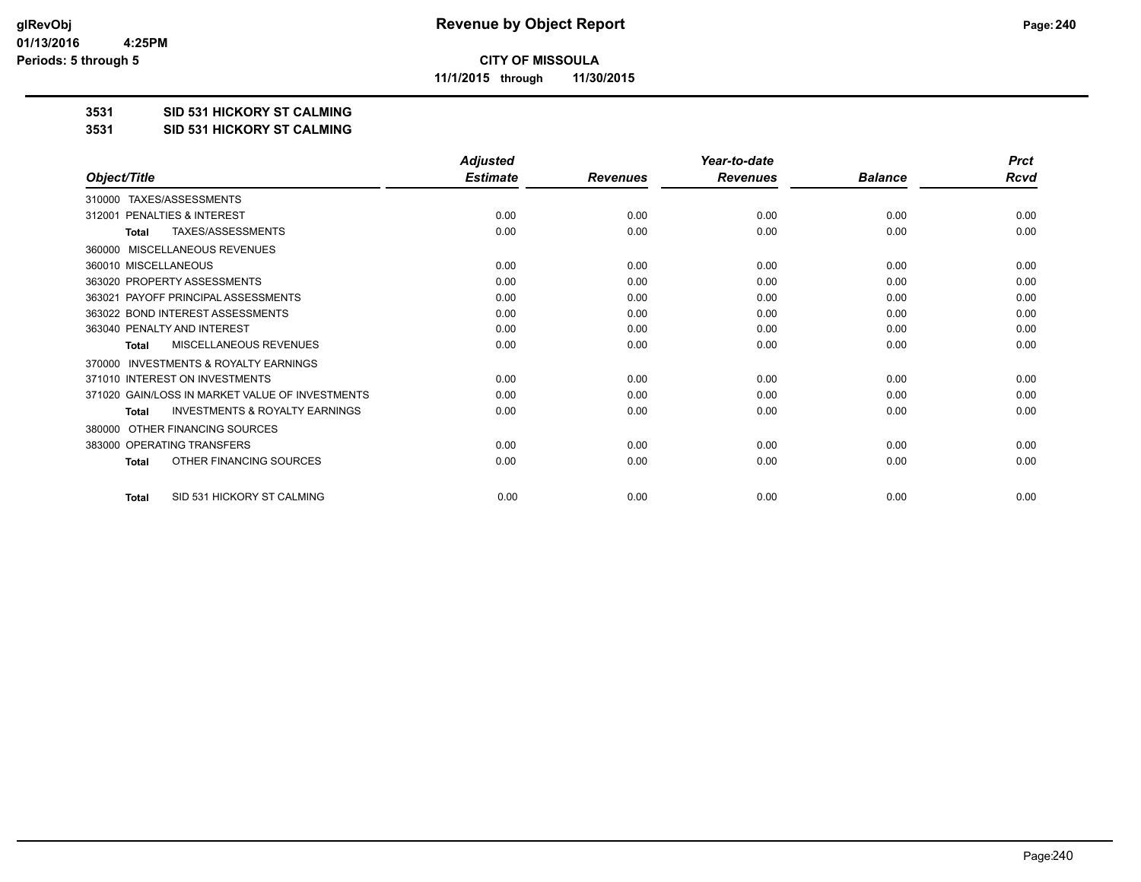**11/1/2015 through 11/30/2015**

### **3531 SID 531 HICKORY ST CALMING**

#### **3531 SID 531 HICKORY ST CALMING**

|                                                           | <b>Adjusted</b> |                 | Year-to-date    |                | <b>Prct</b> |
|-----------------------------------------------------------|-----------------|-----------------|-----------------|----------------|-------------|
| Object/Title                                              | <b>Estimate</b> | <b>Revenues</b> | <b>Revenues</b> | <b>Balance</b> | <b>Rcvd</b> |
| TAXES/ASSESSMENTS<br>310000                               |                 |                 |                 |                |             |
| PENALTIES & INTEREST<br>312001                            | 0.00            | 0.00            | 0.00            | 0.00           | 0.00        |
| TAXES/ASSESSMENTS<br><b>Total</b>                         | 0.00            | 0.00            | 0.00            | 0.00           | 0.00        |
| MISCELLANEOUS REVENUES<br>360000                          |                 |                 |                 |                |             |
| 360010 MISCELLANEOUS                                      | 0.00            | 0.00            | 0.00            | 0.00           | 0.00        |
| 363020 PROPERTY ASSESSMENTS                               | 0.00            | 0.00            | 0.00            | 0.00           | 0.00        |
| 363021 PAYOFF PRINCIPAL ASSESSMENTS                       | 0.00            | 0.00            | 0.00            | 0.00           | 0.00        |
| 363022 BOND INTEREST ASSESSMENTS                          | 0.00            | 0.00            | 0.00            | 0.00           | 0.00        |
| 363040 PENALTY AND INTEREST                               | 0.00            | 0.00            | 0.00            | 0.00           | 0.00        |
| MISCELLANEOUS REVENUES<br>Total                           | 0.00            | 0.00            | 0.00            | 0.00           | 0.00        |
| <b>INVESTMENTS &amp; ROYALTY EARNINGS</b><br>370000       |                 |                 |                 |                |             |
| 371010 INTEREST ON INVESTMENTS                            | 0.00            | 0.00            | 0.00            | 0.00           | 0.00        |
| 371020 GAIN/LOSS IN MARKET VALUE OF INVESTMENTS           | 0.00            | 0.00            | 0.00            | 0.00           | 0.00        |
| <b>INVESTMENTS &amp; ROYALTY EARNINGS</b><br><b>Total</b> | 0.00            | 0.00            | 0.00            | 0.00           | 0.00        |
| OTHER FINANCING SOURCES<br>380000                         |                 |                 |                 |                |             |
| 383000 OPERATING TRANSFERS                                | 0.00            | 0.00            | 0.00            | 0.00           | 0.00        |
| OTHER FINANCING SOURCES<br>Total                          | 0.00            | 0.00            | 0.00            | 0.00           | 0.00        |
| SID 531 HICKORY ST CALMING<br><b>Total</b>                | 0.00            | 0.00            | 0.00            | 0.00           | 0.00        |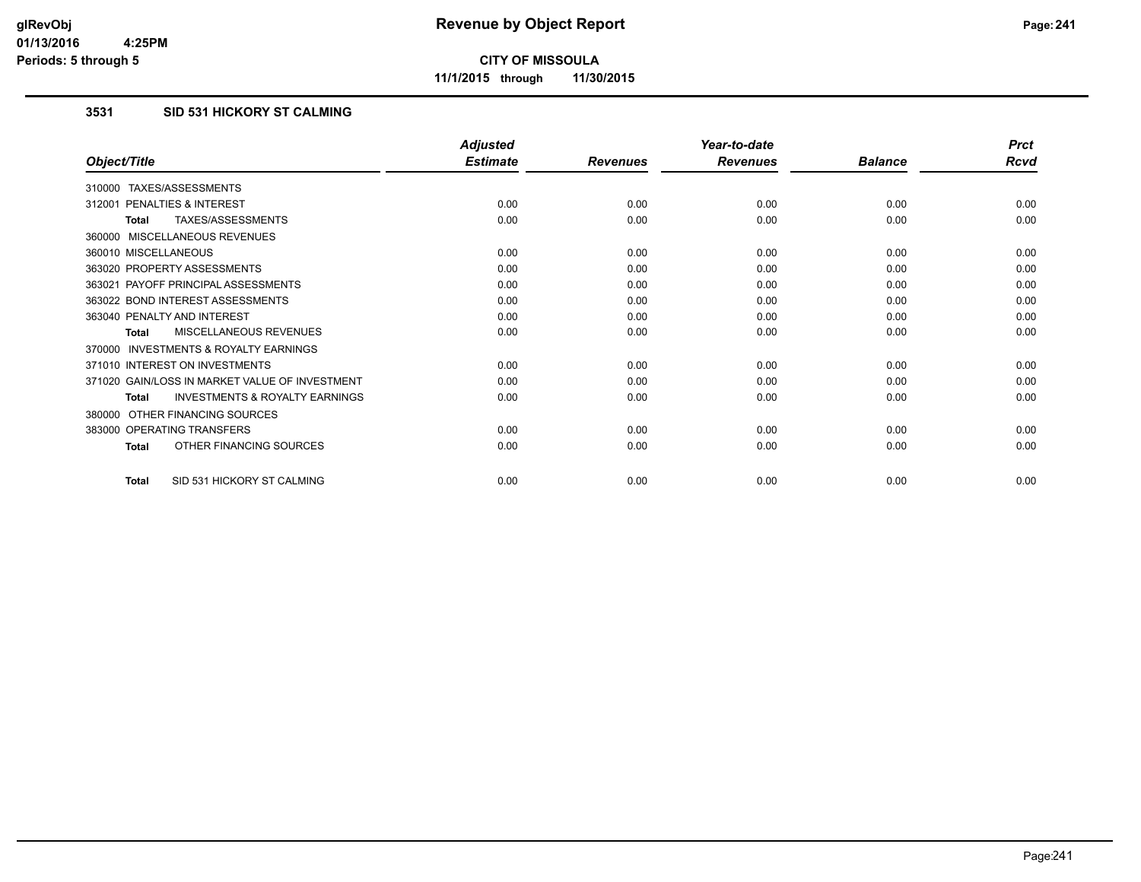**11/1/2015 through 11/30/2015**

## **3531 SID 531 HICKORY ST CALMING**

|                                                           | <b>Adjusted</b> |                 | Year-to-date    |                | <b>Prct</b> |
|-----------------------------------------------------------|-----------------|-----------------|-----------------|----------------|-------------|
| Object/Title                                              | <b>Estimate</b> | <b>Revenues</b> | <b>Revenues</b> | <b>Balance</b> | <b>Rcvd</b> |
| 310000 TAXES/ASSESSMENTS                                  |                 |                 |                 |                |             |
| PENALTIES & INTEREST<br>312001                            | 0.00            | 0.00            | 0.00            | 0.00           | 0.00        |
| TAXES/ASSESSMENTS<br><b>Total</b>                         | 0.00            | 0.00            | 0.00            | 0.00           | 0.00        |
| 360000 MISCELLANEOUS REVENUES                             |                 |                 |                 |                |             |
| 360010 MISCELLANEOUS                                      | 0.00            | 0.00            | 0.00            | 0.00           | 0.00        |
| 363020 PROPERTY ASSESSMENTS                               | 0.00            | 0.00            | 0.00            | 0.00           | 0.00        |
| 363021 PAYOFF PRINCIPAL ASSESSMENTS                       | 0.00            | 0.00            | 0.00            | 0.00           | 0.00        |
| 363022 BOND INTEREST ASSESSMENTS                          | 0.00            | 0.00            | 0.00            | 0.00           | 0.00        |
| 363040 PENALTY AND INTEREST                               | 0.00            | 0.00            | 0.00            | 0.00           | 0.00        |
| MISCELLANEOUS REVENUES<br><b>Total</b>                    | 0.00            | 0.00            | 0.00            | 0.00           | 0.00        |
| <b>INVESTMENTS &amp; ROYALTY EARNINGS</b><br>370000       |                 |                 |                 |                |             |
| 371010 INTEREST ON INVESTMENTS                            | 0.00            | 0.00            | 0.00            | 0.00           | 0.00        |
| 371020 GAIN/LOSS IN MARKET VALUE OF INVESTMENT            | 0.00            | 0.00            | 0.00            | 0.00           | 0.00        |
| <b>INVESTMENTS &amp; ROYALTY EARNINGS</b><br><b>Total</b> | 0.00            | 0.00            | 0.00            | 0.00           | 0.00        |
| OTHER FINANCING SOURCES<br>380000                         |                 |                 |                 |                |             |
| 383000 OPERATING TRANSFERS                                | 0.00            | 0.00            | 0.00            | 0.00           | 0.00        |
| OTHER FINANCING SOURCES<br><b>Total</b>                   | 0.00            | 0.00            | 0.00            | 0.00           | 0.00        |
| SID 531 HICKORY ST CALMING<br><b>Total</b>                | 0.00            | 0.00            | 0.00            | 0.00           | 0.00        |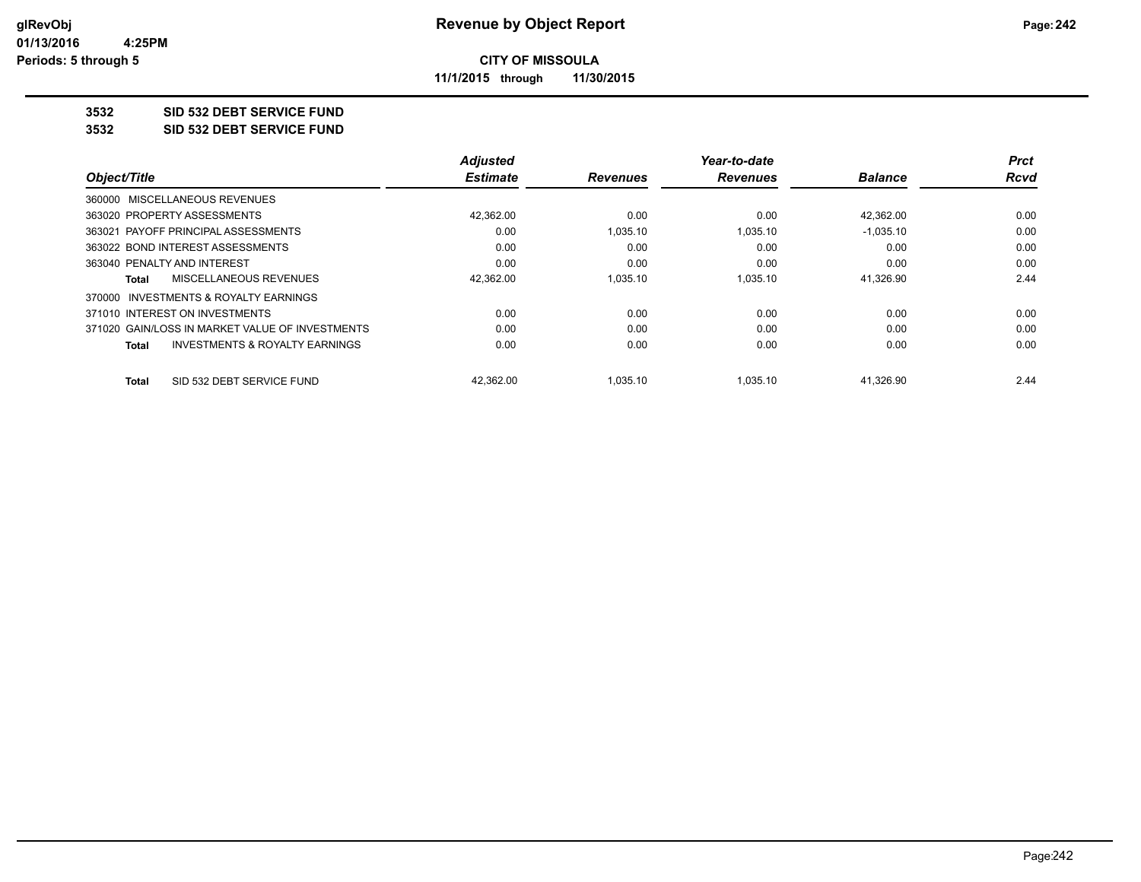**11/1/2015 through 11/30/2015**

### **3532 SID 532 DEBT SERVICE FUND**

**3532 SID 532 DEBT SERVICE FUND**

|                                                    | <b>Adjusted</b> |                 | Year-to-date    |                | <b>Prct</b> |
|----------------------------------------------------|-----------------|-----------------|-----------------|----------------|-------------|
| Object/Title                                       | <b>Estimate</b> | <b>Revenues</b> | <b>Revenues</b> | <b>Balance</b> | <b>Rcvd</b> |
| 360000 MISCELLANEOUS REVENUES                      |                 |                 |                 |                |             |
| 363020 PROPERTY ASSESSMENTS                        | 42,362.00       | 0.00            | 0.00            | 42,362.00      | 0.00        |
| 363021 PAYOFF PRINCIPAL ASSESSMENTS                | 0.00            | 1.035.10        | 1.035.10        | $-1.035.10$    | 0.00        |
| 363022 BOND INTEREST ASSESSMENTS                   | 0.00            | 0.00            | 0.00            | 0.00           | 0.00        |
| 363040 PENALTY AND INTEREST                        | 0.00            | 0.00            | 0.00            | 0.00           | 0.00        |
| MISCELLANEOUS REVENUES<br>Total                    | 42,362.00       | 1.035.10        | 1.035.10        | 41,326.90      | 2.44        |
| 370000 INVESTMENTS & ROYALTY EARNINGS              |                 |                 |                 |                |             |
| 371010 INTEREST ON INVESTMENTS                     | 0.00            | 0.00            | 0.00            | 0.00           | 0.00        |
| 371020 GAIN/LOSS IN MARKET VALUE OF INVESTMENTS    | 0.00            | 0.00            | 0.00            | 0.00           | 0.00        |
| <b>INVESTMENTS &amp; ROYALTY EARNINGS</b><br>Total | 0.00            | 0.00            | 0.00            | 0.00           | 0.00        |
| SID 532 DEBT SERVICE FUND<br><b>Total</b>          | 42,362.00       | 1.035.10        | 1.035.10        | 41,326.90      | 2.44        |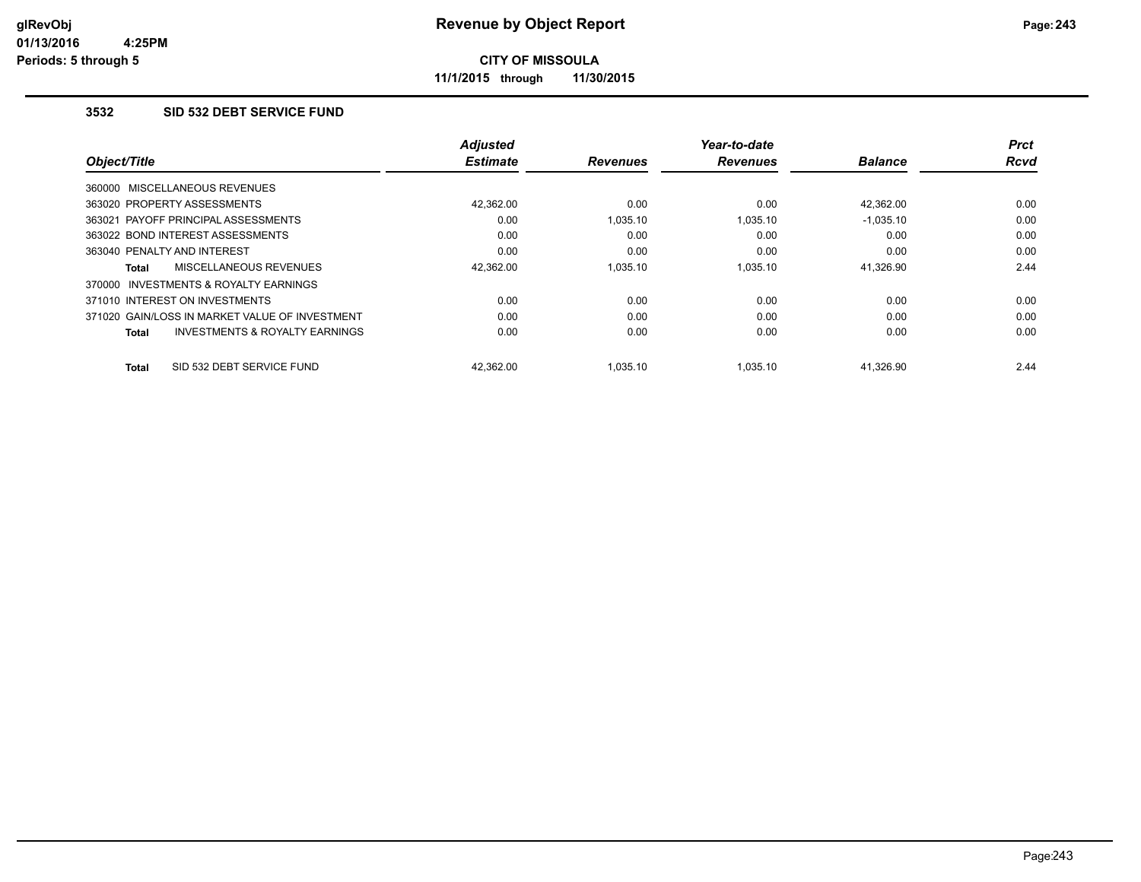**11/1/2015 through 11/30/2015**

## **3532 SID 532 DEBT SERVICE FUND**

|                                                | <b>Adjusted</b> |                 | Year-to-date    |                | Prct        |
|------------------------------------------------|-----------------|-----------------|-----------------|----------------|-------------|
| Object/Title                                   | <b>Estimate</b> | <b>Revenues</b> | <b>Revenues</b> | <b>Balance</b> | <b>Rcvd</b> |
| 360000 MISCELLANEOUS REVENUES                  |                 |                 |                 |                |             |
| 363020 PROPERTY ASSESSMENTS                    | 42.362.00       | 0.00            | 0.00            | 42.362.00      | 0.00        |
| 363021 PAYOFF PRINCIPAL ASSESSMENTS            | 0.00            | 1,035.10        | 1,035.10        | $-1,035.10$    | 0.00        |
| 363022 BOND INTEREST ASSESSMENTS               | 0.00            | 0.00            | 0.00            | 0.00           | 0.00        |
| 363040 PENALTY AND INTEREST                    | 0.00            | 0.00            | 0.00            | 0.00           | 0.00        |
| MISCELLANEOUS REVENUES<br>Total                | 42,362.00       | 1.035.10        | 1.035.10        | 41,326.90      | 2.44        |
| 370000 INVESTMENTS & ROYALTY EARNINGS          |                 |                 |                 |                |             |
| 371010 INTEREST ON INVESTMENTS                 | 0.00            | 0.00            | 0.00            | 0.00           | 0.00        |
| 371020 GAIN/LOSS IN MARKET VALUE OF INVESTMENT | 0.00            | 0.00            | 0.00            | 0.00           | 0.00        |
| INVESTMENTS & ROYALTY EARNINGS<br>Total        | 0.00            | 0.00            | 0.00            | 0.00           | 0.00        |
| SID 532 DEBT SERVICE FUND<br><b>Total</b>      | 42.362.00       | 1.035.10        | 1.035.10        | 41.326.90      | 2.44        |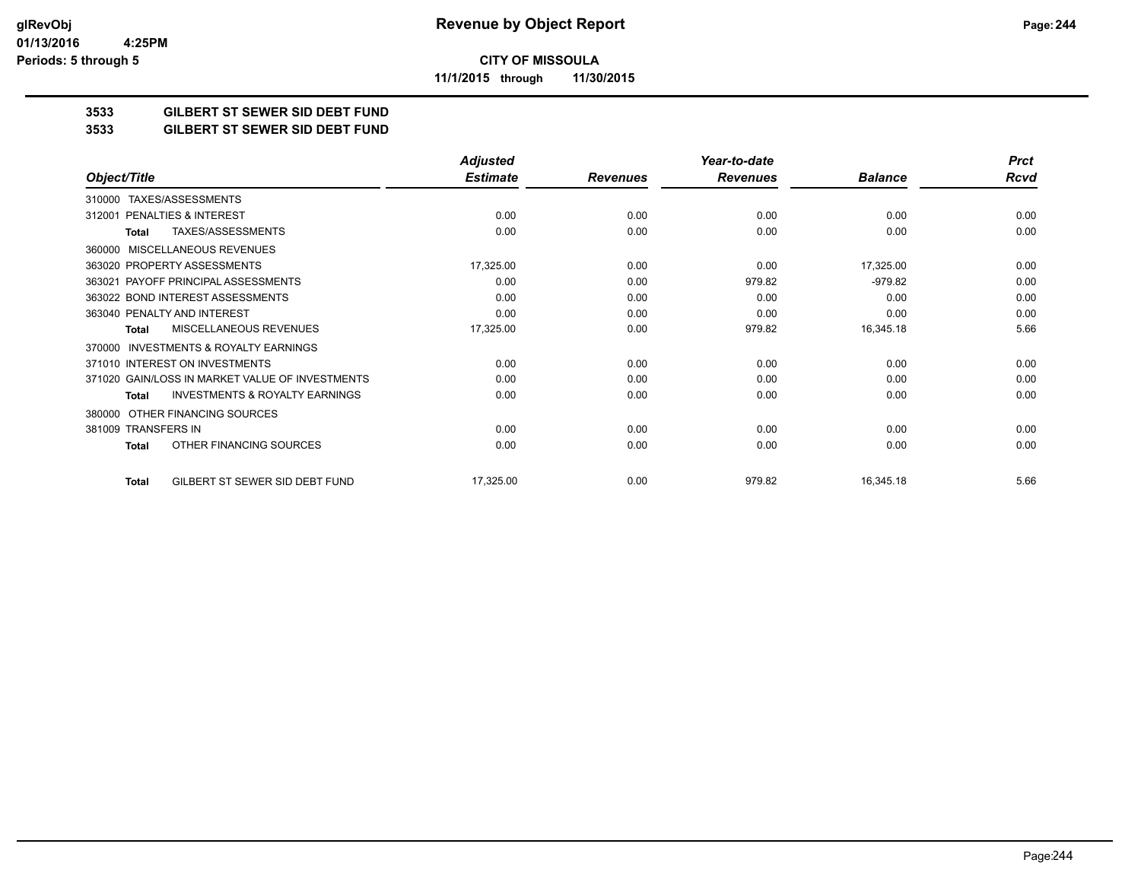**11/1/2015 through 11/30/2015**

### **3533 GILBERT ST SEWER SID DEBT FUND**

#### **3533 GILBERT ST SEWER SID DEBT FUND**

|                                                     | <b>Adjusted</b> |                 | Year-to-date    |                | <b>Prct</b> |
|-----------------------------------------------------|-----------------|-----------------|-----------------|----------------|-------------|
| Object/Title                                        | <b>Estimate</b> | <b>Revenues</b> | <b>Revenues</b> | <b>Balance</b> | <b>Rcvd</b> |
| TAXES/ASSESSMENTS<br>310000                         |                 |                 |                 |                |             |
| PENALTIES & INTEREST<br>312001                      | 0.00            | 0.00            | 0.00            | 0.00           | 0.00        |
| TAXES/ASSESSMENTS<br>Total                          | 0.00            | 0.00            | 0.00            | 0.00           | 0.00        |
| <b>MISCELLANEOUS REVENUES</b><br>360000             |                 |                 |                 |                |             |
| 363020 PROPERTY ASSESSMENTS                         | 17,325.00       | 0.00            | 0.00            | 17,325.00      | 0.00        |
| 363021 PAYOFF PRINCIPAL ASSESSMENTS                 | 0.00            | 0.00            | 979.82          | $-979.82$      | 0.00        |
| 363022 BOND INTEREST ASSESSMENTS                    | 0.00            | 0.00            | 0.00            | 0.00           | 0.00        |
| 363040 PENALTY AND INTEREST                         | 0.00            | 0.00            | 0.00            | 0.00           | 0.00        |
| MISCELLANEOUS REVENUES<br>Total                     | 17,325.00       | 0.00            | 979.82          | 16,345.18      | 5.66        |
| <b>INVESTMENTS &amp; ROYALTY EARNINGS</b><br>370000 |                 |                 |                 |                |             |
| 371010 INTEREST ON INVESTMENTS                      | 0.00            | 0.00            | 0.00            | 0.00           | 0.00        |
| 371020 GAIN/LOSS IN MARKET VALUE OF INVESTMENTS     | 0.00            | 0.00            | 0.00            | 0.00           | 0.00        |
| <b>INVESTMENTS &amp; ROYALTY EARNINGS</b><br>Total  | 0.00            | 0.00            | 0.00            | 0.00           | 0.00        |
| OTHER FINANCING SOURCES<br>380000                   |                 |                 |                 |                |             |
| 381009 TRANSFERS IN                                 | 0.00            | 0.00            | 0.00            | 0.00           | 0.00        |
| OTHER FINANCING SOURCES<br><b>Total</b>             | 0.00            | 0.00            | 0.00            | 0.00           | 0.00        |
| GILBERT ST SEWER SID DEBT FUND<br><b>Total</b>      | 17,325.00       | 0.00            | 979.82          | 16,345.18      | 5.66        |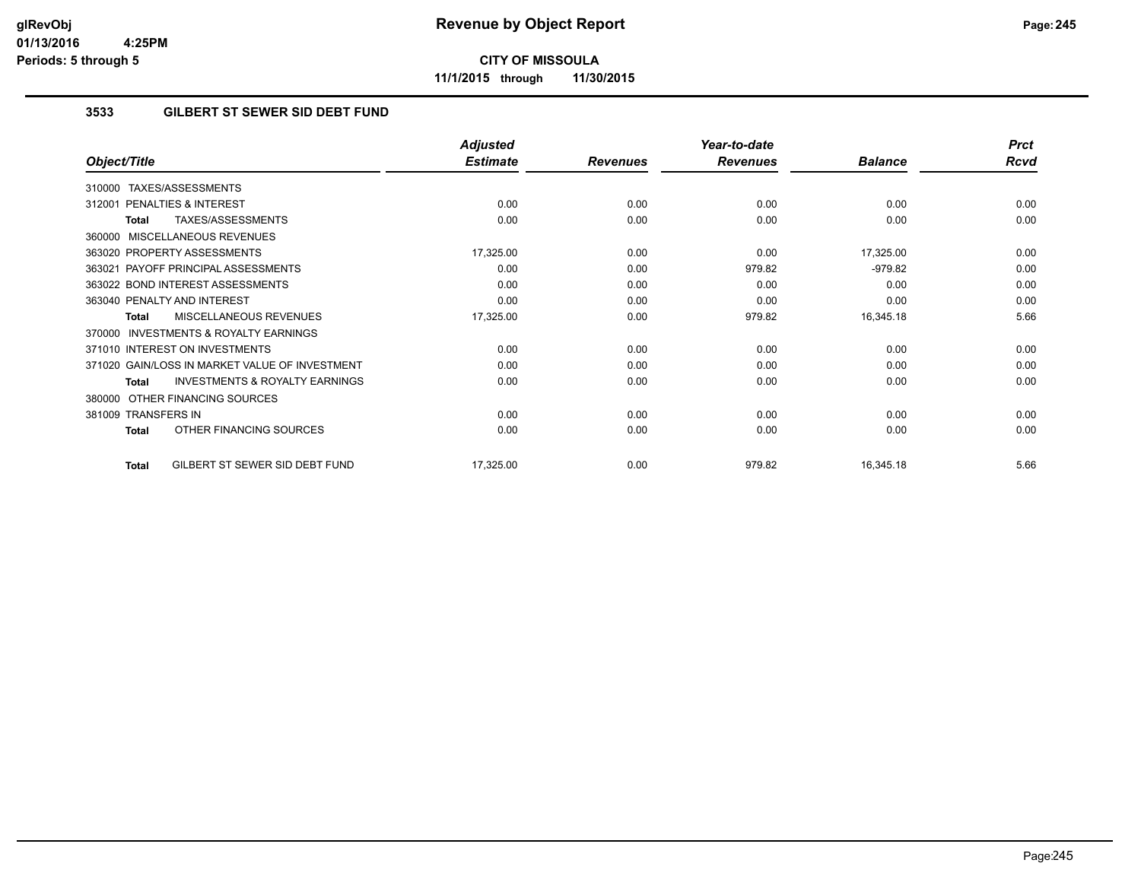**11/1/2015 through 11/30/2015**

## **3533 GILBERT ST SEWER SID DEBT FUND**

|                                                           | <b>Adjusted</b> |                 | Year-to-date    |                | <b>Prct</b> |
|-----------------------------------------------------------|-----------------|-----------------|-----------------|----------------|-------------|
| Object/Title                                              | <b>Estimate</b> | <b>Revenues</b> | <b>Revenues</b> | <b>Balance</b> | <b>Rcvd</b> |
| TAXES/ASSESSMENTS<br>310000                               |                 |                 |                 |                |             |
| PENALTIES & INTEREST<br>312001                            | 0.00            | 0.00            | 0.00            | 0.00           | 0.00        |
| TAXES/ASSESSMENTS<br>Total                                | 0.00            | 0.00            | 0.00            | 0.00           | 0.00        |
| MISCELLANEOUS REVENUES<br>360000                          |                 |                 |                 |                |             |
| 363020 PROPERTY ASSESSMENTS                               | 17,325.00       | 0.00            | 0.00            | 17,325.00      | 0.00        |
| 363021 PAYOFF PRINCIPAL ASSESSMENTS                       | 0.00            | 0.00            | 979.82          | $-979.82$      | 0.00        |
| 363022 BOND INTEREST ASSESSMENTS                          | 0.00            | 0.00            | 0.00            | 0.00           | 0.00        |
| 363040 PENALTY AND INTEREST                               | 0.00            | 0.00            | 0.00            | 0.00           | 0.00        |
| MISCELLANEOUS REVENUES<br><b>Total</b>                    | 17,325.00       | 0.00            | 979.82          | 16,345.18      | 5.66        |
| <b>INVESTMENTS &amp; ROYALTY EARNINGS</b><br>370000       |                 |                 |                 |                |             |
| 371010 INTEREST ON INVESTMENTS                            | 0.00            | 0.00            | 0.00            | 0.00           | 0.00        |
| 371020 GAIN/LOSS IN MARKET VALUE OF INVESTMENT            | 0.00            | 0.00            | 0.00            | 0.00           | 0.00        |
| <b>INVESTMENTS &amp; ROYALTY EARNINGS</b><br><b>Total</b> | 0.00            | 0.00            | 0.00            | 0.00           | 0.00        |
| OTHER FINANCING SOURCES<br>380000                         |                 |                 |                 |                |             |
| 381009 TRANSFERS IN                                       | 0.00            | 0.00            | 0.00            | 0.00           | 0.00        |
| OTHER FINANCING SOURCES<br><b>Total</b>                   | 0.00            | 0.00            | 0.00            | 0.00           | 0.00        |
| GILBERT ST SEWER SID DEBT FUND<br><b>Total</b>            | 17,325.00       | 0.00            | 979.82          | 16,345.18      | 5.66        |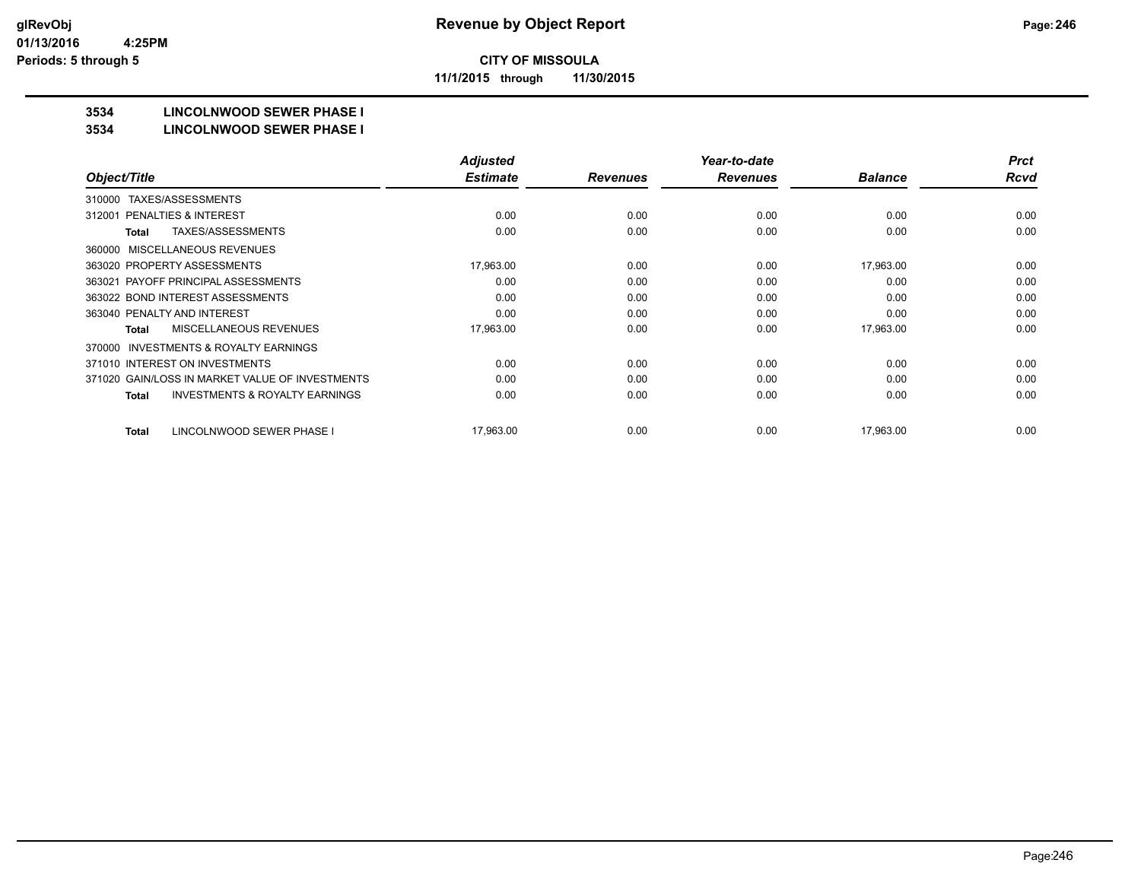**11/1/2015 through 11/30/2015**

## **3534 LINCOLNWOOD SEWER PHASE I**

#### **3534 LINCOLNWOOD SEWER PHASE I**

|                                                     | <b>Adjusted</b> |                 | Year-to-date    |                | <b>Prct</b> |
|-----------------------------------------------------|-----------------|-----------------|-----------------|----------------|-------------|
| Object/Title                                        | <b>Estimate</b> | <b>Revenues</b> | <b>Revenues</b> | <b>Balance</b> | Rcvd        |
| TAXES/ASSESSMENTS<br>310000                         |                 |                 |                 |                |             |
| <b>PENALTIES &amp; INTEREST</b><br>312001           | 0.00            | 0.00            | 0.00            | 0.00           | 0.00        |
| TAXES/ASSESSMENTS<br>Total                          | 0.00            | 0.00            | 0.00            | 0.00           | 0.00        |
| MISCELLANEOUS REVENUES<br>360000                    |                 |                 |                 |                |             |
| 363020 PROPERTY ASSESSMENTS                         | 17,963.00       | 0.00            | 0.00            | 17,963.00      | 0.00        |
| 363021 PAYOFF PRINCIPAL ASSESSMENTS                 | 0.00            | 0.00            | 0.00            | 0.00           | 0.00        |
| 363022 BOND INTEREST ASSESSMENTS                    | 0.00            | 0.00            | 0.00            | 0.00           | 0.00        |
| 363040 PENALTY AND INTEREST                         | 0.00            | 0.00            | 0.00            | 0.00           | 0.00        |
| <b>MISCELLANEOUS REVENUES</b><br>Total              | 17,963.00       | 0.00            | 0.00            | 17,963.00      | 0.00        |
| <b>INVESTMENTS &amp; ROYALTY EARNINGS</b><br>370000 |                 |                 |                 |                |             |
| 371010 INTEREST ON INVESTMENTS                      | 0.00            | 0.00            | 0.00            | 0.00           | 0.00        |
| 371020 GAIN/LOSS IN MARKET VALUE OF INVESTMENTS     | 0.00            | 0.00            | 0.00            | 0.00           | 0.00        |
| <b>INVESTMENTS &amp; ROYALTY EARNINGS</b><br>Total  | 0.00            | 0.00            | 0.00            | 0.00           | 0.00        |
| LINCOLNWOOD SEWER PHASE I<br>Total                  | 17,963.00       | 0.00            | 0.00            | 17,963.00      | 0.00        |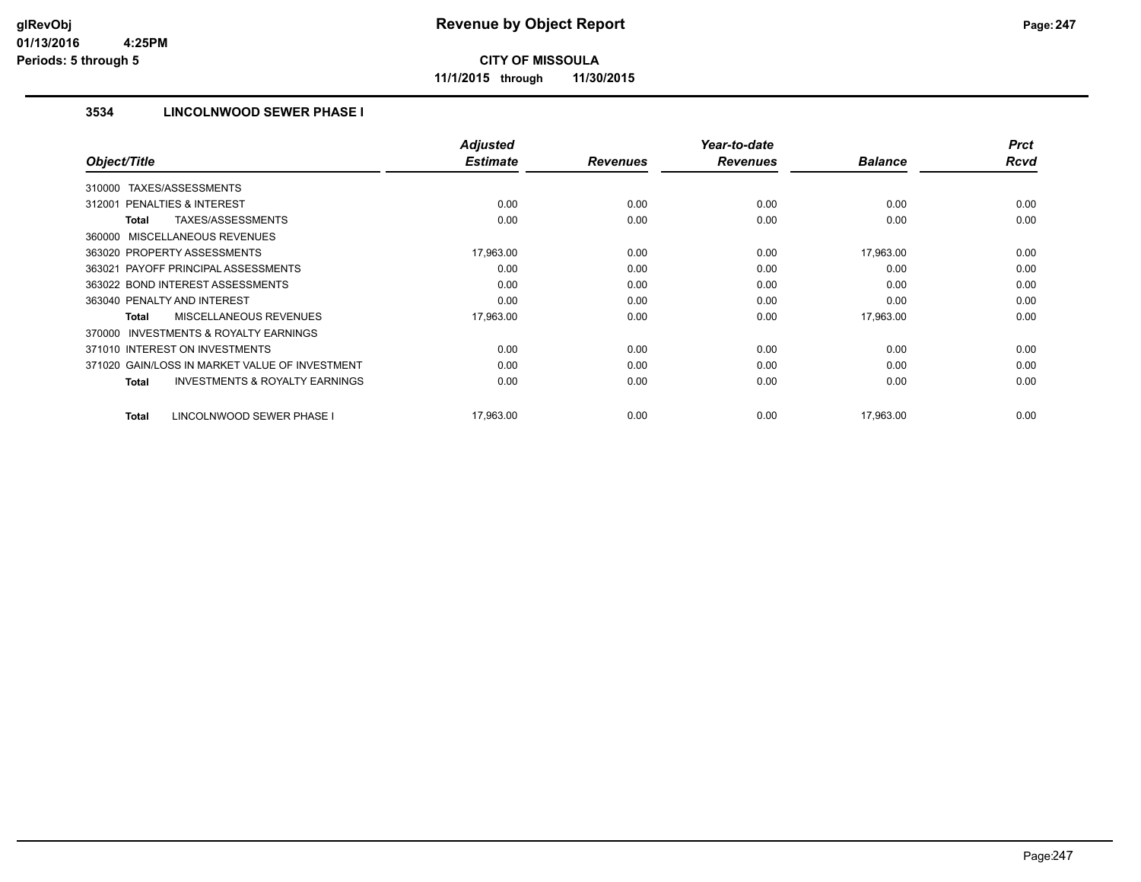**11/1/2015 through 11/30/2015**

## **3534 LINCOLNWOOD SEWER PHASE I**

|                                                           | <b>Adjusted</b> |                 | Year-to-date    |                | <b>Prct</b> |
|-----------------------------------------------------------|-----------------|-----------------|-----------------|----------------|-------------|
| Object/Title                                              | <b>Estimate</b> | <b>Revenues</b> | <b>Revenues</b> | <b>Balance</b> | <b>Rcvd</b> |
| TAXES/ASSESSMENTS<br>310000                               |                 |                 |                 |                |             |
| 312001 PENALTIES & INTEREST                               | 0.00            | 0.00            | 0.00            | 0.00           | 0.00        |
| TAXES/ASSESSMENTS<br>Total                                | 0.00            | 0.00            | 0.00            | 0.00           | 0.00        |
| 360000 MISCELLANEOUS REVENUES                             |                 |                 |                 |                |             |
| 363020 PROPERTY ASSESSMENTS                               | 17,963.00       | 0.00            | 0.00            | 17,963.00      | 0.00        |
| 363021 PAYOFF PRINCIPAL ASSESSMENTS                       | 0.00            | 0.00            | 0.00            | 0.00           | 0.00        |
| 363022 BOND INTEREST ASSESSMENTS                          | 0.00            | 0.00            | 0.00            | 0.00           | 0.00        |
| 363040 PENALTY AND INTEREST                               | 0.00            | 0.00            | 0.00            | 0.00           | 0.00        |
| <b>MISCELLANEOUS REVENUES</b><br>Total                    | 17,963.00       | 0.00            | 0.00            | 17,963.00      | 0.00        |
| <b>INVESTMENTS &amp; ROYALTY EARNINGS</b><br>370000       |                 |                 |                 |                |             |
| 371010 INTEREST ON INVESTMENTS                            | 0.00            | 0.00            | 0.00            | 0.00           | 0.00        |
| 371020 GAIN/LOSS IN MARKET VALUE OF INVESTMENT            | 0.00            | 0.00            | 0.00            | 0.00           | 0.00        |
| <b>INVESTMENTS &amp; ROYALTY EARNINGS</b><br><b>Total</b> | 0.00            | 0.00            | 0.00            | 0.00           | 0.00        |
| LINCOLNWOOD SEWER PHASE I<br><b>Total</b>                 | 17,963.00       | 0.00            | 0.00            | 17,963.00      | 0.00        |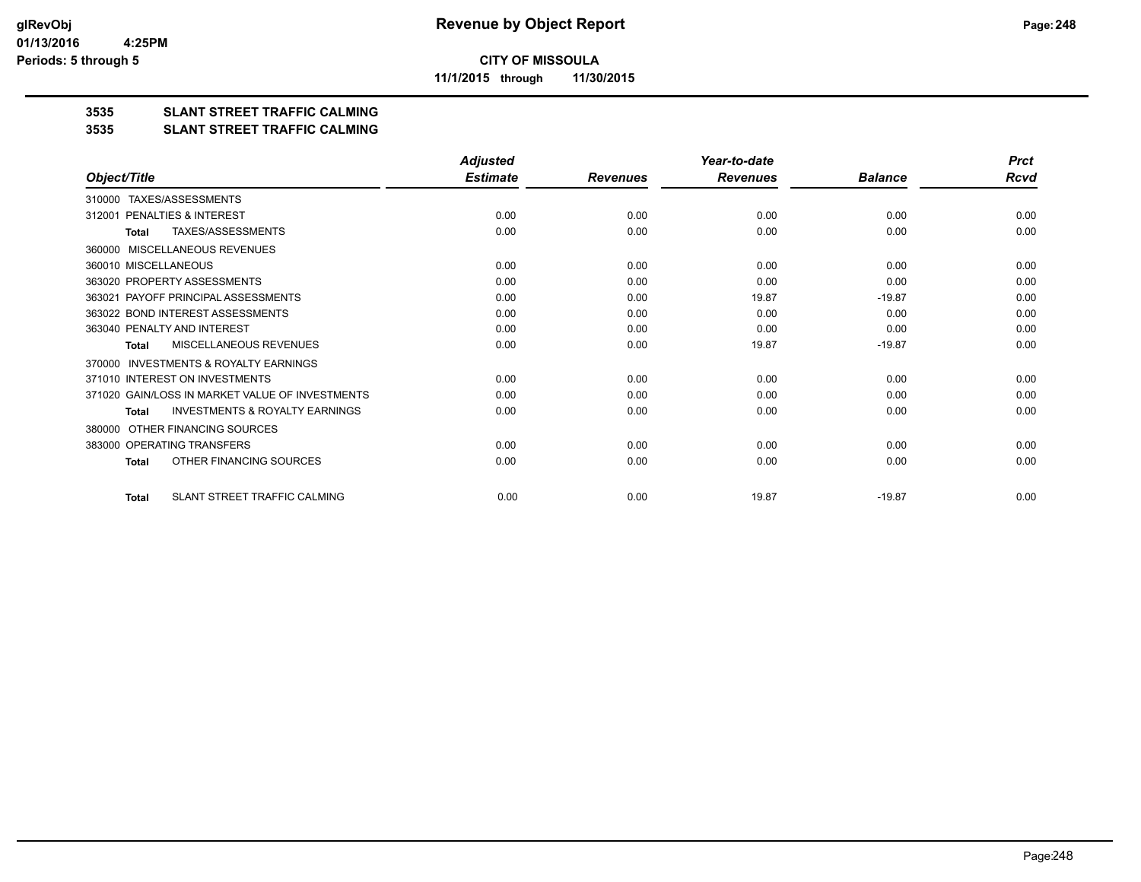**11/1/2015 through 11/30/2015**

## **3535 SLANT STREET TRAFFIC CALMING**

#### **3535 SLANT STREET TRAFFIC CALMING**

|                                                           | <b>Adjusted</b> |                 | Year-to-date    |                | <b>Prct</b> |
|-----------------------------------------------------------|-----------------|-----------------|-----------------|----------------|-------------|
| Object/Title                                              | <b>Estimate</b> | <b>Revenues</b> | <b>Revenues</b> | <b>Balance</b> | <b>Rcvd</b> |
| TAXES/ASSESSMENTS<br>310000                               |                 |                 |                 |                |             |
| PENALTIES & INTEREST<br>312001                            | 0.00            | 0.00            | 0.00            | 0.00           | 0.00        |
| <b>TAXES/ASSESSMENTS</b><br><b>Total</b>                  | 0.00            | 0.00            | 0.00            | 0.00           | 0.00        |
| MISCELLANEOUS REVENUES<br>360000                          |                 |                 |                 |                |             |
| 360010 MISCELLANEOUS                                      | 0.00            | 0.00            | 0.00            | 0.00           | 0.00        |
| 363020 PROPERTY ASSESSMENTS                               | 0.00            | 0.00            | 0.00            | 0.00           | 0.00        |
| PAYOFF PRINCIPAL ASSESSMENTS<br>363021                    | 0.00            | 0.00            | 19.87           | $-19.87$       | 0.00        |
| 363022 BOND INTEREST ASSESSMENTS                          | 0.00            | 0.00            | 0.00            | 0.00           | 0.00        |
| 363040 PENALTY AND INTEREST                               | 0.00            | 0.00            | 0.00            | 0.00           | 0.00        |
| MISCELLANEOUS REVENUES<br><b>Total</b>                    | 0.00            | 0.00            | 19.87           | $-19.87$       | 0.00        |
| <b>INVESTMENTS &amp; ROYALTY EARNINGS</b><br>370000       |                 |                 |                 |                |             |
| 371010 INTEREST ON INVESTMENTS                            | 0.00            | 0.00            | 0.00            | 0.00           | 0.00        |
| 371020 GAIN/LOSS IN MARKET VALUE OF INVESTMENTS           | 0.00            | 0.00            | 0.00            | 0.00           | 0.00        |
| <b>INVESTMENTS &amp; ROYALTY EARNINGS</b><br><b>Total</b> | 0.00            | 0.00            | 0.00            | 0.00           | 0.00        |
| OTHER FINANCING SOURCES<br>380000                         |                 |                 |                 |                |             |
| 383000 OPERATING TRANSFERS                                | 0.00            | 0.00            | 0.00            | 0.00           | 0.00        |
| OTHER FINANCING SOURCES<br>Total                          | 0.00            | 0.00            | 0.00            | 0.00           | 0.00        |
| SLANT STREET TRAFFIC CALMING<br><b>Total</b>              | 0.00            | 0.00            | 19.87           | $-19.87$       | 0.00        |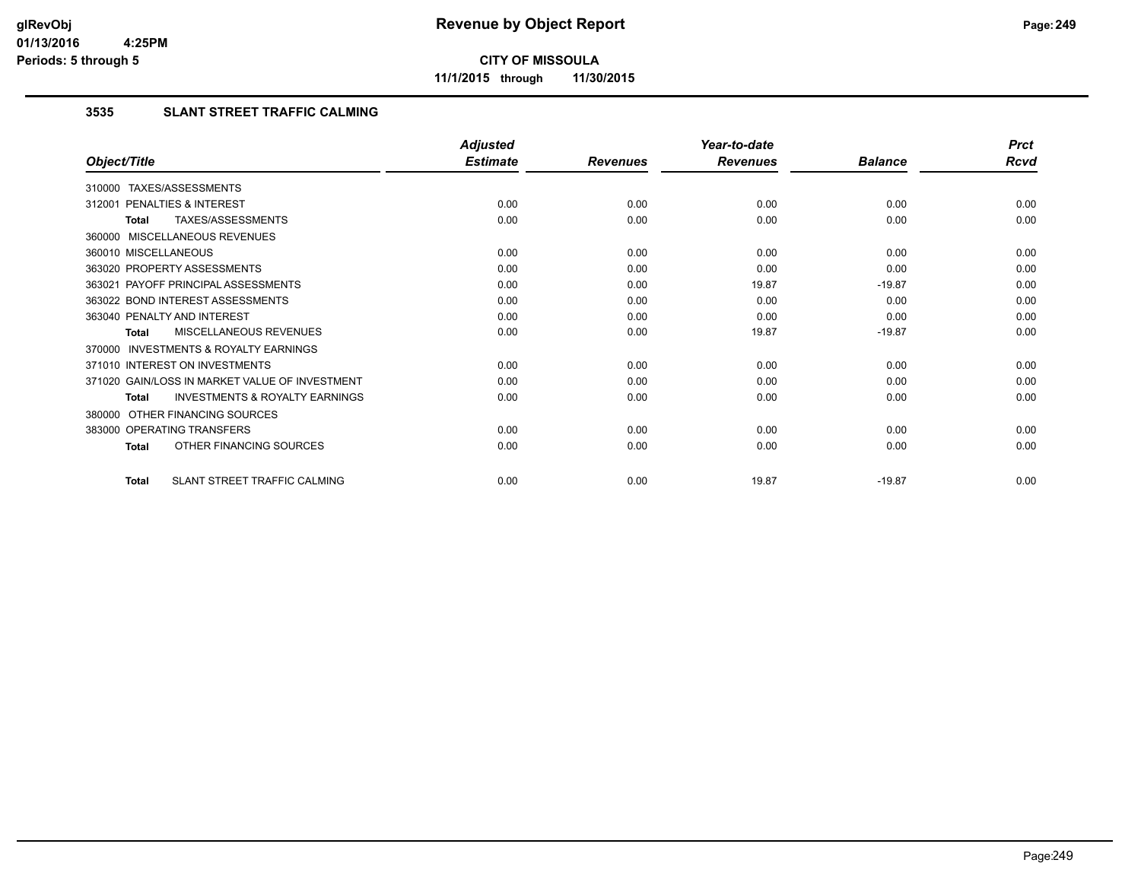**11/1/2015 through 11/30/2015**

## **3535 SLANT STREET TRAFFIC CALMING**

|                                                    | <b>Adjusted</b> |                 | Year-to-date    |                | <b>Prct</b> |
|----------------------------------------------------|-----------------|-----------------|-----------------|----------------|-------------|
| Object/Title                                       | <b>Estimate</b> | <b>Revenues</b> | <b>Revenues</b> | <b>Balance</b> | <b>Rcvd</b> |
| 310000 TAXES/ASSESSMENTS                           |                 |                 |                 |                |             |
| PENALTIES & INTEREST<br>312001                     | 0.00            | 0.00            | 0.00            | 0.00           | 0.00        |
| TAXES/ASSESSMENTS<br>Total                         | 0.00            | 0.00            | 0.00            | 0.00           | 0.00        |
| 360000 MISCELLANEOUS REVENUES                      |                 |                 |                 |                |             |
| 360010 MISCELLANEOUS                               | 0.00            | 0.00            | 0.00            | 0.00           | 0.00        |
| 363020 PROPERTY ASSESSMENTS                        | 0.00            | 0.00            | 0.00            | 0.00           | 0.00        |
| 363021 PAYOFF PRINCIPAL ASSESSMENTS                | 0.00            | 0.00            | 19.87           | $-19.87$       | 0.00        |
| 363022 BOND INTEREST ASSESSMENTS                   | 0.00            | 0.00            | 0.00            | 0.00           | 0.00        |
| 363040 PENALTY AND INTEREST                        | 0.00            | 0.00            | 0.00            | 0.00           | 0.00        |
| MISCELLANEOUS REVENUES<br><b>Total</b>             | 0.00            | 0.00            | 19.87           | $-19.87$       | 0.00        |
| 370000 INVESTMENTS & ROYALTY EARNINGS              |                 |                 |                 |                |             |
| 371010 INTEREST ON INVESTMENTS                     | 0.00            | 0.00            | 0.00            | 0.00           | 0.00        |
| 371020 GAIN/LOSS IN MARKET VALUE OF INVESTMENT     | 0.00            | 0.00            | 0.00            | 0.00           | 0.00        |
| <b>INVESTMENTS &amp; ROYALTY EARNINGS</b><br>Total | 0.00            | 0.00            | 0.00            | 0.00           | 0.00        |
| 380000 OTHER FINANCING SOURCES                     |                 |                 |                 |                |             |
| 383000 OPERATING TRANSFERS                         | 0.00            | 0.00            | 0.00            | 0.00           | 0.00        |
| OTHER FINANCING SOURCES<br>Total                   | 0.00            | 0.00            | 0.00            | 0.00           | 0.00        |
| SLANT STREET TRAFFIC CALMING<br><b>Total</b>       | 0.00            | 0.00            | 19.87           | $-19.87$       | 0.00        |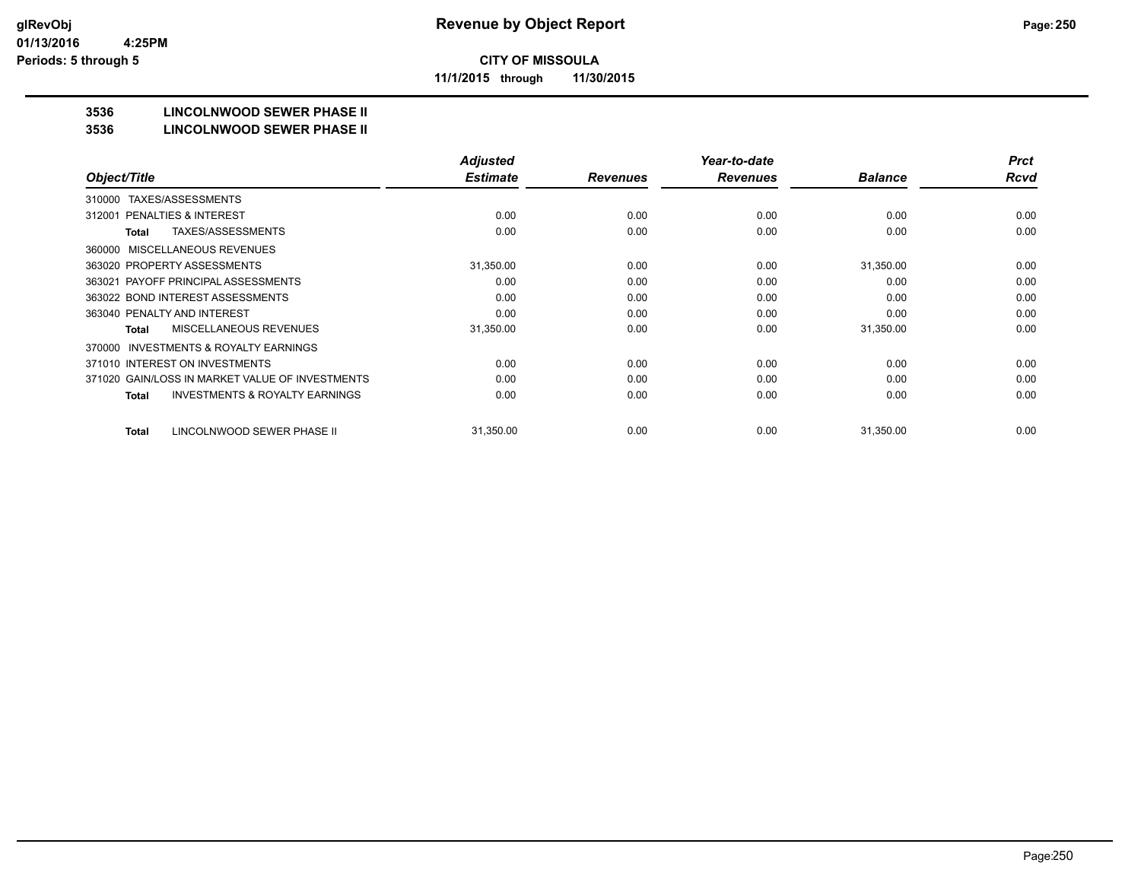**11/1/2015 through 11/30/2015**

## **3536 LINCOLNWOOD SEWER PHASE II**

#### **3536 LINCOLNWOOD SEWER PHASE II**

|                                                    | <b>Adjusted</b> |                 | Year-to-date    |                | <b>Prct</b> |
|----------------------------------------------------|-----------------|-----------------|-----------------|----------------|-------------|
| Object/Title                                       | <b>Estimate</b> | <b>Revenues</b> | <b>Revenues</b> | <b>Balance</b> | <b>Rcvd</b> |
| TAXES/ASSESSMENTS<br>310000                        |                 |                 |                 |                |             |
| PENALTIES & INTEREST<br>312001                     | 0.00            | 0.00            | 0.00            | 0.00           | 0.00        |
| TAXES/ASSESSMENTS<br>Total                         | 0.00            | 0.00            | 0.00            | 0.00           | 0.00        |
| MISCELLANEOUS REVENUES<br>360000                   |                 |                 |                 |                |             |
| 363020 PROPERTY ASSESSMENTS                        | 31,350.00       | 0.00            | 0.00            | 31,350.00      | 0.00        |
| 363021 PAYOFF PRINCIPAL ASSESSMENTS                | 0.00            | 0.00            | 0.00            | 0.00           | 0.00        |
| 363022 BOND INTEREST ASSESSMENTS                   | 0.00            | 0.00            | 0.00            | 0.00           | 0.00        |
| 363040 PENALTY AND INTEREST                        | 0.00            | 0.00            | 0.00            | 0.00           | 0.00        |
| MISCELLANEOUS REVENUES<br>Total                    | 31,350.00       | 0.00            | 0.00            | 31,350.00      | 0.00        |
| INVESTMENTS & ROYALTY EARNINGS<br>370000           |                 |                 |                 |                |             |
| 371010 INTEREST ON INVESTMENTS                     | 0.00            | 0.00            | 0.00            | 0.00           | 0.00        |
| 371020 GAIN/LOSS IN MARKET VALUE OF INVESTMENTS    | 0.00            | 0.00            | 0.00            | 0.00           | 0.00        |
| <b>INVESTMENTS &amp; ROYALTY EARNINGS</b><br>Total | 0.00            | 0.00            | 0.00            | 0.00           | 0.00        |
|                                                    |                 |                 |                 |                |             |
| LINCOLNWOOD SEWER PHASE II<br><b>Total</b>         | 31,350.00       | 0.00            | 0.00            | 31,350.00      | 0.00        |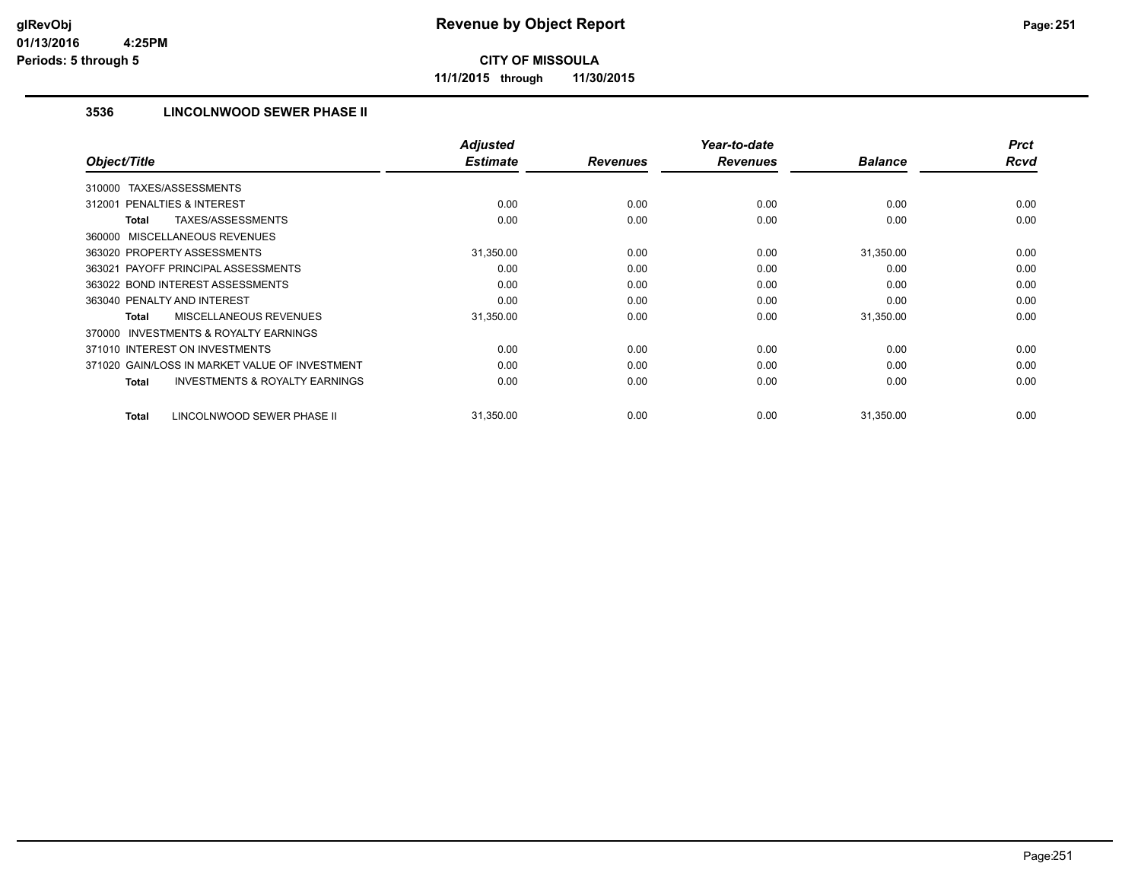**11/1/2015 through 11/30/2015**

## **3536 LINCOLNWOOD SEWER PHASE II**

| Object/Title                                              | <b>Adjusted</b><br><b>Estimate</b> | <b>Revenues</b> | Year-to-date<br><b>Revenues</b> | <b>Balance</b> | <b>Prct</b><br>Rcvd |
|-----------------------------------------------------------|------------------------------------|-----------------|---------------------------------|----------------|---------------------|
|                                                           |                                    |                 |                                 |                |                     |
| TAXES/ASSESSMENTS<br>310000                               |                                    |                 |                                 |                |                     |
| PENALTIES & INTEREST<br>312001                            | 0.00                               | 0.00            | 0.00                            | 0.00           | 0.00                |
| TAXES/ASSESSMENTS<br>Total                                | 0.00                               | 0.00            | 0.00                            | 0.00           | 0.00                |
| 360000 MISCELLANEOUS REVENUES                             |                                    |                 |                                 |                |                     |
| 363020 PROPERTY ASSESSMENTS                               | 31,350.00                          | 0.00            | 0.00                            | 31,350.00      | 0.00                |
| 363021 PAYOFF PRINCIPAL ASSESSMENTS                       | 0.00                               | 0.00            | 0.00                            | 0.00           | 0.00                |
| 363022 BOND INTEREST ASSESSMENTS                          | 0.00                               | 0.00            | 0.00                            | 0.00           | 0.00                |
| 363040 PENALTY AND INTEREST                               | 0.00                               | 0.00            | 0.00                            | 0.00           | 0.00                |
| <b>MISCELLANEOUS REVENUES</b><br>Total                    | 31,350.00                          | 0.00            | 0.00                            | 31,350.00      | 0.00                |
| <b>INVESTMENTS &amp; ROYALTY EARNINGS</b><br>370000       |                                    |                 |                                 |                |                     |
| 371010 INTEREST ON INVESTMENTS                            | 0.00                               | 0.00            | 0.00                            | 0.00           | 0.00                |
| 371020 GAIN/LOSS IN MARKET VALUE OF INVESTMENT            | 0.00                               | 0.00            | 0.00                            | 0.00           | 0.00                |
| <b>INVESTMENTS &amp; ROYALTY EARNINGS</b><br><b>Total</b> | 0.00                               | 0.00            | 0.00                            | 0.00           | 0.00                |
| LINCOLNWOOD SEWER PHASE II<br><b>Total</b>                | 31,350.00                          | 0.00            | 0.00                            | 31,350.00      | 0.00                |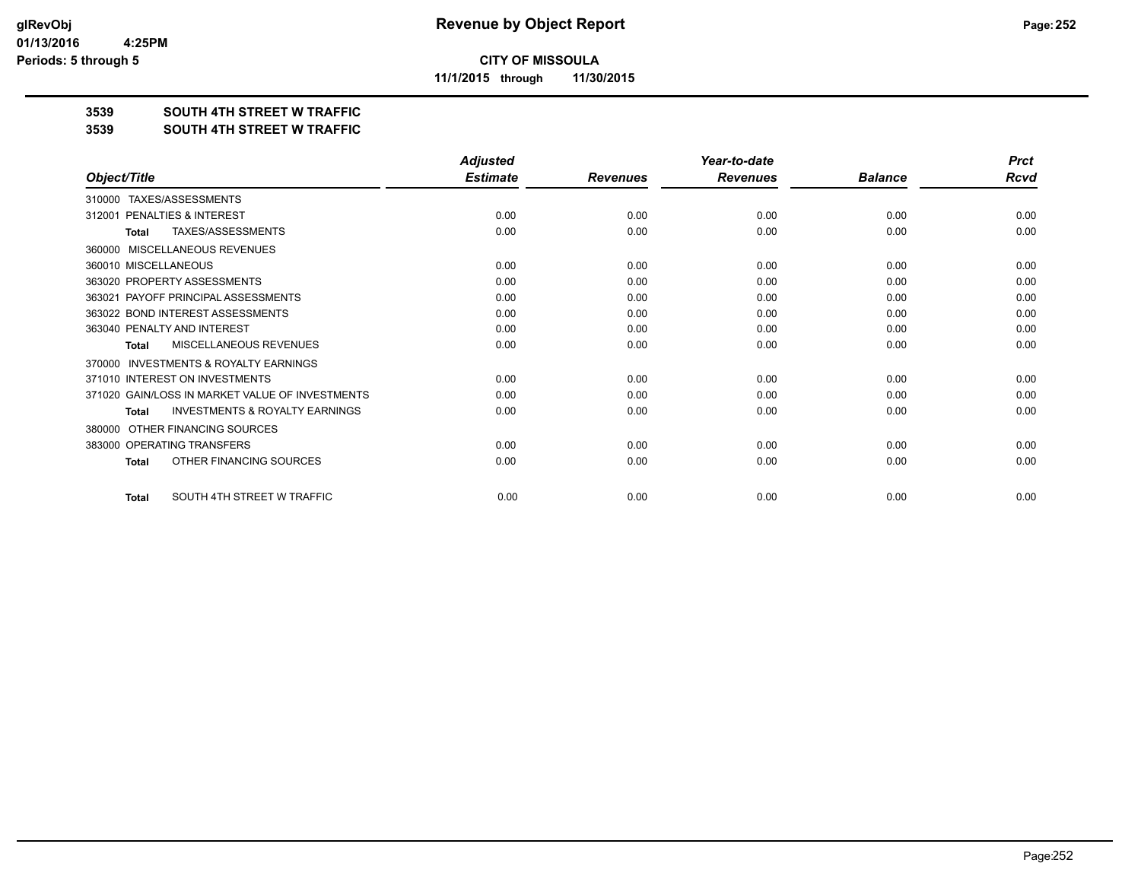**11/1/2015 through 11/30/2015**

### **3539 SOUTH 4TH STREET W TRAFFIC**

#### **3539 SOUTH 4TH STREET W TRAFFIC**

|                                                           | <b>Adjusted</b> |                 | Year-to-date    |                | <b>Prct</b> |
|-----------------------------------------------------------|-----------------|-----------------|-----------------|----------------|-------------|
| Object/Title                                              | <b>Estimate</b> | <b>Revenues</b> | <b>Revenues</b> | <b>Balance</b> | <b>Rcvd</b> |
| TAXES/ASSESSMENTS<br>310000                               |                 |                 |                 |                |             |
| PENALTIES & INTEREST<br>312001                            | 0.00            | 0.00            | 0.00            | 0.00           | 0.00        |
| TAXES/ASSESSMENTS<br><b>Total</b>                         | 0.00            | 0.00            | 0.00            | 0.00           | 0.00        |
| MISCELLANEOUS REVENUES<br>360000                          |                 |                 |                 |                |             |
| 360010 MISCELLANEOUS                                      | 0.00            | 0.00            | 0.00            | 0.00           | 0.00        |
| 363020 PROPERTY ASSESSMENTS                               | 0.00            | 0.00            | 0.00            | 0.00           | 0.00        |
| 363021 PAYOFF PRINCIPAL ASSESSMENTS                       | 0.00            | 0.00            | 0.00            | 0.00           | 0.00        |
| 363022 BOND INTEREST ASSESSMENTS                          | 0.00            | 0.00            | 0.00            | 0.00           | 0.00        |
| 363040 PENALTY AND INTEREST                               | 0.00            | 0.00            | 0.00            | 0.00           | 0.00        |
| MISCELLANEOUS REVENUES<br>Total                           | 0.00            | 0.00            | 0.00            | 0.00           | 0.00        |
| <b>INVESTMENTS &amp; ROYALTY EARNINGS</b><br>370000       |                 |                 |                 |                |             |
| 371010 INTEREST ON INVESTMENTS                            | 0.00            | 0.00            | 0.00            | 0.00           | 0.00        |
| 371020 GAIN/LOSS IN MARKET VALUE OF INVESTMENTS           | 0.00            | 0.00            | 0.00            | 0.00           | 0.00        |
| <b>INVESTMENTS &amp; ROYALTY EARNINGS</b><br><b>Total</b> | 0.00            | 0.00            | 0.00            | 0.00           | 0.00        |
| OTHER FINANCING SOURCES<br>380000                         |                 |                 |                 |                |             |
| 383000 OPERATING TRANSFERS                                | 0.00            | 0.00            | 0.00            | 0.00           | 0.00        |
| OTHER FINANCING SOURCES<br>Total                          | 0.00            | 0.00            | 0.00            | 0.00           | 0.00        |
| SOUTH 4TH STREET W TRAFFIC<br><b>Total</b>                | 0.00            | 0.00            | 0.00            | 0.00           | 0.00        |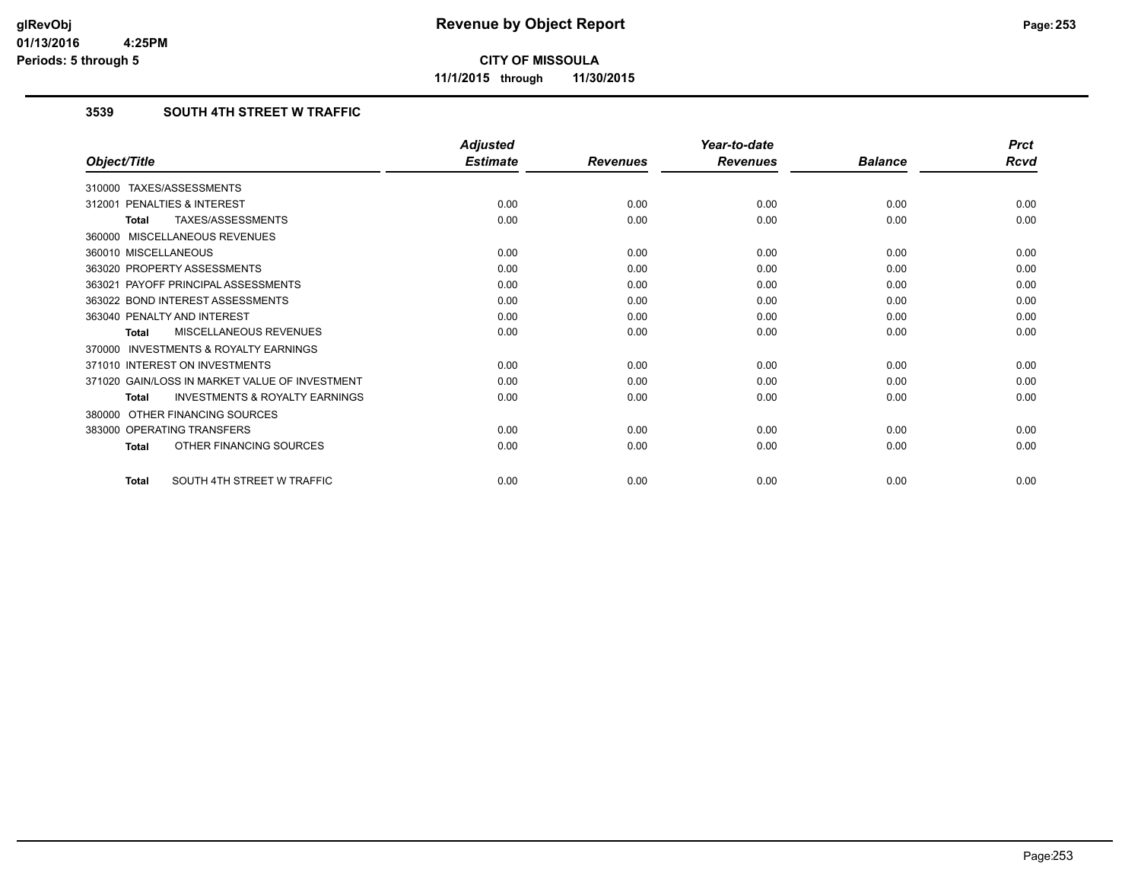**11/1/2015 through 11/30/2015**

## **3539 SOUTH 4TH STREET W TRAFFIC**

|                                                    | <b>Adjusted</b> |                 | Year-to-date    |                | <b>Prct</b> |
|----------------------------------------------------|-----------------|-----------------|-----------------|----------------|-------------|
| Object/Title                                       | <b>Estimate</b> | <b>Revenues</b> | <b>Revenues</b> | <b>Balance</b> | Rcvd        |
| 310000 TAXES/ASSESSMENTS                           |                 |                 |                 |                |             |
| PENALTIES & INTEREST<br>312001                     | 0.00            | 0.00            | 0.00            | 0.00           | 0.00        |
| TAXES/ASSESSMENTS<br>Total                         | 0.00            | 0.00            | 0.00            | 0.00           | 0.00        |
| 360000 MISCELLANEOUS REVENUES                      |                 |                 |                 |                |             |
| 360010 MISCELLANEOUS                               | 0.00            | 0.00            | 0.00            | 0.00           | 0.00        |
| 363020 PROPERTY ASSESSMENTS                        | 0.00            | 0.00            | 0.00            | 0.00           | 0.00        |
| 363021 PAYOFF PRINCIPAL ASSESSMENTS                | 0.00            | 0.00            | 0.00            | 0.00           | 0.00        |
| 363022 BOND INTEREST ASSESSMENTS                   | 0.00            | 0.00            | 0.00            | 0.00           | 0.00        |
| 363040 PENALTY AND INTEREST                        | 0.00            | 0.00            | 0.00            | 0.00           | 0.00        |
| MISCELLANEOUS REVENUES<br>Total                    | 0.00            | 0.00            | 0.00            | 0.00           | 0.00        |
| 370000 INVESTMENTS & ROYALTY EARNINGS              |                 |                 |                 |                |             |
| 371010 INTEREST ON INVESTMENTS                     | 0.00            | 0.00            | 0.00            | 0.00           | 0.00        |
| 371020 GAIN/LOSS IN MARKET VALUE OF INVESTMENT     | 0.00            | 0.00            | 0.00            | 0.00           | 0.00        |
| <b>INVESTMENTS &amp; ROYALTY EARNINGS</b><br>Total | 0.00            | 0.00            | 0.00            | 0.00           | 0.00        |
| 380000 OTHER FINANCING SOURCES                     |                 |                 |                 |                |             |
| 383000 OPERATING TRANSFERS                         | 0.00            | 0.00            | 0.00            | 0.00           | 0.00        |
| OTHER FINANCING SOURCES<br>Total                   | 0.00            | 0.00            | 0.00            | 0.00           | 0.00        |
| SOUTH 4TH STREET W TRAFFIC<br><b>Total</b>         | 0.00            | 0.00            | 0.00            | 0.00           | 0.00        |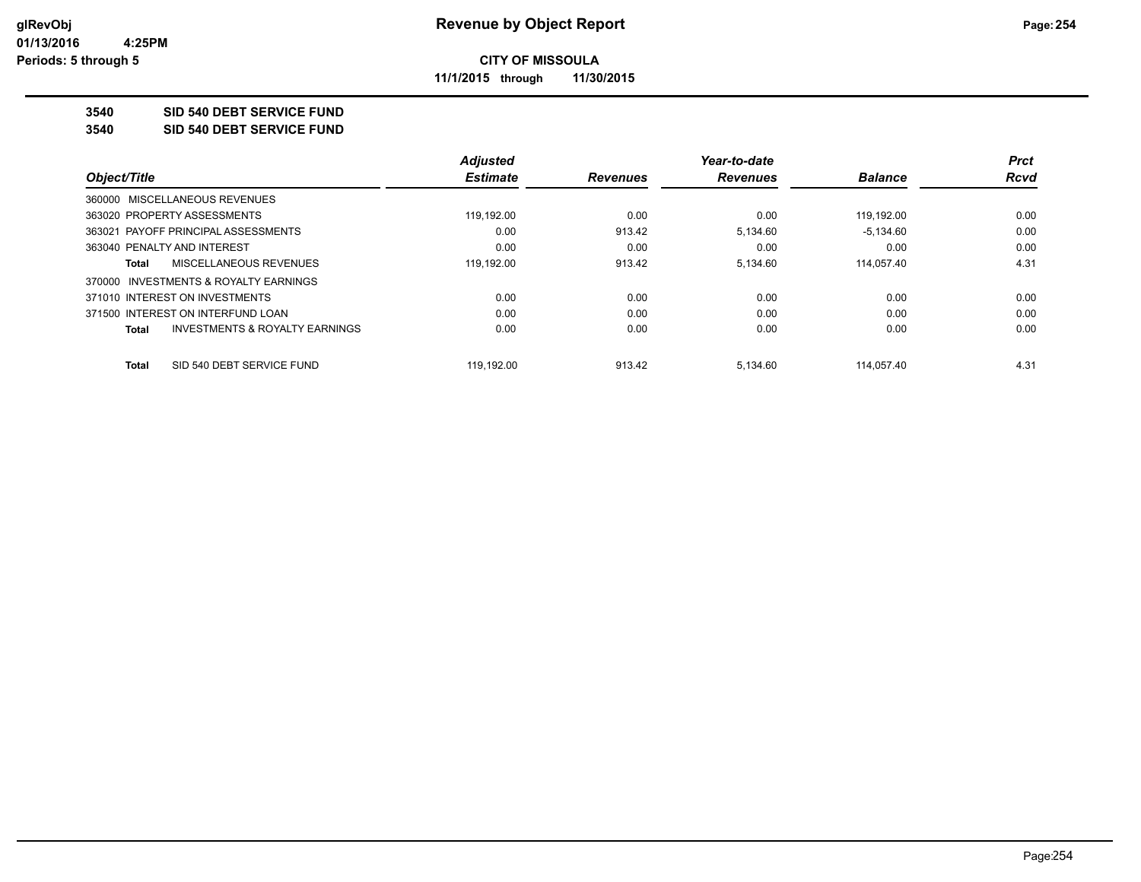**11/1/2015 through 11/30/2015**

## **3540 SID 540 DEBT SERVICE FUND**

**3540 SID 540 DEBT SERVICE FUND**

|                                                    | <b>Adjusted</b> |                 | Year-to-date    |                | <b>Prct</b> |
|----------------------------------------------------|-----------------|-----------------|-----------------|----------------|-------------|
| Object/Title                                       | <b>Estimate</b> | <b>Revenues</b> | <b>Revenues</b> | <b>Balance</b> | <b>Rcvd</b> |
| 360000 MISCELLANEOUS REVENUES                      |                 |                 |                 |                |             |
| 363020 PROPERTY ASSESSMENTS                        | 119.192.00      | 0.00            | 0.00            | 119.192.00     | 0.00        |
| 363021 PAYOFF PRINCIPAL ASSESSMENTS                | 0.00            | 913.42          | 5.134.60        | $-5.134.60$    | 0.00        |
| 363040 PENALTY AND INTEREST                        | 0.00            | 0.00            | 0.00            | 0.00           | 0.00        |
| MISCELLANEOUS REVENUES<br>Total                    | 119,192.00      | 913.42          | 5.134.60        | 114.057.40     | 4.31        |
| 370000 INVESTMENTS & ROYALTY EARNINGS              |                 |                 |                 |                |             |
| 371010 INTEREST ON INVESTMENTS                     | 0.00            | 0.00            | 0.00            | 0.00           | 0.00        |
| 371500 INTEREST ON INTERFUND LOAN                  | 0.00            | 0.00            | 0.00            | 0.00           | 0.00        |
| <b>INVESTMENTS &amp; ROYALTY EARNINGS</b><br>Total | 0.00            | 0.00            | 0.00            | 0.00           | 0.00        |
| SID 540 DEBT SERVICE FUND<br>Total                 | 119.192.00      | 913.42          | 5.134.60        | 114.057.40     | 4.31        |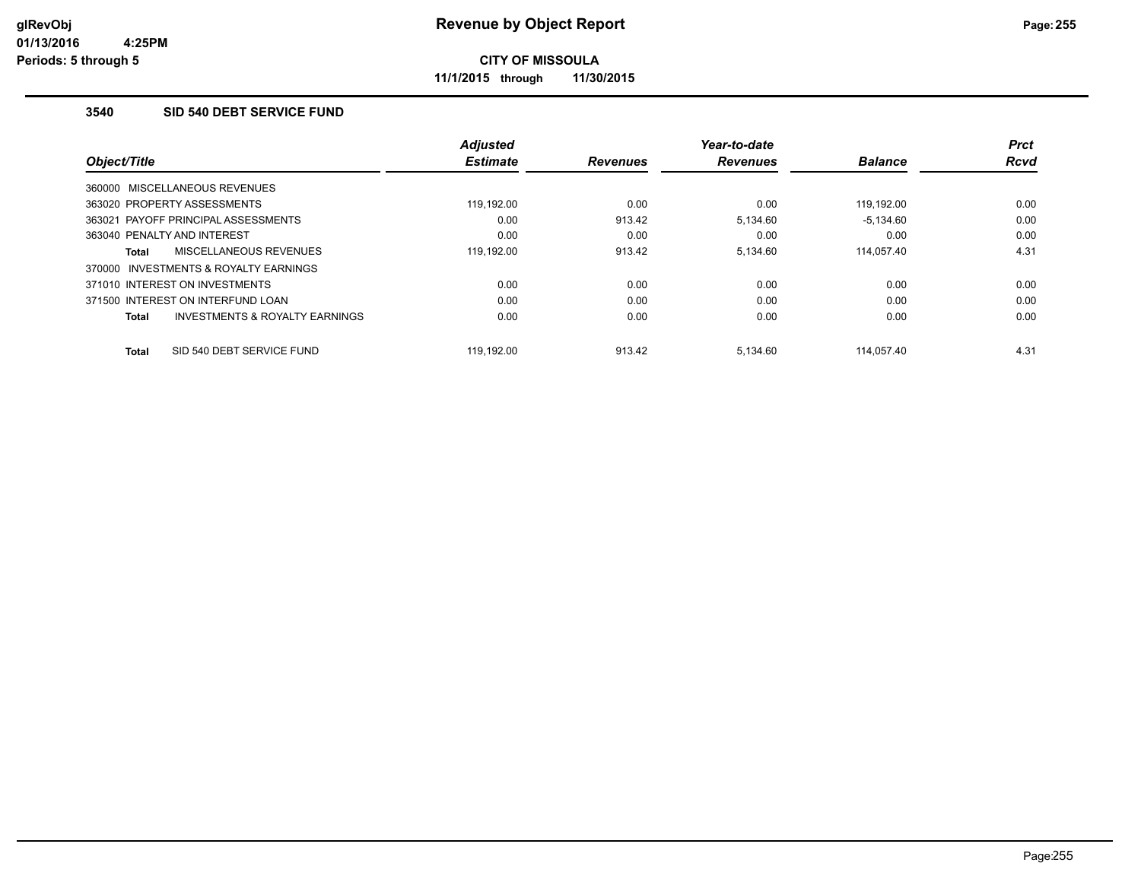**11/1/2015 through 11/30/2015**

### **3540 SID 540 DEBT SERVICE FUND**

| Object/Title                              | <b>Adjusted</b><br><b>Estimate</b> | <b>Revenues</b> | Year-to-date<br><b>Revenues</b> | <b>Balance</b> | <b>Prct</b><br><b>Rcvd</b> |
|-------------------------------------------|------------------------------------|-----------------|---------------------------------|----------------|----------------------------|
| 360000 MISCELLANEOUS REVENUES             |                                    |                 |                                 |                |                            |
| 363020 PROPERTY ASSESSMENTS               | 119.192.00                         | 0.00            | 0.00                            | 119.192.00     | 0.00                       |
| 363021 PAYOFF PRINCIPAL ASSESSMENTS       | 0.00                               | 913.42          | 5,134.60                        | $-5.134.60$    | 0.00                       |
| 363040 PENALTY AND INTEREST               | 0.00                               | 0.00            | 0.00                            | 0.00           | 0.00                       |
| MISCELLANEOUS REVENUES<br>Total           | 119.192.00                         | 913.42          | 5.134.60                        | 114.057.40     | 4.31                       |
| INVESTMENTS & ROYALTY EARNINGS<br>370000  |                                    |                 |                                 |                |                            |
| 371010 INTEREST ON INVESTMENTS            | 0.00                               | 0.00            | 0.00                            | 0.00           | 0.00                       |
| 371500 INTEREST ON INTERFUND LOAN         | 0.00                               | 0.00            | 0.00                            | 0.00           | 0.00                       |
| INVESTMENTS & ROYALTY EARNINGS<br>Total   | 0.00                               | 0.00            | 0.00                            | 0.00           | 0.00                       |
| SID 540 DEBT SERVICE FUND<br><b>Total</b> | 119.192.00                         | 913.42          | 5.134.60                        | 114.057.40     | 4.31                       |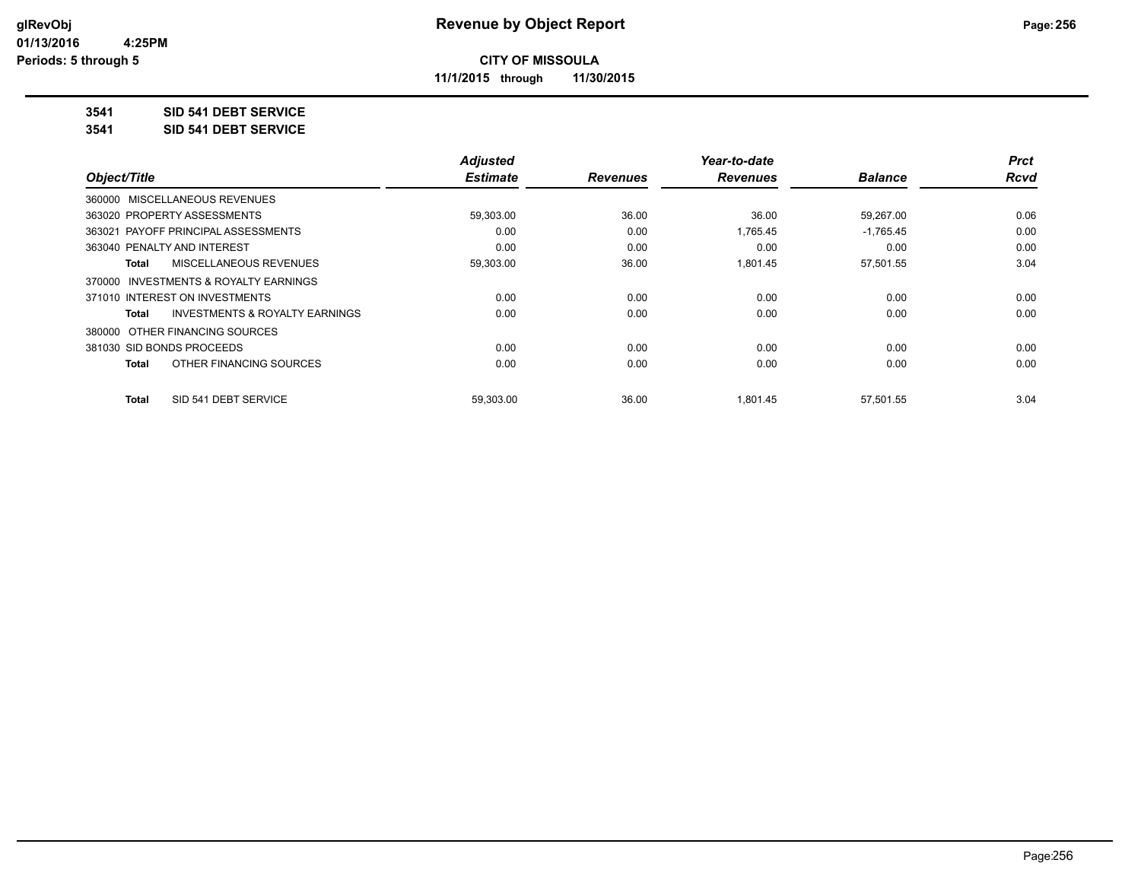**11/1/2015 through 11/30/2015**

### **3541 SID 541 DEBT SERVICE**

**3541 SID 541 DEBT SERVICE**

|                                         | <b>Adjusted</b> |                 | Year-to-date    |                | <b>Prct</b> |
|-----------------------------------------|-----------------|-----------------|-----------------|----------------|-------------|
| Object/Title                            | <b>Estimate</b> | <b>Revenues</b> | <b>Revenues</b> | <b>Balance</b> | <b>Rcvd</b> |
| 360000 MISCELLANEOUS REVENUES           |                 |                 |                 |                |             |
| 363020 PROPERTY ASSESSMENTS             | 59,303.00       | 36.00           | 36.00           | 59,267.00      | 0.06        |
| 363021 PAYOFF PRINCIPAL ASSESSMENTS     | 0.00            | 0.00            | 1,765.45        | $-1,765.45$    | 0.00        |
| 363040 PENALTY AND INTEREST             | 0.00            | 0.00            | 0.00            | 0.00           | 0.00        |
| MISCELLANEOUS REVENUES<br>Total         | 59,303.00       | 36.00           | 1,801.45        | 57,501.55      | 3.04        |
| 370000 INVESTMENTS & ROYALTY EARNINGS   |                 |                 |                 |                |             |
| 371010 INTEREST ON INVESTMENTS          | 0.00            | 0.00            | 0.00            | 0.00           | 0.00        |
| INVESTMENTS & ROYALTY EARNINGS<br>Total | 0.00            | 0.00            | 0.00            | 0.00           | 0.00        |
| 380000 OTHER FINANCING SOURCES          |                 |                 |                 |                |             |
| 381030 SID BONDS PROCEEDS               | 0.00            | 0.00            | 0.00            | 0.00           | 0.00        |
| OTHER FINANCING SOURCES<br>Total        | 0.00            | 0.00            | 0.00            | 0.00           | 0.00        |
| SID 541 DEBT SERVICE<br>Total           | 59.303.00       | 36.00           | 1.801.45        | 57,501.55      | 3.04        |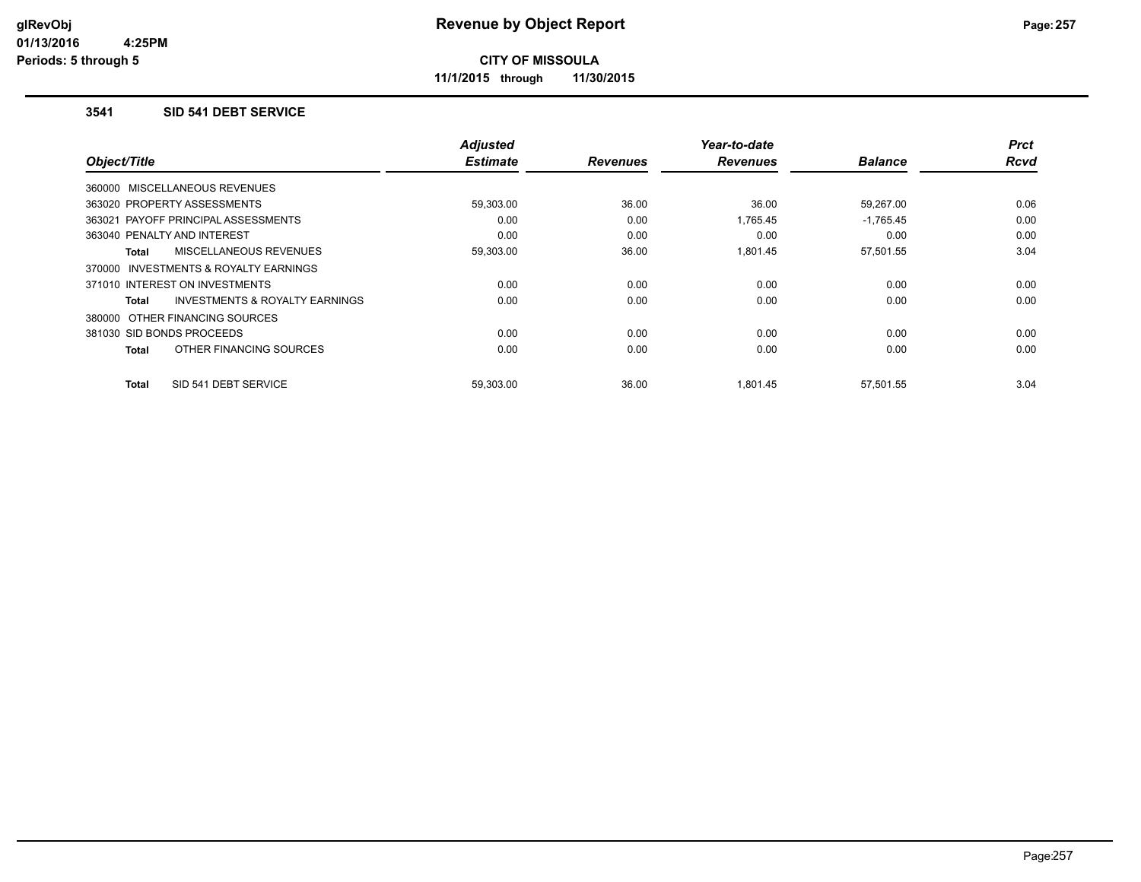**11/1/2015 through 11/30/2015**

#### **3541 SID 541 DEBT SERVICE**

| Object/Title                                       | <b>Adjusted</b><br><b>Estimate</b> | <b>Revenues</b> | Year-to-date<br><b>Revenues</b> | <b>Balance</b> | <b>Prct</b><br><b>Rcvd</b> |
|----------------------------------------------------|------------------------------------|-----------------|---------------------------------|----------------|----------------------------|
| 360000 MISCELLANEOUS REVENUES                      |                                    |                 |                                 |                |                            |
|                                                    |                                    |                 |                                 |                |                            |
| 363020 PROPERTY ASSESSMENTS                        | 59,303.00                          | 36.00           | 36.00                           | 59,267.00      | 0.06                       |
| 363021 PAYOFF PRINCIPAL ASSESSMENTS                | 0.00                               | 0.00            | 1,765.45                        | $-1,765.45$    | 0.00                       |
| 363040 PENALTY AND INTEREST                        | 0.00                               | 0.00            | 0.00                            | 0.00           | 0.00                       |
| <b>MISCELLANEOUS REVENUES</b><br>Total             | 59,303.00                          | 36.00           | 1.801.45                        | 57,501.55      | 3.04                       |
| INVESTMENTS & ROYALTY EARNINGS<br>370000           |                                    |                 |                                 |                |                            |
| 371010 INTEREST ON INVESTMENTS                     | 0.00                               | 0.00            | 0.00                            | 0.00           | 0.00                       |
| <b>INVESTMENTS &amp; ROYALTY EARNINGS</b><br>Total | 0.00                               | 0.00            | 0.00                            | 0.00           | 0.00                       |
| 380000 OTHER FINANCING SOURCES                     |                                    |                 |                                 |                |                            |
| 381030 SID BONDS PROCEEDS                          | 0.00                               | 0.00            | 0.00                            | 0.00           | 0.00                       |
| OTHER FINANCING SOURCES<br>Total                   | 0.00                               | 0.00            | 0.00                            | 0.00           | 0.00                       |
| SID 541 DEBT SERVICE<br>Total                      | 59,303.00                          | 36.00           | 1,801.45                        | 57,501.55      | 3.04                       |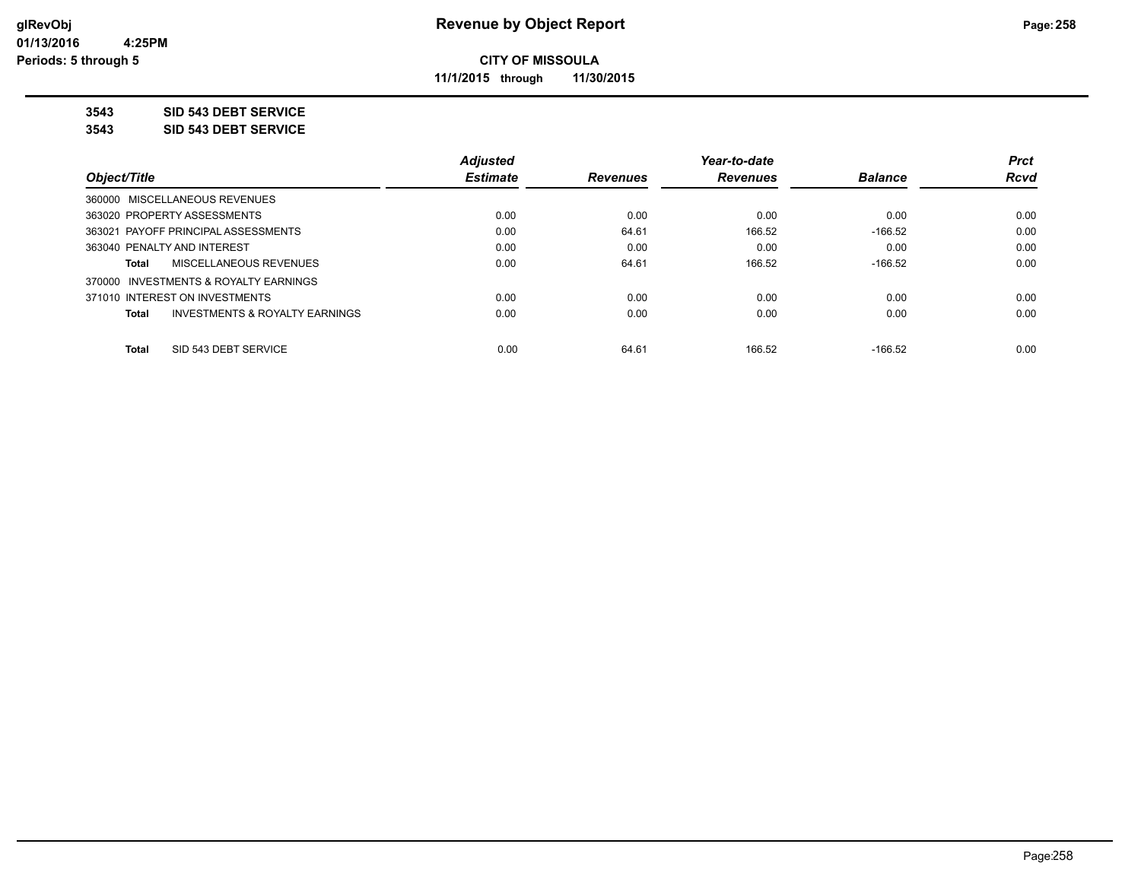**11/1/2015 through 11/30/2015**

**3543 SID 543 DEBT SERVICE**

**3543 SID 543 DEBT SERVICE**

|                                                    | <b>Adjusted</b> |                 | Year-to-date    |                | <b>Prct</b> |
|----------------------------------------------------|-----------------|-----------------|-----------------|----------------|-------------|
| Object/Title                                       | <b>Estimate</b> | <b>Revenues</b> | <b>Revenues</b> | <b>Balance</b> | <b>Rcvd</b> |
| 360000 MISCELLANEOUS REVENUES                      |                 |                 |                 |                |             |
| 363020 PROPERTY ASSESSMENTS                        | 0.00            | 0.00            | 0.00            | 0.00           | 0.00        |
| 363021 PAYOFF PRINCIPAL ASSESSMENTS                | 0.00            | 64.61           | 166.52          | $-166.52$      | 0.00        |
| 363040 PENALTY AND INTEREST                        | 0.00            | 0.00            | 0.00            | 0.00           | 0.00        |
| MISCELLANEOUS REVENUES<br>Total                    | 0.00            | 64.61           | 166.52          | $-166.52$      | 0.00        |
| 370000 INVESTMENTS & ROYALTY EARNINGS              |                 |                 |                 |                |             |
| 371010 INTEREST ON INVESTMENTS                     | 0.00            | 0.00            | 0.00            | 0.00           | 0.00        |
| <b>INVESTMENTS &amp; ROYALTY EARNINGS</b><br>Total | 0.00            | 0.00            | 0.00            | 0.00           | 0.00        |
| SID 543 DEBT SERVICE<br><b>Total</b>               | 0.00            | 64.61           | 166.52          | $-166.52$      | 0.00        |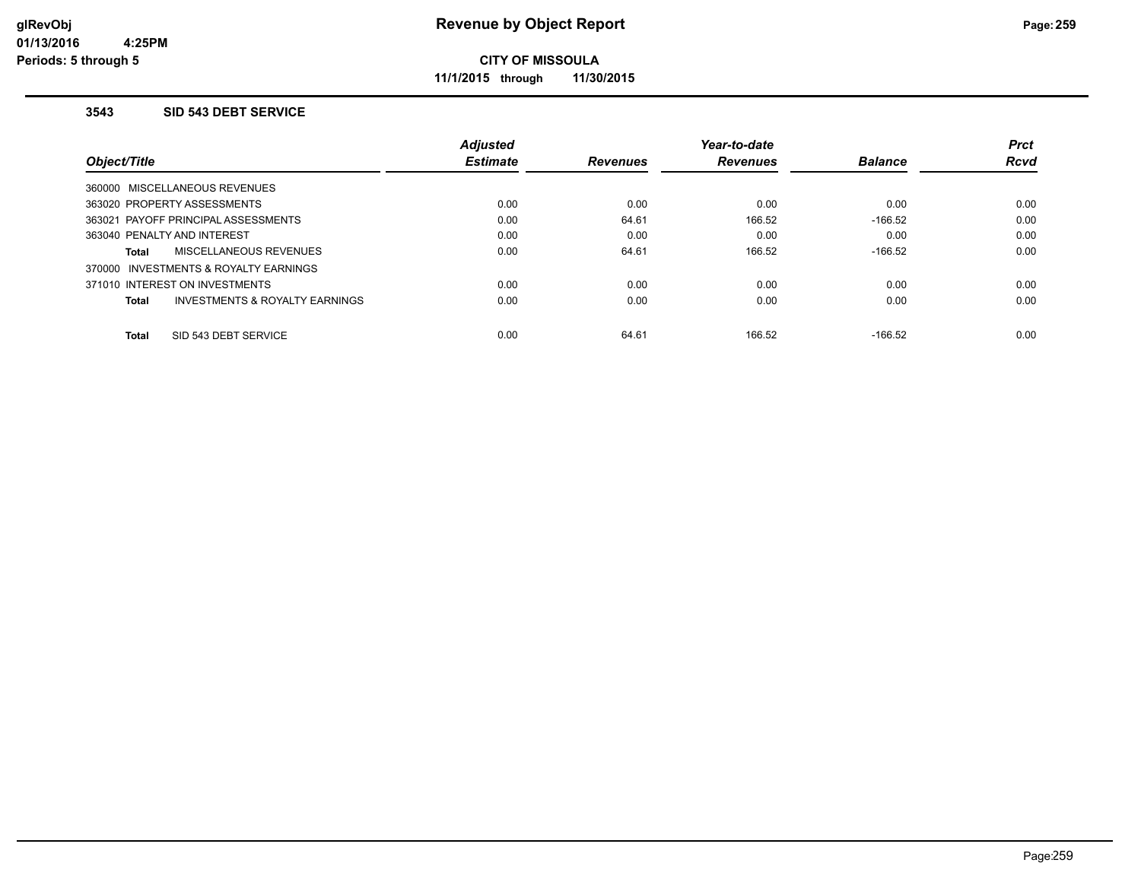**11/1/2015 through 11/30/2015**

#### **3543 SID 543 DEBT SERVICE**

|                                         | <b>Adjusted</b> |                 | Year-to-date    |                | <b>Prct</b> |
|-----------------------------------------|-----------------|-----------------|-----------------|----------------|-------------|
| Object/Title                            | <b>Estimate</b> | <b>Revenues</b> | <b>Revenues</b> | <b>Balance</b> | <b>Rcvd</b> |
| 360000 MISCELLANEOUS REVENUES           |                 |                 |                 |                |             |
| 363020 PROPERTY ASSESSMENTS             | 0.00            | 0.00            | 0.00            | 0.00           | 0.00        |
| 363021 PAYOFF PRINCIPAL ASSESSMENTS     | 0.00            | 64.61           | 166.52          | $-166.52$      | 0.00        |
| 363040 PENALTY AND INTEREST             | 0.00            | 0.00            | 0.00            | 0.00           | 0.00        |
| MISCELLANEOUS REVENUES<br>Total         | 0.00            | 64.61           | 166.52          | $-166.52$      | 0.00        |
| 370000 INVESTMENTS & ROYALTY EARNINGS   |                 |                 |                 |                |             |
| 371010 INTEREST ON INVESTMENTS          | 0.00            | 0.00            | 0.00            | 0.00           | 0.00        |
| INVESTMENTS & ROYALTY EARNINGS<br>Total | 0.00            | 0.00            | 0.00            | 0.00           | 0.00        |
| SID 543 DEBT SERVICE<br><b>Total</b>    | 0.00            | 64.61           | 166.52          | $-166.52$      | 0.00        |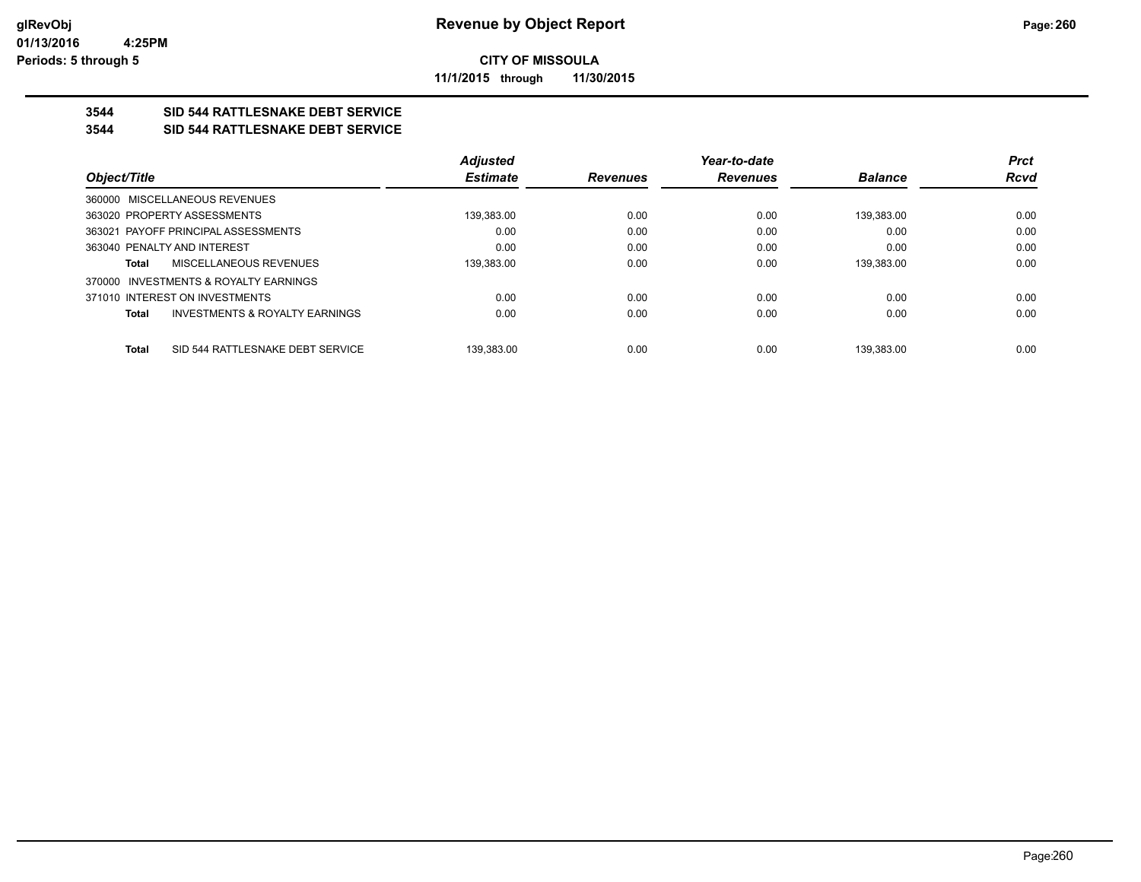**11/1/2015 through 11/30/2015**

# **3544 SID 544 RATTLESNAKE DEBT SERVICE**

#### **3544 SID 544 RATTLESNAKE DEBT SERVICE**

|                                                    | <b>Adjusted</b> |                 | Year-to-date    |                | <b>Prct</b> |
|----------------------------------------------------|-----------------|-----------------|-----------------|----------------|-------------|
| Object/Title                                       | <b>Estimate</b> | <b>Revenues</b> | <b>Revenues</b> | <b>Balance</b> | <b>Rcvd</b> |
| 360000 MISCELLANEOUS REVENUES                      |                 |                 |                 |                |             |
| 363020 PROPERTY ASSESSMENTS                        | 139.383.00      | 0.00            | 0.00            | 139.383.00     | 0.00        |
| 363021 PAYOFF PRINCIPAL ASSESSMENTS                | 0.00            | 0.00            | 0.00            | 0.00           | 0.00        |
| 363040 PENALTY AND INTEREST                        | 0.00            | 0.00            | 0.00            | 0.00           | 0.00        |
| MISCELLANEOUS REVENUES<br>Total                    | 139.383.00      | 0.00            | 0.00            | 139.383.00     | 0.00        |
| 370000 INVESTMENTS & ROYALTY EARNINGS              |                 |                 |                 |                |             |
| 371010 INTEREST ON INVESTMENTS                     | 0.00            | 0.00            | 0.00            | 0.00           | 0.00        |
| <b>INVESTMENTS &amp; ROYALTY EARNINGS</b><br>Total | 0.00            | 0.00            | 0.00            | 0.00           | 0.00        |
|                                                    |                 |                 |                 |                |             |
| SID 544 RATTLESNAKE DEBT SERVICE<br><b>Total</b>   | 139.383.00      | 0.00            | 0.00            | 139.383.00     | 0.00        |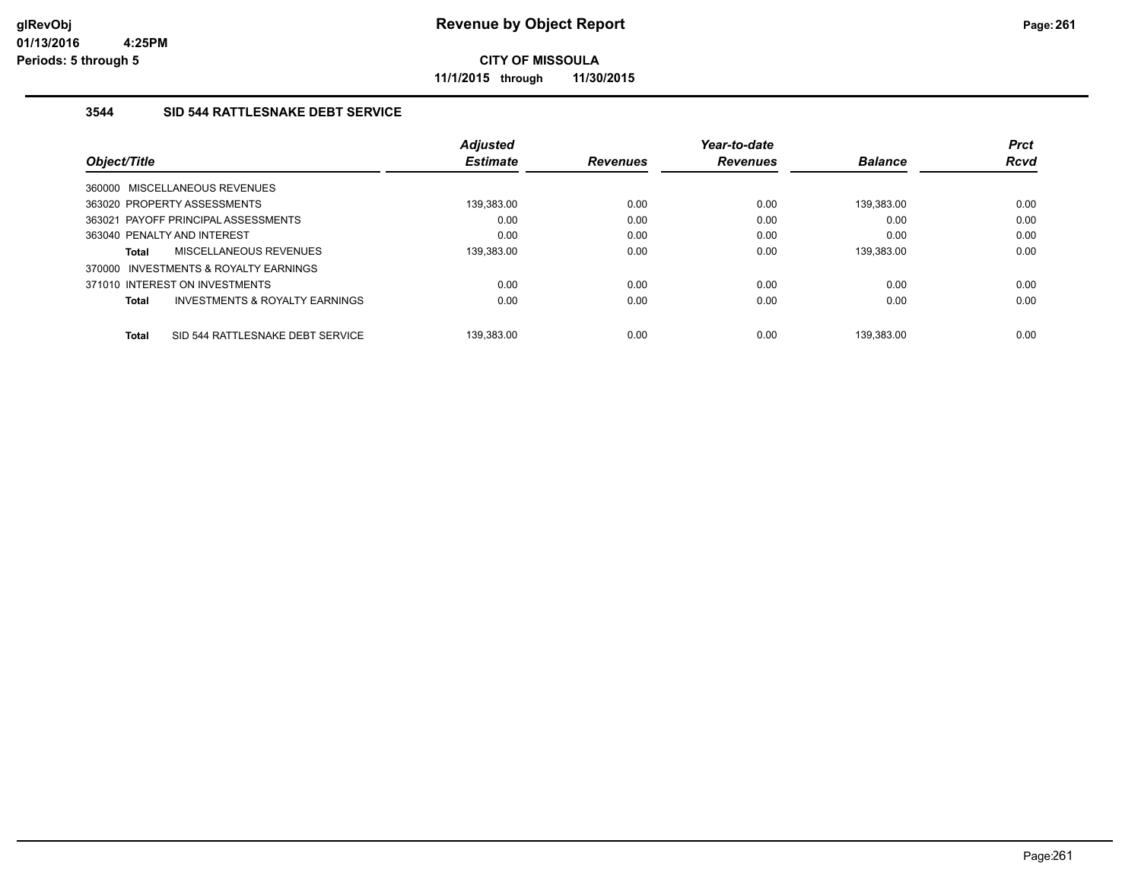**11/1/2015 through 11/30/2015**

### **3544 SID 544 RATTLESNAKE DEBT SERVICE**

|              |                                       | <b>Adjusted</b> |                 | Year-to-date    |                | <b>Prct</b> |
|--------------|---------------------------------------|-----------------|-----------------|-----------------|----------------|-------------|
| Object/Title |                                       | <b>Estimate</b> | <b>Revenues</b> | <b>Revenues</b> | <b>Balance</b> | <b>Rcvd</b> |
|              | 360000 MISCELLANEOUS REVENUES         |                 |                 |                 |                |             |
|              | 363020 PROPERTY ASSESSMENTS           | 139.383.00      | 0.00            | 0.00            | 139.383.00     | 0.00        |
|              | 363021 PAYOFF PRINCIPAL ASSESSMENTS   | 0.00            | 0.00            | 0.00            | 0.00           | 0.00        |
|              | 363040 PENALTY AND INTEREST           | 0.00            | 0.00            | 0.00            | 0.00           | 0.00        |
| <b>Total</b> | MISCELLANEOUS REVENUES                | 139,383.00      | 0.00            | 0.00            | 139,383.00     | 0.00        |
|              | 370000 INVESTMENTS & ROYALTY EARNINGS |                 |                 |                 |                |             |
|              | 371010 INTEREST ON INVESTMENTS        | 0.00            | 0.00            | 0.00            | 0.00           | 0.00        |
| <b>Total</b> | INVESTMENTS & ROYALTY EARNINGS        | 0.00            | 0.00            | 0.00            | 0.00           | 0.00        |
| <b>Total</b> | SID 544 RATTLESNAKE DEBT SERVICE      | 139.383.00      | 0.00            | 0.00            | 139.383.00     | 0.00        |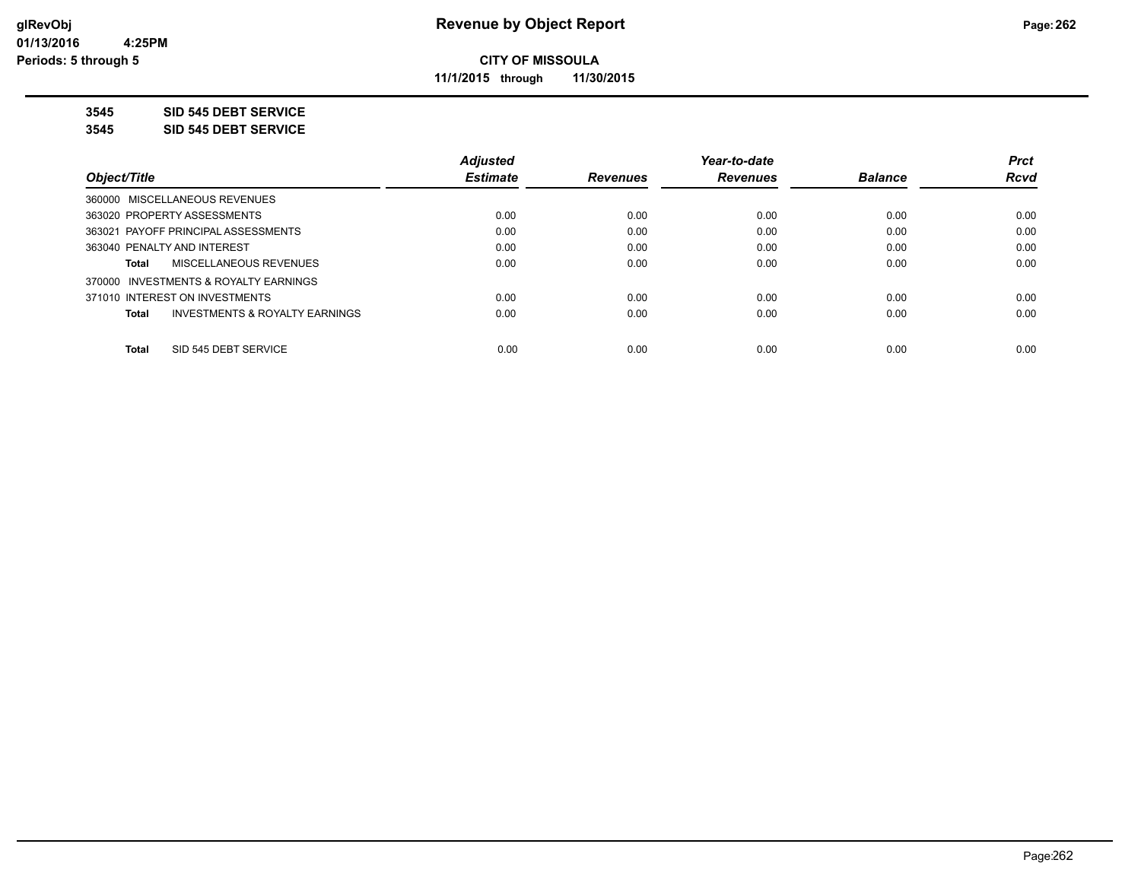**11/1/2015 through 11/30/2015**

**3545 SID 545 DEBT SERVICE**

**3545 SID 545 DEBT SERVICE**

|                                                    | <b>Adjusted</b> |                 | Year-to-date    |                | <b>Prct</b> |
|----------------------------------------------------|-----------------|-----------------|-----------------|----------------|-------------|
| Object/Title                                       | <b>Estimate</b> | <b>Revenues</b> | <b>Revenues</b> | <b>Balance</b> | <b>Rcvd</b> |
| 360000 MISCELLANEOUS REVENUES                      |                 |                 |                 |                |             |
| 363020 PROPERTY ASSESSMENTS                        | 0.00            | 0.00            | 0.00            | 0.00           | 0.00        |
| 363021 PAYOFF PRINCIPAL ASSESSMENTS                | 0.00            | 0.00            | 0.00            | 0.00           | 0.00        |
| 363040 PENALTY AND INTEREST                        | 0.00            | 0.00            | 0.00            | 0.00           | 0.00        |
| MISCELLANEOUS REVENUES<br>Total                    | 0.00            | 0.00            | 0.00            | 0.00           | 0.00        |
| 370000 INVESTMENTS & ROYALTY EARNINGS              |                 |                 |                 |                |             |
| 371010 INTEREST ON INVESTMENTS                     | 0.00            | 0.00            | 0.00            | 0.00           | 0.00        |
| <b>INVESTMENTS &amp; ROYALTY EARNINGS</b><br>Total | 0.00            | 0.00            | 0.00            | 0.00           | 0.00        |
| SID 545 DEBT SERVICE<br><b>Total</b>               | 0.00            | 0.00            | 0.00            | 0.00           | 0.00        |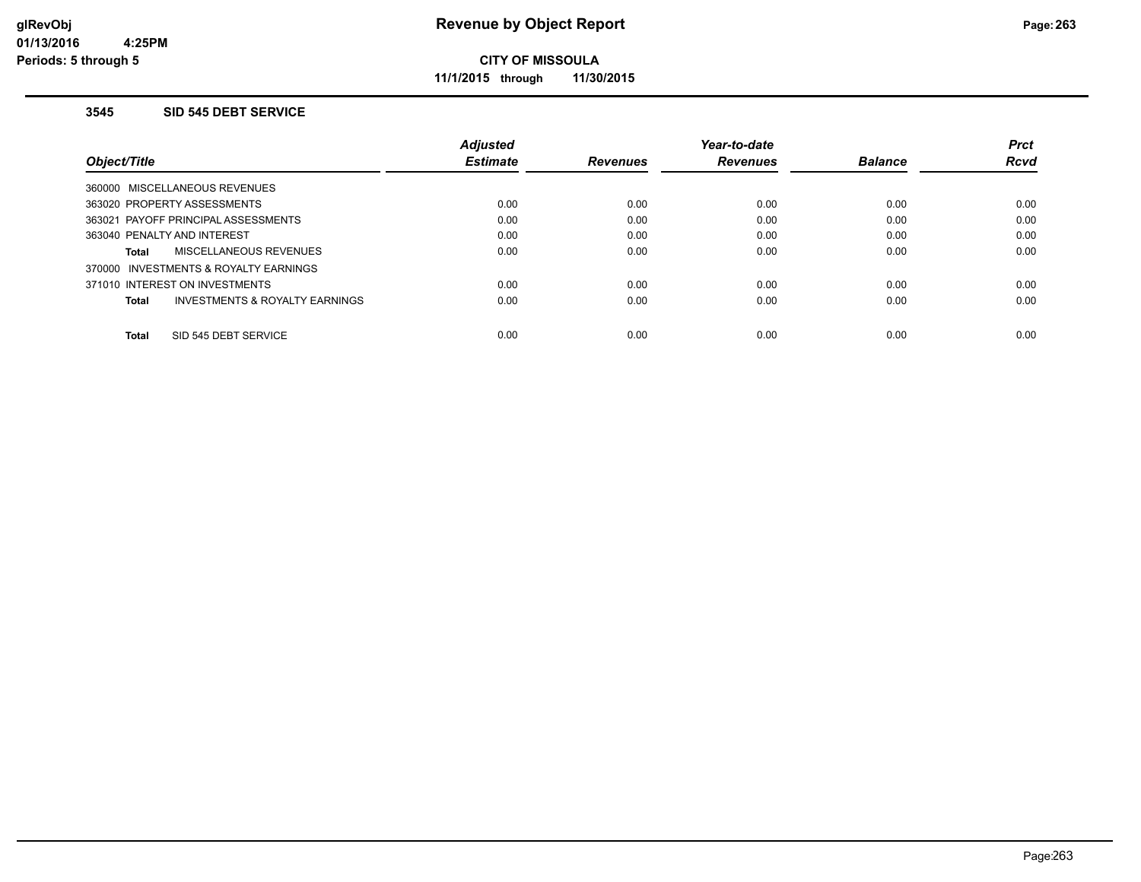**11/1/2015 through 11/30/2015**

#### **3545 SID 545 DEBT SERVICE**

|                                         | <b>Adiusted</b> |                 | Year-to-date    |                | <b>Prct</b> |
|-----------------------------------------|-----------------|-----------------|-----------------|----------------|-------------|
| Object/Title                            | <b>Estimate</b> | <b>Revenues</b> | <b>Revenues</b> | <b>Balance</b> | <b>Rcvd</b> |
| 360000 MISCELLANEOUS REVENUES           |                 |                 |                 |                |             |
| 363020 PROPERTY ASSESSMENTS             | 0.00            | 0.00            | 0.00            | 0.00           | 0.00        |
| 363021 PAYOFF PRINCIPAL ASSESSMENTS     | 0.00            | 0.00            | 0.00            | 0.00           | 0.00        |
| 363040 PENALTY AND INTEREST             | 0.00            | 0.00            | 0.00            | 0.00           | 0.00        |
| MISCELLANEOUS REVENUES<br>Total         | 0.00            | 0.00            | 0.00            | 0.00           | 0.00        |
| 370000 INVESTMENTS & ROYALTY EARNINGS   |                 |                 |                 |                |             |
| 371010 INTEREST ON INVESTMENTS          | 0.00            | 0.00            | 0.00            | 0.00           | 0.00        |
| INVESTMENTS & ROYALTY EARNINGS<br>Total | 0.00            | 0.00            | 0.00            | 0.00           | 0.00        |
|                                         |                 |                 |                 |                |             |
| SID 545 DEBT SERVICE<br>Total           | 0.00            | 0.00            | 0.00            | 0.00           | 0.00        |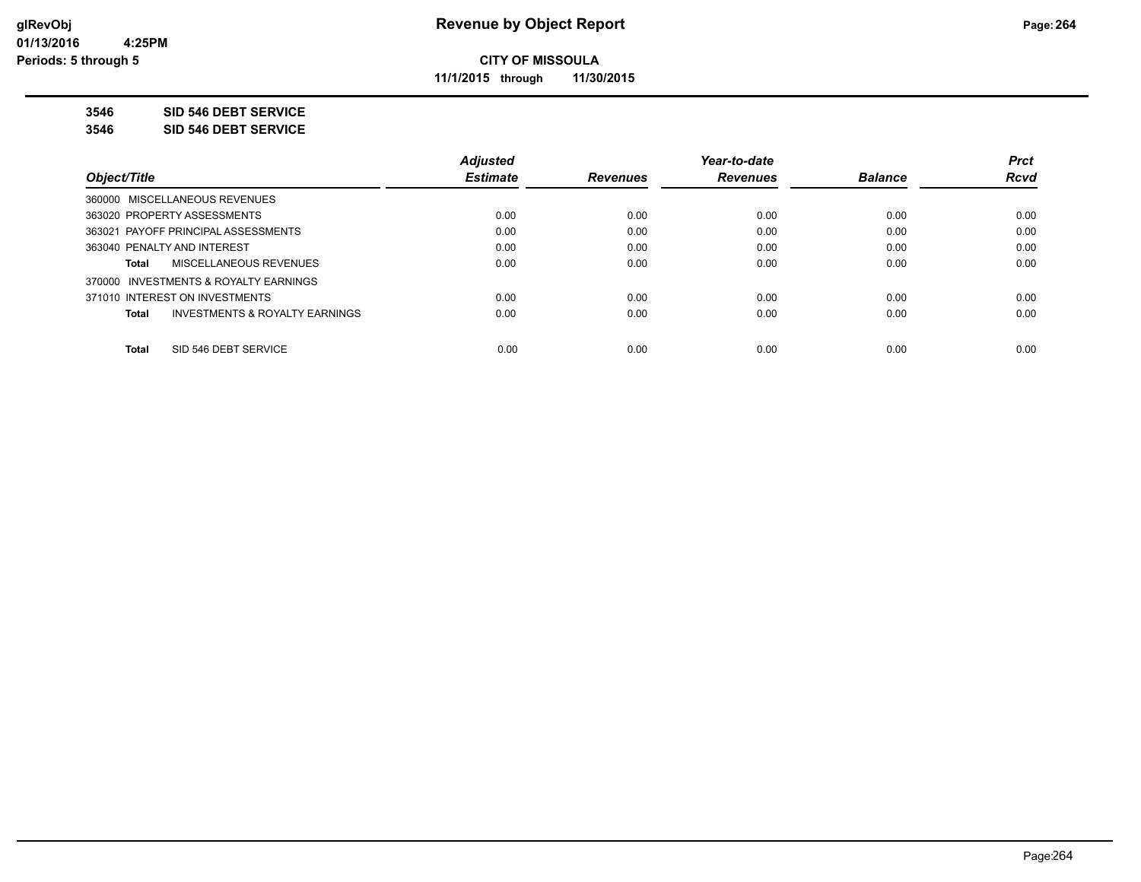**11/1/2015 through 11/30/2015**

**3546 SID 546 DEBT SERVICE**

**3546 SID 546 DEBT SERVICE**

|                                                    | <b>Adjusted</b> |                 | Year-to-date    |                | <b>Prct</b> |
|----------------------------------------------------|-----------------|-----------------|-----------------|----------------|-------------|
| Object/Title                                       | <b>Estimate</b> | <b>Revenues</b> | <b>Revenues</b> | <b>Balance</b> | <b>Rcvd</b> |
| 360000 MISCELLANEOUS REVENUES                      |                 |                 |                 |                |             |
| 363020 PROPERTY ASSESSMENTS                        | 0.00            | 0.00            | 0.00            | 0.00           | 0.00        |
| 363021 PAYOFF PRINCIPAL ASSESSMENTS                | 0.00            | 0.00            | 0.00            | 0.00           | 0.00        |
| 363040 PENALTY AND INTEREST                        | 0.00            | 0.00            | 0.00            | 0.00           | 0.00        |
| MISCELLANEOUS REVENUES<br>Total                    | 0.00            | 0.00            | 0.00            | 0.00           | 0.00        |
| 370000 INVESTMENTS & ROYALTY EARNINGS              |                 |                 |                 |                |             |
| 371010 INTEREST ON INVESTMENTS                     | 0.00            | 0.00            | 0.00            | 0.00           | 0.00        |
| <b>INVESTMENTS &amp; ROYALTY EARNINGS</b><br>Total | 0.00            | 0.00            | 0.00            | 0.00           | 0.00        |
| SID 546 DEBT SERVICE<br><b>Total</b>               | 0.00            | 0.00            | 0.00            | 0.00           | 0.00        |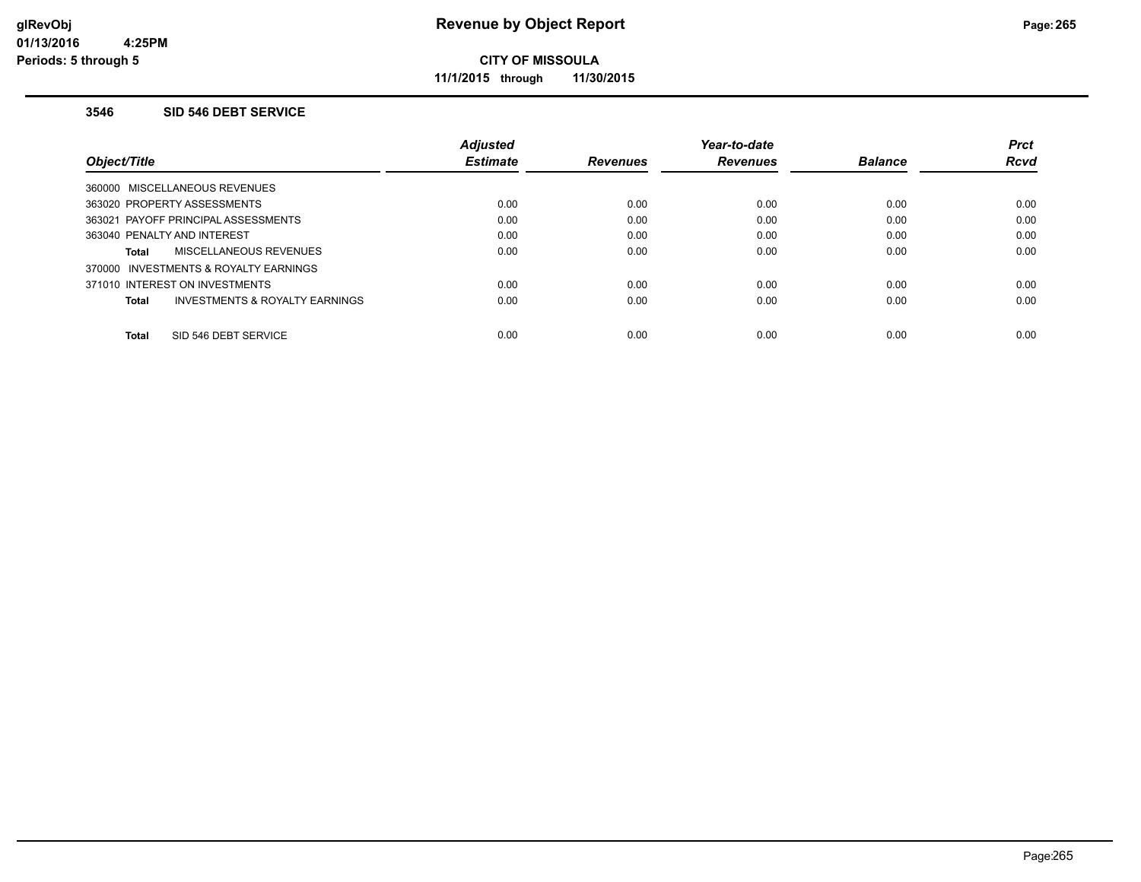**11/1/2015 through 11/30/2015**

#### **3546 SID 546 DEBT SERVICE**

|                                                | <b>Adiusted</b> |                 | Year-to-date    |                | <b>Prct</b> |
|------------------------------------------------|-----------------|-----------------|-----------------|----------------|-------------|
| Obiect/Title                                   | <b>Estimate</b> | <b>Revenues</b> | <b>Revenues</b> | <b>Balance</b> | <b>Rcvd</b> |
| 360000 MISCELLANEOUS REVENUES                  |                 |                 |                 |                |             |
| 363020 PROPERTY ASSESSMENTS                    | 0.00            | 0.00            | 0.00            | 0.00           | 0.00        |
| 363021 PAYOFF PRINCIPAL ASSESSMENTS            | 0.00            | 0.00            | 0.00            | 0.00           | 0.00        |
| 363040 PENALTY AND INTEREST                    | 0.00            | 0.00            | 0.00            | 0.00           | 0.00        |
| MISCELLANEOUS REVENUES<br><b>Total</b>         | 0.00            | 0.00            | 0.00            | 0.00           | 0.00        |
| 370000 INVESTMENTS & ROYALTY EARNINGS          |                 |                 |                 |                |             |
| 371010 INTEREST ON INVESTMENTS                 | 0.00            | 0.00            | 0.00            | 0.00           | 0.00        |
| INVESTMENTS & ROYALTY EARNINGS<br><b>Total</b> | 0.00            | 0.00            | 0.00            | 0.00           | 0.00        |
| SID 546 DEBT SERVICE<br><b>Total</b>           | 0.00            | 0.00            | 0.00            | 0.00           | 0.00        |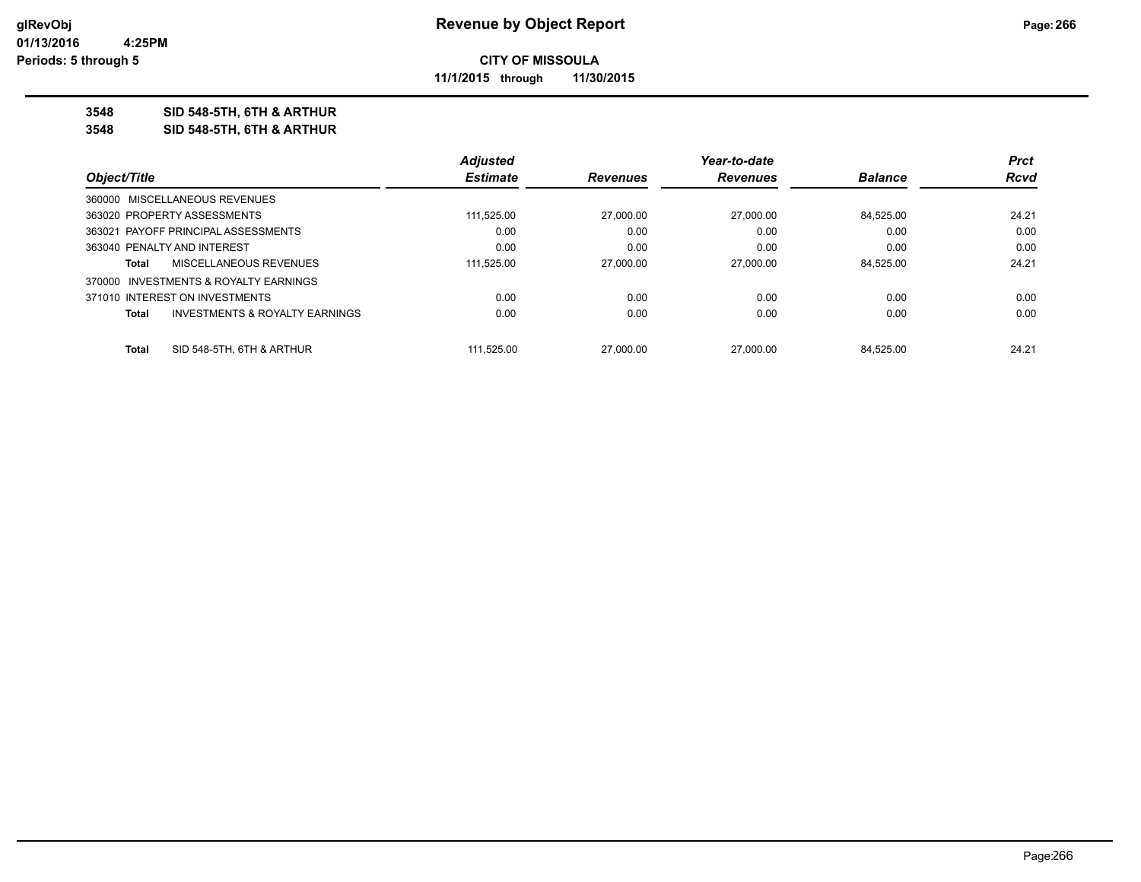**11/1/2015 through 11/30/2015**

#### **3548 SID 548-5TH, 6TH & ARTHUR**

**3548 SID 548-5TH, 6TH & ARTHUR**

|                                                    | <b>Adjusted</b> |                 | Year-to-date    |                | <b>Prct</b> |
|----------------------------------------------------|-----------------|-----------------|-----------------|----------------|-------------|
| Object/Title                                       | <b>Estimate</b> | <b>Revenues</b> | <b>Revenues</b> | <b>Balance</b> | <b>Rcvd</b> |
| 360000 MISCELLANEOUS REVENUES                      |                 |                 |                 |                |             |
| 363020 PROPERTY ASSESSMENTS                        | 111,525.00      | 27,000.00       | 27,000.00       | 84.525.00      | 24.21       |
| 363021 PAYOFF PRINCIPAL ASSESSMENTS                | 0.00            | 0.00            | 0.00            | 0.00           | 0.00        |
| 363040 PENALTY AND INTEREST                        | 0.00            | 0.00            | 0.00            | 0.00           | 0.00        |
| MISCELLANEOUS REVENUES<br>Total                    | 111,525.00      | 27,000.00       | 27,000.00       | 84.525.00      | 24.21       |
| 370000 INVESTMENTS & ROYALTY EARNINGS              |                 |                 |                 |                |             |
| 371010 INTEREST ON INVESTMENTS                     | 0.00            | 0.00            | 0.00            | 0.00           | 0.00        |
| <b>INVESTMENTS &amp; ROYALTY EARNINGS</b><br>Total | 0.00            | 0.00            | 0.00            | 0.00           | 0.00        |
|                                                    |                 |                 |                 |                |             |
| SID 548-5TH, 6TH & ARTHUR<br>Total                 | 111.525.00      | 27.000.00       | 27,000.00       | 84.525.00      | 24.21       |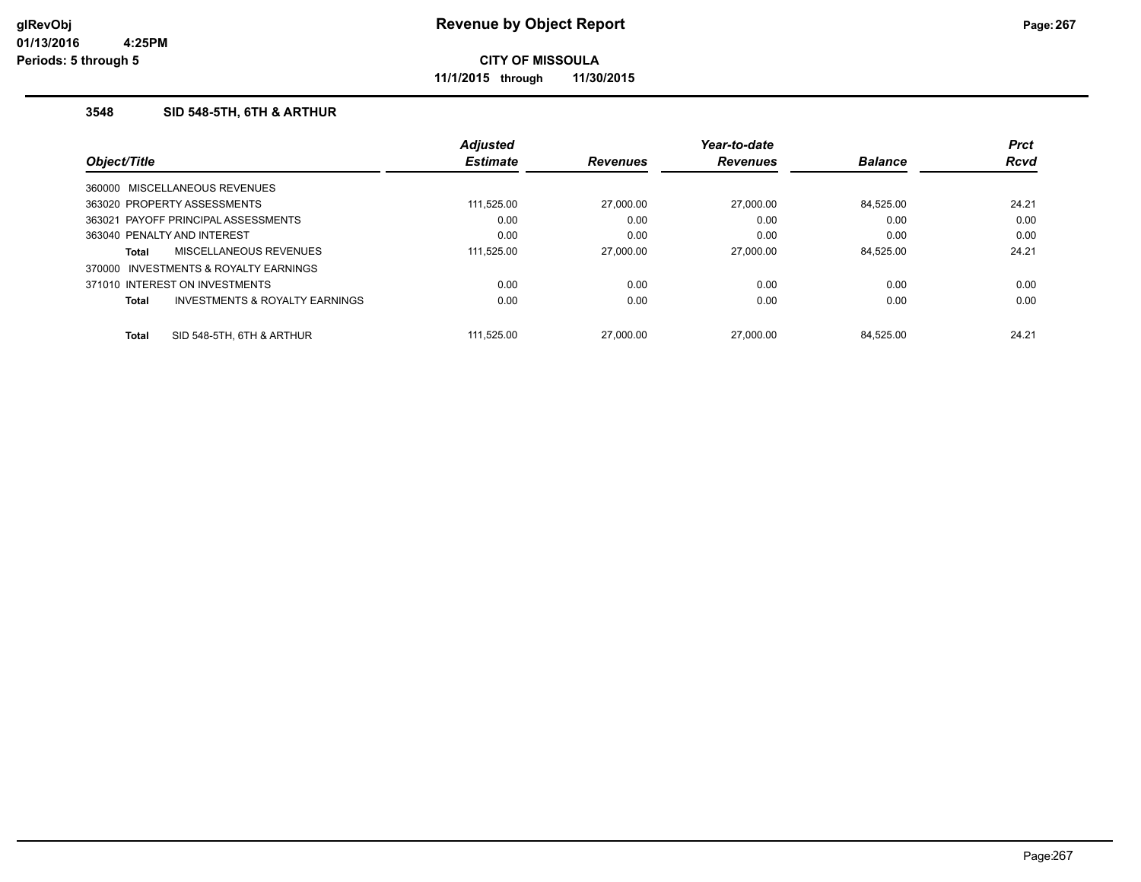**11/1/2015 through 11/30/2015**

### **3548 SID 548-5TH, 6TH & ARTHUR**

|              |                                     | <b>Adjusted</b> |                 | Year-to-date    |                | <b>Prct</b> |
|--------------|-------------------------------------|-----------------|-----------------|-----------------|----------------|-------------|
|              | Object/Title                        | <b>Estimate</b> | <b>Revenues</b> | <b>Revenues</b> | <b>Balance</b> | <b>Rcvd</b> |
|              | 360000 MISCELLANEOUS REVENUES       |                 |                 |                 |                |             |
|              | 363020 PROPERTY ASSESSMENTS         | 111,525.00      | 27,000.00       | 27,000.00       | 84.525.00      | 24.21       |
|              | 363021 PAYOFF PRINCIPAL ASSESSMENTS | 0.00            | 0.00            | 0.00            | 0.00           | 0.00        |
|              | 363040 PENALTY AND INTEREST         | 0.00            | 0.00            | 0.00            | 0.00           | 0.00        |
| Total        | MISCELLANEOUS REVENUES              | 111.525.00      | 27,000.00       | 27,000.00       | 84.525.00      | 24.21       |
| 370000       | INVESTMENTS & ROYALTY EARNINGS      |                 |                 |                 |                |             |
|              | 371010 INTEREST ON INVESTMENTS      | 0.00            | 0.00            | 0.00            | 0.00           | 0.00        |
| Total        | INVESTMENTS & ROYALTY EARNINGS      | 0.00            | 0.00            | 0.00            | 0.00           | 0.00        |
| <b>Total</b> | SID 548-5TH, 6TH & ARTHUR           | 111.525.00      | 27,000.00       | 27.000.00       | 84.525.00      | 24.21       |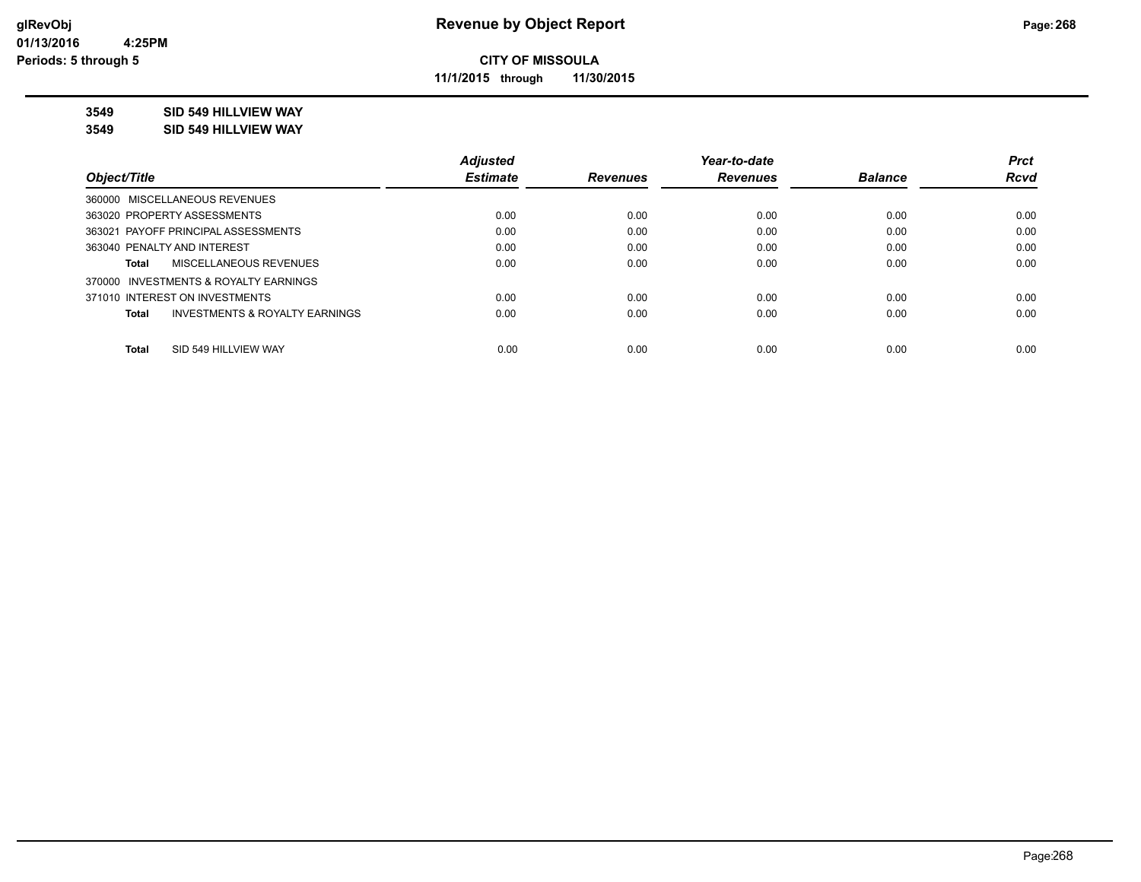**11/1/2015 through 11/30/2015**

#### **3549 SID 549 HILLVIEW WAY**

**3549 SID 549 HILLVIEW WAY**

|                                                    | <b>Adjusted</b> |                 | Year-to-date    |                | <b>Prct</b> |
|----------------------------------------------------|-----------------|-----------------|-----------------|----------------|-------------|
| Obiect/Title                                       | <b>Estimate</b> | <b>Revenues</b> | <b>Revenues</b> | <b>Balance</b> | <b>Rcvd</b> |
| 360000 MISCELLANEOUS REVENUES                      |                 |                 |                 |                |             |
| 363020 PROPERTY ASSESSMENTS                        | 0.00            | 0.00            | 0.00            | 0.00           | 0.00        |
| 363021 PAYOFF PRINCIPAL ASSESSMENTS                | 0.00            | 0.00            | 0.00            | 0.00           | 0.00        |
| 363040 PENALTY AND INTEREST                        | 0.00            | 0.00            | 0.00            | 0.00           | 0.00        |
| MISCELLANEOUS REVENUES<br>Total                    | 0.00            | 0.00            | 0.00            | 0.00           | 0.00        |
| 370000 INVESTMENTS & ROYALTY EARNINGS              |                 |                 |                 |                |             |
| 371010 INTEREST ON INVESTMENTS                     | 0.00            | 0.00            | 0.00            | 0.00           | 0.00        |
| <b>INVESTMENTS &amp; ROYALTY EARNINGS</b><br>Total | 0.00            | 0.00            | 0.00            | 0.00           | 0.00        |
| SID 549 HILLVIEW WAY<br><b>Total</b>               | 0.00            | 0.00            | 0.00            | 0.00           | 0.00        |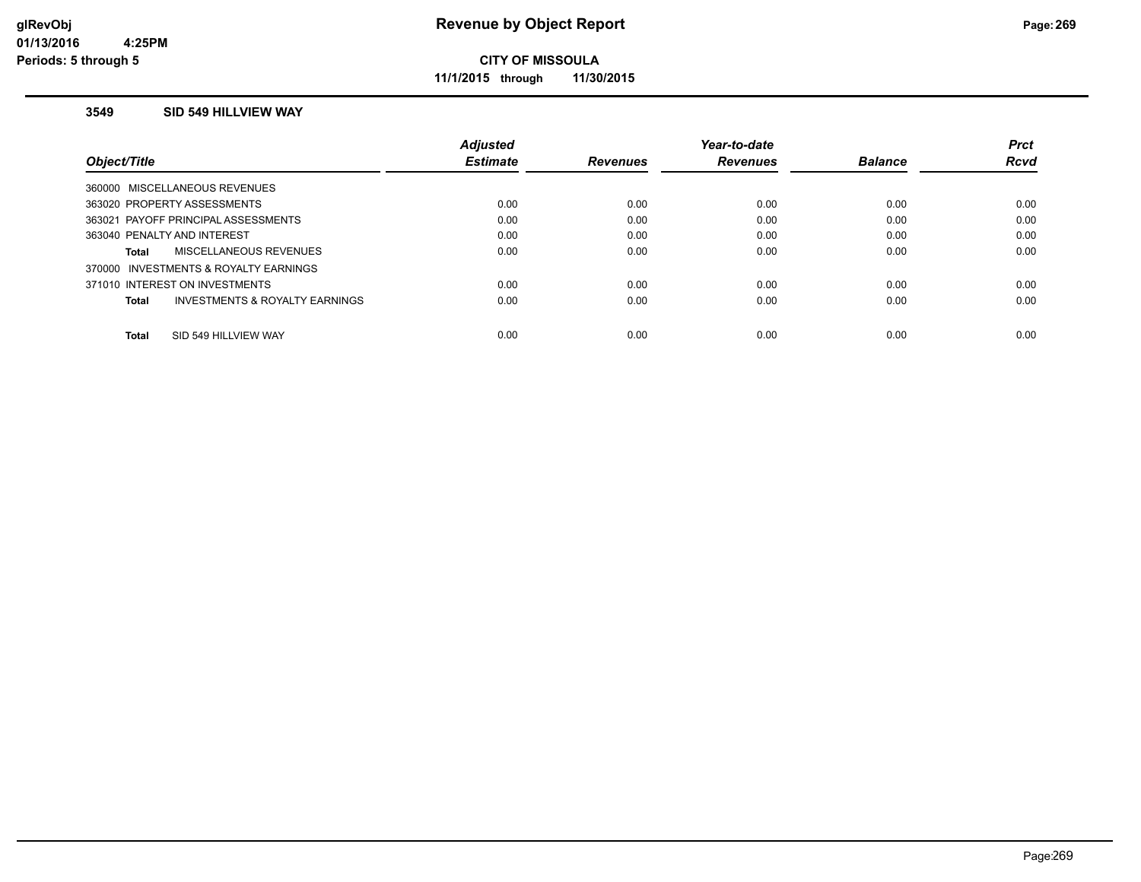**11/1/2015 through 11/30/2015**

#### **3549 SID 549 HILLVIEW WAY**

|                                                | <b>Adjusted</b> |                 | Year-to-date    |                | <b>Prct</b> |
|------------------------------------------------|-----------------|-----------------|-----------------|----------------|-------------|
| Object/Title                                   | <b>Estimate</b> | <b>Revenues</b> | <b>Revenues</b> | <b>Balance</b> | <b>Rcvd</b> |
| 360000 MISCELLANEOUS REVENUES                  |                 |                 |                 |                |             |
| 363020 PROPERTY ASSESSMENTS                    | 0.00            | 0.00            | 0.00            | 0.00           | 0.00        |
| 363021 PAYOFF PRINCIPAL ASSESSMENTS            | 0.00            | 0.00            | 0.00            | 0.00           | 0.00        |
| 363040 PENALTY AND INTEREST                    | 0.00            | 0.00            | 0.00            | 0.00           | 0.00        |
| MISCELLANEOUS REVENUES<br>Total                | 0.00            | 0.00            | 0.00            | 0.00           | 0.00        |
| 370000 INVESTMENTS & ROYALTY EARNINGS          |                 |                 |                 |                |             |
| 371010 INTEREST ON INVESTMENTS                 | 0.00            | 0.00            | 0.00            | 0.00           | 0.00        |
| INVESTMENTS & ROYALTY EARNINGS<br><b>Total</b> | 0.00            | 0.00            | 0.00            | 0.00           | 0.00        |
|                                                |                 |                 |                 |                |             |
| SID 549 HILLVIEW WAY<br><b>Total</b>           | 0.00            | 0.00            | 0.00            | 0.00           | 0.00        |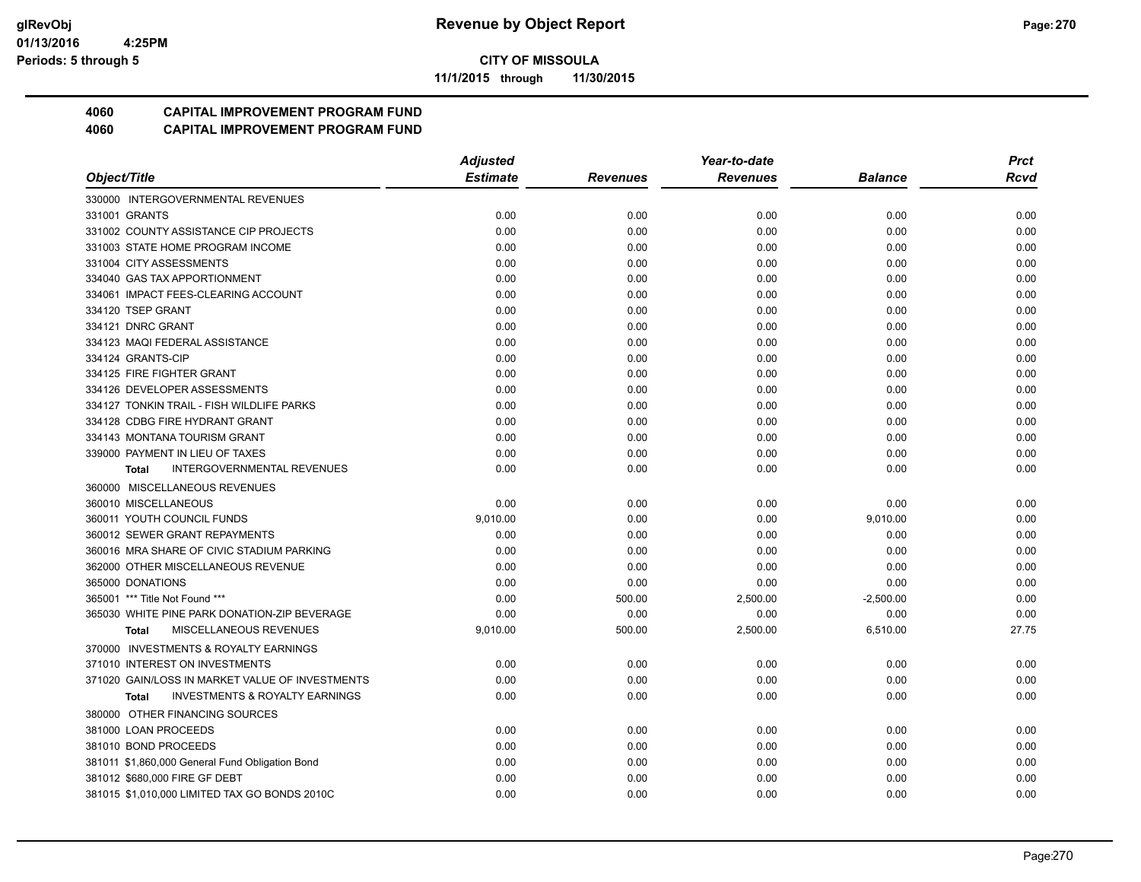**11/1/2015 through 11/30/2015**

# **4060 CAPITAL IMPROVEMENT PROGRAM FUND**

|                                                           | <b>Adjusted</b> |                 | Year-to-date    |                | <b>Prct</b> |
|-----------------------------------------------------------|-----------------|-----------------|-----------------|----------------|-------------|
| Object/Title                                              | <b>Estimate</b> | <b>Revenues</b> | <b>Revenues</b> | <b>Balance</b> | Rcvd        |
| 330000 INTERGOVERNMENTAL REVENUES                         |                 |                 |                 |                |             |
| 331001 GRANTS                                             | 0.00            | 0.00            | 0.00            | 0.00           | 0.00        |
| 331002 COUNTY ASSISTANCE CIP PROJECTS                     | 0.00            | 0.00            | 0.00            | 0.00           | 0.00        |
| 331003 STATE HOME PROGRAM INCOME                          | 0.00            | 0.00            | 0.00            | 0.00           | 0.00        |
| 331004 CITY ASSESSMENTS                                   | 0.00            | 0.00            | 0.00            | 0.00           | 0.00        |
| 334040 GAS TAX APPORTIONMENT                              | 0.00            | 0.00            | 0.00            | 0.00           | 0.00        |
| 334061 IMPACT FEES-CLEARING ACCOUNT                       | 0.00            | 0.00            | 0.00            | 0.00           | 0.00        |
| 334120 TSEP GRANT                                         | 0.00            | 0.00            | 0.00            | 0.00           | 0.00        |
| 334121 DNRC GRANT                                         | 0.00            | 0.00            | 0.00            | 0.00           | 0.00        |
| 334123 MAQI FEDERAL ASSISTANCE                            | 0.00            | 0.00            | 0.00            | 0.00           | 0.00        |
| 334124 GRANTS-CIP                                         | 0.00            | 0.00            | 0.00            | 0.00           | 0.00        |
| 334125 FIRE FIGHTER GRANT                                 | 0.00            | 0.00            | 0.00            | 0.00           | 0.00        |
| 334126 DEVELOPER ASSESSMENTS                              | 0.00            | 0.00            | 0.00            | 0.00           | 0.00        |
| 334127 TONKIN TRAIL - FISH WILDLIFE PARKS                 | 0.00            | 0.00            | 0.00            | 0.00           | 0.00        |
| 334128 CDBG FIRE HYDRANT GRANT                            | 0.00            | 0.00            | 0.00            | 0.00           | 0.00        |
| 334143 MONTANA TOURISM GRANT                              | 0.00            | 0.00            | 0.00            | 0.00           | 0.00        |
| 339000 PAYMENT IN LIEU OF TAXES                           | 0.00            | 0.00            | 0.00            | 0.00           | 0.00        |
| <b>INTERGOVERNMENTAL REVENUES</b><br>Total                | 0.00            | 0.00            | 0.00            | 0.00           | 0.00        |
| 360000 MISCELLANEOUS REVENUES                             |                 |                 |                 |                |             |
| 360010 MISCELLANEOUS                                      | 0.00            | 0.00            | 0.00            | 0.00           | 0.00        |
| 360011 YOUTH COUNCIL FUNDS                                | 9,010.00        | 0.00            | 0.00            | 9,010.00       | 0.00        |
| 360012 SEWER GRANT REPAYMENTS                             | 0.00            | 0.00            | 0.00            | 0.00           | 0.00        |
| 360016 MRA SHARE OF CIVIC STADIUM PARKING                 | 0.00            | 0.00            | 0.00            | 0.00           | 0.00        |
| 362000 OTHER MISCELLANEOUS REVENUE                        | 0.00            | 0.00            | 0.00            | 0.00           | 0.00        |
| 365000 DONATIONS                                          | 0.00            | 0.00            | 0.00            | 0.00           | 0.00        |
| 365001 *** Title Not Found ***                            | 0.00            | 500.00          | 2,500.00        | $-2,500.00$    | 0.00        |
| 365030 WHITE PINE PARK DONATION-ZIP BEVERAGE              | 0.00            | 0.00            | 0.00            | 0.00           | 0.00        |
| MISCELLANEOUS REVENUES<br><b>Total</b>                    | 9,010.00        | 500.00          | 2,500.00        | 6,510.00       | 27.75       |
| 370000 INVESTMENTS & ROYALTY EARNINGS                     |                 |                 |                 |                |             |
| 371010 INTEREST ON INVESTMENTS                            | 0.00            | 0.00            | 0.00            | 0.00           | 0.00        |
| 371020 GAIN/LOSS IN MARKET VALUE OF INVESTMENTS           | 0.00            | 0.00            | 0.00            | 0.00           | 0.00        |
| <b>INVESTMENTS &amp; ROYALTY EARNINGS</b><br><b>Total</b> | 0.00            | 0.00            | 0.00            | 0.00           | 0.00        |
| 380000 OTHER FINANCING SOURCES                            |                 |                 |                 |                |             |
| 381000 LOAN PROCEEDS                                      | 0.00            | 0.00            | 0.00            | 0.00           | 0.00        |
| 381010 BOND PROCEEDS                                      | 0.00            | 0.00            | 0.00            | 0.00           | 0.00        |
| 381011 \$1,860,000 General Fund Obligation Bond           | 0.00            | 0.00            | 0.00            | 0.00           | 0.00        |
| 381012 \$680,000 FIRE GF DEBT                             | 0.00            | 0.00            | 0.00            | 0.00           | 0.00        |
| 381015 \$1,010,000 LIMITED TAX GO BONDS 2010C             | 0.00            | 0.00            | 0.00            | 0.00           | 0.00        |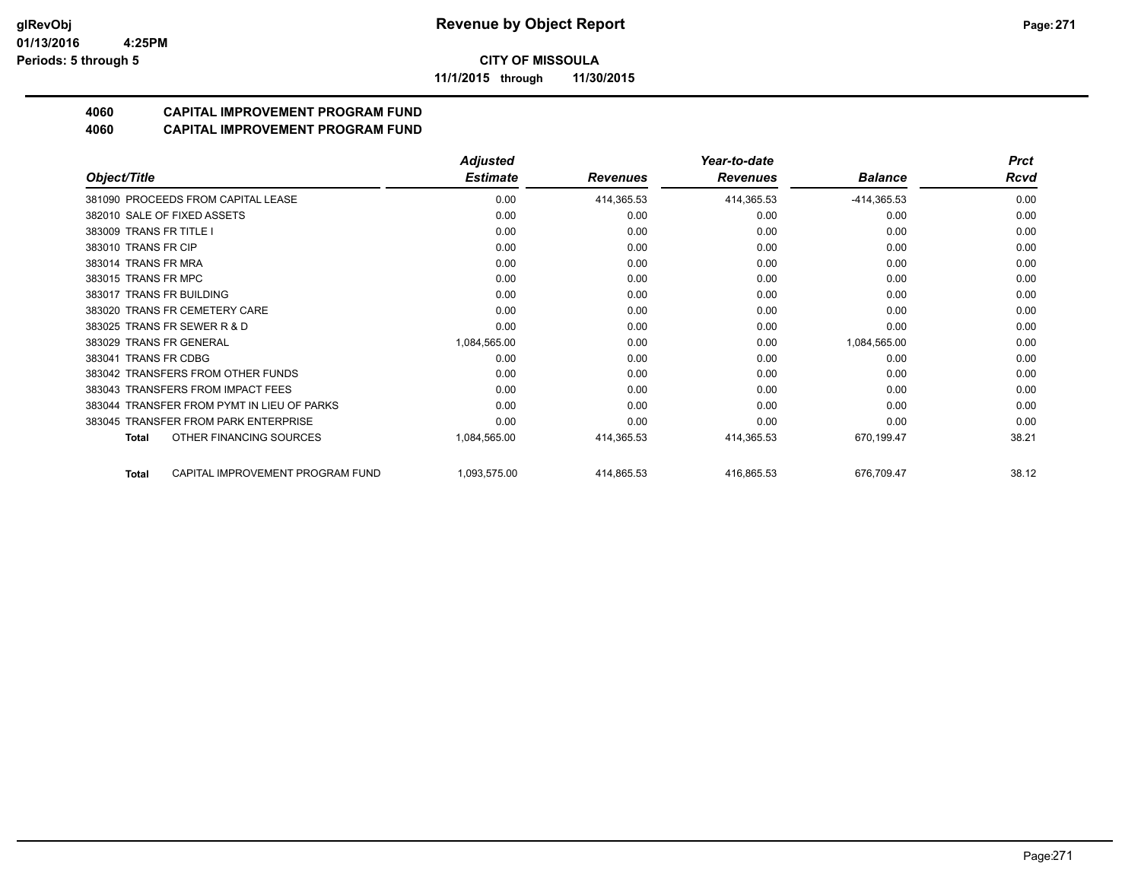**11/1/2015 through 11/30/2015**

# **4060 CAPITAL IMPROVEMENT PROGRAM FUND**

|                                                  | <b>Adjusted</b> |                 | Year-to-date    |                | Prct  |
|--------------------------------------------------|-----------------|-----------------|-----------------|----------------|-------|
| Object/Title                                     | <b>Estimate</b> | <b>Revenues</b> | <b>Revenues</b> | <b>Balance</b> | Rcvd  |
| 381090 PROCEEDS FROM CAPITAL LEASE               | 0.00            | 414,365.53      | 414,365.53      | -414,365.53    | 0.00  |
| 382010 SALE OF FIXED ASSETS                      | 0.00            | 0.00            | 0.00            | 0.00           | 0.00  |
| 383009 TRANS FR TITLE I                          | 0.00            | 0.00            | 0.00            | 0.00           | 0.00  |
| 383010 TRANS FR CIP                              | 0.00            | 0.00            | 0.00            | 0.00           | 0.00  |
| 383014 TRANS FR MRA                              | 0.00            | 0.00            | 0.00            | 0.00           | 0.00  |
| 383015 TRANS FR MPC                              | 0.00            | 0.00            | 0.00            | 0.00           | 0.00  |
| 383017 TRANS FR BUILDING                         | 0.00            | 0.00            | 0.00            | 0.00           | 0.00  |
| 383020 TRANS FR CEMETERY CARE                    | 0.00            | 0.00            | 0.00            | 0.00           | 0.00  |
| 383025 TRANS FR SEWER R & D                      | 0.00            | 0.00            | 0.00            | 0.00           | 0.00  |
| 383029 TRANS FR GENERAL                          | 1,084,565.00    | 0.00            | 0.00            | 1,084,565.00   | 0.00  |
| <b>TRANS FR CDBG</b><br>383041                   | 0.00            | 0.00            | 0.00            | 0.00           | 0.00  |
| 383042 TRANSFERS FROM OTHER FUNDS                | 0.00            | 0.00            | 0.00            | 0.00           | 0.00  |
| 383043 TRANSFERS FROM IMPACT FEES                | 0.00            | 0.00            | 0.00            | 0.00           | 0.00  |
| 383044 TRANSFER FROM PYMT IN LIEU OF PARKS       | 0.00            | 0.00            | 0.00            | 0.00           | 0.00  |
| <b>TRANSFER FROM PARK ENTERPRISE</b><br>383045   | 0.00            | 0.00            | 0.00            | 0.00           | 0.00  |
| OTHER FINANCING SOURCES<br>Total                 | 1,084,565.00    | 414,365.53      | 414,365.53      | 670,199.47     | 38.21 |
| CAPITAL IMPROVEMENT PROGRAM FUND<br><b>Total</b> | 1,093,575.00    | 414,865.53      | 416,865.53      | 676,709.47     | 38.12 |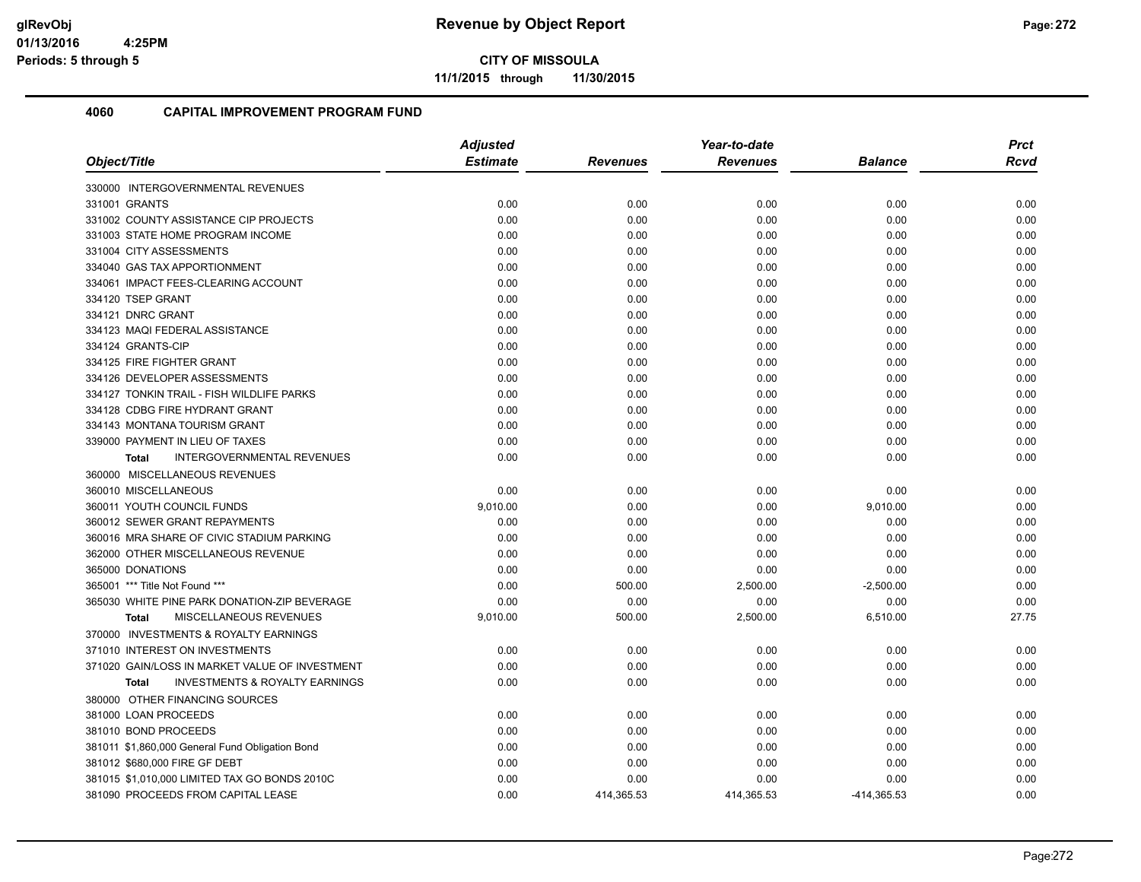**11/1/2015 through 11/30/2015**

| Object/Title                                              | <b>Adjusted</b> |                 | Year-to-date    |                |             |
|-----------------------------------------------------------|-----------------|-----------------|-----------------|----------------|-------------|
|                                                           | <b>Estimate</b> | <b>Revenues</b> | <b>Revenues</b> | <b>Balance</b> | <b>Rcvd</b> |
| 330000 INTERGOVERNMENTAL REVENUES                         |                 |                 |                 |                |             |
| 331001 GRANTS                                             | 0.00            | 0.00            | 0.00            | 0.00           | 0.00        |
| 331002 COUNTY ASSISTANCE CIP PROJECTS                     | 0.00            | 0.00            | 0.00            | 0.00           | 0.00        |
| 331003 STATE HOME PROGRAM INCOME                          | 0.00            | 0.00            | 0.00            | 0.00           | 0.00        |
| 331004 CITY ASSESSMENTS                                   | 0.00            | 0.00            | 0.00            | 0.00           | 0.00        |
| 334040 GAS TAX APPORTIONMENT                              | 0.00            | 0.00            | 0.00            | 0.00           | 0.00        |
| 334061 IMPACT FEES-CLEARING ACCOUNT                       | 0.00            | 0.00            | 0.00            | 0.00           | 0.00        |
| 334120 TSEP GRANT                                         | 0.00            | 0.00            | 0.00            | 0.00           | 0.00        |
| 334121 DNRC GRANT                                         | 0.00            | 0.00            | 0.00            | 0.00           | 0.00        |
| 334123 MAQI FEDERAL ASSISTANCE                            | 0.00            | 0.00            | 0.00            | 0.00           | 0.00        |
| 334124 GRANTS-CIP                                         | 0.00            | 0.00            | 0.00            | 0.00           | 0.00        |
| 334125 FIRE FIGHTER GRANT                                 | 0.00            | 0.00            | 0.00            | 0.00           | 0.00        |
| 334126 DEVELOPER ASSESSMENTS                              | 0.00            | 0.00            | 0.00            | 0.00           | 0.00        |
| 334127 TONKIN TRAIL - FISH WILDLIFE PARKS                 | 0.00            | 0.00            | 0.00            | 0.00           | 0.00        |
| 334128 CDBG FIRE HYDRANT GRANT                            | 0.00            | 0.00            | 0.00            | 0.00           | 0.00        |
| 334143 MONTANA TOURISM GRANT                              | 0.00            | 0.00            | 0.00            | 0.00           | 0.00        |
| 339000 PAYMENT IN LIEU OF TAXES                           | 0.00            | 0.00            | 0.00            | 0.00           | 0.00        |
| INTERGOVERNMENTAL REVENUES<br><b>Total</b>                | 0.00            | 0.00            | 0.00            | 0.00           | 0.00        |
| 360000 MISCELLANEOUS REVENUES                             |                 |                 |                 |                |             |
| 360010 MISCELLANEOUS                                      | 0.00            | 0.00            | 0.00            | 0.00           | 0.00        |
| 360011 YOUTH COUNCIL FUNDS                                | 9,010.00        | 0.00            | 0.00            | 9,010.00       | 0.00        |
| 360012 SEWER GRANT REPAYMENTS                             | 0.00            | 0.00            | 0.00            | 0.00           | 0.00        |
| 360016 MRA SHARE OF CIVIC STADIUM PARKING                 | 0.00            | 0.00            | 0.00            | 0.00           | 0.00        |
| 362000 OTHER MISCELLANEOUS REVENUE                        | 0.00            | 0.00            | 0.00            | 0.00           | 0.00        |
| 365000 DONATIONS                                          | 0.00            | 0.00            | 0.00            | 0.00           | 0.00        |
| 365001 *** Title Not Found ***                            | 0.00            | 500.00          | 2,500.00        | $-2,500.00$    | 0.00        |
| 365030 WHITE PINE PARK DONATION-ZIP BEVERAGE              | 0.00            | 0.00            | 0.00            | 0.00           | 0.00        |
| MISCELLANEOUS REVENUES<br><b>Total</b>                    | 9,010.00        | 500.00          | 2,500.00        | 6,510.00       | 27.75       |
| 370000 INVESTMENTS & ROYALTY EARNINGS                     |                 |                 |                 |                |             |
| 371010 INTEREST ON INVESTMENTS                            | 0.00            | 0.00            | 0.00            | 0.00           | 0.00        |
| 371020 GAIN/LOSS IN MARKET VALUE OF INVESTMENT            | 0.00            | 0.00            | 0.00            | 0.00           | 0.00        |
| <b>INVESTMENTS &amp; ROYALTY EARNINGS</b><br><b>Total</b> | 0.00            | 0.00            | 0.00            | 0.00           | 0.00        |
| 380000 OTHER FINANCING SOURCES                            |                 |                 |                 |                |             |
| 381000 LOAN PROCEEDS                                      | 0.00            | 0.00            | 0.00            | 0.00           | 0.00        |
| 381010 BOND PROCEEDS                                      | 0.00            | 0.00            | 0.00            | 0.00           | 0.00        |
| 381011 \$1,860,000 General Fund Obligation Bond           | 0.00            | 0.00            | 0.00            | 0.00           | 0.00        |
| 381012 \$680,000 FIRE GF DEBT                             | 0.00            | 0.00            | 0.00            | 0.00           | 0.00        |
| 381015 \$1,010,000 LIMITED TAX GO BONDS 2010C             | 0.00            | 0.00            | 0.00            | 0.00           | 0.00        |
| 381090 PROCEEDS FROM CAPITAL LEASE                        | 0.00            | 414,365.53      | 414,365.53      | -414,365.53    | 0.00        |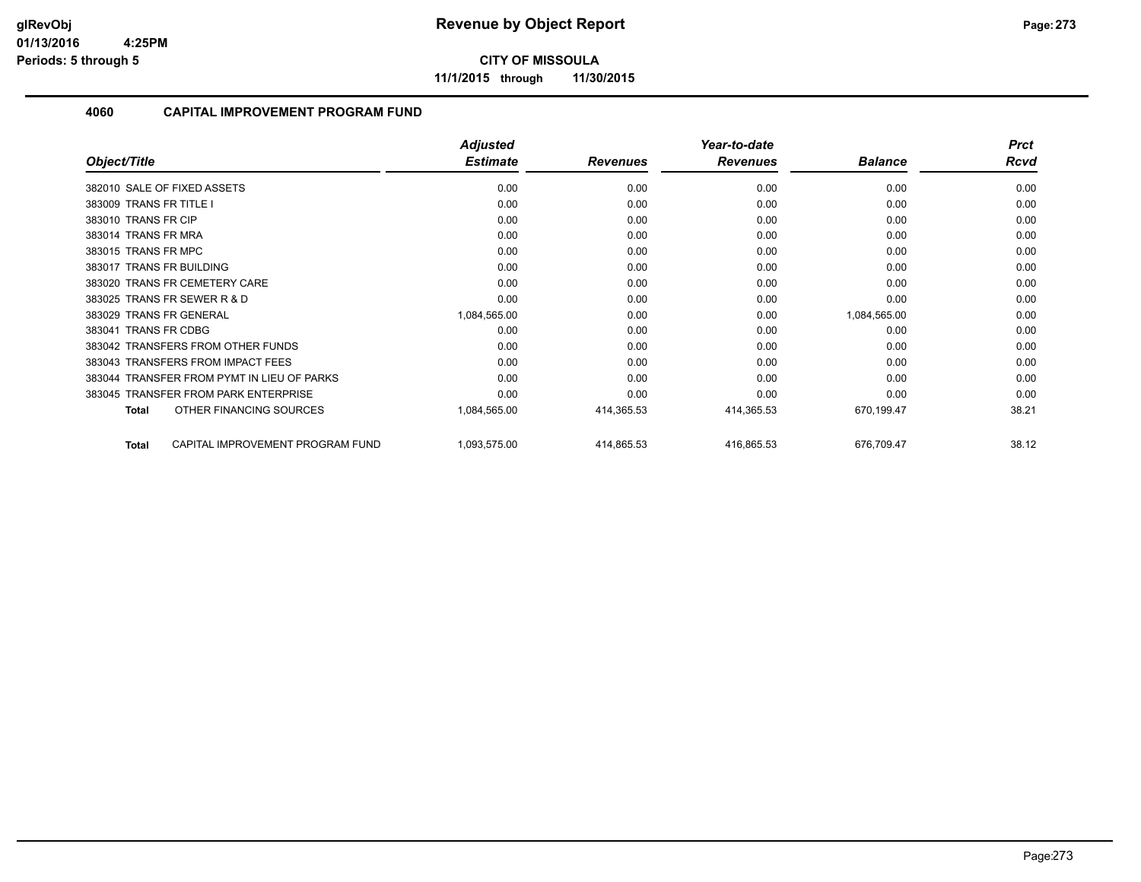**11/1/2015 through 11/30/2015**

|                                                  | <b>Adjusted</b> |                 | Year-to-date    |                | <b>Prct</b> |
|--------------------------------------------------|-----------------|-----------------|-----------------|----------------|-------------|
| Object/Title                                     | <b>Estimate</b> | <b>Revenues</b> | <b>Revenues</b> | <b>Balance</b> | <b>Rcvd</b> |
| 382010 SALE OF FIXED ASSETS                      | 0.00            | 0.00            | 0.00            | 0.00           | 0.00        |
| 383009 TRANS FR TITLE I                          | 0.00            | 0.00            | 0.00            | 0.00           | 0.00        |
| 383010 TRANS FR CIP                              | 0.00            | 0.00            | 0.00            | 0.00           | 0.00        |
| 383014 TRANS FR MRA                              | 0.00            | 0.00            | 0.00            | 0.00           | 0.00        |
| 383015 TRANS FR MPC                              | 0.00            | 0.00            | 0.00            | 0.00           | 0.00        |
| 383017 TRANS FR BUILDING                         | 0.00            | 0.00            | 0.00            | 0.00           | 0.00        |
| 383020 TRANS FR CEMETERY CARE                    | 0.00            | 0.00            | 0.00            | 0.00           | 0.00        |
| 383025 TRANS FR SEWER R & D                      | 0.00            | 0.00            | 0.00            | 0.00           | 0.00        |
| 383029 TRANS FR GENERAL                          | 1,084,565.00    | 0.00            | 0.00            | 1,084,565.00   | 0.00        |
| <b>TRANS FR CDBG</b><br>383041                   | 0.00            | 0.00            | 0.00            | 0.00           | 0.00        |
| 383042 TRANSFERS FROM OTHER FUNDS                | 0.00            | 0.00            | 0.00            | 0.00           | 0.00        |
| 383043 TRANSFERS FROM IMPACT FEES                | 0.00            | 0.00            | 0.00            | 0.00           | 0.00        |
| 383044 TRANSFER FROM PYMT IN LIEU OF PARKS       | 0.00            | 0.00            | 0.00            | 0.00           | 0.00        |
| 383045 TRANSFER FROM PARK ENTERPRISE             | 0.00            | 0.00            | 0.00            | 0.00           | 0.00        |
| OTHER FINANCING SOURCES<br>Total                 | 1,084,565.00    | 414,365.53      | 414,365.53      | 670,199.47     | 38.21       |
| CAPITAL IMPROVEMENT PROGRAM FUND<br><b>Total</b> | 1,093,575.00    | 414,865.53      | 416,865.53      | 676,709.47     | 38.12       |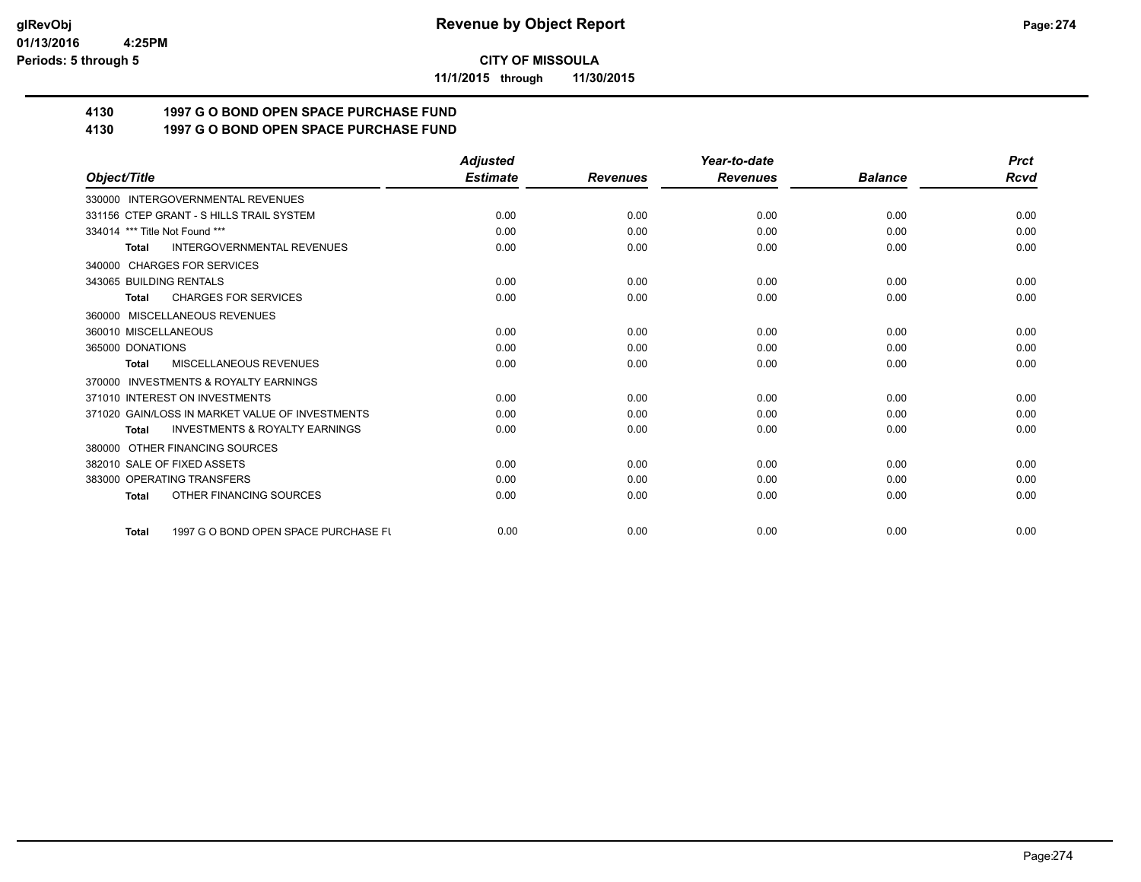**11/1/2015 through 11/30/2015**

# **4130 1997 G O BOND OPEN SPACE PURCHASE FUND**

## **4130 1997 G O BOND OPEN SPACE PURCHASE FUND**

|                                                           | <b>Adjusted</b> |                 | Year-to-date    |                | <b>Prct</b> |
|-----------------------------------------------------------|-----------------|-----------------|-----------------|----------------|-------------|
| Object/Title                                              | <b>Estimate</b> | <b>Revenues</b> | <b>Revenues</b> | <b>Balance</b> | <b>Rcvd</b> |
| 330000 INTERGOVERNMENTAL REVENUES                         |                 |                 |                 |                |             |
| 331156 CTEP GRANT - S HILLS TRAIL SYSTEM                  | 0.00            | 0.00            | 0.00            | 0.00           | 0.00        |
| 334014 *** Title Not Found ***                            | 0.00            | 0.00            | 0.00            | 0.00           | 0.00        |
| <b>INTERGOVERNMENTAL REVENUES</b><br><b>Total</b>         | 0.00            | 0.00            | 0.00            | 0.00           | 0.00        |
| 340000 CHARGES FOR SERVICES                               |                 |                 |                 |                |             |
| 343065 BUILDING RENTALS                                   | 0.00            | 0.00            | 0.00            | 0.00           | 0.00        |
| <b>CHARGES FOR SERVICES</b><br>Total                      | 0.00            | 0.00            | 0.00            | 0.00           | 0.00        |
| 360000 MISCELLANEOUS REVENUES                             |                 |                 |                 |                |             |
| 360010 MISCELLANEOUS                                      | 0.00            | 0.00            | 0.00            | 0.00           | 0.00        |
| 365000 DONATIONS                                          | 0.00            | 0.00            | 0.00            | 0.00           | 0.00        |
| MISCELLANEOUS REVENUES<br><b>Total</b>                    | 0.00            | 0.00            | 0.00            | 0.00           | 0.00        |
| 370000 INVESTMENTS & ROYALTY EARNINGS                     |                 |                 |                 |                |             |
| 371010 INTEREST ON INVESTMENTS                            | 0.00            | 0.00            | 0.00            | 0.00           | 0.00        |
| 371020 GAIN/LOSS IN MARKET VALUE OF INVESTMENTS           | 0.00            | 0.00            | 0.00            | 0.00           | 0.00        |
| <b>INVESTMENTS &amp; ROYALTY EARNINGS</b><br><b>Total</b> | 0.00            | 0.00            | 0.00            | 0.00           | 0.00        |
| 380000 OTHER FINANCING SOURCES                            |                 |                 |                 |                |             |
| 382010 SALE OF FIXED ASSETS                               | 0.00            | 0.00            | 0.00            | 0.00           | 0.00        |
| 383000 OPERATING TRANSFERS                                | 0.00            | 0.00            | 0.00            | 0.00           | 0.00        |
| OTHER FINANCING SOURCES<br><b>Total</b>                   | 0.00            | 0.00            | 0.00            | 0.00           | 0.00        |
| 1997 G O BOND OPEN SPACE PURCHASE FU<br>Total             | 0.00            | 0.00            | 0.00            | 0.00           | 0.00        |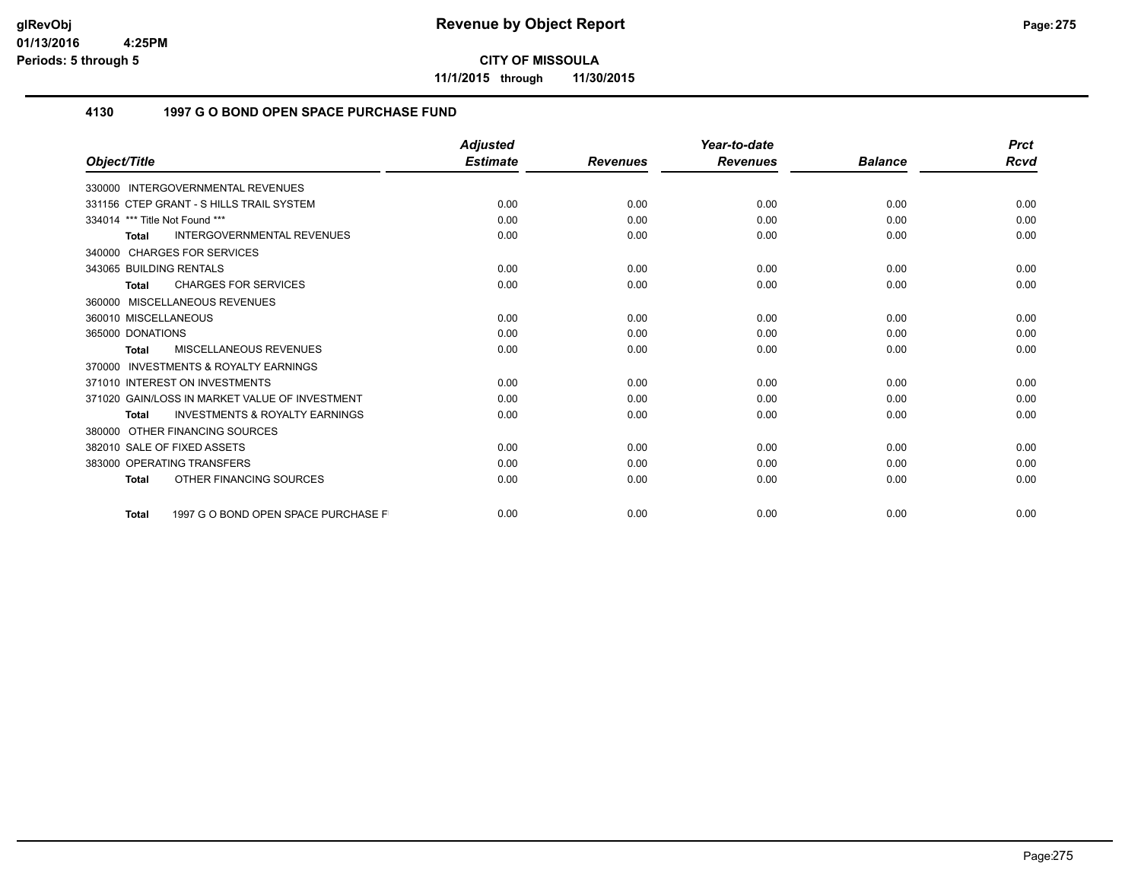**11/1/2015 through 11/30/2015**

#### **4130 1997 G O BOND OPEN SPACE PURCHASE FUND**

|                                                           | <b>Adjusted</b> |                 | Year-to-date    |                | <b>Prct</b> |
|-----------------------------------------------------------|-----------------|-----------------|-----------------|----------------|-------------|
| Object/Title                                              | <b>Estimate</b> | <b>Revenues</b> | <b>Revenues</b> | <b>Balance</b> | <b>Rcvd</b> |
| 330000 INTERGOVERNMENTAL REVENUES                         |                 |                 |                 |                |             |
| 331156 CTEP GRANT - S HILLS TRAIL SYSTEM                  | 0.00            | 0.00            | 0.00            | 0.00           | 0.00        |
| 334014 *** Title Not Found ***                            | 0.00            | 0.00            | 0.00            | 0.00           | 0.00        |
| <b>INTERGOVERNMENTAL REVENUES</b><br><b>Total</b>         | 0.00            | 0.00            | 0.00            | 0.00           | 0.00        |
| 340000 CHARGES FOR SERVICES                               |                 |                 |                 |                |             |
| 343065 BUILDING RENTALS                                   | 0.00            | 0.00            | 0.00            | 0.00           | 0.00        |
| <b>CHARGES FOR SERVICES</b><br><b>Total</b>               | 0.00            | 0.00            | 0.00            | 0.00           | 0.00        |
| 360000 MISCELLANEOUS REVENUES                             |                 |                 |                 |                |             |
| 360010 MISCELLANEOUS                                      | 0.00            | 0.00            | 0.00            | 0.00           | 0.00        |
| 365000 DONATIONS                                          | 0.00            | 0.00            | 0.00            | 0.00           | 0.00        |
| MISCELLANEOUS REVENUES<br><b>Total</b>                    | 0.00            | 0.00            | 0.00            | 0.00           | 0.00        |
| INVESTMENTS & ROYALTY EARNINGS<br>370000                  |                 |                 |                 |                |             |
| 371010 INTEREST ON INVESTMENTS                            | 0.00            | 0.00            | 0.00            | 0.00           | 0.00        |
| 371020 GAIN/LOSS IN MARKET VALUE OF INVESTMENT            | 0.00            | 0.00            | 0.00            | 0.00           | 0.00        |
| <b>INVESTMENTS &amp; ROYALTY EARNINGS</b><br><b>Total</b> | 0.00            | 0.00            | 0.00            | 0.00           | 0.00        |
| 380000 OTHER FINANCING SOURCES                            |                 |                 |                 |                |             |
| 382010 SALE OF FIXED ASSETS                               | 0.00            | 0.00            | 0.00            | 0.00           | 0.00        |
| 383000 OPERATING TRANSFERS                                | 0.00            | 0.00            | 0.00            | 0.00           | 0.00        |
| OTHER FINANCING SOURCES<br><b>Total</b>                   | 0.00            | 0.00            | 0.00            | 0.00           | 0.00        |
| 1997 G O BOND OPEN SPACE PURCHASE F<br><b>Total</b>       | 0.00            | 0.00            | 0.00            | 0.00           | 0.00        |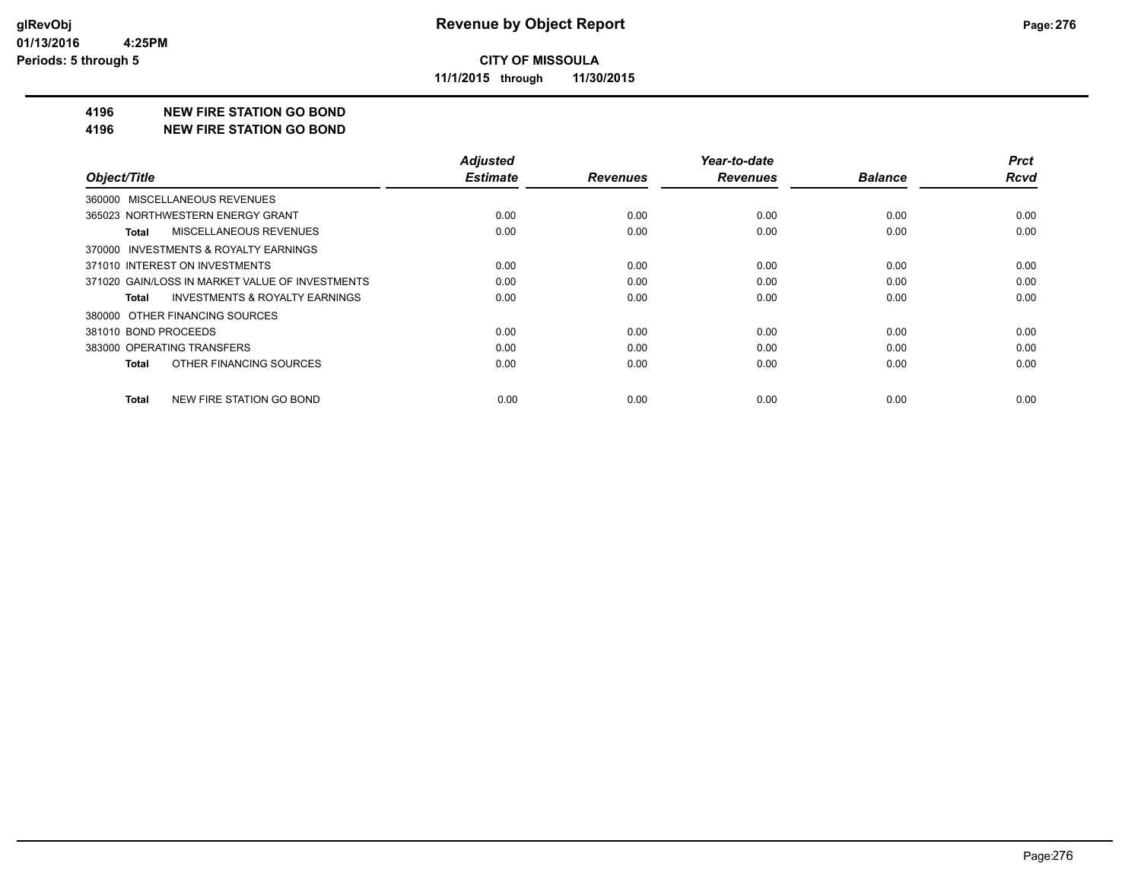**11/1/2015 through 11/30/2015**

#### **4196 NEW FIRE STATION GO BOND**

#### **4196 NEW FIRE STATION GO BOND**

|                                                    | <b>Adjusted</b> |                 | Year-to-date    |                | <b>Prct</b> |
|----------------------------------------------------|-----------------|-----------------|-----------------|----------------|-------------|
| Object/Title                                       | <b>Estimate</b> | <b>Revenues</b> | <b>Revenues</b> | <b>Balance</b> | <b>Rcvd</b> |
| 360000 MISCELLANEOUS REVENUES                      |                 |                 |                 |                |             |
| 365023 NORTHWESTERN ENERGY GRANT                   | 0.00            | 0.00            | 0.00            | 0.00           | 0.00        |
| <b>MISCELLANEOUS REVENUES</b><br>Total             | 0.00            | 0.00            | 0.00            | 0.00           | 0.00        |
| 370000 INVESTMENTS & ROYALTY EARNINGS              |                 |                 |                 |                |             |
| 371010 INTEREST ON INVESTMENTS                     | 0.00            | 0.00            | 0.00            | 0.00           | 0.00        |
| 371020 GAIN/LOSS IN MARKET VALUE OF INVESTMENTS    | 0.00            | 0.00            | 0.00            | 0.00           | 0.00        |
| <b>INVESTMENTS &amp; ROYALTY EARNINGS</b><br>Total | 0.00            | 0.00            | 0.00            | 0.00           | 0.00        |
| 380000 OTHER FINANCING SOURCES                     |                 |                 |                 |                |             |
| 381010 BOND PROCEEDS                               | 0.00            | 0.00            | 0.00            | 0.00           | 0.00        |
| 383000 OPERATING TRANSFERS                         | 0.00            | 0.00            | 0.00            | 0.00           | 0.00        |
| OTHER FINANCING SOURCES<br><b>Total</b>            | 0.00            | 0.00            | 0.00            | 0.00           | 0.00        |
| <b>NEW FIRE STATION GO BOND</b><br>Total           | 0.00            | 0.00            | 0.00            | 0.00           | 0.00        |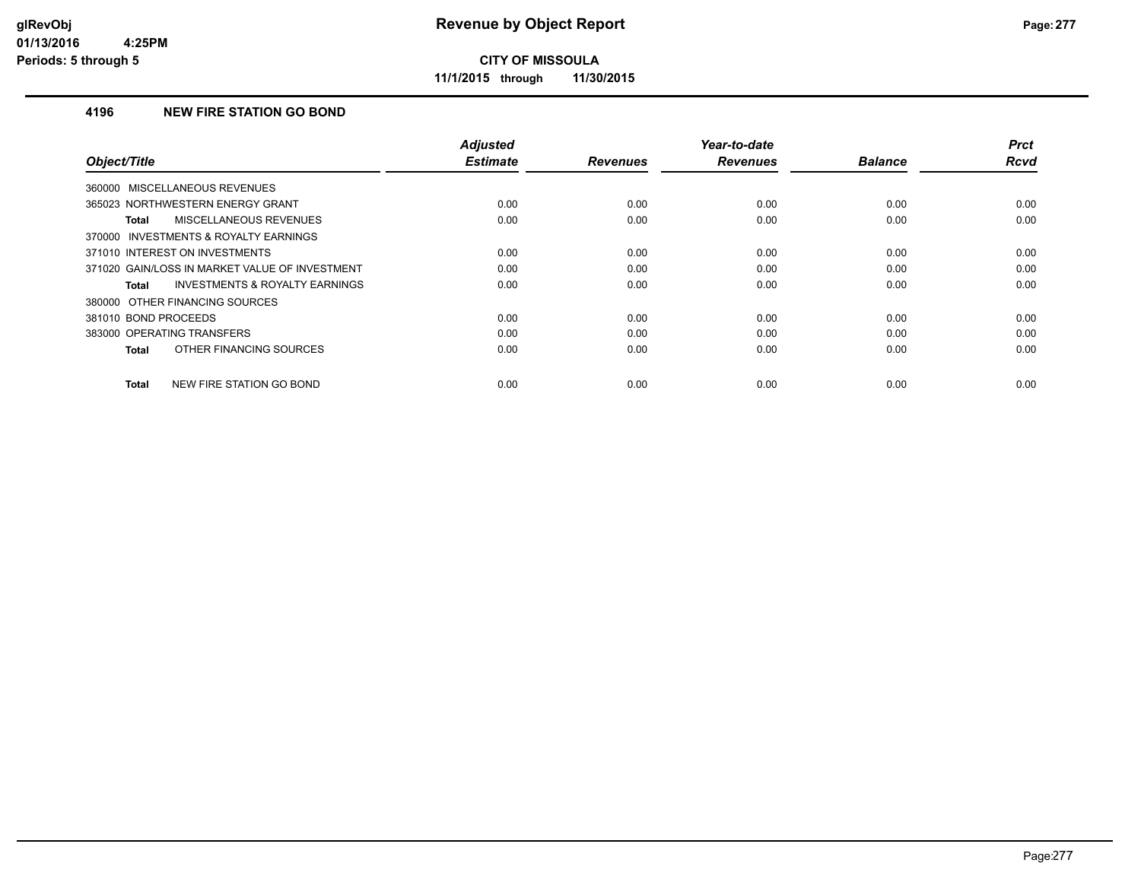**11/1/2015 through 11/30/2015**

#### **4196 NEW FIRE STATION GO BOND**

| Object/Title                                              | <b>Adjusted</b><br><b>Estimate</b> | <b>Revenues</b> | Year-to-date<br><b>Revenues</b> | <b>Balance</b> | <b>Prct</b><br>Rcvd |
|-----------------------------------------------------------|------------------------------------|-----------------|---------------------------------|----------------|---------------------|
|                                                           |                                    |                 |                                 |                |                     |
| 360000 MISCELLANEOUS REVENUES                             |                                    |                 |                                 |                |                     |
| 365023 NORTHWESTERN ENERGY GRANT                          | 0.00                               | 0.00            | 0.00                            | 0.00           | 0.00                |
| MISCELLANEOUS REVENUES<br><b>Total</b>                    | 0.00                               | 0.00            | 0.00                            | 0.00           | 0.00                |
| 370000 INVESTMENTS & ROYALTY EARNINGS                     |                                    |                 |                                 |                |                     |
| 371010 INTEREST ON INVESTMENTS                            | 0.00                               | 0.00            | 0.00                            | 0.00           | 0.00                |
| 371020 GAIN/LOSS IN MARKET VALUE OF INVESTMENT            | 0.00                               | 0.00            | 0.00                            | 0.00           | 0.00                |
| <b>INVESTMENTS &amp; ROYALTY EARNINGS</b><br><b>Total</b> | 0.00                               | 0.00            | 0.00                            | 0.00           | 0.00                |
| 380000 OTHER FINANCING SOURCES                            |                                    |                 |                                 |                |                     |
| 381010 BOND PROCEEDS                                      | 0.00                               | 0.00            | 0.00                            | 0.00           | 0.00                |
| 383000 OPERATING TRANSFERS                                | 0.00                               | 0.00            | 0.00                            | 0.00           | 0.00                |
| OTHER FINANCING SOURCES<br><b>Total</b>                   | 0.00                               | 0.00            | 0.00                            | 0.00           | 0.00                |
| NEW FIRE STATION GO BOND<br><b>Total</b>                  | 0.00                               | 0.00            | 0.00                            | 0.00           | 0.00                |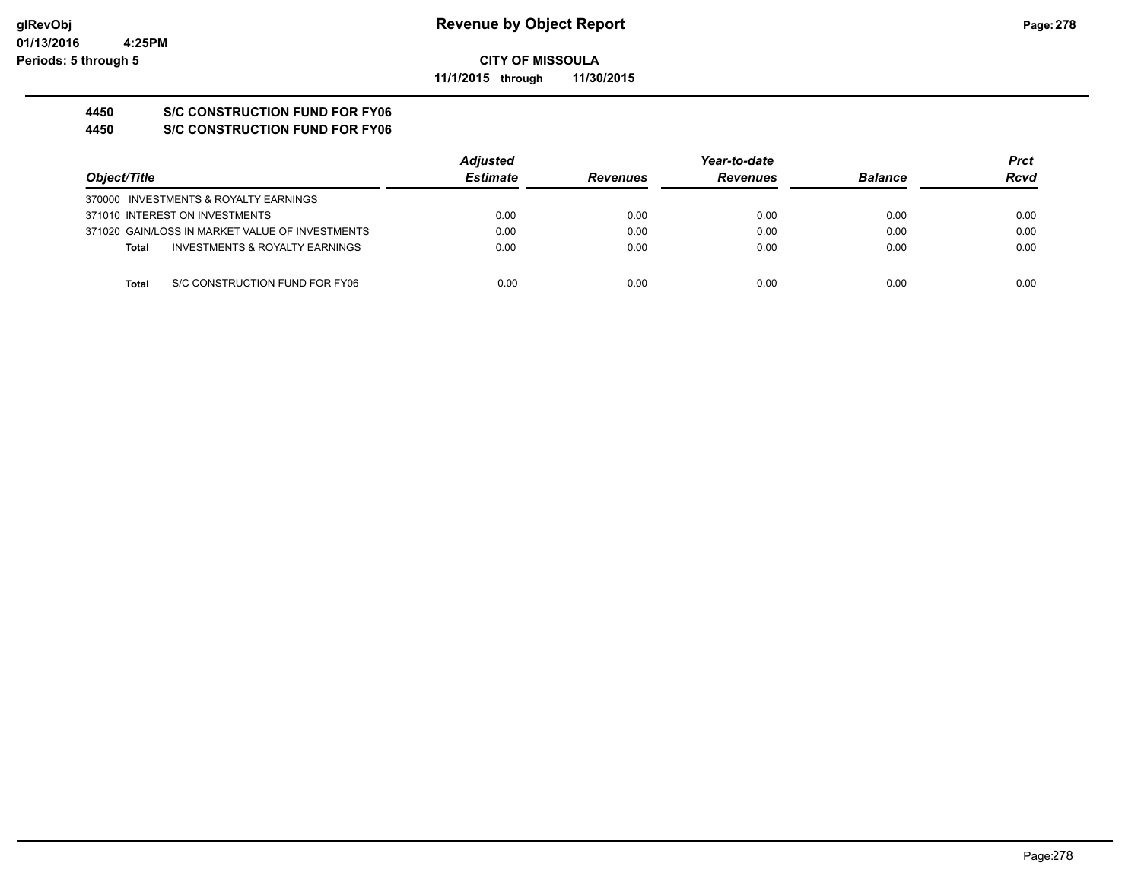**11/1/2015 through 11/30/2015**

# **4450 S/C CONSTRUCTION FUND FOR FY06**

**4450 S/C CONSTRUCTION FUND FOR FY06**

|              |                                                 | <b>Adjusted</b> |                 | Year-to-date    |                | Prct |
|--------------|-------------------------------------------------|-----------------|-----------------|-----------------|----------------|------|
| Object/Title |                                                 | <b>Estimate</b> | <b>Revenues</b> | <b>Revenues</b> | <b>Balance</b> | Rcvd |
|              | 370000 INVESTMENTS & ROYALTY EARNINGS           |                 |                 |                 |                |      |
|              | 371010 INTEREST ON INVESTMENTS                  | 0.00            | 0.00            | 0.00            | 0.00           | 0.00 |
|              | 371020 GAIN/LOSS IN MARKET VALUE OF INVESTMENTS | 0.00            | 0.00            | 0.00            | 0.00           | 0.00 |
| <b>Total</b> | INVESTMENTS & ROYALTY EARNINGS                  | 0.00            | 0.00            | 0.00            | 0.00           | 0.00 |
| Total        | S/C CONSTRUCTION FUND FOR FY06                  | 0.00            | 0.00            | 0.00            | 0.00           | 0.00 |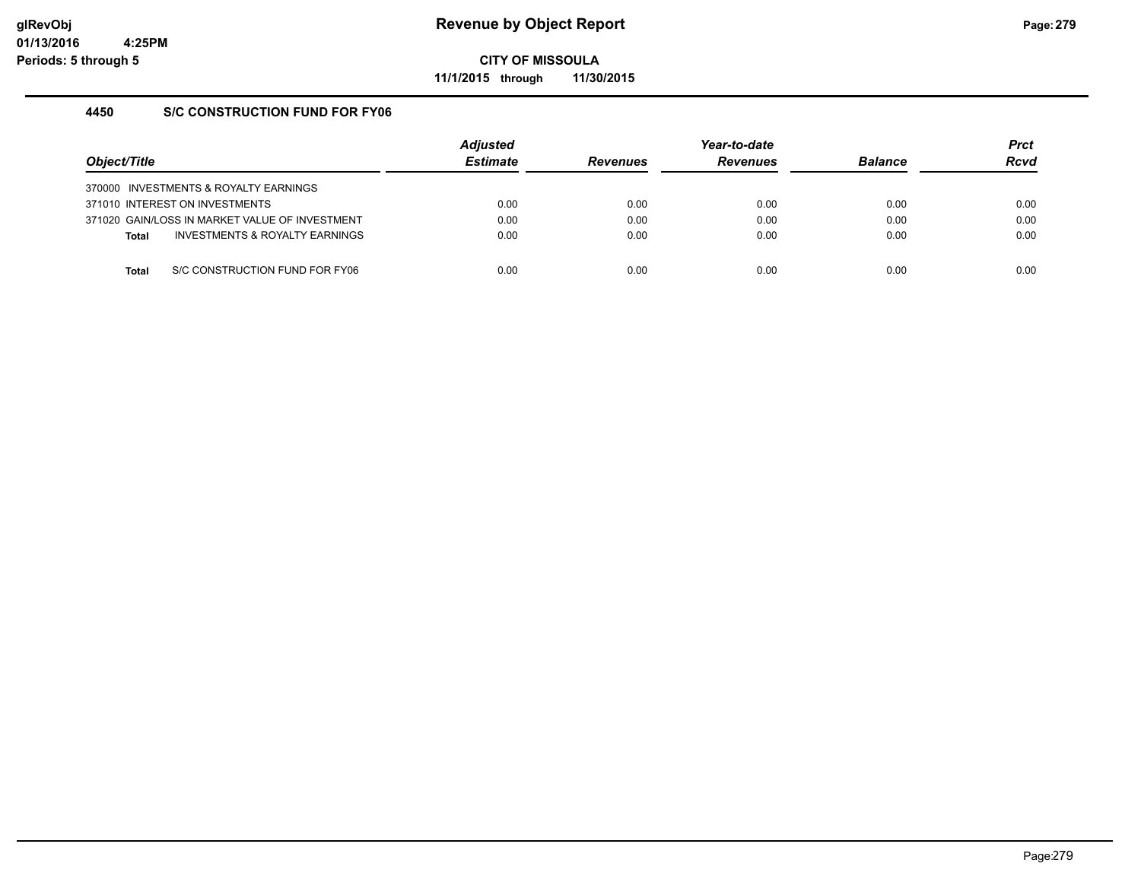**11/1/2015 through 11/30/2015**

### **4450 S/C CONSTRUCTION FUND FOR FY06**

| Object/Title |                                                | <b>Adiusted</b><br><b>Estimate</b> | <b>Revenues</b> | Year-to-date<br><b>Revenues</b> | <b>Balance</b> | <b>Prct</b><br><b>Rcvd</b> |
|--------------|------------------------------------------------|------------------------------------|-----------------|---------------------------------|----------------|----------------------------|
|              | 370000 INVESTMENTS & ROYALTY EARNINGS          |                                    |                 |                                 |                |                            |
|              | 371010 INTEREST ON INVESTMENTS                 | 0.00                               | 0.00            | 0.00                            | 0.00           | 0.00                       |
|              | 371020 GAIN/LOSS IN MARKET VALUE OF INVESTMENT | 0.00                               | 0.00            | 0.00                            | 0.00           | 0.00                       |
| <b>Total</b> | INVESTMENTS & ROYALTY EARNINGS                 | 0.00                               | 0.00            | 0.00                            | 0.00           | 0.00                       |
|              |                                                |                                    |                 |                                 |                |                            |
| Total        | S/C CONSTRUCTION FUND FOR FY06                 | 0.00                               | 0.00            | 0.00                            | 0.00           | 0.00                       |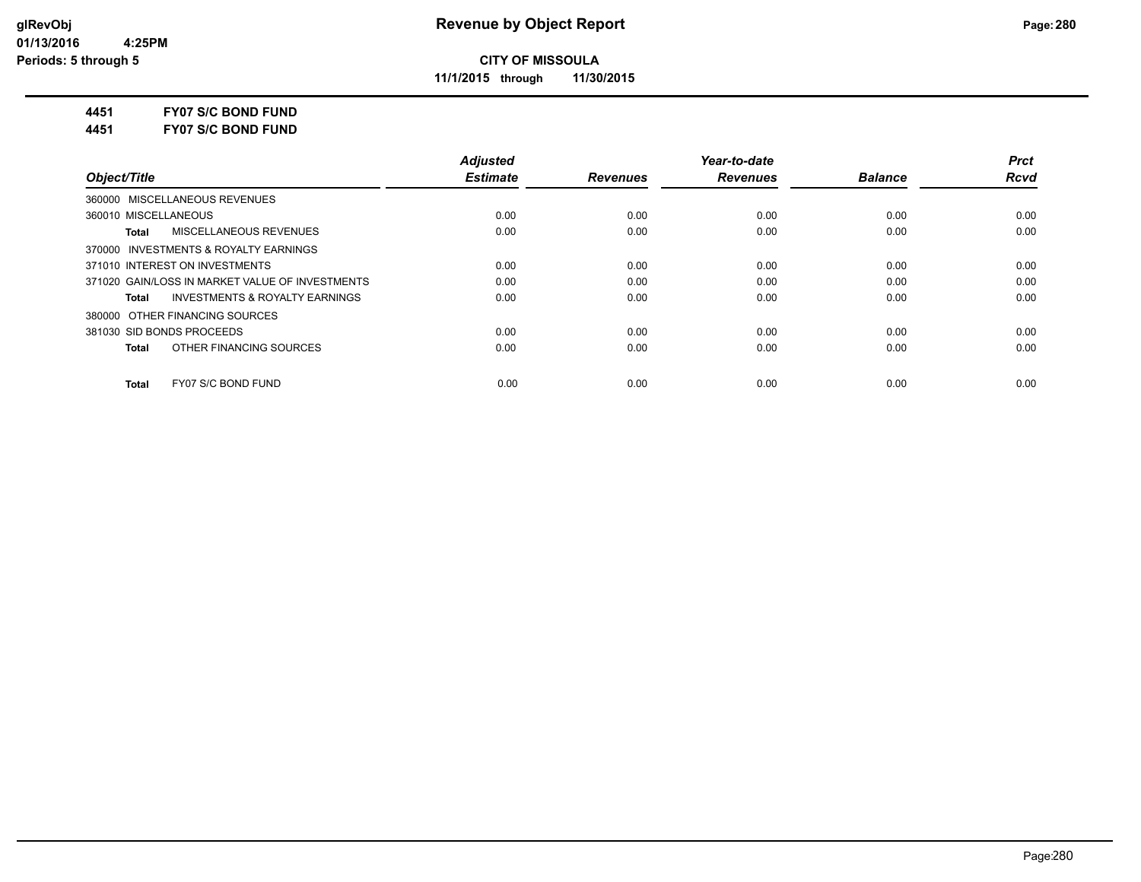**11/1/2015 through 11/30/2015**

**4451 FY07 S/C BOND FUND**

**4451 FY07 S/C BOND FUND**

|                                                    | <b>Adjusted</b> |                 | Year-to-date    |                | <b>Prct</b> |
|----------------------------------------------------|-----------------|-----------------|-----------------|----------------|-------------|
| Object/Title                                       | <b>Estimate</b> | <b>Revenues</b> | <b>Revenues</b> | <b>Balance</b> | <b>Rcvd</b> |
| 360000 MISCELLANEOUS REVENUES                      |                 |                 |                 |                |             |
| 360010 MISCELLANEOUS                               | 0.00            | 0.00            | 0.00            | 0.00           | 0.00        |
| MISCELLANEOUS REVENUES<br>Total                    | 0.00            | 0.00            | 0.00            | 0.00           | 0.00        |
| 370000 INVESTMENTS & ROYALTY EARNINGS              |                 |                 |                 |                |             |
| 371010 INTEREST ON INVESTMENTS                     | 0.00            | 0.00            | 0.00            | 0.00           | 0.00        |
| 371020 GAIN/LOSS IN MARKET VALUE OF INVESTMENTS    | 0.00            | 0.00            | 0.00            | 0.00           | 0.00        |
| <b>INVESTMENTS &amp; ROYALTY EARNINGS</b><br>Total | 0.00            | 0.00            | 0.00            | 0.00           | 0.00        |
| 380000 OTHER FINANCING SOURCES                     |                 |                 |                 |                |             |
| 381030 SID BONDS PROCEEDS                          | 0.00            | 0.00            | 0.00            | 0.00           | 0.00        |
| OTHER FINANCING SOURCES<br>Total                   | 0.00            | 0.00            | 0.00            | 0.00           | 0.00        |
| FY07 S/C BOND FUND<br><b>Total</b>                 | 0.00            | 0.00            | 0.00            | 0.00           | 0.00        |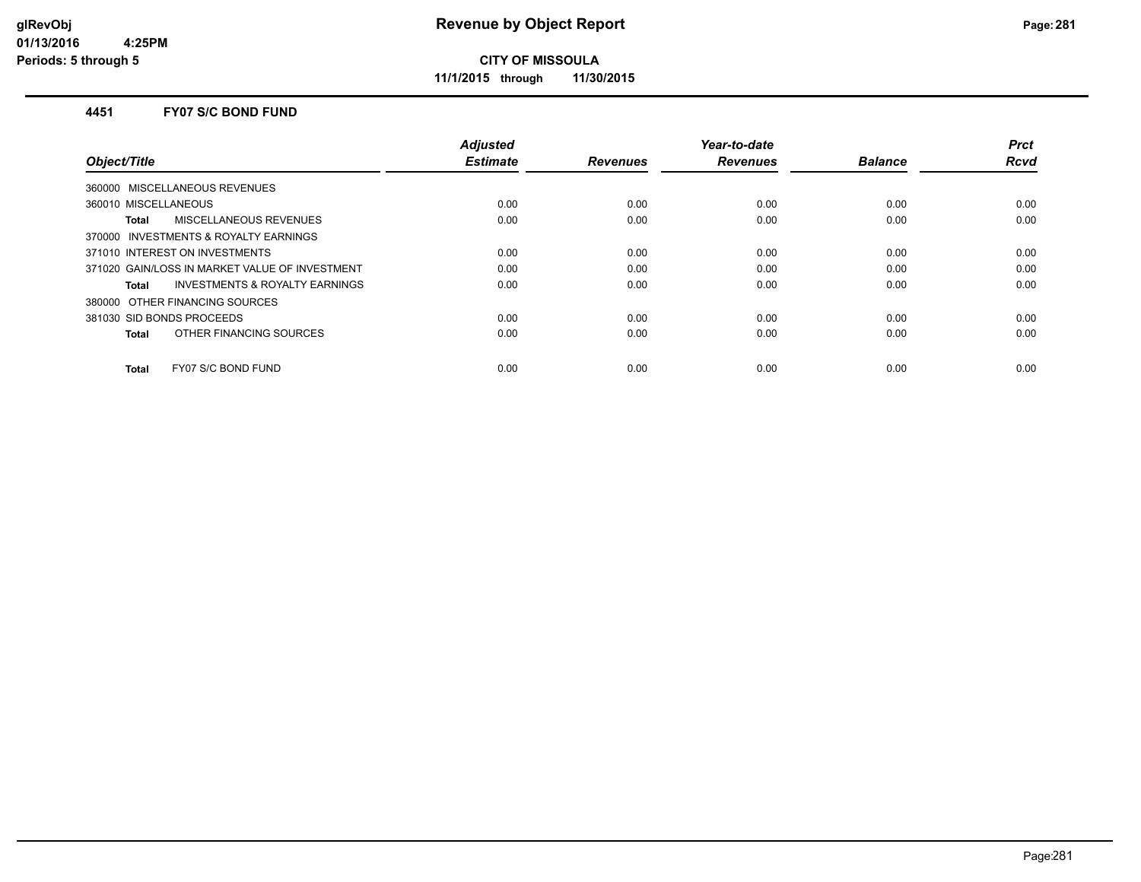**11/1/2015 through 11/30/2015**

#### **4451 FY07 S/C BOND FUND**

|                                                | <b>Adjusted</b> |                 | Year-to-date    |                | <b>Prct</b> |
|------------------------------------------------|-----------------|-----------------|-----------------|----------------|-------------|
| Object/Title                                   | <b>Estimate</b> | <b>Revenues</b> | <b>Revenues</b> | <b>Balance</b> | Rcvd        |
| 360000 MISCELLANEOUS REVENUES                  |                 |                 |                 |                |             |
| 360010 MISCELLANEOUS                           | 0.00            | 0.00            | 0.00            | 0.00           | 0.00        |
| <b>MISCELLANEOUS REVENUES</b><br>Total         | 0.00            | 0.00            | 0.00            | 0.00           | 0.00        |
| 370000 INVESTMENTS & ROYALTY EARNINGS          |                 |                 |                 |                |             |
| 371010 INTEREST ON INVESTMENTS                 | 0.00            | 0.00            | 0.00            | 0.00           | 0.00        |
| 371020 GAIN/LOSS IN MARKET VALUE OF INVESTMENT | 0.00            | 0.00            | 0.00            | 0.00           | 0.00        |
| INVESTMENTS & ROYALTY EARNINGS<br>Total        | 0.00            | 0.00            | 0.00            | 0.00           | 0.00        |
| 380000 OTHER FINANCING SOURCES                 |                 |                 |                 |                |             |
| 381030 SID BONDS PROCEEDS                      | 0.00            | 0.00            | 0.00            | 0.00           | 0.00        |
| OTHER FINANCING SOURCES<br>Total               | 0.00            | 0.00            | 0.00            | 0.00           | 0.00        |
| FY07 S/C BOND FUND<br><b>Total</b>             | 0.00            | 0.00            | 0.00            | 0.00           | 0.00        |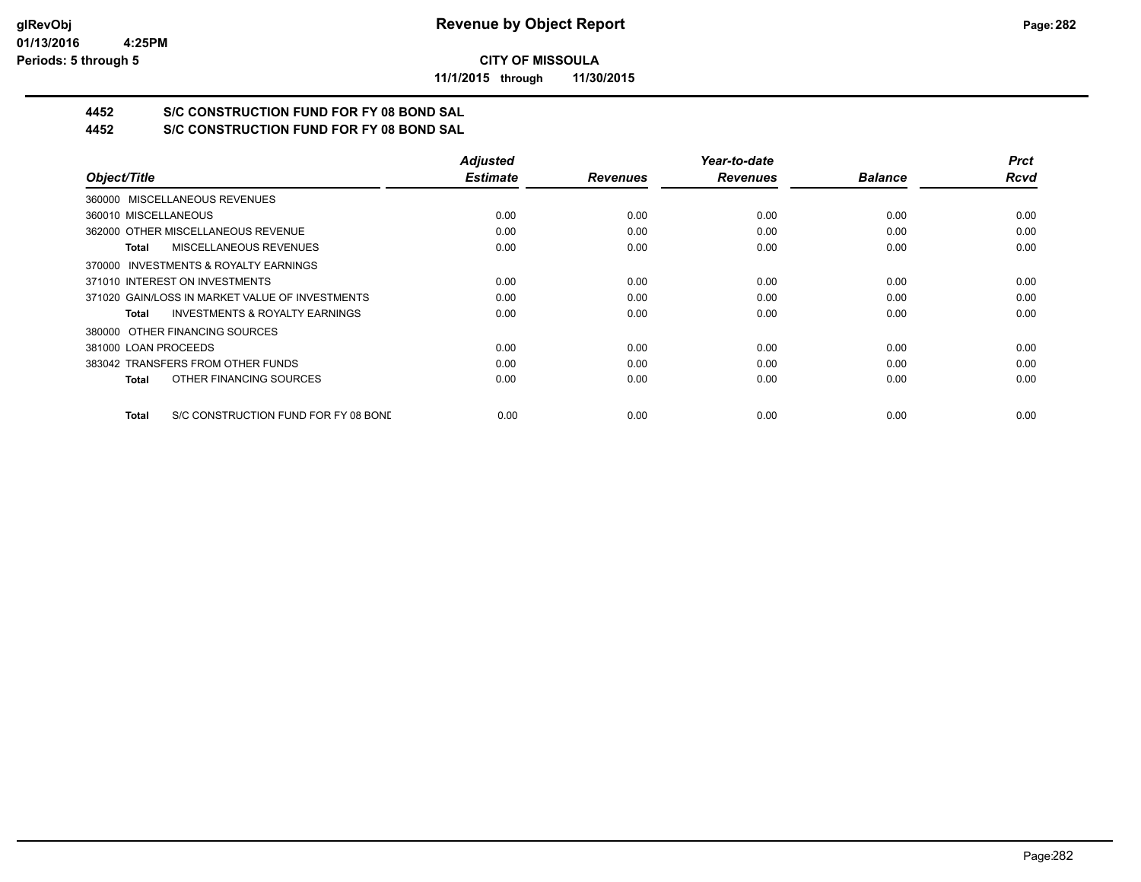**11/1/2015 through 11/30/2015**

# **4452 S/C CONSTRUCTION FUND FOR FY 08 BOND SAL**

**4452 S/C CONSTRUCTION FUND FOR FY 08 BOND SAL**

|                                                      | <b>Adjusted</b> |                 | Year-to-date    |                | <b>Prct</b> |
|------------------------------------------------------|-----------------|-----------------|-----------------|----------------|-------------|
| Object/Title                                         | <b>Estimate</b> | <b>Revenues</b> | <b>Revenues</b> | <b>Balance</b> | <b>Rcvd</b> |
| 360000 MISCELLANEOUS REVENUES                        |                 |                 |                 |                |             |
| 360010 MISCELLANEOUS                                 | 0.00            | 0.00            | 0.00            | 0.00           | 0.00        |
| 362000 OTHER MISCELLANEOUS REVENUE                   | 0.00            | 0.00            | 0.00            | 0.00           | 0.00        |
| <b>MISCELLANEOUS REVENUES</b><br>Total               | 0.00            | 0.00            | 0.00            | 0.00           | 0.00        |
| 370000 INVESTMENTS & ROYALTY EARNINGS                |                 |                 |                 |                |             |
| 371010 INTEREST ON INVESTMENTS                       | 0.00            | 0.00            | 0.00            | 0.00           | 0.00        |
| 371020 GAIN/LOSS IN MARKET VALUE OF INVESTMENTS      | 0.00            | 0.00            | 0.00            | 0.00           | 0.00        |
| <b>INVESTMENTS &amp; ROYALTY EARNINGS</b><br>Total   | 0.00            | 0.00            | 0.00            | 0.00           | 0.00        |
| 380000 OTHER FINANCING SOURCES                       |                 |                 |                 |                |             |
| 381000 LOAN PROCEEDS                                 | 0.00            | 0.00            | 0.00            | 0.00           | 0.00        |
| 383042 TRANSFERS FROM OTHER FUNDS                    | 0.00            | 0.00            | 0.00            | 0.00           | 0.00        |
| OTHER FINANCING SOURCES<br><b>Total</b>              | 0.00            | 0.00            | 0.00            | 0.00           | 0.00        |
| S/C CONSTRUCTION FUND FOR FY 08 BOND<br><b>Total</b> | 0.00            | 0.00            | 0.00            | 0.00           | 0.00        |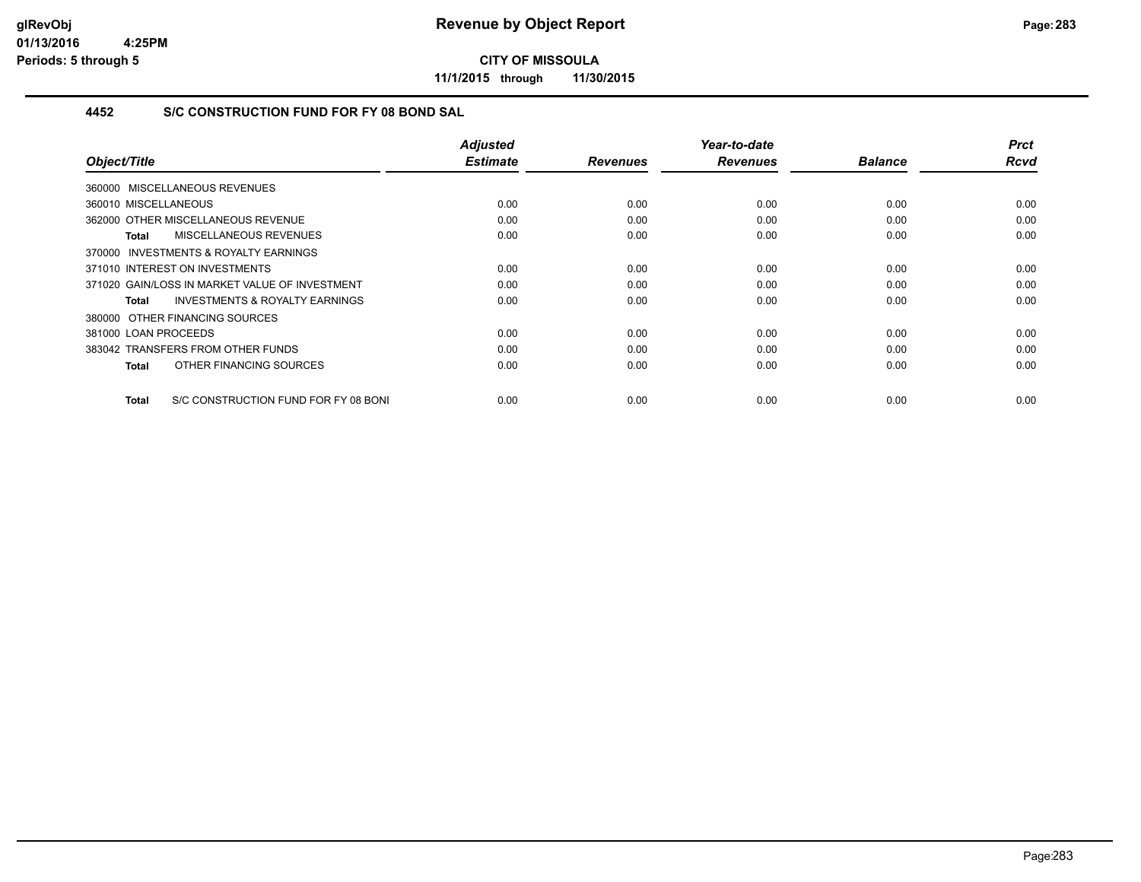**11/1/2015 through 11/30/2015**

### **4452 S/C CONSTRUCTION FUND FOR FY 08 BOND SAL**

| Object/Title                                         | <b>Adjusted</b><br><b>Estimate</b> | <b>Revenues</b> | Year-to-date<br><b>Revenues</b> | <b>Balance</b> | <b>Prct</b><br><b>Rcvd</b> |
|------------------------------------------------------|------------------------------------|-----------------|---------------------------------|----------------|----------------------------|
|                                                      |                                    |                 |                                 |                |                            |
| 360000 MISCELLANEOUS REVENUES                        |                                    |                 |                                 |                |                            |
| 360010 MISCELLANEOUS                                 | 0.00                               | 0.00            | 0.00                            | 0.00           | 0.00                       |
| 362000 OTHER MISCELLANEOUS REVENUE                   | 0.00                               | 0.00            | 0.00                            | 0.00           | 0.00                       |
| <b>MISCELLANEOUS REVENUES</b><br>Total               | 0.00                               | 0.00            | 0.00                            | 0.00           | 0.00                       |
| 370000 INVESTMENTS & ROYALTY EARNINGS                |                                    |                 |                                 |                |                            |
| 371010 INTEREST ON INVESTMENTS                       | 0.00                               | 0.00            | 0.00                            | 0.00           | 0.00                       |
| 371020 GAIN/LOSS IN MARKET VALUE OF INVESTMENT       | 0.00                               | 0.00            | 0.00                            | 0.00           | 0.00                       |
| <b>INVESTMENTS &amp; ROYALTY EARNINGS</b><br>Total   | 0.00                               | 0.00            | 0.00                            | 0.00           | 0.00                       |
| 380000 OTHER FINANCING SOURCES                       |                                    |                 |                                 |                |                            |
| 381000 LOAN PROCEEDS                                 | 0.00                               | 0.00            | 0.00                            | 0.00           | 0.00                       |
| 383042 TRANSFERS FROM OTHER FUNDS                    | 0.00                               | 0.00            | 0.00                            | 0.00           | 0.00                       |
| OTHER FINANCING SOURCES<br><b>Total</b>              | 0.00                               | 0.00            | 0.00                            | 0.00           | 0.00                       |
|                                                      |                                    |                 |                                 |                |                            |
| S/C CONSTRUCTION FUND FOR FY 08 BONI<br><b>Total</b> | 0.00                               | 0.00            | 0.00                            | 0.00           | 0.00                       |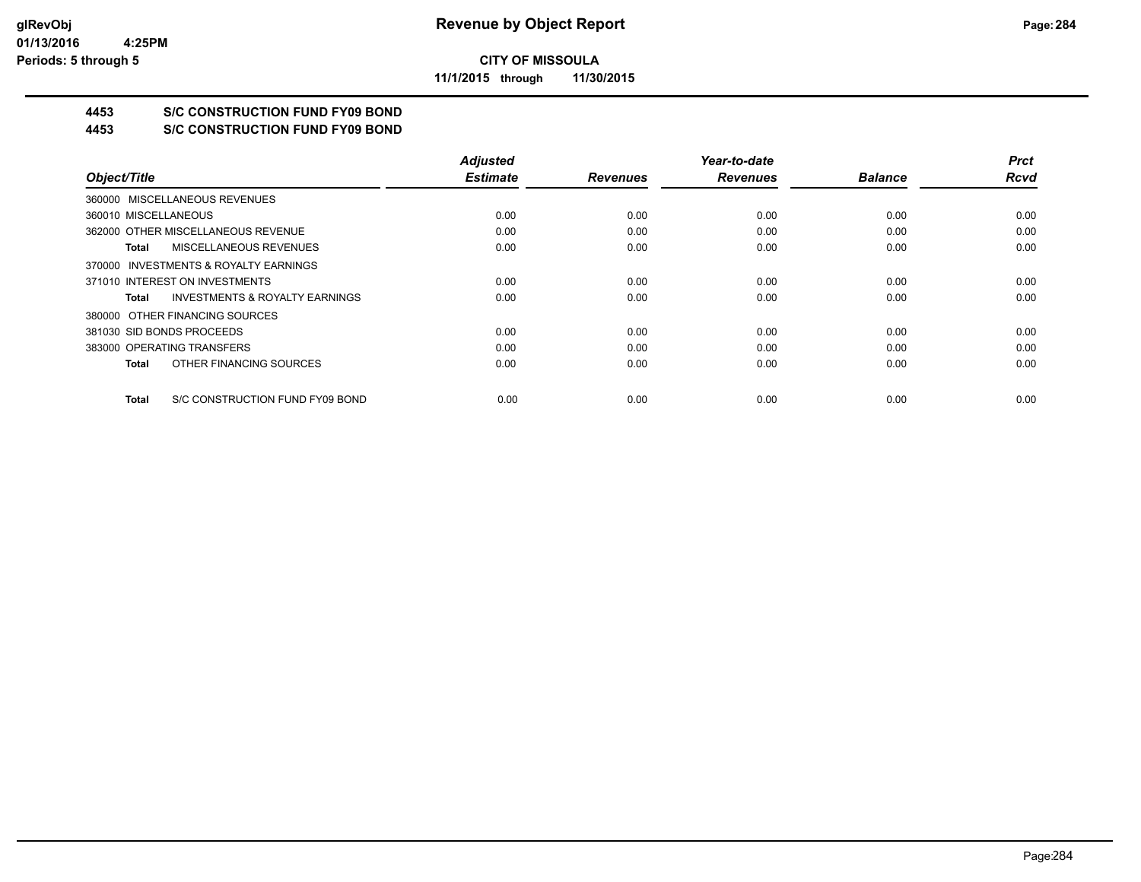**11/1/2015 through 11/30/2015**

# **4453 S/C CONSTRUCTION FUND FY09 BOND**

**4453 S/C CONSTRUCTION FUND FY09 BOND**

|                                                    | <b>Adjusted</b> |                 | Year-to-date    |                | <b>Prct</b> |
|----------------------------------------------------|-----------------|-----------------|-----------------|----------------|-------------|
| Object/Title                                       | <b>Estimate</b> | <b>Revenues</b> | <b>Revenues</b> | <b>Balance</b> | <b>Rcvd</b> |
| 360000 MISCELLANEOUS REVENUES                      |                 |                 |                 |                |             |
| 360010 MISCELLANEOUS                               | 0.00            | 0.00            | 0.00            | 0.00           | 0.00        |
| 362000 OTHER MISCELLANEOUS REVENUE                 | 0.00            | 0.00            | 0.00            | 0.00           | 0.00        |
| MISCELLANEOUS REVENUES<br>Total                    | 0.00            | 0.00            | 0.00            | 0.00           | 0.00        |
| 370000 INVESTMENTS & ROYALTY EARNINGS              |                 |                 |                 |                |             |
| 371010 INTEREST ON INVESTMENTS                     | 0.00            | 0.00            | 0.00            | 0.00           | 0.00        |
| <b>INVESTMENTS &amp; ROYALTY EARNINGS</b><br>Total | 0.00            | 0.00            | 0.00            | 0.00           | 0.00        |
| 380000 OTHER FINANCING SOURCES                     |                 |                 |                 |                |             |
| 381030 SID BONDS PROCEEDS                          | 0.00            | 0.00            | 0.00            | 0.00           | 0.00        |
| 383000 OPERATING TRANSFERS                         | 0.00            | 0.00            | 0.00            | 0.00           | 0.00        |
| OTHER FINANCING SOURCES<br>Total                   | 0.00            | 0.00            | 0.00            | 0.00           | 0.00        |
| S/C CONSTRUCTION FUND FY09 BOND<br>Total           | 0.00            | 0.00            | 0.00            | 0.00           | 0.00        |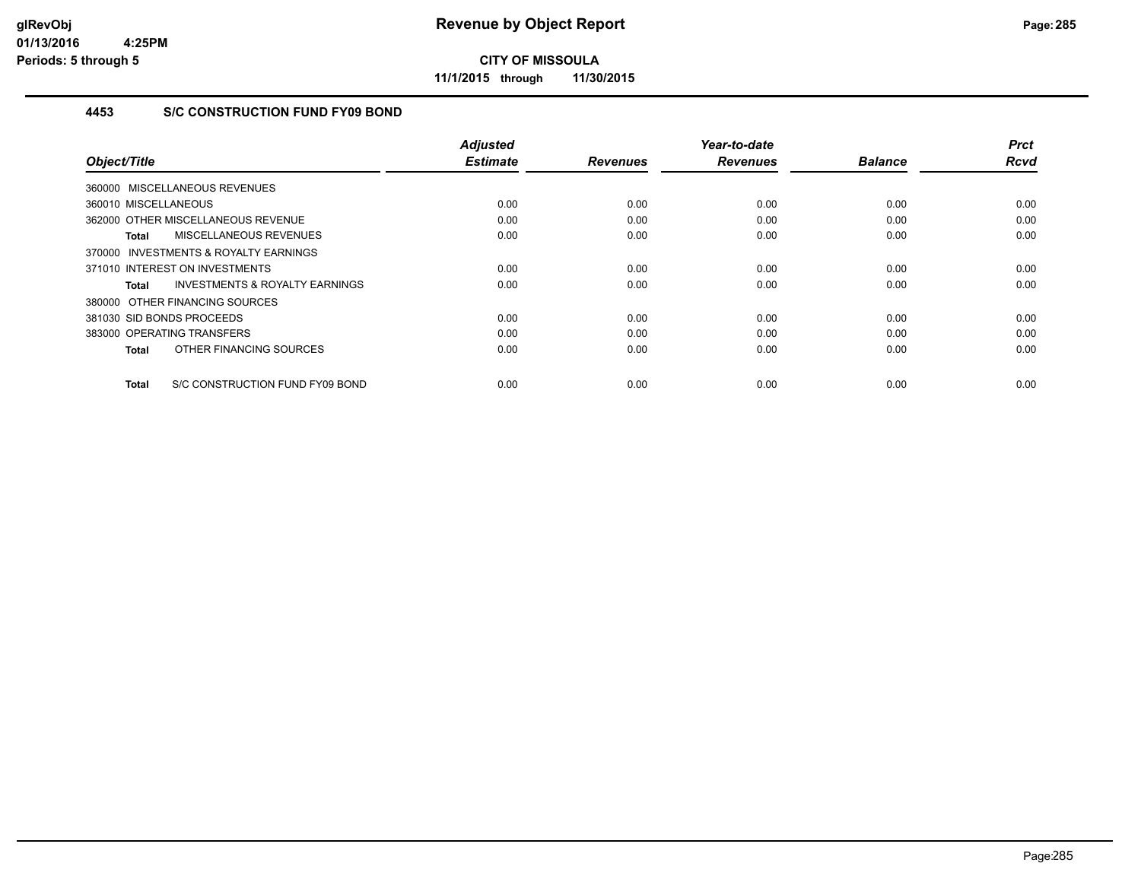**11/1/2015 through 11/30/2015**

### **4453 S/C CONSTRUCTION FUND FY09 BOND**

| Object/Title                                        | <b>Adjusted</b><br><b>Estimate</b> | <b>Revenues</b> | Year-to-date<br><b>Revenues</b> | <b>Balance</b> | <b>Prct</b><br><b>Rcvd</b> |
|-----------------------------------------------------|------------------------------------|-----------------|---------------------------------|----------------|----------------------------|
|                                                     |                                    |                 |                                 |                |                            |
| 360000 MISCELLANEOUS REVENUES                       |                                    |                 |                                 |                |                            |
| 360010 MISCELLANEOUS                                | 0.00                               | 0.00            | 0.00                            | 0.00           | 0.00                       |
| 362000 OTHER MISCELLANEOUS REVENUE                  | 0.00                               | 0.00            | 0.00                            | 0.00           | 0.00                       |
| MISCELLANEOUS REVENUES<br>Total                     | 0.00                               | 0.00            | 0.00                            | 0.00           | 0.00                       |
| <b>INVESTMENTS &amp; ROYALTY EARNINGS</b><br>370000 |                                    |                 |                                 |                |                            |
| 371010 INTEREST ON INVESTMENTS                      | 0.00                               | 0.00            | 0.00                            | 0.00           | 0.00                       |
| <b>INVESTMENTS &amp; ROYALTY EARNINGS</b><br>Total  | 0.00                               | 0.00            | 0.00                            | 0.00           | 0.00                       |
| 380000 OTHER FINANCING SOURCES                      |                                    |                 |                                 |                |                            |
| 381030 SID BONDS PROCEEDS                           | 0.00                               | 0.00            | 0.00                            | 0.00           | 0.00                       |
| 383000 OPERATING TRANSFERS                          | 0.00                               | 0.00            | 0.00                            | 0.00           | 0.00                       |
| OTHER FINANCING SOURCES<br>Total                    | 0.00                               | 0.00            | 0.00                            | 0.00           | 0.00                       |
|                                                     |                                    |                 |                                 |                |                            |
| S/C CONSTRUCTION FUND FY09 BOND<br>Total            | 0.00                               | 0.00            | 0.00                            | 0.00           | 0.00                       |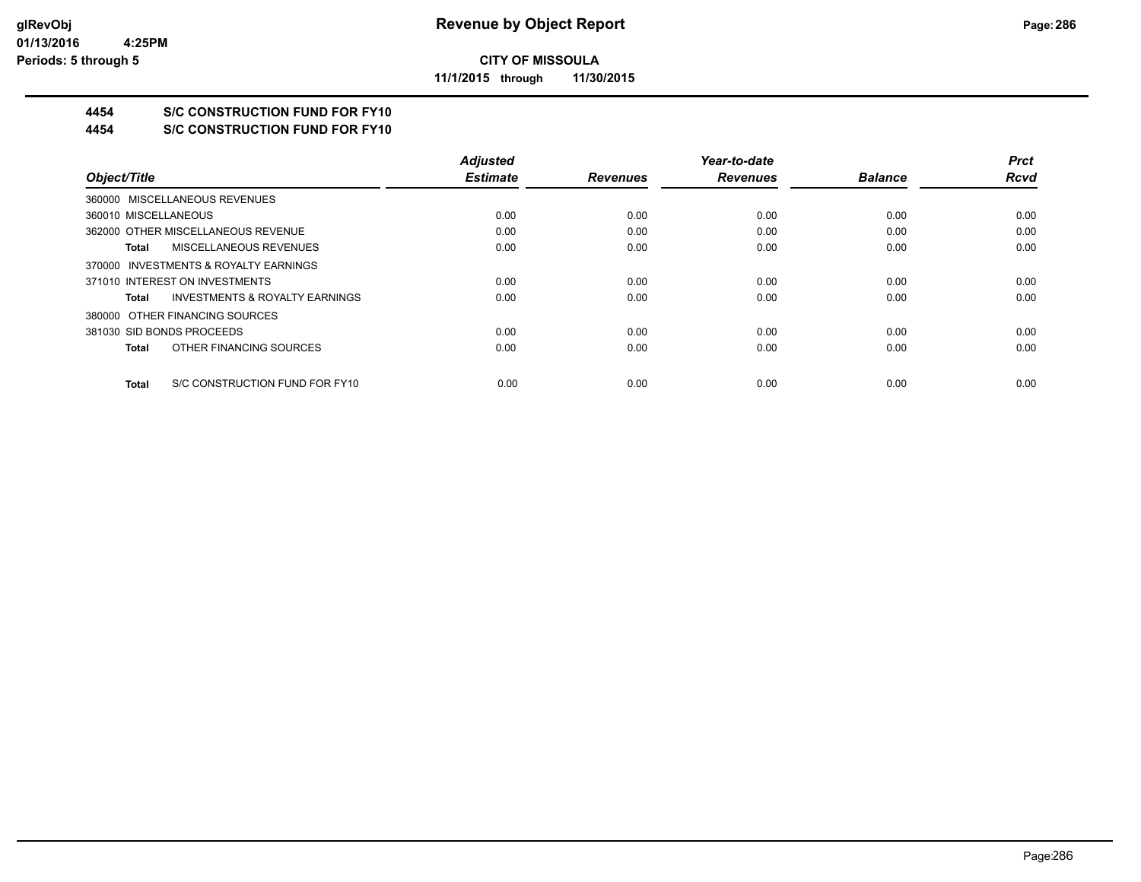**11/1/2015 through 11/30/2015**

# **4454 S/C CONSTRUCTION FUND FOR FY10**

**4454 S/C CONSTRUCTION FUND FOR FY10**

|                                                    | <b>Adjusted</b> |                 | Year-to-date    |                | <b>Prct</b> |
|----------------------------------------------------|-----------------|-----------------|-----------------|----------------|-------------|
| Object/Title                                       | <b>Estimate</b> | <b>Revenues</b> | <b>Revenues</b> | <b>Balance</b> | Rcvd        |
| 360000 MISCELLANEOUS REVENUES                      |                 |                 |                 |                |             |
| 360010 MISCELLANEOUS                               | 0.00            | 0.00            | 0.00            | 0.00           | 0.00        |
| 362000 OTHER MISCELLANEOUS REVENUE                 | 0.00            | 0.00            | 0.00            | 0.00           | 0.00        |
| MISCELLANEOUS REVENUES<br>Total                    | 0.00            | 0.00            | 0.00            | 0.00           | 0.00        |
| 370000 INVESTMENTS & ROYALTY EARNINGS              |                 |                 |                 |                |             |
| 371010 INTEREST ON INVESTMENTS                     | 0.00            | 0.00            | 0.00            | 0.00           | 0.00        |
| <b>INVESTMENTS &amp; ROYALTY EARNINGS</b><br>Total | 0.00            | 0.00            | 0.00            | 0.00           | 0.00        |
| 380000 OTHER FINANCING SOURCES                     |                 |                 |                 |                |             |
| 381030 SID BONDS PROCEEDS                          | 0.00            | 0.00            | 0.00            | 0.00           | 0.00        |
| OTHER FINANCING SOURCES<br>Total                   | 0.00            | 0.00            | 0.00            | 0.00           | 0.00        |
| S/C CONSTRUCTION FUND FOR FY10<br>Total            | 0.00            | 0.00            | 0.00            | 0.00           | 0.00        |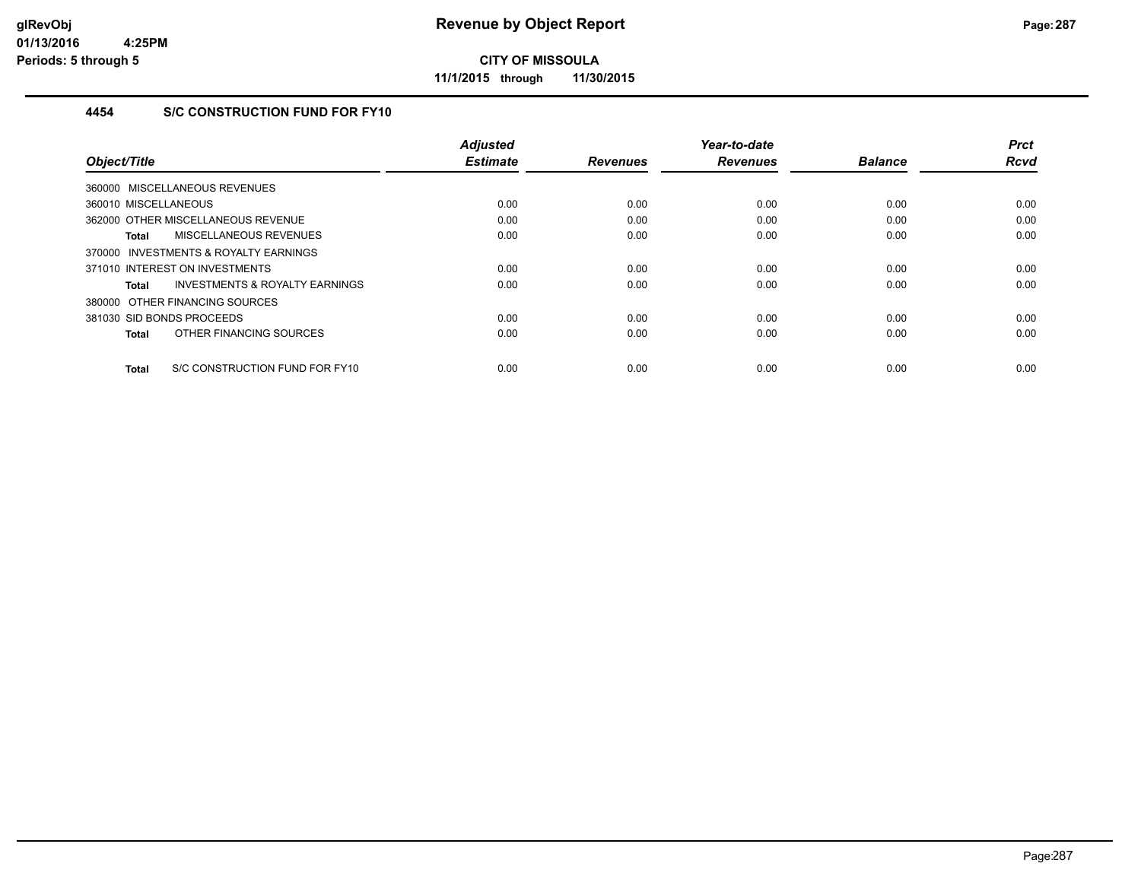**11/1/2015 through 11/30/2015**

### **4454 S/C CONSTRUCTION FUND FOR FY10**

| Object/Title                                   | <b>Adjusted</b><br><b>Estimate</b> | <b>Revenues</b> | Year-to-date<br><b>Revenues</b> | <b>Balance</b> | <b>Prct</b><br><b>Rcvd</b> |
|------------------------------------------------|------------------------------------|-----------------|---------------------------------|----------------|----------------------------|
|                                                |                                    |                 |                                 |                |                            |
| 360000 MISCELLANEOUS REVENUES                  |                                    |                 |                                 |                |                            |
| 360010 MISCELLANEOUS                           | 0.00                               | 0.00            | 0.00                            | 0.00           | 0.00                       |
| 362000 OTHER MISCELLANEOUS REVENUE             | 0.00                               | 0.00            | 0.00                            | 0.00           | 0.00                       |
| MISCELLANEOUS REVENUES<br>Total                | 0.00                               | 0.00            | 0.00                            | 0.00           | 0.00                       |
| 370000 INVESTMENTS & ROYALTY EARNINGS          |                                    |                 |                                 |                |                            |
| 371010 INTEREST ON INVESTMENTS                 | 0.00                               | 0.00            | 0.00                            | 0.00           | 0.00                       |
| INVESTMENTS & ROYALTY EARNINGS<br>Total        | 0.00                               | 0.00            | 0.00                            | 0.00           | 0.00                       |
| 380000 OTHER FINANCING SOURCES                 |                                    |                 |                                 |                |                            |
| 381030 SID BONDS PROCEEDS                      | 0.00                               | 0.00            | 0.00                            | 0.00           | 0.00                       |
| OTHER FINANCING SOURCES<br><b>Total</b>        | 0.00                               | 0.00            | 0.00                            | 0.00           | 0.00                       |
| S/C CONSTRUCTION FUND FOR FY10<br><b>Total</b> | 0.00                               | 0.00            | 0.00                            | 0.00           | 0.00                       |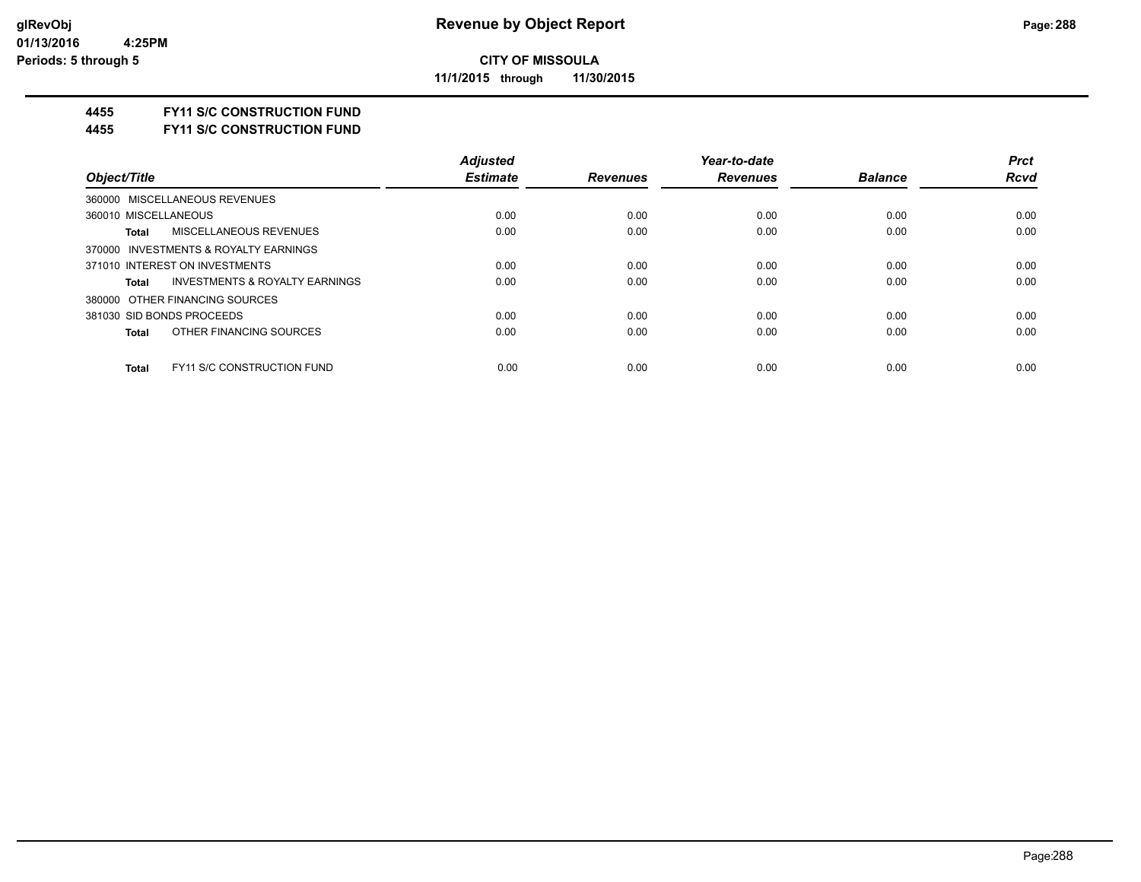**11/1/2015 through 11/30/2015**

#### **4455 FY11 S/C CONSTRUCTION FUND**

#### **4455 FY11 S/C CONSTRUCTION FUND**

|                                                    | <b>Adjusted</b> |                 | Year-to-date    |                | <b>Prct</b> |
|----------------------------------------------------|-----------------|-----------------|-----------------|----------------|-------------|
| Object/Title                                       | <b>Estimate</b> | <b>Revenues</b> | <b>Revenues</b> | <b>Balance</b> | <b>Rcvd</b> |
| 360000 MISCELLANEOUS REVENUES                      |                 |                 |                 |                |             |
| 360010 MISCELLANEOUS                               | 0.00            | 0.00            | 0.00            | 0.00           | 0.00        |
| MISCELLANEOUS REVENUES<br>Total                    | 0.00            | 0.00            | 0.00            | 0.00           | 0.00        |
| 370000 INVESTMENTS & ROYALTY EARNINGS              |                 |                 |                 |                |             |
| 371010 INTEREST ON INVESTMENTS                     | 0.00            | 0.00            | 0.00            | 0.00           | 0.00        |
| <b>INVESTMENTS &amp; ROYALTY EARNINGS</b><br>Total | 0.00            | 0.00            | 0.00            | 0.00           | 0.00        |
| 380000 OTHER FINANCING SOURCES                     |                 |                 |                 |                |             |
| 381030 SID BONDS PROCEEDS                          | 0.00            | 0.00            | 0.00            | 0.00           | 0.00        |
| OTHER FINANCING SOURCES<br><b>Total</b>            | 0.00            | 0.00            | 0.00            | 0.00           | 0.00        |
|                                                    |                 |                 |                 |                |             |
| <b>FY11 S/C CONSTRUCTION FUND</b><br><b>Total</b>  | 0.00            | 0.00            | 0.00            | 0.00           | 0.00        |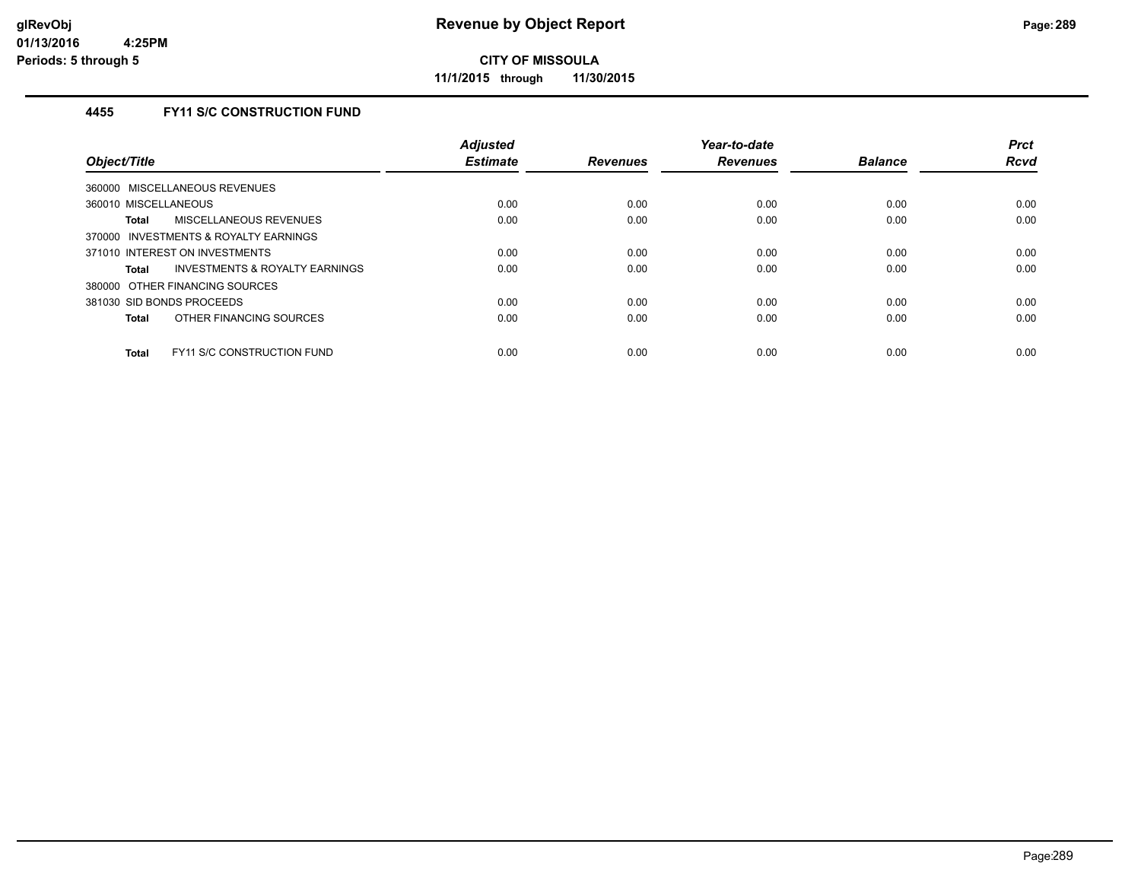**11/1/2015 through 11/30/2015**

## **4455 FY11 S/C CONSTRUCTION FUND**

| Object/Title                                      | <b>Adjusted</b><br><b>Estimate</b> | <b>Revenues</b> | Year-to-date<br><b>Revenues</b> | <b>Balance</b> | <b>Prct</b><br><b>Rcvd</b> |
|---------------------------------------------------|------------------------------------|-----------------|---------------------------------|----------------|----------------------------|
| 360000 MISCELLANEOUS REVENUES                     |                                    |                 |                                 |                |                            |
| 360010 MISCELLANEOUS                              | 0.00                               | 0.00            | 0.00                            | 0.00           | 0.00                       |
| MISCELLANEOUS REVENUES<br>Total                   | 0.00                               | 0.00            | 0.00                            | 0.00           | 0.00                       |
| 370000 INVESTMENTS & ROYALTY EARNINGS             |                                    |                 |                                 |                |                            |
| 371010 INTEREST ON INVESTMENTS                    | 0.00                               | 0.00            | 0.00                            | 0.00           | 0.00                       |
| INVESTMENTS & ROYALTY EARNINGS<br>Total           | 0.00                               | 0.00            | 0.00                            | 0.00           | 0.00                       |
| 380000 OTHER FINANCING SOURCES                    |                                    |                 |                                 |                |                            |
| 381030 SID BONDS PROCEEDS                         | 0.00                               | 0.00            | 0.00                            | 0.00           | 0.00                       |
| OTHER FINANCING SOURCES<br><b>Total</b>           | 0.00                               | 0.00            | 0.00                            | 0.00           | 0.00                       |
| <b>FY11 S/C CONSTRUCTION FUND</b><br><b>Total</b> | 0.00                               | 0.00            | 0.00                            | 0.00           | 0.00                       |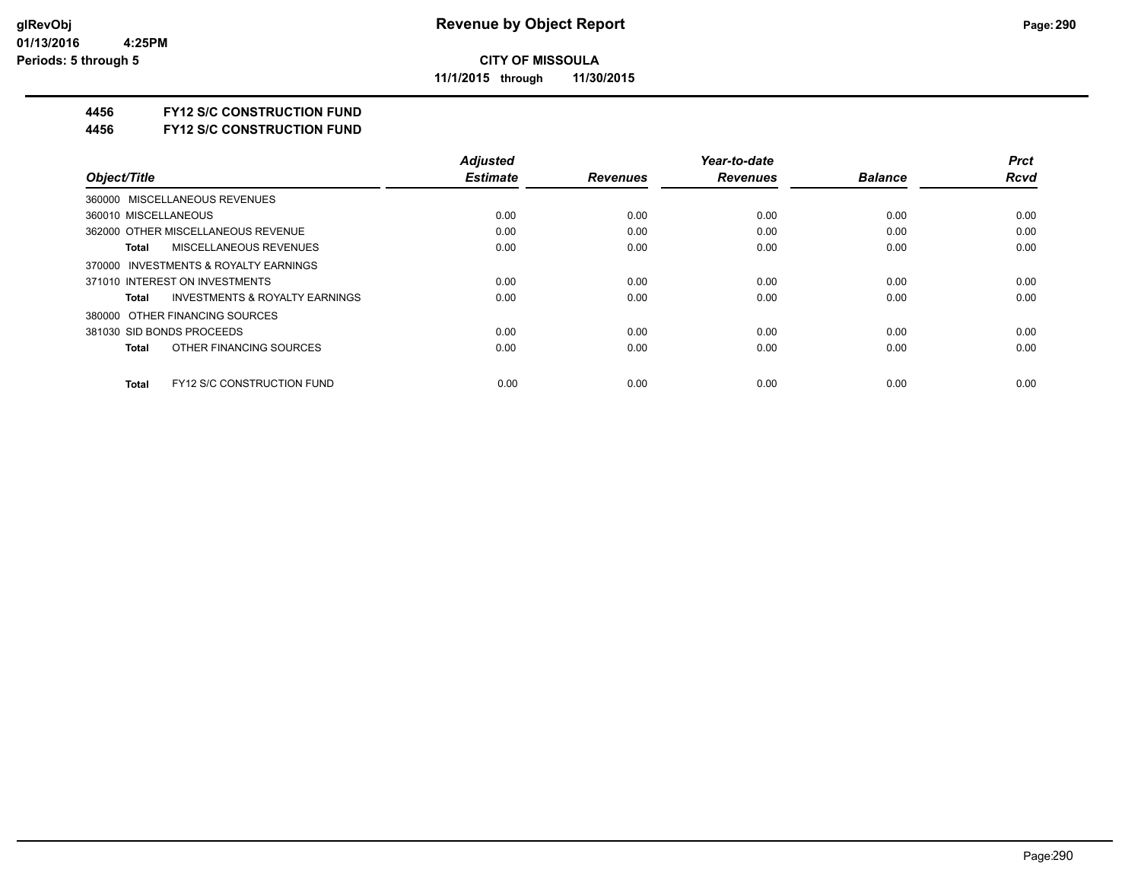**11/1/2015 through 11/30/2015**

#### **4456 FY12 S/C CONSTRUCTION FUND**

**4456 FY12 S/C CONSTRUCTION FUND**

|                                            | <b>Adjusted</b> |                 | Year-to-date    |                | <b>Prct</b> |
|--------------------------------------------|-----------------|-----------------|-----------------|----------------|-------------|
| Object/Title                               | <b>Estimate</b> | <b>Revenues</b> | <b>Revenues</b> | <b>Balance</b> | <b>Rcvd</b> |
| 360000 MISCELLANEOUS REVENUES              |                 |                 |                 |                |             |
| 360010 MISCELLANEOUS                       | 0.00            | 0.00            | 0.00            | 0.00           | 0.00        |
| 362000 OTHER MISCELLANEOUS REVENUE         | 0.00            | 0.00            | 0.00            | 0.00           | 0.00        |
| MISCELLANEOUS REVENUES<br>Total            | 0.00            | 0.00            | 0.00            | 0.00           | 0.00        |
| 370000 INVESTMENTS & ROYALTY EARNINGS      |                 |                 |                 |                |             |
| 371010 INTEREST ON INVESTMENTS             | 0.00            | 0.00            | 0.00            | 0.00           | 0.00        |
| INVESTMENTS & ROYALTY EARNINGS<br>Total    | 0.00            | 0.00            | 0.00            | 0.00           | 0.00        |
| 380000 OTHER FINANCING SOURCES             |                 |                 |                 |                |             |
| 381030 SID BONDS PROCEEDS                  | 0.00            | 0.00            | 0.00            | 0.00           | 0.00        |
| OTHER FINANCING SOURCES<br>Total           | 0.00            | 0.00            | 0.00            | 0.00           | 0.00        |
| <b>FY12 S/C CONSTRUCTION FUND</b><br>Total | 0.00            | 0.00            | 0.00            | 0.00           | 0.00        |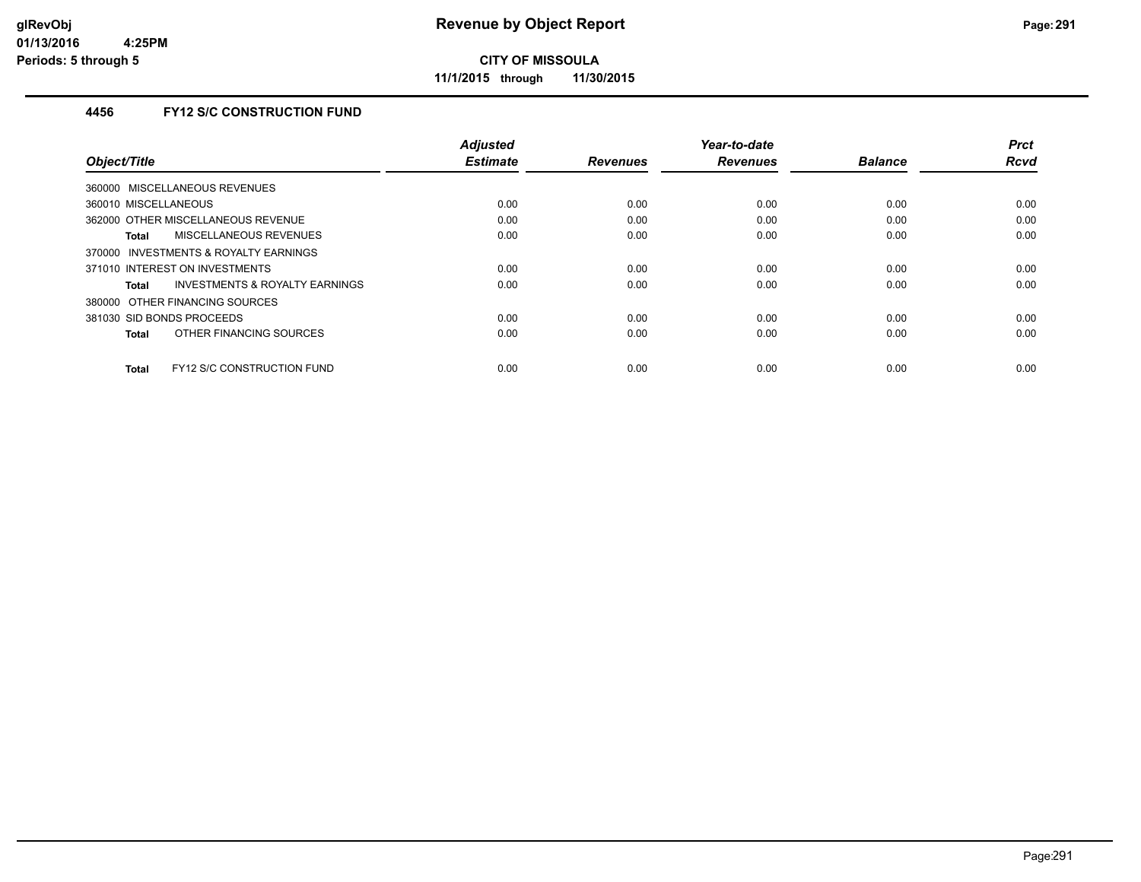**11/1/2015 through 11/30/2015**

### **4456 FY12 S/C CONSTRUCTION FUND**

| Object/Title                                   | <b>Adjusted</b><br><b>Estimate</b> | <b>Revenues</b> | Year-to-date<br><b>Revenues</b> | <b>Balance</b> | <b>Prct</b><br><b>Rcvd</b> |
|------------------------------------------------|------------------------------------|-----------------|---------------------------------|----------------|----------------------------|
|                                                |                                    |                 |                                 |                |                            |
| 360000 MISCELLANEOUS REVENUES                  |                                    |                 |                                 |                |                            |
| 360010 MISCELLANEOUS                           | 0.00                               | 0.00            | 0.00                            | 0.00           | 0.00                       |
| 362000 OTHER MISCELLANEOUS REVENUE             | 0.00                               | 0.00            | 0.00                            | 0.00           | 0.00                       |
| <b>MISCELLANEOUS REVENUES</b><br><b>Total</b>  | 0.00                               | 0.00            | 0.00                            | 0.00           | 0.00                       |
| 370000 INVESTMENTS & ROYALTY EARNINGS          |                                    |                 |                                 |                |                            |
| 371010 INTEREST ON INVESTMENTS                 | 0.00                               | 0.00            | 0.00                            | 0.00           | 0.00                       |
| INVESTMENTS & ROYALTY EARNINGS<br><b>Total</b> | 0.00                               | 0.00            | 0.00                            | 0.00           | 0.00                       |
| 380000 OTHER FINANCING SOURCES                 |                                    |                 |                                 |                |                            |
| 381030 SID BONDS PROCEEDS                      | 0.00                               | 0.00            | 0.00                            | 0.00           | 0.00                       |
| OTHER FINANCING SOURCES<br><b>Total</b>        | 0.00                               | 0.00            | 0.00                            | 0.00           | 0.00                       |
|                                                |                                    |                 |                                 |                |                            |
| FY12 S/C CONSTRUCTION FUND<br><b>Total</b>     | 0.00                               | 0.00            | 0.00                            | 0.00           | 0.00                       |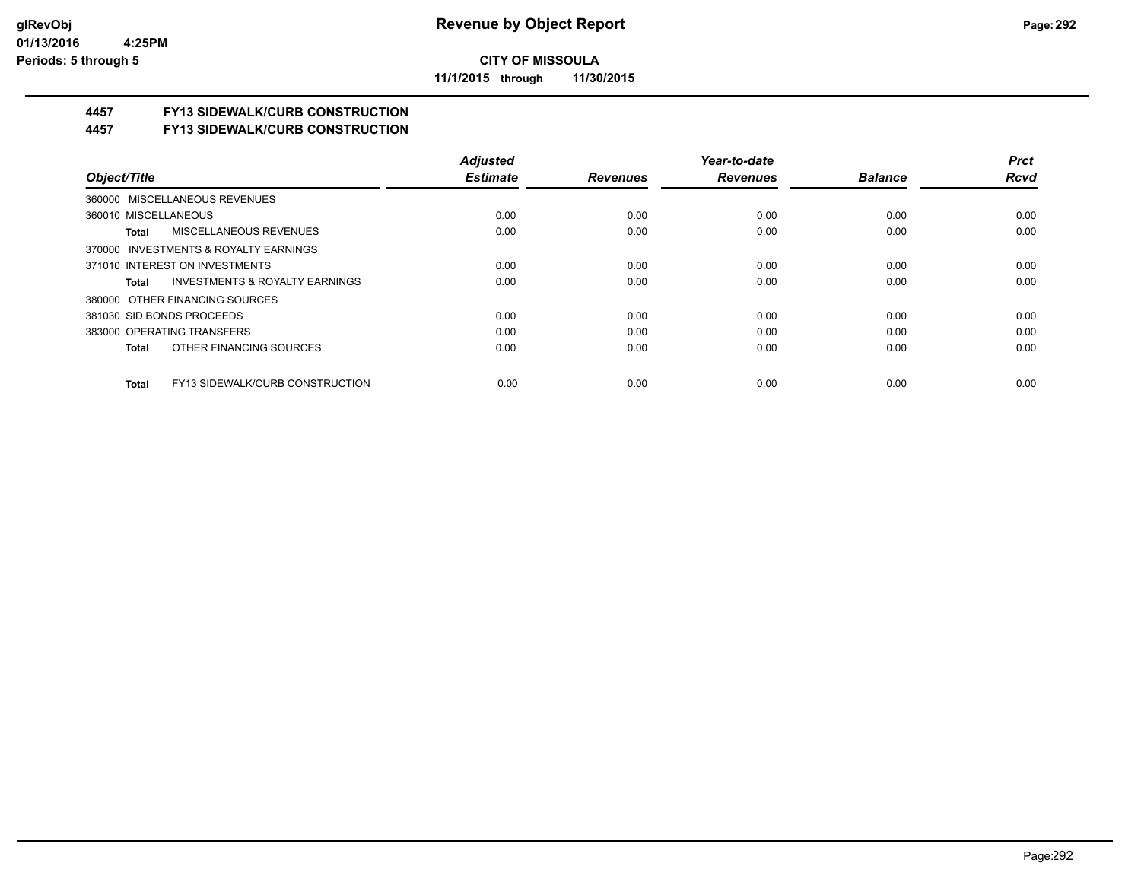**11/1/2015 through 11/30/2015**

# **4457 FY13 SIDEWALK/CURB CONSTRUCTION**

**4457 FY13 SIDEWALK/CURB CONSTRUCTION**

|                                                    | <b>Adjusted</b> |                 | Year-to-date    |                | <b>Prct</b> |
|----------------------------------------------------|-----------------|-----------------|-----------------|----------------|-------------|
| Object/Title                                       | <b>Estimate</b> | <b>Revenues</b> | <b>Revenues</b> | <b>Balance</b> | <b>Rcvd</b> |
| 360000 MISCELLANEOUS REVENUES                      |                 |                 |                 |                |             |
| 360010 MISCELLANEOUS                               | 0.00            | 0.00            | 0.00            | 0.00           | 0.00        |
| MISCELLANEOUS REVENUES<br>Total                    | 0.00            | 0.00            | 0.00            | 0.00           | 0.00        |
| 370000 INVESTMENTS & ROYALTY EARNINGS              |                 |                 |                 |                |             |
| 371010 INTEREST ON INVESTMENTS                     | 0.00            | 0.00            | 0.00            | 0.00           | 0.00        |
| <b>INVESTMENTS &amp; ROYALTY EARNINGS</b><br>Total | 0.00            | 0.00            | 0.00            | 0.00           | 0.00        |
| 380000 OTHER FINANCING SOURCES                     |                 |                 |                 |                |             |
| 381030 SID BONDS PROCEEDS                          | 0.00            | 0.00            | 0.00            | 0.00           | 0.00        |
| 383000 OPERATING TRANSFERS                         | 0.00            | 0.00            | 0.00            | 0.00           | 0.00        |
| OTHER FINANCING SOURCES<br>Total                   | 0.00            | 0.00            | 0.00            | 0.00           | 0.00        |
| FY13 SIDEWALK/CURB CONSTRUCTION<br>Total           | 0.00            | 0.00            | 0.00            | 0.00           | 0.00        |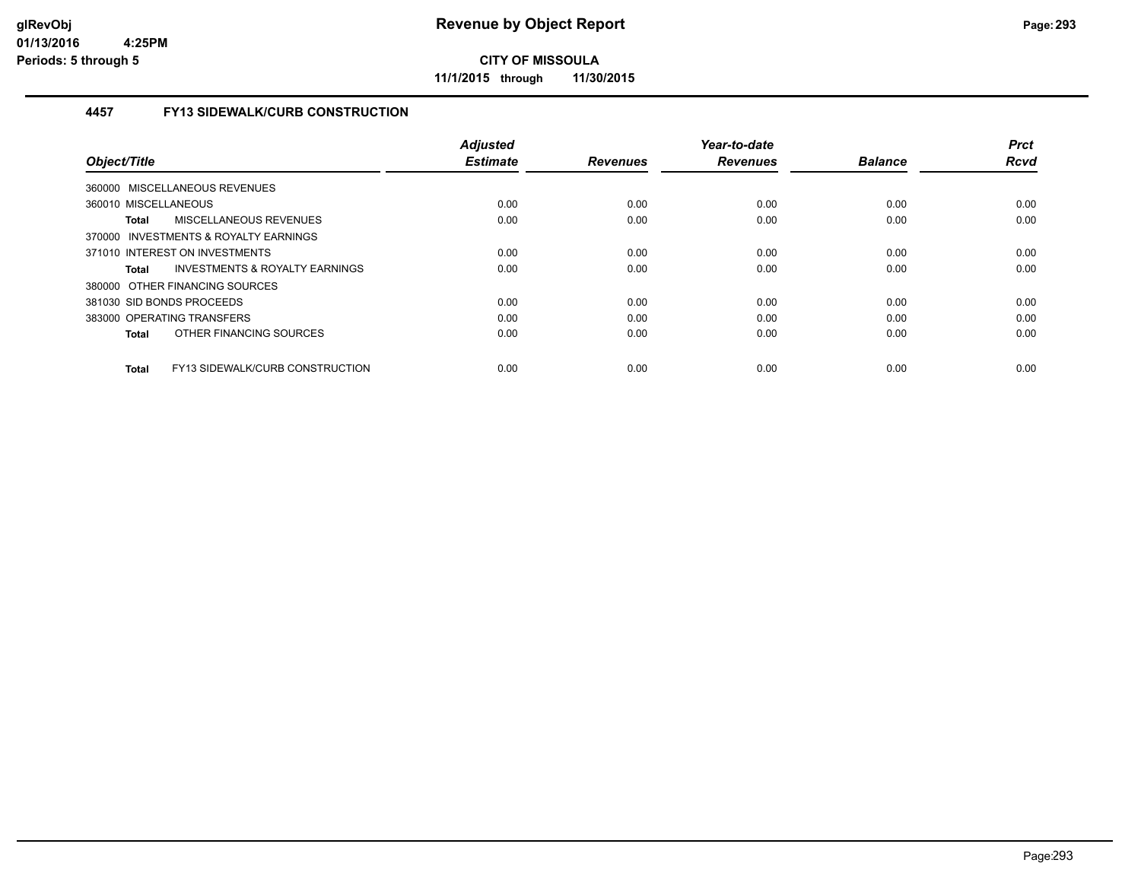**11/1/2015 through 11/30/2015**

### **4457 FY13 SIDEWALK/CURB CONSTRUCTION**

|                                                 | <b>Adjusted</b> |                 | Year-to-date    |                | <b>Prct</b> |
|-------------------------------------------------|-----------------|-----------------|-----------------|----------------|-------------|
| Object/Title                                    | <b>Estimate</b> | <b>Revenues</b> | <b>Revenues</b> | <b>Balance</b> | <b>Rcvd</b> |
| 360000 MISCELLANEOUS REVENUES                   |                 |                 |                 |                |             |
| 360010 MISCELLANEOUS                            | 0.00            | 0.00            | 0.00            | 0.00           | 0.00        |
| MISCELLANEOUS REVENUES<br><b>Total</b>          | 0.00            | 0.00            | 0.00            | 0.00           | 0.00        |
| 370000 INVESTMENTS & ROYALTY EARNINGS           |                 |                 |                 |                |             |
| 371010 INTEREST ON INVESTMENTS                  | 0.00            | 0.00            | 0.00            | 0.00           | 0.00        |
| INVESTMENTS & ROYALTY EARNINGS<br><b>Total</b>  | 0.00            | 0.00            | 0.00            | 0.00           | 0.00        |
| 380000 OTHER FINANCING SOURCES                  |                 |                 |                 |                |             |
| 381030 SID BONDS PROCEEDS                       | 0.00            | 0.00            | 0.00            | 0.00           | 0.00        |
| 383000 OPERATING TRANSFERS                      | 0.00            | 0.00            | 0.00            | 0.00           | 0.00        |
| OTHER FINANCING SOURCES<br>Total                | 0.00            | 0.00            | 0.00            | 0.00           | 0.00        |
| FY13 SIDEWALK/CURB CONSTRUCTION<br><b>Total</b> | 0.00            | 0.00            | 0.00            | 0.00           | 0.00        |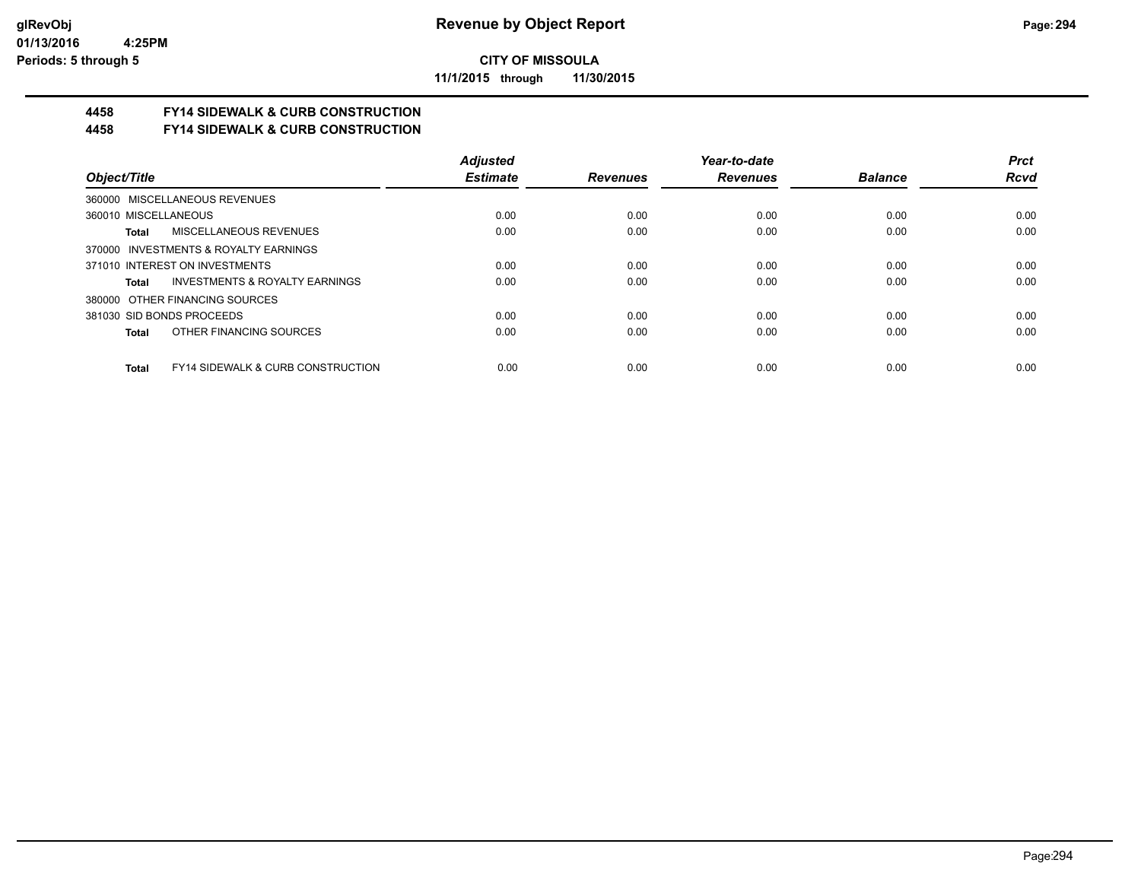**11/1/2015 through 11/30/2015**

# **4458 FY14 SIDEWALK & CURB CONSTRUCTION**

**4458 FY14 SIDEWALK & CURB CONSTRUCTION**

|                                                       | <b>Adjusted</b> |                 | Year-to-date    |                | <b>Prct</b> |
|-------------------------------------------------------|-----------------|-----------------|-----------------|----------------|-------------|
| Object/Title                                          | <b>Estimate</b> | <b>Revenues</b> | <b>Revenues</b> | <b>Balance</b> | <b>Rcvd</b> |
| 360000 MISCELLANEOUS REVENUES                         |                 |                 |                 |                |             |
| 360010 MISCELLANEOUS                                  | 0.00            | 0.00            | 0.00            | 0.00           | 0.00        |
| <b>MISCELLANEOUS REVENUES</b><br>Total                | 0.00            | 0.00            | 0.00            | 0.00           | 0.00        |
| 370000 INVESTMENTS & ROYALTY EARNINGS                 |                 |                 |                 |                |             |
| 371010 INTEREST ON INVESTMENTS                        | 0.00            | 0.00            | 0.00            | 0.00           | 0.00        |
| INVESTMENTS & ROYALTY EARNINGS<br>Total               | 0.00            | 0.00            | 0.00            | 0.00           | 0.00        |
| 380000 OTHER FINANCING SOURCES                        |                 |                 |                 |                |             |
| 381030 SID BONDS PROCEEDS                             | 0.00            | 0.00            | 0.00            | 0.00           | 0.00        |
| OTHER FINANCING SOURCES<br>Total                      | 0.00            | 0.00            | 0.00            | 0.00           | 0.00        |
| <b>FY14 SIDEWALK &amp; CURB CONSTRUCTION</b><br>Total | 0.00            | 0.00            | 0.00            | 0.00           | 0.00        |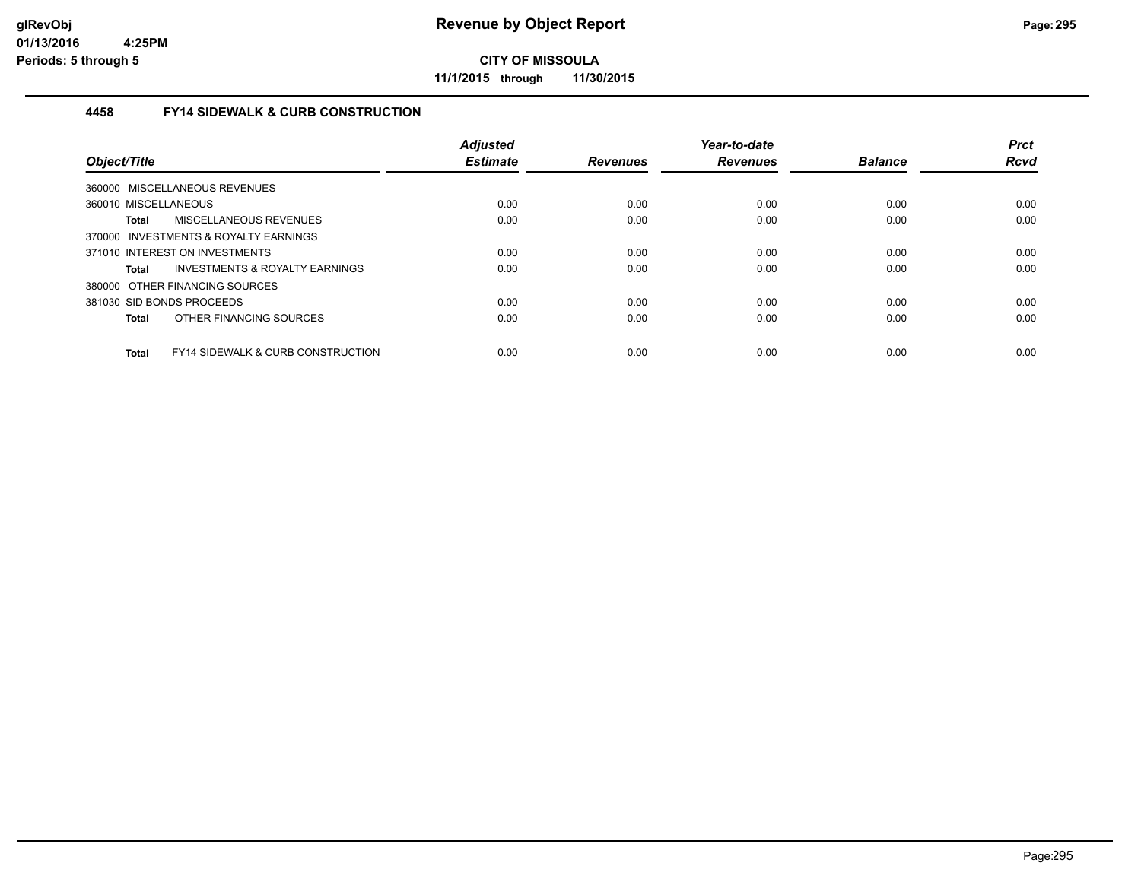**11/1/2015 through 11/30/2015**

### **4458 FY14 SIDEWALK & CURB CONSTRUCTION**

| Object/Title                                                 | <b>Adjusted</b><br><b>Estimate</b> | <b>Revenues</b> | Year-to-date<br><b>Revenues</b> | <b>Balance</b> | <b>Prct</b><br><b>Rcvd</b> |
|--------------------------------------------------------------|------------------------------------|-----------------|---------------------------------|----------------|----------------------------|
| 360000 MISCELLANEOUS REVENUES                                |                                    |                 |                                 |                |                            |
| 360010 MISCELLANEOUS                                         | 0.00                               | 0.00            | 0.00                            | 0.00           | 0.00                       |
| MISCELLANEOUS REVENUES<br><b>Total</b>                       | 0.00                               | 0.00            | 0.00                            | 0.00           | 0.00                       |
| 370000 INVESTMENTS & ROYALTY EARNINGS                        |                                    |                 |                                 |                |                            |
| 371010 INTEREST ON INVESTMENTS                               | 0.00                               | 0.00            | 0.00                            | 0.00           | 0.00                       |
| INVESTMENTS & ROYALTY EARNINGS<br><b>Total</b>               | 0.00                               | 0.00            | 0.00                            | 0.00           | 0.00                       |
| 380000 OTHER FINANCING SOURCES                               |                                    |                 |                                 |                |                            |
| 381030 SID BONDS PROCEEDS                                    | 0.00                               | 0.00            | 0.00                            | 0.00           | 0.00                       |
| OTHER FINANCING SOURCES<br><b>Total</b>                      | 0.00                               | 0.00            | 0.00                            | 0.00           | 0.00                       |
| <b>FY14 SIDEWALK &amp; CURB CONSTRUCTION</b><br><b>Total</b> | 0.00                               | 0.00            | 0.00                            | 0.00           | 0.00                       |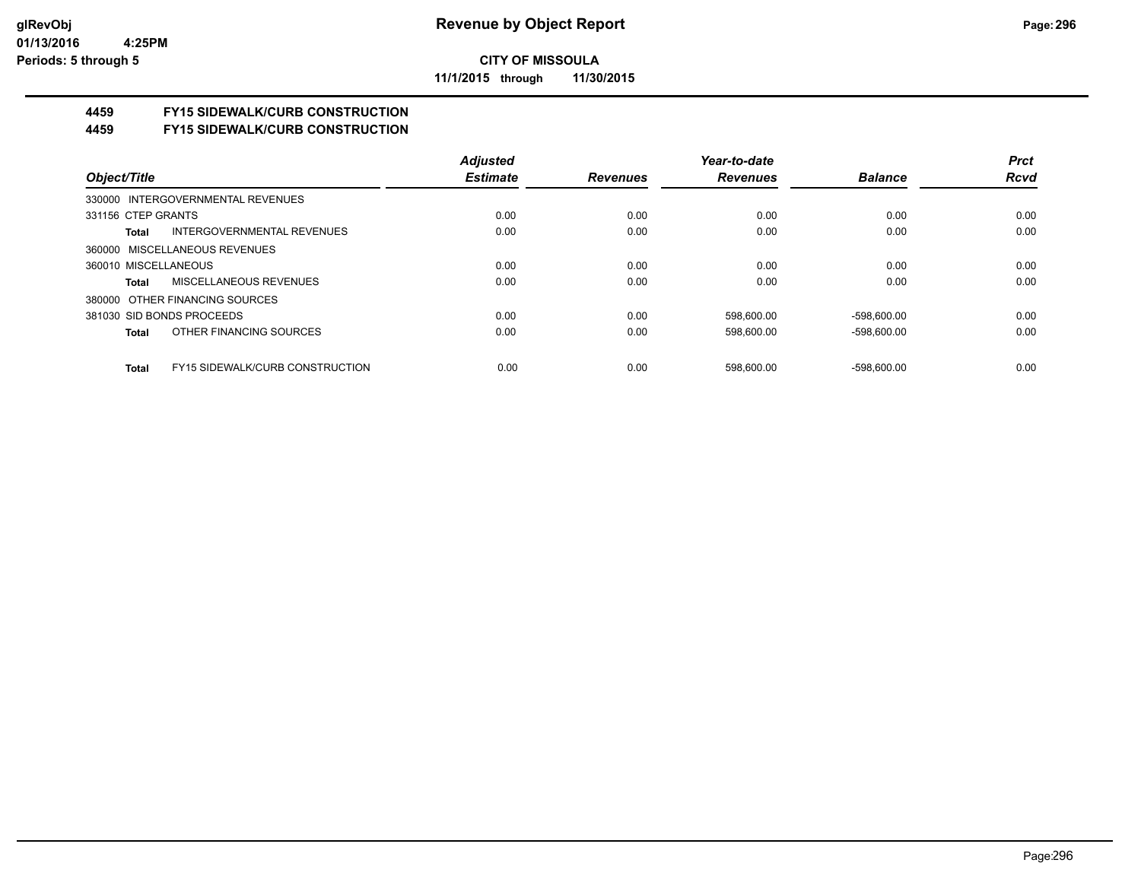**11/1/2015 through 11/30/2015**

# **4459 FY15 SIDEWALK/CURB CONSTRUCTION**

**4459 FY15 SIDEWALK/CURB CONSTRUCTION**

|                                                        | <b>Adjusted</b> |                 | Year-to-date    |                | <b>Prct</b> |
|--------------------------------------------------------|-----------------|-----------------|-----------------|----------------|-------------|
| Object/Title                                           | <b>Estimate</b> | <b>Revenues</b> | <b>Revenues</b> | <b>Balance</b> | <b>Rcvd</b> |
| 330000 INTERGOVERNMENTAL REVENUES                      |                 |                 |                 |                |             |
| 331156 CTEP GRANTS                                     | 0.00            | 0.00            | 0.00            | 0.00           | 0.00        |
| INTERGOVERNMENTAL REVENUES<br>Total                    | 0.00            | 0.00            | 0.00            | 0.00           | 0.00        |
| 360000 MISCELLANEOUS REVENUES                          |                 |                 |                 |                |             |
| 360010 MISCELLANEOUS                                   | 0.00            | 0.00            | 0.00            | 0.00           | 0.00        |
| MISCELLANEOUS REVENUES<br>Total                        | 0.00            | 0.00            | 0.00            | 0.00           | 0.00        |
| 380000 OTHER FINANCING SOURCES                         |                 |                 |                 |                |             |
| 381030 SID BONDS PROCEEDS                              | 0.00            | 0.00            | 598,600.00      | $-598,600.00$  | 0.00        |
| OTHER FINANCING SOURCES<br>Total                       | 0.00            | 0.00            | 598.600.00      | $-598.600.00$  | 0.00        |
| <b>FY15 SIDEWALK/CURB CONSTRUCTION</b><br><b>Total</b> | 0.00            | 0.00            | 598.600.00      | -598.600.00    | 0.00        |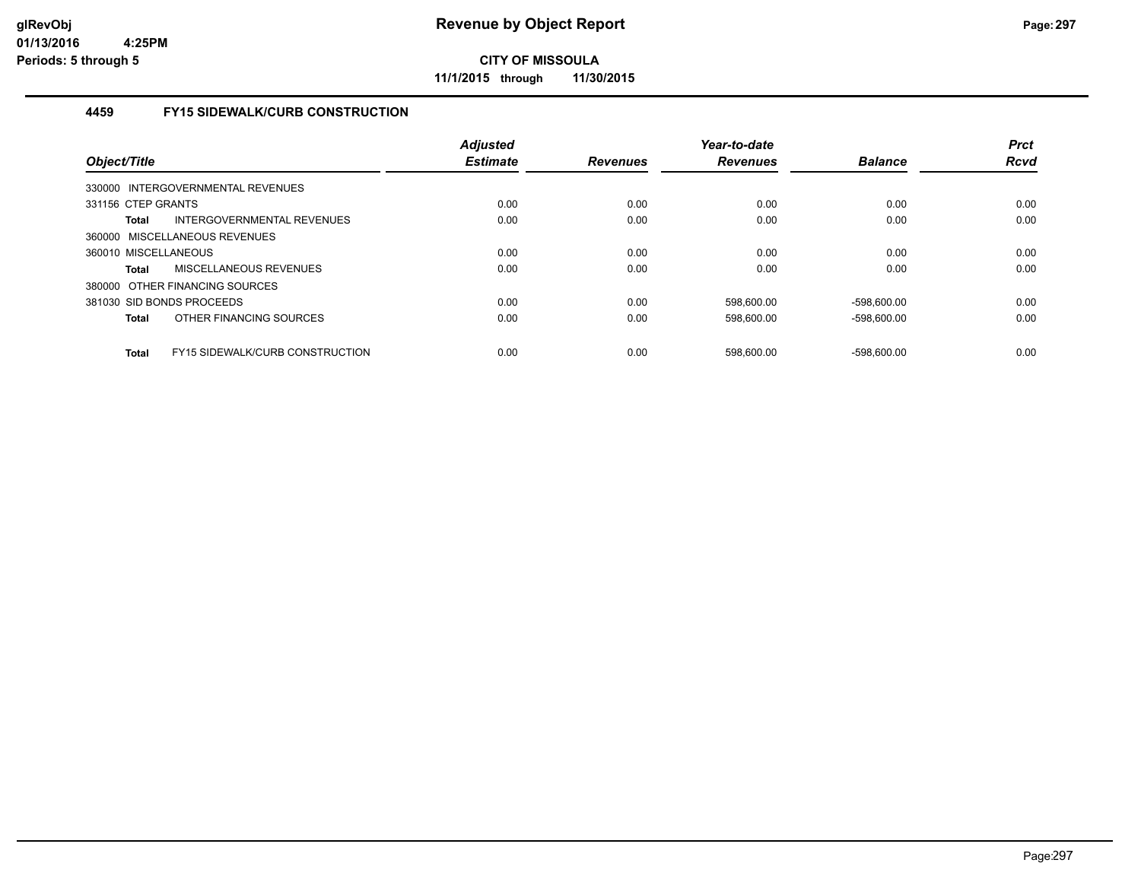**11/1/2015 through 11/30/2015**

### **4459 FY15 SIDEWALK/CURB CONSTRUCTION**

| Object/Title                                           | <b>Adjusted</b><br><b>Estimate</b> | <b>Revenues</b> | Year-to-date<br><b>Revenues</b> | <b>Balance</b> | <b>Prct</b><br>Rcvd |
|--------------------------------------------------------|------------------------------------|-----------------|---------------------------------|----------------|---------------------|
| 330000 INTERGOVERNMENTAL REVENUES                      |                                    |                 |                                 |                |                     |
| 331156 CTEP GRANTS                                     | 0.00                               | 0.00            | 0.00                            | 0.00           | 0.00                |
| INTERGOVERNMENTAL REVENUES<br><b>Total</b>             | 0.00                               | 0.00            | 0.00                            | 0.00           | 0.00                |
| 360000 MISCELLANEOUS REVENUES                          |                                    |                 |                                 |                |                     |
| 360010 MISCELLANEOUS                                   | 0.00                               | 0.00            | 0.00                            | 0.00           | 0.00                |
| <b>MISCELLANEOUS REVENUES</b><br>Total                 | 0.00                               | 0.00            | 0.00                            | 0.00           | 0.00                |
| 380000 OTHER FINANCING SOURCES                         |                                    |                 |                                 |                |                     |
| 381030 SID BONDS PROCEEDS                              | 0.00                               | 0.00            | 598,600.00                      | $-598,600.00$  | 0.00                |
| OTHER FINANCING SOURCES<br><b>Total</b>                | 0.00                               | 0.00            | 598,600.00                      | $-598,600.00$  | 0.00                |
| <b>FY15 SIDEWALK/CURB CONSTRUCTION</b><br><b>Total</b> | 0.00                               | 0.00            | 598.600.00                      | $-598.600.00$  | 0.00                |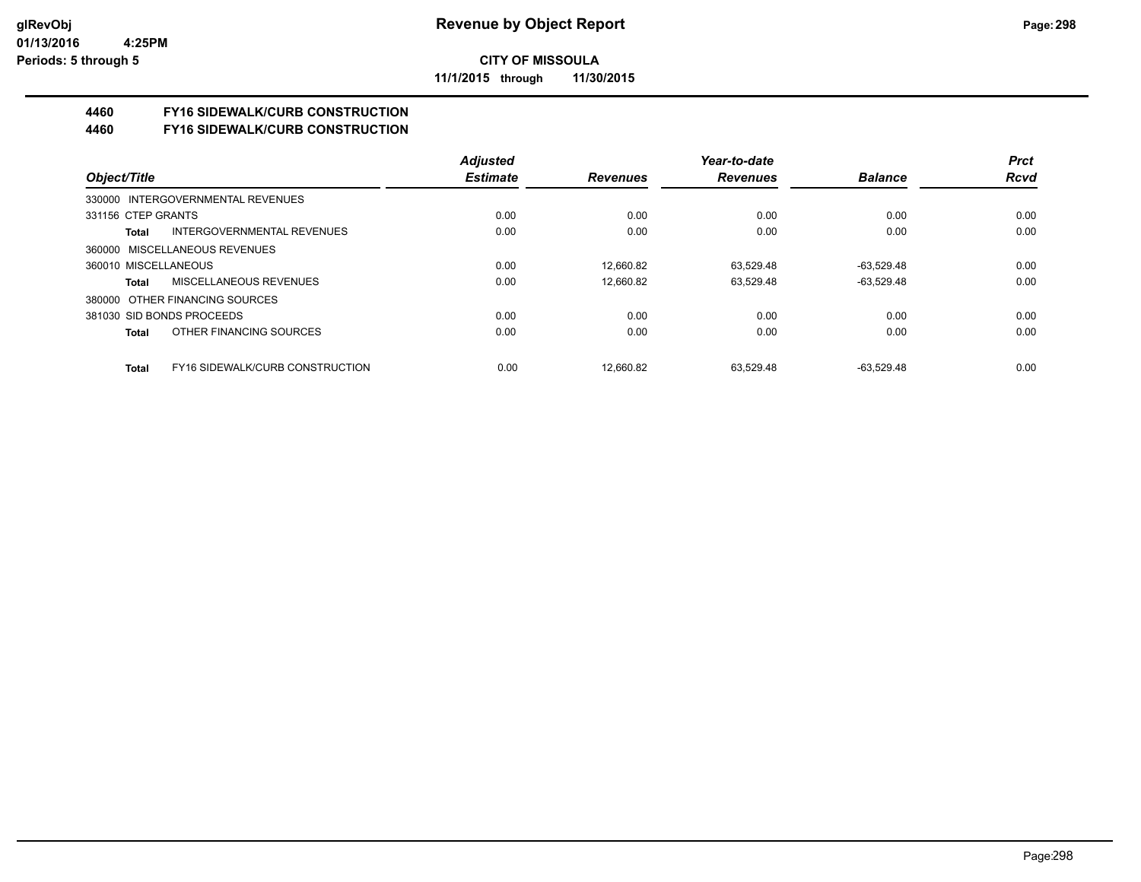**11/1/2015 through 11/30/2015**

# **4460 FY16 SIDEWALK/CURB CONSTRUCTION**

**4460 FY16 SIDEWALK/CURB CONSTRUCTION**

|                                |                                        | <b>Adjusted</b> |                 | Year-to-date    |                | <b>Prct</b> |
|--------------------------------|----------------------------------------|-----------------|-----------------|-----------------|----------------|-------------|
| Object/Title                   |                                        | <b>Estimate</b> | <b>Revenues</b> | <b>Revenues</b> | <b>Balance</b> | <b>Rcvd</b> |
|                                | 330000 INTERGOVERNMENTAL REVENUES      |                 |                 |                 |                |             |
| 331156 CTEP GRANTS             |                                        | 0.00            | 0.00            | 0.00            | 0.00           | 0.00        |
| Total                          | <b>INTERGOVERNMENTAL REVENUES</b>      | 0.00            | 0.00            | 0.00            | 0.00           | 0.00        |
| 360000 MISCELLANEOUS REVENUES  |                                        |                 |                 |                 |                |             |
| 360010 MISCELLANEOUS           |                                        | 0.00            | 12.660.82       | 63,529.48       | $-63,529.48$   | 0.00        |
| Total                          | MISCELLANEOUS REVENUES                 | 0.00            | 12.660.82       | 63,529.48       | $-63,529.48$   | 0.00        |
| 380000 OTHER FINANCING SOURCES |                                        |                 |                 |                 |                |             |
| 381030 SID BONDS PROCEEDS      |                                        | 0.00            | 0.00            | 0.00            | 0.00           | 0.00        |
| Total                          | OTHER FINANCING SOURCES                | 0.00            | 0.00            | 0.00            | 0.00           | 0.00        |
| Total                          | <b>FY16 SIDEWALK/CURB CONSTRUCTION</b> | 0.00            | 12.660.82       | 63.529.48       | $-63.529.48$   | 0.00        |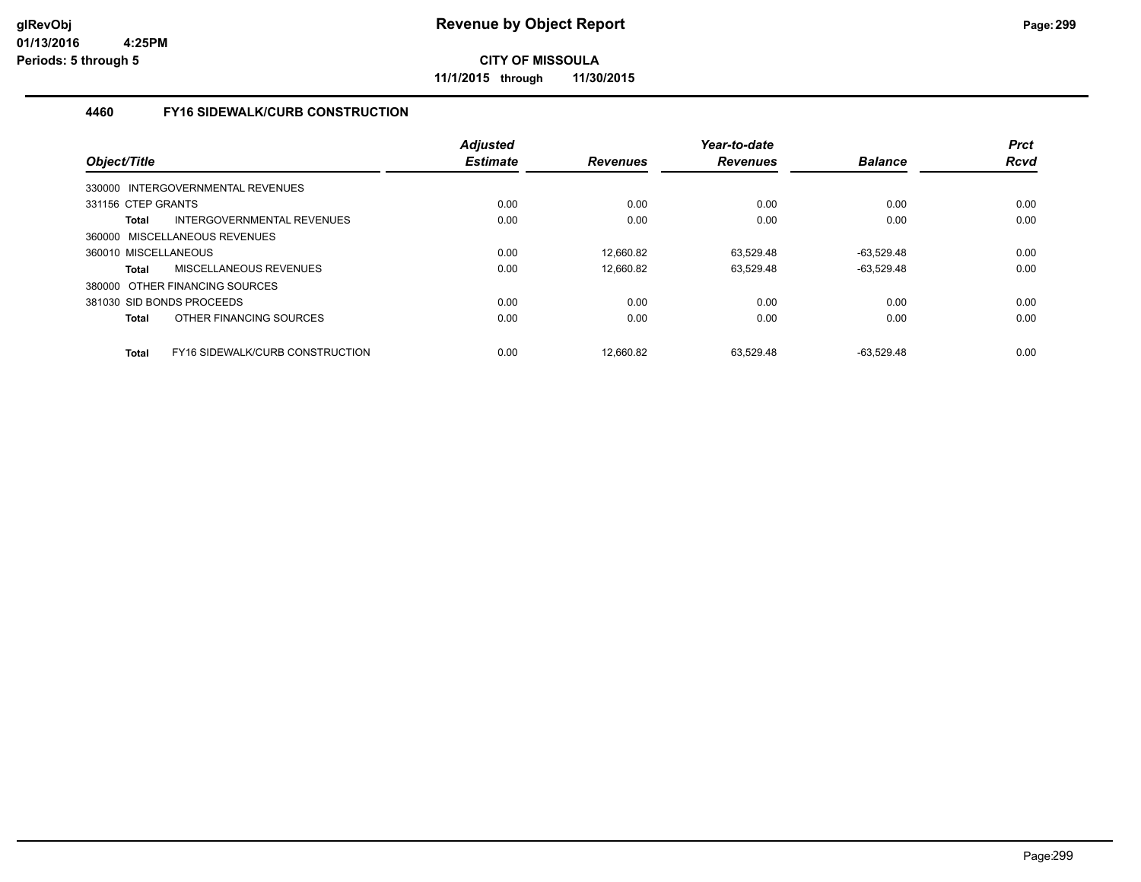**11/1/2015 through 11/30/2015**

### **4460 FY16 SIDEWALK/CURB CONSTRUCTION**

| Object/Title              |                                        | <b>Adjusted</b><br><b>Estimate</b> | <b>Revenues</b> | Year-to-date<br><b>Revenues</b> | <b>Balance</b> | <b>Prct</b><br><b>Rcvd</b> |
|---------------------------|----------------------------------------|------------------------------------|-----------------|---------------------------------|----------------|----------------------------|
|                           | 330000 INTERGOVERNMENTAL REVENUES      |                                    |                 |                                 |                |                            |
| 331156 CTEP GRANTS        |                                        | 0.00                               | 0.00            | 0.00                            | 0.00           | 0.00                       |
| <b>Total</b>              | INTERGOVERNMENTAL REVENUES             | 0.00                               | 0.00            | 0.00                            | 0.00           | 0.00                       |
|                           | 360000 MISCELLANEOUS REVENUES          |                                    |                 |                                 |                |                            |
| 360010 MISCELLANEOUS      |                                        | 0.00                               | 12,660.82       | 63,529.48                       | $-63,529.48$   | 0.00                       |
| <b>Total</b>              | <b>MISCELLANEOUS REVENUES</b>          | 0.00                               | 12.660.82       | 63,529.48                       | $-63,529.48$   | 0.00                       |
|                           | 380000 OTHER FINANCING SOURCES         |                                    |                 |                                 |                |                            |
| 381030 SID BONDS PROCEEDS |                                        | 0.00                               | 0.00            | 0.00                            | 0.00           | 0.00                       |
| <b>Total</b>              | OTHER FINANCING SOURCES                | 0.00                               | 0.00            | 0.00                            | 0.00           | 0.00                       |
| <b>Total</b>              | <b>FY16 SIDEWALK/CURB CONSTRUCTION</b> | 0.00                               | 12.660.82       | 63.529.48                       | $-63.529.48$   | 0.00                       |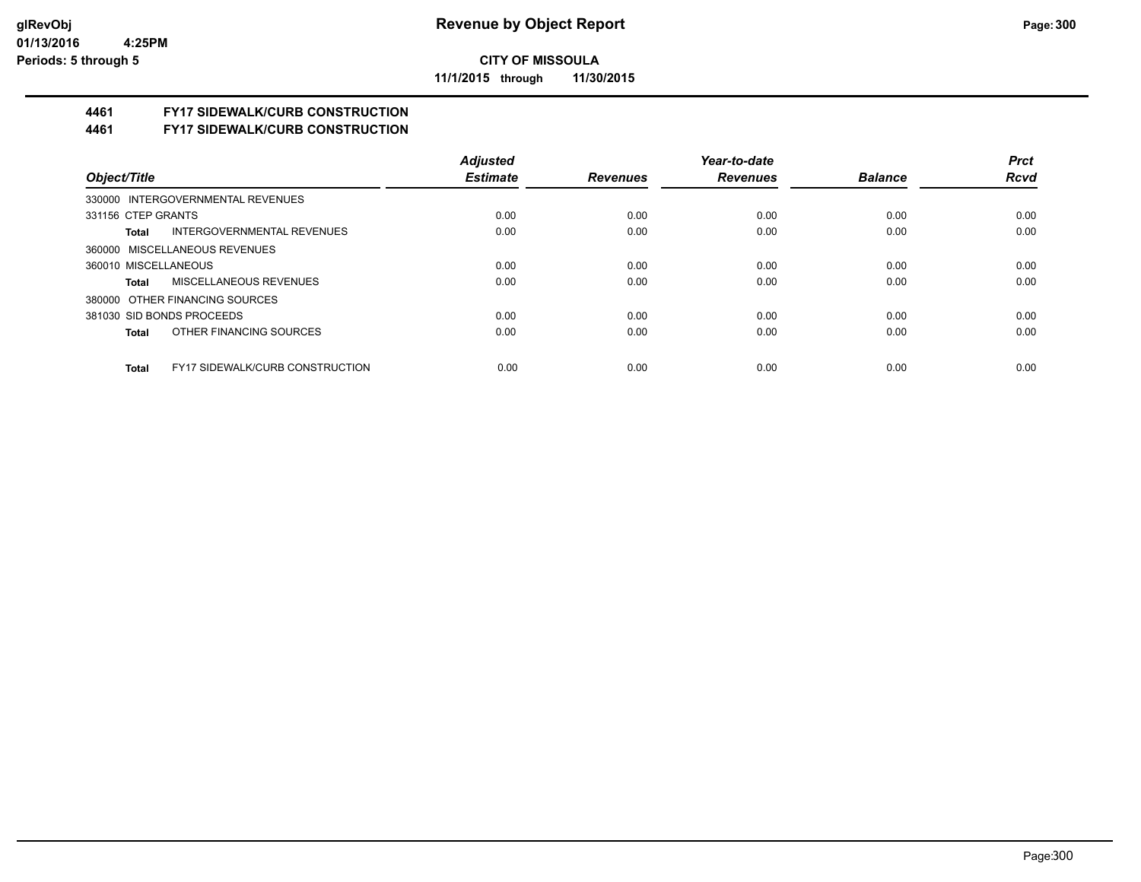**11/1/2015 through 11/30/2015**

# **4461 FY17 SIDEWALK/CURB CONSTRUCTION**

**4461 FY17 SIDEWALK/CURB CONSTRUCTION**

|                                                 | <b>Adjusted</b> |                 | Year-to-date    |                | <b>Prct</b> |
|-------------------------------------------------|-----------------|-----------------|-----------------|----------------|-------------|
| Object/Title                                    | <b>Estimate</b> | <b>Revenues</b> | <b>Revenues</b> | <b>Balance</b> | <b>Rcvd</b> |
| 330000 INTERGOVERNMENTAL REVENUES               |                 |                 |                 |                |             |
| 331156 CTEP GRANTS                              | 0.00            | 0.00            | 0.00            | 0.00           | 0.00        |
| INTERGOVERNMENTAL REVENUES<br>Total             | 0.00            | 0.00            | 0.00            | 0.00           | 0.00        |
| 360000 MISCELLANEOUS REVENUES                   |                 |                 |                 |                |             |
| 360010 MISCELLANEOUS                            | 0.00            | 0.00            | 0.00            | 0.00           | 0.00        |
| MISCELLANEOUS REVENUES<br>Total                 | 0.00            | 0.00            | 0.00            | 0.00           | 0.00        |
| 380000 OTHER FINANCING SOURCES                  |                 |                 |                 |                |             |
| 381030 SID BONDS PROCEEDS                       | 0.00            | 0.00            | 0.00            | 0.00           | 0.00        |
| OTHER FINANCING SOURCES<br>Total                | 0.00            | 0.00            | 0.00            | 0.00           | 0.00        |
|                                                 |                 |                 |                 |                |             |
| <b>FY17 SIDEWALK/CURB CONSTRUCTION</b><br>Total | 0.00            | 0.00            | 0.00            | 0.00           | 0.00        |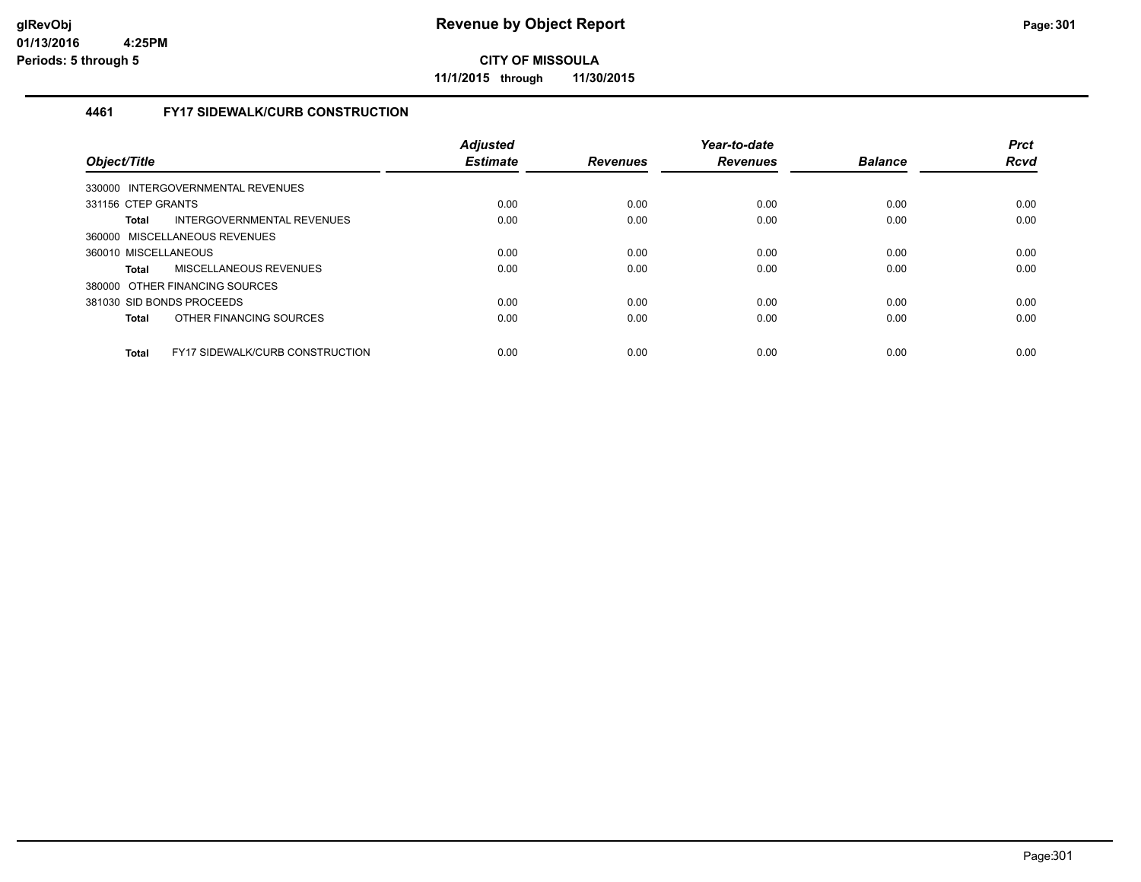**11/1/2015 through 11/30/2015**

### **4461 FY17 SIDEWALK/CURB CONSTRUCTION**

| Object/Title                                           | <b>Adjusted</b> | <b>Estimate</b> | <b>Revenues</b> | Year-to-date<br><b>Revenues</b> | <b>Balance</b> | <b>Prct</b><br><b>Rcvd</b> |
|--------------------------------------------------------|-----------------|-----------------|-----------------|---------------------------------|----------------|----------------------------|
| INTERGOVERNMENTAL REVENUES<br>330000                   |                 |                 |                 |                                 |                |                            |
| 331156 CTEP GRANTS                                     |                 | 0.00            | 0.00            | 0.00                            | 0.00           | 0.00                       |
| INTERGOVERNMENTAL REVENUES<br><b>Total</b>             |                 | 0.00            | 0.00            | 0.00                            | 0.00           | 0.00                       |
| 360000 MISCELLANEOUS REVENUES                          |                 |                 |                 |                                 |                |                            |
| 360010 MISCELLANEOUS                                   |                 | 0.00            | 0.00            | 0.00                            | 0.00           | 0.00                       |
| <b>MISCELLANEOUS REVENUES</b><br>Total                 |                 | 0.00            | 0.00            | 0.00                            | 0.00           | 0.00                       |
| 380000 OTHER FINANCING SOURCES                         |                 |                 |                 |                                 |                |                            |
| 381030 SID BONDS PROCEEDS                              |                 | 0.00            | 0.00            | 0.00                            | 0.00           | 0.00                       |
| OTHER FINANCING SOURCES<br>Total                       |                 | 0.00            | 0.00            | 0.00                            | 0.00           | 0.00                       |
| <b>FY17 SIDEWALK/CURB CONSTRUCTION</b><br><b>Total</b> |                 | 0.00            | 0.00            | 0.00                            | 0.00           | 0.00                       |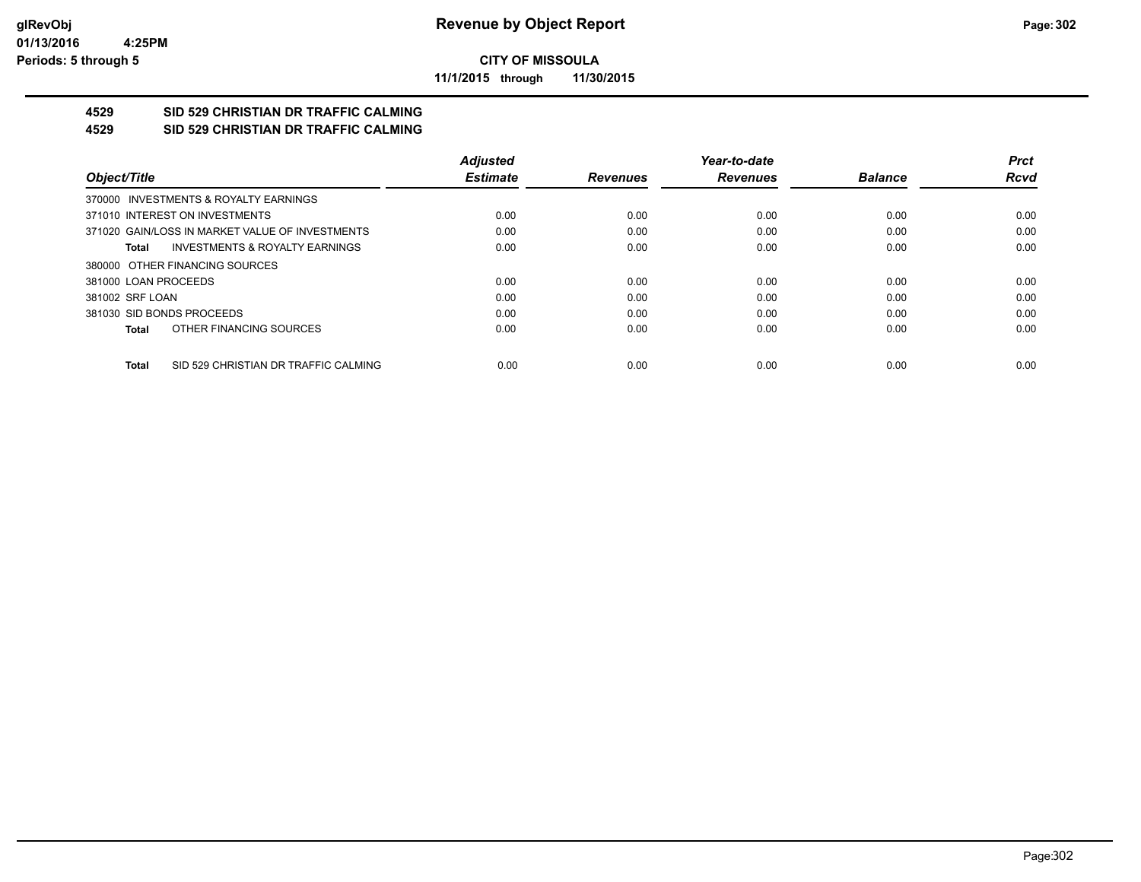**11/1/2015 through 11/30/2015**

#### **4529 SID 529 CHRISTIAN DR TRAFFIC CALMING 4529 SID 529 CHRISTIAN DR TRAFFIC CALMING**

|                                                      | <b>Adjusted</b> |                 | Year-to-date    |                | <b>Prct</b> |
|------------------------------------------------------|-----------------|-----------------|-----------------|----------------|-------------|
| Object/Title                                         | <b>Estimate</b> | <b>Revenues</b> | <b>Revenues</b> | <b>Balance</b> | <b>Rcvd</b> |
| 370000 INVESTMENTS & ROYALTY EARNINGS                |                 |                 |                 |                |             |
| 371010 INTEREST ON INVESTMENTS                       | 0.00            | 0.00            | 0.00            | 0.00           | 0.00        |
| 371020 GAIN/LOSS IN MARKET VALUE OF INVESTMENTS      | 0.00            | 0.00            | 0.00            | 0.00           | 0.00        |
| <b>INVESTMENTS &amp; ROYALTY EARNINGS</b><br>Total   | 0.00            | 0.00            | 0.00            | 0.00           | 0.00        |
| 380000 OTHER FINANCING SOURCES                       |                 |                 |                 |                |             |
| 381000 LOAN PROCEEDS                                 | 0.00            | 0.00            | 0.00            | 0.00           | 0.00        |
| 381002 SRF LOAN                                      | 0.00            | 0.00            | 0.00            | 0.00           | 0.00        |
| 381030 SID BONDS PROCEEDS                            | 0.00            | 0.00            | 0.00            | 0.00           | 0.00        |
| OTHER FINANCING SOURCES<br>Total                     | 0.00            | 0.00            | 0.00            | 0.00           | 0.00        |
|                                                      |                 |                 |                 |                |             |
| SID 529 CHRISTIAN DR TRAFFIC CALMING<br><b>Total</b> | 0.00            | 0.00            | 0.00            | 0.00           | 0.00        |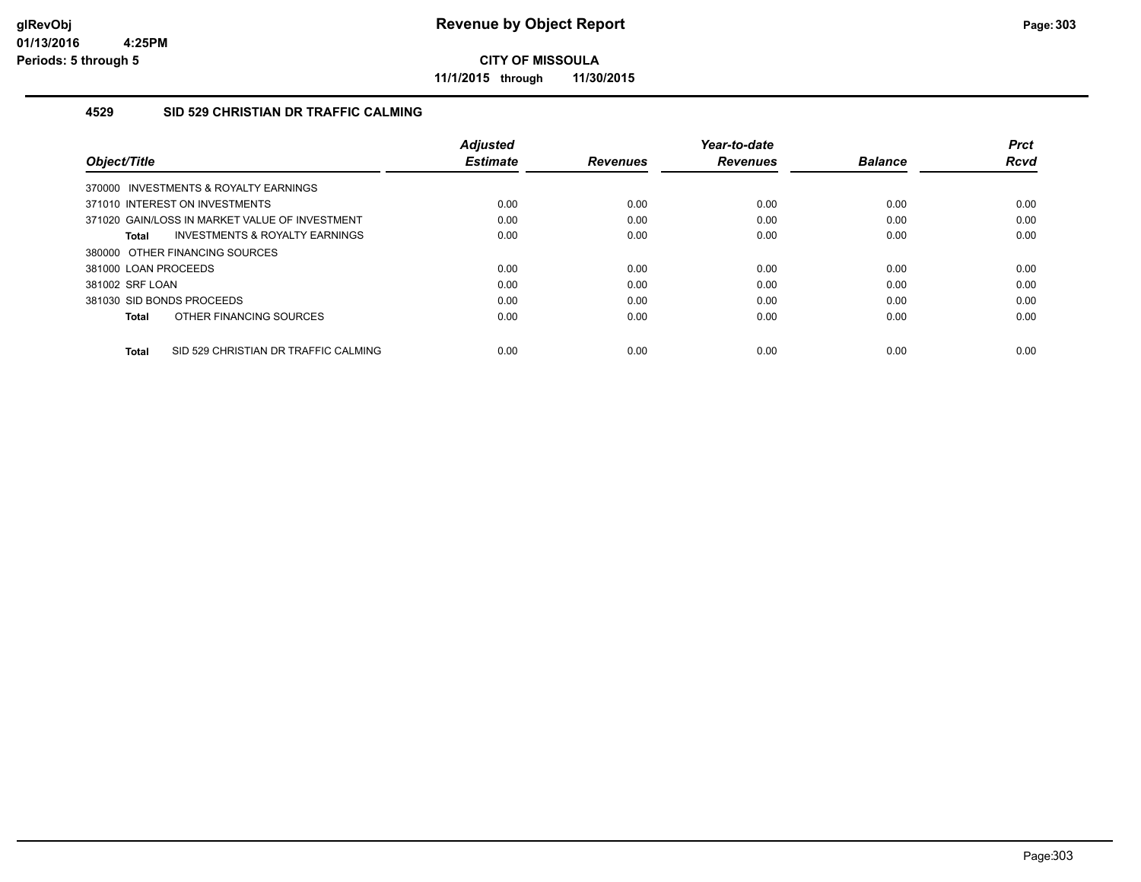**11/1/2015 through 11/30/2015**

### **4529 SID 529 CHRISTIAN DR TRAFFIC CALMING**

| Object/Title                                         | <b>Adjusted</b><br><b>Estimate</b> | <b>Revenues</b> | Year-to-date<br><b>Revenues</b> | <b>Balance</b> | <b>Prct</b><br>Rcvd |
|------------------------------------------------------|------------------------------------|-----------------|---------------------------------|----------------|---------------------|
| 370000 INVESTMENTS & ROYALTY EARNINGS                |                                    |                 |                                 |                |                     |
| 371010 INTEREST ON INVESTMENTS                       | 0.00                               | 0.00            | 0.00                            | 0.00           | 0.00                |
| 371020 GAIN/LOSS IN MARKET VALUE OF INVESTMENT       | 0.00                               | 0.00            | 0.00                            | 0.00           | 0.00                |
| INVESTMENTS & ROYALTY EARNINGS<br>Total              | 0.00                               | 0.00            | 0.00                            | 0.00           | 0.00                |
| 380000 OTHER FINANCING SOURCES                       |                                    |                 |                                 |                |                     |
| 381000 LOAN PROCEEDS                                 | 0.00                               | 0.00            | 0.00                            | 0.00           | 0.00                |
| 381002 SRF LOAN                                      | 0.00                               | 0.00            | 0.00                            | 0.00           | 0.00                |
| 381030 SID BONDS PROCEEDS                            | 0.00                               | 0.00            | 0.00                            | 0.00           | 0.00                |
| OTHER FINANCING SOURCES<br>Total                     | 0.00                               | 0.00            | 0.00                            | 0.00           | 0.00                |
| SID 529 CHRISTIAN DR TRAFFIC CALMING<br><b>Total</b> | 0.00                               | 0.00            | 0.00                            | 0.00           | 0.00                |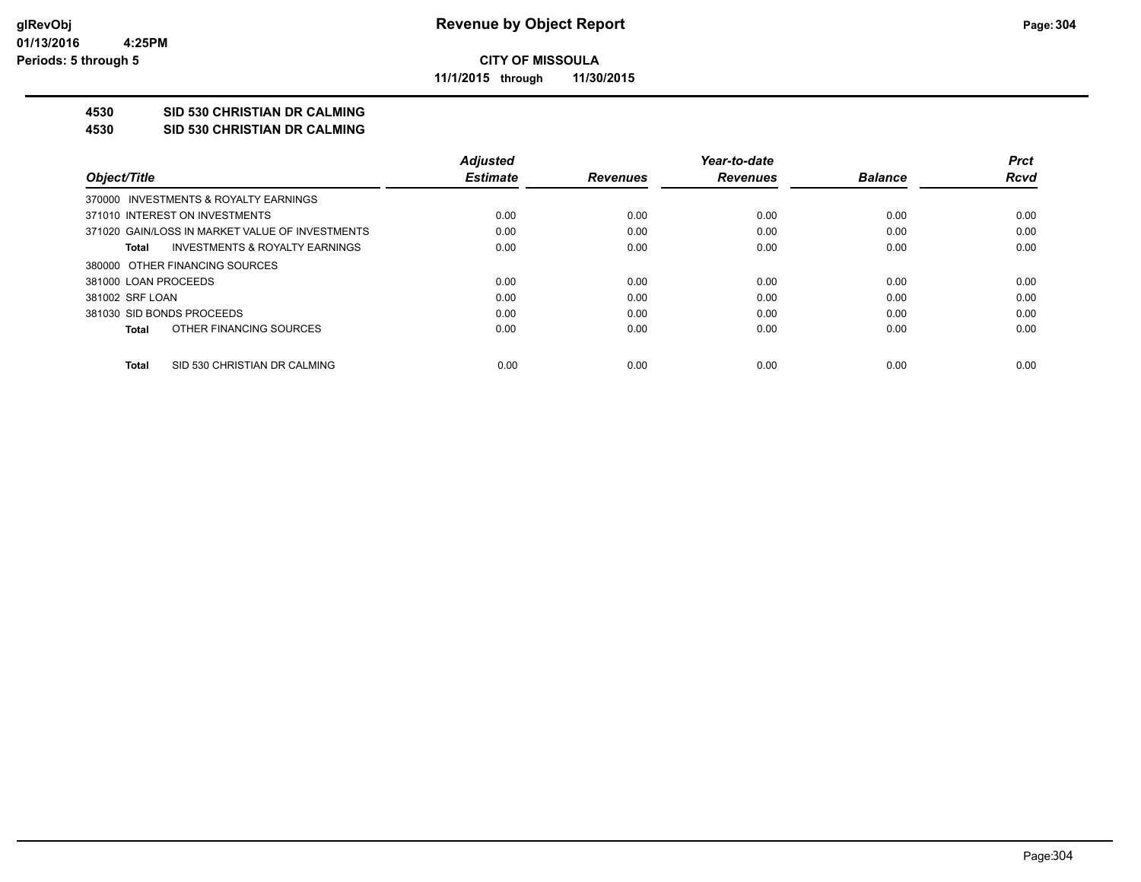**11/1/2015 through 11/30/2015**

# **4530 SID 530 CHRISTIAN DR CALMING**

**4530 SID 530 CHRISTIAN DR CALMING**

|                                                    | <b>Adiusted</b> |                 | Year-to-date    |                | Prct        |
|----------------------------------------------------|-----------------|-----------------|-----------------|----------------|-------------|
| Object/Title                                       | <b>Estimate</b> | <b>Revenues</b> | <b>Revenues</b> | <b>Balance</b> | <b>Rcvd</b> |
| 370000 INVESTMENTS & ROYALTY EARNINGS              |                 |                 |                 |                |             |
| 371010 INTEREST ON INVESTMENTS                     | 0.00            | 0.00            | 0.00            | 0.00           | 0.00        |
| 371020 GAIN/LOSS IN MARKET VALUE OF INVESTMENTS    | 0.00            | 0.00            | 0.00            | 0.00           | 0.00        |
| <b>INVESTMENTS &amp; ROYALTY EARNINGS</b><br>Total | 0.00            | 0.00            | 0.00            | 0.00           | 0.00        |
| 380000 OTHER FINANCING SOURCES                     |                 |                 |                 |                |             |
| 381000 LOAN PROCEEDS                               | 0.00            | 0.00            | 0.00            | 0.00           | 0.00        |
| 381002 SRF LOAN                                    | 0.00            | 0.00            | 0.00            | 0.00           | 0.00        |
| 381030 SID BONDS PROCEEDS                          | 0.00            | 0.00            | 0.00            | 0.00           | 0.00        |
| OTHER FINANCING SOURCES<br>Total                   | 0.00            | 0.00            | 0.00            | 0.00           | 0.00        |
|                                                    |                 |                 |                 |                |             |
| SID 530 CHRISTIAN DR CALMING<br>Total              | 0.00            | 0.00            | 0.00            | 0.00           | 0.00        |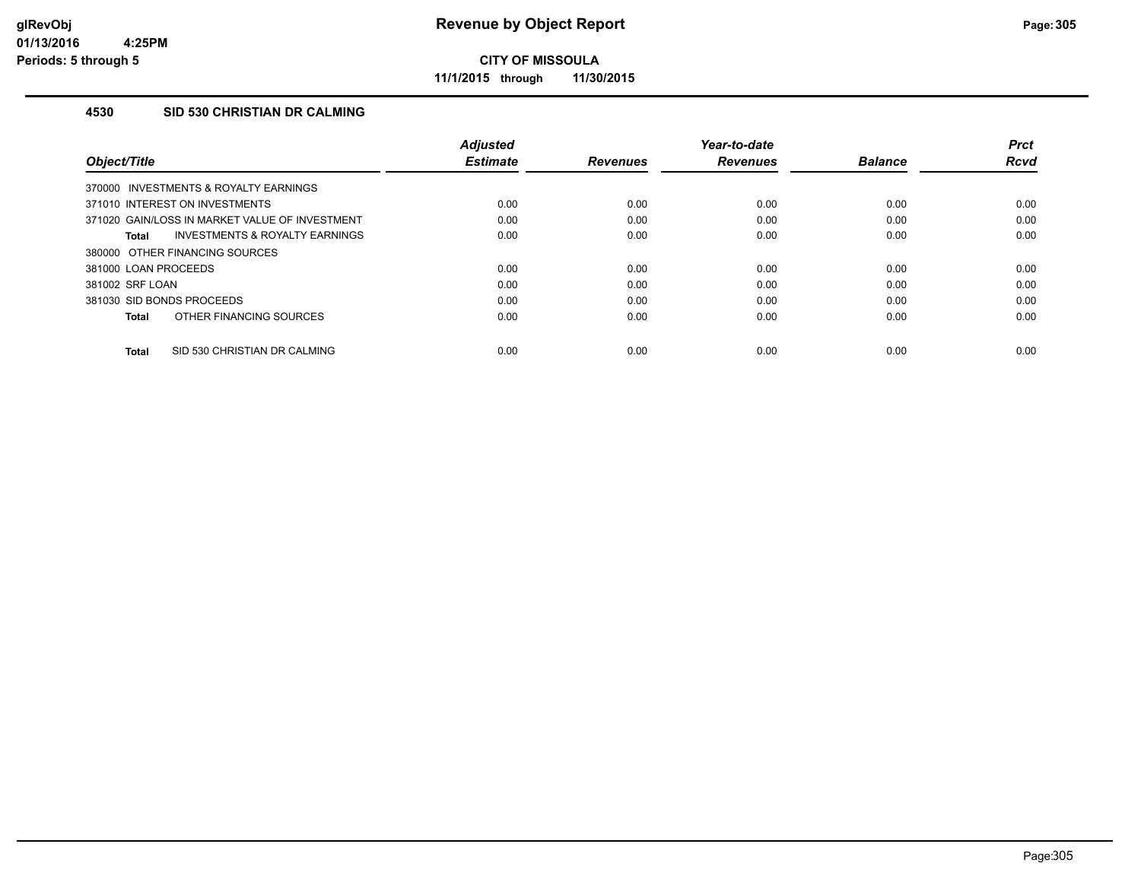**11/1/2015 through 11/30/2015**

### **4530 SID 530 CHRISTIAN DR CALMING**

| Object/Title                                       | <b>Adjusted</b><br><b>Estimate</b> | <b>Revenues</b> | Year-to-date<br><b>Revenues</b> | <b>Balance</b> | <b>Prct</b><br>Rcvd |
|----------------------------------------------------|------------------------------------|-----------------|---------------------------------|----------------|---------------------|
| 370000 INVESTMENTS & ROYALTY EARNINGS              |                                    |                 |                                 |                |                     |
| 371010 INTEREST ON INVESTMENTS                     | 0.00                               | 0.00            | 0.00                            | 0.00           | 0.00                |
| 371020 GAIN/LOSS IN MARKET VALUE OF INVESTMENT     | 0.00                               | 0.00            | 0.00                            | 0.00           | 0.00                |
| <b>INVESTMENTS &amp; ROYALTY EARNINGS</b><br>Total | 0.00                               | 0.00            | 0.00                            | 0.00           | 0.00                |
| 380000 OTHER FINANCING SOURCES                     |                                    |                 |                                 |                |                     |
| 381000 LOAN PROCEEDS                               | 0.00                               | 0.00            | 0.00                            | 0.00           | 0.00                |
| 381002 SRF LOAN                                    | 0.00                               | 0.00            | 0.00                            | 0.00           | 0.00                |
| 381030 SID BONDS PROCEEDS                          | 0.00                               | 0.00            | 0.00                            | 0.00           | 0.00                |
| OTHER FINANCING SOURCES<br>Total                   | 0.00                               | 0.00            | 0.00                            | 0.00           | 0.00                |
| SID 530 CHRISTIAN DR CALMING<br>Total              | 0.00                               | 0.00            | 0.00                            | 0.00           | 0.00                |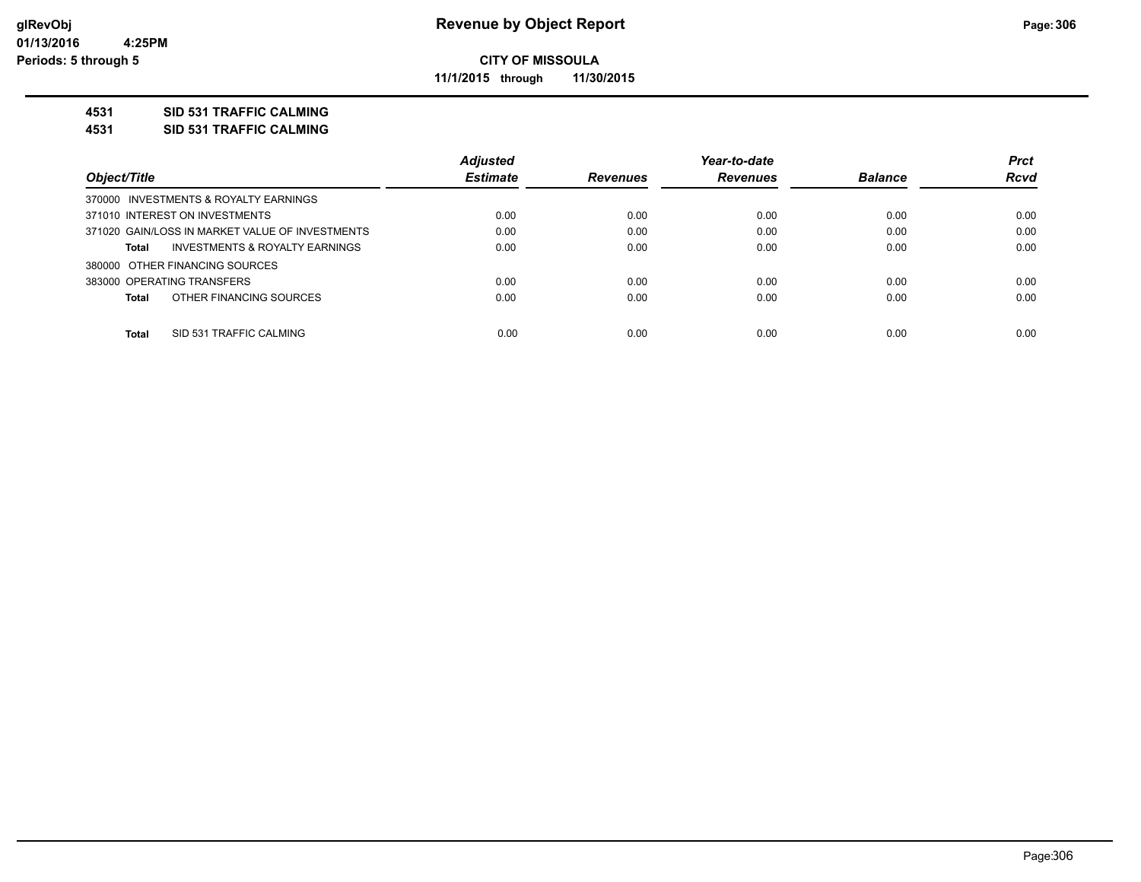**11/1/2015 through 11/30/2015**

#### **4531 SID 531 TRAFFIC CALMING**

**4531 SID 531 TRAFFIC CALMING**

|                                                    | <b>Adjusted</b> |                 | Year-to-date    |                | <b>Prct</b> |
|----------------------------------------------------|-----------------|-----------------|-----------------|----------------|-------------|
| Object/Title                                       | <b>Estimate</b> | <b>Revenues</b> | <b>Revenues</b> | <b>Balance</b> | <b>Rcvd</b> |
| 370000 INVESTMENTS & ROYALTY EARNINGS              |                 |                 |                 |                |             |
| 371010 INTEREST ON INVESTMENTS                     | 0.00            | 0.00            | 0.00            | 0.00           | 0.00        |
| 371020 GAIN/LOSS IN MARKET VALUE OF INVESTMENTS    | 0.00            | 0.00            | 0.00            | 0.00           | 0.00        |
| <b>INVESTMENTS &amp; ROYALTY EARNINGS</b><br>Total | 0.00            | 0.00            | 0.00            | 0.00           | 0.00        |
| 380000 OTHER FINANCING SOURCES                     |                 |                 |                 |                |             |
| 383000 OPERATING TRANSFERS                         | 0.00            | 0.00            | 0.00            | 0.00           | 0.00        |
| OTHER FINANCING SOURCES<br>Total                   | 0.00            | 0.00            | 0.00            | 0.00           | 0.00        |
|                                                    |                 |                 |                 |                |             |
| Total<br>SID 531 TRAFFIC CALMING                   | 0.00            | 0.00            | 0.00            | 0.00           | 0.00        |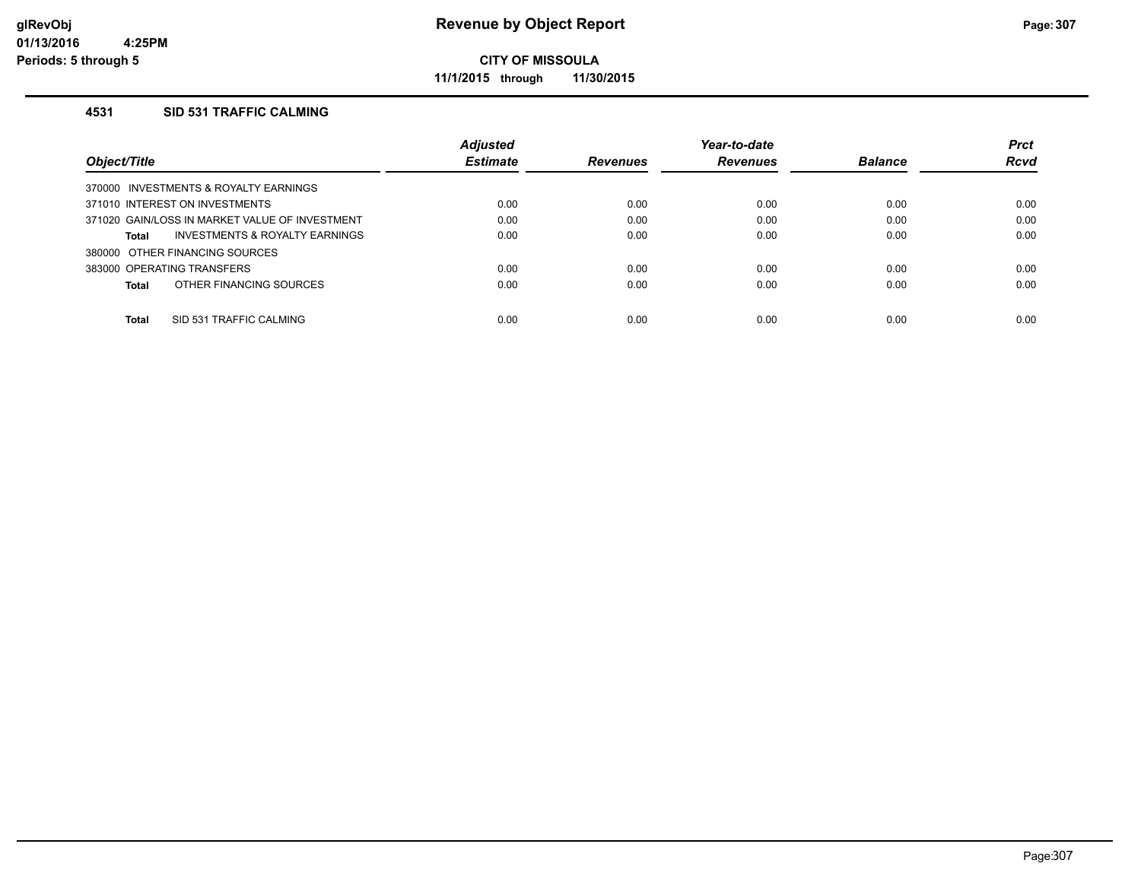**11/1/2015 through 11/30/2015**

#### **4531 SID 531 TRAFFIC CALMING**

|                                                    | <b>Adjusted</b> |                 | Year-to-date    |                | <b>Prct</b> |
|----------------------------------------------------|-----------------|-----------------|-----------------|----------------|-------------|
| Object/Title                                       | <b>Estimate</b> | <b>Revenues</b> | <b>Revenues</b> | <b>Balance</b> | <b>Rcvd</b> |
| INVESTMENTS & ROYALTY EARNINGS<br>370000           |                 |                 |                 |                |             |
| 371010 INTEREST ON INVESTMENTS                     | 0.00            | 0.00            | 0.00            | 0.00           | 0.00        |
| 371020 GAIN/LOSS IN MARKET VALUE OF INVESTMENT     | 0.00            | 0.00            | 0.00            | 0.00           | 0.00        |
| <b>INVESTMENTS &amp; ROYALTY EARNINGS</b><br>Total | 0.00            | 0.00            | 0.00            | 0.00           | 0.00        |
| 380000 OTHER FINANCING SOURCES                     |                 |                 |                 |                |             |
| 383000 OPERATING TRANSFERS                         | 0.00            | 0.00            | 0.00            | 0.00           | 0.00        |
| OTHER FINANCING SOURCES<br>Total                   | 0.00            | 0.00            | 0.00            | 0.00           | 0.00        |
|                                                    |                 |                 |                 |                |             |
| Total<br>SID 531 TRAFFIC CALMING                   | 0.00            | 0.00            | 0.00            | 0.00           | 0.00        |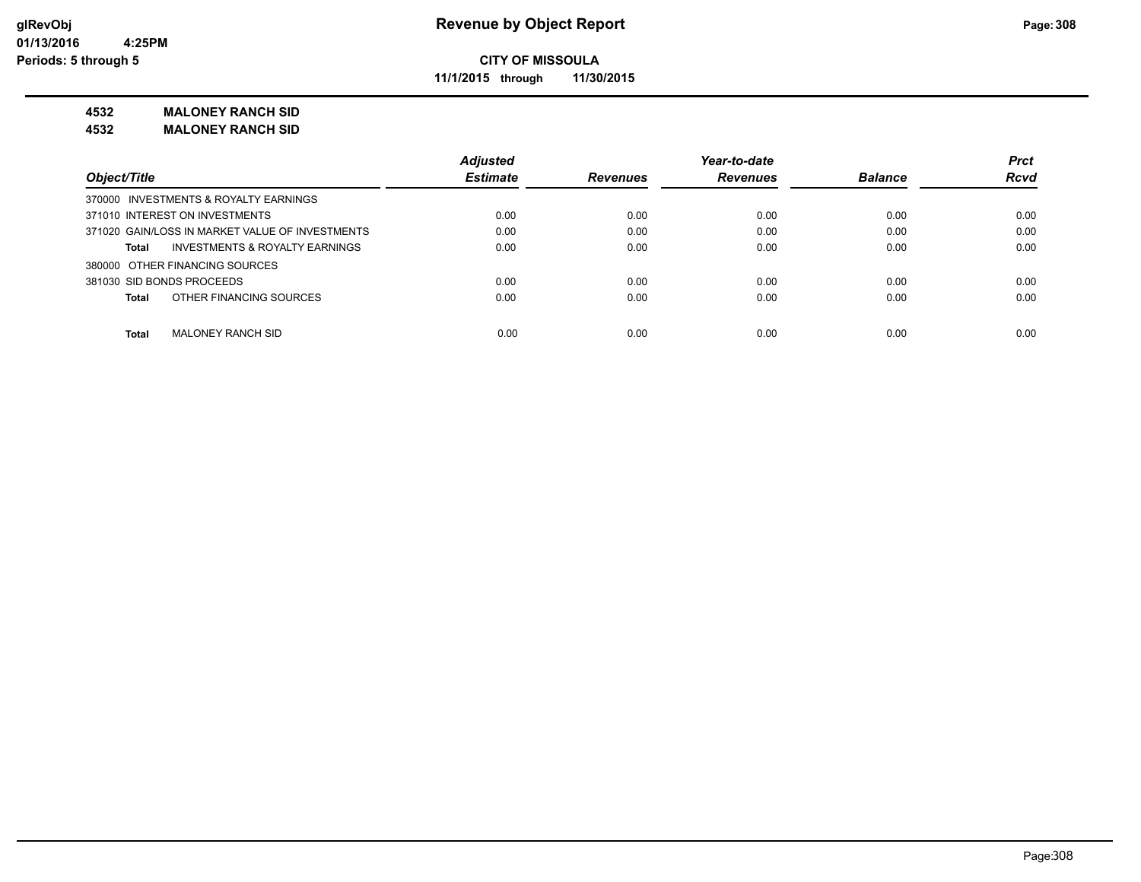**11/1/2015 through 11/30/2015**

#### **4532 MALONEY RANCH SID**

**4532 MALONEY RANCH SID**

|                                                    | <b>Adjusted</b> |                 | Year-to-date    |                | <b>Prct</b> |
|----------------------------------------------------|-----------------|-----------------|-----------------|----------------|-------------|
| Object/Title                                       | <b>Estimate</b> | <b>Revenues</b> | <b>Revenues</b> | <b>Balance</b> | <b>Rcvd</b> |
| 370000 INVESTMENTS & ROYALTY EARNINGS              |                 |                 |                 |                |             |
| 371010 INTEREST ON INVESTMENTS                     | 0.00            | 0.00            | 0.00            | 0.00           | 0.00        |
| 371020 GAIN/LOSS IN MARKET VALUE OF INVESTMENTS    | 0.00            | 0.00            | 0.00            | 0.00           | 0.00        |
| <b>INVESTMENTS &amp; ROYALTY EARNINGS</b><br>Total | 0.00            | 0.00            | 0.00            | 0.00           | 0.00        |
| 380000 OTHER FINANCING SOURCES                     |                 |                 |                 |                |             |
| 381030 SID BONDS PROCEEDS                          | 0.00            | 0.00            | 0.00            | 0.00           | 0.00        |
| OTHER FINANCING SOURCES<br><b>Total</b>            | 0.00            | 0.00            | 0.00            | 0.00           | 0.00        |
| <b>Total</b><br><b>MALONEY RANCH SID</b>           | 0.00            | 0.00            | 0.00            | 0.00           | 0.00        |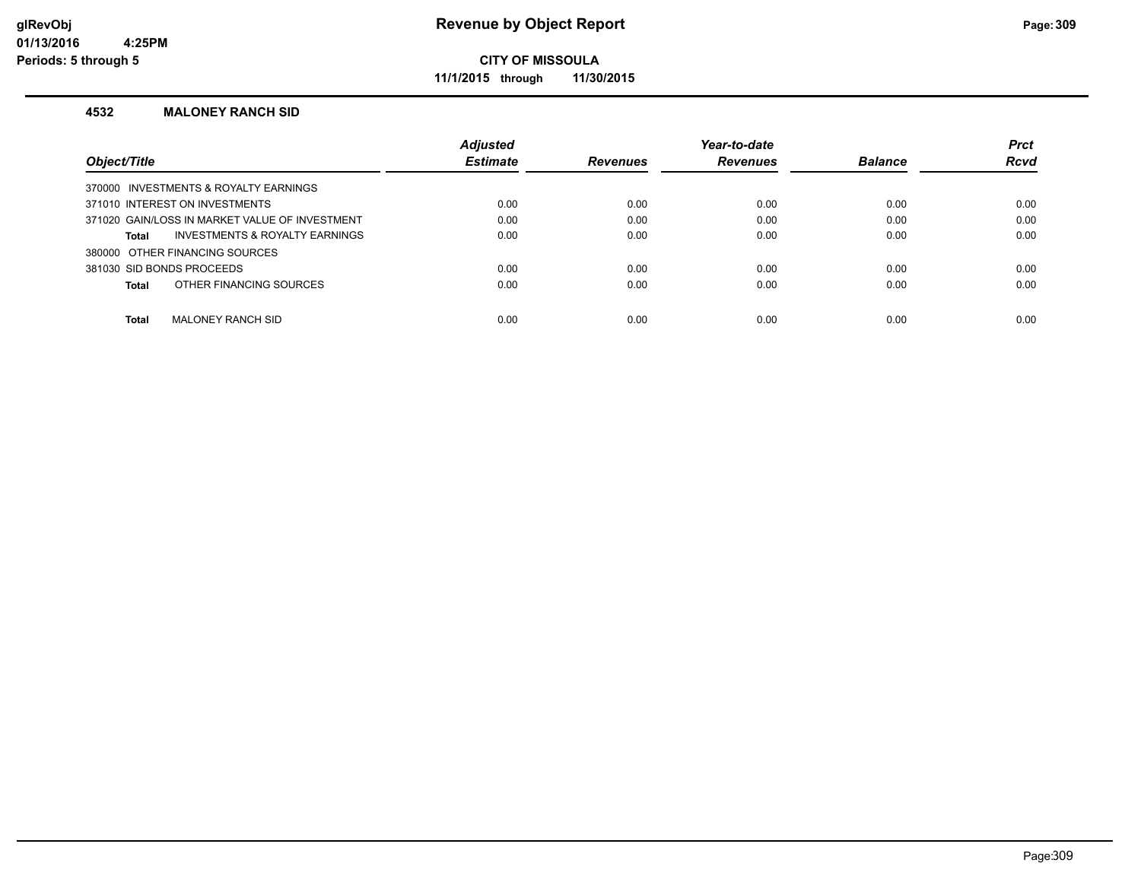**11/1/2015 through 11/30/2015**

#### **4532 MALONEY RANCH SID**

|                                                           | <b>Adiusted</b> |                 | Year-to-date    |                | <b>Prct</b> |
|-----------------------------------------------------------|-----------------|-----------------|-----------------|----------------|-------------|
| Object/Title                                              | <b>Estimate</b> | <b>Revenues</b> | <b>Revenues</b> | <b>Balance</b> | <b>Rcvd</b> |
| 370000 INVESTMENTS & ROYALTY EARNINGS                     |                 |                 |                 |                |             |
| 371010 INTEREST ON INVESTMENTS                            | 0.00            | 0.00            | 0.00            | 0.00           | 0.00        |
| 371020 GAIN/LOSS IN MARKET VALUE OF INVESTMENT            | 0.00            | 0.00            | 0.00            | 0.00           | 0.00        |
| <b>INVESTMENTS &amp; ROYALTY EARNINGS</b><br><b>Total</b> | 0.00            | 0.00            | 0.00            | 0.00           | 0.00        |
| 380000 OTHER FINANCING SOURCES                            |                 |                 |                 |                |             |
| 381030 SID BONDS PROCEEDS                                 | 0.00            | 0.00            | 0.00            | 0.00           | 0.00        |
| OTHER FINANCING SOURCES<br><b>Total</b>                   | 0.00            | 0.00            | 0.00            | 0.00           | 0.00        |
|                                                           |                 |                 |                 |                |             |
| <b>Total</b><br><b>MALONEY RANCH SID</b>                  | 0.00            | 0.00            | 0.00            | 0.00           | 0.00        |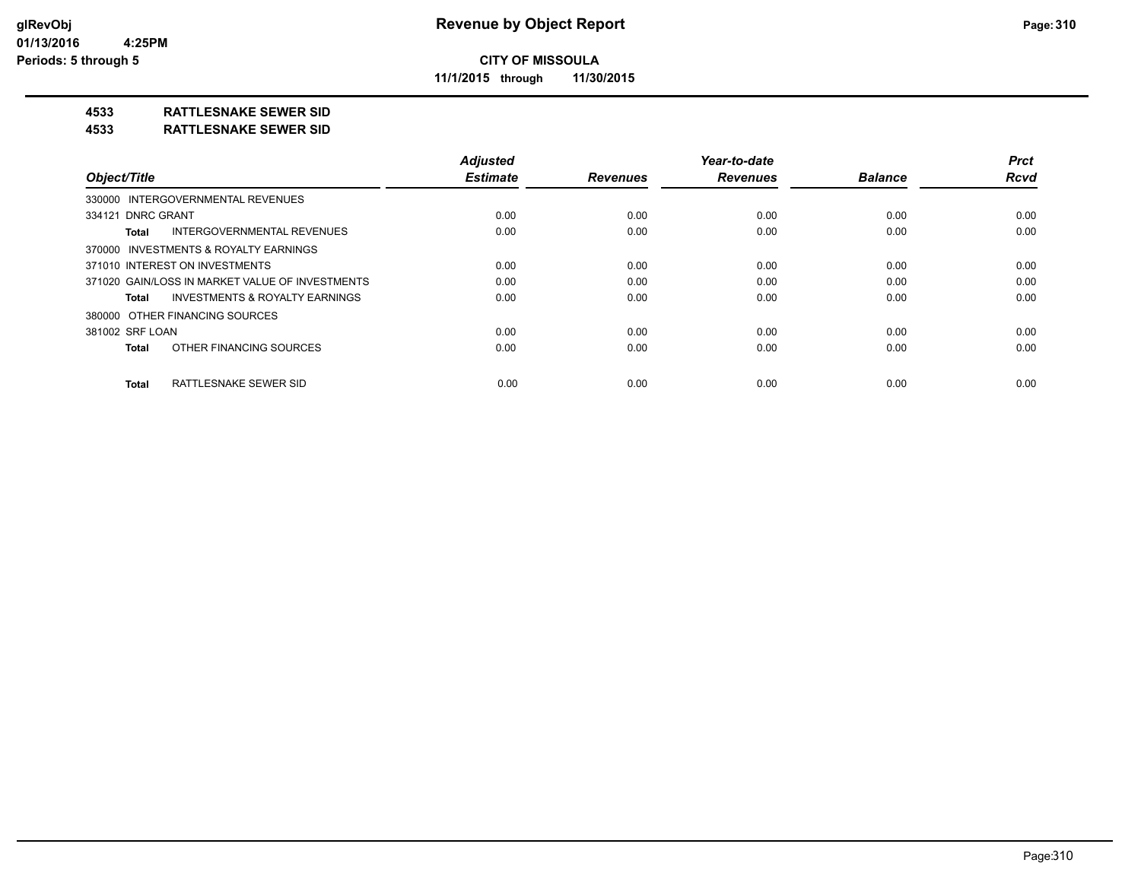**11/1/2015 through 11/30/2015**

### **4533 RATTLESNAKE SEWER SID**

#### **4533 RATTLESNAKE SEWER SID**

|                                                    | <b>Adjusted</b> |                 | Year-to-date    |                | <b>Prct</b> |
|----------------------------------------------------|-----------------|-----------------|-----------------|----------------|-------------|
| Object/Title                                       | <b>Estimate</b> | <b>Revenues</b> | <b>Revenues</b> | <b>Balance</b> | <b>Rcvd</b> |
| 330000 INTERGOVERNMENTAL REVENUES                  |                 |                 |                 |                |             |
| 334121 DNRC GRANT                                  | 0.00            | 0.00            | 0.00            | 0.00           | 0.00        |
| INTERGOVERNMENTAL REVENUES<br>Total                | 0.00            | 0.00            | 0.00            | 0.00           | 0.00        |
| 370000 INVESTMENTS & ROYALTY EARNINGS              |                 |                 |                 |                |             |
| 371010 INTEREST ON INVESTMENTS                     | 0.00            | 0.00            | 0.00            | 0.00           | 0.00        |
| 371020 GAIN/LOSS IN MARKET VALUE OF INVESTMENTS    | 0.00            | 0.00            | 0.00            | 0.00           | 0.00        |
| <b>INVESTMENTS &amp; ROYALTY EARNINGS</b><br>Total | 0.00            | 0.00            | 0.00            | 0.00           | 0.00        |
| 380000 OTHER FINANCING SOURCES                     |                 |                 |                 |                |             |
| 381002 SRF LOAN                                    | 0.00            | 0.00            | 0.00            | 0.00           | 0.00        |
| OTHER FINANCING SOURCES<br>Total                   | 0.00            | 0.00            | 0.00            | 0.00           | 0.00        |
| <b>RATTLESNAKE SEWER SID</b><br>Total              | 0.00            | 0.00            | 0.00            | 0.00           | 0.00        |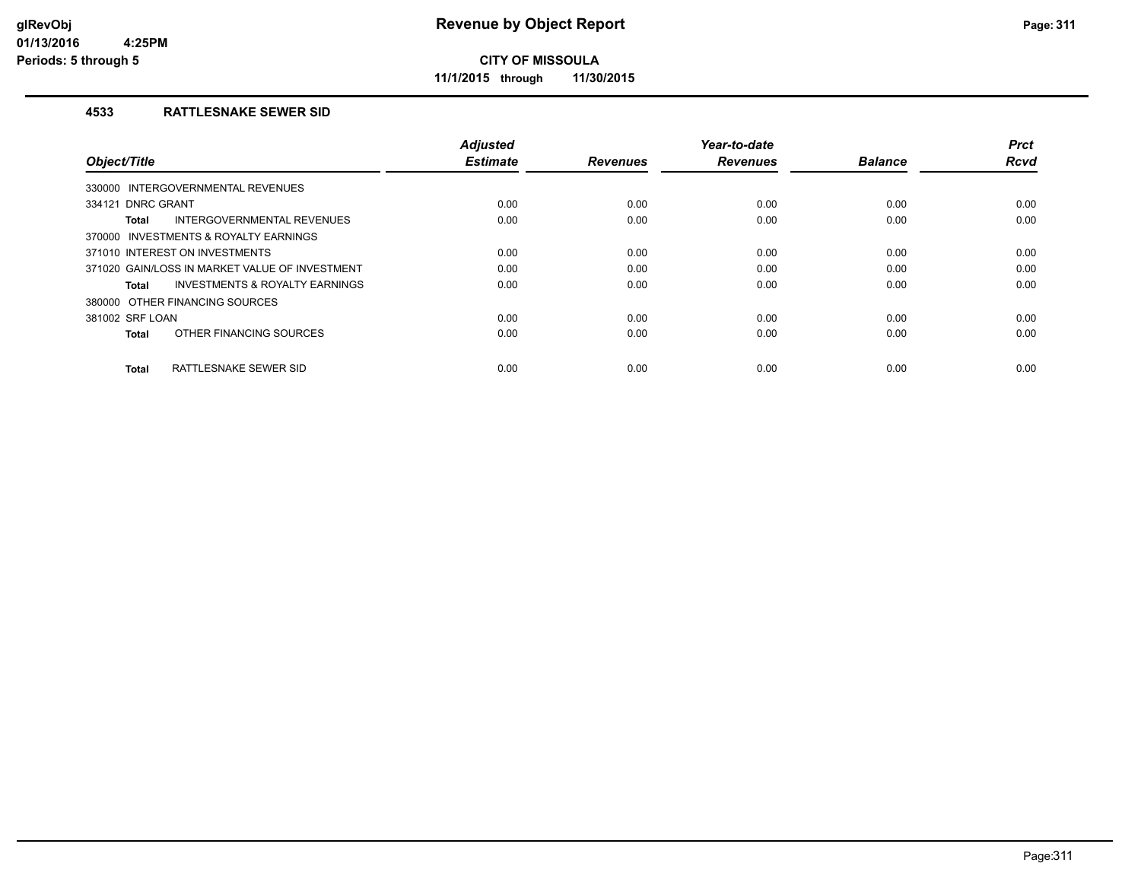**11/1/2015 through 11/30/2015**

### **4533 RATTLESNAKE SEWER SID**

|                                                | <b>Adjusted</b> |                 | Year-to-date    |                | <b>Prct</b> |
|------------------------------------------------|-----------------|-----------------|-----------------|----------------|-------------|
| Object/Title                                   | <b>Estimate</b> | <b>Revenues</b> | <b>Revenues</b> | <b>Balance</b> | <b>Rcvd</b> |
| 330000 INTERGOVERNMENTAL REVENUES              |                 |                 |                 |                |             |
| 334121 DNRC GRANT                              | 0.00            | 0.00            | 0.00            | 0.00           | 0.00        |
| INTERGOVERNMENTAL REVENUES<br><b>Total</b>     | 0.00            | 0.00            | 0.00            | 0.00           | 0.00        |
| 370000 INVESTMENTS & ROYALTY EARNINGS          |                 |                 |                 |                |             |
| 371010 INTEREST ON INVESTMENTS                 | 0.00            | 0.00            | 0.00            | 0.00           | 0.00        |
| 371020 GAIN/LOSS IN MARKET VALUE OF INVESTMENT | 0.00            | 0.00            | 0.00            | 0.00           | 0.00        |
| INVESTMENTS & ROYALTY EARNINGS<br><b>Total</b> | 0.00            | 0.00            | 0.00            | 0.00           | 0.00        |
| 380000 OTHER FINANCING SOURCES                 |                 |                 |                 |                |             |
| 381002 SRF LOAN                                | 0.00            | 0.00            | 0.00            | 0.00           | 0.00        |
| OTHER FINANCING SOURCES<br><b>Total</b>        | 0.00            | 0.00            | 0.00            | 0.00           | 0.00        |
|                                                |                 |                 |                 |                |             |
| RATTLESNAKE SEWER SID<br><b>Total</b>          | 0.00            | 0.00            | 0.00            | 0.00           | 0.00        |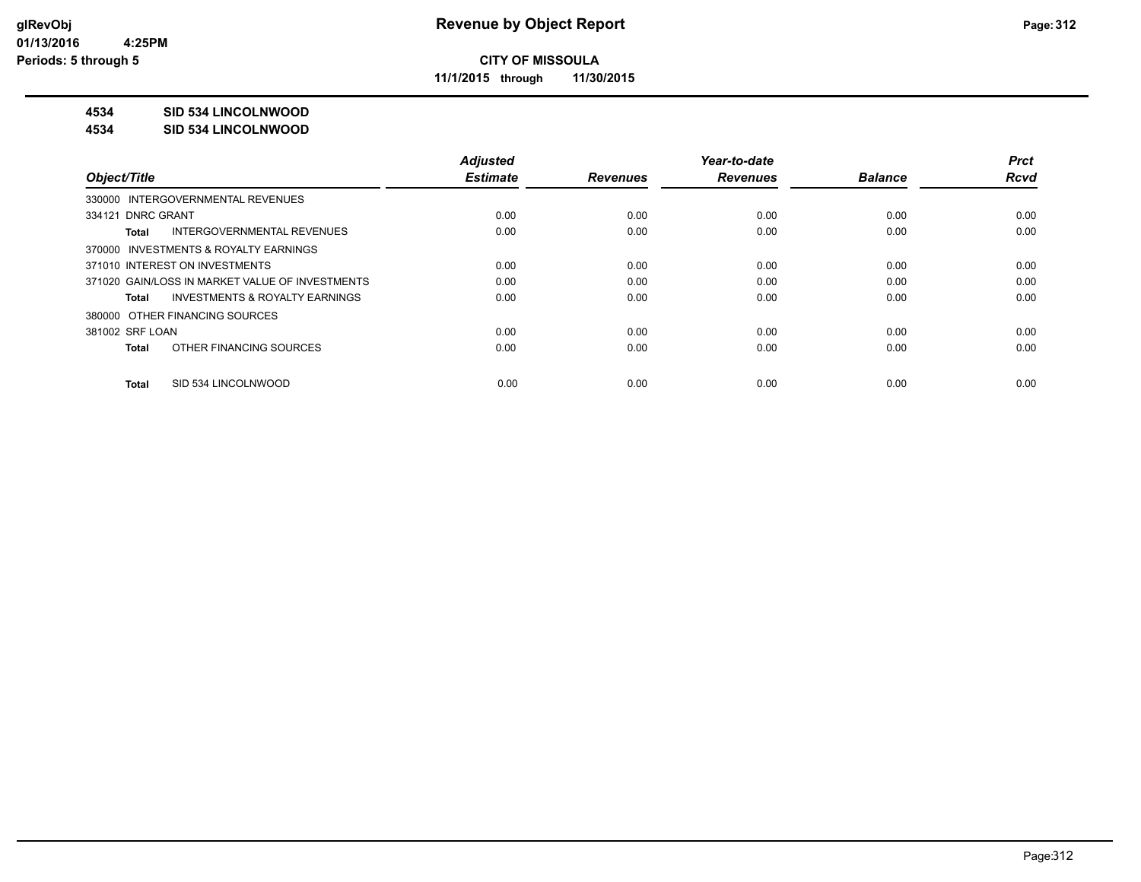**11/1/2015 through 11/30/2015**

### **4534 SID 534 LINCOLNWOOD**

#### **4534 SID 534 LINCOLNWOOD**

|                                                    | <b>Adjusted</b> |                 | Year-to-date    |                | <b>Prct</b> |
|----------------------------------------------------|-----------------|-----------------|-----------------|----------------|-------------|
| Object/Title                                       | <b>Estimate</b> | <b>Revenues</b> | <b>Revenues</b> | <b>Balance</b> | <b>Rcvd</b> |
| 330000 INTERGOVERNMENTAL REVENUES                  |                 |                 |                 |                |             |
| 334121 DNRC GRANT                                  | 0.00            | 0.00            | 0.00            | 0.00           | 0.00        |
| INTERGOVERNMENTAL REVENUES<br>Total                | 0.00            | 0.00            | 0.00            | 0.00           | 0.00        |
| 370000 INVESTMENTS & ROYALTY EARNINGS              |                 |                 |                 |                |             |
| 371010 INTEREST ON INVESTMENTS                     | 0.00            | 0.00            | 0.00            | 0.00           | 0.00        |
| 371020 GAIN/LOSS IN MARKET VALUE OF INVESTMENTS    | 0.00            | 0.00            | 0.00            | 0.00           | 0.00        |
| <b>INVESTMENTS &amp; ROYALTY EARNINGS</b><br>Total | 0.00            | 0.00            | 0.00            | 0.00           | 0.00        |
| 380000 OTHER FINANCING SOURCES                     |                 |                 |                 |                |             |
| 381002 SRF LOAN                                    | 0.00            | 0.00            | 0.00            | 0.00           | 0.00        |
| OTHER FINANCING SOURCES<br>Total                   | 0.00            | 0.00            | 0.00            | 0.00           | 0.00        |
| SID 534 LINCOLNWOOD<br>Total                       | 0.00            | 0.00            | 0.00            | 0.00           | 0.00        |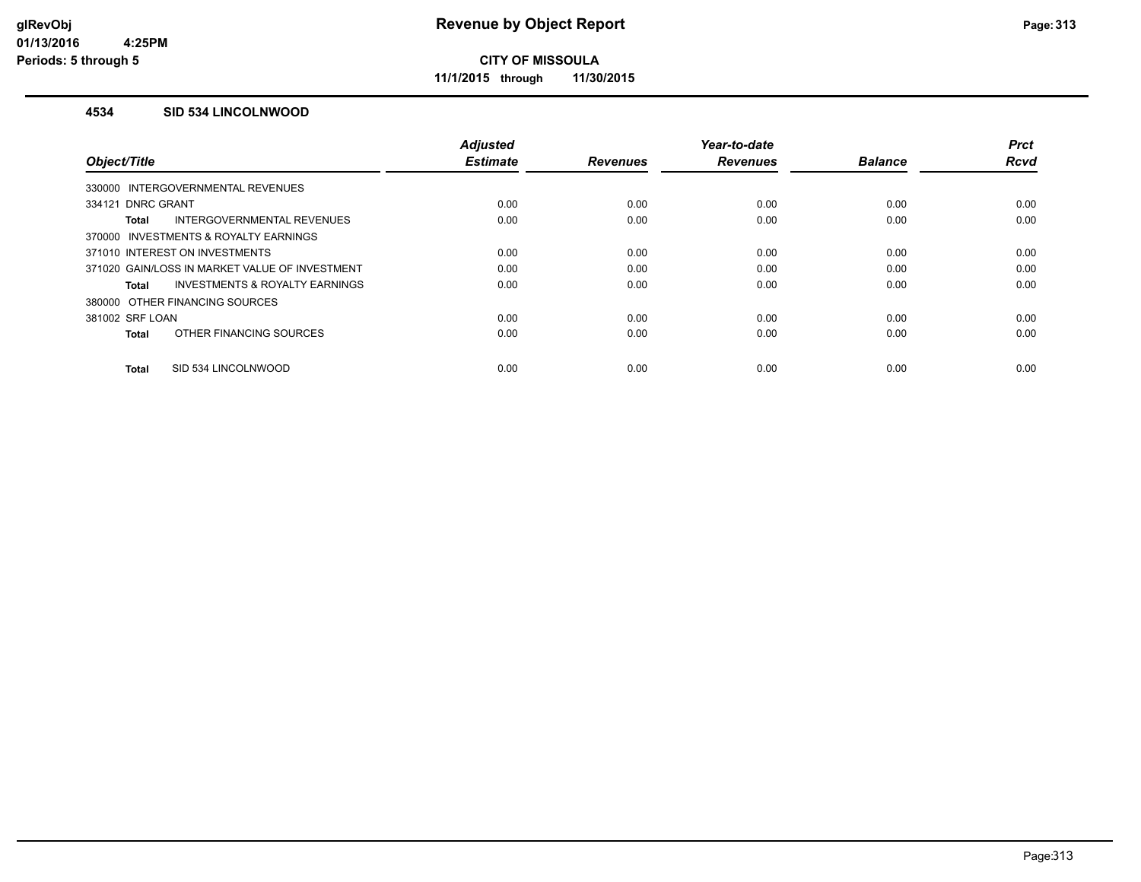**11/1/2015 through 11/30/2015**

#### **4534 SID 534 LINCOLNWOOD**

|                                                    | <b>Adjusted</b> |                 | Year-to-date    |                | <b>Prct</b> |
|----------------------------------------------------|-----------------|-----------------|-----------------|----------------|-------------|
| Object/Title                                       | <b>Estimate</b> | <b>Revenues</b> | <b>Revenues</b> | <b>Balance</b> | <b>Rcvd</b> |
| 330000 INTERGOVERNMENTAL REVENUES                  |                 |                 |                 |                |             |
| 334121 DNRC GRANT                                  | 0.00            | 0.00            | 0.00            | 0.00           | 0.00        |
| INTERGOVERNMENTAL REVENUES<br>Total                | 0.00            | 0.00            | 0.00            | 0.00           | 0.00        |
| 370000 INVESTMENTS & ROYALTY EARNINGS              |                 |                 |                 |                |             |
| 371010 INTEREST ON INVESTMENTS                     | 0.00            | 0.00            | 0.00            | 0.00           | 0.00        |
| 371020 GAIN/LOSS IN MARKET VALUE OF INVESTMENT     | 0.00            | 0.00            | 0.00            | 0.00           | 0.00        |
| <b>INVESTMENTS &amp; ROYALTY EARNINGS</b><br>Total | 0.00            | 0.00            | 0.00            | 0.00           | 0.00        |
| 380000 OTHER FINANCING SOURCES                     |                 |                 |                 |                |             |
| 381002 SRF LOAN                                    | 0.00            | 0.00            | 0.00            | 0.00           | 0.00        |
| OTHER FINANCING SOURCES<br><b>Total</b>            | 0.00            | 0.00            | 0.00            | 0.00           | 0.00        |
|                                                    |                 |                 |                 |                |             |
| SID 534 LINCOLNWOOD<br><b>Total</b>                | 0.00            | 0.00            | 0.00            | 0.00           | 0.00        |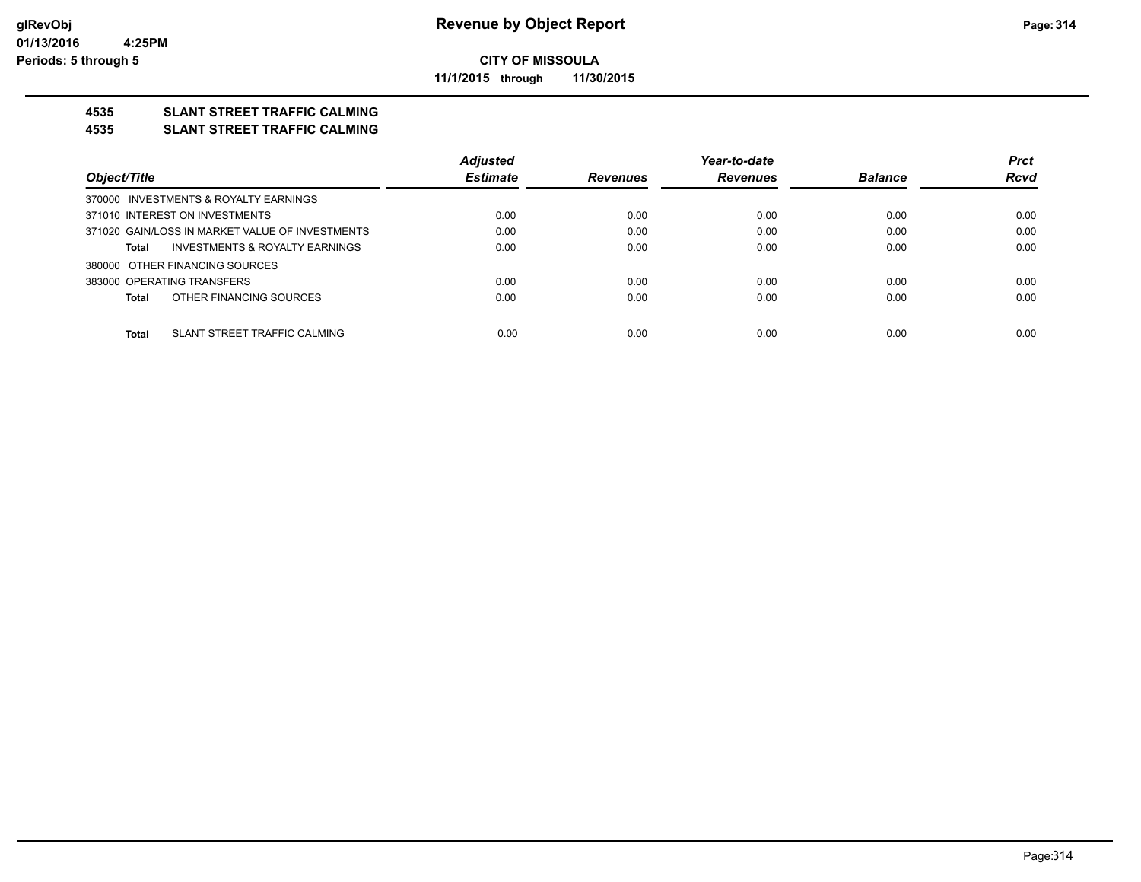**11/1/2015 through 11/30/2015**

# **4535 SLANT STREET TRAFFIC CALMING**

#### **4535 SLANT STREET TRAFFIC CALMING**

|                                                    | <b>Adjusted</b> |                 | Year-to-date    |                | <b>Prct</b> |
|----------------------------------------------------|-----------------|-----------------|-----------------|----------------|-------------|
| Object/Title                                       | <b>Estimate</b> | <b>Revenues</b> | <b>Revenues</b> | <b>Balance</b> | <b>Rcvd</b> |
| 370000 INVESTMENTS & ROYALTY EARNINGS              |                 |                 |                 |                |             |
| 371010 INTEREST ON INVESTMENTS                     | 0.00            | 0.00            | 0.00            | 0.00           | 0.00        |
| 371020 GAIN/LOSS IN MARKET VALUE OF INVESTMENTS    | 0.00            | 0.00            | 0.00            | 0.00           | 0.00        |
| <b>INVESTMENTS &amp; ROYALTY EARNINGS</b><br>Total | 0.00            | 0.00            | 0.00            | 0.00           | 0.00        |
| 380000 OTHER FINANCING SOURCES                     |                 |                 |                 |                |             |
| 383000 OPERATING TRANSFERS                         | 0.00            | 0.00            | 0.00            | 0.00           | 0.00        |
| OTHER FINANCING SOURCES<br>Total                   | 0.00            | 0.00            | 0.00            | 0.00           | 0.00        |
|                                                    |                 |                 |                 |                |             |
| SLANT STREET TRAFFIC CALMING<br><b>Total</b>       | 0.00            | 0.00            | 0.00            | 0.00           | 0.00        |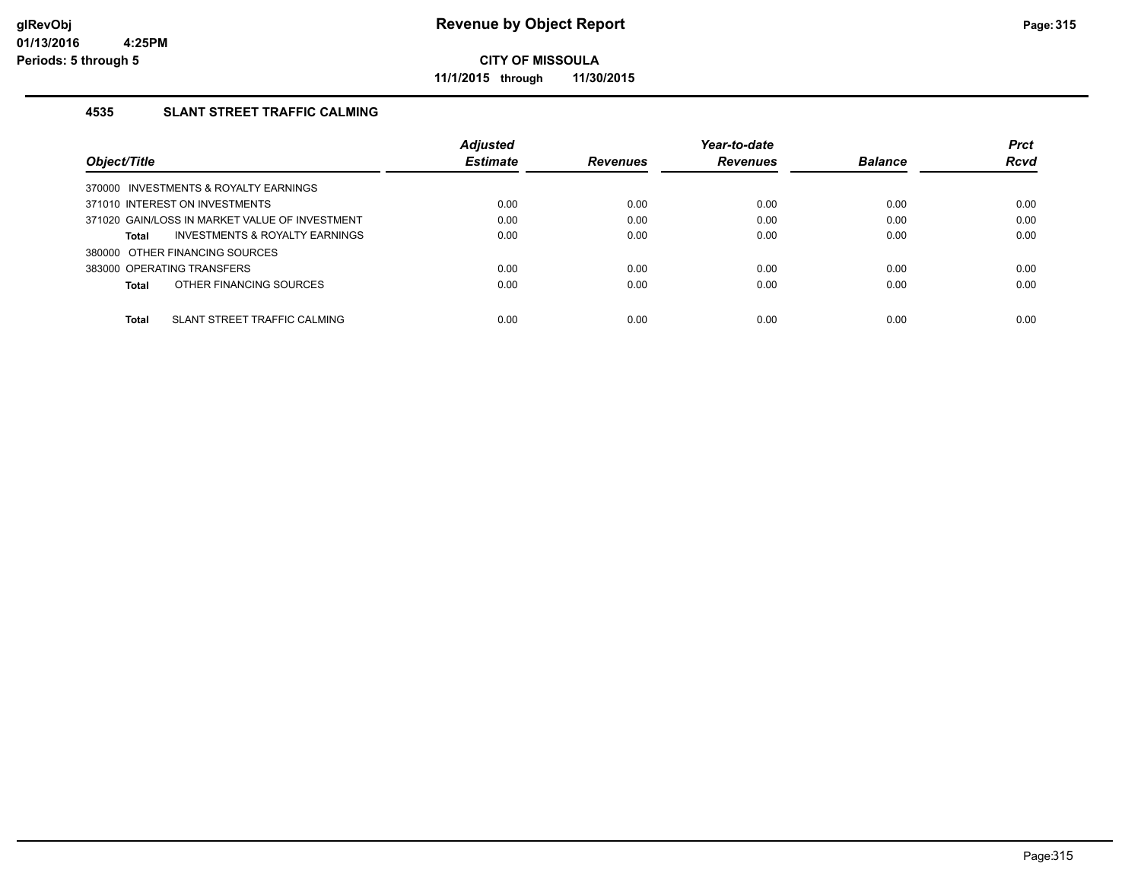**11/1/2015 through 11/30/2015**

### **4535 SLANT STREET TRAFFIC CALMING**

|                                                    | <b>Adjusted</b> |                 | Year-to-date    |                | <b>Prct</b> |
|----------------------------------------------------|-----------------|-----------------|-----------------|----------------|-------------|
| Object/Title                                       | <b>Estimate</b> | <b>Revenues</b> | <b>Revenues</b> | <b>Balance</b> | <b>Rcvd</b> |
| 370000 INVESTMENTS & ROYALTY EARNINGS              |                 |                 |                 |                |             |
| 371010 INTEREST ON INVESTMENTS                     | 0.00            | 0.00            | 0.00            | 0.00           | 0.00        |
| 371020 GAIN/LOSS IN MARKET VALUE OF INVESTMENT     | 0.00            | 0.00            | 0.00            | 0.00           | 0.00        |
| <b>INVESTMENTS &amp; ROYALTY EARNINGS</b><br>Total | 0.00            | 0.00            | 0.00            | 0.00           | 0.00        |
| 380000 OTHER FINANCING SOURCES                     |                 |                 |                 |                |             |
| 383000 OPERATING TRANSFERS                         | 0.00            | 0.00            | 0.00            | 0.00           | 0.00        |
| OTHER FINANCING SOURCES<br>Total                   | 0.00            | 0.00            | 0.00            | 0.00           | 0.00        |
|                                                    |                 |                 |                 |                |             |
| SLANT STREET TRAFFIC CALMING<br>Total              | 0.00            | 0.00            | 0.00            | 0.00           | 0.00        |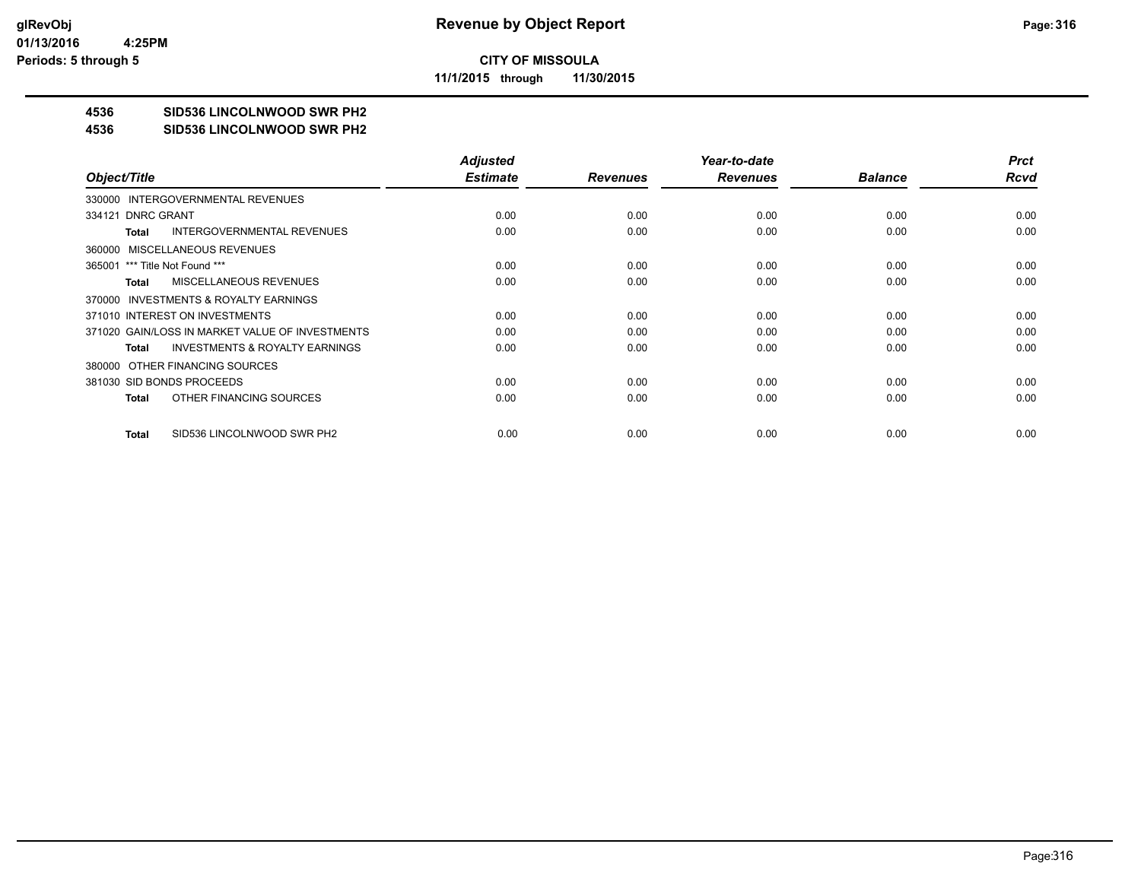**11/1/2015 through 11/30/2015**

# **4536 SID536 LINCOLNWOOD SWR PH2**

#### **4536 SID536 LINCOLNWOOD SWR PH2**

|                                                    | <b>Adjusted</b> |                 | Year-to-date    |                | <b>Prct</b> |
|----------------------------------------------------|-----------------|-----------------|-----------------|----------------|-------------|
| Object/Title                                       | <b>Estimate</b> | <b>Revenues</b> | <b>Revenues</b> | <b>Balance</b> | <b>Rcvd</b> |
| 330000 INTERGOVERNMENTAL REVENUES                  |                 |                 |                 |                |             |
| 334121 DNRC GRANT                                  | 0.00            | 0.00            | 0.00            | 0.00           | 0.00        |
| <b>INTERGOVERNMENTAL REVENUES</b><br>Total         | 0.00            | 0.00            | 0.00            | 0.00           | 0.00        |
| 360000 MISCELLANEOUS REVENUES                      |                 |                 |                 |                |             |
| 365001 *** Title Not Found ***                     | 0.00            | 0.00            | 0.00            | 0.00           | 0.00        |
| <b>MISCELLANEOUS REVENUES</b><br>Total             | 0.00            | 0.00            | 0.00            | 0.00           | 0.00        |
| 370000 INVESTMENTS & ROYALTY EARNINGS              |                 |                 |                 |                |             |
| 371010 INTEREST ON INVESTMENTS                     | 0.00            | 0.00            | 0.00            | 0.00           | 0.00        |
| 371020 GAIN/LOSS IN MARKET VALUE OF INVESTMENTS    | 0.00            | 0.00            | 0.00            | 0.00           | 0.00        |
| <b>INVESTMENTS &amp; ROYALTY EARNINGS</b><br>Total | 0.00            | 0.00            | 0.00            | 0.00           | 0.00        |
| 380000 OTHER FINANCING SOURCES                     |                 |                 |                 |                |             |
| 381030 SID BONDS PROCEEDS                          | 0.00            | 0.00            | 0.00            | 0.00           | 0.00        |
| OTHER FINANCING SOURCES<br>Total                   | 0.00            | 0.00            | 0.00            | 0.00           | 0.00        |
|                                                    |                 |                 |                 |                |             |
| SID536 LINCOLNWOOD SWR PH2<br>Total                | 0.00            | 0.00            | 0.00            | 0.00           | 0.00        |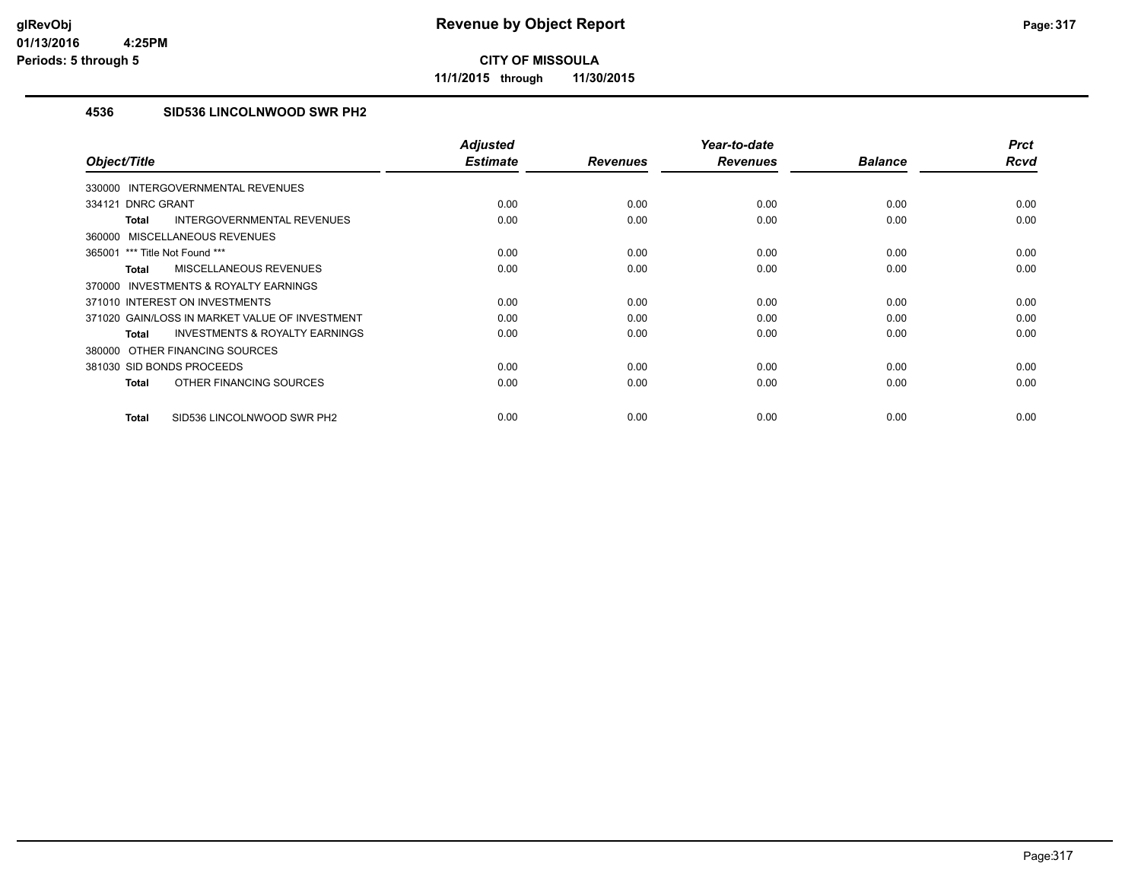**11/1/2015 through 11/30/2015**

### **4536 SID536 LINCOLNWOOD SWR PH2**

| Object/Title                                              | <b>Adjusted</b><br><b>Estimate</b> | <b>Revenues</b> | Year-to-date<br><b>Revenues</b> | <b>Balance</b> | <b>Prct</b><br><b>Rcvd</b> |
|-----------------------------------------------------------|------------------------------------|-----------------|---------------------------------|----------------|----------------------------|
| INTERGOVERNMENTAL REVENUES<br>330000                      |                                    |                 |                                 |                |                            |
| 334121 DNRC GRANT                                         | 0.00                               | 0.00            | 0.00                            | 0.00           | 0.00                       |
| INTERGOVERNMENTAL REVENUES<br><b>Total</b>                | 0.00                               | 0.00            | 0.00                            | 0.00           | 0.00                       |
| MISCELLANEOUS REVENUES<br>360000                          |                                    |                 |                                 |                |                            |
| 365001 *** Title Not Found ***                            | 0.00                               | 0.00            | 0.00                            | 0.00           | 0.00                       |
| MISCELLANEOUS REVENUES<br><b>Total</b>                    | 0.00                               | 0.00            | 0.00                            | 0.00           | 0.00                       |
| <b>INVESTMENTS &amp; ROYALTY EARNINGS</b><br>370000       |                                    |                 |                                 |                |                            |
| 371010 INTEREST ON INVESTMENTS                            | 0.00                               | 0.00            | 0.00                            | 0.00           | 0.00                       |
| 371020 GAIN/LOSS IN MARKET VALUE OF INVESTMENT            | 0.00                               | 0.00            | 0.00                            | 0.00           | 0.00                       |
| <b>INVESTMENTS &amp; ROYALTY EARNINGS</b><br><b>Total</b> | 0.00                               | 0.00            | 0.00                            | 0.00           | 0.00                       |
| 380000 OTHER FINANCING SOURCES                            |                                    |                 |                                 |                |                            |
| 381030 SID BONDS PROCEEDS                                 | 0.00                               | 0.00            | 0.00                            | 0.00           | 0.00                       |
| OTHER FINANCING SOURCES<br><b>Total</b>                   | 0.00                               | 0.00            | 0.00                            | 0.00           | 0.00                       |
| SID536 LINCOLNWOOD SWR PH2<br><b>Total</b>                | 0.00                               | 0.00            | 0.00                            | 0.00           | 0.00                       |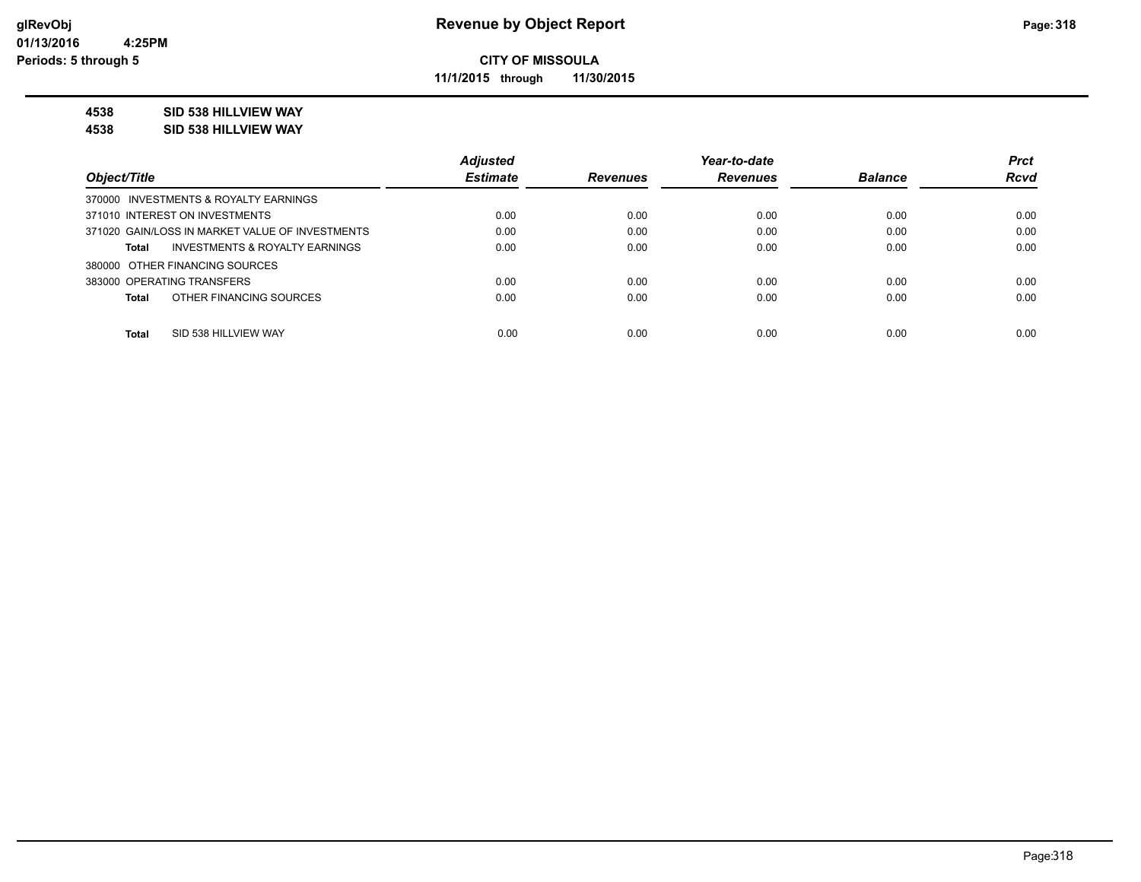**11/1/2015 through 11/30/2015**

### **4538 SID 538 HILLVIEW WAY**

**4538 SID 538 HILLVIEW WAY**

|                                                    | <b>Adjusted</b> |                 | Year-to-date    |                | <b>Prct</b> |
|----------------------------------------------------|-----------------|-----------------|-----------------|----------------|-------------|
| Object/Title                                       | <b>Estimate</b> | <b>Revenues</b> | <b>Revenues</b> | <b>Balance</b> | <b>Rcvd</b> |
| 370000 INVESTMENTS & ROYALTY EARNINGS              |                 |                 |                 |                |             |
| 371010 INTEREST ON INVESTMENTS                     | 0.00            | 0.00            | 0.00            | 0.00           | 0.00        |
| 371020 GAIN/LOSS IN MARKET VALUE OF INVESTMENTS    | 0.00            | 0.00            | 0.00            | 0.00           | 0.00        |
| <b>INVESTMENTS &amp; ROYALTY EARNINGS</b><br>Total | 0.00            | 0.00            | 0.00            | 0.00           | 0.00        |
| 380000 OTHER FINANCING SOURCES                     |                 |                 |                 |                |             |
| 383000 OPERATING TRANSFERS                         | 0.00            | 0.00            | 0.00            | 0.00           | 0.00        |
| OTHER FINANCING SOURCES<br><b>Total</b>            | 0.00            | 0.00            | 0.00            | 0.00           | 0.00        |
|                                                    |                 |                 |                 |                |             |
| <b>Total</b><br>SID 538 HILLVIEW WAY               | 0.00            | 0.00            | 0.00            | 0.00           | 0.00        |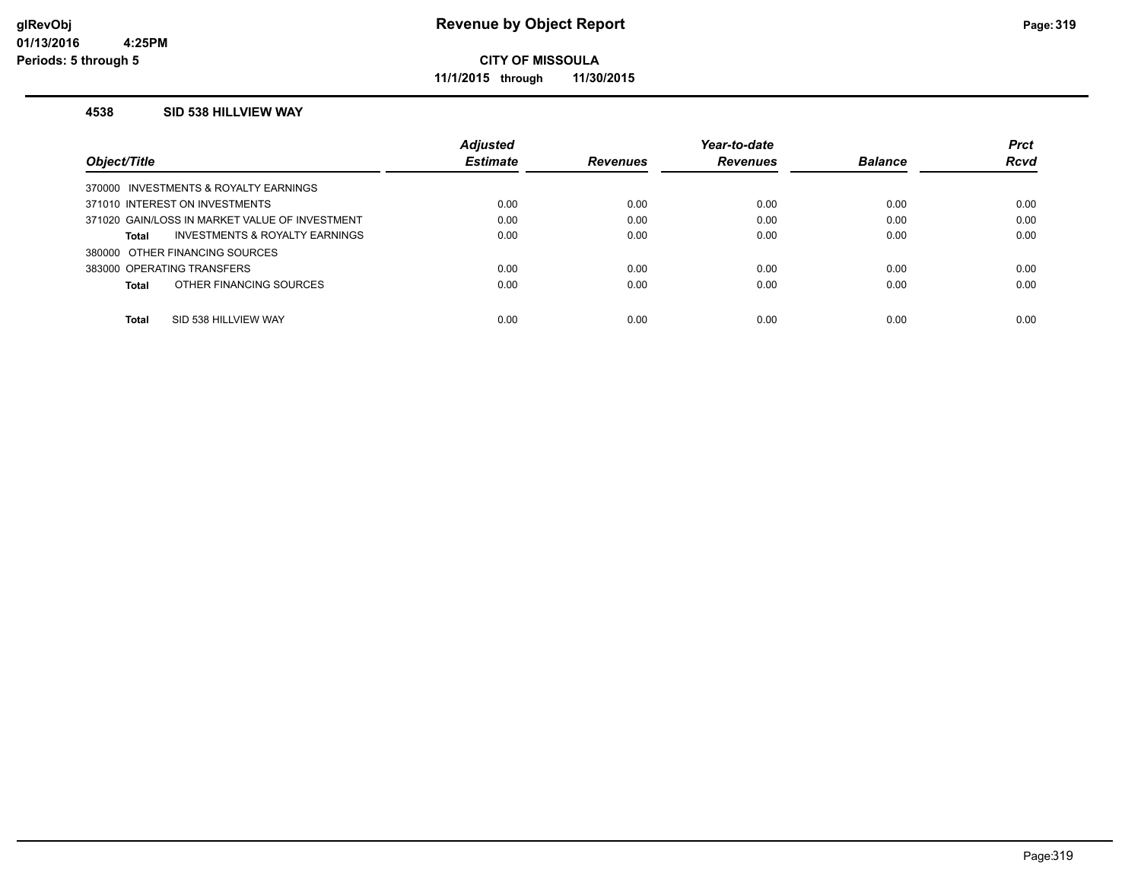**11/1/2015 through 11/30/2015**

#### **4538 SID 538 HILLVIEW WAY**

|                                                    | <b>Adjusted</b> |                 | Year-to-date    |                | <b>Prct</b> |
|----------------------------------------------------|-----------------|-----------------|-----------------|----------------|-------------|
| Object/Title                                       | <b>Estimate</b> | <b>Revenues</b> | <b>Revenues</b> | <b>Balance</b> | <b>Rcvd</b> |
| 370000 INVESTMENTS & ROYALTY EARNINGS              |                 |                 |                 |                |             |
| 371010 INTEREST ON INVESTMENTS                     | 0.00            | 0.00            | 0.00            | 0.00           | 0.00        |
| 371020 GAIN/LOSS IN MARKET VALUE OF INVESTMENT     | 0.00            | 0.00            | 0.00            | 0.00           | 0.00        |
| <b>INVESTMENTS &amp; ROYALTY EARNINGS</b><br>Total | 0.00            | 0.00            | 0.00            | 0.00           | 0.00        |
| 380000 OTHER FINANCING SOURCES                     |                 |                 |                 |                |             |
| 383000 OPERATING TRANSFERS                         | 0.00            | 0.00            | 0.00            | 0.00           | 0.00        |
| OTHER FINANCING SOURCES<br>Total                   | 0.00            | 0.00            | 0.00            | 0.00           | 0.00        |
|                                                    |                 |                 |                 |                |             |
| SID 538 HILLVIEW WAY<br>Total                      | 0.00            | 0.00            | 0.00            | 0.00           | 0.00        |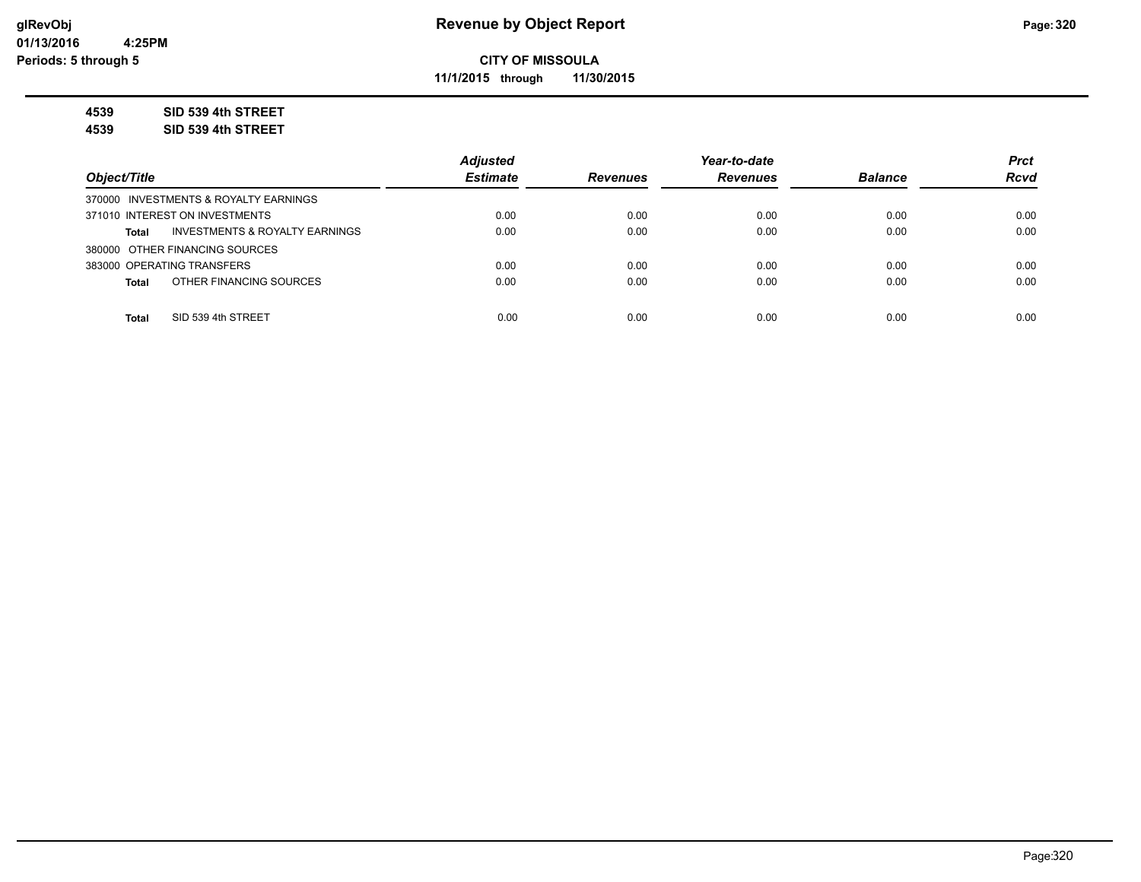**11/1/2015 through 11/30/2015**

**4539 SID 539 4th STREET**

**4539 SID 539 4th STREET**

|                                                           | <b>Adiusted</b> |                 | Year-to-date    |                | <b>Prct</b> |
|-----------------------------------------------------------|-----------------|-----------------|-----------------|----------------|-------------|
| Object/Title                                              | <b>Estimate</b> | <b>Revenues</b> | <b>Revenues</b> | <b>Balance</b> | <b>Rcvd</b> |
| 370000 INVESTMENTS & ROYALTY EARNINGS                     |                 |                 |                 |                |             |
| 371010 INTEREST ON INVESTMENTS                            | 0.00            | 0.00            | 0.00            | 0.00           | 0.00        |
| <b>INVESTMENTS &amp; ROYALTY EARNINGS</b><br><b>Total</b> | 0.00            | 0.00            | 0.00            | 0.00           | 0.00        |
| 380000 OTHER FINANCING SOURCES                            |                 |                 |                 |                |             |
| 383000 OPERATING TRANSFERS                                | 0.00            | 0.00            | 0.00            | 0.00           | 0.00        |
| OTHER FINANCING SOURCES<br><b>Total</b>                   | 0.00            | 0.00            | 0.00            | 0.00           | 0.00        |
|                                                           |                 |                 |                 |                |             |
| SID 539 4th STREET<br><b>Total</b>                        | 0.00            | 0.00            | 0.00            | 0.00           | 0.00        |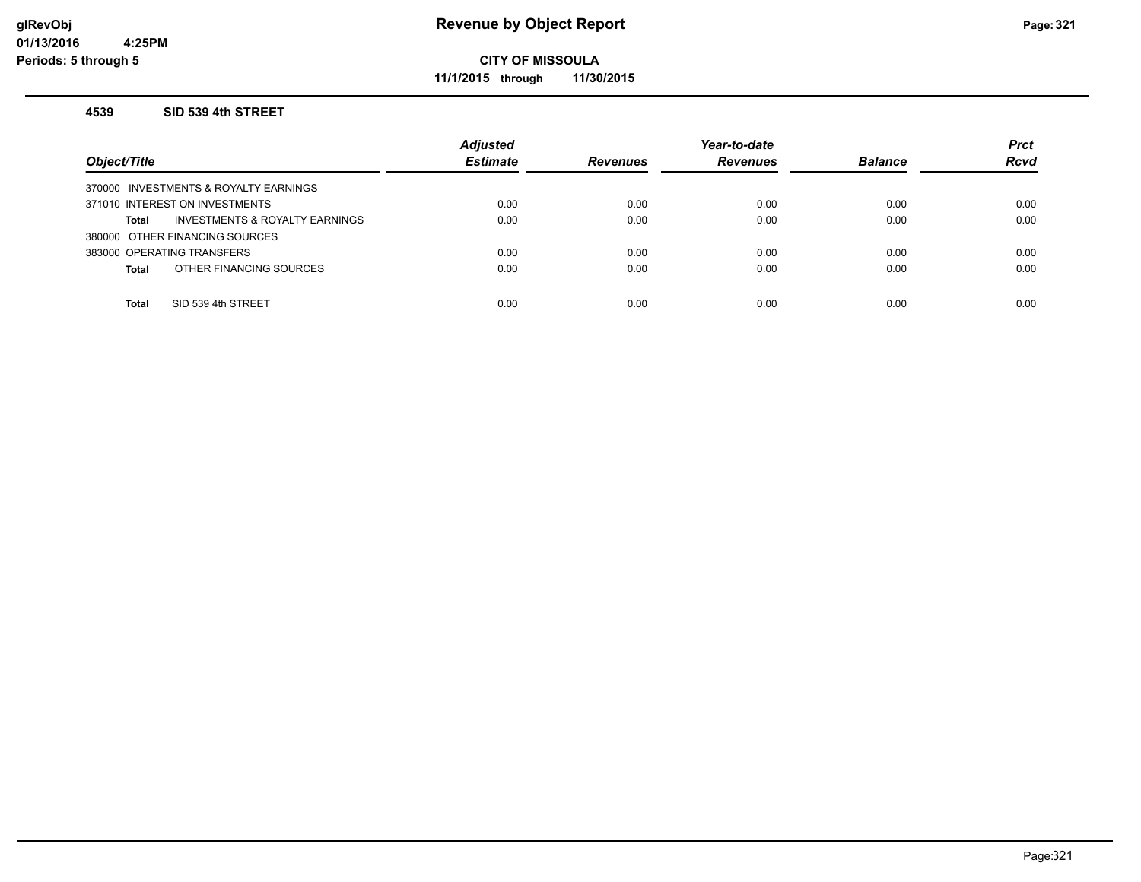### **glRevObj Revenue by Object Report Page:321**

**CITY OF MISSOULA**

**11/1/2015 through 11/30/2015**

#### **4539 SID 539 4th STREET**

| Object/Title                                   | <b>Adjusted</b><br><b>Estimate</b> | <b>Revenues</b> | Year-to-date<br><b>Revenues</b> | <b>Balance</b> | <b>Prct</b><br><b>Rcvd</b> |
|------------------------------------------------|------------------------------------|-----------------|---------------------------------|----------------|----------------------------|
| 370000 INVESTMENTS & ROYALTY EARNINGS          |                                    |                 |                                 |                |                            |
| 371010 INTEREST ON INVESTMENTS                 | 0.00                               | 0.00            | 0.00                            | 0.00           | 0.00                       |
| INVESTMENTS & ROYALTY EARNINGS<br><b>Total</b> | 0.00                               | 0.00            | 0.00                            | 0.00           | 0.00                       |
| 380000 OTHER FINANCING SOURCES                 |                                    |                 |                                 |                |                            |
| 383000 OPERATING TRANSFERS                     | 0.00                               | 0.00            | 0.00                            | 0.00           | 0.00                       |
| OTHER FINANCING SOURCES<br><b>Total</b>        | 0.00                               | 0.00            | 0.00                            | 0.00           | 0.00                       |
|                                                |                                    |                 |                                 |                |                            |
| SID 539 4th STREET<br><b>Total</b>             | 0.00                               | 0.00            | 0.00                            | 0.00           | 0.00                       |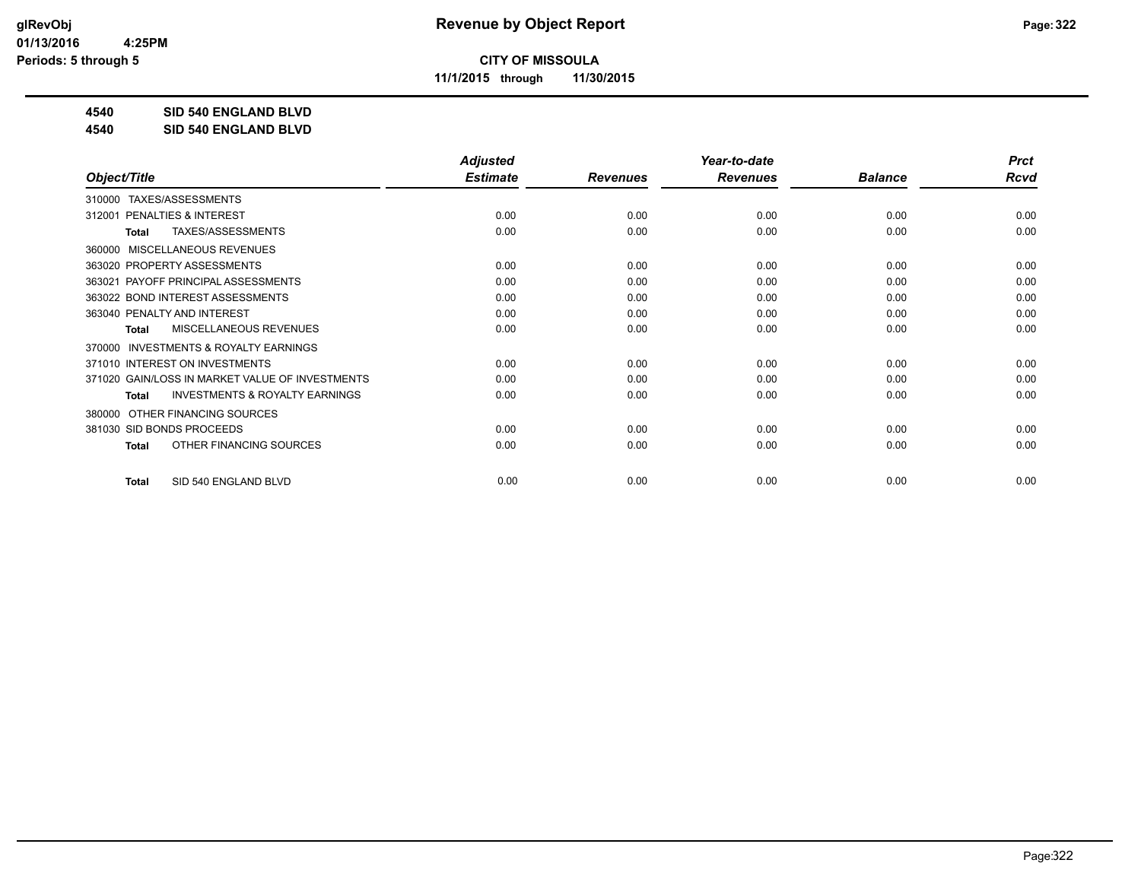**11/1/2015 through 11/30/2015**

**4540 SID 540 ENGLAND BLVD**

**4540 SID 540 ENGLAND BLVD**

|                                                           | <b>Adjusted</b> |                 | Year-to-date    |                | <b>Prct</b> |
|-----------------------------------------------------------|-----------------|-----------------|-----------------|----------------|-------------|
| Object/Title                                              | <b>Estimate</b> | <b>Revenues</b> | <b>Revenues</b> | <b>Balance</b> | <b>Rcvd</b> |
| TAXES/ASSESSMENTS<br>310000                               |                 |                 |                 |                |             |
| <b>PENALTIES &amp; INTEREST</b><br>312001                 | 0.00            | 0.00            | 0.00            | 0.00           | 0.00        |
| TAXES/ASSESSMENTS<br><b>Total</b>                         | 0.00            | 0.00            | 0.00            | 0.00           | 0.00        |
| MISCELLANEOUS REVENUES<br>360000                          |                 |                 |                 |                |             |
| 363020 PROPERTY ASSESSMENTS                               | 0.00            | 0.00            | 0.00            | 0.00           | 0.00        |
| PAYOFF PRINCIPAL ASSESSMENTS<br>363021                    | 0.00            | 0.00            | 0.00            | 0.00           | 0.00        |
| 363022 BOND INTEREST ASSESSMENTS                          | 0.00            | 0.00            | 0.00            | 0.00           | 0.00        |
| 363040 PENALTY AND INTEREST                               | 0.00            | 0.00            | 0.00            | 0.00           | 0.00        |
| <b>MISCELLANEOUS REVENUES</b><br><b>Total</b>             | 0.00            | 0.00            | 0.00            | 0.00           | 0.00        |
| <b>INVESTMENTS &amp; ROYALTY EARNINGS</b><br>370000       |                 |                 |                 |                |             |
| 371010 INTEREST ON INVESTMENTS                            | 0.00            | 0.00            | 0.00            | 0.00           | 0.00        |
| 371020 GAIN/LOSS IN MARKET VALUE OF INVESTMENTS           | 0.00            | 0.00            | 0.00            | 0.00           | 0.00        |
| <b>INVESTMENTS &amp; ROYALTY EARNINGS</b><br><b>Total</b> | 0.00            | 0.00            | 0.00            | 0.00           | 0.00        |
| OTHER FINANCING SOURCES<br>380000                         |                 |                 |                 |                |             |
| 381030 SID BONDS PROCEEDS                                 | 0.00            | 0.00            | 0.00            | 0.00           | 0.00        |
| OTHER FINANCING SOURCES<br><b>Total</b>                   | 0.00            | 0.00            | 0.00            | 0.00           | 0.00        |
|                                                           |                 |                 |                 |                |             |
| SID 540 ENGLAND BLVD<br><b>Total</b>                      | 0.00            | 0.00            | 0.00            | 0.00           | 0.00        |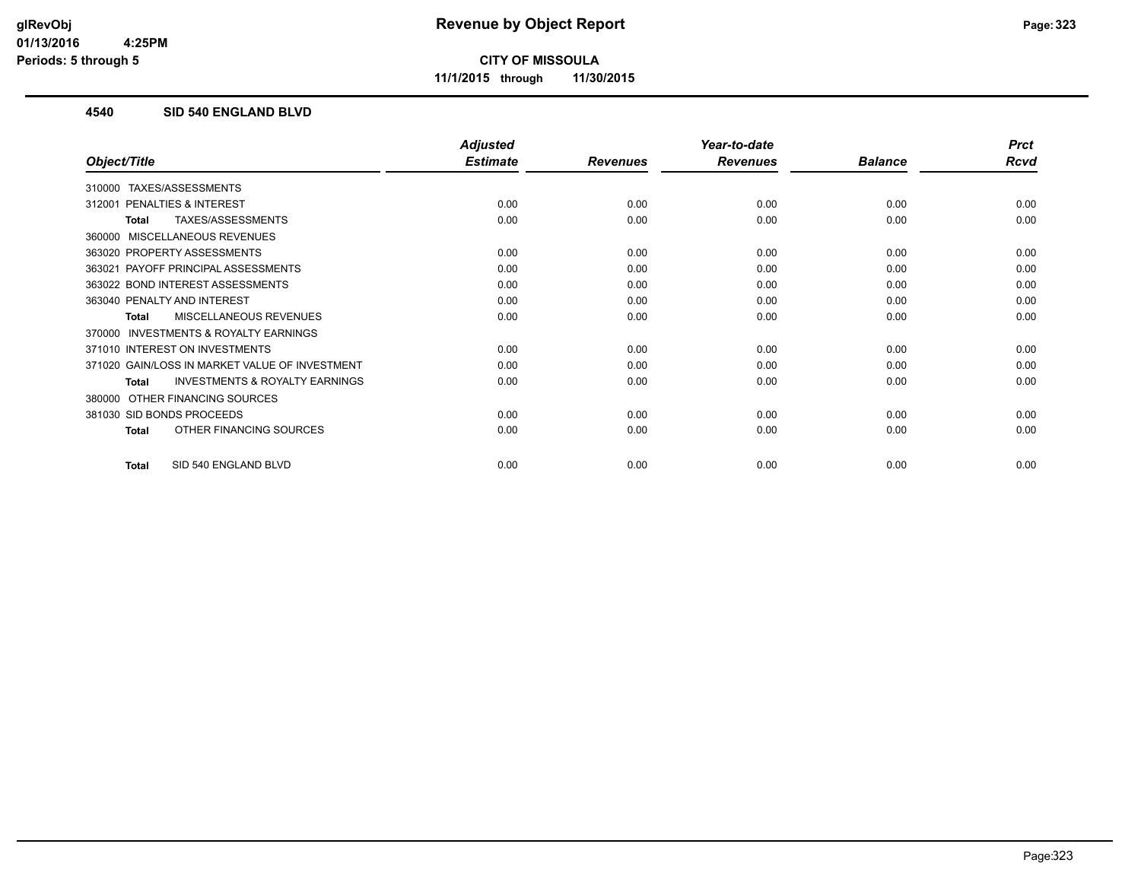**11/1/2015 through 11/30/2015**

#### **4540 SID 540 ENGLAND BLVD**

|                                                           | <b>Adjusted</b> |                 | Year-to-date    |                | <b>Prct</b> |
|-----------------------------------------------------------|-----------------|-----------------|-----------------|----------------|-------------|
| Object/Title                                              | <b>Estimate</b> | <b>Revenues</b> | <b>Revenues</b> | <b>Balance</b> | <b>Rcvd</b> |
| TAXES/ASSESSMENTS<br>310000                               |                 |                 |                 |                |             |
| 312001 PENALTIES & INTEREST                               | 0.00            | 0.00            | 0.00            | 0.00           | 0.00        |
| TAXES/ASSESSMENTS<br><b>Total</b>                         | 0.00            | 0.00            | 0.00            | 0.00           | 0.00        |
| MISCELLANEOUS REVENUES<br>360000                          |                 |                 |                 |                |             |
| 363020 PROPERTY ASSESSMENTS                               | 0.00            | 0.00            | 0.00            | 0.00           | 0.00        |
| 363021 PAYOFF PRINCIPAL ASSESSMENTS                       | 0.00            | 0.00            | 0.00            | 0.00           | 0.00        |
| 363022 BOND INTEREST ASSESSMENTS                          | 0.00            | 0.00            | 0.00            | 0.00           | 0.00        |
| 363040 PENALTY AND INTEREST                               | 0.00            | 0.00            | 0.00            | 0.00           | 0.00        |
| MISCELLANEOUS REVENUES<br><b>Total</b>                    | 0.00            | 0.00            | 0.00            | 0.00           | 0.00        |
| <b>INVESTMENTS &amp; ROYALTY EARNINGS</b><br>370000       |                 |                 |                 |                |             |
| 371010 INTEREST ON INVESTMENTS                            | 0.00            | 0.00            | 0.00            | 0.00           | 0.00        |
| 371020 GAIN/LOSS IN MARKET VALUE OF INVESTMENT            | 0.00            | 0.00            | 0.00            | 0.00           | 0.00        |
| <b>INVESTMENTS &amp; ROYALTY EARNINGS</b><br><b>Total</b> | 0.00            | 0.00            | 0.00            | 0.00           | 0.00        |
| OTHER FINANCING SOURCES<br>380000                         |                 |                 |                 |                |             |
| 381030 SID BONDS PROCEEDS                                 | 0.00            | 0.00            | 0.00            | 0.00           | 0.00        |
| OTHER FINANCING SOURCES<br><b>Total</b>                   | 0.00            | 0.00            | 0.00            | 0.00           | 0.00        |
| SID 540 ENGLAND BLVD<br><b>Total</b>                      | 0.00            | 0.00            | 0.00            | 0.00           | 0.00        |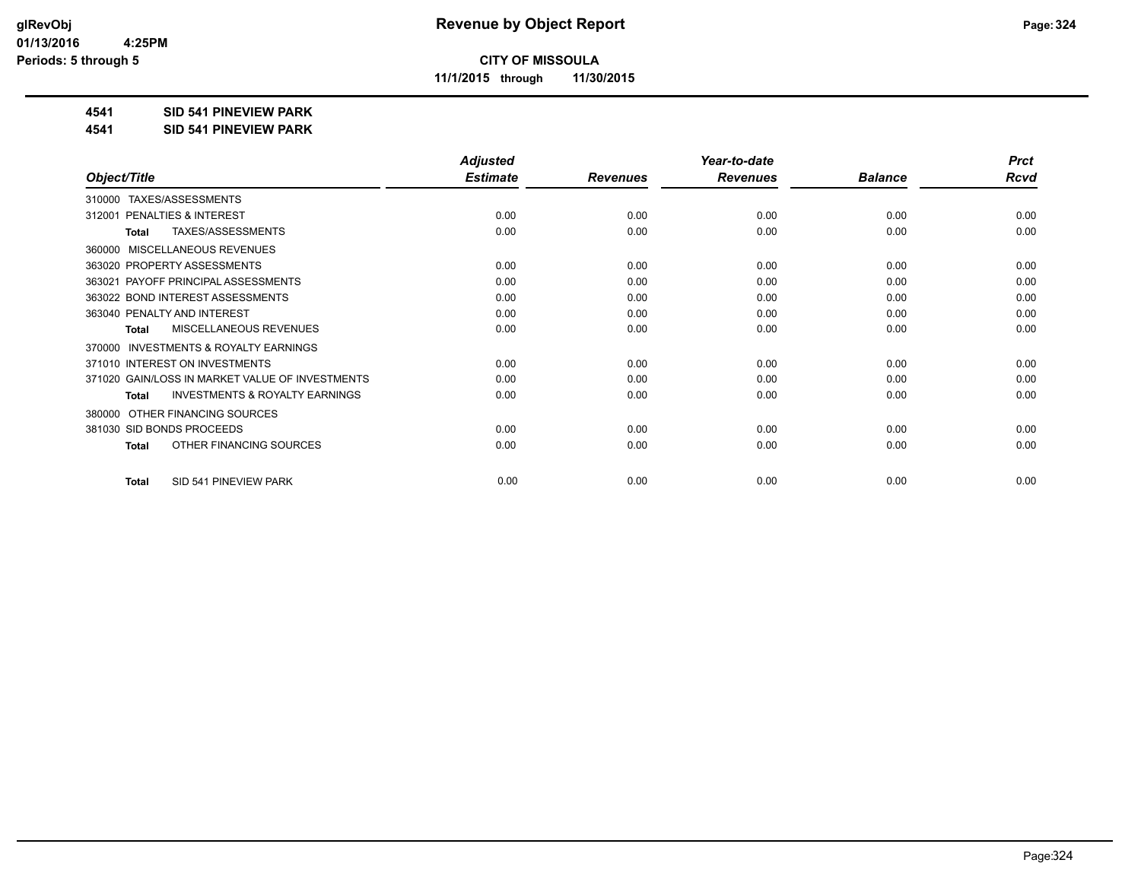**11/1/2015 through 11/30/2015**

#### **4541 SID 541 PINEVIEW PARK**

**4541 SID 541 PINEVIEW PARK**

|                                                           | <b>Adjusted</b> |                 | Year-to-date    |                | <b>Prct</b> |
|-----------------------------------------------------------|-----------------|-----------------|-----------------|----------------|-------------|
| Object/Title                                              | <b>Estimate</b> | <b>Revenues</b> | <b>Revenues</b> | <b>Balance</b> | <b>Rcvd</b> |
| TAXES/ASSESSMENTS<br>310000                               |                 |                 |                 |                |             |
| PENALTIES & INTEREST<br>312001                            | 0.00            | 0.00            | 0.00            | 0.00           | 0.00        |
| TAXES/ASSESSMENTS<br>Total                                | 0.00            | 0.00            | 0.00            | 0.00           | 0.00        |
| MISCELLANEOUS REVENUES<br>360000                          |                 |                 |                 |                |             |
| 363020 PROPERTY ASSESSMENTS                               | 0.00            | 0.00            | 0.00            | 0.00           | 0.00        |
| 363021 PAYOFF PRINCIPAL ASSESSMENTS                       | 0.00            | 0.00            | 0.00            | 0.00           | 0.00        |
| 363022 BOND INTEREST ASSESSMENTS                          | 0.00            | 0.00            | 0.00            | 0.00           | 0.00        |
| 363040 PENALTY AND INTEREST                               | 0.00            | 0.00            | 0.00            | 0.00           | 0.00        |
| <b>MISCELLANEOUS REVENUES</b><br>Total                    | 0.00            | 0.00            | 0.00            | 0.00           | 0.00        |
| INVESTMENTS & ROYALTY EARNINGS<br>370000                  |                 |                 |                 |                |             |
| 371010 INTEREST ON INVESTMENTS                            | 0.00            | 0.00            | 0.00            | 0.00           | 0.00        |
| 371020 GAIN/LOSS IN MARKET VALUE OF INVESTMENTS           | 0.00            | 0.00            | 0.00            | 0.00           | 0.00        |
| <b>INVESTMENTS &amp; ROYALTY EARNINGS</b><br><b>Total</b> | 0.00            | 0.00            | 0.00            | 0.00           | 0.00        |
| OTHER FINANCING SOURCES<br>380000                         |                 |                 |                 |                |             |
| 381030 SID BONDS PROCEEDS                                 | 0.00            | 0.00            | 0.00            | 0.00           | 0.00        |
| OTHER FINANCING SOURCES<br><b>Total</b>                   | 0.00            | 0.00            | 0.00            | 0.00           | 0.00        |
|                                                           |                 |                 |                 |                |             |
| SID 541 PINEVIEW PARK<br><b>Total</b>                     | 0.00            | 0.00            | 0.00            | 0.00           | 0.00        |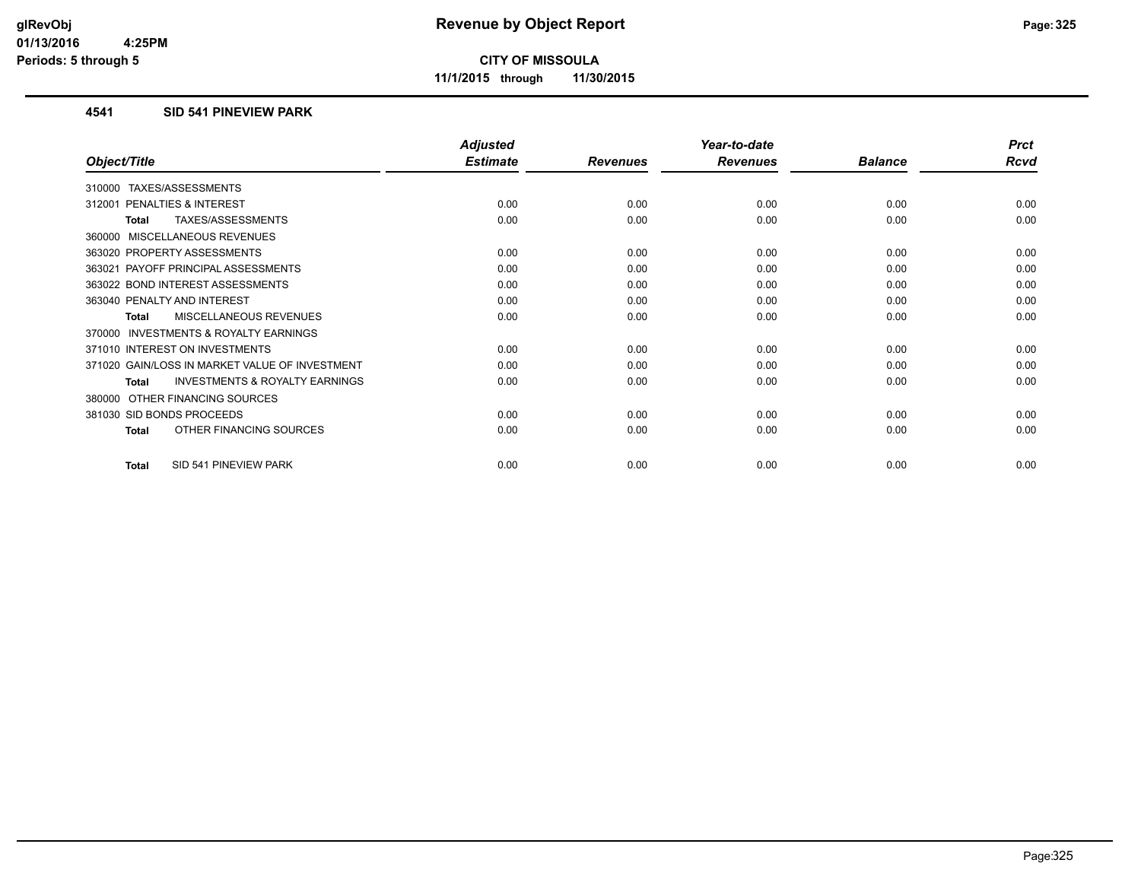**11/1/2015 through 11/30/2015**

#### **4541 SID 541 PINEVIEW PARK**

|                                                           | <b>Adjusted</b> |                 | Year-to-date    |                | <b>Prct</b> |
|-----------------------------------------------------------|-----------------|-----------------|-----------------|----------------|-------------|
| Object/Title                                              | <b>Estimate</b> | <b>Revenues</b> | <b>Revenues</b> | <b>Balance</b> | <b>Rcvd</b> |
| <b>TAXES/ASSESSMENTS</b><br>310000                        |                 |                 |                 |                |             |
| 312001 PENALTIES & INTEREST                               | 0.00            | 0.00            | 0.00            | 0.00           | 0.00        |
| TAXES/ASSESSMENTS<br>Total                                | 0.00            | 0.00            | 0.00            | 0.00           | 0.00        |
| 360000 MISCELLANEOUS REVENUES                             |                 |                 |                 |                |             |
| 363020 PROPERTY ASSESSMENTS                               | 0.00            | 0.00            | 0.00            | 0.00           | 0.00        |
| 363021 PAYOFF PRINCIPAL ASSESSMENTS                       | 0.00            | 0.00            | 0.00            | 0.00           | 0.00        |
| 363022 BOND INTEREST ASSESSMENTS                          | 0.00            | 0.00            | 0.00            | 0.00           | 0.00        |
| 363040 PENALTY AND INTEREST                               | 0.00            | 0.00            | 0.00            | 0.00           | 0.00        |
| <b>MISCELLANEOUS REVENUES</b><br>Total                    | 0.00            | 0.00            | 0.00            | 0.00           | 0.00        |
| 370000 INVESTMENTS & ROYALTY EARNINGS                     |                 |                 |                 |                |             |
| 371010 INTEREST ON INVESTMENTS                            | 0.00            | 0.00            | 0.00            | 0.00           | 0.00        |
| 371020 GAIN/LOSS IN MARKET VALUE OF INVESTMENT            | 0.00            | 0.00            | 0.00            | 0.00           | 0.00        |
| <b>INVESTMENTS &amp; ROYALTY EARNINGS</b><br><b>Total</b> | 0.00            | 0.00            | 0.00            | 0.00           | 0.00        |
| OTHER FINANCING SOURCES<br>380000                         |                 |                 |                 |                |             |
| 381030 SID BONDS PROCEEDS                                 | 0.00            | 0.00            | 0.00            | 0.00           | 0.00        |
| OTHER FINANCING SOURCES<br>Total                          | 0.00            | 0.00            | 0.00            | 0.00           | 0.00        |
| SID 541 PINEVIEW PARK<br><b>Total</b>                     | 0.00            | 0.00            | 0.00            | 0.00           | 0.00        |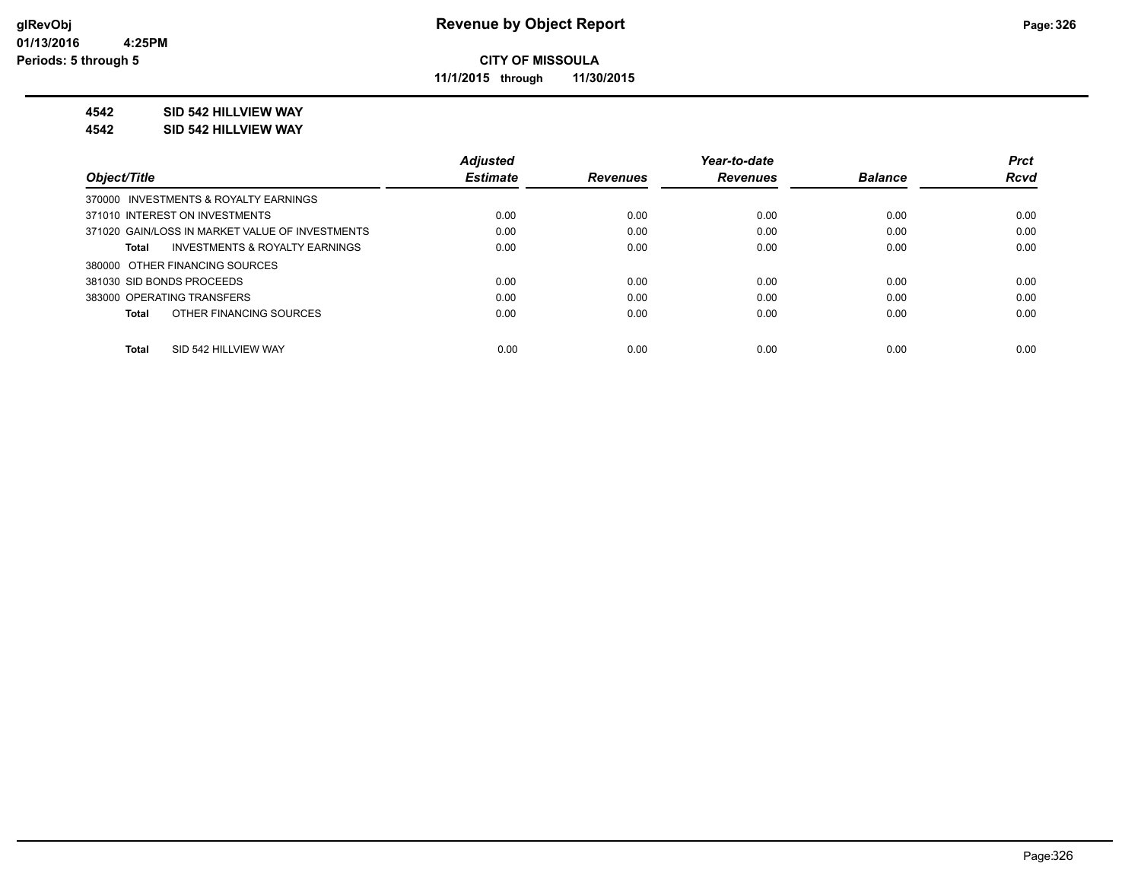**11/1/2015 through 11/30/2015**

#### **4542 SID 542 HILLVIEW WAY**

#### **4542 SID 542 HILLVIEW WAY**

|                                                 | <b>Adjusted</b> |                 | Year-to-date    |                | <b>Prct</b> |
|-------------------------------------------------|-----------------|-----------------|-----------------|----------------|-------------|
| Object/Title                                    | <b>Estimate</b> | <b>Revenues</b> | <b>Revenues</b> | <b>Balance</b> | <b>Rcvd</b> |
| 370000 INVESTMENTS & ROYALTY EARNINGS           |                 |                 |                 |                |             |
| 371010 INTEREST ON INVESTMENTS                  | 0.00            | 0.00            | 0.00            | 0.00           | 0.00        |
| 371020 GAIN/LOSS IN MARKET VALUE OF INVESTMENTS | 0.00            | 0.00            | 0.00            | 0.00           | 0.00        |
| INVESTMENTS & ROYALTY EARNINGS<br>Total         | 0.00            | 0.00            | 0.00            | 0.00           | 0.00        |
| 380000 OTHER FINANCING SOURCES                  |                 |                 |                 |                |             |
| 381030 SID BONDS PROCEEDS                       | 0.00            | 0.00            | 0.00            | 0.00           | 0.00        |
| 383000 OPERATING TRANSFERS                      | 0.00            | 0.00            | 0.00            | 0.00           | 0.00        |
| OTHER FINANCING SOURCES<br>Total                | 0.00            | 0.00            | 0.00            | 0.00           | 0.00        |
|                                                 |                 |                 |                 |                |             |
| SID 542 HILLVIEW WAY<br><b>Total</b>            | 0.00            | 0.00            | 0.00            | 0.00           | 0.00        |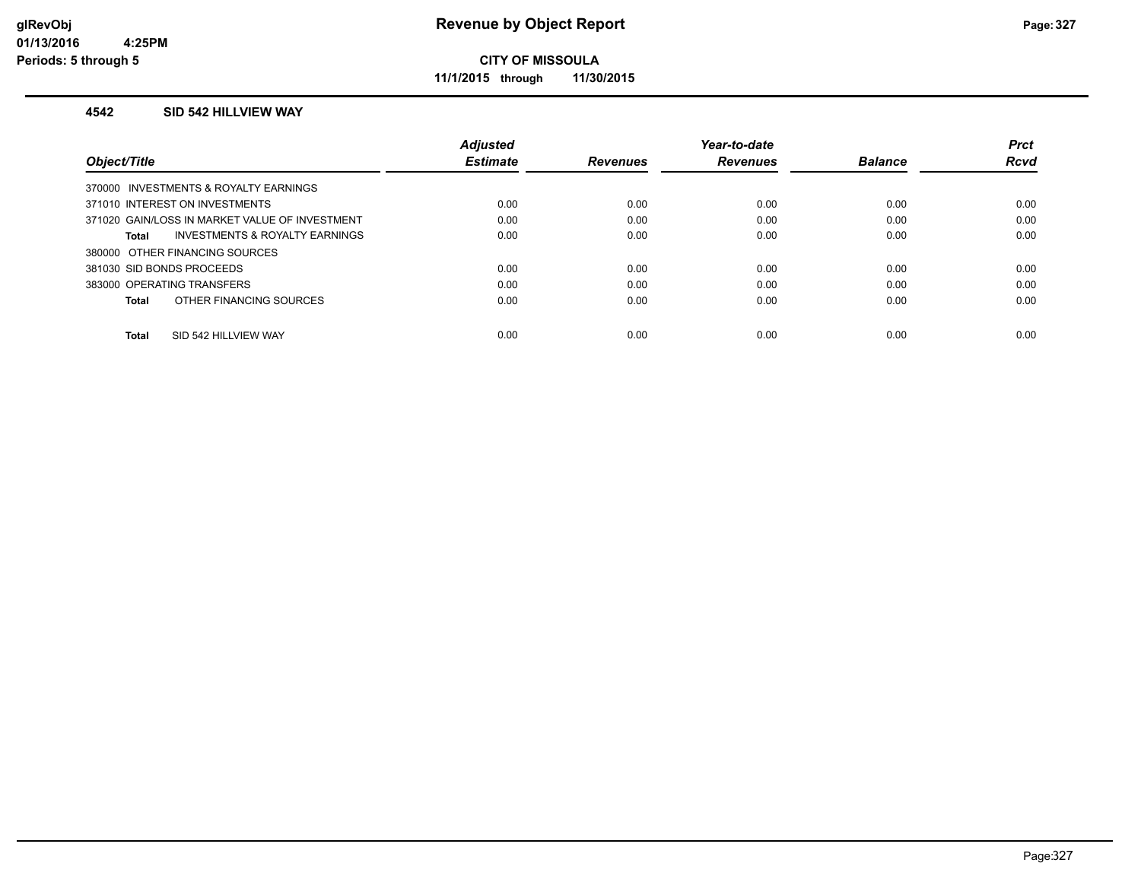**11/1/2015 through 11/30/2015**

#### **4542 SID 542 HILLVIEW WAY**

|                                                    | <b>Adjusted</b> |                 | Year-to-date    |                | <b>Prct</b> |
|----------------------------------------------------|-----------------|-----------------|-----------------|----------------|-------------|
| Object/Title                                       | <b>Estimate</b> | <b>Revenues</b> | <b>Revenues</b> | <b>Balance</b> | <b>Rcvd</b> |
| 370000 INVESTMENTS & ROYALTY EARNINGS              |                 |                 |                 |                |             |
| 371010 INTEREST ON INVESTMENTS                     | 0.00            | 0.00            | 0.00            | 0.00           | 0.00        |
| 371020 GAIN/LOSS IN MARKET VALUE OF INVESTMENT     | 0.00            | 0.00            | 0.00            | 0.00           | 0.00        |
| <b>INVESTMENTS &amp; ROYALTY EARNINGS</b><br>Total | 0.00            | 0.00            | 0.00            | 0.00           | 0.00        |
| 380000 OTHER FINANCING SOURCES                     |                 |                 |                 |                |             |
| 381030 SID BONDS PROCEEDS                          | 0.00            | 0.00            | 0.00            | 0.00           | 0.00        |
| 383000 OPERATING TRANSFERS                         | 0.00            | 0.00            | 0.00            | 0.00           | 0.00        |
| OTHER FINANCING SOURCES<br>Total                   | 0.00            | 0.00            | 0.00            | 0.00           | 0.00        |
|                                                    |                 |                 |                 |                |             |
| SID 542 HILLVIEW WAY<br><b>Total</b>               | 0.00            | 0.00            | 0.00            | 0.00           | 0.00        |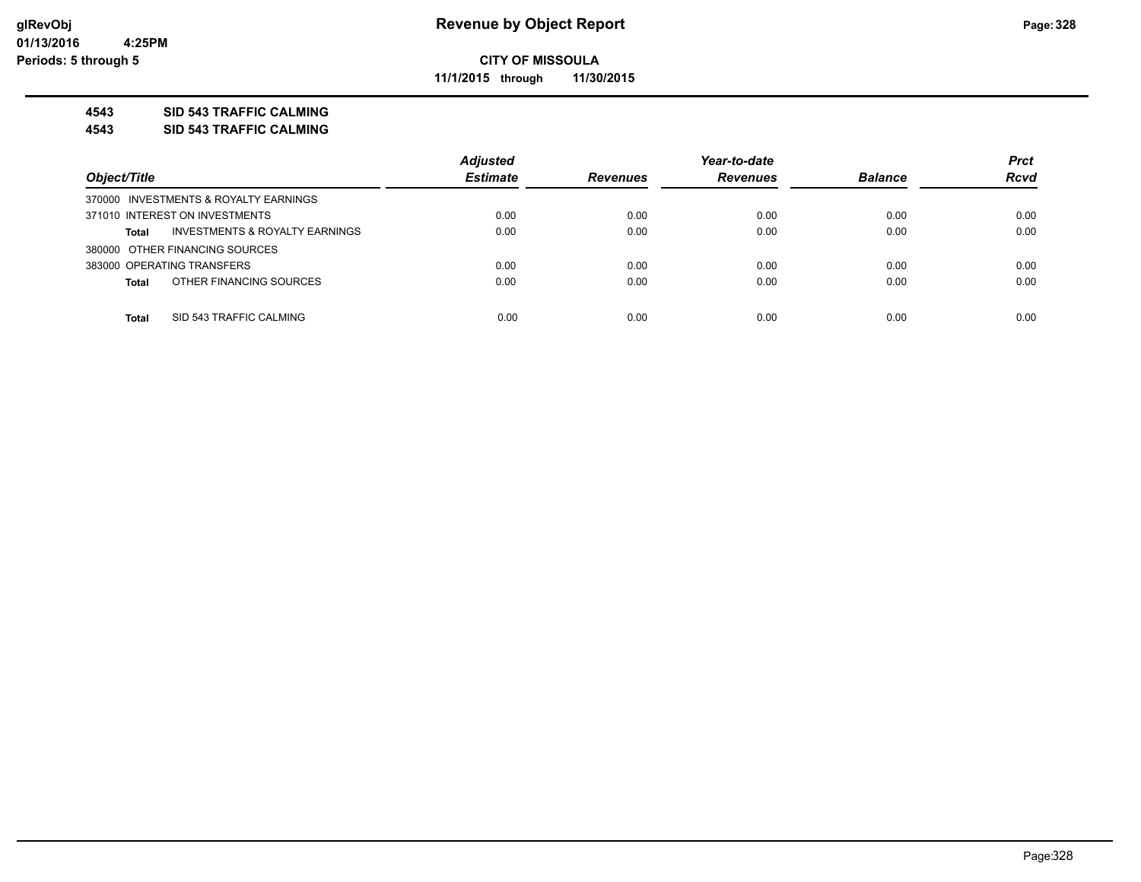**11/1/2015 through 11/30/2015**

#### **4543 SID 543 TRAFFIC CALMING**

**4543 SID 543 TRAFFIC CALMING**

|                                                           | <b>Adjusted</b> |                 | Year-to-date    |                | <b>Prct</b> |
|-----------------------------------------------------------|-----------------|-----------------|-----------------|----------------|-------------|
| Object/Title                                              | <b>Estimate</b> | <b>Revenues</b> | <b>Revenues</b> | <b>Balance</b> | <b>Rcvd</b> |
| 370000 INVESTMENTS & ROYALTY EARNINGS                     |                 |                 |                 |                |             |
| 371010 INTEREST ON INVESTMENTS                            | 0.00            | 0.00            | 0.00            | 0.00           | 0.00        |
| <b>INVESTMENTS &amp; ROYALTY EARNINGS</b><br><b>Total</b> | 0.00            | 0.00            | 0.00            | 0.00           | 0.00        |
| 380000 OTHER FINANCING SOURCES                            |                 |                 |                 |                |             |
| 383000 OPERATING TRANSFERS                                | 0.00            | 0.00            | 0.00            | 0.00           | 0.00        |
| OTHER FINANCING SOURCES<br><b>Total</b>                   | 0.00            | 0.00            | 0.00            | 0.00           | 0.00        |
|                                                           |                 |                 |                 |                |             |
| SID 543 TRAFFIC CALMING<br><b>Total</b>                   | 0.00            | 0.00            | 0.00            | 0.00           | 0.00        |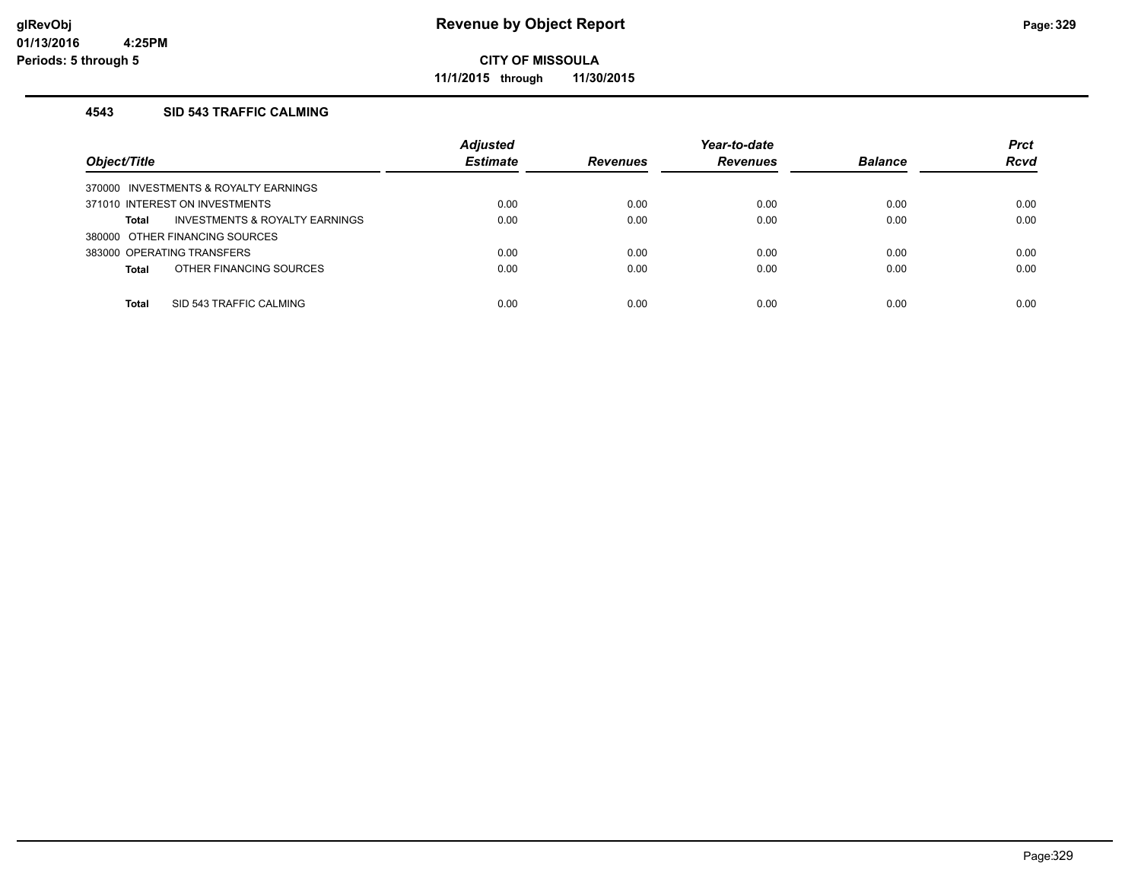**11/1/2015 through 11/30/2015**

#### **4543 SID 543 TRAFFIC CALMING**

| Object/Title                            | <b>Adjusted</b><br><b>Estimate</b> | <b>Revenues</b> | Year-to-date<br><b>Revenues</b> | <b>Balance</b> | <b>Prct</b><br><b>Rcvd</b> |
|-----------------------------------------|------------------------------------|-----------------|---------------------------------|----------------|----------------------------|
| 370000 INVESTMENTS & ROYALTY EARNINGS   |                                    |                 |                                 |                |                            |
| 371010 INTEREST ON INVESTMENTS          | 0.00                               | 0.00            | 0.00                            | 0.00           | 0.00                       |
| INVESTMENTS & ROYALTY EARNINGS<br>Total | 0.00                               | 0.00            | 0.00                            | 0.00           | 0.00                       |
| 380000 OTHER FINANCING SOURCES          |                                    |                 |                                 |                |                            |
| 383000 OPERATING TRANSFERS              | 0.00                               | 0.00            | 0.00                            | 0.00           | 0.00                       |
| OTHER FINANCING SOURCES<br><b>Total</b> | 0.00                               | 0.00            | 0.00                            | 0.00           | 0.00                       |
|                                         |                                    |                 |                                 |                |                            |
| SID 543 TRAFFIC CALMING<br><b>Total</b> | 0.00                               | 0.00            | 0.00                            | 0.00           | 0.00                       |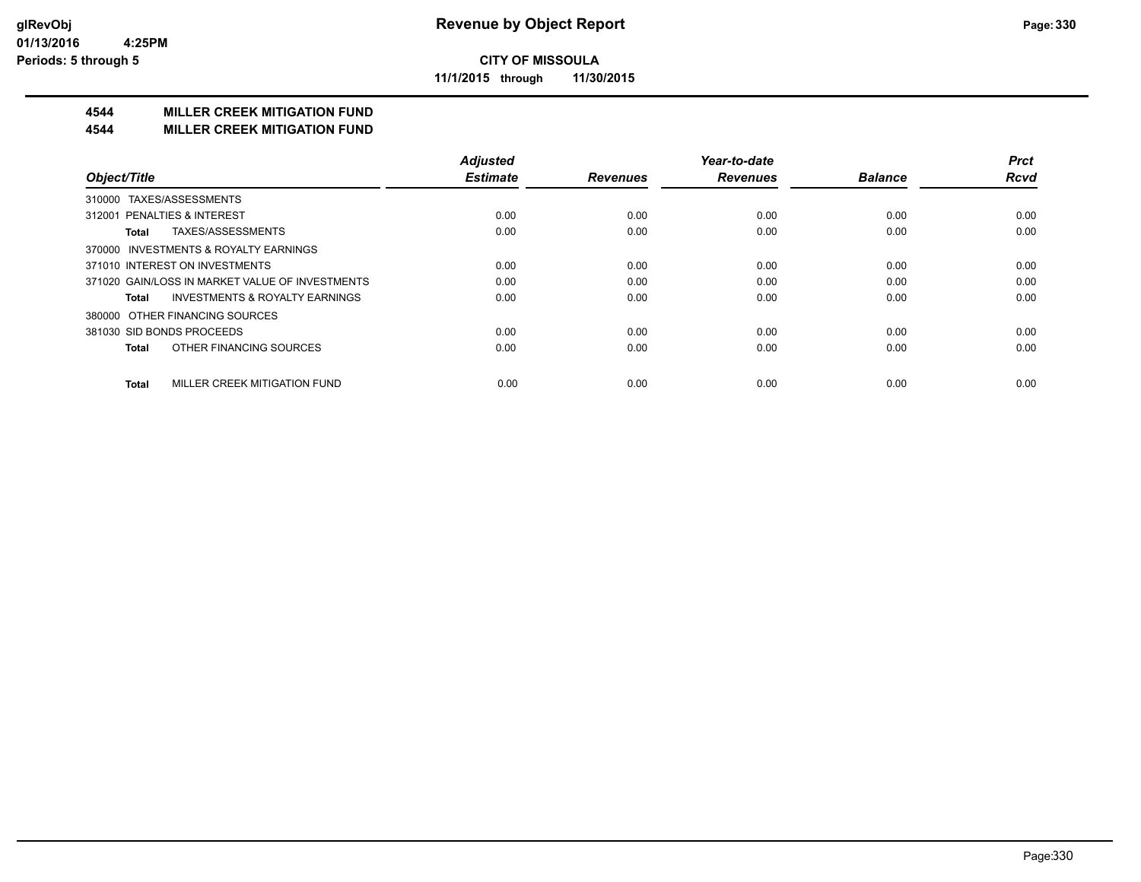**11/1/2015 through 11/30/2015**

### **4544 MILLER CREEK MITIGATION FUND**

#### **4544 MILLER CREEK MITIGATION FUND**

|                                                    | <b>Adjusted</b> |                 | Year-to-date    |                | <b>Prct</b> |
|----------------------------------------------------|-----------------|-----------------|-----------------|----------------|-------------|
| Object/Title                                       | <b>Estimate</b> | <b>Revenues</b> | <b>Revenues</b> | <b>Balance</b> | Rcvd        |
| TAXES/ASSESSMENTS<br>310000                        |                 |                 |                 |                |             |
| 312001 PENALTIES & INTEREST                        | 0.00            | 0.00            | 0.00            | 0.00           | 0.00        |
| TAXES/ASSESSMENTS<br>Total                         | 0.00            | 0.00            | 0.00            | 0.00           | 0.00        |
| 370000 INVESTMENTS & ROYALTY EARNINGS              |                 |                 |                 |                |             |
| 371010 INTEREST ON INVESTMENTS                     | 0.00            | 0.00            | 0.00            | 0.00           | 0.00        |
| 371020 GAIN/LOSS IN MARKET VALUE OF INVESTMENTS    | 0.00            | 0.00            | 0.00            | 0.00           | 0.00        |
| <b>INVESTMENTS &amp; ROYALTY EARNINGS</b><br>Total | 0.00            | 0.00            | 0.00            | 0.00           | 0.00        |
| OTHER FINANCING SOURCES<br>380000                  |                 |                 |                 |                |             |
| 381030 SID BONDS PROCEEDS                          | 0.00            | 0.00            | 0.00            | 0.00           | 0.00        |
| OTHER FINANCING SOURCES<br><b>Total</b>            | 0.00            | 0.00            | 0.00            | 0.00           | 0.00        |
| MILLER CREEK MITIGATION FUND<br><b>Total</b>       | 0.00            | 0.00            | 0.00            | 0.00           | 0.00        |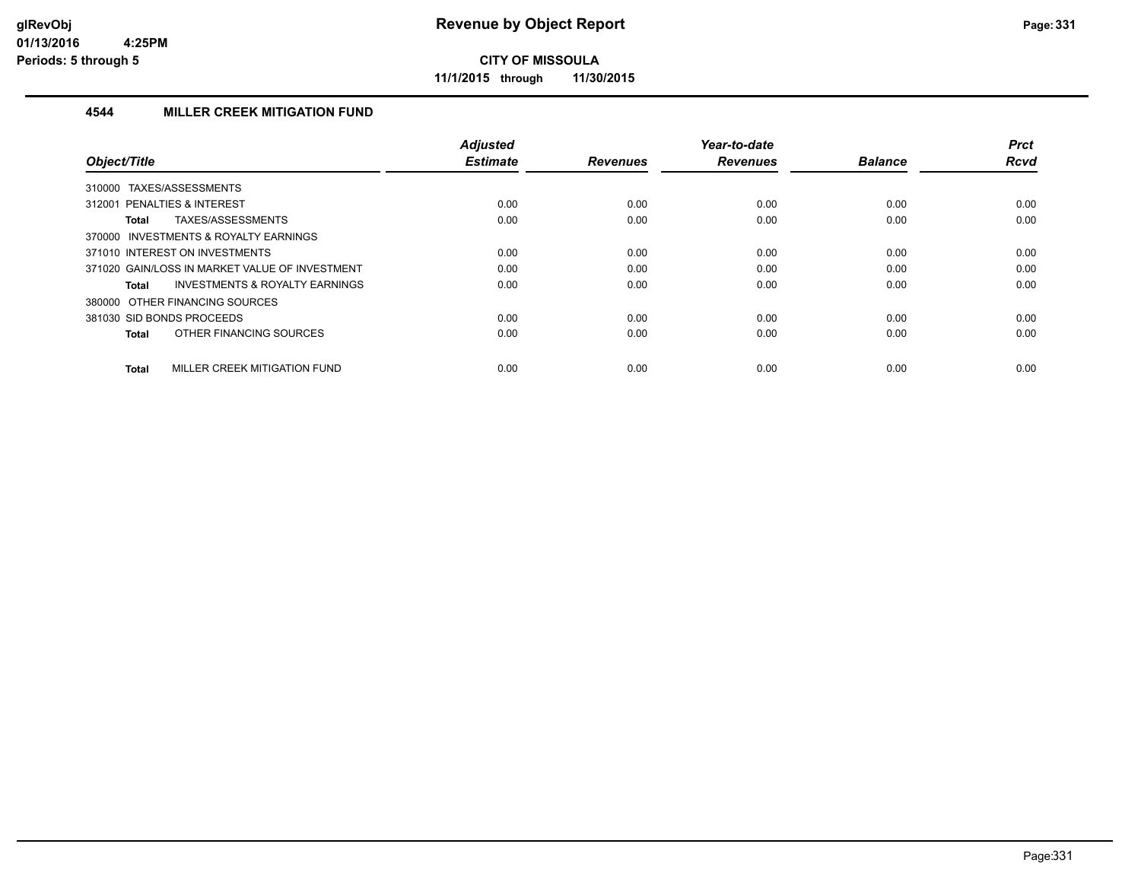**11/1/2015 through 11/30/2015**

#### **4544 MILLER CREEK MITIGATION FUND**

|                                                | <b>Adjusted</b> |                 | Year-to-date    |                | <b>Prct</b> |
|------------------------------------------------|-----------------|-----------------|-----------------|----------------|-------------|
| Object/Title                                   | <b>Estimate</b> | <b>Revenues</b> | <b>Revenues</b> | <b>Balance</b> | <b>Rcvd</b> |
| TAXES/ASSESSMENTS<br>310000                    |                 |                 |                 |                |             |
| 312001 PENALTIES & INTEREST                    | 0.00            | 0.00            | 0.00            | 0.00           | 0.00        |
| TAXES/ASSESSMENTS<br><b>Total</b>              | 0.00            | 0.00            | 0.00            | 0.00           | 0.00        |
| 370000 INVESTMENTS & ROYALTY EARNINGS          |                 |                 |                 |                |             |
| 371010 INTEREST ON INVESTMENTS                 | 0.00            | 0.00            | 0.00            | 0.00           | 0.00        |
| 371020 GAIN/LOSS IN MARKET VALUE OF INVESTMENT | 0.00            | 0.00            | 0.00            | 0.00           | 0.00        |
| INVESTMENTS & ROYALTY EARNINGS<br>Total        | 0.00            | 0.00            | 0.00            | 0.00           | 0.00        |
| 380000 OTHER FINANCING SOURCES                 |                 |                 |                 |                |             |
| 381030 SID BONDS PROCEEDS                      | 0.00            | 0.00            | 0.00            | 0.00           | 0.00        |
| OTHER FINANCING SOURCES<br><b>Total</b>        | 0.00            | 0.00            | 0.00            | 0.00           | 0.00        |
|                                                |                 |                 |                 |                |             |
| MILLER CREEK MITIGATION FUND<br><b>Total</b>   | 0.00            | 0.00            | 0.00            | 0.00           | 0.00        |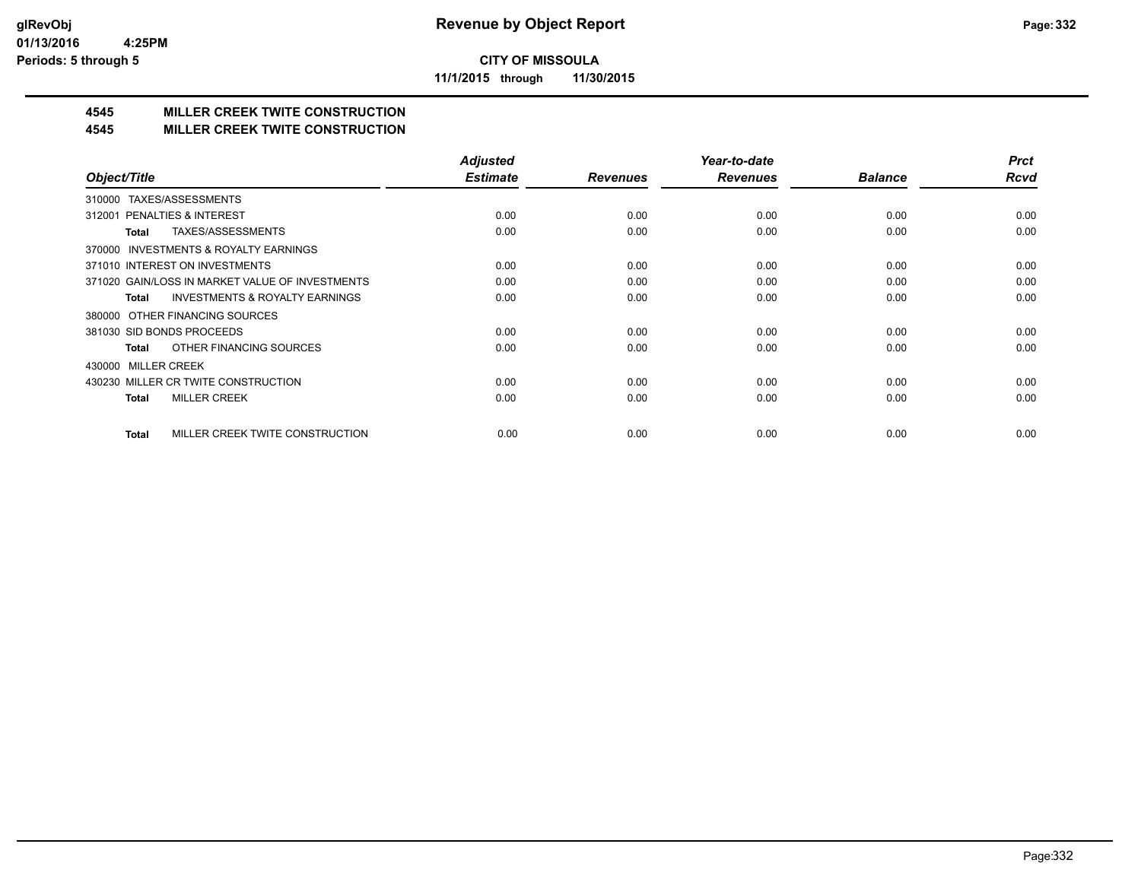**11/1/2015 through 11/30/2015**

# **4545 MILLER CREEK TWITE CONSTRUCTION**

#### **4545 MILLER CREEK TWITE CONSTRUCTION**

|                                                    | <b>Adjusted</b> |                 | Year-to-date    |                | <b>Prct</b> |
|----------------------------------------------------|-----------------|-----------------|-----------------|----------------|-------------|
| Object/Title                                       | <b>Estimate</b> | <b>Revenues</b> | <b>Revenues</b> | <b>Balance</b> | <b>Rcvd</b> |
| TAXES/ASSESSMENTS<br>310000                        |                 |                 |                 |                |             |
| 312001 PENALTIES & INTEREST                        | 0.00            | 0.00            | 0.00            | 0.00           | 0.00        |
| <b>TAXES/ASSESSMENTS</b><br>Total                  | 0.00            | 0.00            | 0.00            | 0.00           | 0.00        |
| 370000 INVESTMENTS & ROYALTY EARNINGS              |                 |                 |                 |                |             |
| 371010 INTEREST ON INVESTMENTS                     | 0.00            | 0.00            | 0.00            | 0.00           | 0.00        |
| 371020 GAIN/LOSS IN MARKET VALUE OF INVESTMENTS    | 0.00            | 0.00            | 0.00            | 0.00           | 0.00        |
| <b>INVESTMENTS &amp; ROYALTY EARNINGS</b><br>Total | 0.00            | 0.00            | 0.00            | 0.00           | 0.00        |
| OTHER FINANCING SOURCES<br>380000                  |                 |                 |                 |                |             |
| 381030 SID BONDS PROCEEDS                          | 0.00            | 0.00            | 0.00            | 0.00           | 0.00        |
| OTHER FINANCING SOURCES<br>Total                   | 0.00            | 0.00            | 0.00            | 0.00           | 0.00        |
| <b>MILLER CREEK</b><br>430000                      |                 |                 |                 |                |             |
| 430230 MILLER CR TWITE CONSTRUCTION                | 0.00            | 0.00            | 0.00            | 0.00           | 0.00        |
| <b>MILLER CREEK</b><br>Total                       | 0.00            | 0.00            | 0.00            | 0.00           | 0.00        |
|                                                    |                 |                 |                 |                |             |
| MILLER CREEK TWITE CONSTRUCTION<br>Total           | 0.00            | 0.00            | 0.00            | 0.00           | 0.00        |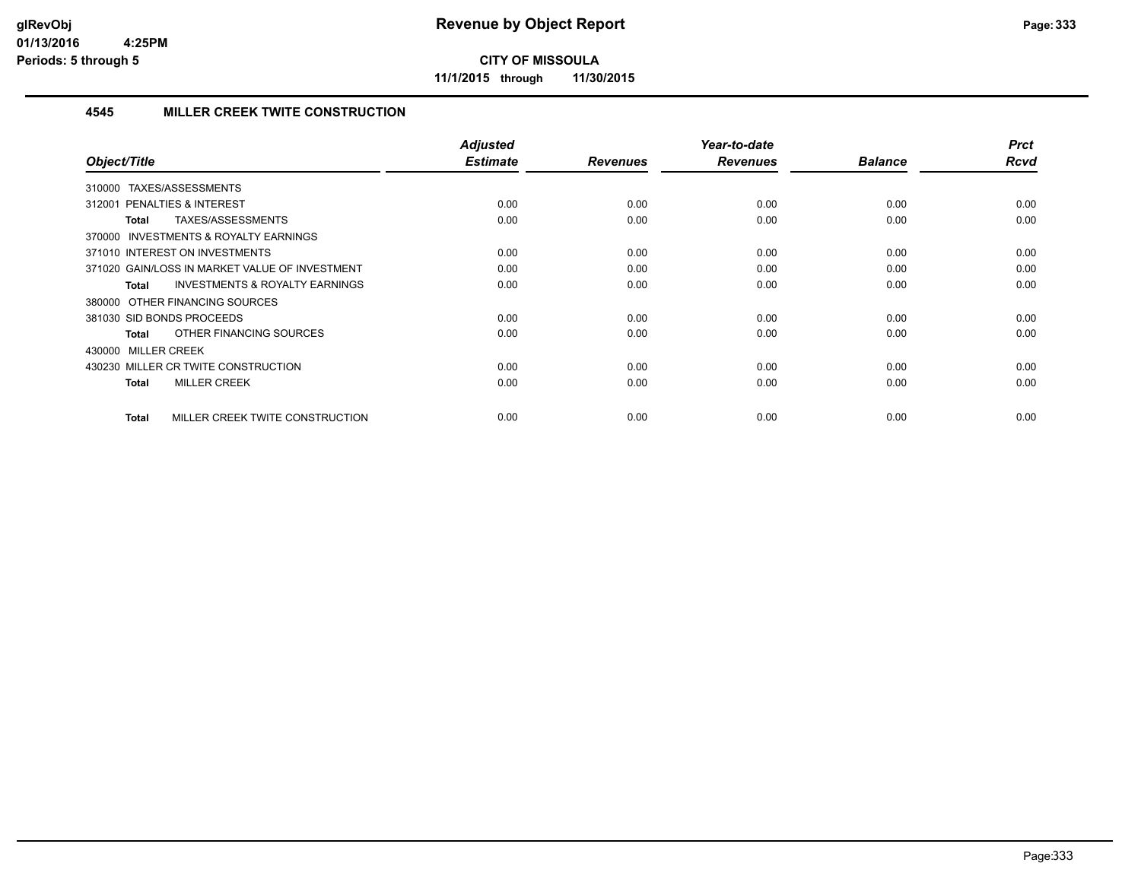**11/1/2015 through 11/30/2015**

#### **4545 MILLER CREEK TWITE CONSTRUCTION**

| Object/Title                                              | Adjusted<br><b>Estimate</b> | <b>Revenues</b> | Year-to-date<br><b>Revenues</b> | <b>Balance</b> | <b>Prct</b><br>Rcvd |
|-----------------------------------------------------------|-----------------------------|-----------------|---------------------------------|----------------|---------------------|
|                                                           |                             |                 |                                 |                |                     |
| TAXES/ASSESSMENTS<br>310000                               |                             |                 |                                 |                |                     |
| PENALTIES & INTEREST<br>312001                            | 0.00                        | 0.00            | 0.00                            | 0.00           | 0.00                |
| TAXES/ASSESSMENTS<br>Total                                | 0.00                        | 0.00            | 0.00                            | 0.00           | 0.00                |
| 370000 INVESTMENTS & ROYALTY EARNINGS                     |                             |                 |                                 |                |                     |
| 371010 INTEREST ON INVESTMENTS                            | 0.00                        | 0.00            | 0.00                            | 0.00           | 0.00                |
| 371020 GAIN/LOSS IN MARKET VALUE OF INVESTMENT            | 0.00                        | 0.00            | 0.00                            | 0.00           | 0.00                |
| <b>INVESTMENTS &amp; ROYALTY EARNINGS</b><br><b>Total</b> | 0.00                        | 0.00            | 0.00                            | 0.00           | 0.00                |
| 380000 OTHER FINANCING SOURCES                            |                             |                 |                                 |                |                     |
| 381030 SID BONDS PROCEEDS                                 | 0.00                        | 0.00            | 0.00                            | 0.00           | 0.00                |
| OTHER FINANCING SOURCES<br><b>Total</b>                   | 0.00                        | 0.00            | 0.00                            | 0.00           | 0.00                |
| 430000 MILLER CREEK                                       |                             |                 |                                 |                |                     |
| 430230 MILLER CR TWITE CONSTRUCTION                       | 0.00                        | 0.00            | 0.00                            | 0.00           | 0.00                |
| <b>MILLER CREEK</b><br><b>Total</b>                       | 0.00                        | 0.00            | 0.00                            | 0.00           | 0.00                |
|                                                           |                             |                 |                                 |                |                     |
| MILLER CREEK TWITE CONSTRUCTION<br><b>Total</b>           | 0.00                        | 0.00            | 0.00                            | 0.00           | 0.00                |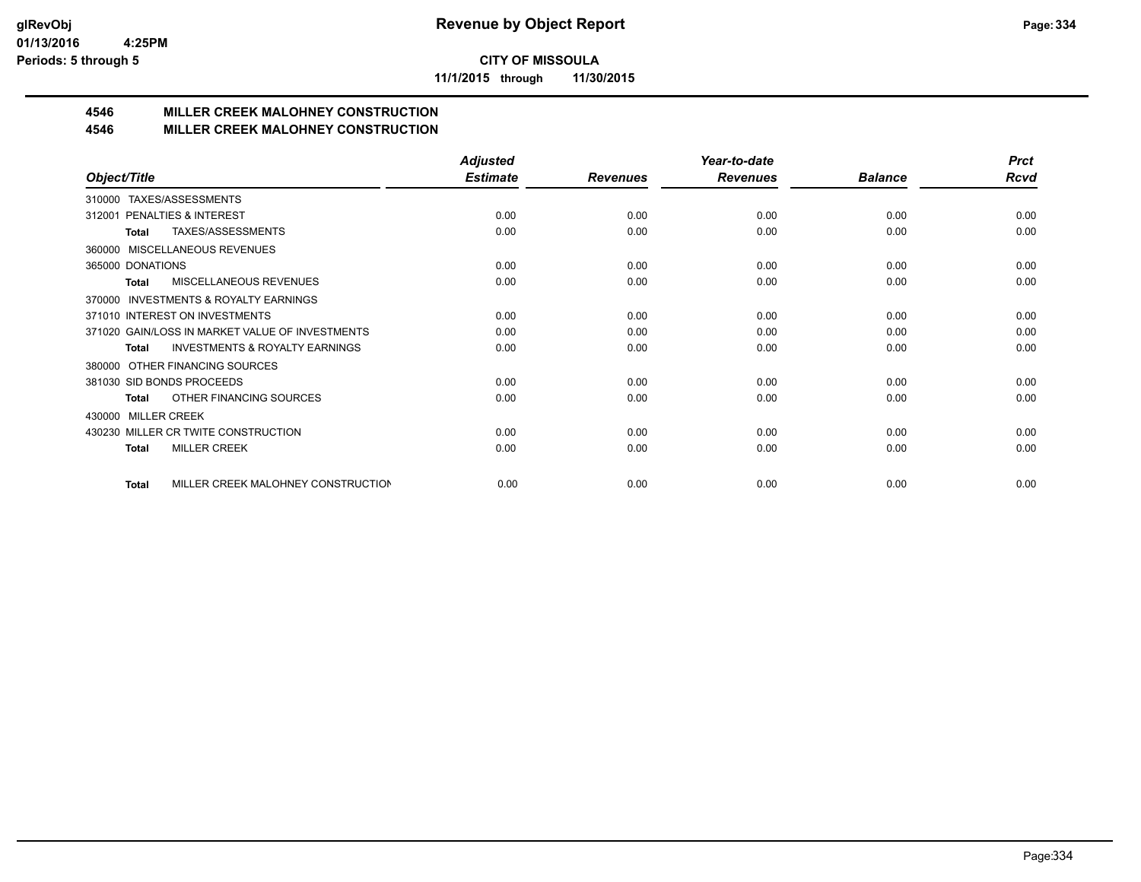**11/1/2015 through 11/30/2015**

# **4546 MILLER CREEK MALOHNEY CONSTRUCTION**

#### **4546 MILLER CREEK MALOHNEY CONSTRUCTION**

|                                                     | <b>Adjusted</b> |                 | Year-to-date    |                | <b>Prct</b> |
|-----------------------------------------------------|-----------------|-----------------|-----------------|----------------|-------------|
| Object/Title                                        | <b>Estimate</b> | <b>Revenues</b> | <b>Revenues</b> | <b>Balance</b> | <b>Rcvd</b> |
| TAXES/ASSESSMENTS<br>310000                         |                 |                 |                 |                |             |
| PENALTIES & INTEREST<br>312001                      | 0.00            | 0.00            | 0.00            | 0.00           | 0.00        |
| TAXES/ASSESSMENTS<br>Total                          | 0.00            | 0.00            | 0.00            | 0.00           | 0.00        |
| MISCELLANEOUS REVENUES<br>360000                    |                 |                 |                 |                |             |
| 365000 DONATIONS                                    | 0.00            | 0.00            | 0.00            | 0.00           | 0.00        |
| <b>MISCELLANEOUS REVENUES</b><br><b>Total</b>       | 0.00            | 0.00            | 0.00            | 0.00           | 0.00        |
| <b>INVESTMENTS &amp; ROYALTY EARNINGS</b><br>370000 |                 |                 |                 |                |             |
| 371010 INTEREST ON INVESTMENTS                      | 0.00            | 0.00            | 0.00            | 0.00           | 0.00        |
| 371020 GAIN/LOSS IN MARKET VALUE OF INVESTMENTS     | 0.00            | 0.00            | 0.00            | 0.00           | 0.00        |
| <b>INVESTMENTS &amp; ROYALTY EARNINGS</b><br>Total  | 0.00            | 0.00            | 0.00            | 0.00           | 0.00        |
| OTHER FINANCING SOURCES<br>380000                   |                 |                 |                 |                |             |
| 381030 SID BONDS PROCEEDS                           | 0.00            | 0.00            | 0.00            | 0.00           | 0.00        |
| OTHER FINANCING SOURCES<br><b>Total</b>             | 0.00            | 0.00            | 0.00            | 0.00           | 0.00        |
| <b>MILLER CREEK</b><br>430000                       |                 |                 |                 |                |             |
| 430230 MILLER CR TWITE CONSTRUCTION                 | 0.00            | 0.00            | 0.00            | 0.00           | 0.00        |
| <b>MILLER CREEK</b><br><b>Total</b>                 | 0.00            | 0.00            | 0.00            | 0.00           | 0.00        |
| MILLER CREEK MALOHNEY CONSTRUCTION<br><b>Total</b>  | 0.00            | 0.00            | 0.00            | 0.00           | 0.00        |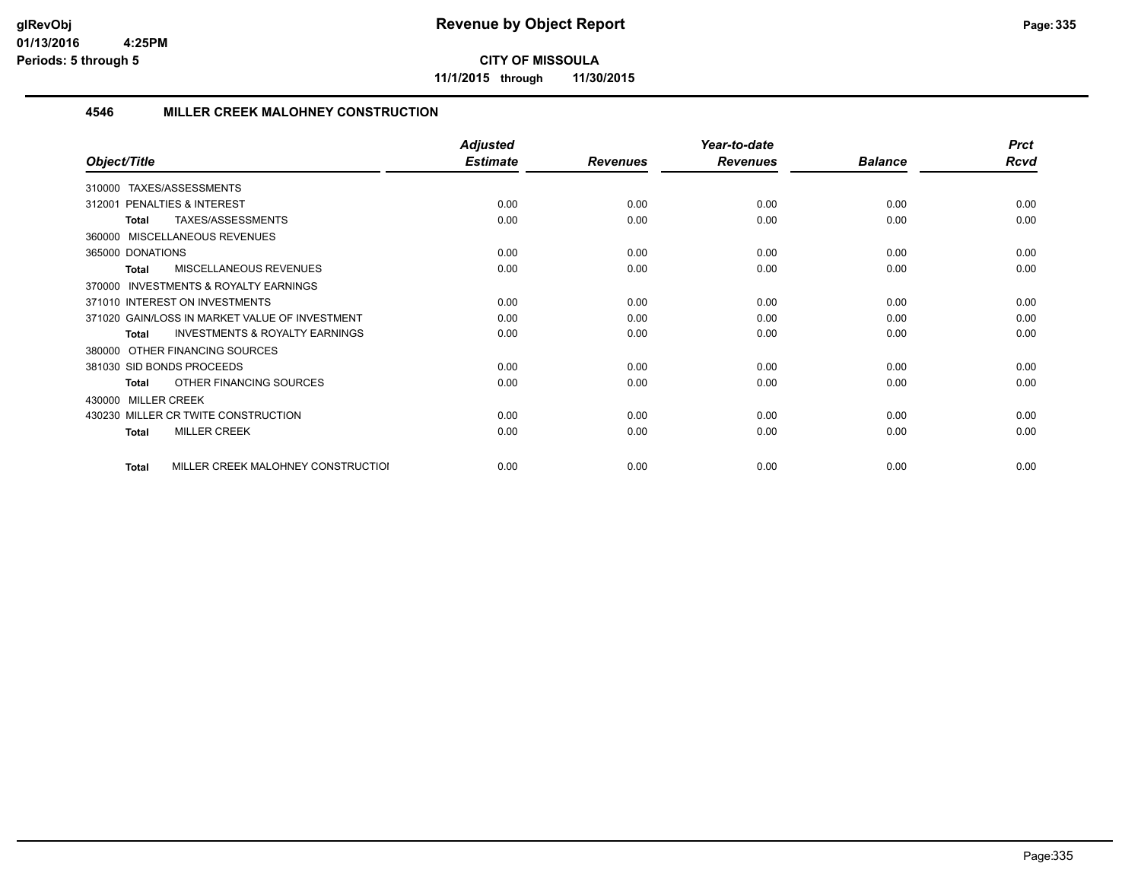**11/1/2015 through 11/30/2015**

#### **4546 MILLER CREEK MALOHNEY CONSTRUCTION**

|                                                           | <b>Adjusted</b> |                 | Year-to-date    |                | <b>Prct</b> |
|-----------------------------------------------------------|-----------------|-----------------|-----------------|----------------|-------------|
| Object/Title                                              | <b>Estimate</b> | <b>Revenues</b> | <b>Revenues</b> | <b>Balance</b> | <b>Rcvd</b> |
| TAXES/ASSESSMENTS<br>310000                               |                 |                 |                 |                |             |
| <b>PENALTIES &amp; INTEREST</b><br>312001                 | 0.00            | 0.00            | 0.00            | 0.00           | 0.00        |
| TAXES/ASSESSMENTS<br>Total                                | 0.00            | 0.00            | 0.00            | 0.00           | 0.00        |
| MISCELLANEOUS REVENUES<br>360000                          |                 |                 |                 |                |             |
| 365000 DONATIONS                                          | 0.00            | 0.00            | 0.00            | 0.00           | 0.00        |
| MISCELLANEOUS REVENUES<br><b>Total</b>                    | 0.00            | 0.00            | 0.00            | 0.00           | 0.00        |
| <b>INVESTMENTS &amp; ROYALTY EARNINGS</b><br>370000       |                 |                 |                 |                |             |
| 371010 INTEREST ON INVESTMENTS                            | 0.00            | 0.00            | 0.00            | 0.00           | 0.00        |
| 371020 GAIN/LOSS IN MARKET VALUE OF INVESTMENT            | 0.00            | 0.00            | 0.00            | 0.00           | 0.00        |
| <b>INVESTMENTS &amp; ROYALTY EARNINGS</b><br><b>Total</b> | 0.00            | 0.00            | 0.00            | 0.00           | 0.00        |
| OTHER FINANCING SOURCES<br>380000                         |                 |                 |                 |                |             |
| 381030 SID BONDS PROCEEDS                                 | 0.00            | 0.00            | 0.00            | 0.00           | 0.00        |
| OTHER FINANCING SOURCES<br><b>Total</b>                   | 0.00            | 0.00            | 0.00            | 0.00           | 0.00        |
| <b>MILLER CREEK</b><br>430000                             |                 |                 |                 |                |             |
| MILLER CR TWITE CONSTRUCTION<br>430230                    | 0.00            | 0.00            | 0.00            | 0.00           | 0.00        |
| <b>MILLER CREEK</b><br>Total                              | 0.00            | 0.00            | 0.00            | 0.00           | 0.00        |
| MILLER CREEK MALOHNEY CONSTRUCTIOI<br><b>Total</b>        | 0.00            | 0.00            | 0.00            | 0.00           | 0.00        |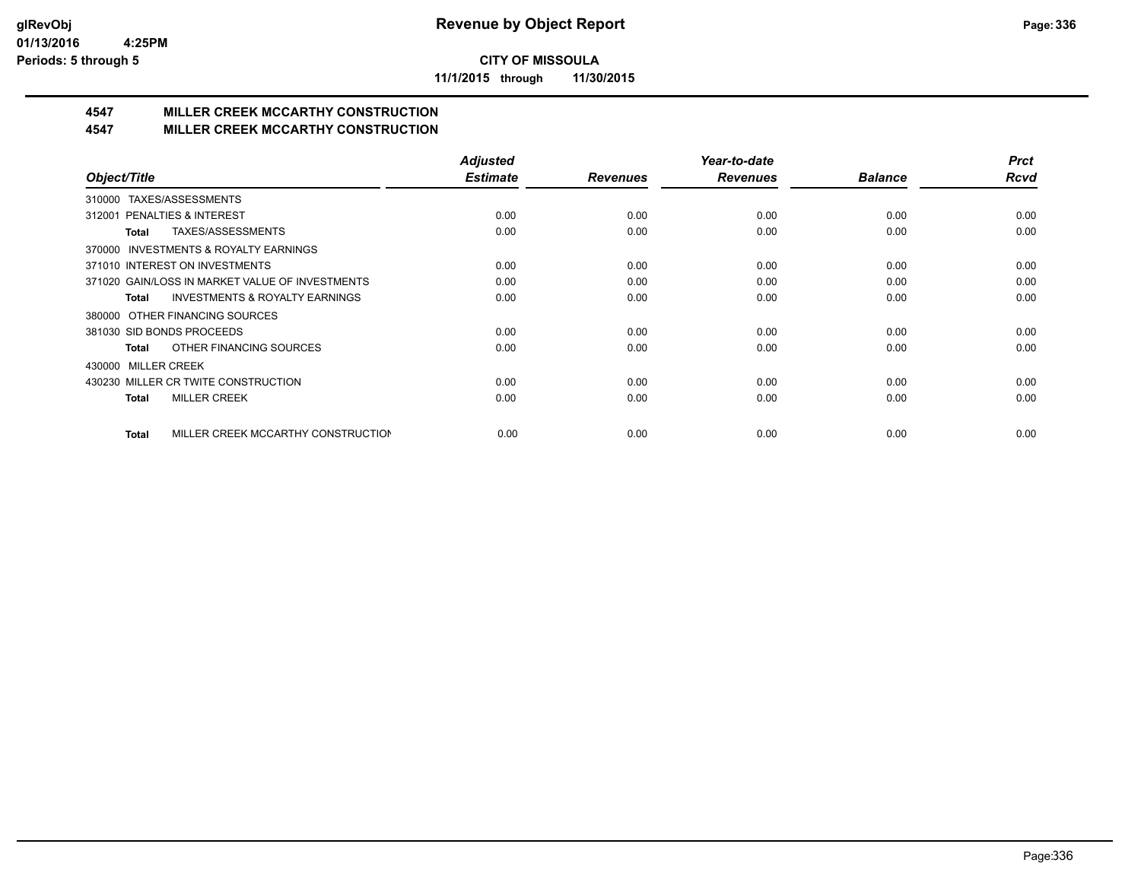**11/1/2015 through 11/30/2015**

# **4547 MILLER CREEK MCCARTHY CONSTRUCTION**

#### **4547 MILLER CREEK MCCARTHY CONSTRUCTION**

|                                                    | <b>Adjusted</b> |                 | Year-to-date    |                | <b>Prct</b> |
|----------------------------------------------------|-----------------|-----------------|-----------------|----------------|-------------|
| Object/Title                                       | <b>Estimate</b> | <b>Revenues</b> | <b>Revenues</b> | <b>Balance</b> | <b>Rcvd</b> |
| TAXES/ASSESSMENTS<br>310000                        |                 |                 |                 |                |             |
| PENALTIES & INTEREST<br>312001                     | 0.00            | 0.00            | 0.00            | 0.00           | 0.00        |
| TAXES/ASSESSMENTS<br>Total                         | 0.00            | 0.00            | 0.00            | 0.00           | 0.00        |
| INVESTMENTS & ROYALTY EARNINGS<br>370000           |                 |                 |                 |                |             |
| 371010 INTEREST ON INVESTMENTS                     | 0.00            | 0.00            | 0.00            | 0.00           | 0.00        |
| 371020 GAIN/LOSS IN MARKET VALUE OF INVESTMENTS    | 0.00            | 0.00            | 0.00            | 0.00           | 0.00        |
| <b>INVESTMENTS &amp; ROYALTY EARNINGS</b><br>Total | 0.00            | 0.00            | 0.00            | 0.00           | 0.00        |
| OTHER FINANCING SOURCES<br>380000                  |                 |                 |                 |                |             |
| 381030 SID BONDS PROCEEDS                          | 0.00            | 0.00            | 0.00            | 0.00           | 0.00        |
| OTHER FINANCING SOURCES<br>Total                   | 0.00            | 0.00            | 0.00            | 0.00           | 0.00        |
| <b>MILLER CREEK</b><br>430000                      |                 |                 |                 |                |             |
| 430230 MILLER CR TWITE CONSTRUCTION                | 0.00            | 0.00            | 0.00            | 0.00           | 0.00        |
| <b>MILLER CREEK</b><br><b>Total</b>                | 0.00            | 0.00            | 0.00            | 0.00           | 0.00        |
|                                                    |                 |                 |                 |                |             |
| MILLER CREEK MCCARTHY CONSTRUCTION<br><b>Total</b> | 0.00            | 0.00            | 0.00            | 0.00           | 0.00        |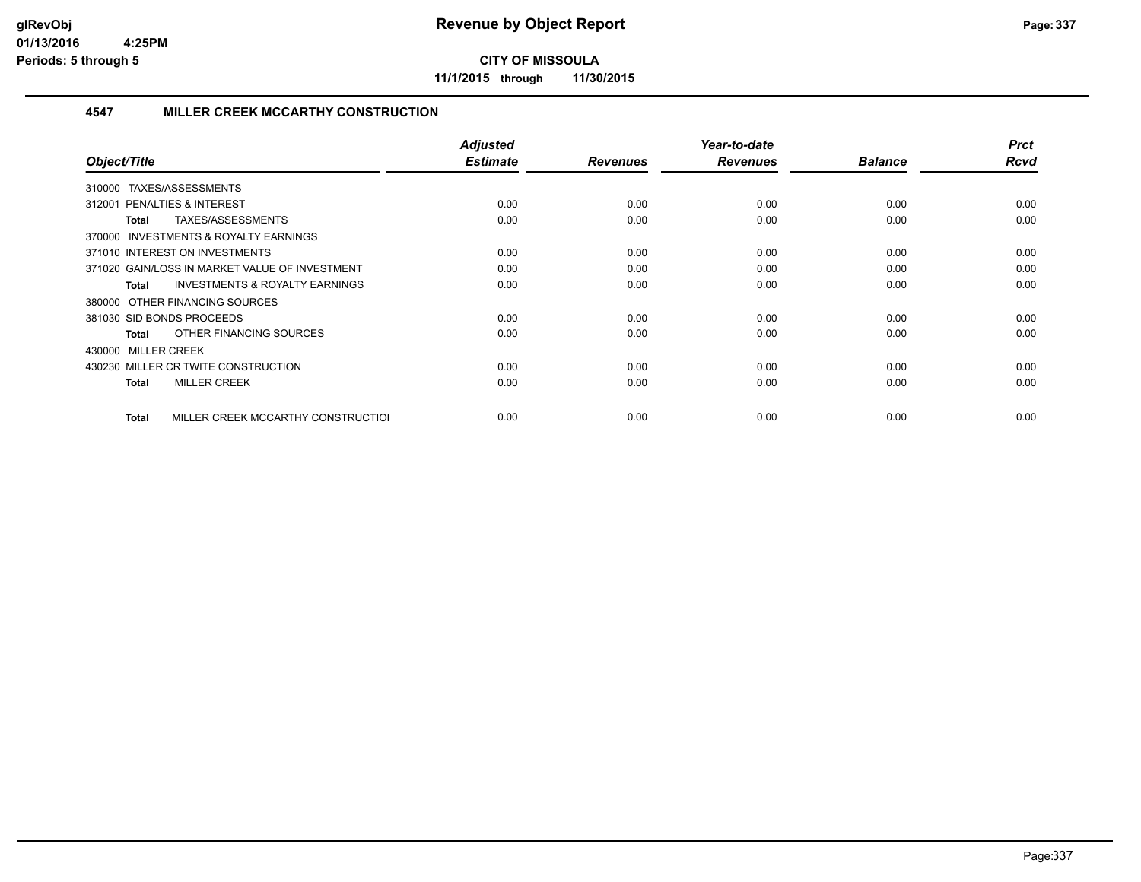**11/1/2015 through 11/30/2015**

#### **4547 MILLER CREEK MCCARTHY CONSTRUCTION**

| Object/Title                                              | <b>Adjusted</b><br><b>Estimate</b> | <b>Revenues</b> | Year-to-date<br><b>Revenues</b> | <b>Balance</b> | <b>Prct</b><br><b>Rcvd</b> |
|-----------------------------------------------------------|------------------------------------|-----------------|---------------------------------|----------------|----------------------------|
| TAXES/ASSESSMENTS<br>310000                               |                                    |                 |                                 |                |                            |
| <b>PENALTIES &amp; INTEREST</b><br>312001                 | 0.00                               | 0.00            | 0.00                            | 0.00           | 0.00                       |
| TAXES/ASSESSMENTS<br>Total                                | 0.00                               | 0.00            | 0.00                            | 0.00           | 0.00                       |
| INVESTMENTS & ROYALTY EARNINGS<br>370000                  |                                    |                 |                                 |                |                            |
| 371010 INTEREST ON INVESTMENTS                            | 0.00                               | 0.00            | 0.00                            | 0.00           | 0.00                       |
| 371020 GAIN/LOSS IN MARKET VALUE OF INVESTMENT            | 0.00                               | 0.00            | 0.00                            | 0.00           | 0.00                       |
| <b>INVESTMENTS &amp; ROYALTY EARNINGS</b><br><b>Total</b> | 0.00                               | 0.00            | 0.00                            | 0.00           | 0.00                       |
| 380000 OTHER FINANCING SOURCES                            |                                    |                 |                                 |                |                            |
| 381030 SID BONDS PROCEEDS                                 | 0.00                               | 0.00            | 0.00                            | 0.00           | 0.00                       |
| OTHER FINANCING SOURCES<br>Total                          | 0.00                               | 0.00            | 0.00                            | 0.00           | 0.00                       |
| 430000 MILLER CREEK                                       |                                    |                 |                                 |                |                            |
| 430230 MILLER CR TWITE CONSTRUCTION                       | 0.00                               | 0.00            | 0.00                            | 0.00           | 0.00                       |
| <b>MILLER CREEK</b><br><b>Total</b>                       | 0.00                               | 0.00            | 0.00                            | 0.00           | 0.00                       |
| MILLER CREEK MCCARTHY CONSTRUCTIOL<br>Total               | 0.00                               | 0.00            | 0.00                            | 0.00           | 0.00                       |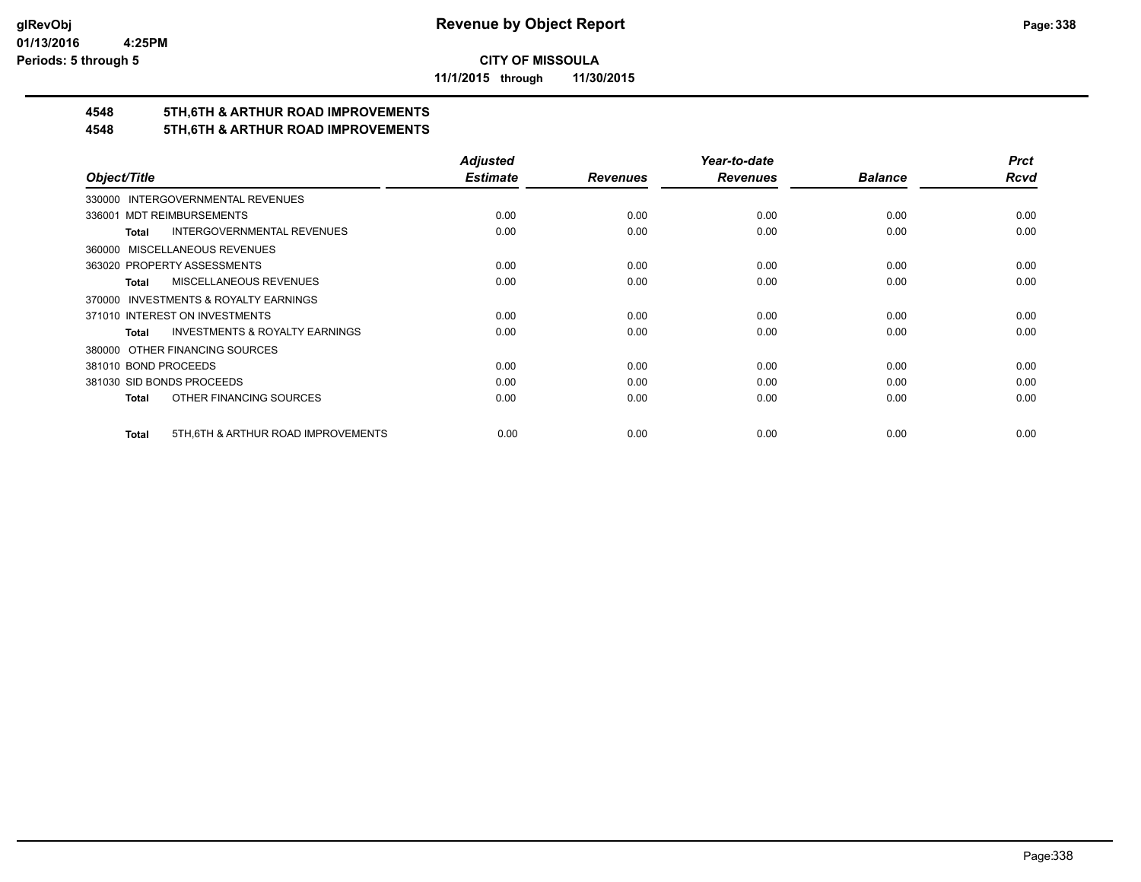**11/1/2015 through 11/30/2015**

# **4548 5TH,6TH & ARTHUR ROAD IMPROVEMENTS**

# **4548 5TH,6TH & ARTHUR ROAD IMPROVEMENTS**

|                                                     | <b>Adjusted</b> |                 | Year-to-date    |                | <b>Prct</b> |
|-----------------------------------------------------|-----------------|-----------------|-----------------|----------------|-------------|
| Object/Title                                        | <b>Estimate</b> | <b>Revenues</b> | <b>Revenues</b> | <b>Balance</b> | Rcvd        |
| 330000 INTERGOVERNMENTAL REVENUES                   |                 |                 |                 |                |             |
| <b>MDT REIMBURSEMENTS</b><br>336001                 | 0.00            | 0.00            | 0.00            | 0.00           | 0.00        |
| INTERGOVERNMENTAL REVENUES<br>Total                 | 0.00            | 0.00            | 0.00            | 0.00           | 0.00        |
| 360000 MISCELLANEOUS REVENUES                       |                 |                 |                 |                |             |
| 363020 PROPERTY ASSESSMENTS                         | 0.00            | 0.00            | 0.00            | 0.00           | 0.00        |
| <b>MISCELLANEOUS REVENUES</b><br>Total              | 0.00            | 0.00            | 0.00            | 0.00           | 0.00        |
| 370000 INVESTMENTS & ROYALTY EARNINGS               |                 |                 |                 |                |             |
| 371010 INTEREST ON INVESTMENTS                      | 0.00            | 0.00            | 0.00            | 0.00           | 0.00        |
| <b>INVESTMENTS &amp; ROYALTY EARNINGS</b><br>Total  | 0.00            | 0.00            | 0.00            | 0.00           | 0.00        |
| 380000 OTHER FINANCING SOURCES                      |                 |                 |                 |                |             |
| 381010 BOND PROCEEDS                                | 0.00            | 0.00            | 0.00            | 0.00           | 0.00        |
| 381030 SID BONDS PROCEEDS                           | 0.00            | 0.00            | 0.00            | 0.00           | 0.00        |
| OTHER FINANCING SOURCES<br>Total                    | 0.00            | 0.00            | 0.00            | 0.00           | 0.00        |
| 5TH, 6TH & ARTHUR ROAD IMPROVEMENTS<br><b>Total</b> | 0.00            | 0.00            | 0.00            | 0.00           | 0.00        |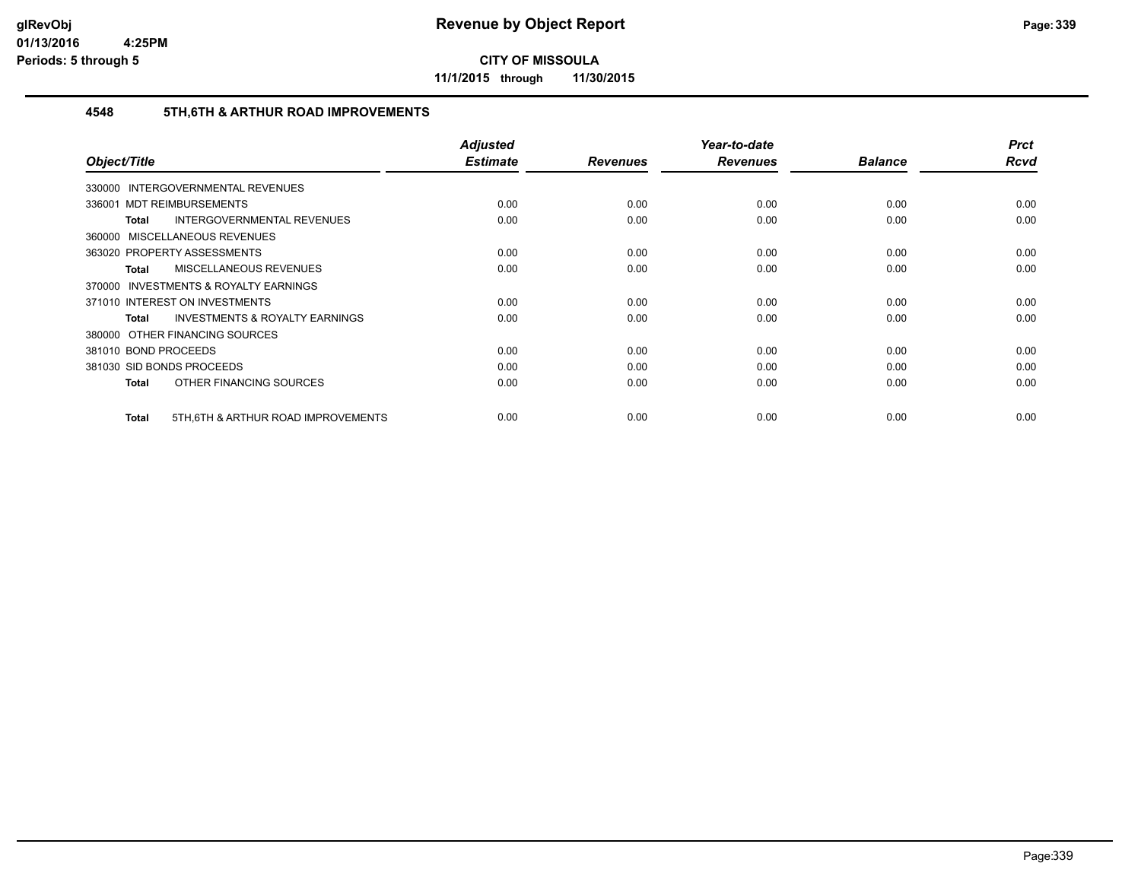**11/1/2015 through 11/30/2015**

#### **4548 5TH,6TH & ARTHUR ROAD IMPROVEMENTS**

|                                                           | <b>Adjusted</b> |                 | Year-to-date    |                | <b>Prct</b> |
|-----------------------------------------------------------|-----------------|-----------------|-----------------|----------------|-------------|
| Object/Title                                              | <b>Estimate</b> | <b>Revenues</b> | <b>Revenues</b> | <b>Balance</b> | Rcvd        |
| 330000 INTERGOVERNMENTAL REVENUES                         |                 |                 |                 |                |             |
| 336001 MDT REIMBURSEMENTS                                 | 0.00            | 0.00            | 0.00            | 0.00           | 0.00        |
| INTERGOVERNMENTAL REVENUES<br>Total                       | 0.00            | 0.00            | 0.00            | 0.00           | 0.00        |
| 360000 MISCELLANEOUS REVENUES                             |                 |                 |                 |                |             |
| 363020 PROPERTY ASSESSMENTS                               | 0.00            | 0.00            | 0.00            | 0.00           | 0.00        |
| MISCELLANEOUS REVENUES<br>Total                           | 0.00            | 0.00            | 0.00            | 0.00           | 0.00        |
| 370000 INVESTMENTS & ROYALTY EARNINGS                     |                 |                 |                 |                |             |
| 371010 INTEREST ON INVESTMENTS                            | 0.00            | 0.00            | 0.00            | 0.00           | 0.00        |
| <b>INVESTMENTS &amp; ROYALTY EARNINGS</b><br><b>Total</b> | 0.00            | 0.00            | 0.00            | 0.00           | 0.00        |
| 380000 OTHER FINANCING SOURCES                            |                 |                 |                 |                |             |
| 381010 BOND PROCEEDS                                      | 0.00            | 0.00            | 0.00            | 0.00           | 0.00        |
| 381030 SID BONDS PROCEEDS                                 | 0.00            | 0.00            | 0.00            | 0.00           | 0.00        |
| OTHER FINANCING SOURCES<br>Total                          | 0.00            | 0.00            | 0.00            | 0.00           | 0.00        |
| 5TH, 6TH & ARTHUR ROAD IMPROVEMENTS<br>Total              | 0.00            | 0.00            | 0.00            | 0.00           | 0.00        |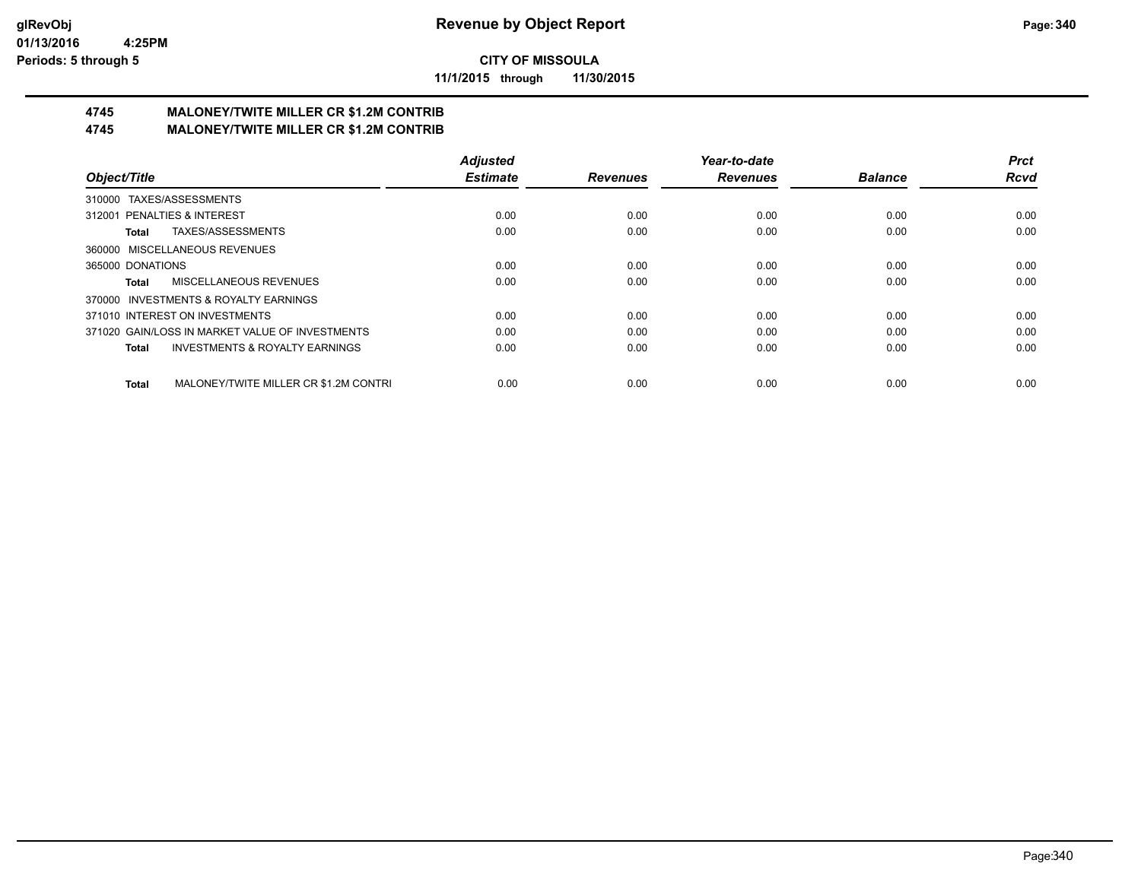**11/1/2015 through 11/30/2015**

#### **4745 MALONEY/TWITE MILLER CR \$1.2M CONTRIB 4745 MALONEY/TWITE MILLER CR \$1.2M CONTRIB**

|                                                 | <b>Adjusted</b> |                 | Year-to-date    |                | <b>Prct</b> |
|-------------------------------------------------|-----------------|-----------------|-----------------|----------------|-------------|
| Object/Title                                    | <b>Estimate</b> | <b>Revenues</b> | <b>Revenues</b> | <b>Balance</b> | <b>Rcvd</b> |
| 310000 TAXES/ASSESSMENTS                        |                 |                 |                 |                |             |
| 312001 PENALTIES & INTEREST                     | 0.00            | 0.00            | 0.00            | 0.00           | 0.00        |
| TAXES/ASSESSMENTS<br>Total                      | 0.00            | 0.00            | 0.00            | 0.00           | 0.00        |
| 360000 MISCELLANEOUS REVENUES                   |                 |                 |                 |                |             |
| 365000 DONATIONS                                | 0.00            | 0.00            | 0.00            | 0.00           | 0.00        |
| MISCELLANEOUS REVENUES<br>Total                 | 0.00            | 0.00            | 0.00            | 0.00           | 0.00        |
| INVESTMENTS & ROYALTY EARNINGS<br>370000        |                 |                 |                 |                |             |
| 371010 INTEREST ON INVESTMENTS                  | 0.00            | 0.00            | 0.00            | 0.00           | 0.00        |
| 371020 GAIN/LOSS IN MARKET VALUE OF INVESTMENTS | 0.00            | 0.00            | 0.00            | 0.00           | 0.00        |
| INVESTMENTS & ROYALTY EARNINGS<br>Total         | 0.00            | 0.00            | 0.00            | 0.00           | 0.00        |
| MALONEY/TWITE MILLER CR \$1.2M CONTRI<br>Total  | 0.00            | 0.00            | 0.00            | 0.00           | 0.00        |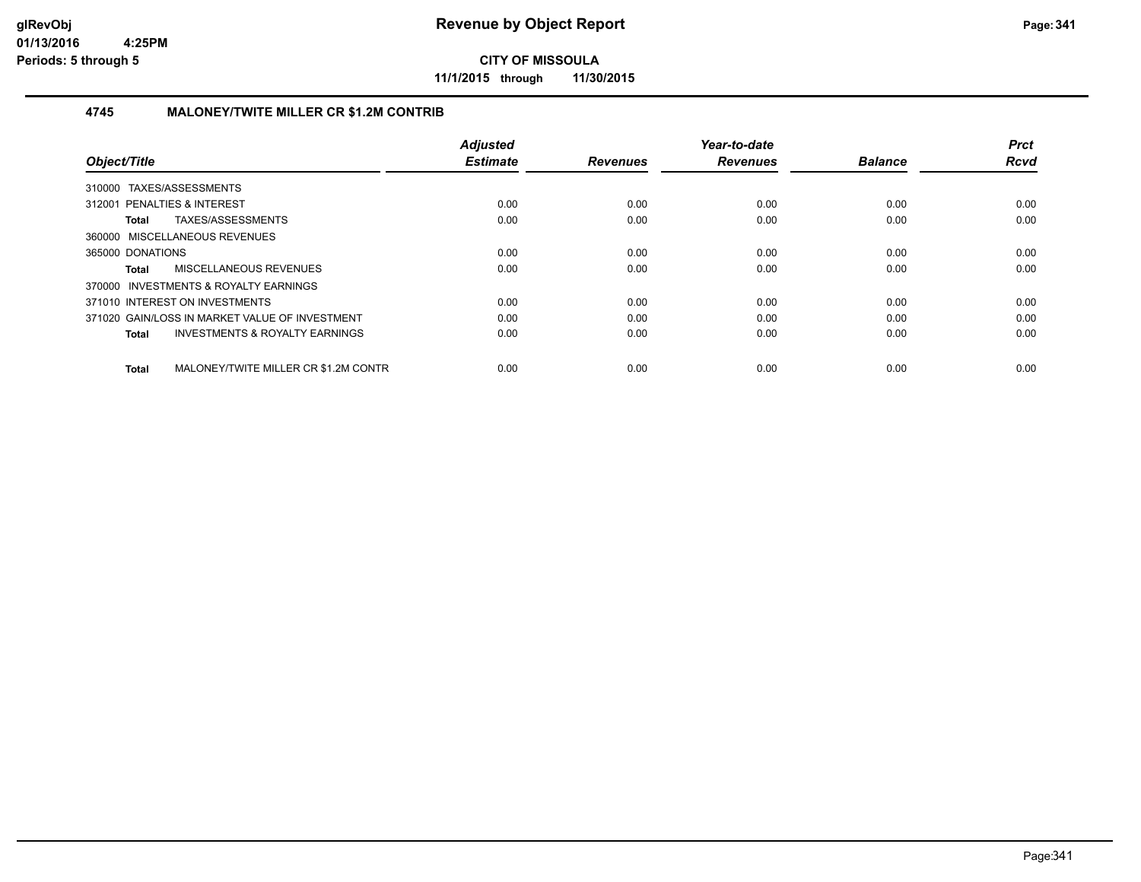**11/1/2015 through 11/30/2015**

#### **4745 MALONEY/TWITE MILLER CR \$1.2M CONTRIB**

| Object/Title                                         | <b>Adjusted</b><br><b>Estimate</b> | <b>Revenues</b> | Year-to-date<br><b>Revenues</b> | <b>Balance</b> | <b>Prct</b><br><b>Rcvd</b> |
|------------------------------------------------------|------------------------------------|-----------------|---------------------------------|----------------|----------------------------|
|                                                      |                                    |                 |                                 |                |                            |
| TAXES/ASSESSMENTS<br>310000                          |                                    |                 |                                 |                |                            |
| 312001 PENALTIES & INTEREST                          | 0.00                               | 0.00            | 0.00                            | 0.00           | 0.00                       |
| TAXES/ASSESSMENTS<br>Total                           | 0.00                               | 0.00            | 0.00                            | 0.00           | 0.00                       |
| 360000 MISCELLANEOUS REVENUES                        |                                    |                 |                                 |                |                            |
| 365000 DONATIONS                                     | 0.00                               | 0.00            | 0.00                            | 0.00           | 0.00                       |
| MISCELLANEOUS REVENUES<br>Total                      | 0.00                               | 0.00            | 0.00                            | 0.00           | 0.00                       |
| 370000 INVESTMENTS & ROYALTY EARNINGS                |                                    |                 |                                 |                |                            |
| 371010 INTEREST ON INVESTMENTS                       | 0.00                               | 0.00            | 0.00                            | 0.00           | 0.00                       |
| 371020 GAIN/LOSS IN MARKET VALUE OF INVESTMENT       | 0.00                               | 0.00            | 0.00                            | 0.00           | 0.00                       |
| <b>INVESTMENTS &amp; ROYALTY EARNINGS</b><br>Total   | 0.00                               | 0.00            | 0.00                            | 0.00           | 0.00                       |
|                                                      |                                    |                 |                                 |                |                            |
| MALONEY/TWITE MILLER CR \$1.2M CONTR<br><b>Total</b> | 0.00                               | 0.00            | 0.00                            | 0.00           | 0.00                       |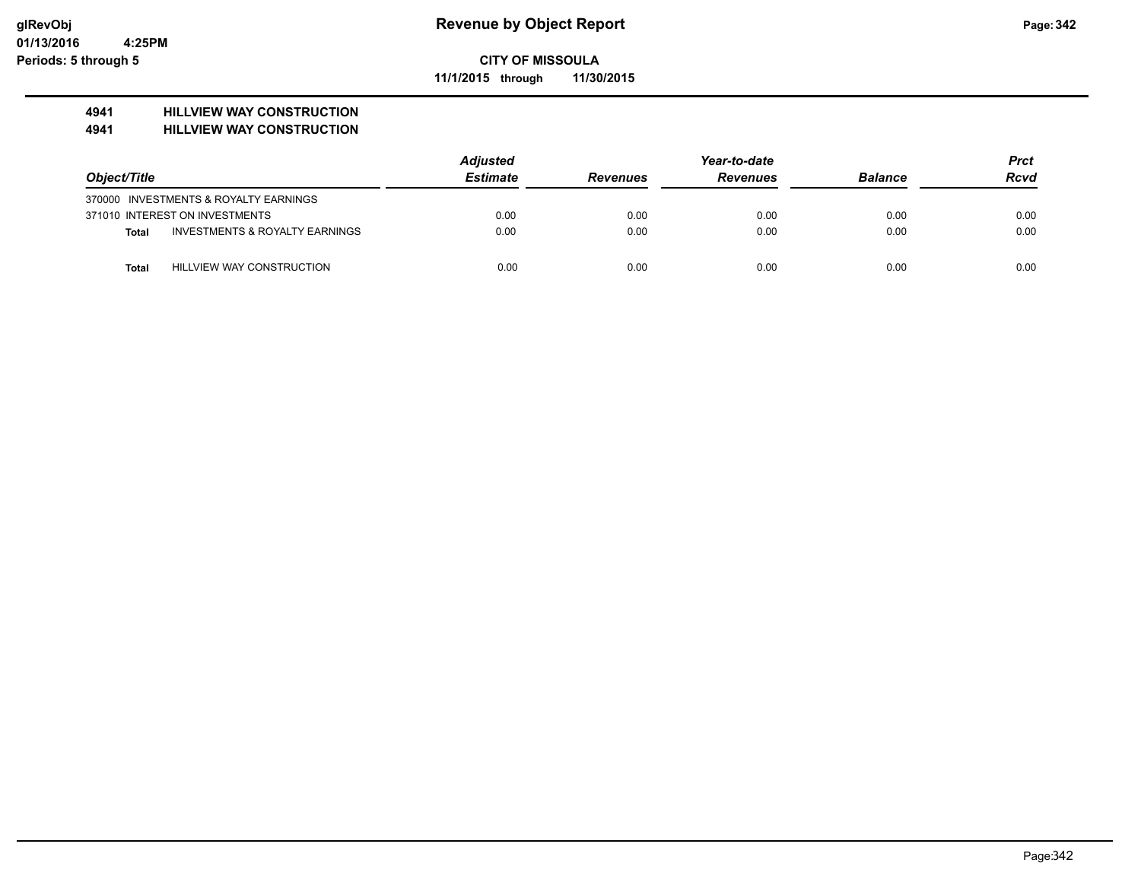**11/1/2015 through 11/30/2015**

# **4941 HILLVIEW WAY CONSTRUCTION**

#### **4941 HILLVIEW WAY CONSTRUCTION**

|              |                                           | <b>Adjusted</b> |                 | <b>Prct</b>     |                |             |
|--------------|-------------------------------------------|-----------------|-----------------|-----------------|----------------|-------------|
| Object/Title |                                           | <b>Estimate</b> | <b>Revenues</b> | <b>Revenues</b> | <b>Balance</b> | <b>Rcvd</b> |
|              | 370000 INVESTMENTS & ROYALTY EARNINGS     |                 |                 |                 |                |             |
|              | 371010 INTEREST ON INVESTMENTS            | 0.00            | 0.00            | 0.00            | 0.00           | 0.00        |
| Total        | <b>INVESTMENTS &amp; ROYALTY EARNINGS</b> | 0.00            | 0.00            | 0.00            | 0.00           | 0.00        |
| Total        | HILLVIEW WAY CONSTRUCTION                 | 0.00            | 0.00            | 0.00            | 0.00           | 0.00        |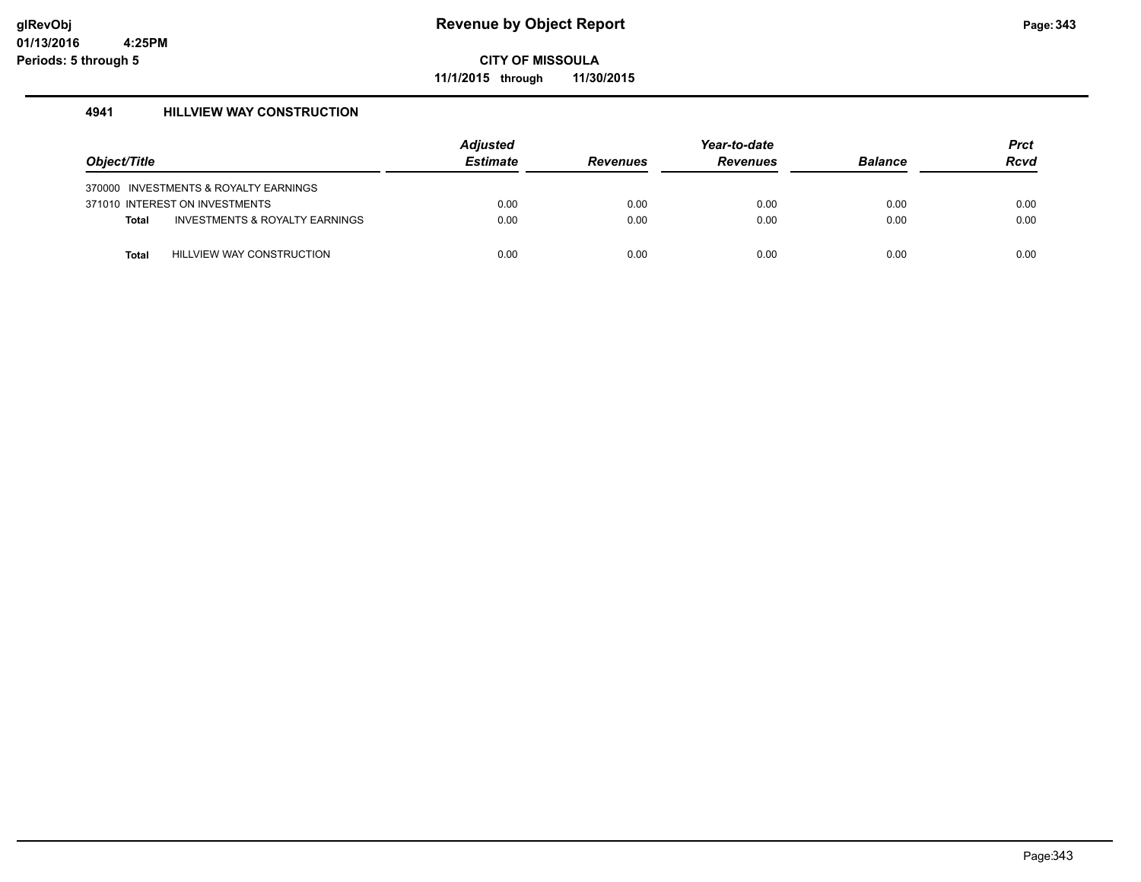**11/1/2015 through 11/30/2015**

#### **4941 HILLVIEW WAY CONSTRUCTION**

| Object/Title |                                       | Adjusted<br><b>Estimate</b> | <b>Revenues</b> | Year-to-date<br><b>Revenues</b> | <b>Balance</b> | <b>Prct</b><br><b>Rcvd</b> |
|--------------|---------------------------------------|-----------------------------|-----------------|---------------------------------|----------------|----------------------------|
|              | 370000 INVESTMENTS & ROYALTY EARNINGS |                             |                 |                                 |                |                            |
|              | 371010 INTEREST ON INVESTMENTS        | 0.00                        | 0.00            | 0.00                            | 0.00           | 0.00                       |
| <b>Total</b> | INVESTMENTS & ROYALTY EARNINGS        | 0.00                        | 0.00            | 0.00                            | 0.00           | 0.00                       |
| Total        | <b>HILLVIEW WAY CONSTRUCTION</b>      | 0.00                        | 0.00            | 0.00                            | 0.00           | 0.00                       |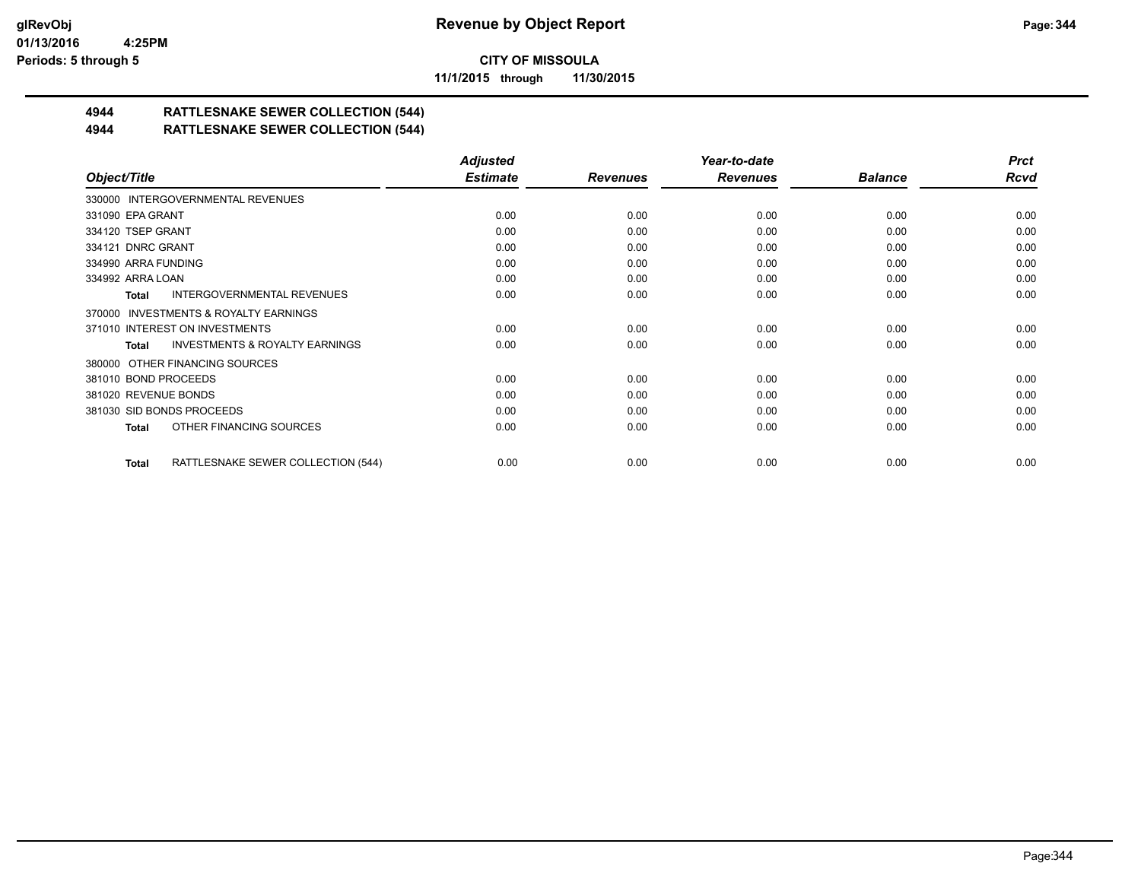**11/1/2015 through 11/30/2015**

# **4944 RATTLESNAKE SEWER COLLECTION (544)**

#### **4944 RATTLESNAKE SEWER COLLECTION (544)**

|                                                    | <b>Adjusted</b> |                 | Year-to-date    |                | <b>Prct</b> |
|----------------------------------------------------|-----------------|-----------------|-----------------|----------------|-------------|
| Object/Title                                       | <b>Estimate</b> | <b>Revenues</b> | <b>Revenues</b> | <b>Balance</b> | <b>Rcvd</b> |
| 330000 INTERGOVERNMENTAL REVENUES                  |                 |                 |                 |                |             |
| 331090 EPA GRANT                                   | 0.00            | 0.00            | 0.00            | 0.00           | 0.00        |
| 334120 TSEP GRANT                                  | 0.00            | 0.00            | 0.00            | 0.00           | 0.00        |
| 334121 DNRC GRANT                                  | 0.00            | 0.00            | 0.00            | 0.00           | 0.00        |
| 334990 ARRA FUNDING                                | 0.00            | 0.00            | 0.00            | 0.00           | 0.00        |
| 334992 ARRA LOAN                                   | 0.00            | 0.00            | 0.00            | 0.00           | 0.00        |
| <b>INTERGOVERNMENTAL REVENUES</b><br>Total         | 0.00            | 0.00            | 0.00            | 0.00           | 0.00        |
| 370000 INVESTMENTS & ROYALTY EARNINGS              |                 |                 |                 |                |             |
| 371010 INTEREST ON INVESTMENTS                     | 0.00            | 0.00            | 0.00            | 0.00           | 0.00        |
| <b>INVESTMENTS &amp; ROYALTY EARNINGS</b><br>Total | 0.00            | 0.00            | 0.00            | 0.00           | 0.00        |
| 380000 OTHER FINANCING SOURCES                     |                 |                 |                 |                |             |
| 381010 BOND PROCEEDS                               | 0.00            | 0.00            | 0.00            | 0.00           | 0.00        |
| 381020 REVENUE BONDS                               | 0.00            | 0.00            | 0.00            | 0.00           | 0.00        |
| 381030 SID BONDS PROCEEDS                          | 0.00            | 0.00            | 0.00            | 0.00           | 0.00        |
| OTHER FINANCING SOURCES<br>Total                   | 0.00            | 0.00            | 0.00            | 0.00           | 0.00        |
| RATTLESNAKE SEWER COLLECTION (544)<br>Total        | 0.00            | 0.00            | 0.00            | 0.00           | 0.00        |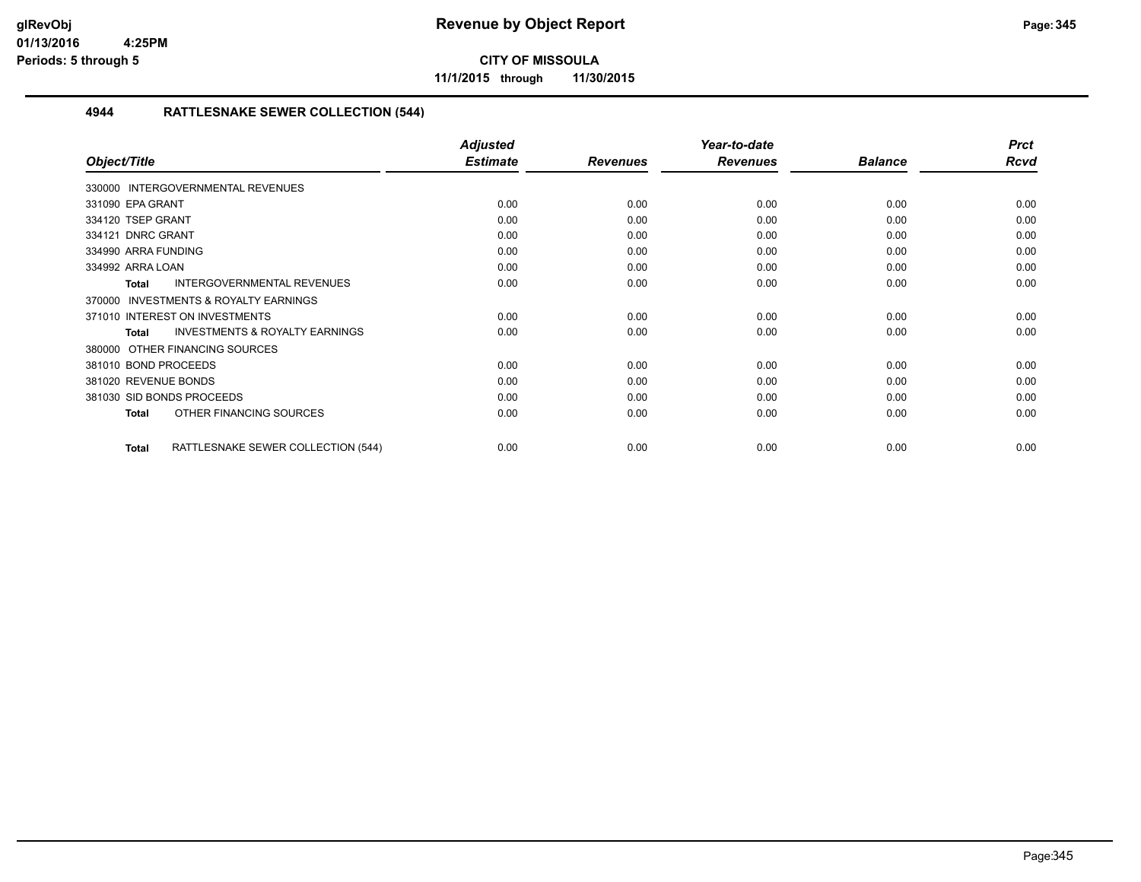**11/1/2015 through 11/30/2015**

#### **4944 RATTLESNAKE SEWER COLLECTION (544)**

|                                                           | <b>Adjusted</b> |                 | Year-to-date    |                | <b>Prct</b> |
|-----------------------------------------------------------|-----------------|-----------------|-----------------|----------------|-------------|
| Object/Title                                              | <b>Estimate</b> | <b>Revenues</b> | <b>Revenues</b> | <b>Balance</b> | <b>Rcvd</b> |
| 330000 INTERGOVERNMENTAL REVENUES                         |                 |                 |                 |                |             |
| 331090 EPA GRANT                                          | 0.00            | 0.00            | 0.00            | 0.00           | 0.00        |
| 334120 TSEP GRANT                                         | 0.00            | 0.00            | 0.00            | 0.00           | 0.00        |
| 334121 DNRC GRANT                                         | 0.00            | 0.00            | 0.00            | 0.00           | 0.00        |
| 334990 ARRA FUNDING                                       | 0.00            | 0.00            | 0.00            | 0.00           | 0.00        |
| 334992 ARRA LOAN                                          | 0.00            | 0.00            | 0.00            | 0.00           | 0.00        |
| INTERGOVERNMENTAL REVENUES<br><b>Total</b>                | 0.00            | 0.00            | 0.00            | 0.00           | 0.00        |
| <b>INVESTMENTS &amp; ROYALTY EARNINGS</b><br>370000       |                 |                 |                 |                |             |
| 371010 INTEREST ON INVESTMENTS                            | 0.00            | 0.00            | 0.00            | 0.00           | 0.00        |
| <b>INVESTMENTS &amp; ROYALTY EARNINGS</b><br><b>Total</b> | 0.00            | 0.00            | 0.00            | 0.00           | 0.00        |
| OTHER FINANCING SOURCES<br>380000                         |                 |                 |                 |                |             |
| 381010 BOND PROCEEDS                                      | 0.00            | 0.00            | 0.00            | 0.00           | 0.00        |
| 381020 REVENUE BONDS                                      | 0.00            | 0.00            | 0.00            | 0.00           | 0.00        |
| 381030 SID BONDS PROCEEDS                                 | 0.00            | 0.00            | 0.00            | 0.00           | 0.00        |
| OTHER FINANCING SOURCES<br><b>Total</b>                   | 0.00            | 0.00            | 0.00            | 0.00           | 0.00        |
| RATTLESNAKE SEWER COLLECTION (544)<br><b>Total</b>        | 0.00            | 0.00            | 0.00            | 0.00           | 0.00        |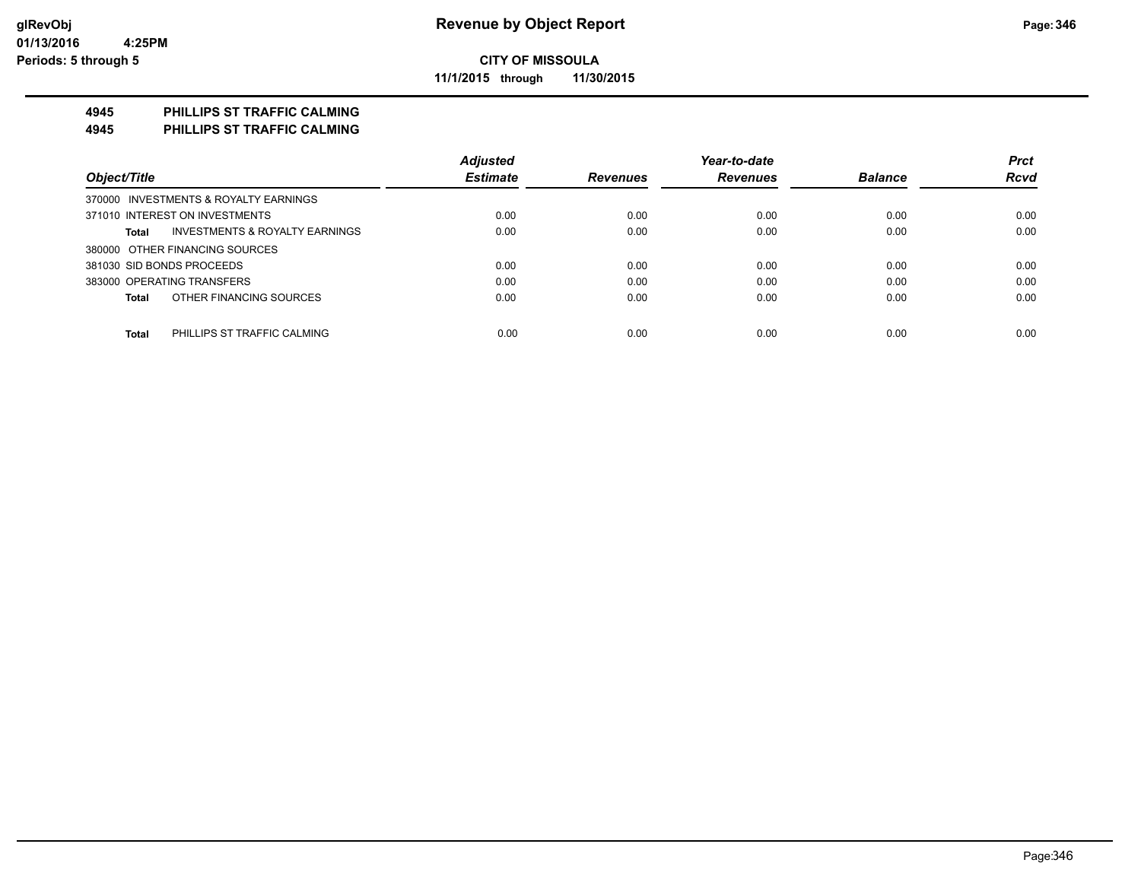**11/1/2015 through 11/30/2015**

#### **4945 PHILLIPS ST TRAFFIC CALMING**

**4945 PHILLIPS ST TRAFFIC CALMING**

|                                                           | <b>Adjusted</b> |                 | Year-to-date    |                | <b>Prct</b> |
|-----------------------------------------------------------|-----------------|-----------------|-----------------|----------------|-------------|
| Object/Title                                              | <b>Estimate</b> | <b>Revenues</b> | <b>Revenues</b> | <b>Balance</b> | <b>Rcvd</b> |
| 370000 INVESTMENTS & ROYALTY EARNINGS                     |                 |                 |                 |                |             |
| 371010 INTEREST ON INVESTMENTS                            | 0.00            | 0.00            | 0.00            | 0.00           | 0.00        |
| <b>INVESTMENTS &amp; ROYALTY EARNINGS</b><br><b>Total</b> | 0.00            | 0.00            | 0.00            | 0.00           | 0.00        |
| 380000 OTHER FINANCING SOURCES                            |                 |                 |                 |                |             |
| 381030 SID BONDS PROCEEDS                                 | 0.00            | 0.00            | 0.00            | 0.00           | 0.00        |
| 383000 OPERATING TRANSFERS                                | 0.00            | 0.00            | 0.00            | 0.00           | 0.00        |
| OTHER FINANCING SOURCES<br><b>Total</b>                   | 0.00            | 0.00            | 0.00            | 0.00           | 0.00        |
| <b>Total</b><br>PHILLIPS ST TRAFFIC CALMING               | 0.00            | 0.00            | 0.00            | 0.00           | 0.00        |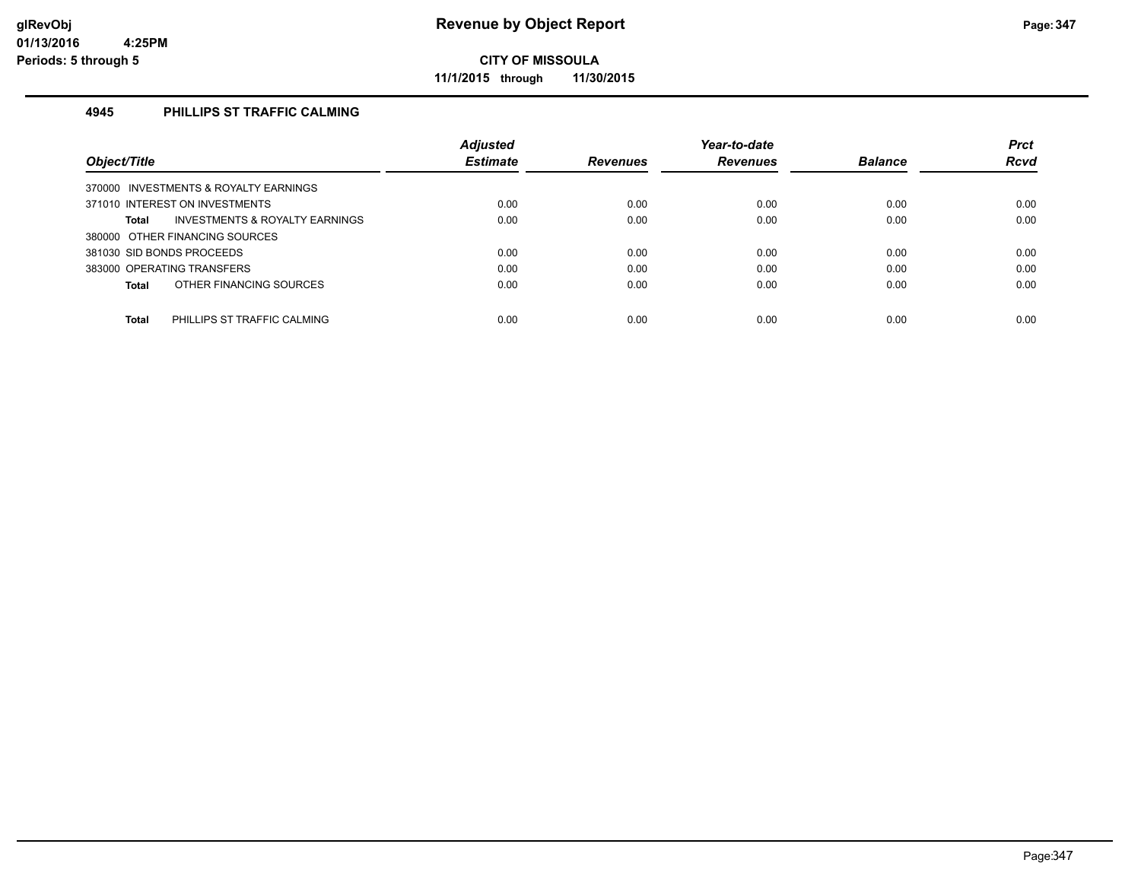**11/1/2015 through 11/30/2015**

#### **4945 PHILLIPS ST TRAFFIC CALMING**

|                                             | <b>Adjusted</b> |                 | Year-to-date    |                | <b>Prct</b> |
|---------------------------------------------|-----------------|-----------------|-----------------|----------------|-------------|
| Object/Title                                | <b>Estimate</b> | <b>Revenues</b> | <b>Revenues</b> | <b>Balance</b> | <b>Rcvd</b> |
| 370000 INVESTMENTS & ROYALTY EARNINGS       |                 |                 |                 |                |             |
| 371010 INTEREST ON INVESTMENTS              | 0.00            | 0.00            | 0.00            | 0.00           | 0.00        |
| INVESTMENTS & ROYALTY EARNINGS<br>Total     | 0.00            | 0.00            | 0.00            | 0.00           | 0.00        |
| 380000 OTHER FINANCING SOURCES              |                 |                 |                 |                |             |
| 381030 SID BONDS PROCEEDS                   | 0.00            | 0.00            | 0.00            | 0.00           | 0.00        |
| 383000 OPERATING TRANSFERS                  | 0.00            | 0.00            | 0.00            | 0.00           | 0.00        |
| OTHER FINANCING SOURCES<br>Total            | 0.00            | 0.00            | 0.00            | 0.00           | 0.00        |
|                                             |                 |                 |                 |                |             |
| <b>Total</b><br>PHILLIPS ST TRAFFIC CALMING | 0.00            | 0.00            | 0.00            | 0.00           | 0.00        |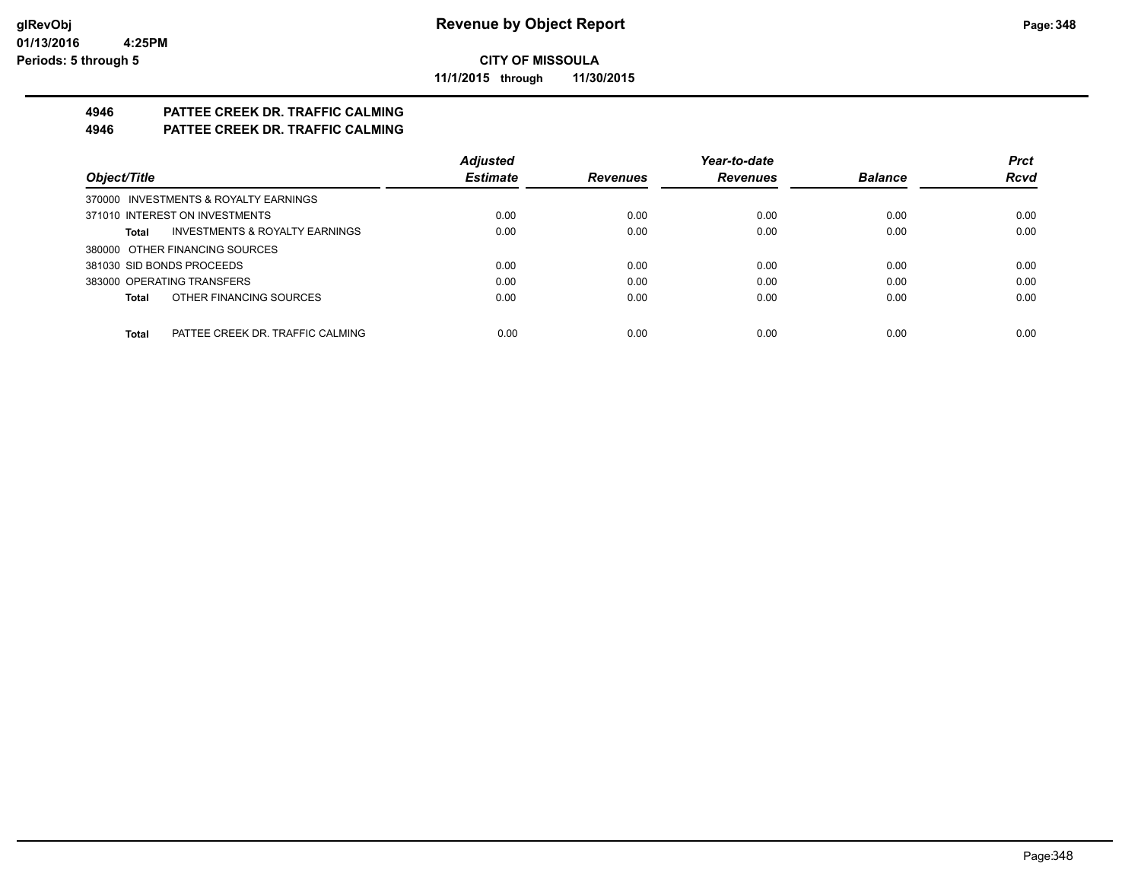**11/1/2015 through 11/30/2015**

# **4946 PATTEE CREEK DR. TRAFFIC CALMING**

# **4946 PATTEE CREEK DR. TRAFFIC CALMING**

|                                                    | <b>Adjusted</b> |                 | Year-to-date    |                | <b>Prct</b> |
|----------------------------------------------------|-----------------|-----------------|-----------------|----------------|-------------|
| Object/Title                                       | <b>Estimate</b> | <b>Revenues</b> | <b>Revenues</b> | <b>Balance</b> | <b>Rcvd</b> |
| 370000 INVESTMENTS & ROYALTY EARNINGS              |                 |                 |                 |                |             |
| 371010 INTEREST ON INVESTMENTS                     | 0.00            | 0.00            | 0.00            | 0.00           | 0.00        |
| <b>INVESTMENTS &amp; ROYALTY EARNINGS</b><br>Total | 0.00            | 0.00            | 0.00            | 0.00           | 0.00        |
| 380000 OTHER FINANCING SOURCES                     |                 |                 |                 |                |             |
| 381030 SID BONDS PROCEEDS                          | 0.00            | 0.00            | 0.00            | 0.00           | 0.00        |
| 383000 OPERATING TRANSFERS                         | 0.00            | 0.00            | 0.00            | 0.00           | 0.00        |
| OTHER FINANCING SOURCES<br>Total                   | 0.00            | 0.00            | 0.00            | 0.00           | 0.00        |
|                                                    |                 |                 |                 |                |             |
| Total<br>PATTEE CREEK DR. TRAFFIC CALMING          | 0.00            | 0.00            | 0.00            | 0.00           | 0.00        |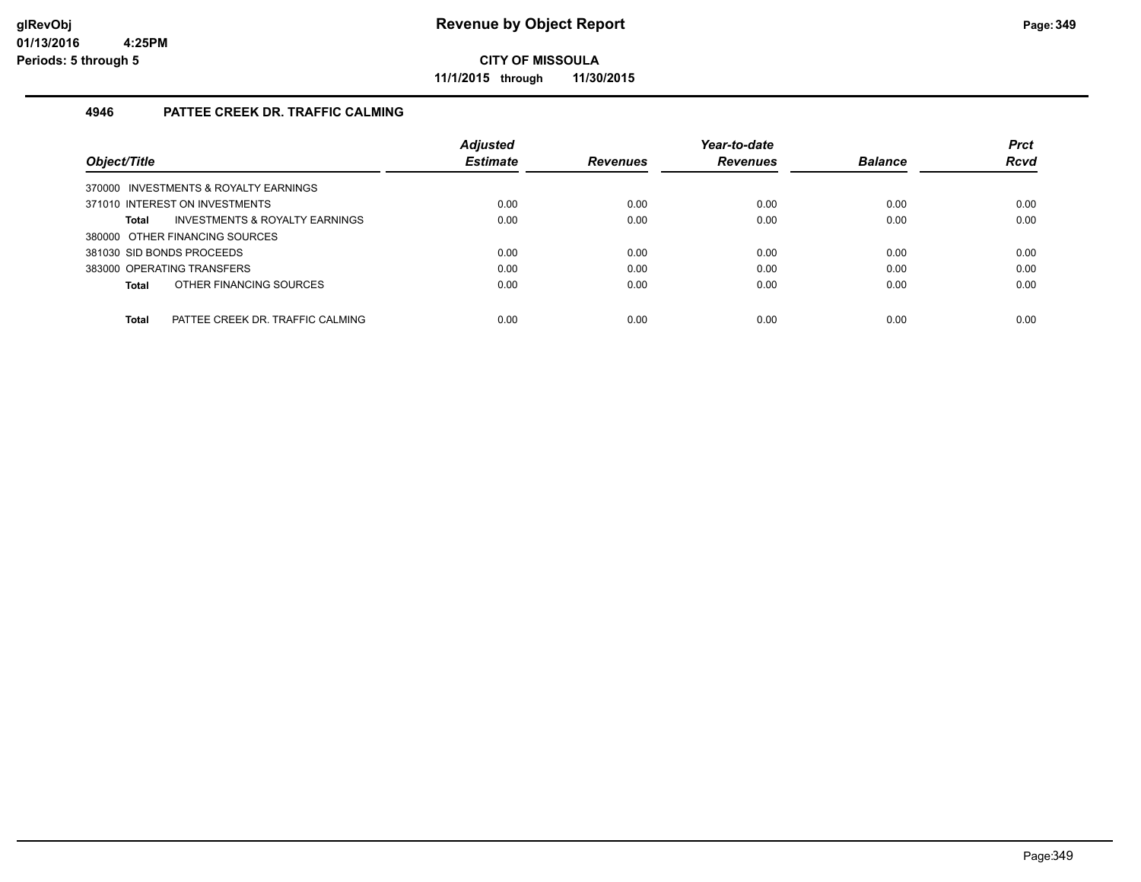**11/1/2015 through 11/30/2015**

#### **4946 PATTEE CREEK DR. TRAFFIC CALMING**

|                                       |                                  | <b>Adjusted</b> |                 | Year-to-date    |                | <b>Prct</b> |
|---------------------------------------|----------------------------------|-----------------|-----------------|-----------------|----------------|-------------|
| Object/Title                          |                                  | <b>Estimate</b> | <b>Revenues</b> | <b>Revenues</b> | <b>Balance</b> | <b>Rcvd</b> |
| 370000 INVESTMENTS & ROYALTY EARNINGS |                                  |                 |                 |                 |                |             |
| 371010 INTEREST ON INVESTMENTS        |                                  | 0.00            | 0.00            | 0.00            | 0.00           | 0.00        |
| Total                                 | INVESTMENTS & ROYALTY EARNINGS   | 0.00            | 0.00            | 0.00            | 0.00           | 0.00        |
| 380000 OTHER FINANCING SOURCES        |                                  |                 |                 |                 |                |             |
| 381030 SID BONDS PROCEEDS             |                                  | 0.00            | 0.00            | 0.00            | 0.00           | 0.00        |
| 383000 OPERATING TRANSFERS            |                                  | 0.00            | 0.00            | 0.00            | 0.00           | 0.00        |
| Total                                 | OTHER FINANCING SOURCES          | 0.00            | 0.00            | 0.00            | 0.00           | 0.00        |
|                                       |                                  |                 |                 |                 |                |             |
| <b>Total</b>                          | PATTEE CREEK DR. TRAFFIC CALMING | 0.00            | 0.00            | 0.00            | 0.00           | 0.00        |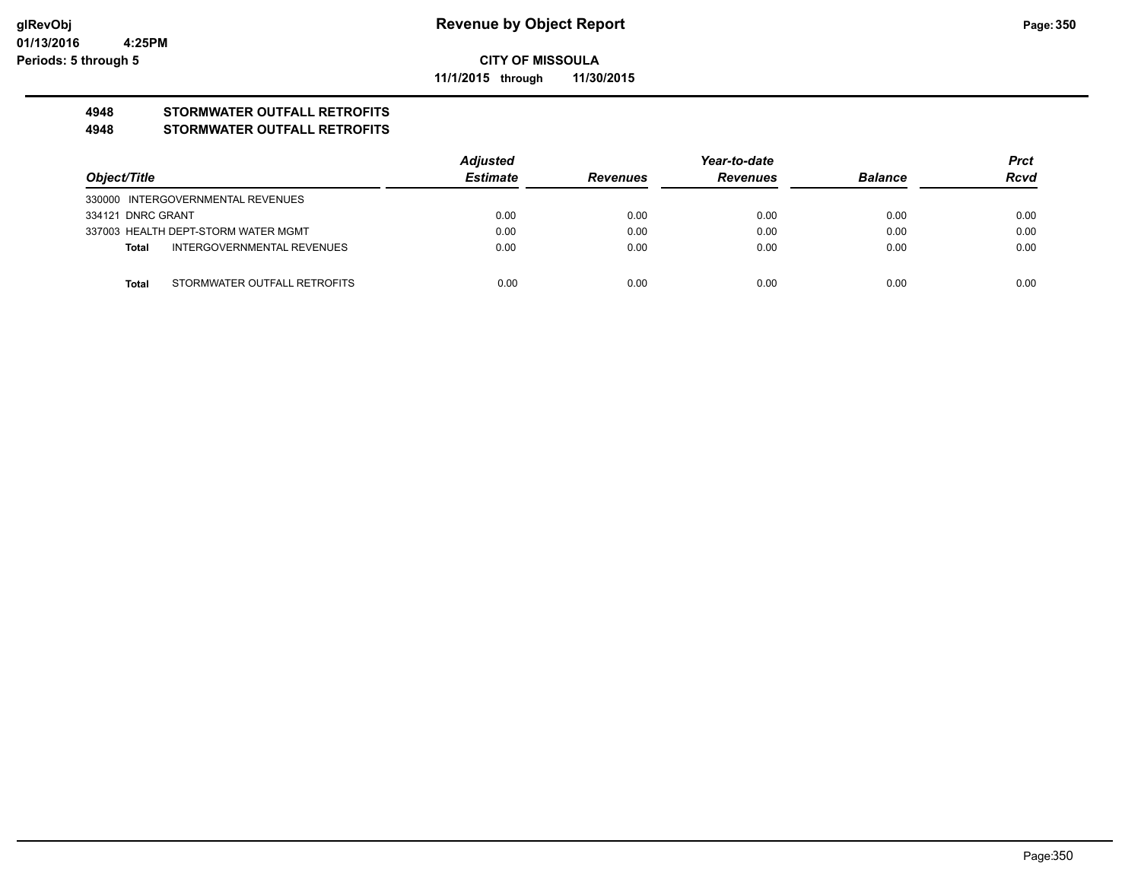**11/1/2015 through 11/30/2015**

# **4948 STORMWATER OUTFALL RETROFITS**

#### **4948 STORMWATER OUTFALL RETROFITS**

|                   |                                     | Adjusted        | Year-to-date    |                 |                | <b>Prct</b> |
|-------------------|-------------------------------------|-----------------|-----------------|-----------------|----------------|-------------|
| Object/Title      |                                     | <b>Estimate</b> | <b>Revenues</b> | <b>Revenues</b> | <b>Balance</b> | <b>Rcvd</b> |
|                   | 330000 INTERGOVERNMENTAL REVENUES   |                 |                 |                 |                |             |
| 334121 DNRC GRANT |                                     | 0.00            | 0.00            | 0.00            | 0.00           | 0.00        |
|                   | 337003 HEALTH DEPT-STORM WATER MGMT | 0.00            | 0.00            | 0.00            | 0.00           | 0.00        |
| Total             | INTERGOVERNMENTAL REVENUES          | 0.00            | 0.00            | 0.00            | 0.00           | 0.00        |
|                   |                                     |                 |                 |                 |                |             |
| Total             | STORMWATER OUTFALL RETROFITS        | 0.00            | 0.00            | 0.00            | 0.00           | 0.00        |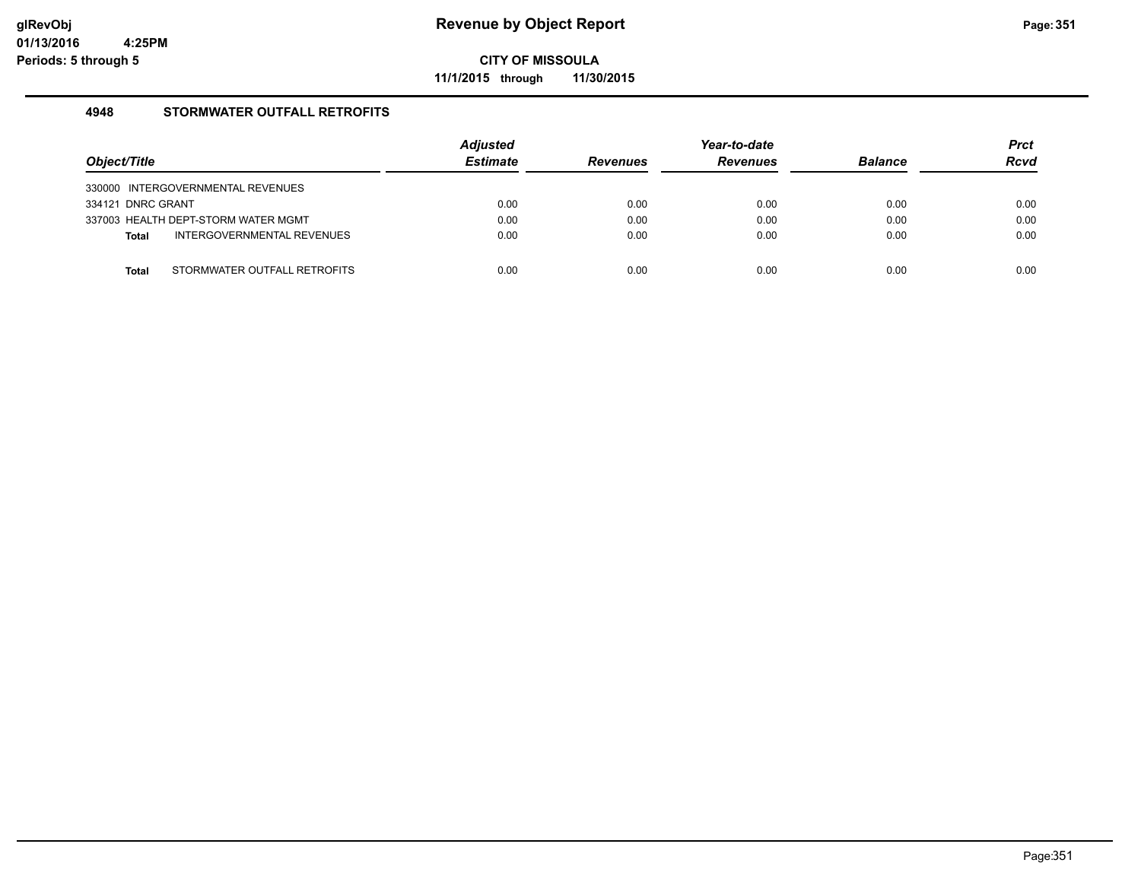**11/1/2015 through 11/30/2015**

#### **4948 STORMWATER OUTFALL RETROFITS**

| Object/Title                                 | <b>Adjusted</b><br><b>Estimate</b> | <b>Revenues</b> | Year-to-date<br><b>Revenues</b> | <b>Balance</b> | <b>Prct</b><br><b>Rcvd</b> |
|----------------------------------------------|------------------------------------|-----------------|---------------------------------|----------------|----------------------------|
| 330000 INTERGOVERNMENTAL REVENUES            |                                    |                 |                                 |                |                            |
| 334121 DNRC GRANT                            | 0.00                               | 0.00            | 0.00                            | 0.00           | 0.00                       |
| 337003 HEALTH DEPT-STORM WATER MGMT          | 0.00                               | 0.00            | 0.00                            | 0.00           | 0.00                       |
| INTERGOVERNMENTAL REVENUES<br><b>Total</b>   | 0.00                               | 0.00            | 0.00                            | 0.00           | 0.00                       |
|                                              |                                    |                 |                                 |                |                            |
| STORMWATER OUTFALL RETROFITS<br><b>Total</b> | 0.00                               | 0.00            | 0.00                            | 0.00           | 0.00                       |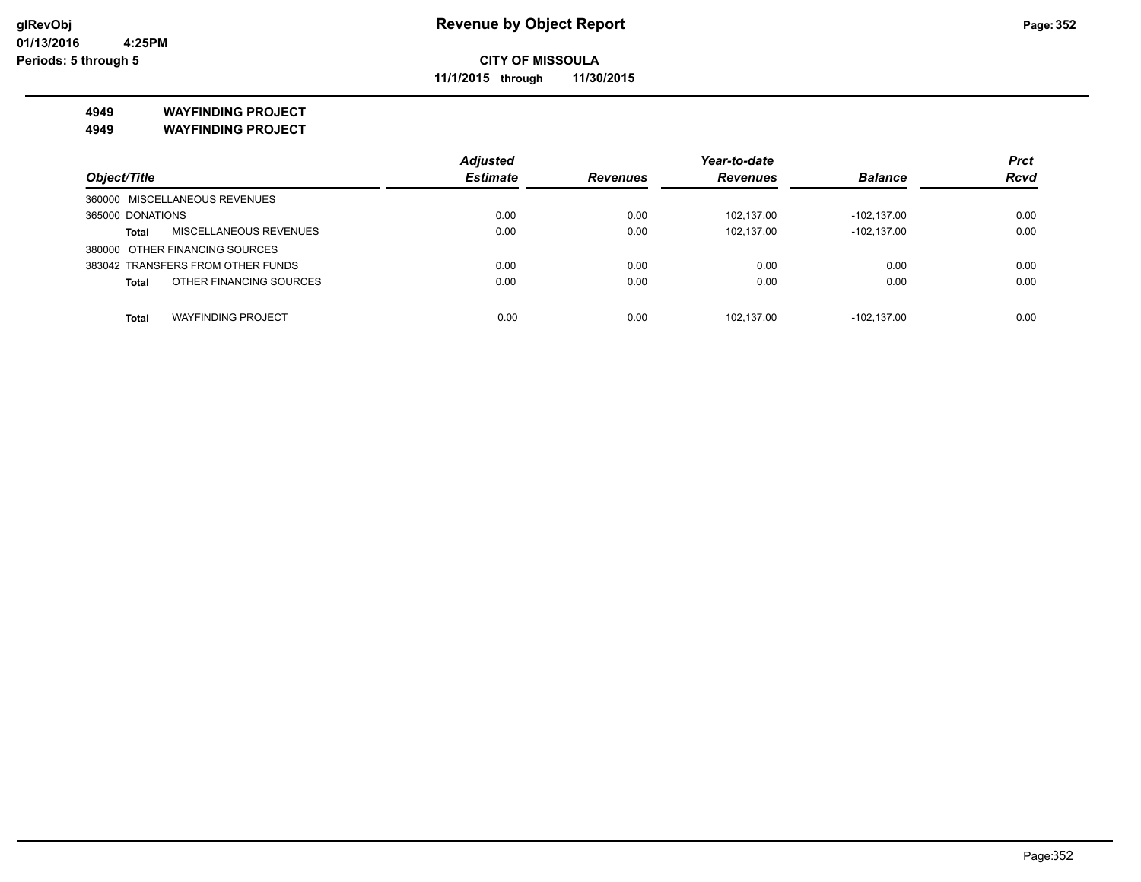**11/1/2015 through 11/30/2015**

**4949 WAYFINDING PROJECT**

**4949 WAYFINDING PROJECT**

|                                           | <b>Adjusted</b> |                 | Year-to-date    |                | <b>Prct</b> |
|-------------------------------------------|-----------------|-----------------|-----------------|----------------|-------------|
| Object/Title                              | <b>Estimate</b> | <b>Revenues</b> | <b>Revenues</b> | <b>Balance</b> | <b>Rcvd</b> |
| 360000 MISCELLANEOUS REVENUES             |                 |                 |                 |                |             |
| 365000 DONATIONS                          | 0.00            | 0.00            | 102,137.00      | $-102, 137.00$ | 0.00        |
| MISCELLANEOUS REVENUES<br><b>Total</b>    | 0.00            | 0.00            | 102,137.00      | $-102, 137.00$ | 0.00        |
| 380000 OTHER FINANCING SOURCES            |                 |                 |                 |                |             |
| 383042 TRANSFERS FROM OTHER FUNDS         | 0.00            | 0.00            | 0.00            | 0.00           | 0.00        |
| OTHER FINANCING SOURCES<br><b>Total</b>   | 0.00            | 0.00            | 0.00            | 0.00           | 0.00        |
| <b>WAYFINDING PROJECT</b><br><b>Total</b> | 0.00            | 0.00            | 102.137.00      | $-102.137.00$  | 0.00        |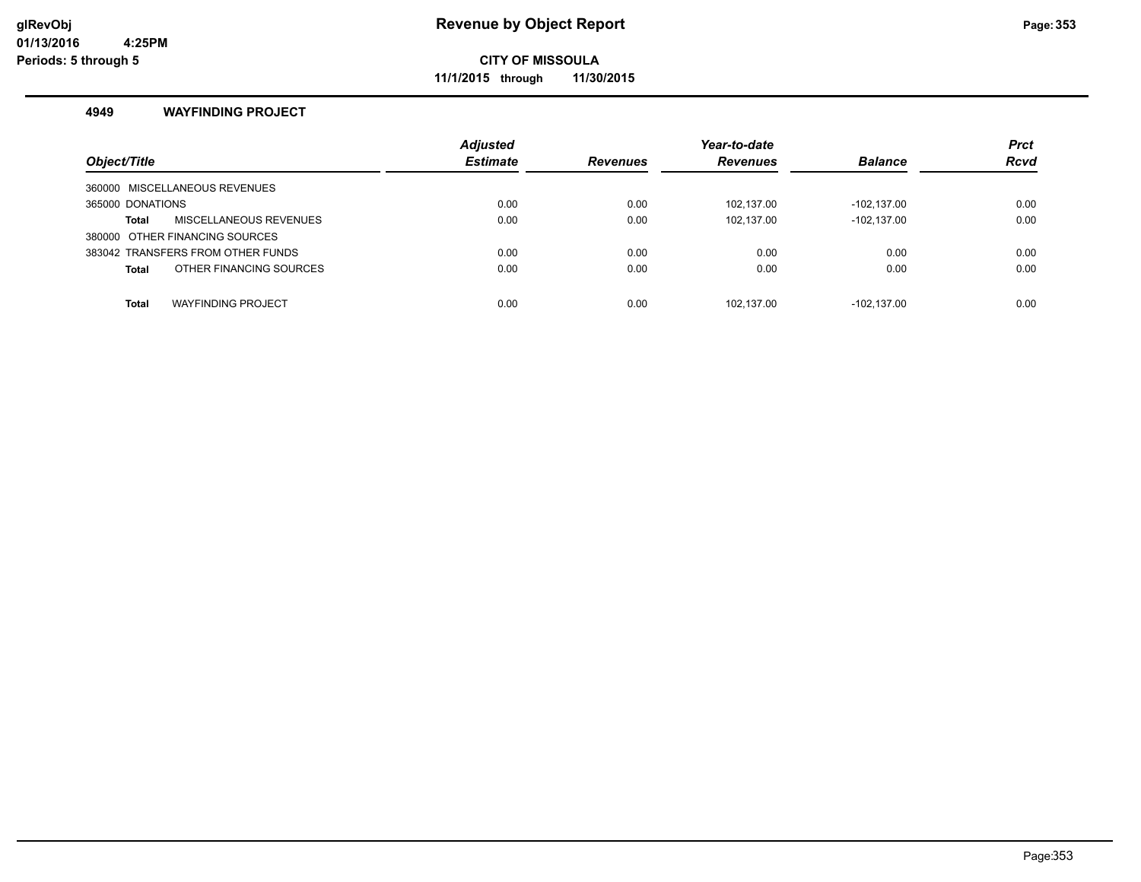**11/1/2015 through 11/30/2015**

#### **4949 WAYFINDING PROJECT**

| Object/Title                              | <b>Adjusted</b><br><b>Estimate</b> | <b>Revenues</b> | Year-to-date<br><b>Revenues</b> | <b>Balance</b> | <b>Prct</b><br><b>Rcvd</b> |
|-------------------------------------------|------------------------------------|-----------------|---------------------------------|----------------|----------------------------|
| 360000 MISCELLANEOUS REVENUES             |                                    |                 |                                 |                |                            |
| 365000 DONATIONS                          | 0.00                               | 0.00            | 102.137.00                      | $-102, 137.00$ | 0.00                       |
| <b>MISCELLANEOUS REVENUES</b><br>Total    | 0.00                               | 0.00            | 102.137.00                      | $-102.137.00$  | 0.00                       |
| 380000 OTHER FINANCING SOURCES            |                                    |                 |                                 |                |                            |
| 383042 TRANSFERS FROM OTHER FUNDS         | 0.00                               | 0.00            | 0.00                            | 0.00           | 0.00                       |
| OTHER FINANCING SOURCES<br><b>Total</b>   | 0.00                               | 0.00            | 0.00                            | 0.00           | 0.00                       |
|                                           |                                    |                 |                                 |                |                            |
| <b>WAYFINDING PROJECT</b><br><b>Total</b> | 0.00                               | 0.00            | 102.137.00                      | $-102.137.00$  | 0.00                       |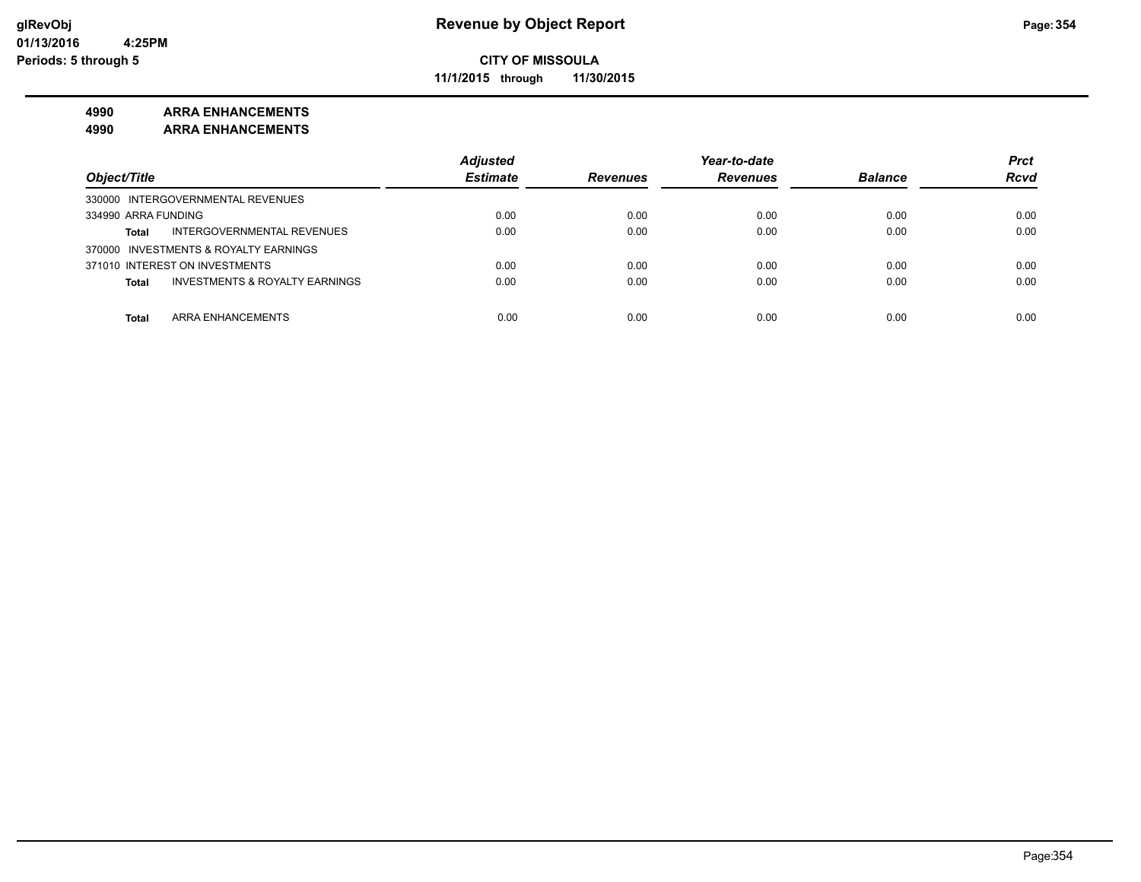**11/1/2015 through 11/30/2015**

#### **4990 ARRA ENHANCEMENTS**

**4990 ARRA ENHANCEMENTS**

|                                                    | <b>Adiusted</b> |                 | Year-to-date    |                | <b>Prct</b> |
|----------------------------------------------------|-----------------|-----------------|-----------------|----------------|-------------|
| Object/Title                                       | <b>Estimate</b> | <b>Revenues</b> | <b>Revenues</b> | <b>Balance</b> | <b>Rcvd</b> |
| 330000 INTERGOVERNMENTAL REVENUES                  |                 |                 |                 |                |             |
| 334990 ARRA FUNDING                                | 0.00            | 0.00            | 0.00            | 0.00           | 0.00        |
| INTERGOVERNMENTAL REVENUES<br><b>Total</b>         | 0.00            | 0.00            | 0.00            | 0.00           | 0.00        |
| 370000 INVESTMENTS & ROYALTY EARNINGS              |                 |                 |                 |                |             |
| 371010 INTEREST ON INVESTMENTS                     | 0.00            | 0.00            | 0.00            | 0.00           | 0.00        |
| <b>INVESTMENTS &amp; ROYALTY EARNINGS</b><br>Total | 0.00            | 0.00            | 0.00            | 0.00           | 0.00        |
| <b>ARRA ENHANCEMENTS</b><br>Total                  | 0.00            | 0.00            | 0.00            | 0.00           | 0.00        |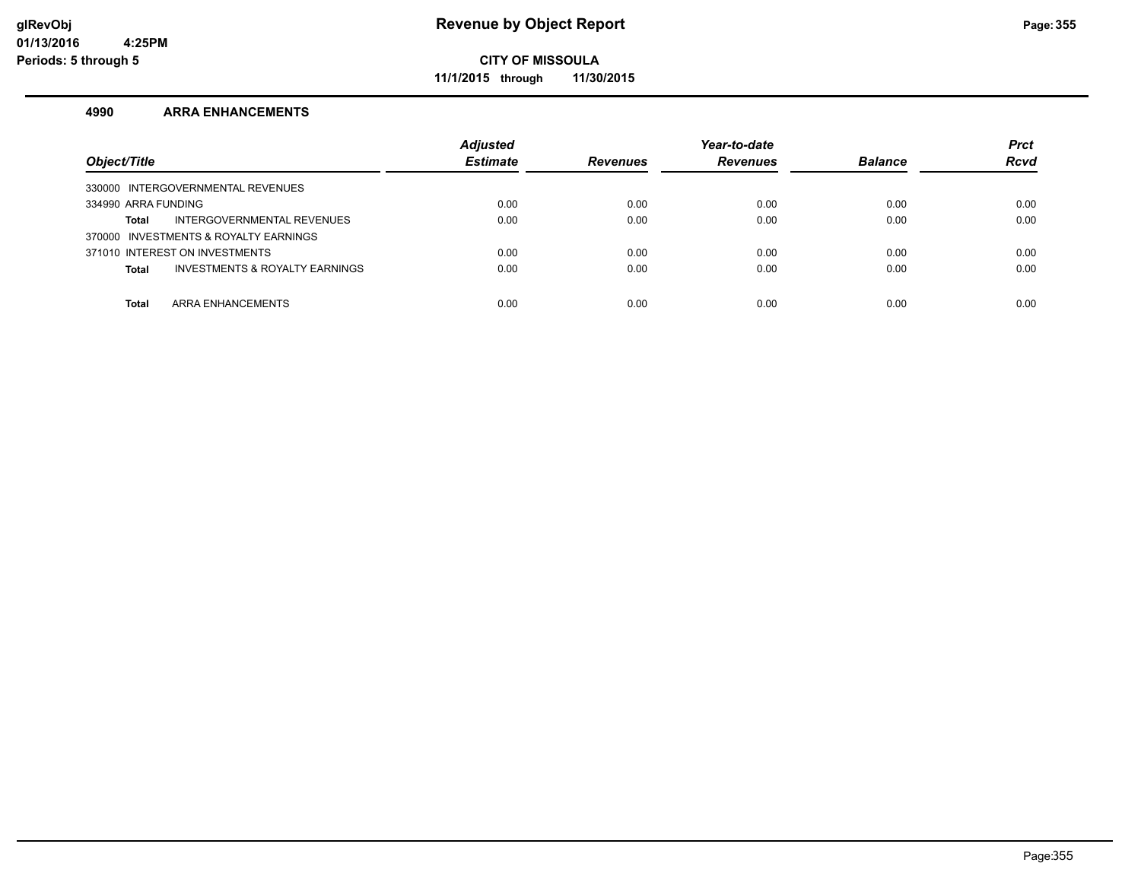**11/1/2015 through 11/30/2015**

#### **4990 ARRA ENHANCEMENTS**

| Object/Title                                              | <b>Adjusted</b><br><b>Estimate</b> | <b>Revenues</b> | Year-to-date<br><b>Revenues</b> | <b>Balance</b> | <b>Prct</b><br><b>Rcvd</b> |
|-----------------------------------------------------------|------------------------------------|-----------------|---------------------------------|----------------|----------------------------|
| 330000 INTERGOVERNMENTAL REVENUES                         |                                    |                 |                                 |                |                            |
| 334990 ARRA FUNDING                                       | 0.00                               | 0.00            | 0.00                            | 0.00           | 0.00                       |
| INTERGOVERNMENTAL REVENUES<br>Total                       | 0.00                               | 0.00            | 0.00                            | 0.00           | 0.00                       |
| 370000 INVESTMENTS & ROYALTY EARNINGS                     |                                    |                 |                                 |                |                            |
| 371010 INTEREST ON INVESTMENTS                            | 0.00                               | 0.00            | 0.00                            | 0.00           | 0.00                       |
| <b>INVESTMENTS &amp; ROYALTY EARNINGS</b><br><b>Total</b> | 0.00                               | 0.00            | 0.00                            | 0.00           | 0.00                       |
|                                                           |                                    |                 |                                 |                |                            |
| <b>ARRA ENHANCEMENTS</b><br><b>Total</b>                  | 0.00                               | 0.00            | 0.00                            | 0.00           | 0.00                       |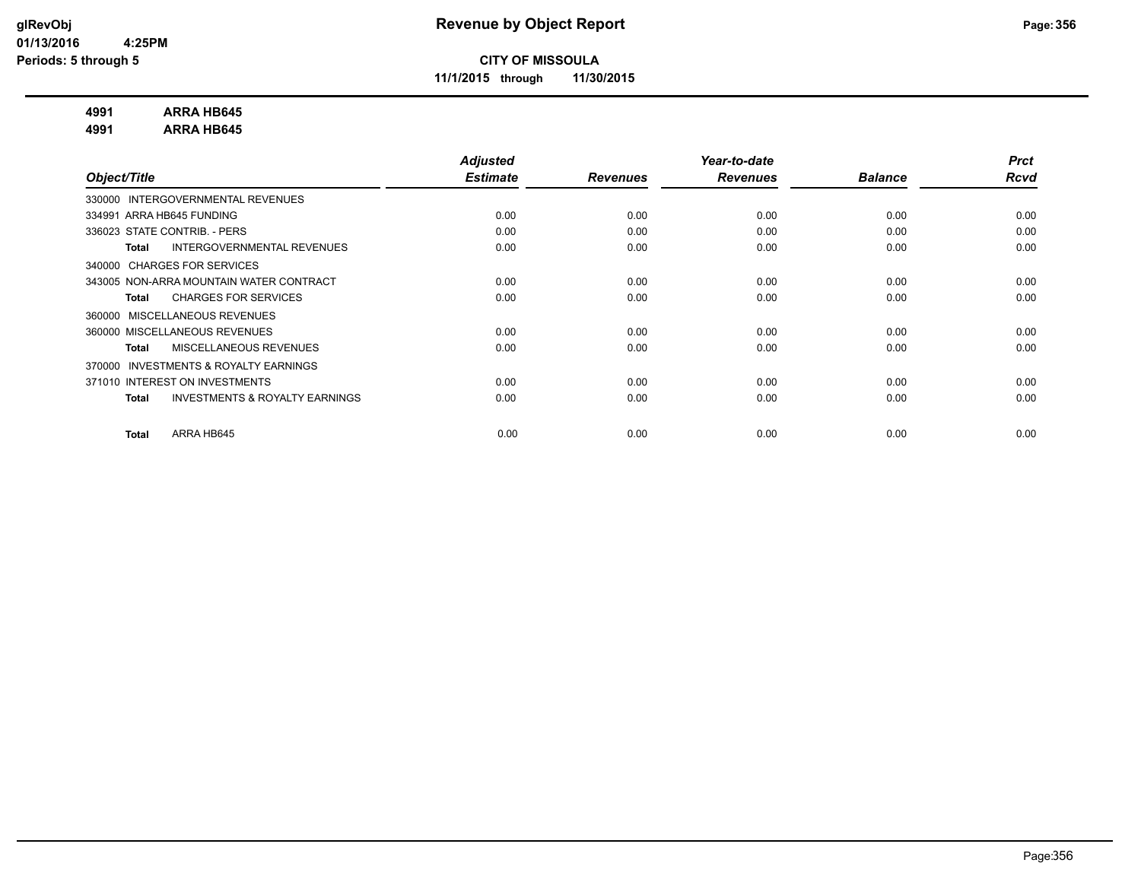**11/1/2015 through 11/30/2015**

#### **4991 ARRA HB645**

**4991 ARRA HB645**

|                                                           | <b>Adjusted</b> |                 | Year-to-date    |                | <b>Prct</b> |
|-----------------------------------------------------------|-----------------|-----------------|-----------------|----------------|-------------|
| Object/Title                                              | <b>Estimate</b> | <b>Revenues</b> | <b>Revenues</b> | <b>Balance</b> | Rcvd        |
| INTERGOVERNMENTAL REVENUES<br>330000                      |                 |                 |                 |                |             |
| 334991 ARRA HB645 FUNDING                                 | 0.00            | 0.00            | 0.00            | 0.00           | 0.00        |
| 336023 STATE CONTRIB. - PERS                              | 0.00            | 0.00            | 0.00            | 0.00           | 0.00        |
| INTERGOVERNMENTAL REVENUES<br><b>Total</b>                | 0.00            | 0.00            | 0.00            | 0.00           | 0.00        |
| <b>CHARGES FOR SERVICES</b><br>340000                     |                 |                 |                 |                |             |
| 343005 NON-ARRA MOUNTAIN WATER CONTRACT                   | 0.00            | 0.00            | 0.00            | 0.00           | 0.00        |
| <b>CHARGES FOR SERVICES</b><br><b>Total</b>               | 0.00            | 0.00            | 0.00            | 0.00           | 0.00        |
| MISCELLANEOUS REVENUES<br>360000                          |                 |                 |                 |                |             |
| 360000 MISCELLANEOUS REVENUES                             | 0.00            | 0.00            | 0.00            | 0.00           | 0.00        |
| MISCELLANEOUS REVENUES<br><b>Total</b>                    | 0.00            | 0.00            | 0.00            | 0.00           | 0.00        |
| <b>INVESTMENTS &amp; ROYALTY EARNINGS</b><br>370000       |                 |                 |                 |                |             |
| 371010 INTEREST ON INVESTMENTS                            | 0.00            | 0.00            | 0.00            | 0.00           | 0.00        |
| <b>INVESTMENTS &amp; ROYALTY EARNINGS</b><br><b>Total</b> | 0.00            | 0.00            | 0.00            | 0.00           | 0.00        |
|                                                           |                 |                 |                 |                |             |
| ARRA HB645<br><b>Total</b>                                | 0.00            | 0.00            | 0.00            | 0.00           | 0.00        |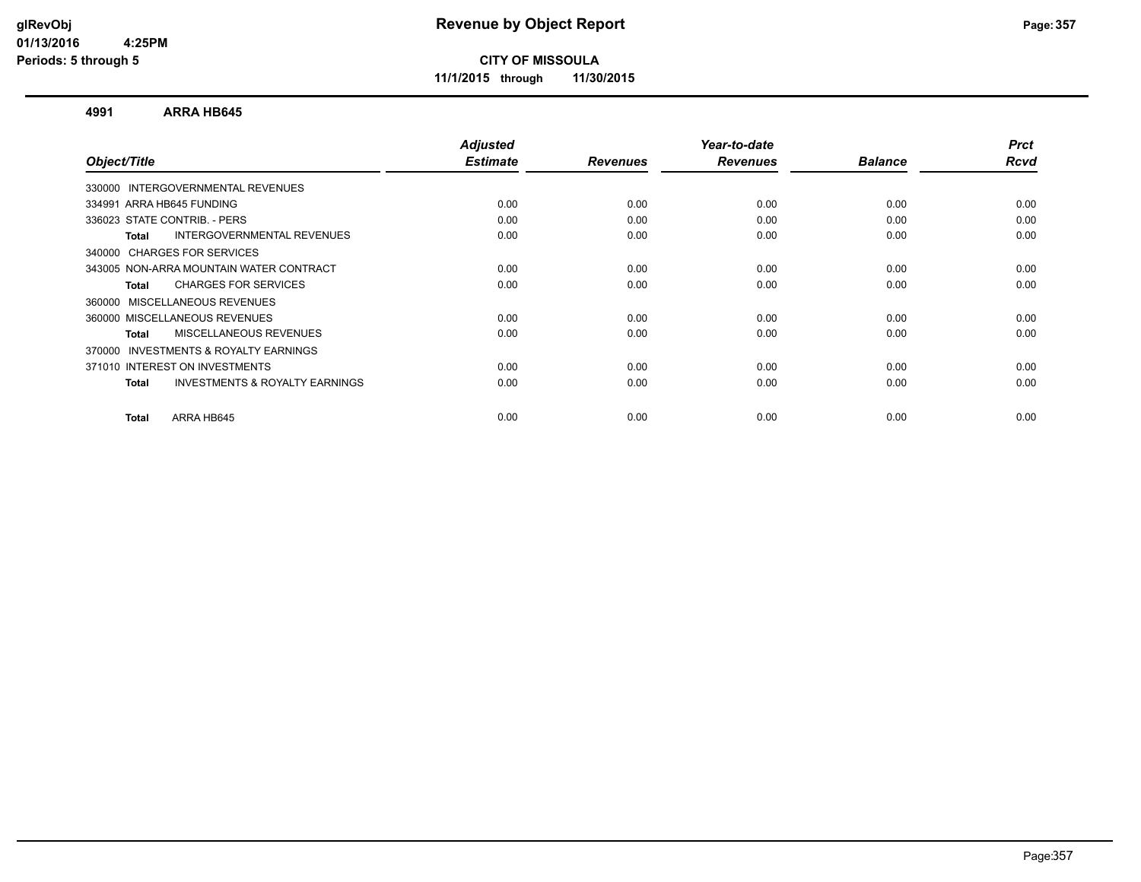**11/1/2015 through 11/30/2015**

#### **4991 ARRA HB645**

| Object/Title                                              | <b>Adjusted</b><br><b>Estimate</b> | <b>Revenues</b> | Year-to-date<br><b>Revenues</b> | <b>Balance</b> | <b>Prct</b><br>Rcvd |
|-----------------------------------------------------------|------------------------------------|-----------------|---------------------------------|----------------|---------------------|
|                                                           |                                    |                 |                                 |                |                     |
| 330000 INTERGOVERNMENTAL REVENUES                         |                                    |                 |                                 |                |                     |
| 334991 ARRA HB645 FUNDING                                 | 0.00                               | 0.00            | 0.00                            | 0.00           | 0.00                |
| 336023 STATE CONTRIB. - PERS                              | 0.00                               | 0.00            | 0.00                            | 0.00           | 0.00                |
| INTERGOVERNMENTAL REVENUES<br>Total                       | 0.00                               | 0.00            | 0.00                            | 0.00           | 0.00                |
| 340000 CHARGES FOR SERVICES                               |                                    |                 |                                 |                |                     |
| 343005 NON-ARRA MOUNTAIN WATER CONTRACT                   | 0.00                               | 0.00            | 0.00                            | 0.00           | 0.00                |
| <b>CHARGES FOR SERVICES</b><br>Total                      | 0.00                               | 0.00            | 0.00                            | 0.00           | 0.00                |
| 360000 MISCELLANEOUS REVENUES                             |                                    |                 |                                 |                |                     |
| 360000 MISCELLANEOUS REVENUES                             | 0.00                               | 0.00            | 0.00                            | 0.00           | 0.00                |
| <b>MISCELLANEOUS REVENUES</b><br>Total                    | 0.00                               | 0.00            | 0.00                            | 0.00           | 0.00                |
| <b>INVESTMENTS &amp; ROYALTY EARNINGS</b><br>370000       |                                    |                 |                                 |                |                     |
| 371010 INTEREST ON INVESTMENTS                            | 0.00                               | 0.00            | 0.00                            | 0.00           | 0.00                |
| <b>INVESTMENTS &amp; ROYALTY EARNINGS</b><br><b>Total</b> | 0.00                               | 0.00            | 0.00                            | 0.00           | 0.00                |
| ARRA HB645<br>Total                                       | 0.00                               | 0.00            | 0.00                            | 0.00           | 0.00                |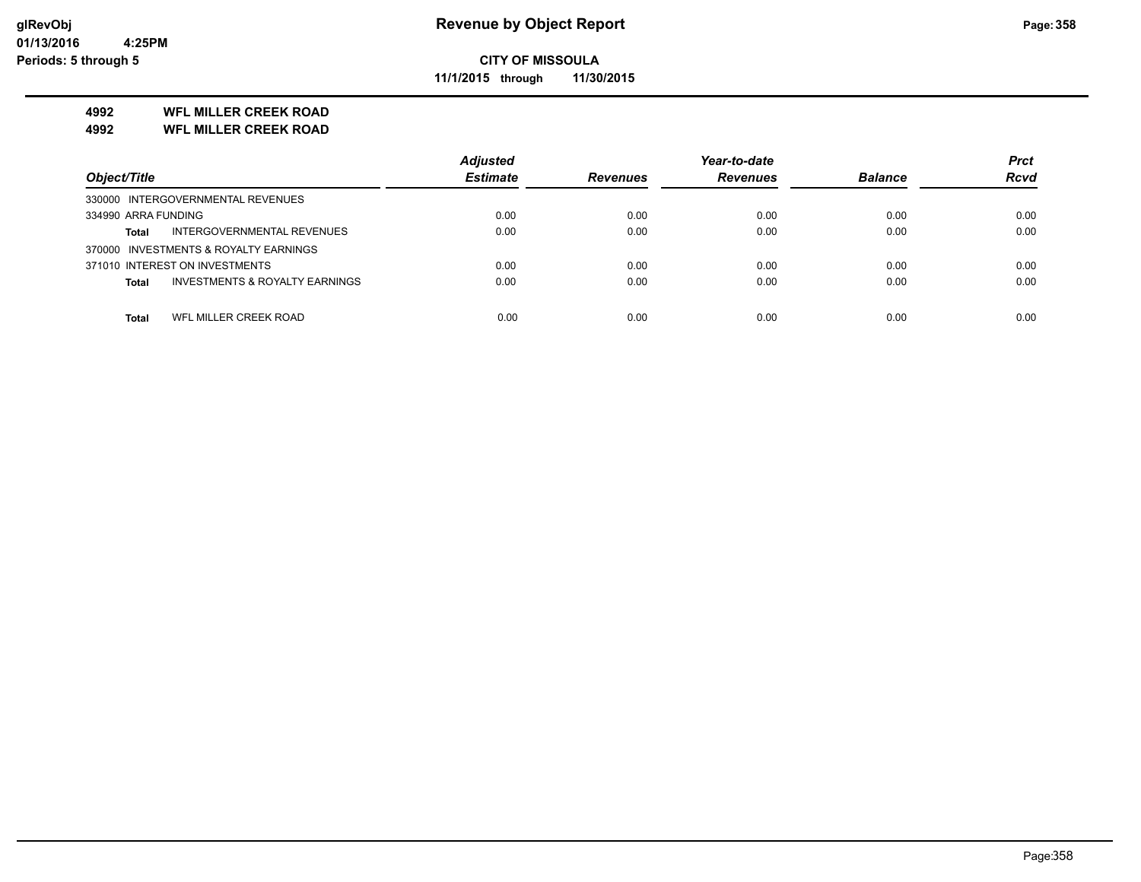**11/1/2015 through 11/30/2015**

#### **4992 WFL MILLER CREEK ROAD**

**4992 WFL MILLER CREEK ROAD**

|                                                           | <b>Adjusted</b> |                 | Year-to-date |                | <b>Prct</b> |
|-----------------------------------------------------------|-----------------|-----------------|--------------|----------------|-------------|
| Object/Title                                              | <b>Estimate</b> | <b>Revenues</b> | Revenues     | <b>Balance</b> | <b>Rcvd</b> |
| 330000 INTERGOVERNMENTAL REVENUES                         |                 |                 |              |                |             |
| 334990 ARRA FUNDING                                       | 0.00            | 0.00            | 0.00         | 0.00           | 0.00        |
| INTERGOVERNMENTAL REVENUES<br><b>Total</b>                | 0.00            | 0.00            | 0.00         | 0.00           | 0.00        |
| 370000 INVESTMENTS & ROYALTY EARNINGS                     |                 |                 |              |                |             |
| 371010 INTEREST ON INVESTMENTS                            | 0.00            | 0.00            | 0.00         | 0.00           | 0.00        |
| <b>INVESTMENTS &amp; ROYALTY EARNINGS</b><br><b>Total</b> | 0.00            | 0.00            | 0.00         | 0.00           | 0.00        |
|                                                           |                 |                 |              |                |             |
| WFL MILLER CREEK ROAD<br><b>Total</b>                     | 0.00            | 0.00            | 0.00         | 0.00           | 0.00        |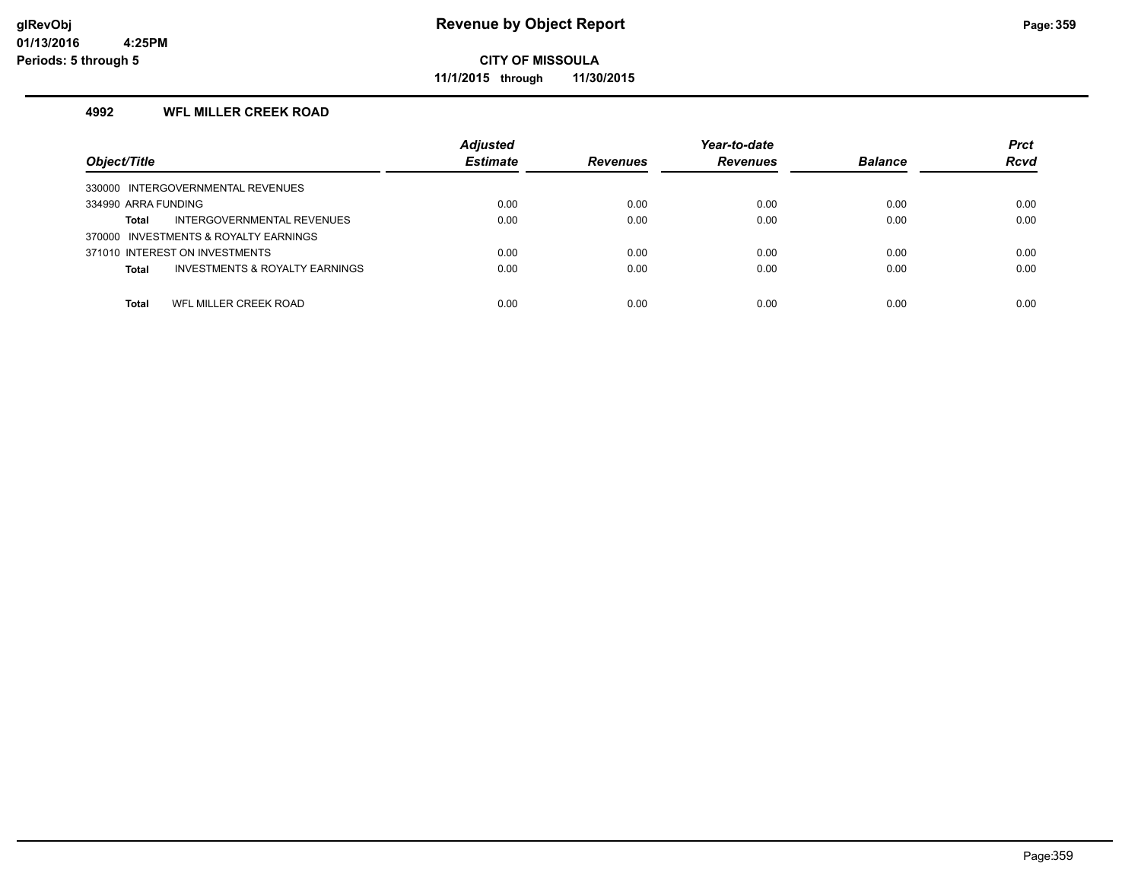**11/1/2015 through 11/30/2015**

#### **4992 WFL MILLER CREEK ROAD**

| Object/Title                                              | <b>Adjusted</b><br><b>Estimate</b> | <b>Revenues</b> | Year-to-date<br><b>Revenues</b> | <b>Balance</b> | <b>Prct</b><br><b>Rcvd</b> |
|-----------------------------------------------------------|------------------------------------|-----------------|---------------------------------|----------------|----------------------------|
| 330000 INTERGOVERNMENTAL REVENUES                         |                                    |                 |                                 |                |                            |
| 334990 ARRA FUNDING                                       | 0.00                               | 0.00            | 0.00                            | 0.00           | 0.00                       |
| INTERGOVERNMENTAL REVENUES<br>Total                       | 0.00                               | 0.00            | 0.00                            | 0.00           | 0.00                       |
| 370000 INVESTMENTS & ROYALTY EARNINGS                     |                                    |                 |                                 |                |                            |
| 371010 INTEREST ON INVESTMENTS                            | 0.00                               | 0.00            | 0.00                            | 0.00           | 0.00                       |
| <b>INVESTMENTS &amp; ROYALTY EARNINGS</b><br><b>Total</b> | 0.00                               | 0.00            | 0.00                            | 0.00           | 0.00                       |
|                                                           |                                    |                 |                                 |                |                            |
| WFL MILLER CREEK ROAD<br><b>Total</b>                     | 0.00                               | 0.00            | 0.00                            | 0.00           | 0.00                       |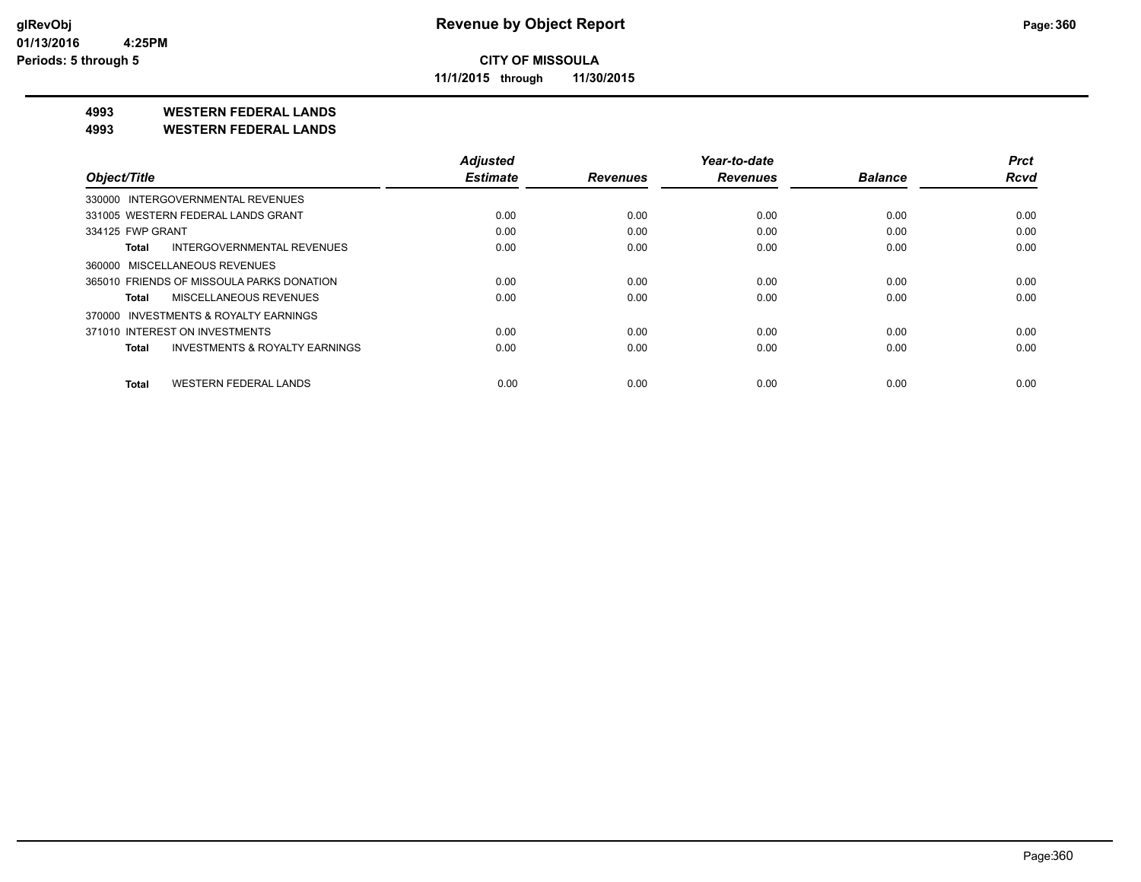**11/1/2015 through 11/30/2015**

# **4993 WESTERN FEDERAL LANDS**

**4993 WESTERN FEDERAL LANDS**

|                                                    | <b>Adjusted</b> |                 | Year-to-date    |                | <b>Prct</b> |
|----------------------------------------------------|-----------------|-----------------|-----------------|----------------|-------------|
| Object/Title                                       | <b>Estimate</b> | <b>Revenues</b> | <b>Revenues</b> | <b>Balance</b> | <b>Rcvd</b> |
| 330000 INTERGOVERNMENTAL REVENUES                  |                 |                 |                 |                |             |
| 331005 WESTERN FEDERAL LANDS GRANT                 | 0.00            | 0.00            | 0.00            | 0.00           | 0.00        |
| 334125 FWP GRANT                                   | 0.00            | 0.00            | 0.00            | 0.00           | 0.00        |
| INTERGOVERNMENTAL REVENUES<br>Total                | 0.00            | 0.00            | 0.00            | 0.00           | 0.00        |
| 360000 MISCELLANEOUS REVENUES                      |                 |                 |                 |                |             |
| 365010 FRIENDS OF MISSOULA PARKS DONATION          | 0.00            | 0.00            | 0.00            | 0.00           | 0.00        |
| MISCELLANEOUS REVENUES<br>Total                    | 0.00            | 0.00            | 0.00            | 0.00           | 0.00        |
| 370000 INVESTMENTS & ROYALTY EARNINGS              |                 |                 |                 |                |             |
| 371010 INTEREST ON INVESTMENTS                     | 0.00            | 0.00            | 0.00            | 0.00           | 0.00        |
| <b>INVESTMENTS &amp; ROYALTY EARNINGS</b><br>Total | 0.00            | 0.00            | 0.00            | 0.00           | 0.00        |
|                                                    |                 |                 |                 |                |             |
| <b>WESTERN FEDERAL LANDS</b><br>Total              | 0.00            | 0.00            | 0.00            | 0.00           | 0.00        |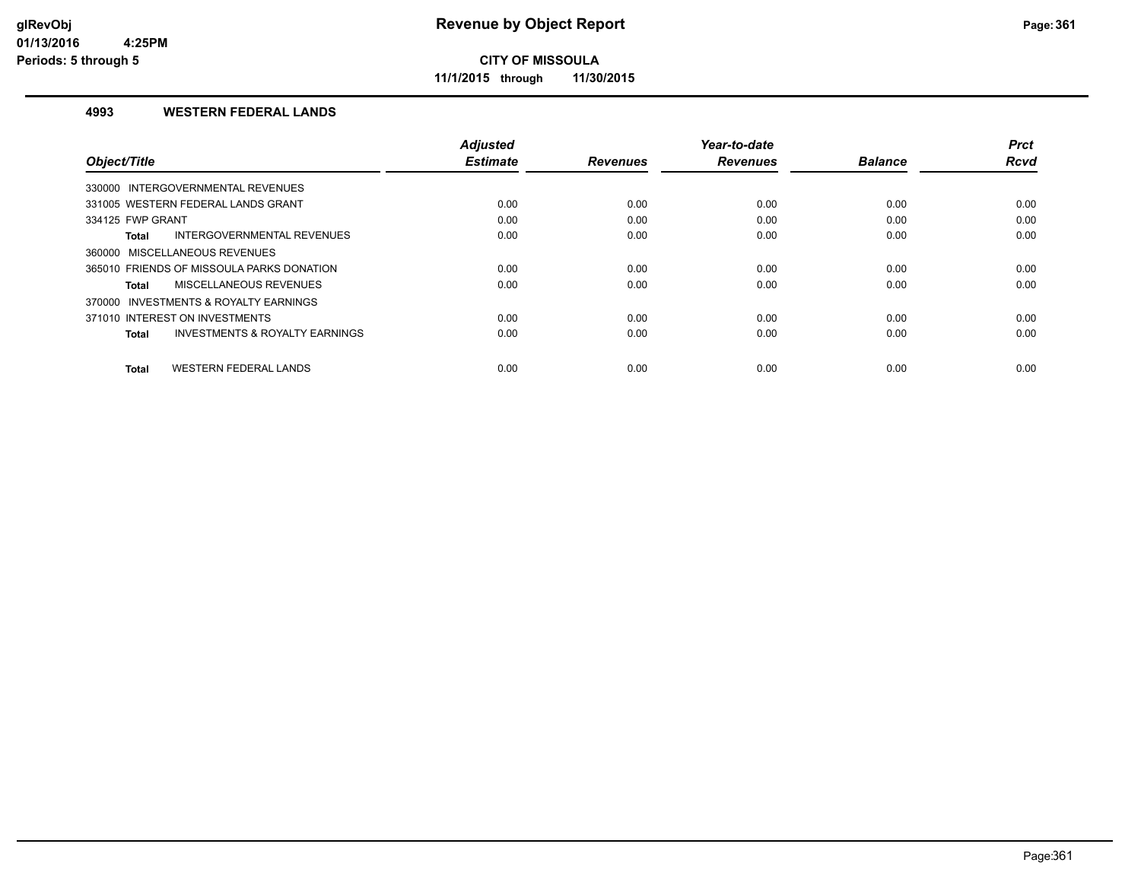**11/1/2015 through 11/30/2015**

## **4993 WESTERN FEDERAL LANDS**

|                                                           | <b>Adjusted</b> |                 | Year-to-date    |                | <b>Prct</b> |
|-----------------------------------------------------------|-----------------|-----------------|-----------------|----------------|-------------|
| Object/Title                                              | <b>Estimate</b> | <b>Revenues</b> | <b>Revenues</b> | <b>Balance</b> | <b>Rcvd</b> |
| 330000 INTERGOVERNMENTAL REVENUES                         |                 |                 |                 |                |             |
| 331005 WESTERN FEDERAL LANDS GRANT                        | 0.00            | 0.00            | 0.00            | 0.00           | 0.00        |
| 334125 FWP GRANT                                          | 0.00            | 0.00            | 0.00            | 0.00           | 0.00        |
| INTERGOVERNMENTAL REVENUES<br><b>Total</b>                | 0.00            | 0.00            | 0.00            | 0.00           | 0.00        |
| 360000 MISCELLANEOUS REVENUES                             |                 |                 |                 |                |             |
| 365010 FRIENDS OF MISSOULA PARKS DONATION                 | 0.00            | 0.00            | 0.00            | 0.00           | 0.00        |
| MISCELLANEOUS REVENUES<br>Total                           | 0.00            | 0.00            | 0.00            | 0.00           | 0.00        |
| 370000 INVESTMENTS & ROYALTY EARNINGS                     |                 |                 |                 |                |             |
| 371010 INTEREST ON INVESTMENTS                            | 0.00            | 0.00            | 0.00            | 0.00           | 0.00        |
| <b>INVESTMENTS &amp; ROYALTY EARNINGS</b><br><b>Total</b> | 0.00            | 0.00            | 0.00            | 0.00           | 0.00        |
|                                                           |                 |                 |                 |                |             |
| <b>WESTERN FEDERAL LANDS</b><br><b>Total</b>              | 0.00            | 0.00            | 0.00            | 0.00           | 0.00        |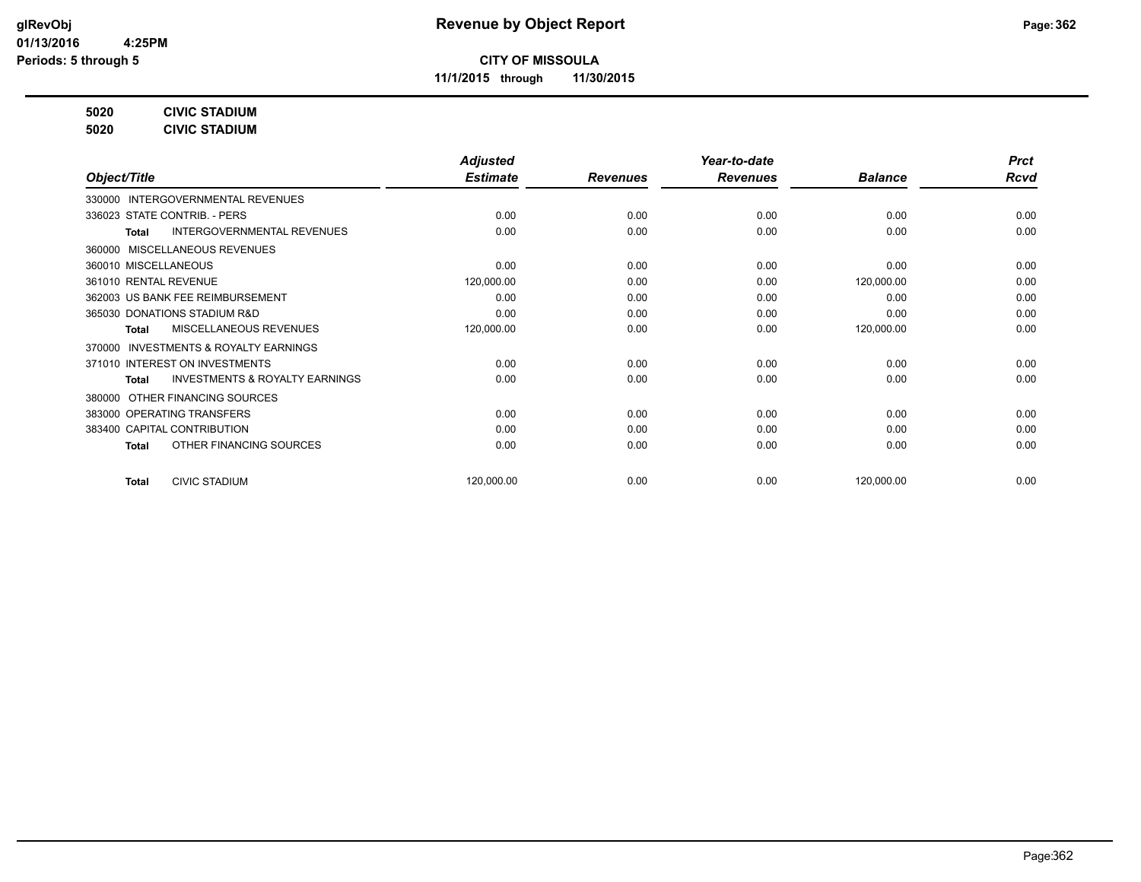**11/1/2015 through 11/30/2015**

**5020 CIVIC STADIUM**

**5020 CIVIC STADIUM**

|                                                           | <b>Adjusted</b> |                 | Year-to-date    |                | <b>Prct</b> |
|-----------------------------------------------------------|-----------------|-----------------|-----------------|----------------|-------------|
| Object/Title                                              | <b>Estimate</b> | <b>Revenues</b> | <b>Revenues</b> | <b>Balance</b> | Rcvd        |
| 330000 INTERGOVERNMENTAL REVENUES                         |                 |                 |                 |                |             |
| 336023 STATE CONTRIB. - PERS                              | 0.00            | 0.00            | 0.00            | 0.00           | 0.00        |
| INTERGOVERNMENTAL REVENUES<br><b>Total</b>                | 0.00            | 0.00            | 0.00            | 0.00           | 0.00        |
| 360000 MISCELLANEOUS REVENUES                             |                 |                 |                 |                |             |
| 360010 MISCELLANEOUS                                      | 0.00            | 0.00            | 0.00            | 0.00           | 0.00        |
| 361010 RENTAL REVENUE                                     | 120,000.00      | 0.00            | 0.00            | 120,000.00     | 0.00        |
| 362003 US BANK FEE REIMBURSEMENT                          | 0.00            | 0.00            | 0.00            | 0.00           | 0.00        |
| 365030 DONATIONS STADIUM R&D                              | 0.00            | 0.00            | 0.00            | 0.00           | 0.00        |
| <b>MISCELLANEOUS REVENUES</b><br><b>Total</b>             | 120,000.00      | 0.00            | 0.00            | 120,000.00     | 0.00        |
| <b>INVESTMENTS &amp; ROYALTY EARNINGS</b><br>370000       |                 |                 |                 |                |             |
| 371010 INTEREST ON INVESTMENTS                            | 0.00            | 0.00            | 0.00            | 0.00           | 0.00        |
| <b>INVESTMENTS &amp; ROYALTY EARNINGS</b><br><b>Total</b> | 0.00            | 0.00            | 0.00            | 0.00           | 0.00        |
| OTHER FINANCING SOURCES<br>380000                         |                 |                 |                 |                |             |
| 383000 OPERATING TRANSFERS                                | 0.00            | 0.00            | 0.00            | 0.00           | 0.00        |
| 383400 CAPITAL CONTRIBUTION                               | 0.00            | 0.00            | 0.00            | 0.00           | 0.00        |
| OTHER FINANCING SOURCES<br><b>Total</b>                   | 0.00            | 0.00            | 0.00            | 0.00           | 0.00        |
|                                                           |                 |                 |                 |                |             |
| <b>CIVIC STADIUM</b><br><b>Total</b>                      | 120,000.00      | 0.00            | 0.00            | 120,000.00     | 0.00        |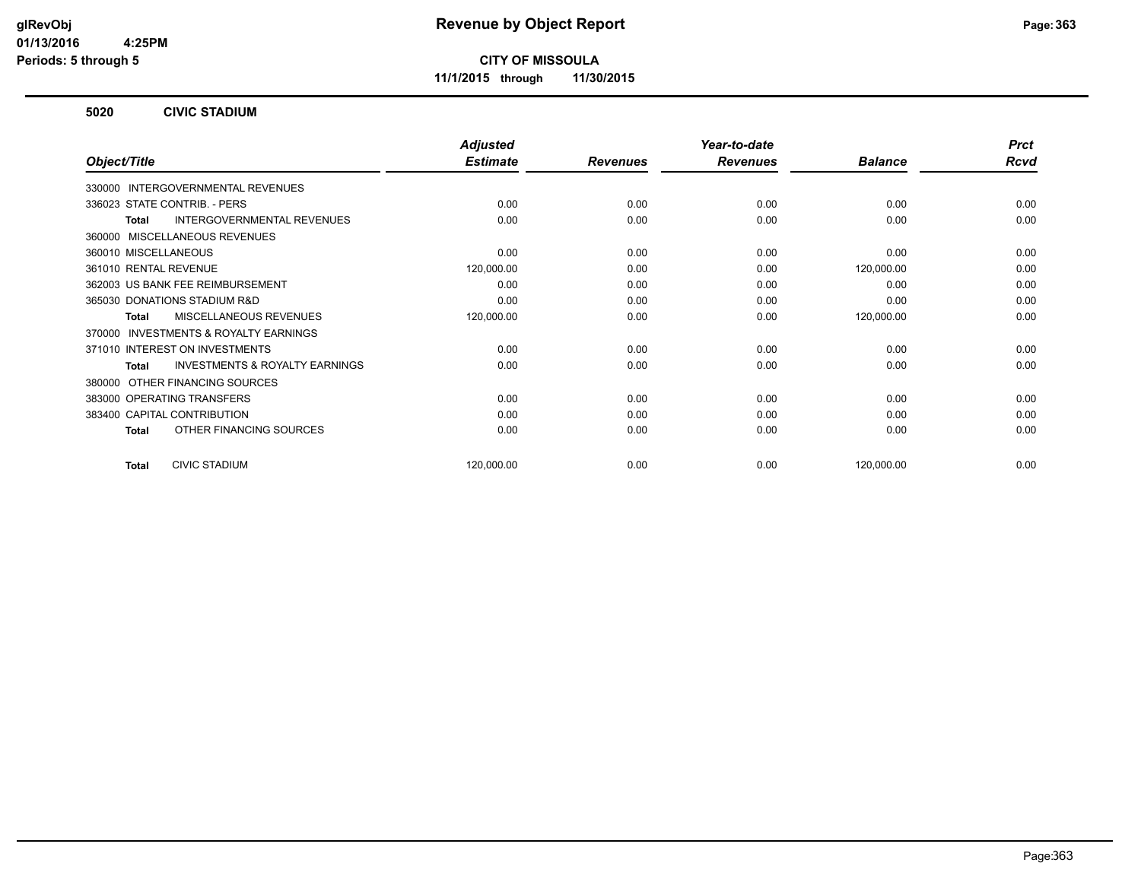**11/1/2015 through 11/30/2015**

#### **5020 CIVIC STADIUM**

|                                                     | <b>Adjusted</b> |                 | Year-to-date    |                | <b>Prct</b> |
|-----------------------------------------------------|-----------------|-----------------|-----------------|----------------|-------------|
| Object/Title                                        | <b>Estimate</b> | <b>Revenues</b> | <b>Revenues</b> | <b>Balance</b> | Rcvd        |
| 330000 INTERGOVERNMENTAL REVENUES                   |                 |                 |                 |                |             |
| 336023 STATE CONTRIB. - PERS                        | 0.00            | 0.00            | 0.00            | 0.00           | 0.00        |
| <b>INTERGOVERNMENTAL REVENUES</b><br>Total          | 0.00            | 0.00            | 0.00            | 0.00           | 0.00        |
| MISCELLANEOUS REVENUES<br>360000                    |                 |                 |                 |                |             |
| 360010 MISCELLANEOUS                                | 0.00            | 0.00            | 0.00            | 0.00           | 0.00        |
| 361010 RENTAL REVENUE                               | 120,000.00      | 0.00            | 0.00            | 120,000.00     | 0.00        |
| 362003 US BANK FEE REIMBURSEMENT                    | 0.00            | 0.00            | 0.00            | 0.00           | 0.00        |
| 365030 DONATIONS STADIUM R&D                        | 0.00            | 0.00            | 0.00            | 0.00           | 0.00        |
| MISCELLANEOUS REVENUES<br><b>Total</b>              | 120,000.00      | 0.00            | 0.00            | 120,000.00     | 0.00        |
| <b>INVESTMENTS &amp; ROYALTY EARNINGS</b><br>370000 |                 |                 |                 |                |             |
| 371010 INTEREST ON INVESTMENTS                      | 0.00            | 0.00            | 0.00            | 0.00           | 0.00        |
| <b>INVESTMENTS &amp; ROYALTY EARNINGS</b><br>Total  | 0.00            | 0.00            | 0.00            | 0.00           | 0.00        |
| OTHER FINANCING SOURCES<br>380000                   |                 |                 |                 |                |             |
| 383000 OPERATING TRANSFERS                          | 0.00            | 0.00            | 0.00            | 0.00           | 0.00        |
| 383400 CAPITAL CONTRIBUTION                         | 0.00            | 0.00            | 0.00            | 0.00           | 0.00        |
| OTHER FINANCING SOURCES<br><b>Total</b>             | 0.00            | 0.00            | 0.00            | 0.00           | 0.00        |
| <b>CIVIC STADIUM</b><br><b>Total</b>                | 120,000.00      | 0.00            | 0.00            | 120,000.00     | 0.00        |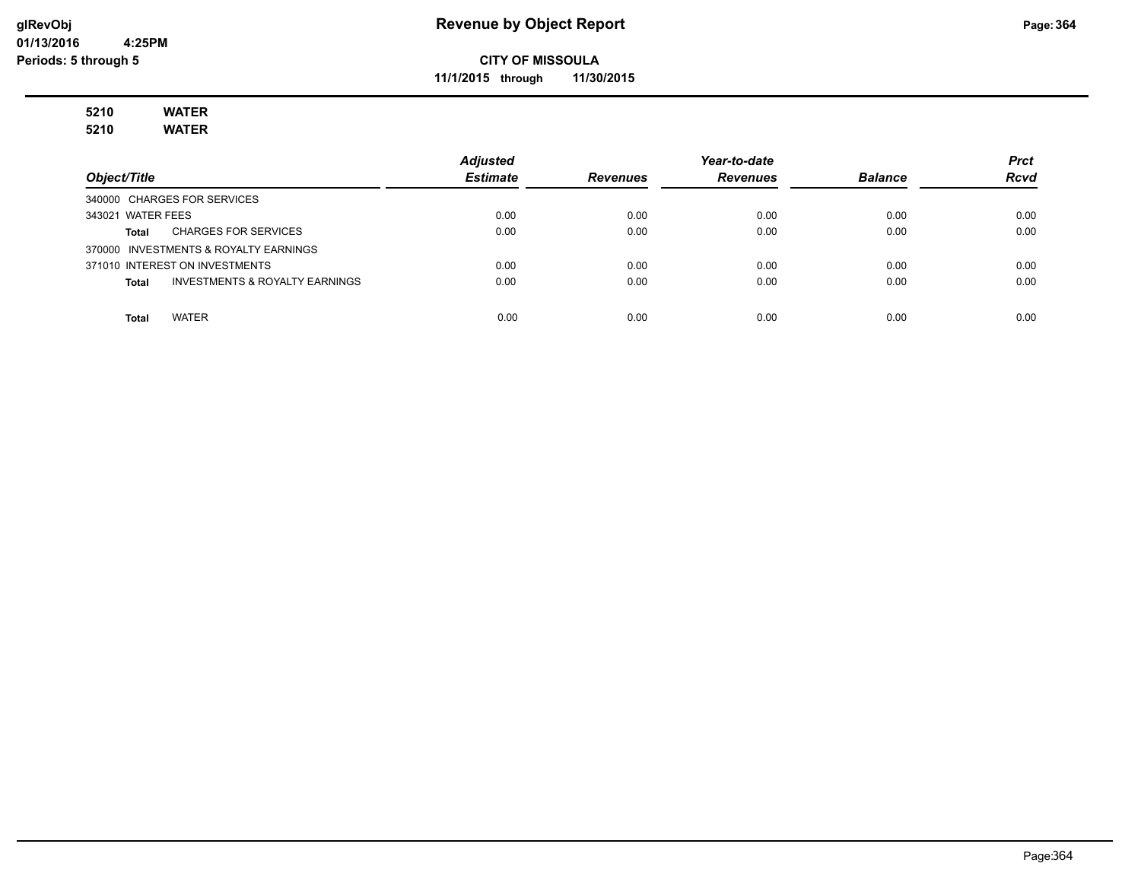**11/1/2015 through 11/30/2015**

# **5210 WATER**

**5210 WATER**

|                                                | <b>Adjusted</b> |                 | Year-to-date    |                | <b>Prct</b> |
|------------------------------------------------|-----------------|-----------------|-----------------|----------------|-------------|
| Object/Title                                   | <b>Estimate</b> | <b>Revenues</b> | <b>Revenues</b> | <b>Balance</b> | <b>Rcvd</b> |
| 340000 CHARGES FOR SERVICES                    |                 |                 |                 |                |             |
| 343021 WATER FEES                              | 0.00            | 0.00            | 0.00            | 0.00           | 0.00        |
| <b>CHARGES FOR SERVICES</b><br>Total           | 0.00            | 0.00            | 0.00            | 0.00           | 0.00        |
| 370000 INVESTMENTS & ROYALTY EARNINGS          |                 |                 |                 |                |             |
| 371010 INTEREST ON INVESTMENTS                 | 0.00            | 0.00            | 0.00            | 0.00           | 0.00        |
| INVESTMENTS & ROYALTY EARNINGS<br><b>Total</b> | 0.00            | 0.00            | 0.00            | 0.00           | 0.00        |
|                                                |                 |                 |                 |                |             |
| <b>WATER</b><br>Total                          | 0.00            | 0.00            | 0.00            | 0.00           | 0.00        |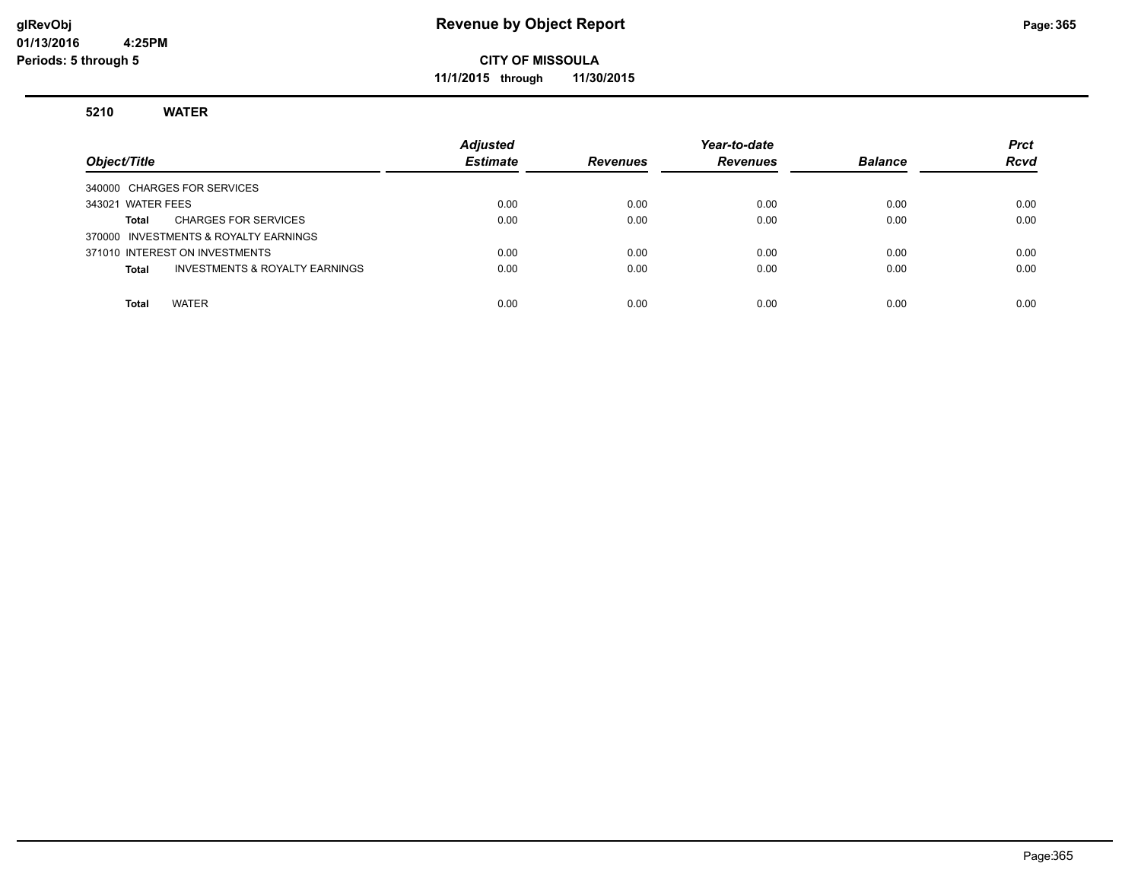**11/1/2015 through 11/30/2015**

#### **5210 WATER**

| Object/Title                                       | <b>Adjusted</b><br><b>Estimate</b> | <b>Revenues</b> | Year-to-date<br><b>Revenues</b> | <b>Balance</b> | <b>Prct</b><br><b>Rcvd</b> |
|----------------------------------------------------|------------------------------------|-----------------|---------------------------------|----------------|----------------------------|
| 340000 CHARGES FOR SERVICES                        |                                    |                 |                                 |                |                            |
| 343021 WATER FEES                                  | 0.00                               | 0.00            | 0.00                            | 0.00           | 0.00                       |
| <b>CHARGES FOR SERVICES</b><br>Total               | 0.00                               | 0.00            | 0.00                            | 0.00           | 0.00                       |
| 370000 INVESTMENTS & ROYALTY EARNINGS              |                                    |                 |                                 |                |                            |
| 371010 INTEREST ON INVESTMENTS                     | 0.00                               | 0.00            | 0.00                            | 0.00           | 0.00                       |
| <b>INVESTMENTS &amp; ROYALTY EARNINGS</b><br>Total | 0.00                               | 0.00            | 0.00                            | 0.00           | 0.00                       |
|                                                    |                                    |                 |                                 |                |                            |
| <b>WATER</b><br><b>Total</b>                       | 0.00                               | 0.00            | 0.00                            | 0.00           | 0.00                       |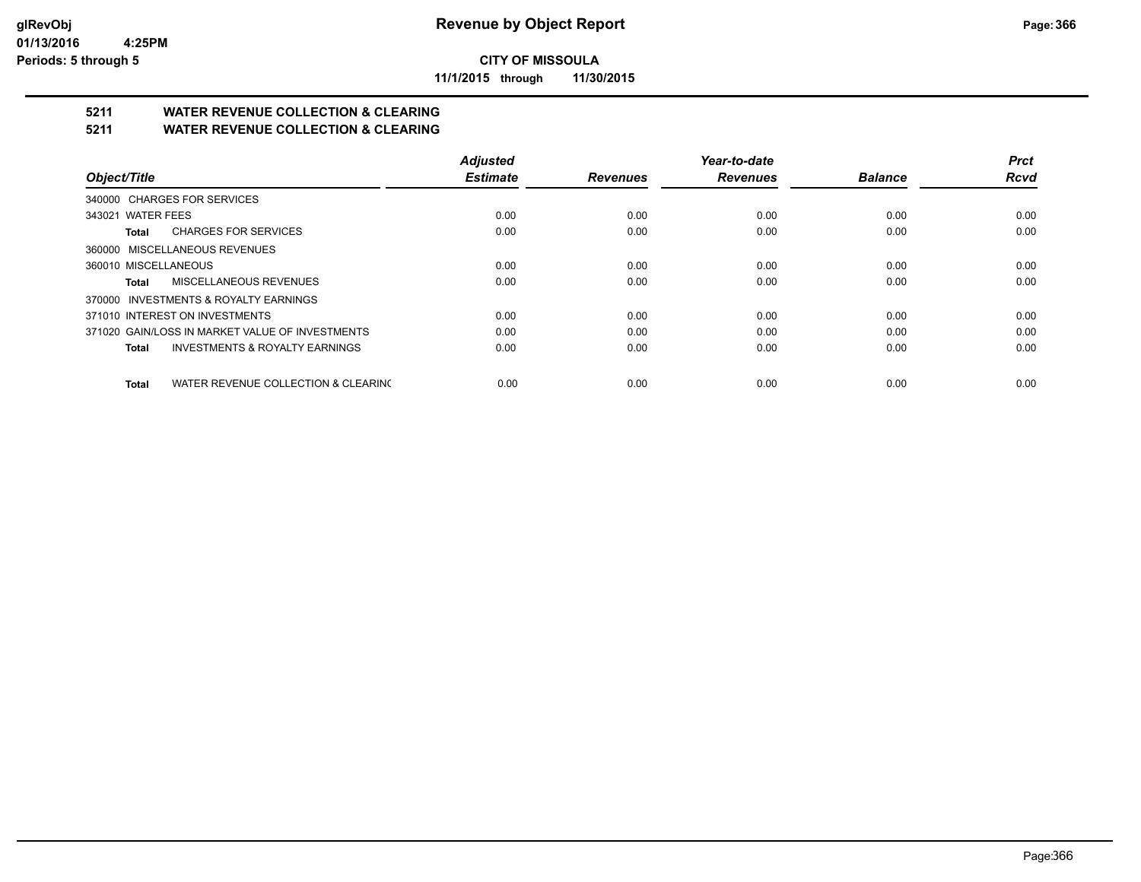**11/1/2015 through 11/30/2015**

# **5211 WATER REVENUE COLLECTION & CLEARING**

**5211 WATER REVENUE COLLECTION & CLEARING**

|                                                 | <b>Adjusted</b> |                 | Year-to-date    |                | <b>Prct</b> |
|-------------------------------------------------|-----------------|-----------------|-----------------|----------------|-------------|
| Object/Title                                    | <b>Estimate</b> | <b>Revenues</b> | <b>Revenues</b> | <b>Balance</b> | <b>Rcvd</b> |
| 340000 CHARGES FOR SERVICES                     |                 |                 |                 |                |             |
| 343021 WATER FEES                               | 0.00            | 0.00            | 0.00            | 0.00           | 0.00        |
| <b>CHARGES FOR SERVICES</b><br>Total            | 0.00            | 0.00            | 0.00            | 0.00           | 0.00        |
| 360000 MISCELLANEOUS REVENUES                   |                 |                 |                 |                |             |
| 360010 MISCELLANEOUS                            | 0.00            | 0.00            | 0.00            | 0.00           | 0.00        |
| MISCELLANEOUS REVENUES<br>Total                 | 0.00            | 0.00            | 0.00            | 0.00           | 0.00        |
| 370000 INVESTMENTS & ROYALTY EARNINGS           |                 |                 |                 |                |             |
| 371010 INTEREST ON INVESTMENTS                  | 0.00            | 0.00            | 0.00            | 0.00           | 0.00        |
| 371020 GAIN/LOSS IN MARKET VALUE OF INVESTMENTS | 0.00            | 0.00            | 0.00            | 0.00           | 0.00        |
| INVESTMENTS & ROYALTY EARNINGS<br>Total         | 0.00            | 0.00            | 0.00            | 0.00           | 0.00        |
| WATER REVENUE COLLECTION & CLEARING<br>Total    | 0.00            | 0.00            | 0.00            | 0.00           | 0.00        |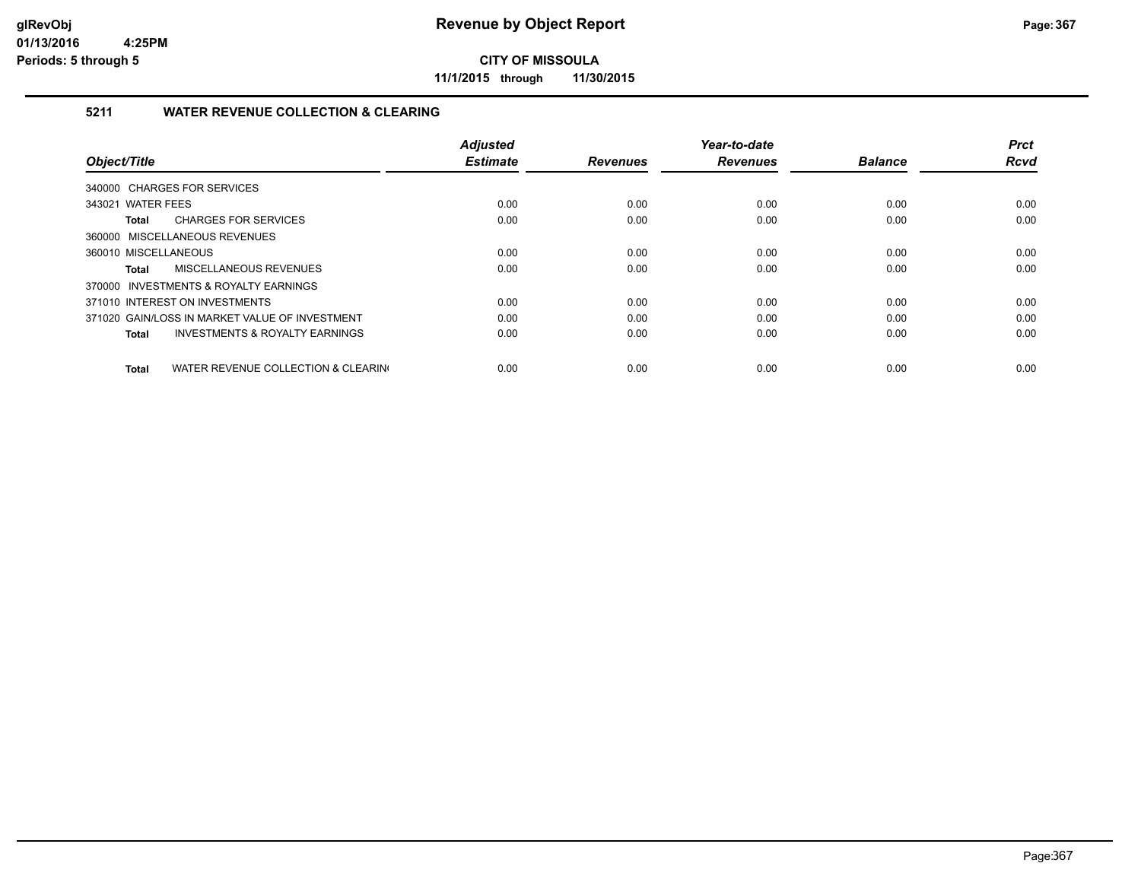**11/1/2015 through 11/30/2015**

## **5211 WATER REVENUE COLLECTION & CLEARING**

|                                                     | <b>Adjusted</b> |                 | Year-to-date    |                | <b>Prct</b> |
|-----------------------------------------------------|-----------------|-----------------|-----------------|----------------|-------------|
| Object/Title                                        | <b>Estimate</b> | <b>Revenues</b> | <b>Revenues</b> | <b>Balance</b> | <b>Rcvd</b> |
| 340000 CHARGES FOR SERVICES                         |                 |                 |                 |                |             |
| 343021 WATER FEES                                   | 0.00            | 0.00            | 0.00            | 0.00           | 0.00        |
| <b>CHARGES FOR SERVICES</b><br>Total                | 0.00            | 0.00            | 0.00            | 0.00           | 0.00        |
| 360000 MISCELLANEOUS REVENUES                       |                 |                 |                 |                |             |
| 360010 MISCELLANEOUS                                | 0.00            | 0.00            | 0.00            | 0.00           | 0.00        |
| MISCELLANEOUS REVENUES<br><b>Total</b>              | 0.00            | 0.00            | 0.00            | 0.00           | 0.00        |
| 370000 INVESTMENTS & ROYALTY EARNINGS               |                 |                 |                 |                |             |
| 371010 INTEREST ON INVESTMENTS                      | 0.00            | 0.00            | 0.00            | 0.00           | 0.00        |
| 371020 GAIN/LOSS IN MARKET VALUE OF INVESTMENT      | 0.00            | 0.00            | 0.00            | 0.00           | 0.00        |
| <b>INVESTMENTS &amp; ROYALTY EARNINGS</b><br>Total  | 0.00            | 0.00            | 0.00            | 0.00           | 0.00        |
|                                                     |                 |                 |                 |                |             |
| WATER REVENUE COLLECTION & CLEARING<br><b>Total</b> | 0.00            | 0.00            | 0.00            | 0.00           | 0.00        |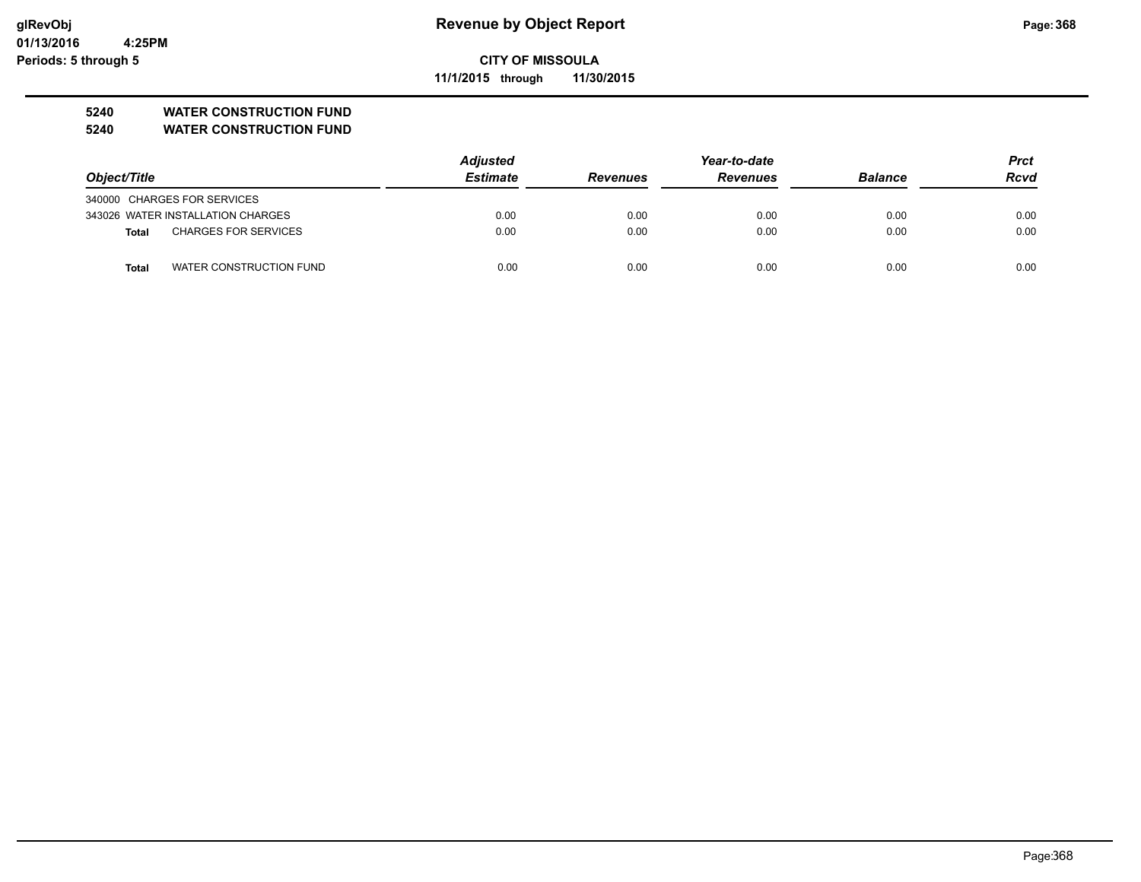**11/1/2015 through 11/30/2015**

## **5240 WATER CONSTRUCTION FUND**

**5240 WATER CONSTRUCTION FUND**

|                                         | <b>Adjusted</b> |                 | Year-to-date    |                |             |
|-----------------------------------------|-----------------|-----------------|-----------------|----------------|-------------|
| Object/Title                            | <b>Estimate</b> | <b>Revenues</b> | <b>Revenues</b> | <b>Balance</b> | <b>Rcvd</b> |
| 340000 CHARGES FOR SERVICES             |                 |                 |                 |                |             |
| 343026 WATER INSTALLATION CHARGES       | 0.00            | 0.00            | 0.00            | 0.00           | 0.00        |
| <b>CHARGES FOR SERVICES</b><br>Total    | 0.00            | 0.00            | 0.00            | 0.00           | 0.00        |
| WATER CONSTRUCTION FUND<br><b>Total</b> | 0.00            | 0.00            | 0.00            | 0.00           | 0.00        |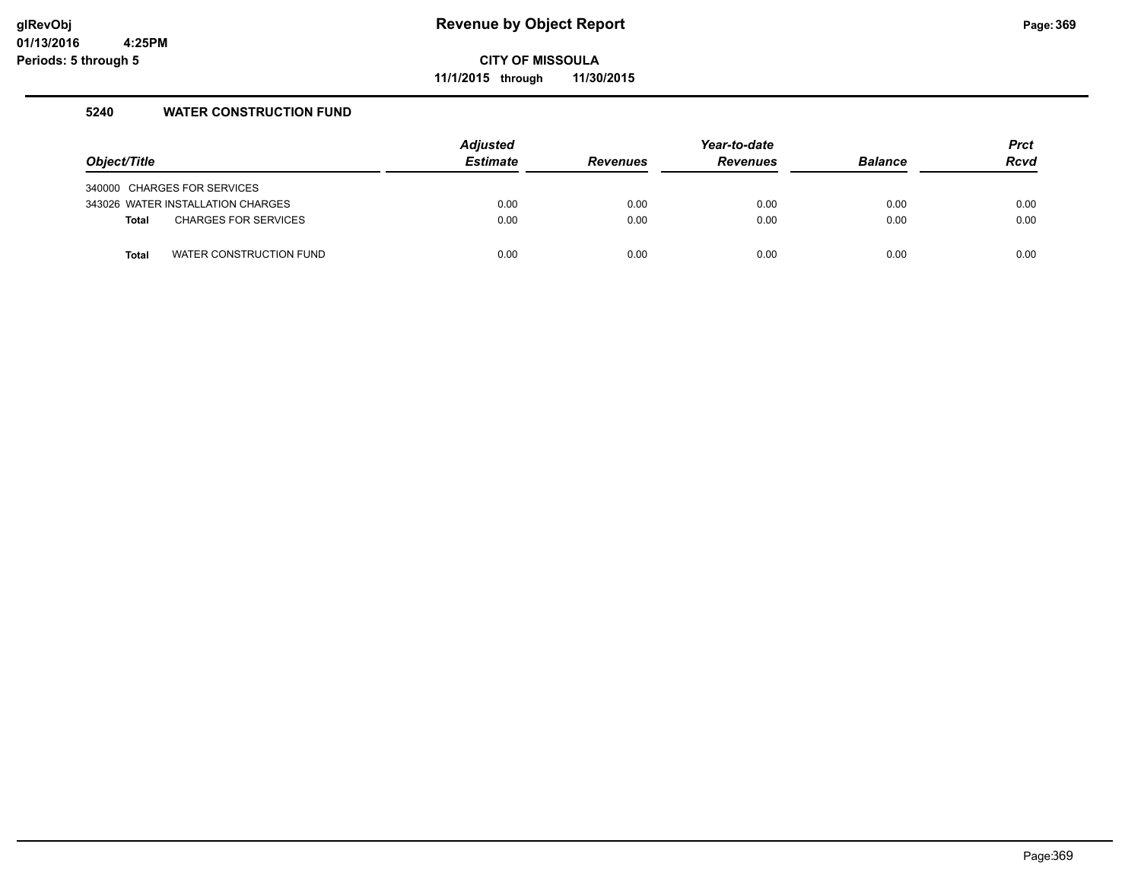**11/1/2015 through 11/30/2015**

## **5240 WATER CONSTRUCTION FUND**

|                                             | <b>Adjusted</b> |                 | Year-to-date    |                |             |  |
|---------------------------------------------|-----------------|-----------------|-----------------|----------------|-------------|--|
| Object/Title                                | <b>Estimate</b> | <b>Revenues</b> | <b>Revenues</b> | <b>Balance</b> | <b>Rcvd</b> |  |
| 340000 CHARGES FOR SERVICES                 |                 |                 |                 |                |             |  |
| 343026 WATER INSTALLATION CHARGES           | 0.00            | 0.00            | 0.00            | 0.00           | 0.00        |  |
| <b>CHARGES FOR SERVICES</b><br><b>Total</b> | 0.00            | 0.00            | 0.00            | 0.00           | 0.00        |  |
| WATER CONSTRUCTION FUND<br><b>Total</b>     | 0.00            | 0.00            | 0.00            | 0.00           | 0.00        |  |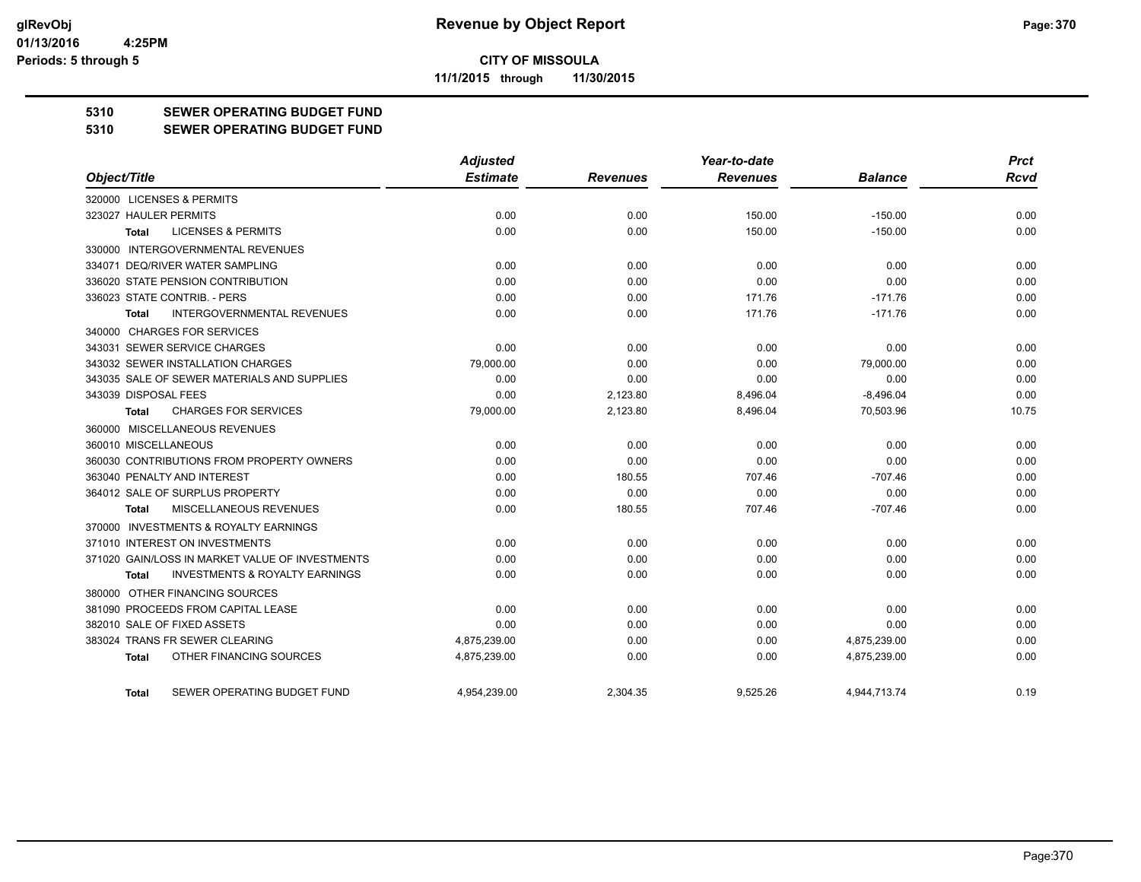**11/1/2015 through 11/30/2015**

# **5310 SEWER OPERATING BUDGET FUND**

#### **5310 SEWER OPERATING BUDGET FUND**

|                                                    | <b>Adjusted</b> |                 | Year-to-date    |                | <b>Prct</b> |
|----------------------------------------------------|-----------------|-----------------|-----------------|----------------|-------------|
| Object/Title                                       | <b>Estimate</b> | <b>Revenues</b> | <b>Revenues</b> | <b>Balance</b> | Rcvd        |
| 320000 LICENSES & PERMITS                          |                 |                 |                 |                |             |
| 323027 HAULER PERMITS                              | 0.00            | 0.00            | 150.00          | $-150.00$      | 0.00        |
| <b>LICENSES &amp; PERMITS</b><br><b>Total</b>      | 0.00            | 0.00            | 150.00          | $-150.00$      | 0.00        |
| 330000 INTERGOVERNMENTAL REVENUES                  |                 |                 |                 |                |             |
| 334071 DEQ/RIVER WATER SAMPLING                    | 0.00            | 0.00            | 0.00            | 0.00           | 0.00        |
| 336020 STATE PENSION CONTRIBUTION                  | 0.00            | 0.00            | 0.00            | 0.00           | 0.00        |
| 336023 STATE CONTRIB. - PERS                       | 0.00            | 0.00            | 171.76          | $-171.76$      | 0.00        |
| <b>INTERGOVERNMENTAL REVENUES</b><br>Total         | 0.00            | 0.00            | 171.76          | $-171.76$      | 0.00        |
| 340000 CHARGES FOR SERVICES                        |                 |                 |                 |                |             |
| 343031 SEWER SERVICE CHARGES                       | 0.00            | 0.00            | 0.00            | 0.00           | 0.00        |
| 343032 SEWER INSTALLATION CHARGES                  | 79,000.00       | 0.00            | 0.00            | 79,000.00      | 0.00        |
| 343035 SALE OF SEWER MATERIALS AND SUPPLIES        | 0.00            | 0.00            | 0.00            | 0.00           | 0.00        |
| 343039 DISPOSAL FEES                               | 0.00            | 2,123.80        | 8,496.04        | $-8,496.04$    | 0.00        |
| <b>CHARGES FOR SERVICES</b><br>Total               | 79,000.00       | 2,123.80        | 8,496.04        | 70,503.96      | 10.75       |
| 360000 MISCELLANEOUS REVENUES                      |                 |                 |                 |                |             |
| 360010 MISCELLANEOUS                               | 0.00            | 0.00            | 0.00            | 0.00           | 0.00        |
| 360030 CONTRIBUTIONS FROM PROPERTY OWNERS          | 0.00            | 0.00            | 0.00            | 0.00           | 0.00        |
| 363040 PENALTY AND INTEREST                        | 0.00            | 180.55          | 707.46          | $-707.46$      | 0.00        |
| 364012 SALE OF SURPLUS PROPERTY                    | 0.00            | 0.00            | 0.00            | 0.00           | 0.00        |
| MISCELLANEOUS REVENUES<br>Total                    | 0.00            | 180.55          | 707.46          | $-707.46$      | 0.00        |
| 370000 INVESTMENTS & ROYALTY EARNINGS              |                 |                 |                 |                |             |
| 371010 INTEREST ON INVESTMENTS                     | 0.00            | 0.00            | 0.00            | 0.00           | 0.00        |
| 371020 GAIN/LOSS IN MARKET VALUE OF INVESTMENTS    | 0.00            | 0.00            | 0.00            | 0.00           | 0.00        |
| <b>INVESTMENTS &amp; ROYALTY EARNINGS</b><br>Total | 0.00            | 0.00            | 0.00            | 0.00           | 0.00        |
| 380000 OTHER FINANCING SOURCES                     |                 |                 |                 |                |             |
| 381090 PROCEEDS FROM CAPITAL LEASE                 | 0.00            | 0.00            | 0.00            | 0.00           | 0.00        |
| 382010 SALE OF FIXED ASSETS                        | 0.00            | 0.00            | 0.00            | 0.00           | 0.00        |
| 383024 TRANS FR SEWER CLEARING                     | 4,875,239.00    | 0.00            | 0.00            | 4,875,239.00   | 0.00        |
| OTHER FINANCING SOURCES<br>Total                   | 4,875,239.00    | 0.00            | 0.00            | 4,875,239.00   | 0.00        |
| SEWER OPERATING BUDGET FUND<br>Total               | 4.954.239.00    | 2.304.35        | 9.525.26        | 4.944.713.74   | 0.19        |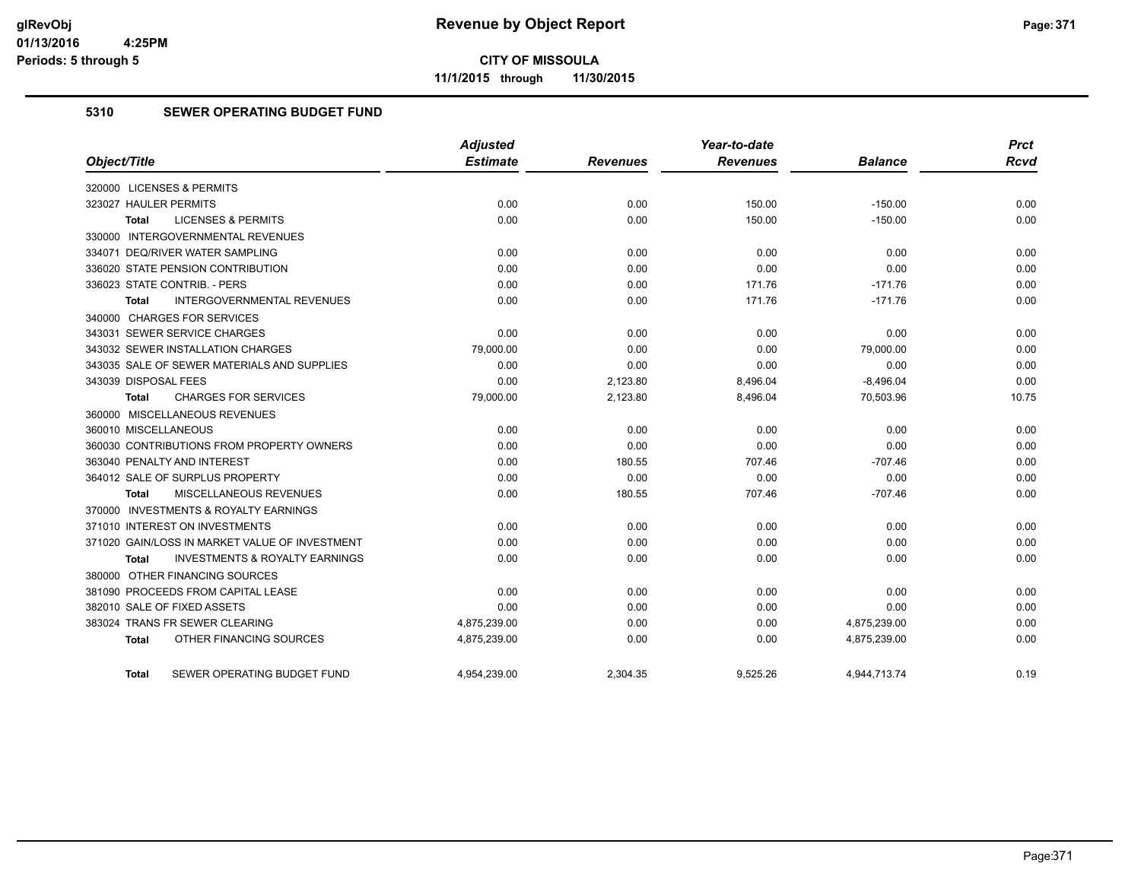**11/1/2015 through 11/30/2015**

## **5310 SEWER OPERATING BUDGET FUND**

|                                                    | <b>Adjusted</b> |                 | Year-to-date    |                | <b>Prct</b> |
|----------------------------------------------------|-----------------|-----------------|-----------------|----------------|-------------|
| Object/Title                                       | <b>Estimate</b> | <b>Revenues</b> | <b>Revenues</b> | <b>Balance</b> | <b>Rcvd</b> |
| 320000 LICENSES & PERMITS                          |                 |                 |                 |                |             |
| 323027 HAULER PERMITS                              | 0.00            | 0.00            | 150.00          | $-150.00$      | 0.00        |
| <b>LICENSES &amp; PERMITS</b><br><b>Total</b>      | 0.00            | 0.00            | 150.00          | $-150.00$      | 0.00        |
| 330000 INTERGOVERNMENTAL REVENUES                  |                 |                 |                 |                |             |
| 334071 DEQ/RIVER WATER SAMPLING                    | 0.00            | 0.00            | 0.00            | 0.00           | 0.00        |
| 336020 STATE PENSION CONTRIBUTION                  | 0.00            | 0.00            | 0.00            | 0.00           | 0.00        |
| 336023 STATE CONTRIB. - PERS                       | 0.00            | 0.00            | 171.76          | $-171.76$      | 0.00        |
| <b>INTERGOVERNMENTAL REVENUES</b><br><b>Total</b>  | 0.00            | 0.00            | 171.76          | $-171.76$      | 0.00        |
| 340000 CHARGES FOR SERVICES                        |                 |                 |                 |                |             |
| 343031 SEWER SERVICE CHARGES                       | 0.00            | 0.00            | 0.00            | 0.00           | 0.00        |
| 343032 SEWER INSTALLATION CHARGES                  | 79,000.00       | 0.00            | 0.00            | 79,000.00      | 0.00        |
| 343035 SALE OF SEWER MATERIALS AND SUPPLIES        | 0.00            | 0.00            | 0.00            | 0.00           | 0.00        |
| 343039 DISPOSAL FEES                               | 0.00            | 2,123.80        | 8,496.04        | $-8,496.04$    | 0.00        |
| <b>CHARGES FOR SERVICES</b><br><b>Total</b>        | 79,000.00       | 2,123.80        | 8,496.04        | 70,503.96      | 10.75       |
| 360000 MISCELLANEOUS REVENUES                      |                 |                 |                 |                |             |
| 360010 MISCELLANEOUS                               | 0.00            | 0.00            | 0.00            | 0.00           | 0.00        |
| 360030 CONTRIBUTIONS FROM PROPERTY OWNERS          | 0.00            | 0.00            | 0.00            | 0.00           | 0.00        |
| 363040 PENALTY AND INTEREST                        | 0.00            | 180.55          | 707.46          | $-707.46$      | 0.00        |
| 364012 SALE OF SURPLUS PROPERTY                    | 0.00            | 0.00            | 0.00            | 0.00           | 0.00        |
| MISCELLANEOUS REVENUES<br>Total                    | 0.00            | 180.55          | 707.46          | $-707.46$      | 0.00        |
| 370000 INVESTMENTS & ROYALTY EARNINGS              |                 |                 |                 |                |             |
| 371010 INTEREST ON INVESTMENTS                     | 0.00            | 0.00            | 0.00            | 0.00           | 0.00        |
| 371020 GAIN/LOSS IN MARKET VALUE OF INVESTMENT     | 0.00            | 0.00            | 0.00            | 0.00           | 0.00        |
| <b>INVESTMENTS &amp; ROYALTY EARNINGS</b><br>Total | 0.00            | 0.00            | 0.00            | 0.00           | 0.00        |
| 380000 OTHER FINANCING SOURCES                     |                 |                 |                 |                |             |
| 381090 PROCEEDS FROM CAPITAL LEASE                 | 0.00            | 0.00            | 0.00            | 0.00           | 0.00        |
| 382010 SALE OF FIXED ASSETS                        | 0.00            | 0.00            | 0.00            | 0.00           | 0.00        |
| 383024 TRANS FR SEWER CLEARING                     | 4,875,239.00    | 0.00            | 0.00            | 4,875,239.00   | 0.00        |
| OTHER FINANCING SOURCES<br>Total                   | 4,875,239.00    | 0.00            | 0.00            | 4,875,239.00   | 0.00        |
| SEWER OPERATING BUDGET FUND<br>Total               | 4,954,239.00    | 2,304.35        | 9,525.26        | 4,944,713.74   | 0.19        |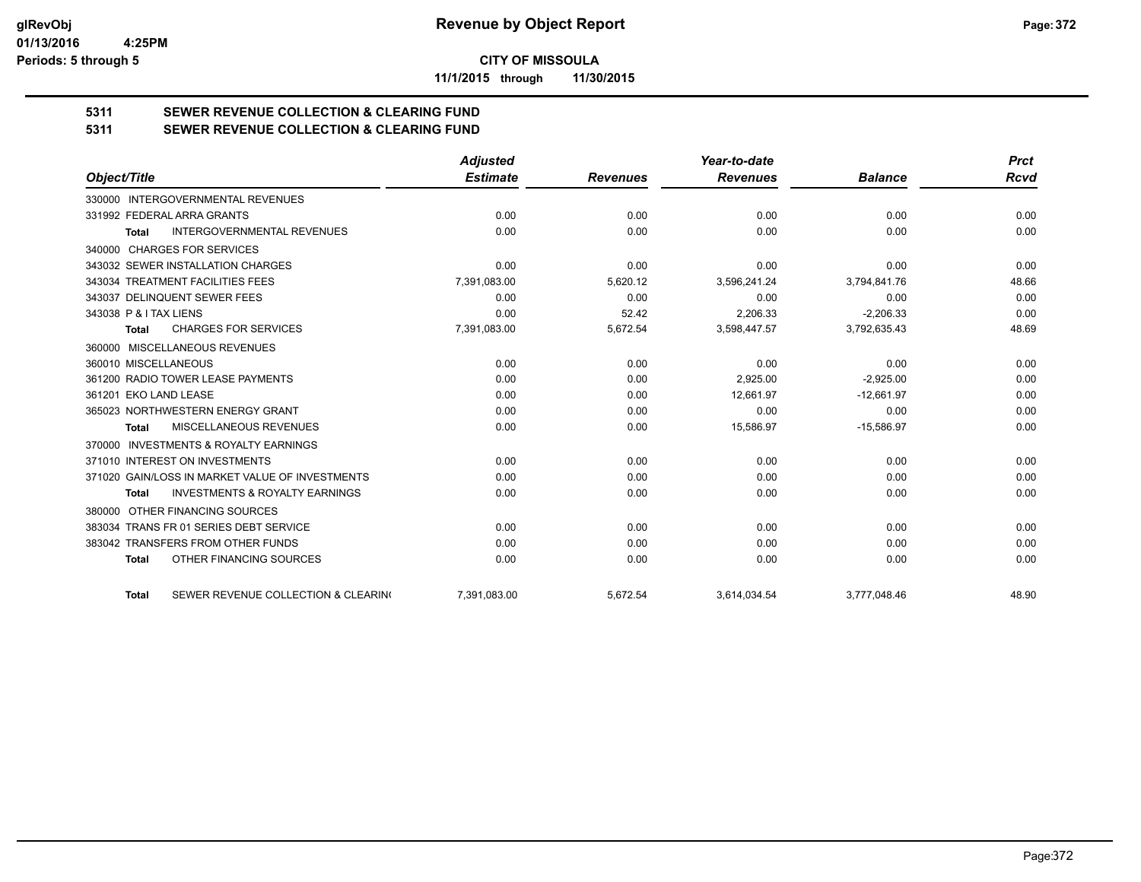**11/1/2015 through 11/30/2015**

# **5311 SEWER REVENUE COLLECTION & CLEARING FUND**

**5311 SEWER REVENUE COLLECTION & CLEARING FUND**

|                                                           | <b>Adjusted</b> |                 | Year-to-date    |                | <b>Prct</b> |
|-----------------------------------------------------------|-----------------|-----------------|-----------------|----------------|-------------|
| Object/Title                                              | <b>Estimate</b> | <b>Revenues</b> | <b>Revenues</b> | <b>Balance</b> | <b>Rcvd</b> |
| 330000 INTERGOVERNMENTAL REVENUES                         |                 |                 |                 |                |             |
| 331992 FEDERAL ARRA GRANTS                                | 0.00            | 0.00            | 0.00            | 0.00           | 0.00        |
| <b>INTERGOVERNMENTAL REVENUES</b><br><b>Total</b>         | 0.00            | 0.00            | 0.00            | 0.00           | 0.00        |
| 340000 CHARGES FOR SERVICES                               |                 |                 |                 |                |             |
| 343032 SEWER INSTALLATION CHARGES                         | 0.00            | 0.00            | 0.00            | 0.00           | 0.00        |
| 343034 TREATMENT FACILITIES FEES                          | 7,391,083.00    | 5.620.12        | 3,596,241.24    | 3,794,841.76   | 48.66       |
| 343037 DELINQUENT SEWER FEES                              | 0.00            | 0.00            | 0.00            | 0.00           | 0.00        |
| 343038 P & I TAX LIENS                                    | 0.00            | 52.42           | 2,206.33        | $-2,206.33$    | 0.00        |
| <b>CHARGES FOR SERVICES</b><br><b>Total</b>               | 7,391,083.00    | 5,672.54        | 3,598,447.57    | 3,792,635.43   | 48.69       |
| 360000 MISCELLANEOUS REVENUES                             |                 |                 |                 |                |             |
| 360010 MISCELLANEOUS                                      | 0.00            | 0.00            | 0.00            | 0.00           | 0.00        |
| 361200 RADIO TOWER LEASE PAYMENTS                         | 0.00            | 0.00            | 2,925.00        | $-2,925.00$    | 0.00        |
| 361201 EKO LAND LEASE                                     | 0.00            | 0.00            | 12.661.97       | $-12,661.97$   | 0.00        |
| 365023 NORTHWESTERN ENERGY GRANT                          | 0.00            | 0.00            | 0.00            | 0.00           | 0.00        |
| MISCELLANEOUS REVENUES<br><b>Total</b>                    | 0.00            | 0.00            | 15,586.97       | $-15,586.97$   | 0.00        |
| <b>INVESTMENTS &amp; ROYALTY EARNINGS</b><br>370000       |                 |                 |                 |                |             |
| 371010 INTEREST ON INVESTMENTS                            | 0.00            | 0.00            | 0.00            | 0.00           | 0.00        |
| 371020 GAIN/LOSS IN MARKET VALUE OF INVESTMENTS           | 0.00            | 0.00            | 0.00            | 0.00           | 0.00        |
| <b>INVESTMENTS &amp; ROYALTY EARNINGS</b><br><b>Total</b> | 0.00            | 0.00            | 0.00            | 0.00           | 0.00        |
| 380000 OTHER FINANCING SOURCES                            |                 |                 |                 |                |             |
| 383034 TRANS FR 01 SERIES DEBT SERVICE                    | 0.00            | 0.00            | 0.00            | 0.00           | 0.00        |
| 383042 TRANSFERS FROM OTHER FUNDS                         | 0.00            | 0.00            | 0.00            | 0.00           | 0.00        |
| OTHER FINANCING SOURCES<br><b>Total</b>                   | 0.00            | 0.00            | 0.00            | 0.00           | 0.00        |
| SEWER REVENUE COLLECTION & CLEARING<br><b>Total</b>       | 7,391,083.00    | 5,672.54        | 3,614,034.54    | 3,777,048.46   | 48.90       |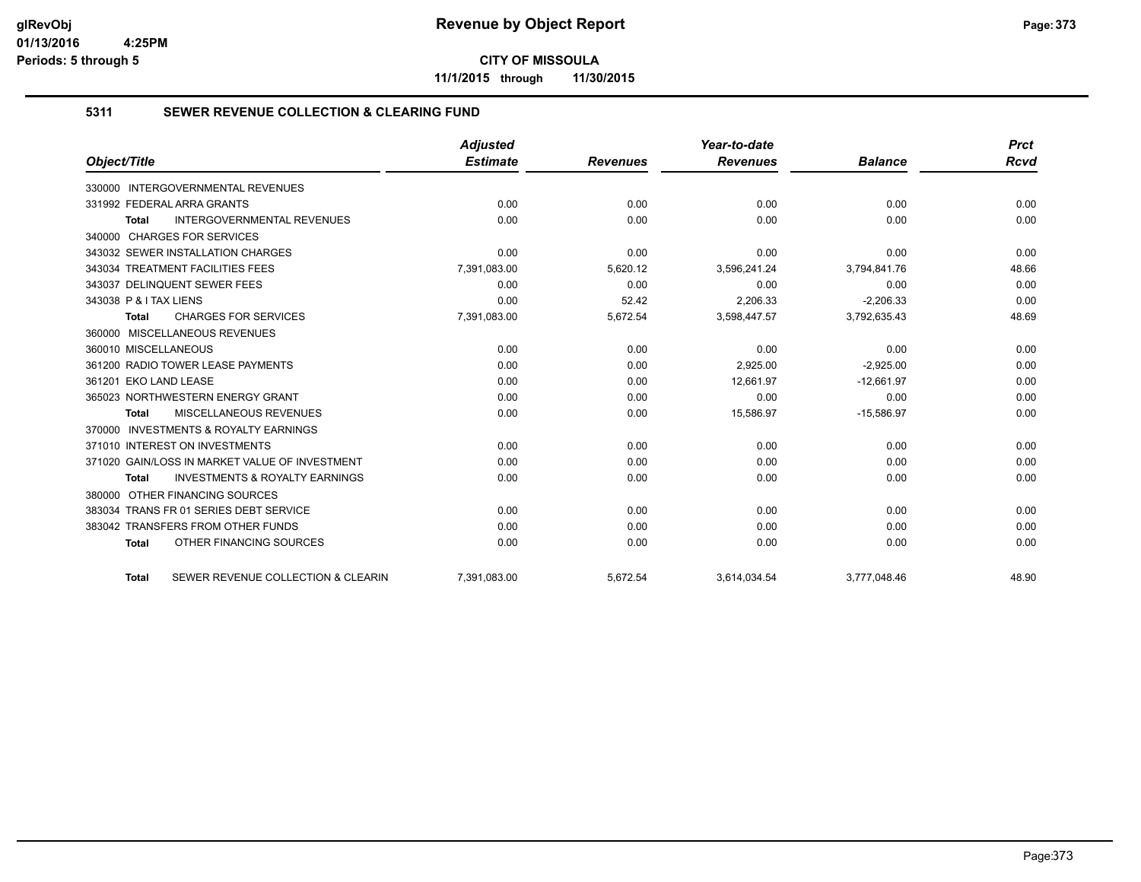**11/1/2015 through 11/30/2015**

# **5311 SEWER REVENUE COLLECTION & CLEARING FUND**

|                                                    | <b>Adjusted</b> |                 | Year-to-date    |                | <b>Prct</b> |
|----------------------------------------------------|-----------------|-----------------|-----------------|----------------|-------------|
| Object/Title                                       | <b>Estimate</b> | <b>Revenues</b> | <b>Revenues</b> | <b>Balance</b> | Rcvd        |
| 330000 INTERGOVERNMENTAL REVENUES                  |                 |                 |                 |                |             |
| 331992 FEDERAL ARRA GRANTS                         | 0.00            | 0.00            | 0.00            | 0.00           | 0.00        |
| <b>INTERGOVERNMENTAL REVENUES</b><br>Total         | 0.00            | 0.00            | 0.00            | 0.00           | 0.00        |
| 340000 CHARGES FOR SERVICES                        |                 |                 |                 |                |             |
| 343032 SEWER INSTALLATION CHARGES                  | 0.00            | 0.00            | 0.00            | 0.00           | 0.00        |
| 343034 TREATMENT FACILITIES FEES                   | 7,391,083.00    | 5,620.12        | 3,596,241.24    | 3,794,841.76   | 48.66       |
| 343037 DELINQUENT SEWER FEES                       | 0.00            | 0.00            | 0.00            | 0.00           | 0.00        |
| 343038 P & I TAX LIENS                             | 0.00            | 52.42           | 2,206.33        | $-2,206.33$    | 0.00        |
| <b>CHARGES FOR SERVICES</b><br><b>Total</b>        | 7,391,083.00    | 5,672.54        | 3,598,447.57    | 3,792,635.43   | 48.69       |
| 360000 MISCELLANEOUS REVENUES                      |                 |                 |                 |                |             |
| 360010 MISCELLANEOUS                               | 0.00            | 0.00            | 0.00            | 0.00           | 0.00        |
| 361200 RADIO TOWER LEASE PAYMENTS                  | 0.00            | 0.00            | 2.925.00        | $-2.925.00$    | 0.00        |
| 361201 EKO LAND LEASE                              | 0.00            | 0.00            | 12,661.97       | $-12,661.97$   | 0.00        |
| 365023 NORTHWESTERN ENERGY GRANT                   | 0.00            | 0.00            | 0.00            | 0.00           | 0.00        |
| <b>MISCELLANEOUS REVENUES</b><br>Total             | 0.00            | 0.00            | 15,586.97       | $-15,586.97$   | 0.00        |
| 370000 INVESTMENTS & ROYALTY EARNINGS              |                 |                 |                 |                |             |
| 371010 INTEREST ON INVESTMENTS                     | 0.00            | 0.00            | 0.00            | 0.00           | 0.00        |
| 371020 GAIN/LOSS IN MARKET VALUE OF INVESTMENT     | 0.00            | 0.00            | 0.00            | 0.00           | 0.00        |
| <b>INVESTMENTS &amp; ROYALTY EARNINGS</b><br>Total | 0.00            | 0.00            | 0.00            | 0.00           | 0.00        |
| OTHER FINANCING SOURCES<br>380000                  |                 |                 |                 |                |             |
| 383034 TRANS FR 01 SERIES DEBT SERVICE             | 0.00            | 0.00            | 0.00            | 0.00           | 0.00        |
| 383042 TRANSFERS FROM OTHER FUNDS                  | 0.00            | 0.00            | 0.00            | 0.00           | 0.00        |
| OTHER FINANCING SOURCES<br><b>Total</b>            | 0.00            | 0.00            | 0.00            | 0.00           | 0.00        |
| SEWER REVENUE COLLECTION & CLEARIN<br><b>Total</b> | 7,391,083.00    | 5,672.54        | 3,614,034.54    | 3,777,048.46   | 48.90       |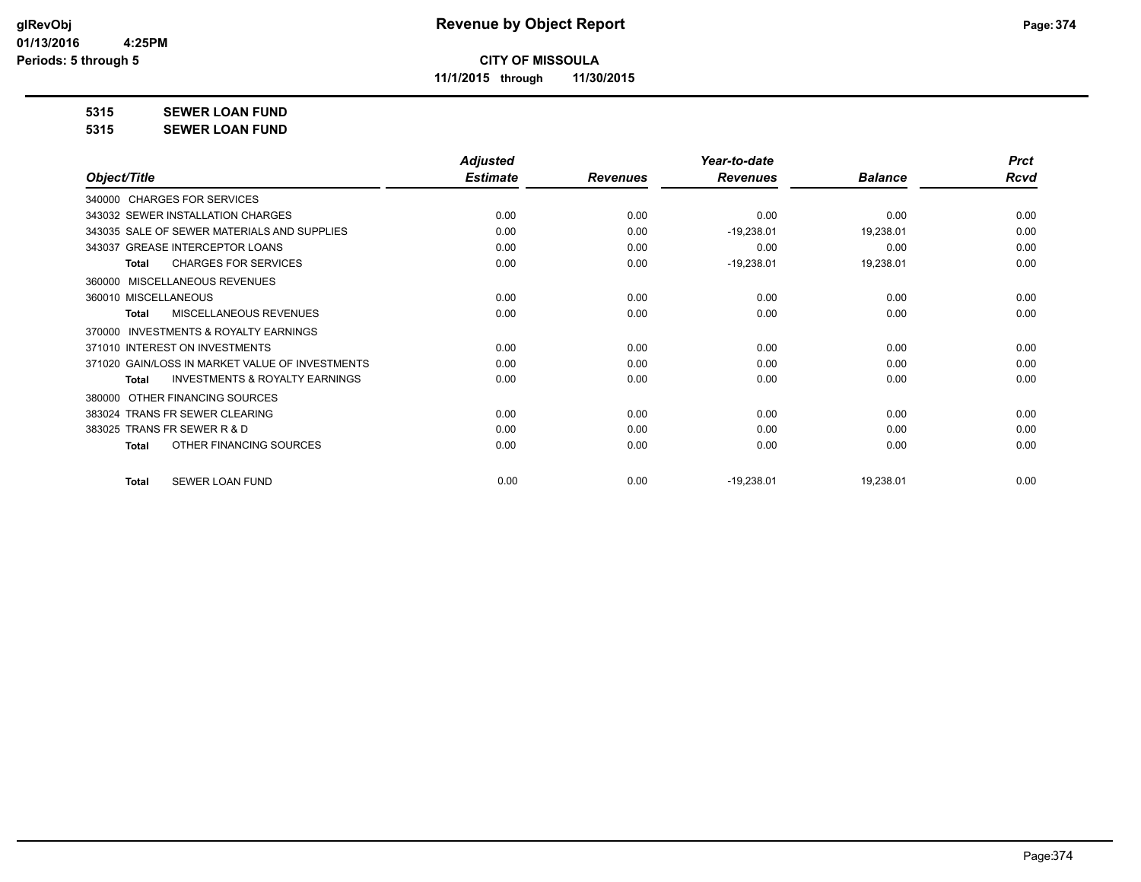**11/1/2015 through 11/30/2015**

**5315 SEWER LOAN FUND**

**5315 SEWER LOAN FUND**

|                                                           | <b>Adjusted</b> |                 | Year-to-date    |                | <b>Prct</b> |
|-----------------------------------------------------------|-----------------|-----------------|-----------------|----------------|-------------|
| Object/Title                                              | <b>Estimate</b> | <b>Revenues</b> | <b>Revenues</b> | <b>Balance</b> | <b>Rcvd</b> |
| 340000 CHARGES FOR SERVICES                               |                 |                 |                 |                |             |
| 343032 SEWER INSTALLATION CHARGES                         | 0.00            | 0.00            | 0.00            | 0.00           | 0.00        |
| 343035 SALE OF SEWER MATERIALS AND SUPPLIES               | 0.00            | 0.00            | $-19,238.01$    | 19,238.01      | 0.00        |
| 343037 GREASE INTERCEPTOR LOANS                           | 0.00            | 0.00            | 0.00            | 0.00           | 0.00        |
| <b>CHARGES FOR SERVICES</b><br><b>Total</b>               | 0.00            | 0.00            | $-19,238.01$    | 19,238.01      | 0.00        |
| MISCELLANEOUS REVENUES<br>360000                          |                 |                 |                 |                |             |
| 360010 MISCELLANEOUS                                      | 0.00            | 0.00            | 0.00            | 0.00           | 0.00        |
| MISCELLANEOUS REVENUES<br><b>Total</b>                    | 0.00            | 0.00            | 0.00            | 0.00           | 0.00        |
| <b>INVESTMENTS &amp; ROYALTY EARNINGS</b><br>370000       |                 |                 |                 |                |             |
| 371010 INTEREST ON INVESTMENTS                            | 0.00            | 0.00            | 0.00            | 0.00           | 0.00        |
| 371020 GAIN/LOSS IN MARKET VALUE OF INVESTMENTS           | 0.00            | 0.00            | 0.00            | 0.00           | 0.00        |
| <b>INVESTMENTS &amp; ROYALTY EARNINGS</b><br><b>Total</b> | 0.00            | 0.00            | 0.00            | 0.00           | 0.00        |
| OTHER FINANCING SOURCES<br>380000                         |                 |                 |                 |                |             |
| 383024 TRANS FR SEWER CLEARING                            | 0.00            | 0.00            | 0.00            | 0.00           | 0.00        |
| 383025 TRANS FR SEWER R & D                               | 0.00            | 0.00            | 0.00            | 0.00           | 0.00        |
| OTHER FINANCING SOURCES<br>Total                          | 0.00            | 0.00            | 0.00            | 0.00           | 0.00        |
| <b>SEWER LOAN FUND</b><br><b>Total</b>                    | 0.00            | 0.00            | $-19,238.01$    | 19,238.01      | 0.00        |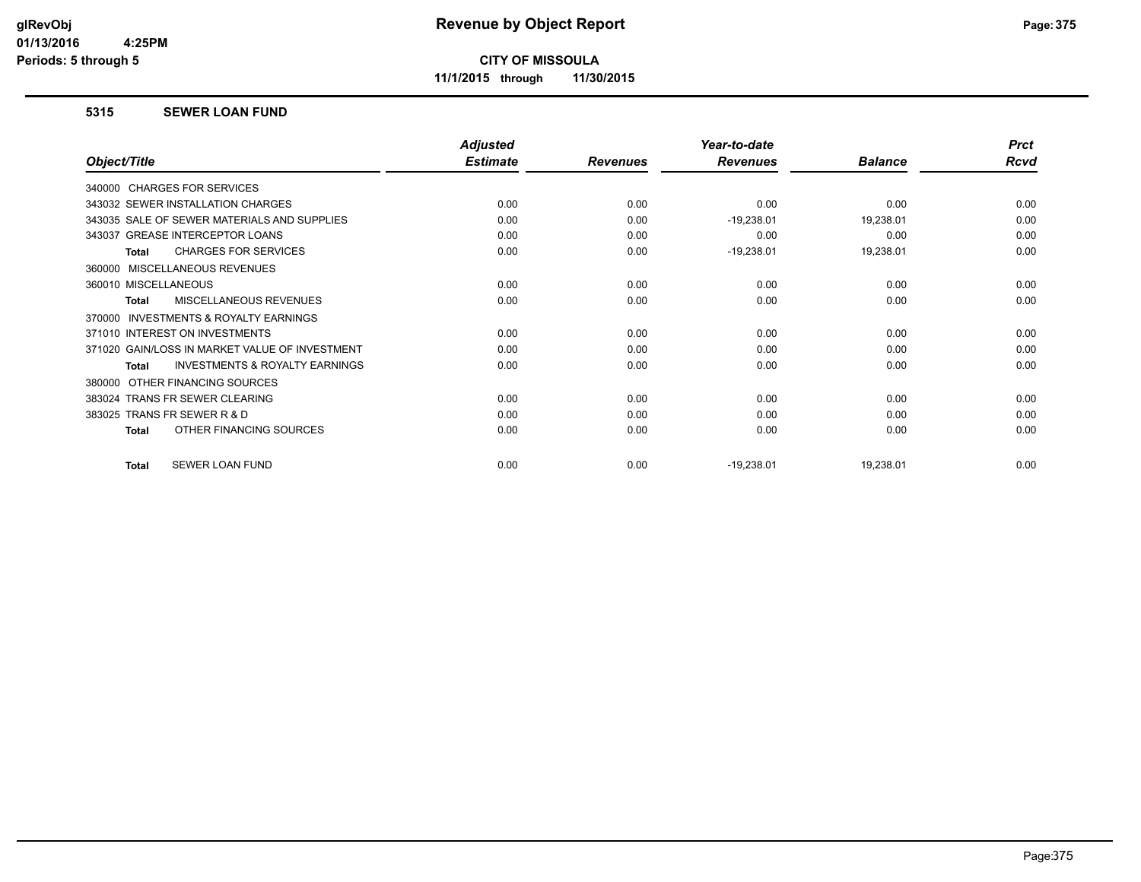**11/1/2015 through 11/30/2015**

#### **5315 SEWER LOAN FUND**

|                                                    | <b>Adjusted</b> |                 | Year-to-date    |                | <b>Prct</b> |
|----------------------------------------------------|-----------------|-----------------|-----------------|----------------|-------------|
| Object/Title                                       | <b>Estimate</b> | <b>Revenues</b> | <b>Revenues</b> | <b>Balance</b> | <b>Rcvd</b> |
| 340000 CHARGES FOR SERVICES                        |                 |                 |                 |                |             |
| 343032 SEWER INSTALLATION CHARGES                  | 0.00            | 0.00            | 0.00            | 0.00           | 0.00        |
| 343035 SALE OF SEWER MATERIALS AND SUPPLIES        | 0.00            | 0.00            | $-19,238.01$    | 19,238.01      | 0.00        |
| 343037 GREASE INTERCEPTOR LOANS                    | 0.00            | 0.00            | 0.00            | 0.00           | 0.00        |
| <b>CHARGES FOR SERVICES</b><br><b>Total</b>        | 0.00            | 0.00            | $-19,238.01$    | 19,238.01      | 0.00        |
| 360000 MISCELLANEOUS REVENUES                      |                 |                 |                 |                |             |
| 360010 MISCELLANEOUS                               | 0.00            | 0.00            | 0.00            | 0.00           | 0.00        |
| <b>MISCELLANEOUS REVENUES</b><br><b>Total</b>      | 0.00            | 0.00            | 0.00            | 0.00           | 0.00        |
| INVESTMENTS & ROYALTY EARNINGS<br>370000           |                 |                 |                 |                |             |
| 371010 INTEREST ON INVESTMENTS                     | 0.00            | 0.00            | 0.00            | 0.00           | 0.00        |
| 371020 GAIN/LOSS IN MARKET VALUE OF INVESTMENT     | 0.00            | 0.00            | 0.00            | 0.00           | 0.00        |
| <b>INVESTMENTS &amp; ROYALTY EARNINGS</b><br>Total | 0.00            | 0.00            | 0.00            | 0.00           | 0.00        |
| OTHER FINANCING SOURCES<br>380000                  |                 |                 |                 |                |             |
| 383024 TRANS FR SEWER CLEARING                     | 0.00            | 0.00            | 0.00            | 0.00           | 0.00        |
| 383025 TRANS FR SEWER R & D                        | 0.00            | 0.00            | 0.00            | 0.00           | 0.00        |
| OTHER FINANCING SOURCES<br>Total                   | 0.00            | 0.00            | 0.00            | 0.00           | 0.00        |
| SEWER LOAN FUND<br><b>Total</b>                    | 0.00            | 0.00            | $-19,238.01$    | 19,238.01      | 0.00        |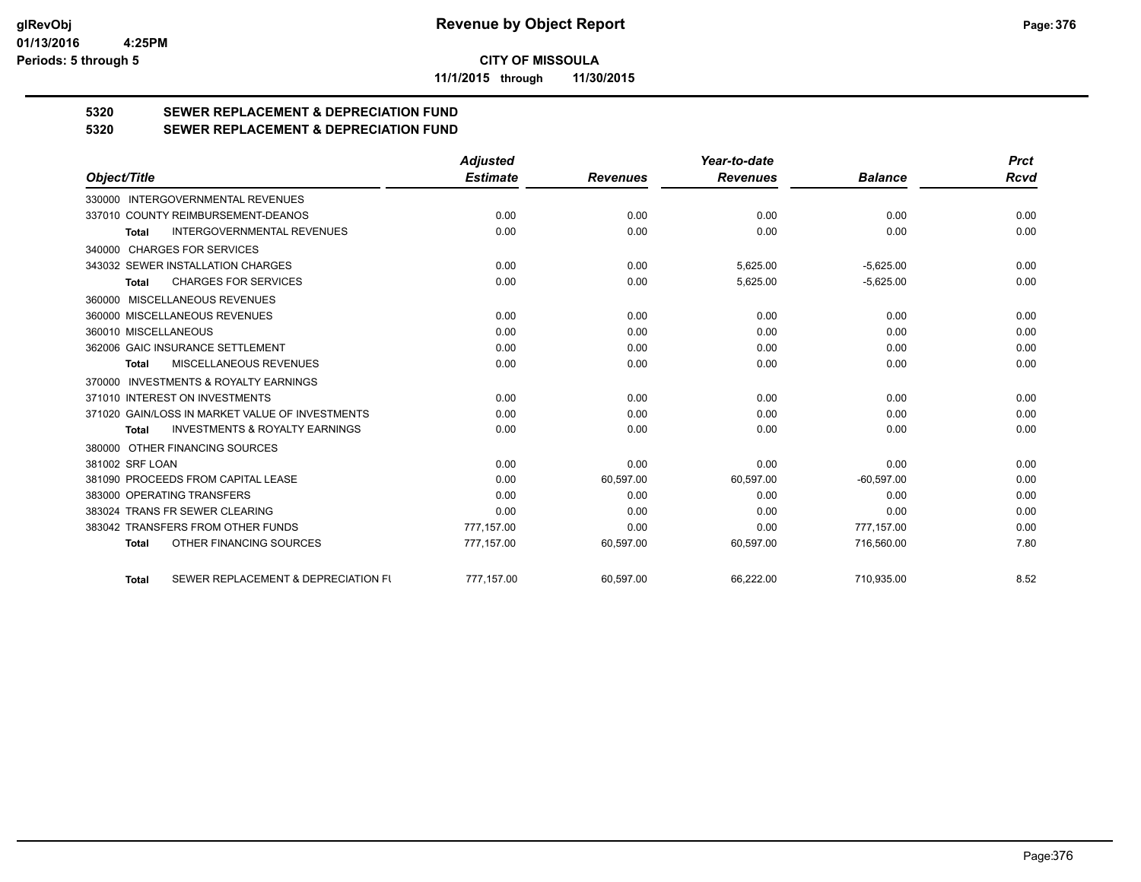**11/1/2015 through 11/30/2015**

# **5320 SEWER REPLACEMENT & DEPRECIATION FUND**

# **5320 SEWER REPLACEMENT & DEPRECIATION FUND**

|                                                           | <b>Adjusted</b> |                 | Year-to-date    |                | <b>Prct</b> |
|-----------------------------------------------------------|-----------------|-----------------|-----------------|----------------|-------------|
| Object/Title                                              | <b>Estimate</b> | <b>Revenues</b> | <b>Revenues</b> | <b>Balance</b> | <b>Rcvd</b> |
| 330000 INTERGOVERNMENTAL REVENUES                         |                 |                 |                 |                |             |
| 337010 COUNTY REIMBURSEMENT-DEANOS                        | 0.00            | 0.00            | 0.00            | 0.00           | 0.00        |
| <b>INTERGOVERNMENTAL REVENUES</b><br><b>Total</b>         | 0.00            | 0.00            | 0.00            | 0.00           | 0.00        |
| 340000 CHARGES FOR SERVICES                               |                 |                 |                 |                |             |
| 343032 SEWER INSTALLATION CHARGES                         | 0.00            | 0.00            | 5,625.00        | $-5,625.00$    | 0.00        |
| <b>CHARGES FOR SERVICES</b><br><b>Total</b>               | 0.00            | 0.00            | 5,625.00        | $-5,625.00$    | 0.00        |
| 360000 MISCELLANEOUS REVENUES                             |                 |                 |                 |                |             |
| 360000 MISCELLANEOUS REVENUES                             | 0.00            | 0.00            | 0.00            | 0.00           | 0.00        |
| 360010 MISCELLANEOUS                                      | 0.00            | 0.00            | 0.00            | 0.00           | 0.00        |
| 362006 GAIC INSURANCE SETTLEMENT                          | 0.00            | 0.00            | 0.00            | 0.00           | 0.00        |
| <b>MISCELLANEOUS REVENUES</b><br><b>Total</b>             | 0.00            | 0.00            | 0.00            | 0.00           | 0.00        |
| 370000 INVESTMENTS & ROYALTY EARNINGS                     |                 |                 |                 |                |             |
| 371010 INTEREST ON INVESTMENTS                            | 0.00            | 0.00            | 0.00            | 0.00           | 0.00        |
| 371020 GAIN/LOSS IN MARKET VALUE OF INVESTMENTS           | 0.00            | 0.00            | 0.00            | 0.00           | 0.00        |
| <b>INVESTMENTS &amp; ROYALTY EARNINGS</b><br><b>Total</b> | 0.00            | 0.00            | 0.00            | 0.00           | 0.00        |
| 380000 OTHER FINANCING SOURCES                            |                 |                 |                 |                |             |
| 381002 SRF LOAN                                           | 0.00            | 0.00            | 0.00            | 0.00           | 0.00        |
| 381090 PROCEEDS FROM CAPITAL LEASE                        | 0.00            | 60,597.00       | 60,597.00       | $-60,597.00$   | 0.00        |
| 383000 OPERATING TRANSFERS                                | 0.00            | 0.00            | 0.00            | 0.00           | 0.00        |
| 383024 TRANS FR SEWER CLEARING                            | 0.00            | 0.00            | 0.00            | 0.00           | 0.00        |
| 383042 TRANSFERS FROM OTHER FUNDS                         | 777,157.00      | 0.00            | 0.00            | 777,157.00     | 0.00        |
| OTHER FINANCING SOURCES<br><b>Total</b>                   | 777,157.00      | 60,597.00       | 60,597.00       | 716,560.00     | 7.80        |
| SEWER REPLACEMENT & DEPRECIATION FU<br><b>Total</b>       | 777,157.00      | 60,597.00       | 66,222.00       | 710,935.00     | 8.52        |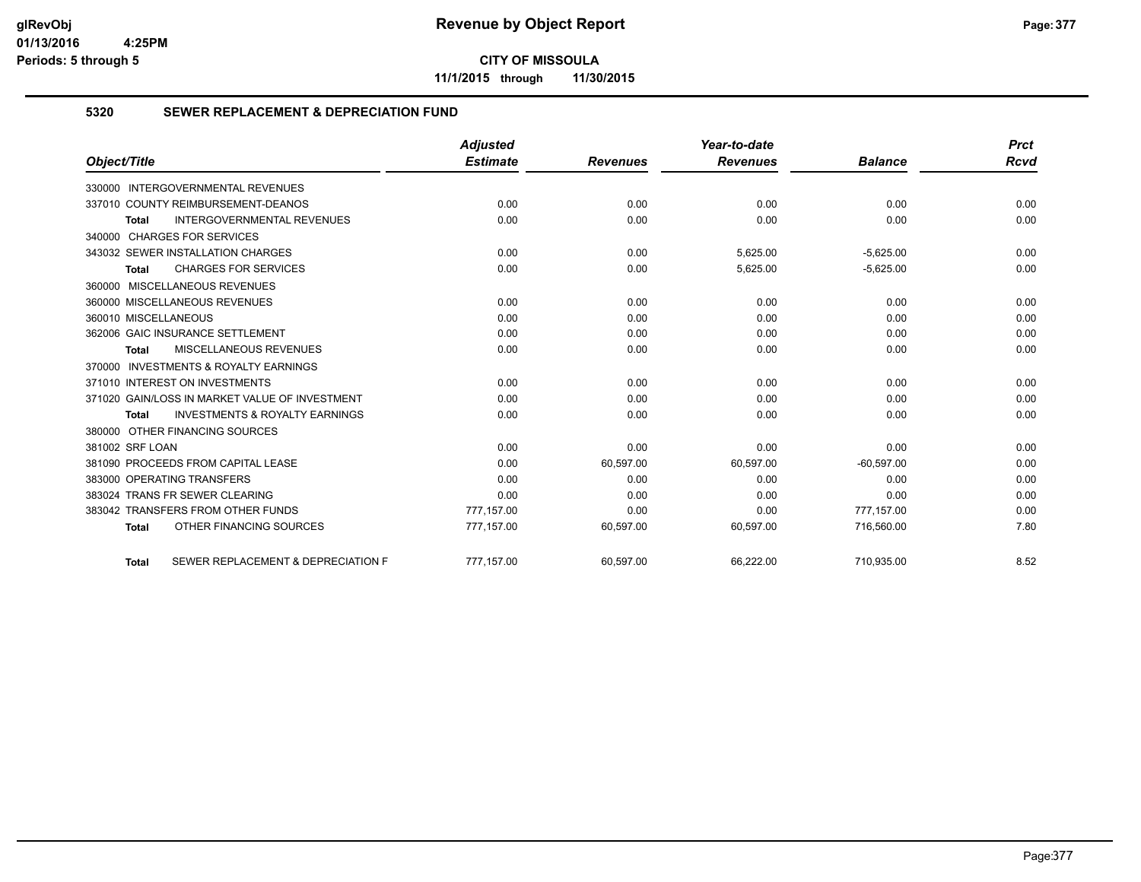**11/1/2015 through 11/30/2015**

## **5320 SEWER REPLACEMENT & DEPRECIATION FUND**

|                                                           | <b>Adjusted</b> |                 | Year-to-date    |                | <b>Prct</b> |
|-----------------------------------------------------------|-----------------|-----------------|-----------------|----------------|-------------|
| Object/Title                                              | <b>Estimate</b> | <b>Revenues</b> | <b>Revenues</b> | <b>Balance</b> | <b>Rcvd</b> |
| 330000 INTERGOVERNMENTAL REVENUES                         |                 |                 |                 |                |             |
| 337010 COUNTY REIMBURSEMENT-DEANOS                        | 0.00            | 0.00            | 0.00            | 0.00           | 0.00        |
| INTERGOVERNMENTAL REVENUES<br><b>Total</b>                | 0.00            | 0.00            | 0.00            | 0.00           | 0.00        |
| 340000 CHARGES FOR SERVICES                               |                 |                 |                 |                |             |
| 343032 SEWER INSTALLATION CHARGES                         | 0.00            | 0.00            | 5,625.00        | $-5,625.00$    | 0.00        |
| <b>CHARGES FOR SERVICES</b><br>Total                      | 0.00            | 0.00            | 5,625.00        | $-5,625.00$    | 0.00        |
| 360000 MISCELLANEOUS REVENUES                             |                 |                 |                 |                |             |
| 360000 MISCELLANEOUS REVENUES                             | 0.00            | 0.00            | 0.00            | 0.00           | 0.00        |
| 360010 MISCELLANEOUS                                      | 0.00            | 0.00            | 0.00            | 0.00           | 0.00        |
| 362006 GAIC INSURANCE SETTLEMENT                          | 0.00            | 0.00            | 0.00            | 0.00           | 0.00        |
| <b>MISCELLANEOUS REVENUES</b><br>Total                    | 0.00            | 0.00            | 0.00            | 0.00           | 0.00        |
| 370000 INVESTMENTS & ROYALTY EARNINGS                     |                 |                 |                 |                |             |
| 371010 INTEREST ON INVESTMENTS                            | 0.00            | 0.00            | 0.00            | 0.00           | 0.00        |
| 371020 GAIN/LOSS IN MARKET VALUE OF INVESTMENT            | 0.00            | 0.00            | 0.00            | 0.00           | 0.00        |
| <b>INVESTMENTS &amp; ROYALTY EARNINGS</b><br><b>Total</b> | 0.00            | 0.00            | 0.00            | 0.00           | 0.00        |
| 380000 OTHER FINANCING SOURCES                            |                 |                 |                 |                |             |
| 381002 SRF LOAN                                           | 0.00            | 0.00            | 0.00            | 0.00           | 0.00        |
| 381090 PROCEEDS FROM CAPITAL LEASE                        | 0.00            | 60,597.00       | 60,597.00       | $-60,597.00$   | 0.00        |
| 383000 OPERATING TRANSFERS                                | 0.00            | 0.00            | 0.00            | 0.00           | 0.00        |
| 383024 TRANS FR SEWER CLEARING                            | 0.00            | 0.00            | 0.00            | 0.00           | 0.00        |
| 383042 TRANSFERS FROM OTHER FUNDS                         | 777,157.00      | 0.00            | 0.00            | 777,157.00     | 0.00        |
| OTHER FINANCING SOURCES<br><b>Total</b>                   | 777,157.00      | 60,597.00       | 60,597.00       | 716,560.00     | 7.80        |
| SEWER REPLACEMENT & DEPRECIATION F<br><b>Total</b>        | 777.157.00      | 60.597.00       | 66.222.00       | 710.935.00     | 8.52        |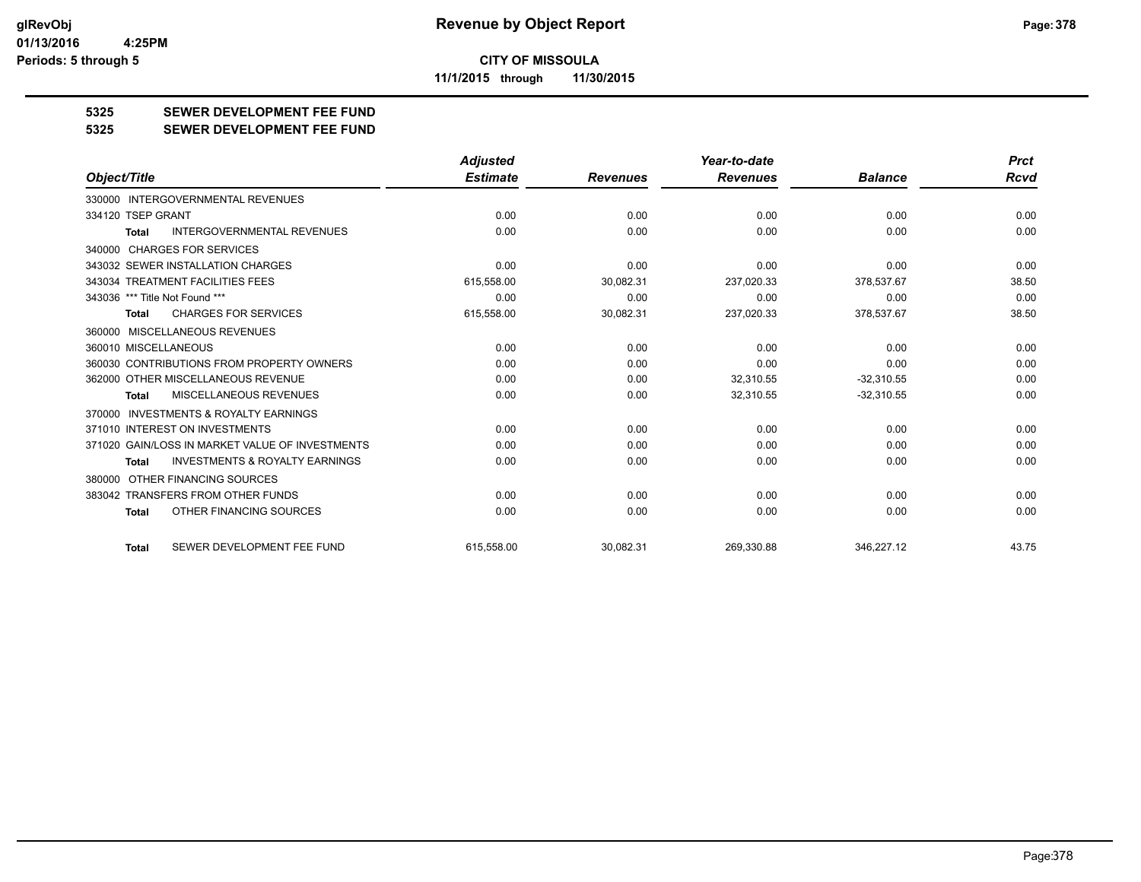**11/1/2015 through 11/30/2015**

# **5325 SEWER DEVELOPMENT FEE FUND**

**5325 SEWER DEVELOPMENT FEE FUND**

|                                                    | <b>Adjusted</b> |                 | Year-to-date    |                | <b>Prct</b> |
|----------------------------------------------------|-----------------|-----------------|-----------------|----------------|-------------|
| Object/Title                                       | <b>Estimate</b> | <b>Revenues</b> | <b>Revenues</b> | <b>Balance</b> | <b>Rcvd</b> |
| 330000 INTERGOVERNMENTAL REVENUES                  |                 |                 |                 |                |             |
| 334120 TSEP GRANT                                  | 0.00            | 0.00            | 0.00            | 0.00           | 0.00        |
| <b>INTERGOVERNMENTAL REVENUES</b><br><b>Total</b>  | 0.00            | 0.00            | 0.00            | 0.00           | 0.00        |
| 340000 CHARGES FOR SERVICES                        |                 |                 |                 |                |             |
| 343032 SEWER INSTALLATION CHARGES                  | 0.00            | 0.00            | 0.00            | 0.00           | 0.00        |
| 343034 TREATMENT FACILITIES FEES                   | 615,558.00      | 30,082.31       | 237,020.33      | 378,537.67     | 38.50       |
| 343036 *** Title Not Found ***                     | 0.00            | 0.00            | 0.00            | 0.00           | 0.00        |
| <b>CHARGES FOR SERVICES</b><br>Total               | 615,558.00      | 30,082.31       | 237,020.33      | 378,537.67     | 38.50       |
| 360000 MISCELLANEOUS REVENUES                      |                 |                 |                 |                |             |
| 360010 MISCELLANEOUS                               | 0.00            | 0.00            | 0.00            | 0.00           | 0.00        |
| 360030 CONTRIBUTIONS FROM PROPERTY OWNERS          | 0.00            | 0.00            | 0.00            | 0.00           | 0.00        |
| 362000 OTHER MISCELLANEOUS REVENUE                 | 0.00            | 0.00            | 32,310.55       | $-32,310.55$   | 0.00        |
| <b>MISCELLANEOUS REVENUES</b><br><b>Total</b>      | 0.00            | 0.00            | 32,310.55       | $-32,310.55$   | 0.00        |
| INVESTMENTS & ROYALTY EARNINGS<br>370000           |                 |                 |                 |                |             |
| 371010 INTEREST ON INVESTMENTS                     | 0.00            | 0.00            | 0.00            | 0.00           | 0.00        |
| 371020 GAIN/LOSS IN MARKET VALUE OF INVESTMENTS    | 0.00            | 0.00            | 0.00            | 0.00           | 0.00        |
| <b>INVESTMENTS &amp; ROYALTY EARNINGS</b><br>Total | 0.00            | 0.00            | 0.00            | 0.00           | 0.00        |
| 380000 OTHER FINANCING SOURCES                     |                 |                 |                 |                |             |
| 383042 TRANSFERS FROM OTHER FUNDS                  | 0.00            | 0.00            | 0.00            | 0.00           | 0.00        |
| OTHER FINANCING SOURCES<br>Total                   | 0.00            | 0.00            | 0.00            | 0.00           | 0.00        |
| SEWER DEVELOPMENT FEE FUND<br><b>Total</b>         | 615.558.00      | 30,082.31       | 269,330.88      | 346.227.12     | 43.75       |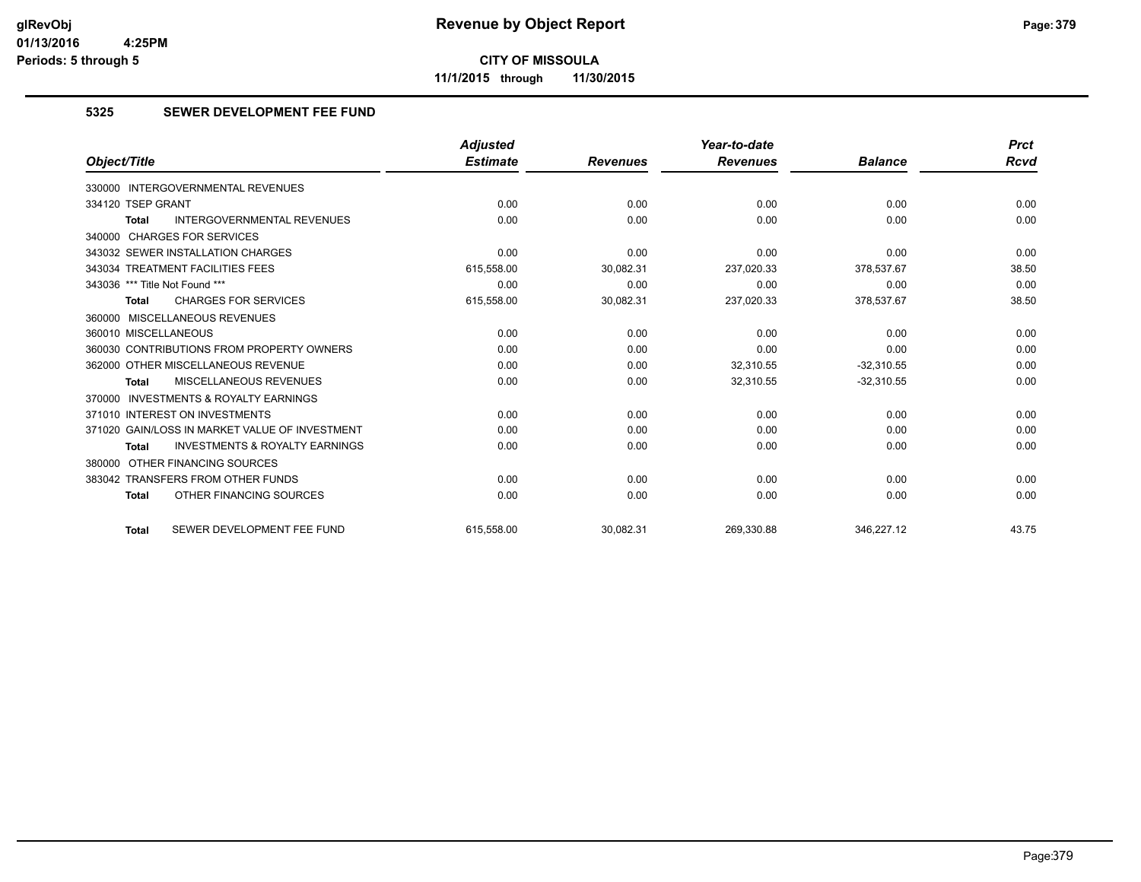**11/1/2015 through 11/30/2015**

# **5325 SEWER DEVELOPMENT FEE FUND**

|                                                    | <b>Adjusted</b> |                 | Year-to-date    |                | <b>Prct</b> |
|----------------------------------------------------|-----------------|-----------------|-----------------|----------------|-------------|
| Object/Title                                       | <b>Estimate</b> | <b>Revenues</b> | <b>Revenues</b> | <b>Balance</b> | Rcvd        |
| 330000 INTERGOVERNMENTAL REVENUES                  |                 |                 |                 |                |             |
| 334120 TSEP GRANT                                  | 0.00            | 0.00            | 0.00            | 0.00           | 0.00        |
| <b>INTERGOVERNMENTAL REVENUES</b><br><b>Total</b>  | 0.00            | 0.00            | 0.00            | 0.00           | 0.00        |
| 340000 CHARGES FOR SERVICES                        |                 |                 |                 |                |             |
| 343032 SEWER INSTALLATION CHARGES                  | 0.00            | 0.00            | 0.00            | 0.00           | 0.00        |
| 343034 TREATMENT FACILITIES FEES                   | 615,558.00      | 30,082.31       | 237,020.33      | 378.537.67     | 38.50       |
| 343036 *** Title Not Found ***                     | 0.00            | 0.00            | 0.00            | 0.00           | 0.00        |
| <b>CHARGES FOR SERVICES</b><br><b>Total</b>        | 615,558.00      | 30,082.31       | 237,020.33      | 378,537.67     | 38.50       |
| 360000 MISCELLANEOUS REVENUES                      |                 |                 |                 |                |             |
| 360010 MISCELLANEOUS                               | 0.00            | 0.00            | 0.00            | 0.00           | 0.00        |
| 360030 CONTRIBUTIONS FROM PROPERTY OWNERS          | 0.00            | 0.00            | 0.00            | 0.00           | 0.00        |
| 362000 OTHER MISCELLANEOUS REVENUE                 | 0.00            | 0.00            | 32,310.55       | $-32,310.55$   | 0.00        |
| MISCELLANEOUS REVENUES<br><b>Total</b>             | 0.00            | 0.00            | 32,310.55       | $-32,310.55$   | 0.00        |
| 370000 INVESTMENTS & ROYALTY EARNINGS              |                 |                 |                 |                |             |
| 371010 INTEREST ON INVESTMENTS                     | 0.00            | 0.00            | 0.00            | 0.00           | 0.00        |
| 371020 GAIN/LOSS IN MARKET VALUE OF INVESTMENT     | 0.00            | 0.00            | 0.00            | 0.00           | 0.00        |
| <b>INVESTMENTS &amp; ROYALTY EARNINGS</b><br>Total | 0.00            | 0.00            | 0.00            | 0.00           | 0.00        |
| 380000 OTHER FINANCING SOURCES                     |                 |                 |                 |                |             |
| 383042 TRANSFERS FROM OTHER FUNDS                  | 0.00            | 0.00            | 0.00            | 0.00           | 0.00        |
| OTHER FINANCING SOURCES<br><b>Total</b>            | 0.00            | 0.00            | 0.00            | 0.00           | 0.00        |
| SEWER DEVELOPMENT FEE FUND<br><b>Total</b>         | 615.558.00      | 30,082.31       | 269,330.88      | 346,227.12     | 43.75       |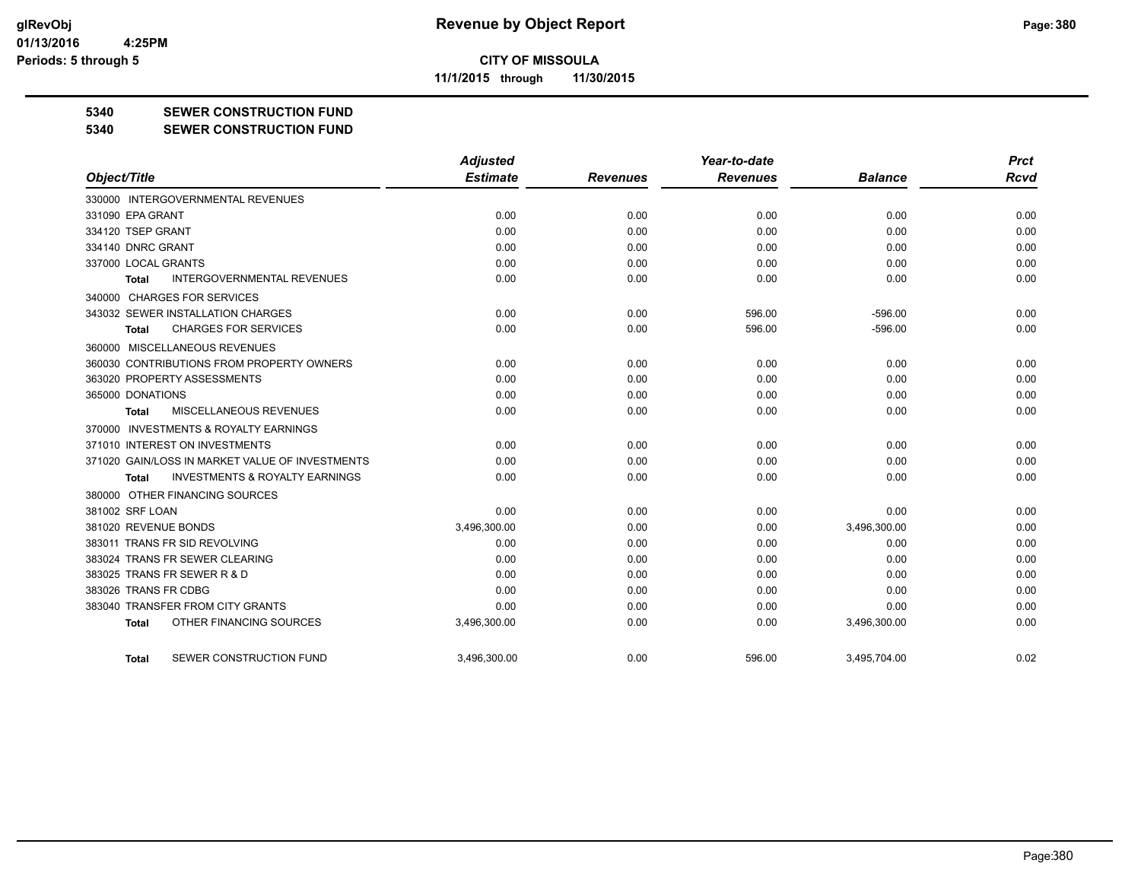**11/1/2015 through 11/30/2015**

### **5340 SEWER CONSTRUCTION FUND**

#### **5340 SEWER CONSTRUCTION FUND**

|                                                     | <b>Adjusted</b> |                 | Year-to-date    |                | <b>Prct</b> |
|-----------------------------------------------------|-----------------|-----------------|-----------------|----------------|-------------|
| Object/Title                                        | <b>Estimate</b> | <b>Revenues</b> | <b>Revenues</b> | <b>Balance</b> | <b>Rcvd</b> |
| 330000 INTERGOVERNMENTAL REVENUES                   |                 |                 |                 |                |             |
| 331090 EPA GRANT                                    | 0.00            | 0.00            | 0.00            | 0.00           | 0.00        |
| 334120 TSEP GRANT                                   | 0.00            | 0.00            | 0.00            | 0.00           | 0.00        |
| 334140 DNRC GRANT                                   | 0.00            | 0.00            | 0.00            | 0.00           | 0.00        |
| 337000 LOCAL GRANTS                                 | 0.00            | 0.00            | 0.00            | 0.00           | 0.00        |
| <b>INTERGOVERNMENTAL REVENUES</b><br><b>Total</b>   | 0.00            | 0.00            | 0.00            | 0.00           | 0.00        |
| 340000 CHARGES FOR SERVICES                         |                 |                 |                 |                |             |
| 343032 SEWER INSTALLATION CHARGES                   | 0.00            | 0.00            | 596.00          | $-596.00$      | 0.00        |
| <b>CHARGES FOR SERVICES</b><br>Total                | 0.00            | 0.00            | 596.00          | $-596.00$      | 0.00        |
| 360000 MISCELLANEOUS REVENUES                       |                 |                 |                 |                |             |
| 360030 CONTRIBUTIONS FROM PROPERTY OWNERS           | 0.00            | 0.00            | 0.00            | 0.00           | 0.00        |
| 363020 PROPERTY ASSESSMENTS                         | 0.00            | 0.00            | 0.00            | 0.00           | 0.00        |
| 365000 DONATIONS                                    | 0.00            | 0.00            | 0.00            | 0.00           | 0.00        |
| MISCELLANEOUS REVENUES<br>Total                     | 0.00            | 0.00            | 0.00            | 0.00           | 0.00        |
| <b>INVESTMENTS &amp; ROYALTY EARNINGS</b><br>370000 |                 |                 |                 |                |             |
| 371010 INTEREST ON INVESTMENTS                      | 0.00            | 0.00            | 0.00            | 0.00           | 0.00        |
| 371020 GAIN/LOSS IN MARKET VALUE OF INVESTMENTS     | 0.00            | 0.00            | 0.00            | 0.00           | 0.00        |
| <b>INVESTMENTS &amp; ROYALTY EARNINGS</b><br>Total  | 0.00            | 0.00            | 0.00            | 0.00           | 0.00        |
| 380000 OTHER FINANCING SOURCES                      |                 |                 |                 |                |             |
| 381002 SRF LOAN                                     | 0.00            | 0.00            | 0.00            | 0.00           | 0.00        |
| 381020 REVENUE BONDS                                | 3,496,300.00    | 0.00            | 0.00            | 3,496,300.00   | 0.00        |
| 383011 TRANS FR SID REVOLVING                       | 0.00            | 0.00            | 0.00            | 0.00           | 0.00        |
| 383024 TRANS FR SEWER CLEARING                      | 0.00            | 0.00            | 0.00            | 0.00           | 0.00        |
| 383025 TRANS FR SEWER R & D                         | 0.00            | 0.00            | 0.00            | 0.00           | 0.00        |
| 383026 TRANS FR CDBG                                | 0.00            | 0.00            | 0.00            | 0.00           | 0.00        |
| 383040 TRANSFER FROM CITY GRANTS                    | 0.00            | 0.00            | 0.00            | 0.00           | 0.00        |
| OTHER FINANCING SOURCES<br><b>Total</b>             | 3,496,300.00    | 0.00            | 0.00            | 3,496,300.00   | 0.00        |
| SEWER CONSTRUCTION FUND<br>Total                    | 3.496.300.00    | 0.00            | 596.00          | 3.495.704.00   | 0.02        |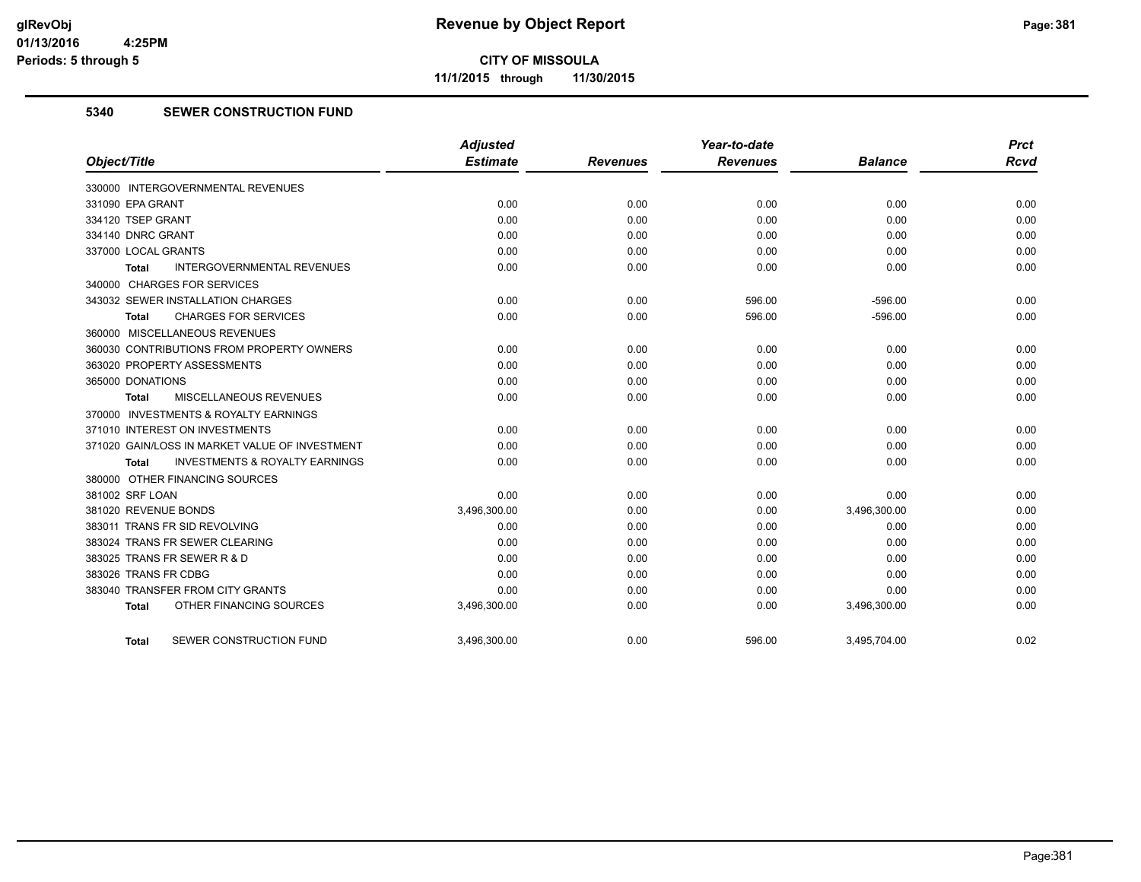**11/1/2015 through 11/30/2015**

# **5340 SEWER CONSTRUCTION FUND**

|                                                    | <b>Adjusted</b> |                 | Year-to-date    |                | <b>Prct</b> |
|----------------------------------------------------|-----------------|-----------------|-----------------|----------------|-------------|
| Object/Title                                       | <b>Estimate</b> | <b>Revenues</b> | <b>Revenues</b> | <b>Balance</b> | <b>Rcvd</b> |
| 330000 INTERGOVERNMENTAL REVENUES                  |                 |                 |                 |                |             |
| 331090 EPA GRANT                                   | 0.00            | 0.00            | 0.00            | 0.00           | 0.00        |
| 334120 TSEP GRANT                                  | 0.00            | 0.00            | 0.00            | 0.00           | 0.00        |
| 334140 DNRC GRANT                                  | 0.00            | 0.00            | 0.00            | 0.00           | 0.00        |
| 337000 LOCAL GRANTS                                | 0.00            | 0.00            | 0.00            | 0.00           | 0.00        |
| <b>INTERGOVERNMENTAL REVENUES</b><br>Total         | 0.00            | 0.00            | 0.00            | 0.00           | 0.00        |
| 340000 CHARGES FOR SERVICES                        |                 |                 |                 |                |             |
| 343032 SEWER INSTALLATION CHARGES                  | 0.00            | 0.00            | 596.00          | $-596.00$      | 0.00        |
| <b>CHARGES FOR SERVICES</b><br>Total               | 0.00            | 0.00            | 596.00          | $-596.00$      | 0.00        |
| 360000 MISCELLANEOUS REVENUES                      |                 |                 |                 |                |             |
| 360030 CONTRIBUTIONS FROM PROPERTY OWNERS          | 0.00            | 0.00            | 0.00            | 0.00           | 0.00        |
| 363020 PROPERTY ASSESSMENTS                        | 0.00            | 0.00            | 0.00            | 0.00           | 0.00        |
| 365000 DONATIONS                                   | 0.00            | 0.00            | 0.00            | 0.00           | 0.00        |
| <b>MISCELLANEOUS REVENUES</b><br>Total             | 0.00            | 0.00            | 0.00            | 0.00           | 0.00        |
| 370000 INVESTMENTS & ROYALTY EARNINGS              |                 |                 |                 |                |             |
| 371010 INTEREST ON INVESTMENTS                     | 0.00            | 0.00            | 0.00            | 0.00           | 0.00        |
| 371020 GAIN/LOSS IN MARKET VALUE OF INVESTMENT     | 0.00            | 0.00            | 0.00            | 0.00           | 0.00        |
| <b>INVESTMENTS &amp; ROYALTY EARNINGS</b><br>Total | 0.00            | 0.00            | 0.00            | 0.00           | 0.00        |
| 380000 OTHER FINANCING SOURCES                     |                 |                 |                 |                |             |
| 381002 SRF LOAN                                    | 0.00            | 0.00            | 0.00            | 0.00           | 0.00        |
| 381020 REVENUE BONDS                               | 3,496,300.00    | 0.00            | 0.00            | 3,496,300.00   | 0.00        |
| 383011 TRANS FR SID REVOLVING                      | 0.00            | 0.00            | 0.00            | 0.00           | 0.00        |
| 383024 TRANS FR SEWER CLEARING                     | 0.00            | 0.00            | 0.00            | 0.00           | 0.00        |
| 383025 TRANS FR SEWER R & D                        | 0.00            | 0.00            | 0.00            | 0.00           | 0.00        |
| 383026 TRANS FR CDBG                               | 0.00            | 0.00            | 0.00            | 0.00           | 0.00        |
| 383040 TRANSFER FROM CITY GRANTS                   | 0.00            | 0.00            | 0.00            | 0.00           | 0.00        |
| OTHER FINANCING SOURCES<br><b>Total</b>            | 3,496,300.00    | 0.00            | 0.00            | 3,496,300.00   | 0.00        |
| SEWER CONSTRUCTION FUND<br><b>Total</b>            | 3,496,300.00    | 0.00            | 596.00          | 3,495,704.00   | 0.02        |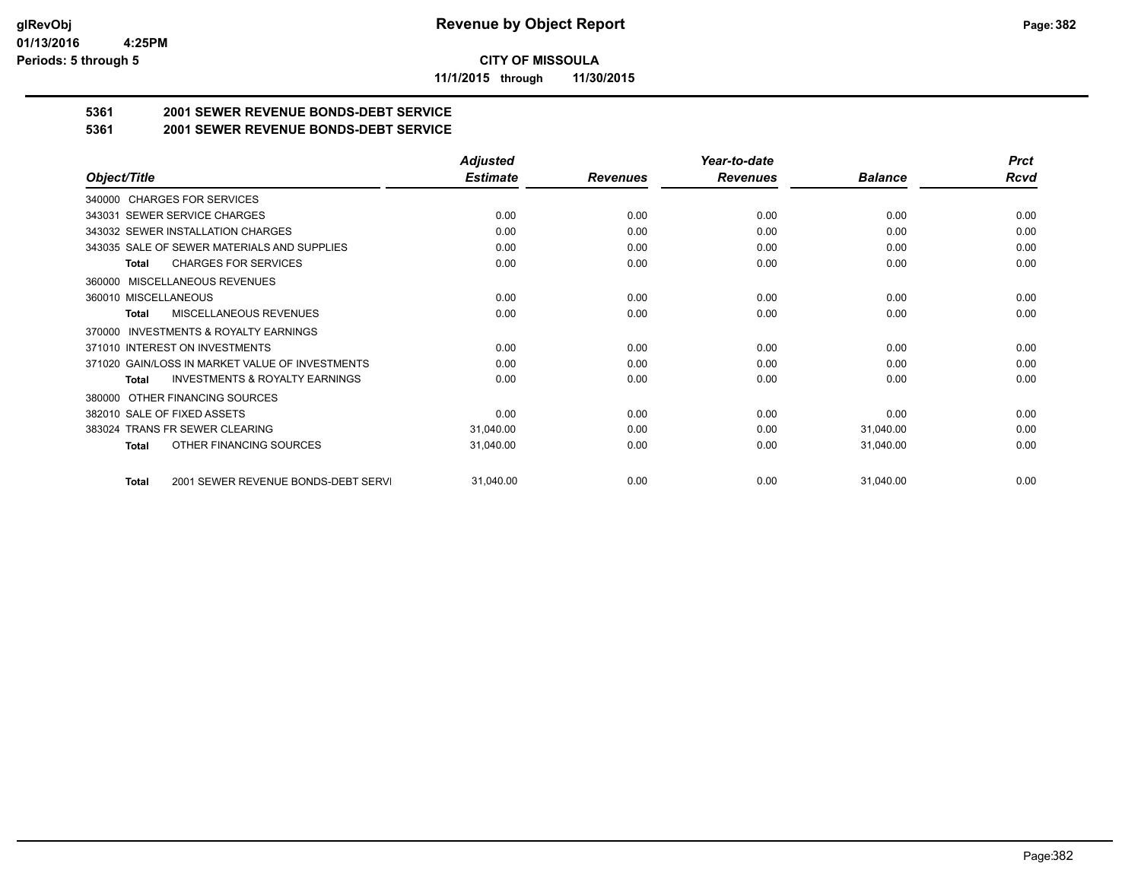**11/1/2015 through 11/30/2015**

# **5361 2001 SEWER REVENUE BONDS-DEBT SERVICE**

**5361 2001 SEWER REVENUE BONDS-DEBT SERVICE**

|                                                           | <b>Adjusted</b> |                 | Year-to-date    |                | <b>Prct</b> |
|-----------------------------------------------------------|-----------------|-----------------|-----------------|----------------|-------------|
| Object/Title                                              | <b>Estimate</b> | <b>Revenues</b> | <b>Revenues</b> | <b>Balance</b> | <b>Rcvd</b> |
| 340000 CHARGES FOR SERVICES                               |                 |                 |                 |                |             |
| SEWER SERVICE CHARGES<br>343031                           | 0.00            | 0.00            | 0.00            | 0.00           | 0.00        |
| 343032 SEWER INSTALLATION CHARGES                         | 0.00            | 0.00            | 0.00            | 0.00           | 0.00        |
| 343035 SALE OF SEWER MATERIALS AND SUPPLIES               | 0.00            | 0.00            | 0.00            | 0.00           | 0.00        |
| <b>CHARGES FOR SERVICES</b><br><b>Total</b>               | 0.00            | 0.00            | 0.00            | 0.00           | 0.00        |
| <b>MISCELLANEOUS REVENUES</b><br>360000                   |                 |                 |                 |                |             |
| 360010 MISCELLANEOUS                                      | 0.00            | 0.00            | 0.00            | 0.00           | 0.00        |
| MISCELLANEOUS REVENUES<br>Total                           | 0.00            | 0.00            | 0.00            | 0.00           | 0.00        |
| <b>INVESTMENTS &amp; ROYALTY EARNINGS</b><br>370000       |                 |                 |                 |                |             |
| 371010 INTEREST ON INVESTMENTS                            | 0.00            | 0.00            | 0.00            | 0.00           | 0.00        |
| 371020 GAIN/LOSS IN MARKET VALUE OF INVESTMENTS           | 0.00            | 0.00            | 0.00            | 0.00           | 0.00        |
| <b>INVESTMENTS &amp; ROYALTY EARNINGS</b><br><b>Total</b> | 0.00            | 0.00            | 0.00            | 0.00           | 0.00        |
| OTHER FINANCING SOURCES<br>380000                         |                 |                 |                 |                |             |
| 382010 SALE OF FIXED ASSETS                               | 0.00            | 0.00            | 0.00            | 0.00           | 0.00        |
| 383024 TRANS FR SEWER CLEARING                            | 31,040.00       | 0.00            | 0.00            | 31,040.00      | 0.00        |
| OTHER FINANCING SOURCES<br>Total                          | 31,040.00       | 0.00            | 0.00            | 31,040.00      | 0.00        |
|                                                           |                 |                 |                 |                |             |
| 2001 SEWER REVENUE BONDS-DEBT SERVI<br><b>Total</b>       | 31,040.00       | 0.00            | 0.00            | 31,040.00      | 0.00        |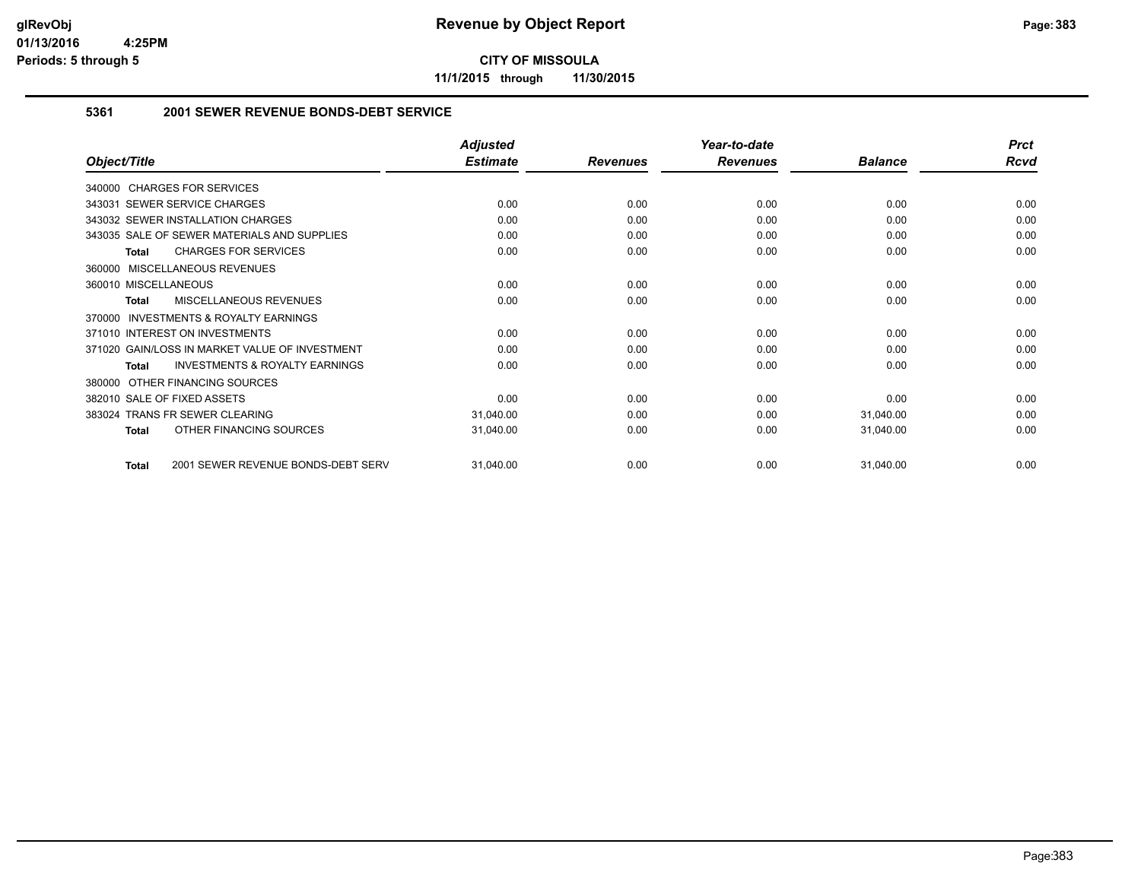**11/1/2015 through 11/30/2015**

### **5361 2001 SEWER REVENUE BONDS-DEBT SERVICE**

|                                                           | <b>Adjusted</b> |                 | Year-to-date    |                | <b>Prct</b> |
|-----------------------------------------------------------|-----------------|-----------------|-----------------|----------------|-------------|
| Object/Title                                              | <b>Estimate</b> | <b>Revenues</b> | <b>Revenues</b> | <b>Balance</b> | Rcvd        |
| 340000 CHARGES FOR SERVICES                               |                 |                 |                 |                |             |
| 343031 SEWER SERVICE CHARGES                              | 0.00            | 0.00            | 0.00            | 0.00           | 0.00        |
| 343032 SEWER INSTALLATION CHARGES                         | 0.00            | 0.00            | 0.00            | 0.00           | 0.00        |
| 343035 SALE OF SEWER MATERIALS AND SUPPLIES               | 0.00            | 0.00            | 0.00            | 0.00           | 0.00        |
| <b>CHARGES FOR SERVICES</b><br><b>Total</b>               | 0.00            | 0.00            | 0.00            | 0.00           | 0.00        |
| MISCELLANEOUS REVENUES<br>360000                          |                 |                 |                 |                |             |
| 360010 MISCELLANEOUS                                      | 0.00            | 0.00            | 0.00            | 0.00           | 0.00        |
| MISCELLANEOUS REVENUES<br><b>Total</b>                    | 0.00            | 0.00            | 0.00            | 0.00           | 0.00        |
| INVESTMENTS & ROYALTY EARNINGS<br>370000                  |                 |                 |                 |                |             |
| 371010 INTEREST ON INVESTMENTS                            | 0.00            | 0.00            | 0.00            | 0.00           | 0.00        |
| 371020 GAIN/LOSS IN MARKET VALUE OF INVESTMENT            | 0.00            | 0.00            | 0.00            | 0.00           | 0.00        |
| <b>INVESTMENTS &amp; ROYALTY EARNINGS</b><br><b>Total</b> | 0.00            | 0.00            | 0.00            | 0.00           | 0.00        |
| OTHER FINANCING SOURCES<br>380000                         |                 |                 |                 |                |             |
| 382010 SALE OF FIXED ASSETS                               | 0.00            | 0.00            | 0.00            | 0.00           | 0.00        |
| <b>TRANS FR SEWER CLEARING</b><br>383024                  | 31,040.00       | 0.00            | 0.00            | 31,040.00      | 0.00        |
| OTHER FINANCING SOURCES<br><b>Total</b>                   | 31,040.00       | 0.00            | 0.00            | 31,040.00      | 0.00        |
| 2001 SEWER REVENUE BONDS-DEBT SERV<br><b>Total</b>        | 31,040.00       | 0.00            | 0.00            | 31,040.00      | 0.00        |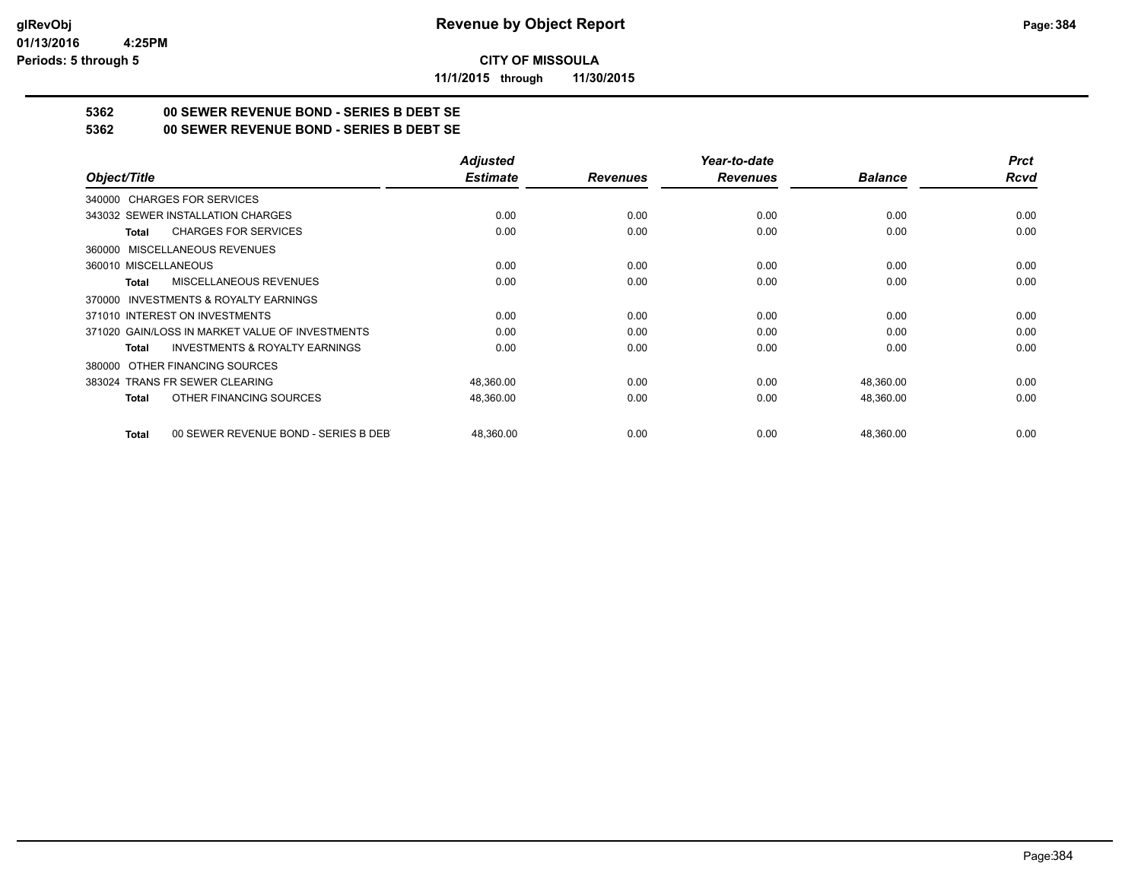**11/1/2015 through 11/30/2015**

# **5362 00 SEWER REVENUE BOND - SERIES B DEBT SE**

**5362 00 SEWER REVENUE BOND - SERIES B DEBT SE**

|                                                      | <b>Adjusted</b> |                 | Year-to-date    |                | <b>Prct</b> |
|------------------------------------------------------|-----------------|-----------------|-----------------|----------------|-------------|
| Object/Title                                         | <b>Estimate</b> | <b>Revenues</b> | <b>Revenues</b> | <b>Balance</b> | <b>Rcvd</b> |
| 340000 CHARGES FOR SERVICES                          |                 |                 |                 |                |             |
| 343032 SEWER INSTALLATION CHARGES                    | 0.00            | 0.00            | 0.00            | 0.00           | 0.00        |
| <b>CHARGES FOR SERVICES</b><br><b>Total</b>          | 0.00            | 0.00            | 0.00            | 0.00           | 0.00        |
| MISCELLANEOUS REVENUES<br>360000                     |                 |                 |                 |                |             |
| 360010 MISCELLANEOUS                                 | 0.00            | 0.00            | 0.00            | 0.00           | 0.00        |
| MISCELLANEOUS REVENUES<br>Total                      | 0.00            | 0.00            | 0.00            | 0.00           | 0.00        |
| <b>INVESTMENTS &amp; ROYALTY EARNINGS</b><br>370000  |                 |                 |                 |                |             |
| 371010 INTEREST ON INVESTMENTS                       | 0.00            | 0.00            | 0.00            | 0.00           | 0.00        |
| 371020 GAIN/LOSS IN MARKET VALUE OF INVESTMENTS      | 0.00            | 0.00            | 0.00            | 0.00           | 0.00        |
| <b>INVESTMENTS &amp; ROYALTY EARNINGS</b><br>Total   | 0.00            | 0.00            | 0.00            | 0.00           | 0.00        |
| OTHER FINANCING SOURCES<br>380000                    |                 |                 |                 |                |             |
| 383024 TRANS FR SEWER CLEARING                       | 48,360.00       | 0.00            | 0.00            | 48,360.00      | 0.00        |
| OTHER FINANCING SOURCES<br><b>Total</b>              | 48,360.00       | 0.00            | 0.00            | 48,360.00      | 0.00        |
| 00 SEWER REVENUE BOND - SERIES B DEB<br><b>Total</b> | 48.360.00       | 0.00            | 0.00            | 48,360.00      | 0.00        |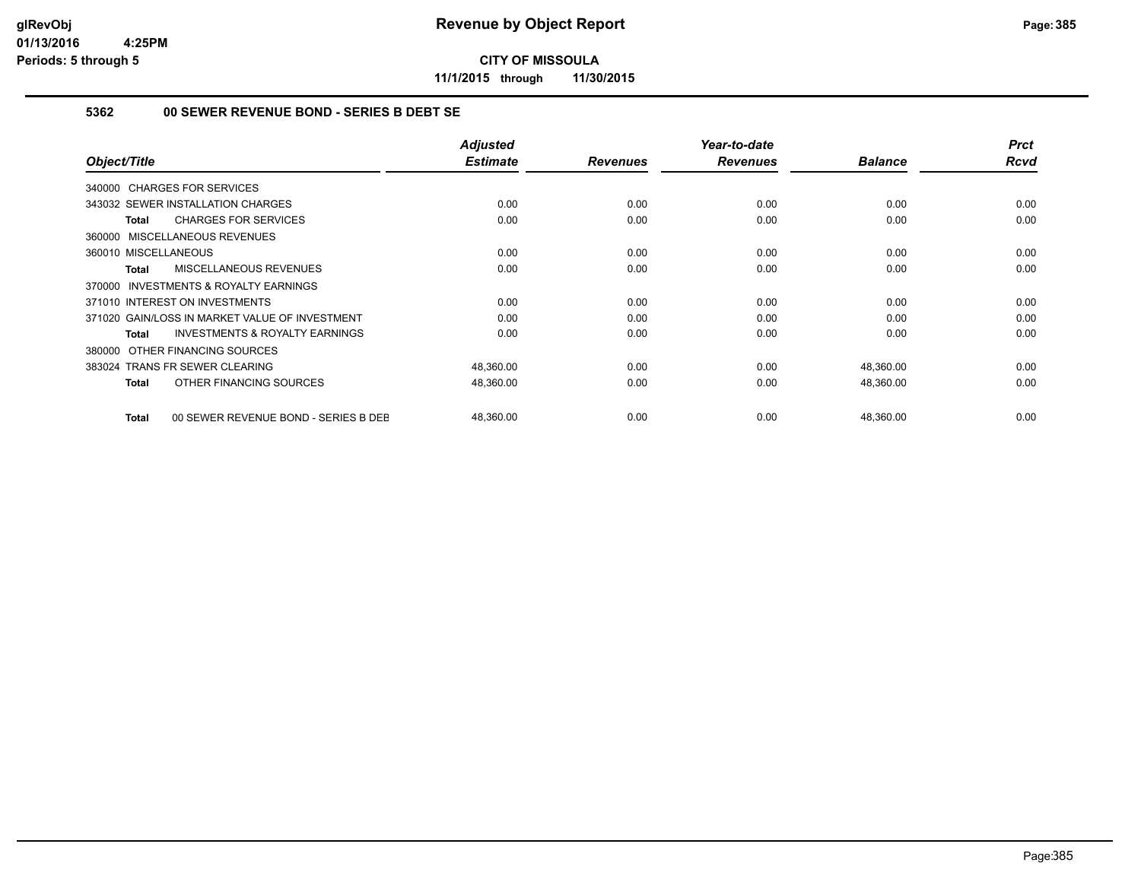**11/1/2015 through 11/30/2015**

## **5362 00 SEWER REVENUE BOND - SERIES B DEBT SE**

| Object/Title                                              | <b>Adjusted</b><br><b>Estimate</b> | <b>Revenues</b> | Year-to-date<br><b>Revenues</b> | <b>Balance</b> | <b>Prct</b><br><b>Rcvd</b> |
|-----------------------------------------------------------|------------------------------------|-----------------|---------------------------------|----------------|----------------------------|
| 340000 CHARGES FOR SERVICES                               |                                    |                 |                                 |                |                            |
| 343032 SEWER INSTALLATION CHARGES                         | 0.00                               | 0.00            | 0.00                            | 0.00           | 0.00                       |
| <b>CHARGES FOR SERVICES</b><br>Total                      | 0.00                               | 0.00            | 0.00                            | 0.00           | 0.00                       |
| 360000 MISCELLANEOUS REVENUES                             |                                    |                 |                                 |                |                            |
| 360010 MISCELLANEOUS                                      | 0.00                               | 0.00            | 0.00                            | 0.00           | 0.00                       |
| MISCELLANEOUS REVENUES<br><b>Total</b>                    | 0.00                               | 0.00            | 0.00                            | 0.00           | 0.00                       |
| <b>INVESTMENTS &amp; ROYALTY EARNINGS</b><br>370000       |                                    |                 |                                 |                |                            |
| 371010 INTEREST ON INVESTMENTS                            | 0.00                               | 0.00            | 0.00                            | 0.00           | 0.00                       |
| 371020 GAIN/LOSS IN MARKET VALUE OF INVESTMENT            | 0.00                               | 0.00            | 0.00                            | 0.00           | 0.00                       |
| <b>INVESTMENTS &amp; ROYALTY EARNINGS</b><br><b>Total</b> | 0.00                               | 0.00            | 0.00                            | 0.00           | 0.00                       |
| OTHER FINANCING SOURCES<br>380000                         |                                    |                 |                                 |                |                            |
| 383024 TRANS FR SEWER CLEARING                            | 48,360.00                          | 0.00            | 0.00                            | 48,360.00      | 0.00                       |
| OTHER FINANCING SOURCES<br><b>Total</b>                   | 48,360.00                          | 0.00            | 0.00                            | 48,360.00      | 0.00                       |
| 00 SEWER REVENUE BOND - SERIES B DEE<br><b>Total</b>      | 48,360.00                          | 0.00            | 0.00                            | 48,360.00      | 0.00                       |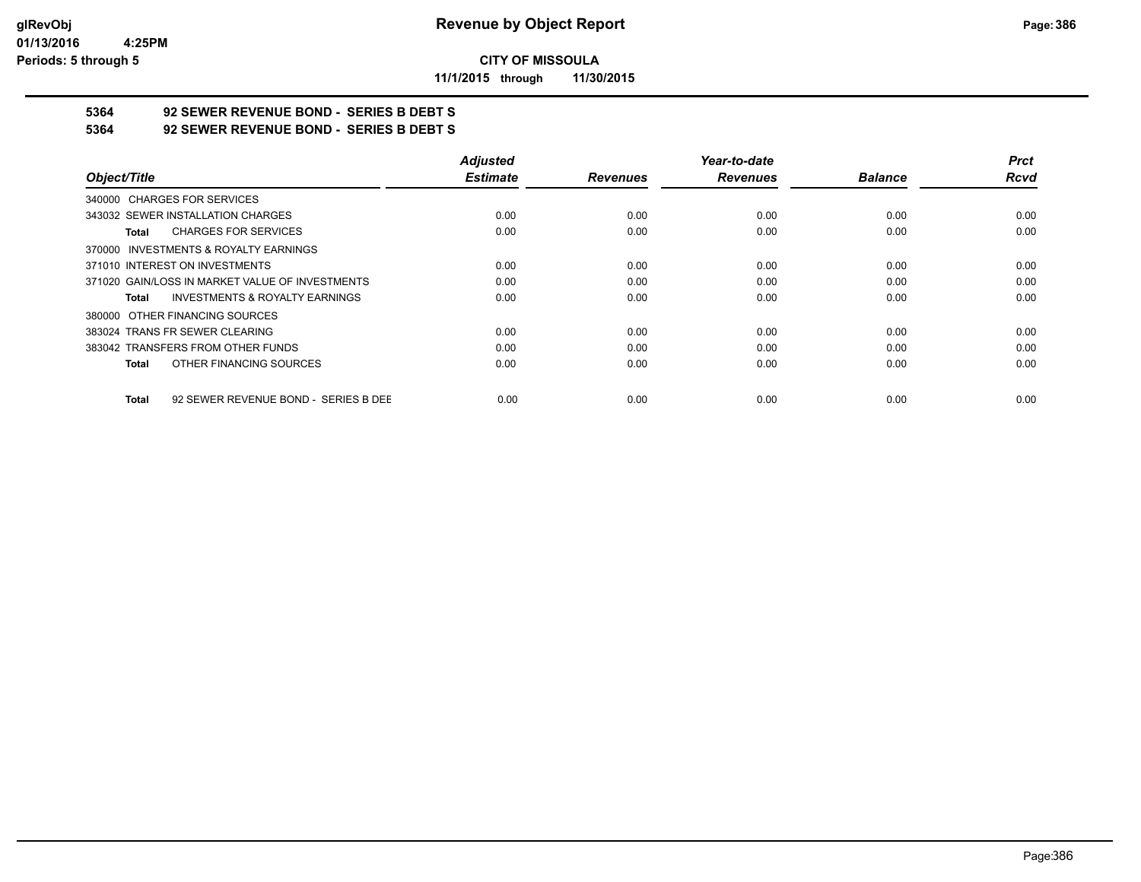**11/1/2015 through 11/30/2015**

# **5364 92 SEWER REVENUE BOND - SERIES B DEBT S**

**5364 92 SEWER REVENUE BOND - SERIES B DEBT S**

|                                                           | <b>Adjusted</b> |                 | Year-to-date    |                | <b>Prct</b> |
|-----------------------------------------------------------|-----------------|-----------------|-----------------|----------------|-------------|
| Object/Title                                              | <b>Estimate</b> | <b>Revenues</b> | <b>Revenues</b> | <b>Balance</b> | <b>Rcvd</b> |
| 340000 CHARGES FOR SERVICES                               |                 |                 |                 |                |             |
| 343032 SEWER INSTALLATION CHARGES                         | 0.00            | 0.00            | 0.00            | 0.00           | 0.00        |
| <b>CHARGES FOR SERVICES</b><br>Total                      | 0.00            | 0.00            | 0.00            | 0.00           | 0.00        |
| 370000 INVESTMENTS & ROYALTY EARNINGS                     |                 |                 |                 |                |             |
| 371010 INTEREST ON INVESTMENTS                            | 0.00            | 0.00            | 0.00            | 0.00           | 0.00        |
| 371020 GAIN/LOSS IN MARKET VALUE OF INVESTMENTS           | 0.00            | 0.00            | 0.00            | 0.00           | 0.00        |
| <b>INVESTMENTS &amp; ROYALTY EARNINGS</b><br><b>Total</b> | 0.00            | 0.00            | 0.00            | 0.00           | 0.00        |
| 380000 OTHER FINANCING SOURCES                            |                 |                 |                 |                |             |
| 383024 TRANS FR SEWER CLEARING                            | 0.00            | 0.00            | 0.00            | 0.00           | 0.00        |
| 383042 TRANSFERS FROM OTHER FUNDS                         | 0.00            | 0.00            | 0.00            | 0.00           | 0.00        |
| OTHER FINANCING SOURCES<br><b>Total</b>                   | 0.00            | 0.00            | 0.00            | 0.00           | 0.00        |
| 92 SEWER REVENUE BOND - SERIES B DEE<br><b>Total</b>      | 0.00            | 0.00            | 0.00            | 0.00           | 0.00        |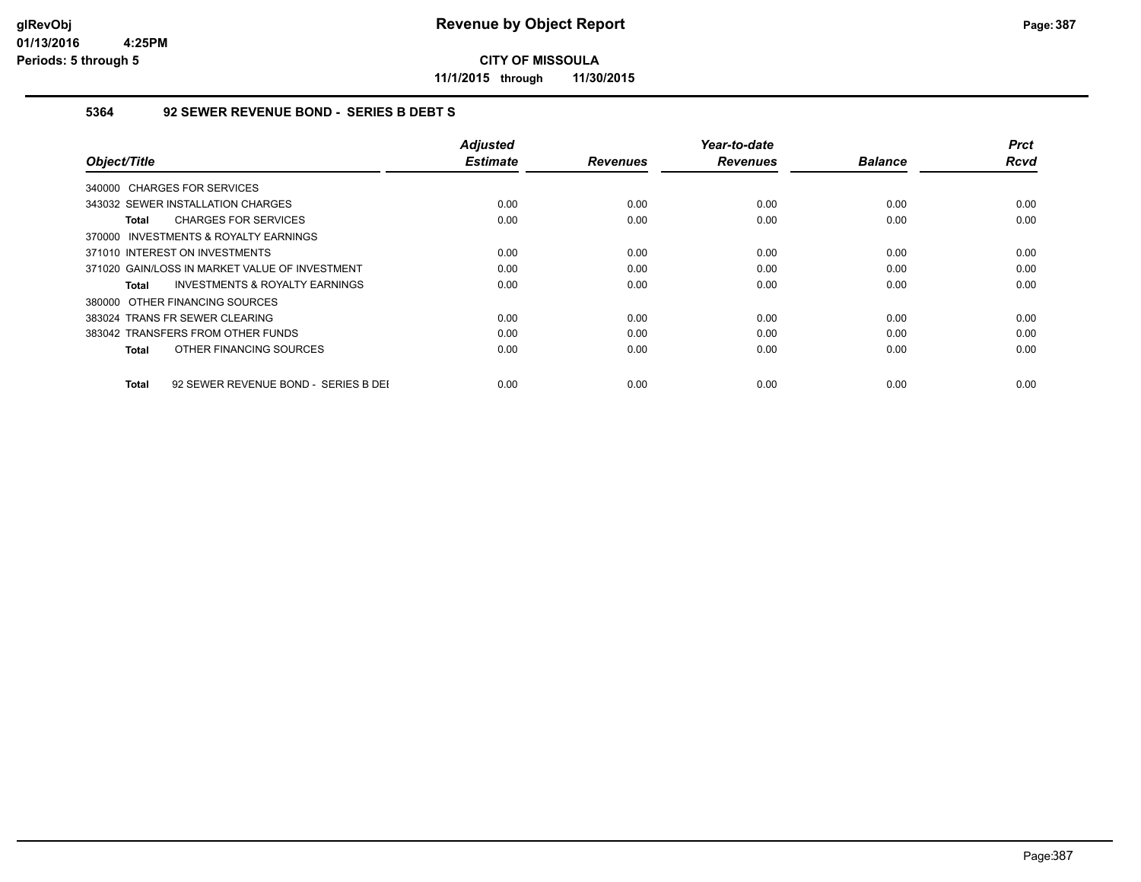**11/1/2015 through 11/30/2015**

### **5364 92 SEWER REVENUE BOND - SERIES B DEBT S**

| Object/Title                                         | <b>Adjusted</b><br><b>Estimate</b> | <b>Revenues</b> | Year-to-date<br><b>Revenues</b> | <b>Balance</b> | <b>Prct</b><br><b>Rcvd</b> |
|------------------------------------------------------|------------------------------------|-----------------|---------------------------------|----------------|----------------------------|
| 340000 CHARGES FOR SERVICES                          |                                    |                 |                                 |                |                            |
| 343032 SEWER INSTALLATION CHARGES                    | 0.00                               | 0.00            | 0.00                            | 0.00           | 0.00                       |
| <b>CHARGES FOR SERVICES</b><br>Total                 | 0.00                               | 0.00            | 0.00                            | 0.00           | 0.00                       |
| 370000 INVESTMENTS & ROYALTY EARNINGS                |                                    |                 |                                 |                |                            |
| 371010 INTEREST ON INVESTMENTS                       | 0.00                               | 0.00            | 0.00                            | 0.00           | 0.00                       |
| 371020 GAIN/LOSS IN MARKET VALUE OF INVESTMENT       | 0.00                               | 0.00            | 0.00                            | 0.00           | 0.00                       |
| <b>INVESTMENTS &amp; ROYALTY EARNINGS</b><br>Total   | 0.00                               | 0.00            | 0.00                            | 0.00           | 0.00                       |
| 380000 OTHER FINANCING SOURCES                       |                                    |                 |                                 |                |                            |
| 383024 TRANS FR SEWER CLEARING                       | 0.00                               | 0.00            | 0.00                            | 0.00           | 0.00                       |
| 383042 TRANSFERS FROM OTHER FUNDS                    | 0.00                               | 0.00            | 0.00                            | 0.00           | 0.00                       |
| OTHER FINANCING SOURCES<br>Total                     | 0.00                               | 0.00            | 0.00                            | 0.00           | 0.00                       |
| 92 SEWER REVENUE BOND - SERIES B DEI<br><b>Total</b> | 0.00                               | 0.00            | 0.00                            | 0.00           | 0.00                       |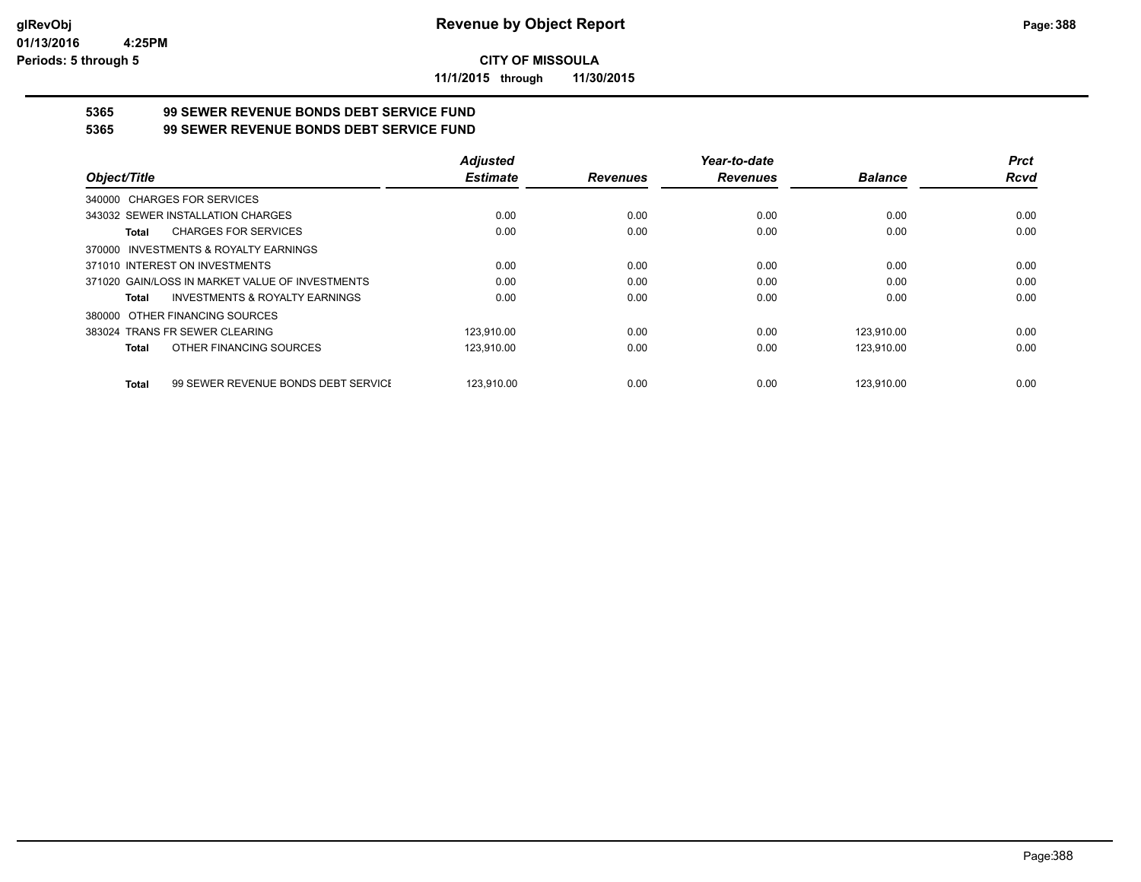*Prct Rcvd*

**CITY OF MISSOULA**

**11/1/2015 through 11/30/2015**

#### **5365 99 SEWER REVENUE BONDS DEBT SERVICE FUND 5365 99 SEWER REVENUE BONDS DEBT SERVICE FUND**

|                                                    | <b>Adjusted</b> |                 | Year-to-date    |                | <b>Prct</b> |
|----------------------------------------------------|-----------------|-----------------|-----------------|----------------|-------------|
| Object/Title                                       | <b>Estimate</b> | <b>Revenues</b> | <b>Revenues</b> | <b>Balance</b> | Rcva        |
| 340000 CHARGES FOR SERVICES                        |                 |                 |                 |                |             |
| 343032 SEWER INSTALLATION CHARGES                  | 0.00            | 0.00            | 0.00            | 0.00           | 0.00        |
| <b>CHARGES FOR SERVICES</b><br>Total               | 0.00            | 0.00            | 0.00            | 0.00           | 0.00        |
| 370000 INVESTMENTS & ROYALTY EARNINGS              |                 |                 |                 |                |             |
| 371010 INTEREST ON INVESTMENTS                     | 0.00            | 0.00            | 0.00            | 0.00           | 0.00        |
| 371020 GAIN/LOSS IN MARKET VALUE OF INVESTMENTS    | 0.00            | 0.00            | 0.00            | 0.00           | 0.00        |
| <b>INVESTMENTS &amp; ROYALTY EARNINGS</b><br>Total | 0.00            | 0.00            | 0.00            | 0.00           | 0.00        |
| 380000 OTHER FINANCING SOURCES                     |                 |                 |                 |                |             |
| 383024 TRANS FR SEWER CLEARING                     | 123,910.00      | 0.00            | 0.00            | 123.910.00     | 0.00        |
| OTHER FINANCING SOURCES<br>Total                   | 123,910.00      | 0.00            | 0.00            | 123,910.00     | 0.00        |

**Total** 99 SEWER REVENUE BONDS DEBT SERVICE **FULL 123,910.00** 0.00 0.00 0.00 0.00 123,910.00 0.00 0.00 0.00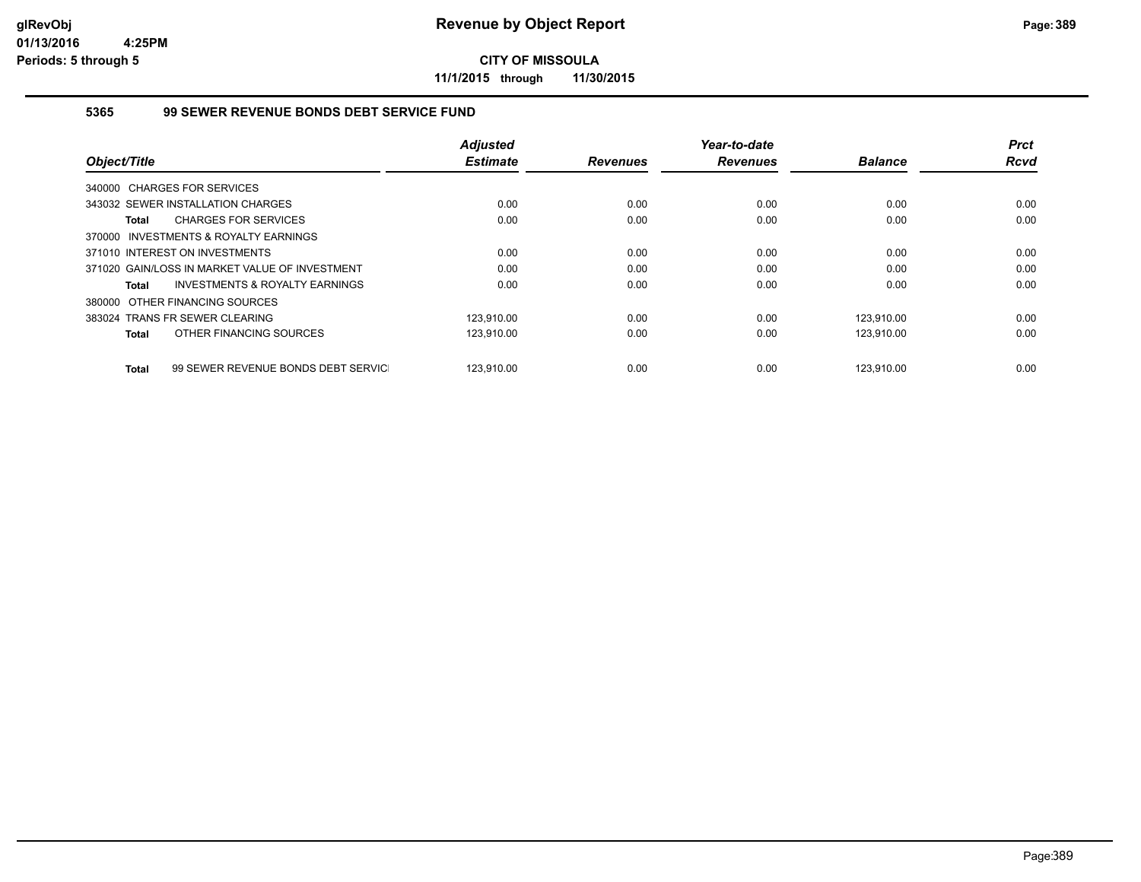**11/1/2015 through 11/30/2015**

#### **5365 99 SEWER REVENUE BONDS DEBT SERVICE FUND**

|                                                           | <b>Adjusted</b> |                 | Year-to-date    |                | <b>Prct</b> |
|-----------------------------------------------------------|-----------------|-----------------|-----------------|----------------|-------------|
| Object/Title                                              | <b>Estimate</b> | <b>Revenues</b> | <b>Revenues</b> | <b>Balance</b> | <b>Rcvd</b> |
| 340000 CHARGES FOR SERVICES                               |                 |                 |                 |                |             |
| 343032 SEWER INSTALLATION CHARGES                         | 0.00            | 0.00            | 0.00            | 0.00           | 0.00        |
| <b>CHARGES FOR SERVICES</b><br><b>Total</b>               | 0.00            | 0.00            | 0.00            | 0.00           | 0.00        |
| INVESTMENTS & ROYALTY EARNINGS<br>370000                  |                 |                 |                 |                |             |
| 371010 INTEREST ON INVESTMENTS                            | 0.00            | 0.00            | 0.00            | 0.00           | 0.00        |
| 371020 GAIN/LOSS IN MARKET VALUE OF INVESTMENT            | 0.00            | 0.00            | 0.00            | 0.00           | 0.00        |
| <b>INVESTMENTS &amp; ROYALTY EARNINGS</b><br><b>Total</b> | 0.00            | 0.00            | 0.00            | 0.00           | 0.00        |
| 380000 OTHER FINANCING SOURCES                            |                 |                 |                 |                |             |
| 383024 TRANS FR SEWER CLEARING                            | 123,910.00      | 0.00            | 0.00            | 123.910.00     | 0.00        |
| OTHER FINANCING SOURCES<br><b>Total</b>                   | 123,910.00      | 0.00            | 0.00            | 123,910.00     | 0.00        |
| 99 SEWER REVENUE BONDS DEBT SERVIC<br><b>Total</b>        | 123.910.00      | 0.00            | 0.00            | 123.910.00     | 0.00        |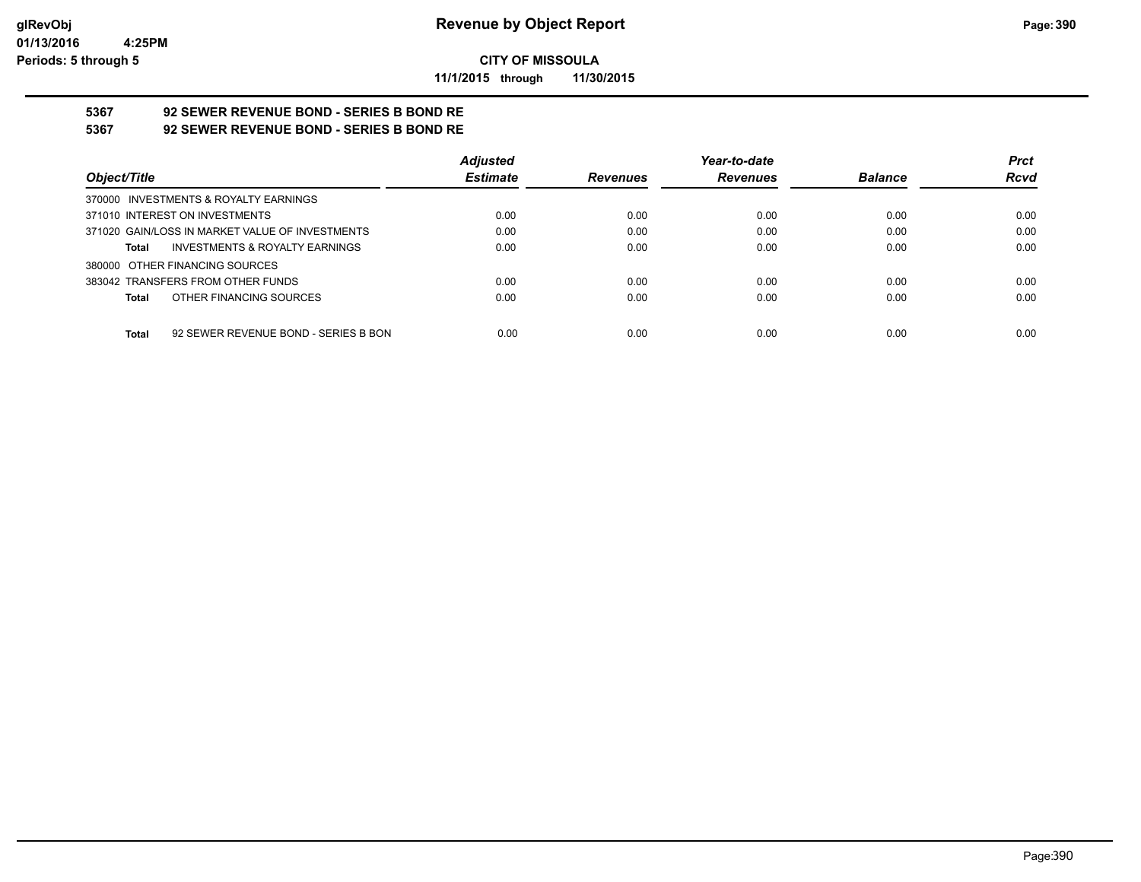**11/1/2015 through 11/30/2015**

# **5367 92 SEWER REVENUE BOND - SERIES B BOND RE**

**5367 92 SEWER REVENUE BOND - SERIES B BOND RE**

|                                                 | <b>Adjusted</b> |                 | Year-to-date    |                | <b>Prct</b> |
|-------------------------------------------------|-----------------|-----------------|-----------------|----------------|-------------|
| Object/Title                                    | <b>Estimate</b> | <b>Revenues</b> | <b>Revenues</b> | <b>Balance</b> | <b>Rcvd</b> |
| 370000 INVESTMENTS & ROYALTY EARNINGS           |                 |                 |                 |                |             |
| 371010 INTEREST ON INVESTMENTS                  | 0.00            | 0.00            | 0.00            | 0.00           | 0.00        |
| 371020 GAIN/LOSS IN MARKET VALUE OF INVESTMENTS | 0.00            | 0.00            | 0.00            | 0.00           | 0.00        |
| INVESTMENTS & ROYALTY EARNINGS<br>Total         | 0.00            | 0.00            | 0.00            | 0.00           | 0.00        |
| 380000 OTHER FINANCING SOURCES                  |                 |                 |                 |                |             |
| 383042 TRANSFERS FROM OTHER FUNDS               | 0.00            | 0.00            | 0.00            | 0.00           | 0.00        |
| OTHER FINANCING SOURCES<br>Total                | 0.00            | 0.00            | 0.00            | 0.00           | 0.00        |
|                                                 |                 |                 |                 |                |             |
| 92 SEWER REVENUE BOND - SERIES B BON<br>Total   | 0.00            | 0.00            | 0.00            | 0.00           | 0.00        |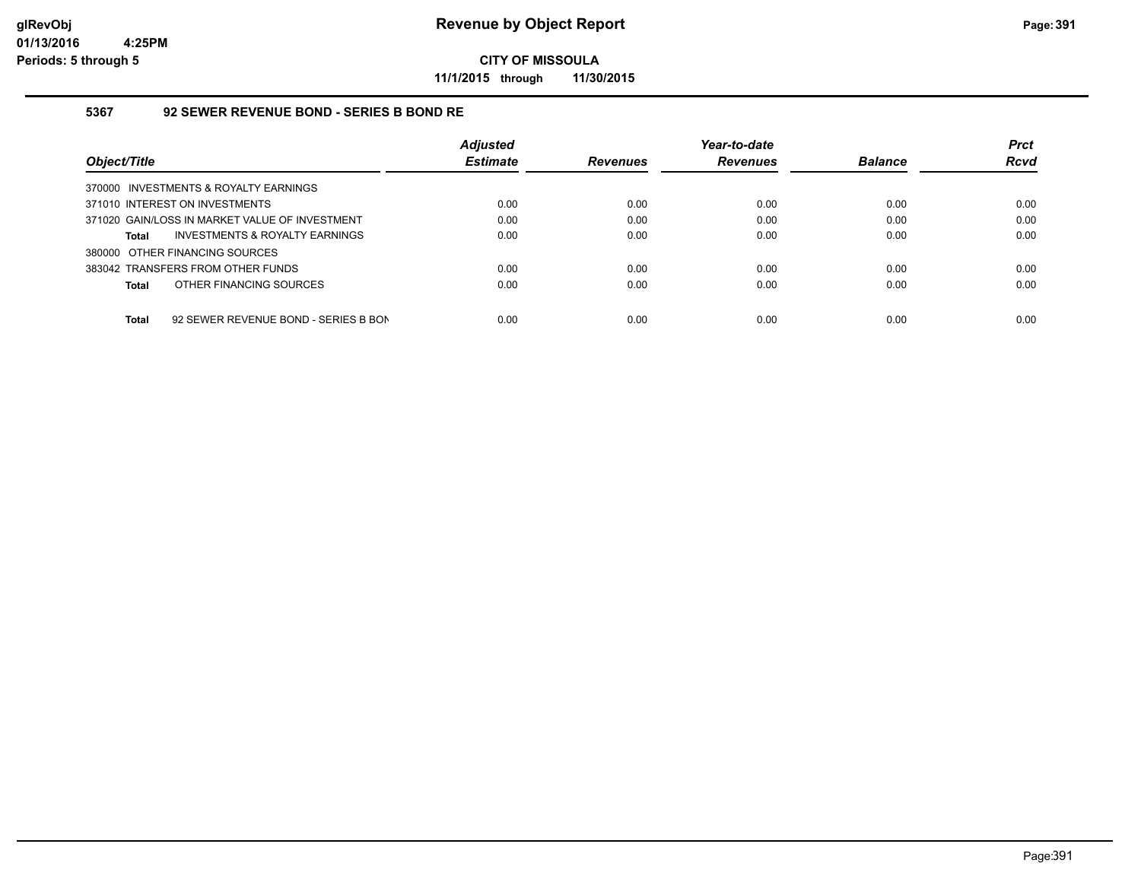**11/1/2015 through 11/30/2015**

## **5367 92 SEWER REVENUE BOND - SERIES B BOND RE**

|                                                      | <b>Adjusted</b> |                 | Year-to-date    |                | <b>Prct</b> |
|------------------------------------------------------|-----------------|-----------------|-----------------|----------------|-------------|
| Object/Title                                         | <b>Estimate</b> | <b>Revenues</b> | <b>Revenues</b> | <b>Balance</b> | <b>Rcvd</b> |
| 370000 INVESTMENTS & ROYALTY EARNINGS                |                 |                 |                 |                |             |
| 371010 INTEREST ON INVESTMENTS                       | 0.00            | 0.00            | 0.00            | 0.00           | 0.00        |
| 371020 GAIN/LOSS IN MARKET VALUE OF INVESTMENT       | 0.00            | 0.00            | 0.00            | 0.00           | 0.00        |
| INVESTMENTS & ROYALTY EARNINGS<br><b>Total</b>       | 0.00            | 0.00            | 0.00            | 0.00           | 0.00        |
| 380000 OTHER FINANCING SOURCES                       |                 |                 |                 |                |             |
| 383042 TRANSFERS FROM OTHER FUNDS                    | 0.00            | 0.00            | 0.00            | 0.00           | 0.00        |
| OTHER FINANCING SOURCES<br><b>Total</b>              | 0.00            | 0.00            | 0.00            | 0.00           | 0.00        |
|                                                      |                 |                 |                 |                |             |
| <b>Total</b><br>92 SEWER REVENUE BOND - SERIES B BON | 0.00            | 0.00            | 0.00            | 0.00           | 0.00        |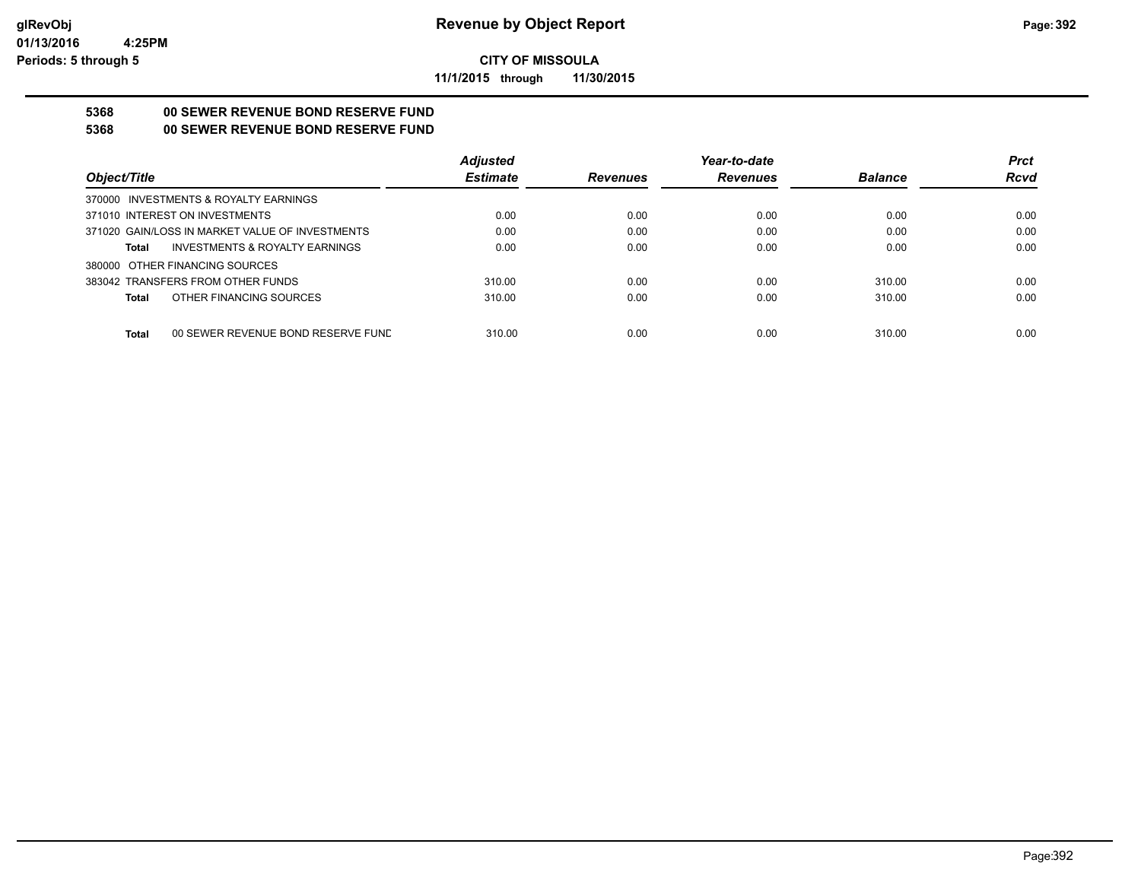**11/1/2015 through 11/30/2015**

# **5368 00 SEWER REVENUE BOND RESERVE FUND**

# **5368 00 SEWER REVENUE BOND RESERVE FUND**

|                                                    | <b>Adjusted</b> |                 | Year-to-date    |                | <b>Prct</b> |
|----------------------------------------------------|-----------------|-----------------|-----------------|----------------|-------------|
| Object/Title                                       | <b>Estimate</b> | <b>Revenues</b> | <b>Revenues</b> | <b>Balance</b> | <b>Rcvd</b> |
| 370000 INVESTMENTS & ROYALTY EARNINGS              |                 |                 |                 |                |             |
| 371010 INTEREST ON INVESTMENTS                     | 0.00            | 0.00            | 0.00            | 0.00           | 0.00        |
| 371020 GAIN/LOSS IN MARKET VALUE OF INVESTMENTS    | 0.00            | 0.00            | 0.00            | 0.00           | 0.00        |
| INVESTMENTS & ROYALTY EARNINGS<br>Total            | 0.00            | 0.00            | 0.00            | 0.00           | 0.00        |
| 380000 OTHER FINANCING SOURCES                     |                 |                 |                 |                |             |
| 383042 TRANSFERS FROM OTHER FUNDS                  | 310.00          | 0.00            | 0.00            | 310.00         | 0.00        |
| OTHER FINANCING SOURCES<br><b>Total</b>            | 310.00          | 0.00            | 0.00            | 310.00         | 0.00        |
|                                                    |                 |                 |                 |                |             |
| <b>Total</b><br>00 SEWER REVENUE BOND RESERVE FUND | 310.00          | 0.00            | 0.00            | 310.00         | 0.00        |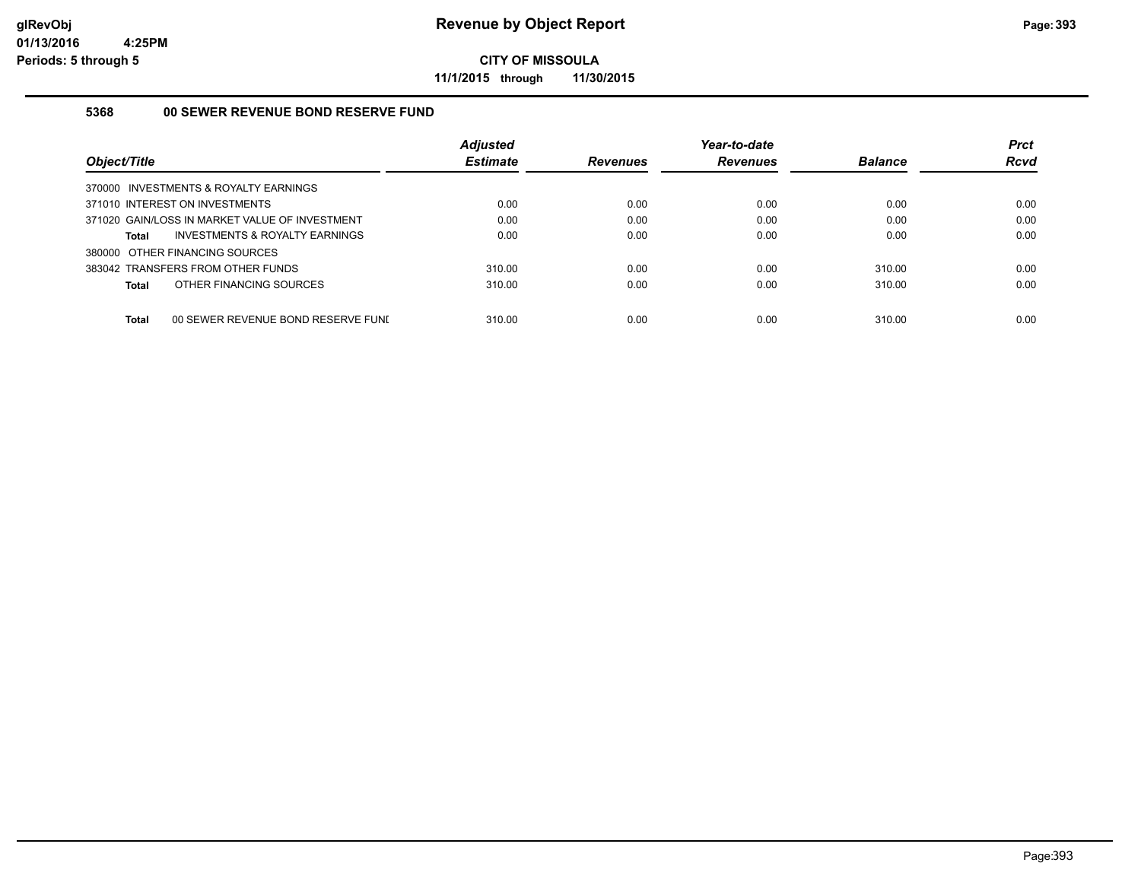**11/1/2015 through 11/30/2015**

### **5368 00 SEWER REVENUE BOND RESERVE FUND**

|                                                    | <b>Adjusted</b> |                 | Year-to-date    |                | <b>Prct</b> |
|----------------------------------------------------|-----------------|-----------------|-----------------|----------------|-------------|
| Object/Title                                       | <b>Estimate</b> | <b>Revenues</b> | <b>Revenues</b> | <b>Balance</b> | Rcvd        |
| 370000 INVESTMENTS & ROYALTY EARNINGS              |                 |                 |                 |                |             |
| 371010 INTEREST ON INVESTMENTS                     | 0.00            | 0.00            | 0.00            | 0.00           | 0.00        |
| 371020 GAIN/LOSS IN MARKET VALUE OF INVESTMENT     | 0.00            | 0.00            | 0.00            | 0.00           | 0.00        |
| INVESTMENTS & ROYALTY EARNINGS<br><b>Total</b>     | 0.00            | 0.00            | 0.00            | 0.00           | 0.00        |
| 380000 OTHER FINANCING SOURCES                     |                 |                 |                 |                |             |
| 383042 TRANSFERS FROM OTHER FUNDS                  | 310.00          | 0.00            | 0.00            | 310.00         | 0.00        |
| OTHER FINANCING SOURCES<br><b>Total</b>            | 310.00          | 0.00            | 0.00            | 310.00         | 0.00        |
| <b>Total</b><br>00 SEWER REVENUE BOND RESERVE FUNI | 310.00          | 0.00            | 0.00            | 310.00         | 0.00        |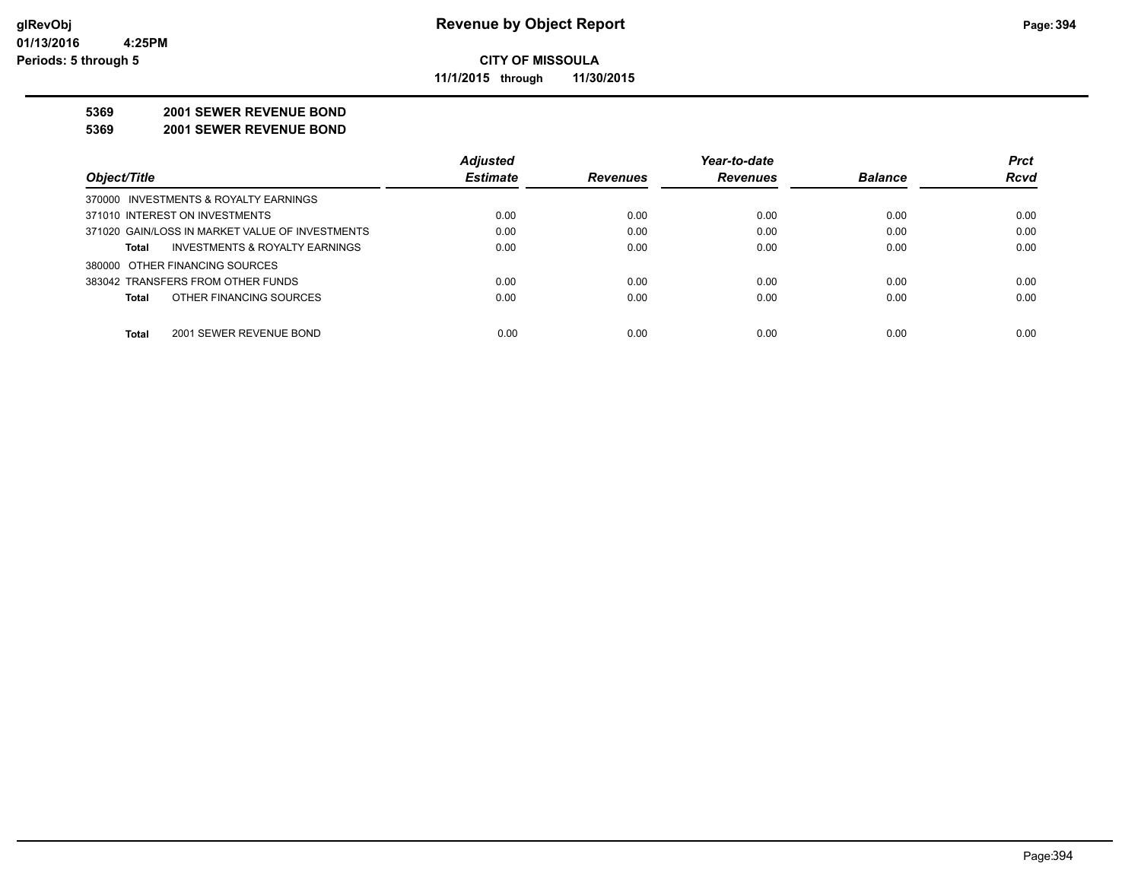**11/1/2015 through 11/30/2015**

#### **5369 2001 SEWER REVENUE BOND**

**5369 2001 SEWER REVENUE BOND**

|                                                 | <b>Adjusted</b> |                 | Year-to-date    |                | <b>Prct</b> |
|-------------------------------------------------|-----------------|-----------------|-----------------|----------------|-------------|
| Object/Title                                    | <b>Estimate</b> | <b>Revenues</b> | <b>Revenues</b> | <b>Balance</b> | <b>Rcvd</b> |
| 370000 INVESTMENTS & ROYALTY EARNINGS           |                 |                 |                 |                |             |
| 371010 INTEREST ON INVESTMENTS                  | 0.00            | 0.00            | 0.00            | 0.00           | 0.00        |
| 371020 GAIN/LOSS IN MARKET VALUE OF INVESTMENTS | 0.00            | 0.00            | 0.00            | 0.00           | 0.00        |
| INVESTMENTS & ROYALTY EARNINGS<br>Total         | 0.00            | 0.00            | 0.00            | 0.00           | 0.00        |
| 380000 OTHER FINANCING SOURCES                  |                 |                 |                 |                |             |
| 383042 TRANSFERS FROM OTHER FUNDS               | 0.00            | 0.00            | 0.00            | 0.00           | 0.00        |
| OTHER FINANCING SOURCES<br><b>Total</b>         | 0.00            | 0.00            | 0.00            | 0.00           | 0.00        |
|                                                 |                 |                 |                 |                |             |
| <b>Total</b><br>2001 SEWER REVENUE BOND         | 0.00            | 0.00            | 0.00            | 0.00           | 0.00        |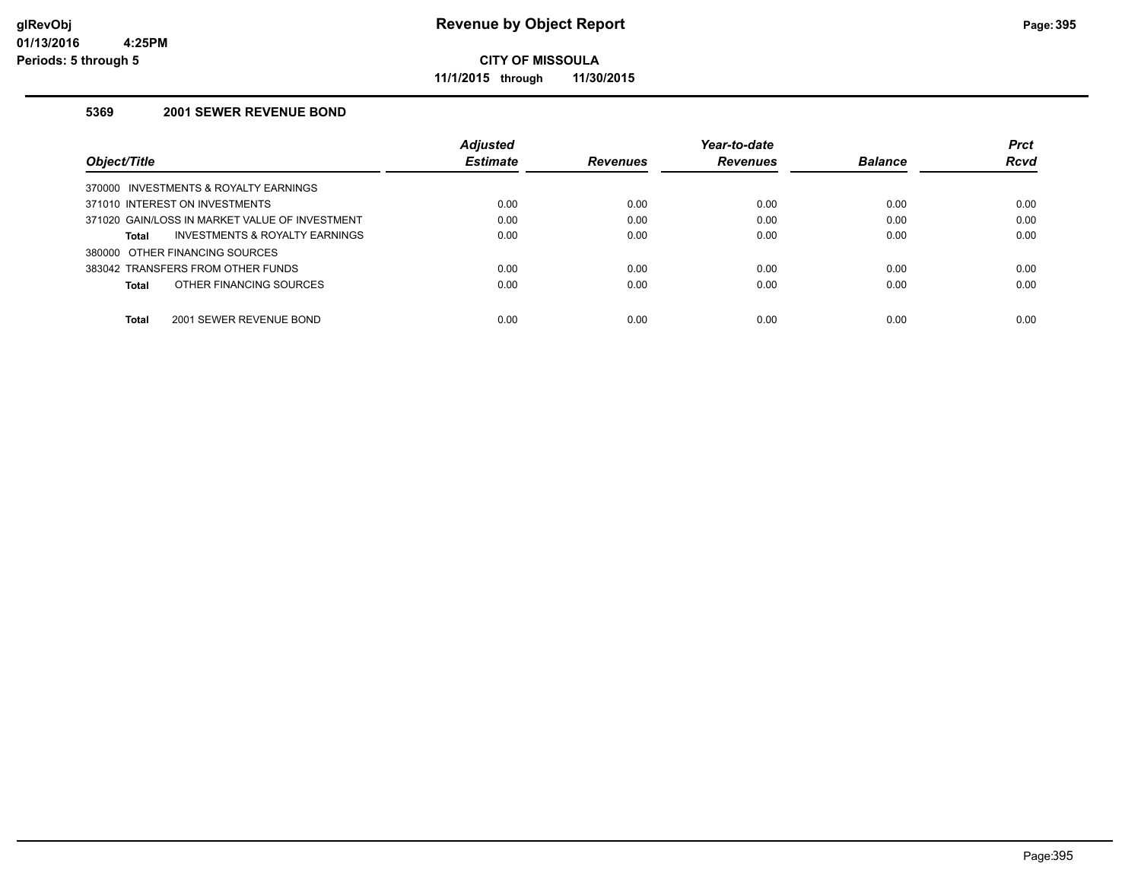**11/1/2015 through 11/30/2015**

## **5369 2001 SEWER REVENUE BOND**

| Adjusted        |                 | Year-to-date    |                | <b>Prct</b> |
|-----------------|-----------------|-----------------|----------------|-------------|
| <b>Estimate</b> | <b>Revenues</b> | <b>Revenues</b> | <b>Balance</b> | Rcvd        |
|                 |                 |                 |                |             |
| 0.00            | 0.00            | 0.00            | 0.00           | 0.00        |
| 0.00            | 0.00            | 0.00            | 0.00           | 0.00        |
| 0.00            | 0.00            | 0.00            | 0.00           | 0.00        |
|                 |                 |                 |                |             |
| 0.00            | 0.00            | 0.00            | 0.00           | 0.00        |
| 0.00            | 0.00            | 0.00            | 0.00           | 0.00        |
|                 |                 |                 |                | 0.00        |
|                 | 0.00            | 0.00            | 0.00           | 0.00        |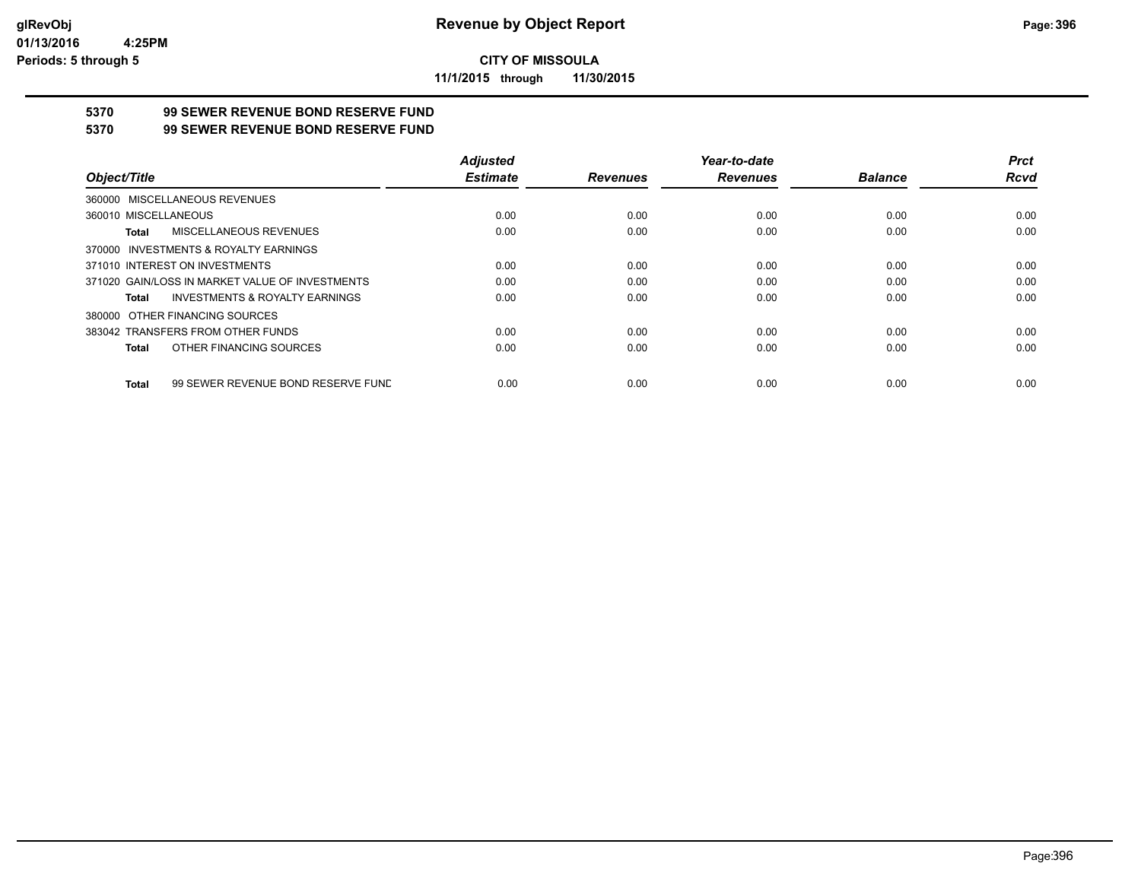**11/1/2015 through 11/30/2015**

# **5370 99 SEWER REVENUE BOND RESERVE FUND**

## **5370 99 SEWER REVENUE BOND RESERVE FUND**

|                                                    | <b>Adjusted</b> |                 | Year-to-date    |                | <b>Prct</b> |
|----------------------------------------------------|-----------------|-----------------|-----------------|----------------|-------------|
| Object/Title                                       | <b>Estimate</b> | <b>Revenues</b> | <b>Revenues</b> | <b>Balance</b> | <b>Rcvd</b> |
| 360000 MISCELLANEOUS REVENUES                      |                 |                 |                 |                |             |
| 360010 MISCELLANEOUS                               | 0.00            | 0.00            | 0.00            | 0.00           | 0.00        |
| MISCELLANEOUS REVENUES<br>Total                    | 0.00            | 0.00            | 0.00            | 0.00           | 0.00        |
| 370000 INVESTMENTS & ROYALTY EARNINGS              |                 |                 |                 |                |             |
| 371010 INTEREST ON INVESTMENTS                     | 0.00            | 0.00            | 0.00            | 0.00           | 0.00        |
| 371020 GAIN/LOSS IN MARKET VALUE OF INVESTMENTS    | 0.00            | 0.00            | 0.00            | 0.00           | 0.00        |
| <b>INVESTMENTS &amp; ROYALTY EARNINGS</b><br>Total | 0.00            | 0.00            | 0.00            | 0.00           | 0.00        |
| 380000 OTHER FINANCING SOURCES                     |                 |                 |                 |                |             |
| 383042 TRANSFERS FROM OTHER FUNDS                  | 0.00            | 0.00            | 0.00            | 0.00           | 0.00        |
| OTHER FINANCING SOURCES<br><b>Total</b>            | 0.00            | 0.00            | 0.00            | 0.00           | 0.00        |
| 99 SEWER REVENUE BOND RESERVE FUND<br><b>Total</b> | 0.00            | 0.00            | 0.00            | 0.00           | 0.00        |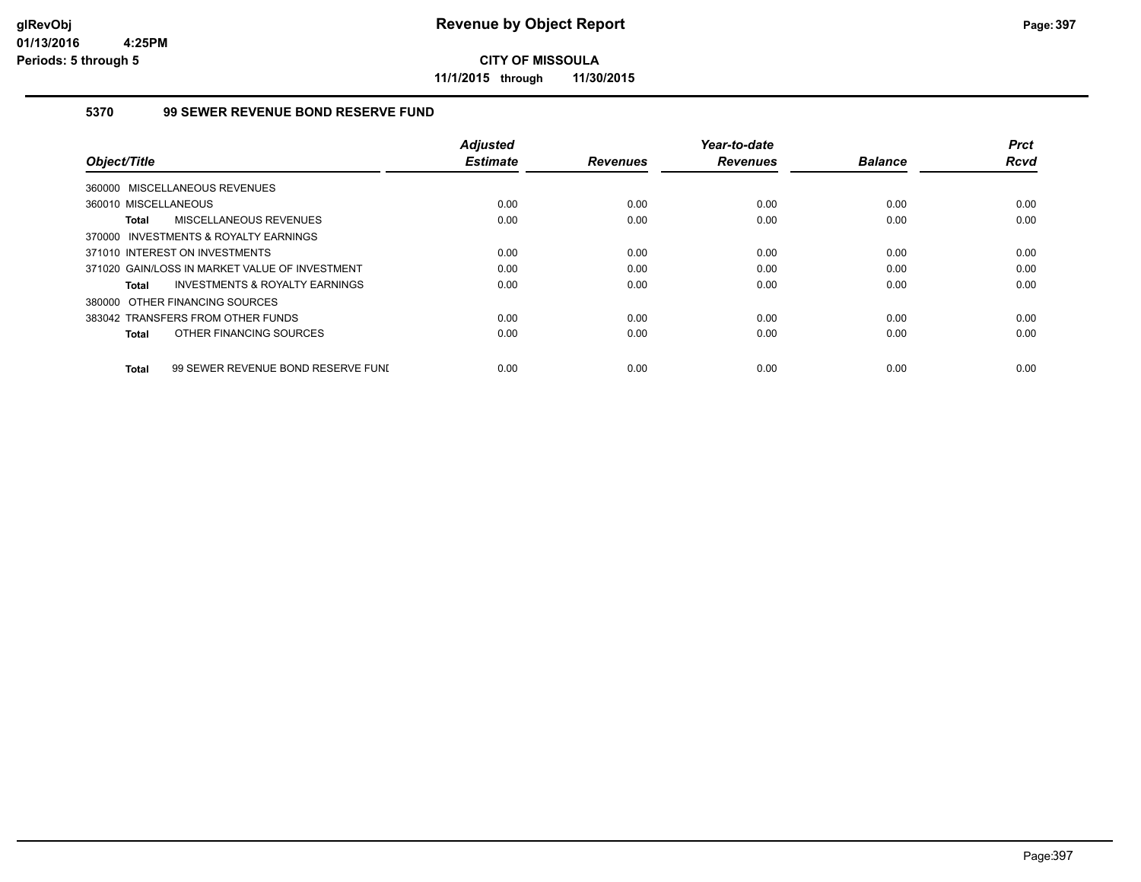**11/1/2015 through 11/30/2015**

#### **5370 99 SEWER REVENUE BOND RESERVE FUND**

|                                                    | <b>Adjusted</b> |                 | Year-to-date    |                | <b>Prct</b> |
|----------------------------------------------------|-----------------|-----------------|-----------------|----------------|-------------|
| Object/Title                                       | <b>Estimate</b> | <b>Revenues</b> | <b>Revenues</b> | <b>Balance</b> | <b>Rcvd</b> |
| 360000 MISCELLANEOUS REVENUES                      |                 |                 |                 |                |             |
| 360010 MISCELLANEOUS                               | 0.00            | 0.00            | 0.00            | 0.00           | 0.00        |
| MISCELLANEOUS REVENUES<br><b>Total</b>             | 0.00            | 0.00            | 0.00            | 0.00           | 0.00        |
| 370000 INVESTMENTS & ROYALTY EARNINGS              |                 |                 |                 |                |             |
| 371010 INTEREST ON INVESTMENTS                     | 0.00            | 0.00            | 0.00            | 0.00           | 0.00        |
| 371020 GAIN/LOSS IN MARKET VALUE OF INVESTMENT     | 0.00            | 0.00            | 0.00            | 0.00           | 0.00        |
| INVESTMENTS & ROYALTY EARNINGS<br>Total            | 0.00            | 0.00            | 0.00            | 0.00           | 0.00        |
| 380000 OTHER FINANCING SOURCES                     |                 |                 |                 |                |             |
| 383042 TRANSFERS FROM OTHER FUNDS                  | 0.00            | 0.00            | 0.00            | 0.00           | 0.00        |
| OTHER FINANCING SOURCES<br><b>Total</b>            | 0.00            | 0.00            | 0.00            | 0.00           | 0.00        |
|                                                    |                 |                 |                 |                |             |
| 99 SEWER REVENUE BOND RESERVE FUNI<br><b>Total</b> | 0.00            | 0.00            | 0.00            | 0.00           | 0.00        |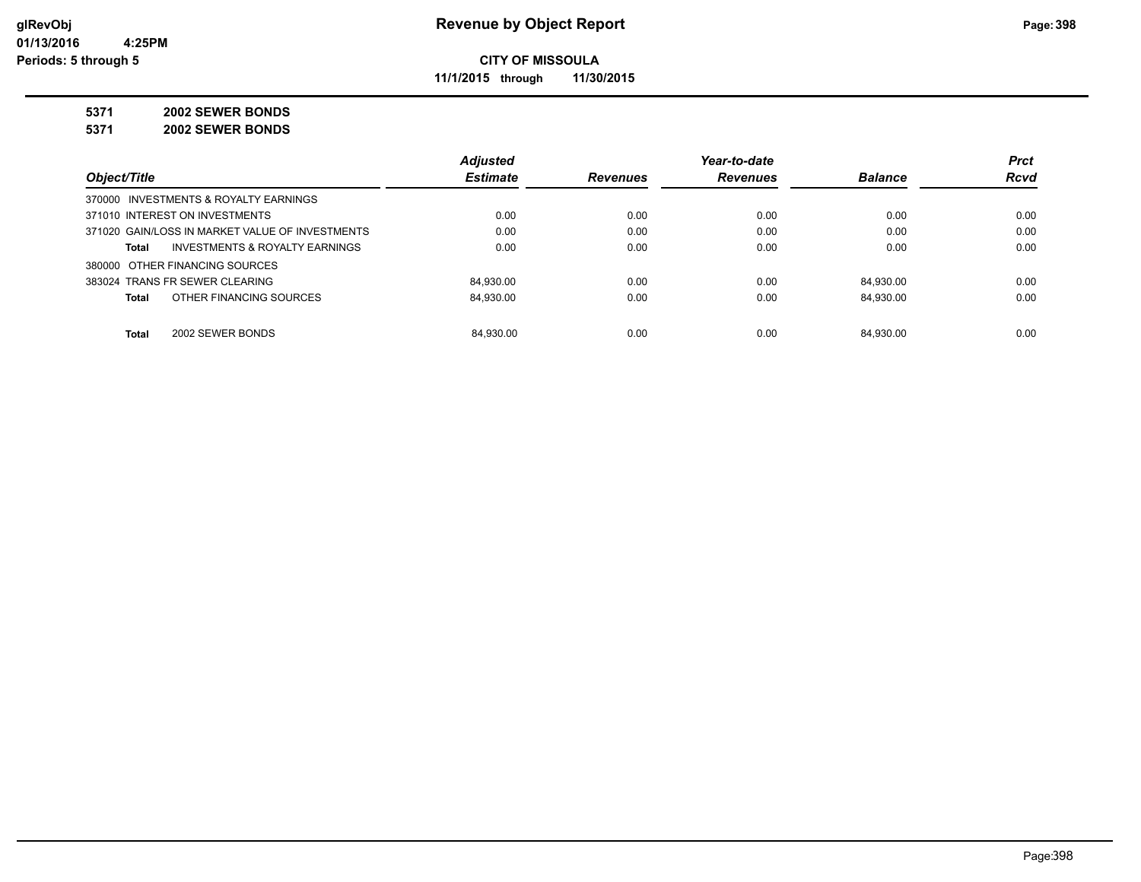**11/1/2015 through 11/30/2015**

#### **5371 2002 SEWER BONDS**

**5371 2002 SEWER BONDS**

|                                                 | <b>Adjusted</b> |                 | Year-to-date    |                | <b>Prct</b> |
|-------------------------------------------------|-----------------|-----------------|-----------------|----------------|-------------|
| Object/Title                                    | <b>Estimate</b> | <b>Revenues</b> | <b>Revenues</b> | <b>Balance</b> | <b>Rcvd</b> |
| 370000 INVESTMENTS & ROYALTY EARNINGS           |                 |                 |                 |                |             |
| 371010 INTEREST ON INVESTMENTS                  | 0.00            | 0.00            | 0.00            | 0.00           | 0.00        |
| 371020 GAIN/LOSS IN MARKET VALUE OF INVESTMENTS | 0.00            | 0.00            | 0.00            | 0.00           | 0.00        |
| INVESTMENTS & ROYALTY EARNINGS<br><b>Total</b>  | 0.00            | 0.00            | 0.00            | 0.00           | 0.00        |
| 380000 OTHER FINANCING SOURCES                  |                 |                 |                 |                |             |
| 383024 TRANS FR SEWER CLEARING                  | 84.930.00       | 0.00            | 0.00            | 84.930.00      | 0.00        |
| OTHER FINANCING SOURCES<br><b>Total</b>         | 84.930.00       | 0.00            | 0.00            | 84.930.00      | 0.00        |
|                                                 |                 |                 |                 |                |             |
| <b>Total</b><br>2002 SEWER BONDS                | 84.930.00       | 0.00            | 0.00            | 84.930.00      | 0.00        |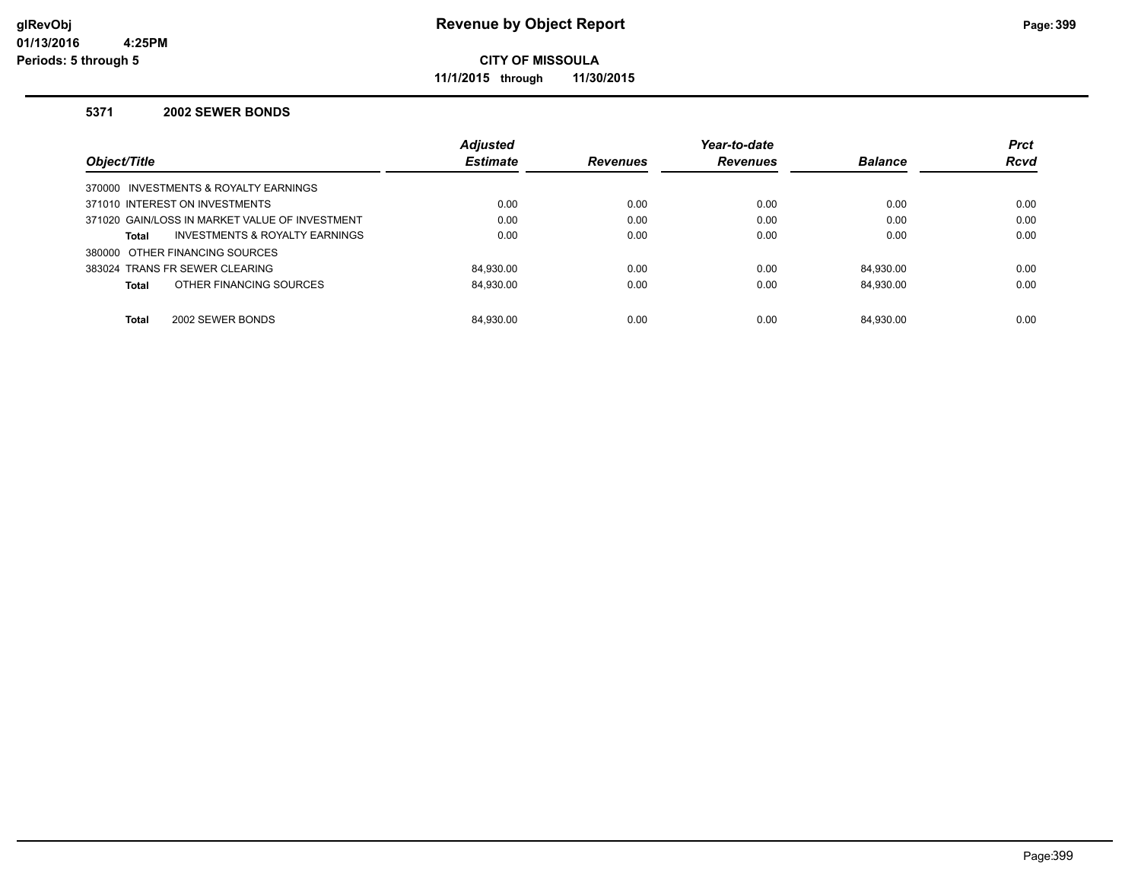**11/1/2015 through 11/30/2015**

#### **5371 2002 SEWER BONDS**

|                                                | <b>Adjusted</b> |                 | Year-to-date    |                | <b>Prct</b> |
|------------------------------------------------|-----------------|-----------------|-----------------|----------------|-------------|
| Object/Title                                   | <b>Estimate</b> | <b>Revenues</b> | <b>Revenues</b> | <b>Balance</b> | <b>Rcvd</b> |
| 370000 INVESTMENTS & ROYALTY EARNINGS          |                 |                 |                 |                |             |
| 371010 INTEREST ON INVESTMENTS                 | 0.00            | 0.00            | 0.00            | 0.00           | 0.00        |
| 371020 GAIN/LOSS IN MARKET VALUE OF INVESTMENT | 0.00            | 0.00            | 0.00            | 0.00           | 0.00        |
| INVESTMENTS & ROYALTY EARNINGS<br><b>Total</b> | 0.00            | 0.00            | 0.00            | 0.00           | 0.00        |
| 380000 OTHER FINANCING SOURCES                 |                 |                 |                 |                |             |
| 383024 TRANS FR SEWER CLEARING                 | 84.930.00       | 0.00            | 0.00            | 84.930.00      | 0.00        |
| OTHER FINANCING SOURCES<br><b>Total</b>        | 84.930.00       | 0.00            | 0.00            | 84.930.00      | 0.00        |
|                                                |                 |                 |                 |                |             |
| 2002 SEWER BONDS<br><b>Total</b>               | 84.930.00       | 0.00            | 0.00            | 84.930.00      | 0.00        |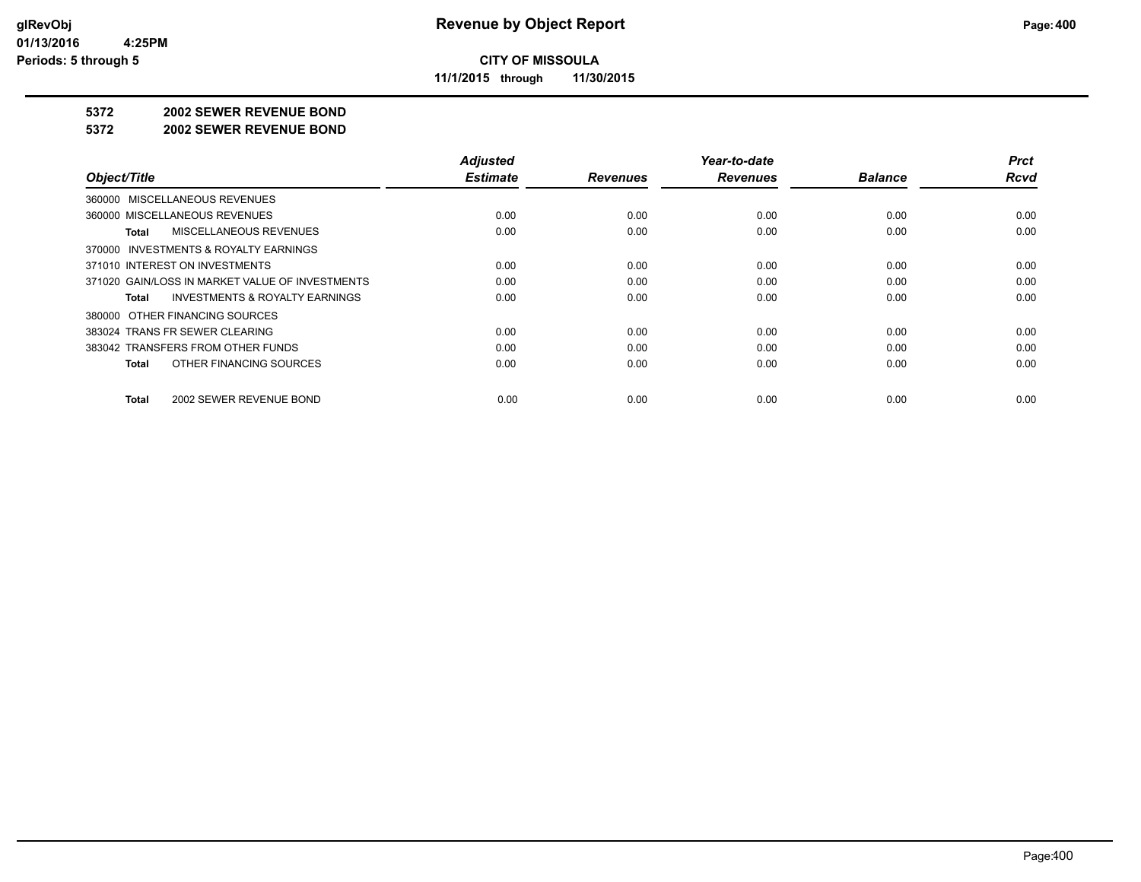**11/1/2015 through 11/30/2015**

#### **5372 2002 SEWER REVENUE BOND**

#### **5372 2002 SEWER REVENUE BOND**

|                                                    | <b>Adjusted</b> |                 | Year-to-date    |                | <b>Prct</b> |
|----------------------------------------------------|-----------------|-----------------|-----------------|----------------|-------------|
| Object/Title                                       | <b>Estimate</b> | <b>Revenues</b> | <b>Revenues</b> | <b>Balance</b> | <b>Rcvd</b> |
| 360000 MISCELLANEOUS REVENUES                      |                 |                 |                 |                |             |
| 360000 MISCELLANEOUS REVENUES                      | 0.00            | 0.00            | 0.00            | 0.00           | 0.00        |
| <b>MISCELLANEOUS REVENUES</b><br>Total             | 0.00            | 0.00            | 0.00            | 0.00           | 0.00        |
| 370000 INVESTMENTS & ROYALTY EARNINGS              |                 |                 |                 |                |             |
| 371010 INTEREST ON INVESTMENTS                     | 0.00            | 0.00            | 0.00            | 0.00           | 0.00        |
| 371020 GAIN/LOSS IN MARKET VALUE OF INVESTMENTS    | 0.00            | 0.00            | 0.00            | 0.00           | 0.00        |
| <b>INVESTMENTS &amp; ROYALTY EARNINGS</b><br>Total | 0.00            | 0.00            | 0.00            | 0.00           | 0.00        |
| 380000 OTHER FINANCING SOURCES                     |                 |                 |                 |                |             |
| 383024 TRANS FR SEWER CLEARING                     | 0.00            | 0.00            | 0.00            | 0.00           | 0.00        |
| 383042 TRANSFERS FROM OTHER FUNDS                  | 0.00            | 0.00            | 0.00            | 0.00           | 0.00        |
| OTHER FINANCING SOURCES<br>Total                   | 0.00            | 0.00            | 0.00            | 0.00           | 0.00        |
| 2002 SEWER REVENUE BOND<br>Total                   | 0.00            | 0.00            | 0.00            | 0.00           | 0.00        |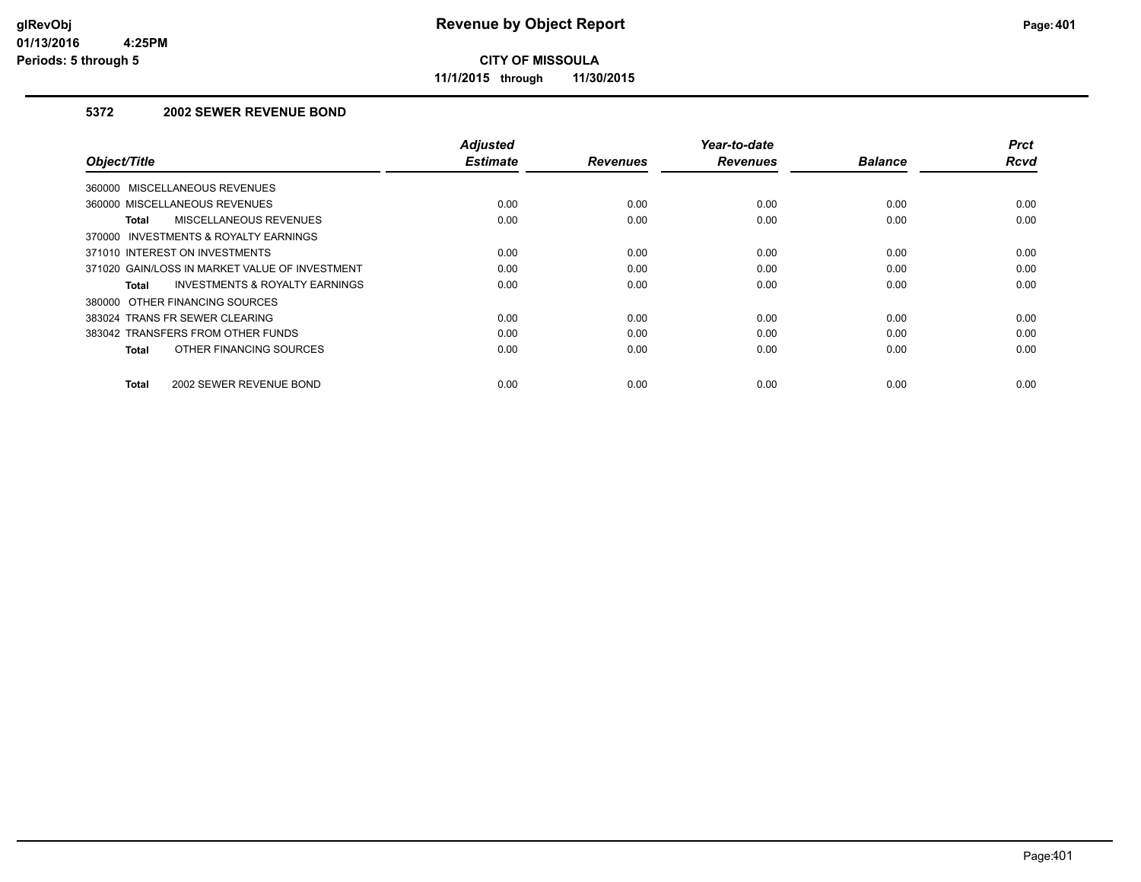**11/1/2015 through 11/30/2015**

#### **5372 2002 SEWER REVENUE BOND**

| Object/Title                                       | <b>Adjusted</b><br><b>Estimate</b> | <b>Revenues</b> | Year-to-date<br><b>Revenues</b> | <b>Balance</b> | <b>Prct</b><br>Rcvd |
|----------------------------------------------------|------------------------------------|-----------------|---------------------------------|----------------|---------------------|
| 360000 MISCELLANEOUS REVENUES                      |                                    |                 |                                 |                |                     |
| 360000 MISCELLANEOUS REVENUES                      | 0.00                               | 0.00            | 0.00                            | 0.00           | 0.00                |
|                                                    |                                    |                 |                                 |                |                     |
| MISCELLANEOUS REVENUES<br>Total                    | 0.00                               | 0.00            | 0.00                            | 0.00           | 0.00                |
| 370000 INVESTMENTS & ROYALTY EARNINGS              |                                    |                 |                                 |                |                     |
| 371010 INTEREST ON INVESTMENTS                     | 0.00                               | 0.00            | 0.00                            | 0.00           | 0.00                |
| 371020 GAIN/LOSS IN MARKET VALUE OF INVESTMENT     | 0.00                               | 0.00            | 0.00                            | 0.00           | 0.00                |
| <b>INVESTMENTS &amp; ROYALTY EARNINGS</b><br>Total | 0.00                               | 0.00            | 0.00                            | 0.00           | 0.00                |
| 380000 OTHER FINANCING SOURCES                     |                                    |                 |                                 |                |                     |
| 383024 TRANS FR SEWER CLEARING                     | 0.00                               | 0.00            | 0.00                            | 0.00           | 0.00                |
| 383042 TRANSFERS FROM OTHER FUNDS                  | 0.00                               | 0.00            | 0.00                            | 0.00           | 0.00                |
| OTHER FINANCING SOURCES<br><b>Total</b>            | 0.00                               | 0.00            | 0.00                            | 0.00           | 0.00                |
| 2002 SEWER REVENUE BOND<br><b>Total</b>            | 0.00                               | 0.00            | 0.00                            | 0.00           | 0.00                |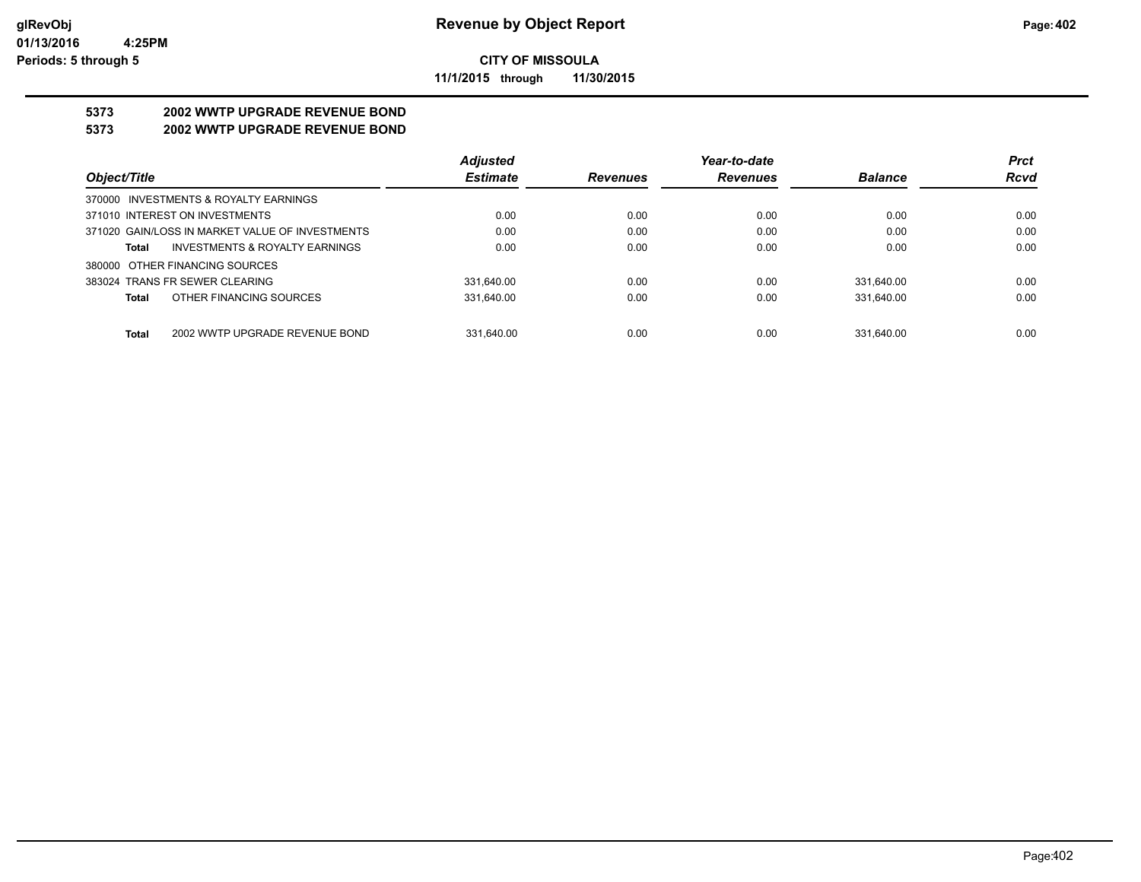**11/1/2015 through 11/30/2015**

# **5373 2002 WWTP UPGRADE REVENUE BOND**

## **5373 2002 WWTP UPGRADE REVENUE BOND**

|                                                 | <b>Adjusted</b> |                 | Year-to-date    |                | <b>Prct</b> |
|-------------------------------------------------|-----------------|-----------------|-----------------|----------------|-------------|
| Object/Title                                    | <b>Estimate</b> | <b>Revenues</b> | <b>Revenues</b> | <b>Balance</b> | <b>Rcvd</b> |
| 370000 INVESTMENTS & ROYALTY EARNINGS           |                 |                 |                 |                |             |
| 371010 INTEREST ON INVESTMENTS                  | 0.00            | 0.00            | 0.00            | 0.00           | 0.00        |
| 371020 GAIN/LOSS IN MARKET VALUE OF INVESTMENTS | 0.00            | 0.00            | 0.00            | 0.00           | 0.00        |
| INVESTMENTS & ROYALTY EARNINGS<br>Total         | 0.00            | 0.00            | 0.00            | 0.00           | 0.00        |
| 380000 OTHER FINANCING SOURCES                  |                 |                 |                 |                |             |
| 383024 TRANS FR SEWER CLEARING                  | 331.640.00      | 0.00            | 0.00            | 331.640.00     | 0.00        |
| OTHER FINANCING SOURCES<br>Total                | 331.640.00      | 0.00            | 0.00            | 331.640.00     | 0.00        |
|                                                 |                 |                 |                 |                |             |
| 2002 WWTP UPGRADE REVENUE BOND<br>Total         | 331.640.00      | 0.00            | 0.00            | 331.640.00     | 0.00        |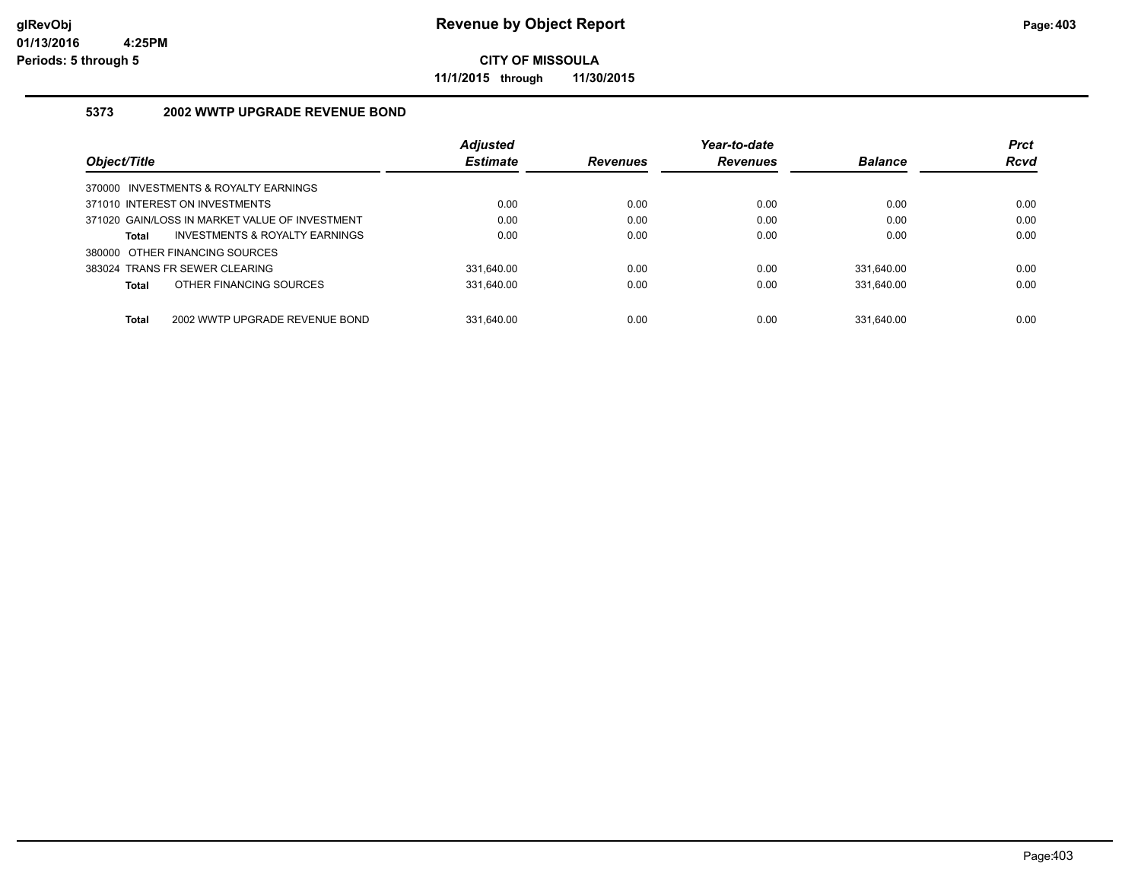**11/1/2015 through 11/30/2015**

#### **5373 2002 WWTP UPGRADE REVENUE BOND**

|                                                | <b>Adjusted</b> |                 | Year-to-date    |                | <b>Prct</b> |
|------------------------------------------------|-----------------|-----------------|-----------------|----------------|-------------|
| Object/Title                                   | <b>Estimate</b> | <b>Revenues</b> | <b>Revenues</b> | <b>Balance</b> | <b>Rcvd</b> |
| 370000 INVESTMENTS & ROYALTY EARNINGS          |                 |                 |                 |                |             |
| 371010 INTEREST ON INVESTMENTS                 | 0.00            | 0.00            | 0.00            | 0.00           | 0.00        |
| 371020 GAIN/LOSS IN MARKET VALUE OF INVESTMENT | 0.00            | 0.00            | 0.00            | 0.00           | 0.00        |
| INVESTMENTS & ROYALTY EARNINGS<br><b>Total</b> | 0.00            | 0.00            | 0.00            | 0.00           | 0.00        |
| 380000 OTHER FINANCING SOURCES                 |                 |                 |                 |                |             |
| 383024 TRANS FR SEWER CLEARING                 | 331.640.00      | 0.00            | 0.00            | 331.640.00     | 0.00        |
| OTHER FINANCING SOURCES<br><b>Total</b>        | 331.640.00      | 0.00            | 0.00            | 331.640.00     | 0.00        |
|                                                |                 |                 |                 |                |             |
| <b>Total</b><br>2002 WWTP UPGRADE REVENUE BOND | 331.640.00      | 0.00            | 0.00            | 331.640.00     | 0.00        |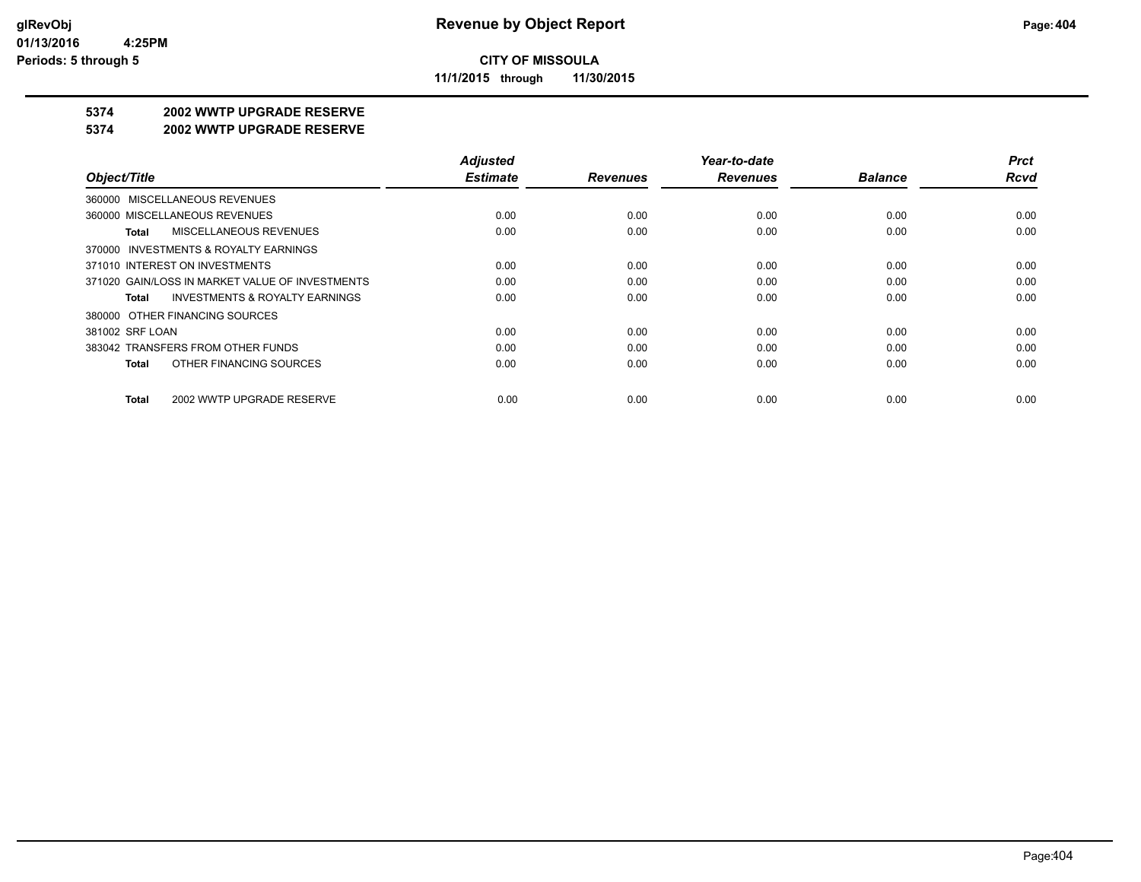**11/1/2015 through 11/30/2015**

## **5374 2002 WWTP UPGRADE RESERVE**

#### **5374 2002 WWTP UPGRADE RESERVE**

|                                                    | <b>Adjusted</b> |                 | Year-to-date    |                | <b>Prct</b> |
|----------------------------------------------------|-----------------|-----------------|-----------------|----------------|-------------|
| Object/Title                                       | <b>Estimate</b> | <b>Revenues</b> | <b>Revenues</b> | <b>Balance</b> | Rcvd        |
| 360000 MISCELLANEOUS REVENUES                      |                 |                 |                 |                |             |
| 360000 MISCELLANEOUS REVENUES                      | 0.00            | 0.00            | 0.00            | 0.00           | 0.00        |
| MISCELLANEOUS REVENUES<br>Total                    | 0.00            | 0.00            | 0.00            | 0.00           | 0.00        |
| 370000 INVESTMENTS & ROYALTY EARNINGS              |                 |                 |                 |                |             |
| 371010 INTEREST ON INVESTMENTS                     | 0.00            | 0.00            | 0.00            | 0.00           | 0.00        |
| 371020 GAIN/LOSS IN MARKET VALUE OF INVESTMENTS    | 0.00            | 0.00            | 0.00            | 0.00           | 0.00        |
| <b>INVESTMENTS &amp; ROYALTY EARNINGS</b><br>Total | 0.00            | 0.00            | 0.00            | 0.00           | 0.00        |
| 380000 OTHER FINANCING SOURCES                     |                 |                 |                 |                |             |
| 381002 SRF LOAN                                    | 0.00            | 0.00            | 0.00            | 0.00           | 0.00        |
| 383042 TRANSFERS FROM OTHER FUNDS                  | 0.00            | 0.00            | 0.00            | 0.00           | 0.00        |
| OTHER FINANCING SOURCES<br>Total                   | 0.00            | 0.00            | 0.00            | 0.00           | 0.00        |
| 2002 WWTP UPGRADE RESERVE<br><b>Total</b>          | 0.00            | 0.00            | 0.00            | 0.00           | 0.00        |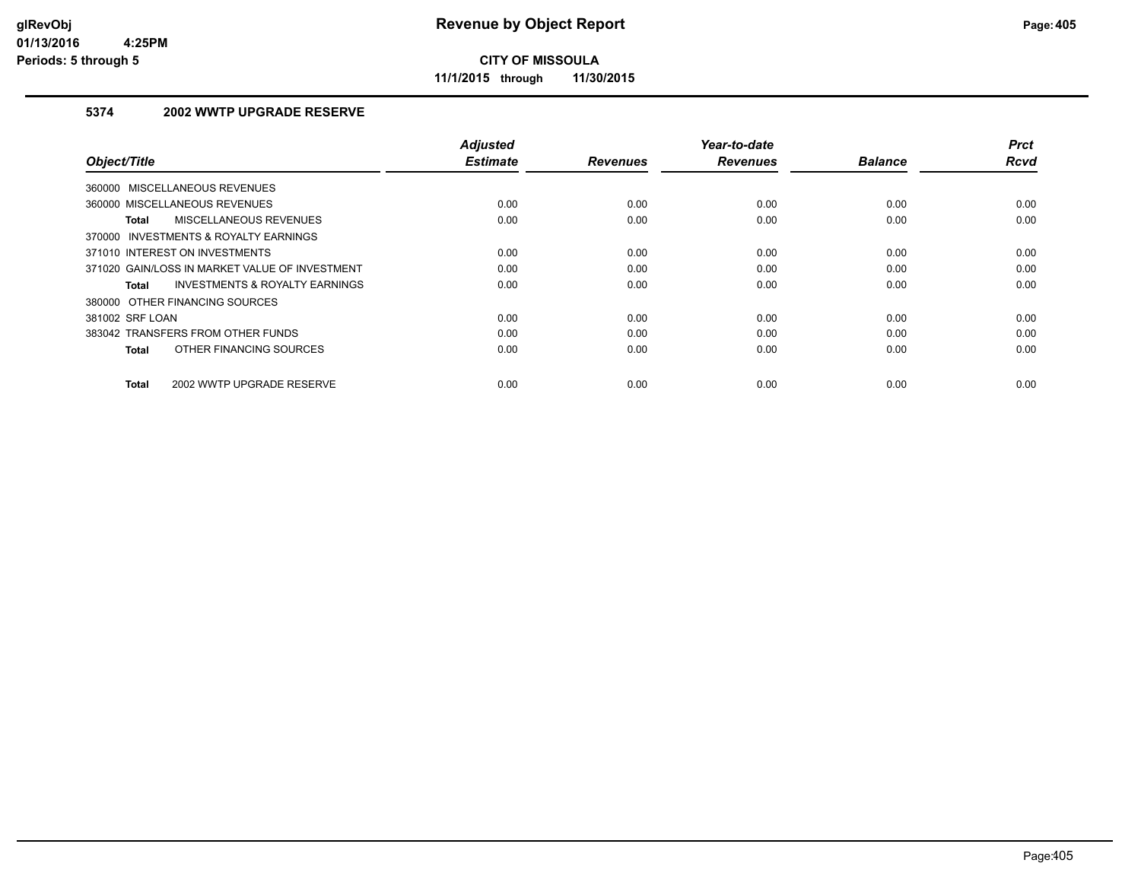**11/1/2015 through 11/30/2015**

#### **5374 2002 WWTP UPGRADE RESERVE**

| Object/Title                                       | <b>Adjusted</b><br><b>Estimate</b> | <b>Revenues</b> | Year-to-date<br><b>Revenues</b> | <b>Balance</b> | <b>Prct</b><br>Rcvd |
|----------------------------------------------------|------------------------------------|-----------------|---------------------------------|----------------|---------------------|
| 360000 MISCELLANEOUS REVENUES                      |                                    |                 |                                 |                |                     |
| 360000 MISCELLANEOUS REVENUES                      | 0.00                               | 0.00            | 0.00                            | 0.00           | 0.00                |
| MISCELLANEOUS REVENUES<br><b>Total</b>             | 0.00                               | 0.00            | 0.00                            | 0.00           | 0.00                |
| 370000 INVESTMENTS & ROYALTY EARNINGS              |                                    |                 |                                 |                |                     |
| 371010 INTEREST ON INVESTMENTS                     | 0.00                               | 0.00            | 0.00                            | 0.00           | 0.00                |
| 371020 GAIN/LOSS IN MARKET VALUE OF INVESTMENT     | 0.00                               | 0.00            | 0.00                            | 0.00           | 0.00                |
| <b>INVESTMENTS &amp; ROYALTY EARNINGS</b><br>Total | 0.00                               | 0.00            | 0.00                            | 0.00           | 0.00                |
| 380000 OTHER FINANCING SOURCES                     |                                    |                 |                                 |                |                     |
| 381002 SRF LOAN                                    | 0.00                               | 0.00            | 0.00                            | 0.00           | 0.00                |
| 383042 TRANSFERS FROM OTHER FUNDS                  | 0.00                               | 0.00            | 0.00                            | 0.00           | 0.00                |
| OTHER FINANCING SOURCES<br><b>Total</b>            | 0.00                               | 0.00            | 0.00                            | 0.00           | 0.00                |
| 2002 WWTP UPGRADE RESERVE<br><b>Total</b>          | 0.00                               | 0.00            | 0.00                            | 0.00           | 0.00                |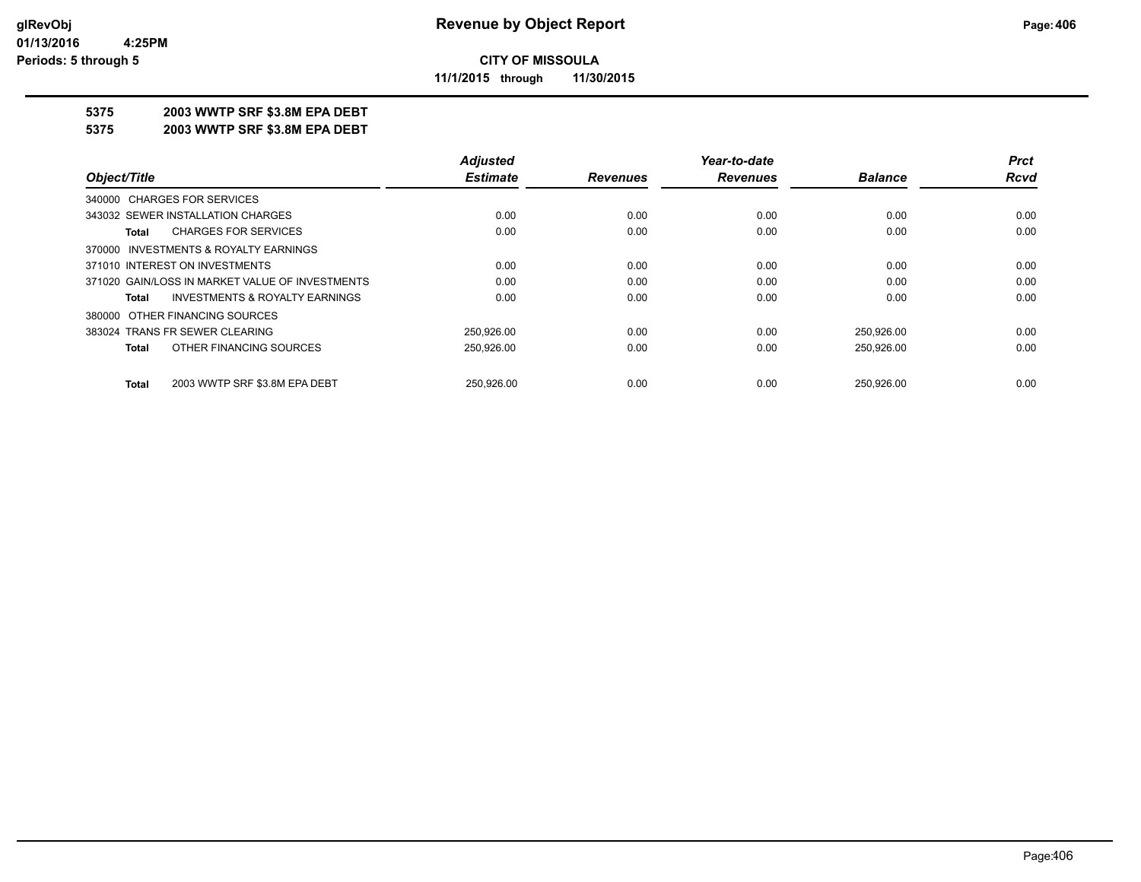**11/1/2015 through 11/30/2015**

#### **5375 2003 WWTP SRF \$3.8M EPA DEBT**

**5375 2003 WWTP SRF \$3.8M EPA DEBT**

|                                                    | <b>Adjusted</b> |                 | Year-to-date    |                | <b>Prct</b> |
|----------------------------------------------------|-----------------|-----------------|-----------------|----------------|-------------|
| Object/Title                                       | <b>Estimate</b> | <b>Revenues</b> | <b>Revenues</b> | <b>Balance</b> | Rcvd        |
| 340000 CHARGES FOR SERVICES                        |                 |                 |                 |                |             |
| 343032 SEWER INSTALLATION CHARGES                  | 0.00            | 0.00            | 0.00            | 0.00           | 0.00        |
| <b>CHARGES FOR SERVICES</b><br>Total               | 0.00            | 0.00            | 0.00            | 0.00           | 0.00        |
| 370000 INVESTMENTS & ROYALTY EARNINGS              |                 |                 |                 |                |             |
| 371010 INTEREST ON INVESTMENTS                     | 0.00            | 0.00            | 0.00            | 0.00           | 0.00        |
| 371020 GAIN/LOSS IN MARKET VALUE OF INVESTMENTS    | 0.00            | 0.00            | 0.00            | 0.00           | 0.00        |
| <b>INVESTMENTS &amp; ROYALTY EARNINGS</b><br>Total | 0.00            | 0.00            | 0.00            | 0.00           | 0.00        |
| 380000 OTHER FINANCING SOURCES                     |                 |                 |                 |                |             |
| 383024 TRANS FR SEWER CLEARING                     | 250.926.00      | 0.00            | 0.00            | 250,926.00     | 0.00        |
| OTHER FINANCING SOURCES<br>Total                   | 250,926.00      | 0.00            | 0.00            | 250,926.00     | 0.00        |
| 2003 WWTP SRF \$3.8M EPA DEBT<br>Total             | 250.926.00      | 0.00            | 0.00            | 250.926.00     | 0.00        |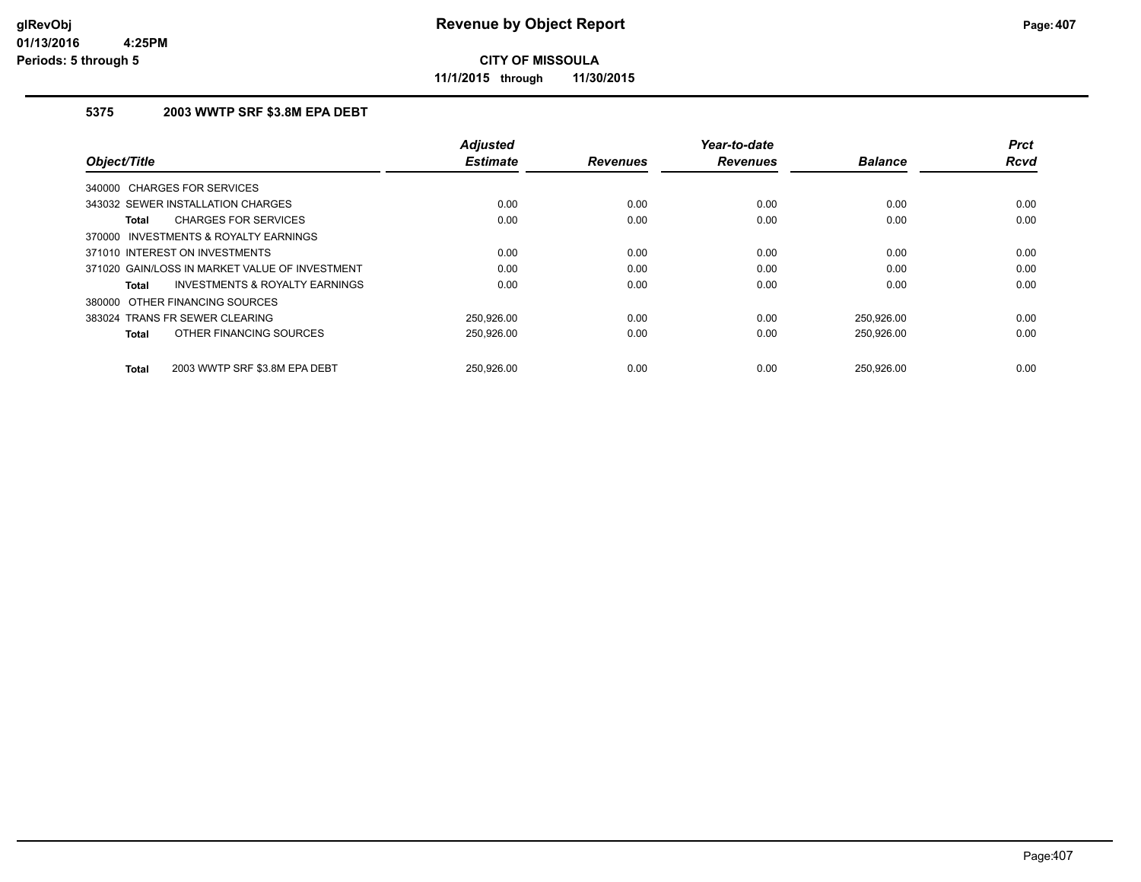**11/1/2015 through 11/30/2015**

#### **5375 2003 WWTP SRF \$3.8M EPA DEBT**

| Object/Title                                   | <b>Adjusted</b><br><b>Estimate</b> | <b>Revenues</b> | Year-to-date<br><b>Revenues</b> | <b>Balance</b> | <b>Prct</b><br><b>Rcvd</b> |
|------------------------------------------------|------------------------------------|-----------------|---------------------------------|----------------|----------------------------|
| 340000 CHARGES FOR SERVICES                    |                                    |                 |                                 |                |                            |
|                                                |                                    |                 |                                 |                |                            |
| 343032 SEWER INSTALLATION CHARGES              | 0.00                               | 0.00            | 0.00                            | 0.00           | 0.00                       |
| <b>CHARGES FOR SERVICES</b><br>Total           | 0.00                               | 0.00            | 0.00                            | 0.00           | 0.00                       |
| INVESTMENTS & ROYALTY EARNINGS<br>370000       |                                    |                 |                                 |                |                            |
| 371010 INTEREST ON INVESTMENTS                 | 0.00                               | 0.00            | 0.00                            | 0.00           | 0.00                       |
| 371020 GAIN/LOSS IN MARKET VALUE OF INVESTMENT | 0.00                               | 0.00            | 0.00                            | 0.00           | 0.00                       |
| INVESTMENTS & ROYALTY EARNINGS<br>Total        | 0.00                               | 0.00            | 0.00                            | 0.00           | 0.00                       |
| 380000 OTHER FINANCING SOURCES                 |                                    |                 |                                 |                |                            |
| 383024 TRANS FR SEWER CLEARING                 | 250,926.00                         | 0.00            | 0.00                            | 250,926.00     | 0.00                       |
| OTHER FINANCING SOURCES<br><b>Total</b>        | 250,926.00                         | 0.00            | 0.00                            | 250,926.00     | 0.00                       |
| 2003 WWTP SRF \$3.8M EPA DEBT<br><b>Total</b>  | 250.926.00                         | 0.00            | 0.00                            | 250.926.00     | 0.00                       |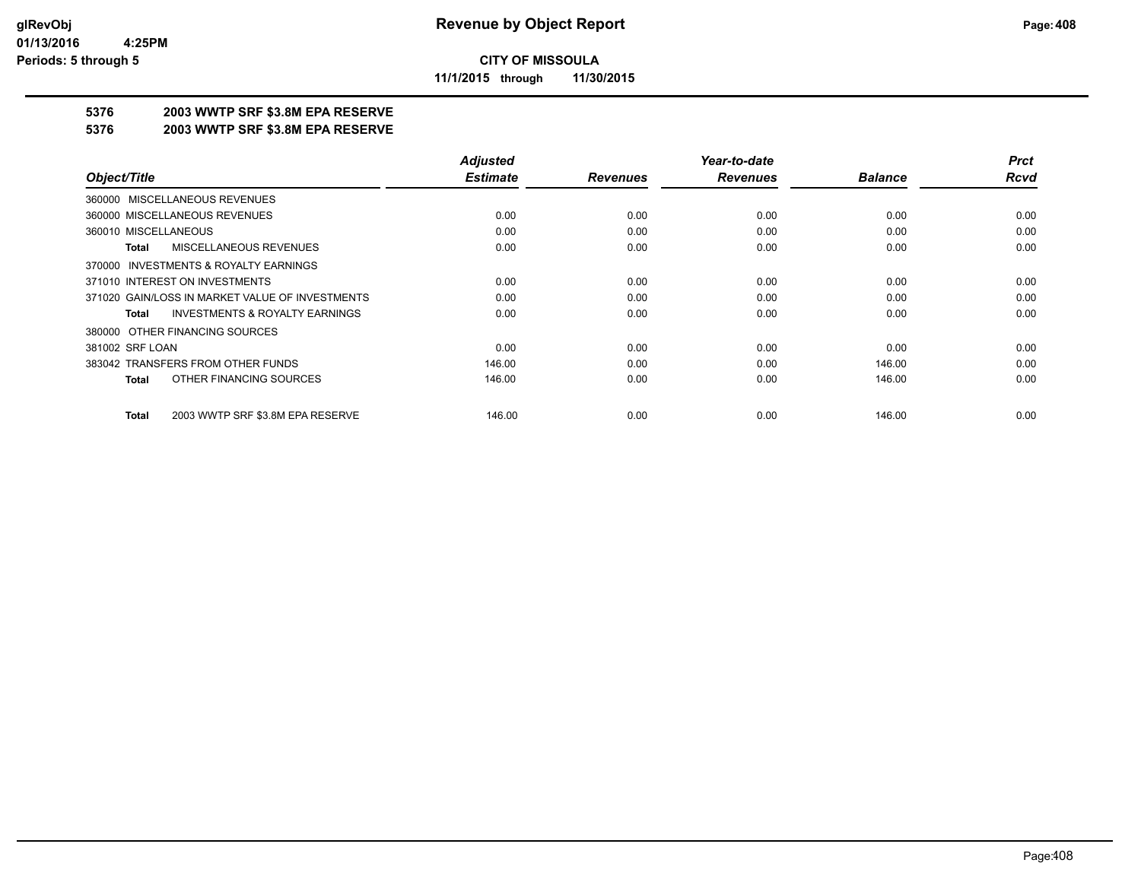**11/1/2015 through 11/30/2015**

## **5376 2003 WWTP SRF \$3.8M EPA RESERVE**

#### **5376 2003 WWTP SRF \$3.8M EPA RESERVE**

|                                                    | <b>Adjusted</b> |                 | Year-to-date    |                | <b>Prct</b> |
|----------------------------------------------------|-----------------|-----------------|-----------------|----------------|-------------|
| Object/Title                                       | <b>Estimate</b> | <b>Revenues</b> | <b>Revenues</b> | <b>Balance</b> | <b>Rcvd</b> |
| MISCELLANEOUS REVENUES<br>360000                   |                 |                 |                 |                |             |
| 360000 MISCELLANEOUS REVENUES                      | 0.00            | 0.00            | 0.00            | 0.00           | 0.00        |
| 360010 MISCELLANEOUS                               | 0.00            | 0.00            | 0.00            | 0.00           | 0.00        |
| MISCELLANEOUS REVENUES<br><b>Total</b>             | 0.00            | 0.00            | 0.00            | 0.00           | 0.00        |
| INVESTMENTS & ROYALTY EARNINGS<br>370000           |                 |                 |                 |                |             |
| 371010 INTEREST ON INVESTMENTS                     | 0.00            | 0.00            | 0.00            | 0.00           | 0.00        |
| 371020 GAIN/LOSS IN MARKET VALUE OF INVESTMENTS    | 0.00            | 0.00            | 0.00            | 0.00           | 0.00        |
| <b>INVESTMENTS &amp; ROYALTY EARNINGS</b><br>Total | 0.00            | 0.00            | 0.00            | 0.00           | 0.00        |
| 380000 OTHER FINANCING SOURCES                     |                 |                 |                 |                |             |
| 381002 SRF LOAN                                    | 0.00            | 0.00            | 0.00            | 0.00           | 0.00        |
| 383042 TRANSFERS FROM OTHER FUNDS                  | 146.00          | 0.00            | 0.00            | 146.00         | 0.00        |
| OTHER FINANCING SOURCES<br><b>Total</b>            | 146.00          | 0.00            | 0.00            | 146.00         | 0.00        |
| 2003 WWTP SRF \$3.8M EPA RESERVE<br><b>Total</b>   | 146.00          | 0.00            | 0.00            | 146.00         | 0.00        |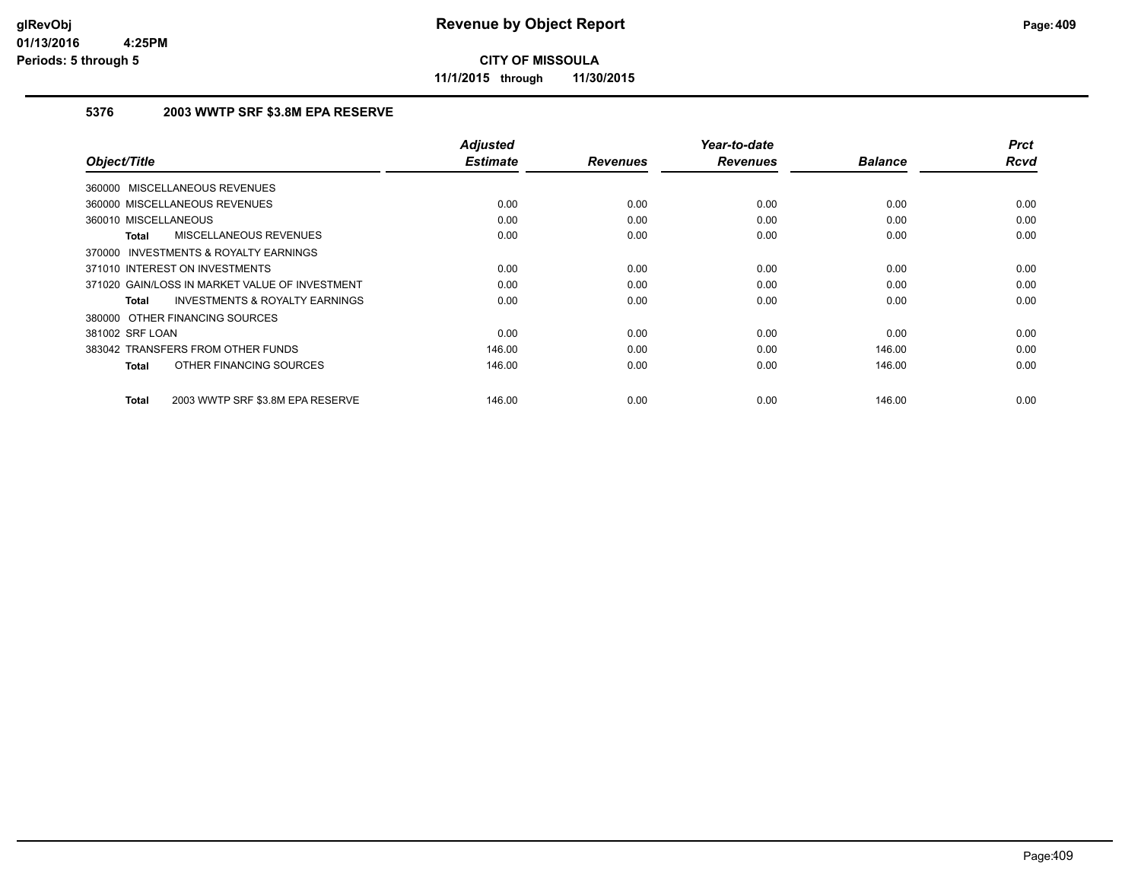**11/1/2015 through 11/30/2015**

#### **5376 2003 WWTP SRF \$3.8M EPA RESERVE**

|                                                           | <b>Adjusted</b> |                 | Year-to-date    |                | <b>Prct</b><br><b>Rcvd</b> |
|-----------------------------------------------------------|-----------------|-----------------|-----------------|----------------|----------------------------|
| Object/Title                                              | <b>Estimate</b> | <b>Revenues</b> | <b>Revenues</b> | <b>Balance</b> |                            |
| 360000 MISCELLANEOUS REVENUES                             |                 |                 |                 |                |                            |
| 360000 MISCELLANEOUS REVENUES                             | 0.00            | 0.00            | 0.00            | 0.00           | 0.00                       |
| 360010 MISCELLANEOUS                                      | 0.00            | 0.00            | 0.00            | 0.00           | 0.00                       |
| <b>MISCELLANEOUS REVENUES</b><br>Total                    | 0.00            | 0.00            | 0.00            | 0.00           | 0.00                       |
| <b>INVESTMENTS &amp; ROYALTY EARNINGS</b><br>370000       |                 |                 |                 |                |                            |
| 371010 INTEREST ON INVESTMENTS                            | 0.00            | 0.00            | 0.00            | 0.00           | 0.00                       |
| 371020 GAIN/LOSS IN MARKET VALUE OF INVESTMENT            | 0.00            | 0.00            | 0.00            | 0.00           | 0.00                       |
| <b>INVESTMENTS &amp; ROYALTY EARNINGS</b><br><b>Total</b> | 0.00            | 0.00            | 0.00            | 0.00           | 0.00                       |
| 380000 OTHER FINANCING SOURCES                            |                 |                 |                 |                |                            |
| 381002 SRF LOAN                                           | 0.00            | 0.00            | 0.00            | 0.00           | 0.00                       |
| 383042 TRANSFERS FROM OTHER FUNDS                         | 146.00          | 0.00            | 0.00            | 146.00         | 0.00                       |
| OTHER FINANCING SOURCES<br><b>Total</b>                   | 146.00          | 0.00            | 0.00            | 146.00         | 0.00                       |
|                                                           |                 |                 |                 |                |                            |
| 2003 WWTP SRF \$3.8M EPA RESERVE<br><b>Total</b>          | 146.00          | 0.00            | 0.00            | 146.00         | 0.00                       |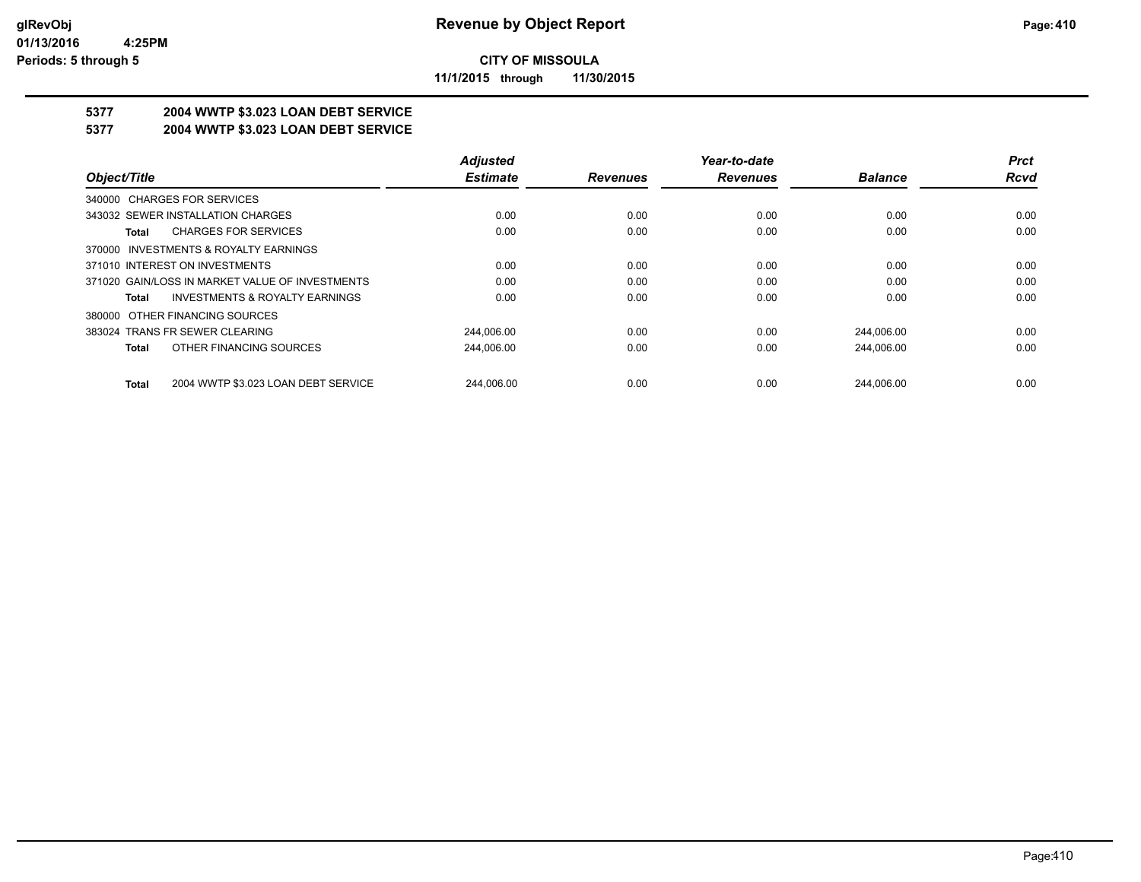**11/1/2015 through 11/30/2015**

# **5377 2004 WWTP \$3.023 LOAN DEBT SERVICE**

## **5377 2004 WWTP \$3.023 LOAN DEBT SERVICE**

|                                                     | <b>Adjusted</b> |                 | Year-to-date    |                | <b>Prct</b> |
|-----------------------------------------------------|-----------------|-----------------|-----------------|----------------|-------------|
| Object/Title                                        | <b>Estimate</b> | <b>Revenues</b> | <b>Revenues</b> | <b>Balance</b> | <b>Rcvd</b> |
| 340000 CHARGES FOR SERVICES                         |                 |                 |                 |                |             |
| 343032 SEWER INSTALLATION CHARGES                   | 0.00            | 0.00            | 0.00            | 0.00           | 0.00        |
| <b>CHARGES FOR SERVICES</b><br>Total                | 0.00            | 0.00            | 0.00            | 0.00           | 0.00        |
| INVESTMENTS & ROYALTY EARNINGS<br>370000            |                 |                 |                 |                |             |
| 371010 INTEREST ON INVESTMENTS                      | 0.00            | 0.00            | 0.00            | 0.00           | 0.00        |
| 371020 GAIN/LOSS IN MARKET VALUE OF INVESTMENTS     | 0.00            | 0.00            | 0.00            | 0.00           | 0.00        |
| <b>INVESTMENTS &amp; ROYALTY EARNINGS</b><br>Total  | 0.00            | 0.00            | 0.00            | 0.00           | 0.00        |
| OTHER FINANCING SOURCES<br>380000                   |                 |                 |                 |                |             |
| 383024 TRANS FR SEWER CLEARING                      | 244.006.00      | 0.00            | 0.00            | 244.006.00     | 0.00        |
| OTHER FINANCING SOURCES<br><b>Total</b>             | 244,006.00      | 0.00            | 0.00            | 244,006.00     | 0.00        |
| 2004 WWTP \$3.023 LOAN DEBT SERVICE<br><b>Total</b> | 244.006.00      | 0.00            | 0.00            | 244.006.00     | 0.00        |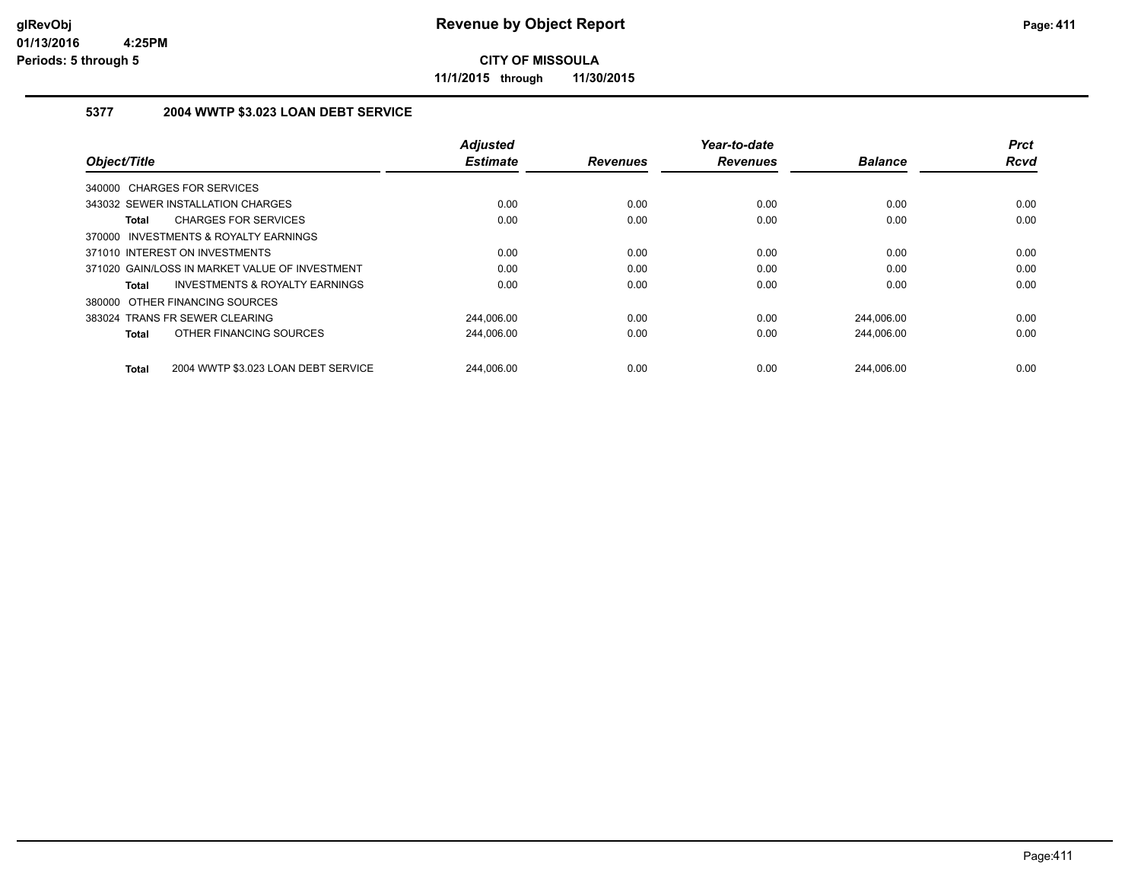**11/1/2015 through 11/30/2015**

#### **5377 2004 WWTP \$3.023 LOAN DEBT SERVICE**

| Object/Title                                              | <b>Adjusted</b><br><b>Estimate</b> | <b>Revenues</b> | Year-to-date<br><b>Revenues</b> | <b>Balance</b> | <b>Prct</b><br><b>Rcvd</b> |
|-----------------------------------------------------------|------------------------------------|-----------------|---------------------------------|----------------|----------------------------|
| 340000 CHARGES FOR SERVICES                               |                                    |                 |                                 |                |                            |
| 343032 SEWER INSTALLATION CHARGES                         | 0.00                               | 0.00            | 0.00                            | 0.00           | 0.00                       |
| <b>CHARGES FOR SERVICES</b><br><b>Total</b>               | 0.00                               | 0.00            | 0.00                            | 0.00           | 0.00                       |
| 370000 INVESTMENTS & ROYALTY EARNINGS                     |                                    |                 |                                 |                |                            |
| 371010 INTEREST ON INVESTMENTS                            | 0.00                               | 0.00            | 0.00                            | 0.00           | 0.00                       |
| 371020 GAIN/LOSS IN MARKET VALUE OF INVESTMENT            | 0.00                               | 0.00            | 0.00                            | 0.00           | 0.00                       |
| <b>INVESTMENTS &amp; ROYALTY EARNINGS</b><br><b>Total</b> | 0.00                               | 0.00            | 0.00                            | 0.00           | 0.00                       |
| 380000 OTHER FINANCING SOURCES                            |                                    |                 |                                 |                |                            |
| 383024 TRANS FR SEWER CLEARING                            | 244,006.00                         | 0.00            | 0.00                            | 244,006.00     | 0.00                       |
| OTHER FINANCING SOURCES<br><b>Total</b>                   | 244,006.00                         | 0.00            | 0.00                            | 244,006.00     | 0.00                       |
| 2004 WWTP \$3.023 LOAN DEBT SERVICE<br><b>Total</b>       | 244.006.00                         | 0.00            | 0.00                            | 244.006.00     | 0.00                       |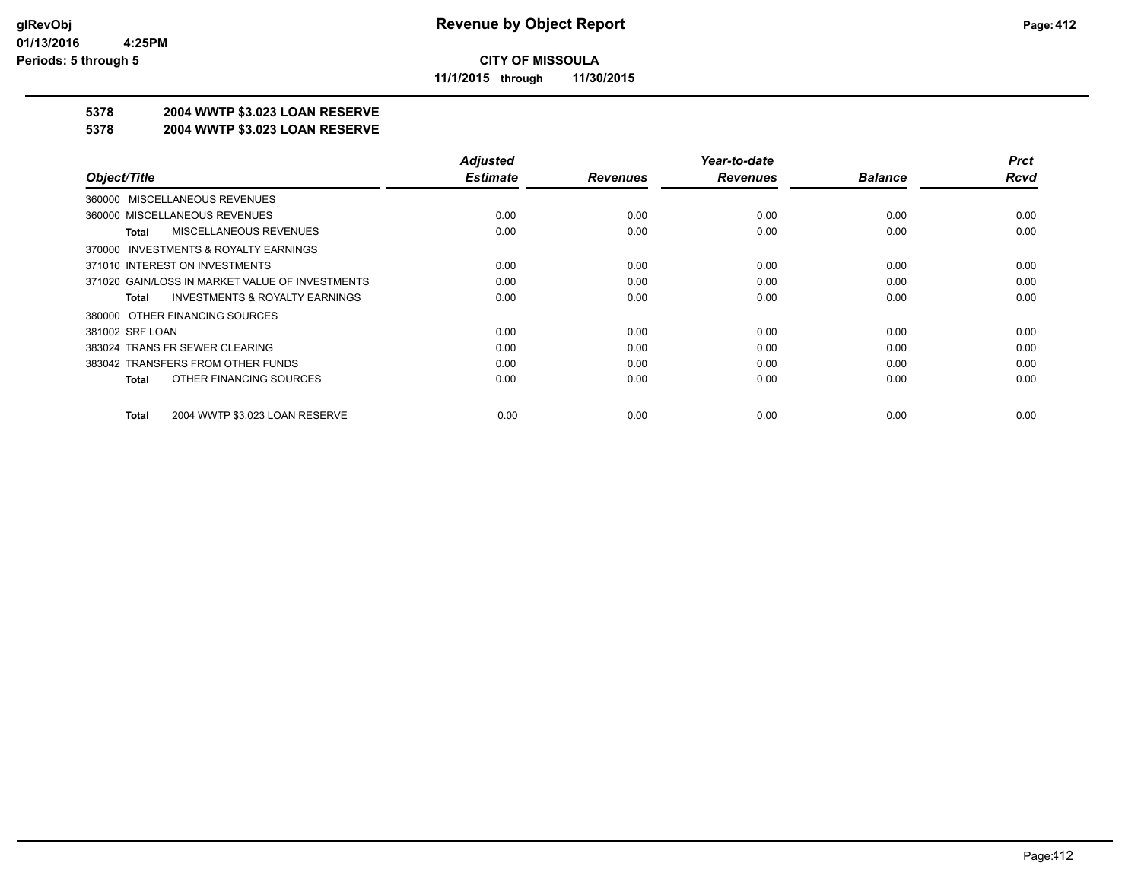**11/1/2015 through 11/30/2015**

## **5378 2004 WWTP \$3.023 LOAN RESERVE**

#### **5378 2004 WWTP \$3.023 LOAN RESERVE**

|                                                    | <b>Adjusted</b> |                 | Year-to-date    |                | <b>Prct</b> |
|----------------------------------------------------|-----------------|-----------------|-----------------|----------------|-------------|
| Object/Title                                       | <b>Estimate</b> | <b>Revenues</b> | <b>Revenues</b> | <b>Balance</b> | <b>Rcvd</b> |
| 360000 MISCELLANEOUS REVENUES                      |                 |                 |                 |                |             |
| 360000 MISCELLANEOUS REVENUES                      | 0.00            | 0.00            | 0.00            | 0.00           | 0.00        |
| MISCELLANEOUS REVENUES<br>Total                    | 0.00            | 0.00            | 0.00            | 0.00           | 0.00        |
| 370000 INVESTMENTS & ROYALTY EARNINGS              |                 |                 |                 |                |             |
| 371010 INTEREST ON INVESTMENTS                     | 0.00            | 0.00            | 0.00            | 0.00           | 0.00        |
| 371020 GAIN/LOSS IN MARKET VALUE OF INVESTMENTS    | 0.00            | 0.00            | 0.00            | 0.00           | 0.00        |
| <b>INVESTMENTS &amp; ROYALTY EARNINGS</b><br>Total | 0.00            | 0.00            | 0.00            | 0.00           | 0.00        |
| 380000 OTHER FINANCING SOURCES                     |                 |                 |                 |                |             |
| 381002 SRF LOAN                                    | 0.00            | 0.00            | 0.00            | 0.00           | 0.00        |
| 383024 TRANS FR SEWER CLEARING                     | 0.00            | 0.00            | 0.00            | 0.00           | 0.00        |
| 383042 TRANSFERS FROM OTHER FUNDS                  | 0.00            | 0.00            | 0.00            | 0.00           | 0.00        |
| OTHER FINANCING SOURCES<br>Total                   | 0.00            | 0.00            | 0.00            | 0.00           | 0.00        |
| 2004 WWTP \$3.023 LOAN RESERVE<br>Total            | 0.00            | 0.00            | 0.00            | 0.00           | 0.00        |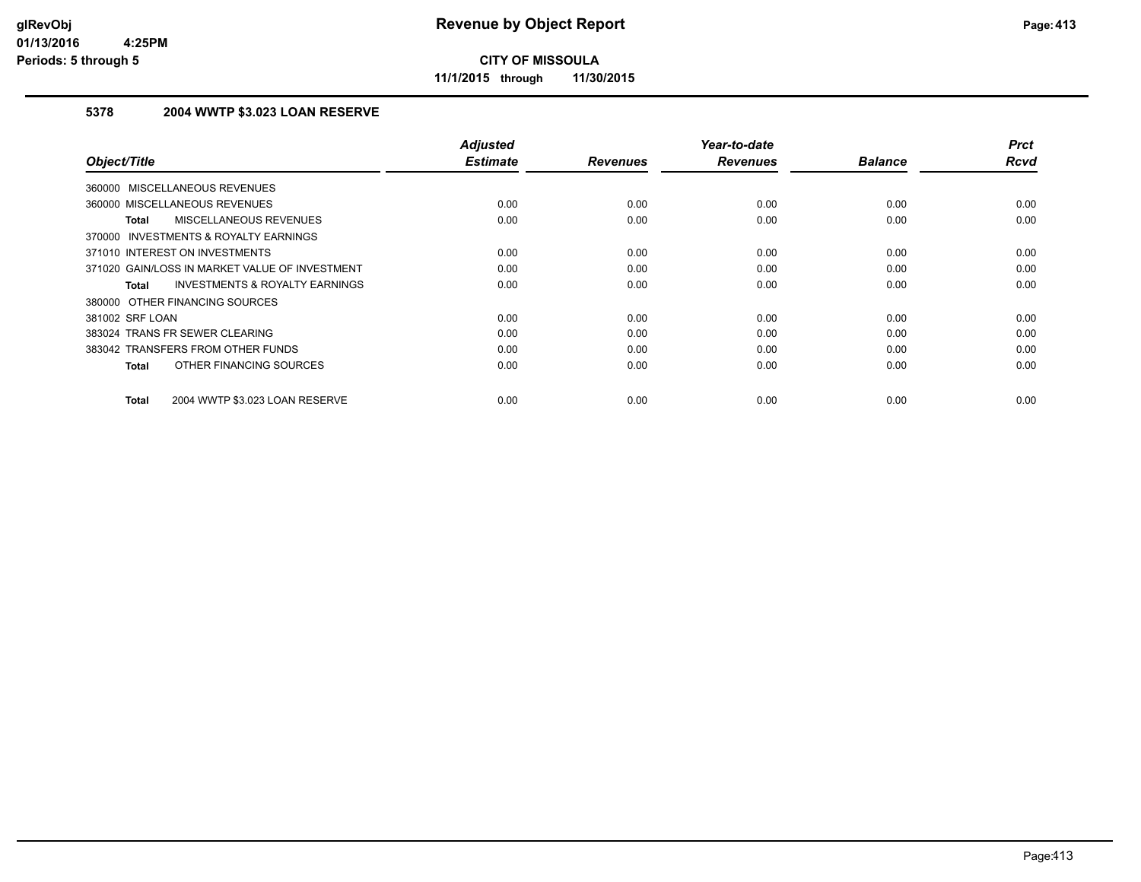**11/1/2015 through 11/30/2015**

### **5378 2004 WWTP \$3.023 LOAN RESERVE**

|                                                           | <b>Adjusted</b> |                 | Year-to-date    |                | <b>Prct</b> |
|-----------------------------------------------------------|-----------------|-----------------|-----------------|----------------|-------------|
| Object/Title                                              | <b>Estimate</b> | <b>Revenues</b> | <b>Revenues</b> | <b>Balance</b> | <b>Rcvd</b> |
| 360000 MISCELLANEOUS REVENUES                             |                 |                 |                 |                |             |
| 360000 MISCELLANEOUS REVENUES                             | 0.00            | 0.00            | 0.00            | 0.00           | 0.00        |
| MISCELLANEOUS REVENUES<br><b>Total</b>                    | 0.00            | 0.00            | 0.00            | 0.00           | 0.00        |
| 370000 INVESTMENTS & ROYALTY EARNINGS                     |                 |                 |                 |                |             |
| 371010 INTEREST ON INVESTMENTS                            | 0.00            | 0.00            | 0.00            | 0.00           | 0.00        |
| 371020 GAIN/LOSS IN MARKET VALUE OF INVESTMENT            | 0.00            | 0.00            | 0.00            | 0.00           | 0.00        |
| <b>INVESTMENTS &amp; ROYALTY EARNINGS</b><br><b>Total</b> | 0.00            | 0.00            | 0.00            | 0.00           | 0.00        |
| 380000 OTHER FINANCING SOURCES                            |                 |                 |                 |                |             |
| 381002 SRF LOAN                                           | 0.00            | 0.00            | 0.00            | 0.00           | 0.00        |
| 383024 TRANS FR SEWER CLEARING                            | 0.00            | 0.00            | 0.00            | 0.00           | 0.00        |
| 383042 TRANSFERS FROM OTHER FUNDS                         | 0.00            | 0.00            | 0.00            | 0.00           | 0.00        |
| OTHER FINANCING SOURCES<br><b>Total</b>                   | 0.00            | 0.00            | 0.00            | 0.00           | 0.00        |
|                                                           |                 |                 |                 |                |             |
| 2004 WWTP \$3.023 LOAN RESERVE<br><b>Total</b>            | 0.00            | 0.00            | 0.00            | 0.00           | 0.00        |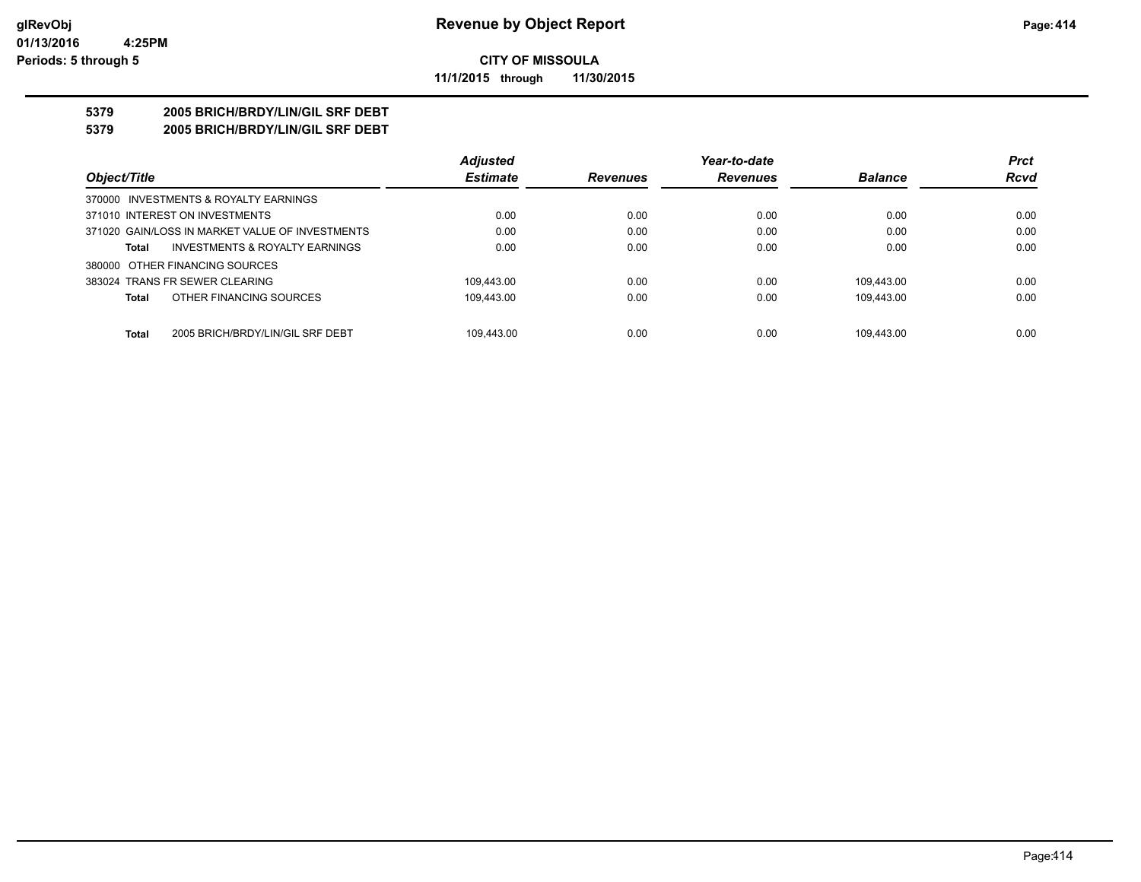**11/1/2015 through 11/30/2015**

### **5379 2005 BRICH/BRDY/LIN/GIL SRF DEBT**

**5379 2005 BRICH/BRDY/LIN/GIL SRF DEBT**

|                                                 | <b>Adjusted</b> |                 | Year-to-date    |                | <b>Prct</b> |
|-------------------------------------------------|-----------------|-----------------|-----------------|----------------|-------------|
| Object/Title                                    | <b>Estimate</b> | <b>Revenues</b> | <b>Revenues</b> | <b>Balance</b> | <b>Rcvd</b> |
| 370000 INVESTMENTS & ROYALTY EARNINGS           |                 |                 |                 |                |             |
| 371010 INTEREST ON INVESTMENTS                  | 0.00            | 0.00            | 0.00            | 0.00           | 0.00        |
| 371020 GAIN/LOSS IN MARKET VALUE OF INVESTMENTS | 0.00            | 0.00            | 0.00            | 0.00           | 0.00        |
| INVESTMENTS & ROYALTY EARNINGS<br>Total         | 0.00            | 0.00            | 0.00            | 0.00           | 0.00        |
| 380000 OTHER FINANCING SOURCES                  |                 |                 |                 |                |             |
| 383024 TRANS FR SEWER CLEARING                  | 109.443.00      | 0.00            | 0.00            | 109.443.00     | 0.00        |
| OTHER FINANCING SOURCES<br>Total                | 109,443.00      | 0.00            | 0.00            | 109.443.00     | 0.00        |
|                                                 |                 |                 |                 |                |             |
| 2005 BRICH/BRDY/LIN/GIL SRF DEBT<br>Total       | 109.443.00      | 0.00            | 0.00            | 109.443.00     | 0.00        |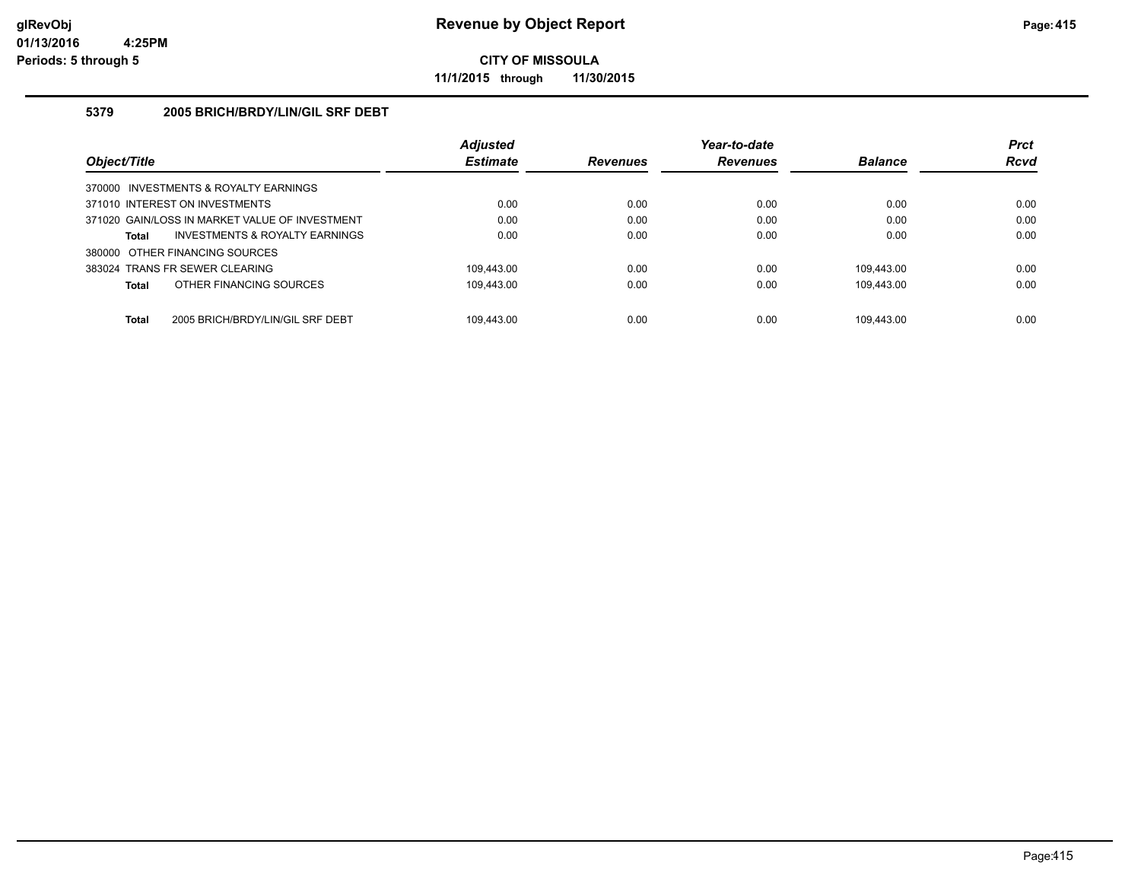**11/1/2015 through 11/30/2015**

#### **5379 2005 BRICH/BRDY/LIN/GIL SRF DEBT**

|                                                  | <b>Adjusted</b> |                 | Year-to-date    |                | <b>Prct</b> |
|--------------------------------------------------|-----------------|-----------------|-----------------|----------------|-------------|
| Object/Title                                     | <b>Estimate</b> | <b>Revenues</b> | <b>Revenues</b> | <b>Balance</b> | <b>Rcvd</b> |
| 370000 INVESTMENTS & ROYALTY EARNINGS            |                 |                 |                 |                |             |
| 371010 INTEREST ON INVESTMENTS                   | 0.00            | 0.00            | 0.00            | 0.00           | 0.00        |
| 371020 GAIN/LOSS IN MARKET VALUE OF INVESTMENT   | 0.00            | 0.00            | 0.00            | 0.00           | 0.00        |
| INVESTMENTS & ROYALTY EARNINGS<br><b>Total</b>   | 0.00            | 0.00            | 0.00            | 0.00           | 0.00        |
| 380000 OTHER FINANCING SOURCES                   |                 |                 |                 |                |             |
| 383024 TRANS FR SEWER CLEARING                   | 109.443.00      | 0.00            | 0.00            | 109.443.00     | 0.00        |
| OTHER FINANCING SOURCES<br><b>Total</b>          | 109.443.00      | 0.00            | 0.00            | 109.443.00     | 0.00        |
|                                                  |                 |                 |                 |                |             |
| 2005 BRICH/BRDY/LIN/GIL SRF DEBT<br><b>Total</b> | 109.443.00      | 0.00            | 0.00            | 109.443.00     | 0.00        |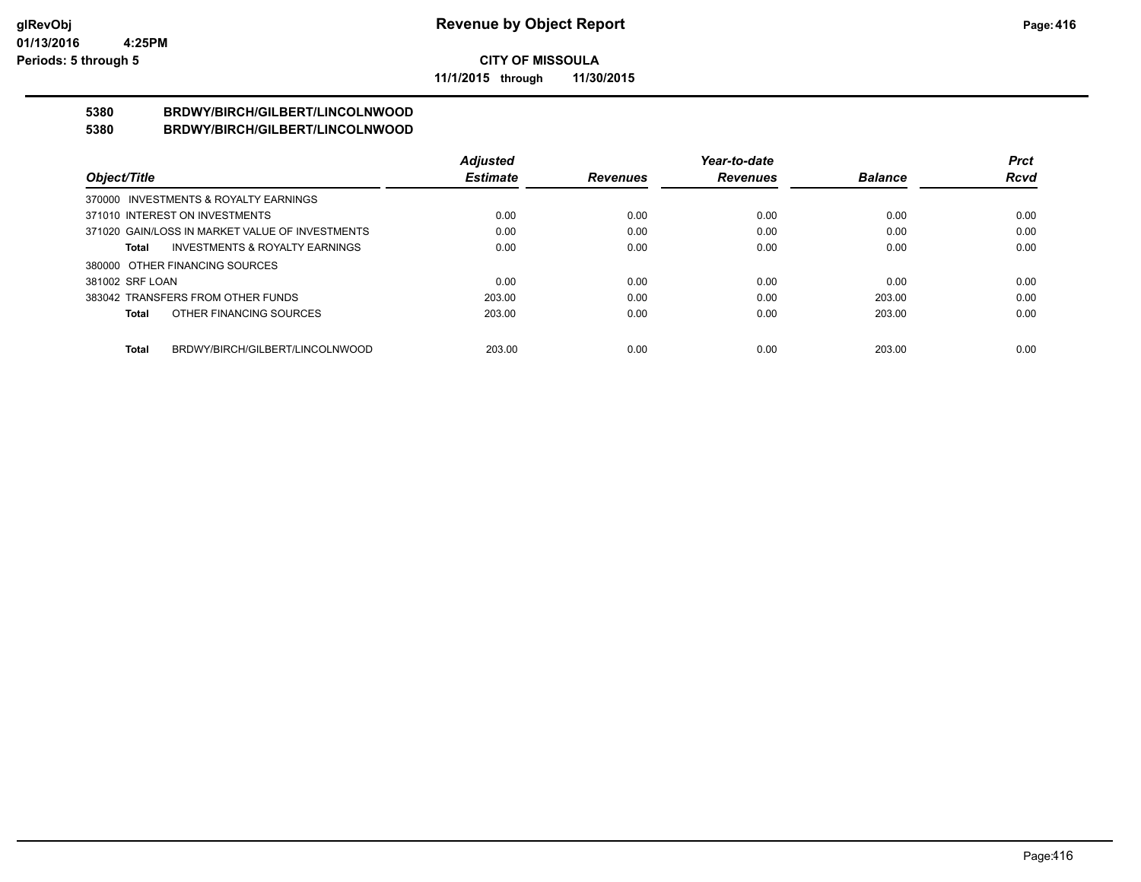**11/1/2015 through 11/30/2015**

#### **5380 BRDWY/BIRCH/GILBERT/LINCOLNWOOD 5380 BRDWY/BIRCH/GILBERT/LINCOLNWOOD**

|                                                    | <b>Adjusted</b> |                 | Year-to-date    |                | <b>Prct</b> |
|----------------------------------------------------|-----------------|-----------------|-----------------|----------------|-------------|
| Object/Title                                       | <b>Estimate</b> | <b>Revenues</b> | <b>Revenues</b> | <b>Balance</b> | <b>Rcvd</b> |
| 370000 INVESTMENTS & ROYALTY EARNINGS              |                 |                 |                 |                |             |
| 371010 INTEREST ON INVESTMENTS                     | 0.00            | 0.00            | 0.00            | 0.00           | 0.00        |
| 371020 GAIN/LOSS IN MARKET VALUE OF INVESTMENTS    | 0.00            | 0.00            | 0.00            | 0.00           | 0.00        |
| <b>INVESTMENTS &amp; ROYALTY EARNINGS</b><br>Total | 0.00            | 0.00            | 0.00            | 0.00           | 0.00        |
| 380000 OTHER FINANCING SOURCES                     |                 |                 |                 |                |             |
| 381002 SRF LOAN                                    | 0.00            | 0.00            | 0.00            | 0.00           | 0.00        |
| 383042 TRANSFERS FROM OTHER FUNDS                  | 203.00          | 0.00            | 0.00            | 203.00         | 0.00        |
| OTHER FINANCING SOURCES<br>Total                   | 203.00          | 0.00            | 0.00            | 203.00         | 0.00        |
|                                                    |                 |                 |                 |                |             |
| BRDWY/BIRCH/GILBERT/LINCOLNWOOD<br><b>Total</b>    | 203.00          | 0.00            | 0.00            | 203.00         | 0.00        |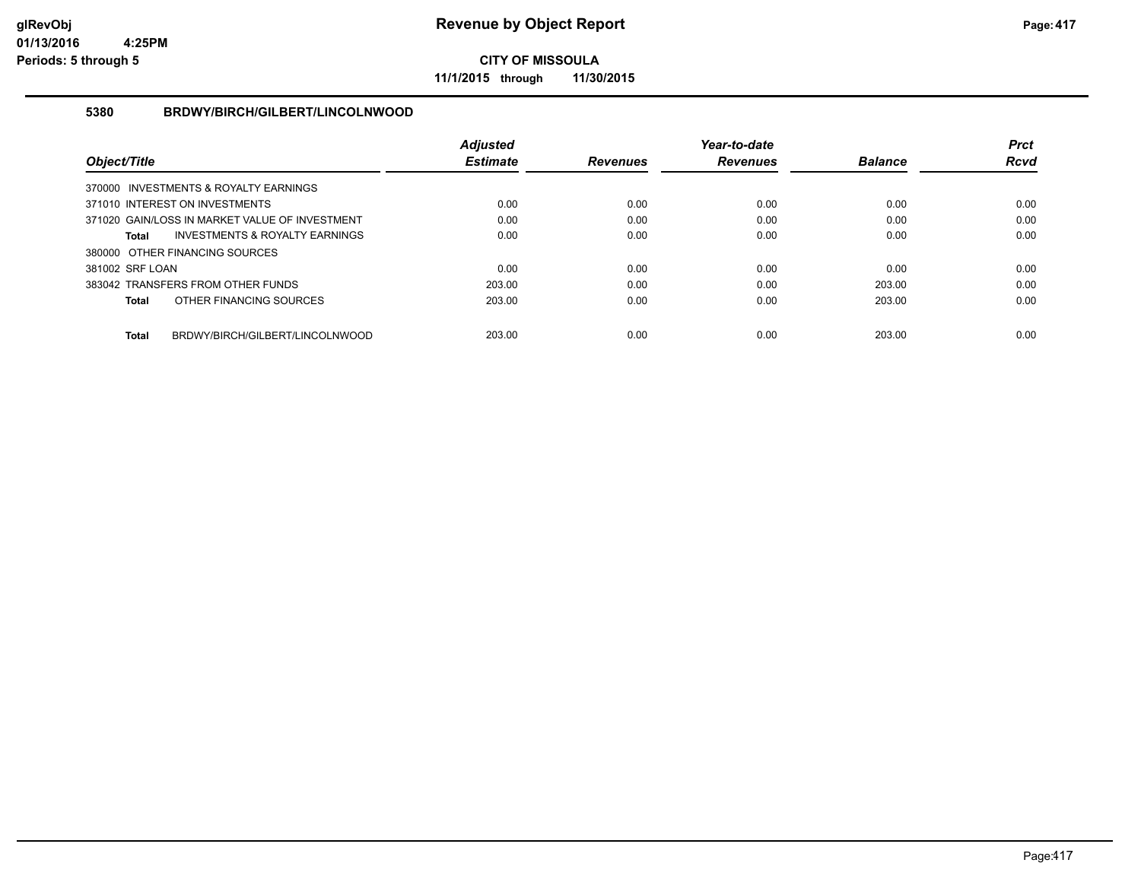**11/1/2015 through 11/30/2015**

#### **5380 BRDWY/BIRCH/GILBERT/LINCOLNWOOD**

|                 |                                                | <b>Adjusted</b> |                 | Year-to-date    |                | <b>Prct</b> |
|-----------------|------------------------------------------------|-----------------|-----------------|-----------------|----------------|-------------|
| Object/Title    |                                                | <b>Estimate</b> | <b>Revenues</b> | <b>Revenues</b> | <b>Balance</b> | Rcvd        |
|                 | 370000 INVESTMENTS & ROYALTY EARNINGS          |                 |                 |                 |                |             |
|                 | 371010 INTEREST ON INVESTMENTS                 | 0.00            | 0.00            | 0.00            | 0.00           | 0.00        |
|                 | 371020 GAIN/LOSS IN MARKET VALUE OF INVESTMENT | 0.00            | 0.00            | 0.00            | 0.00           | 0.00        |
| Total           | INVESTMENTS & ROYALTY EARNINGS                 | 0.00            | 0.00            | 0.00            | 0.00           | 0.00        |
|                 | 380000 OTHER FINANCING SOURCES                 |                 |                 |                 |                |             |
| 381002 SRF LOAN |                                                | 0.00            | 0.00            | 0.00            | 0.00           | 0.00        |
|                 | 383042 TRANSFERS FROM OTHER FUNDS              | 203.00          | 0.00            | 0.00            | 203.00         | 0.00        |
| <b>Total</b>    | OTHER FINANCING SOURCES                        | 203.00          | 0.00            | 0.00            | 203.00         | 0.00        |
| <b>Total</b>    | BRDWY/BIRCH/GILBERT/LINCOLNWOOD                | 203.00          | 0.00            | 0.00            | 203.00         | 0.00        |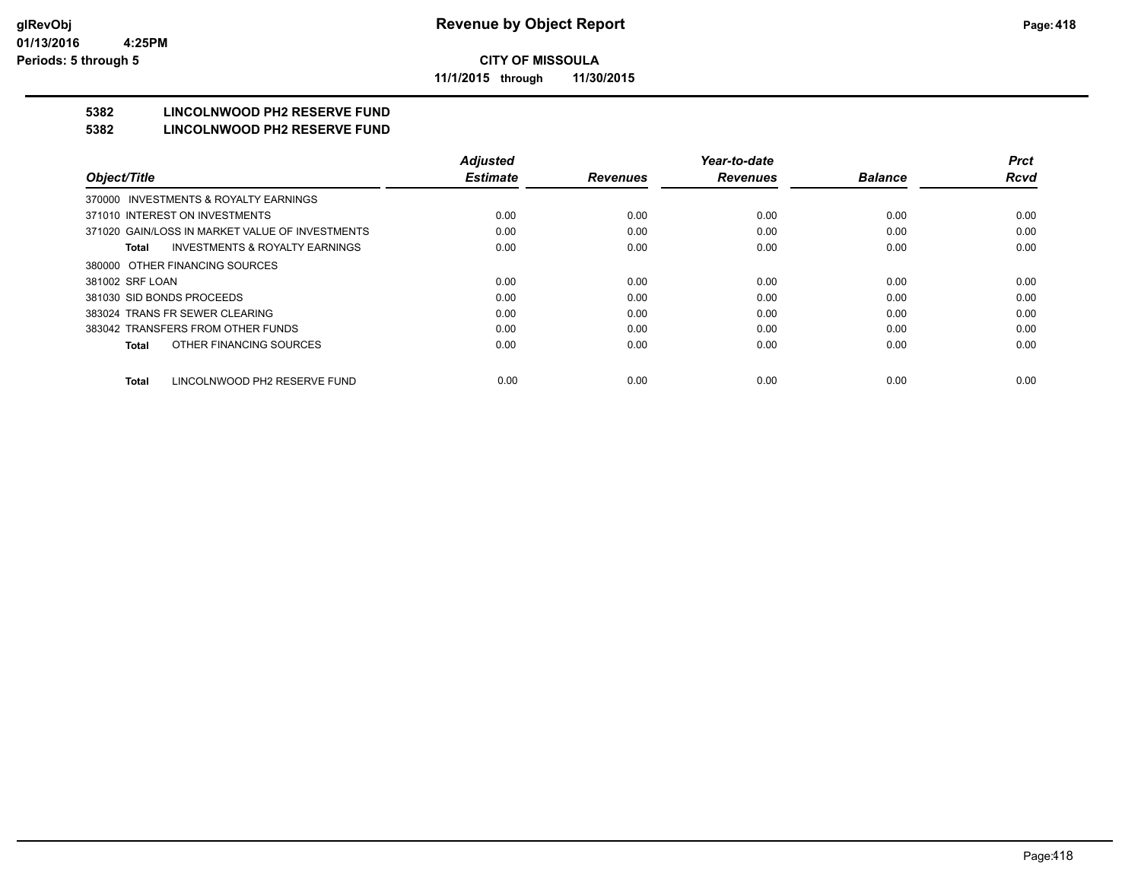**11/1/2015 through 11/30/2015**

# **5382 LINCOLNWOOD PH2 RESERVE FUND**

#### **5382 LINCOLNWOOD PH2 RESERVE FUND**

|                                                    | <b>Adjusted</b> |                 | Year-to-date    |                | <b>Prct</b> |
|----------------------------------------------------|-----------------|-----------------|-----------------|----------------|-------------|
| Object/Title                                       | <b>Estimate</b> | <b>Revenues</b> | <b>Revenues</b> | <b>Balance</b> | <b>Rcvd</b> |
| 370000 INVESTMENTS & ROYALTY EARNINGS              |                 |                 |                 |                |             |
| 371010 INTEREST ON INVESTMENTS                     | 0.00            | 0.00            | 0.00            | 0.00           | 0.00        |
| 371020 GAIN/LOSS IN MARKET VALUE OF INVESTMENTS    | 0.00            | 0.00            | 0.00            | 0.00           | 0.00        |
| <b>INVESTMENTS &amp; ROYALTY EARNINGS</b><br>Total | 0.00            | 0.00            | 0.00            | 0.00           | 0.00        |
| 380000 OTHER FINANCING SOURCES                     |                 |                 |                 |                |             |
| 381002 SRF LOAN                                    | 0.00            | 0.00            | 0.00            | 0.00           | 0.00        |
| 381030 SID BONDS PROCEEDS                          | 0.00            | 0.00            | 0.00            | 0.00           | 0.00        |
| 383024 TRANS FR SEWER CLEARING                     | 0.00            | 0.00            | 0.00            | 0.00           | 0.00        |
| 383042 TRANSFERS FROM OTHER FUNDS                  | 0.00            | 0.00            | 0.00            | 0.00           | 0.00        |
| OTHER FINANCING SOURCES<br>Total                   | 0.00            | 0.00            | 0.00            | 0.00           | 0.00        |
| LINCOLNWOOD PH2 RESERVE FUND<br><b>Total</b>       | 0.00            | 0.00            | 0.00            | 0.00           | 0.00        |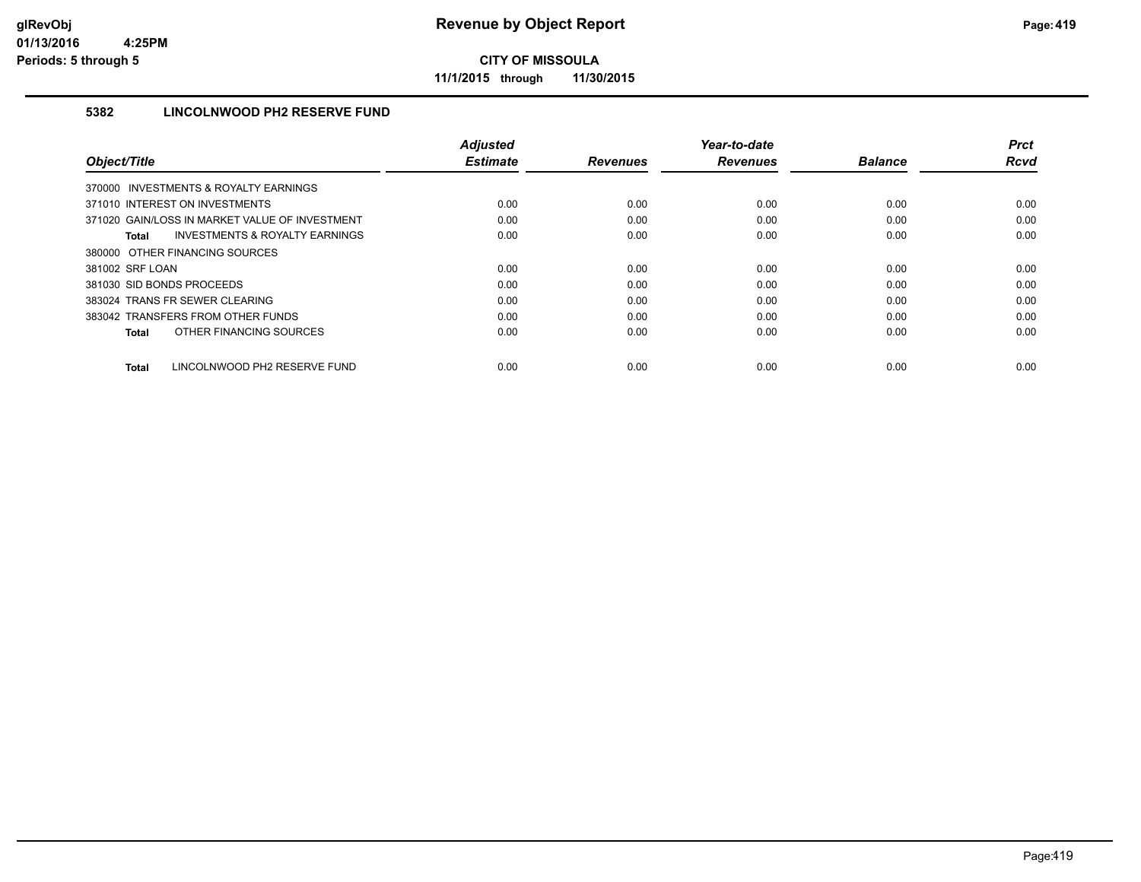**11/1/2015 through 11/30/2015**

#### **5382 LINCOLNWOOD PH2 RESERVE FUND**

|                                                           | <b>Adiusted</b> |                 | Year-to-date    |                | <b>Prct</b> |
|-----------------------------------------------------------|-----------------|-----------------|-----------------|----------------|-------------|
| Object/Title                                              | <b>Estimate</b> | <b>Revenues</b> | <b>Revenues</b> | <b>Balance</b> | <b>Rcvd</b> |
| 370000 INVESTMENTS & ROYALTY EARNINGS                     |                 |                 |                 |                |             |
| 371010 INTEREST ON INVESTMENTS                            | 0.00            | 0.00            | 0.00            | 0.00           | 0.00        |
| 371020 GAIN/LOSS IN MARKET VALUE OF INVESTMENT            | 0.00            | 0.00            | 0.00            | 0.00           | 0.00        |
| <b>INVESTMENTS &amp; ROYALTY EARNINGS</b><br><b>Total</b> | 0.00            | 0.00            | 0.00            | 0.00           | 0.00        |
| 380000 OTHER FINANCING SOURCES                            |                 |                 |                 |                |             |
| 381002 SRF LOAN                                           | 0.00            | 0.00            | 0.00            | 0.00           | 0.00        |
| 381030 SID BONDS PROCEEDS                                 | 0.00            | 0.00            | 0.00            | 0.00           | 0.00        |
| 383024 TRANS FR SEWER CLEARING                            | 0.00            | 0.00            | 0.00            | 0.00           | 0.00        |
| 383042 TRANSFERS FROM OTHER FUNDS                         | 0.00            | 0.00            | 0.00            | 0.00           | 0.00        |
| OTHER FINANCING SOURCES<br><b>Total</b>                   | 0.00            | 0.00            | 0.00            | 0.00           | 0.00        |
| LINCOLNWOOD PH2 RESERVE FUND<br><b>Total</b>              | 0.00            | 0.00            | 0.00            | 0.00           | 0.00        |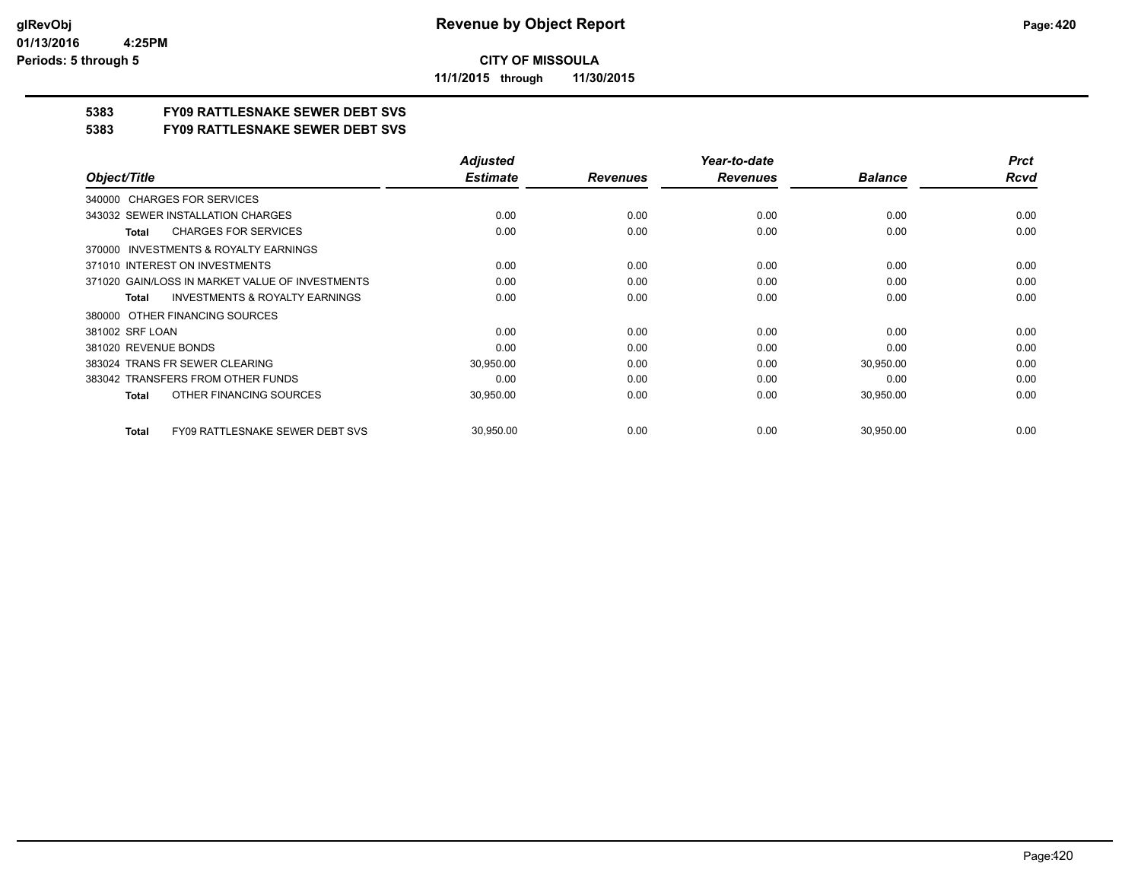**11/1/2015 through 11/30/2015**

# **5383 FY09 RATTLESNAKE SEWER DEBT SVS**

**5383 FY09 RATTLESNAKE SEWER DEBT SVS**

|                                                           | <b>Adjusted</b> |                 | Year-to-date    |                | <b>Prct</b> |
|-----------------------------------------------------------|-----------------|-----------------|-----------------|----------------|-------------|
| Object/Title                                              | <b>Estimate</b> | <b>Revenues</b> | <b>Revenues</b> | <b>Balance</b> | <b>Rcvd</b> |
| 340000 CHARGES FOR SERVICES                               |                 |                 |                 |                |             |
| 343032 SEWER INSTALLATION CHARGES                         | 0.00            | 0.00            | 0.00            | 0.00           | 0.00        |
| <b>CHARGES FOR SERVICES</b><br><b>Total</b>               | 0.00            | 0.00            | 0.00            | 0.00           | 0.00        |
| <b>INVESTMENTS &amp; ROYALTY EARNINGS</b><br>370000       |                 |                 |                 |                |             |
| 371010 INTEREST ON INVESTMENTS                            | 0.00            | 0.00            | 0.00            | 0.00           | 0.00        |
| 371020 GAIN/LOSS IN MARKET VALUE OF INVESTMENTS           | 0.00            | 0.00            | 0.00            | 0.00           | 0.00        |
| <b>INVESTMENTS &amp; ROYALTY EARNINGS</b><br><b>Total</b> | 0.00            | 0.00            | 0.00            | 0.00           | 0.00        |
| OTHER FINANCING SOURCES<br>380000                         |                 |                 |                 |                |             |
| 381002 SRF LOAN                                           | 0.00            | 0.00            | 0.00            | 0.00           | 0.00        |
| 381020 REVENUE BONDS                                      | 0.00            | 0.00            | 0.00            | 0.00           | 0.00        |
| 383024 TRANS FR SEWER CLEARING                            | 30,950.00       | 0.00            | 0.00            | 30,950.00      | 0.00        |
| 383042 TRANSFERS FROM OTHER FUNDS                         | 0.00            | 0.00            | 0.00            | 0.00           | 0.00        |
| OTHER FINANCING SOURCES<br><b>Total</b>                   | 30,950.00       | 0.00            | 0.00            | 30,950.00      | 0.00        |
| <b>FY09 RATTLESNAKE SEWER DEBT SVS</b><br><b>Total</b>    | 30,950.00       | 0.00            | 0.00            | 30,950.00      | 0.00        |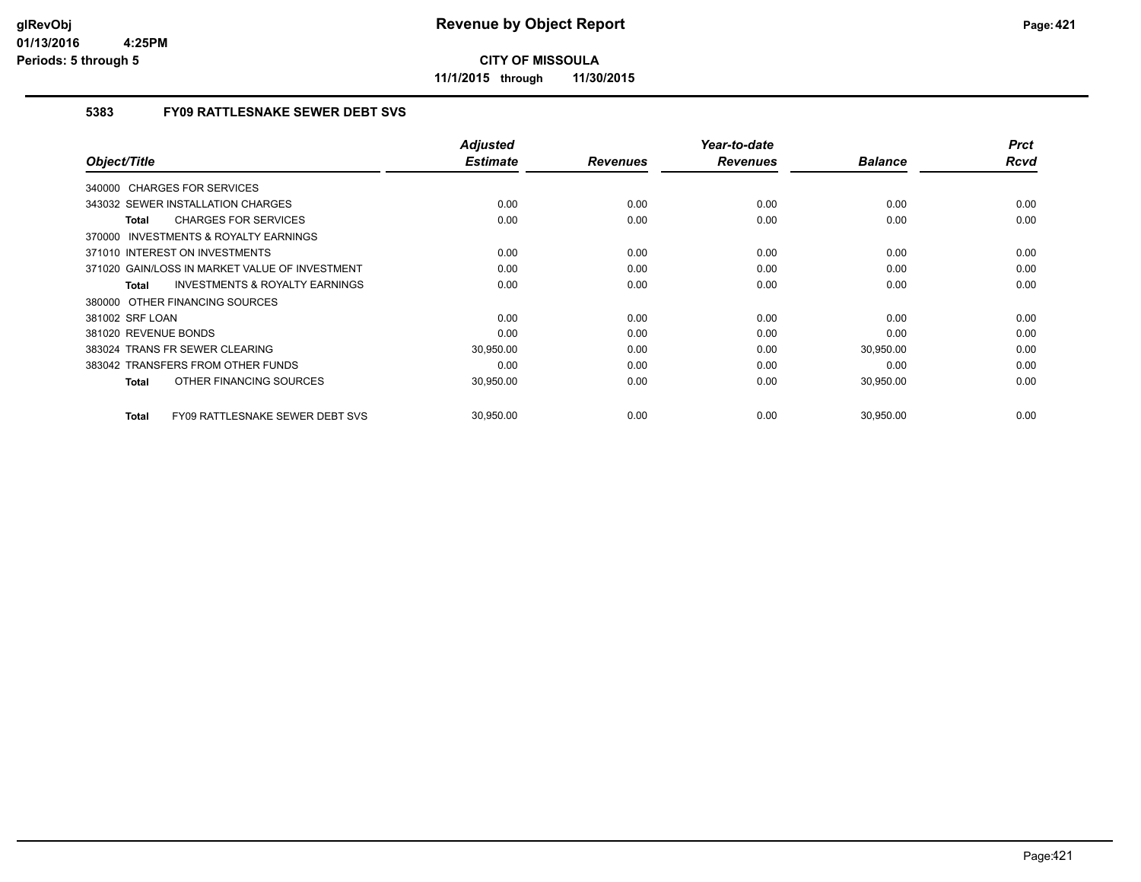**11/1/2015 through 11/30/2015**

#### **5383 FY09 RATTLESNAKE SEWER DEBT SVS**

| Object/Title                                              | <b>Adjusted</b><br><b>Estimate</b> | <b>Revenues</b> | Year-to-date<br><b>Revenues</b> | <b>Balance</b> | <b>Prct</b><br><b>Rcvd</b> |
|-----------------------------------------------------------|------------------------------------|-----------------|---------------------------------|----------------|----------------------------|
|                                                           |                                    |                 |                                 |                |                            |
| 340000 CHARGES FOR SERVICES                               |                                    |                 |                                 |                |                            |
| 343032 SEWER INSTALLATION CHARGES                         | 0.00                               | 0.00            | 0.00                            | 0.00           | 0.00                       |
| <b>CHARGES FOR SERVICES</b><br>Total                      | 0.00                               | 0.00            | 0.00                            | 0.00           | 0.00                       |
| 370000 INVESTMENTS & ROYALTY EARNINGS                     |                                    |                 |                                 |                |                            |
| 371010 INTEREST ON INVESTMENTS                            | 0.00                               | 0.00            | 0.00                            | 0.00           | 0.00                       |
| 371020 GAIN/LOSS IN MARKET VALUE OF INVESTMENT            | 0.00                               | 0.00            | 0.00                            | 0.00           | 0.00                       |
| <b>INVESTMENTS &amp; ROYALTY EARNINGS</b><br><b>Total</b> | 0.00                               | 0.00            | 0.00                            | 0.00           | 0.00                       |
| 380000 OTHER FINANCING SOURCES                            |                                    |                 |                                 |                |                            |
| 381002 SRF LOAN                                           | 0.00                               | 0.00            | 0.00                            | 0.00           | 0.00                       |
| 381020 REVENUE BONDS                                      | 0.00                               | 0.00            | 0.00                            | 0.00           | 0.00                       |
| 383024 TRANS FR SEWER CLEARING                            | 30,950.00                          | 0.00            | 0.00                            | 30,950.00      | 0.00                       |
| 383042 TRANSFERS FROM OTHER FUNDS                         | 0.00                               | 0.00            | 0.00                            | 0.00           | 0.00                       |
| OTHER FINANCING SOURCES<br><b>Total</b>                   | 30,950.00                          | 0.00            | 0.00                            | 30,950.00      | 0.00                       |
| FY09 RATTLESNAKE SEWER DEBT SVS<br>Total                  | 30,950.00                          | 0.00            | 0.00                            | 30,950.00      | 0.00                       |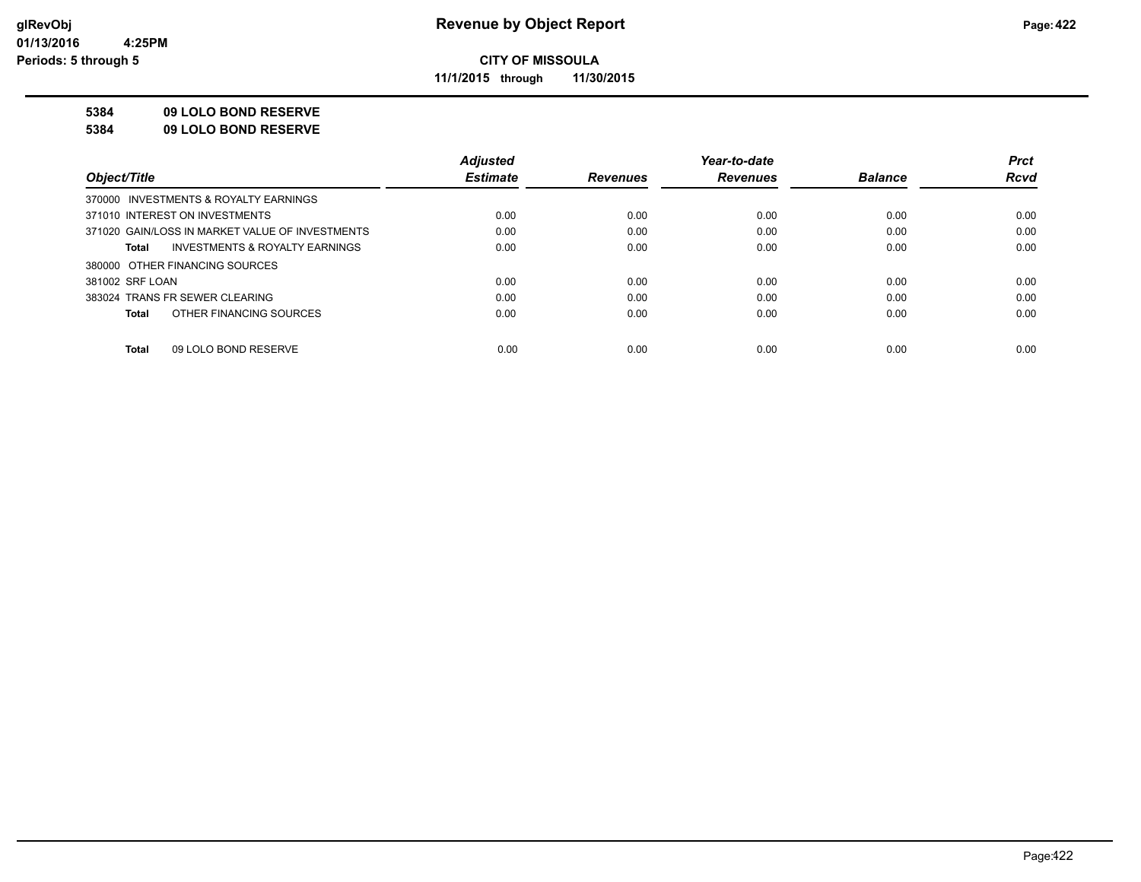**11/1/2015 through 11/30/2015**

#### **5384 09 LOLO BOND RESERVE**

**5384 09 LOLO BOND RESERVE**

|                                                    | <b>Adjusted</b> |                 | Year-to-date    |                | <b>Prct</b> |
|----------------------------------------------------|-----------------|-----------------|-----------------|----------------|-------------|
| Object/Title                                       | <b>Estimate</b> | <b>Revenues</b> | <b>Revenues</b> | <b>Balance</b> | <b>Rcvd</b> |
| 370000 INVESTMENTS & ROYALTY EARNINGS              |                 |                 |                 |                |             |
| 371010 INTEREST ON INVESTMENTS                     | 0.00            | 0.00            | 0.00            | 0.00           | 0.00        |
| 371020 GAIN/LOSS IN MARKET VALUE OF INVESTMENTS    | 0.00            | 0.00            | 0.00            | 0.00           | 0.00        |
| <b>INVESTMENTS &amp; ROYALTY EARNINGS</b><br>Total | 0.00            | 0.00            | 0.00            | 0.00           | 0.00        |
| 380000 OTHER FINANCING SOURCES                     |                 |                 |                 |                |             |
| 381002 SRF LOAN                                    | 0.00            | 0.00            | 0.00            | 0.00           | 0.00        |
| 383024 TRANS FR SEWER CLEARING                     | 0.00            | 0.00            | 0.00            | 0.00           | 0.00        |
| OTHER FINANCING SOURCES<br>Total                   | 0.00            | 0.00            | 0.00            | 0.00           | 0.00        |
|                                                    |                 |                 |                 |                |             |
| 09 LOLO BOND RESERVE<br>Total                      | 0.00            | 0.00            | 0.00            | 0.00           | 0.00        |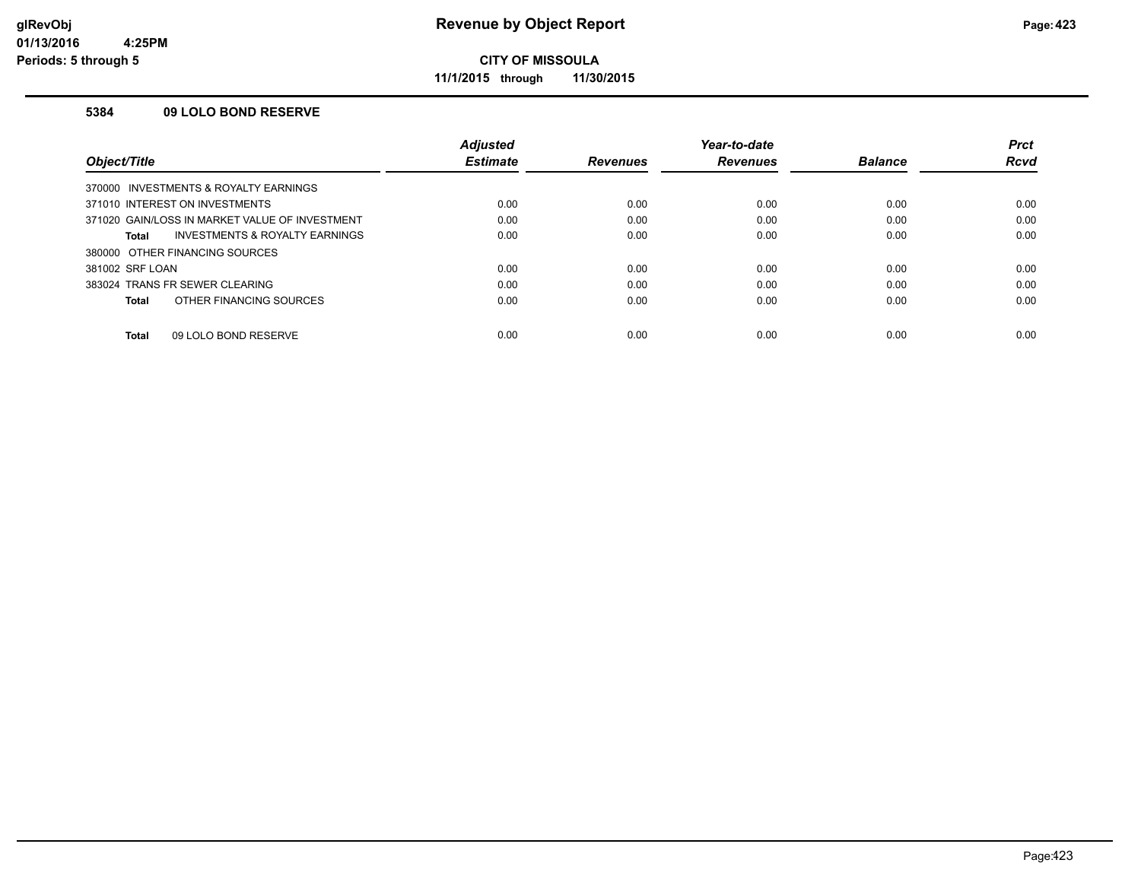**11/1/2015 through 11/30/2015**

#### **5384 09 LOLO BOND RESERVE**

|                                                | <b>Adjusted</b> |                 | Year-to-date    |                | <b>Prct</b> |
|------------------------------------------------|-----------------|-----------------|-----------------|----------------|-------------|
| Object/Title                                   | <b>Estimate</b> | <b>Revenues</b> | <b>Revenues</b> | <b>Balance</b> | Rcvd        |
| 370000 INVESTMENTS & ROYALTY EARNINGS          |                 |                 |                 |                |             |
| 371010 INTEREST ON INVESTMENTS                 | 0.00            | 0.00            | 0.00            | 0.00           | 0.00        |
| 371020 GAIN/LOSS IN MARKET VALUE OF INVESTMENT | 0.00            | 0.00            | 0.00            | 0.00           | 0.00        |
| INVESTMENTS & ROYALTY EARNINGS<br>Total        | 0.00            | 0.00            | 0.00            | 0.00           | 0.00        |
| 380000 OTHER FINANCING SOURCES                 |                 |                 |                 |                |             |
| 381002 SRF LOAN                                | 0.00            | 0.00            | 0.00            | 0.00           | 0.00        |
| 383024 TRANS FR SEWER CLEARING                 | 0.00            | 0.00            | 0.00            | 0.00           | 0.00        |
| OTHER FINANCING SOURCES<br>Total               | 0.00            | 0.00            | 0.00            | 0.00           | 0.00        |
| 09 LOLO BOND RESERVE<br><b>Total</b>           | 0.00            | 0.00            | 0.00            | 0.00           | 0.00        |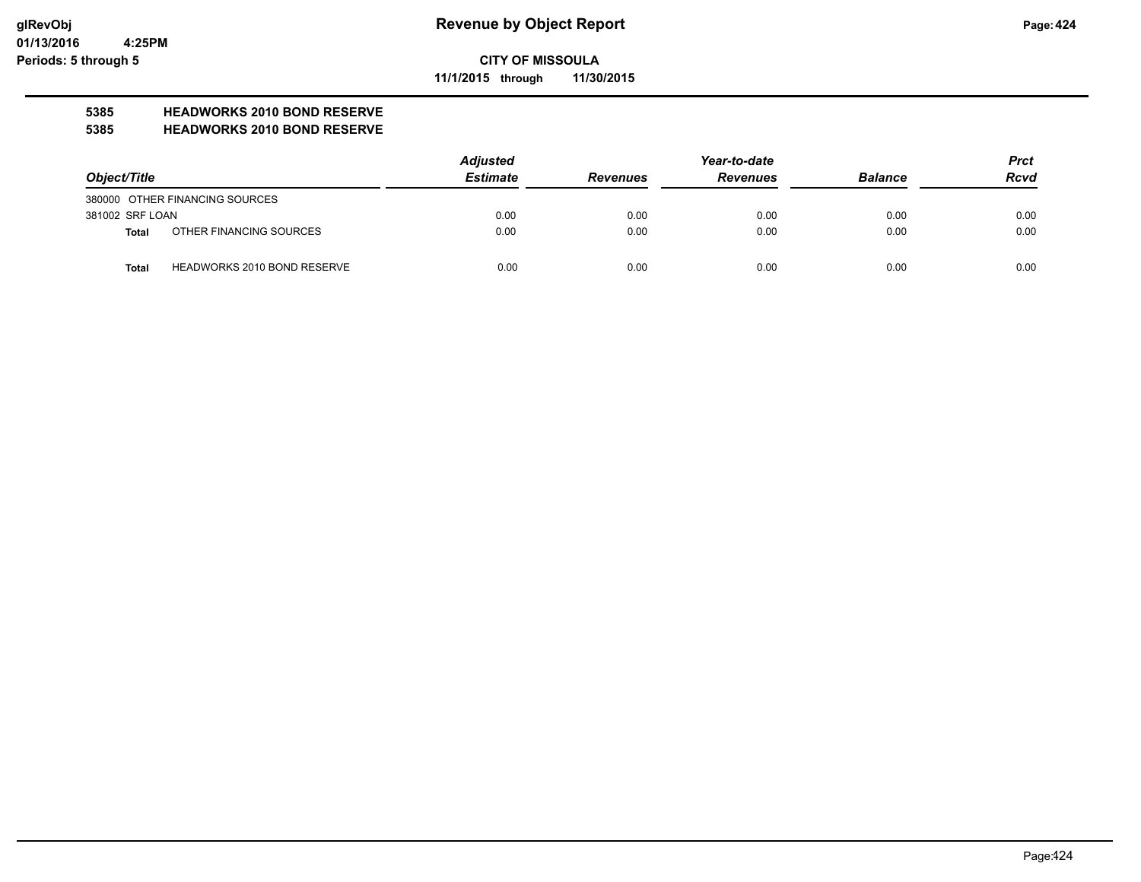**11/1/2015 through 11/30/2015**

# **5385 HEADWORKS 2010 BOND RESERVE**

#### **5385 HEADWORKS 2010 BOND RESERVE**

|                 |                                    | <b>Adjusted</b> |                 | Year-to-date    |                |             |
|-----------------|------------------------------------|-----------------|-----------------|-----------------|----------------|-------------|
| Object/Title    |                                    | <b>Estimate</b> | <b>Revenues</b> | <b>Revenues</b> | <b>Balance</b> | <b>Rcvd</b> |
|                 | 380000 OTHER FINANCING SOURCES     |                 |                 |                 |                |             |
| 381002 SRF LOAN |                                    | 0.00            | 0.00            | 0.00            | 0.00           | 0.00        |
| Total           | OTHER FINANCING SOURCES            | 0.00            | 0.00            | 0.00            | 0.00           | 0.00        |
| <b>Total</b>    | <b>HEADWORKS 2010 BOND RESERVE</b> | 0.00            | 0.00            | 0.00            | 0.00           | 0.00        |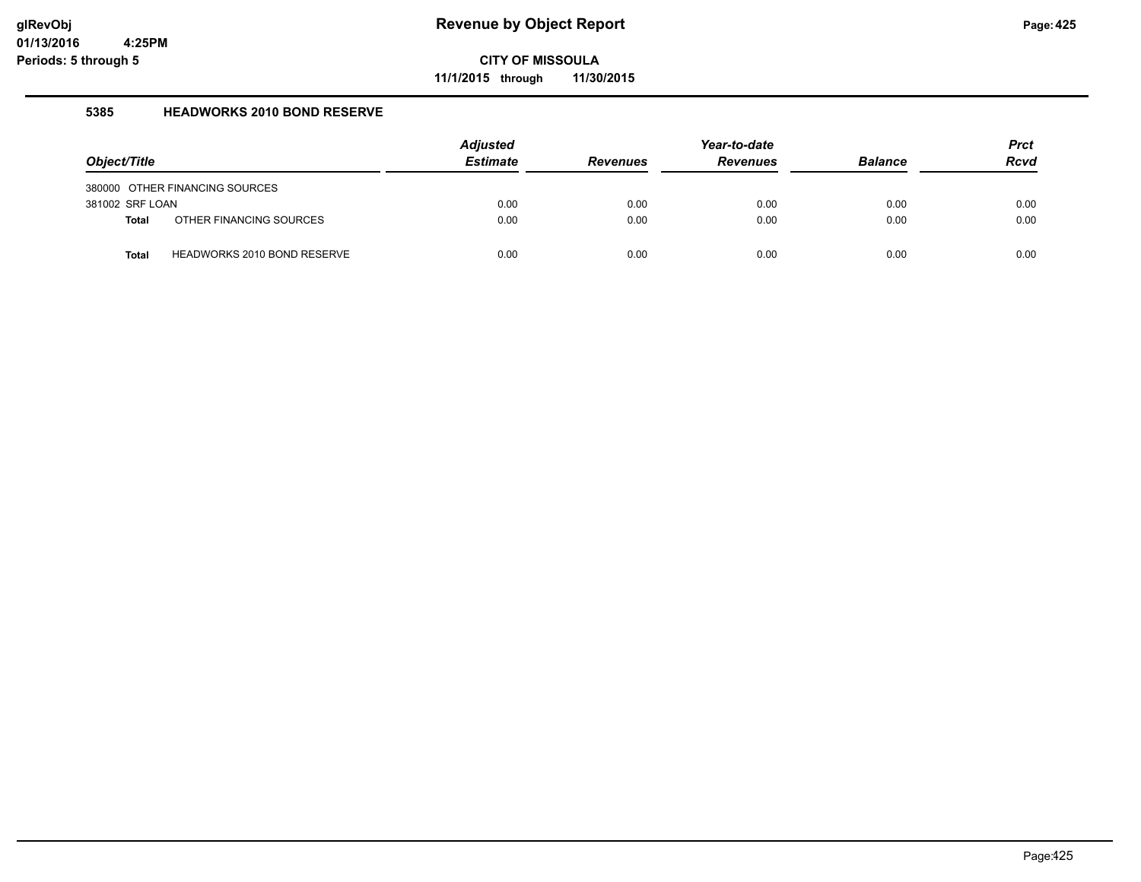**11/1/2015 through 11/30/2015**

#### **5385 HEADWORKS 2010 BOND RESERVE**

| Object/Title    |                                | <b>Adjusted</b><br><b>Estimate</b> | <b>Revenues</b> | Year-to-date<br><b>Revenues</b> | <b>Balance</b> | <b>Prct</b><br><b>Rcvd</b> |
|-----------------|--------------------------------|------------------------------------|-----------------|---------------------------------|----------------|----------------------------|
|                 | 380000 OTHER FINANCING SOURCES |                                    |                 |                                 |                |                            |
| 381002 SRF LOAN |                                | 0.00                               | 0.00            | 0.00                            | 0.00           | 0.00                       |
| <b>Total</b>    | OTHER FINANCING SOURCES        | 0.00                               | 0.00            | 0.00                            | 0.00           | 0.00                       |
| <b>Total</b>    | HEADWORKS 2010 BOND RESERVE    | 0.00                               | 0.00            | 0.00                            | 0.00           | 0.00                       |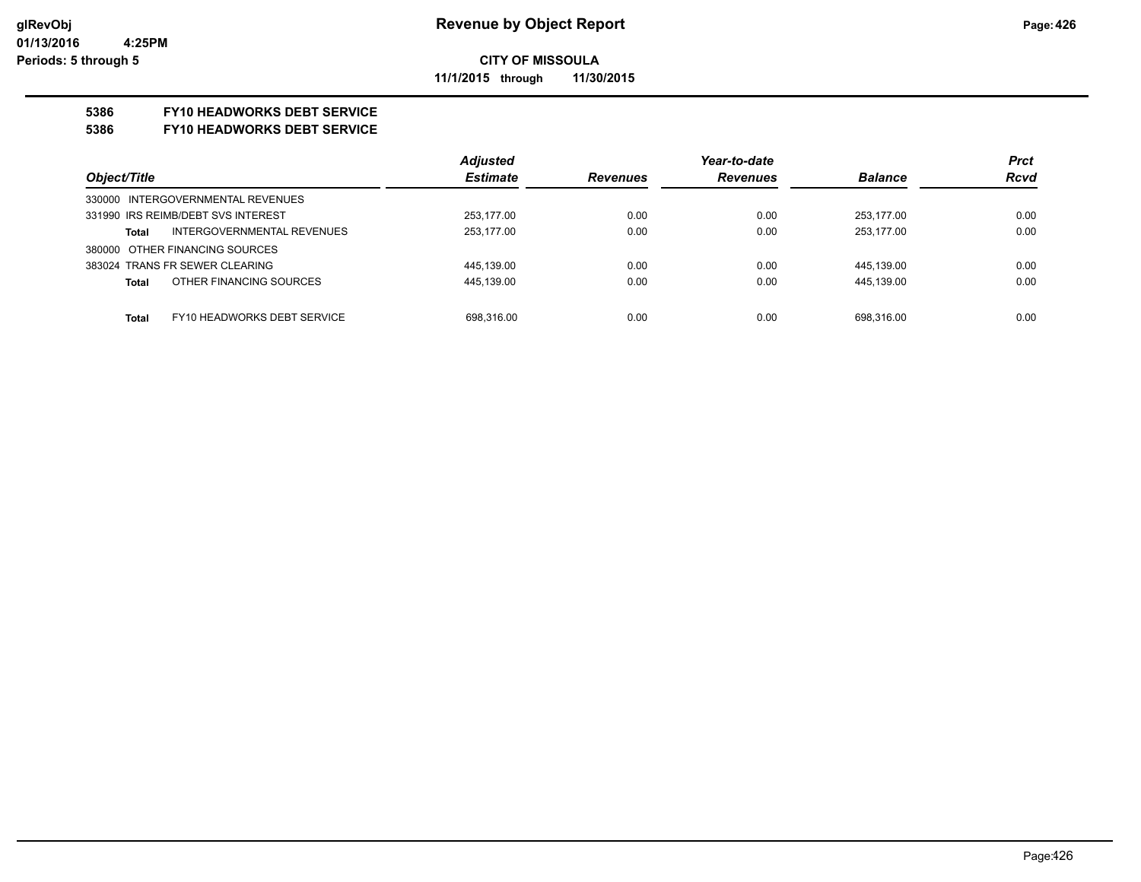**11/1/2015 through 11/30/2015**

### **5386 FY10 HEADWORKS DEBT SERVICE**

#### **5386 FY10 HEADWORKS DEBT SERVICE**

|                                      | <b>Adjusted</b> |                 | Year-to-date    |                | <b>Prct</b> |
|--------------------------------------|-----------------|-----------------|-----------------|----------------|-------------|
| Object/Title                         | <b>Estimate</b> | <b>Revenues</b> | <b>Revenues</b> | <b>Balance</b> | <b>Rcvd</b> |
| 330000 INTERGOVERNMENTAL REVENUES    |                 |                 |                 |                |             |
| 331990 IRS REIMB/DEBT SVS INTEREST   | 253.177.00      | 0.00            | 0.00            | 253.177.00     | 0.00        |
| INTERGOVERNMENTAL REVENUES<br>Total  | 253,177.00      | 0.00            | 0.00            | 253.177.00     | 0.00        |
| 380000 OTHER FINANCING SOURCES       |                 |                 |                 |                |             |
| 383024 TRANS FR SEWER CLEARING       | 445.139.00      | 0.00            | 0.00            | 445.139.00     | 0.00        |
| OTHER FINANCING SOURCES<br>Total     | 445.139.00      | 0.00            | 0.00            | 445.139.00     | 0.00        |
|                                      |                 |                 |                 |                |             |
| FY10 HEADWORKS DEBT SERVICE<br>Total | 698.316.00      | 0.00            | 0.00            | 698.316.00     | 0.00        |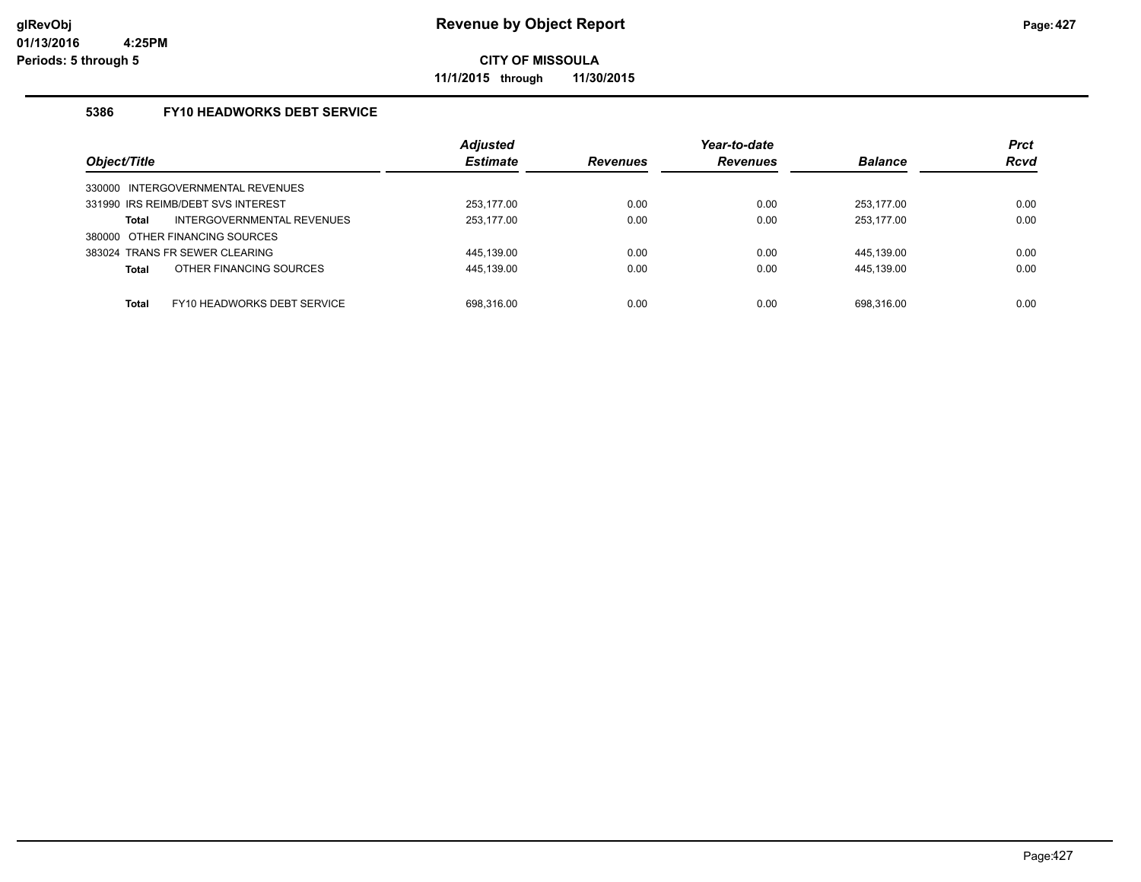**11/1/2015 through 11/30/2015**

#### **5386 FY10 HEADWORKS DEBT SERVICE**

| Object/Title                         | <b>Adjusted</b><br><b>Estimate</b> | <b>Revenues</b> | Year-to-date<br><b>Revenues</b> | <b>Balance</b> | <b>Prct</b><br><b>Rcvd</b> |
|--------------------------------------|------------------------------------|-----------------|---------------------------------|----------------|----------------------------|
| INTERGOVERNMENTAL REVENUES<br>330000 |                                    |                 |                                 |                |                            |
| 331990 IRS REIMB/DEBT SVS INTEREST   | 253.177.00                         | 0.00            | 0.00                            | 253.177.00     | 0.00                       |
| INTERGOVERNMENTAL REVENUES<br>Total  | 253,177.00                         | 0.00            | 0.00                            | 253,177.00     | 0.00                       |
| 380000 OTHER FINANCING SOURCES       |                                    |                 |                                 |                |                            |
| 383024 TRANS FR SEWER CLEARING       | 445.139.00                         | 0.00            | 0.00                            | 445,139.00     | 0.00                       |
| OTHER FINANCING SOURCES<br>Total     | 445,139.00                         | 0.00            | 0.00                            | 445,139.00     | 0.00                       |
|                                      |                                    |                 |                                 |                |                            |
| FY10 HEADWORKS DEBT SERVICE<br>Total | 698.316.00                         | 0.00            | 0.00                            | 698.316.00     | 0.00                       |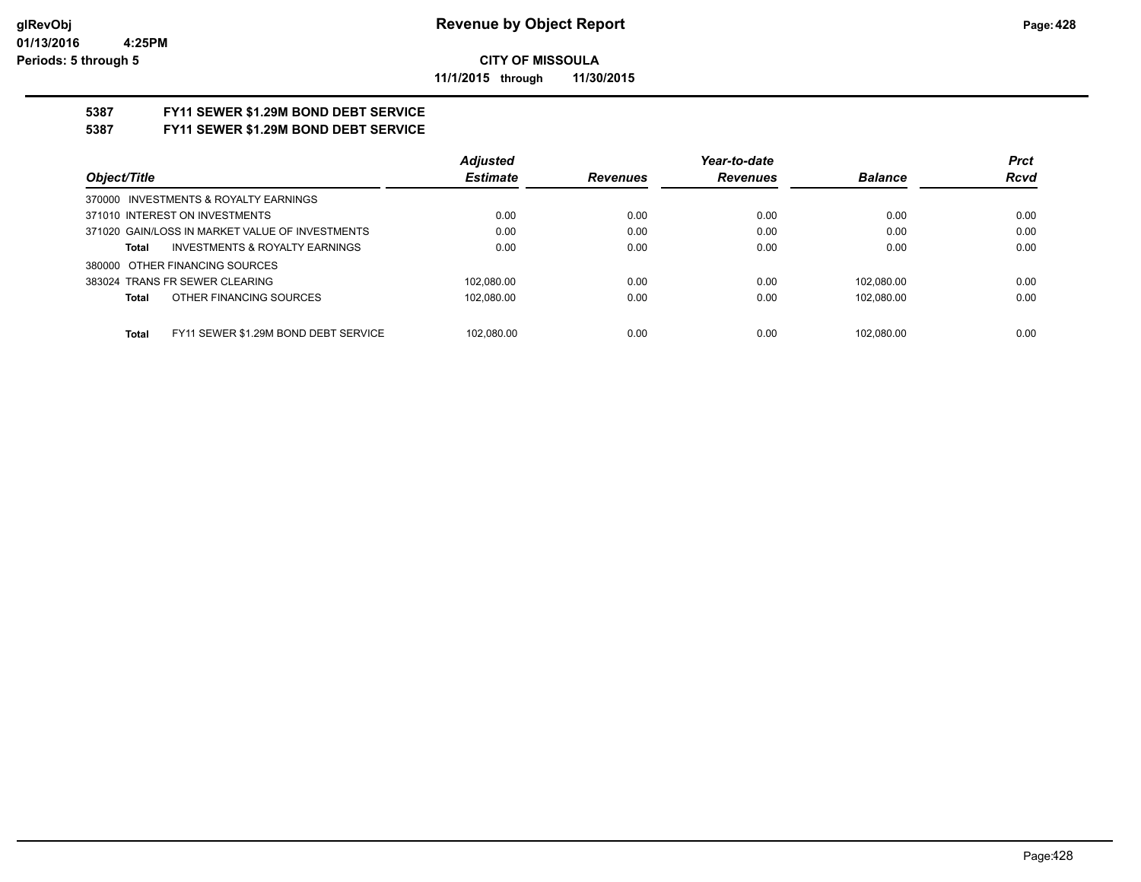**11/1/2015 through 11/30/2015**

# **5387 FY11 SEWER \$1.29M BOND DEBT SERVICE**

## **5387 FY11 SEWER \$1.29M BOND DEBT SERVICE**

|                                                      | <b>Adjusted</b> |                 | Year-to-date    |                | <b>Prct</b> |
|------------------------------------------------------|-----------------|-----------------|-----------------|----------------|-------------|
| Object/Title                                         | <b>Estimate</b> | <b>Revenues</b> | <b>Revenues</b> | <b>Balance</b> | <b>Rcvd</b> |
| 370000 INVESTMENTS & ROYALTY EARNINGS                |                 |                 |                 |                |             |
| 371010 INTEREST ON INVESTMENTS                       | 0.00            | 0.00            | 0.00            | 0.00           | 0.00        |
| 371020 GAIN/LOSS IN MARKET VALUE OF INVESTMENTS      | 0.00            | 0.00            | 0.00            | 0.00           | 0.00        |
| <b>INVESTMENTS &amp; ROYALTY EARNINGS</b><br>Total   | 0.00            | 0.00            | 0.00            | 0.00           | 0.00        |
| 380000 OTHER FINANCING SOURCES                       |                 |                 |                 |                |             |
| 383024 TRANS FR SEWER CLEARING                       | 102.080.00      | 0.00            | 0.00            | 102.080.00     | 0.00        |
| OTHER FINANCING SOURCES<br>Total                     | 102.080.00      | 0.00            | 0.00            | 102.080.00     | 0.00        |
|                                                      |                 |                 |                 |                |             |
| FY11 SEWER \$1.29M BOND DEBT SERVICE<br><b>Total</b> | 102.080.00      | 0.00            | 0.00            | 102.080.00     | 0.00        |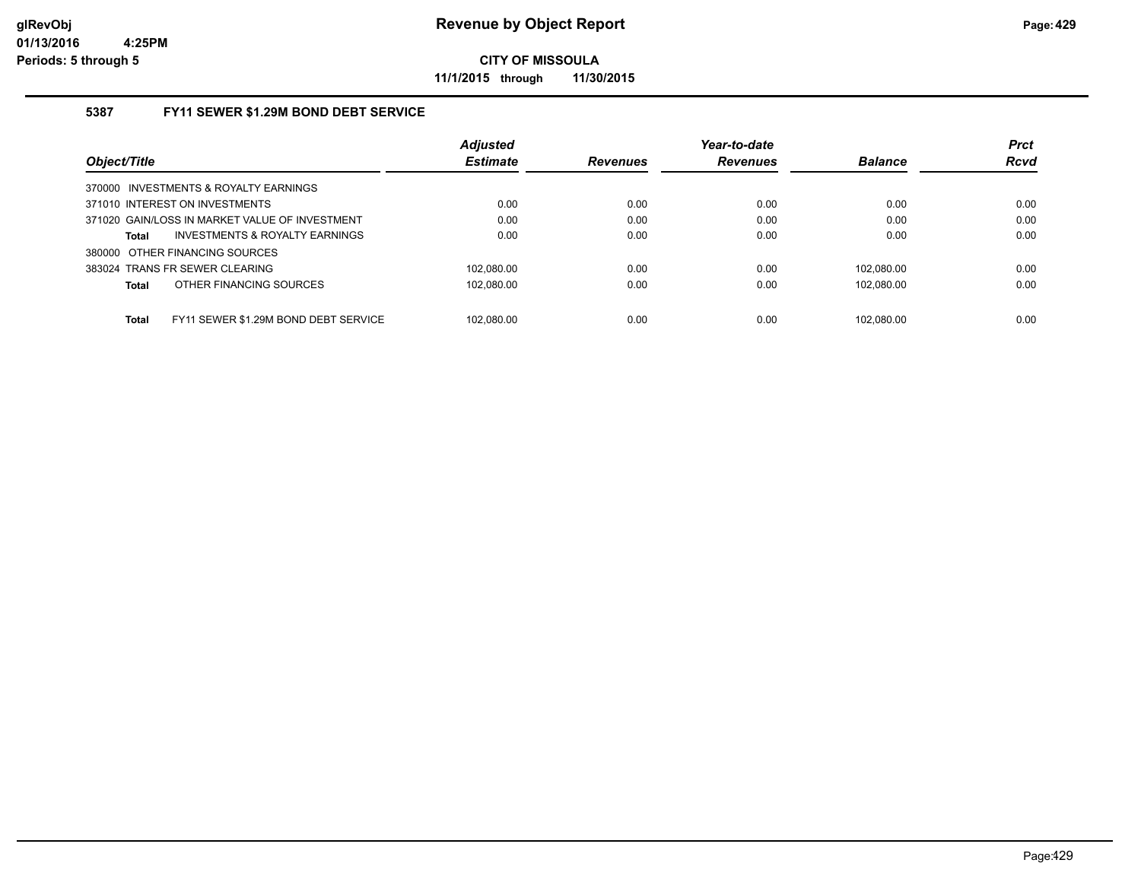**11/1/2015 through 11/30/2015**

#### **5387 FY11 SEWER \$1.29M BOND DEBT SERVICE**

|                                                | <b>Adjusted</b> |                 | Year-to-date    |                | <b>Prct</b> |
|------------------------------------------------|-----------------|-----------------|-----------------|----------------|-------------|
| Object/Title                                   | <b>Estimate</b> | <b>Revenues</b> | <b>Revenues</b> | <b>Balance</b> | <b>Rcvd</b> |
| 370000 INVESTMENTS & ROYALTY EARNINGS          |                 |                 |                 |                |             |
| 371010 INTEREST ON INVESTMENTS                 | 0.00            | 0.00            | 0.00            | 0.00           | 0.00        |
| 371020 GAIN/LOSS IN MARKET VALUE OF INVESTMENT | 0.00            | 0.00            | 0.00            | 0.00           | 0.00        |
| INVESTMENTS & ROYALTY EARNINGS<br><b>Total</b> | 0.00            | 0.00            | 0.00            | 0.00           | 0.00        |
| 380000 OTHER FINANCING SOURCES                 |                 |                 |                 |                |             |
| 383024 TRANS FR SEWER CLEARING                 | 102.080.00      | 0.00            | 0.00            | 102.080.00     | 0.00        |
| OTHER FINANCING SOURCES<br>Total               | 102.080.00      | 0.00            | 0.00            | 102.080.00     | 0.00        |
|                                                |                 |                 |                 |                |             |
| FY11 SEWER \$1.29M BOND DEBT SERVICE<br>Total  | 102.080.00      | 0.00            | 0.00            | 102.080.00     | 0.00        |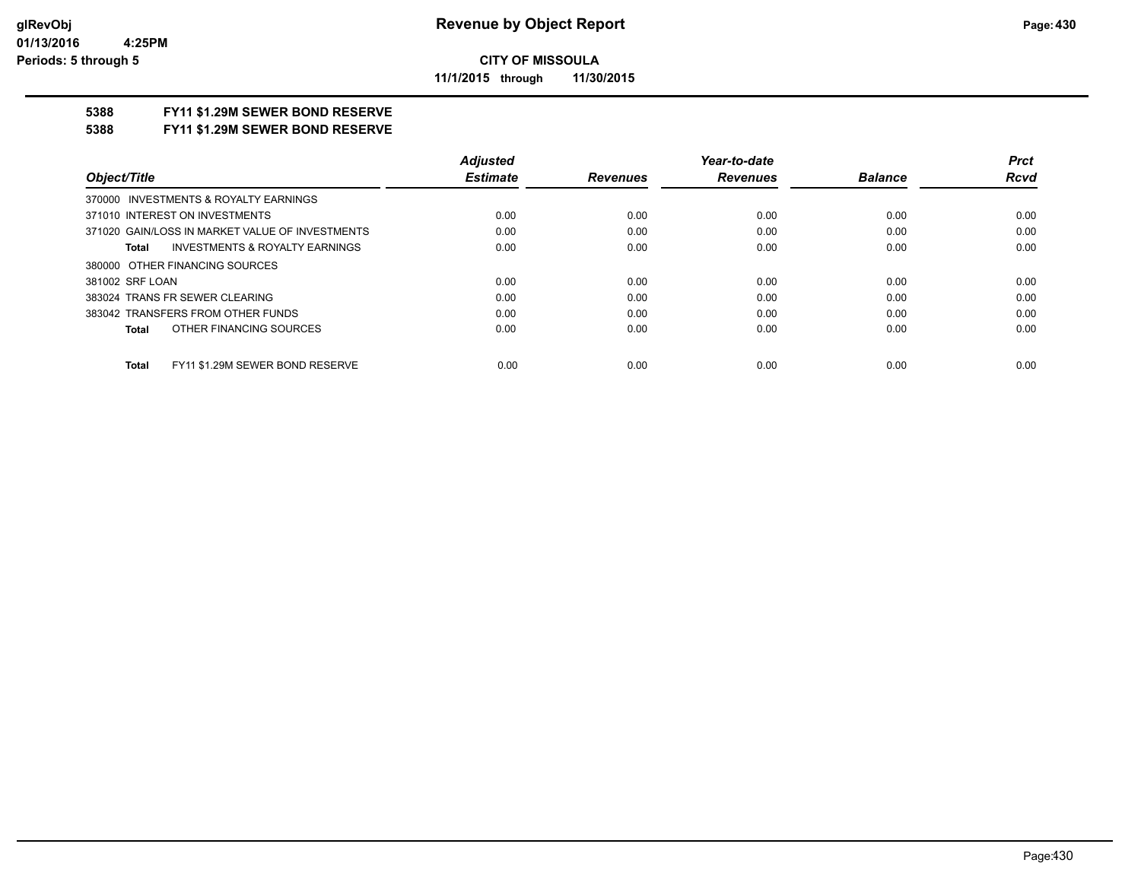**11/1/2015 through 11/30/2015**

#### **5388 FY11 \$1.29M SEWER BOND RESERVE**

#### **5388 FY11 \$1.29M SEWER BOND RESERVE**

|                                                    | <b>Adjusted</b> |                 | Year-to-date    |                | <b>Prct</b> |
|----------------------------------------------------|-----------------|-----------------|-----------------|----------------|-------------|
| Object/Title                                       | <b>Estimate</b> | <b>Revenues</b> | <b>Revenues</b> | <b>Balance</b> | <b>Rcvd</b> |
| 370000 INVESTMENTS & ROYALTY EARNINGS              |                 |                 |                 |                |             |
| 371010 INTEREST ON INVESTMENTS                     | 0.00            | 0.00            | 0.00            | 0.00           | 0.00        |
| 371020 GAIN/LOSS IN MARKET VALUE OF INVESTMENTS    | 0.00            | 0.00            | 0.00            | 0.00           | 0.00        |
| <b>INVESTMENTS &amp; ROYALTY EARNINGS</b><br>Total | 0.00            | 0.00            | 0.00            | 0.00           | 0.00        |
| 380000 OTHER FINANCING SOURCES                     |                 |                 |                 |                |             |
| 381002 SRF LOAN                                    | 0.00            | 0.00            | 0.00            | 0.00           | 0.00        |
| 383024 TRANS FR SEWER CLEARING                     | 0.00            | 0.00            | 0.00            | 0.00           | 0.00        |
| 383042 TRANSFERS FROM OTHER FUNDS                  | 0.00            | 0.00            | 0.00            | 0.00           | 0.00        |
| OTHER FINANCING SOURCES<br>Total                   | 0.00            | 0.00            | 0.00            | 0.00           | 0.00        |
|                                                    |                 |                 |                 |                |             |
| FY11 \$1.29M SEWER BOND RESERVE<br><b>Total</b>    | 0.00            | 0.00            | 0.00            | 0.00           | 0.00        |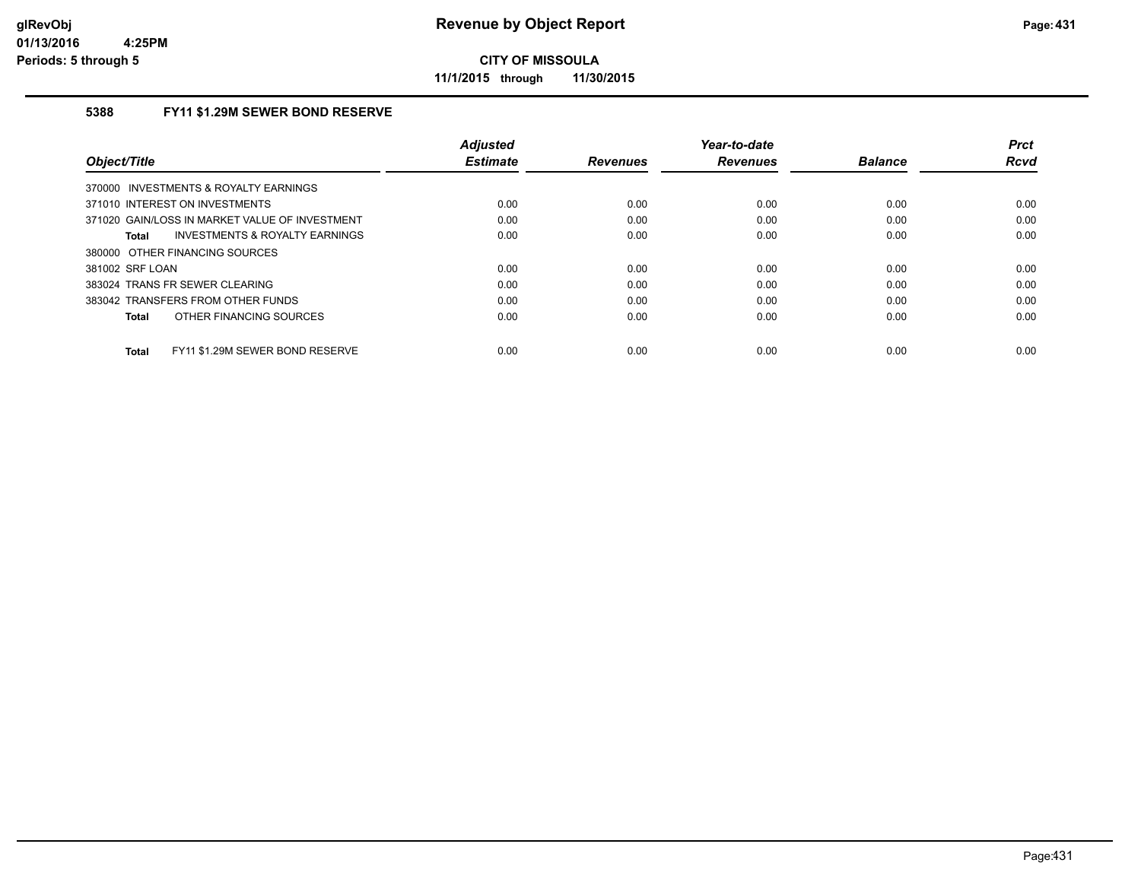**11/1/2015 through 11/30/2015**

#### **5388 FY11 \$1.29M SEWER BOND RESERVE**

| Object/Title                                   | <b>Adjusted</b><br><b>Estimate</b> | <b>Revenues</b> | Year-to-date<br><b>Revenues</b> | <b>Balance</b> | <b>Prct</b><br>Rcvd |
|------------------------------------------------|------------------------------------|-----------------|---------------------------------|----------------|---------------------|
| 370000 INVESTMENTS & ROYALTY EARNINGS          |                                    |                 |                                 |                |                     |
| 371010 INTEREST ON INVESTMENTS                 | 0.00                               | 0.00            | 0.00                            | 0.00           | 0.00                |
| 371020 GAIN/LOSS IN MARKET VALUE OF INVESTMENT | 0.00                               | 0.00            | 0.00                            | 0.00           | 0.00                |
| INVESTMENTS & ROYALTY EARNINGS<br>Total        | 0.00                               | 0.00            | 0.00                            | 0.00           | 0.00                |
| 380000 OTHER FINANCING SOURCES                 |                                    |                 |                                 |                |                     |
| 381002 SRF LOAN                                | 0.00                               | 0.00            | 0.00                            | 0.00           | 0.00                |
| 383024 TRANS FR SEWER CLEARING                 | 0.00                               | 0.00            | 0.00                            | 0.00           | 0.00                |
| 383042 TRANSFERS FROM OTHER FUNDS              | 0.00                               | 0.00            | 0.00                            | 0.00           | 0.00                |
| OTHER FINANCING SOURCES<br>Total               | 0.00                               | 0.00            | 0.00                            | 0.00           | 0.00                |
| FY11 \$1.29M SEWER BOND RESERVE<br>Total       | 0.00                               | 0.00            | 0.00                            | 0.00           | 0.00                |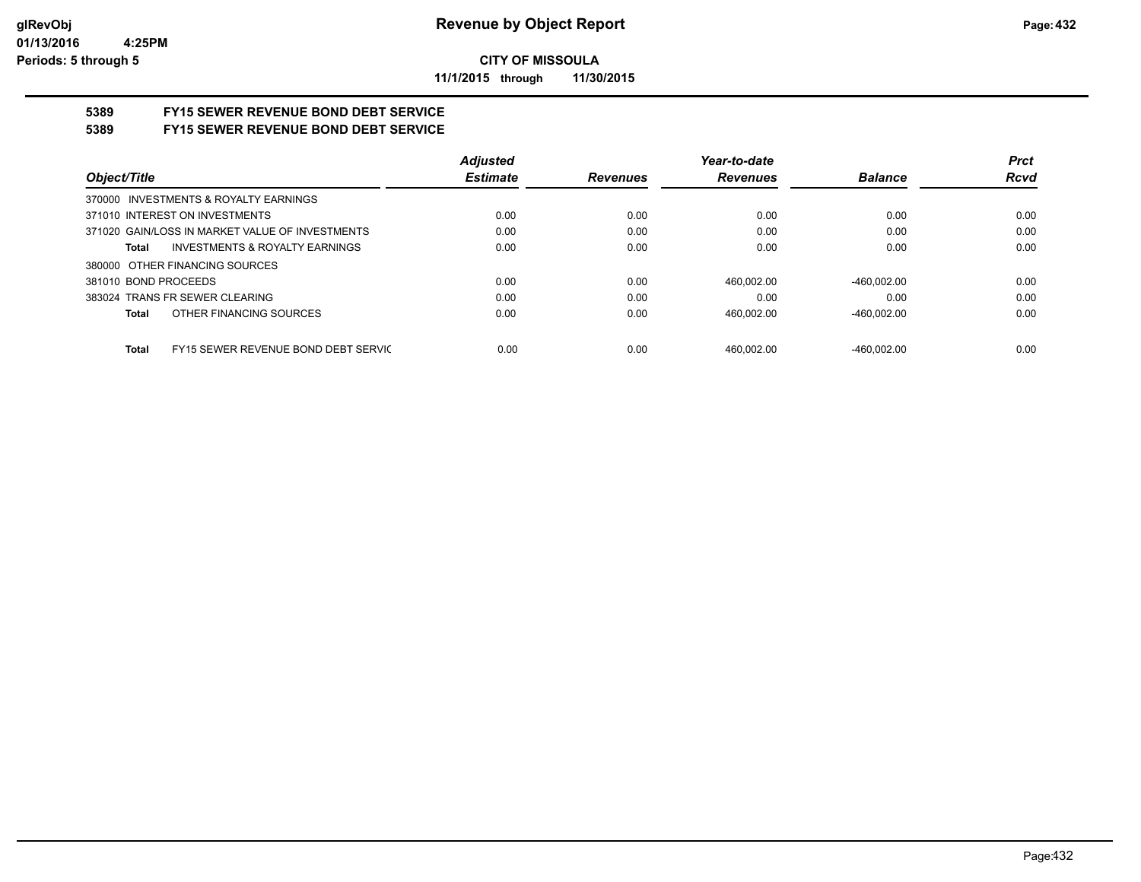**11/1/2015 through 11/30/2015**

# **5389 FY15 SEWER REVENUE BOND DEBT SERVICE**

## **5389 FY15 SEWER REVENUE BOND DEBT SERVICE**

|                                                 | <b>Adjusted</b> |                 | Year-to-date    |                | <b>Prct</b> |
|-------------------------------------------------|-----------------|-----------------|-----------------|----------------|-------------|
| Object/Title                                    | <b>Estimate</b> | <b>Revenues</b> | <b>Revenues</b> | <b>Balance</b> | <b>Rcvd</b> |
| 370000 INVESTMENTS & ROYALTY EARNINGS           |                 |                 |                 |                |             |
| 371010 INTEREST ON INVESTMENTS                  | 0.00            | 0.00            | 0.00            | 0.00           | 0.00        |
| 371020 GAIN/LOSS IN MARKET VALUE OF INVESTMENTS | 0.00            | 0.00            | 0.00            | 0.00           | 0.00        |
| INVESTMENTS & ROYALTY EARNINGS<br>Total         | 0.00            | 0.00            | 0.00            | 0.00           | 0.00        |
| 380000 OTHER FINANCING SOURCES                  |                 |                 |                 |                |             |
| 381010 BOND PROCEEDS                            | 0.00            | 0.00            | 460.002.00      | $-460.002.00$  | 0.00        |
| 383024 TRANS FR SEWER CLEARING                  | 0.00            | 0.00            | 0.00            | 0.00           | 0.00        |
| OTHER FINANCING SOURCES<br>Total                | 0.00            | 0.00            | 460,002.00      | $-460.002.00$  | 0.00        |
|                                                 |                 |                 |                 |                |             |
| FY15 SEWER REVENUE BOND DEBT SERVIC<br>Total    | 0.00            | 0.00            | 460.002.00      | $-460.002.00$  | 0.00        |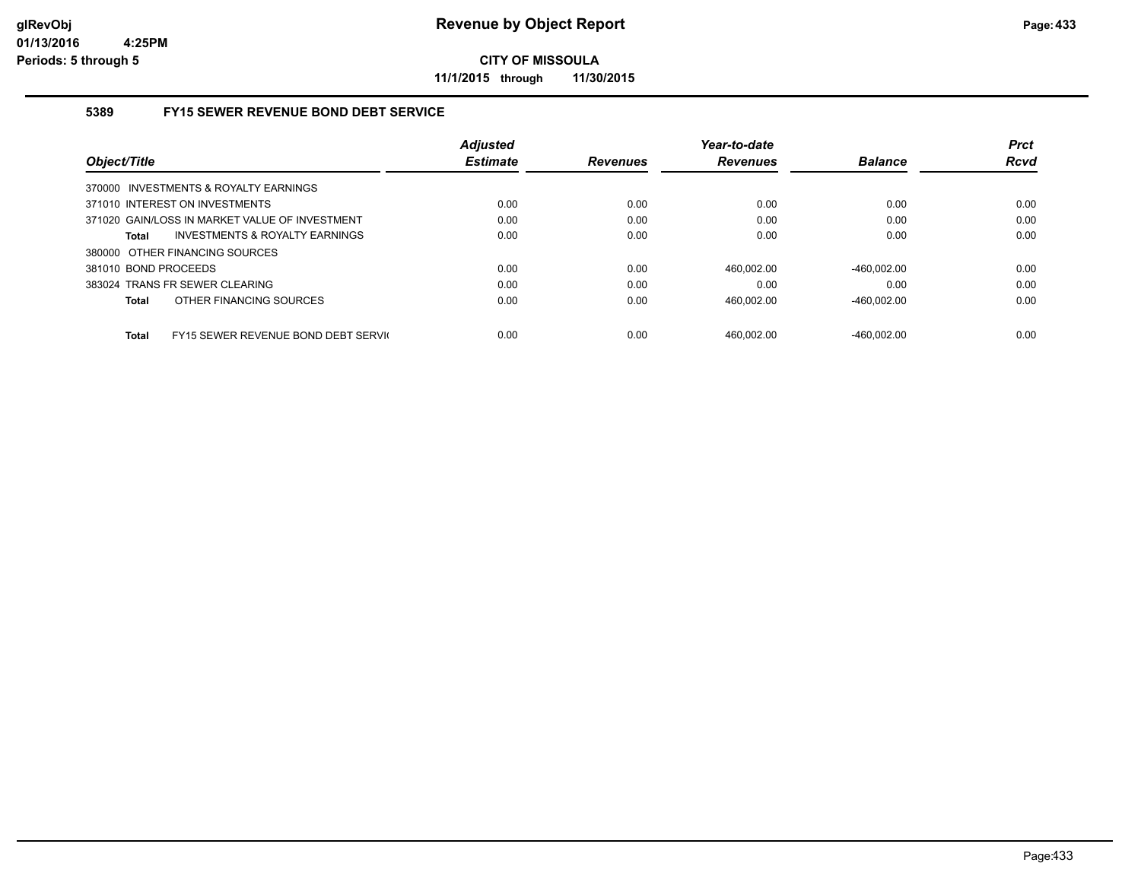**11/1/2015 through 11/30/2015**

### **5389 FY15 SEWER REVENUE BOND DEBT SERVICE**

|                                                     | <b>Adjusted</b> |                 | Year-to-date    |                | <b>Prct</b> |
|-----------------------------------------------------|-----------------|-----------------|-----------------|----------------|-------------|
| Object/Title                                        | <b>Estimate</b> | <b>Revenues</b> | <b>Revenues</b> | <b>Balance</b> | <b>Rcvd</b> |
| 370000 INVESTMENTS & ROYALTY EARNINGS               |                 |                 |                 |                |             |
| 371010 INTEREST ON INVESTMENTS                      | 0.00            | 0.00            | 0.00            | 0.00           | 0.00        |
| 371020 GAIN/LOSS IN MARKET VALUE OF INVESTMENT      | 0.00            | 0.00            | 0.00            | 0.00           | 0.00        |
| INVESTMENTS & ROYALTY EARNINGS<br>Total             | 0.00            | 0.00            | 0.00            | 0.00           | 0.00        |
| 380000 OTHER FINANCING SOURCES                      |                 |                 |                 |                |             |
| 381010 BOND PROCEEDS                                | 0.00            | 0.00            | 460.002.00      | $-460.002.00$  | 0.00        |
| 383024 TRANS FR SEWER CLEARING                      | 0.00            | 0.00            | 0.00            | 0.00           | 0.00        |
| OTHER FINANCING SOURCES<br>Total                    | 0.00            | 0.00            | 460.002.00      | $-460.002.00$  | 0.00        |
|                                                     |                 |                 |                 |                |             |
| FY15 SEWER REVENUE BOND DEBT SERVIC<br><b>Total</b> | 0.00            | 0.00            | 460.002.00      | $-460.002.00$  | 0.00        |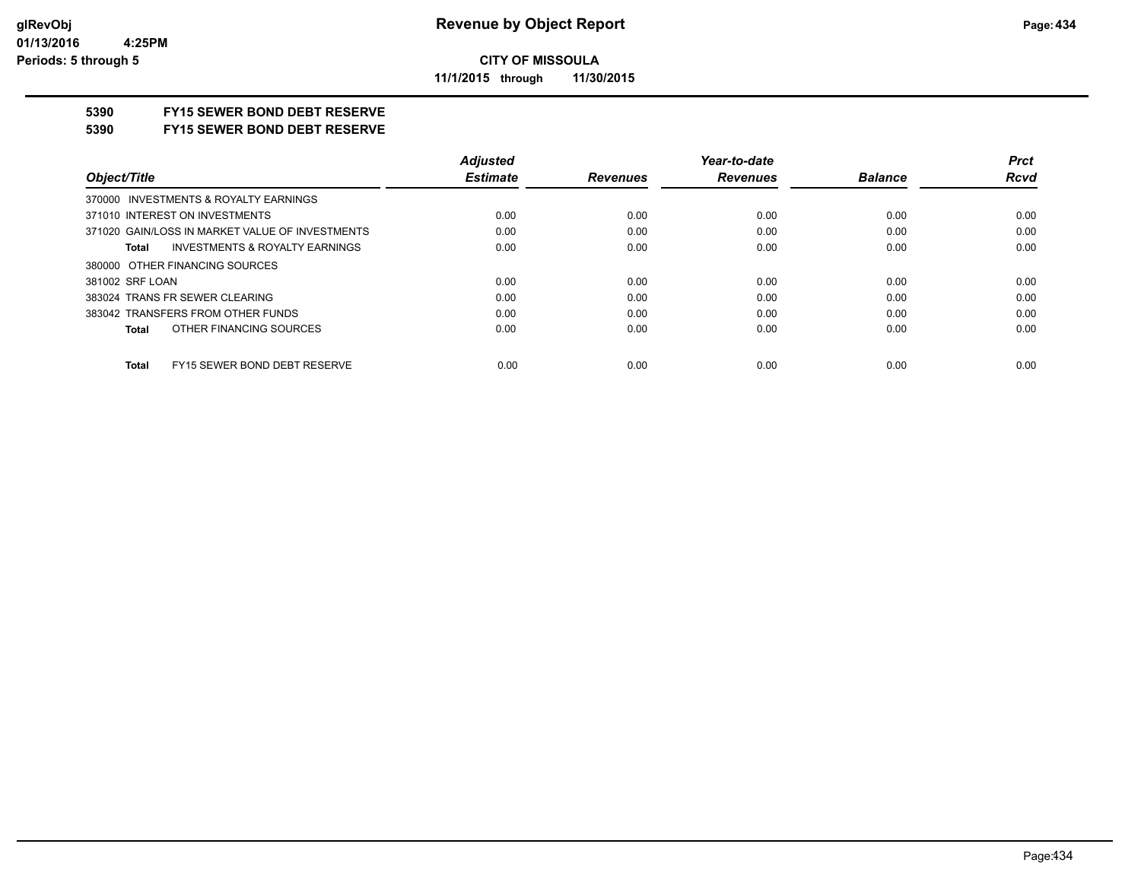**11/1/2015 through 11/30/2015**

### **5390 FY15 SEWER BOND DEBT RESERVE**

#### **5390 FY15 SEWER BOND DEBT RESERVE**

|                                                    | <b>Adjusted</b> |                 | Year-to-date    |                | <b>Prct</b> |
|----------------------------------------------------|-----------------|-----------------|-----------------|----------------|-------------|
| Object/Title                                       | <b>Estimate</b> | <b>Revenues</b> | <b>Revenues</b> | <b>Balance</b> | <b>Rcvd</b> |
| 370000 INVESTMENTS & ROYALTY EARNINGS              |                 |                 |                 |                |             |
| 371010 INTEREST ON INVESTMENTS                     | 0.00            | 0.00            | 0.00            | 0.00           | 0.00        |
| 371020 GAIN/LOSS IN MARKET VALUE OF INVESTMENTS    | 0.00            | 0.00            | 0.00            | 0.00           | 0.00        |
| <b>INVESTMENTS &amp; ROYALTY EARNINGS</b><br>Total | 0.00            | 0.00            | 0.00            | 0.00           | 0.00        |
| 380000 OTHER FINANCING SOURCES                     |                 |                 |                 |                |             |
| 381002 SRF LOAN                                    | 0.00            | 0.00            | 0.00            | 0.00           | 0.00        |
| 383024 TRANS FR SEWER CLEARING                     | 0.00            | 0.00            | 0.00            | 0.00           | 0.00        |
| 383042 TRANSFERS FROM OTHER FUNDS                  | 0.00            | 0.00            | 0.00            | 0.00           | 0.00        |
| OTHER FINANCING SOURCES<br><b>Total</b>            | 0.00            | 0.00            | 0.00            | 0.00           | 0.00        |
|                                                    |                 |                 |                 |                |             |
| FY15 SEWER BOND DEBT RESERVE<br><b>Total</b>       | 0.00            | 0.00            | 0.00            | 0.00           | 0.00        |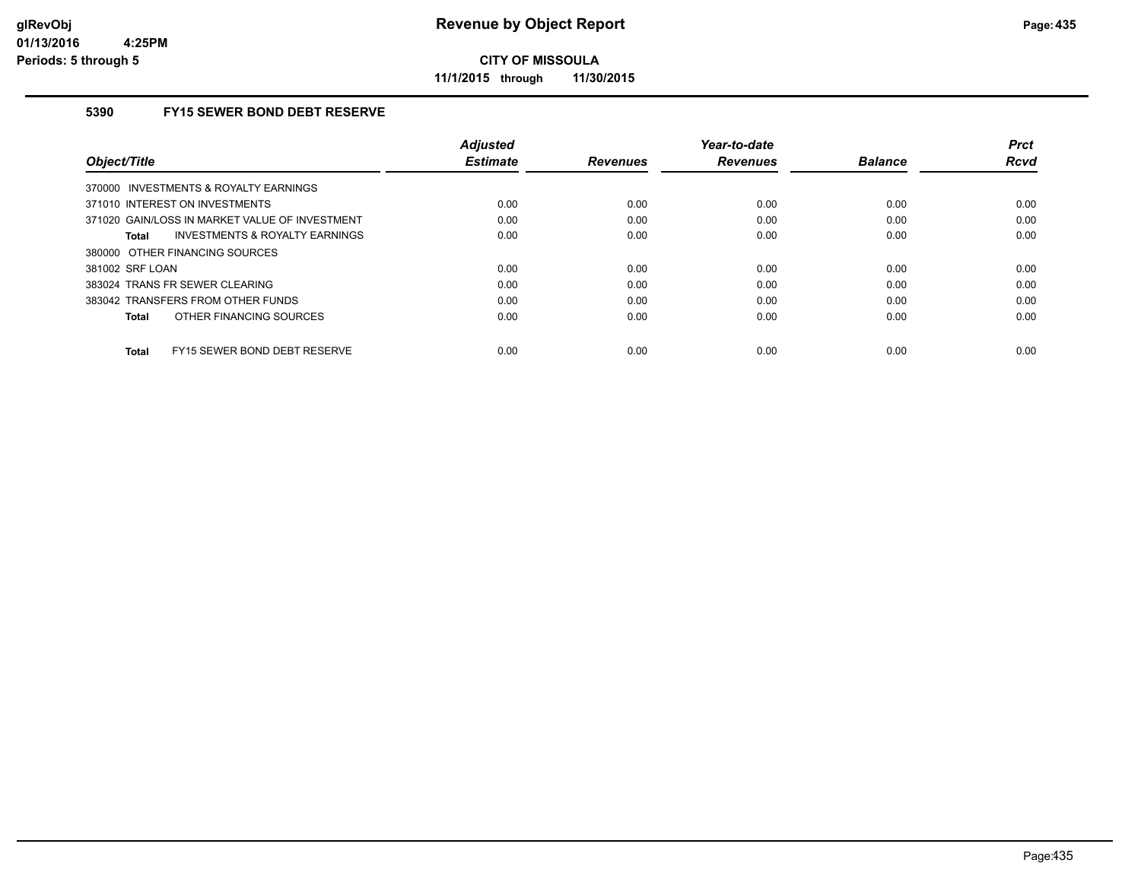**11/1/2015 through 11/30/2015**

### **5390 FY15 SEWER BOND DEBT RESERVE**

| Object/Title                                   | <b>Adiusted</b><br><b>Estimate</b> | <b>Revenues</b> | Year-to-date<br><b>Revenues</b> | <b>Balance</b> | <b>Prct</b><br><b>Rcvd</b> |
|------------------------------------------------|------------------------------------|-----------------|---------------------------------|----------------|----------------------------|
| 370000 INVESTMENTS & ROYALTY EARNINGS          |                                    |                 |                                 |                |                            |
| 371010 INTEREST ON INVESTMENTS                 | 0.00                               | 0.00            | 0.00                            | 0.00           | 0.00                       |
| 371020 GAIN/LOSS IN MARKET VALUE OF INVESTMENT | 0.00                               | 0.00            | 0.00                            | 0.00           | 0.00                       |
| INVESTMENTS & ROYALTY EARNINGS<br>Total        | 0.00                               | 0.00            | 0.00                            | 0.00           | 0.00                       |
| 380000 OTHER FINANCING SOURCES                 |                                    |                 |                                 |                |                            |
| 381002 SRF LOAN                                | 0.00                               | 0.00            | 0.00                            | 0.00           | 0.00                       |
| 383024 TRANS FR SEWER CLEARING                 | 0.00                               | 0.00            | 0.00                            | 0.00           | 0.00                       |
| 383042 TRANSFERS FROM OTHER FUNDS              | 0.00                               | 0.00            | 0.00                            | 0.00           | 0.00                       |
| OTHER FINANCING SOURCES<br>Total               | 0.00                               | 0.00            | 0.00                            | 0.00           | 0.00                       |
| FY15 SEWER BOND DEBT RESERVE<br><b>Total</b>   | 0.00                               | 0.00            | 0.00                            | 0.00           | 0.00                       |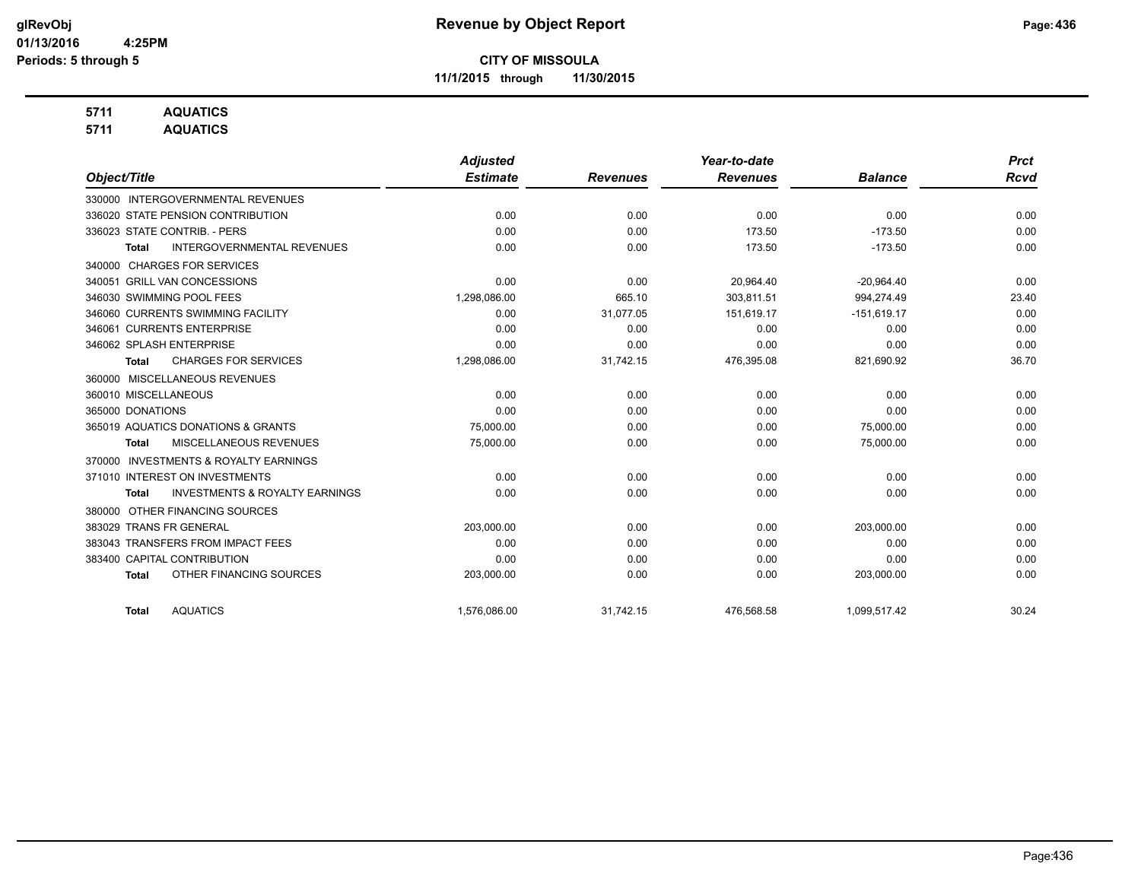**11/1/2015 through 11/30/2015**

### **5711 AQUATICS**

**5711 AQUATICS**

|                                                     | <b>Adjusted</b> |                 | Year-to-date    |                | <b>Prct</b> |
|-----------------------------------------------------|-----------------|-----------------|-----------------|----------------|-------------|
| Object/Title                                        | <b>Estimate</b> | <b>Revenues</b> | <b>Revenues</b> | <b>Balance</b> | <b>Rcvd</b> |
| 330000 INTERGOVERNMENTAL REVENUES                   |                 |                 |                 |                |             |
| 336020 STATE PENSION CONTRIBUTION                   | 0.00            | 0.00            | 0.00            | 0.00           | 0.00        |
| 336023 STATE CONTRIB. - PERS                        | 0.00            | 0.00            | 173.50          | $-173.50$      | 0.00        |
| <b>INTERGOVERNMENTAL REVENUES</b><br><b>Total</b>   | 0.00            | 0.00            | 173.50          | $-173.50$      | 0.00        |
| <b>CHARGES FOR SERVICES</b><br>340000               |                 |                 |                 |                |             |
| 340051 GRILL VAN CONCESSIONS                        | 0.00            | 0.00            | 20,964.40       | $-20,964.40$   | 0.00        |
| 346030 SWIMMING POOL FEES                           | 1,298,086.00    | 665.10          | 303,811.51      | 994,274.49     | 23.40       |
| 346060 CURRENTS SWIMMING FACILITY                   | 0.00            | 31,077.05       | 151.619.17      | $-151,619.17$  | 0.00        |
| 346061 CURRENTS ENTERPRISE                          | 0.00            | 0.00            | 0.00            | 0.00           | 0.00        |
| 346062 SPLASH ENTERPRISE                            | 0.00            | 0.00            | 0.00            | 0.00           | 0.00        |
| <b>CHARGES FOR SERVICES</b><br><b>Total</b>         | 1,298,086.00    | 31,742.15       | 476,395.08      | 821,690.92     | 36.70       |
| 360000 MISCELLANEOUS REVENUES                       |                 |                 |                 |                |             |
| 360010 MISCELLANEOUS                                | 0.00            | 0.00            | 0.00            | 0.00           | 0.00        |
| 365000 DONATIONS                                    | 0.00            | 0.00            | 0.00            | 0.00           | 0.00        |
| 365019 AQUATICS DONATIONS & GRANTS                  | 75,000.00       | 0.00            | 0.00            | 75,000.00      | 0.00        |
| MISCELLANEOUS REVENUES<br><b>Total</b>              | 75,000.00       | 0.00            | 0.00            | 75,000.00      | 0.00        |
| <b>INVESTMENTS &amp; ROYALTY EARNINGS</b><br>370000 |                 |                 |                 |                |             |
| 371010 INTEREST ON INVESTMENTS                      | 0.00            | 0.00            | 0.00            | 0.00           | 0.00        |
| <b>INVESTMENTS &amp; ROYALTY EARNINGS</b><br>Total  | 0.00            | 0.00            | 0.00            | 0.00           | 0.00        |
| OTHER FINANCING SOURCES<br>380000                   |                 |                 |                 |                |             |
| 383029 TRANS FR GENERAL                             | 203,000.00      | 0.00            | 0.00            | 203,000.00     | 0.00        |
| 383043 TRANSFERS FROM IMPACT FEES                   | 0.00            | 0.00            | 0.00            | 0.00           | 0.00        |
| 383400 CAPITAL CONTRIBUTION                         | 0.00            | 0.00            | 0.00            | 0.00           | 0.00        |
| OTHER FINANCING SOURCES<br><b>Total</b>             | 203,000.00      | 0.00            | 0.00            | 203,000.00     | 0.00        |
| <b>AQUATICS</b><br><b>Total</b>                     | 1,576,086.00    | 31,742.15       | 476,568.58      | 1,099,517.42   | 30.24       |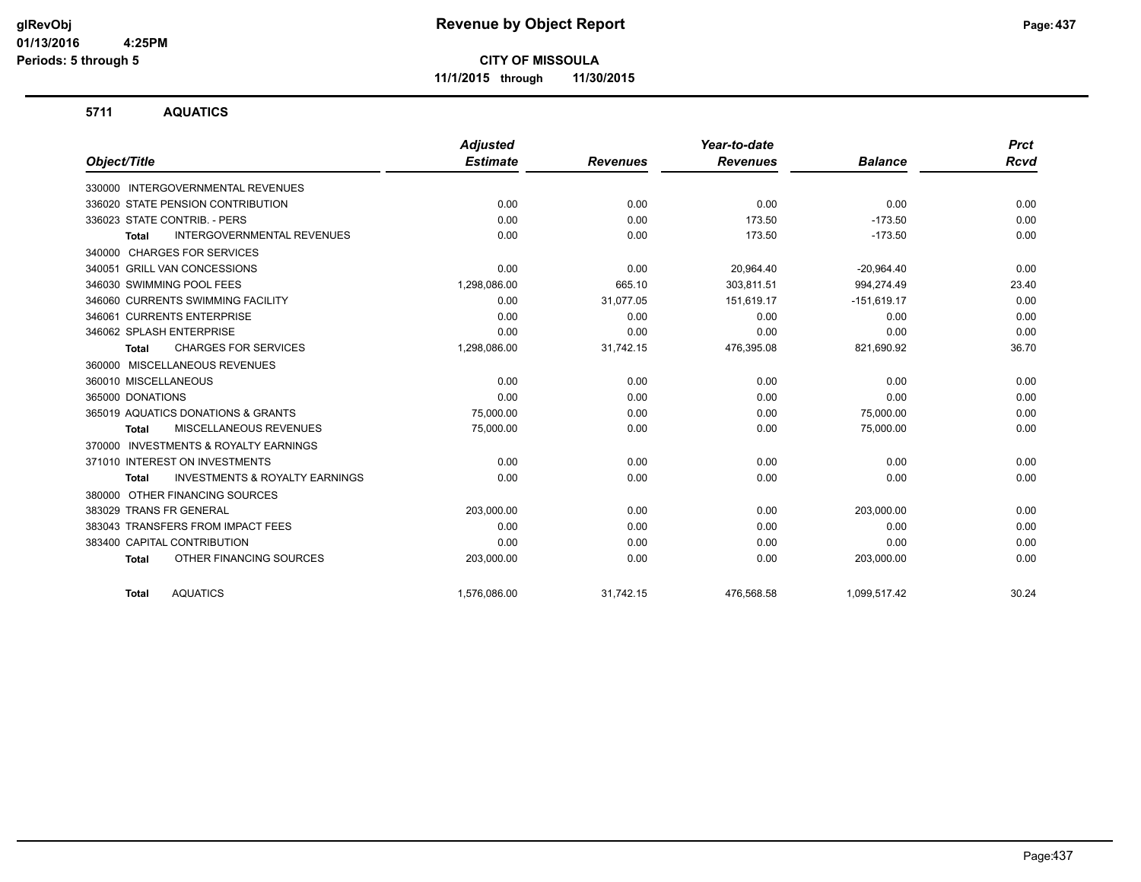**11/1/2015 through 11/30/2015**

#### **5711 AQUATICS**

|                                                     | <b>Adjusted</b> |                 | Year-to-date    |                | Prct        |
|-----------------------------------------------------|-----------------|-----------------|-----------------|----------------|-------------|
| Object/Title                                        | <b>Estimate</b> | <b>Revenues</b> | <b>Revenues</b> | <b>Balance</b> | <b>Rcvd</b> |
| 330000 INTERGOVERNMENTAL REVENUES                   |                 |                 |                 |                |             |
| 336020 STATE PENSION CONTRIBUTION                   | 0.00            | 0.00            | 0.00            | 0.00           | 0.00        |
| 336023 STATE CONTRIB. - PERS                        | 0.00            | 0.00            | 173.50          | $-173.50$      | 0.00        |
| <b>INTERGOVERNMENTAL REVENUES</b><br><b>Total</b>   | 0.00            | 0.00            | 173.50          | $-173.50$      | 0.00        |
| <b>CHARGES FOR SERVICES</b><br>340000               |                 |                 |                 |                |             |
| 340051 GRILL VAN CONCESSIONS                        | 0.00            | 0.00            | 20,964.40       | $-20,964.40$   | 0.00        |
| 346030 SWIMMING POOL FEES                           | 1,298,086.00    | 665.10          | 303,811.51      | 994,274.49     | 23.40       |
| 346060 CURRENTS SWIMMING FACILITY                   | 0.00            | 31.077.05       | 151,619.17      | $-151,619.17$  | 0.00        |
| 346061 CURRENTS ENTERPRISE                          | 0.00            | 0.00            | 0.00            | 0.00           | 0.00        |
| 346062 SPLASH ENTERPRISE                            | 0.00            | 0.00            | 0.00            | 0.00           | 0.00        |
| <b>CHARGES FOR SERVICES</b><br><b>Total</b>         | 1,298,086.00    | 31,742.15       | 476,395.08      | 821,690.92     | 36.70       |
| 360000 MISCELLANEOUS REVENUES                       |                 |                 |                 |                |             |
| 360010 MISCELLANEOUS                                | 0.00            | 0.00            | 0.00            | 0.00           | 0.00        |
| 365000 DONATIONS                                    | 0.00            | 0.00            | 0.00            | 0.00           | 0.00        |
| 365019 AQUATICS DONATIONS & GRANTS                  | 75,000.00       | 0.00            | 0.00            | 75.000.00      | 0.00        |
| MISCELLANEOUS REVENUES<br><b>Total</b>              | 75,000.00       | 0.00            | 0.00            | 75,000.00      | 0.00        |
| <b>INVESTMENTS &amp; ROYALTY EARNINGS</b><br>370000 |                 |                 |                 |                |             |
| 371010 INTEREST ON INVESTMENTS                      | 0.00            | 0.00            | 0.00            | 0.00           | 0.00        |
| <b>INVESTMENTS &amp; ROYALTY EARNINGS</b><br>Total  | 0.00            | 0.00            | 0.00            | 0.00           | 0.00        |
| OTHER FINANCING SOURCES<br>380000                   |                 |                 |                 |                |             |
| 383029 TRANS FR GENERAL                             | 203,000.00      | 0.00            | 0.00            | 203,000.00     | 0.00        |
| 383043 TRANSFERS FROM IMPACT FEES                   | 0.00            | 0.00            | 0.00            | 0.00           | 0.00        |
| 383400 CAPITAL CONTRIBUTION                         | 0.00            | 0.00            | 0.00            | 0.00           | 0.00        |
| OTHER FINANCING SOURCES<br><b>Total</b>             | 203,000.00      | 0.00            | 0.00            | 203,000.00     | 0.00        |
| <b>AQUATICS</b><br><b>Total</b>                     | 1,576,086.00    | 31,742.15       | 476.568.58      | 1,099,517.42   | 30.24       |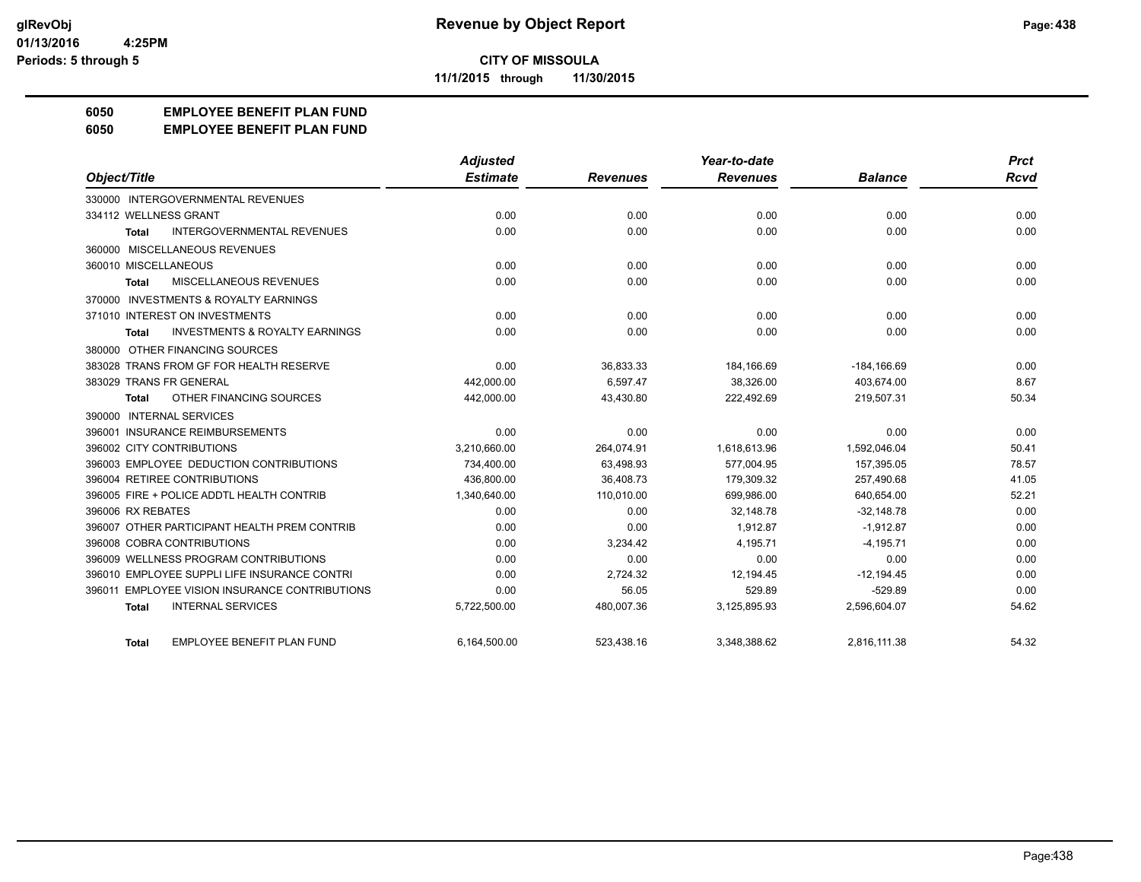**11/1/2015 through 11/30/2015**

# **6050 EMPLOYEE BENEFIT PLAN FUND**

#### **6050 EMPLOYEE BENEFIT PLAN FUND**

|                                                    | <b>Adjusted</b> |                 | Year-to-date    |                | <b>Prct</b> |
|----------------------------------------------------|-----------------|-----------------|-----------------|----------------|-------------|
| Object/Title                                       | <b>Estimate</b> | <b>Revenues</b> | <b>Revenues</b> | <b>Balance</b> | Rcvd        |
| 330000 INTERGOVERNMENTAL REVENUES                  |                 |                 |                 |                |             |
| 334112 WELLNESS GRANT                              | 0.00            | 0.00            | 0.00            | 0.00           | 0.00        |
| <b>INTERGOVERNMENTAL REVENUES</b><br><b>Total</b>  | 0.00            | 0.00            | 0.00            | 0.00           | 0.00        |
| 360000 MISCELLANEOUS REVENUES                      |                 |                 |                 |                |             |
| 360010 MISCELLANEOUS                               | 0.00            | 0.00            | 0.00            | 0.00           | 0.00        |
| MISCELLANEOUS REVENUES<br><b>Total</b>             | 0.00            | 0.00            | 0.00            | 0.00           | 0.00        |
| 370000 INVESTMENTS & ROYALTY EARNINGS              |                 |                 |                 |                |             |
| 371010 INTEREST ON INVESTMENTS                     | 0.00            | 0.00            | 0.00            | 0.00           | 0.00        |
| <b>INVESTMENTS &amp; ROYALTY EARNINGS</b><br>Total | 0.00            | 0.00            | 0.00            | 0.00           | 0.00        |
| 380000 OTHER FINANCING SOURCES                     |                 |                 |                 |                |             |
| 383028 TRANS FROM GF FOR HEALTH RESERVE            | 0.00            | 36,833.33       | 184,166.69      | $-184, 166.69$ | 0.00        |
| 383029 TRANS FR GENERAL                            | 442,000.00      | 6.597.47        | 38,326.00       | 403,674.00     | 8.67        |
| OTHER FINANCING SOURCES<br><b>Total</b>            | 442,000.00      | 43,430.80       | 222,492.69      | 219,507.31     | 50.34       |
| 390000 INTERNAL SERVICES                           |                 |                 |                 |                |             |
| 396001 INSURANCE REIMBURSEMENTS                    | 0.00            | 0.00            | 0.00            | 0.00           | 0.00        |
| 396002 CITY CONTRIBUTIONS                          | 3,210,660.00    | 264,074.91      | 1,618,613.96    | 1,592,046.04   | 50.41       |
| 396003 EMPLOYEE DEDUCTION CONTRIBUTIONS            | 734,400.00      | 63,498.93       | 577,004.95      | 157,395.05     | 78.57       |
| 396004 RETIREE CONTRIBUTIONS                       | 436.800.00      | 36.408.73       | 179.309.32      | 257,490.68     | 41.05       |
| 396005 FIRE + POLICE ADDTL HEALTH CONTRIB          | 1,340,640.00    | 110,010.00      | 699,986.00      | 640,654.00     | 52.21       |
| 396006 RX REBATES                                  | 0.00            | 0.00            | 32,148.78       | $-32,148.78$   | 0.00        |
| 396007 OTHER PARTICIPANT HEALTH PREM CONTRIB       | 0.00            | 0.00            | 1.912.87        | $-1,912.87$    | 0.00        |
| 396008 COBRA CONTRIBUTIONS                         | 0.00            | 3.234.42        | 4.195.71        | $-4.195.71$    | 0.00        |
| 396009 WELLNESS PROGRAM CONTRIBUTIONS              | 0.00            | 0.00            | 0.00            | 0.00           | 0.00        |
| 396010 EMPLOYEE SUPPLI LIFE INSURANCE CONTRI       | 0.00            | 2.724.32        | 12,194.45       | $-12,194.45$   | 0.00        |
| 396011 EMPLOYEE VISION INSURANCE CONTRIBUTIONS     | 0.00            | 56.05           | 529.89          | $-529.89$      | 0.00        |
| <b>INTERNAL SERVICES</b><br><b>Total</b>           | 5,722,500.00    | 480,007.36      | 3,125,895.93    | 2,596,604.07   | 54.62       |
| <b>EMPLOYEE BENEFIT PLAN FUND</b><br><b>Total</b>  | 6,164,500.00    | 523.438.16      | 3,348,388.62    | 2,816,111.38   | 54.32       |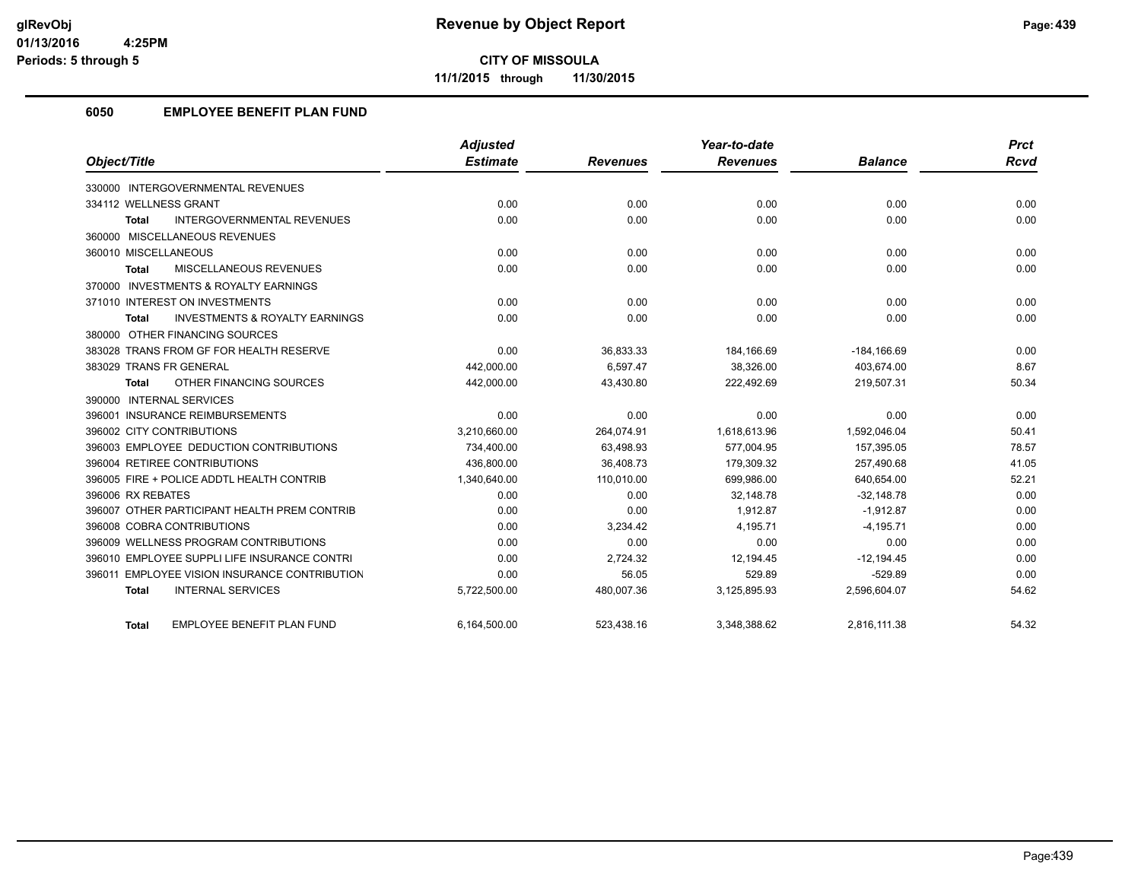**11/1/2015 through 11/30/2015**

### **6050 EMPLOYEE BENEFIT PLAN FUND**

|                                                    | <b>Adjusted</b> |                 | Year-to-date    |                | <b>Prct</b> |
|----------------------------------------------------|-----------------|-----------------|-----------------|----------------|-------------|
| Object/Title                                       | <b>Estimate</b> | <b>Revenues</b> | <b>Revenues</b> | <b>Balance</b> | <b>Rcvd</b> |
| 330000 INTERGOVERNMENTAL REVENUES                  |                 |                 |                 |                |             |
| 334112 WELLNESS GRANT                              | 0.00            | 0.00            | 0.00            | 0.00           | 0.00        |
| <b>INTERGOVERNMENTAL REVENUES</b><br><b>Total</b>  | 0.00            | 0.00            | 0.00            | 0.00           | 0.00        |
| 360000 MISCELLANEOUS REVENUES                      |                 |                 |                 |                |             |
| 360010 MISCELLANEOUS                               | 0.00            | 0.00            | 0.00            | 0.00           | 0.00        |
| MISCELLANEOUS REVENUES<br><b>Total</b>             | 0.00            | 0.00            | 0.00            | 0.00           | 0.00        |
| 370000 INVESTMENTS & ROYALTY EARNINGS              |                 |                 |                 |                |             |
| 371010 INTEREST ON INVESTMENTS                     | 0.00            | 0.00            | 0.00            | 0.00           | 0.00        |
| <b>INVESTMENTS &amp; ROYALTY EARNINGS</b><br>Total | 0.00            | 0.00            | 0.00            | 0.00           | 0.00        |
| 380000 OTHER FINANCING SOURCES                     |                 |                 |                 |                |             |
| 383028 TRANS FROM GF FOR HEALTH RESERVE            | 0.00            | 36,833.33       | 184,166.69      | $-184, 166.69$ | 0.00        |
| 383029 TRANS FR GENERAL                            | 442,000.00      | 6.597.47        | 38,326.00       | 403,674.00     | 8.67        |
| OTHER FINANCING SOURCES<br>Total                   | 442,000.00      | 43,430.80       | 222,492.69      | 219,507.31     | 50.34       |
| 390000 INTERNAL SERVICES                           |                 |                 |                 |                |             |
| 396001 INSURANCE REIMBURSEMENTS                    | 0.00            | 0.00            | 0.00            | 0.00           | 0.00        |
| 396002 CITY CONTRIBUTIONS                          | 3,210,660.00    | 264,074.91      | 1,618,613.96    | 1,592,046.04   | 50.41       |
| 396003 EMPLOYEE DEDUCTION CONTRIBUTIONS            | 734,400.00      | 63,498.93       | 577,004.95      | 157,395.05     | 78.57       |
| 396004 RETIREE CONTRIBUTIONS                       | 436,800.00      | 36,408.73       | 179,309.32      | 257,490.68     | 41.05       |
| 396005 FIRE + POLICE ADDTL HEALTH CONTRIB          | 1,340,640.00    | 110,010.00      | 699.986.00      | 640,654.00     | 52.21       |
| 396006 RX REBATES                                  | 0.00            | 0.00            | 32,148.78       | $-32,148.78$   | 0.00        |
| 396007 OTHER PARTICIPANT HEALTH PREM CONTRIB       | 0.00            | 0.00            | 1,912.87        | $-1,912.87$    | 0.00        |
| 396008 COBRA CONTRIBUTIONS                         | 0.00            | 3.234.42        | 4.195.71        | $-4.195.71$    | 0.00        |
| 396009 WELLNESS PROGRAM CONTRIBUTIONS              | 0.00            | 0.00            | 0.00            | 0.00           | 0.00        |
| 396010 EMPLOYEE SUPPLI LIFE INSURANCE CONTRI       | 0.00            | 2,724.32        | 12,194.45       | $-12,194.45$   | 0.00        |
| 396011 EMPLOYEE VISION INSURANCE CONTRIBUTION      | 0.00            | 56.05           | 529.89          | $-529.89$      | 0.00        |
| <b>INTERNAL SERVICES</b><br><b>Total</b>           | 5,722,500.00    | 480,007.36      | 3,125,895.93    | 2,596,604.07   | 54.62       |
| EMPLOYEE BENEFIT PLAN FUND<br>Total                | 6,164,500.00    | 523,438.16      | 3,348,388.62    | 2,816,111.38   | 54.32       |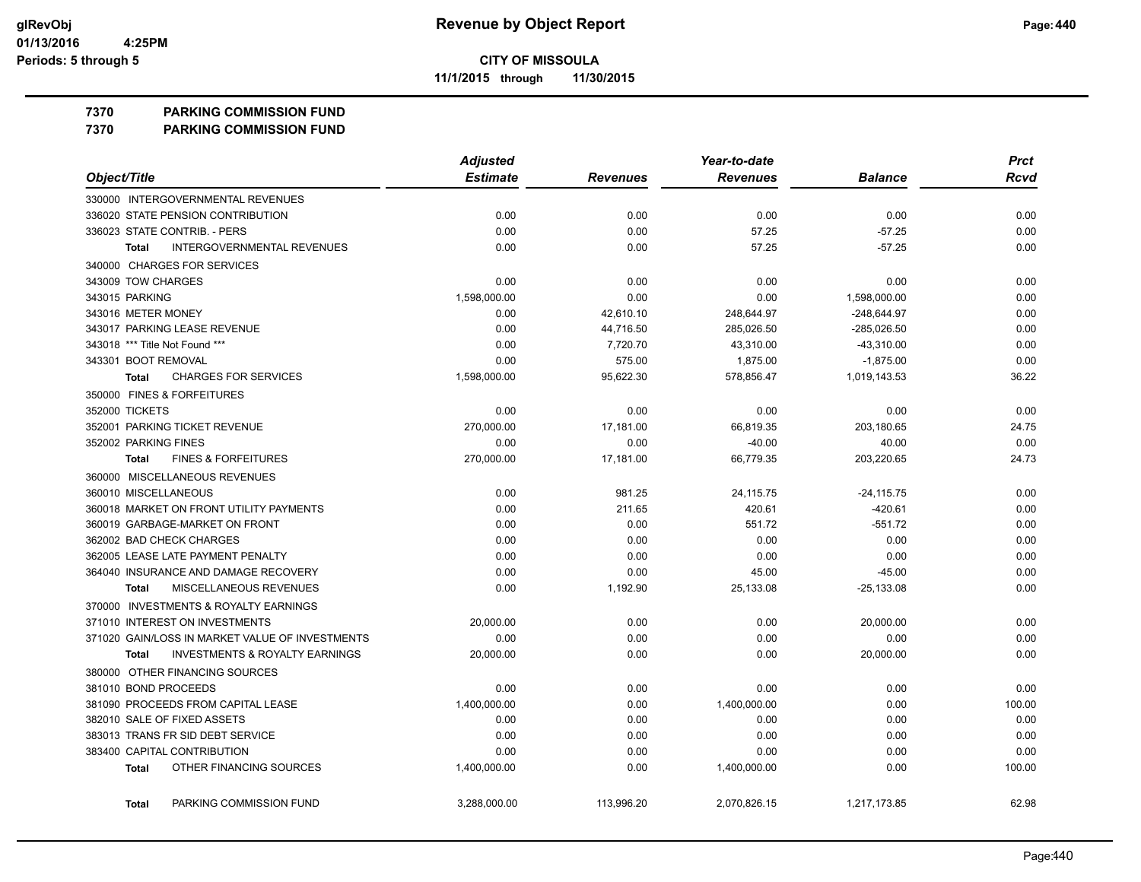**11/1/2015 through 11/30/2015**

#### **7370 PARKING COMMISSION FUND**

**7370 PARKING COMMISSION FUND**

|                                                           | <b>Adjusted</b> |                 | Year-to-date    |                | <b>Prct</b> |
|-----------------------------------------------------------|-----------------|-----------------|-----------------|----------------|-------------|
| Object/Title                                              | <b>Estimate</b> | <b>Revenues</b> | <b>Revenues</b> | <b>Balance</b> | Rcvd        |
| 330000 INTERGOVERNMENTAL REVENUES                         |                 |                 |                 |                |             |
| 336020 STATE PENSION CONTRIBUTION                         | 0.00            | 0.00            | 0.00            | 0.00           | 0.00        |
| 336023 STATE CONTRIB. - PERS                              | 0.00            | 0.00            | 57.25           | $-57.25$       | 0.00        |
| <b>INTERGOVERNMENTAL REVENUES</b><br><b>Total</b>         | 0.00            | 0.00            | 57.25           | $-57.25$       | 0.00        |
| 340000 CHARGES FOR SERVICES                               |                 |                 |                 |                |             |
| 343009 TOW CHARGES                                        | 0.00            | 0.00            | 0.00            | 0.00           | 0.00        |
| 343015 PARKING                                            | 1,598,000.00    | 0.00            | 0.00            | 1,598,000.00   | 0.00        |
| 343016 METER MONEY                                        | 0.00            | 42,610.10       | 248,644.97      | -248,644.97    | 0.00        |
| 343017 PARKING LEASE REVENUE                              | 0.00            | 44,716.50       | 285,026.50      | $-285,026.50$  | 0.00        |
| 343018 *** Title Not Found ***                            | 0.00            | 7,720.70        | 43,310.00       | $-43,310.00$   | 0.00        |
| 343301 BOOT REMOVAL                                       | 0.00            | 575.00          | 1,875.00        | $-1,875.00$    | 0.00        |
| <b>CHARGES FOR SERVICES</b><br>Total                      | 1,598,000.00    | 95,622.30       | 578,856.47      | 1,019,143.53   | 36.22       |
| 350000 FINES & FORFEITURES                                |                 |                 |                 |                |             |
| 352000 TICKETS                                            | 0.00            | 0.00            | 0.00            | 0.00           | 0.00        |
| 352001 PARKING TICKET REVENUE                             | 270,000.00      | 17,181.00       | 66,819.35       | 203,180.65     | 24.75       |
| 352002 PARKING FINES                                      | 0.00            | 0.00            | $-40.00$        | 40.00          | 0.00        |
| <b>FINES &amp; FORFEITURES</b><br><b>Total</b>            | 270,000.00      | 17,181.00       | 66,779.35       | 203,220.65     | 24.73       |
| 360000 MISCELLANEOUS REVENUES                             |                 |                 |                 |                |             |
| 360010 MISCELLANEOUS                                      | 0.00            | 981.25          | 24,115.75       | $-24, 115.75$  | 0.00        |
| 360018 MARKET ON FRONT UTILITY PAYMENTS                   | 0.00            | 211.65          | 420.61          | $-420.61$      | 0.00        |
| 360019 GARBAGE-MARKET ON FRONT                            | 0.00            | 0.00            | 551.72          | $-551.72$      | 0.00        |
| 362002 BAD CHECK CHARGES                                  | 0.00            | 0.00            | 0.00            | 0.00           | 0.00        |
| 362005 LEASE LATE PAYMENT PENALTY                         | 0.00            | 0.00            | 0.00            | 0.00           | 0.00        |
| 364040 INSURANCE AND DAMAGE RECOVERY                      | 0.00            | 0.00            | 45.00           | $-45.00$       | 0.00        |
| MISCELLANEOUS REVENUES<br><b>Total</b>                    | 0.00            | 1,192.90        | 25,133.08       | $-25,133.08$   | 0.00        |
| 370000 INVESTMENTS & ROYALTY EARNINGS                     |                 |                 |                 |                |             |
| 371010 INTEREST ON INVESTMENTS                            | 20,000.00       | 0.00            | 0.00            | 20,000.00      | 0.00        |
| 371020 GAIN/LOSS IN MARKET VALUE OF INVESTMENTS           | 0.00            | 0.00            | 0.00            | 0.00           | 0.00        |
| <b>INVESTMENTS &amp; ROYALTY EARNINGS</b><br><b>Total</b> | 20,000.00       | 0.00            | 0.00            | 20,000.00      | 0.00        |
| 380000 OTHER FINANCING SOURCES                            |                 |                 |                 |                |             |
| 381010 BOND PROCEEDS                                      | 0.00            | 0.00            | 0.00            | 0.00           | 0.00        |
| 381090 PROCEEDS FROM CAPITAL LEASE                        | 1,400,000.00    | 0.00            | 1,400,000.00    | 0.00           | 100.00      |
| 382010 SALE OF FIXED ASSETS                               | 0.00            | 0.00            | 0.00            | 0.00           | 0.00        |
| 383013 TRANS FR SID DEBT SERVICE                          | 0.00            | 0.00            | 0.00            | 0.00           | 0.00        |
| 383400 CAPITAL CONTRIBUTION                               | 0.00            | 0.00            | 0.00            | 0.00           | 0.00        |
| OTHER FINANCING SOURCES<br><b>Total</b>                   | 1,400,000.00    | 0.00            | 1,400,000.00    | 0.00           | 100.00      |
| PARKING COMMISSION FUND<br><b>Total</b>                   | 3,288,000.00    | 113,996.20      | 2,070,826.15    | 1,217,173.85   | 62.98       |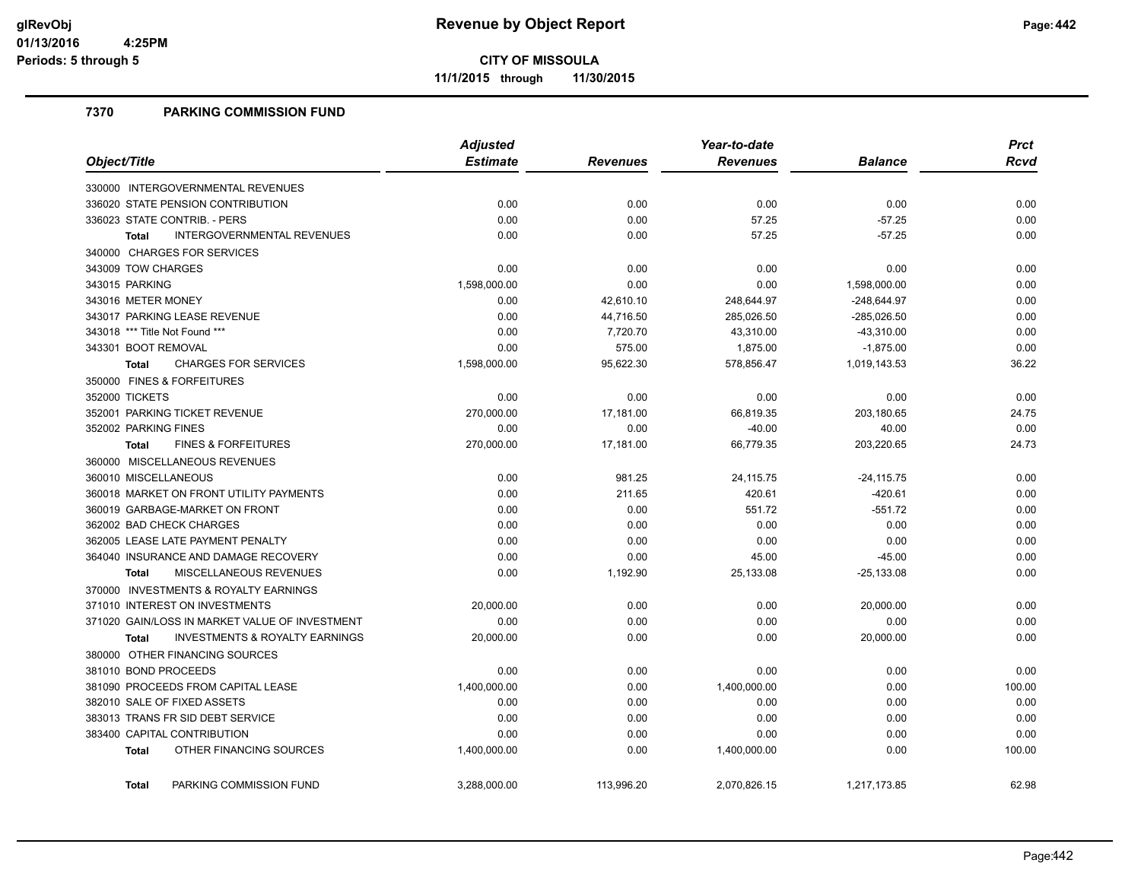**11/1/2015 through 11/30/2015**

### **7370 PARKING COMMISSION FUND**

|                                                           | <b>Adjusted</b> |                 | Year-to-date    |                | <b>Prct</b> |
|-----------------------------------------------------------|-----------------|-----------------|-----------------|----------------|-------------|
| Object/Title                                              | <b>Estimate</b> | <b>Revenues</b> | <b>Revenues</b> | <b>Balance</b> | Rcvd        |
| 330000 INTERGOVERNMENTAL REVENUES                         |                 |                 |                 |                |             |
| 336020 STATE PENSION CONTRIBUTION                         | 0.00            | 0.00            | 0.00            | 0.00           | 0.00        |
| 336023 STATE CONTRIB. - PERS                              | 0.00            | 0.00            | 57.25           | $-57.25$       | 0.00        |
| INTERGOVERNMENTAL REVENUES<br><b>Total</b>                | 0.00            | 0.00            | 57.25           | $-57.25$       | 0.00        |
| 340000 CHARGES FOR SERVICES                               |                 |                 |                 |                |             |
| 343009 TOW CHARGES                                        | 0.00            | 0.00            | 0.00            | 0.00           | 0.00        |
| 343015 PARKING                                            | 1,598,000.00    | 0.00            | 0.00            | 1,598,000.00   | 0.00        |
| 343016 METER MONEY                                        | 0.00            | 42,610.10       | 248,644.97      | $-248,644.97$  | 0.00        |
| 343017 PARKING LEASE REVENUE                              | 0.00            | 44,716.50       | 285,026.50      | $-285,026.50$  | 0.00        |
| 343018 *** Title Not Found ***                            | 0.00            | 7,720.70        | 43,310.00       | $-43,310.00$   | 0.00        |
| 343301 BOOT REMOVAL                                       | 0.00            | 575.00          | 1,875.00        | $-1,875.00$    | 0.00        |
| <b>CHARGES FOR SERVICES</b><br><b>Total</b>               | 1,598,000.00    | 95,622.30       | 578,856.47      | 1,019,143.53   | 36.22       |
| 350000 FINES & FORFEITURES                                |                 |                 |                 |                |             |
| 352000 TICKETS                                            | 0.00            | 0.00            | 0.00            | 0.00           | 0.00        |
| 352001 PARKING TICKET REVENUE                             | 270,000.00      | 17,181.00       | 66,819.35       | 203,180.65     | 24.75       |
| 352002 PARKING FINES                                      | 0.00            | 0.00            | $-40.00$        | 40.00          | 0.00        |
| <b>FINES &amp; FORFEITURES</b><br><b>Total</b>            | 270,000.00      | 17,181.00       | 66,779.35       | 203,220.65     | 24.73       |
| 360000 MISCELLANEOUS REVENUES                             |                 |                 |                 |                |             |
| 360010 MISCELLANEOUS                                      | 0.00            | 981.25          | 24, 115.75      | $-24, 115.75$  | 0.00        |
| 360018 MARKET ON FRONT UTILITY PAYMENTS                   | 0.00            | 211.65          | 420.61          | $-420.61$      | 0.00        |
| 360019 GARBAGE-MARKET ON FRONT                            | 0.00            | 0.00            | 551.72          | $-551.72$      | 0.00        |
| 362002 BAD CHECK CHARGES                                  | 0.00            | 0.00            | 0.00            | 0.00           | 0.00        |
| 362005 LEASE LATE PAYMENT PENALTY                         | 0.00            | 0.00            | 0.00            | 0.00           | 0.00        |
| 364040 INSURANCE AND DAMAGE RECOVERY                      | 0.00            | 0.00            | 45.00           | $-45.00$       | 0.00        |
| MISCELLANEOUS REVENUES<br><b>Total</b>                    | 0.00            | 1,192.90        | 25,133.08       | $-25,133.08$   | 0.00        |
| 370000 INVESTMENTS & ROYALTY EARNINGS                     |                 |                 |                 |                |             |
| 371010 INTEREST ON INVESTMENTS                            | 20,000.00       | 0.00            | 0.00            | 20,000.00      | 0.00        |
| 371020 GAIN/LOSS IN MARKET VALUE OF INVESTMENT            | 0.00            | 0.00            | 0.00            | 0.00           | 0.00        |
| <b>INVESTMENTS &amp; ROYALTY EARNINGS</b><br><b>Total</b> | 20,000.00       | 0.00            | 0.00            | 20,000.00      | 0.00        |
| 380000 OTHER FINANCING SOURCES                            |                 |                 |                 |                |             |
| 381010 BOND PROCEEDS                                      | 0.00            | 0.00            | 0.00            | 0.00           | 0.00        |
| 381090 PROCEEDS FROM CAPITAL LEASE                        | 1,400,000.00    | 0.00            | 1,400,000.00    | 0.00           | 100.00      |
| 382010 SALE OF FIXED ASSETS                               | 0.00            | 0.00            | 0.00            | 0.00           | 0.00        |
| 383013 TRANS FR SID DEBT SERVICE                          | 0.00            | 0.00            | 0.00            | 0.00           | 0.00        |
| 383400 CAPITAL CONTRIBUTION                               | 0.00            | 0.00            | 0.00            | 0.00           | 0.00        |
| OTHER FINANCING SOURCES<br><b>Total</b>                   | 1,400,000.00    | 0.00            | 1,400,000.00    | 0.00           | 100.00      |
| PARKING COMMISSION FUND<br><b>Total</b>                   | 3.288.000.00    | 113.996.20      | 2.070.826.15    | 1.217.173.85   | 62.98       |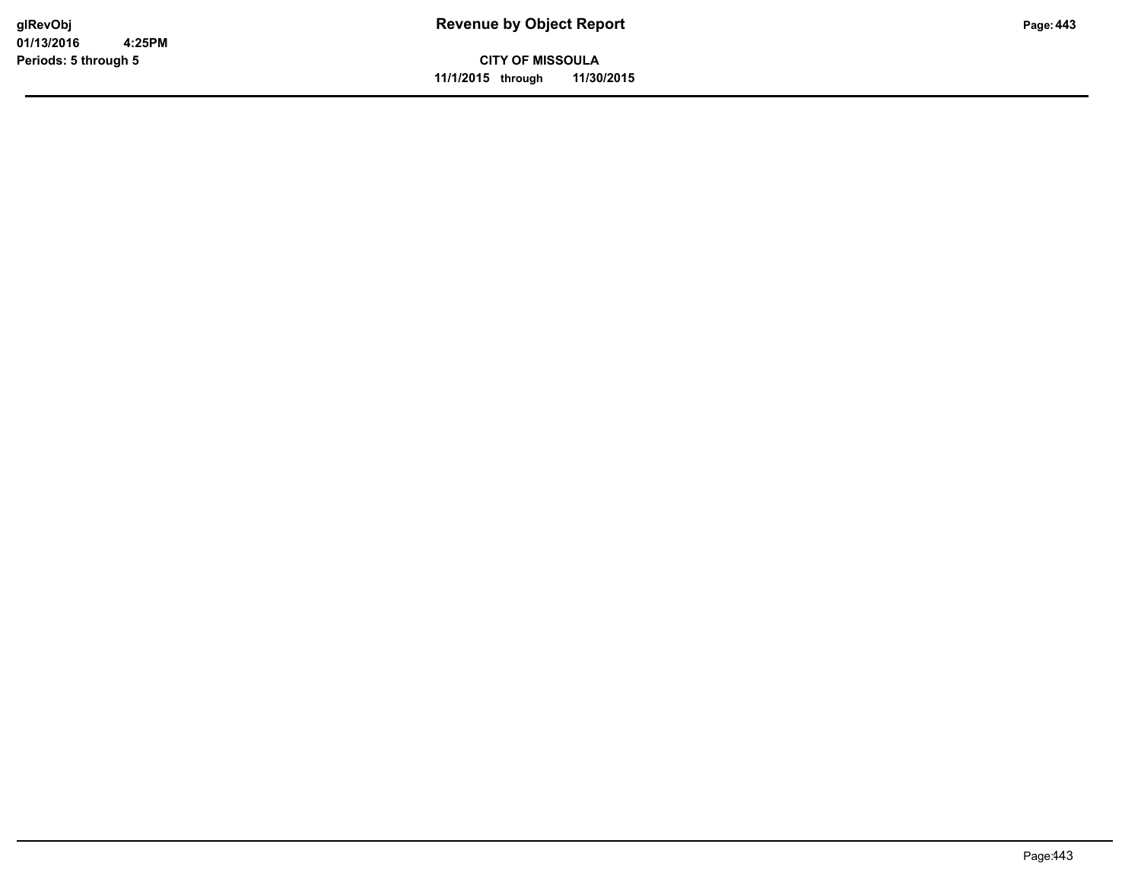**CITY OF MISSOULA 11/1/2015 through 11/30/2015**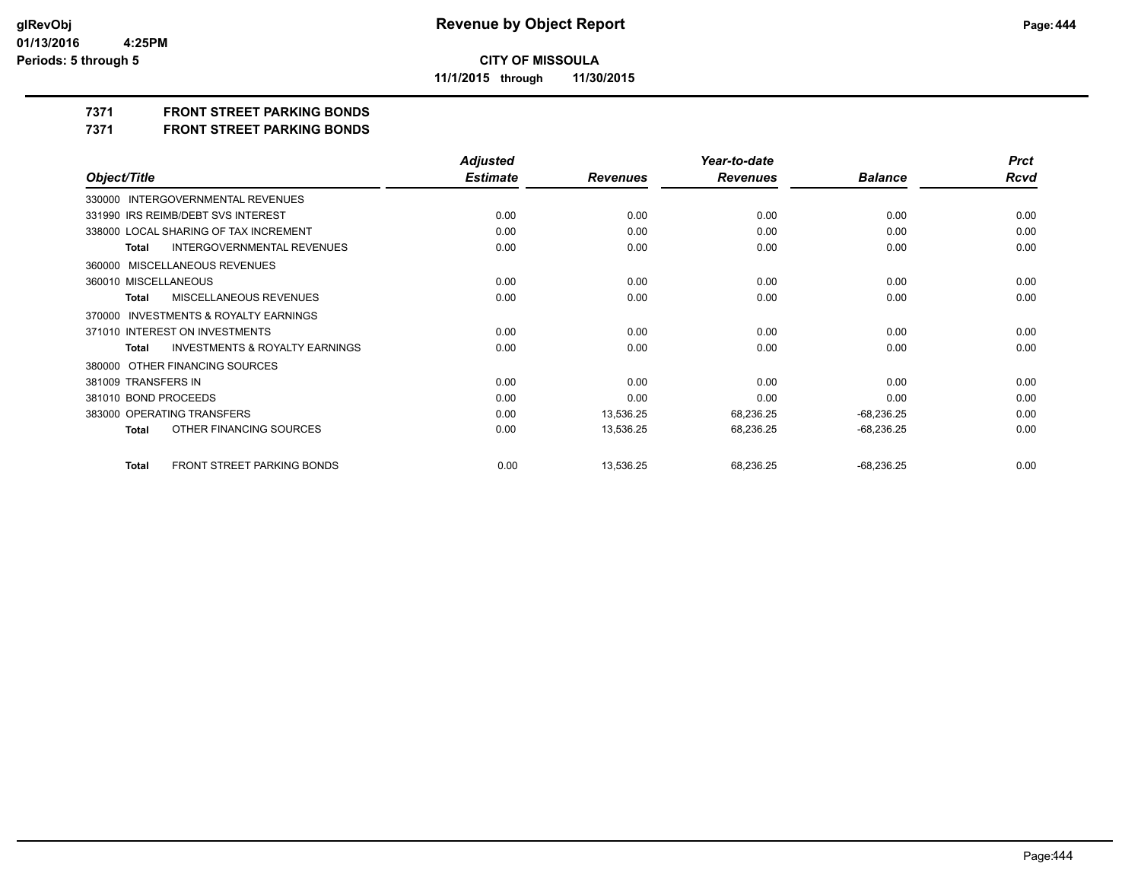**11/1/2015 through 11/30/2015**

### **7371 FRONT STREET PARKING BONDS**

**7371 FRONT STREET PARKING BONDS**

|                                                           | <b>Adjusted</b> |                 | Year-to-date    |                | <b>Prct</b> |
|-----------------------------------------------------------|-----------------|-----------------|-----------------|----------------|-------------|
| Object/Title                                              | <b>Estimate</b> | <b>Revenues</b> | <b>Revenues</b> | <b>Balance</b> | <b>Rcvd</b> |
| 330000 INTERGOVERNMENTAL REVENUES                         |                 |                 |                 |                |             |
| 331990 IRS REIMB/DEBT SVS INTEREST                        | 0.00            | 0.00            | 0.00            | 0.00           | 0.00        |
| 338000 LOCAL SHARING OF TAX INCREMENT                     | 0.00            | 0.00            | 0.00            | 0.00           | 0.00        |
| <b>INTERGOVERNMENTAL REVENUES</b><br><b>Total</b>         | 0.00            | 0.00            | 0.00            | 0.00           | 0.00        |
| 360000 MISCELLANEOUS REVENUES                             |                 |                 |                 |                |             |
| 360010 MISCELLANEOUS                                      | 0.00            | 0.00            | 0.00            | 0.00           | 0.00        |
| MISCELLANEOUS REVENUES<br><b>Total</b>                    | 0.00            | 0.00            | 0.00            | 0.00           | 0.00        |
| INVESTMENTS & ROYALTY EARNINGS<br>370000                  |                 |                 |                 |                |             |
| 371010 INTEREST ON INVESTMENTS                            | 0.00            | 0.00            | 0.00            | 0.00           | 0.00        |
| <b>INVESTMENTS &amp; ROYALTY EARNINGS</b><br><b>Total</b> | 0.00            | 0.00            | 0.00            | 0.00           | 0.00        |
| 380000 OTHER FINANCING SOURCES                            |                 |                 |                 |                |             |
| 381009 TRANSFERS IN                                       | 0.00            | 0.00            | 0.00            | 0.00           | 0.00        |
| 381010 BOND PROCEEDS                                      | 0.00            | 0.00            | 0.00            | 0.00           | 0.00        |
| 383000 OPERATING TRANSFERS                                | 0.00            | 13,536.25       | 68,236.25       | $-68,236.25$   | 0.00        |
| OTHER FINANCING SOURCES<br><b>Total</b>                   | 0.00            | 13,536.25       | 68,236.25       | $-68,236.25$   | 0.00        |
| FRONT STREET PARKING BONDS<br><b>Total</b>                | 0.00            | 13,536.25       | 68,236.25       | $-68,236.25$   | 0.00        |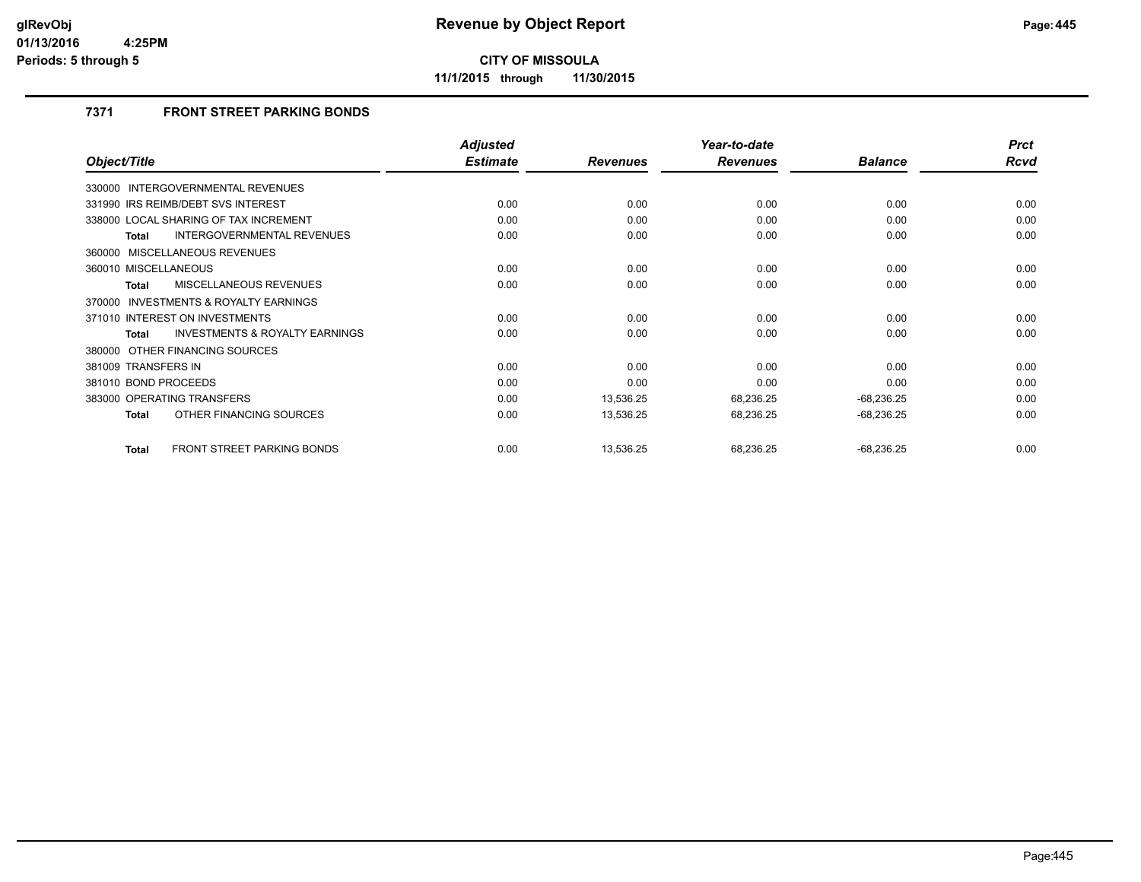**11/1/2015 through 11/30/2015**

### **7371 FRONT STREET PARKING BONDS**

|                                                           | <b>Adjusted</b> |                 | Year-to-date    |                | <b>Prct</b> |
|-----------------------------------------------------------|-----------------|-----------------|-----------------|----------------|-------------|
| Object/Title                                              | <b>Estimate</b> | <b>Revenues</b> | <b>Revenues</b> | <b>Balance</b> | Rcvd        |
| <b>INTERGOVERNMENTAL REVENUES</b><br>330000               |                 |                 |                 |                |             |
| 331990 IRS REIMB/DEBT SVS INTEREST                        | 0.00            | 0.00            | 0.00            | 0.00           | 0.00        |
| 338000 LOCAL SHARING OF TAX INCREMENT                     | 0.00            | 0.00            | 0.00            | 0.00           | 0.00        |
| <b>INTERGOVERNMENTAL REVENUES</b><br><b>Total</b>         | 0.00            | 0.00            | 0.00            | 0.00           | 0.00        |
| 360000 MISCELLANEOUS REVENUES                             |                 |                 |                 |                |             |
| 360010 MISCELLANEOUS                                      | 0.00            | 0.00            | 0.00            | 0.00           | 0.00        |
| MISCELLANEOUS REVENUES<br><b>Total</b>                    | 0.00            | 0.00            | 0.00            | 0.00           | 0.00        |
| <b>INVESTMENTS &amp; ROYALTY EARNINGS</b><br>370000       |                 |                 |                 |                |             |
| 371010 INTEREST ON INVESTMENTS                            | 0.00            | 0.00            | 0.00            | 0.00           | 0.00        |
| <b>INVESTMENTS &amp; ROYALTY EARNINGS</b><br><b>Total</b> | 0.00            | 0.00            | 0.00            | 0.00           | 0.00        |
| 380000 OTHER FINANCING SOURCES                            |                 |                 |                 |                |             |
| 381009 TRANSFERS IN                                       | 0.00            | 0.00            | 0.00            | 0.00           | 0.00        |
| 381010 BOND PROCEEDS                                      | 0.00            | 0.00            | 0.00            | 0.00           | 0.00        |
| 383000 OPERATING TRANSFERS                                | 0.00            | 13,536.25       | 68,236.25       | $-68,236.25$   | 0.00        |
| OTHER FINANCING SOURCES<br><b>Total</b>                   | 0.00            | 13,536.25       | 68,236.25       | $-68,236.25$   | 0.00        |
| <b>FRONT STREET PARKING BONDS</b><br><b>Total</b>         | 0.00            | 13,536.25       | 68,236.25       | $-68,236.25$   | 0.00        |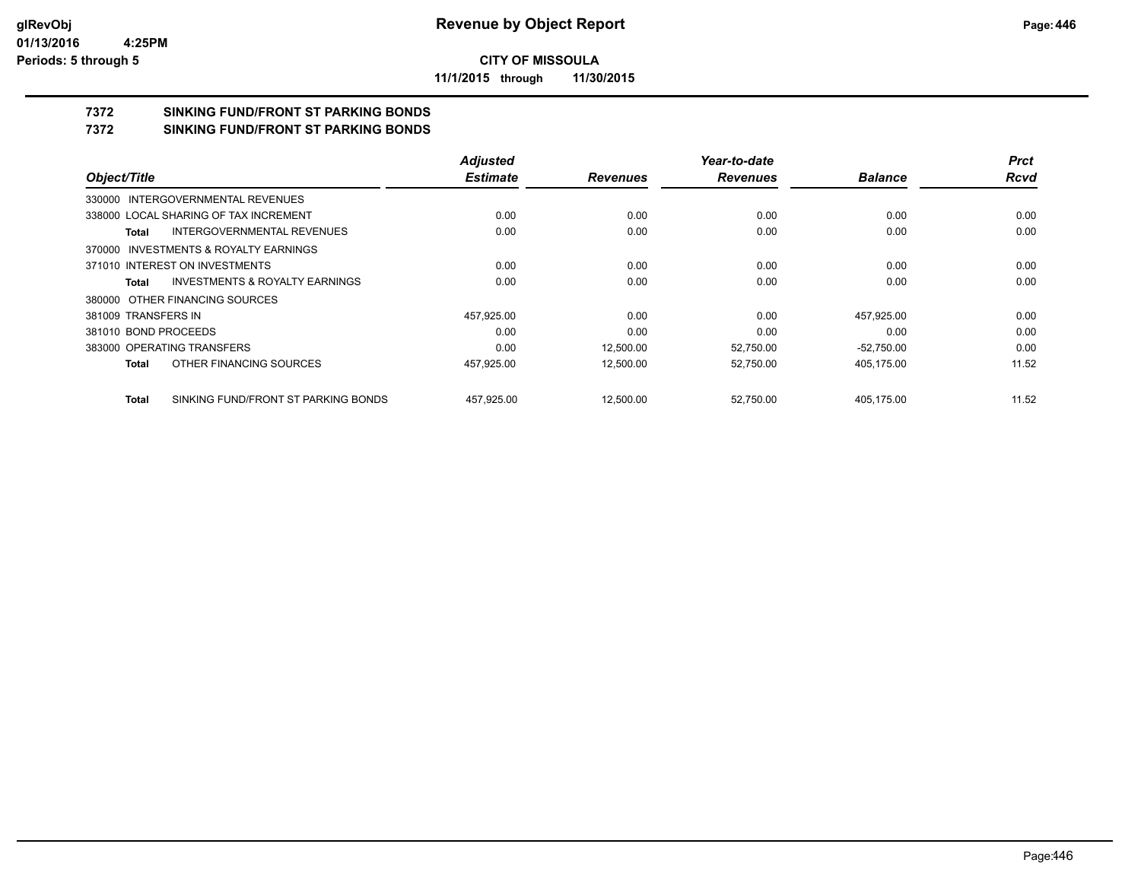**11/1/2015 through 11/30/2015**

# **7372 SINKING FUND/FRONT ST PARKING BONDS**

**7372 SINKING FUND/FRONT ST PARKING BONDS**

|                                                     | <b>Adjusted</b> |                 | Year-to-date    |                | <b>Prct</b> |
|-----------------------------------------------------|-----------------|-----------------|-----------------|----------------|-------------|
| Object/Title                                        | <b>Estimate</b> | <b>Revenues</b> | <b>Revenues</b> | <b>Balance</b> | <b>Rcvd</b> |
| 330000 INTERGOVERNMENTAL REVENUES                   |                 |                 |                 |                |             |
| 338000 LOCAL SHARING OF TAX INCREMENT               | 0.00            | 0.00            | 0.00            | 0.00           | 0.00        |
| INTERGOVERNMENTAL REVENUES<br>Total                 | 0.00            | 0.00            | 0.00            | 0.00           | 0.00        |
| 370000 INVESTMENTS & ROYALTY EARNINGS               |                 |                 |                 |                |             |
| 371010 INTEREST ON INVESTMENTS                      | 0.00            | 0.00            | 0.00            | 0.00           | 0.00        |
| INVESTMENTS & ROYALTY EARNINGS<br>Total             | 0.00            | 0.00            | 0.00            | 0.00           | 0.00        |
| 380000 OTHER FINANCING SOURCES                      |                 |                 |                 |                |             |
| 381009 TRANSFERS IN                                 | 457,925.00      | 0.00            | 0.00            | 457,925.00     | 0.00        |
| 381010 BOND PROCEEDS                                | 0.00            | 0.00            | 0.00            | 0.00           | 0.00        |
| 383000 OPERATING TRANSFERS                          | 0.00            | 12.500.00       | 52.750.00       | $-52.750.00$   | 0.00        |
| OTHER FINANCING SOURCES<br>Total                    | 457,925.00      | 12,500.00       | 52,750.00       | 405,175.00     | 11.52       |
| SINKING FUND/FRONT ST PARKING BONDS<br><b>Total</b> | 457.925.00      | 12.500.00       | 52,750.00       | 405.175.00     | 11.52       |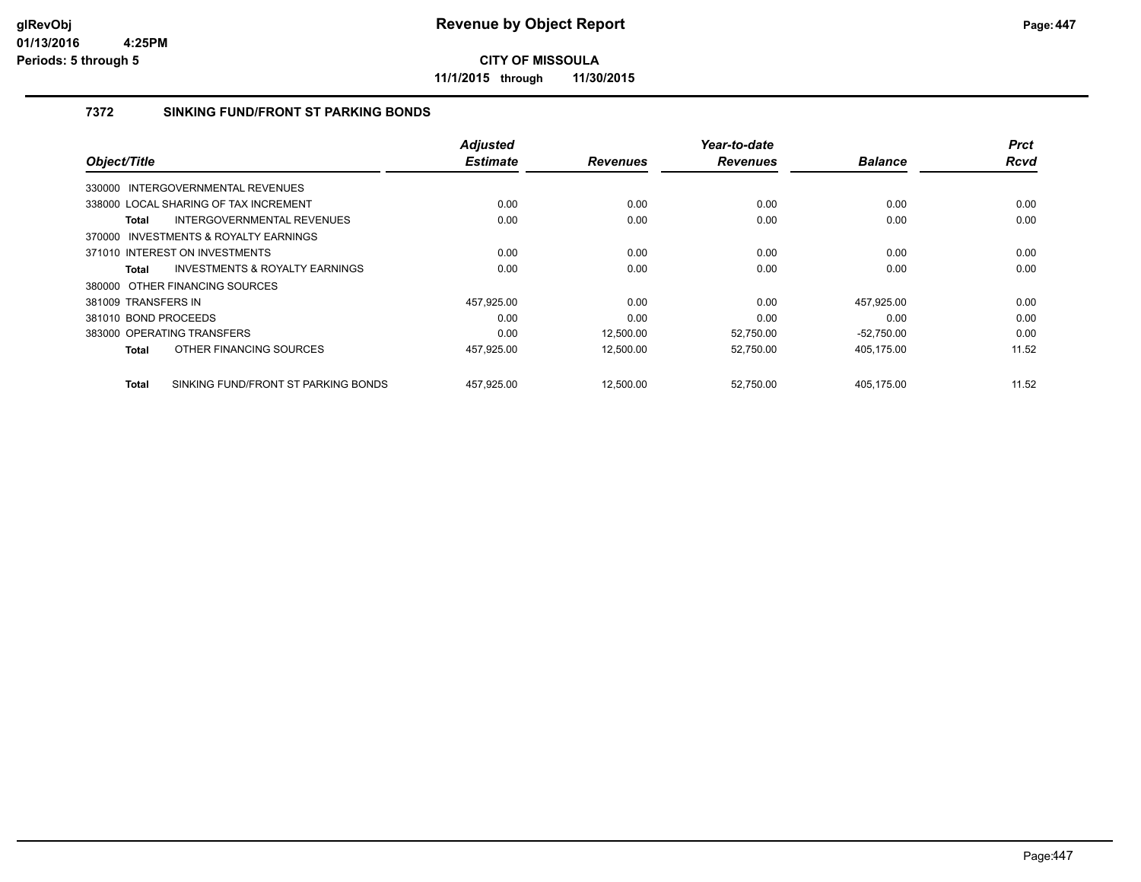**11/1/2015 through 11/30/2015**

### **7372 SINKING FUND/FRONT ST PARKING BONDS**

|                                              | <b>Adjusted</b> |                 | Year-to-date    |                | <b>Prct</b> |
|----------------------------------------------|-----------------|-----------------|-----------------|----------------|-------------|
| Object/Title                                 | <b>Estimate</b> | <b>Revenues</b> | <b>Revenues</b> | <b>Balance</b> | <b>Rcvd</b> |
| 330000 INTERGOVERNMENTAL REVENUES            |                 |                 |                 |                |             |
| 338000 LOCAL SHARING OF TAX INCREMENT        | 0.00            | 0.00            | 0.00            | 0.00           | 0.00        |
| INTERGOVERNMENTAL REVENUES<br>Total          | 0.00            | 0.00            | 0.00            | 0.00           | 0.00        |
| 370000 INVESTMENTS & ROYALTY EARNINGS        |                 |                 |                 |                |             |
| 371010 INTEREST ON INVESTMENTS               | 0.00            | 0.00            | 0.00            | 0.00           | 0.00        |
| INVESTMENTS & ROYALTY EARNINGS<br>Total      | 0.00            | 0.00            | 0.00            | 0.00           | 0.00        |
| 380000 OTHER FINANCING SOURCES               |                 |                 |                 |                |             |
| 381009 TRANSFERS IN                          | 457.925.00      | 0.00            | 0.00            | 457.925.00     | 0.00        |
| 381010 BOND PROCEEDS                         | 0.00            | 0.00            | 0.00            | 0.00           | 0.00        |
| 383000 OPERATING TRANSFERS                   | 0.00            | 12,500.00       | 52,750.00       | $-52,750.00$   | 0.00        |
| OTHER FINANCING SOURCES<br>Total             | 457,925.00      | 12,500.00       | 52,750.00       | 405,175.00     | 11.52       |
| SINKING FUND/FRONT ST PARKING BONDS<br>Total | 457,925.00      | 12.500.00       | 52.750.00       | 405.175.00     | 11.52       |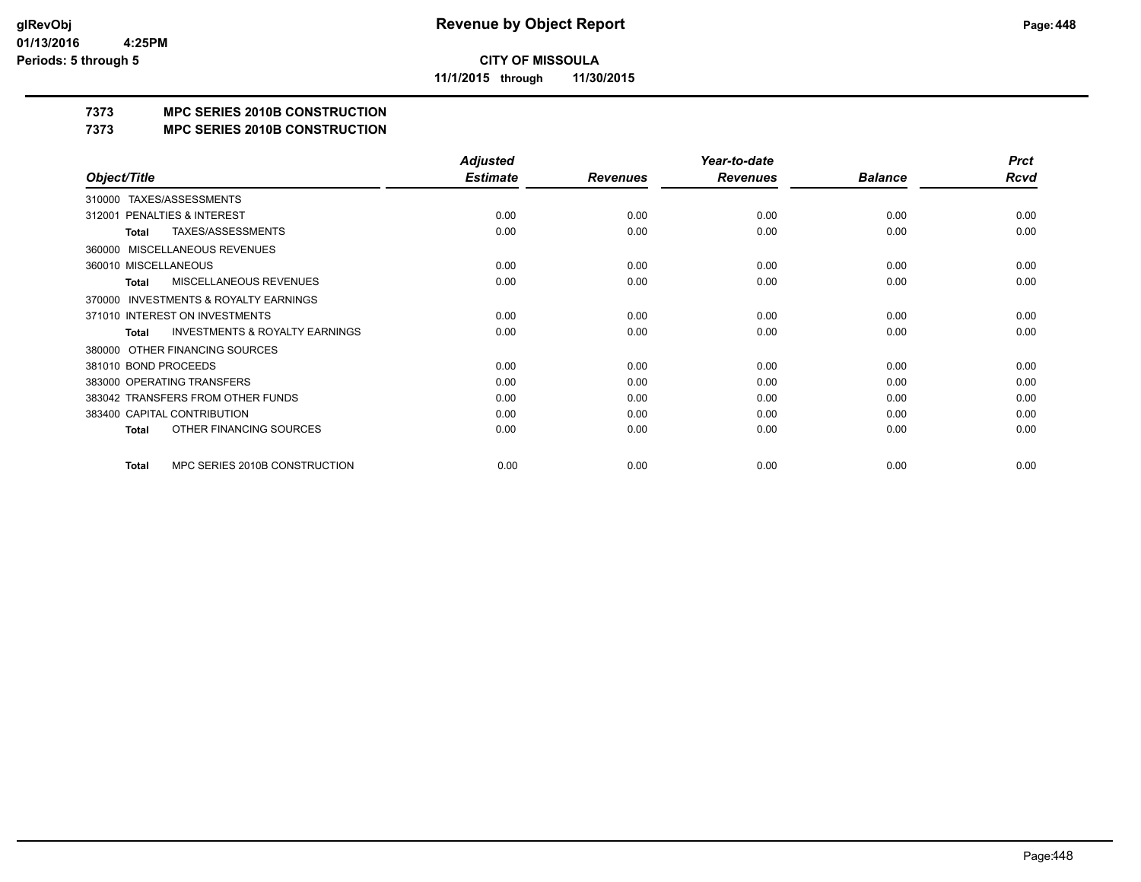**11/1/2015 through 11/30/2015**

### **7373 MPC SERIES 2010B CONSTRUCTION**

#### **7373 MPC SERIES 2010B CONSTRUCTION**

|                                                     | <b>Adjusted</b> |                 | Year-to-date    |                | <b>Prct</b> |
|-----------------------------------------------------|-----------------|-----------------|-----------------|----------------|-------------|
| Object/Title                                        | <b>Estimate</b> | <b>Revenues</b> | <b>Revenues</b> | <b>Balance</b> | <b>Rcvd</b> |
| TAXES/ASSESSMENTS<br>310000                         |                 |                 |                 |                |             |
| <b>PENALTIES &amp; INTEREST</b><br>312001           | 0.00            | 0.00            | 0.00            | 0.00           | 0.00        |
| <b>TAXES/ASSESSMENTS</b><br>Total                   | 0.00            | 0.00            | 0.00            | 0.00           | 0.00        |
| <b>MISCELLANEOUS REVENUES</b><br>360000             |                 |                 |                 |                |             |
| 360010 MISCELLANEOUS                                | 0.00            | 0.00            | 0.00            | 0.00           | 0.00        |
| MISCELLANEOUS REVENUES<br>Total                     | 0.00            | 0.00            | 0.00            | 0.00           | 0.00        |
| <b>INVESTMENTS &amp; ROYALTY EARNINGS</b><br>370000 |                 |                 |                 |                |             |
| 371010 INTEREST ON INVESTMENTS                      | 0.00            | 0.00            | 0.00            | 0.00           | 0.00        |
| <b>INVESTMENTS &amp; ROYALTY EARNINGS</b><br>Total  | 0.00            | 0.00            | 0.00            | 0.00           | 0.00        |
| OTHER FINANCING SOURCES<br>380000                   |                 |                 |                 |                |             |
| 381010 BOND PROCEEDS                                | 0.00            | 0.00            | 0.00            | 0.00           | 0.00        |
| 383000 OPERATING TRANSFERS                          | 0.00            | 0.00            | 0.00            | 0.00           | 0.00        |
| 383042 TRANSFERS FROM OTHER FUNDS                   | 0.00            | 0.00            | 0.00            | 0.00           | 0.00        |
| 383400 CAPITAL CONTRIBUTION                         | 0.00            | 0.00            | 0.00            | 0.00           | 0.00        |
| OTHER FINANCING SOURCES<br>Total                    | 0.00            | 0.00            | 0.00            | 0.00           | 0.00        |
| MPC SERIES 2010B CONSTRUCTION<br>Total              | 0.00            | 0.00            | 0.00            | 0.00           | 0.00        |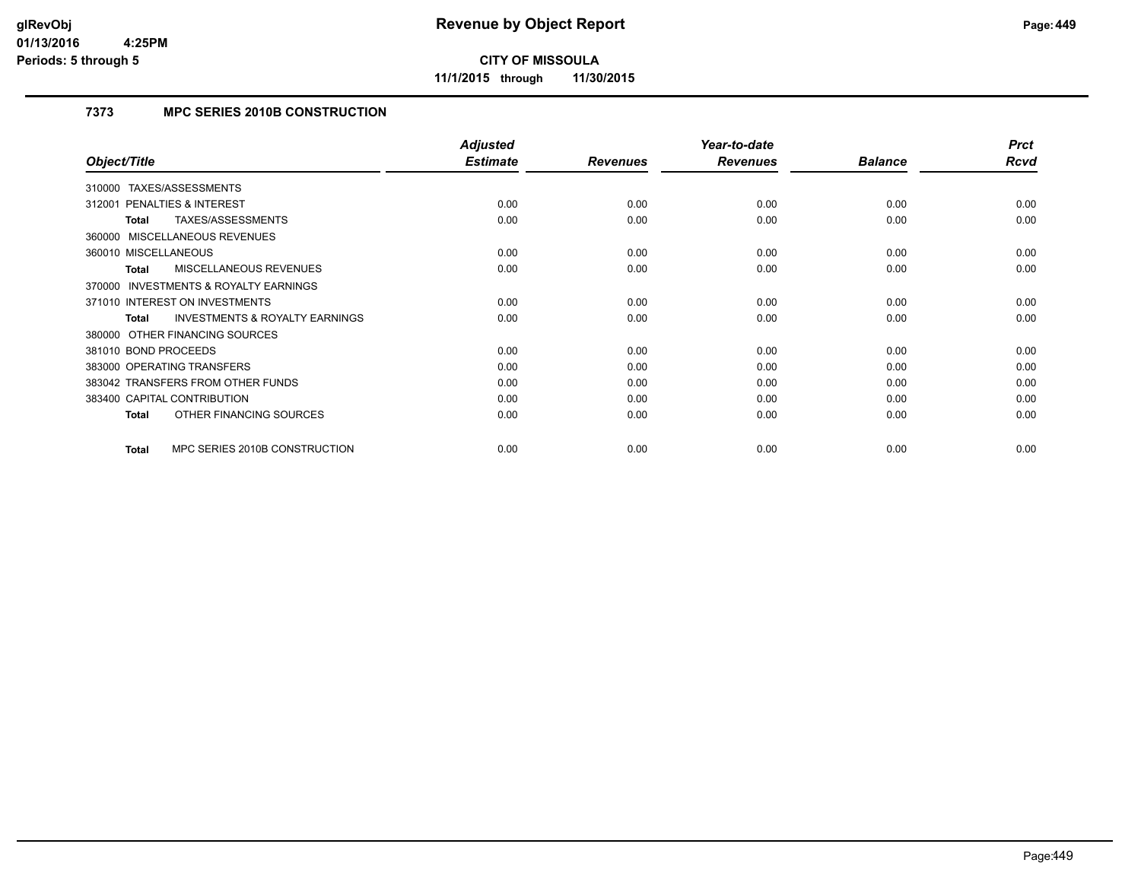**11/1/2015 through 11/30/2015**

### **7373 MPC SERIES 2010B CONSTRUCTION**

|                                                    | <b>Adjusted</b> |                 | Year-to-date    |                | <b>Prct</b> |
|----------------------------------------------------|-----------------|-----------------|-----------------|----------------|-------------|
| Object/Title                                       | <b>Estimate</b> | <b>Revenues</b> | <b>Revenues</b> | <b>Balance</b> | <b>Rcvd</b> |
| 310000 TAXES/ASSESSMENTS                           |                 |                 |                 |                |             |
| 312001 PENALTIES & INTEREST                        | 0.00            | 0.00            | 0.00            | 0.00           | 0.00        |
| TAXES/ASSESSMENTS<br>Total                         | 0.00            | 0.00            | 0.00            | 0.00           | 0.00        |
| 360000 MISCELLANEOUS REVENUES                      |                 |                 |                 |                |             |
| 360010 MISCELLANEOUS                               | 0.00            | 0.00            | 0.00            | 0.00           | 0.00        |
| MISCELLANEOUS REVENUES<br>Total                    | 0.00            | 0.00            | 0.00            | 0.00           | 0.00        |
| 370000 INVESTMENTS & ROYALTY EARNINGS              |                 |                 |                 |                |             |
| 371010 INTEREST ON INVESTMENTS                     | 0.00            | 0.00            | 0.00            | 0.00           | 0.00        |
| <b>INVESTMENTS &amp; ROYALTY EARNINGS</b><br>Total | 0.00            | 0.00            | 0.00            | 0.00           | 0.00        |
| 380000 OTHER FINANCING SOURCES                     |                 |                 |                 |                |             |
| 381010 BOND PROCEEDS                               | 0.00            | 0.00            | 0.00            | 0.00           | 0.00        |
| 383000 OPERATING TRANSFERS                         | 0.00            | 0.00            | 0.00            | 0.00           | 0.00        |
| 383042 TRANSFERS FROM OTHER FUNDS                  | 0.00            | 0.00            | 0.00            | 0.00           | 0.00        |
| 383400 CAPITAL CONTRIBUTION                        | 0.00            | 0.00            | 0.00            | 0.00           | 0.00        |
| OTHER FINANCING SOURCES<br>Total                   | 0.00            | 0.00            | 0.00            | 0.00           | 0.00        |
| MPC SERIES 2010B CONSTRUCTION<br>Total             | 0.00            | 0.00            | 0.00            | 0.00           | 0.00        |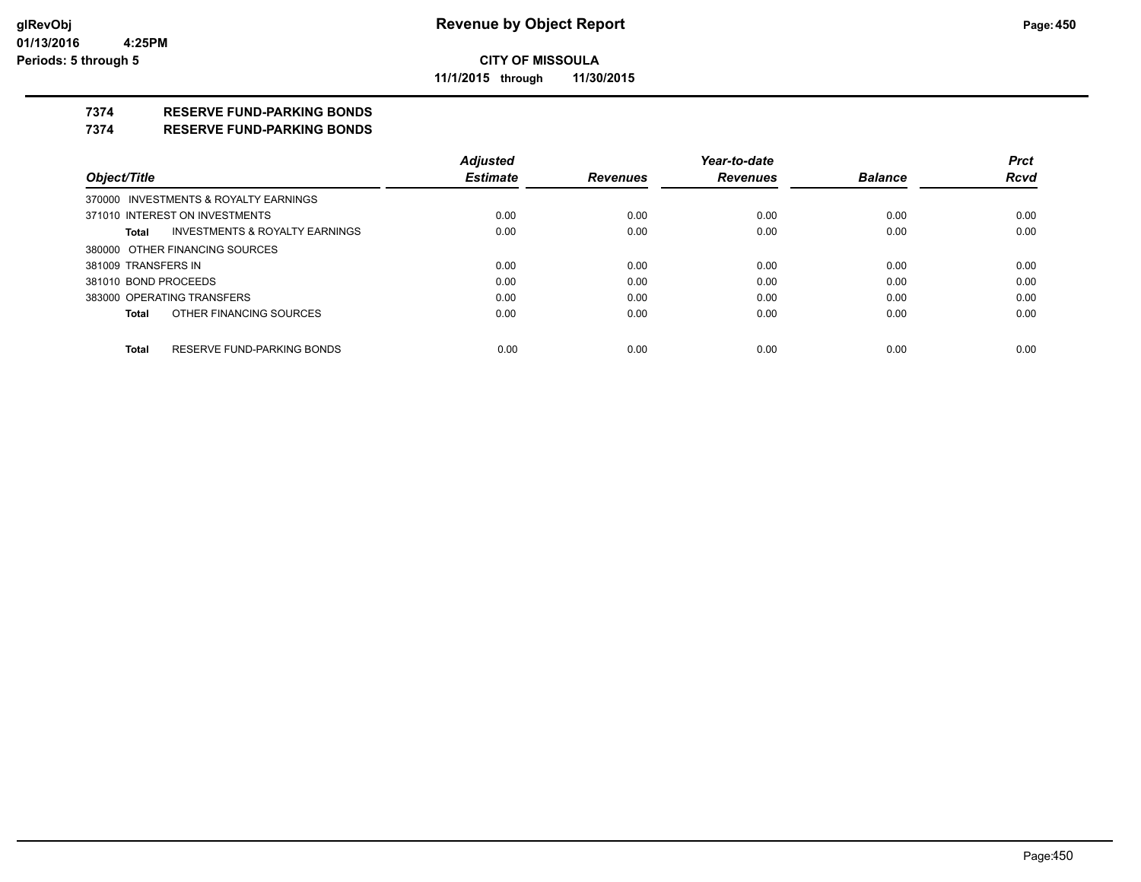**11/1/2015 through 11/30/2015**

### **7374 RESERVE FUND-PARKING BONDS**

#### **7374 RESERVE FUND-PARKING BONDS**

|                                                    | <b>Adjusted</b> |                 | Year-to-date    |                | <b>Prct</b> |
|----------------------------------------------------|-----------------|-----------------|-----------------|----------------|-------------|
| Object/Title                                       | <b>Estimate</b> | <b>Revenues</b> | <b>Revenues</b> | <b>Balance</b> | <b>Rcvd</b> |
| 370000 INVESTMENTS & ROYALTY EARNINGS              |                 |                 |                 |                |             |
| 371010 INTEREST ON INVESTMENTS                     | 0.00            | 0.00            | 0.00            | 0.00           | 0.00        |
| <b>INVESTMENTS &amp; ROYALTY EARNINGS</b><br>Total | 0.00            | 0.00            | 0.00            | 0.00           | 0.00        |
| 380000 OTHER FINANCING SOURCES                     |                 |                 |                 |                |             |
| 381009 TRANSFERS IN                                | 0.00            | 0.00            | 0.00            | 0.00           | 0.00        |
| 381010 BOND PROCEEDS                               | 0.00            | 0.00            | 0.00            | 0.00           | 0.00        |
| 383000 OPERATING TRANSFERS                         | 0.00            | 0.00            | 0.00            | 0.00           | 0.00        |
| OTHER FINANCING SOURCES<br>Total                   | 0.00            | 0.00            | 0.00            | 0.00           | 0.00        |
| RESERVE FUND-PARKING BONDS                         |                 |                 |                 |                |             |
| Total                                              | 0.00            | 0.00            | 0.00            | 0.00           | 0.00        |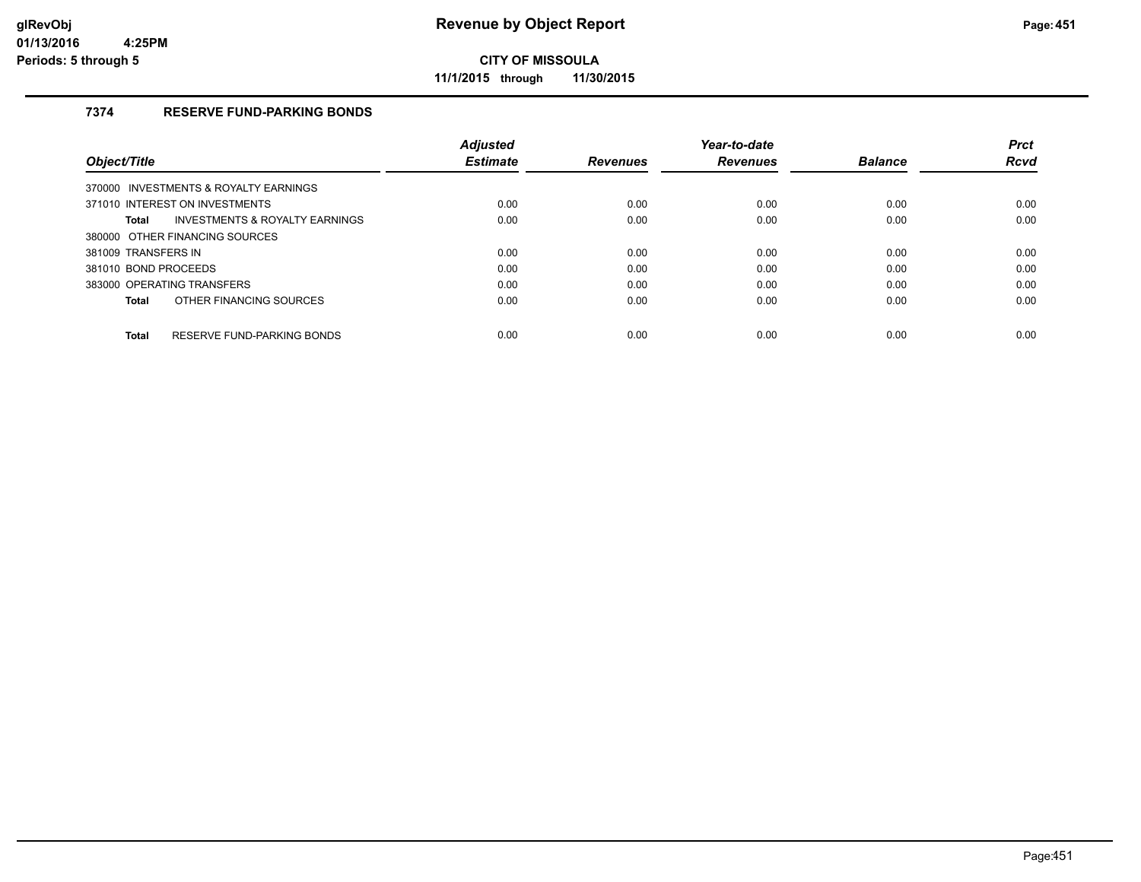**11/1/2015 through 11/30/2015**

### **7374 RESERVE FUND-PARKING BONDS**

|                                                    | <b>Adiusted</b> |                 | Year-to-date    |                | <b>Prct</b> |
|----------------------------------------------------|-----------------|-----------------|-----------------|----------------|-------------|
| Object/Title                                       | <b>Estimate</b> | <b>Revenues</b> | <b>Revenues</b> | <b>Balance</b> | <b>Rcvd</b> |
| 370000 INVESTMENTS & ROYALTY EARNINGS              |                 |                 |                 |                |             |
| 371010 INTEREST ON INVESTMENTS                     | 0.00            | 0.00            | 0.00            | 0.00           | 0.00        |
| <b>INVESTMENTS &amp; ROYALTY EARNINGS</b><br>Total | 0.00            | 0.00            | 0.00            | 0.00           | 0.00        |
| 380000 OTHER FINANCING SOURCES                     |                 |                 |                 |                |             |
| 381009 TRANSFERS IN                                | 0.00            | 0.00            | 0.00            | 0.00           | 0.00        |
| 381010 BOND PROCEEDS                               | 0.00            | 0.00            | 0.00            | 0.00           | 0.00        |
| 383000 OPERATING TRANSFERS                         | 0.00            | 0.00            | 0.00            | 0.00           | 0.00        |
| OTHER FINANCING SOURCES<br>Total                   | 0.00            | 0.00            | 0.00            | 0.00           | 0.00        |
| RESERVE FUND-PARKING BONDS<br><b>Total</b>         | 0.00            | 0.00            | 0.00            | 0.00           | 0.00        |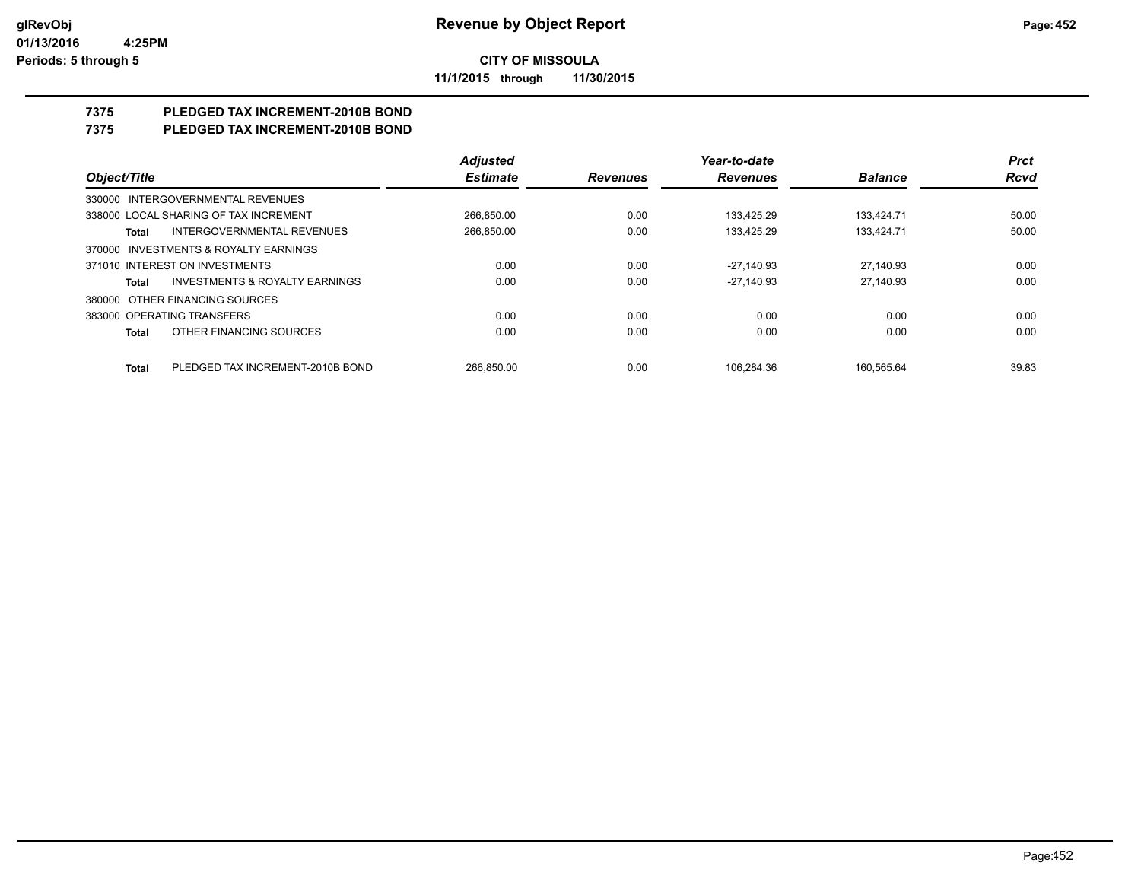**11/1/2015 through 11/30/2015**

# **7375 PLEDGED TAX INCREMENT-2010B BOND**

## **7375 PLEDGED TAX INCREMENT-2010B BOND**

|                                                    | <b>Adjusted</b> |                 | Year-to-date    |                | <b>Prct</b> |
|----------------------------------------------------|-----------------|-----------------|-----------------|----------------|-------------|
| Object/Title                                       | <b>Estimate</b> | <b>Revenues</b> | <b>Revenues</b> | <b>Balance</b> | <b>Rcvd</b> |
| 330000 INTERGOVERNMENTAL REVENUES                  |                 |                 |                 |                |             |
| 338000 LOCAL SHARING OF TAX INCREMENT              | 266,850.00      | 0.00            | 133.425.29      | 133.424.71     | 50.00       |
| INTERGOVERNMENTAL REVENUES<br>Total                | 266,850.00      | 0.00            | 133.425.29      | 133.424.71     | 50.00       |
| 370000 INVESTMENTS & ROYALTY EARNINGS              |                 |                 |                 |                |             |
| 371010 INTEREST ON INVESTMENTS                     | 0.00            | 0.00            | $-27.140.93$    | 27.140.93      | 0.00        |
| <b>INVESTMENTS &amp; ROYALTY EARNINGS</b><br>Total | 0.00            | 0.00            | $-27.140.93$    | 27.140.93      | 0.00        |
| 380000 OTHER FINANCING SOURCES                     |                 |                 |                 |                |             |
| 383000 OPERATING TRANSFERS                         | 0.00            | 0.00            | 0.00            | 0.00           | 0.00        |
| OTHER FINANCING SOURCES<br><b>Total</b>            | 0.00            | 0.00            | 0.00            | 0.00           | 0.00        |
| PLEDGED TAX INCREMENT-2010B BOND<br><b>Total</b>   | 266.850.00      | 0.00            | 106.284.36      | 160.565.64     | 39.83       |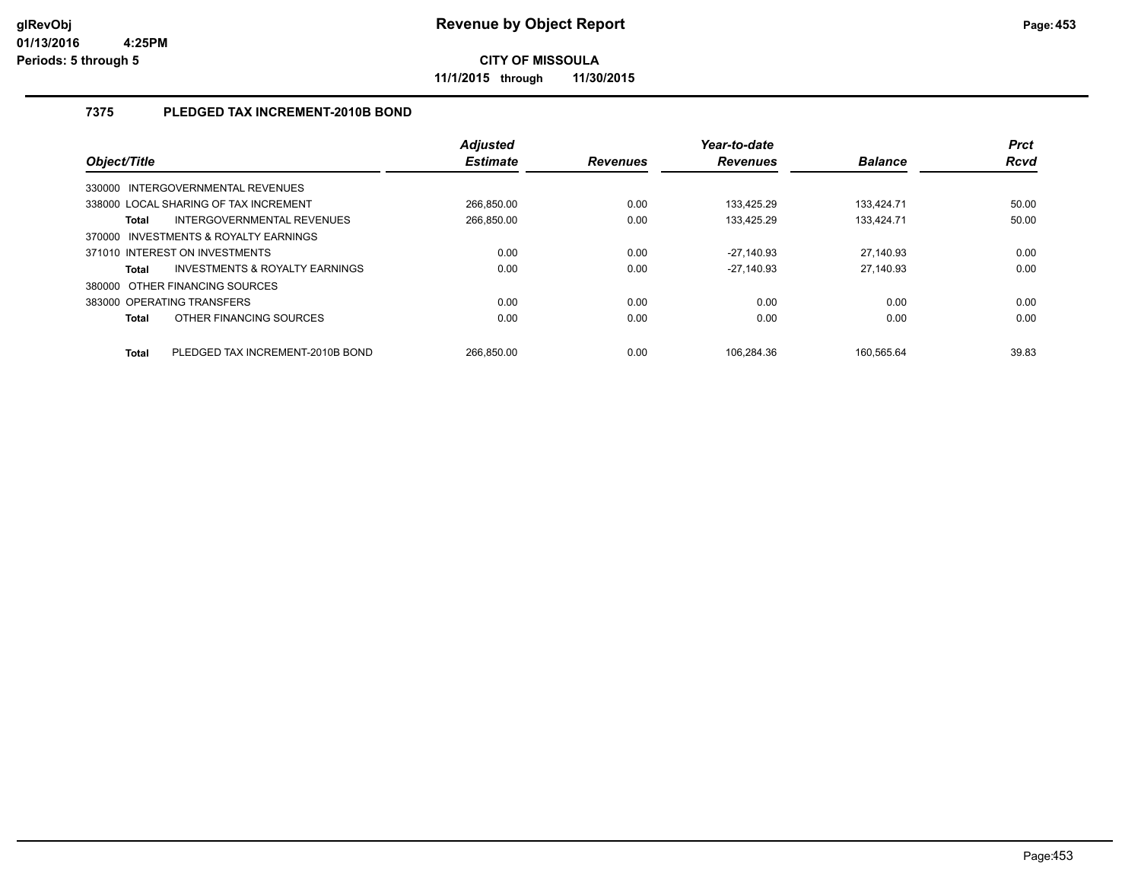**11/1/2015 through 11/30/2015**

### **7375 PLEDGED TAX INCREMENT-2010B BOND**

| Object/Title |                                       | <b>Adjusted</b><br><b>Estimate</b> | <b>Revenues</b> | Year-to-date<br><b>Revenues</b> | <b>Balance</b> | <b>Prct</b><br><b>Rcvd</b> |
|--------------|---------------------------------------|------------------------------------|-----------------|---------------------------------|----------------|----------------------------|
| 330000       | <b>INTERGOVERNMENTAL REVENUES</b>     |                                    |                 |                                 |                |                            |
|              |                                       |                                    |                 |                                 |                |                            |
|              | 338000 LOCAL SHARING OF TAX INCREMENT | 266.850.00                         | 0.00            | 133.425.29                      | 133.424.71     | 50.00                      |
| Total        | INTERGOVERNMENTAL REVENUES            | 266.850.00                         | 0.00            | 133.425.29                      | 133.424.71     | 50.00                      |
| 370000       | INVESTMENTS & ROYALTY EARNINGS        |                                    |                 |                                 |                |                            |
|              | 371010 INTEREST ON INVESTMENTS        | 0.00                               | 0.00            | $-27,140.93$                    | 27,140.93      | 0.00                       |
| Total        | INVESTMENTS & ROYALTY EARNINGS        | 0.00                               | 0.00            | $-27.140.93$                    | 27.140.93      | 0.00                       |
| 380000       | OTHER FINANCING SOURCES               |                                    |                 |                                 |                |                            |
|              | 383000 OPERATING TRANSFERS            | 0.00                               | 0.00            | 0.00                            | 0.00           | 0.00                       |
| <b>Total</b> | OTHER FINANCING SOURCES               | 0.00                               | 0.00            | 0.00                            | 0.00           | 0.00                       |
| <b>Total</b> | PLEDGED TAX INCREMENT-2010B BOND      | 266.850.00                         | 0.00            | 106.284.36                      | 160.565.64     | 39.83                      |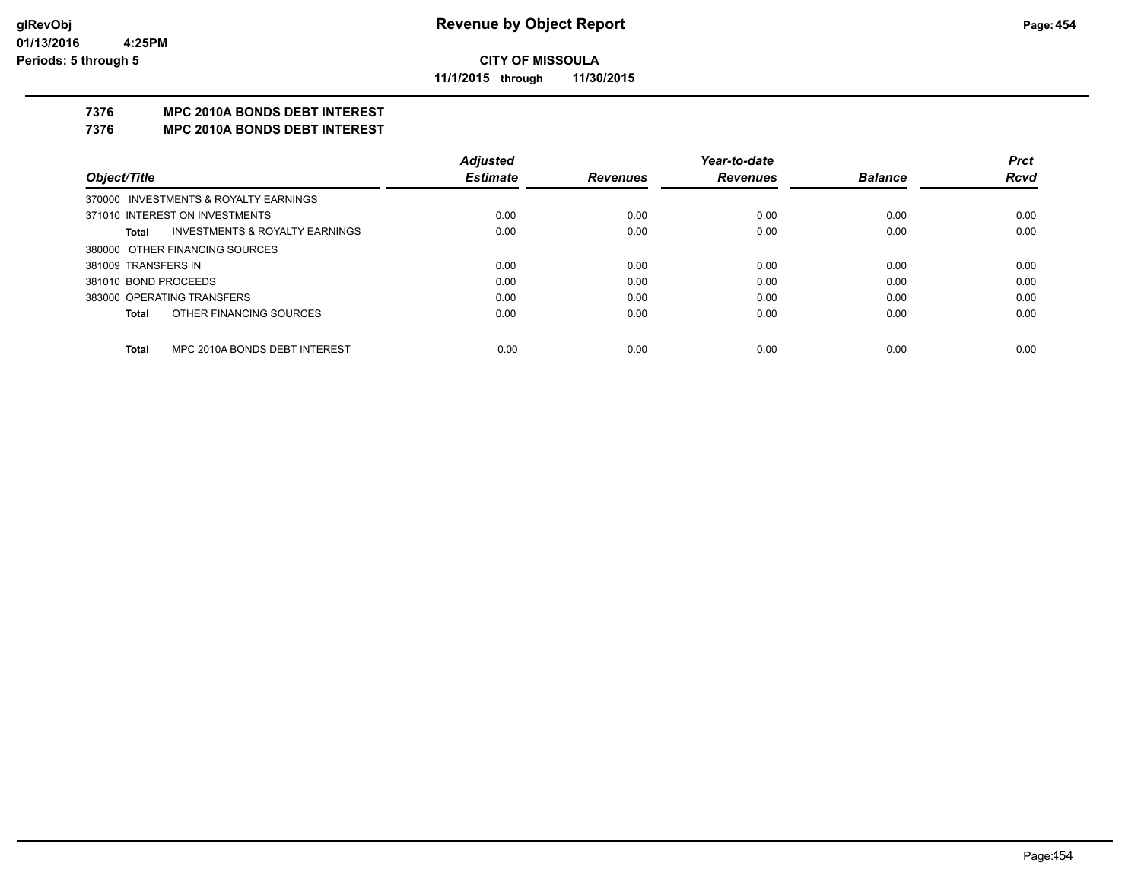**11/1/2015 through 11/30/2015**

### **7376 MPC 2010A BONDS DEBT INTEREST**

#### **7376 MPC 2010A BONDS DEBT INTEREST**

|                      |                                       | <b>Adjusted</b> |                 | Year-to-date    |                | <b>Prct</b> |
|----------------------|---------------------------------------|-----------------|-----------------|-----------------|----------------|-------------|
| Object/Title         |                                       | <b>Estimate</b> | <b>Revenues</b> | <b>Revenues</b> | <b>Balance</b> | <b>Rcvd</b> |
|                      | 370000 INVESTMENTS & ROYALTY EARNINGS |                 |                 |                 |                |             |
|                      | 371010 INTEREST ON INVESTMENTS        | 0.00            | 0.00            | 0.00            | 0.00           | 0.00        |
| Total                | INVESTMENTS & ROYALTY EARNINGS        | 0.00            | 0.00            | 0.00            | 0.00           | 0.00        |
|                      | 380000 OTHER FINANCING SOURCES        |                 |                 |                 |                |             |
| 381009 TRANSFERS IN  |                                       | 0.00            | 0.00            | 0.00            | 0.00           | 0.00        |
| 381010 BOND PROCEEDS |                                       | 0.00            | 0.00            | 0.00            | 0.00           | 0.00        |
|                      | 383000 OPERATING TRANSFERS            | 0.00            | 0.00            | 0.00            | 0.00           | 0.00        |
| Total                | OTHER FINANCING SOURCES               | 0.00            | 0.00            | 0.00            | 0.00           | 0.00        |
| Total                | MPC 2010A BONDS DEBT INTEREST         | 0.00            | 0.00            | 0.00            | 0.00           | 0.00        |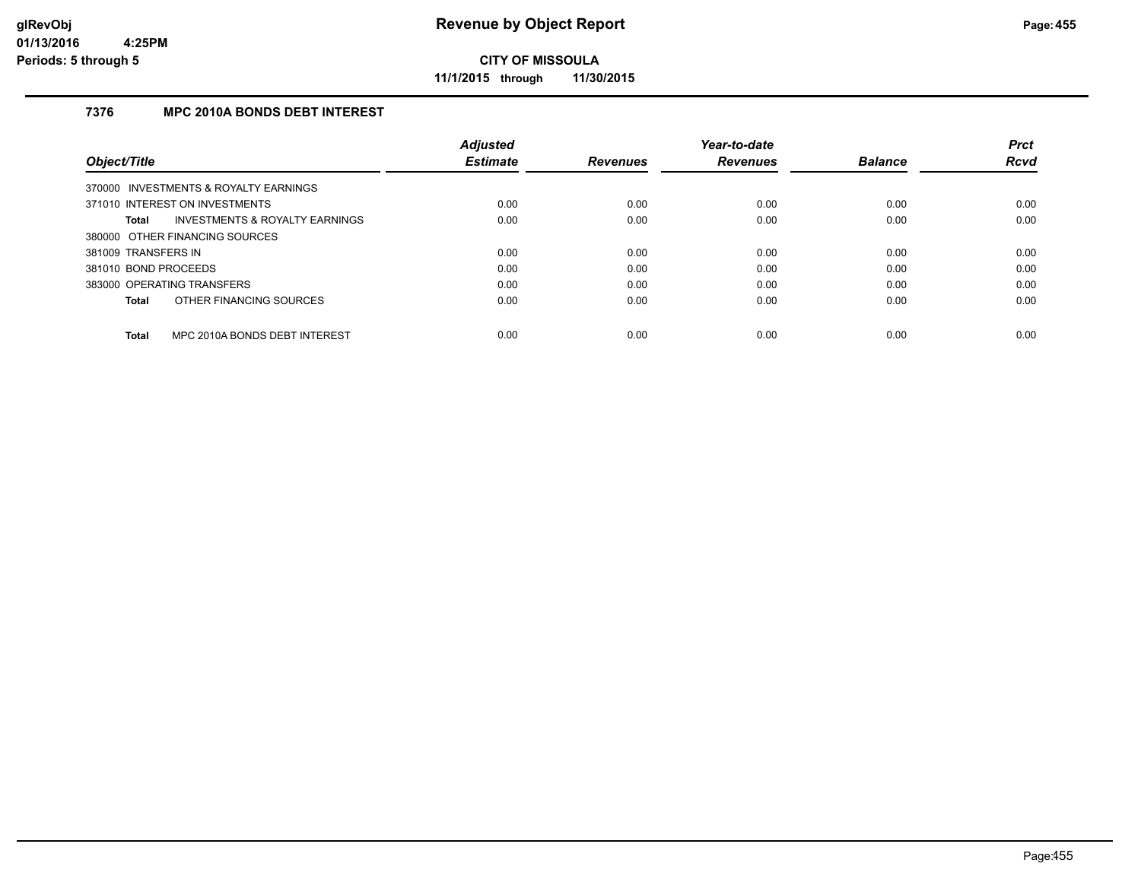**11/1/2015 through 11/30/2015**

### **7376 MPC 2010A BONDS DEBT INTEREST**

|                                                    | <b>Adiusted</b> |                 | Year-to-date    |                | <b>Prct</b> |
|----------------------------------------------------|-----------------|-----------------|-----------------|----------------|-------------|
| Object/Title                                       | <b>Estimate</b> | <b>Revenues</b> | <b>Revenues</b> | <b>Balance</b> | <b>Rcvd</b> |
| 370000 INVESTMENTS & ROYALTY EARNINGS              |                 |                 |                 |                |             |
| 371010 INTEREST ON INVESTMENTS                     | 0.00            | 0.00            | 0.00            | 0.00           | 0.00        |
| <b>INVESTMENTS &amp; ROYALTY EARNINGS</b><br>Total | 0.00            | 0.00            | 0.00            | 0.00           | 0.00        |
| 380000 OTHER FINANCING SOURCES                     |                 |                 |                 |                |             |
| 381009 TRANSFERS IN                                | 0.00            | 0.00            | 0.00            | 0.00           | 0.00        |
| 381010 BOND PROCEEDS                               | 0.00            | 0.00            | 0.00            | 0.00           | 0.00        |
| 383000 OPERATING TRANSFERS                         | 0.00            | 0.00            | 0.00            | 0.00           | 0.00        |
| OTHER FINANCING SOURCES<br>Total                   | 0.00            | 0.00            | 0.00            | 0.00           | 0.00        |
|                                                    |                 |                 |                 |                |             |
| MPC 2010A BONDS DEBT INTEREST<br><b>Total</b>      | 0.00            | 0.00            | 0.00            | 0.00           | 0.00        |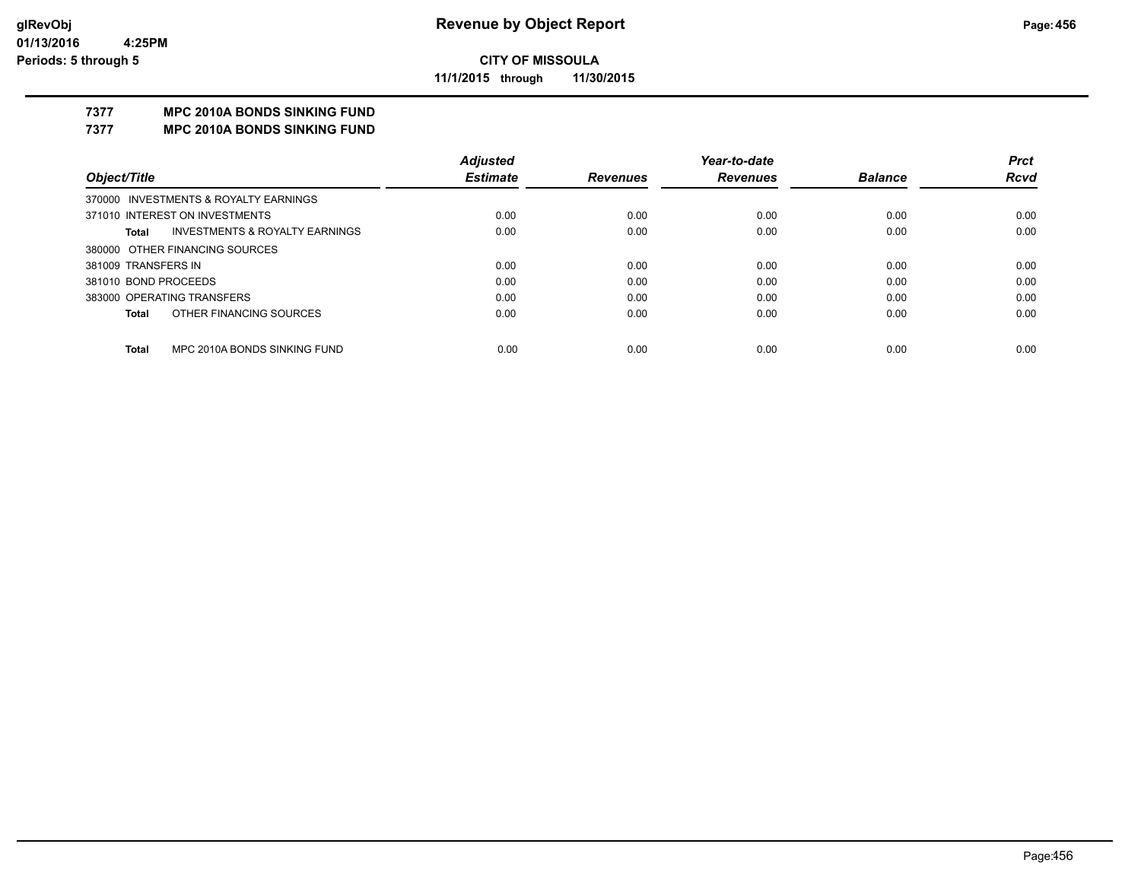**11/1/2015 through 11/30/2015**

### **7377 MPC 2010A BONDS SINKING FUND**

**7377 MPC 2010A BONDS SINKING FUND**

|                                         | <b>Adjusted</b> |                 | Year-to-date    |                | <b>Prct</b> |
|-----------------------------------------|-----------------|-----------------|-----------------|----------------|-------------|
| Object/Title                            | <b>Estimate</b> | <b>Revenues</b> | <b>Revenues</b> | <b>Balance</b> | <b>Rcvd</b> |
| 370000 INVESTMENTS & ROYALTY EARNINGS   |                 |                 |                 |                |             |
| 371010 INTEREST ON INVESTMENTS          | 0.00            | 0.00            | 0.00            | 0.00           | 0.00        |
| INVESTMENTS & ROYALTY EARNINGS<br>Total | 0.00            | 0.00            | 0.00            | 0.00           | 0.00        |
| 380000 OTHER FINANCING SOURCES          |                 |                 |                 |                |             |
| 381009 TRANSFERS IN                     | 0.00            | 0.00            | 0.00            | 0.00           | 0.00        |
| 381010 BOND PROCEEDS                    | 0.00            | 0.00            | 0.00            | 0.00           | 0.00        |
| 383000 OPERATING TRANSFERS              | 0.00            | 0.00            | 0.00            | 0.00           | 0.00        |
| OTHER FINANCING SOURCES<br><b>Total</b> | 0.00            | 0.00            | 0.00            | 0.00           | 0.00        |
|                                         |                 |                 |                 |                |             |
| MPC 2010A BONDS SINKING FUND<br>Total   | 0.00            | 0.00            | 0.00            | 0.00           | 0.00        |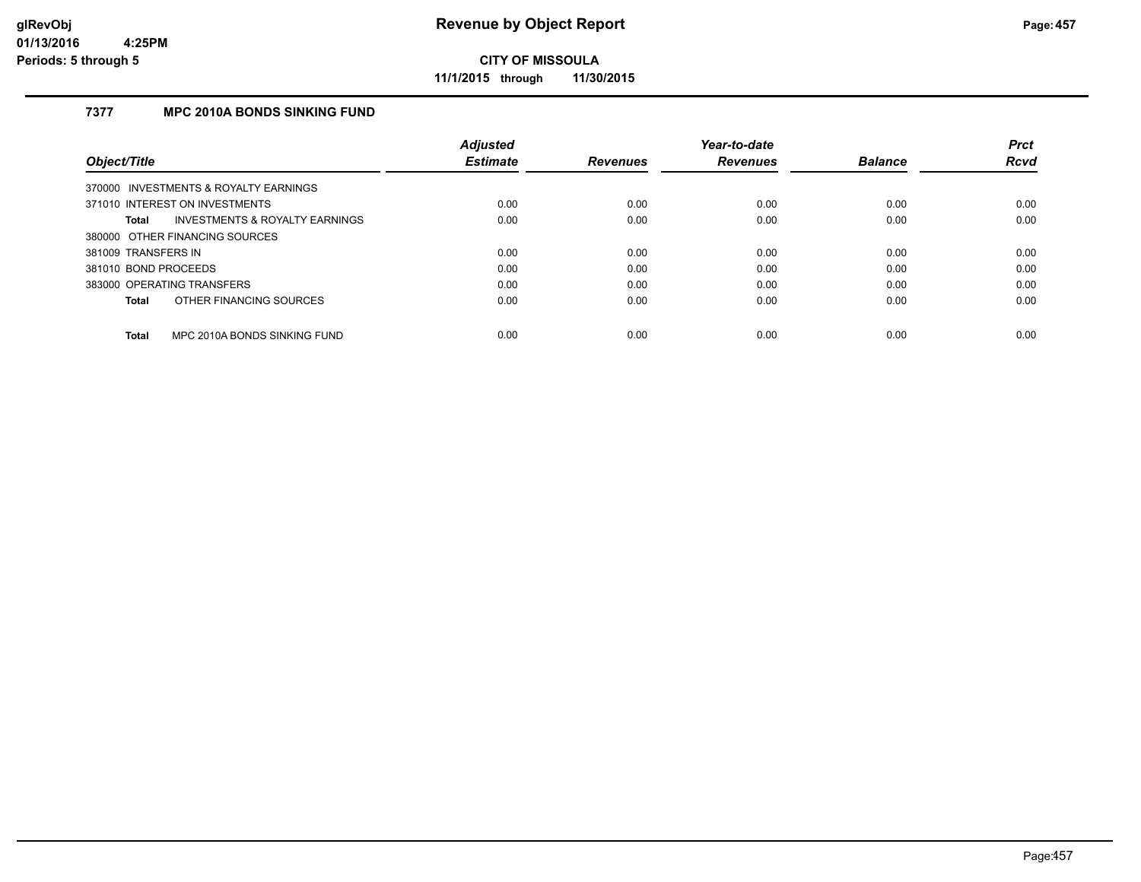**11/1/2015 through 11/30/2015**

### **7377 MPC 2010A BONDS SINKING FUND**

|                                              | <b>Adjusted</b> |                 | Year-to-date    |                | <b>Prct</b> |
|----------------------------------------------|-----------------|-----------------|-----------------|----------------|-------------|
| Object/Title                                 | <b>Estimate</b> | <b>Revenues</b> | <b>Revenues</b> | <b>Balance</b> | <b>Rcvd</b> |
| 370000 INVESTMENTS & ROYALTY EARNINGS        |                 |                 |                 |                |             |
| 371010 INTEREST ON INVESTMENTS               | 0.00            | 0.00            | 0.00            | 0.00           | 0.00        |
| INVESTMENTS & ROYALTY EARNINGS<br>Total      | 0.00            | 0.00            | 0.00            | 0.00           | 0.00        |
| 380000 OTHER FINANCING SOURCES               |                 |                 |                 |                |             |
| 381009 TRANSFERS IN                          | 0.00            | 0.00            | 0.00            | 0.00           | 0.00        |
| 381010 BOND PROCEEDS                         | 0.00            | 0.00            | 0.00            | 0.00           | 0.00        |
| 383000 OPERATING TRANSFERS                   | 0.00            | 0.00            | 0.00            | 0.00           | 0.00        |
| OTHER FINANCING SOURCES<br>Total             | 0.00            | 0.00            | 0.00            | 0.00           | 0.00        |
| MPC 2010A BONDS SINKING FUND<br><b>Total</b> | 0.00            | 0.00            | 0.00            | 0.00           | 0.00        |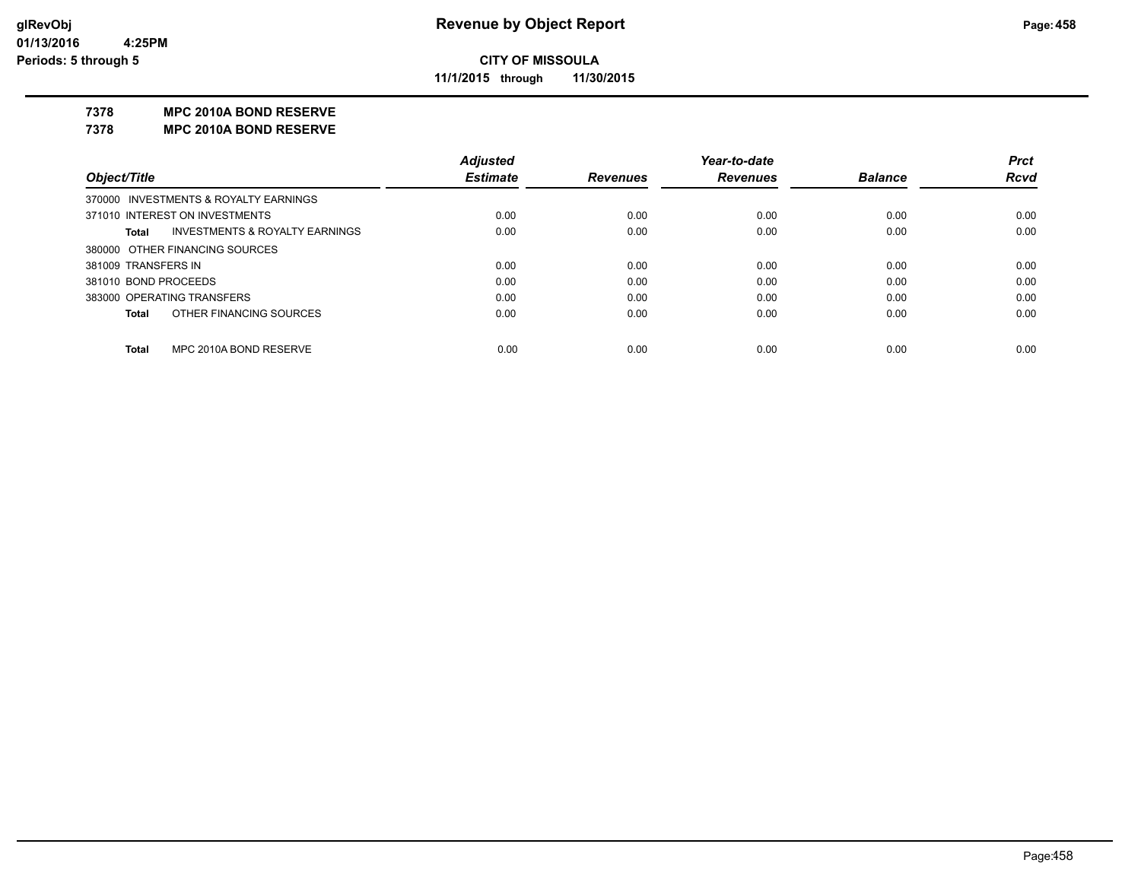**11/1/2015 through 11/30/2015**

#### **7378 MPC 2010A BOND RESERVE**

**7378 MPC 2010A BOND RESERVE**

|                      |                                       | <b>Adjusted</b> |                 | Year-to-date    |                | <b>Prct</b> |
|----------------------|---------------------------------------|-----------------|-----------------|-----------------|----------------|-------------|
| Object/Title         |                                       | <b>Estimate</b> | <b>Revenues</b> | <b>Revenues</b> | <b>Balance</b> | Rcvd        |
|                      | 370000 INVESTMENTS & ROYALTY EARNINGS |                 |                 |                 |                |             |
|                      | 371010 INTEREST ON INVESTMENTS        | 0.00            | 0.00            | 0.00            | 0.00           | 0.00        |
| Total                | INVESTMENTS & ROYALTY EARNINGS        | 0.00            | 0.00            | 0.00            | 0.00           | 0.00        |
|                      | 380000 OTHER FINANCING SOURCES        |                 |                 |                 |                |             |
| 381009 TRANSFERS IN  |                                       | 0.00            | 0.00            | 0.00            | 0.00           | 0.00        |
| 381010 BOND PROCEEDS |                                       | 0.00            | 0.00            | 0.00            | 0.00           | 0.00        |
|                      | 383000 OPERATING TRANSFERS            | 0.00            | 0.00            | 0.00            | 0.00           | 0.00        |
| Total                | OTHER FINANCING SOURCES               | 0.00            | 0.00            | 0.00            | 0.00           | 0.00        |
|                      |                                       |                 |                 |                 |                |             |
| <b>Total</b>         | MPC 2010A BOND RESERVE                | 0.00            | 0.00            | 0.00            | 0.00           | 0.00        |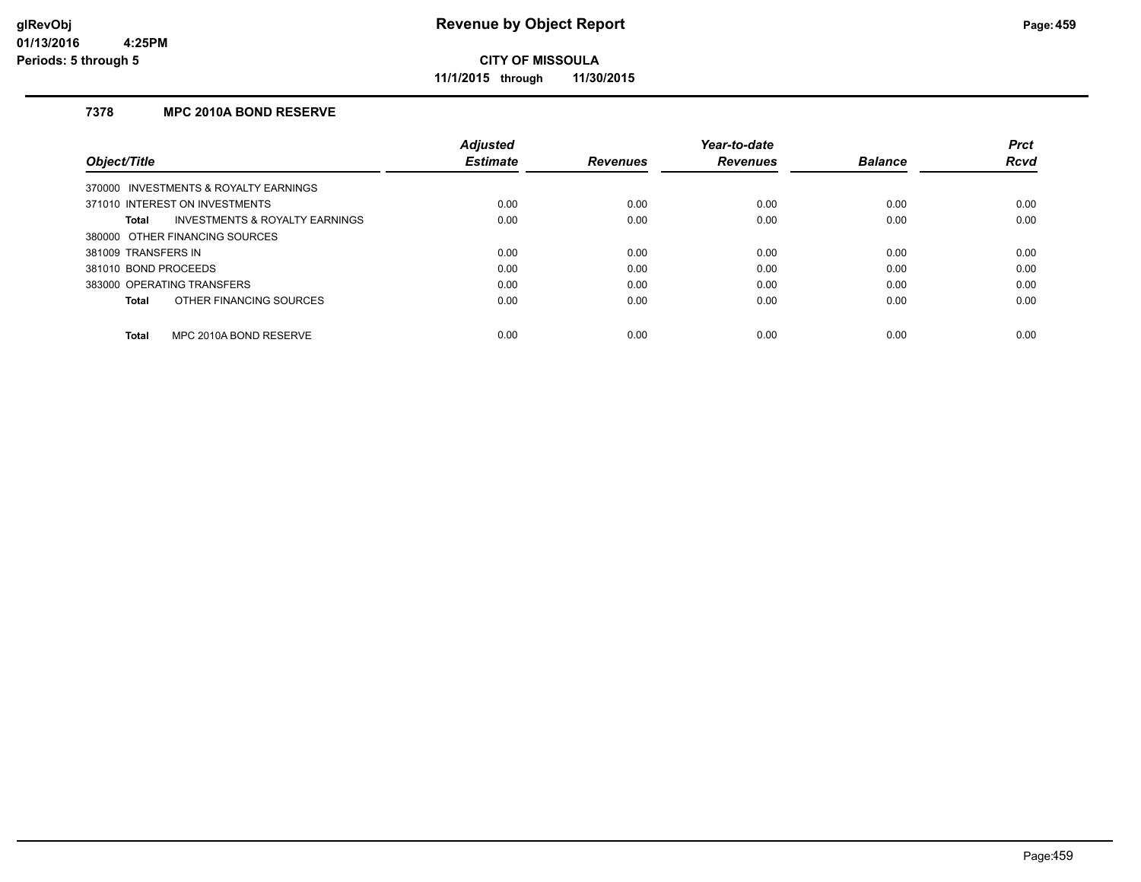**11/1/2015 through 11/30/2015**

### **7378 MPC 2010A BOND RESERVE**

|                                         | <b>Adjusted</b> |                 | Year-to-date    |                | <b>Prct</b> |
|-----------------------------------------|-----------------|-----------------|-----------------|----------------|-------------|
| Object/Title                            | <b>Estimate</b> | <b>Revenues</b> | <b>Revenues</b> | <b>Balance</b> | <b>Rcvd</b> |
| 370000 INVESTMENTS & ROYALTY EARNINGS   |                 |                 |                 |                |             |
| 371010 INTEREST ON INVESTMENTS          | 0.00            | 0.00            | 0.00            | 0.00           | 0.00        |
| INVESTMENTS & ROYALTY EARNINGS<br>Total | 0.00            | 0.00            | 0.00            | 0.00           | 0.00        |
| 380000 OTHER FINANCING SOURCES          |                 |                 |                 |                |             |
| 381009 TRANSFERS IN                     | 0.00            | 0.00            | 0.00            | 0.00           | 0.00        |
| 381010 BOND PROCEEDS                    | 0.00            | 0.00            | 0.00            | 0.00           | 0.00        |
| 383000 OPERATING TRANSFERS              | 0.00            | 0.00            | 0.00            | 0.00           | 0.00        |
| OTHER FINANCING SOURCES<br>Total        | 0.00            | 0.00            | 0.00            | 0.00           | 0.00        |
| MPC 2010A BOND RESERVE<br><b>Total</b>  | 0.00            | 0.00            | 0.00            | 0.00           | 0.00        |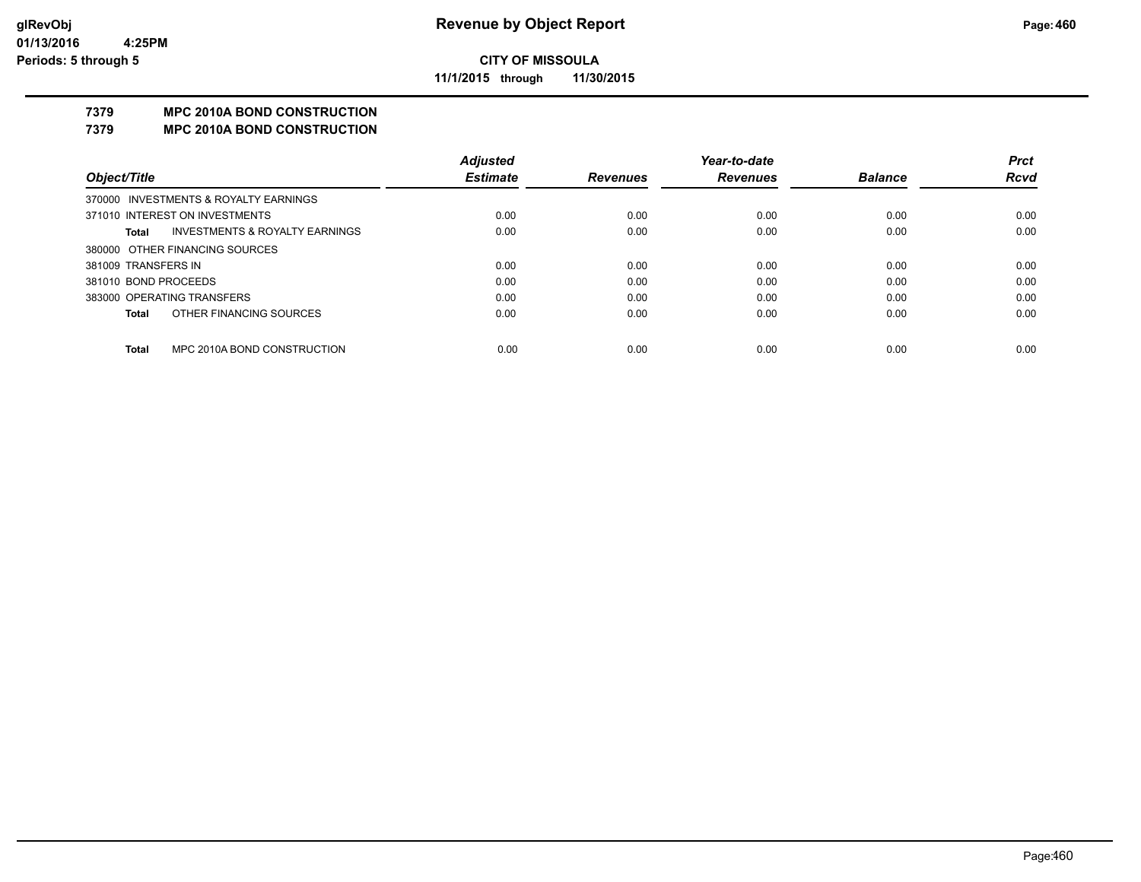**11/1/2015 through 11/30/2015**

### **7379 MPC 2010A BOND CONSTRUCTION**

#### **7379 MPC 2010A BOND CONSTRUCTION**

|                                       | <b>Adjusted</b>             |                 | Year-to-date    |                | <b>Prct</b> |
|---------------------------------------|-----------------------------|-----------------|-----------------|----------------|-------------|
|                                       | <b>Estimate</b>             | <b>Revenues</b> | <b>Revenues</b> | <b>Balance</b> | <b>Rcvd</b> |
| 370000 INVESTMENTS & ROYALTY EARNINGS |                             |                 |                 |                |             |
| 371010 INTEREST ON INVESTMENTS        | 0.00                        | 0.00            | 0.00            | 0.00           | 0.00        |
| INVESTMENTS & ROYALTY EARNINGS        | 0.00                        | 0.00            | 0.00            | 0.00           | 0.00        |
| 380000 OTHER FINANCING SOURCES        |                             |                 |                 |                |             |
| 381009 TRANSFERS IN                   | 0.00                        | 0.00            | 0.00            | 0.00           | 0.00        |
| 381010 BOND PROCEEDS                  | 0.00                        | 0.00            | 0.00            | 0.00           | 0.00        |
| 383000 OPERATING TRANSFERS            | 0.00                        | 0.00            | 0.00            | 0.00           | 0.00        |
| OTHER FINANCING SOURCES               | 0.00                        | 0.00            | 0.00            | 0.00           | 0.00        |
|                                       |                             |                 |                 |                | 0.00        |
|                                       | MPC 2010A BOND CONSTRUCTION | 0.00            | 0.00            | 0.00           | 0.00        |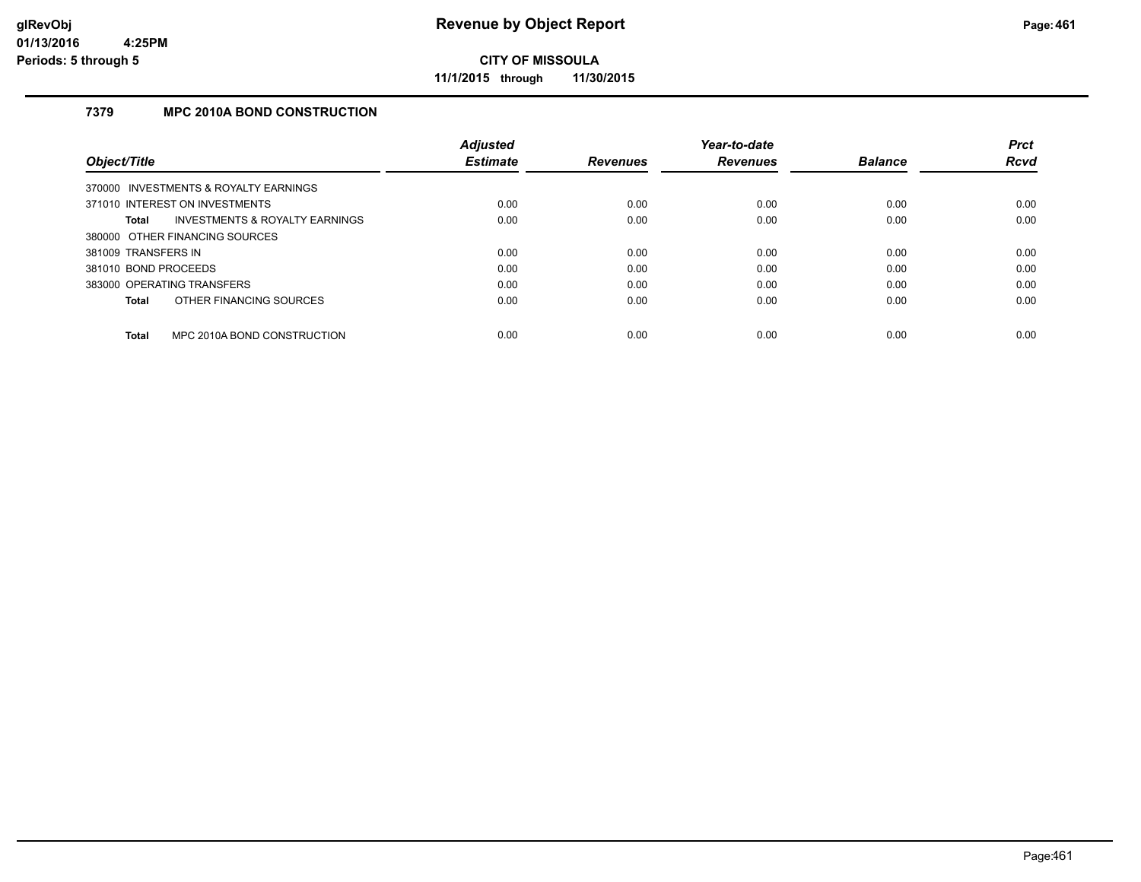**11/1/2015 through 11/30/2015**

### **7379 MPC 2010A BOND CONSTRUCTION**

|                                             | <b>Adjusted</b> |                 | Year-to-date    |                | <b>Prct</b> |
|---------------------------------------------|-----------------|-----------------|-----------------|----------------|-------------|
| Object/Title                                | <b>Estimate</b> | <b>Revenues</b> | <b>Revenues</b> | <b>Balance</b> | <b>Rcvd</b> |
| 370000 INVESTMENTS & ROYALTY EARNINGS       |                 |                 |                 |                |             |
| 371010 INTEREST ON INVESTMENTS              | 0.00            | 0.00            | 0.00            | 0.00           | 0.00        |
| INVESTMENTS & ROYALTY EARNINGS<br>Total     | 0.00            | 0.00            | 0.00            | 0.00           | 0.00        |
| 380000 OTHER FINANCING SOURCES              |                 |                 |                 |                |             |
| 381009 TRANSFERS IN                         | 0.00            | 0.00            | 0.00            | 0.00           | 0.00        |
| 381010 BOND PROCEEDS                        | 0.00            | 0.00            | 0.00            | 0.00           | 0.00        |
| 383000 OPERATING TRANSFERS                  | 0.00            | 0.00            | 0.00            | 0.00           | 0.00        |
| OTHER FINANCING SOURCES<br><b>Total</b>     | 0.00            | 0.00            | 0.00            | 0.00           | 0.00        |
| MPC 2010A BOND CONSTRUCTION<br><b>Total</b> | 0.00            | 0.00            | 0.00            | 0.00           | 0.00        |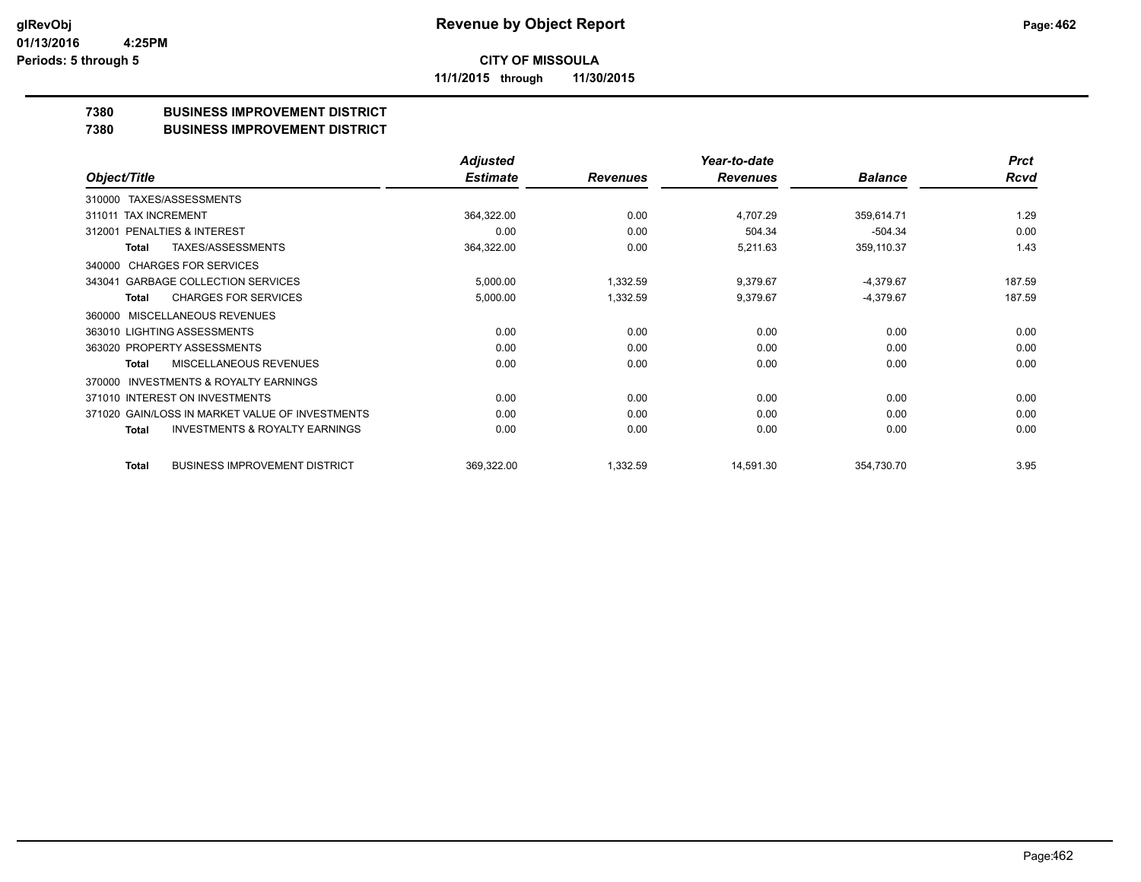**11/1/2015 through 11/30/2015**

### **7380 BUSINESS IMPROVEMENT DISTRICT**

#### **7380 BUSINESS IMPROVEMENT DISTRICT**

|                                                     | <b>Adjusted</b> |                 | Year-to-date    |                | <b>Prct</b> |
|-----------------------------------------------------|-----------------|-----------------|-----------------|----------------|-------------|
| Object/Title                                        | <b>Estimate</b> | <b>Revenues</b> | <b>Revenues</b> | <b>Balance</b> | <b>Rcvd</b> |
| TAXES/ASSESSMENTS<br>310000                         |                 |                 |                 |                |             |
| 311011 TAX INCREMENT                                | 364,322.00      | 0.00            | 4,707.29        | 359,614.71     | 1.29        |
| PENALTIES & INTEREST<br>312001                      | 0.00            | 0.00            | 504.34          | $-504.34$      | 0.00        |
| <b>TAXES/ASSESSMENTS</b><br>Total                   | 364,322.00      | 0.00            | 5,211.63        | 359,110.37     | 1.43        |
| <b>CHARGES FOR SERVICES</b><br>340000               |                 |                 |                 |                |             |
| <b>GARBAGE COLLECTION SERVICES</b><br>343041        | 5,000.00        | 1,332.59        | 9,379.67        | $-4,379.67$    | 187.59      |
| <b>CHARGES FOR SERVICES</b><br><b>Total</b>         | 5,000.00        | 1,332.59        | 9,379.67        | $-4,379.67$    | 187.59      |
| <b>MISCELLANEOUS REVENUES</b><br>360000             |                 |                 |                 |                |             |
| 363010 LIGHTING ASSESSMENTS                         | 0.00            | 0.00            | 0.00            | 0.00           | 0.00        |
| 363020 PROPERTY ASSESSMENTS                         | 0.00            | 0.00            | 0.00            | 0.00           | 0.00        |
| MISCELLANEOUS REVENUES<br>Total                     | 0.00            | 0.00            | 0.00            | 0.00           | 0.00        |
| <b>INVESTMENTS &amp; ROYALTY EARNINGS</b><br>370000 |                 |                 |                 |                |             |
| 371010 INTEREST ON INVESTMENTS                      | 0.00            | 0.00            | 0.00            | 0.00           | 0.00        |
| 371020 GAIN/LOSS IN MARKET VALUE OF INVESTMENTS     | 0.00            | 0.00            | 0.00            | 0.00           | 0.00        |
| <b>INVESTMENTS &amp; ROYALTY EARNINGS</b><br>Total  | 0.00            | 0.00            | 0.00            | 0.00           | 0.00        |
| <b>BUSINESS IMPROVEMENT DISTRICT</b><br>Total       | 369,322.00      | 1,332.59        | 14,591.30       | 354,730.70     | 3.95        |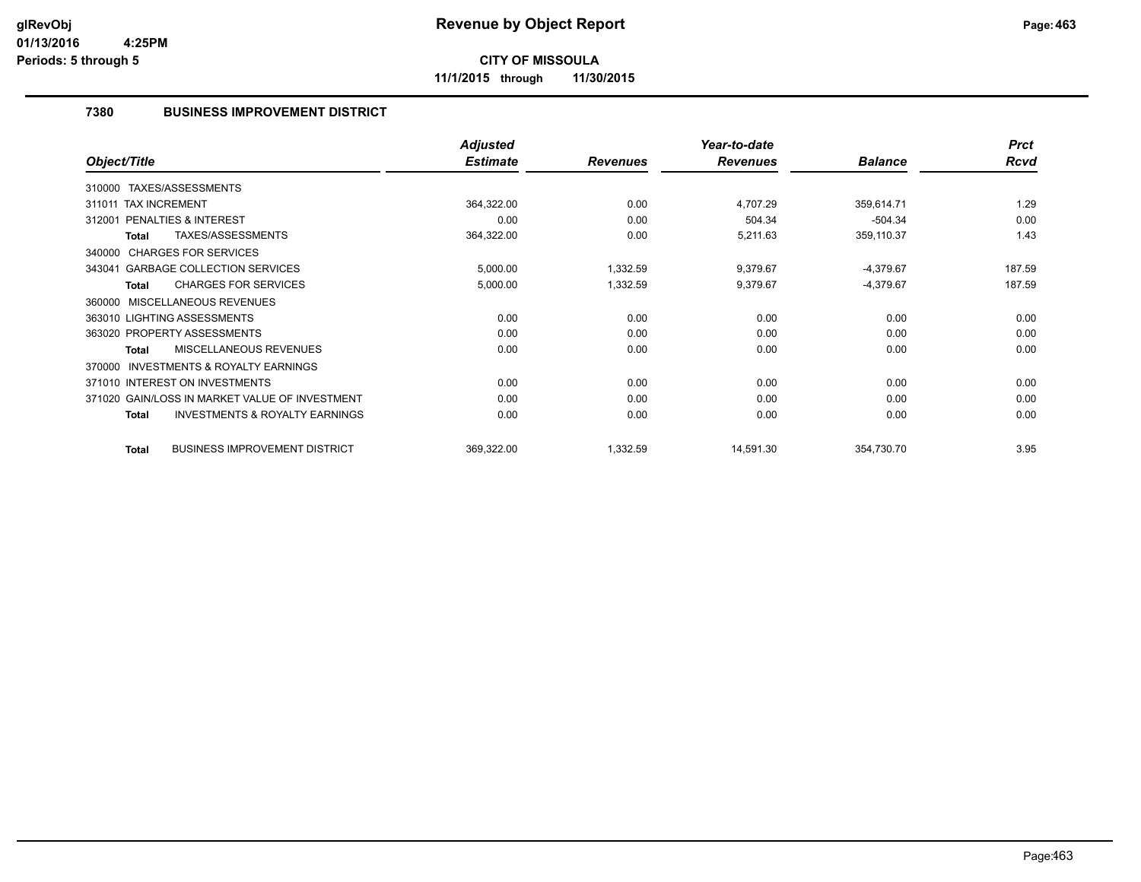**11/1/2015 through 11/30/2015**

### **7380 BUSINESS IMPROVEMENT DISTRICT**

|                                                           | <b>Adjusted</b> |                 | Year-to-date    |                | <b>Prct</b> |
|-----------------------------------------------------------|-----------------|-----------------|-----------------|----------------|-------------|
| Object/Title                                              | <b>Estimate</b> | <b>Revenues</b> | <b>Revenues</b> | <b>Balance</b> | Rcvd        |
| TAXES/ASSESSMENTS<br>310000                               |                 |                 |                 |                |             |
| <b>TAX INCREMENT</b><br>311011                            | 364,322.00      | 0.00            | 4,707.29        | 359,614.71     | 1.29        |
| 312001 PENALTIES & INTEREST                               | 0.00            | 0.00            | 504.34          | $-504.34$      | 0.00        |
| TAXES/ASSESSMENTS<br><b>Total</b>                         | 364,322.00      | 0.00            | 5,211.63        | 359,110.37     | 1.43        |
| <b>CHARGES FOR SERVICES</b><br>340000                     |                 |                 |                 |                |             |
| 343041 GARBAGE COLLECTION SERVICES                        | 5,000.00        | 1,332.59        | 9,379.67        | $-4,379.67$    | 187.59      |
| <b>CHARGES FOR SERVICES</b><br><b>Total</b>               | 5,000.00        | 1,332.59        | 9,379.67        | $-4,379.67$    | 187.59      |
| MISCELLANEOUS REVENUES<br>360000                          |                 |                 |                 |                |             |
| 363010 LIGHTING ASSESSMENTS                               | 0.00            | 0.00            | 0.00            | 0.00           | 0.00        |
| 363020 PROPERTY ASSESSMENTS                               | 0.00            | 0.00            | 0.00            | 0.00           | 0.00        |
| MISCELLANEOUS REVENUES<br><b>Total</b>                    | 0.00            | 0.00            | 0.00            | 0.00           | 0.00        |
| <b>INVESTMENTS &amp; ROYALTY EARNINGS</b><br>370000       |                 |                 |                 |                |             |
| 371010 INTEREST ON INVESTMENTS                            | 0.00            | 0.00            | 0.00            | 0.00           | 0.00        |
| 371020 GAIN/LOSS IN MARKET VALUE OF INVESTMENT            | 0.00            | 0.00            | 0.00            | 0.00           | 0.00        |
| <b>INVESTMENTS &amp; ROYALTY EARNINGS</b><br><b>Total</b> | 0.00            | 0.00            | 0.00            | 0.00           | 0.00        |
| <b>BUSINESS IMPROVEMENT DISTRICT</b><br>Total             | 369,322.00      | 1,332.59        | 14,591.30       | 354,730.70     | 3.95        |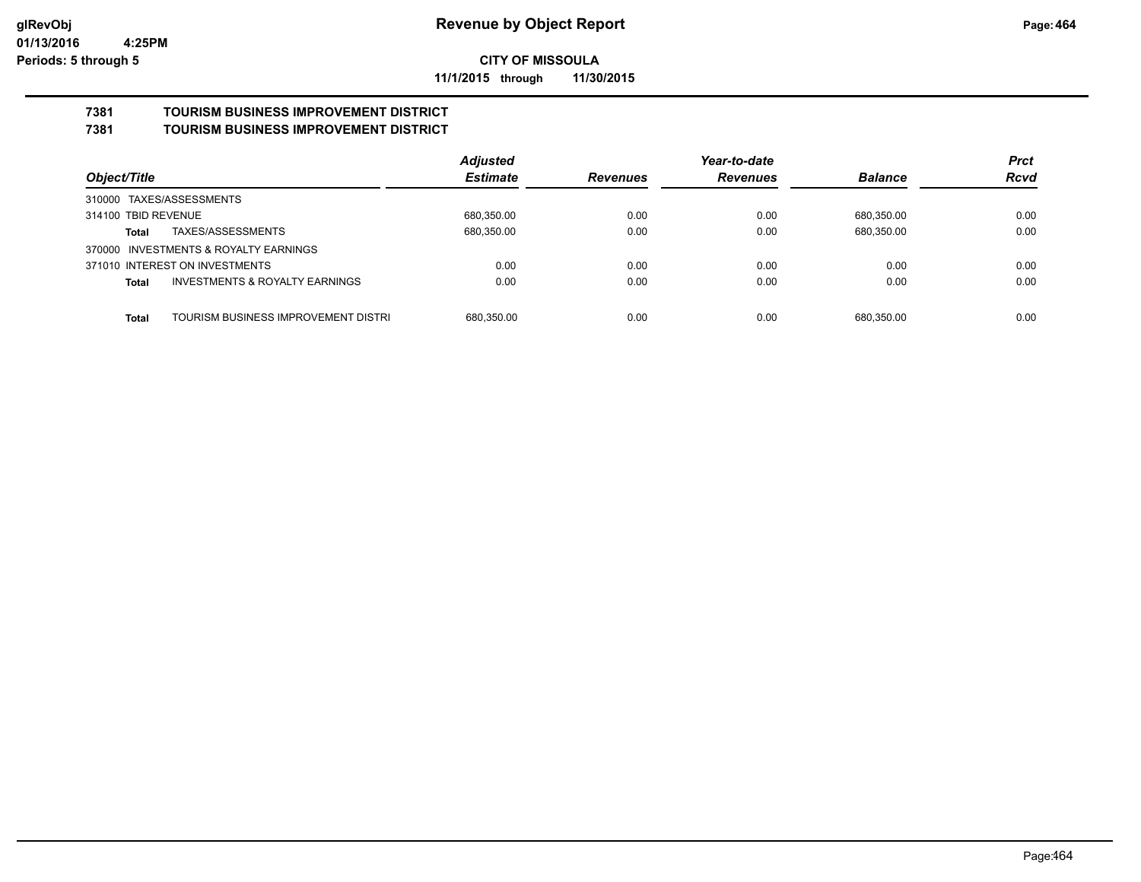**11/1/2015 through 11/30/2015**

#### **7381 TOURISM BUSINESS IMPROVEMENT DISTRICT 7381 TOURISM BUSINESS IMPROVEMENT DISTRICT**

|                                         |                                     | <b>Adjusted</b> |                 | Year-to-date    |                | <b>Prct</b> |
|-----------------------------------------|-------------------------------------|-----------------|-----------------|-----------------|----------------|-------------|
| Object/Title                            |                                     | <b>Estimate</b> | <b>Revenues</b> | <b>Revenues</b> | <b>Balance</b> | <b>Rcvd</b> |
| 310000 TAXES/ASSESSMENTS                |                                     |                 |                 |                 |                |             |
| 314100 TBID REVENUE                     |                                     | 680,350.00      | 0.00            | 0.00            | 680,350.00     | 0.00        |
| TAXES/ASSESSMENTS<br>Total              |                                     | 680,350.00      | 0.00            | 0.00            | 680,350.00     | 0.00        |
| 370000 INVESTMENTS & ROYALTY EARNINGS   |                                     |                 |                 |                 |                |             |
| 371010 INTEREST ON INVESTMENTS          |                                     | 0.00            | 0.00            | 0.00            | 0.00           | 0.00        |
| INVESTMENTS & ROYALTY EARNINGS<br>Total |                                     | 0.00            | 0.00            | 0.00            | 0.00           | 0.00        |
| <b>Total</b>                            | TOURISM BUSINESS IMPROVEMENT DISTRI | 680.350.00      | 0.00            | 0.00            | 680.350.00     | 0.00        |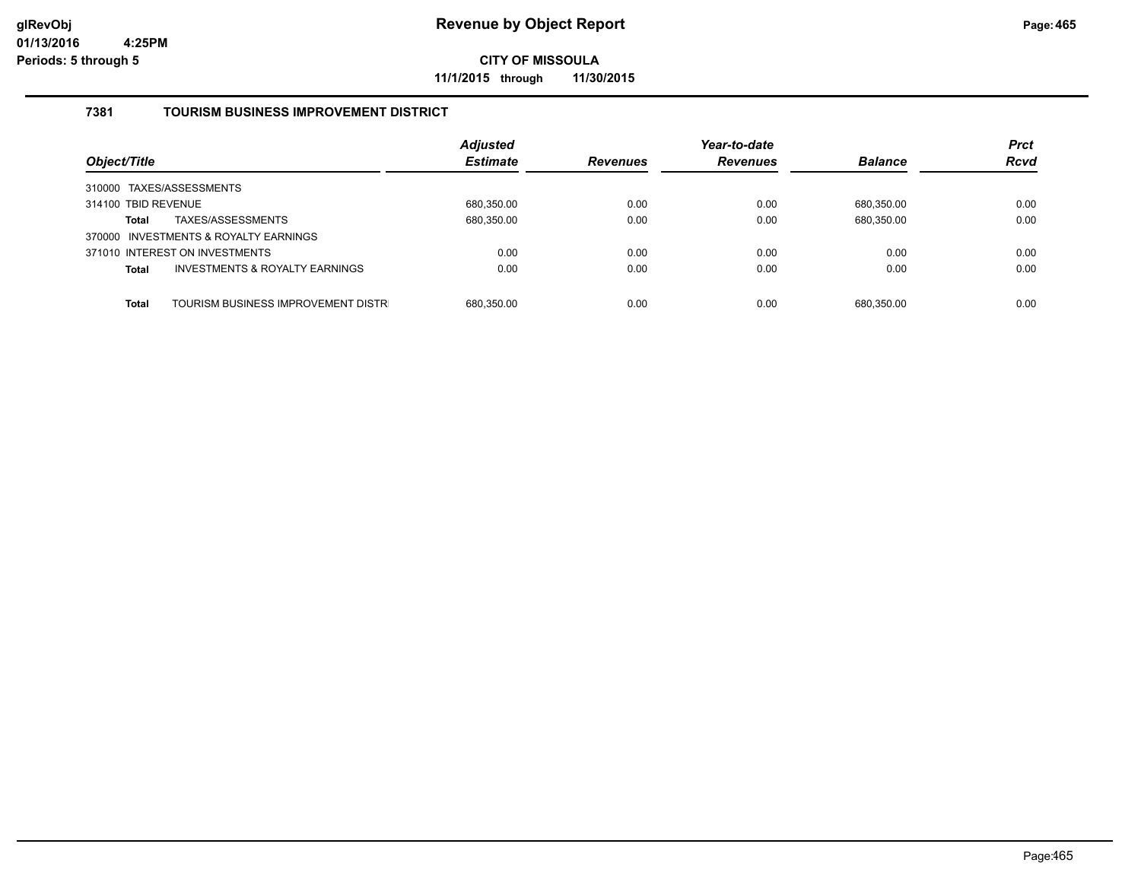**11/1/2015 through 11/30/2015**

### **7381 TOURISM BUSINESS IMPROVEMENT DISTRICT**

| Object/Title                                              | <b>Adjusted</b><br><b>Estimate</b> | <b>Revenues</b> | Year-to-date<br><b>Revenues</b> | <b>Balance</b> | <b>Prct</b><br><b>Rcvd</b> |
|-----------------------------------------------------------|------------------------------------|-----------------|---------------------------------|----------------|----------------------------|
| 310000 TAXES/ASSESSMENTS                                  |                                    |                 |                                 |                |                            |
| 314100 TBID REVENUE                                       | 680,350.00                         | 0.00            | 0.00                            | 680.350.00     | 0.00                       |
| TAXES/ASSESSMENTS<br><b>Total</b>                         | 680,350.00                         | 0.00            | 0.00                            | 680,350.00     | 0.00                       |
| 370000 INVESTMENTS & ROYALTY EARNINGS                     |                                    |                 |                                 |                |                            |
| 371010 INTEREST ON INVESTMENTS                            | 0.00                               | 0.00            | 0.00                            | 0.00           | 0.00                       |
| <b>INVESTMENTS &amp; ROYALTY EARNINGS</b><br><b>Total</b> | 0.00                               | 0.00            | 0.00                            | 0.00           | 0.00                       |
|                                                           |                                    |                 |                                 |                |                            |
| TOURISM BUSINESS IMPROVEMENT DISTR<br><b>Total</b>        | 680.350.00                         | 0.00            | 0.00                            | 680.350.00     | 0.00                       |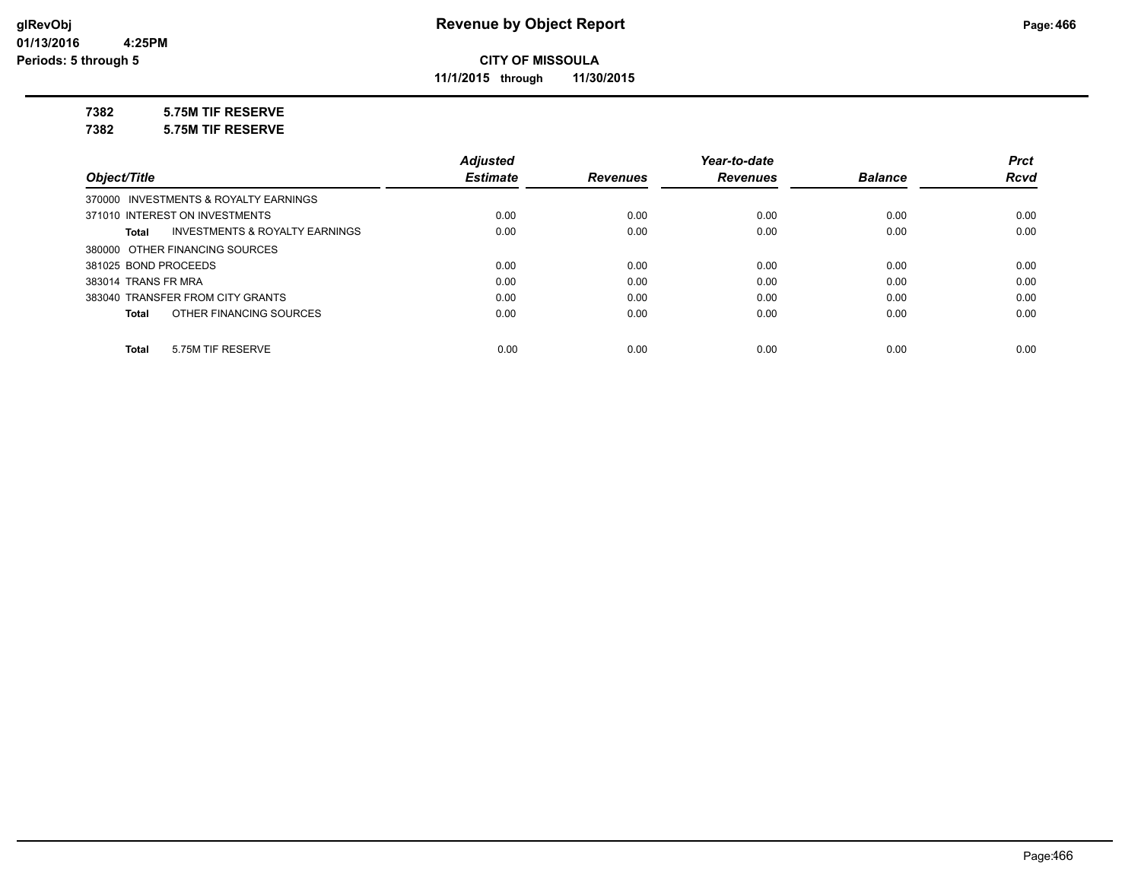**11/1/2015 through 11/30/2015**

### **7382 5.75M TIF RESERVE**

**7382 5.75M TIF RESERVE**

|                                         | <b>Adjusted</b> |                 | Year-to-date    |                | <b>Prct</b> |
|-----------------------------------------|-----------------|-----------------|-----------------|----------------|-------------|
| Object/Title                            | <b>Estimate</b> | <b>Revenues</b> | <b>Revenues</b> | <b>Balance</b> | <b>Rcvd</b> |
| 370000 INVESTMENTS & ROYALTY EARNINGS   |                 |                 |                 |                |             |
| 371010 INTEREST ON INVESTMENTS          | 0.00            | 0.00            | 0.00            | 0.00           | 0.00        |
| INVESTMENTS & ROYALTY EARNINGS<br>Total | 0.00            | 0.00            | 0.00            | 0.00           | 0.00        |
| 380000 OTHER FINANCING SOURCES          |                 |                 |                 |                |             |
| 381025 BOND PROCEEDS                    | 0.00            | 0.00            | 0.00            | 0.00           | 0.00        |
| 383014 TRANS FR MRA                     | 0.00            | 0.00            | 0.00            | 0.00           | 0.00        |
| 383040 TRANSFER FROM CITY GRANTS        | 0.00            | 0.00            | 0.00            | 0.00           | 0.00        |
| OTHER FINANCING SOURCES<br>Total        | 0.00            | 0.00            | 0.00            | 0.00           | 0.00        |
|                                         |                 |                 |                 |                |             |
| 5.75M TIF RESERVE<br><b>Total</b>       | 0.00            | 0.00            | 0.00            | 0.00           | 0.00        |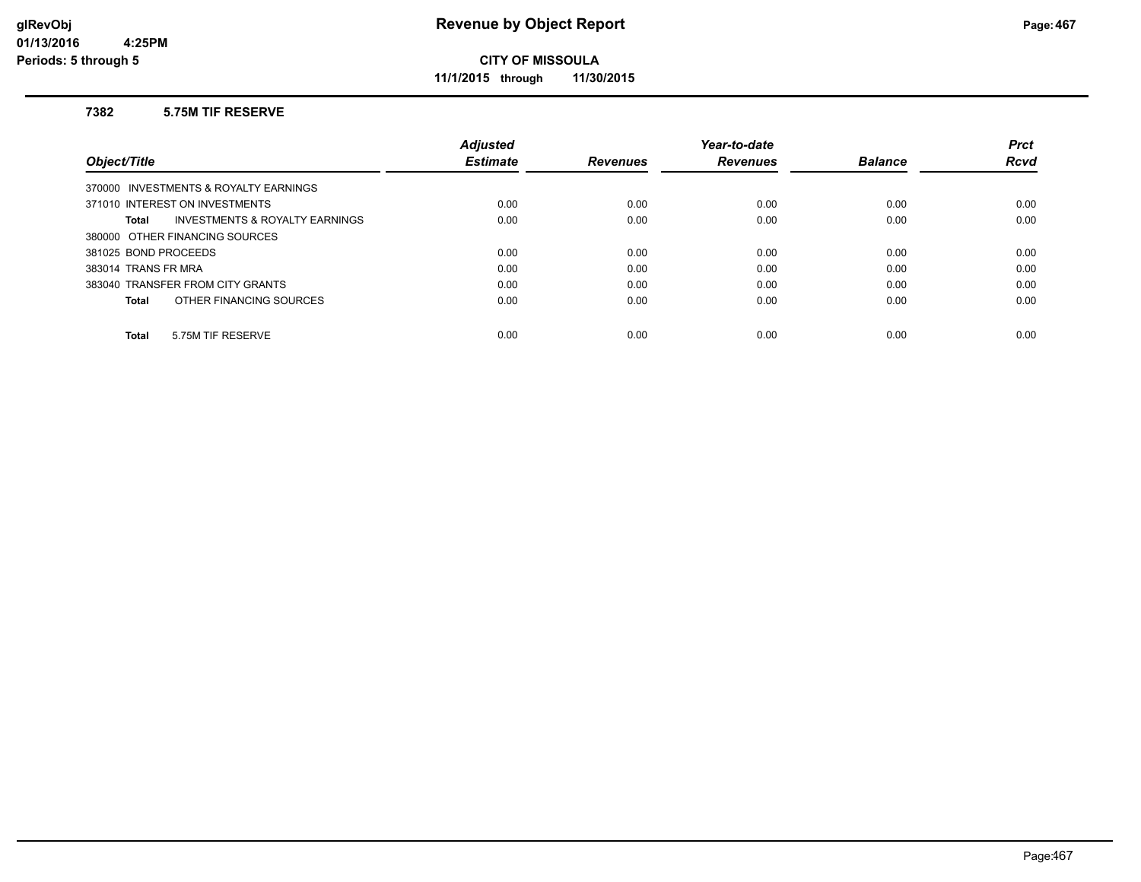**11/1/2015 through 11/30/2015**

#### **7382 5.75M TIF RESERVE**

|                                                    | <b>Adjusted</b> |                 | Year-to-date    |                | <b>Prct</b> |
|----------------------------------------------------|-----------------|-----------------|-----------------|----------------|-------------|
| Object/Title                                       | <b>Estimate</b> | <b>Revenues</b> | <b>Revenues</b> | <b>Balance</b> | <b>Rcvd</b> |
| 370000 INVESTMENTS & ROYALTY EARNINGS              |                 |                 |                 |                |             |
| 371010 INTEREST ON INVESTMENTS                     | 0.00            | 0.00            | 0.00            | 0.00           | 0.00        |
| <b>INVESTMENTS &amp; ROYALTY EARNINGS</b><br>Total | 0.00            | 0.00            | 0.00            | 0.00           | 0.00        |
| 380000 OTHER FINANCING SOURCES                     |                 |                 |                 |                |             |
| 381025 BOND PROCEEDS                               | 0.00            | 0.00            | 0.00            | 0.00           | 0.00        |
| 383014 TRANS FR MRA                                | 0.00            | 0.00            | 0.00            | 0.00           | 0.00        |
| 383040 TRANSFER FROM CITY GRANTS                   | 0.00            | 0.00            | 0.00            | 0.00           | 0.00        |
| OTHER FINANCING SOURCES<br>Total                   | 0.00            | 0.00            | 0.00            | 0.00           | 0.00        |
|                                                    |                 |                 |                 |                |             |
| 5.75M TIF RESERVE<br><b>Total</b>                  | 0.00            | 0.00            | 0.00            | 0.00           | 0.00        |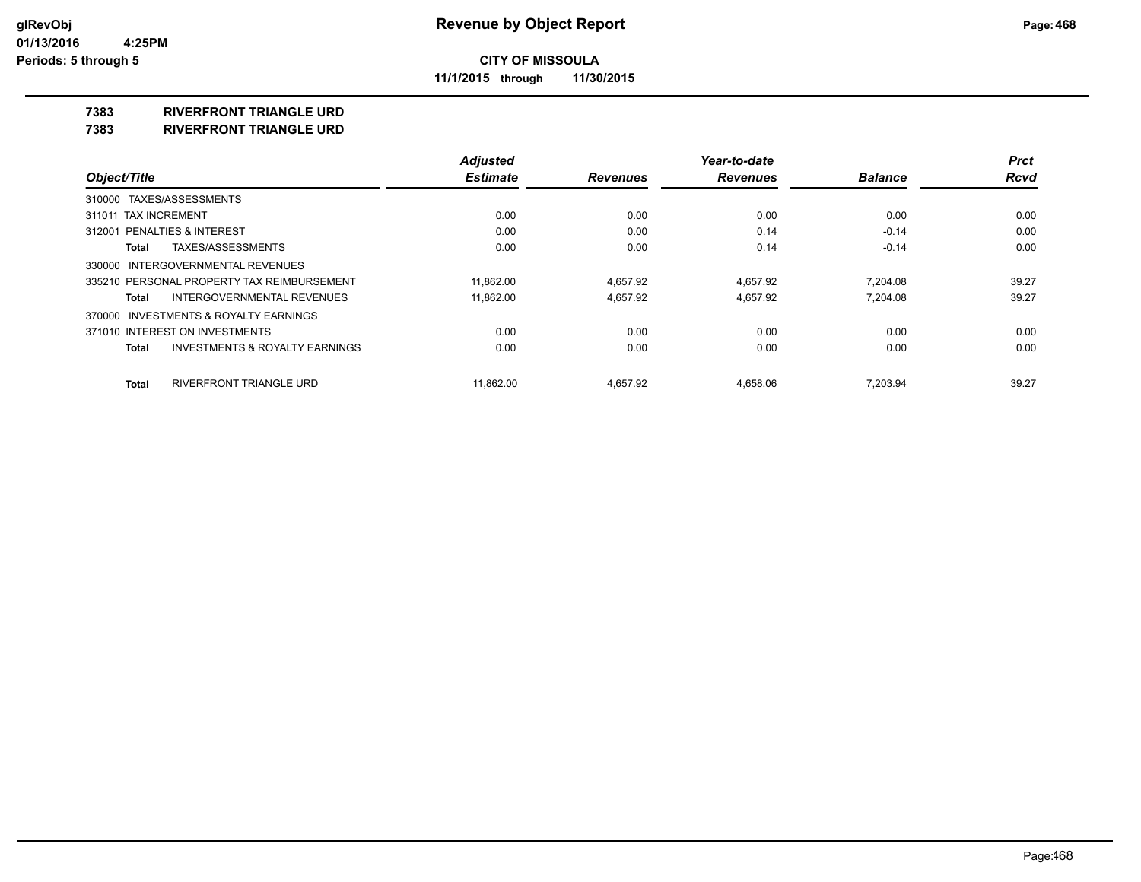**11/1/2015 through 11/30/2015**

#### **7383 RIVERFRONT TRIANGLE URD**

#### **7383 RIVERFRONT TRIANGLE URD**

|                                                           | <b>Adjusted</b> |                 | Year-to-date    |                | <b>Prct</b> |
|-----------------------------------------------------------|-----------------|-----------------|-----------------|----------------|-------------|
| Object/Title                                              | <b>Estimate</b> | <b>Revenues</b> | <b>Revenues</b> | <b>Balance</b> | <b>Rcvd</b> |
| TAXES/ASSESSMENTS<br>310000                               |                 |                 |                 |                |             |
| <b>TAX INCREMENT</b><br>311011                            | 0.00            | 0.00            | 0.00            | 0.00           | 0.00        |
| PENALTIES & INTEREST<br>312001                            | 0.00            | 0.00            | 0.14            | $-0.14$        | 0.00        |
| TAXES/ASSESSMENTS<br>Total                                | 0.00            | 0.00            | 0.14            | $-0.14$        | 0.00        |
| 330000 INTERGOVERNMENTAL REVENUES                         |                 |                 |                 |                |             |
| 335210 PERSONAL PROPERTY TAX REIMBURSEMENT                | 11.862.00       | 4.657.92        | 4.657.92        | 7.204.08       | 39.27       |
| INTERGOVERNMENTAL REVENUES<br>Total                       | 11.862.00       | 4.657.92        | 4.657.92        | 7.204.08       | 39.27       |
| 370000 INVESTMENTS & ROYALTY EARNINGS                     |                 |                 |                 |                |             |
| 371010 INTEREST ON INVESTMENTS                            | 0.00            | 0.00            | 0.00            | 0.00           | 0.00        |
| <b>INVESTMENTS &amp; ROYALTY EARNINGS</b><br><b>Total</b> | 0.00            | 0.00            | 0.00            | 0.00           | 0.00        |
| RIVERFRONT TRIANGLE URD<br><b>Total</b>                   | 11.862.00       | 4,657.92        | 4,658.06        | 7,203.94       | 39.27       |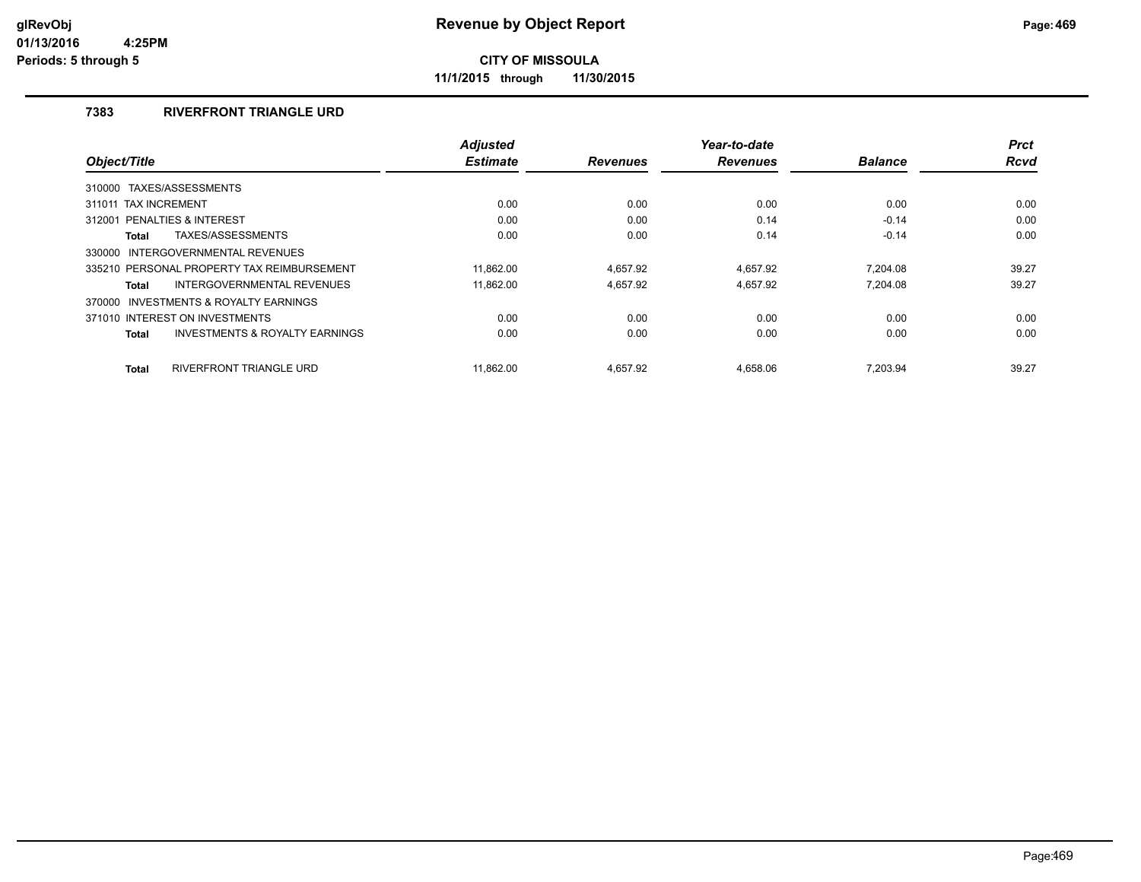**11/1/2015 through 11/30/2015**

### **7383 RIVERFRONT TRIANGLE URD**

|                                                     | <b>Adjusted</b> |                 | Year-to-date    |                | <b>Prct</b> |
|-----------------------------------------------------|-----------------|-----------------|-----------------|----------------|-------------|
| Object/Title                                        | <b>Estimate</b> | <b>Revenues</b> | <b>Revenues</b> | <b>Balance</b> | <b>Rcvd</b> |
| 310000 TAXES/ASSESSMENTS                            |                 |                 |                 |                |             |
| 311011 TAX INCREMENT                                | 0.00            | 0.00            | 0.00            | 0.00           | 0.00        |
| 312001 PENALTIES & INTEREST                         | 0.00            | 0.00            | 0.14            | $-0.14$        | 0.00        |
| TAXES/ASSESSMENTS<br><b>Total</b>                   | 0.00            | 0.00            | 0.14            | $-0.14$        | 0.00        |
| INTERGOVERNMENTAL REVENUES<br>330000                |                 |                 |                 |                |             |
| 335210 PERSONAL PROPERTY TAX REIMBURSEMENT          | 11,862.00       | 4.657.92        | 4.657.92        | 7.204.08       | 39.27       |
| INTERGOVERNMENTAL REVENUES<br><b>Total</b>          | 11.862.00       | 4.657.92        | 4.657.92        | 7.204.08       | 39.27       |
| <b>INVESTMENTS &amp; ROYALTY EARNINGS</b><br>370000 |                 |                 |                 |                |             |
| 371010 INTEREST ON INVESTMENTS                      | 0.00            | 0.00            | 0.00            | 0.00           | 0.00        |
| INVESTMENTS & ROYALTY EARNINGS<br><b>Total</b>      | 0.00            | 0.00            | 0.00            | 0.00           | 0.00        |
| RIVERFRONT TRIANGLE URD<br><b>Total</b>             | 11.862.00       | 4.657.92        | 4.658.06        | 7.203.94       | 39.27       |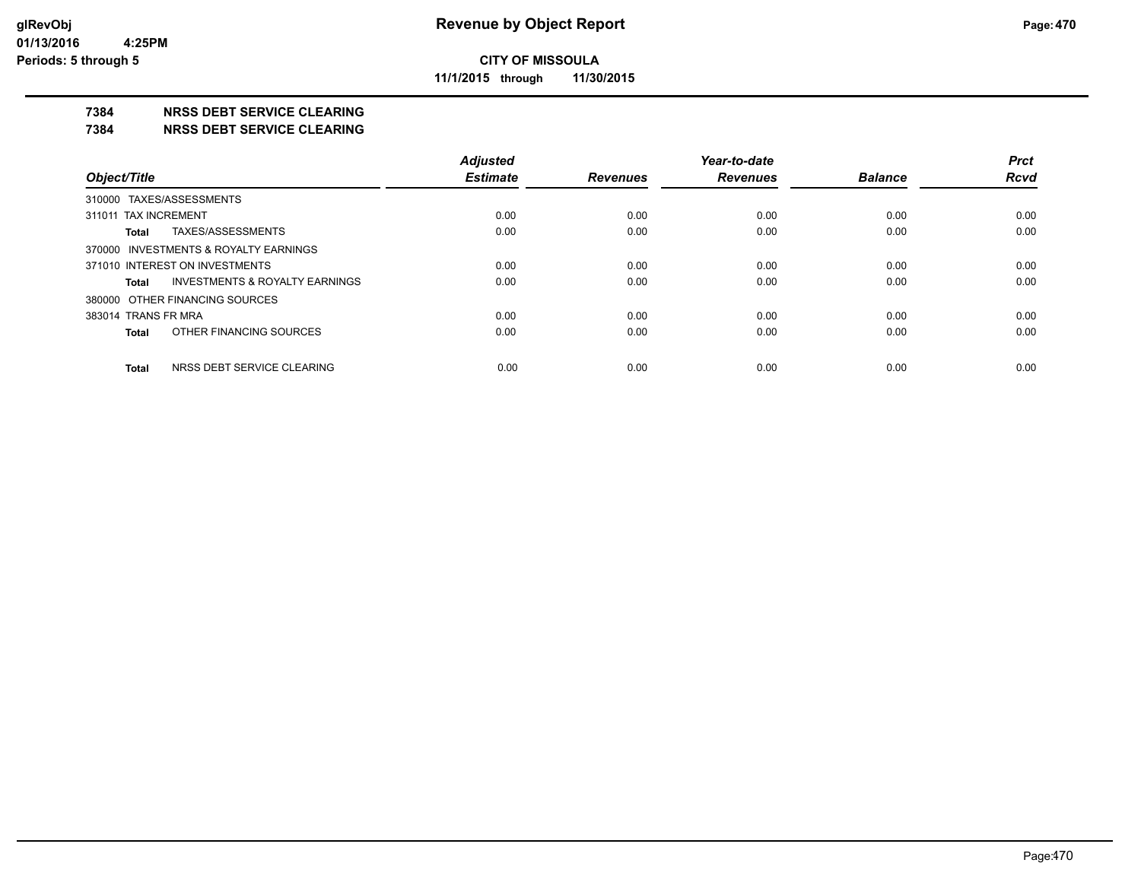**11/1/2015 through 11/30/2015**

#### **7384 NRSS DEBT SERVICE CLEARING**

**7384 NRSS DEBT SERVICE CLEARING**

|                                                    | <b>Adjusted</b> |                 | Year-to-date    |                | <b>Prct</b> |
|----------------------------------------------------|-----------------|-----------------|-----------------|----------------|-------------|
| Object/Title                                       | <b>Estimate</b> | <b>Revenues</b> | <b>Revenues</b> | <b>Balance</b> | <b>Rcvd</b> |
| 310000 TAXES/ASSESSMENTS                           |                 |                 |                 |                |             |
| 311011 TAX INCREMENT                               | 0.00            | 0.00            | 0.00            | 0.00           | 0.00        |
| TAXES/ASSESSMENTS<br>Total                         | 0.00            | 0.00            | 0.00            | 0.00           | 0.00        |
| 370000 INVESTMENTS & ROYALTY EARNINGS              |                 |                 |                 |                |             |
| 371010 INTEREST ON INVESTMENTS                     | 0.00            | 0.00            | 0.00            | 0.00           | 0.00        |
| <b>INVESTMENTS &amp; ROYALTY EARNINGS</b><br>Total | 0.00            | 0.00            | 0.00            | 0.00           | 0.00        |
| 380000 OTHER FINANCING SOURCES                     |                 |                 |                 |                |             |
| 383014 TRANS FR MRA                                | 0.00            | 0.00            | 0.00            | 0.00           | 0.00        |
| OTHER FINANCING SOURCES<br>Total                   | 0.00            | 0.00            | 0.00            | 0.00           | 0.00        |
| NRSS DEBT SERVICE CLEARING<br><b>Total</b>         | 0.00            | 0.00            | 0.00            | 0.00           | 0.00        |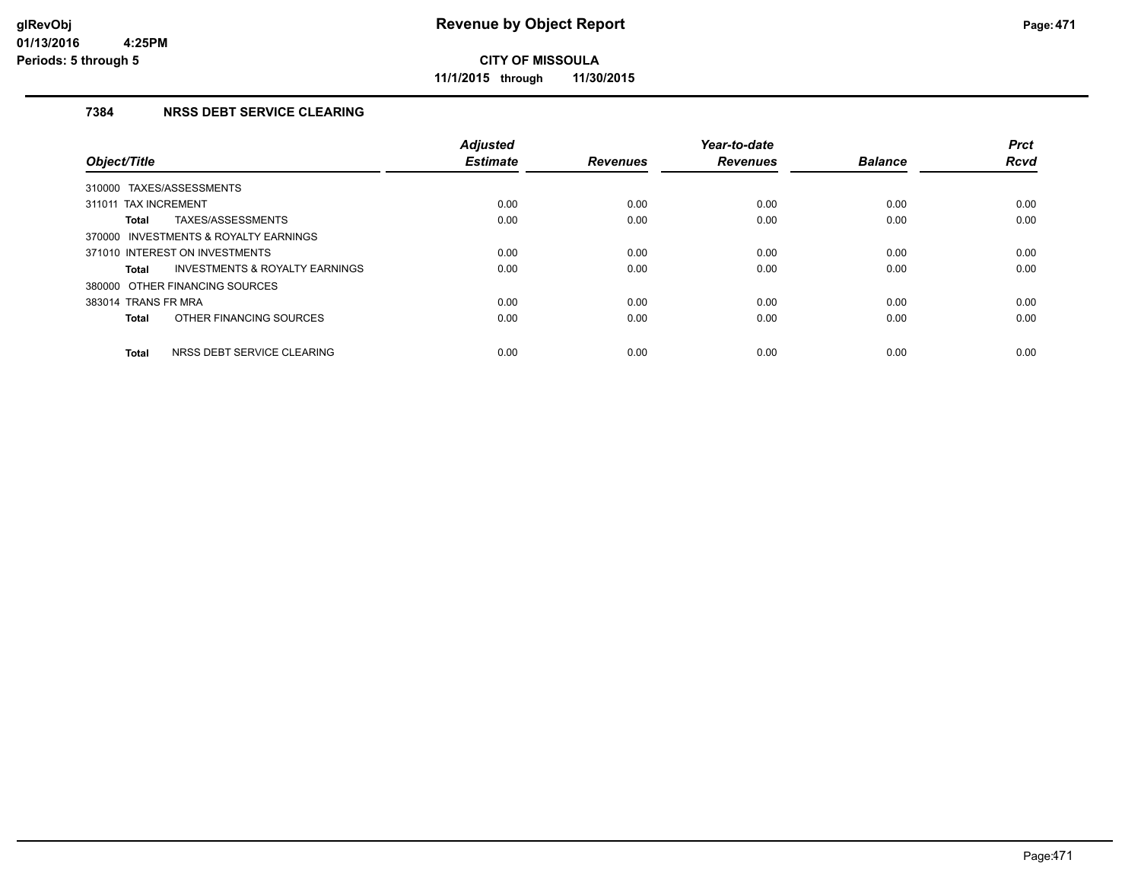**11/1/2015 through 11/30/2015**

### **7384 NRSS DEBT SERVICE CLEARING**

| Object/Title                          |                                | <b>Adjusted</b><br><b>Estimate</b> | <b>Revenues</b> | Year-to-date<br><b>Revenues</b> | <b>Balance</b> | <b>Prct</b><br>Rcvd |
|---------------------------------------|--------------------------------|------------------------------------|-----------------|---------------------------------|----------------|---------------------|
| 310000 TAXES/ASSESSMENTS              |                                |                                    |                 |                                 |                |                     |
| 311011 TAX INCREMENT                  |                                | 0.00                               | 0.00            | 0.00                            | 0.00           | 0.00                |
| <b>Total</b>                          | TAXES/ASSESSMENTS              | 0.00                               | 0.00            | 0.00                            | 0.00           | 0.00                |
| 370000 INVESTMENTS & ROYALTY EARNINGS |                                |                                    |                 |                                 |                |                     |
| 371010 INTEREST ON INVESTMENTS        |                                | 0.00                               | 0.00            | 0.00                            | 0.00           | 0.00                |
| Total                                 | INVESTMENTS & ROYALTY EARNINGS | 0.00                               | 0.00            | 0.00                            | 0.00           | 0.00                |
| 380000 OTHER FINANCING SOURCES        |                                |                                    |                 |                                 |                |                     |
| 383014 TRANS FR MRA                   |                                | 0.00                               | 0.00            | 0.00                            | 0.00           | 0.00                |
| <b>Total</b>                          | OTHER FINANCING SOURCES        | 0.00                               | 0.00            | 0.00                            | 0.00           | 0.00                |
| <b>Total</b>                          | NRSS DEBT SERVICE CLEARING     | 0.00                               | 0.00            | 0.00                            | 0.00           | 0.00                |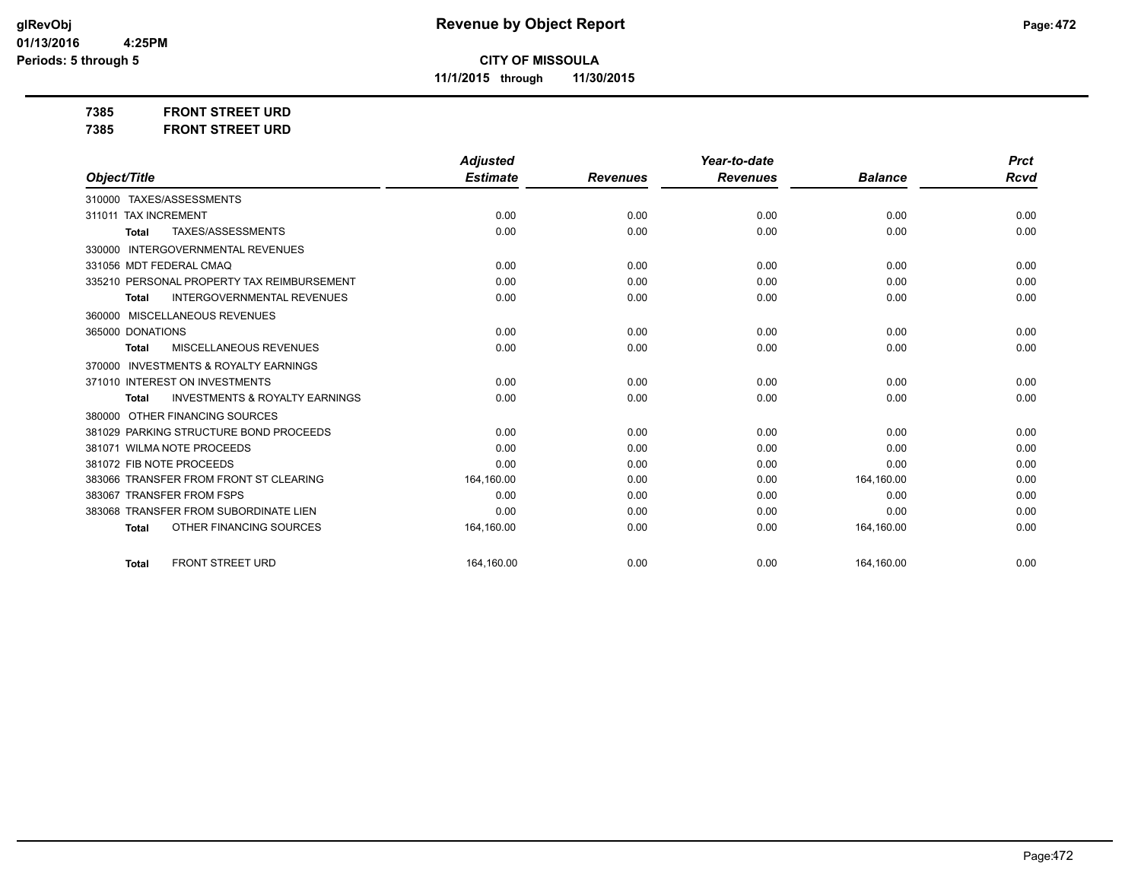**11/1/2015 through 11/30/2015**

**7385 FRONT STREET URD 7385 FRONT STREET URD**

|                                                           | <b>Adjusted</b> |                 | Year-to-date    |                | <b>Prct</b> |
|-----------------------------------------------------------|-----------------|-----------------|-----------------|----------------|-------------|
| Object/Title                                              | <b>Estimate</b> | <b>Revenues</b> | <b>Revenues</b> | <b>Balance</b> | <b>Rcvd</b> |
| 310000 TAXES/ASSESSMENTS                                  |                 |                 |                 |                |             |
| 311011 TAX INCREMENT                                      | 0.00            | 0.00            | 0.00            | 0.00           | 0.00        |
| TAXES/ASSESSMENTS<br><b>Total</b>                         | 0.00            | 0.00            | 0.00            | 0.00           | 0.00        |
| <b>INTERGOVERNMENTAL REVENUES</b><br>330000               |                 |                 |                 |                |             |
| 331056 MDT FEDERAL CMAQ                                   | 0.00            | 0.00            | 0.00            | 0.00           | 0.00        |
| 335210 PERSONAL PROPERTY TAX REIMBURSEMENT                | 0.00            | 0.00            | 0.00            | 0.00           | 0.00        |
| <b>INTERGOVERNMENTAL REVENUES</b><br><b>Total</b>         | 0.00            | 0.00            | 0.00            | 0.00           | 0.00        |
| 360000 MISCELLANEOUS REVENUES                             |                 |                 |                 |                |             |
| 365000 DONATIONS                                          | 0.00            | 0.00            | 0.00            | 0.00           | 0.00        |
| <b>MISCELLANEOUS REVENUES</b><br>Total                    | 0.00            | 0.00            | 0.00            | 0.00           | 0.00        |
| <b>INVESTMENTS &amp; ROYALTY EARNINGS</b><br>370000       |                 |                 |                 |                |             |
| 371010 INTEREST ON INVESTMENTS                            | 0.00            | 0.00            | 0.00            | 0.00           | 0.00        |
| <b>INVESTMENTS &amp; ROYALTY EARNINGS</b><br><b>Total</b> | 0.00            | 0.00            | 0.00            | 0.00           | 0.00        |
| 380000 OTHER FINANCING SOURCES                            |                 |                 |                 |                |             |
| 381029 PARKING STRUCTURE BOND PROCEEDS                    | 0.00            | 0.00            | 0.00            | 0.00           | 0.00        |
| 381071 WILMA NOTE PROCEEDS                                | 0.00            | 0.00            | 0.00            | 0.00           | 0.00        |
| 381072 FIB NOTE PROCEEDS                                  | 0.00            | 0.00            | 0.00            | 0.00           | 0.00        |
| 383066 TRANSFER FROM FRONT ST CLEARING                    | 164,160.00      | 0.00            | 0.00            | 164,160.00     | 0.00        |
| 383067 TRANSFER FROM FSPS                                 | 0.00            | 0.00            | 0.00            | 0.00           | 0.00        |
| 383068 TRANSFER FROM SUBORDINATE LIEN                     | 0.00            | 0.00            | 0.00            | 0.00           | 0.00        |
| OTHER FINANCING SOURCES<br><b>Total</b>                   | 164,160.00      | 0.00            | 0.00            | 164,160.00     | 0.00        |
|                                                           |                 |                 |                 |                |             |
| <b>FRONT STREET URD</b><br><b>Total</b>                   | 164,160.00      | 0.00            | 0.00            | 164,160.00     | 0.00        |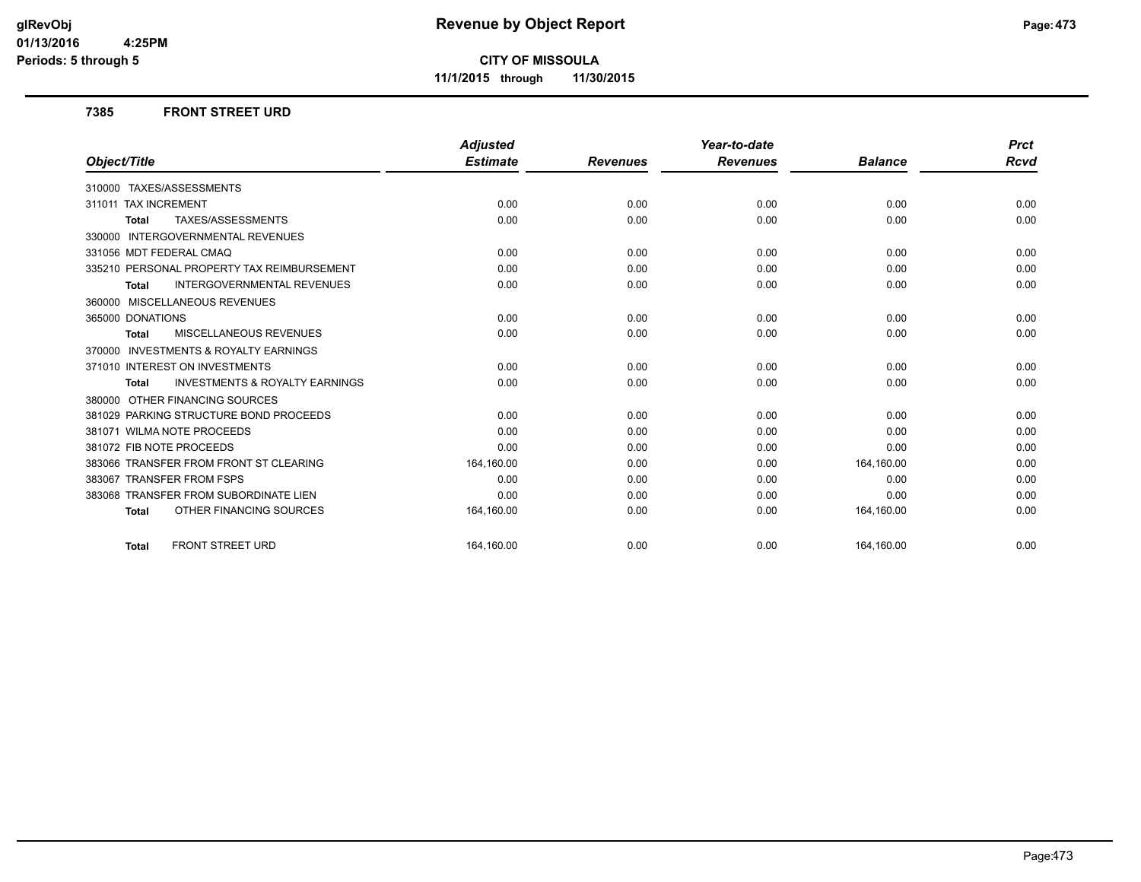**11/1/2015 through 11/30/2015**

#### **7385 FRONT STREET URD**

|                                                           | <b>Adjusted</b> |                 | Year-to-date    |                | <b>Prct</b> |
|-----------------------------------------------------------|-----------------|-----------------|-----------------|----------------|-------------|
| Object/Title                                              | <b>Estimate</b> | <b>Revenues</b> | <b>Revenues</b> | <b>Balance</b> | <b>Rcvd</b> |
| 310000 TAXES/ASSESSMENTS                                  |                 |                 |                 |                |             |
| 311011 TAX INCREMENT                                      | 0.00            | 0.00            | 0.00            | 0.00           | 0.00        |
| <b>TAXES/ASSESSMENTS</b><br><b>Total</b>                  | 0.00            | 0.00            | 0.00            | 0.00           | 0.00        |
| 330000 INTERGOVERNMENTAL REVENUES                         |                 |                 |                 |                |             |
| 331056 MDT FEDERAL CMAQ                                   | 0.00            | 0.00            | 0.00            | 0.00           | 0.00        |
| 335210 PERSONAL PROPERTY TAX REIMBURSEMENT                | 0.00            | 0.00            | 0.00            | 0.00           | 0.00        |
| <b>INTERGOVERNMENTAL REVENUES</b><br><b>Total</b>         | 0.00            | 0.00            | 0.00            | 0.00           | 0.00        |
| 360000 MISCELLANEOUS REVENUES                             |                 |                 |                 |                |             |
| 365000 DONATIONS                                          | 0.00            | 0.00            | 0.00            | 0.00           | 0.00        |
| <b>MISCELLANEOUS REVENUES</b><br><b>Total</b>             | 0.00            | 0.00            | 0.00            | 0.00           | 0.00        |
| 370000 INVESTMENTS & ROYALTY EARNINGS                     |                 |                 |                 |                |             |
| 371010 INTEREST ON INVESTMENTS                            | 0.00            | 0.00            | 0.00            | 0.00           | 0.00        |
| <b>INVESTMENTS &amp; ROYALTY EARNINGS</b><br><b>Total</b> | 0.00            | 0.00            | 0.00            | 0.00           | 0.00        |
| 380000 OTHER FINANCING SOURCES                            |                 |                 |                 |                |             |
| 381029 PARKING STRUCTURE BOND PROCEEDS                    | 0.00            | 0.00            | 0.00            | 0.00           | 0.00        |
| 381071 WILMA NOTE PROCEEDS                                | 0.00            | 0.00            | 0.00            | 0.00           | 0.00        |
| 381072 FIB NOTE PROCEEDS                                  | 0.00            | 0.00            | 0.00            | 0.00           | 0.00        |
| 383066 TRANSFER FROM FRONT ST CLEARING                    | 164,160.00      | 0.00            | 0.00            | 164,160.00     | 0.00        |
| 383067 TRANSFER FROM FSPS                                 | 0.00            | 0.00            | 0.00            | 0.00           | 0.00        |
| 383068 TRANSFER FROM SUBORDINATE LIEN                     | 0.00            | 0.00            | 0.00            | 0.00           | 0.00        |
| OTHER FINANCING SOURCES<br><b>Total</b>                   | 164,160.00      | 0.00            | 0.00            | 164,160.00     | 0.00        |
| <b>FRONT STREET URD</b><br><b>Total</b>                   | 164.160.00      | 0.00            | 0.00            | 164,160.00     | 0.00        |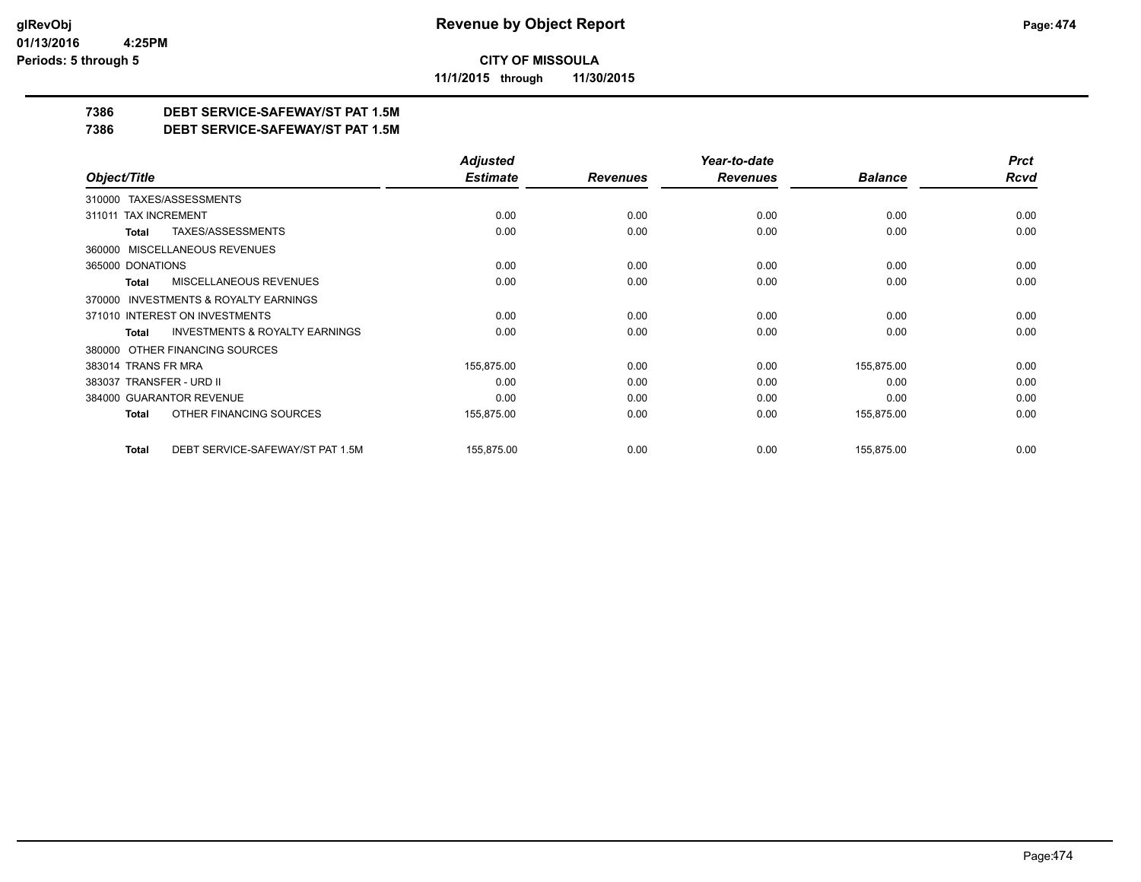**11/1/2015 through 11/30/2015**

### **7386 DEBT SERVICE-SAFEWAY/ST PAT 1.5M**

**7386 DEBT SERVICE-SAFEWAY/ST PAT 1.5M**

|                                                     | <b>Adjusted</b> |                 | Year-to-date    |                | <b>Prct</b> |
|-----------------------------------------------------|-----------------|-----------------|-----------------|----------------|-------------|
| Object/Title                                        | <b>Estimate</b> | <b>Revenues</b> | <b>Revenues</b> | <b>Balance</b> | <b>Rcvd</b> |
| 310000 TAXES/ASSESSMENTS                            |                 |                 |                 |                |             |
| 311011 TAX INCREMENT                                | 0.00            | 0.00            | 0.00            | 0.00           | 0.00        |
| TAXES/ASSESSMENTS<br>Total                          | 0.00            | 0.00            | 0.00            | 0.00           | 0.00        |
| MISCELLANEOUS REVENUES<br>360000                    |                 |                 |                 |                |             |
| 365000 DONATIONS                                    | 0.00            | 0.00            | 0.00            | 0.00           | 0.00        |
| MISCELLANEOUS REVENUES<br>Total                     | 0.00            | 0.00            | 0.00            | 0.00           | 0.00        |
| <b>INVESTMENTS &amp; ROYALTY EARNINGS</b><br>370000 |                 |                 |                 |                |             |
| 371010 INTEREST ON INVESTMENTS                      | 0.00            | 0.00            | 0.00            | 0.00           | 0.00        |
| <b>INVESTMENTS &amp; ROYALTY EARNINGS</b><br>Total  | 0.00            | 0.00            | 0.00            | 0.00           | 0.00        |
| OTHER FINANCING SOURCES<br>380000                   |                 |                 |                 |                |             |
| 383014 TRANS FR MRA                                 | 155,875.00      | 0.00            | 0.00            | 155,875.00     | 0.00        |
| 383037 TRANSFER - URD II                            | 0.00            | 0.00            | 0.00            | 0.00           | 0.00        |
| 384000 GUARANTOR REVENUE                            | 0.00            | 0.00            | 0.00            | 0.00           | 0.00        |
| OTHER FINANCING SOURCES<br><b>Total</b>             | 155,875.00      | 0.00            | 0.00            | 155,875.00     | 0.00        |
| DEBT SERVICE-SAFEWAY/ST PAT 1.5M<br><b>Total</b>    | 155,875.00      | 0.00            | 0.00            | 155,875.00     | 0.00        |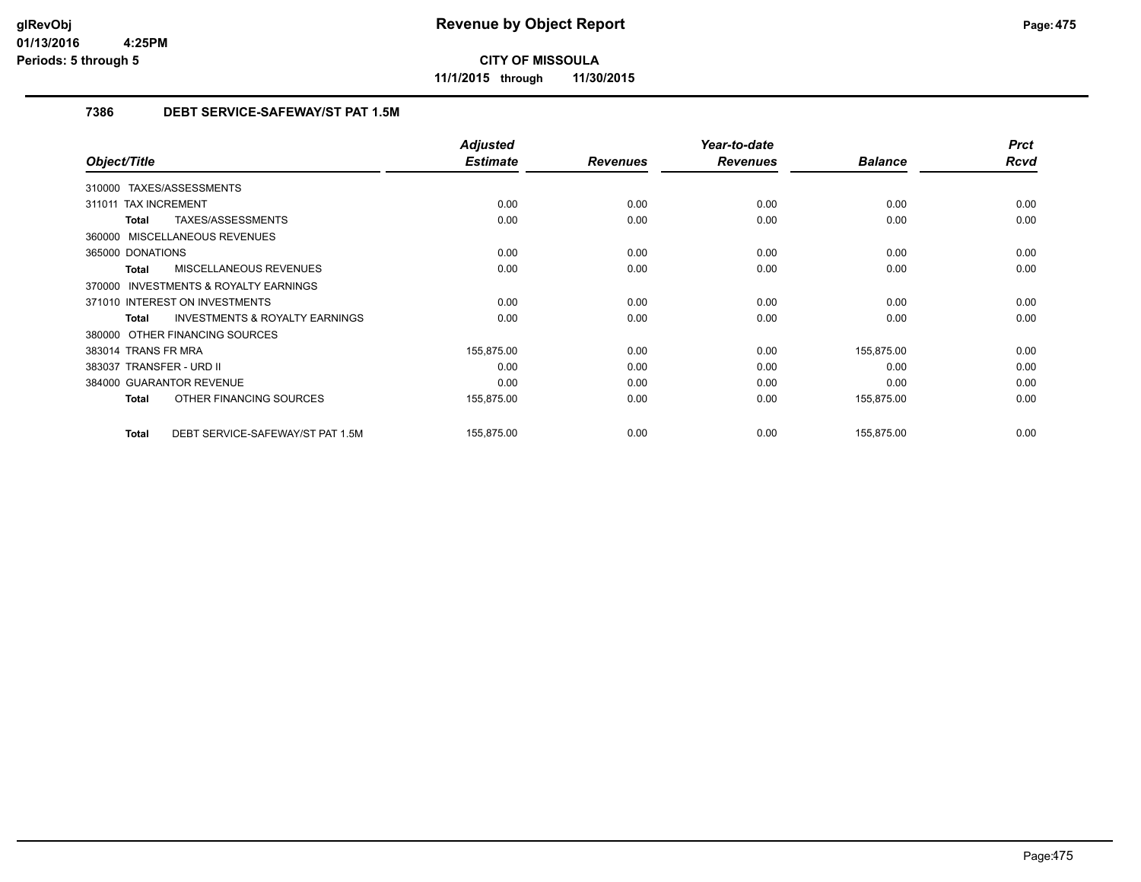**11/1/2015 through 11/30/2015**

### **7386 DEBT SERVICE-SAFEWAY/ST PAT 1.5M**

|                                                           | <b>Adjusted</b> |                 | Year-to-date    |                | <b>Prct</b> |
|-----------------------------------------------------------|-----------------|-----------------|-----------------|----------------|-------------|
| Object/Title                                              | <b>Estimate</b> | <b>Revenues</b> | <b>Revenues</b> | <b>Balance</b> | <b>Rcvd</b> |
| 310000 TAXES/ASSESSMENTS                                  |                 |                 |                 |                |             |
| <b>TAX INCREMENT</b><br>311011                            | 0.00            | 0.00            | 0.00            | 0.00           | 0.00        |
| TAXES/ASSESSMENTS<br>Total                                | 0.00            | 0.00            | 0.00            | 0.00           | 0.00        |
| 360000 MISCELLANEOUS REVENUES                             |                 |                 |                 |                |             |
| 365000 DONATIONS                                          | 0.00            | 0.00            | 0.00            | 0.00           | 0.00        |
| <b>MISCELLANEOUS REVENUES</b><br>Total                    | 0.00            | 0.00            | 0.00            | 0.00           | 0.00        |
| <b>INVESTMENTS &amp; ROYALTY EARNINGS</b><br>370000       |                 |                 |                 |                |             |
| 371010 INTEREST ON INVESTMENTS                            | 0.00            | 0.00            | 0.00            | 0.00           | 0.00        |
| <b>INVESTMENTS &amp; ROYALTY EARNINGS</b><br><b>Total</b> | 0.00            | 0.00            | 0.00            | 0.00           | 0.00        |
| 380000 OTHER FINANCING SOURCES                            |                 |                 |                 |                |             |
| 383014 TRANS FR MRA                                       | 155,875.00      | 0.00            | 0.00            | 155,875.00     | 0.00        |
| 383037 TRANSFER - URD II                                  | 0.00            | 0.00            | 0.00            | 0.00           | 0.00        |
| 384000 GUARANTOR REVENUE                                  | 0.00            | 0.00            | 0.00            | 0.00           | 0.00        |
| OTHER FINANCING SOURCES<br><b>Total</b>                   | 155,875.00      | 0.00            | 0.00            | 155,875.00     | 0.00        |
| DEBT SERVICE-SAFEWAY/ST PAT 1.5M<br><b>Total</b>          | 155,875.00      | 0.00            | 0.00            | 155,875.00     | 0.00        |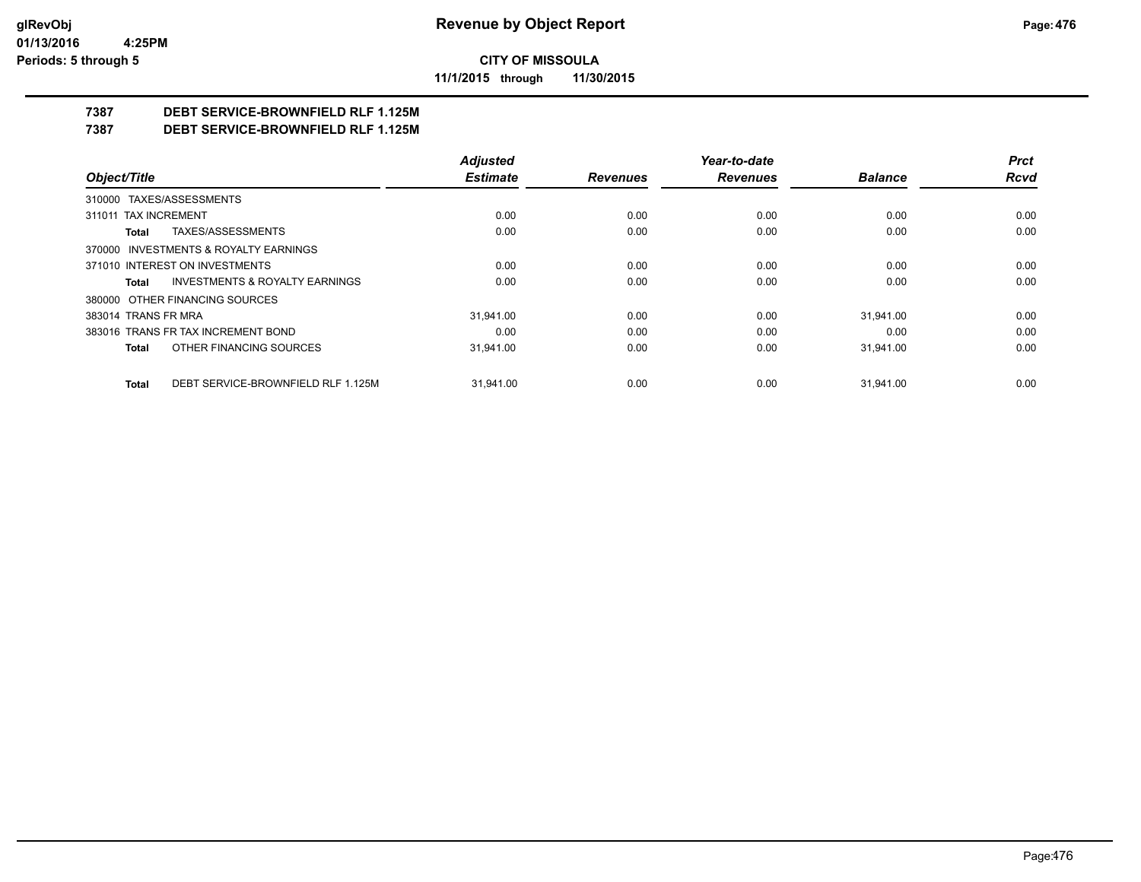**11/1/2015 through 11/30/2015**

## **7387 DEBT SERVICE-BROWNFIELD RLF 1.125M**

**7387 DEBT SERVICE-BROWNFIELD RLF 1.125M**

|                                                    | <b>Adiusted</b> |                 | Year-to-date    |                | <b>Prct</b> |
|----------------------------------------------------|-----------------|-----------------|-----------------|----------------|-------------|
| Object/Title                                       | <b>Estimate</b> | <b>Revenues</b> | <b>Revenues</b> | <b>Balance</b> | <b>Rcvd</b> |
| 310000 TAXES/ASSESSMENTS                           |                 |                 |                 |                |             |
| 311011 TAX INCREMENT                               | 0.00            | 0.00            | 0.00            | 0.00           | 0.00        |
| TAXES/ASSESSMENTS<br><b>Total</b>                  | 0.00            | 0.00            | 0.00            | 0.00           | 0.00        |
| 370000 INVESTMENTS & ROYALTY EARNINGS              |                 |                 |                 |                |             |
| 371010 INTEREST ON INVESTMENTS                     | 0.00            | 0.00            | 0.00            | 0.00           | 0.00        |
| INVESTMENTS & ROYALTY EARNINGS<br>Total            | 0.00            | 0.00            | 0.00            | 0.00           | 0.00        |
| 380000 OTHER FINANCING SOURCES                     |                 |                 |                 |                |             |
| 383014 TRANS FR MRA                                | 31.941.00       | 0.00            | 0.00            | 31.941.00      | 0.00        |
| 383016 TRANS FR TAX INCREMENT BOND                 | 0.00            | 0.00            | 0.00            | 0.00           | 0.00        |
| OTHER FINANCING SOURCES<br><b>Total</b>            | 31,941.00       | 0.00            | 0.00            | 31,941.00      | 0.00        |
| DEBT SERVICE-BROWNFIELD RLF 1.125M<br><b>Total</b> | 31.941.00       | 0.00            | 0.00            | 31.941.00      | 0.00        |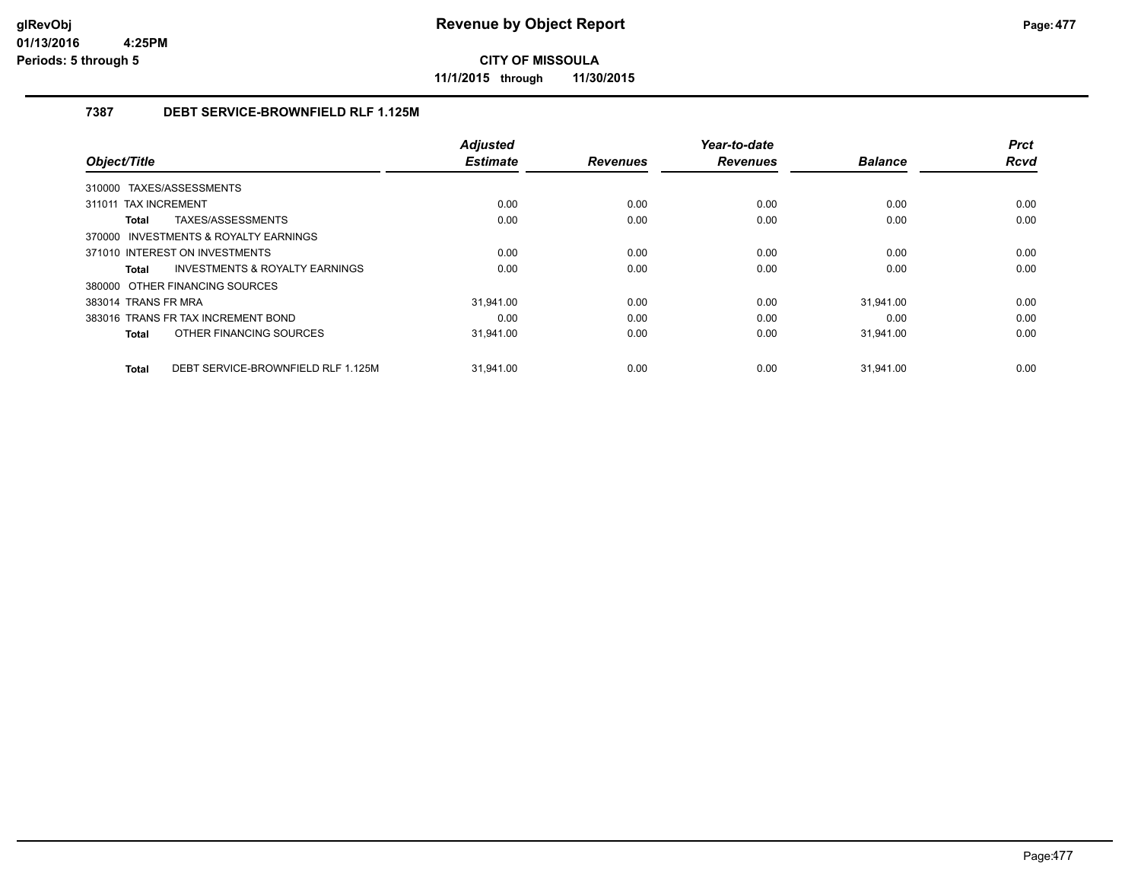**11/1/2015 through 11/30/2015**

#### **7387 DEBT SERVICE-BROWNFIELD RLF 1.125M**

|                                                    | <b>Adjusted</b> |                 | Year-to-date    |                | <b>Prct</b> |
|----------------------------------------------------|-----------------|-----------------|-----------------|----------------|-------------|
| Object/Title                                       | <b>Estimate</b> | <b>Revenues</b> | <b>Revenues</b> | <b>Balance</b> | <b>Rcvd</b> |
| TAXES/ASSESSMENTS<br>310000                        |                 |                 |                 |                |             |
| 311011 TAX INCREMENT                               | 0.00            | 0.00            | 0.00            | 0.00           | 0.00        |
| TAXES/ASSESSMENTS<br>Total                         | 0.00            | 0.00            | 0.00            | 0.00           | 0.00        |
| 370000 INVESTMENTS & ROYALTY EARNINGS              |                 |                 |                 |                |             |
| 371010 INTEREST ON INVESTMENTS                     | 0.00            | 0.00            | 0.00            | 0.00           | 0.00        |
| <b>INVESTMENTS &amp; ROYALTY EARNINGS</b><br>Total | 0.00            | 0.00            | 0.00            | 0.00           | 0.00        |
| 380000 OTHER FINANCING SOURCES                     |                 |                 |                 |                |             |
| 383014 TRANS FR MRA                                | 31.941.00       | 0.00            | 0.00            | 31,941.00      | 0.00        |
| 383016 TRANS FR TAX INCREMENT BOND                 | 0.00            | 0.00            | 0.00            | 0.00           | 0.00        |
| OTHER FINANCING SOURCES<br>Total                   | 31.941.00       | 0.00            | 0.00            | 31,941.00      | 0.00        |
| DEBT SERVICE-BROWNFIELD RLF 1.125M<br>Total        | 31.941.00       | 0.00            | 0.00            | 31.941.00      | 0.00        |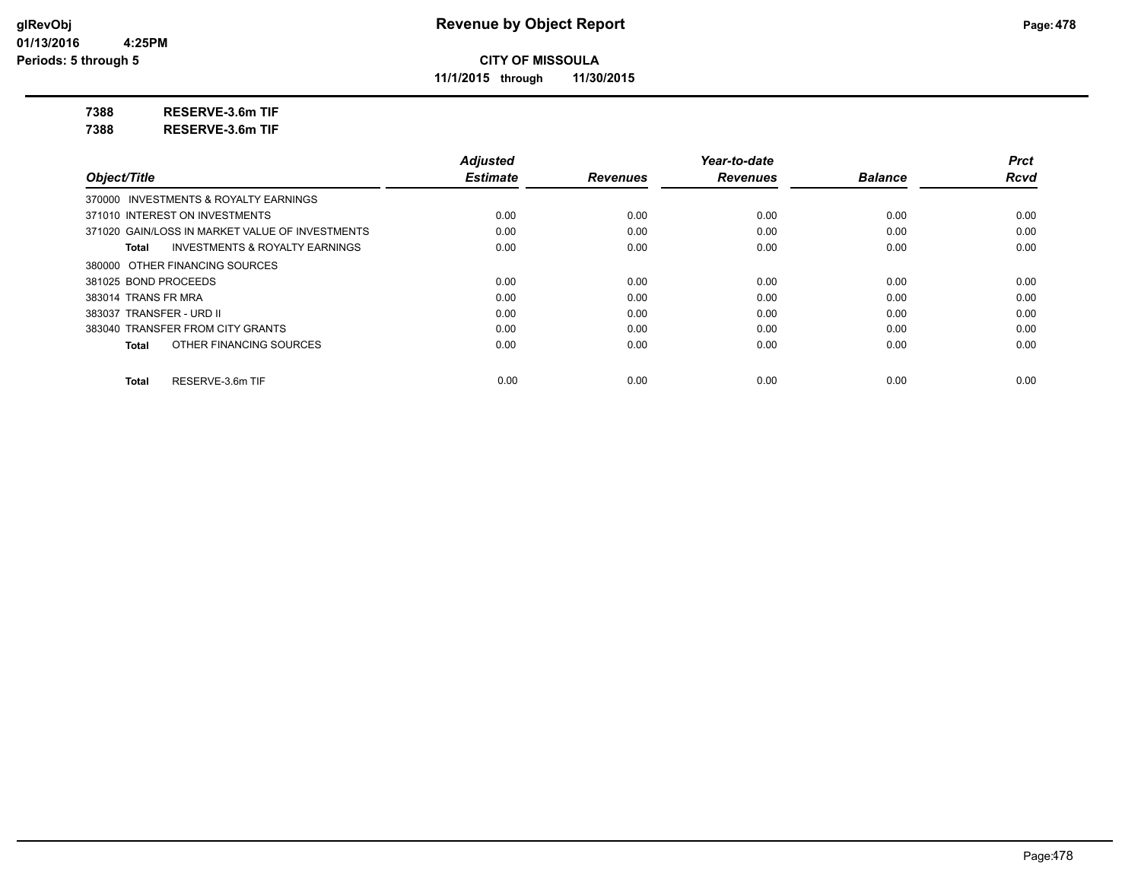**11/1/2015 through 11/30/2015**

**7388 RESERVE-3.6m TIF**

**7388 RESERVE-3.6m TIF**

|                                                    | <b>Adjusted</b> |                 | Year-to-date    |                | <b>Prct</b> |
|----------------------------------------------------|-----------------|-----------------|-----------------|----------------|-------------|
| Object/Title                                       | <b>Estimate</b> | <b>Revenues</b> | <b>Revenues</b> | <b>Balance</b> | <b>Rcvd</b> |
| 370000 INVESTMENTS & ROYALTY EARNINGS              |                 |                 |                 |                |             |
| 371010 INTEREST ON INVESTMENTS                     | 0.00            | 0.00            | 0.00            | 0.00           | 0.00        |
| 371020 GAIN/LOSS IN MARKET VALUE OF INVESTMENTS    | 0.00            | 0.00            | 0.00            | 0.00           | 0.00        |
| <b>INVESTMENTS &amp; ROYALTY EARNINGS</b><br>Total | 0.00            | 0.00            | 0.00            | 0.00           | 0.00        |
| 380000 OTHER FINANCING SOURCES                     |                 |                 |                 |                |             |
| 381025 BOND PROCEEDS                               | 0.00            | 0.00            | 0.00            | 0.00           | 0.00        |
| 383014 TRANS FR MRA                                | 0.00            | 0.00            | 0.00            | 0.00           | 0.00        |
| 383037 TRANSFER - URD II                           | 0.00            | 0.00            | 0.00            | 0.00           | 0.00        |
| 383040 TRANSFER FROM CITY GRANTS                   | 0.00            | 0.00            | 0.00            | 0.00           | 0.00        |
| OTHER FINANCING SOURCES<br><b>Total</b>            | 0.00            | 0.00            | 0.00            | 0.00           | 0.00        |
| RESERVE-3.6m TIF<br><b>Total</b>                   | 0.00            | 0.00            | 0.00            | 0.00           | 0.00        |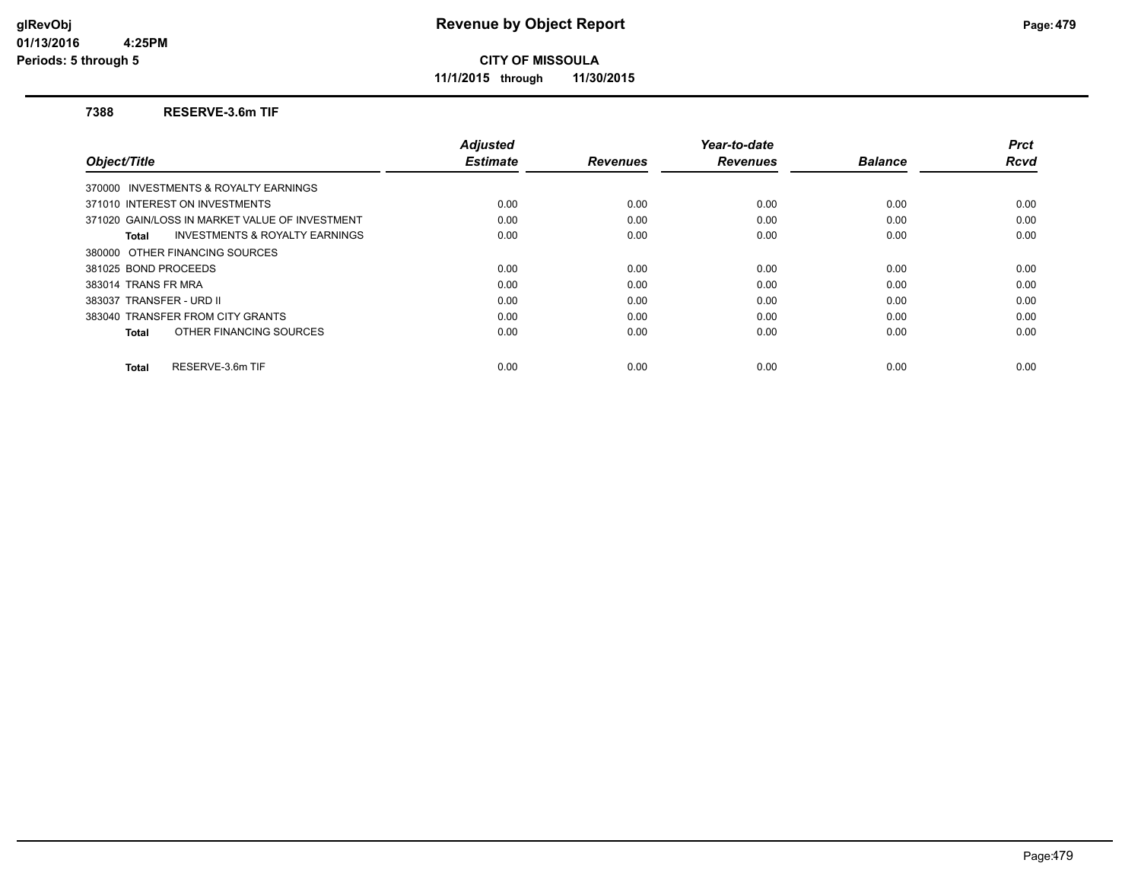**11/1/2015 through 11/30/2015**

#### **7388 RESERVE-3.6m TIF**

|                                                    | <b>Adjusted</b> |                 | Year-to-date    |                | <b>Prct</b> |
|----------------------------------------------------|-----------------|-----------------|-----------------|----------------|-------------|
| Object/Title                                       | <b>Estimate</b> | <b>Revenues</b> | <b>Revenues</b> | <b>Balance</b> | <b>Rcvd</b> |
| 370000 INVESTMENTS & ROYALTY EARNINGS              |                 |                 |                 |                |             |
| 371010 INTEREST ON INVESTMENTS                     | 0.00            | 0.00            | 0.00            | 0.00           | 0.00        |
| 371020 GAIN/LOSS IN MARKET VALUE OF INVESTMENT     | 0.00            | 0.00            | 0.00            | 0.00           | 0.00        |
| <b>INVESTMENTS &amp; ROYALTY EARNINGS</b><br>Total | 0.00            | 0.00            | 0.00            | 0.00           | 0.00        |
| 380000 OTHER FINANCING SOURCES                     |                 |                 |                 |                |             |
| 381025 BOND PROCEEDS                               | 0.00            | 0.00            | 0.00            | 0.00           | 0.00        |
| 383014 TRANS FR MRA                                | 0.00            | 0.00            | 0.00            | 0.00           | 0.00        |
| 383037 TRANSFER - URD II                           | 0.00            | 0.00            | 0.00            | 0.00           | 0.00        |
| 383040 TRANSFER FROM CITY GRANTS                   | 0.00            | 0.00            | 0.00            | 0.00           | 0.00        |
| OTHER FINANCING SOURCES<br><b>Total</b>            | 0.00            | 0.00            | 0.00            | 0.00           | 0.00        |
| RESERVE-3.6m TIF<br><b>Total</b>                   | 0.00            | 0.00            | 0.00            | 0.00           | 0.00        |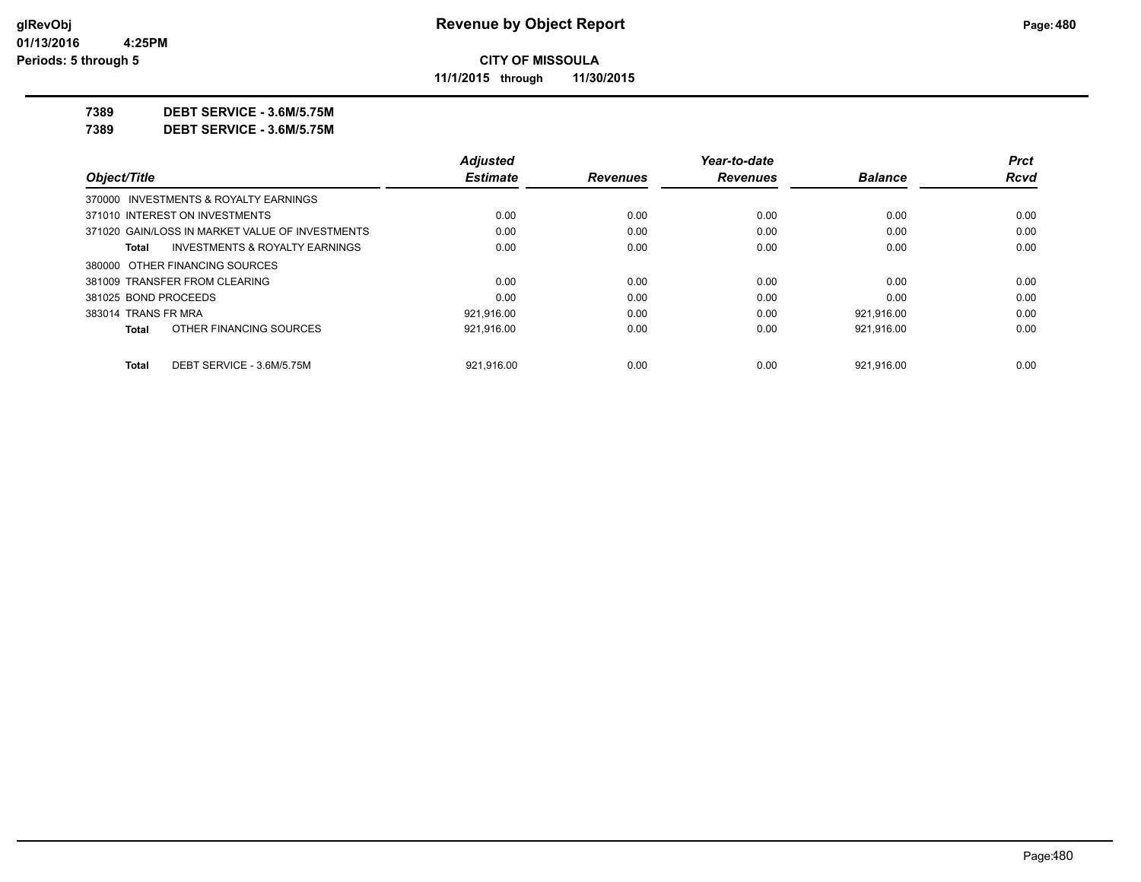**11/1/2015 through 11/30/2015**

**7389 DEBT SERVICE - 3.6M/5.75M**

**7389 DEBT SERVICE - 3.6M/5.75M**

|                      |                                                 | <b>Adjusted</b> |                 | Year-to-date    |                | <b>Prct</b> |
|----------------------|-------------------------------------------------|-----------------|-----------------|-----------------|----------------|-------------|
| Object/Title         |                                                 | <b>Estimate</b> | <b>Revenues</b> | <b>Revenues</b> | <b>Balance</b> | <b>Rcvd</b> |
|                      | 370000 INVESTMENTS & ROYALTY EARNINGS           |                 |                 |                 |                |             |
|                      | 371010 INTEREST ON INVESTMENTS                  | 0.00            | 0.00            | 0.00            | 0.00           | 0.00        |
|                      | 371020 GAIN/LOSS IN MARKET VALUE OF INVESTMENTS | 0.00            | 0.00            | 0.00            | 0.00           | 0.00        |
| Total                | INVESTMENTS & ROYALTY EARNINGS                  | 0.00            | 0.00            | 0.00            | 0.00           | 0.00        |
|                      | 380000 OTHER FINANCING SOURCES                  |                 |                 |                 |                |             |
|                      | 381009 TRANSFER FROM CLEARING                   | 0.00            | 0.00            | 0.00            | 0.00           | 0.00        |
| 381025 BOND PROCEEDS |                                                 | 0.00            | 0.00            | 0.00            | 0.00           | 0.00        |
| 383014 TRANS FR MRA  |                                                 | 921,916.00      | 0.00            | 0.00            | 921,916.00     | 0.00        |
| Total                | OTHER FINANCING SOURCES                         | 921.916.00      | 0.00            | 0.00            | 921.916.00     | 0.00        |
| <b>Total</b>         | DEBT SERVICE - 3.6M/5.75M                       | 921.916.00      | 0.00            | 0.00            | 921.916.00     | 0.00        |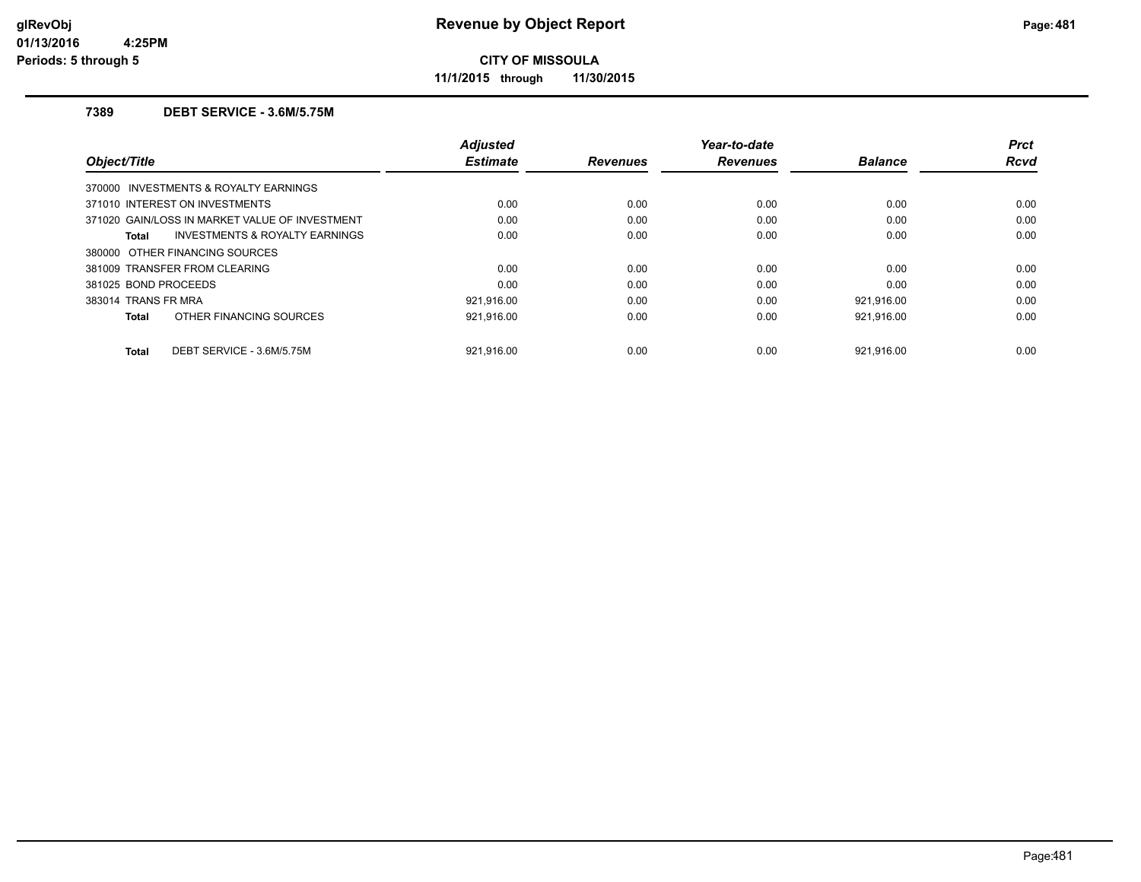**11/1/2015 through 11/30/2015**

#### **7389 DEBT SERVICE - 3.6M/5.75M**

| Object/Title                                       | <b>Adjusted</b><br><b>Estimate</b> | <b>Revenues</b> | Year-to-date<br><b>Revenues</b> | <b>Balance</b> | <b>Prct</b><br><b>Rcvd</b> |
|----------------------------------------------------|------------------------------------|-----------------|---------------------------------|----------------|----------------------------|
| 370000 INVESTMENTS & ROYALTY EARNINGS              |                                    |                 |                                 |                |                            |
| 371010 INTEREST ON INVESTMENTS                     | 0.00                               | 0.00            | 0.00                            | 0.00           | 0.00                       |
| 371020 GAIN/LOSS IN MARKET VALUE OF INVESTMENT     | 0.00                               | 0.00            | 0.00                            | 0.00           | 0.00                       |
| <b>INVESTMENTS &amp; ROYALTY EARNINGS</b><br>Total | 0.00                               | 0.00            | 0.00                            | 0.00           | 0.00                       |
| 380000 OTHER FINANCING SOURCES                     |                                    |                 |                                 |                |                            |
| 381009 TRANSFER FROM CLEARING                      | 0.00                               | 0.00            | 0.00                            | 0.00           | 0.00                       |
| 381025 BOND PROCEEDS                               | 0.00                               | 0.00            | 0.00                            | 0.00           | 0.00                       |
| 383014 TRANS FR MRA                                | 921.916.00                         | 0.00            | 0.00                            | 921.916.00     | 0.00                       |
| OTHER FINANCING SOURCES<br>Total                   | 921,916.00                         | 0.00            | 0.00                            | 921,916.00     | 0.00                       |
| DEBT SERVICE - 3.6M/5.75M<br>Total                 | 921.916.00                         | 0.00            | 0.00                            | 921.916.00     | 0.00                       |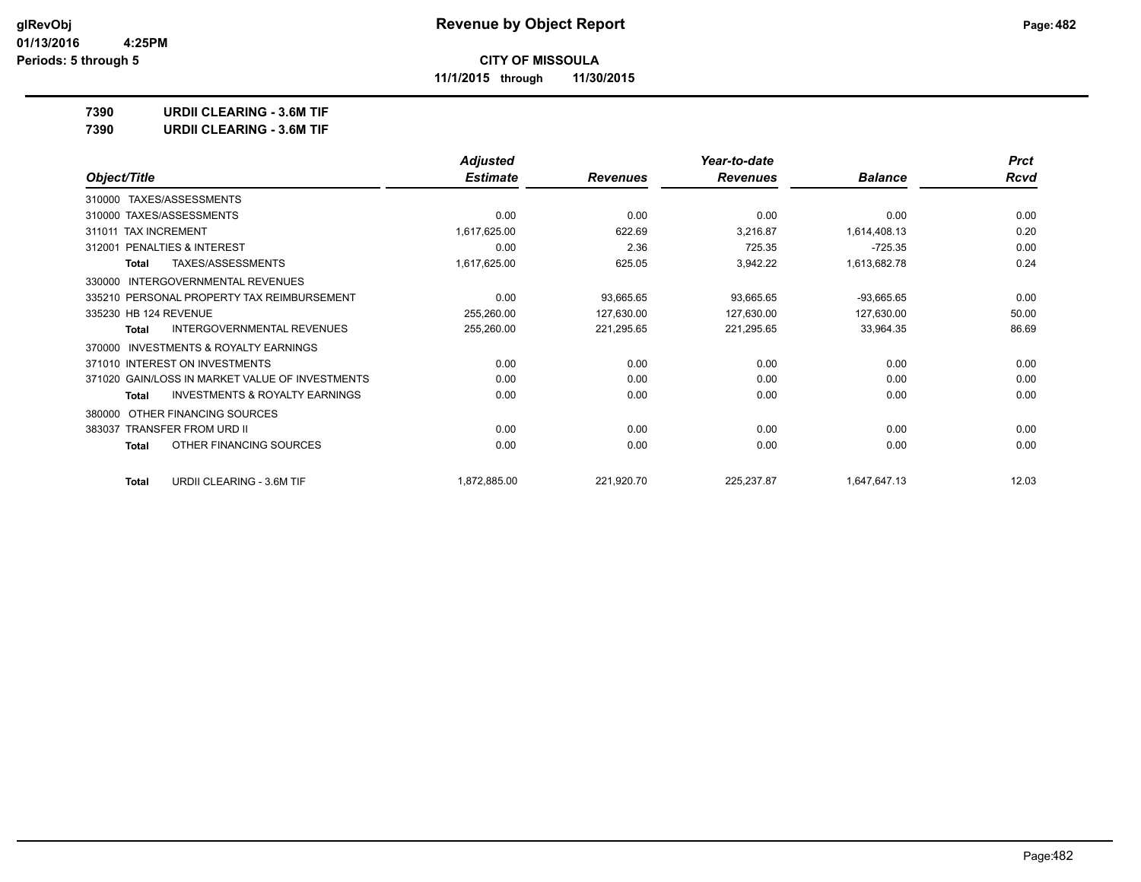**11/1/2015 through 11/30/2015**

**7390 URDII CLEARING - 3.6M TIF 7390 URDII CLEARING - 3.6M TIF**

|                                                           | <b>Adjusted</b> |                 | Year-to-date    |                | <b>Prct</b> |
|-----------------------------------------------------------|-----------------|-----------------|-----------------|----------------|-------------|
| Object/Title                                              | <b>Estimate</b> | <b>Revenues</b> | <b>Revenues</b> | <b>Balance</b> | Rcvd        |
| TAXES/ASSESSMENTS<br>310000                               |                 |                 |                 |                |             |
| 310000 TAXES/ASSESSMENTS                                  | 0.00            | 0.00            | 0.00            | 0.00           | 0.00        |
| <b>TAX INCREMENT</b><br>311011                            | 1,617,625.00    | 622.69          | 3,216.87        | 1,614,408.13   | 0.20        |
| PENALTIES & INTEREST<br>312001                            | 0.00            | 2.36            | 725.35          | $-725.35$      | 0.00        |
| TAXES/ASSESSMENTS<br><b>Total</b>                         | 1,617,625.00    | 625.05          | 3,942.22        | 1,613,682.78   | 0.24        |
| INTERGOVERNMENTAL REVENUES<br>330000                      |                 |                 |                 |                |             |
| 335210 PERSONAL PROPERTY TAX REIMBURSEMENT                | 0.00            | 93,665.65       | 93,665.65       | $-93,665.65$   | 0.00        |
| 335230 HB 124 REVENUE                                     | 255,260.00      | 127,630.00      | 127,630.00      | 127,630.00     | 50.00       |
| INTERGOVERNMENTAL REVENUES<br><b>Total</b>                | 255,260.00      | 221,295.65      | 221,295.65      | 33,964.35      | 86.69       |
| <b>INVESTMENTS &amp; ROYALTY EARNINGS</b><br>370000       |                 |                 |                 |                |             |
| 371010 INTEREST ON INVESTMENTS                            | 0.00            | 0.00            | 0.00            | 0.00           | 0.00        |
| 371020 GAIN/LOSS IN MARKET VALUE OF INVESTMENTS           | 0.00            | 0.00            | 0.00            | 0.00           | 0.00        |
| <b>INVESTMENTS &amp; ROYALTY EARNINGS</b><br><b>Total</b> | 0.00            | 0.00            | 0.00            | 0.00           | 0.00        |
| OTHER FINANCING SOURCES<br>380000                         |                 |                 |                 |                |             |
| <b>TRANSFER FROM URD II</b><br>383037                     | 0.00            | 0.00            | 0.00            | 0.00           | 0.00        |
| OTHER FINANCING SOURCES<br><b>Total</b>                   | 0.00            | 0.00            | 0.00            | 0.00           | 0.00        |
| <b>URDII CLEARING - 3.6M TIF</b><br><b>Total</b>          | 1,872,885.00    | 221,920.70      | 225,237.87      | 1,647,647.13   | 12.03       |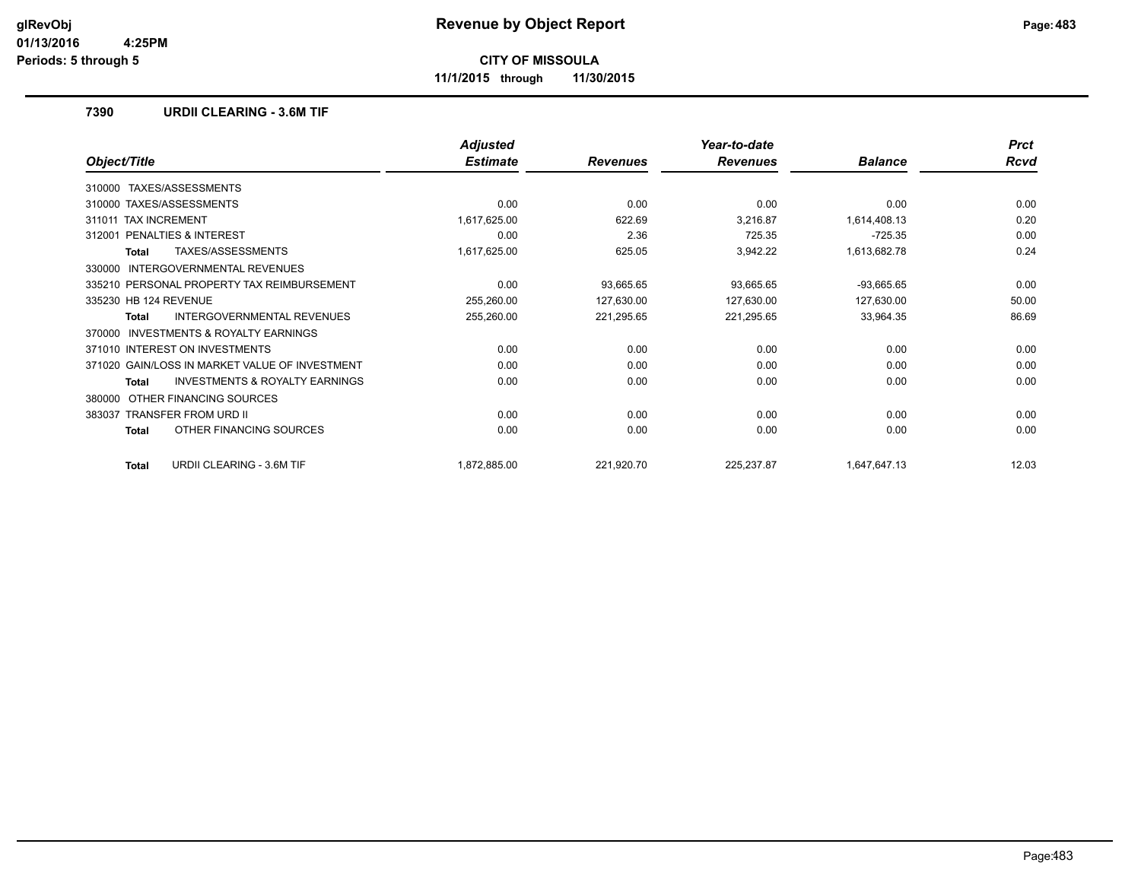**11/1/2015 through 11/30/2015**

#### **7390 URDII CLEARING - 3.6M TIF**

|                                                           | <b>Adjusted</b> |                 | Year-to-date    |                | <b>Prct</b> |
|-----------------------------------------------------------|-----------------|-----------------|-----------------|----------------|-------------|
| Object/Title                                              | <b>Estimate</b> | <b>Revenues</b> | <b>Revenues</b> | <b>Balance</b> | <b>Rcvd</b> |
| TAXES/ASSESSMENTS<br>310000                               |                 |                 |                 |                |             |
| 310000 TAXES/ASSESSMENTS                                  | 0.00            | 0.00            | 0.00            | 0.00           | 0.00        |
| <b>TAX INCREMENT</b><br>311011                            | 1,617,625.00    | 622.69          | 3,216.87        | 1,614,408.13   | 0.20        |
| PENALTIES & INTEREST<br>312001                            | 0.00            | 2.36            | 725.35          | $-725.35$      | 0.00        |
| TAXES/ASSESSMENTS<br><b>Total</b>                         | 1,617,625.00    | 625.05          | 3,942.22        | 1,613,682.78   | 0.24        |
| INTERGOVERNMENTAL REVENUES<br>330000                      |                 |                 |                 |                |             |
| 335210 PERSONAL PROPERTY TAX REIMBURSEMENT                | 0.00            | 93,665.65       | 93,665.65       | $-93,665.65$   | 0.00        |
| 335230 HB 124 REVENUE                                     | 255,260.00      | 127,630.00      | 127,630.00      | 127,630.00     | 50.00       |
| INTERGOVERNMENTAL REVENUES<br><b>Total</b>                | 255,260.00      | 221,295.65      | 221,295.65      | 33,964.35      | 86.69       |
| <b>INVESTMENTS &amp; ROYALTY EARNINGS</b><br>370000       |                 |                 |                 |                |             |
| 371010 INTEREST ON INVESTMENTS                            | 0.00            | 0.00            | 0.00            | 0.00           | 0.00        |
| 371020 GAIN/LOSS IN MARKET VALUE OF INVESTMENT            | 0.00            | 0.00            | 0.00            | 0.00           | 0.00        |
| <b>INVESTMENTS &amp; ROYALTY EARNINGS</b><br><b>Total</b> | 0.00            | 0.00            | 0.00            | 0.00           | 0.00        |
| OTHER FINANCING SOURCES<br>380000                         |                 |                 |                 |                |             |
| <b>TRANSFER FROM URD II</b><br>383037                     | 0.00            | 0.00            | 0.00            | 0.00           | 0.00        |
| OTHER FINANCING SOURCES<br><b>Total</b>                   | 0.00            | 0.00            | 0.00            | 0.00           | 0.00        |
| URDII CLEARING - 3.6M TIF<br><b>Total</b>                 | 1,872,885.00    | 221,920.70      | 225,237.87      | 1,647,647.13   | 12.03       |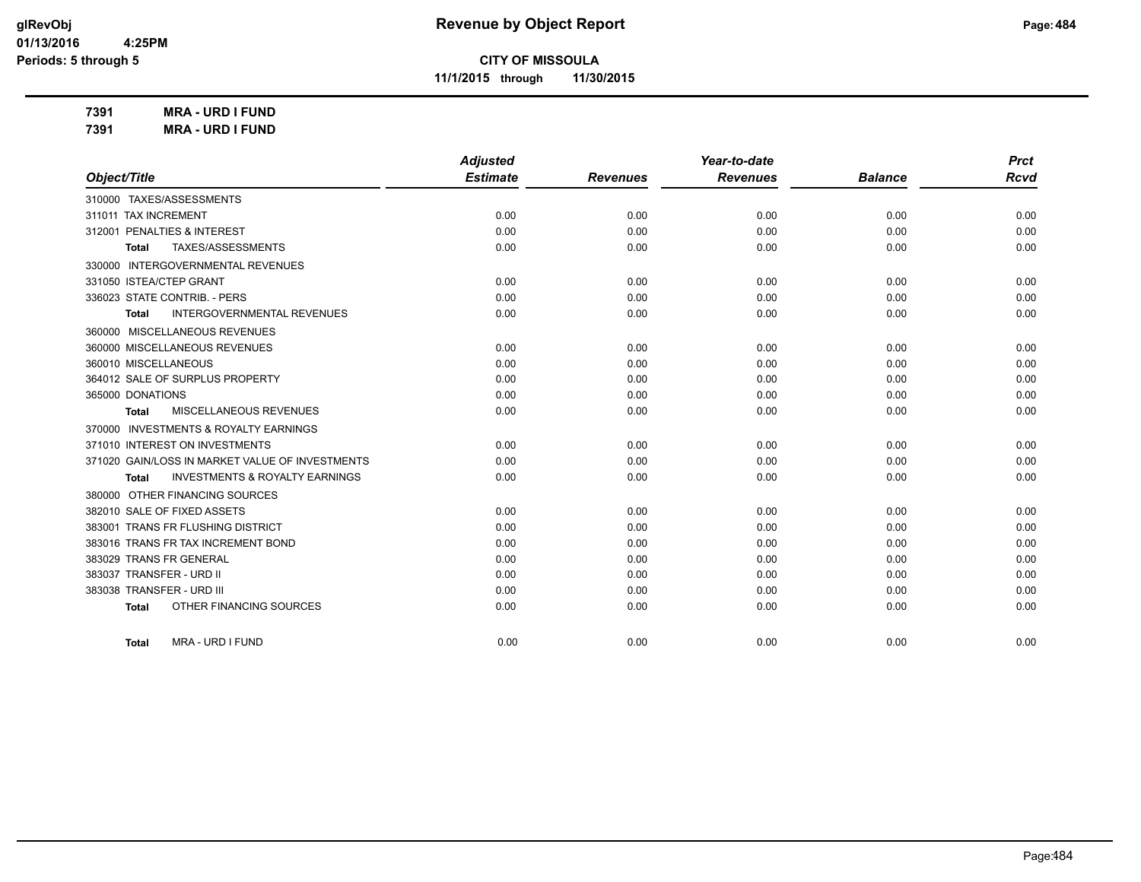**11/1/2015 through 11/30/2015**

**7391 MRA - URD I FUND 7391 MRA - URD I FUND**

|                                                           | <b>Adjusted</b> |                 | Year-to-date    |                | <b>Prct</b> |
|-----------------------------------------------------------|-----------------|-----------------|-----------------|----------------|-------------|
| Object/Title                                              | <b>Estimate</b> | <b>Revenues</b> | <b>Revenues</b> | <b>Balance</b> | Rcvd        |
| 310000 TAXES/ASSESSMENTS                                  |                 |                 |                 |                |             |
| 311011 TAX INCREMENT                                      | 0.00            | 0.00            | 0.00            | 0.00           | 0.00        |
| 312001 PENALTIES & INTEREST                               | 0.00            | 0.00            | 0.00            | 0.00           | 0.00        |
| TAXES/ASSESSMENTS<br><b>Total</b>                         | 0.00            | 0.00            | 0.00            | 0.00           | 0.00        |
| 330000 INTERGOVERNMENTAL REVENUES                         |                 |                 |                 |                |             |
| 331050 ISTEA/CTEP GRANT                                   | 0.00            | 0.00            | 0.00            | 0.00           | 0.00        |
| 336023 STATE CONTRIB. - PERS                              | 0.00            | 0.00            | 0.00            | 0.00           | 0.00        |
| <b>INTERGOVERNMENTAL REVENUES</b><br>Total                | 0.00            | 0.00            | 0.00            | 0.00           | 0.00        |
| 360000 MISCELLANEOUS REVENUES                             |                 |                 |                 |                |             |
| 360000 MISCELLANEOUS REVENUES                             | 0.00            | 0.00            | 0.00            | 0.00           | 0.00        |
| 360010 MISCELLANEOUS                                      | 0.00            | 0.00            | 0.00            | 0.00           | 0.00        |
| 364012 SALE OF SURPLUS PROPERTY                           | 0.00            | 0.00            | 0.00            | 0.00           | 0.00        |
| 365000 DONATIONS                                          | 0.00            | 0.00            | 0.00            | 0.00           | 0.00        |
| <b>MISCELLANEOUS REVENUES</b><br>Total                    | 0.00            | 0.00            | 0.00            | 0.00           | 0.00        |
| 370000 INVESTMENTS & ROYALTY EARNINGS                     |                 |                 |                 |                |             |
| 371010 INTEREST ON INVESTMENTS                            | 0.00            | 0.00            | 0.00            | 0.00           | 0.00        |
| 371020 GAIN/LOSS IN MARKET VALUE OF INVESTMENTS           | 0.00            | 0.00            | 0.00            | 0.00           | 0.00        |
| <b>INVESTMENTS &amp; ROYALTY EARNINGS</b><br><b>Total</b> | 0.00            | 0.00            | 0.00            | 0.00           | 0.00        |
| 380000 OTHER FINANCING SOURCES                            |                 |                 |                 |                |             |
| 382010 SALE OF FIXED ASSETS                               | 0.00            | 0.00            | 0.00            | 0.00           | 0.00        |
| 383001 TRANS FR FLUSHING DISTRICT                         | 0.00            | 0.00            | 0.00            | 0.00           | 0.00        |
| 383016 TRANS FR TAX INCREMENT BOND                        | 0.00            | 0.00            | 0.00            | 0.00           | 0.00        |
| 383029 TRANS FR GENERAL                                   | 0.00            | 0.00            | 0.00            | 0.00           | 0.00        |
| 383037 TRANSFER - URD II                                  | 0.00            | 0.00            | 0.00            | 0.00           | 0.00        |
| 383038 TRANSFER - URD III                                 | 0.00            | 0.00            | 0.00            | 0.00           | 0.00        |
| OTHER FINANCING SOURCES<br><b>Total</b>                   | 0.00            | 0.00            | 0.00            | 0.00           | 0.00        |
|                                                           |                 |                 |                 |                |             |
| <b>MRA - URD I FUND</b><br>Total                          | 0.00            | 0.00            | 0.00            | 0.00           | 0.00        |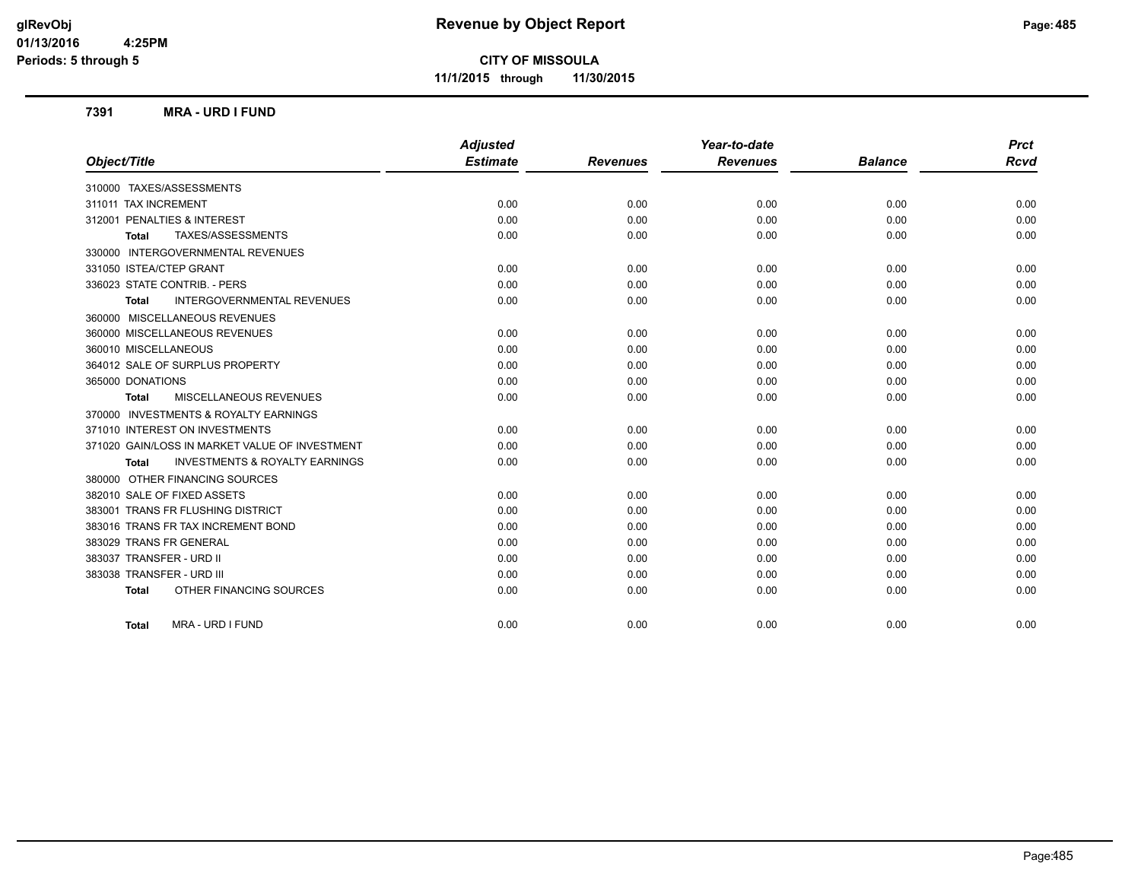**11/1/2015 through 11/30/2015**

#### **7391 MRA - URD I FUND**

|                                                           | <b>Adjusted</b> |                 | Year-to-date    |                | <b>Prct</b> |
|-----------------------------------------------------------|-----------------|-----------------|-----------------|----------------|-------------|
| Object/Title                                              | <b>Estimate</b> | <b>Revenues</b> | <b>Revenues</b> | <b>Balance</b> | <b>Rcvd</b> |
| 310000 TAXES/ASSESSMENTS                                  |                 |                 |                 |                |             |
| 311011 TAX INCREMENT                                      | 0.00            | 0.00            | 0.00            | 0.00           | 0.00        |
| 312001 PENALTIES & INTEREST                               | 0.00            | 0.00            | 0.00            | 0.00           | 0.00        |
| TAXES/ASSESSMENTS<br><b>Total</b>                         | 0.00            | 0.00            | 0.00            | 0.00           | 0.00        |
| 330000 INTERGOVERNMENTAL REVENUES                         |                 |                 |                 |                |             |
| 331050 ISTEA/CTEP GRANT                                   | 0.00            | 0.00            | 0.00            | 0.00           | 0.00        |
| 336023 STATE CONTRIB. - PERS                              | 0.00            | 0.00            | 0.00            | 0.00           | 0.00        |
| <b>INTERGOVERNMENTAL REVENUES</b><br><b>Total</b>         | 0.00            | 0.00            | 0.00            | 0.00           | 0.00        |
| 360000 MISCELLANEOUS REVENUES                             |                 |                 |                 |                |             |
| 360000 MISCELLANEOUS REVENUES                             | 0.00            | 0.00            | 0.00            | 0.00           | 0.00        |
| 360010 MISCELLANEOUS                                      | 0.00            | 0.00            | 0.00            | 0.00           | 0.00        |
| 364012 SALE OF SURPLUS PROPERTY                           | 0.00            | 0.00            | 0.00            | 0.00           | 0.00        |
| 365000 DONATIONS                                          | 0.00            | 0.00            | 0.00            | 0.00           | 0.00        |
| MISCELLANEOUS REVENUES<br>Total                           | 0.00            | 0.00            | 0.00            | 0.00           | 0.00        |
| 370000 INVESTMENTS & ROYALTY EARNINGS                     |                 |                 |                 |                |             |
| 371010 INTEREST ON INVESTMENTS                            | 0.00            | 0.00            | 0.00            | 0.00           | 0.00        |
| 371020 GAIN/LOSS IN MARKET VALUE OF INVESTMENT            | 0.00            | 0.00            | 0.00            | 0.00           | 0.00        |
| <b>INVESTMENTS &amp; ROYALTY EARNINGS</b><br><b>Total</b> | 0.00            | 0.00            | 0.00            | 0.00           | 0.00        |
| 380000 OTHER FINANCING SOURCES                            |                 |                 |                 |                |             |
| 382010 SALE OF FIXED ASSETS                               | 0.00            | 0.00            | 0.00            | 0.00           | 0.00        |
| 383001 TRANS FR FLUSHING DISTRICT                         | 0.00            | 0.00            | 0.00            | 0.00           | 0.00        |
| 383016 TRANS FR TAX INCREMENT BOND                        | 0.00            | 0.00            | 0.00            | 0.00           | 0.00        |
| 383029 TRANS FR GENERAL                                   | 0.00            | 0.00            | 0.00            | 0.00           | 0.00        |
| 383037 TRANSFER - URD II                                  | 0.00            | 0.00            | 0.00            | 0.00           | 0.00        |
| 383038 TRANSFER - URD III                                 | 0.00            | 0.00            | 0.00            | 0.00           | 0.00        |
| OTHER FINANCING SOURCES<br><b>Total</b>                   | 0.00            | 0.00            | 0.00            | 0.00           | 0.00        |
| MRA - URD I FUND<br><b>Total</b>                          | 0.00            | 0.00            | 0.00            | 0.00           | 0.00        |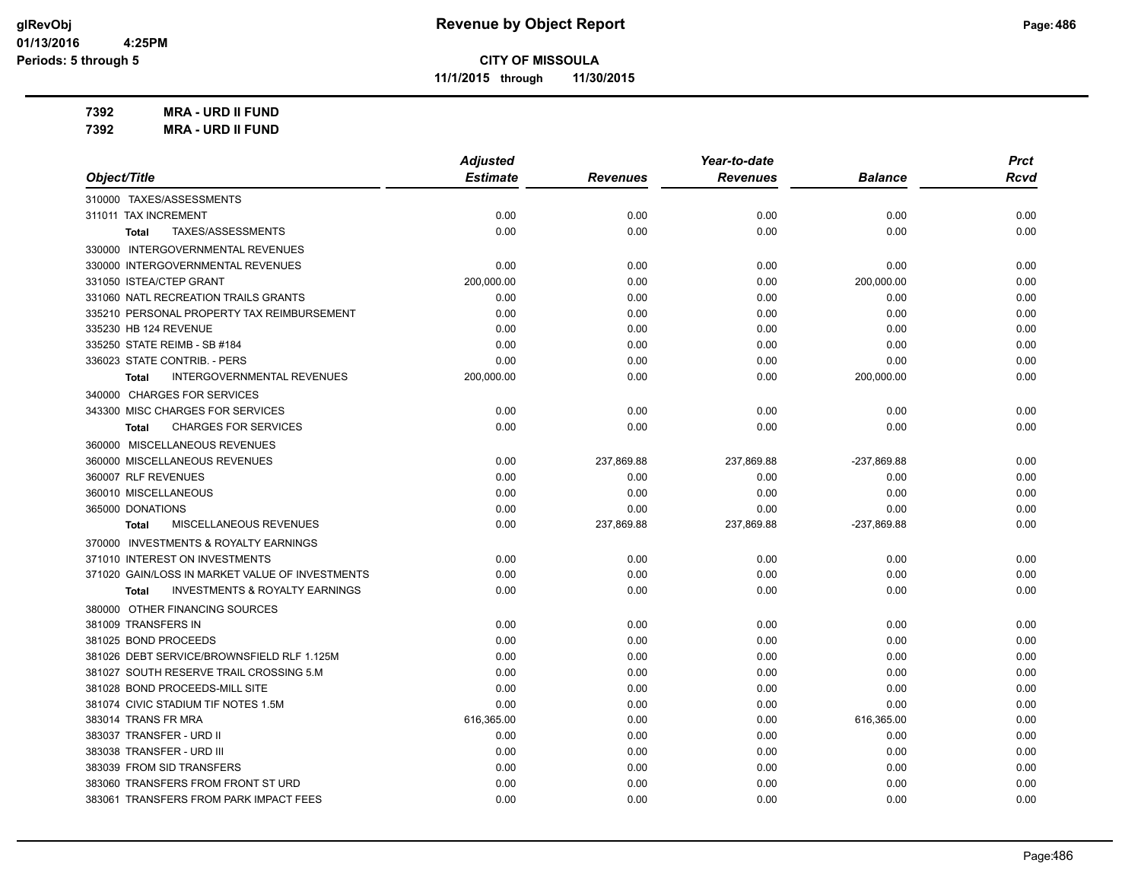**11/1/2015 through 11/30/2015**

**7392 MRA - URD II FUND 7392 MRA - URD II FUND**

|                                                 | <b>Adjusted</b>                                   |                 | Year-to-date    |                | <b>Prct</b> |
|-------------------------------------------------|---------------------------------------------------|-----------------|-----------------|----------------|-------------|
| Object/Title                                    | <b>Estimate</b>                                   | <b>Revenues</b> | <b>Revenues</b> | <b>Balance</b> | <b>Rcvd</b> |
| 310000 TAXES/ASSESSMENTS                        |                                                   |                 |                 |                |             |
| 311011 TAX INCREMENT                            | 0.00                                              | 0.00            | 0.00            | 0.00           | 0.00        |
| TAXES/ASSESSMENTS<br><b>Total</b>               | 0.00                                              | 0.00            | 0.00            | 0.00           | 0.00        |
| 330000 INTERGOVERNMENTAL REVENUES               |                                                   |                 |                 |                |             |
| 330000 INTERGOVERNMENTAL REVENUES               | 0.00                                              | 0.00            | 0.00            | 0.00           | 0.00        |
| 331050 ISTEA/CTEP GRANT                         | 200,000.00                                        | 0.00            | 0.00            | 200,000.00     | 0.00        |
| 331060 NATL RECREATION TRAILS GRANTS            | 0.00                                              | 0.00            | 0.00            | 0.00           | 0.00        |
| 335210 PERSONAL PROPERTY TAX REIMBURSEMENT      | 0.00                                              | 0.00            | 0.00            | 0.00           | 0.00        |
| 335230 HB 124 REVENUE                           | 0.00                                              | 0.00            | 0.00            | 0.00           | 0.00        |
| 335250 STATE REIMB - SB #184                    | 0.00                                              | 0.00            | 0.00            | 0.00           | 0.00        |
| 336023 STATE CONTRIB. - PERS                    | 0.00                                              | 0.00            | 0.00            | 0.00           | 0.00        |
| <b>INTERGOVERNMENTAL REVENUES</b><br>Total      | 200,000.00                                        | 0.00            | 0.00            | 200,000.00     | 0.00        |
| 340000 CHARGES FOR SERVICES                     |                                                   |                 |                 |                |             |
| 343300 MISC CHARGES FOR SERVICES                | 0.00                                              | 0.00            | 0.00            | 0.00           | 0.00        |
| <b>CHARGES FOR SERVICES</b><br><b>Total</b>     | 0.00                                              | 0.00            | 0.00            | 0.00           | 0.00        |
| 360000 MISCELLANEOUS REVENUES                   |                                                   |                 |                 |                |             |
| 360000 MISCELLANEOUS REVENUES                   | 0.00                                              | 237,869.88      | 237,869.88      | -237,869.88    | 0.00        |
| 360007 RLF REVENUES                             | 0.00                                              | 0.00            | 0.00            | 0.00           | 0.00        |
| 360010 MISCELLANEOUS                            | 0.00                                              | 0.00            | 0.00            | 0.00           | 0.00        |
| 365000 DONATIONS                                | 0.00                                              | 0.00            | 0.00            | 0.00           | 0.00        |
| MISCELLANEOUS REVENUES<br><b>Total</b>          | 0.00                                              | 237,869.88      | 237,869.88      | -237,869.88    | 0.00        |
| 370000 INVESTMENTS & ROYALTY EARNINGS           |                                                   |                 |                 |                |             |
| 371010 INTEREST ON INVESTMENTS                  | 0.00                                              | 0.00            | 0.00            | 0.00           | 0.00        |
| 371020 GAIN/LOSS IN MARKET VALUE OF INVESTMENTS | 0.00                                              | 0.00            | 0.00            | 0.00           | 0.00        |
| <b>Total</b>                                    | 0.00<br><b>INVESTMENTS &amp; ROYALTY EARNINGS</b> | 0.00            | 0.00            | 0.00           | 0.00        |
| 380000 OTHER FINANCING SOURCES                  |                                                   |                 |                 |                |             |
| 381009 TRANSFERS IN                             | 0.00                                              | 0.00            | 0.00            | 0.00           | 0.00        |
| 381025 BOND PROCEEDS                            | 0.00                                              | 0.00            | 0.00            | 0.00           | 0.00        |
| 381026 DEBT SERVICE/BROWNSFIELD RLF 1.125M      | 0.00                                              | 0.00            | 0.00            | 0.00           | 0.00        |
| 381027 SOUTH RESERVE TRAIL CROSSING 5.M         | 0.00                                              | 0.00            | 0.00            | 0.00           | 0.00        |
| 381028 BOND PROCEEDS-MILL SITE                  | 0.00                                              | 0.00            | 0.00            | 0.00           | 0.00        |
| 381074 CIVIC STADIUM TIF NOTES 1.5M             | 0.00                                              | 0.00            | 0.00            | 0.00           | 0.00        |
| 383014 TRANS FR MRA                             | 616,365.00                                        | 0.00            | 0.00            | 616,365.00     | 0.00        |
| 383037 TRANSFER - URD II                        | 0.00                                              | 0.00            | 0.00            | 0.00           | 0.00        |
| 383038 TRANSFER - URD III                       | 0.00                                              | 0.00            | 0.00            | 0.00           | 0.00        |
| 383039 FROM SID TRANSFERS                       |                                                   |                 |                 |                | 0.00        |
|                                                 | 0.00                                              | 0.00            | 0.00            | 0.00           |             |
| 383060 TRANSFERS FROM FRONT ST URD              | 0.00                                              | 0.00            | 0.00            | 0.00           | 0.00        |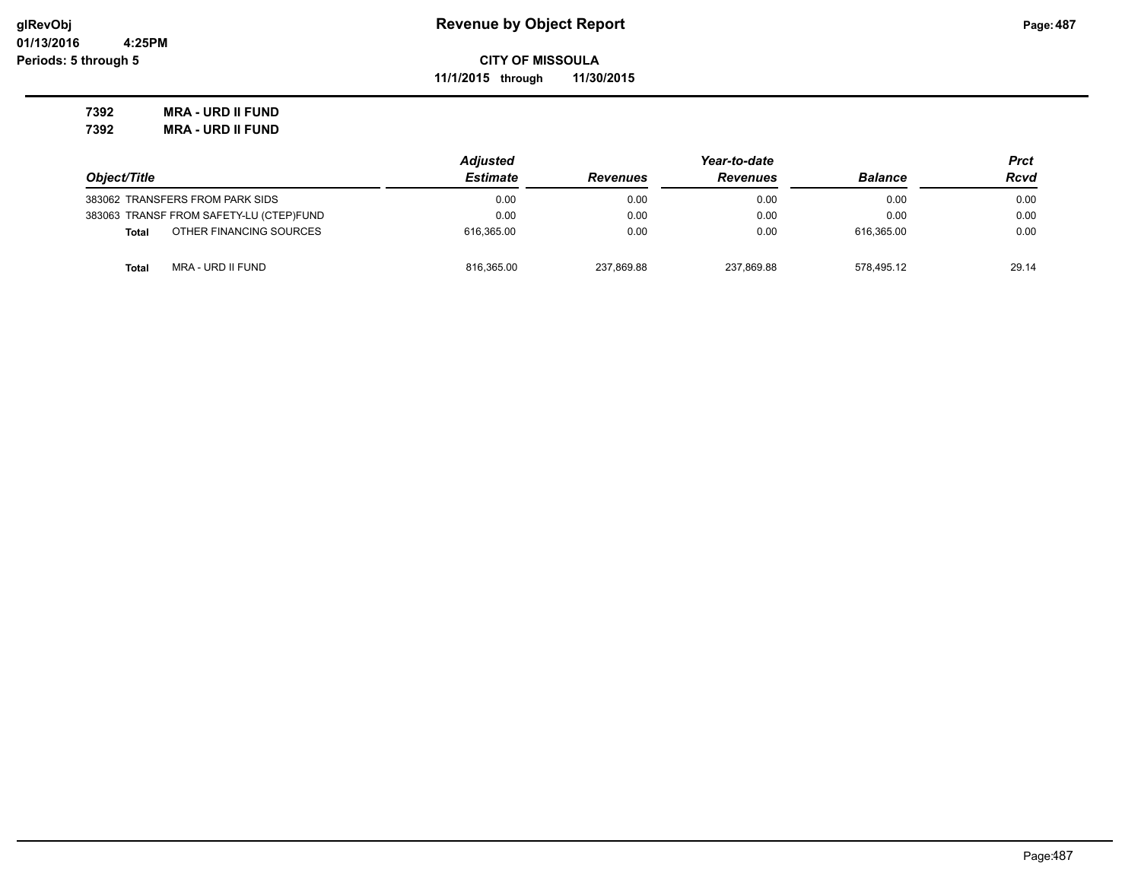**11/1/2015 through 11/30/2015**

**7392 MRA - URD II FUND 7392 MRA - URD II FUND**

|                                         | <b>Adjusted</b> |                 | Prct            |                |       |
|-----------------------------------------|-----------------|-----------------|-----------------|----------------|-------|
| Object/Title                            | <b>Estimate</b> | <b>Revenues</b> | <b>Revenues</b> | <b>Balance</b> | Rcvd  |
| 383062 TRANSFERS FROM PARK SIDS         | 0.00            | 0.00            | 0.00            | 0.00           | 0.00  |
| 383063 TRANSF FROM SAFETY-LU (CTEP)FUND | 0.00            | 0.00            | 0.00            | 0.00           | 0.00  |
| OTHER FINANCING SOURCES<br><b>Total</b> | 616.365.00      | 0.00            | 0.00            | 616.365.00     | 0.00  |
| MRA - URD II FUND<br>Total              | 816.365.00      | 237.869.88      | 237.869.88      | 578.495.12     | 29.14 |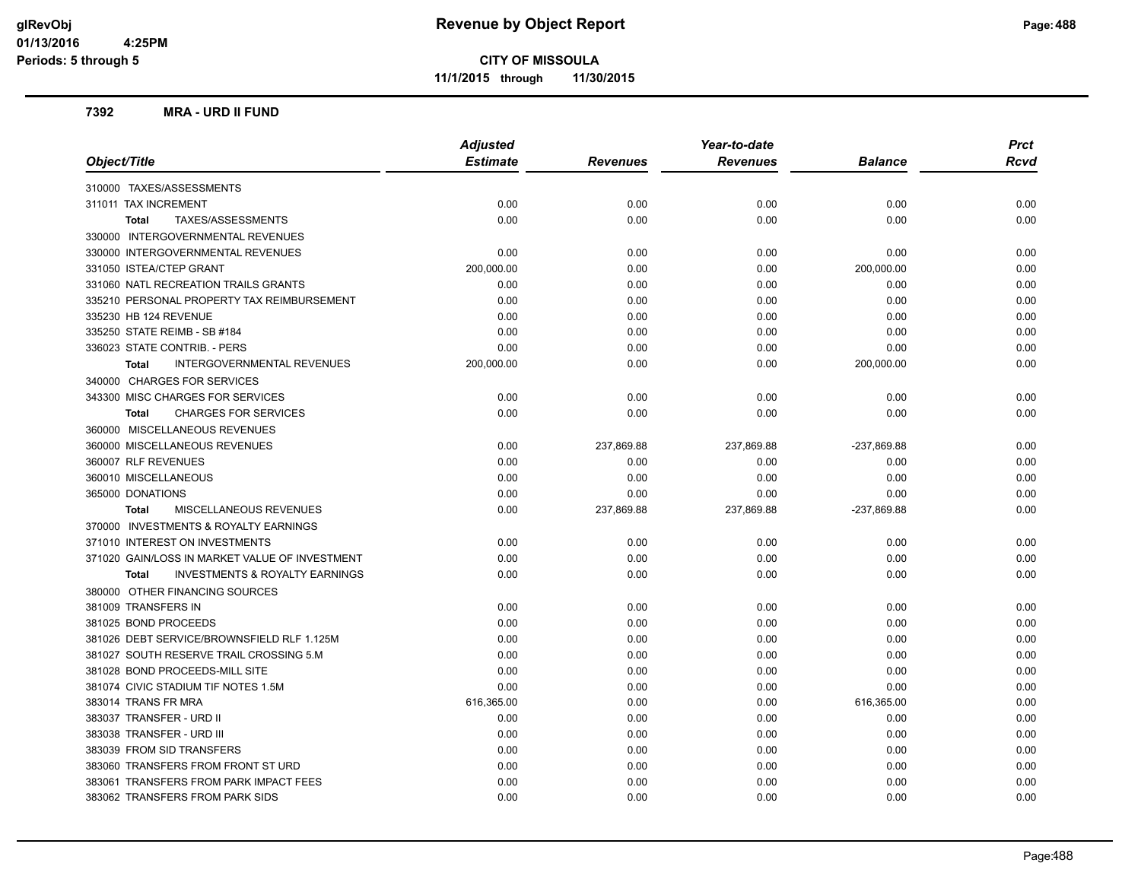**11/1/2015 through 11/30/2015**

#### **7392 MRA - URD II FUND**

|                                                           | <b>Adjusted</b> | Year-to-date    |                 |                | <b>Prct</b> |
|-----------------------------------------------------------|-----------------|-----------------|-----------------|----------------|-------------|
| Object/Title                                              | <b>Estimate</b> | <b>Revenues</b> | <b>Revenues</b> | <b>Balance</b> | <b>Rcvd</b> |
| 310000 TAXES/ASSESSMENTS                                  |                 |                 |                 |                |             |
| 311011 TAX INCREMENT                                      | 0.00            | 0.00            | 0.00            | 0.00           | 0.00        |
| TAXES/ASSESSMENTS<br><b>Total</b>                         | 0.00            | 0.00            | 0.00            | 0.00           | 0.00        |
| 330000 INTERGOVERNMENTAL REVENUES                         |                 |                 |                 |                |             |
| 330000 INTERGOVERNMENTAL REVENUES                         | 0.00            | 0.00            | 0.00            | 0.00           | 0.00        |
| 331050 ISTEA/CTEP GRANT                                   | 200,000.00      | 0.00            | 0.00            | 200,000.00     | 0.00        |
| 331060 NATL RECREATION TRAILS GRANTS                      | 0.00            | 0.00            | 0.00            | 0.00           | 0.00        |
| 335210 PERSONAL PROPERTY TAX REIMBURSEMENT                | 0.00            | 0.00            | 0.00            | 0.00           | 0.00        |
| 335230 HB 124 REVENUE                                     | 0.00            | 0.00            | 0.00            | 0.00           | 0.00        |
| 335250 STATE REIMB - SB #184                              | 0.00            | 0.00            | 0.00            | 0.00           | 0.00        |
| 336023 STATE CONTRIB. - PERS                              | 0.00            | 0.00            | 0.00            | 0.00           | 0.00        |
| <b>INTERGOVERNMENTAL REVENUES</b><br><b>Total</b>         | 200,000.00      | 0.00            | 0.00            | 200,000.00     | 0.00        |
| 340000 CHARGES FOR SERVICES                               |                 |                 |                 |                |             |
| 343300 MISC CHARGES FOR SERVICES                          | 0.00            | 0.00            | 0.00            | 0.00           | 0.00        |
| <b>CHARGES FOR SERVICES</b><br><b>Total</b>               | 0.00            | 0.00            | 0.00            | 0.00           | 0.00        |
| 360000 MISCELLANEOUS REVENUES                             |                 |                 |                 |                |             |
| 360000 MISCELLANEOUS REVENUES                             | 0.00            | 237,869.88      | 237,869.88      | -237,869.88    | 0.00        |
| 360007 RLF REVENUES                                       | 0.00            | 0.00            | 0.00            | 0.00           | 0.00        |
| 360010 MISCELLANEOUS                                      | 0.00            | 0.00            | 0.00            | 0.00           | 0.00        |
| 365000 DONATIONS                                          | 0.00            | 0.00            | 0.00            | 0.00           | 0.00        |
| MISCELLANEOUS REVENUES<br><b>Total</b>                    | 0.00            | 237,869.88      | 237,869.88      | -237,869.88    | 0.00        |
| 370000 INVESTMENTS & ROYALTY EARNINGS                     |                 |                 |                 |                |             |
| 371010 INTEREST ON INVESTMENTS                            | 0.00            | 0.00            | 0.00            | 0.00           | 0.00        |
| 371020 GAIN/LOSS IN MARKET VALUE OF INVESTMENT            | 0.00            | 0.00            | 0.00            | 0.00           | 0.00        |
| <b>INVESTMENTS &amp; ROYALTY EARNINGS</b><br><b>Total</b> | 0.00            | 0.00            | 0.00            | 0.00           | 0.00        |
| 380000 OTHER FINANCING SOURCES                            |                 |                 |                 |                |             |
| 381009 TRANSFERS IN                                       | 0.00            | 0.00            | 0.00            | 0.00           | 0.00        |
| 381025 BOND PROCEEDS                                      | 0.00            | 0.00            | 0.00            | 0.00           | 0.00        |
| 381026 DEBT SERVICE/BROWNSFIELD RLF 1.125M                | 0.00            | 0.00            | 0.00            | 0.00           | 0.00        |
| 381027 SOUTH RESERVE TRAIL CROSSING 5.M                   | 0.00            | 0.00            | 0.00            | 0.00           | 0.00        |
| 381028 BOND PROCEEDS-MILL SITE                            | 0.00            | 0.00            | 0.00            | 0.00           | 0.00        |
| 381074 CIVIC STADIUM TIF NOTES 1.5M                       | 0.00            | 0.00            | 0.00            | 0.00           | 0.00        |
| 383014 TRANS FR MRA                                       | 616,365.00      | 0.00            | 0.00            | 616,365.00     | 0.00        |
| 383037 TRANSFER - URD II                                  | 0.00            | 0.00            | 0.00            | 0.00           | 0.00        |
| 383038 TRANSFER - URD III                                 | 0.00            | 0.00            | 0.00            | 0.00           | 0.00        |
| 383039 FROM SID TRANSFERS                                 | 0.00            | 0.00            | 0.00            | 0.00           | 0.00        |
| 383060 TRANSFERS FROM FRONT ST URD                        | 0.00            | 0.00            | 0.00            | 0.00           | 0.00        |
| 383061 TRANSFERS FROM PARK IMPACT FEES                    | 0.00            | 0.00            | 0.00            | 0.00           | 0.00        |
| 383062 TRANSFERS FROM PARK SIDS                           | 0.00            | 0.00            | 0.00            | 0.00           | 0.00        |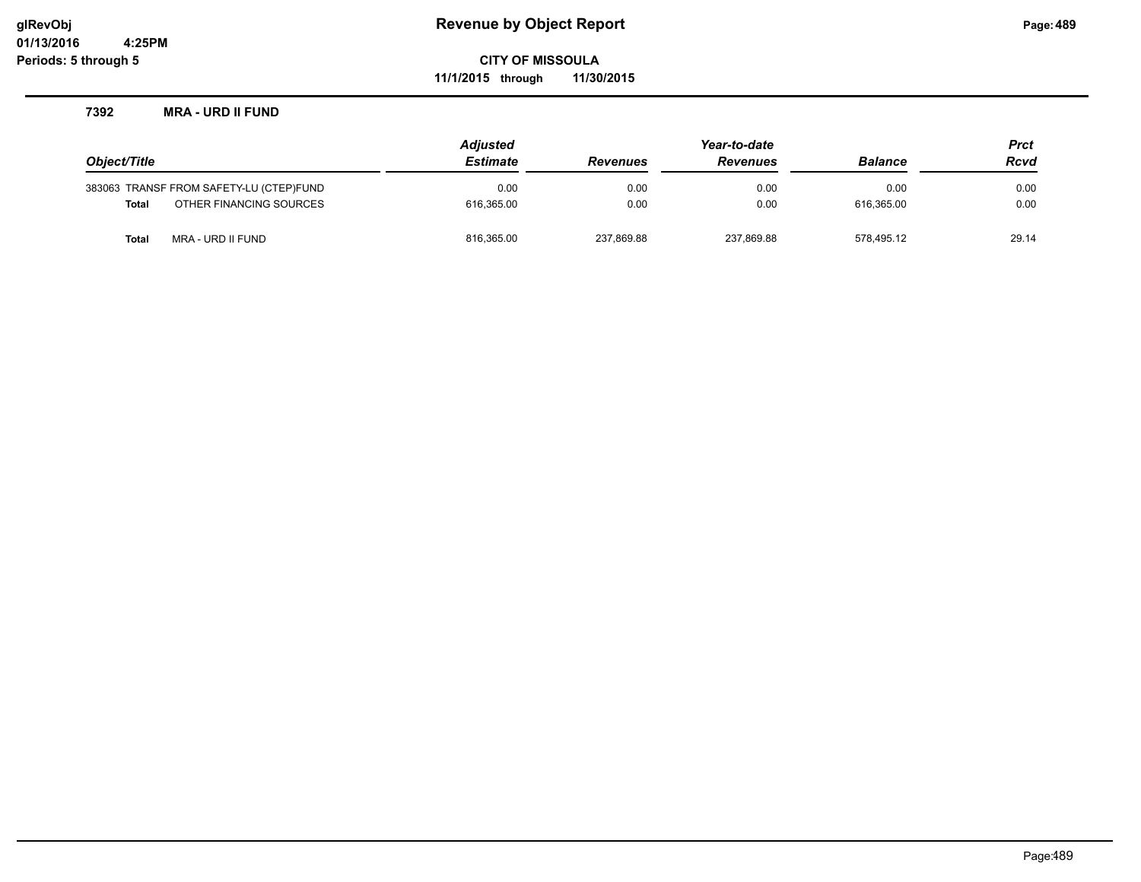### **glRevObj Revenue by Object Report Page:489**

**CITY OF MISSOULA**

**11/1/2015 through 11/30/2015**

#### **7392 MRA - URD II FUND**

|              |                                         | <b>Adjusted</b> |                 | <b>Prct</b>     |                |             |
|--------------|-----------------------------------------|-----------------|-----------------|-----------------|----------------|-------------|
| Object/Title |                                         | <b>Estimate</b> | <b>Revenues</b> | <b>Revenues</b> | <b>Balance</b> | <b>Rcvd</b> |
|              | 383063 TRANSF FROM SAFETY-LU (CTEP)FUND | 0.00            | 0.00            | 0.00            | 0.00           | 0.00        |
| <b>Total</b> | OTHER FINANCING SOURCES                 | 616.365.00      | 0.00            | 0.00            | 616.365.00     | 0.00        |
| Total        | MRA - URD II FUND                       | 816,365.00      | 237.869.88      | 237,869.88      | 578.495.12     | 29.14       |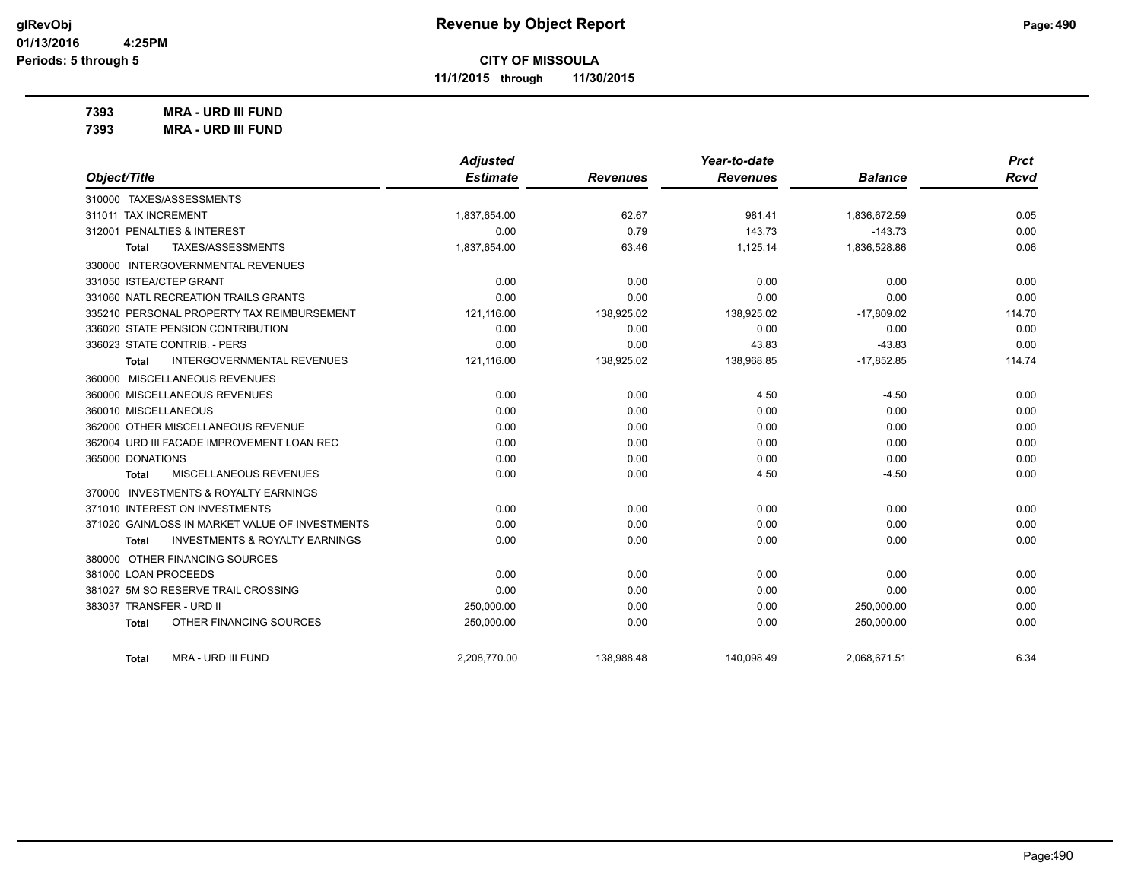**11/1/2015 through 11/30/2015**

**7393 MRA - URD III FUND 7393 MRA - URD III FUND**

|                                                    | <b>Adjusted</b> |                 | Year-to-date    |                | <b>Prct</b> |
|----------------------------------------------------|-----------------|-----------------|-----------------|----------------|-------------|
| Object/Title                                       | <b>Estimate</b> | <b>Revenues</b> | <b>Revenues</b> | <b>Balance</b> | <b>Rcvd</b> |
| 310000 TAXES/ASSESSMENTS                           |                 |                 |                 |                |             |
| 311011 TAX INCREMENT                               | 1.837.654.00    | 62.67           | 981.41          | 1.836.672.59   | 0.05        |
| 312001 PENALTIES & INTEREST                        | 0.00            | 0.79            | 143.73          | $-143.73$      | 0.00        |
| TAXES/ASSESSMENTS<br>Total                         | 1,837,654.00    | 63.46           | 1,125.14        | 1,836,528.86   | 0.06        |
| 330000 INTERGOVERNMENTAL REVENUES                  |                 |                 |                 |                |             |
| 331050 ISTEA/CTEP GRANT                            | 0.00            | 0.00            | 0.00            | 0.00           | 0.00        |
| 331060 NATL RECREATION TRAILS GRANTS               | 0.00            | 0.00            | 0.00            | 0.00           | 0.00        |
| 335210 PERSONAL PROPERTY TAX REIMBURSEMENT         | 121,116.00      | 138,925.02      | 138,925.02      | $-17,809.02$   | 114.70      |
| 336020 STATE PENSION CONTRIBUTION                  | 0.00            | 0.00            | 0.00            | 0.00           | 0.00        |
| 336023 STATE CONTRIB. - PERS                       | 0.00            | 0.00            | 43.83           | $-43.83$       | 0.00        |
| <b>INTERGOVERNMENTAL REVENUES</b><br>Total         | 121,116.00      | 138,925.02      | 138,968.85      | $-17,852.85$   | 114.74      |
| 360000 MISCELLANEOUS REVENUES                      |                 |                 |                 |                |             |
| 360000 MISCELLANEOUS REVENUES                      | 0.00            | 0.00            | 4.50            | $-4.50$        | 0.00        |
| 360010 MISCELLANEOUS                               | 0.00            | 0.00            | 0.00            | 0.00           | 0.00        |
| 362000 OTHER MISCELLANEOUS REVENUE                 | 0.00            | 0.00            | 0.00            | 0.00           | 0.00        |
| 362004 URD III FACADE IMPROVEMENT LOAN REC         | 0.00            | 0.00            | 0.00            | 0.00           | 0.00        |
| 365000 DONATIONS                                   | 0.00            | 0.00            | 0.00            | 0.00           | 0.00        |
| MISCELLANEOUS REVENUES<br>Total                    | 0.00            | 0.00            | 4.50            | $-4.50$        | 0.00        |
| 370000 INVESTMENTS & ROYALTY EARNINGS              |                 |                 |                 |                |             |
| 371010 INTEREST ON INVESTMENTS                     | 0.00            | 0.00            | 0.00            | 0.00           | 0.00        |
| 371020 GAIN/LOSS IN MARKET VALUE OF INVESTMENTS    | 0.00            | 0.00            | 0.00            | 0.00           | 0.00        |
| <b>INVESTMENTS &amp; ROYALTY EARNINGS</b><br>Total | 0.00            | 0.00            | 0.00            | 0.00           | 0.00        |
| 380000 OTHER FINANCING SOURCES                     |                 |                 |                 |                |             |
| 381000 LOAN PROCEEDS                               | 0.00            | 0.00            | 0.00            | 0.00           | 0.00        |
| 381027 5M SO RESERVE TRAIL CROSSING                | 0.00            | 0.00            | 0.00            | 0.00           | 0.00        |
| 383037 TRANSFER - URD II                           | 250,000.00      | 0.00            | 0.00            | 250,000.00     | 0.00        |
| OTHER FINANCING SOURCES<br><b>Total</b>            | 250,000.00      | 0.00            | 0.00            | 250,000.00     | 0.00        |
| MRA - URD III FUND<br>Total                        | 2,208,770.00    | 138.988.48      | 140.098.49      | 2,068,671.51   | 6.34        |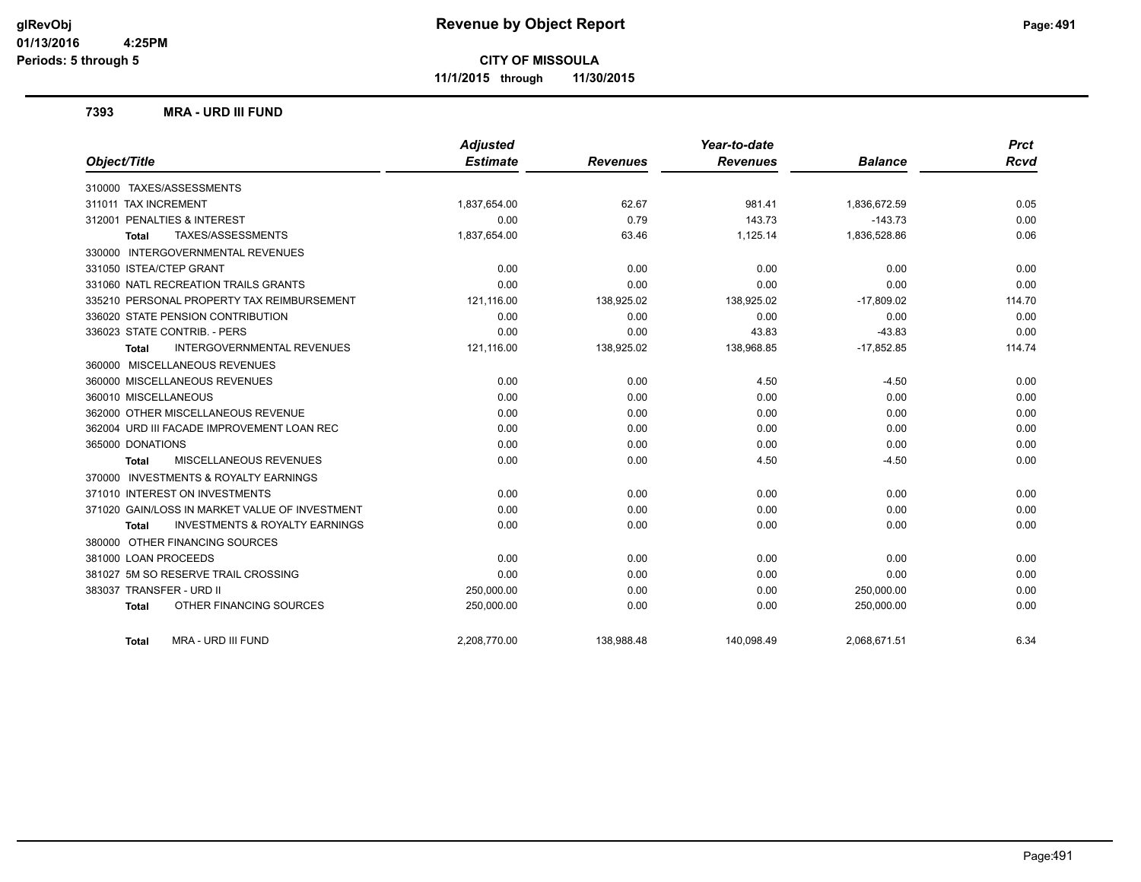**11/1/2015 through 11/30/2015**

#### **7393 MRA - URD III FUND**

|                                                    | <b>Adjusted</b> |                 | Year-to-date    |                | <b>Prct</b> |
|----------------------------------------------------|-----------------|-----------------|-----------------|----------------|-------------|
| Object/Title                                       | <b>Estimate</b> | <b>Revenues</b> | <b>Revenues</b> | <b>Balance</b> | <b>Rcvd</b> |
| 310000 TAXES/ASSESSMENTS                           |                 |                 |                 |                |             |
| 311011 TAX INCREMENT                               | 1,837,654.00    | 62.67           | 981.41          | 1,836,672.59   | 0.05        |
| 312001 PENALTIES & INTEREST                        | 0.00            | 0.79            | 143.73          | $-143.73$      | 0.00        |
| TAXES/ASSESSMENTS<br>Total                         | 1,837,654.00    | 63.46           | 1,125.14        | 1,836,528.86   | 0.06        |
| 330000 INTERGOVERNMENTAL REVENUES                  |                 |                 |                 |                |             |
| 331050 ISTEA/CTEP GRANT                            | 0.00            | 0.00            | 0.00            | 0.00           | 0.00        |
| 331060 NATL RECREATION TRAILS GRANTS               | 0.00            | 0.00            | 0.00            | 0.00           | 0.00        |
| 335210 PERSONAL PROPERTY TAX REIMBURSEMENT         | 121,116.00      | 138,925.02      | 138,925.02      | $-17,809.02$   | 114.70      |
| 336020 STATE PENSION CONTRIBUTION                  | 0.00            | 0.00            | 0.00            | 0.00           | 0.00        |
| 336023 STATE CONTRIB. - PERS                       | 0.00            | 0.00            | 43.83           | $-43.83$       | 0.00        |
| <b>INTERGOVERNMENTAL REVENUES</b><br><b>Total</b>  | 121,116.00      | 138,925.02      | 138,968.85      | $-17,852.85$   | 114.74      |
| 360000 MISCELLANEOUS REVENUES                      |                 |                 |                 |                |             |
| 360000 MISCELLANEOUS REVENUES                      | 0.00            | 0.00            | 4.50            | $-4.50$        | 0.00        |
| 360010 MISCELLANEOUS                               | 0.00            | 0.00            | 0.00            | 0.00           | 0.00        |
| 362000 OTHER MISCELLANEOUS REVENUE                 | 0.00            | 0.00            | 0.00            | 0.00           | 0.00        |
| 362004 URD III FACADE IMPROVEMENT LOAN REC         | 0.00            | 0.00            | 0.00            | 0.00           | 0.00        |
| 365000 DONATIONS                                   | 0.00            | 0.00            | 0.00            | 0.00           | 0.00        |
| MISCELLANEOUS REVENUES<br>Total                    | 0.00            | 0.00            | 4.50            | $-4.50$        | 0.00        |
| 370000 INVESTMENTS & ROYALTY EARNINGS              |                 |                 |                 |                |             |
| 371010 INTEREST ON INVESTMENTS                     | 0.00            | 0.00            | 0.00            | 0.00           | 0.00        |
| 371020 GAIN/LOSS IN MARKET VALUE OF INVESTMENT     | 0.00            | 0.00            | 0.00            | 0.00           | 0.00        |
| <b>INVESTMENTS &amp; ROYALTY EARNINGS</b><br>Total | 0.00            | 0.00            | 0.00            | 0.00           | 0.00        |
| 380000 OTHER FINANCING SOURCES                     |                 |                 |                 |                |             |
| 381000 LOAN PROCEEDS                               | 0.00            | 0.00            | 0.00            | 0.00           | 0.00        |
| 381027 5M SO RESERVE TRAIL CROSSING                | 0.00            | 0.00            | 0.00            | 0.00           | 0.00        |
| 383037 TRANSFER - URD II                           | 250,000.00      | 0.00            | 0.00            | 250,000.00     | 0.00        |
| OTHER FINANCING SOURCES<br>Total                   | 250,000.00      | 0.00            | 0.00            | 250,000.00     | 0.00        |
| MRA - URD III FUND<br>Total                        | 2.208.770.00    | 138.988.48      | 140.098.49      | 2,068,671.51   | 6.34        |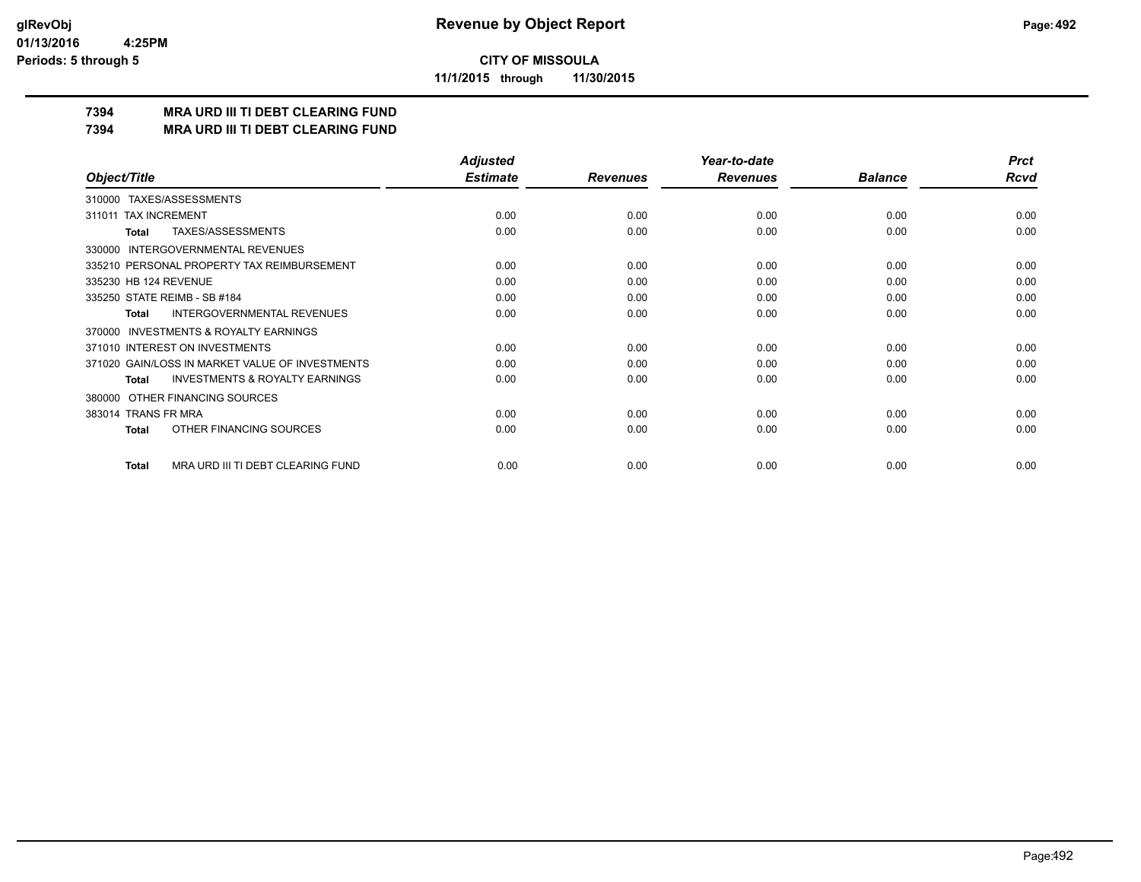**11/1/2015 through 11/30/2015**

### **7394 MRA URD III TI DEBT CLEARING FUND**

**7394 MRA URD III TI DEBT CLEARING FUND**

|                                                           | <b>Adjusted</b> |                 | Year-to-date    |                | <b>Prct</b> |
|-----------------------------------------------------------|-----------------|-----------------|-----------------|----------------|-------------|
| Object/Title                                              | <b>Estimate</b> | <b>Revenues</b> | <b>Revenues</b> | <b>Balance</b> | <b>Rcvd</b> |
| 310000 TAXES/ASSESSMENTS                                  |                 |                 |                 |                |             |
| <b>TAX INCREMENT</b><br>311011                            | 0.00            | 0.00            | 0.00            | 0.00           | 0.00        |
| TAXES/ASSESSMENTS<br><b>Total</b>                         | 0.00            | 0.00            | 0.00            | 0.00           | 0.00        |
| INTERGOVERNMENTAL REVENUES<br>330000                      |                 |                 |                 |                |             |
| 335210 PERSONAL PROPERTY TAX REIMBURSEMENT                | 0.00            | 0.00            | 0.00            | 0.00           | 0.00        |
| 335230 HB 124 REVENUE                                     | 0.00            | 0.00            | 0.00            | 0.00           | 0.00        |
| 335250 STATE REIMB - SB #184                              | 0.00            | 0.00            | 0.00            | 0.00           | 0.00        |
| <b>INTERGOVERNMENTAL REVENUES</b><br><b>Total</b>         | 0.00            | 0.00            | 0.00            | 0.00           | 0.00        |
| <b>INVESTMENTS &amp; ROYALTY EARNINGS</b><br>370000       |                 |                 |                 |                |             |
| 371010 INTEREST ON INVESTMENTS                            | 0.00            | 0.00            | 0.00            | 0.00           | 0.00        |
| 371020 GAIN/LOSS IN MARKET VALUE OF INVESTMENTS           | 0.00            | 0.00            | 0.00            | 0.00           | 0.00        |
| <b>INVESTMENTS &amp; ROYALTY EARNINGS</b><br><b>Total</b> | 0.00            | 0.00            | 0.00            | 0.00           | 0.00        |
| OTHER FINANCING SOURCES<br>380000                         |                 |                 |                 |                |             |
| 383014 TRANS FR MRA                                       | 0.00            | 0.00            | 0.00            | 0.00           | 0.00        |
| OTHER FINANCING SOURCES<br>Total                          | 0.00            | 0.00            | 0.00            | 0.00           | 0.00        |
| MRA URD III TI DEBT CLEARING FUND<br><b>Total</b>         | 0.00            | 0.00            | 0.00            | 0.00           | 0.00        |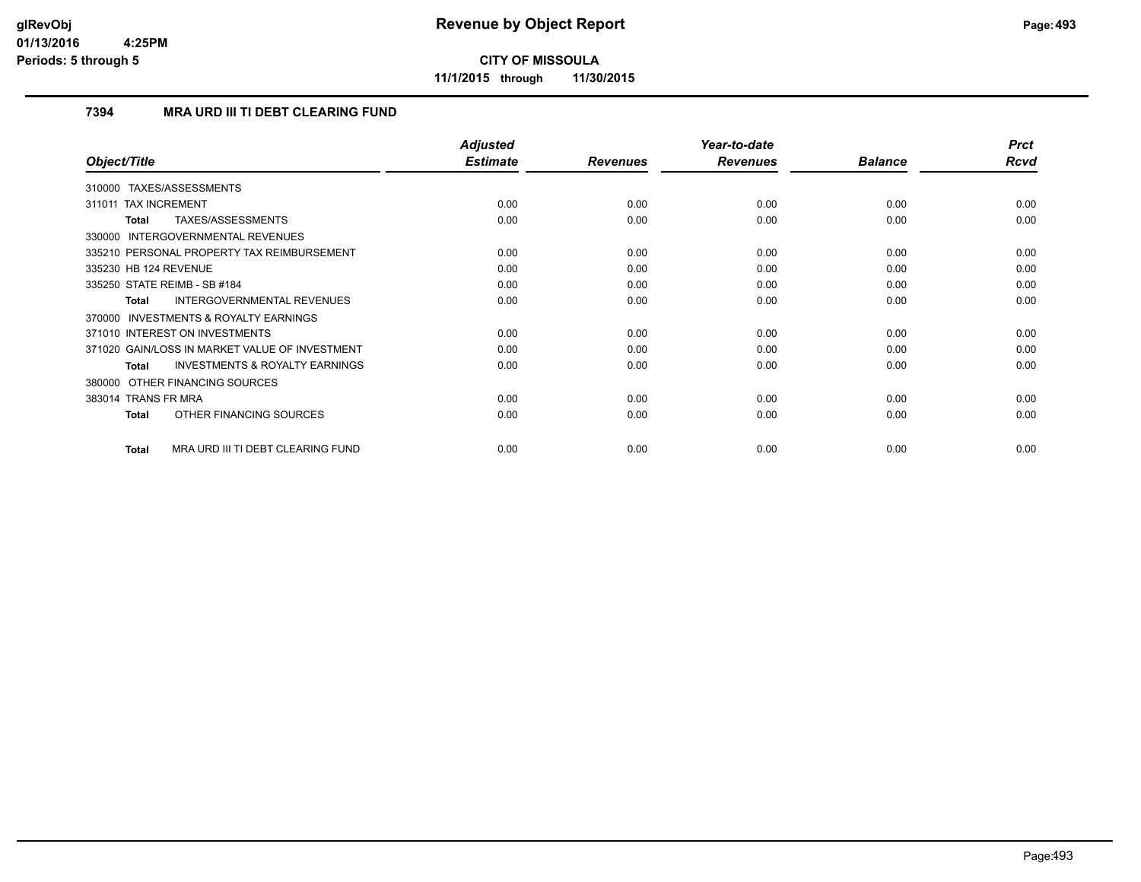**11/1/2015 through 11/30/2015**

### **7394 MRA URD III TI DEBT CLEARING FUND**

|                                                    | <b>Adjusted</b> |                 | Year-to-date    |                | <b>Prct</b> |
|----------------------------------------------------|-----------------|-----------------|-----------------|----------------|-------------|
| Object/Title                                       | <b>Estimate</b> | <b>Revenues</b> | <b>Revenues</b> | <b>Balance</b> | Rcvd        |
| TAXES/ASSESSMENTS<br>310000                        |                 |                 |                 |                |             |
| 311011 TAX INCREMENT                               | 0.00            | 0.00            | 0.00            | 0.00           | 0.00        |
| TAXES/ASSESSMENTS<br>Total                         | 0.00            | 0.00            | 0.00            | 0.00           | 0.00        |
| 330000 INTERGOVERNMENTAL REVENUES                  |                 |                 |                 |                |             |
| 335210 PERSONAL PROPERTY TAX REIMBURSEMENT         | 0.00            | 0.00            | 0.00            | 0.00           | 0.00        |
| 335230 HB 124 REVENUE                              | 0.00            | 0.00            | 0.00            | 0.00           | 0.00        |
| 335250 STATE REIMB - SB #184                       | 0.00            | 0.00            | 0.00            | 0.00           | 0.00        |
| <b>INTERGOVERNMENTAL REVENUES</b><br>Total         | 0.00            | 0.00            | 0.00            | 0.00           | 0.00        |
| 370000 INVESTMENTS & ROYALTY EARNINGS              |                 |                 |                 |                |             |
| 371010 INTEREST ON INVESTMENTS                     | 0.00            | 0.00            | 0.00            | 0.00           | 0.00        |
| 371020 GAIN/LOSS IN MARKET VALUE OF INVESTMENT     | 0.00            | 0.00            | 0.00            | 0.00           | 0.00        |
| <b>INVESTMENTS &amp; ROYALTY EARNINGS</b><br>Total | 0.00            | 0.00            | 0.00            | 0.00           | 0.00        |
| 380000 OTHER FINANCING SOURCES                     |                 |                 |                 |                |             |
| 383014 TRANS FR MRA                                | 0.00            | 0.00            | 0.00            | 0.00           | 0.00        |
| OTHER FINANCING SOURCES<br>Total                   | 0.00            | 0.00            | 0.00            | 0.00           | 0.00        |
| MRA URD III TI DEBT CLEARING FUND<br><b>Total</b>  | 0.00            | 0.00            | 0.00            | 0.00           | 0.00        |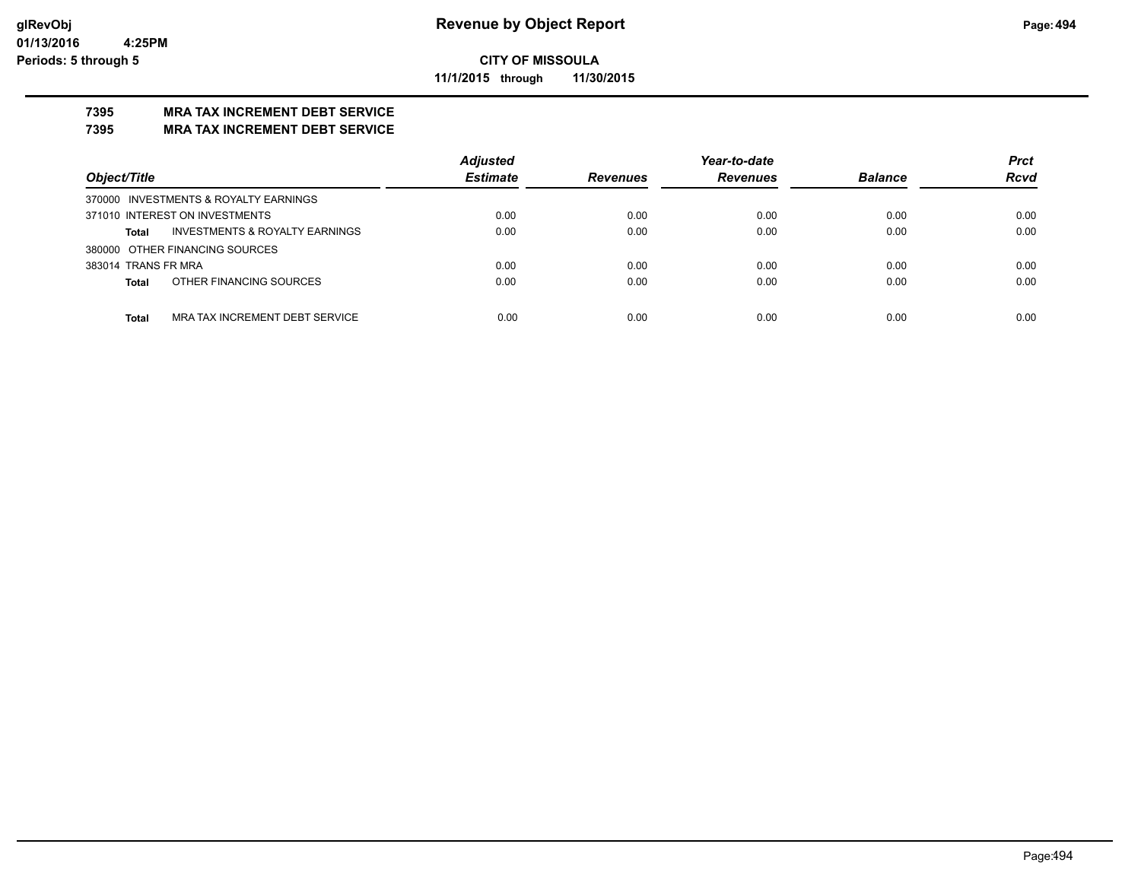**11/1/2015 through 11/30/2015**

## **7395 MRA TAX INCREMENT DEBT SERVICE**

#### **7395 MRA TAX INCREMENT DEBT SERVICE**

|                                                           | <b>Adjusted</b> |                 | Year-to-date    |                | <b>Prct</b> |
|-----------------------------------------------------------|-----------------|-----------------|-----------------|----------------|-------------|
| Object/Title                                              | <b>Estimate</b> | <b>Revenues</b> | <b>Revenues</b> | <b>Balance</b> | <b>Rcvd</b> |
| 370000 INVESTMENTS & ROYALTY EARNINGS                     |                 |                 |                 |                |             |
| 371010 INTEREST ON INVESTMENTS                            | 0.00            | 0.00            | 0.00            | 0.00           | 0.00        |
| <b>INVESTMENTS &amp; ROYALTY EARNINGS</b><br><b>Total</b> | 0.00            | 0.00            | 0.00            | 0.00           | 0.00        |
| 380000 OTHER FINANCING SOURCES                            |                 |                 |                 |                |             |
| 383014 TRANS FR MRA                                       | 0.00            | 0.00            | 0.00            | 0.00           | 0.00        |
| OTHER FINANCING SOURCES<br><b>Total</b>                   | 0.00            | 0.00            | 0.00            | 0.00           | 0.00        |
|                                                           |                 |                 |                 |                |             |
| MRA TAX INCREMENT DEBT SERVICE<br><b>Total</b>            | 0.00            | 0.00            | 0.00            | 0.00           | 0.00        |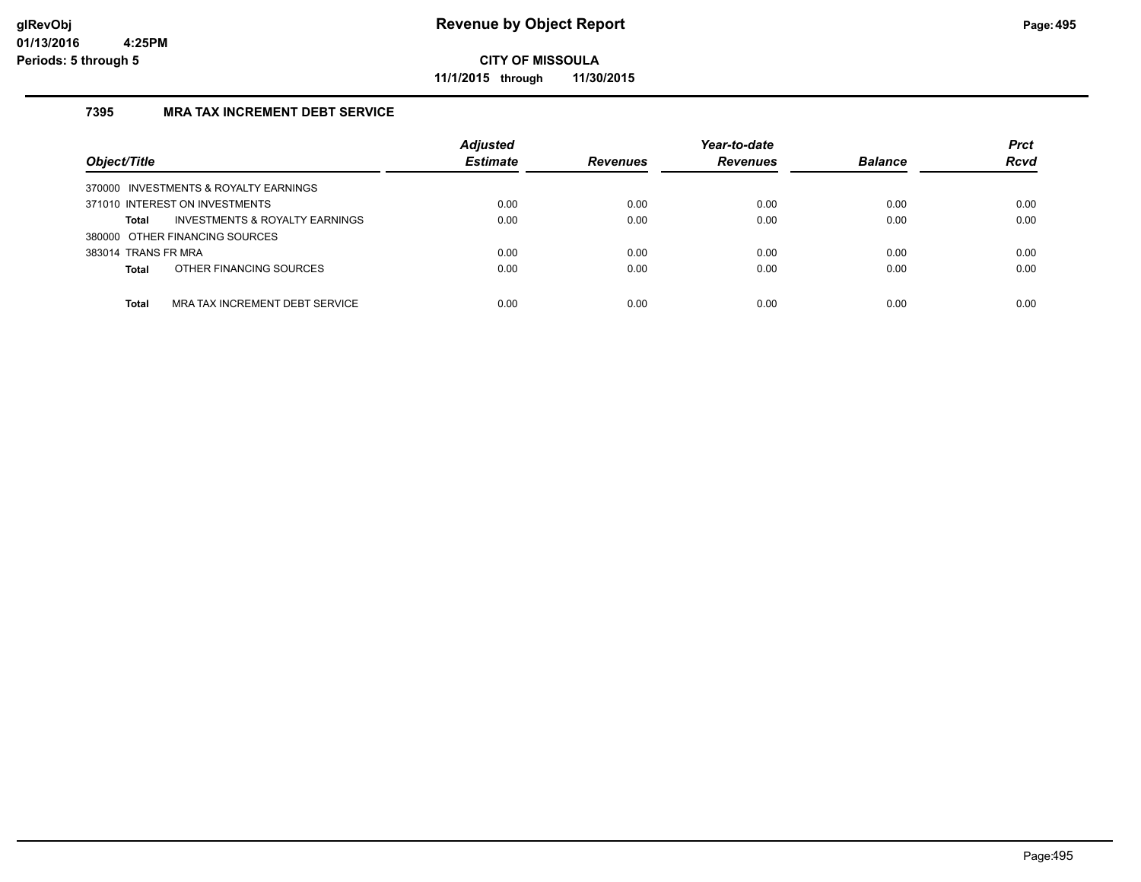**11/1/2015 through 11/30/2015**

#### **7395 MRA TAX INCREMENT DEBT SERVICE**

| Object/Title                                   | <b>Adjusted</b><br><b>Estimate</b> | <b>Revenues</b> | Year-to-date<br><b>Revenues</b> | <b>Balance</b> | <b>Prct</b><br><b>Rcvd</b> |
|------------------------------------------------|------------------------------------|-----------------|---------------------------------|----------------|----------------------------|
| 370000 INVESTMENTS & ROYALTY EARNINGS          |                                    |                 |                                 |                |                            |
| 371010 INTEREST ON INVESTMENTS                 | 0.00                               | 0.00            | 0.00                            | 0.00           | 0.00                       |
| INVESTMENTS & ROYALTY EARNINGS<br><b>Total</b> | 0.00                               | 0.00            | 0.00                            | 0.00           | 0.00                       |
| 380000 OTHER FINANCING SOURCES                 |                                    |                 |                                 |                |                            |
| 383014 TRANS FR MRA                            | 0.00                               | 0.00            | 0.00                            | 0.00           | 0.00                       |
| OTHER FINANCING SOURCES<br><b>Total</b>        | 0.00                               | 0.00            | 0.00                            | 0.00           | 0.00                       |
|                                                |                                    |                 |                                 |                |                            |
| MRA TAX INCREMENT DEBT SERVICE<br><b>Total</b> | 0.00                               | 0.00            | 0.00                            | 0.00           | 0.00                       |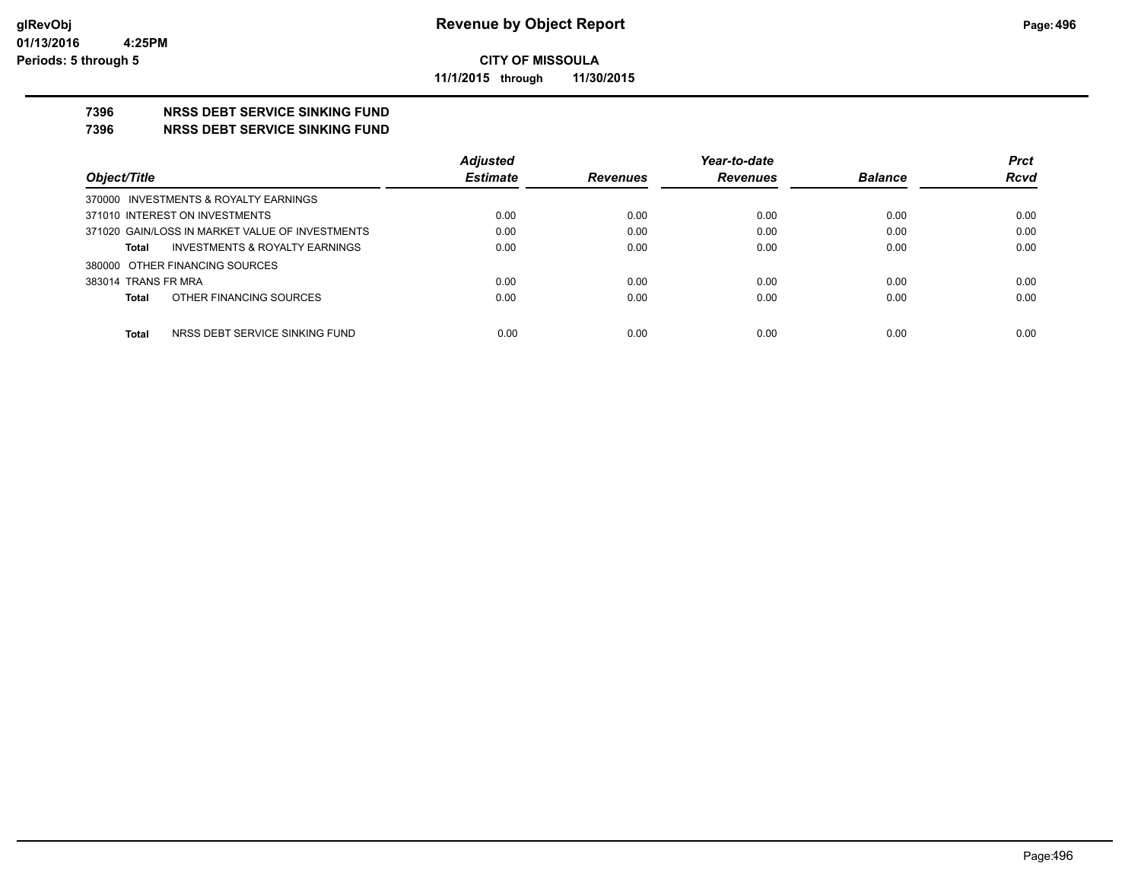**11/1/2015 through 11/30/2015**

### **7396 NRSS DEBT SERVICE SINKING FUND**

**7396 NRSS DEBT SERVICE SINKING FUND**

|                                                 | <b>Adjusted</b> |                 | Year-to-date    |                | <b>Prct</b> |
|-------------------------------------------------|-----------------|-----------------|-----------------|----------------|-------------|
| Object/Title                                    | <b>Estimate</b> | <b>Revenues</b> | <b>Revenues</b> | <b>Balance</b> | <b>Rcvd</b> |
| 370000 INVESTMENTS & ROYALTY EARNINGS           |                 |                 |                 |                |             |
| 371010 INTEREST ON INVESTMENTS                  | 0.00            | 0.00            | 0.00            | 0.00           | 0.00        |
| 371020 GAIN/LOSS IN MARKET VALUE OF INVESTMENTS | 0.00            | 0.00            | 0.00            | 0.00           | 0.00        |
| INVESTMENTS & ROYALTY EARNINGS<br><b>Total</b>  | 0.00            | 0.00            | 0.00            | 0.00           | 0.00        |
| 380000 OTHER FINANCING SOURCES                  |                 |                 |                 |                |             |
| 383014 TRANS FR MRA                             | 0.00            | 0.00            | 0.00            | 0.00           | 0.00        |
| OTHER FINANCING SOURCES<br><b>Total</b>         | 0.00            | 0.00            | 0.00            | 0.00           | 0.00        |
|                                                 |                 |                 |                 |                |             |
| <b>Total</b><br>NRSS DEBT SERVICE SINKING FUND  | 0.00            | 0.00            | 0.00            | 0.00           | 0.00        |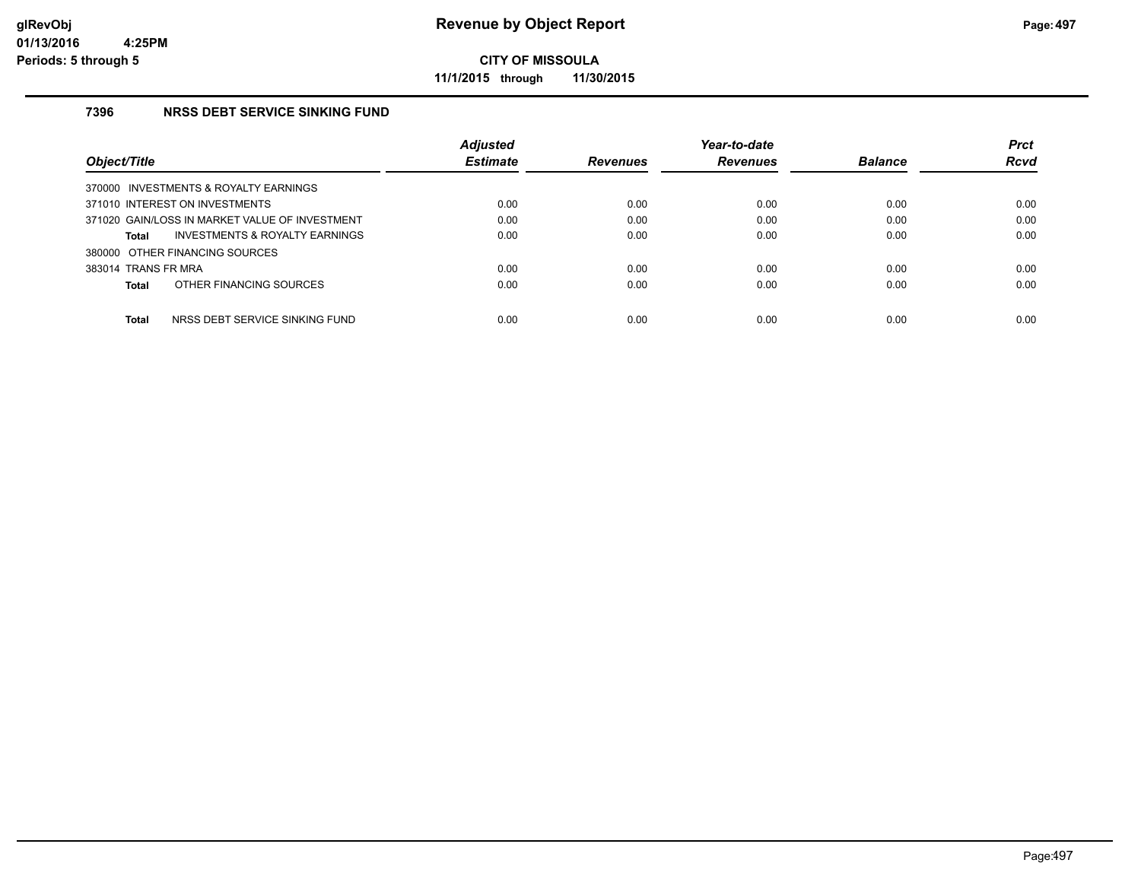**11/1/2015 through 11/30/2015**

### **7396 NRSS DEBT SERVICE SINKING FUND**

|                                                    | <b>Adjusted</b> |                 | Year-to-date    |                | <b>Prct</b> |
|----------------------------------------------------|-----------------|-----------------|-----------------|----------------|-------------|
| Object/Title                                       | <b>Estimate</b> | <b>Revenues</b> | <b>Revenues</b> | <b>Balance</b> | Rcvd        |
| 370000 INVESTMENTS & ROYALTY EARNINGS              |                 |                 |                 |                |             |
| 371010 INTEREST ON INVESTMENTS                     | 0.00            | 0.00            | 0.00            | 0.00           | 0.00        |
| 371020 GAIN/LOSS IN MARKET VALUE OF INVESTMENT     | 0.00            | 0.00            | 0.00            | 0.00           | 0.00        |
| <b>INVESTMENTS &amp; ROYALTY EARNINGS</b><br>Total | 0.00            | 0.00            | 0.00            | 0.00           | 0.00        |
| 380000 OTHER FINANCING SOURCES                     |                 |                 |                 |                |             |
| 383014 TRANS FR MRA                                | 0.00            | 0.00            | 0.00            | 0.00           | 0.00        |
| OTHER FINANCING SOURCES<br>Total                   | 0.00            | 0.00            | 0.00            | 0.00           | 0.00        |
|                                                    |                 |                 |                 |                |             |
| <b>Total</b><br>NRSS DEBT SERVICE SINKING FUND     | 0.00            | 0.00            | 0.00            | 0.00           | 0.00        |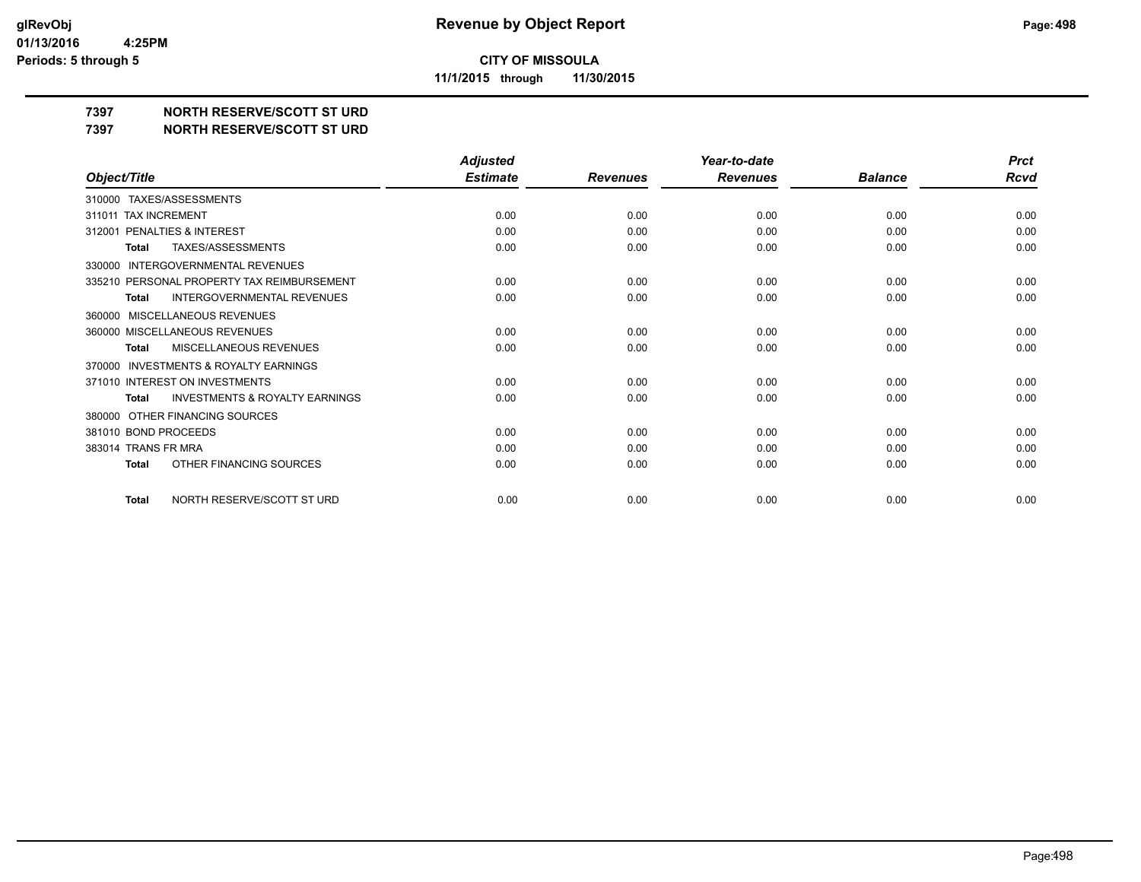**11/1/2015 through 11/30/2015**

## **7397 NORTH RESERVE/SCOTT ST URD**

**7397 NORTH RESERVE/SCOTT ST URD**

|                                                           | <b>Adjusted</b> |                 | Year-to-date    |                | <b>Prct</b> |
|-----------------------------------------------------------|-----------------|-----------------|-----------------|----------------|-------------|
| Object/Title                                              | <b>Estimate</b> | <b>Revenues</b> | <b>Revenues</b> | <b>Balance</b> | <b>Rcvd</b> |
| 310000 TAXES/ASSESSMENTS                                  |                 |                 |                 |                |             |
| 311011 TAX INCREMENT                                      | 0.00            | 0.00            | 0.00            | 0.00           | 0.00        |
| PENALTIES & INTEREST<br>312001                            | 0.00            | 0.00            | 0.00            | 0.00           | 0.00        |
| TAXES/ASSESSMENTS<br><b>Total</b>                         | 0.00            | 0.00            | 0.00            | 0.00           | 0.00        |
| INTERGOVERNMENTAL REVENUES<br>330000                      |                 |                 |                 |                |             |
| 335210 PERSONAL PROPERTY TAX REIMBURSEMENT                | 0.00            | 0.00            | 0.00            | 0.00           | 0.00        |
| <b>INTERGOVERNMENTAL REVENUES</b><br>Total                | 0.00            | 0.00            | 0.00            | 0.00           | 0.00        |
| MISCELLANEOUS REVENUES<br>360000                          |                 |                 |                 |                |             |
| 360000 MISCELLANEOUS REVENUES                             | 0.00            | 0.00            | 0.00            | 0.00           | 0.00        |
| <b>MISCELLANEOUS REVENUES</b><br><b>Total</b>             | 0.00            | 0.00            | 0.00            | 0.00           | 0.00        |
| <b>INVESTMENTS &amp; ROYALTY EARNINGS</b><br>370000       |                 |                 |                 |                |             |
| 371010 INTEREST ON INVESTMENTS                            | 0.00            | 0.00            | 0.00            | 0.00           | 0.00        |
| <b>INVESTMENTS &amp; ROYALTY EARNINGS</b><br><b>Total</b> | 0.00            | 0.00            | 0.00            | 0.00           | 0.00        |
| OTHER FINANCING SOURCES<br>380000                         |                 |                 |                 |                |             |
| 381010 BOND PROCEEDS                                      | 0.00            | 0.00            | 0.00            | 0.00           | 0.00        |
| 383014 TRANS FR MRA                                       | 0.00            | 0.00            | 0.00            | 0.00           | 0.00        |
| OTHER FINANCING SOURCES<br><b>Total</b>                   | 0.00            | 0.00            | 0.00            | 0.00           | 0.00        |
| NORTH RESERVE/SCOTT ST URD<br><b>Total</b>                | 0.00            | 0.00            | 0.00            | 0.00           | 0.00        |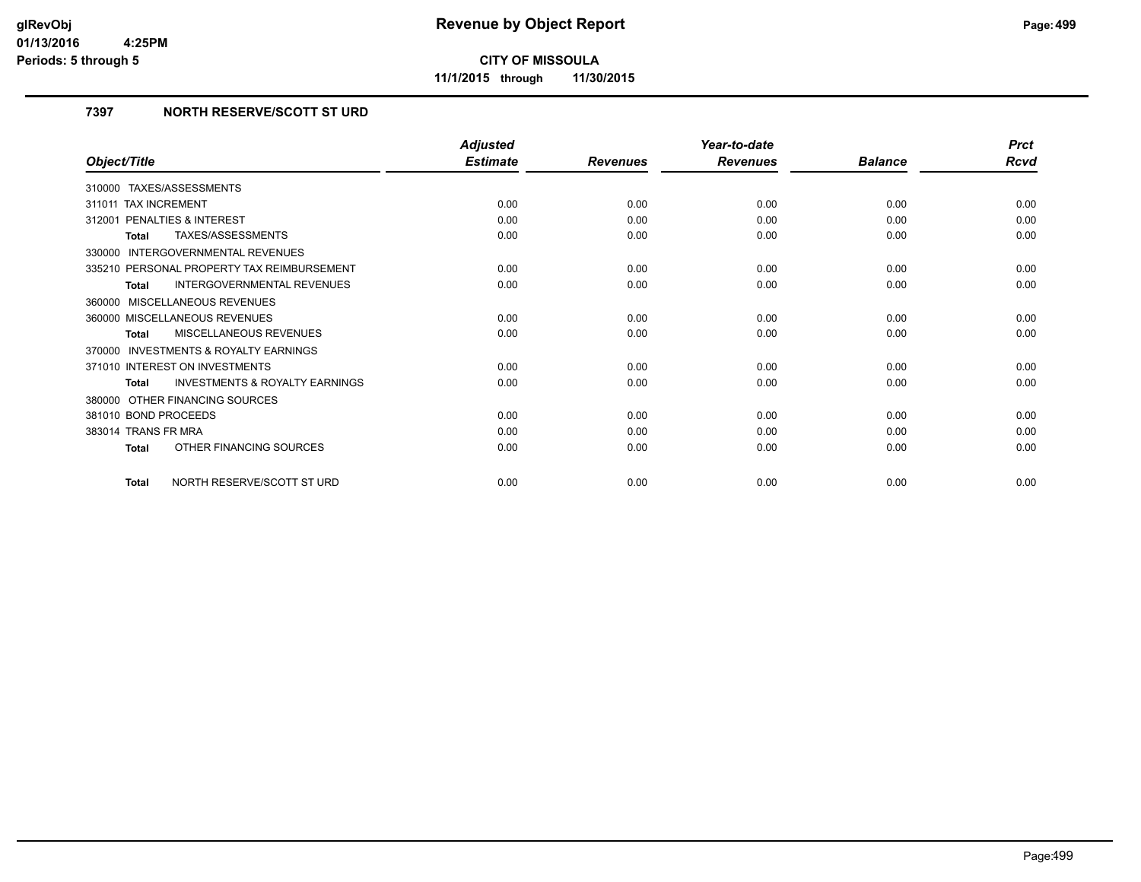**11/1/2015 through 11/30/2015**

### **7397 NORTH RESERVE/SCOTT ST URD**

|                                                           | <b>Adjusted</b> |                 | Year-to-date    |                | <b>Prct</b> |
|-----------------------------------------------------------|-----------------|-----------------|-----------------|----------------|-------------|
| Object/Title                                              | <b>Estimate</b> | <b>Revenues</b> | <b>Revenues</b> | <b>Balance</b> | Rcvd        |
| 310000 TAXES/ASSESSMENTS                                  |                 |                 |                 |                |             |
| 311011 TAX INCREMENT                                      | 0.00            | 0.00            | 0.00            | 0.00           | 0.00        |
| 312001 PENALTIES & INTEREST                               | 0.00            | 0.00            | 0.00            | 0.00           | 0.00        |
| <b>TAXES/ASSESSMENTS</b><br><b>Total</b>                  | 0.00            | 0.00            | 0.00            | 0.00           | 0.00        |
| <b>INTERGOVERNMENTAL REVENUES</b><br>330000               |                 |                 |                 |                |             |
| 335210 PERSONAL PROPERTY TAX REIMBURSEMENT                | 0.00            | 0.00            | 0.00            | 0.00           | 0.00        |
| <b>INTERGOVERNMENTAL REVENUES</b><br><b>Total</b>         | 0.00            | 0.00            | 0.00            | 0.00           | 0.00        |
| 360000 MISCELLANEOUS REVENUES                             |                 |                 |                 |                |             |
| 360000 MISCELLANEOUS REVENUES                             | 0.00            | 0.00            | 0.00            | 0.00           | 0.00        |
| MISCELLANEOUS REVENUES<br>Total                           | 0.00            | 0.00            | 0.00            | 0.00           | 0.00        |
| 370000 INVESTMENTS & ROYALTY EARNINGS                     |                 |                 |                 |                |             |
| 371010 INTEREST ON INVESTMENTS                            | 0.00            | 0.00            | 0.00            | 0.00           | 0.00        |
| <b>INVESTMENTS &amp; ROYALTY EARNINGS</b><br><b>Total</b> | 0.00            | 0.00            | 0.00            | 0.00           | 0.00        |
| 380000 OTHER FINANCING SOURCES                            |                 |                 |                 |                |             |
| 381010 BOND PROCEEDS                                      | 0.00            | 0.00            | 0.00            | 0.00           | 0.00        |
| 383014 TRANS FR MRA                                       | 0.00            | 0.00            | 0.00            | 0.00           | 0.00        |
| OTHER FINANCING SOURCES<br><b>Total</b>                   | 0.00            | 0.00            | 0.00            | 0.00           | 0.00        |
| NORTH RESERVE/SCOTT ST URD<br><b>Total</b>                | 0.00            | 0.00            | 0.00            | 0.00           | 0.00        |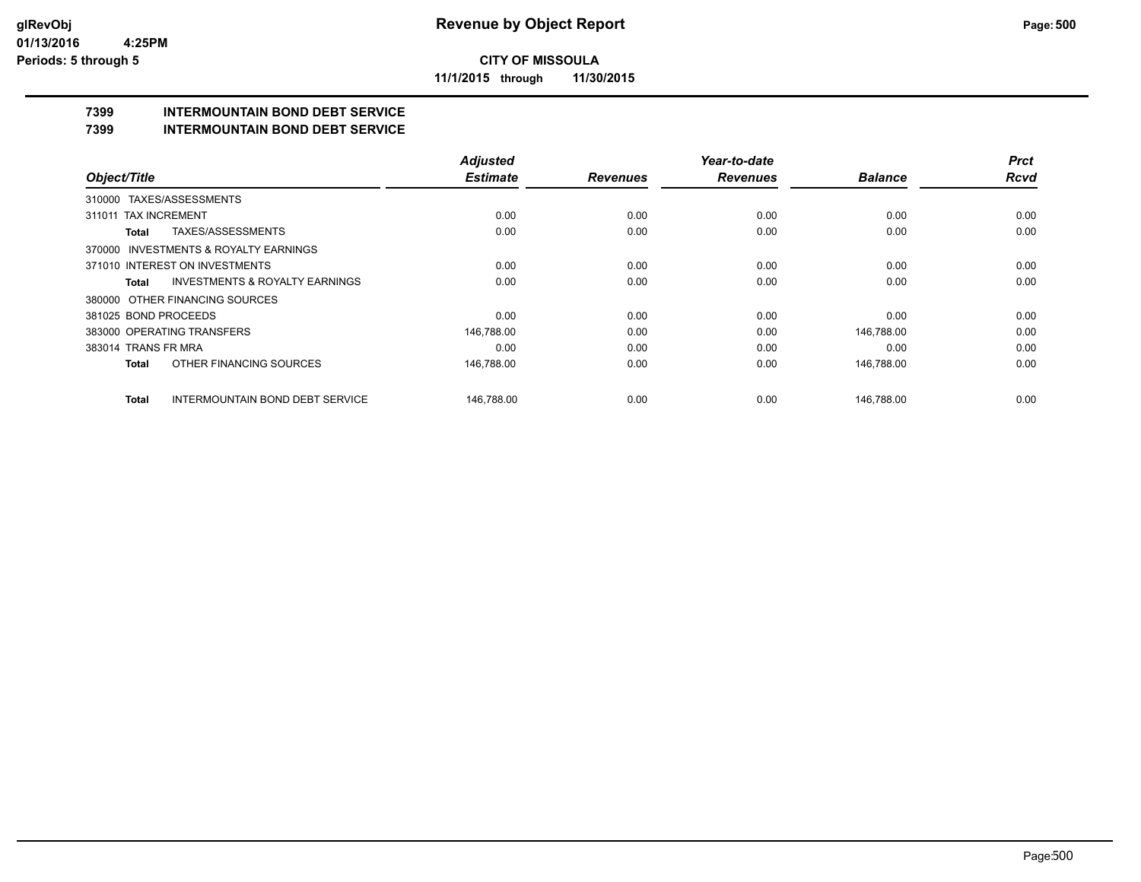**11/1/2015 through 11/30/2015**

## **7399 INTERMOUNTAIN BOND DEBT SERVICE**

**7399 INTERMOUNTAIN BOND DEBT SERVICE**

|                      |                                           | <b>Adjusted</b> |                 | Year-to-date    |                | <b>Prct</b> |
|----------------------|-------------------------------------------|-----------------|-----------------|-----------------|----------------|-------------|
|                      | Object/Title                              | <b>Estimate</b> | <b>Revenues</b> | <b>Revenues</b> | <b>Balance</b> | <b>Rcvd</b> |
|                      | 310000 TAXES/ASSESSMENTS                  |                 |                 |                 |                |             |
| 311011               | <b>TAX INCREMENT</b>                      | 0.00            | 0.00            | 0.00            | 0.00           | 0.00        |
| Total                | TAXES/ASSESSMENTS                         | 0.00            | 0.00            | 0.00            | 0.00           | 0.00        |
|                      | 370000 INVESTMENTS & ROYALTY EARNINGS     |                 |                 |                 |                |             |
|                      | 371010 INTEREST ON INVESTMENTS            | 0.00            | 0.00            | 0.00            | 0.00           | 0.00        |
| Total                | <b>INVESTMENTS &amp; ROYALTY EARNINGS</b> | 0.00            | 0.00            | 0.00            | 0.00           | 0.00        |
|                      | 380000 OTHER FINANCING SOURCES            |                 |                 |                 |                |             |
| 381025 BOND PROCEEDS |                                           | 0.00            | 0.00            | 0.00            | 0.00           | 0.00        |
|                      | 383000 OPERATING TRANSFERS                | 146,788.00      | 0.00            | 0.00            | 146,788.00     | 0.00        |
| 383014 TRANS FR MRA  |                                           | 0.00            | 0.00            | 0.00            | 0.00           | 0.00        |
| <b>Total</b>         | OTHER FINANCING SOURCES                   | 146,788.00      | 0.00            | 0.00            | 146,788.00     | 0.00        |
| <b>Total</b>         | <b>INTERMOUNTAIN BOND DEBT SERVICE</b>    | 146.788.00      | 0.00            | 0.00            | 146.788.00     | 0.00        |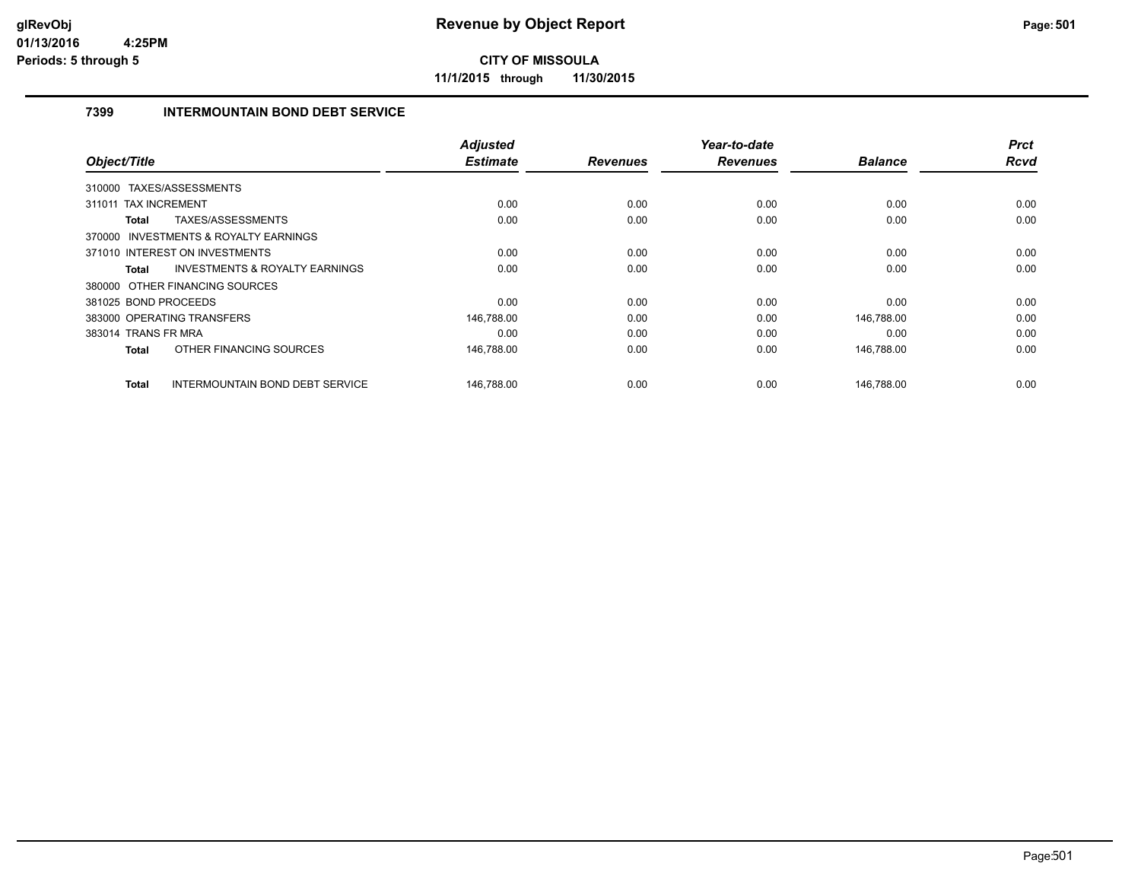**11/1/2015 through 11/30/2015**

### **7399 INTERMOUNTAIN BOND DEBT SERVICE**

| Object/Title                                       | <b>Adjusted</b><br><b>Estimate</b> | <b>Revenues</b> | Year-to-date<br><b>Revenues</b> | <b>Balance</b> | <b>Prct</b><br><b>Rcvd</b> |
|----------------------------------------------------|------------------------------------|-----------------|---------------------------------|----------------|----------------------------|
|                                                    |                                    |                 |                                 |                |                            |
| 310000 TAXES/ASSESSMENTS                           |                                    |                 |                                 |                |                            |
| <b>TAX INCREMENT</b><br>311011                     | 0.00                               | 0.00            | 0.00                            | 0.00           | 0.00                       |
| TAXES/ASSESSMENTS<br>Total                         | 0.00                               | 0.00            | 0.00                            | 0.00           | 0.00                       |
| 370000 INVESTMENTS & ROYALTY EARNINGS              |                                    |                 |                                 |                |                            |
| 371010 INTEREST ON INVESTMENTS                     | 0.00                               | 0.00            | 0.00                            | 0.00           | 0.00                       |
| <b>INVESTMENTS &amp; ROYALTY EARNINGS</b><br>Total | 0.00                               | 0.00            | 0.00                            | 0.00           | 0.00                       |
| 380000 OTHER FINANCING SOURCES                     |                                    |                 |                                 |                |                            |
| 381025 BOND PROCEEDS                               | 0.00                               | 0.00            | 0.00                            | 0.00           | 0.00                       |
| 383000 OPERATING TRANSFERS                         | 146,788.00                         | 0.00            | 0.00                            | 146,788.00     | 0.00                       |
| 383014 TRANS FR MRA                                | 0.00                               | 0.00            | 0.00                            | 0.00           | 0.00                       |
| OTHER FINANCING SOURCES<br><b>Total</b>            | 146,788.00                         | 0.00            | 0.00                            | 146,788.00     | 0.00                       |
| INTERMOUNTAIN BOND DEBT SERVICE<br><b>Total</b>    | 146,788.00                         | 0.00            | 0.00                            | 146,788.00     | 0.00                       |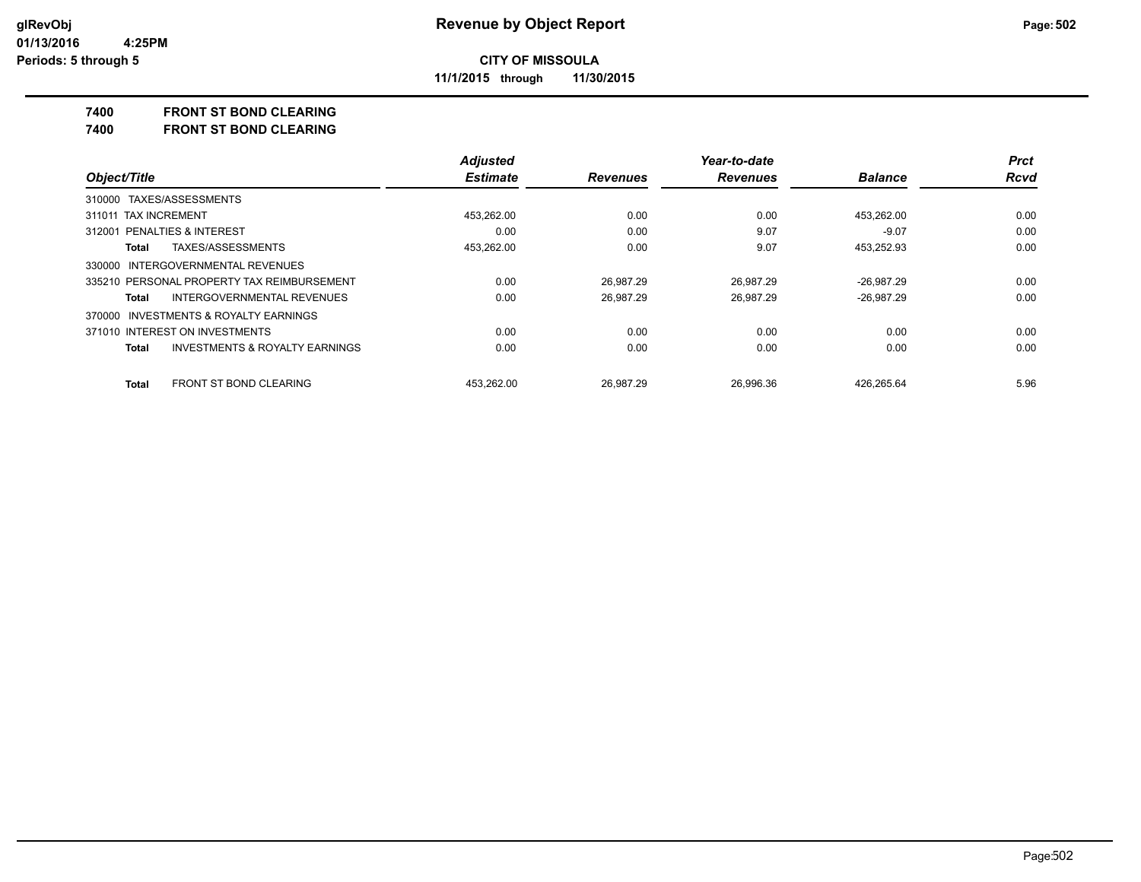**11/1/2015 through 11/30/2015**

#### **7400 FRONT ST BOND CLEARING**

**7400 FRONT ST BOND CLEARING**

|                                                           | <b>Adjusted</b> |                 | Year-to-date    |                | <b>Prct</b> |
|-----------------------------------------------------------|-----------------|-----------------|-----------------|----------------|-------------|
| Object/Title                                              | <b>Estimate</b> | <b>Revenues</b> | <b>Revenues</b> | <b>Balance</b> | Rcvd        |
| 310000 TAXES/ASSESSMENTS                                  |                 |                 |                 |                |             |
| 311011 TAX INCREMENT                                      | 453.262.00      | 0.00            | 0.00            | 453,262.00     | 0.00        |
| 312001 PENALTIES & INTEREST                               | 0.00            | 0.00            | 9.07            | $-9.07$        | 0.00        |
| TAXES/ASSESSMENTS<br>Total                                | 453.262.00      | 0.00            | 9.07            | 453,252.93     | 0.00        |
| 330000 INTERGOVERNMENTAL REVENUES                         |                 |                 |                 |                |             |
| 335210 PERSONAL PROPERTY TAX REIMBURSEMENT                | 0.00            | 26.987.29       | 26.987.29       | $-26.987.29$   | 0.00        |
| INTERGOVERNMENTAL REVENUES<br>Total                       | 0.00            | 26.987.29       | 26.987.29       | $-26.987.29$   | 0.00        |
| 370000 INVESTMENTS & ROYALTY EARNINGS                     |                 |                 |                 |                |             |
| 371010 INTEREST ON INVESTMENTS                            | 0.00            | 0.00            | 0.00            | 0.00           | 0.00        |
| <b>INVESTMENTS &amp; ROYALTY EARNINGS</b><br><b>Total</b> | 0.00            | 0.00            | 0.00            | 0.00           | 0.00        |
| <b>FRONT ST BOND CLEARING</b><br><b>Total</b>             | 453.262.00      | 26.987.29       | 26.996.36       | 426.265.64     | 5.96        |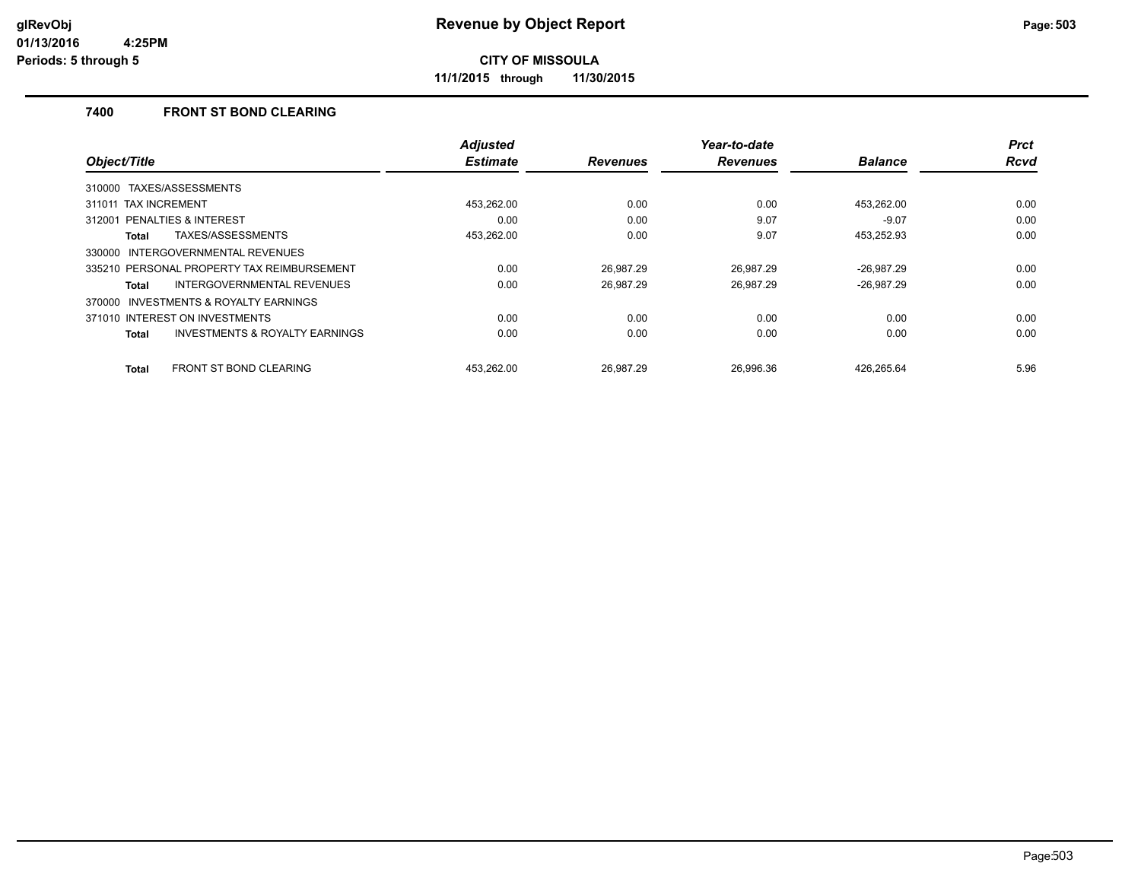**11/1/2015 through 11/30/2015**

#### **7400 FRONT ST BOND CLEARING**

|                                                    | <b>Adjusted</b> |                 | Year-to-date    |                | <b>Prct</b> |
|----------------------------------------------------|-----------------|-----------------|-----------------|----------------|-------------|
| Object/Title                                       | <b>Estimate</b> | <b>Revenues</b> | <b>Revenues</b> | <b>Balance</b> | <b>Rcvd</b> |
| TAXES/ASSESSMENTS<br>310000                        |                 |                 |                 |                |             |
| 311011 TAX INCREMENT                               | 453.262.00      | 0.00            | 0.00            | 453.262.00     | 0.00        |
| 312001 PENALTIES & INTEREST                        | 0.00            | 0.00            | 9.07            | $-9.07$        | 0.00        |
| TAXES/ASSESSMENTS<br>Total                         | 453.262.00      | 0.00            | 9.07            | 453,252.93     | 0.00        |
| INTERGOVERNMENTAL REVENUES<br>330000               |                 |                 |                 |                |             |
| 335210 PERSONAL PROPERTY TAX REIMBURSEMENT         | 0.00            | 26,987.29       | 26,987.29       | $-26,987.29$   | 0.00        |
| <b>INTERGOVERNMENTAL REVENUES</b><br>Total         | 0.00            | 26,987.29       | 26,987.29       | $-26,987.29$   | 0.00        |
| INVESTMENTS & ROYALTY EARNINGS<br>370000           |                 |                 |                 |                |             |
| 371010 INTEREST ON INVESTMENTS                     | 0.00            | 0.00            | 0.00            | 0.00           | 0.00        |
| <b>INVESTMENTS &amp; ROYALTY EARNINGS</b><br>Total | 0.00            | 0.00            | 0.00            | 0.00           | 0.00        |
| <b>FRONT ST BOND CLEARING</b><br>Total             | 453.262.00      | 26.987.29       | 26.996.36       | 426.265.64     | 5.96        |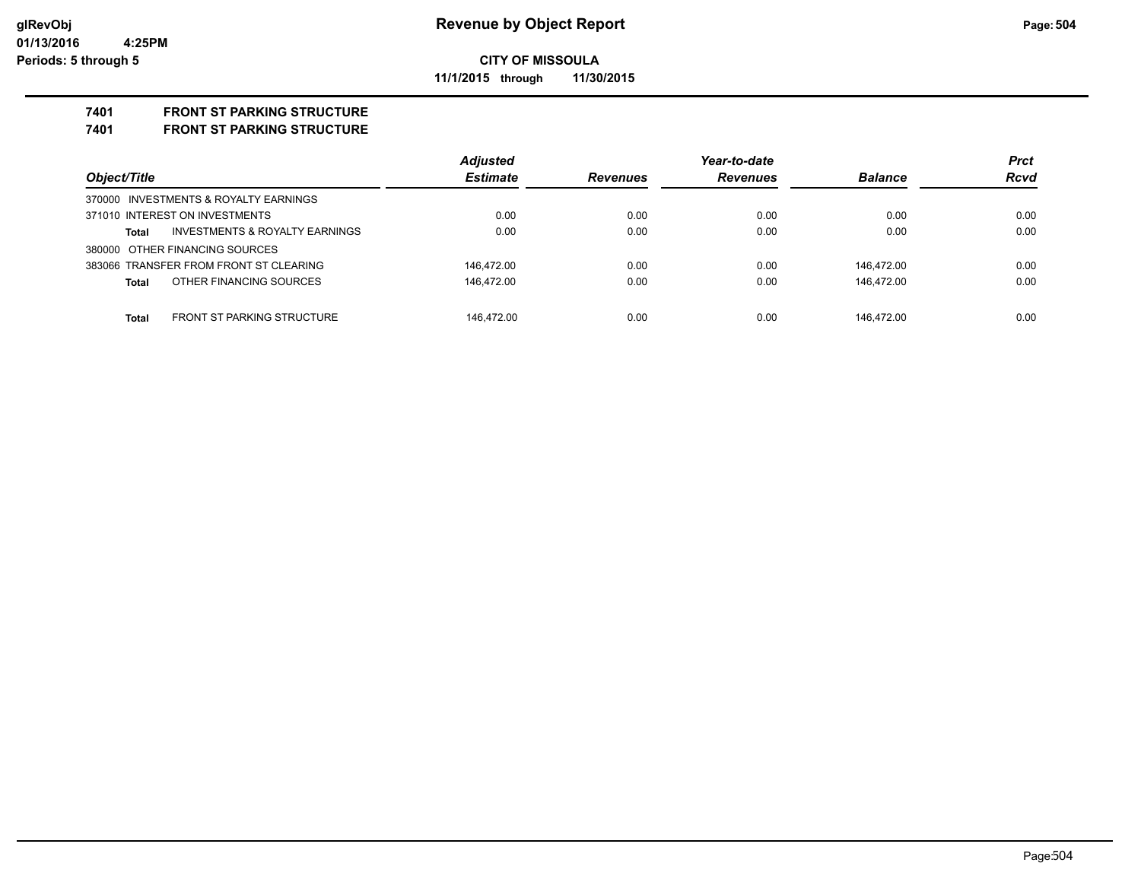**11/1/2015 through 11/30/2015**

## **7401 FRONT ST PARKING STRUCTURE**

#### **7401 FRONT ST PARKING STRUCTURE**

|                                            | <b>Adjusted</b> |                 | Year-to-date    |                | <b>Prct</b> |
|--------------------------------------------|-----------------|-----------------|-----------------|----------------|-------------|
| Object/Title                               | <b>Estimate</b> | <b>Revenues</b> | <b>Revenues</b> | <b>Balance</b> | <b>Rcvd</b> |
| 370000 INVESTMENTS & ROYALTY EARNINGS      |                 |                 |                 |                |             |
| 371010 INTEREST ON INVESTMENTS             | 0.00            | 0.00            | 0.00            | 0.00           | 0.00        |
| INVESTMENTS & ROYALTY EARNINGS<br>Total    | 0.00            | 0.00            | 0.00            | 0.00           | 0.00        |
| 380000 OTHER FINANCING SOURCES             |                 |                 |                 |                |             |
| 383066 TRANSFER FROM FRONT ST CLEARING     | 146.472.00      | 0.00            | 0.00            | 146.472.00     | 0.00        |
| OTHER FINANCING SOURCES<br><b>Total</b>    | 146.472.00      | 0.00            | 0.00            | 146.472.00     | 0.00        |
|                                            |                 |                 |                 |                |             |
| <b>FRONT ST PARKING STRUCTURE</b><br>Total | 146.472.00      | 0.00            | 0.00            | 146.472.00     | 0.00        |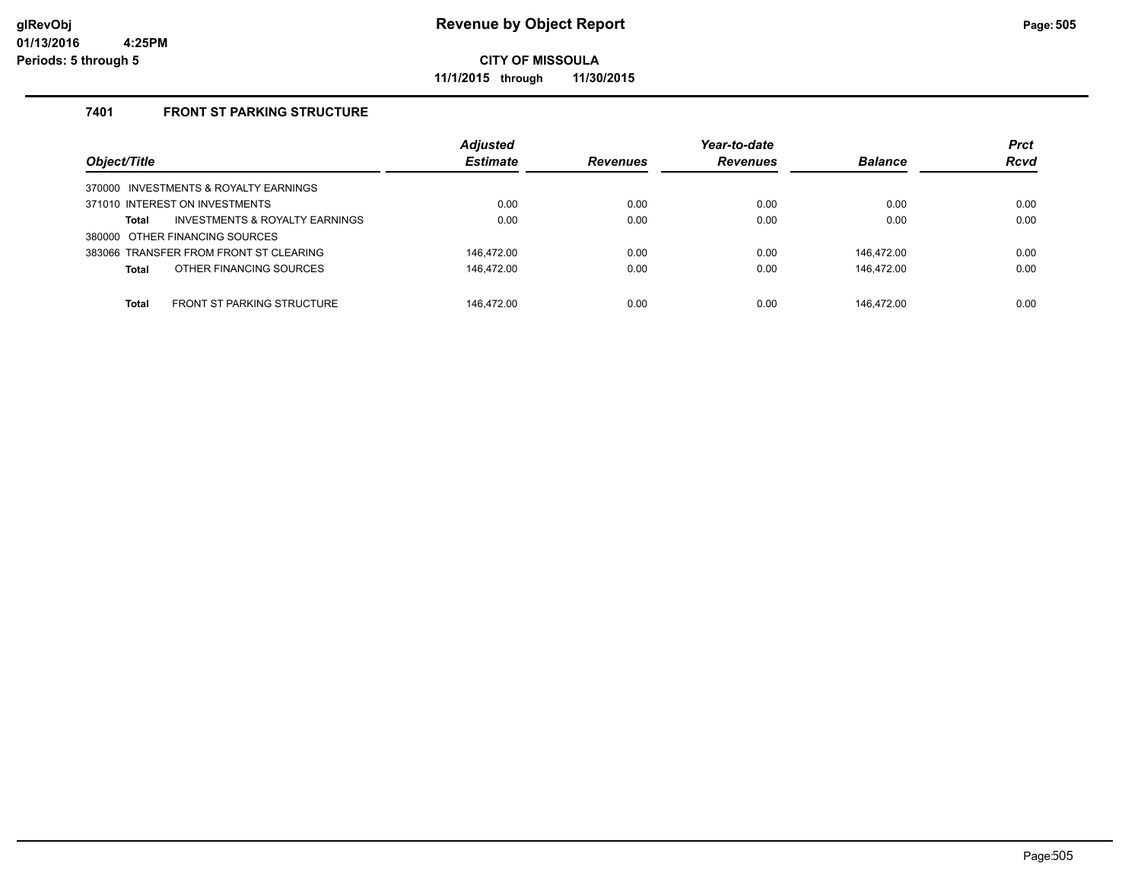**11/1/2015 through 11/30/2015**

#### **7401 FRONT ST PARKING STRUCTURE**

| Object/Title                                      | <b>Adjusted</b><br><b>Estimate</b> | <b>Revenues</b> | Year-to-date<br><b>Revenues</b> | <b>Balance</b> | <b>Prct</b><br><b>Rcvd</b> |
|---------------------------------------------------|------------------------------------|-----------------|---------------------------------|----------------|----------------------------|
| 370000 INVESTMENTS & ROYALTY EARNINGS             |                                    |                 |                                 |                |                            |
| 371010 INTEREST ON INVESTMENTS                    | 0.00                               | 0.00            | 0.00                            | 0.00           | 0.00                       |
| INVESTMENTS & ROYALTY EARNINGS<br>Total           | 0.00                               | 0.00            | 0.00                            | 0.00           | 0.00                       |
| 380000 OTHER FINANCING SOURCES                    |                                    |                 |                                 |                |                            |
| 383066 TRANSFER FROM FRONT ST CLEARING            | 146.472.00                         | 0.00            | 0.00                            | 146.472.00     | 0.00                       |
| OTHER FINANCING SOURCES<br><b>Total</b>           | 146,472.00                         | 0.00            | 0.00                            | 146.472.00     | 0.00                       |
|                                                   |                                    |                 |                                 |                |                            |
| <b>FRONT ST PARKING STRUCTURE</b><br><b>Total</b> | 146.472.00                         | 0.00            | 0.00                            | 146.472.00     | 0.00                       |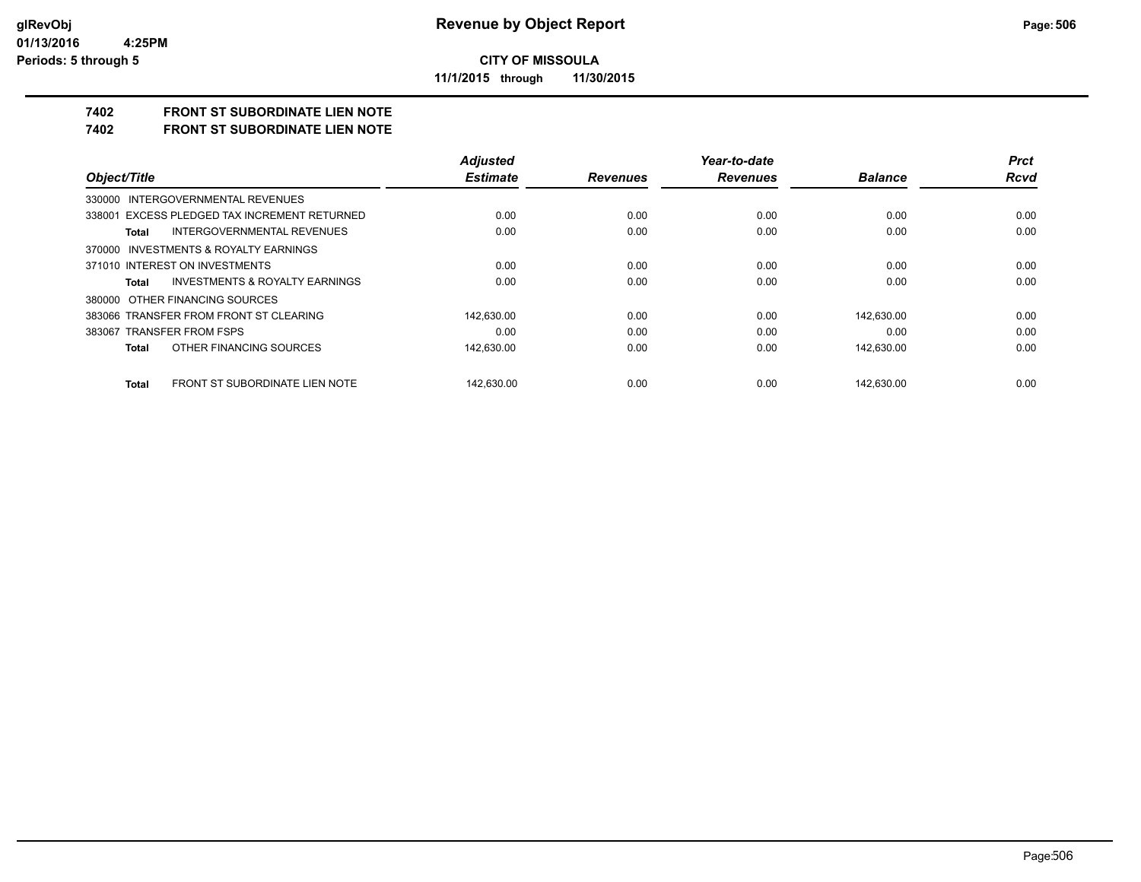**11/1/2015 through 11/30/2015**

## **7402 FRONT ST SUBORDINATE LIEN NOTE**

**7402 FRONT ST SUBORDINATE LIEN NOTE**

|                                                    | <b>Adiusted</b> |                 | Year-to-date    |                | <b>Prct</b> |
|----------------------------------------------------|-----------------|-----------------|-----------------|----------------|-------------|
| Object/Title                                       | <b>Estimate</b> | <b>Revenues</b> | <b>Revenues</b> | <b>Balance</b> | <b>Rcvd</b> |
| 330000 INTERGOVERNMENTAL REVENUES                  |                 |                 |                 |                |             |
| 338001 EXCESS PLEDGED TAX INCREMENT RETURNED       | 0.00            | 0.00            | 0.00            | 0.00           | 0.00        |
| INTERGOVERNMENTAL REVENUES<br>Total                | 0.00            | 0.00            | 0.00            | 0.00           | 0.00        |
| 370000 INVESTMENTS & ROYALTY EARNINGS              |                 |                 |                 |                |             |
| 371010 INTEREST ON INVESTMENTS                     | 0.00            | 0.00            | 0.00            | 0.00           | 0.00        |
| <b>INVESTMENTS &amp; ROYALTY EARNINGS</b><br>Total | 0.00            | 0.00            | 0.00            | 0.00           | 0.00        |
| 380000 OTHER FINANCING SOURCES                     |                 |                 |                 |                |             |
| 383066 TRANSFER FROM FRONT ST CLEARING             | 142,630.00      | 0.00            | 0.00            | 142.630.00     | 0.00        |
| 383067 TRANSFER FROM FSPS                          | 0.00            | 0.00            | 0.00            | 0.00           | 0.00        |
| OTHER FINANCING SOURCES<br>Total                   | 142,630.00      | 0.00            | 0.00            | 142,630.00     | 0.00        |
| FRONT ST SUBORDINATE LIEN NOTE<br>Total            | 142.630.00      | 0.00            | 0.00            | 142.630.00     | 0.00        |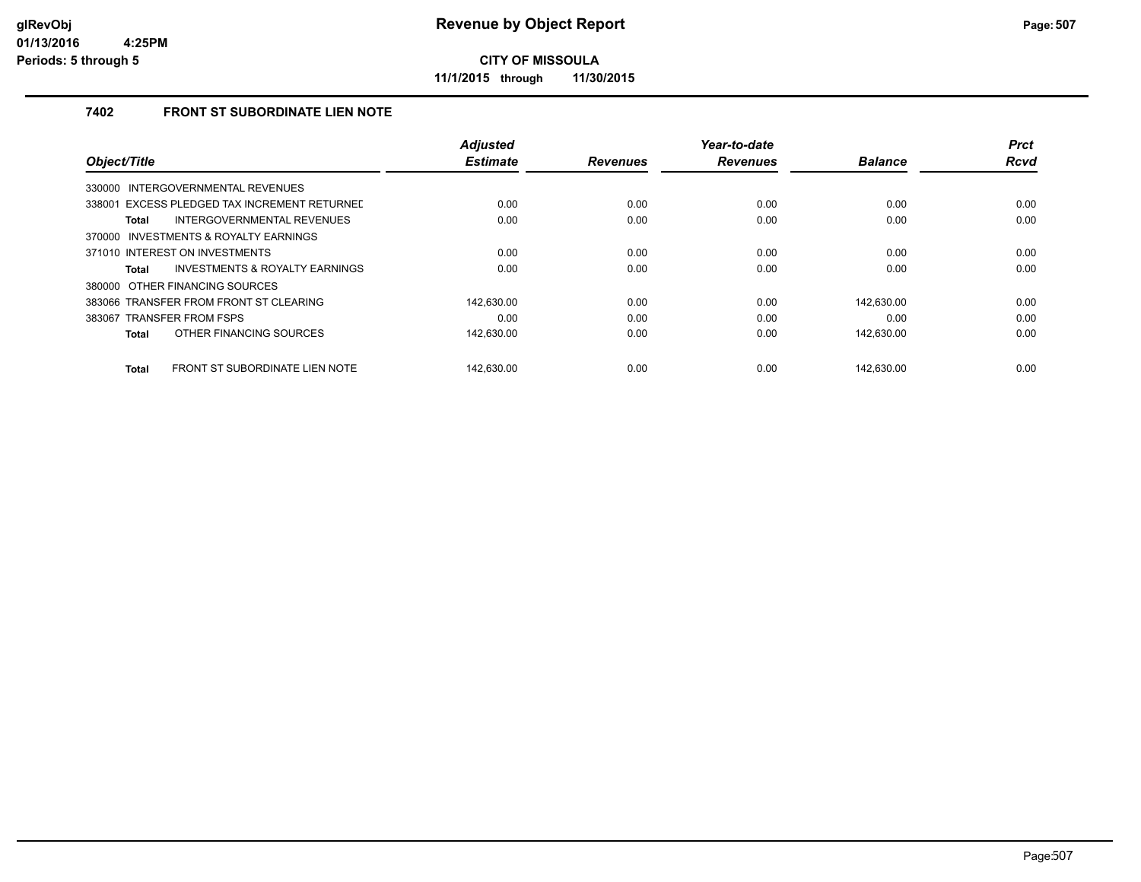**11/1/2015 through 11/30/2015**

#### **7402 FRONT ST SUBORDINATE LIEN NOTE**

|                                                        | <b>Adjusted</b> |                 | Year-to-date    |                | <b>Prct</b> |
|--------------------------------------------------------|-----------------|-----------------|-----------------|----------------|-------------|
| Object/Title                                           | <b>Estimate</b> | <b>Revenues</b> | <b>Revenues</b> | <b>Balance</b> | <b>Rcvd</b> |
| INTERGOVERNMENTAL REVENUES<br>330000                   |                 |                 |                 |                |             |
| <b>EXCESS PLEDGED TAX INCREMENT RETURNED</b><br>338001 | 0.00            | 0.00            | 0.00            | 0.00           | 0.00        |
| INTERGOVERNMENTAL REVENUES<br><b>Total</b>             | 0.00            | 0.00            | 0.00            | 0.00           | 0.00        |
| 370000 INVESTMENTS & ROYALTY EARNINGS                  |                 |                 |                 |                |             |
| 371010 INTEREST ON INVESTMENTS                         | 0.00            | 0.00            | 0.00            | 0.00           | 0.00        |
| INVESTMENTS & ROYALTY EARNINGS<br><b>Total</b>         | 0.00            | 0.00            | 0.00            | 0.00           | 0.00        |
| 380000 OTHER FINANCING SOURCES                         |                 |                 |                 |                |             |
| 383066 TRANSFER FROM FRONT ST CLEARING                 | 142.630.00      | 0.00            | 0.00            | 142.630.00     | 0.00        |
| 383067 TRANSFER FROM FSPS                              | 0.00            | 0.00            | 0.00            | 0.00           | 0.00        |
| OTHER FINANCING SOURCES<br><b>Total</b>                | 142,630.00      | 0.00            | 0.00            | 142,630.00     | 0.00        |
|                                                        |                 |                 |                 |                |             |
| FRONT ST SUBORDINATE LIEN NOTE<br><b>Total</b>         | 142.630.00      | 0.00            | 0.00            | 142.630.00     | 0.00        |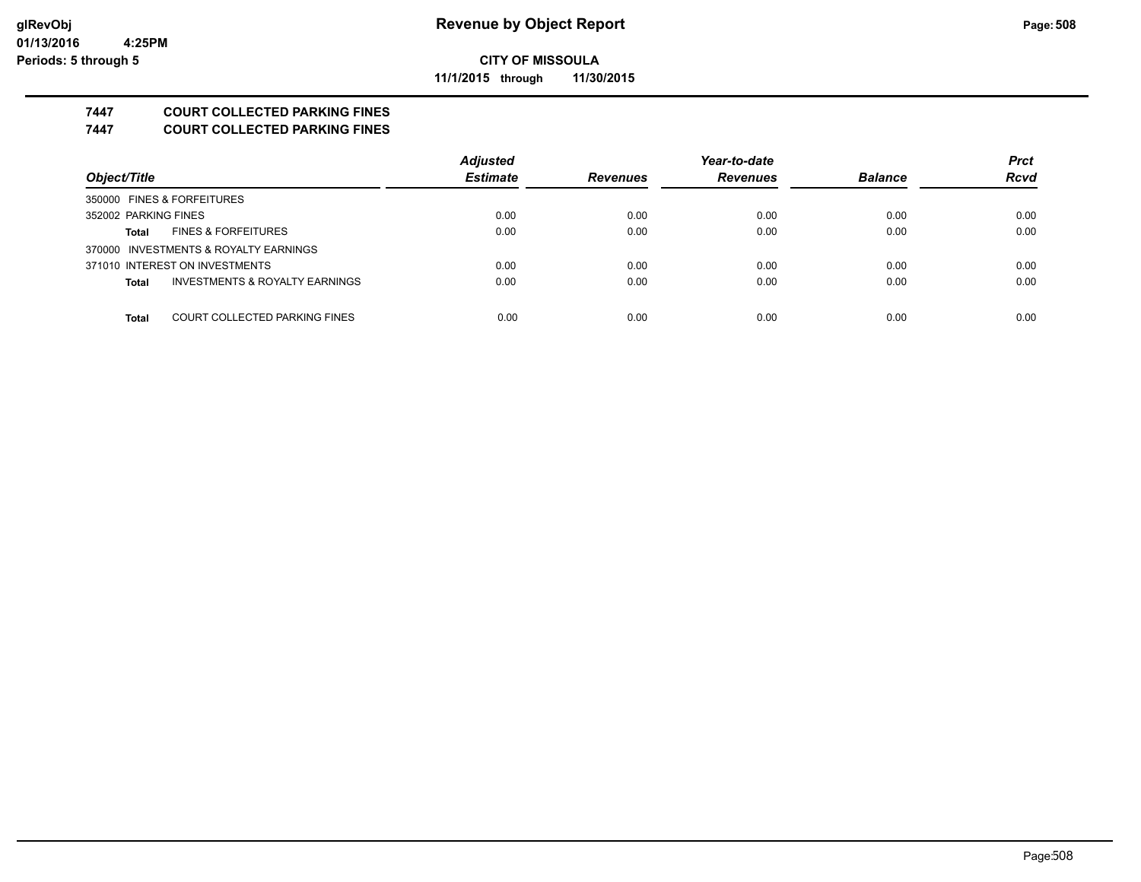**11/1/2015 through 11/30/2015**

## **7447 COURT COLLECTED PARKING FINES**

**7447 COURT COLLECTED PARKING FINES**

|                                         | <b>Adjusted</b> |                 | Year-to-date    |                | <b>Prct</b> |
|-----------------------------------------|-----------------|-----------------|-----------------|----------------|-------------|
| Object/Title                            | <b>Estimate</b> | <b>Revenues</b> | <b>Revenues</b> | <b>Balance</b> | <b>Rcvd</b> |
| 350000 FINES & FORFEITURES              |                 |                 |                 |                |             |
| 352002 PARKING FINES                    | 0.00            | 0.00            | 0.00            | 0.00           | 0.00        |
| <b>FINES &amp; FORFEITURES</b><br>Total | 0.00            | 0.00            | 0.00            | 0.00           | 0.00        |
| 370000 INVESTMENTS & ROYALTY EARNINGS   |                 |                 |                 |                |             |
| 371010 INTEREST ON INVESTMENTS          | 0.00            | 0.00            | 0.00            | 0.00           | 0.00        |
| INVESTMENTS & ROYALTY EARNINGS<br>Total | 0.00            | 0.00            | 0.00            | 0.00           | 0.00        |
|                                         |                 |                 |                 |                |             |
| COURT COLLECTED PARKING FINES<br>Total  | 0.00            | 0.00            | 0.00            | 0.00           | 0.00        |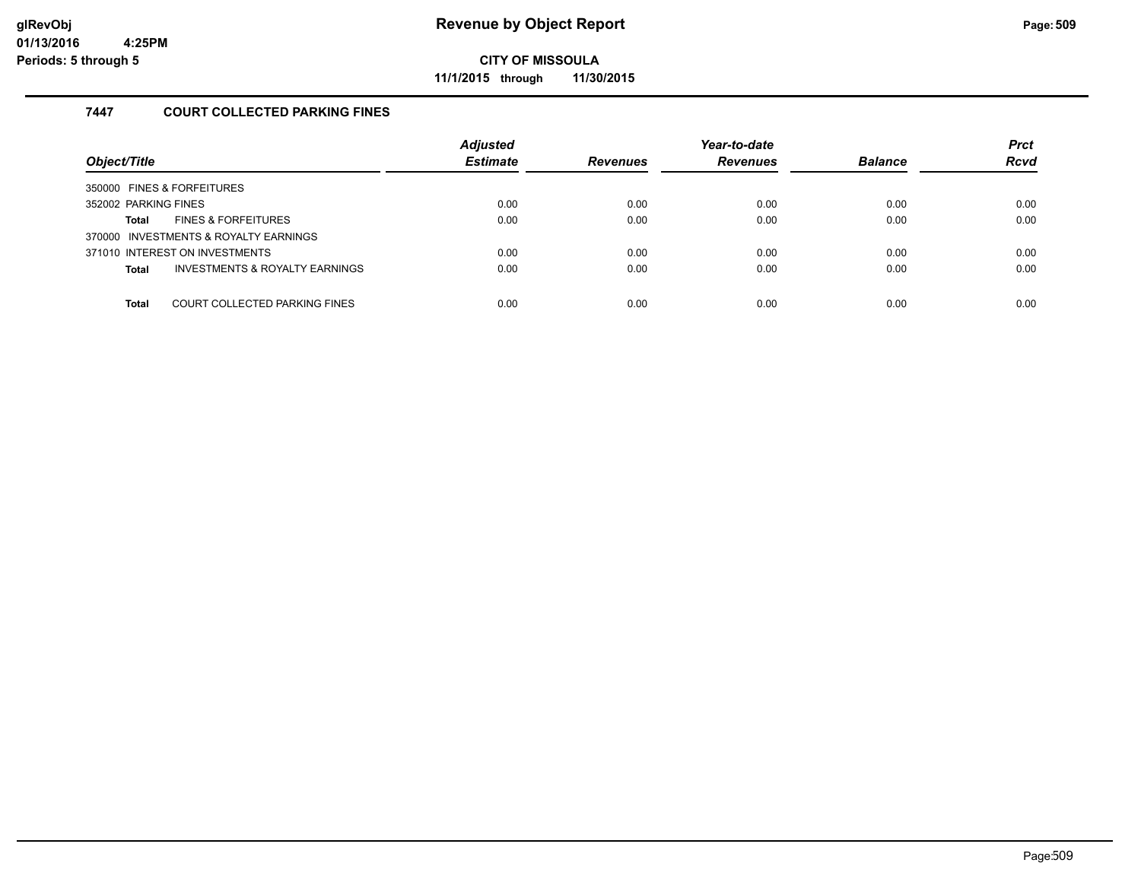**11/1/2015 through 11/30/2015**

#### **7447 COURT COLLECTED PARKING FINES**

| Object/Title                                   | <b>Adjusted</b><br><b>Estimate</b> | <b>Revenues</b> | Year-to-date<br><b>Revenues</b> | <b>Balance</b> | <b>Prct</b><br><b>Rcvd</b> |
|------------------------------------------------|------------------------------------|-----------------|---------------------------------|----------------|----------------------------|
| 350000 FINES & FORFEITURES                     |                                    |                 |                                 |                |                            |
| 352002 PARKING FINES                           | 0.00                               | 0.00            | 0.00                            | 0.00           | 0.00                       |
| <b>FINES &amp; FORFEITURES</b><br>Total        | 0.00                               | 0.00            | 0.00                            | 0.00           | 0.00                       |
| 370000 INVESTMENTS & ROYALTY EARNINGS          |                                    |                 |                                 |                |                            |
| 371010 INTEREST ON INVESTMENTS                 | 0.00                               | 0.00            | 0.00                            | 0.00           | 0.00                       |
| INVESTMENTS & ROYALTY EARNINGS<br><b>Total</b> | 0.00                               | 0.00            | 0.00                            | 0.00           | 0.00                       |
|                                                |                                    |                 |                                 |                |                            |
| COURT COLLECTED PARKING FINES<br><b>Total</b>  | 0.00                               | 0.00            | 0.00                            | 0.00           | 0.00                       |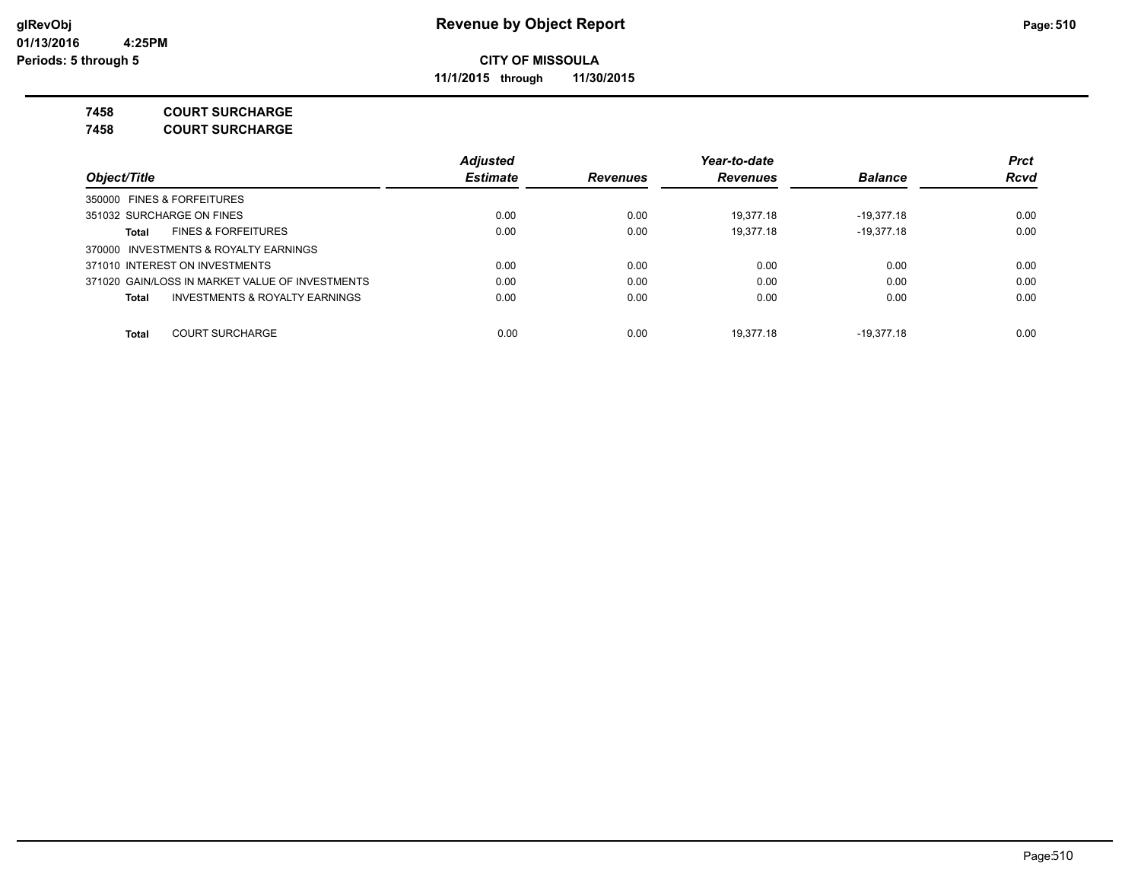**11/1/2015 through 11/30/2015**

**7458 COURT SURCHARGE**

**7458 COURT SURCHARGE**

|                                                           | <b>Adjusted</b> |                 | Year-to-date    |                | <b>Prct</b> |
|-----------------------------------------------------------|-----------------|-----------------|-----------------|----------------|-------------|
| Object/Title                                              | <b>Estimate</b> | <b>Revenues</b> | <b>Revenues</b> | <b>Balance</b> | <b>Rcvd</b> |
| 350000 FINES & FORFEITURES                                |                 |                 |                 |                |             |
| 351032 SURCHARGE ON FINES                                 | 0.00            | 0.00            | 19.377.18       | $-19.377.18$   | 0.00        |
| <b>FINES &amp; FORFEITURES</b><br>Total                   | 0.00            | 0.00            | 19.377.18       | $-19.377.18$   | 0.00        |
| 370000 INVESTMENTS & ROYALTY EARNINGS                     |                 |                 |                 |                |             |
| 371010 INTEREST ON INVESTMENTS                            | 0.00            | 0.00            | 0.00            | 0.00           | 0.00        |
| 371020 GAIN/LOSS IN MARKET VALUE OF INVESTMENTS           | 0.00            | 0.00            | 0.00            | 0.00           | 0.00        |
| <b>INVESTMENTS &amp; ROYALTY EARNINGS</b><br><b>Total</b> | 0.00            | 0.00            | 0.00            | 0.00           | 0.00        |
|                                                           |                 |                 |                 |                |             |
| <b>COURT SURCHARGE</b><br><b>Total</b>                    | 0.00            | 0.00            | 19.377.18       | $-19.377.18$   | 0.00        |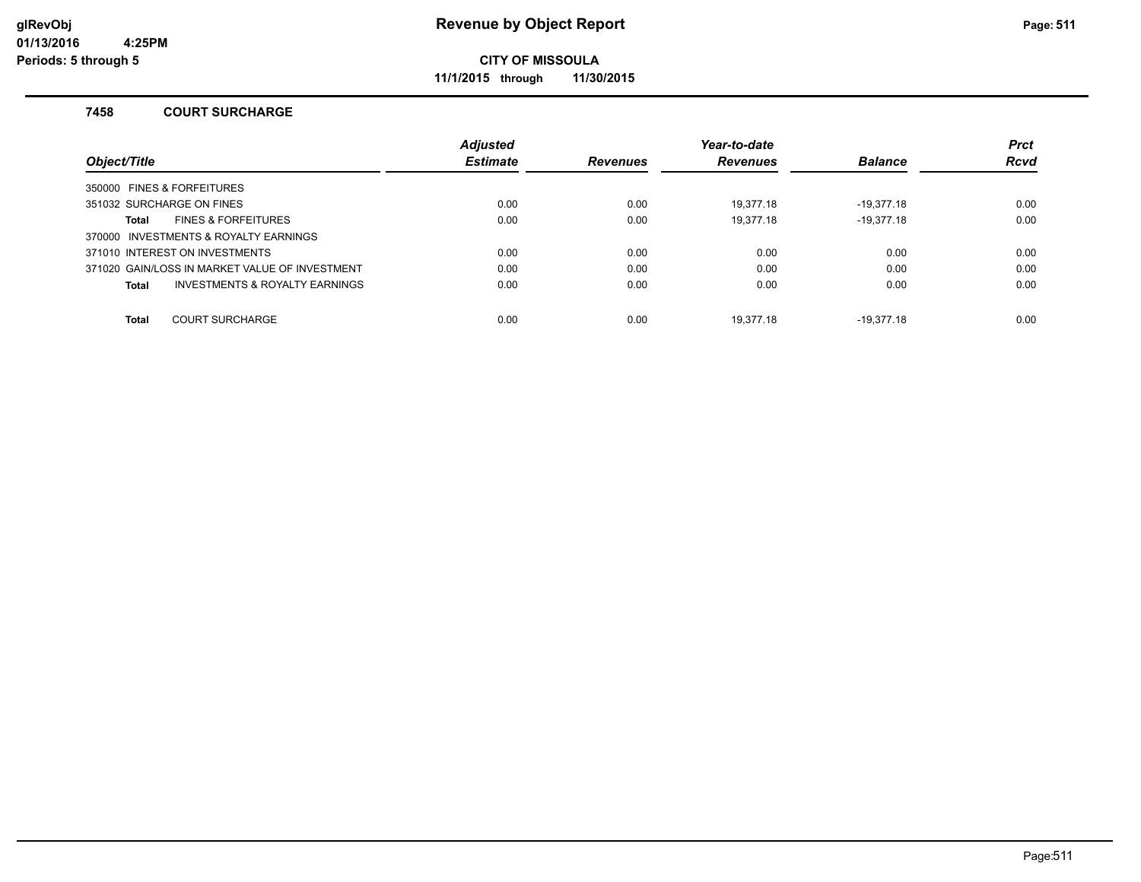**11/1/2015 through 11/30/2015**

#### **7458 COURT SURCHARGE**

|                                                | <b>Adiusted</b> |                 | Year-to-date    |                | <b>Prct</b> |
|------------------------------------------------|-----------------|-----------------|-----------------|----------------|-------------|
| Object/Title                                   | <b>Estimate</b> | <b>Revenues</b> | <b>Revenues</b> | <b>Balance</b> | <b>Rcvd</b> |
| 350000 FINES & FORFEITURES                     |                 |                 |                 |                |             |
| 351032 SURCHARGE ON FINES                      | 0.00            | 0.00            | 19.377.18       | $-19.377.18$   | 0.00        |
| <b>FINES &amp; FORFEITURES</b><br><b>Total</b> | 0.00            | 0.00            | 19.377.18       | $-19.377.18$   | 0.00        |
| 370000 INVESTMENTS & ROYALTY EARNINGS          |                 |                 |                 |                |             |
| 371010 INTEREST ON INVESTMENTS                 | 0.00            | 0.00            | 0.00            | 0.00           | 0.00        |
| 371020 GAIN/LOSS IN MARKET VALUE OF INVESTMENT | 0.00            | 0.00            | 0.00            | 0.00           | 0.00        |
| INVESTMENTS & ROYALTY EARNINGS<br><b>Total</b> | 0.00            | 0.00            | 0.00            | 0.00           | 0.00        |
|                                                |                 |                 |                 |                |             |
| <b>COURT SURCHARGE</b><br><b>Total</b>         | 0.00            | 0.00            | 19.377.18       | $-19.377.18$   | 0.00        |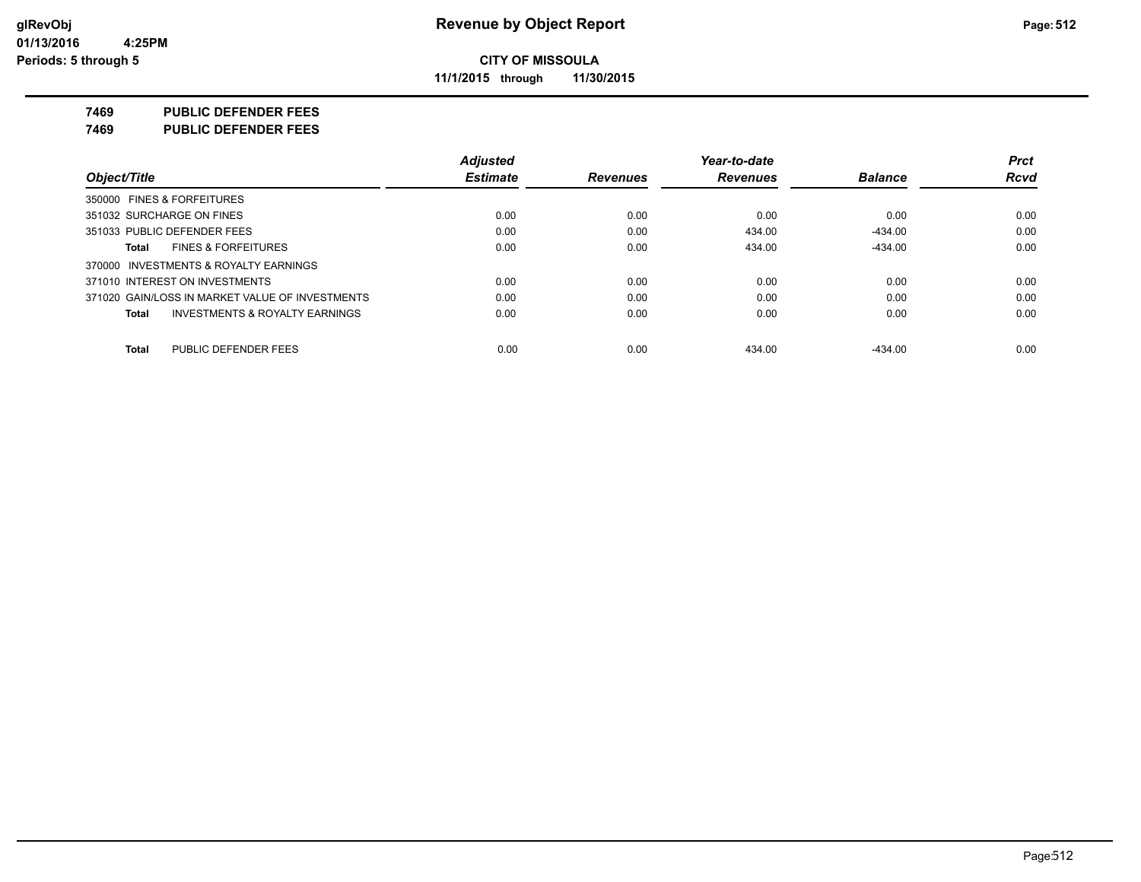**11/1/2015 through 11/30/2015**

**7469 PUBLIC DEFENDER FEES**

**7469 PUBLIC DEFENDER FEES**

|                                                    | <b>Adjusted</b> |                 | Year-to-date    |                | <b>Prct</b> |
|----------------------------------------------------|-----------------|-----------------|-----------------|----------------|-------------|
| Object/Title                                       | <b>Estimate</b> | <b>Revenues</b> | <b>Revenues</b> | <b>Balance</b> | <b>Rcvd</b> |
| 350000 FINES & FORFEITURES                         |                 |                 |                 |                |             |
| 351032 SURCHARGE ON FINES                          | 0.00            | 0.00            | 0.00            | 0.00           | 0.00        |
| 351033 PUBLIC DEFENDER FEES                        | 0.00            | 0.00            | 434.00          | $-434.00$      | 0.00        |
| <b>FINES &amp; FORFEITURES</b><br>Total            | 0.00            | 0.00            | 434.00          | $-434.00$      | 0.00        |
| 370000 INVESTMENTS & ROYALTY EARNINGS              |                 |                 |                 |                |             |
| 371010 INTEREST ON INVESTMENTS                     | 0.00            | 0.00            | 0.00            | 0.00           | 0.00        |
| 371020 GAIN/LOSS IN MARKET VALUE OF INVESTMENTS    | 0.00            | 0.00            | 0.00            | 0.00           | 0.00        |
| <b>INVESTMENTS &amp; ROYALTY EARNINGS</b><br>Total | 0.00            | 0.00            | 0.00            | 0.00           | 0.00        |
| PUBLIC DEFENDER FEES<br>Total                      | 0.00            | 0.00            | 434.00          | -434.00        | 0.00        |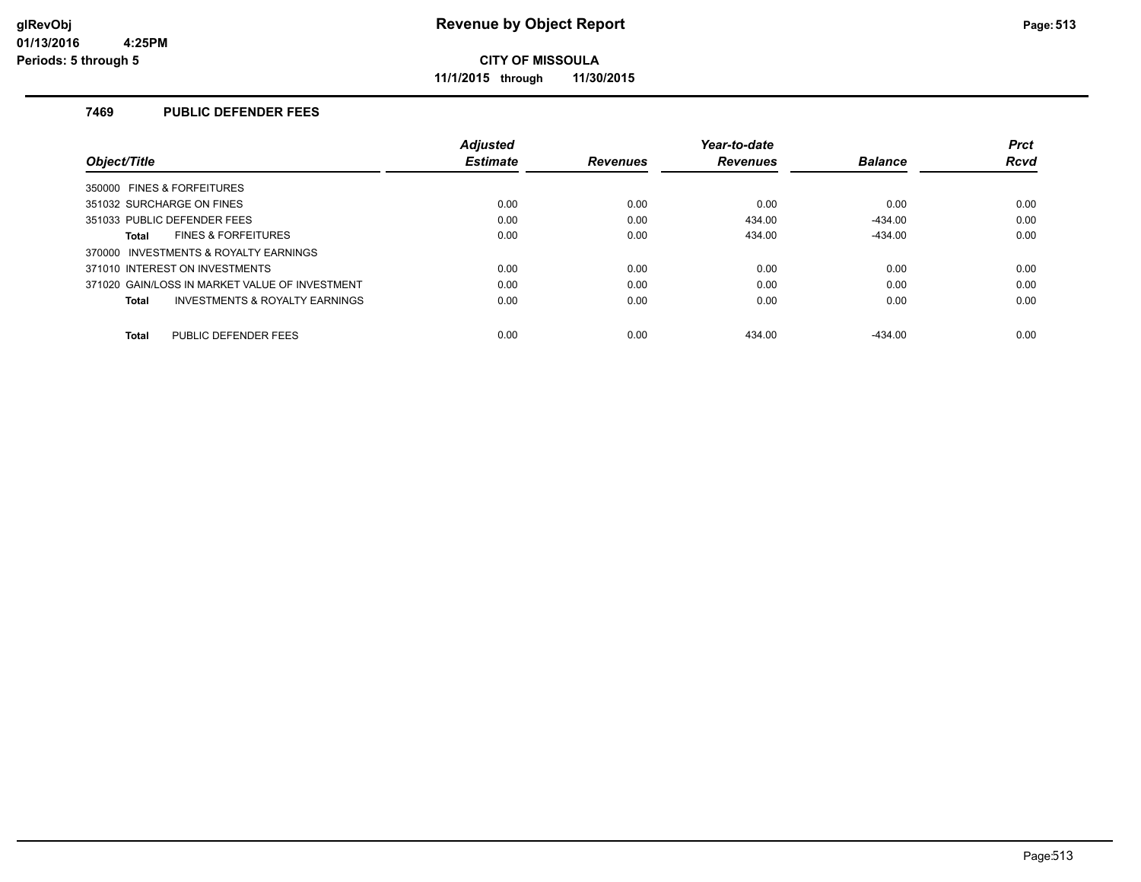**11/1/2015 through 11/30/2015**

#### **7469 PUBLIC DEFENDER FEES**

|                                                | <b>Adjusted</b> |                 | Year-to-date    |                | <b>Prct</b> |
|------------------------------------------------|-----------------|-----------------|-----------------|----------------|-------------|
| Object/Title                                   | <b>Estimate</b> | <b>Revenues</b> | <b>Revenues</b> | <b>Balance</b> | Rcvd        |
| 350000 FINES & FORFEITURES                     |                 |                 |                 |                |             |
| 351032 SURCHARGE ON FINES                      | 0.00            | 0.00            | 0.00            | 0.00           | 0.00        |
| 351033 PUBLIC DEFENDER FEES                    | 0.00            | 0.00            | 434.00          | $-434.00$      | 0.00        |
| <b>FINES &amp; FORFEITURES</b><br>Total        | 0.00            | 0.00            | 434.00          | $-434.00$      | 0.00        |
| 370000 INVESTMENTS & ROYALTY EARNINGS          |                 |                 |                 |                |             |
| 371010 INTEREST ON INVESTMENTS                 | 0.00            | 0.00            | 0.00            | 0.00           | 0.00        |
| 371020 GAIN/LOSS IN MARKET VALUE OF INVESTMENT | 0.00            | 0.00            | 0.00            | 0.00           | 0.00        |
| INVESTMENTS & ROYALTY EARNINGS<br>Total        | 0.00            | 0.00            | 0.00            | 0.00           | 0.00        |
|                                                |                 |                 |                 |                |             |
| PUBLIC DEFENDER FEES<br>Total                  | 0.00            | 0.00            | 434.00          | $-434.00$      | 0.00        |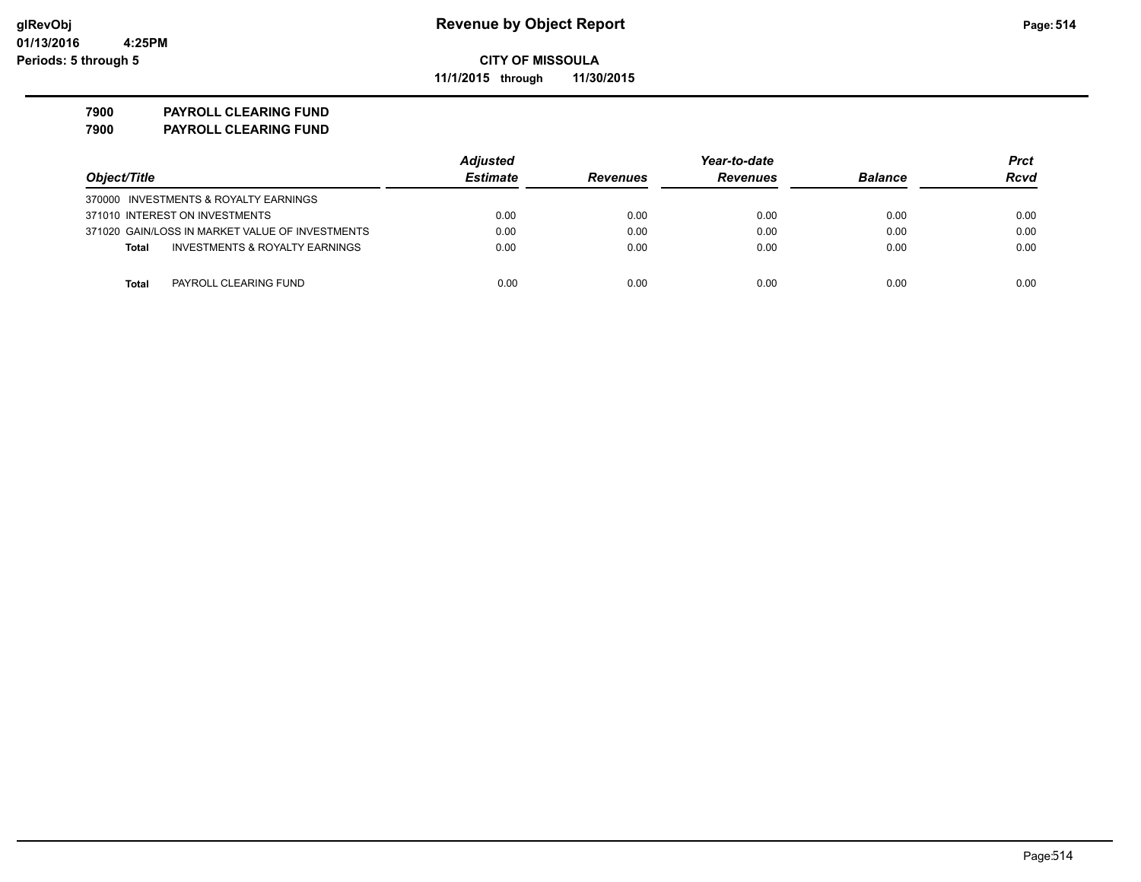**11/1/2015 through 11/30/2015**

## **7900 PAYROLL CLEARING FUND**

**7900 PAYROLL CLEARING FUND**

|                                                 | <b>Adjusted</b> | Year-to-date    |                 |                | <b>Prct</b> |
|-------------------------------------------------|-----------------|-----------------|-----------------|----------------|-------------|
| Object/Title                                    | <b>Estimate</b> | <b>Revenues</b> | <b>Revenues</b> | <b>Balance</b> | <b>Rcvd</b> |
| 370000 INVESTMENTS & ROYALTY EARNINGS           |                 |                 |                 |                |             |
| 371010 INTEREST ON INVESTMENTS                  | 0.00            | 0.00            | 0.00            | 0.00           | 0.00        |
| 371020 GAIN/LOSS IN MARKET VALUE OF INVESTMENTS | 0.00            | 0.00            | 0.00            | 0.00           | 0.00        |
| INVESTMENTS & ROYALTY EARNINGS<br><b>Total</b>  | 0.00            | 0.00            | 0.00            | 0.00           | 0.00        |
|                                                 |                 |                 |                 |                |             |
| PAYROLL CLEARING FUND<br>Total                  | 0.00            | 0.00            | 0.00            | 0.00           | 0.00        |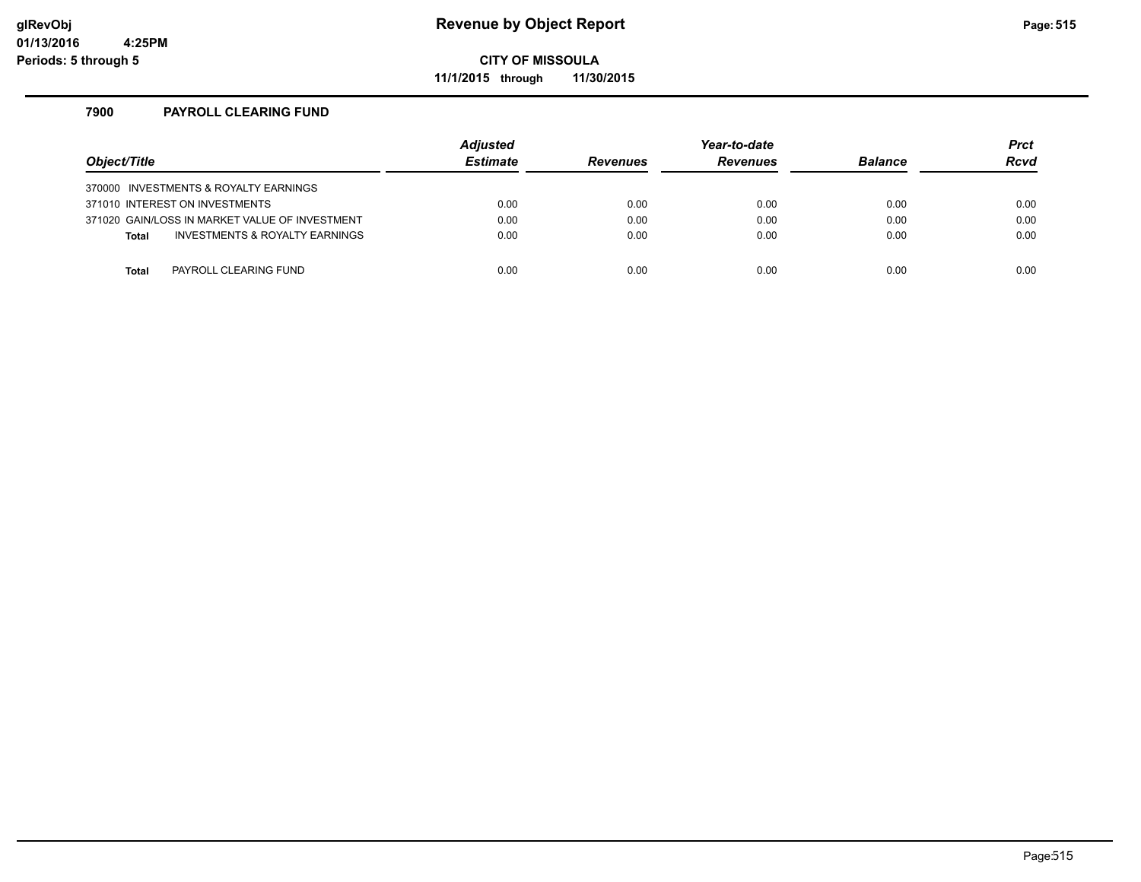#### **glRevObj Revenue by Object Report Page:515**

**CITY OF MISSOULA**

**11/1/2015 through 11/30/2015**

#### **7900 PAYROLL CLEARING FUND**

| Object/Title |                                                | <b>Adjusted</b><br><b>Estimate</b> | <b>Revenues</b> | Year-to-date<br><b>Revenues</b> | <b>Balance</b> | <b>Prct</b><br>Rcvd |
|--------------|------------------------------------------------|------------------------------------|-----------------|---------------------------------|----------------|---------------------|
|              | 370000 INVESTMENTS & ROYALTY EARNINGS          |                                    |                 |                                 |                |                     |
|              | 371010 INTEREST ON INVESTMENTS                 | 0.00                               | 0.00            | 0.00                            | 0.00           | 0.00                |
|              | 371020 GAIN/LOSS IN MARKET VALUE OF INVESTMENT | 0.00                               | 0.00            | 0.00                            | 0.00           | 0.00                |
| <b>Total</b> | INVESTMENTS & ROYALTY EARNINGS                 | 0.00                               | 0.00            | 0.00                            | 0.00           | 0.00                |
|              |                                                |                                    |                 |                                 |                |                     |
| <b>Total</b> | PAYROLL CLEARING FUND                          | 0.00                               | 0.00            | 0.00                            | 0.00           | 0.00                |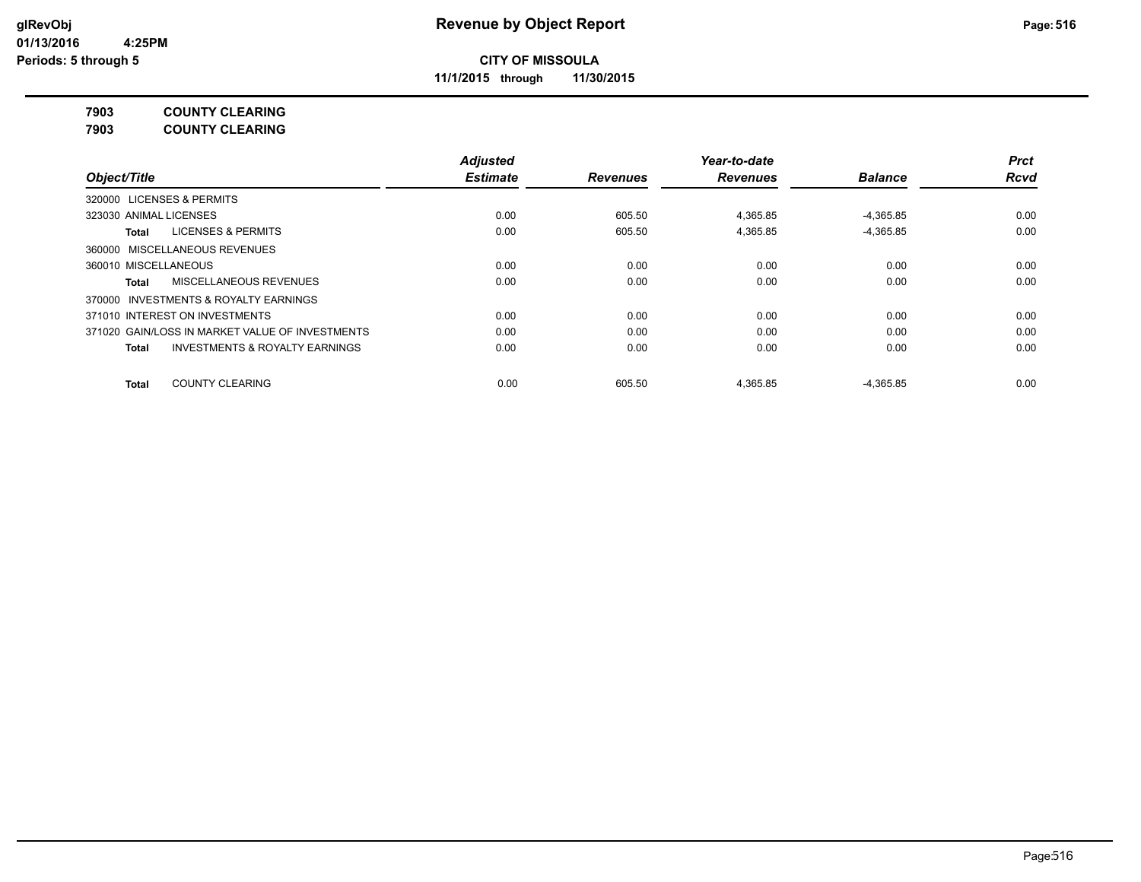**11/1/2015 through 11/30/2015**

**7903 COUNTY CLEARING**

**7903 COUNTY CLEARING**

|                                                           | <b>Adjusted</b> |                 | Year-to-date    |                | <b>Prct</b> |
|-----------------------------------------------------------|-----------------|-----------------|-----------------|----------------|-------------|
| Object/Title                                              | <b>Estimate</b> | <b>Revenues</b> | <b>Revenues</b> | <b>Balance</b> | <b>Rcvd</b> |
| <b>LICENSES &amp; PERMITS</b><br>320000                   |                 |                 |                 |                |             |
| 323030 ANIMAL LICENSES                                    | 0.00            | 605.50          | 4.365.85        | $-4.365.85$    | 0.00        |
| LICENSES & PERMITS<br>Total                               | 0.00            | 605.50          | 4,365.85        | $-4,365.85$    | 0.00        |
| 360000 MISCELLANEOUS REVENUES                             |                 |                 |                 |                |             |
| 360010 MISCELLANEOUS                                      | 0.00            | 0.00            | 0.00            | 0.00           | 0.00        |
| MISCELLANEOUS REVENUES<br>Total                           | 0.00            | 0.00            | 0.00            | 0.00           | 0.00        |
| INVESTMENTS & ROYALTY EARNINGS<br>370000                  |                 |                 |                 |                |             |
| 371010 INTEREST ON INVESTMENTS                            | 0.00            | 0.00            | 0.00            | 0.00           | 0.00        |
| 371020 GAIN/LOSS IN MARKET VALUE OF INVESTMENTS           | 0.00            | 0.00            | 0.00            | 0.00           | 0.00        |
| <b>INVESTMENTS &amp; ROYALTY EARNINGS</b><br><b>Total</b> | 0.00            | 0.00            | 0.00            | 0.00           | 0.00        |
| <b>COUNTY CLEARING</b><br><b>Total</b>                    | 0.00            | 605.50          | 4.365.85        | $-4,365.85$    | 0.00        |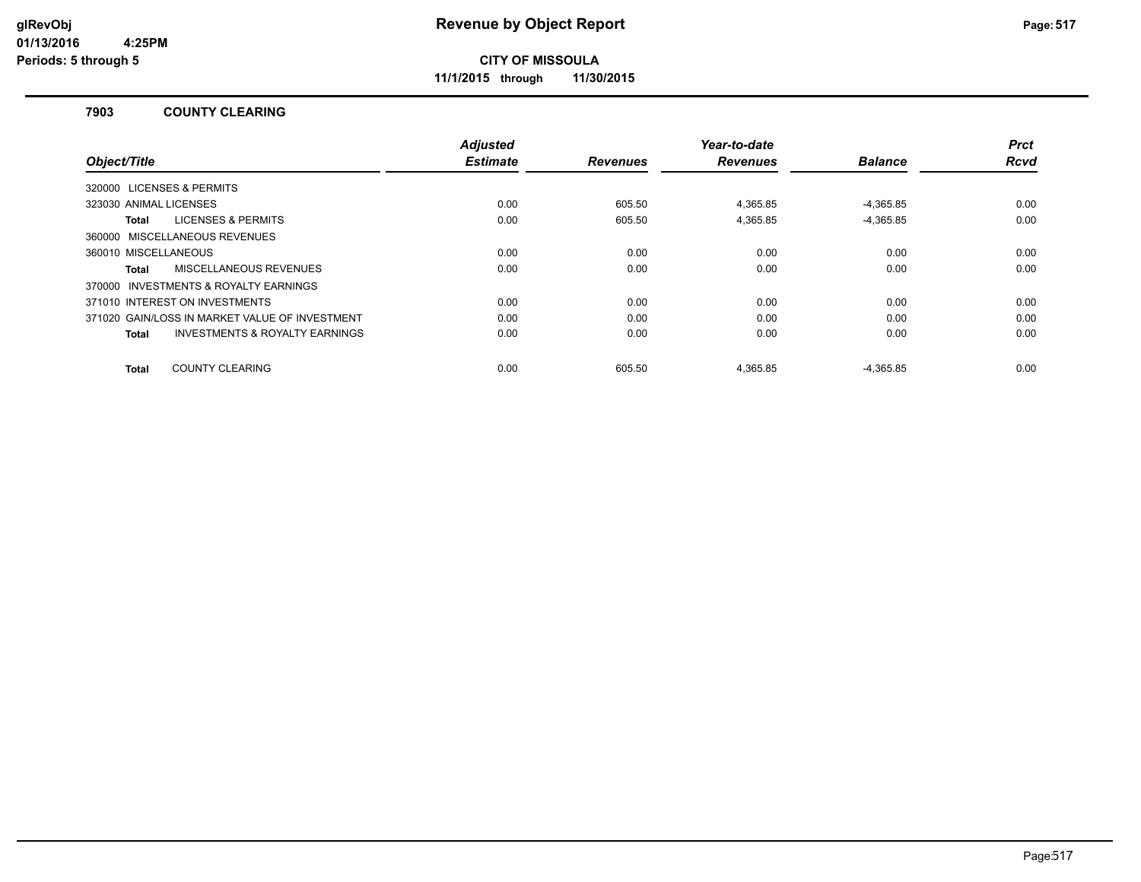**11/1/2015 through 11/30/2015**

#### **7903 COUNTY CLEARING**

|                                                    | <b>Adjusted</b> |                 | Year-to-date    |                | <b>Prct</b> |
|----------------------------------------------------|-----------------|-----------------|-----------------|----------------|-------------|
| Object/Title                                       | <b>Estimate</b> | <b>Revenues</b> | <b>Revenues</b> | <b>Balance</b> | <b>Rcvd</b> |
| 320000 LICENSES & PERMITS                          |                 |                 |                 |                |             |
| 323030 ANIMAL LICENSES                             | 0.00            | 605.50          | 4.365.85        | -4.365.85      | 0.00        |
| <b>LICENSES &amp; PERMITS</b><br>Total             | 0.00            | 605.50          | 4,365.85        | $-4,365.85$    | 0.00        |
| 360000 MISCELLANEOUS REVENUES                      |                 |                 |                 |                |             |
| 360010 MISCELLANEOUS                               | 0.00            | 0.00            | 0.00            | 0.00           | 0.00        |
| <b>MISCELLANEOUS REVENUES</b><br>Total             | 0.00            | 0.00            | 0.00            | 0.00           | 0.00        |
| 370000 INVESTMENTS & ROYALTY EARNINGS              |                 |                 |                 |                |             |
| 371010 INTEREST ON INVESTMENTS                     | 0.00            | 0.00            | 0.00            | 0.00           | 0.00        |
| 371020 GAIN/LOSS IN MARKET VALUE OF INVESTMENT     | 0.00            | 0.00            | 0.00            | 0.00           | 0.00        |
| <b>INVESTMENTS &amp; ROYALTY EARNINGS</b><br>Total | 0.00            | 0.00            | 0.00            | 0.00           | 0.00        |
|                                                    |                 |                 |                 |                |             |
| <b>COUNTY CLEARING</b><br><b>Total</b>             | 0.00            | 605.50          | 4.365.85        | $-4.365.85$    | 0.00        |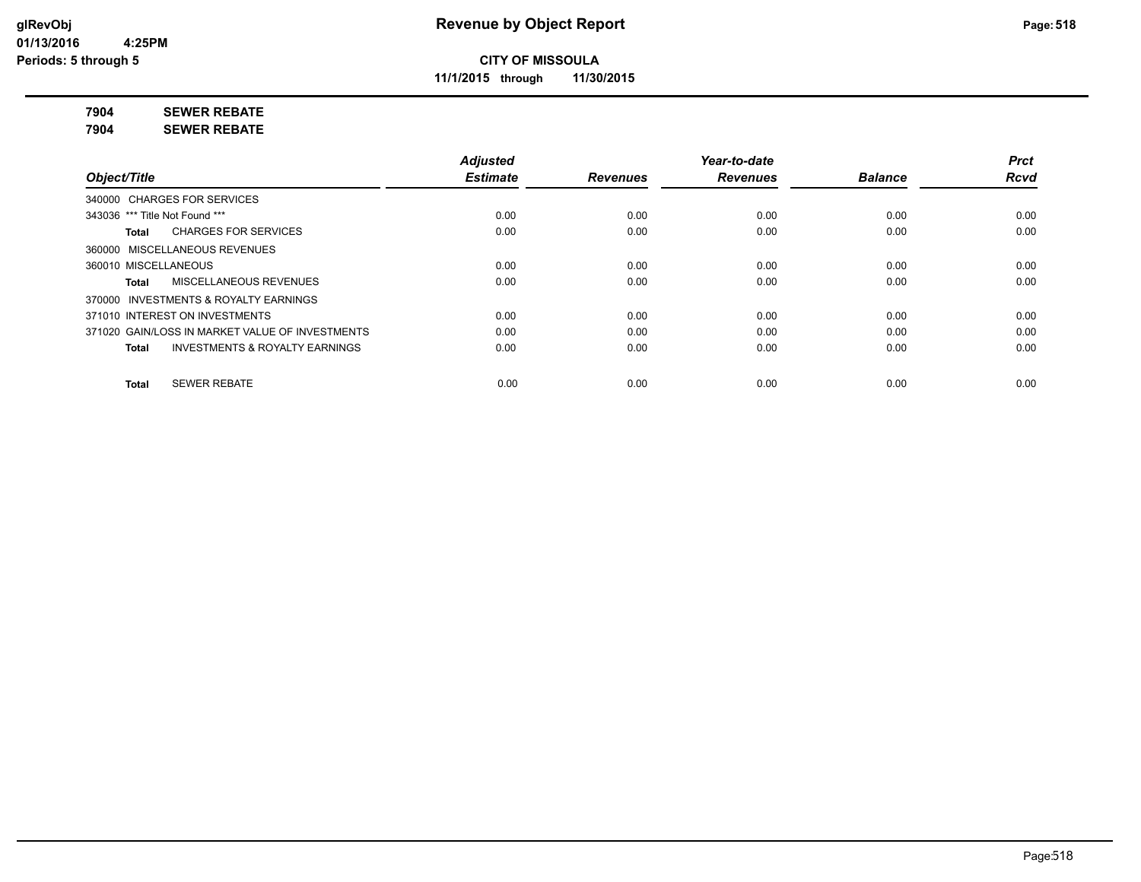**11/1/2015 through 11/30/2015**

**7904 SEWER REBATE**

**7904 SEWER REBATE**

|                                                           | <b>Adjusted</b> |                 | Year-to-date    |                | <b>Prct</b> |
|-----------------------------------------------------------|-----------------|-----------------|-----------------|----------------|-------------|
| Object/Title                                              | <b>Estimate</b> | <b>Revenues</b> | <b>Revenues</b> | <b>Balance</b> | <b>Rcvd</b> |
| 340000 CHARGES FOR SERVICES                               |                 |                 |                 |                |             |
| 343036 *** Title Not Found ***                            | 0.00            | 0.00            | 0.00            | 0.00           | 0.00        |
| <b>CHARGES FOR SERVICES</b><br>Total                      | 0.00            | 0.00            | 0.00            | 0.00           | 0.00        |
| 360000 MISCELLANEOUS REVENUES                             |                 |                 |                 |                |             |
| 360010 MISCELLANEOUS                                      | 0.00            | 0.00            | 0.00            | 0.00           | 0.00        |
| MISCELLANEOUS REVENUES<br>Total                           | 0.00            | 0.00            | 0.00            | 0.00           | 0.00        |
| 370000 INVESTMENTS & ROYALTY EARNINGS                     |                 |                 |                 |                |             |
| 371010 INTEREST ON INVESTMENTS                            | 0.00            | 0.00            | 0.00            | 0.00           | 0.00        |
| 371020 GAIN/LOSS IN MARKET VALUE OF INVESTMENTS           | 0.00            | 0.00            | 0.00            | 0.00           | 0.00        |
| <b>INVESTMENTS &amp; ROYALTY EARNINGS</b><br><b>Total</b> | 0.00            | 0.00            | 0.00            | 0.00           | 0.00        |
| <b>SEWER REBATE</b><br><b>Total</b>                       | 0.00            | 0.00            | 0.00            | 0.00           | 0.00        |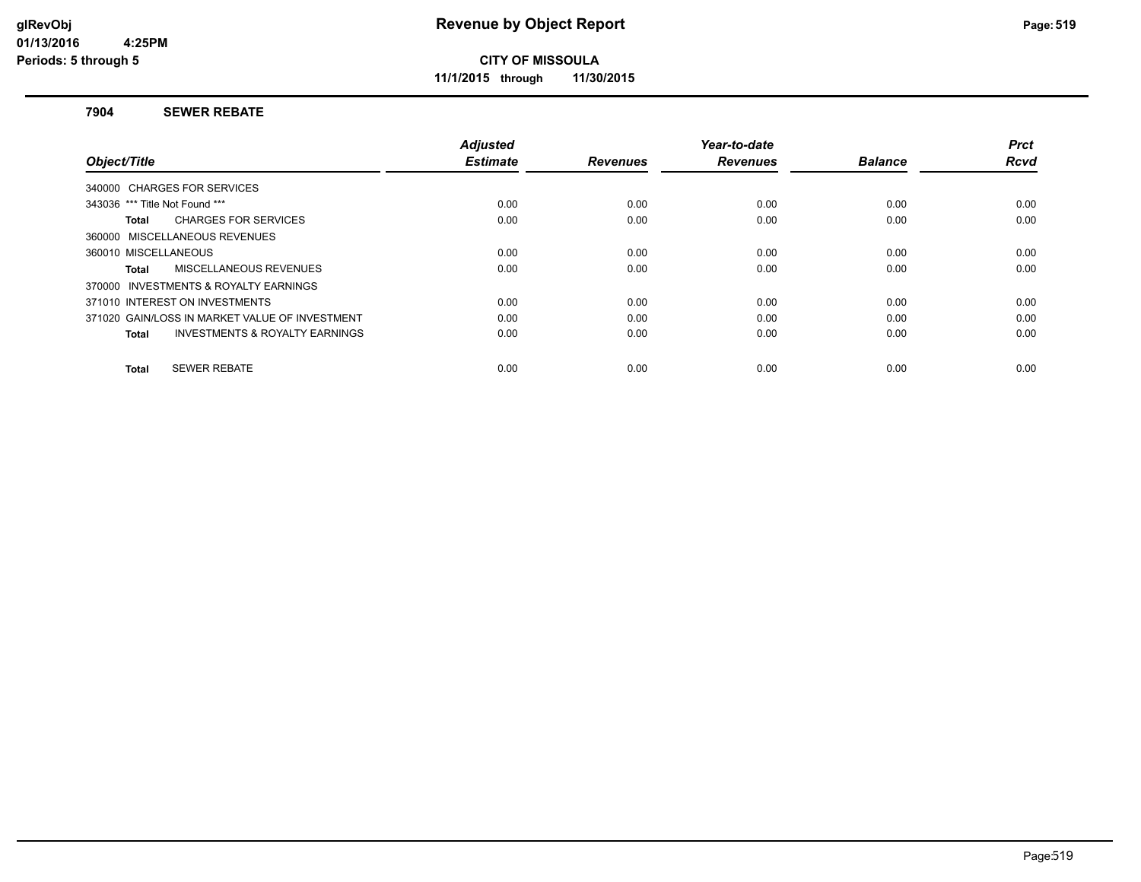**11/1/2015 through 11/30/2015**

#### **7904 SEWER REBATE**

|                                                    | <b>Adjusted</b> |                 | Year-to-date    |                | <b>Prct</b> |
|----------------------------------------------------|-----------------|-----------------|-----------------|----------------|-------------|
| Object/Title                                       | <b>Estimate</b> | <b>Revenues</b> | <b>Revenues</b> | <b>Balance</b> | <b>Rcvd</b> |
| 340000 CHARGES FOR SERVICES                        |                 |                 |                 |                |             |
| 343036 *** Title Not Found ***                     | 0.00            | 0.00            | 0.00            | 0.00           | 0.00        |
| <b>CHARGES FOR SERVICES</b><br>Total               | 0.00            | 0.00            | 0.00            | 0.00           | 0.00        |
| 360000 MISCELLANEOUS REVENUES                      |                 |                 |                 |                |             |
| 360010 MISCELLANEOUS                               | 0.00            | 0.00            | 0.00            | 0.00           | 0.00        |
| MISCELLANEOUS REVENUES<br>Total                    | 0.00            | 0.00            | 0.00            | 0.00           | 0.00        |
| 370000 INVESTMENTS & ROYALTY EARNINGS              |                 |                 |                 |                |             |
| 371010 INTEREST ON INVESTMENTS                     | 0.00            | 0.00            | 0.00            | 0.00           | 0.00        |
| 371020 GAIN/LOSS IN MARKET VALUE OF INVESTMENT     | 0.00            | 0.00            | 0.00            | 0.00           | 0.00        |
| <b>INVESTMENTS &amp; ROYALTY EARNINGS</b><br>Total | 0.00            | 0.00            | 0.00            | 0.00           | 0.00        |
|                                                    |                 |                 |                 |                |             |
| <b>SEWER REBATE</b><br><b>Total</b>                | 0.00            | 0.00            | 0.00            | 0.00           | 0.00        |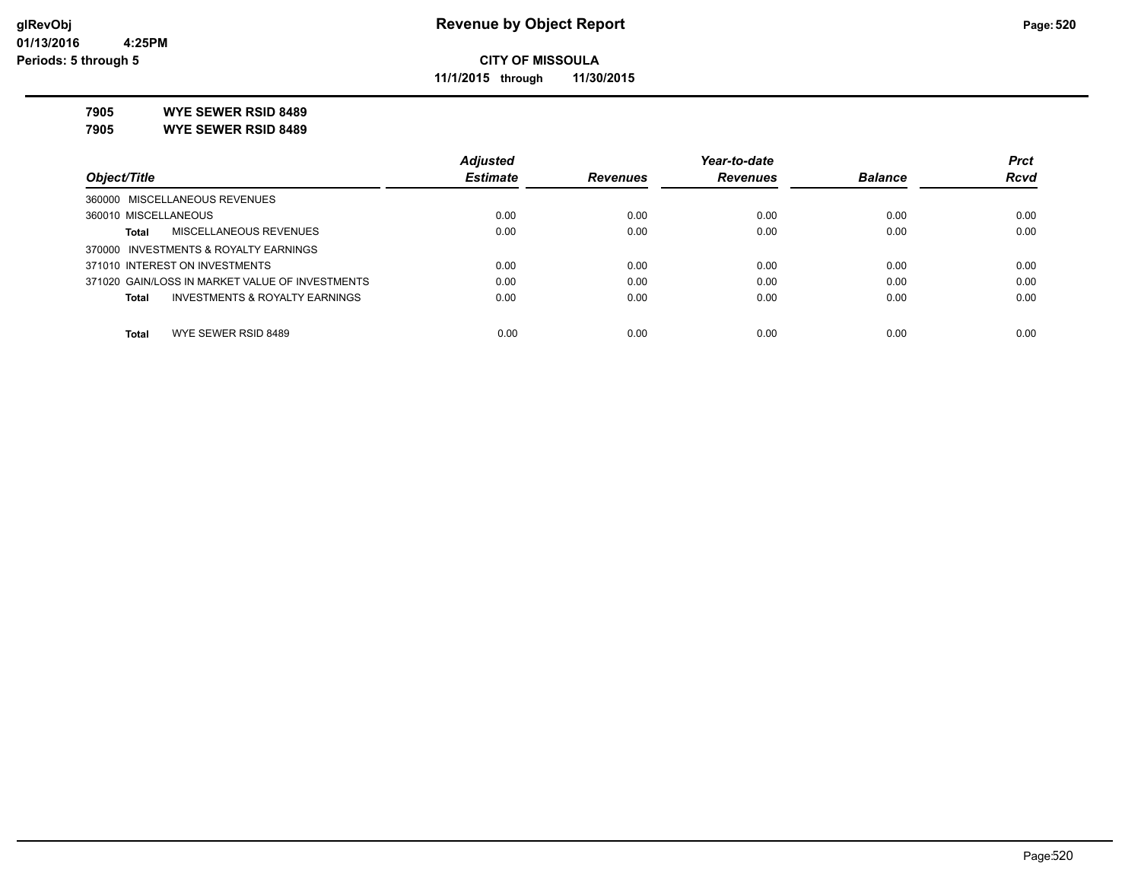**11/1/2015 through 11/30/2015**

**7905 WYE SEWER RSID 8489**

**7905 WYE SEWER RSID 8489**

|                                                 | <b>Adjusted</b> |                 | Year-to-date    |                | Prct        |
|-------------------------------------------------|-----------------|-----------------|-----------------|----------------|-------------|
| Object/Title                                    | <b>Estimate</b> | <b>Revenues</b> | <b>Revenues</b> | <b>Balance</b> | <b>Rcvd</b> |
| 360000 MISCELLANEOUS REVENUES                   |                 |                 |                 |                |             |
| 360010 MISCELLANEOUS                            | 0.00            | 0.00            | 0.00            | 0.00           | 0.00        |
| MISCELLANEOUS REVENUES<br>Total                 | 0.00            | 0.00            | 0.00            | 0.00           | 0.00        |
| 370000 INVESTMENTS & ROYALTY EARNINGS           |                 |                 |                 |                |             |
| 371010 INTEREST ON INVESTMENTS                  | 0.00            | 0.00            | 0.00            | 0.00           | 0.00        |
| 371020 GAIN/LOSS IN MARKET VALUE OF INVESTMENTS | 0.00            | 0.00            | 0.00            | 0.00           | 0.00        |
| INVESTMENTS & ROYALTY EARNINGS<br>Total         | 0.00            | 0.00            | 0.00            | 0.00           | 0.00        |
|                                                 |                 |                 |                 |                |             |
| WYE SEWER RSID 8489<br>Total                    | 0.00            | 0.00            | 0.00            | 0.00           | 0.00        |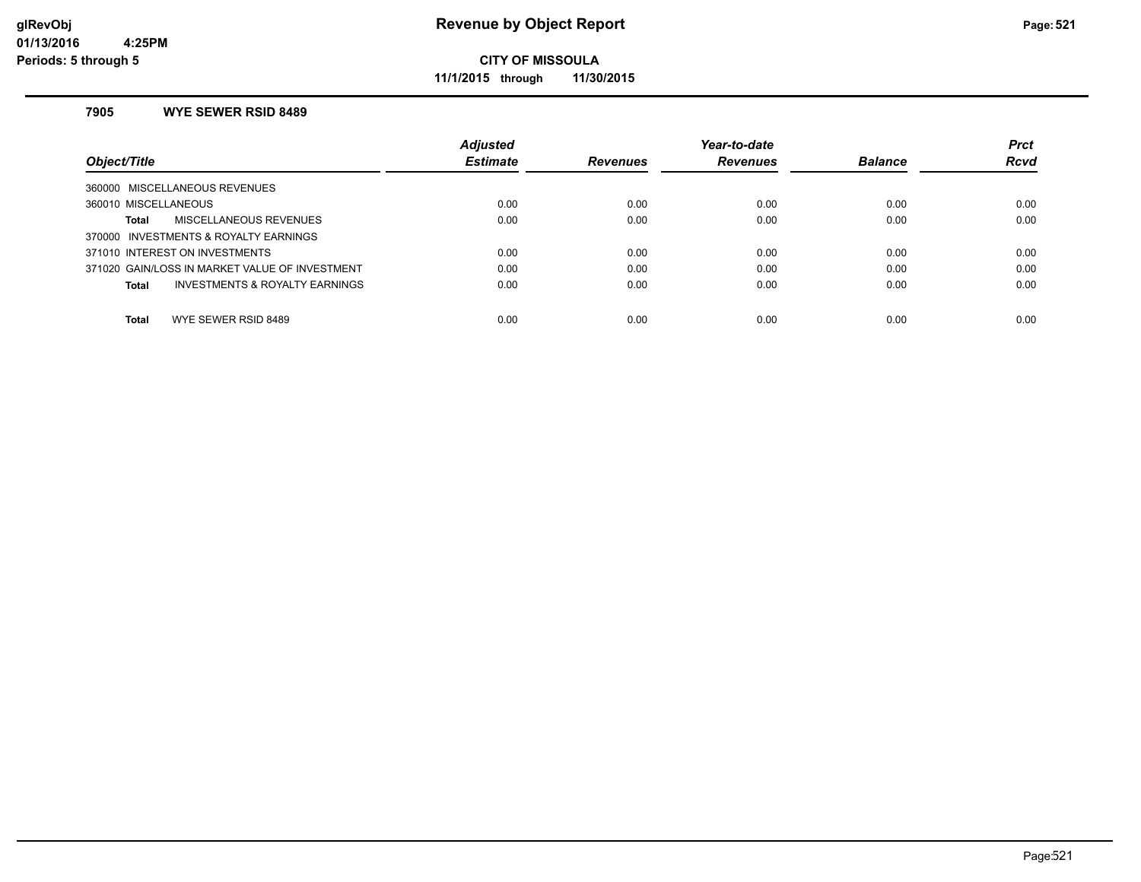**11/1/2015 through 11/30/2015**

#### **7905 WYE SEWER RSID 8489**

|                                                | <b>Adjusted</b> |                 | Year-to-date    |                | <b>Prct</b> |
|------------------------------------------------|-----------------|-----------------|-----------------|----------------|-------------|
| Object/Title                                   | <b>Estimate</b> | <b>Revenues</b> | <b>Revenues</b> | <b>Balance</b> | <b>Rcvd</b> |
| 360000 MISCELLANEOUS REVENUES                  |                 |                 |                 |                |             |
| 360010 MISCELLANEOUS                           | 0.00            | 0.00            | 0.00            | 0.00           | 0.00        |
| <b>MISCELLANEOUS REVENUES</b><br>Total         | 0.00            | 0.00            | 0.00            | 0.00           | 0.00        |
| 370000 INVESTMENTS & ROYALTY EARNINGS          |                 |                 |                 |                |             |
| 371010 INTEREST ON INVESTMENTS                 | 0.00            | 0.00            | 0.00            | 0.00           | 0.00        |
| 371020 GAIN/LOSS IN MARKET VALUE OF INVESTMENT | 0.00            | 0.00            | 0.00            | 0.00           | 0.00        |
| INVESTMENTS & ROYALTY EARNINGS<br>Total        | 0.00            | 0.00            | 0.00            | 0.00           | 0.00        |
|                                                |                 |                 |                 |                |             |
| WYE SEWER RSID 8489<br><b>Total</b>            | 0.00            | 0.00            | 0.00            | 0.00           | 0.00        |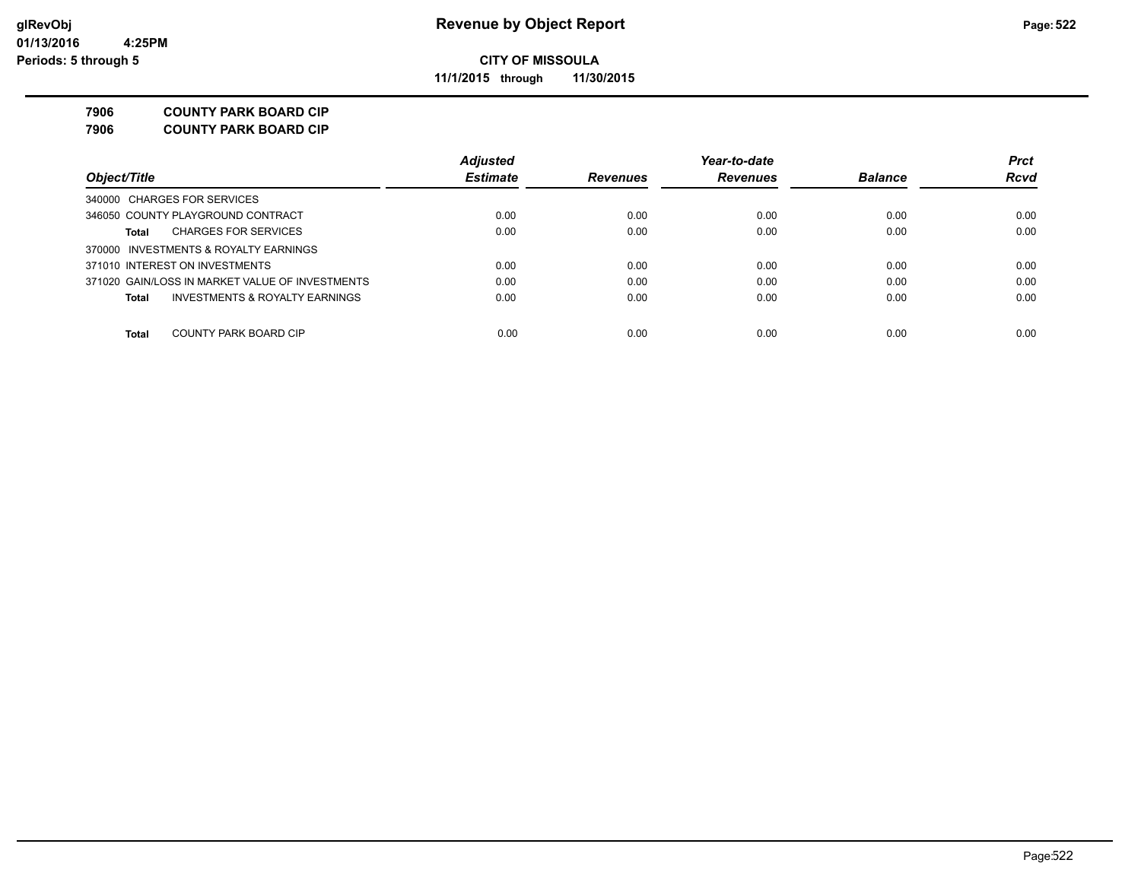**11/1/2015 through 11/30/2015**

#### **7906 COUNTY PARK BOARD CIP**

**7906 COUNTY PARK BOARD CIP**

|                                                 | <b>Adjusted</b> |                 | Year-to-date    |                | <b>Prct</b> |
|-------------------------------------------------|-----------------|-----------------|-----------------|----------------|-------------|
| Object/Title                                    | <b>Estimate</b> | <b>Revenues</b> | <b>Revenues</b> | <b>Balance</b> | <b>Rcvd</b> |
| 340000 CHARGES FOR SERVICES                     |                 |                 |                 |                |             |
| 346050 COUNTY PLAYGROUND CONTRACT               | 0.00            | 0.00            | 0.00            | 0.00           | 0.00        |
| <b>CHARGES FOR SERVICES</b><br>Total            | 0.00            | 0.00            | 0.00            | 0.00           | 0.00        |
| 370000 INVESTMENTS & ROYALTY EARNINGS           |                 |                 |                 |                |             |
| 371010 INTEREST ON INVESTMENTS                  | 0.00            | 0.00            | 0.00            | 0.00           | 0.00        |
| 371020 GAIN/LOSS IN MARKET VALUE OF INVESTMENTS | 0.00            | 0.00            | 0.00            | 0.00           | 0.00        |
| INVESTMENTS & ROYALTY EARNINGS<br>Total         | 0.00            | 0.00            | 0.00            | 0.00           | 0.00        |
| COUNTY PARK BOARD CIP<br><b>Total</b>           | 0.00            | 0.00            | 0.00            | 0.00           | 0.00        |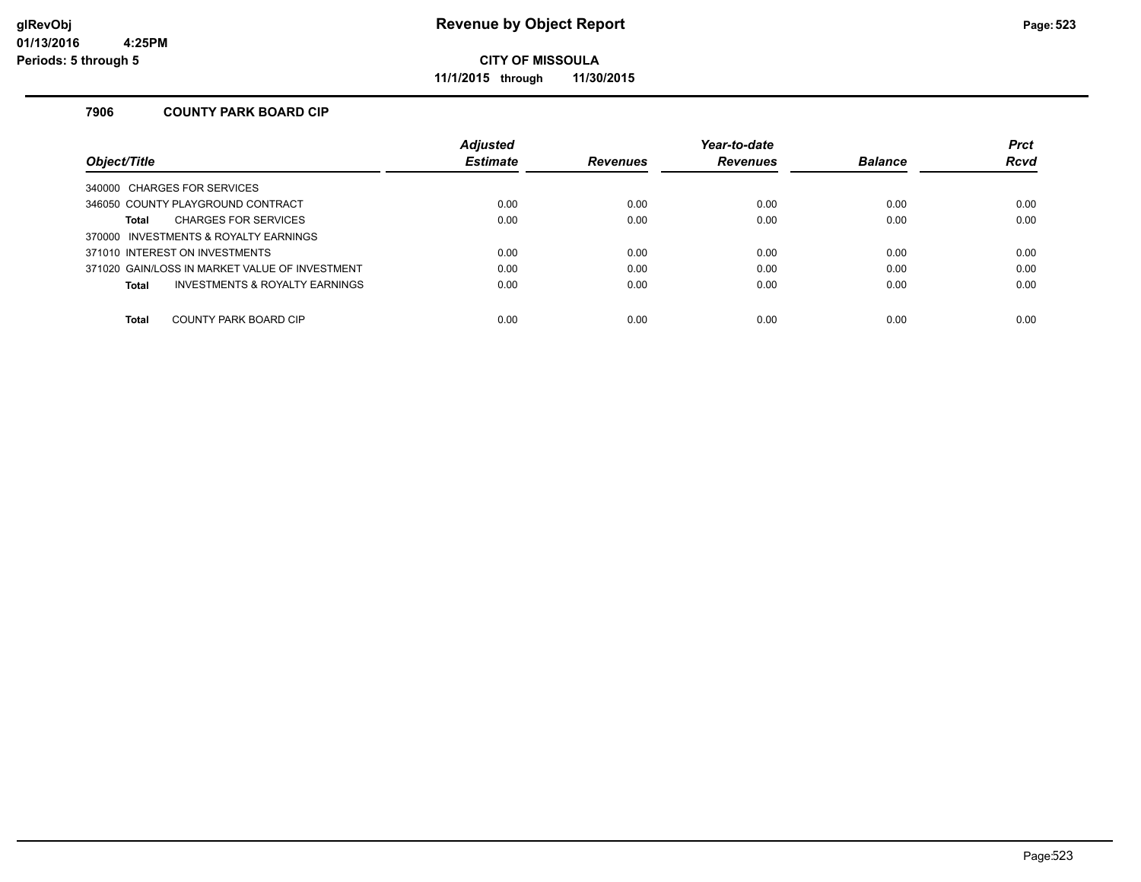**11/1/2015 through 11/30/2015**

#### **7906 COUNTY PARK BOARD CIP**

|                                                | <b>Adjusted</b> |                 | Year-to-date    |                | <b>Prct</b> |
|------------------------------------------------|-----------------|-----------------|-----------------|----------------|-------------|
| Object/Title                                   | <b>Estimate</b> | <b>Revenues</b> | <b>Revenues</b> | <b>Balance</b> | <b>Rcvd</b> |
| 340000 CHARGES FOR SERVICES                    |                 |                 |                 |                |             |
| 346050 COUNTY PLAYGROUND CONTRACT              | 0.00            | 0.00            | 0.00            | 0.00           | 0.00        |
| <b>CHARGES FOR SERVICES</b><br>Total           | 0.00            | 0.00            | 0.00            | 0.00           | 0.00        |
| 370000 INVESTMENTS & ROYALTY EARNINGS          |                 |                 |                 |                |             |
| 371010 INTEREST ON INVESTMENTS                 | 0.00            | 0.00            | 0.00            | 0.00           | 0.00        |
| 371020 GAIN/LOSS IN MARKET VALUE OF INVESTMENT | 0.00            | 0.00            | 0.00            | 0.00           | 0.00        |
| INVESTMENTS & ROYALTY EARNINGS<br>Total        | 0.00            | 0.00            | 0.00            | 0.00           | 0.00        |
|                                                |                 |                 |                 |                |             |
| <b>Total</b><br>COUNTY PARK BOARD CIP          | 0.00            | 0.00            | 0.00            | 0.00           | 0.00        |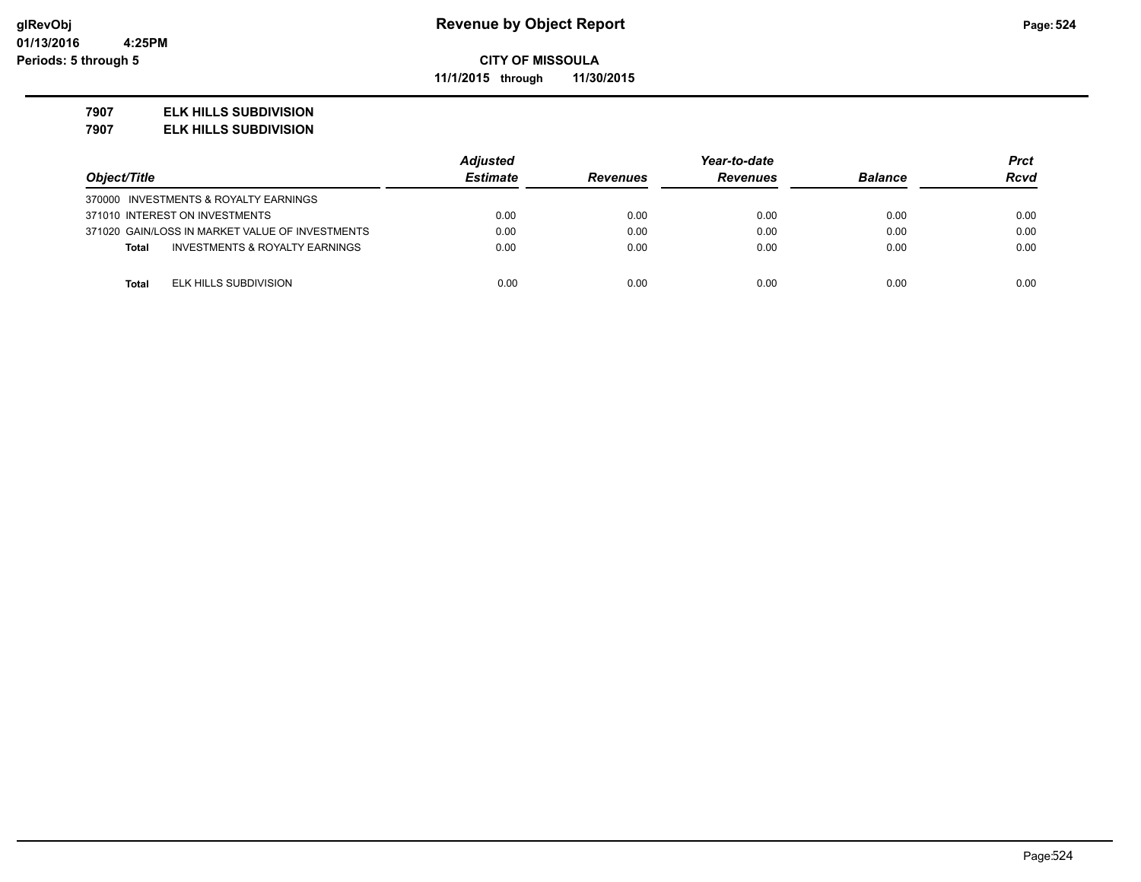**11/1/2015 through 11/30/2015**

#### **7907 ELK HILLS SUBDIVISION**

**7907 ELK HILLS SUBDIVISION**

|                                                 | <b>Adjusted</b> |                 | Year-to-date    |                |             |
|-------------------------------------------------|-----------------|-----------------|-----------------|----------------|-------------|
| Object/Title                                    | <b>Estimate</b> | <b>Revenues</b> | <b>Revenues</b> | <b>Balance</b> | <b>Rcvd</b> |
| 370000 INVESTMENTS & ROYALTY EARNINGS           |                 |                 |                 |                |             |
| 371010 INTEREST ON INVESTMENTS                  | 0.00            | 0.00            | 0.00            | 0.00           | 0.00        |
| 371020 GAIN/LOSS IN MARKET VALUE OF INVESTMENTS | 0.00            | 0.00            | 0.00            | 0.00           | 0.00        |
| INVESTMENTS & ROYALTY EARNINGS<br><b>Total</b>  | 0.00            | 0.00            | 0.00            | 0.00           | 0.00        |
|                                                 |                 |                 |                 |                |             |
| ELK HILLS SUBDIVISION<br><b>Total</b>           | 0.00            | 0.00            | 0.00            | 0.00           | 0.00        |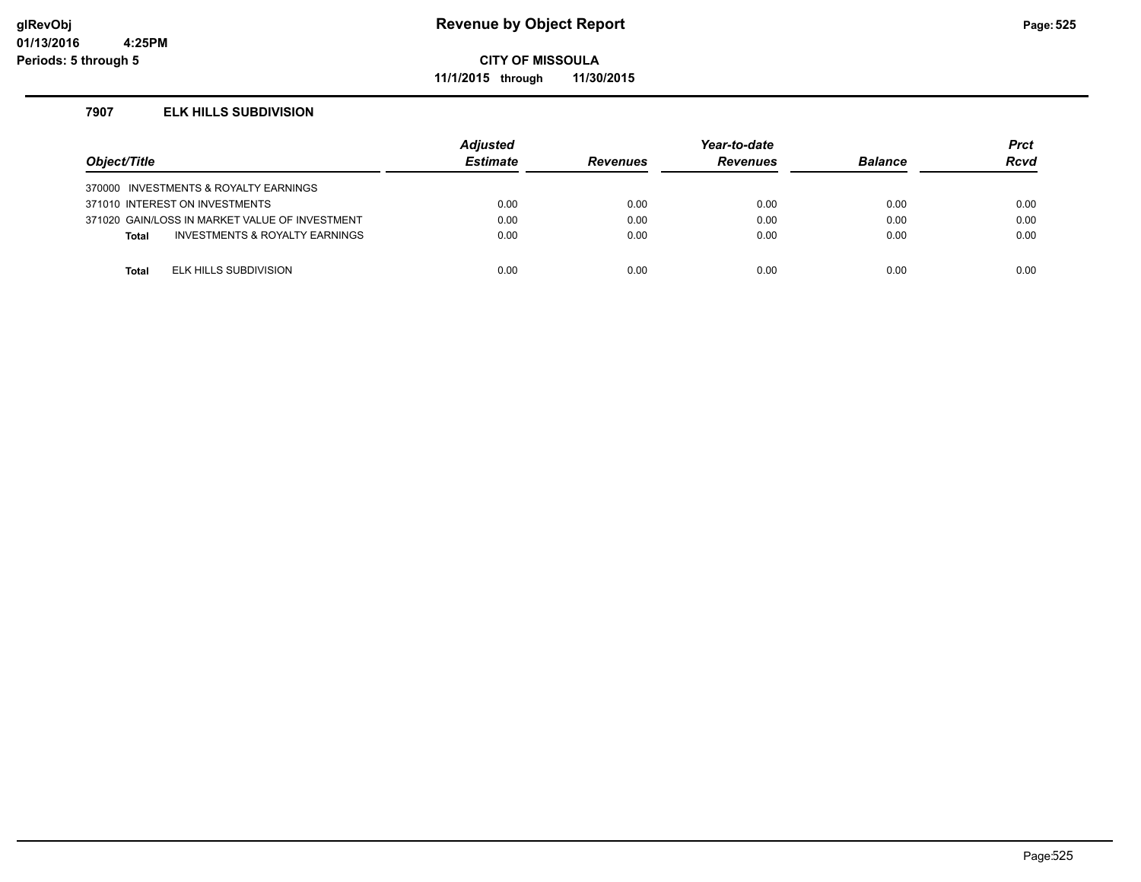#### **glRevObj Revenue by Object Report Page:525**

**CITY OF MISSOULA**

**11/1/2015 through 11/30/2015**

#### **7907 ELK HILLS SUBDIVISION**

| Object/Title |                                                | <b>Adjusted</b><br><b>Estimate</b> | <b>Revenues</b> | Year-to-date<br><b>Revenues</b> | <b>Balance</b> | <b>Prct</b><br>Rcvd |
|--------------|------------------------------------------------|------------------------------------|-----------------|---------------------------------|----------------|---------------------|
|              | 370000 INVESTMENTS & ROYALTY EARNINGS          |                                    |                 |                                 |                |                     |
|              | 371010 INTEREST ON INVESTMENTS                 | 0.00                               | 0.00            | 0.00                            | 0.00           | 0.00                |
|              | 371020 GAIN/LOSS IN MARKET VALUE OF INVESTMENT | 0.00                               | 0.00            | 0.00                            | 0.00           | 0.00                |
| <b>Total</b> | <b>INVESTMENTS &amp; ROYALTY EARNINGS</b>      | 0.00                               | 0.00            | 0.00                            | 0.00           | 0.00                |
|              |                                                |                                    |                 |                                 |                |                     |
| Total        | ELK HILLS SUBDIVISION                          | 0.00                               | 0.00            | 0.00                            | 0.00           | 0.00                |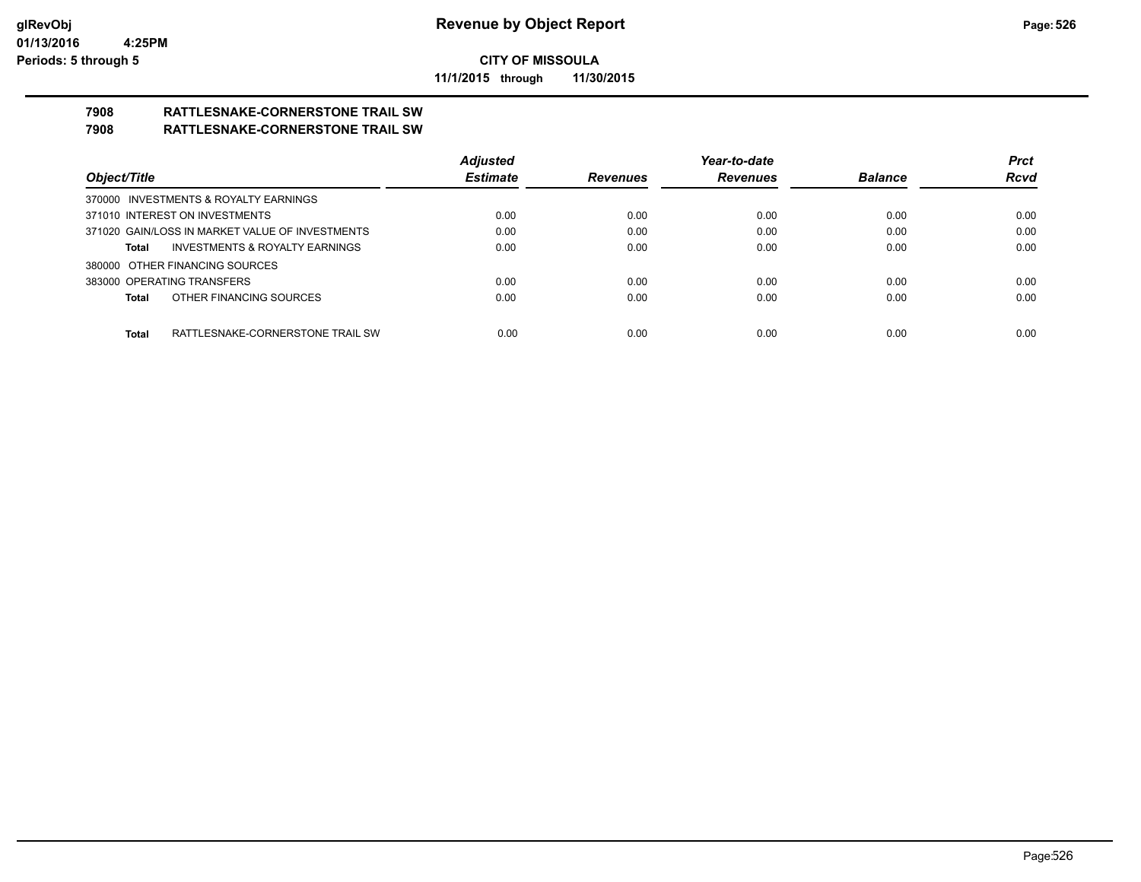**11/1/2015 through 11/30/2015**

# **7908 RATTLESNAKE-CORNERSTONE TRAIL SW**

## **7908 RATTLESNAKE-CORNERSTONE TRAIL SW**

|                                                    | <b>Adjusted</b> |                 | Year-to-date    |                | <b>Prct</b> |
|----------------------------------------------------|-----------------|-----------------|-----------------|----------------|-------------|
| Object/Title                                       | <b>Estimate</b> | <b>Revenues</b> | <b>Revenues</b> | <b>Balance</b> | <b>Rcvd</b> |
| 370000 INVESTMENTS & ROYALTY EARNINGS              |                 |                 |                 |                |             |
| 371010 INTEREST ON INVESTMENTS                     | 0.00            | 0.00            | 0.00            | 0.00           | 0.00        |
| 371020 GAIN/LOSS IN MARKET VALUE OF INVESTMENTS    | 0.00            | 0.00            | 0.00            | 0.00           | 0.00        |
| <b>INVESTMENTS &amp; ROYALTY EARNINGS</b><br>Total | 0.00            | 0.00            | 0.00            | 0.00           | 0.00        |
| 380000 OTHER FINANCING SOURCES                     |                 |                 |                 |                |             |
| 383000 OPERATING TRANSFERS                         | 0.00            | 0.00            | 0.00            | 0.00           | 0.00        |
| OTHER FINANCING SOURCES<br>Total                   | 0.00            | 0.00            | 0.00            | 0.00           | 0.00        |
|                                                    |                 |                 |                 |                |             |
| RATTLESNAKE-CORNERSTONE TRAIL SW<br><b>Total</b>   | 0.00            | 0.00            | 0.00            | 0.00           | 0.00        |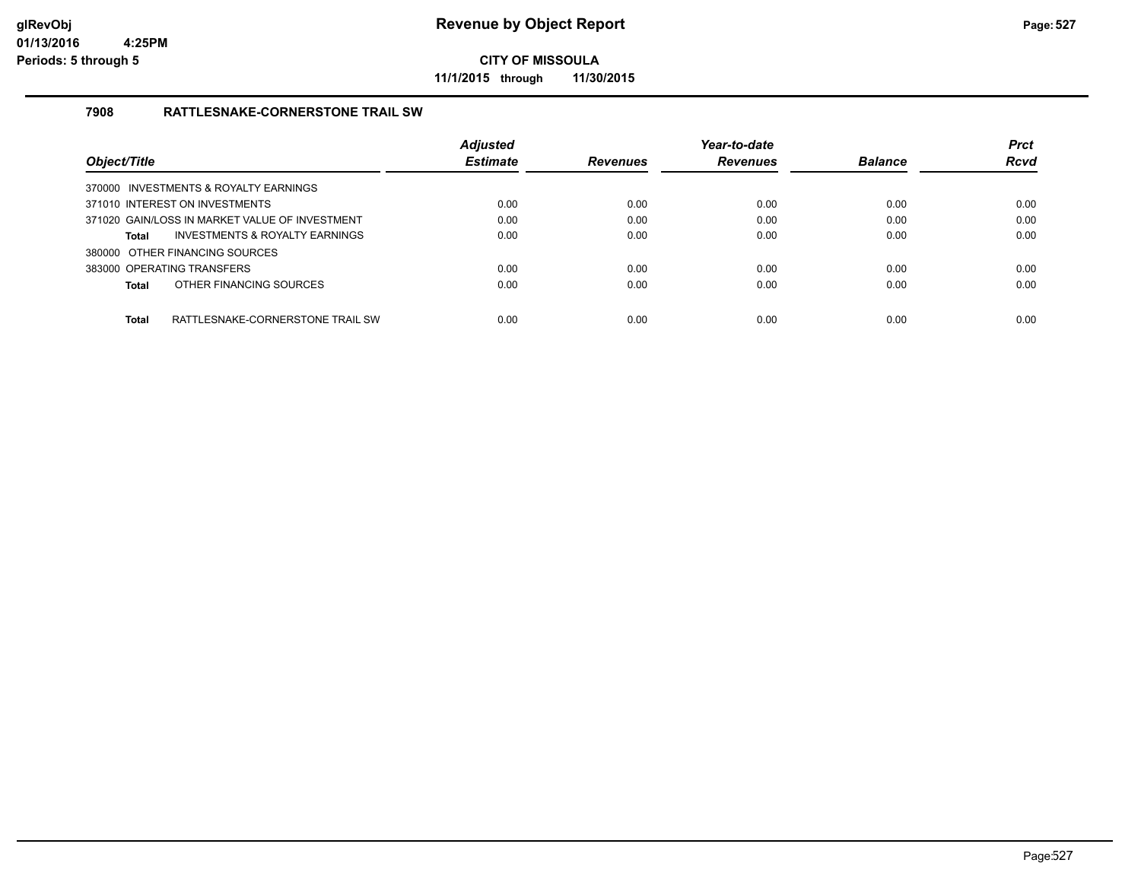**11/1/2015 through 11/30/2015**

#### **7908 RATTLESNAKE-CORNERSTONE TRAIL SW**

|                                                  | <b>Adjusted</b> |                 | Year-to-date    |                | <b>Prct</b> |
|--------------------------------------------------|-----------------|-----------------|-----------------|----------------|-------------|
| Object/Title                                     | <b>Estimate</b> | <b>Revenues</b> | <b>Revenues</b> | <b>Balance</b> | Rcvd        |
| 370000 INVESTMENTS & ROYALTY EARNINGS            |                 |                 |                 |                |             |
| 371010 INTEREST ON INVESTMENTS                   | 0.00            | 0.00            | 0.00            | 0.00           | 0.00        |
| 371020 GAIN/LOSS IN MARKET VALUE OF INVESTMENT   | 0.00            | 0.00            | 0.00            | 0.00           | 0.00        |
| INVESTMENTS & ROYALTY EARNINGS<br><b>Total</b>   | 0.00            | 0.00            | 0.00            | 0.00           | 0.00        |
| 380000 OTHER FINANCING SOURCES                   |                 |                 |                 |                |             |
| 383000 OPERATING TRANSFERS                       | 0.00            | 0.00            | 0.00            | 0.00           | 0.00        |
| OTHER FINANCING SOURCES<br><b>Total</b>          | 0.00            | 0.00            | 0.00            | 0.00           | 0.00        |
|                                                  |                 |                 |                 |                |             |
| <b>Total</b><br>RATTLESNAKE-CORNERSTONE TRAIL SW | 0.00            | 0.00            | 0.00            | 0.00           | 0.00        |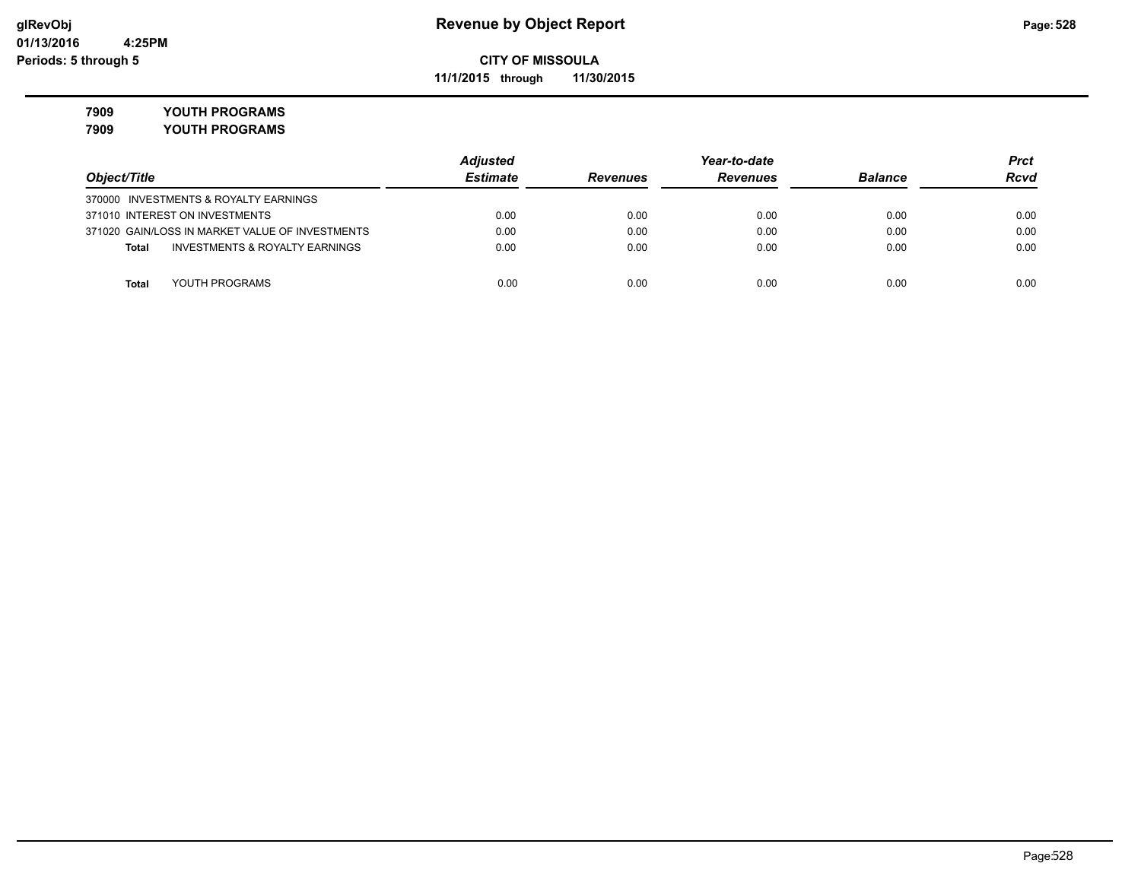**11/1/2015 through 11/30/2015**

**7909 YOUTH PROGRAMS**

**7909 YOUTH PROGRAMS**

|                                                 | <b>Adjusted</b> |                 | Year-to-date    |                | Prct        |
|-------------------------------------------------|-----------------|-----------------|-----------------|----------------|-------------|
| Object/Title                                    | <b>Estimate</b> | <b>Revenues</b> | <b>Revenues</b> | <b>Balance</b> | <b>Rcvd</b> |
| 370000 INVESTMENTS & ROYALTY EARNINGS           |                 |                 |                 |                |             |
| 371010 INTEREST ON INVESTMENTS                  | 0.00            | 0.00            | 0.00            | 0.00           | 0.00        |
| 371020 GAIN/LOSS IN MARKET VALUE OF INVESTMENTS | 0.00            | 0.00            | 0.00            | 0.00           | 0.00        |
| INVESTMENTS & ROYALTY EARNINGS<br>Total         | 0.00            | 0.00            | 0.00            | 0.00           | 0.00        |
|                                                 |                 |                 |                 |                |             |
| YOUTH PROGRAMS<br>Total                         | 0.00            | 0.00            | 0.00            | 0.00           | 0.00        |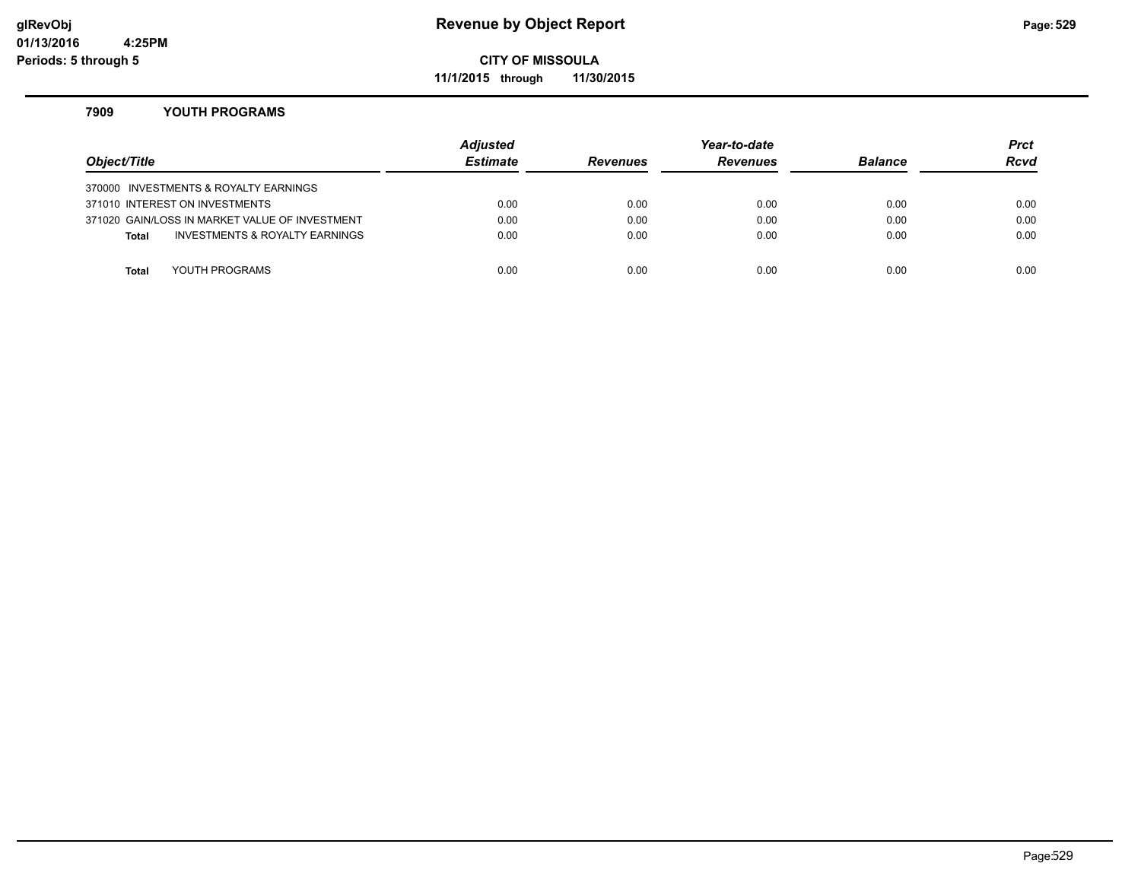#### **glRevObj Revenue by Object Report Page:529**

**CITY OF MISSOULA**

**11/1/2015 through 11/30/2015**

#### **7909 YOUTH PROGRAMS**

| Object/Title |                                                | Adjusted<br><b>Estimate</b> | <b>Revenues</b> | Year-to-date<br><b>Revenues</b> | <b>Balance</b> | <b>Prct</b><br>Rcvd |
|--------------|------------------------------------------------|-----------------------------|-----------------|---------------------------------|----------------|---------------------|
|              | 370000 INVESTMENTS & ROYALTY EARNINGS          |                             |                 |                                 |                |                     |
|              | 371010 INTEREST ON INVESTMENTS                 | 0.00                        | 0.00            | 0.00                            | 0.00           | 0.00                |
|              | 371020 GAIN/LOSS IN MARKET VALUE OF INVESTMENT | 0.00                        | 0.00            | 0.00                            | 0.00           | 0.00                |
| <b>Total</b> | <b>INVESTMENTS &amp; ROYALTY EARNINGS</b>      | 0.00                        | 0.00            | 0.00                            | 0.00           | 0.00                |
|              |                                                |                             |                 |                                 |                |                     |
| Total        | YOUTH PROGRAMS                                 | 0.00                        | 0.00            | 0.00                            | 0.00           | 0.00                |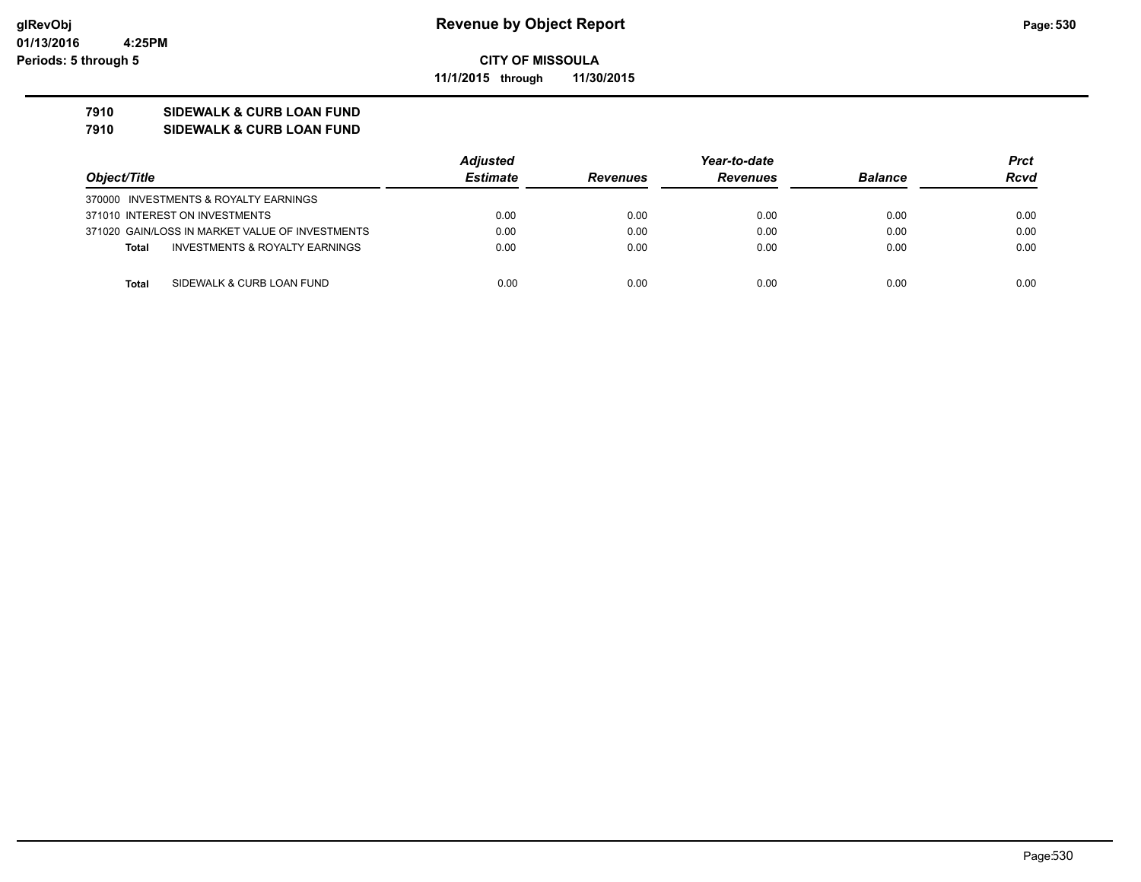**11/1/2015 through 11/30/2015**

## **7910 SIDEWALK & CURB LOAN FUND**

**7910 SIDEWALK & CURB LOAN FUND**

|                                                           | <b>Adjusted</b> |                 | Year-to-date    |                | Prct        |  |
|-----------------------------------------------------------|-----------------|-----------------|-----------------|----------------|-------------|--|
| Object/Title                                              | <b>Estimate</b> | <b>Revenues</b> | <b>Revenues</b> | <b>Balance</b> | <b>Rcvd</b> |  |
| 370000 INVESTMENTS & ROYALTY EARNINGS                     |                 |                 |                 |                |             |  |
| 371010 INTEREST ON INVESTMENTS                            | 0.00            | 0.00            | 0.00            | 0.00           | 0.00        |  |
| 371020 GAIN/LOSS IN MARKET VALUE OF INVESTMENTS           | 0.00            | 0.00            | 0.00            | 0.00           | 0.00        |  |
| <b>INVESTMENTS &amp; ROYALTY EARNINGS</b><br><b>Total</b> | 0.00            | 0.00            | 0.00            | 0.00           | 0.00        |  |
|                                                           |                 |                 |                 |                |             |  |
| SIDEWALK & CURB LOAN FUND<br><b>Total</b>                 | 0.00            | 0.00            | 0.00            | 0.00           | 0.00        |  |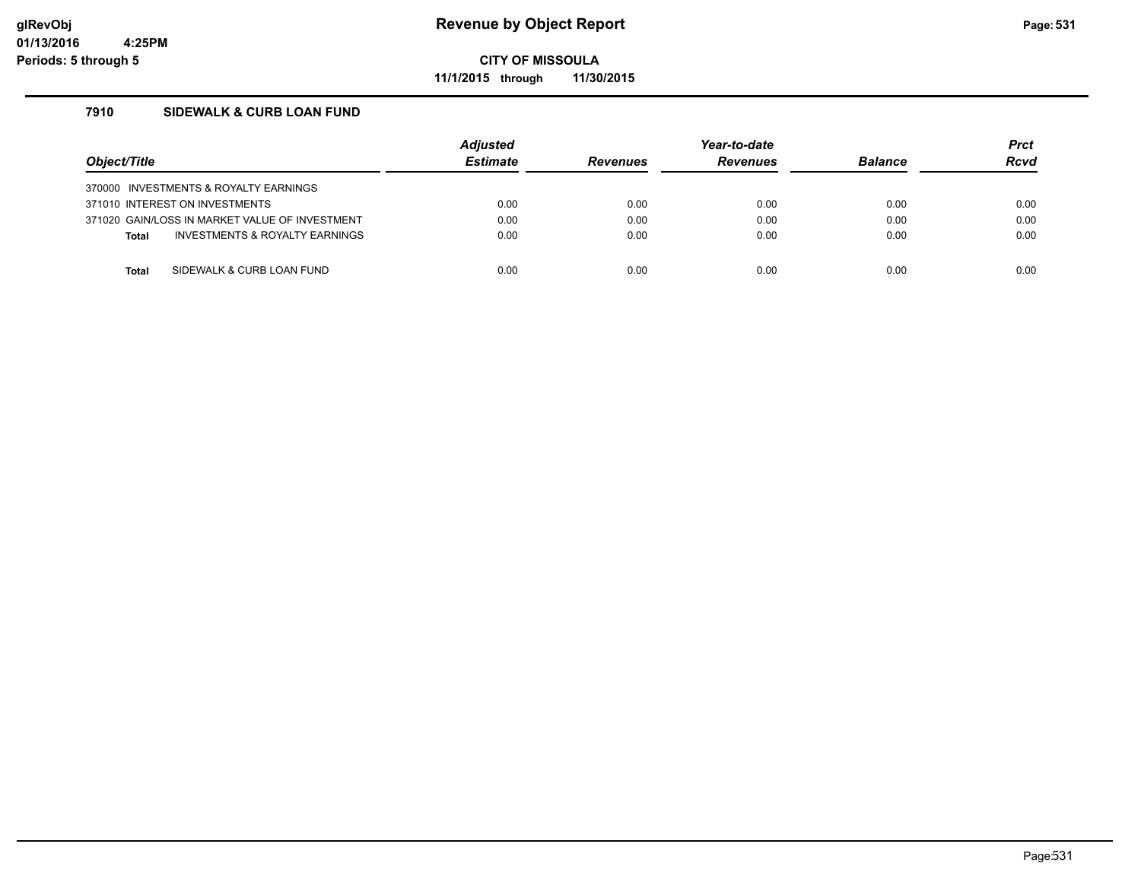**11/1/2015 through 11/30/2015**

#### **7910 SIDEWALK & CURB LOAN FUND**

| Object/Title |                                                | <b>Adjusted</b><br><b>Estimate</b> | <b>Revenues</b> | Year-to-date<br><b>Revenues</b> | <b>Balance</b> | <b>Prct</b><br><b>Rcvd</b> |
|--------------|------------------------------------------------|------------------------------------|-----------------|---------------------------------|----------------|----------------------------|
|              | 370000 INVESTMENTS & ROYALTY EARNINGS          |                                    |                 |                                 |                |                            |
|              | 371010 INTEREST ON INVESTMENTS                 | 0.00                               | 0.00            | 0.00                            | 0.00           | 0.00                       |
|              | 371020 GAIN/LOSS IN MARKET VALUE OF INVESTMENT | 0.00                               | 0.00            | 0.00                            | 0.00           | 0.00                       |
| <b>Total</b> | INVESTMENTS & ROYALTY EARNINGS                 | 0.00                               | 0.00            | 0.00                            | 0.00           | 0.00                       |
|              |                                                |                                    |                 |                                 |                |                            |
| Total        | SIDEWALK & CURB LOAN FUND                      | 0.00                               | 0.00            | 0.00                            | 0.00           | 0.00                       |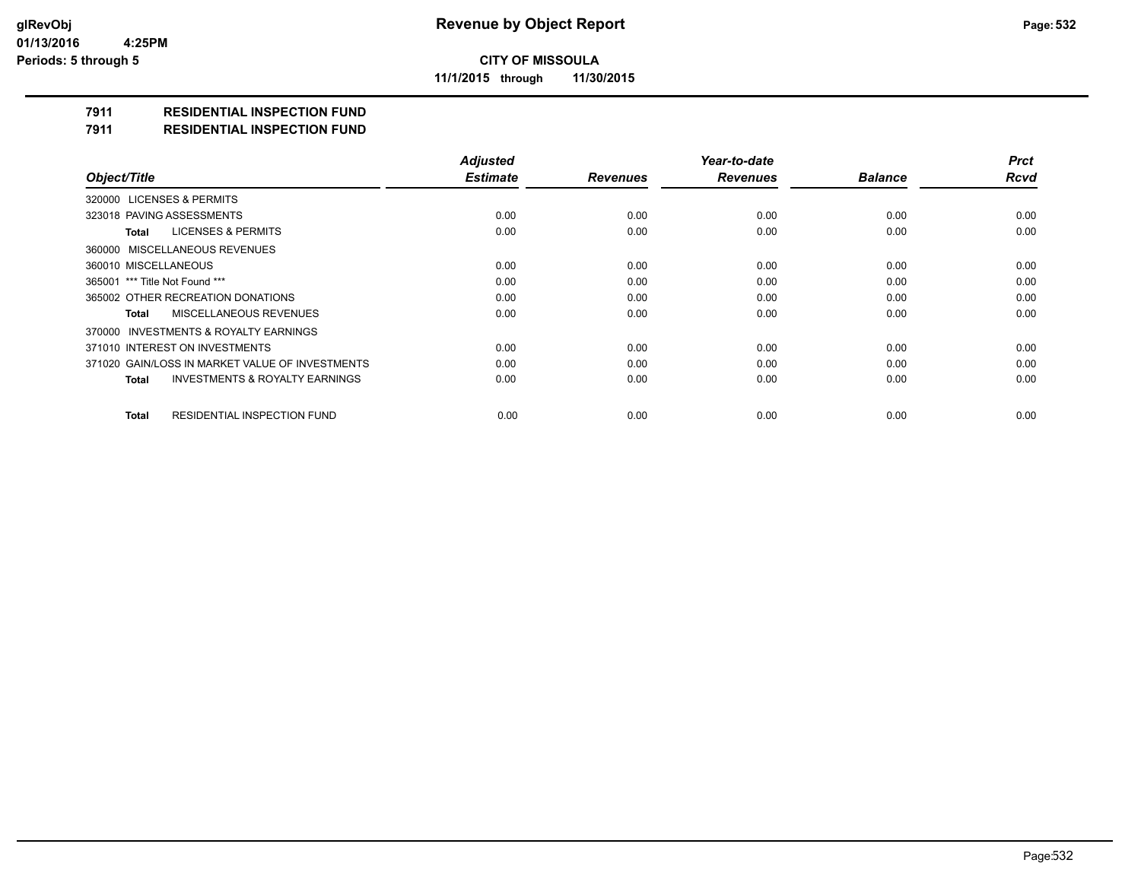**11/1/2015 through 11/30/2015**

## **7911 RESIDENTIAL INSPECTION FUND**

**7911 RESIDENTIAL INSPECTION FUND**

|                                                           | <b>Adjusted</b> |                 | Year-to-date    |                | <b>Prct</b> |
|-----------------------------------------------------------|-----------------|-----------------|-----------------|----------------|-------------|
| Object/Title                                              | <b>Estimate</b> | <b>Revenues</b> | <b>Revenues</b> | <b>Balance</b> | <b>Rcvd</b> |
| 320000 LICENSES & PERMITS                                 |                 |                 |                 |                |             |
| 323018 PAVING ASSESSMENTS                                 | 0.00            | 0.00            | 0.00            | 0.00           | 0.00        |
| <b>LICENSES &amp; PERMITS</b><br>Total                    | 0.00            | 0.00            | 0.00            | 0.00           | 0.00        |
| 360000 MISCELLANEOUS REVENUES                             |                 |                 |                 |                |             |
| 360010 MISCELLANEOUS                                      | 0.00            | 0.00            | 0.00            | 0.00           | 0.00        |
| 365001 *** Title Not Found ***                            | 0.00            | 0.00            | 0.00            | 0.00           | 0.00        |
| 365002 OTHER RECREATION DONATIONS                         | 0.00            | 0.00            | 0.00            | 0.00           | 0.00        |
| MISCELLANEOUS REVENUES<br><b>Total</b>                    | 0.00            | 0.00            | 0.00            | 0.00           | 0.00        |
| 370000 INVESTMENTS & ROYALTY EARNINGS                     |                 |                 |                 |                |             |
| 371010 INTEREST ON INVESTMENTS                            | 0.00            | 0.00            | 0.00            | 0.00           | 0.00        |
| 371020 GAIN/LOSS IN MARKET VALUE OF INVESTMENTS           | 0.00            | 0.00            | 0.00            | 0.00           | 0.00        |
| <b>INVESTMENTS &amp; ROYALTY EARNINGS</b><br><b>Total</b> | 0.00            | 0.00            | 0.00            | 0.00           | 0.00        |
| RESIDENTIAL INSPECTION FUND<br><b>Total</b>               | 0.00            | 0.00            | 0.00            | 0.00           | 0.00        |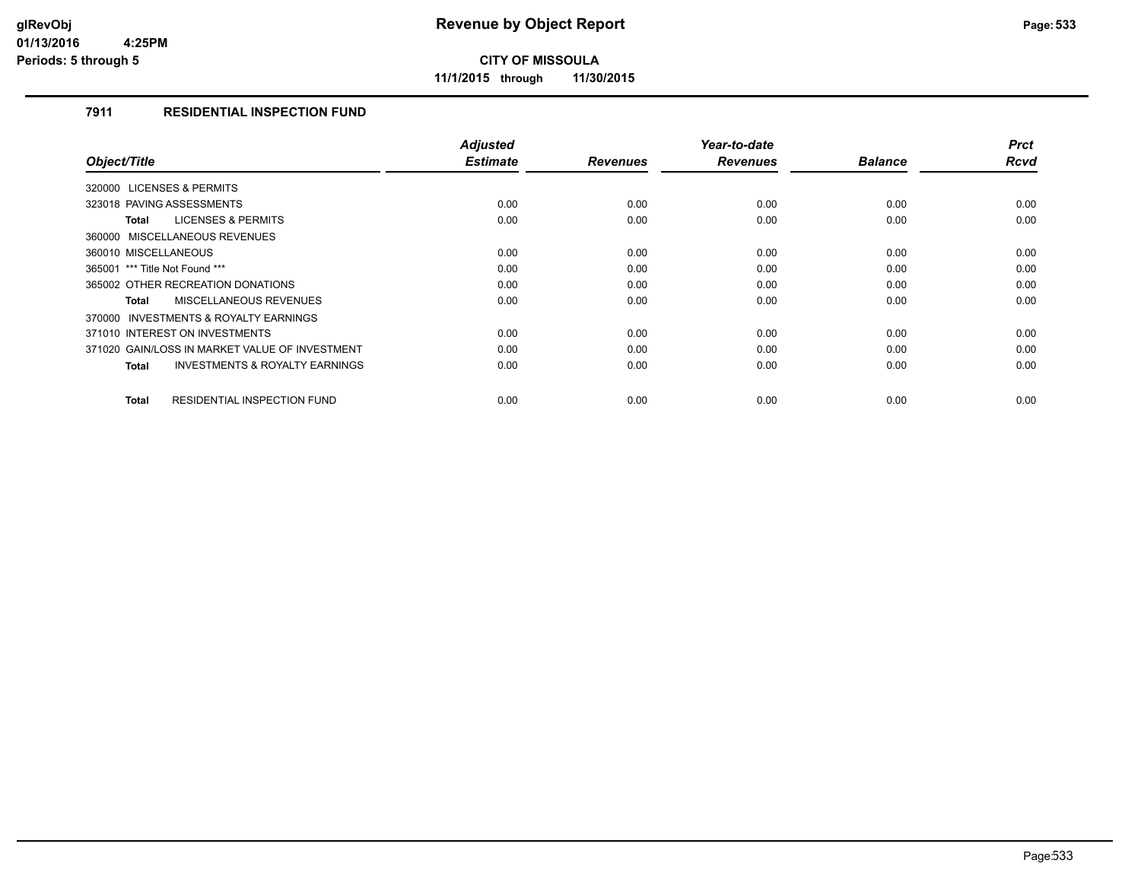**11/1/2015 through 11/30/2015**

#### **7911 RESIDENTIAL INSPECTION FUND**

| Object/Title                                              | <b>Adjusted</b><br><b>Estimate</b> | <b>Revenues</b> | Year-to-date<br><b>Revenues</b> | <b>Balance</b> | <b>Prct</b><br><b>Rcvd</b> |
|-----------------------------------------------------------|------------------------------------|-----------------|---------------------------------|----------------|----------------------------|
|                                                           |                                    |                 |                                 |                |                            |
| 320000 LICENSES & PERMITS                                 |                                    |                 |                                 |                |                            |
| 323018 PAVING ASSESSMENTS                                 | 0.00                               | 0.00            | 0.00                            | 0.00           | 0.00                       |
| <b>LICENSES &amp; PERMITS</b><br><b>Total</b>             | 0.00                               | 0.00            | 0.00                            | 0.00           | 0.00                       |
| 360000 MISCELLANEOUS REVENUES                             |                                    |                 |                                 |                |                            |
| 360010 MISCELLANEOUS                                      | 0.00                               | 0.00            | 0.00                            | 0.00           | 0.00                       |
| 365001 *** Title Not Found ***                            | 0.00                               | 0.00            | 0.00                            | 0.00           | 0.00                       |
| 365002 OTHER RECREATION DONATIONS                         | 0.00                               | 0.00            | 0.00                            | 0.00           | 0.00                       |
| <b>MISCELLANEOUS REVENUES</b><br><b>Total</b>             | 0.00                               | 0.00            | 0.00                            | 0.00           | 0.00                       |
| <b>INVESTMENTS &amp; ROYALTY EARNINGS</b><br>370000       |                                    |                 |                                 |                |                            |
| 371010 INTEREST ON INVESTMENTS                            | 0.00                               | 0.00            | 0.00                            | 0.00           | 0.00                       |
| 371020 GAIN/LOSS IN MARKET VALUE OF INVESTMENT            | 0.00                               | 0.00            | 0.00                            | 0.00           | 0.00                       |
| <b>INVESTMENTS &amp; ROYALTY EARNINGS</b><br><b>Total</b> | 0.00                               | 0.00            | 0.00                            | 0.00           | 0.00                       |
|                                                           |                                    |                 |                                 |                |                            |
| <b>RESIDENTIAL INSPECTION FUND</b><br><b>Total</b>        | 0.00                               | 0.00            | 0.00                            | 0.00           | 0.00                       |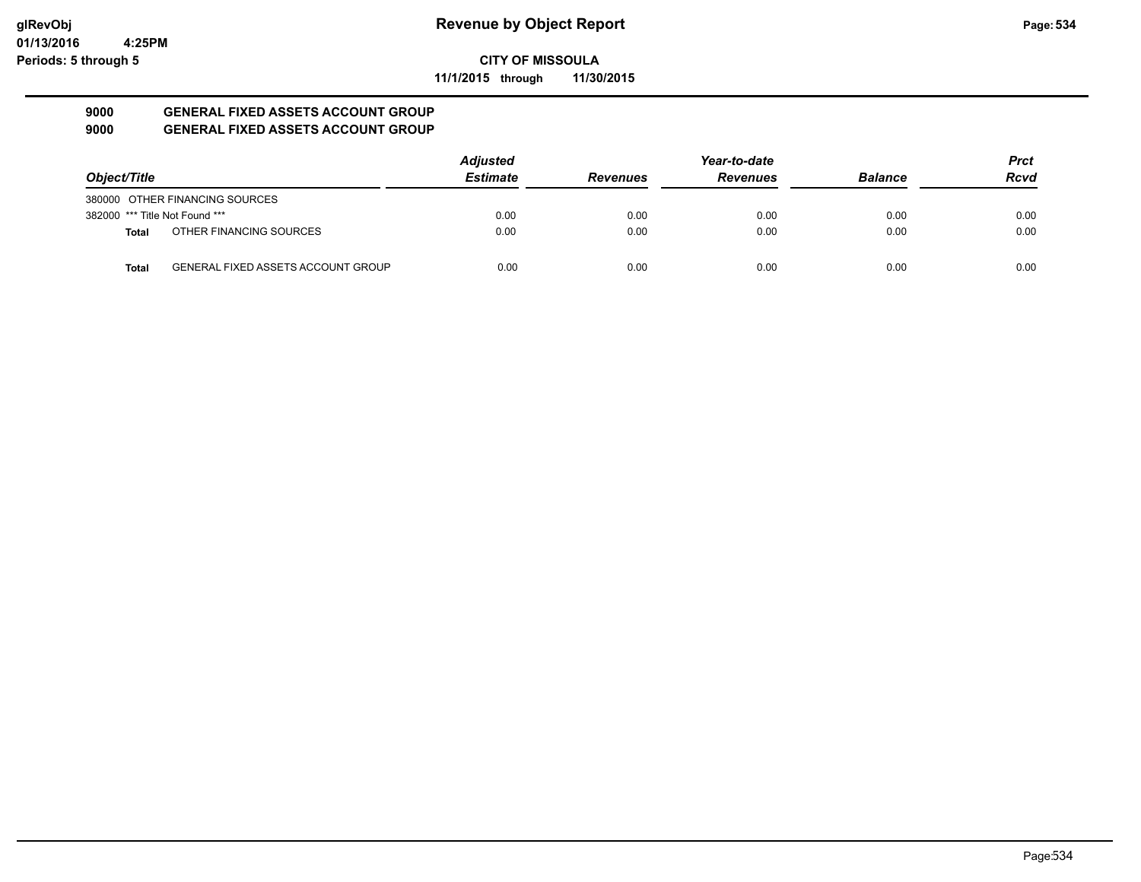**11/1/2015 through 11/30/2015**

#### **9000 GENERAL FIXED ASSETS ACCOUNT GROUP 9000 GENERAL FIXED ASSETS ACCOUNT GROUP**

|                                |                                           | <b>Adjusted</b> |                 | Year-to-date    |                | Prct |
|--------------------------------|-------------------------------------------|-----------------|-----------------|-----------------|----------------|------|
| Object/Title                   |                                           | <b>Estimate</b> | <b>Revenues</b> | <b>Revenues</b> | <b>Balance</b> | Rcvd |
|                                | 380000 OTHER FINANCING SOURCES            |                 |                 |                 |                |      |
| 382000 *** Title Not Found *** |                                           | 0.00            | 0.00            | 0.00            | 0.00           | 0.00 |
| <b>Total</b>                   | OTHER FINANCING SOURCES                   | 0.00            | 0.00            | 0.00            | 0.00           | 0.00 |
| <b>Total</b>                   | <b>GENERAL FIXED ASSETS ACCOUNT GROUP</b> | 0.00            | 0.00            | 0.00            | 0.00           | 0.00 |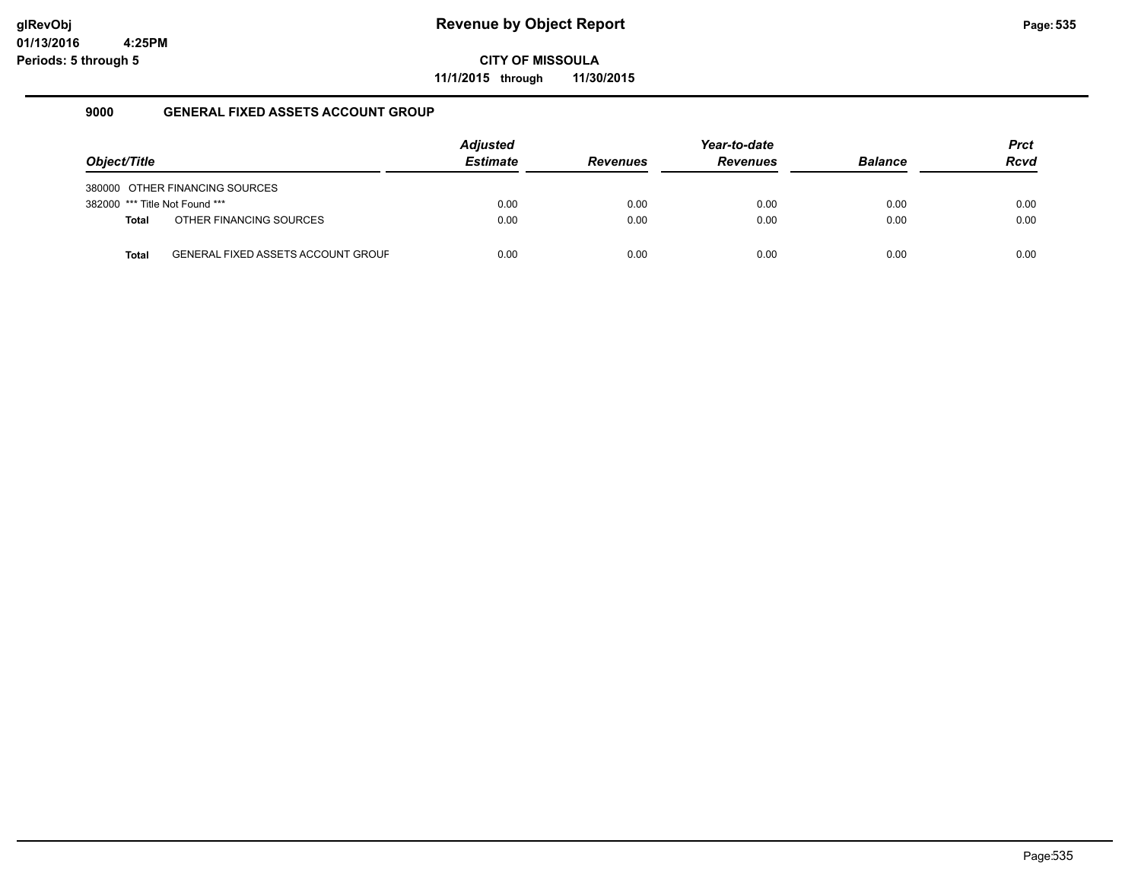**11/1/2015 through 11/30/2015**

#### **9000 GENERAL FIXED ASSETS ACCOUNT GROUP**

|                                |                                           | <b>Adjusted</b> |                 | Year-to-date    |                | <b>Prct</b> |
|--------------------------------|-------------------------------------------|-----------------|-----------------|-----------------|----------------|-------------|
| Object/Title                   |                                           | <b>Estimate</b> | <b>Revenues</b> | <b>Revenues</b> | <b>Balance</b> | <b>Rcvd</b> |
|                                | 380000 OTHER FINANCING SOURCES            |                 |                 |                 |                |             |
| 382000 *** Title Not Found *** |                                           | 0.00            | 0.00            | 0.00            | 0.00           | 0.00        |
| <b>Total</b>                   | OTHER FINANCING SOURCES                   | 0.00            | 0.00            | 0.00            | 0.00           | 0.00        |
| <b>Total</b>                   | <b>GENERAL FIXED ASSETS ACCOUNT GROUF</b> | 0.00            | 0.00            | 0.00            | 0.00           | 0.00        |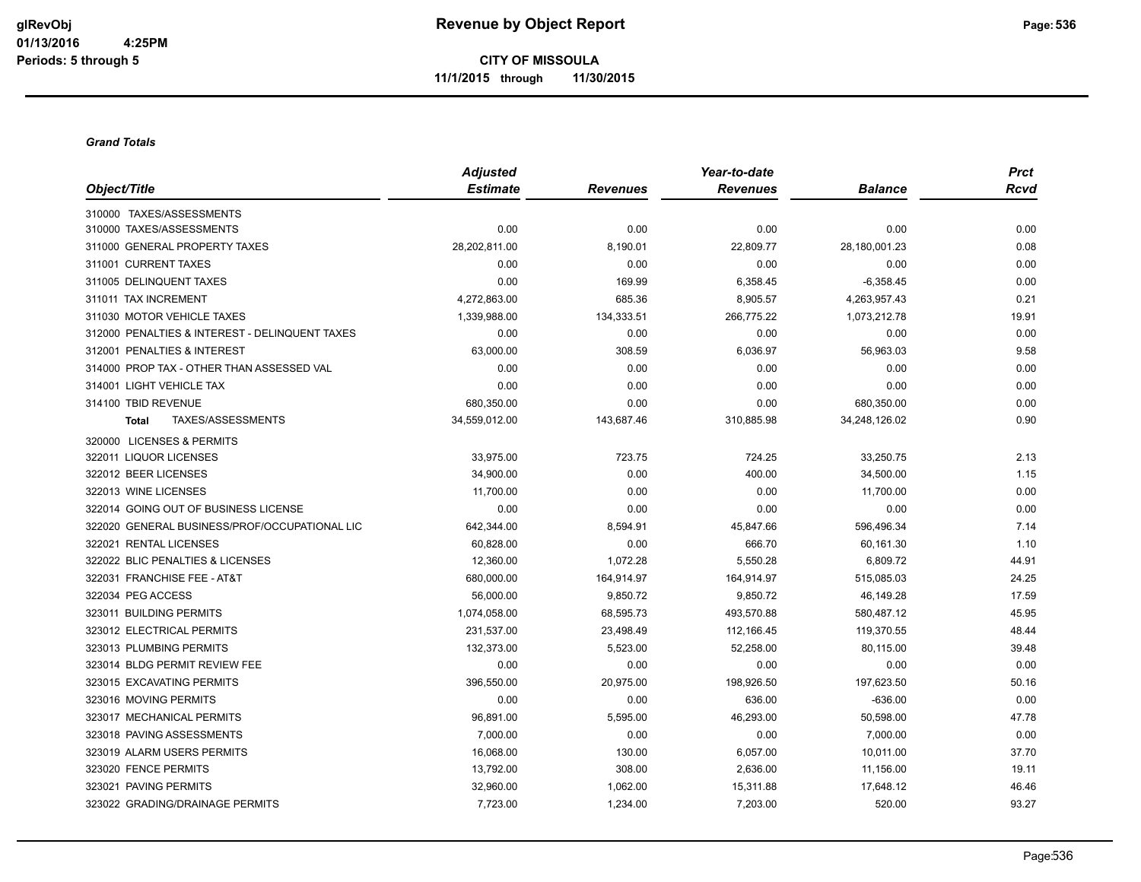**CITY OF MISSOULA 11/1/2015 through 11/30/2015**

#### *Grand Totals*

|                                                | <b>Adjusted</b> |                 | Year-to-date    |                | <b>Prct</b> |
|------------------------------------------------|-----------------|-----------------|-----------------|----------------|-------------|
| Object/Title                                   | <b>Estimate</b> | <b>Revenues</b> | <b>Revenues</b> | <b>Balance</b> | <b>Rcvd</b> |
| 310000 TAXES/ASSESSMENTS                       |                 |                 |                 |                |             |
| 310000 TAXES/ASSESSMENTS                       | 0.00            | 0.00            | 0.00            | 0.00           | 0.00        |
| 311000 GENERAL PROPERTY TAXES                  | 28,202,811.00   | 8,190.01        | 22,809.77       | 28,180,001.23  | 0.08        |
| 311001 CURRENT TAXES                           | 0.00            | 0.00            | 0.00            | 0.00           | 0.00        |
| 311005 DELINQUENT TAXES                        | 0.00            | 169.99          | 6,358.45        | $-6,358.45$    | 0.00        |
| 311011 TAX INCREMENT                           | 4,272,863.00    | 685.36          | 8,905.57        | 4,263,957.43   | 0.21        |
| 311030 MOTOR VEHICLE TAXES                     | 1,339,988.00    | 134,333.51      | 266,775.22      | 1,073,212.78   | 19.91       |
| 312000 PENALTIES & INTEREST - DELINQUENT TAXES | 0.00            | 0.00            | 0.00            | 0.00           | 0.00        |
| 312001 PENALTIES & INTEREST                    | 63,000.00       | 308.59          | 6,036.97        | 56,963.03      | 9.58        |
| 314000 PROP TAX - OTHER THAN ASSESSED VAL      | 0.00            | 0.00            | 0.00            | 0.00           | 0.00        |
| 314001 LIGHT VEHICLE TAX                       | 0.00            | 0.00            | 0.00            | 0.00           | 0.00        |
| 314100 TBID REVENUE                            | 680,350.00      | 0.00            | 0.00            | 680,350.00     | 0.00        |
| TAXES/ASSESSMENTS<br><b>Total</b>              | 34,559,012.00   | 143,687.46      | 310,885.98      | 34,248,126.02  | 0.90        |
| 320000 LICENSES & PERMITS                      |                 |                 |                 |                |             |
| 322011 LIQUOR LICENSES                         | 33,975.00       | 723.75          | 724.25          | 33,250.75      | 2.13        |
| 322012 BEER LICENSES                           | 34,900.00       | 0.00            | 400.00          | 34,500.00      | 1.15        |
| 322013 WINE LICENSES                           | 11,700.00       | 0.00            | 0.00            | 11,700.00      | 0.00        |
| 322014 GOING OUT OF BUSINESS LICENSE           | 0.00            | 0.00            | 0.00            | 0.00           | 0.00        |
| 322020 GENERAL BUSINESS/PROF/OCCUPATIONAL LIC  | 642,344.00      | 8,594.91        | 45,847.66       | 596,496.34     | 7.14        |
| 322021 RENTAL LICENSES                         | 60,828.00       | 0.00            | 666.70          | 60,161.30      | 1.10        |
| 322022 BLIC PENALTIES & LICENSES               | 12,360.00       | 1,072.28        | 5,550.28        | 6,809.72       | 44.91       |
| 322031 FRANCHISE FEE - AT&T                    | 680,000.00      | 164,914.97      | 164,914.97      | 515,085.03     | 24.25       |
| 322034 PEG ACCESS                              | 56,000.00       | 9,850.72        | 9,850.72        | 46,149.28      | 17.59       |
| 323011 BUILDING PERMITS                        | 1,074,058.00    | 68,595.73       | 493,570.88      | 580,487.12     | 45.95       |
| 323012 ELECTRICAL PERMITS                      | 231,537.00      | 23,498.49       | 112,166.45      | 119,370.55     | 48.44       |
| 323013 PLUMBING PERMITS                        | 132,373.00      | 5,523.00        | 52,258.00       | 80,115.00      | 39.48       |
| 323014 BLDG PERMIT REVIEW FEE                  | 0.00            | 0.00            | 0.00            | 0.00           | 0.00        |
| 323015 EXCAVATING PERMITS                      | 396,550.00      | 20,975.00       | 198,926.50      | 197,623.50     | 50.16       |
| 323016 MOVING PERMITS                          | 0.00            | 0.00            | 636.00          | $-636.00$      | 0.00        |
| 323017 MECHANICAL PERMITS                      | 96,891.00       | 5,595.00        | 46,293.00       | 50,598.00      | 47.78       |
| 323018 PAVING ASSESSMENTS                      | 7,000.00        | 0.00            | 0.00            | 7,000.00       | 0.00        |
| 323019 ALARM USERS PERMITS                     | 16,068.00       | 130.00          | 6,057.00        | 10,011.00      | 37.70       |
| 323020 FENCE PERMITS                           | 13,792.00       | 308.00          | 2,636.00        | 11,156.00      | 19.11       |
| 323021 PAVING PERMITS                          | 32,960.00       | 1,062.00        | 15,311.88       | 17,648.12      | 46.46       |
| 323022 GRADING/DRAINAGE PERMITS                | 7,723.00        | 1,234.00        | 7,203.00        | 520.00         | 93.27       |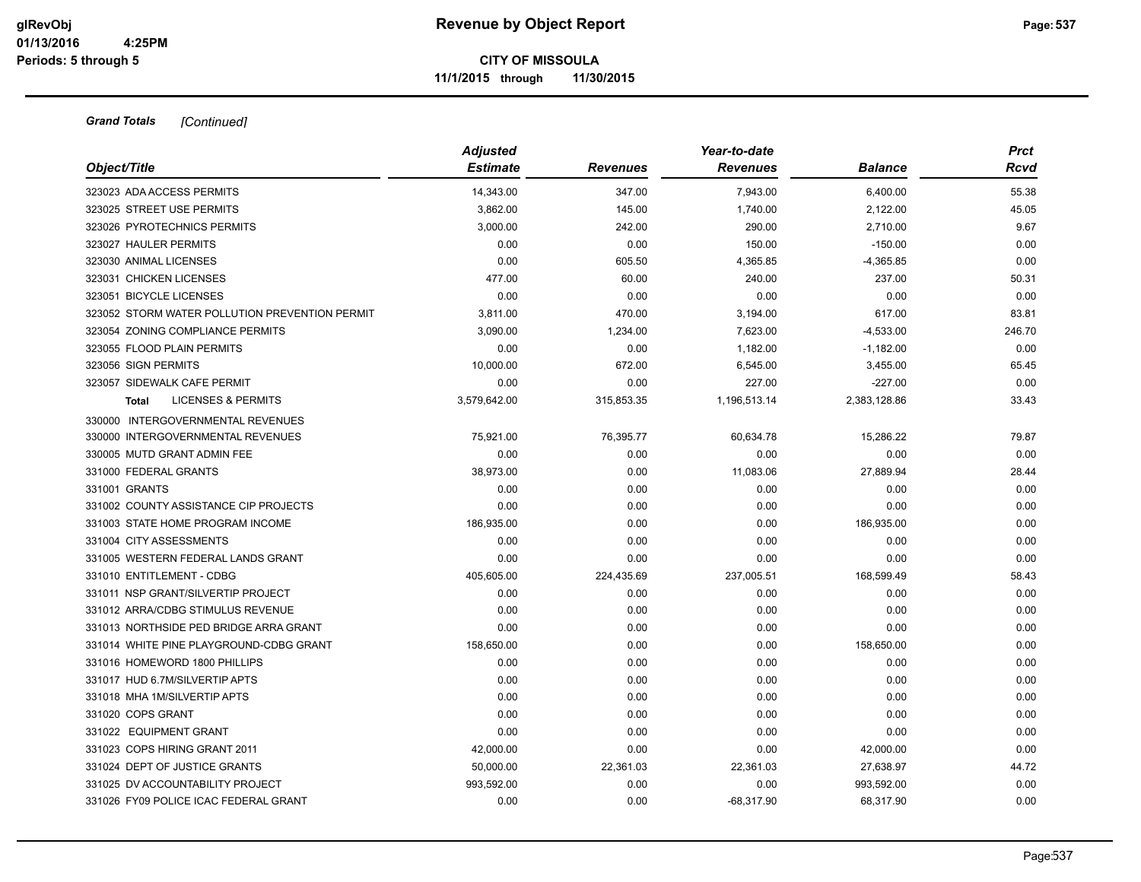#### **CITY OF MISSOULA 11/1/2015 through 11/30/2015**

| Object/Title                                   | <b>Adjusted</b><br><b>Estimate</b> | <b>Revenues</b> | Year-to-date<br><b>Revenues</b> | <b>Balance</b> | <b>Prct</b><br>Rcvd |
|------------------------------------------------|------------------------------------|-----------------|---------------------------------|----------------|---------------------|
| 323023 ADA ACCESS PERMITS                      | 14,343.00                          | 347.00          | 7,943.00                        | 6,400.00       | 55.38               |
| 323025 STREET USE PERMITS                      | 3,862.00                           | 145.00          | 1,740.00                        | 2,122.00       | 45.05               |
| 323026 PYROTECHNICS PERMITS                    | 3,000.00                           | 242.00          | 290.00                          | 2,710.00       | 9.67                |
| 323027 HAULER PERMITS                          | 0.00                               | 0.00            | 150.00                          | $-150.00$      | 0.00                |
| 323030 ANIMAL LICENSES                         | 0.00                               | 605.50          | 4,365.85                        | -4,365.85      | 0.00                |
| 323031 CHICKEN LICENSES                        | 477.00                             | 60.00           | 240.00                          | 237.00         | 50.31               |
| 323051 BICYCLE LICENSES                        | 0.00                               | 0.00            | 0.00                            | 0.00           | 0.00                |
| 323052 STORM WATER POLLUTION PREVENTION PERMIT | 3,811.00                           | 470.00          | 3,194.00                        | 617.00         | 83.81               |
| 323054 ZONING COMPLIANCE PERMITS               | 3,090.00                           | 1,234.00        | 7,623.00                        | $-4,533.00$    | 246.70              |
| 323055 FLOOD PLAIN PERMITS                     | 0.00                               | 0.00            | 1,182.00                        | $-1,182.00$    | 0.00                |
| 323056 SIGN PERMITS                            | 10,000.00                          | 672.00          | 6,545.00                        | 3,455.00       | 65.45               |
| 323057 SIDEWALK CAFE PERMIT                    | 0.00                               | 0.00            | 227.00                          | $-227.00$      | 0.00                |
| <b>LICENSES &amp; PERMITS</b><br>Total         | 3,579,642.00                       | 315,853.35      | 1,196,513.14                    | 2,383,128.86   | 33.43               |
| 330000 INTERGOVERNMENTAL REVENUES              |                                    |                 |                                 |                |                     |
| 330000 INTERGOVERNMENTAL REVENUES              | 75,921.00                          | 76,395.77       | 60,634.78                       | 15,286.22      | 79.87               |
| 330005 MUTD GRANT ADMIN FEE                    | 0.00                               | 0.00            | 0.00                            | 0.00           | 0.00                |
| 331000 FEDERAL GRANTS                          | 38,973.00                          | 0.00            | 11,083.06                       | 27,889.94      | 28.44               |
| 331001 GRANTS                                  | 0.00                               | 0.00            | 0.00                            | 0.00           | 0.00                |
| 331002 COUNTY ASSISTANCE CIP PROJECTS          | 0.00                               | 0.00            | 0.00                            | 0.00           | 0.00                |
| 331003 STATE HOME PROGRAM INCOME               | 186,935.00                         | 0.00            | 0.00                            | 186,935.00     | 0.00                |
| 331004 CITY ASSESSMENTS                        | 0.00                               | 0.00            | 0.00                            | 0.00           | 0.00                |
| 331005 WESTERN FEDERAL LANDS GRANT             | 0.00                               | 0.00            | 0.00                            | 0.00           | 0.00                |
| 331010 ENTITLEMENT - CDBG                      | 405.605.00                         | 224,435.69      | 237,005.51                      | 168,599.49     | 58.43               |
| 331011 NSP GRANT/SILVERTIP PROJECT             | 0.00                               | 0.00            | 0.00                            | 0.00           | 0.00                |
| 331012 ARRA/CDBG STIMULUS REVENUE              | 0.00                               | 0.00            | 0.00                            | 0.00           | 0.00                |
| 331013 NORTHSIDE PED BRIDGE ARRA GRANT         | 0.00                               | 0.00            | 0.00                            | 0.00           | 0.00                |
| 331014 WHITE PINE PLAYGROUND-CDBG GRANT        | 158,650.00                         | 0.00            | 0.00                            | 158,650.00     | 0.00                |
| 331016 HOMEWORD 1800 PHILLIPS                  | 0.00                               | 0.00            | 0.00                            | 0.00           | 0.00                |
| 331017 HUD 6.7M/SILVERTIP APTS                 | 0.00                               | 0.00            | 0.00                            | 0.00           | 0.00                |
| 331018 MHA 1M/SILVERTIP APTS                   | 0.00                               | 0.00            | 0.00                            | 0.00           | 0.00                |
| 331020 COPS GRANT                              | 0.00                               | 0.00            | 0.00                            | 0.00           | 0.00                |
| 331022 EQUIPMENT GRANT                         | 0.00                               | 0.00            | 0.00                            | 0.00           | 0.00                |
| 331023 COPS HIRING GRANT 2011                  | 42,000.00                          | 0.00            | 0.00                            | 42,000.00      | 0.00                |
| 331024 DEPT OF JUSTICE GRANTS                  | 50,000.00                          | 22,361.03       | 22,361.03                       | 27,638.97      | 44.72               |
| 331025 DV ACCOUNTABILITY PROJECT               | 993,592.00                         | 0.00            | 0.00                            | 993,592.00     | 0.00                |
| 331026 FY09 POLICE ICAC FEDERAL GRANT          | 0.00                               | 0.00            | $-68,317.90$                    | 68,317.90      | 0.00                |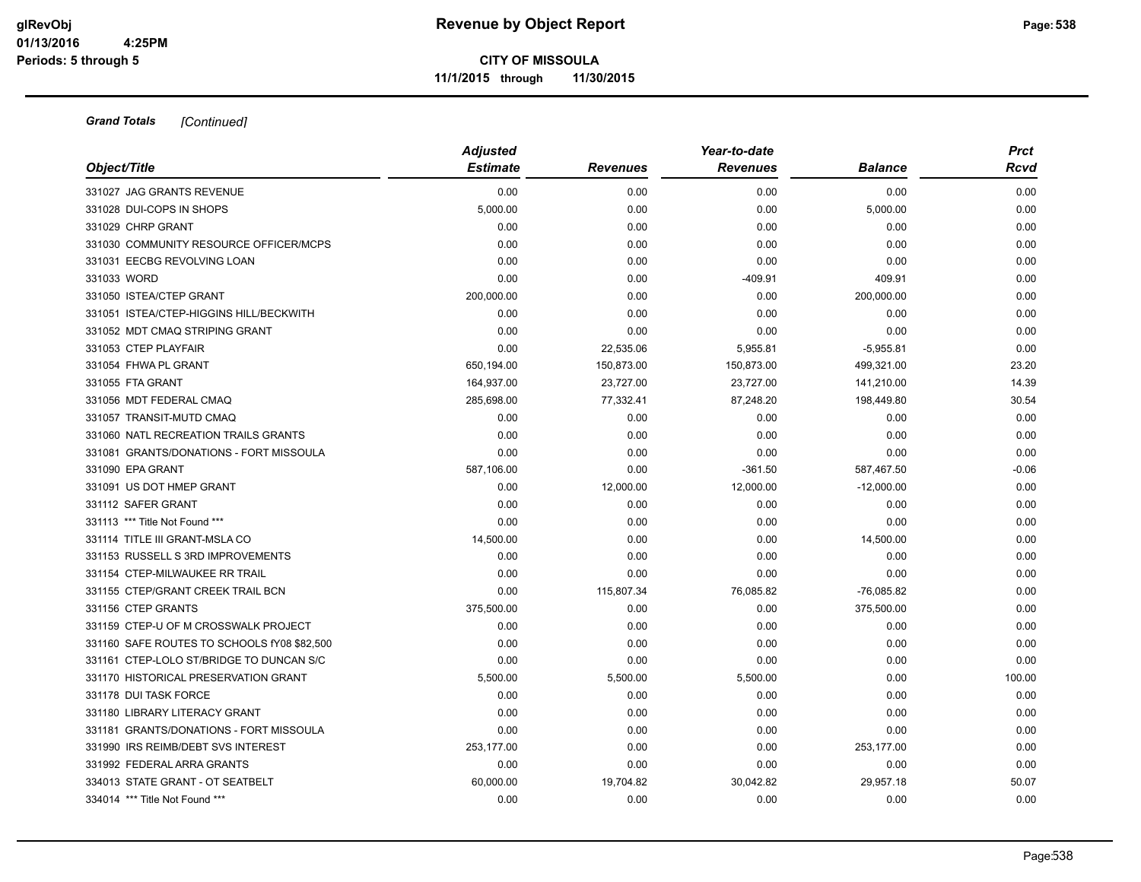**11/1/2015 through 11/30/2015**

|                                             | <b>Adjusted</b> | Year-to-date    |                 |                | <b>Prct</b> |
|---------------------------------------------|-----------------|-----------------|-----------------|----------------|-------------|
| Object/Title                                | <b>Estimate</b> | <b>Revenues</b> | <b>Revenues</b> | <b>Balance</b> | <b>Rcvd</b> |
| 331027 JAG GRANTS REVENUE                   | 0.00            | 0.00            | 0.00            | 0.00           | 0.00        |
| 331028 DUI-COPS IN SHOPS                    | 5,000.00        | 0.00            | 0.00            | 5,000.00       | 0.00        |
| 331029 CHRP GRANT                           | 0.00            | 0.00            | 0.00            | 0.00           | 0.00        |
| 331030 COMMUNITY RESOURCE OFFICER/MCPS      | 0.00            | 0.00            | 0.00            | 0.00           | 0.00        |
| 331031 EECBG REVOLVING LOAN                 | 0.00            | 0.00            | 0.00            | 0.00           | 0.00        |
| 331033 WORD                                 | 0.00            | 0.00            | $-409.91$       | 409.91         | 0.00        |
| 331050 ISTEA/CTEP GRANT                     | 200,000.00      | 0.00            | 0.00            | 200,000.00     | 0.00        |
| 331051 ISTEA/CTEP-HIGGINS HILL/BECKWITH     | 0.00            | 0.00            | 0.00            | 0.00           | 0.00        |
| 331052 MDT CMAQ STRIPING GRANT              | 0.00            | 0.00            | 0.00            | 0.00           | 0.00        |
| 331053 CTEP PLAYFAIR                        | 0.00            | 22,535.06       | 5,955.81        | $-5,955.81$    | 0.00        |
| 331054 FHWA PL GRANT                        | 650,194.00      | 150,873.00      | 150,873.00      | 499,321.00     | 23.20       |
| 331055 FTA GRANT                            | 164,937.00      | 23,727.00       | 23,727.00       | 141,210.00     | 14.39       |
| 331056 MDT FEDERAL CMAQ                     | 285,698.00      | 77,332.41       | 87,248.20       | 198,449.80     | 30.54       |
| 331057 TRANSIT-MUTD CMAQ                    | 0.00            | 0.00            | 0.00            | 0.00           | 0.00        |
| 331060 NATL RECREATION TRAILS GRANTS        | 0.00            | 0.00            | 0.00            | 0.00           | 0.00        |
| 331081 GRANTS/DONATIONS - FORT MISSOULA     | 0.00            | 0.00            | 0.00            | 0.00           | 0.00        |
| 331090 EPA GRANT                            | 587,106.00      | 0.00            | $-361.50$       | 587,467.50     | $-0.06$     |
| 331091 US DOT HMEP GRANT                    | 0.00            | 12,000.00       | 12,000.00       | $-12,000.00$   | 0.00        |
| 331112 SAFER GRANT                          | 0.00            | 0.00            | 0.00            | 0.00           | 0.00        |
| 331113 *** Title Not Found ***              | 0.00            | 0.00            | 0.00            | 0.00           | 0.00        |
| 331114 TITLE III GRANT-MSLA CO              | 14,500.00       | 0.00            | 0.00            | 14,500.00      | 0.00        |
| 331153 RUSSELL S 3RD IMPROVEMENTS           | 0.00            | 0.00            | 0.00            | 0.00           | 0.00        |
| 331154 CTEP-MILWAUKEE RR TRAIL              | 0.00            | 0.00            | 0.00            | 0.00           | 0.00        |
| 331155 CTEP/GRANT CREEK TRAIL BCN           | 0.00            | 115,807.34      | 76,085.82       | $-76,085.82$   | 0.00        |
| 331156 CTEP GRANTS                          | 375,500.00      | 0.00            | 0.00            | 375,500.00     | 0.00        |
| 331159 CTEP-U OF M CROSSWALK PROJECT        | 0.00            | 0.00            | 0.00            | 0.00           | 0.00        |
| 331160 SAFE ROUTES TO SCHOOLS fY08 \$82,500 | 0.00            | 0.00            | 0.00            | 0.00           | 0.00        |
| 331161 CTEP-LOLO ST/BRIDGE TO DUNCAN S/C    | 0.00            | 0.00            | 0.00            | 0.00           | 0.00        |
| 331170 HISTORICAL PRESERVATION GRANT        | 5,500.00        | 5,500.00        | 5,500.00        | 0.00           | 100.00      |
| 331178 DUI TASK FORCE                       | 0.00            | 0.00            | 0.00            | 0.00           | 0.00        |
| 331180 LIBRARY LITERACY GRANT               | 0.00            | 0.00            | 0.00            | 0.00           | 0.00        |
| 331181 GRANTS/DONATIONS - FORT MISSOULA     | 0.00            | 0.00            | 0.00            | 0.00           | 0.00        |
| 331990 IRS REIMB/DEBT SVS INTEREST          | 253,177.00      | 0.00            | 0.00            | 253,177.00     | 0.00        |
| 331992 FEDERAL ARRA GRANTS                  | 0.00            | 0.00            | 0.00            | 0.00           | 0.00        |
| 334013 STATE GRANT - OT SEATBELT            | 60,000.00       | 19,704.82       | 30,042.82       | 29,957.18      | 50.07       |
| 334014 *** Title Not Found ***              | 0.00            | 0.00            | 0.00            | 0.00           | 0.00        |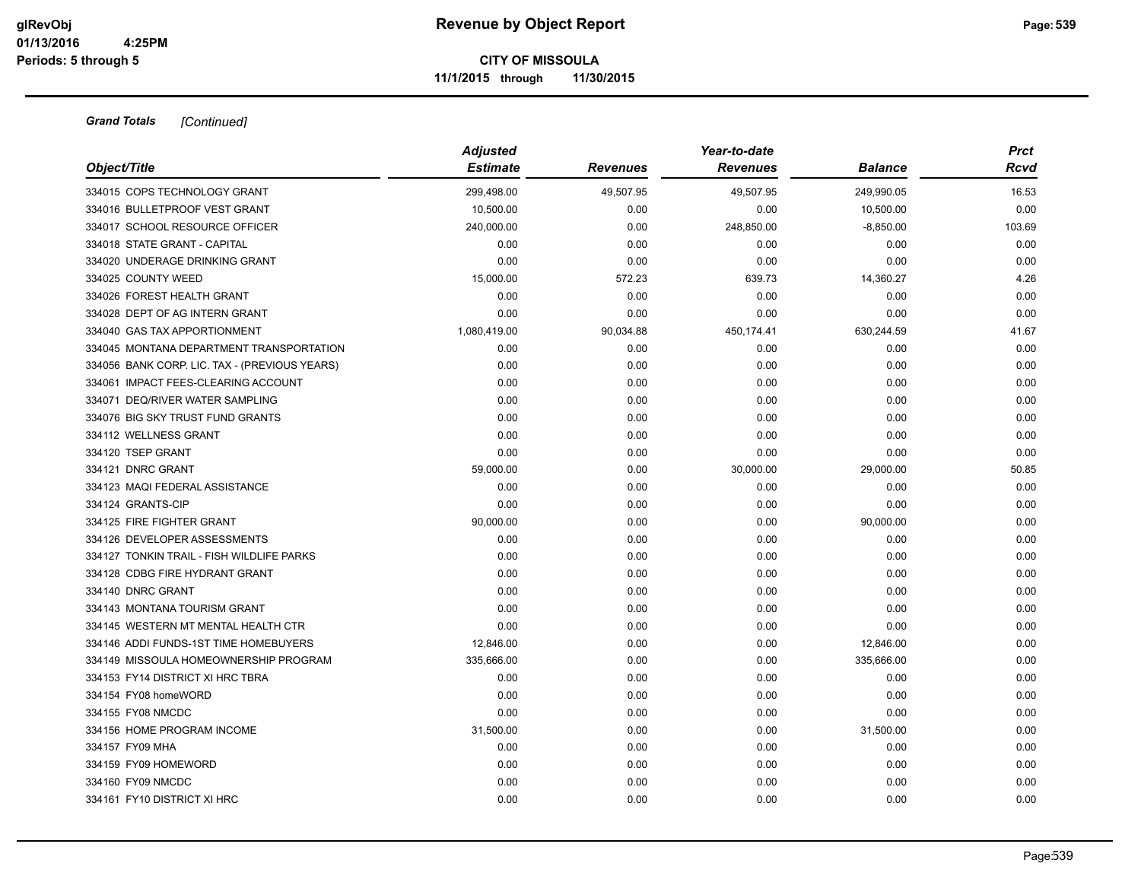**11/1/2015 through 11/30/2015**

| Object/Title                                  | <b>Adjusted</b><br><b>Estimate</b> | Revenues  | Year-to-date<br><b>Revenues</b> | <b>Balance</b> | <b>Prct</b><br>Rcvd |
|-----------------------------------------------|------------------------------------|-----------|---------------------------------|----------------|---------------------|
| 334015 COPS TECHNOLOGY GRANT                  | 299,498.00                         | 49,507.95 | 49,507.95                       | 249,990.05     | 16.53               |
| 334016 BULLETPROOF VEST GRANT                 | 10,500.00                          | 0.00      | 0.00                            | 10,500.00      | 0.00                |
| 334017 SCHOOL RESOURCE OFFICER                | 240,000.00                         | 0.00      | 248,850.00                      | $-8,850.00$    | 103.69              |
| 334018 STATE GRANT - CAPITAL                  | 0.00                               | 0.00      | 0.00                            | 0.00           | 0.00                |
| 334020 UNDERAGE DRINKING GRANT                | 0.00                               | 0.00      | 0.00                            | 0.00           | 0.00                |
| 334025 COUNTY WEED                            | 15,000.00                          | 572.23    | 639.73                          | 14,360.27      | 4.26                |
| 334026 FOREST HEALTH GRANT                    | 0.00                               | 0.00      | 0.00                            | 0.00           | 0.00                |
| 334028 DEPT OF AG INTERN GRANT                | 0.00                               | 0.00      | 0.00                            | 0.00           | 0.00                |
| 334040 GAS TAX APPORTIONMENT                  | 1,080,419.00                       | 90,034.88 | 450,174.41                      | 630,244.59     | 41.67               |
| 334045 MONTANA DEPARTMENT TRANSPORTATION      | 0.00                               | 0.00      | 0.00                            | 0.00           | 0.00                |
| 334056 BANK CORP. LIC. TAX - (PREVIOUS YEARS) | 0.00                               | 0.00      | 0.00                            | 0.00           | 0.00                |
| 334061 IMPACT FEES-CLEARING ACCOUNT           | 0.00                               | 0.00      | 0.00                            | 0.00           | 0.00                |
| 334071 DEQ/RIVER WATER SAMPLING               | 0.00                               | 0.00      | 0.00                            | 0.00           | 0.00                |
| 334076 BIG SKY TRUST FUND GRANTS              | 0.00                               | 0.00      | 0.00                            | 0.00           | 0.00                |
| 334112 WELLNESS GRANT                         | 0.00                               | 0.00      | 0.00                            | 0.00           | 0.00                |
| 334120 TSEP GRANT                             | 0.00                               | 0.00      | 0.00                            | 0.00           | 0.00                |
| 334121 DNRC GRANT                             | 59,000.00                          | 0.00      | 30,000.00                       | 29,000.00      | 50.85               |
| 334123 MAQI FEDERAL ASSISTANCE                | 0.00                               | 0.00      | 0.00                            | 0.00           | 0.00                |
| 334124 GRANTS-CIP                             | 0.00                               | 0.00      | 0.00                            | 0.00           | 0.00                |
| 334125 FIRE FIGHTER GRANT                     | 90,000.00                          | 0.00      | 0.00                            | 90,000.00      | 0.00                |
| 334126 DEVELOPER ASSESSMENTS                  | 0.00                               | 0.00      | 0.00                            | 0.00           | 0.00                |
| 334127 TONKIN TRAIL - FISH WILDLIFE PARKS     | 0.00                               | 0.00      | 0.00                            | 0.00           | 0.00                |
| 334128 CDBG FIRE HYDRANT GRANT                | 0.00                               | 0.00      | 0.00                            | 0.00           | 0.00                |
| 334140 DNRC GRANT                             | 0.00                               | 0.00      | 0.00                            | 0.00           | 0.00                |
| 334143 MONTANA TOURISM GRANT                  | 0.00                               | 0.00      | 0.00                            | 0.00           | 0.00                |
| 334145 WESTERN MT MENTAL HEALTH CTR           | 0.00                               | 0.00      | 0.00                            | 0.00           | 0.00                |
| 334146 ADDI FUNDS-1ST TIME HOMEBUYERS         | 12,846.00                          | 0.00      | 0.00                            | 12,846.00      | 0.00                |
| 334149 MISSOULA HOMEOWNERSHIP PROGRAM         | 335,666.00                         | 0.00      | 0.00                            | 335,666.00     | 0.00                |
| 334153 FY14 DISTRICT XI HRC TBRA              | 0.00                               | 0.00      | 0.00                            | 0.00           | 0.00                |
| 334154 FY08 homeWORD                          | 0.00                               | 0.00      | 0.00                            | 0.00           | 0.00                |
| 334155 FY08 NMCDC                             | 0.00                               | 0.00      | 0.00                            | 0.00           | 0.00                |
| 334156 HOME PROGRAM INCOME                    | 31,500.00                          | 0.00      | 0.00                            | 31,500.00      | 0.00                |
| 334157 FY09 MHA                               | 0.00                               | 0.00      | 0.00                            | 0.00           | 0.00                |
| 334159 FY09 HOMEWORD                          | 0.00                               | 0.00      | 0.00                            | 0.00           | 0.00                |
| 334160 FY09 NMCDC                             | 0.00                               | 0.00      | 0.00                            | 0.00           | 0.00                |
| 334161 FY10 DISTRICT XI HRC                   | 0.00                               | 0.00      | 0.00                            | 0.00           | 0.00                |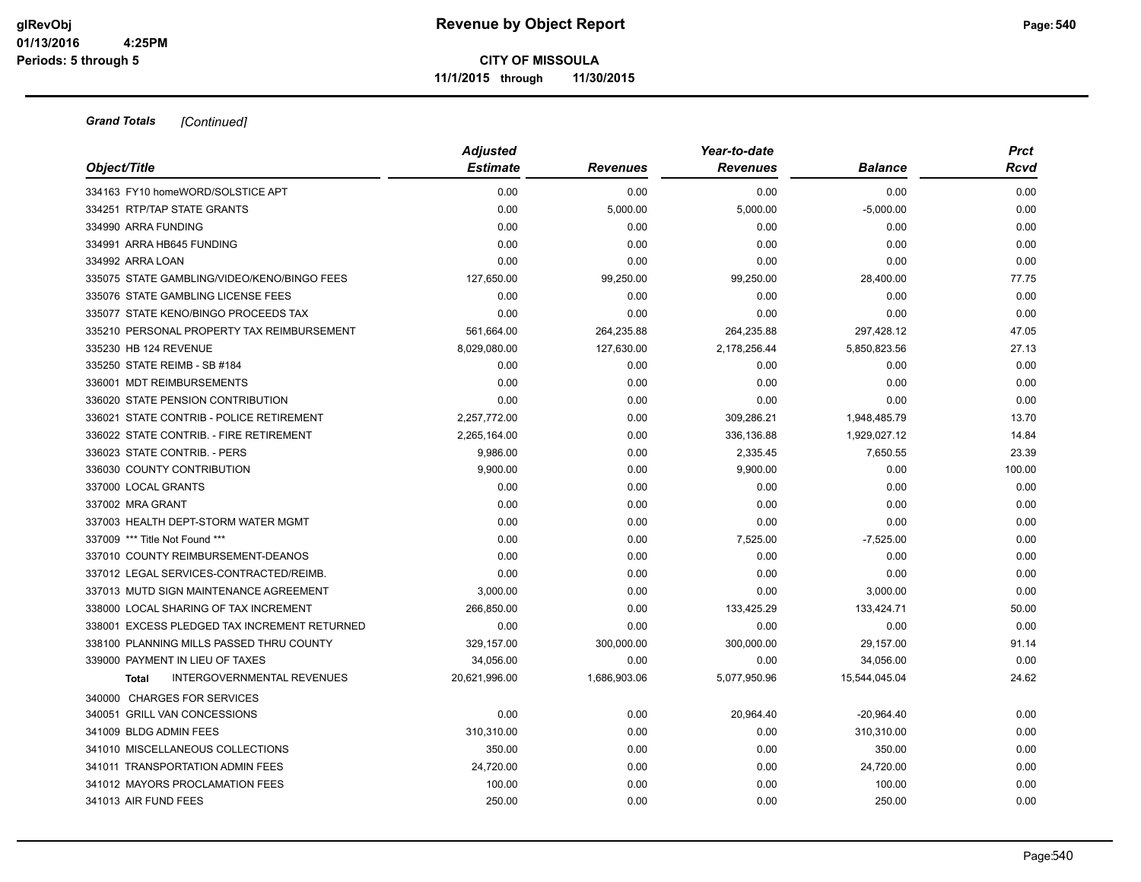**11/1/2015 through 11/30/2015**

| Object/Title                                      | <b>Adjusted</b><br><b>Estimate</b> | <b>Revenues</b> | Year-to-date<br><b>Revenues</b> | <b>Balance</b> | <b>Prct</b><br><b>Rcvd</b> |
|---------------------------------------------------|------------------------------------|-----------------|---------------------------------|----------------|----------------------------|
|                                                   |                                    |                 |                                 |                |                            |
| 334163 FY10 homeWORD/SOLSTICE APT                 | 0.00                               | 0.00            | 0.00                            | 0.00           | 0.00                       |
| 334251 RTP/TAP STATE GRANTS                       | 0.00                               | 5,000.00        | 5,000.00                        | $-5,000.00$    | 0.00                       |
| 334990 ARRA FUNDING                               | 0.00                               | 0.00            | 0.00                            | 0.00           | 0.00                       |
| 334991 ARRA HB645 FUNDING                         | 0.00                               | 0.00            | 0.00                            | 0.00           | 0.00                       |
| 334992 ARRA LOAN                                  | 0.00                               | 0.00            | 0.00                            | 0.00           | 0.00                       |
| 335075 STATE GAMBLING/VIDEO/KENO/BINGO FEES       | 127,650.00                         | 99,250.00       | 99,250.00                       | 28,400.00      | 77.75                      |
| 335076 STATE GAMBLING LICENSE FEES                | 0.00                               | 0.00            | 0.00                            | 0.00           | 0.00                       |
| 335077 STATE KENO/BINGO PROCEEDS TAX              | 0.00                               | 0.00            | 0.00                            | 0.00           | 0.00                       |
| 335210 PERSONAL PROPERTY TAX REIMBURSEMENT        | 561,664.00                         | 264,235.88      | 264,235.88                      | 297,428.12     | 47.05                      |
| 335230 HB 124 REVENUE                             | 8,029,080.00                       | 127,630.00      | 2,178,256.44                    | 5,850,823.56   | 27.13                      |
| 335250 STATE REIMB - SB #184                      | 0.00                               | 0.00            | 0.00                            | 0.00           | 0.00                       |
| 336001 MDT REIMBURSEMENTS                         | 0.00                               | 0.00            | 0.00                            | 0.00           | 0.00                       |
| 336020 STATE PENSION CONTRIBUTION                 | 0.00                               | 0.00            | 0.00                            | 0.00           | 0.00                       |
| 336021 STATE CONTRIB - POLICE RETIREMENT          | 2,257,772.00                       | 0.00            | 309,286.21                      | 1,948,485.79   | 13.70                      |
| 336022 STATE CONTRIB. - FIRE RETIREMENT           | 2,265,164.00                       | 0.00            | 336,136.88                      | 1,929,027.12   | 14.84                      |
| 336023 STATE CONTRIB. - PERS                      | 9,986.00                           | 0.00            | 2,335.45                        | 7,650.55       | 23.39                      |
| 336030 COUNTY CONTRIBUTION                        | 9,900.00                           | 0.00            | 9,900.00                        | 0.00           | 100.00                     |
| 337000 LOCAL GRANTS                               | 0.00                               | 0.00            | 0.00                            | 0.00           | 0.00                       |
| 337002 MRA GRANT                                  | 0.00                               | 0.00            | 0.00                            | 0.00           | 0.00                       |
| 337003 HEALTH DEPT-STORM WATER MGMT               | 0.00                               | 0.00            | 0.00                            | 0.00           | 0.00                       |
| 337009 *** Title Not Found ***                    | 0.00                               | 0.00            | 7,525.00                        | $-7,525.00$    | 0.00                       |
| 337010 COUNTY REIMBURSEMENT-DEANOS                | 0.00                               | 0.00            | 0.00                            | 0.00           | 0.00                       |
| 337012 LEGAL SERVICES-CONTRACTED/REIMB.           | 0.00                               | 0.00            | 0.00                            | 0.00           | 0.00                       |
| 337013 MUTD SIGN MAINTENANCE AGREEMENT            | 3,000.00                           | 0.00            | 0.00                            | 3,000.00       | 0.00                       |
| 338000 LOCAL SHARING OF TAX INCREMENT             | 266,850.00                         | 0.00            | 133,425.29                      | 133,424.71     | 50.00                      |
| 338001 EXCESS PLEDGED TAX INCREMENT RETURNED      | 0.00                               | 0.00            | 0.00                            | 0.00           | 0.00                       |
| 338100 PLANNING MILLS PASSED THRU COUNTY          | 329,157.00                         | 300,000.00      | 300,000.00                      | 29,157.00      | 91.14                      |
| 339000 PAYMENT IN LIEU OF TAXES                   | 34,056.00                          | 0.00            | 0.00                            | 34,056.00      | 0.00                       |
| <b>INTERGOVERNMENTAL REVENUES</b><br><b>Total</b> | 20,621,996.00                      | 1,686,903.06    | 5,077,950.96                    | 15,544,045.04  | 24.62                      |
| 340000 CHARGES FOR SERVICES                       |                                    |                 |                                 |                |                            |
| 340051 GRILL VAN CONCESSIONS                      | 0.00                               | 0.00            | 20,964.40                       | $-20,964.40$   | 0.00                       |
| 341009 BLDG ADMIN FEES                            | 310,310.00                         | 0.00            | 0.00                            | 310,310.00     | 0.00                       |
| 341010 MISCELLANEOUS COLLECTIONS                  | 350.00                             | 0.00            | 0.00                            | 350.00         | 0.00                       |
| 341011 TRANSPORTATION ADMIN FEES                  | 24,720.00                          | 0.00            | 0.00                            | 24,720.00      | 0.00                       |
| 341012 MAYORS PROCLAMATION FEES                   | 100.00                             | 0.00            | 0.00                            | 100.00         | 0.00                       |
| 341013 AIR FUND FEES                              | 250.00                             | 0.00            | 0.00                            | 250.00         | 0.00                       |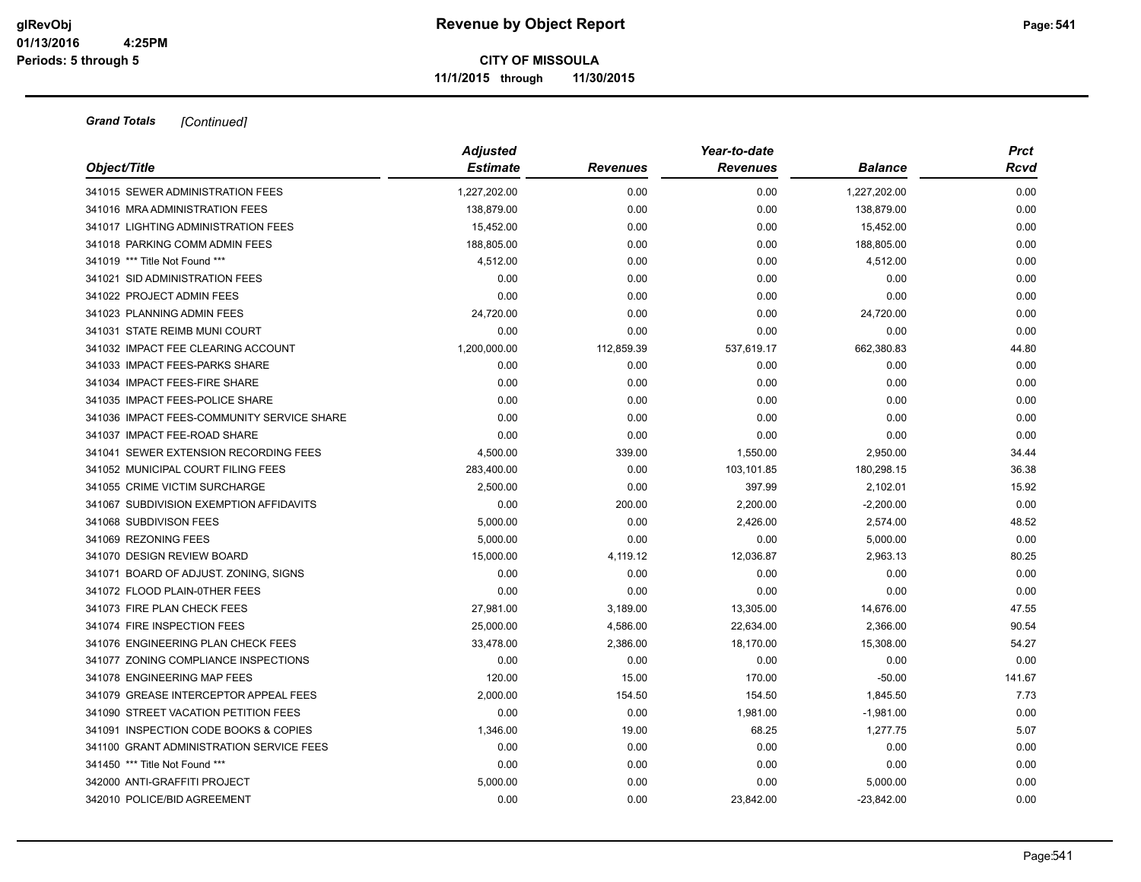#### **CITY OF MISSOULA 11/1/2015 through 11/30/2015**

| Object/Title                               | <b>Adjusted</b><br><b>Estimate</b> | <b>Revenues</b> | Year-to-date<br><b>Revenues</b> | <b>Balance</b> | <b>Prct</b><br>Rcvd |
|--------------------------------------------|------------------------------------|-----------------|---------------------------------|----------------|---------------------|
| 341015 SEWER ADMINISTRATION FEES           | 1,227,202.00                       | 0.00            | 0.00                            | 1,227,202.00   | 0.00                |
| 341016 MRA ADMINISTRATION FEES             | 138,879.00                         | 0.00            | 0.00                            | 138,879.00     | 0.00                |
| 341017 LIGHTING ADMINISTRATION FEES        | 15,452.00                          | 0.00            | 0.00                            | 15,452.00      | 0.00                |
| 341018 PARKING COMM ADMIN FEES             | 188,805.00                         | 0.00            | 0.00                            | 188,805.00     | 0.00                |
| 341019 *** Title Not Found ***             | 4,512.00                           | 0.00            | 0.00                            | 4,512.00       | 0.00                |
| 341021 SID ADMINISTRATION FEES             | 0.00                               | 0.00            | 0.00                            | 0.00           | 0.00                |
| 341022 PROJECT ADMIN FEES                  | 0.00                               | 0.00            | 0.00                            | 0.00           | 0.00                |
| 341023 PLANNING ADMIN FEES                 | 24,720.00                          | 0.00            | 0.00                            | 24,720.00      | 0.00                |
| 341031 STATE REIMB MUNI COURT              | 0.00                               | 0.00            | 0.00                            | 0.00           | 0.00                |
| 341032 IMPACT FEE CLEARING ACCOUNT         | 1,200,000.00                       | 112,859.39      | 537,619.17                      | 662,380.83     | 44.80               |
| 341033 IMPACT FEES-PARKS SHARE             | 0.00                               | 0.00            | 0.00                            | 0.00           | 0.00                |
| 341034 IMPACT FEES-FIRE SHARE              | 0.00                               | 0.00            | 0.00                            | 0.00           | 0.00                |
| 341035 IMPACT FEES-POLICE SHARE            | 0.00                               | 0.00            | 0.00                            | 0.00           | 0.00                |
| 341036 IMPACT FEES-COMMUNITY SERVICE SHARE | 0.00                               | 0.00            | 0.00                            | 0.00           | 0.00                |
| 341037 IMPACT FEE-ROAD SHARE               | 0.00                               | 0.00            | 0.00                            | 0.00           | 0.00                |
| 341041 SEWER EXTENSION RECORDING FEES      | 4,500.00                           | 339.00          | 1,550.00                        | 2,950.00       | 34.44               |
| 341052 MUNICIPAL COURT FILING FEES         | 283,400.00                         | 0.00            | 103,101.85                      | 180,298.15     | 36.38               |
| 341055 CRIME VICTIM SURCHARGE              | 2,500.00                           | 0.00            | 397.99                          | 2,102.01       | 15.92               |
| 341067 SUBDIVISION EXEMPTION AFFIDAVITS    | 0.00                               | 200.00          | 2,200.00                        | $-2,200.00$    | 0.00                |
| 341068 SUBDIVISON FEES                     | 5,000.00                           | 0.00            | 2,426.00                        | 2,574.00       | 48.52               |
| 341069 REZONING FEES                       | 5,000.00                           | 0.00            | 0.00                            | 5,000.00       | 0.00                |
| 341070 DESIGN REVIEW BOARD                 | 15,000.00                          | 4,119.12        | 12,036.87                       | 2,963.13       | 80.25               |
| 341071 BOARD OF ADJUST. ZONING, SIGNS      | 0.00                               | 0.00            | 0.00                            | 0.00           | 0.00                |
| 341072 FLOOD PLAIN-0THER FEES              | 0.00                               | 0.00            | 0.00                            | 0.00           | 0.00                |
| 341073 FIRE PLAN CHECK FEES                | 27,981.00                          | 3,189.00        | 13,305.00                       | 14,676.00      | 47.55               |
| 341074 FIRE INSPECTION FEES                | 25,000.00                          | 4,586.00        | 22,634.00                       | 2,366.00       | 90.54               |
| 341076 ENGINEERING PLAN CHECK FEES         | 33,478.00                          | 2,386.00        | 18,170.00                       | 15,308.00      | 54.27               |
| 341077 ZONING COMPLIANCE INSPECTIONS       | 0.00                               | 0.00            | 0.00                            | 0.00           | 0.00                |
| 341078 ENGINEERING MAP FEES                | 120.00                             | 15.00           | 170.00                          | $-50.00$       | 141.67              |
| 341079 GREASE INTERCEPTOR APPEAL FEES      | 2,000.00                           | 154.50          | 154.50                          | 1,845.50       | 7.73                |
| 341090 STREET VACATION PETITION FEES       | 0.00                               | 0.00            | 1,981.00                        | $-1,981.00$    | 0.00                |
| 341091 INSPECTION CODE BOOKS & COPIES      | 1,346.00                           | 19.00           | 68.25                           | 1,277.75       | 5.07                |
| 341100 GRANT ADMINISTRATION SERVICE FEES   | 0.00                               | 0.00            | 0.00                            | 0.00           | 0.00                |
| 341450 *** Title Not Found ***             | 0.00                               | 0.00            | 0.00                            | 0.00           | 0.00                |
| 342000 ANTI-GRAFFITI PROJECT               | 5,000.00                           | 0.00            | 0.00                            | 5,000.00       | 0.00                |
| 342010 POLICE/BID AGREEMENT                | 0.00                               | 0.00            | 23,842.00                       | $-23,842.00$   | 0.00                |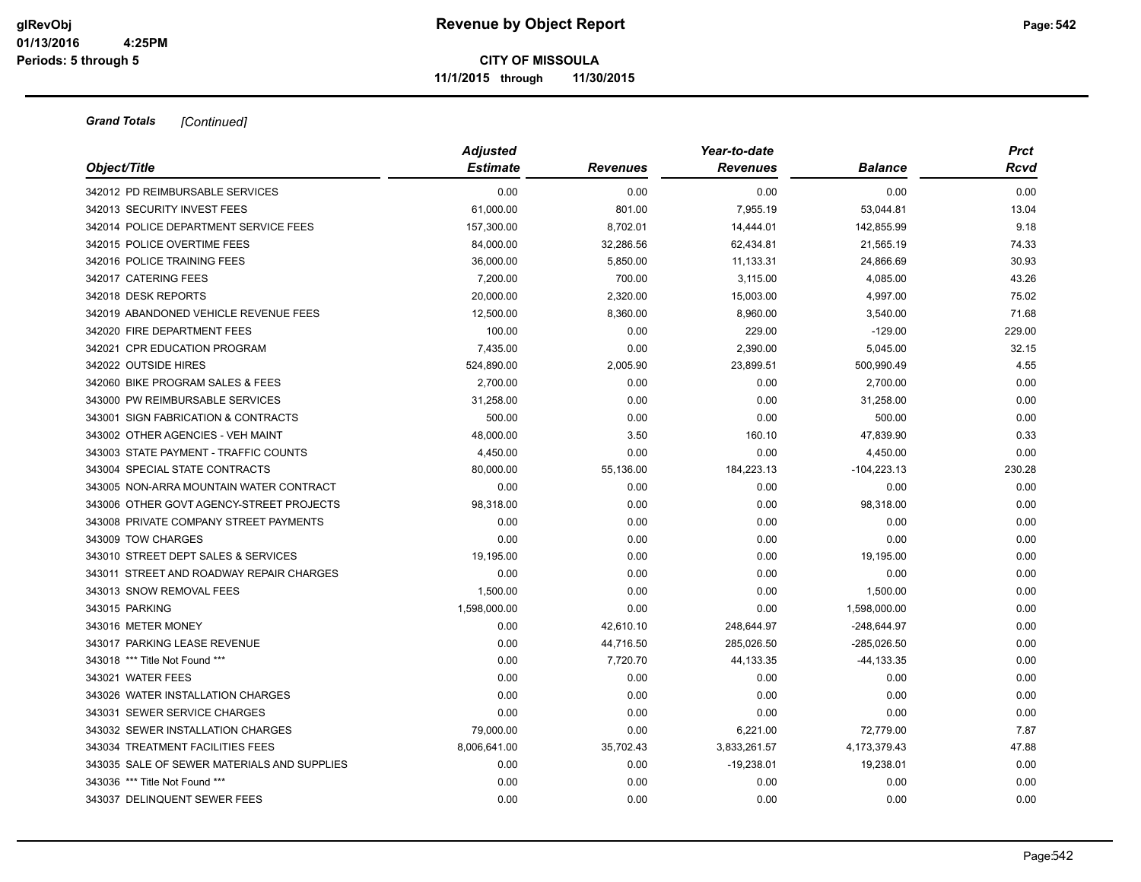**11/1/2015 through 11/30/2015**

| Object/Title                                | <b>Adjusted</b><br><b>Estimate</b> | <b>Revenues</b>    | Year-to-date<br><b>Revenues</b> | <b>Balance</b> | <b>Prct</b><br>Rcvd |
|---------------------------------------------|------------------------------------|--------------------|---------------------------------|----------------|---------------------|
| 342012 PD REIMBURSABLE SERVICES             | 0.00                               | 0.00               | 0.00                            | 0.00           | 0.00                |
| 342013 SECURITY INVEST FEES                 | 61,000.00                          | 801.00             | 7,955.19                        | 53,044.81      | 13.04               |
| 342014 POLICE DEPARTMENT SERVICE FEES       |                                    | 8,702.01           |                                 |                | 9.18                |
| 342015 POLICE OVERTIME FEES                 | 157,300.00<br>84,000.00            | 32,286.56          | 14,444.01<br>62,434.81          | 142,855.99     | 74.33               |
| 342016 POLICE TRAINING FEES                 |                                    |                    |                                 | 21,565.19      |                     |
| 342017 CATERING FEES                        | 36,000.00                          | 5,850.00<br>700.00 | 11,133.31                       | 24,866.69      | 30.93               |
|                                             | 7,200.00                           |                    | 3,115.00                        | 4,085.00       | 43.26               |
| 342018 DESK REPORTS                         | 20,000.00                          | 2,320.00           | 15,003.00                       | 4,997.00       | 75.02               |
| 342019 ABANDONED VEHICLE REVENUE FEES       | 12,500.00                          | 8,360.00           | 8,960.00                        | 3,540.00       | 71.68               |
| 342020 FIRE DEPARTMENT FEES                 | 100.00                             | 0.00               | 229.00                          | $-129.00$      | 229.00              |
| 342021 CPR EDUCATION PROGRAM                | 7,435.00                           | 0.00               | 2,390.00                        | 5,045.00       | 32.15               |
| 342022 OUTSIDE HIRES                        | 524,890.00                         | 2,005.90           | 23,899.51                       | 500,990.49     | 4.55                |
| 342060 BIKE PROGRAM SALES & FEES            | 2,700.00                           | 0.00               | 0.00                            | 2,700.00       | 0.00                |
| 343000 PW REIMBURSABLE SERVICES             | 31,258.00                          | 0.00               | 0.00                            | 31,258.00      | 0.00                |
| 343001 SIGN FABRICATION & CONTRACTS         | 500.00                             | 0.00               | 0.00                            | 500.00         | 0.00                |
| 343002 OTHER AGENCIES - VEH MAINT           | 48,000.00                          | 3.50               | 160.10                          | 47,839.90      | 0.33                |
| 343003 STATE PAYMENT - TRAFFIC COUNTS       | 4,450.00                           | 0.00               | 0.00                            | 4,450.00       | 0.00                |
| 343004 SPECIAL STATE CONTRACTS              | 80,000.00                          | 55,136.00          | 184,223.13                      | $-104,223.13$  | 230.28              |
| 343005 NON-ARRA MOUNTAIN WATER CONTRACT     | 0.00                               | 0.00               | 0.00                            | 0.00           | 0.00                |
| 343006 OTHER GOVT AGENCY-STREET PROJECTS    | 98,318.00                          | 0.00               | 0.00                            | 98,318.00      | 0.00                |
| 343008 PRIVATE COMPANY STREET PAYMENTS      | 0.00                               | 0.00               | 0.00                            | 0.00           | 0.00                |
| 343009 TOW CHARGES                          | 0.00                               | 0.00               | 0.00                            | 0.00           | 0.00                |
| 343010 STREET DEPT SALES & SERVICES         | 19,195.00                          | 0.00               | 0.00                            | 19,195.00      | 0.00                |
| 343011 STREET AND ROADWAY REPAIR CHARGES    | 0.00                               | 0.00               | 0.00                            | 0.00           | 0.00                |
| 343013 SNOW REMOVAL FEES                    | 1,500.00                           | 0.00               | 0.00                            | 1,500.00       | 0.00                |
| 343015 PARKING                              | 1,598,000.00                       | 0.00               | 0.00                            | 1,598,000.00   | 0.00                |
| 343016 METER MONEY                          | 0.00                               | 42,610.10          | 248,644.97                      | $-248,644.97$  | 0.00                |
| 343017 PARKING LEASE REVENUE                | 0.00                               | 44,716.50          | 285,026.50                      | $-285,026.50$  | 0.00                |
| 343018 *** Title Not Found ***              | 0.00                               | 7,720.70           | 44,133.35                       | $-44, 133.35$  | 0.00                |
| 343021 WATER FEES                           | 0.00                               | 0.00               | 0.00                            | 0.00           | 0.00                |
| 343026 WATER INSTALLATION CHARGES           | 0.00                               | 0.00               | 0.00                            | 0.00           | 0.00                |
| 343031 SEWER SERVICE CHARGES                | 0.00                               | 0.00               | 0.00                            | 0.00           | 0.00                |
| 343032 SEWER INSTALLATION CHARGES           | 79,000.00                          | 0.00               | 6,221.00                        | 72,779.00      | 7.87                |
| 343034 TREATMENT FACILITIES FEES            | 8,006,641.00                       | 35,702.43          | 3,833,261.57                    | 4,173,379.43   | 47.88               |
| 343035 SALE OF SEWER MATERIALS AND SUPPLIES | 0.00                               | 0.00               | $-19,238.01$                    | 19,238.01      | 0.00                |
| 343036 *** Title Not Found ***              | 0.00                               | 0.00               | 0.00                            | 0.00           | 0.00                |
| 343037 DELINQUENT SEWER FEES                | 0.00                               | 0.00               | 0.00                            | 0.00           | 0.00                |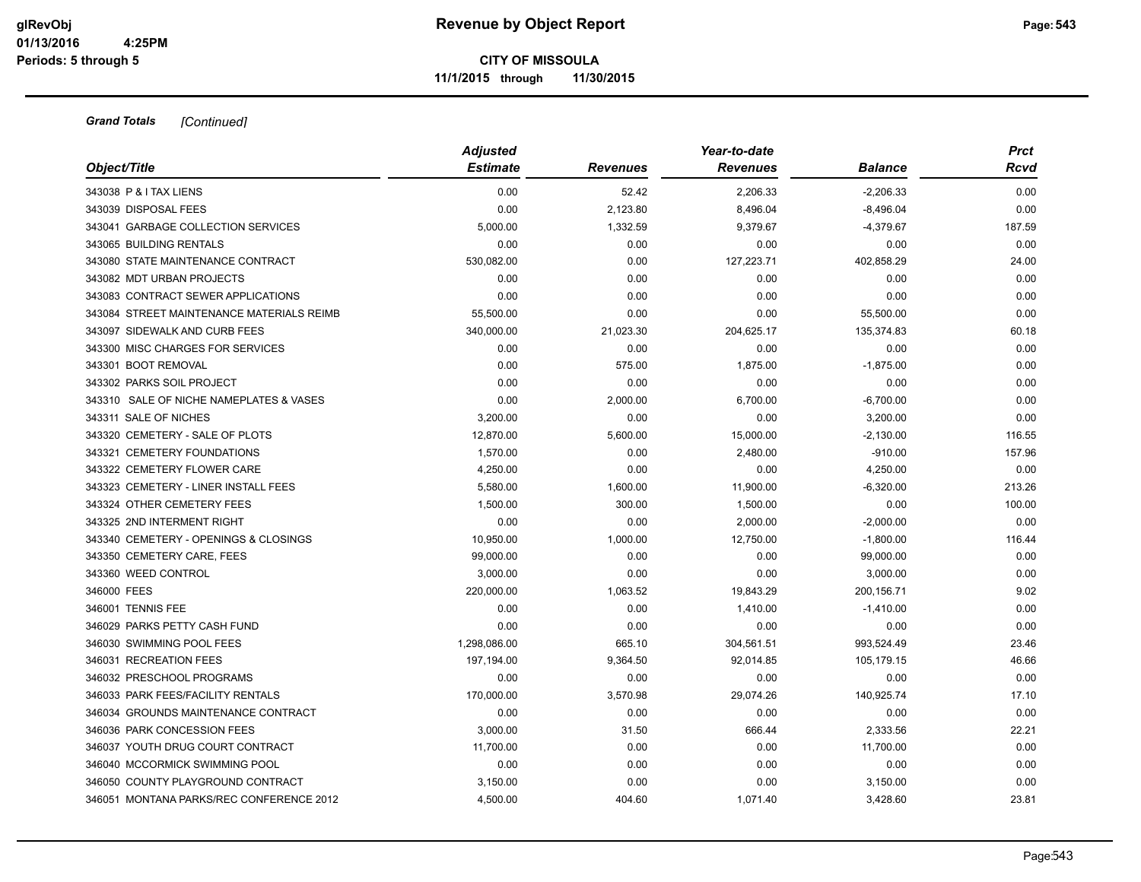**11/1/2015 through 11/30/2015**

| Object/Title                              | <b>Adjusted</b><br><b>Estimate</b> | Revenues  | Year-to-date<br><b>Revenues</b> | <b>Balance</b> | <b>Prct</b><br>Rcvd |
|-------------------------------------------|------------------------------------|-----------|---------------------------------|----------------|---------------------|
| 343038 P & I TAX LIENS                    | 0.00                               | 52.42     | 2,206.33                        | $-2,206.33$    | 0.00                |
| 343039 DISPOSAL FEES                      | 0.00                               | 2,123.80  | 8,496.04                        | $-8,496.04$    | 0.00                |
| 343041 GARBAGE COLLECTION SERVICES        | 5,000.00                           | 1,332.59  | 9,379.67                        | $-4,379.67$    | 187.59              |
| 343065 BUILDING RENTALS                   | 0.00                               | 0.00      | 0.00                            | 0.00           | 0.00                |
| 343080 STATE MAINTENANCE CONTRACT         | 530,082.00                         | 0.00      | 127,223.71                      | 402,858.29     | 24.00               |
| 343082 MDT URBAN PROJECTS                 | 0.00                               | 0.00      | 0.00                            | 0.00           | 0.00                |
| 343083 CONTRACT SEWER APPLICATIONS        | 0.00                               | 0.00      | 0.00                            | 0.00           | 0.00                |
| 343084 STREET MAINTENANCE MATERIALS REIMB | 55,500.00                          | 0.00      | 0.00                            | 55,500.00      | 0.00                |
| 343097 SIDEWALK AND CURB FEES             | 340,000.00                         | 21,023.30 | 204,625.17                      | 135,374.83     | 60.18               |
| 343300 MISC CHARGES FOR SERVICES          | 0.00                               | 0.00      | 0.00                            | 0.00           | 0.00                |
| 343301 BOOT REMOVAL                       | 0.00                               | 575.00    | 1,875.00                        | $-1,875.00$    | 0.00                |
| 343302 PARKS SOIL PROJECT                 | 0.00                               | 0.00      | 0.00                            | 0.00           | 0.00                |
| 343310 SALE OF NICHE NAMEPLATES & VASES   | 0.00                               | 2,000.00  | 6,700.00                        | $-6,700.00$    | 0.00                |
| 343311 SALE OF NICHES                     | 3,200.00                           | 0.00      | 0.00                            | 3,200.00       | 0.00                |
| 343320 CEMETERY - SALE OF PLOTS           | 12,870.00                          | 5,600.00  | 15,000.00                       | $-2,130.00$    | 116.55              |
| 343321 CEMETERY FOUNDATIONS               | 1,570.00                           | 0.00      | 2,480.00                        | $-910.00$      | 157.96              |
| 343322 CEMETERY FLOWER CARE               | 4,250.00                           | 0.00      | 0.00                            | 4,250.00       | 0.00                |
| 343323 CEMETERY - LINER INSTALL FEES      | 5,580.00                           | 1,600.00  | 11,900.00                       | $-6,320.00$    | 213.26              |
| 343324 OTHER CEMETERY FEES                | 1,500.00                           | 300.00    | 1,500.00                        | 0.00           | 100.00              |
| 343325 2ND INTERMENT RIGHT                | 0.00                               | 0.00      | 2,000.00                        | $-2,000.00$    | 0.00                |
| 343340 CEMETERY - OPENINGS & CLOSINGS     | 10,950.00                          | 1,000.00  | 12,750.00                       | $-1,800.00$    | 116.44              |
| 343350 CEMETERY CARE, FEES                | 99,000.00                          | 0.00      | 0.00                            | 99,000.00      | 0.00                |
| 343360 WEED CONTROL                       | 3,000.00                           | 0.00      | 0.00                            | 3,000.00       | 0.00                |
| 346000 FEES                               | 220,000.00                         | 1,063.52  | 19,843.29                       | 200,156.71     | 9.02                |
| 346001 TENNIS FEE                         | 0.00                               | 0.00      | 1,410.00                        | $-1,410.00$    | 0.00                |
| 346029 PARKS PETTY CASH FUND              | 0.00                               | 0.00      | 0.00                            | 0.00           | 0.00                |
| 346030 SWIMMING POOL FEES                 | 1,298,086.00                       | 665.10    | 304,561.51                      | 993,524.49     | 23.46               |
| 346031 RECREATION FEES                    | 197,194.00                         | 9,364.50  | 92,014.85                       | 105,179.15     | 46.66               |
| 346032 PRESCHOOL PROGRAMS                 | 0.00                               | 0.00      | 0.00                            | 0.00           | 0.00                |
| 346033 PARK FEES/FACILITY RENTALS         | 170,000.00                         | 3,570.98  | 29,074.26                       | 140,925.74     | 17.10               |
| 346034 GROUNDS MAINTENANCE CONTRACT       | 0.00                               | 0.00      | 0.00                            | 0.00           | 0.00                |
| 346036 PARK CONCESSION FEES               | 3,000.00                           | 31.50     | 666.44                          | 2,333.56       | 22.21               |
| 346037 YOUTH DRUG COURT CONTRACT          | 11,700.00                          | 0.00      | 0.00                            | 11,700.00      | 0.00                |
| 346040 MCCORMICK SWIMMING POOL            | 0.00                               | 0.00      | 0.00                            | 0.00           | 0.00                |
| 346050 COUNTY PLAYGROUND CONTRACT         | 3,150.00                           | 0.00      | 0.00                            | 3,150.00       | 0.00                |
| 346051 MONTANA PARKS/REC CONFERENCE 2012  | 4,500.00                           | 404.60    | 1,071.40                        | 3,428.60       | 23.81               |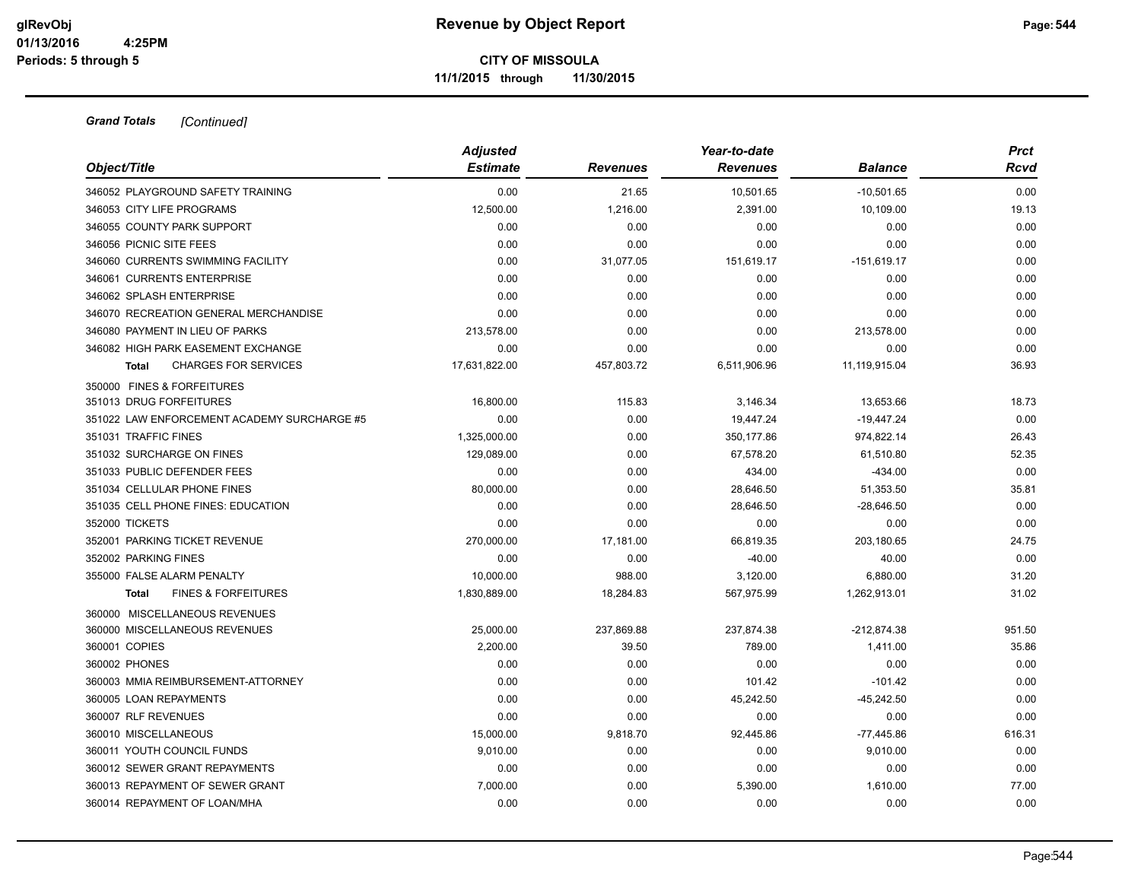**11/1/2015 through 11/30/2015**

|                                                | <b>Adjusted</b> | <b>Revenues</b> | Year-to-date    |                | <b>Prct</b> |
|------------------------------------------------|-----------------|-----------------|-----------------|----------------|-------------|
| Object/Title                                   | <b>Estimate</b> |                 | <b>Revenues</b> | <b>Balance</b> | Rcvd        |
| 346052 PLAYGROUND SAFETY TRAINING              | 0.00            | 21.65           | 10,501.65       | $-10,501.65$   | 0.00        |
| 346053 CITY LIFE PROGRAMS                      | 12,500.00       | 1,216.00        | 2,391.00        | 10,109.00      | 19.13       |
| 346055 COUNTY PARK SUPPORT                     | 0.00            | 0.00            | 0.00            | 0.00           | 0.00        |
| 346056 PICNIC SITE FEES                        | 0.00            | 0.00            | 0.00            | 0.00           | 0.00        |
| 346060 CURRENTS SWIMMING FACILITY              | 0.00            | 31,077.05       | 151,619.17      | $-151,619.17$  | 0.00        |
| 346061 CURRENTS ENTERPRISE                     | 0.00            | 0.00            | 0.00            | 0.00           | 0.00        |
| 346062 SPLASH ENTERPRISE                       | 0.00            | 0.00            | 0.00            | 0.00           | 0.00        |
| 346070 RECREATION GENERAL MERCHANDISE          | 0.00            | 0.00            | 0.00            | 0.00           | 0.00        |
| 346080 PAYMENT IN LIEU OF PARKS                | 213,578.00      | 0.00            | 0.00            | 213,578.00     | 0.00        |
| 346082 HIGH PARK EASEMENT EXCHANGE             | 0.00            | 0.00            | 0.00            | 0.00           | 0.00        |
| <b>CHARGES FOR SERVICES</b><br>Total           | 17,631,822.00   | 457,803.72      | 6,511,906.96    | 11,119,915.04  | 36.93       |
| 350000 FINES & FORFEITURES                     |                 |                 |                 |                |             |
| 351013 DRUG FORFEITURES                        | 16,800.00       | 115.83          | 3,146.34        | 13,653.66      | 18.73       |
| 351022 LAW ENFORCEMENT ACADEMY SURCHARGE #5    | 0.00            | 0.00            | 19,447.24       | $-19,447.24$   | 0.00        |
| 351031 TRAFFIC FINES                           | 1,325,000.00    | 0.00            | 350,177.86      | 974,822.14     | 26.43       |
| 351032 SURCHARGE ON FINES                      | 129,089.00      | 0.00            | 67,578.20       | 61,510.80      | 52.35       |
| 351033 PUBLIC DEFENDER FEES                    | 0.00            | 0.00            | 434.00          | $-434.00$      | 0.00        |
| 351034 CELLULAR PHONE FINES                    | 80,000.00       | 0.00            | 28,646.50       | 51,353.50      | 35.81       |
| 351035 CELL PHONE FINES: EDUCATION             | 0.00            | 0.00            | 28,646.50       | $-28,646.50$   | 0.00        |
| 352000 TICKETS                                 | 0.00            | 0.00            | 0.00            | 0.00           | 0.00        |
| 352001 PARKING TICKET REVENUE                  | 270,000.00      | 17,181.00       | 66,819.35       | 203,180.65     | 24.75       |
| 352002 PARKING FINES                           | 0.00            | 0.00            | $-40.00$        | 40.00          | 0.00        |
| 355000 FALSE ALARM PENALTY                     | 10,000.00       | 988.00          | 3,120.00        | 6,880.00       | 31.20       |
| <b>FINES &amp; FORFEITURES</b><br><b>Total</b> | 1,830,889.00    | 18,284.83       | 567,975.99      | 1,262,913.01   | 31.02       |
| 360000 MISCELLANEOUS REVENUES                  |                 |                 |                 |                |             |
| 360000 MISCELLANEOUS REVENUES                  | 25,000.00       | 237,869.88      | 237,874.38      | $-212,874.38$  | 951.50      |
| 360001 COPIES                                  | 2,200.00        | 39.50           | 789.00          | 1,411.00       | 35.86       |
| 360002 PHONES                                  | 0.00            | 0.00            | 0.00            | 0.00           | 0.00        |
| 360003 MMIA REIMBURSEMENT-ATTORNEY             | 0.00            | 0.00            | 101.42          | $-101.42$      | 0.00        |
| 360005 LOAN REPAYMENTS                         | 0.00            | 0.00            | 45,242.50       | $-45,242.50$   | 0.00        |
| 360007 RLF REVENUES                            | 0.00            | 0.00            | 0.00            | 0.00           | 0.00        |
| 360010 MISCELLANEOUS                           | 15,000.00       | 9,818.70        | 92,445.86       | $-77,445.86$   | 616.31      |
| 360011 YOUTH COUNCIL FUNDS                     | 9,010.00        | 0.00            | 0.00            | 9,010.00       | 0.00        |
| 360012 SEWER GRANT REPAYMENTS                  | 0.00            | 0.00            | 0.00            | 0.00           | 0.00        |
| 360013 REPAYMENT OF SEWER GRANT                | 7,000.00        | 0.00            | 5,390.00        | 1,610.00       | 77.00       |
| 360014 REPAYMENT OF LOAN/MHA                   | 0.00            | 0.00            | 0.00            | 0.00           | 0.00        |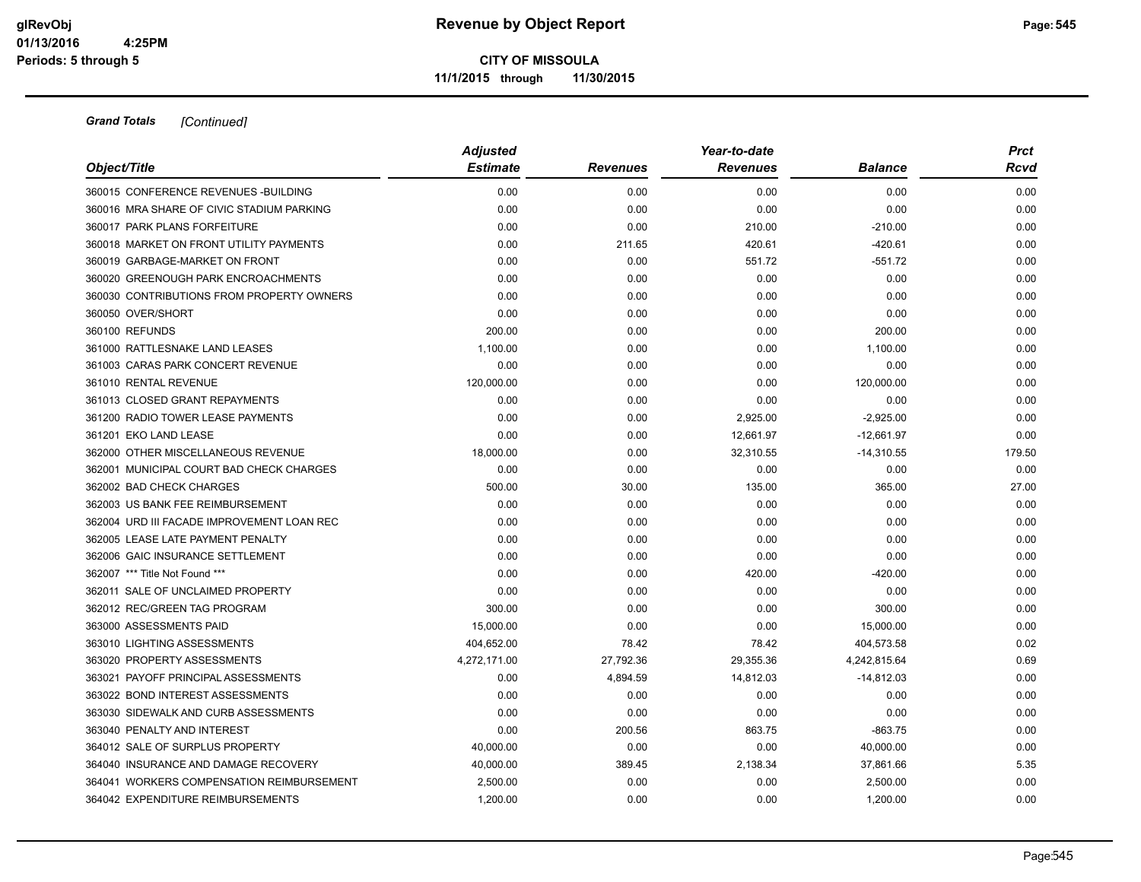**11/1/2015 through 11/30/2015**

|                                            | <b>Adjusted</b> |                 | Year-to-date    |                |        |  |  |
|--------------------------------------------|-----------------|-----------------|-----------------|----------------|--------|--|--|
| Object/Title                               | <b>Estimate</b> | <b>Revenues</b> | <b>Revenues</b> | <b>Balance</b> | Rcvd   |  |  |
| 360015 CONFERENCE REVENUES - BUILDING      | 0.00            | 0.00            | 0.00            | 0.00           | 0.00   |  |  |
| 360016 MRA SHARE OF CIVIC STADIUM PARKING  | 0.00            | 0.00            | 0.00            | 0.00           | 0.00   |  |  |
| 360017 PARK PLANS FORFEITURE               | 0.00            | 0.00            | 210.00          | $-210.00$      | 0.00   |  |  |
| 360018 MARKET ON FRONT UTILITY PAYMENTS    | 0.00            | 211.65          | 420.61          | $-420.61$      | 0.00   |  |  |
| 360019 GARBAGE-MARKET ON FRONT             | 0.00            | 0.00            | 551.72          | $-551.72$      | 0.00   |  |  |
| 360020 GREENOUGH PARK ENCROACHMENTS        | 0.00            | 0.00            | 0.00            | 0.00           | 0.00   |  |  |
| 360030 CONTRIBUTIONS FROM PROPERTY OWNERS  | 0.00            | 0.00            | 0.00            | 0.00           | 0.00   |  |  |
| 360050 OVER/SHORT                          | 0.00            | 0.00            | 0.00            | 0.00           | 0.00   |  |  |
| 360100 REFUNDS                             | 200.00          | 0.00            | 0.00            | 200.00         | 0.00   |  |  |
| 361000 RATTLESNAKE LAND LEASES             | 1,100.00        | 0.00            | 0.00            | 1,100.00       | 0.00   |  |  |
| 361003 CARAS PARK CONCERT REVENUE          | 0.00            | 0.00            | 0.00            | 0.00           | 0.00   |  |  |
| 361010 RENTAL REVENUE                      | 120,000.00      | 0.00            | 0.00            | 120,000.00     | 0.00   |  |  |
| 361013 CLOSED GRANT REPAYMENTS             | 0.00            | 0.00            | 0.00            | 0.00           | 0.00   |  |  |
| 361200 RADIO TOWER LEASE PAYMENTS          | 0.00            | 0.00            | 2,925.00        | $-2,925.00$    | 0.00   |  |  |
| 361201 EKO LAND LEASE                      | 0.00            | 0.00            | 12,661.97       | $-12,661.97$   | 0.00   |  |  |
| 362000 OTHER MISCELLANEOUS REVENUE         | 18,000.00       | 0.00            | 32,310.55       | $-14,310.55$   | 179.50 |  |  |
| 362001 MUNICIPAL COURT BAD CHECK CHARGES   | 0.00            | 0.00            | 0.00            | 0.00           | 0.00   |  |  |
| 362002 BAD CHECK CHARGES                   | 500.00          | 30.00           | 135.00          | 365.00         | 27.00  |  |  |
| 362003 US BANK FEE REIMBURSEMENT           | 0.00            | 0.00            | 0.00            | 0.00           | 0.00   |  |  |
| 362004 URD III FACADE IMPROVEMENT LOAN REC | 0.00            | 0.00            | 0.00            | 0.00           | 0.00   |  |  |
| 362005 LEASE LATE PAYMENT PENALTY          | 0.00            | 0.00            | 0.00            | 0.00           | 0.00   |  |  |
| 362006 GAIC INSURANCE SETTLEMENT           | 0.00            | 0.00            | 0.00            | 0.00           | 0.00   |  |  |
| 362007 *** Title Not Found ***             | 0.00            | 0.00            | 420.00          | $-420.00$      | 0.00   |  |  |
| 362011 SALE OF UNCLAIMED PROPERTY          | 0.00            | 0.00            | 0.00            | 0.00           | 0.00   |  |  |
| 362012 REC/GREEN TAG PROGRAM               | 300.00          | 0.00            | 0.00            | 300.00         | 0.00   |  |  |
| 363000 ASSESSMENTS PAID                    | 15,000.00       | 0.00            | 0.00            | 15,000.00      | 0.00   |  |  |
| 363010 LIGHTING ASSESSMENTS                | 404,652.00      | 78.42           | 78.42           | 404,573.58     | 0.02   |  |  |
| 363020 PROPERTY ASSESSMENTS                | 4,272,171.00    | 27,792.36       | 29,355.36       | 4,242,815.64   | 0.69   |  |  |
| 363021 PAYOFF PRINCIPAL ASSESSMENTS        | 0.00            | 4,894.59        | 14,812.03       | $-14,812.03$   | 0.00   |  |  |
| 363022 BOND INTEREST ASSESSMENTS           | 0.00            | 0.00            | 0.00            | 0.00           | 0.00   |  |  |
| 363030 SIDEWALK AND CURB ASSESSMENTS       | 0.00            | 0.00            | 0.00            | 0.00           | 0.00   |  |  |
| 363040 PENALTY AND INTEREST                | 0.00            | 200.56          | 863.75          | $-863.75$      | 0.00   |  |  |
| 364012 SALE OF SURPLUS PROPERTY            | 40,000.00       | 0.00            | 0.00            | 40,000.00      | 0.00   |  |  |
| 364040 INSURANCE AND DAMAGE RECOVERY       | 40,000.00       | 389.45          | 2,138.34        | 37,861.66      | 5.35   |  |  |
| 364041 WORKERS COMPENSATION REIMBURSEMENT  | 2,500.00        | 0.00            | 0.00            | 2,500.00       | 0.00   |  |  |
| 364042 EXPENDITURE REIMBURSEMENTS          | 1,200.00        | 0.00            | 0.00            | 1,200.00       | 0.00   |  |  |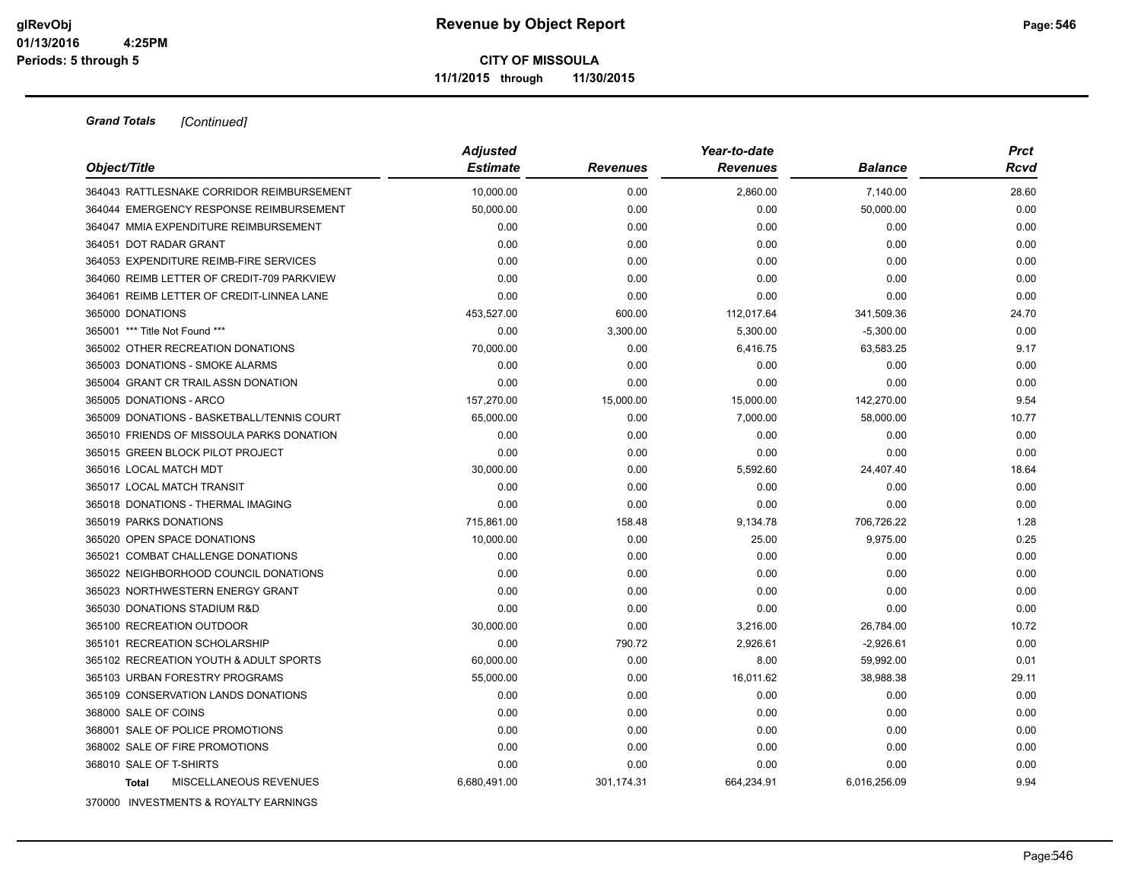#### **CITY OF MISSOULA 11/1/2015 through 11/30/2015**

|                                            | <b>Adjusted</b> |            | Year-to-date    |                |       |  |
|--------------------------------------------|-----------------|------------|-----------------|----------------|-------|--|
| Object/Title                               | <b>Estimate</b> | Revenues   | <b>Revenues</b> | <b>Balance</b> | Rcvd  |  |
| 364043 RATTLESNAKE CORRIDOR REIMBURSEMENT  | 10,000.00       | 0.00       | 2,860.00        | 7,140.00       | 28.60 |  |
| 364044 EMERGENCY RESPONSE REIMBURSEMENT    | 50.000.00       | 0.00       | 0.00            | 50,000.00      | 0.00  |  |
| 364047 MMIA EXPENDITURE REIMBURSEMENT      | 0.00            | 0.00       | 0.00            | 0.00           | 0.00  |  |
| 364051 DOT RADAR GRANT                     | 0.00            | 0.00       | 0.00            | 0.00           | 0.00  |  |
| 364053 EXPENDITURE REIMB-FIRE SERVICES     | 0.00            | 0.00       | 0.00            | 0.00           | 0.00  |  |
| 364060 REIMB LETTER OF CREDIT-709 PARKVIEW | 0.00            | 0.00       | 0.00            | 0.00           | 0.00  |  |
| 364061 REIMB LETTER OF CREDIT-LINNEA LANE  | 0.00            | 0.00       | 0.00            | 0.00           | 0.00  |  |
| 365000 DONATIONS                           | 453,527.00      | 600.00     | 112,017.64      | 341,509.36     | 24.70 |  |
| 365001 *** Title Not Found ***             | 0.00            | 3,300.00   | 5,300.00        | $-5,300.00$    | 0.00  |  |
| 365002 OTHER RECREATION DONATIONS          | 70,000.00       | 0.00       | 6,416.75        | 63,583.25      | 9.17  |  |
| 365003 DONATIONS - SMOKE ALARMS            | 0.00            | 0.00       | 0.00            | 0.00           | 0.00  |  |
| 365004 GRANT CR TRAIL ASSN DONATION        | 0.00            | 0.00       | 0.00            | 0.00           | 0.00  |  |
| 365005 DONATIONS - ARCO                    | 157,270.00      | 15,000.00  | 15,000.00       | 142,270.00     | 9.54  |  |
| 365009 DONATIONS - BASKETBALL/TENNIS COURT | 65,000.00       | 0.00       | 7,000.00        | 58,000.00      | 10.77 |  |
| 365010 FRIENDS OF MISSOULA PARKS DONATION  | 0.00            | 0.00       | 0.00            | 0.00           | 0.00  |  |
| 365015 GREEN BLOCK PILOT PROJECT           | 0.00            | 0.00       | 0.00            | 0.00           | 0.00  |  |
| 365016 LOCAL MATCH MDT                     | 30,000.00       | 0.00       | 5,592.60        | 24,407.40      | 18.64 |  |
| 365017 LOCAL MATCH TRANSIT                 | 0.00            | 0.00       | 0.00            | 0.00           | 0.00  |  |
| 365018 DONATIONS - THERMAL IMAGING         | 0.00            | 0.00       | 0.00            | 0.00           | 0.00  |  |
| 365019 PARKS DONATIONS                     | 715,861.00      | 158.48     | 9,134.78        | 706,726.22     | 1.28  |  |
| 365020 OPEN SPACE DONATIONS                | 10.000.00       | 0.00       | 25.00           | 9,975.00       | 0.25  |  |
| 365021 COMBAT CHALLENGE DONATIONS          | 0.00            | 0.00       | 0.00            | 0.00           | 0.00  |  |
| 365022 NEIGHBORHOOD COUNCIL DONATIONS      | 0.00            | 0.00       | 0.00            | 0.00           | 0.00  |  |
| 365023 NORTHWESTERN ENERGY GRANT           | 0.00            | 0.00       | 0.00            | 0.00           | 0.00  |  |
| 365030 DONATIONS STADIUM R&D               | 0.00            | 0.00       | 0.00            | 0.00           | 0.00  |  |
| 365100 RECREATION OUTDOOR                  | 30,000.00       | 0.00       | 3,216.00        | 26,784.00      | 10.72 |  |
| 365101 RECREATION SCHOLARSHIP              | 0.00            | 790.72     | 2,926.61        | $-2,926.61$    | 0.00  |  |
| 365102 RECREATION YOUTH & ADULT SPORTS     | 60,000.00       | 0.00       | 8.00            | 59,992.00      | 0.01  |  |
| 365103 URBAN FORESTRY PROGRAMS             | 55,000.00       | 0.00       | 16,011.62       | 38,988.38      | 29.11 |  |
| 365109 CONSERVATION LANDS DONATIONS        | 0.00            | 0.00       | 0.00            | 0.00           | 0.00  |  |
| 368000 SALE OF COINS                       | 0.00            | 0.00       | 0.00            | 0.00           | 0.00  |  |
| 368001 SALE OF POLICE PROMOTIONS           | 0.00            | 0.00       | 0.00            | 0.00           | 0.00  |  |
| 368002 SALE OF FIRE PROMOTIONS             | 0.00            | 0.00       | 0.00            | 0.00           | 0.00  |  |
| 368010 SALE OF T-SHIRTS                    | 0.00            | 0.00       | 0.00            | 0.00           | 0.00  |  |
| MISCELLANEOUS REVENUES<br><b>Total</b>     | 6,680,491.00    | 301,174.31 | 664,234.91      | 6,016,256.09   | 9.94  |  |
| 370000 INVESTMENTS & ROYALTY EARNINGS      |                 |            |                 |                |       |  |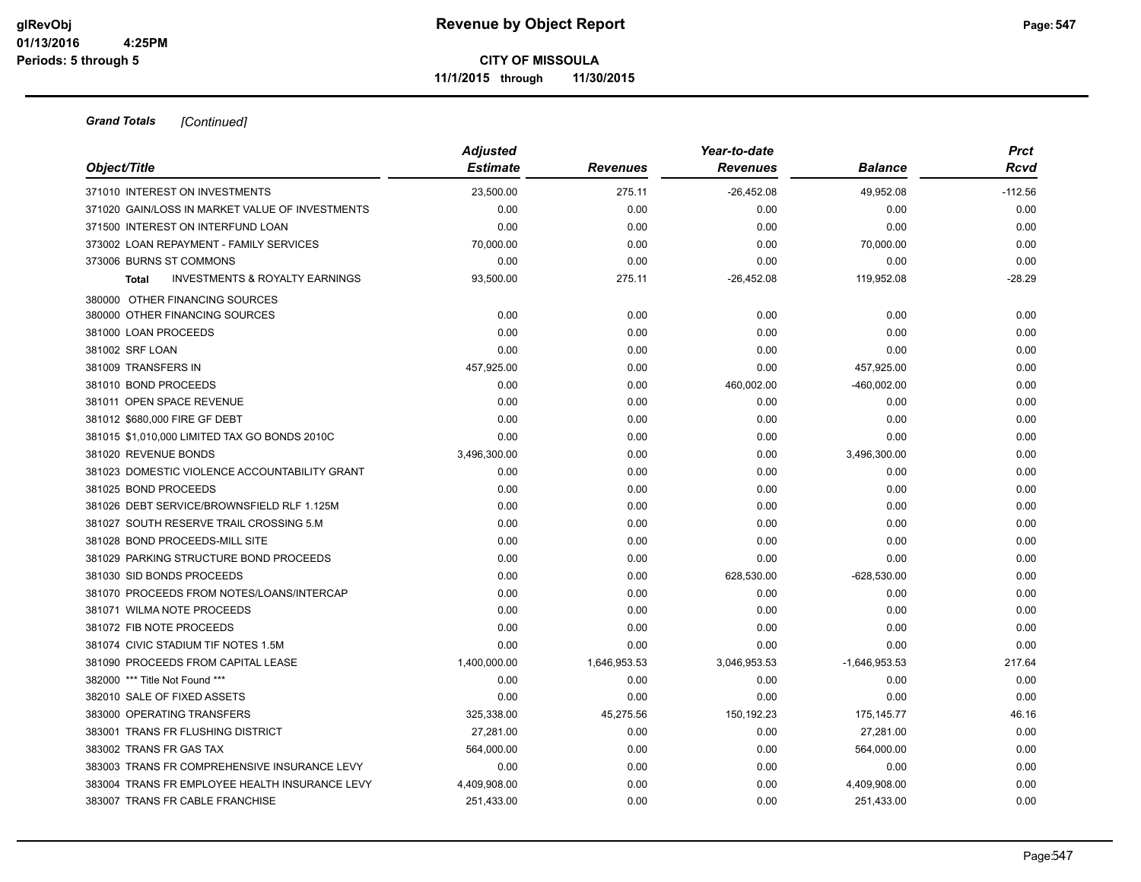**11/1/2015 through 11/30/2015**

|                                                           | <b>Adjusted</b> |                 | Year-to-date    | <b>Prct</b>     |           |
|-----------------------------------------------------------|-----------------|-----------------|-----------------|-----------------|-----------|
| Object/Title                                              | <b>Estimate</b> | <b>Revenues</b> | <b>Revenues</b> | <b>Balance</b>  | Rcvd      |
| 371010 INTEREST ON INVESTMENTS                            | 23.500.00       | 275.11          | $-26,452.08$    | 49,952.08       | $-112.56$ |
| 371020 GAIN/LOSS IN MARKET VALUE OF INVESTMENTS           | 0.00            | 0.00            | 0.00            | 0.00            | 0.00      |
| 371500 INTEREST ON INTERFUND LOAN                         | 0.00            | 0.00            | 0.00            | 0.00            | 0.00      |
| 373002 LOAN REPAYMENT - FAMILY SERVICES                   | 70,000.00       | 0.00            | 0.00            | 70,000.00       | 0.00      |
| 373006 BURNS ST COMMONS                                   | 0.00            | 0.00            | 0.00            | 0.00            | 0.00      |
| <b>INVESTMENTS &amp; ROYALTY EARNINGS</b><br><b>Total</b> | 93,500.00       | 275.11          | $-26,452.08$    | 119,952.08      | $-28.29$  |
| 380000 OTHER FINANCING SOURCES                            |                 |                 |                 |                 |           |
| 380000 OTHER FINANCING SOURCES                            | 0.00            | 0.00            | 0.00            | 0.00            | 0.00      |
| 381000 LOAN PROCEEDS                                      | 0.00            | 0.00            | 0.00            | 0.00            | 0.00      |
| 381002 SRF LOAN                                           | 0.00            | 0.00            | 0.00            | 0.00            | 0.00      |
| 381009 TRANSFERS IN                                       | 457,925.00      | 0.00            | 0.00            | 457,925.00      | 0.00      |
| 381010 BOND PROCEEDS                                      | 0.00            | 0.00            | 460,002.00      | $-460,002.00$   | 0.00      |
| 381011 OPEN SPACE REVENUE                                 | 0.00            | 0.00            | 0.00            | 0.00            | 0.00      |
| 381012 \$680,000 FIRE GF DEBT                             | 0.00            | 0.00            | 0.00            | 0.00            | 0.00      |
| 381015 \$1,010,000 LIMITED TAX GO BONDS 2010C             | 0.00            | 0.00            | 0.00            | 0.00            | 0.00      |
| 381020 REVENUE BONDS                                      | 3,496,300.00    | 0.00            | 0.00            | 3,496,300.00    | 0.00      |
| 381023 DOMESTIC VIOLENCE ACCOUNTABILITY GRANT             | 0.00            | 0.00            | 0.00            | 0.00            | 0.00      |
| 381025 BOND PROCEEDS                                      | 0.00            | 0.00            | 0.00            | 0.00            | 0.00      |
| 381026 DEBT SERVICE/BROWNSFIELD RLF 1.125M                | 0.00            | 0.00            | 0.00            | 0.00            | 0.00      |
| 381027 SOUTH RESERVE TRAIL CROSSING 5.M                   | 0.00            | 0.00            | 0.00            | 0.00            | 0.00      |
| 381028 BOND PROCEEDS-MILL SITE                            | 0.00            | 0.00            | 0.00            | 0.00            | 0.00      |
| 381029 PARKING STRUCTURE BOND PROCEEDS                    | 0.00            | 0.00            | 0.00            | 0.00            | 0.00      |
| 381030 SID BONDS PROCEEDS                                 | 0.00            | 0.00            | 628,530.00      | $-628,530.00$   | 0.00      |
| 381070 PROCEEDS FROM NOTES/LOANS/INTERCAP                 | 0.00            | 0.00            | 0.00            | 0.00            | 0.00      |
| 381071 WILMA NOTE PROCEEDS                                | 0.00            | 0.00            | 0.00            | 0.00            | 0.00      |
| 381072 FIB NOTE PROCEEDS                                  | 0.00            | 0.00            | 0.00            | 0.00            | 0.00      |
| 381074 CIVIC STADIUM TIF NOTES 1.5M                       | 0.00            | 0.00            | 0.00            | 0.00            | 0.00      |
| 381090 PROCEEDS FROM CAPITAL LEASE                        | 1,400,000.00    | 1,646,953.53    | 3,046,953.53    | $-1,646,953.53$ | 217.64    |
| 382000 *** Title Not Found ***                            | 0.00            | 0.00            | 0.00            | 0.00            | 0.00      |
| 382010 SALE OF FIXED ASSETS                               | 0.00            | 0.00            | 0.00            | 0.00            | 0.00      |
| 383000 OPERATING TRANSFERS                                | 325,338.00      | 45,275.56       | 150,192.23      | 175, 145. 77    | 46.16     |
| 383001 TRANS FR FLUSHING DISTRICT                         | 27.281.00       | 0.00            | 0.00            | 27,281.00       | 0.00      |
| 383002 TRANS FR GAS TAX                                   | 564,000.00      | 0.00            | 0.00            | 564,000.00      | 0.00      |
| 383003 TRANS FR COMPREHENSIVE INSURANCE LEVY              | 0.00            | 0.00            | 0.00            | 0.00            | 0.00      |
| 383004 TRANS FR EMPLOYEE HEALTH INSURANCE LEVY            | 4,409,908.00    | 0.00            | 0.00            | 4,409,908.00    | 0.00      |
| 383007 TRANS FR CABLE FRANCHISE                           | 251,433.00      | 0.00            | 0.00            | 251,433.00      | 0.00      |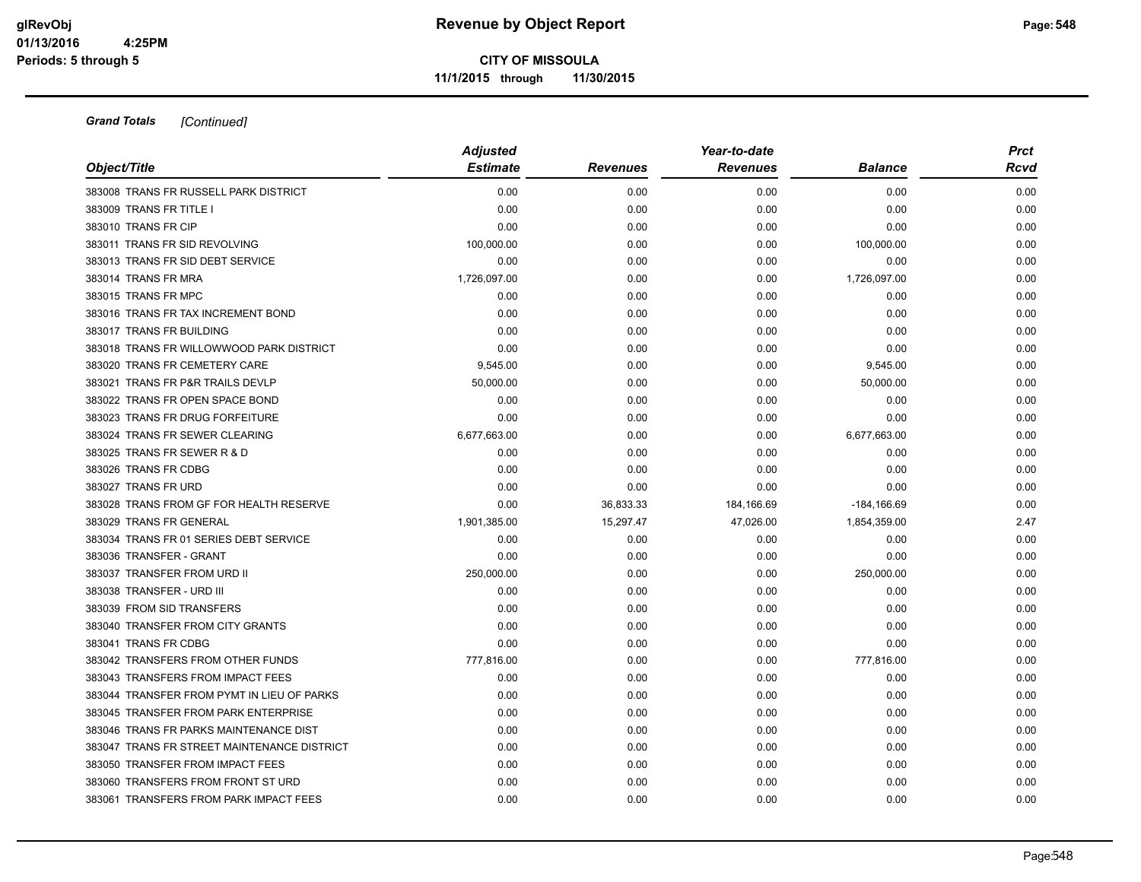**11/1/2015 through 11/30/2015**

|                                             | <b>Adjusted</b> |                 | <b>Prct</b>     |                |      |
|---------------------------------------------|-----------------|-----------------|-----------------|----------------|------|
| Object/Title                                | <b>Estimate</b> | <b>Revenues</b> | <b>Revenues</b> | <b>Balance</b> | Rcvd |
| 383008 TRANS FR RUSSELL PARK DISTRICT       | 0.00            | 0.00            | 0.00            | 0.00           | 0.00 |
| 383009 TRANS FR TITLE I                     | 0.00            | 0.00            | 0.00            | 0.00           | 0.00 |
| 383010 TRANS FR CIP                         | 0.00            | 0.00            | 0.00            | 0.00           | 0.00 |
| 383011 TRANS FR SID REVOLVING               | 100,000.00      | 0.00            | 0.00            | 100,000.00     | 0.00 |
| 383013 TRANS FR SID DEBT SERVICE            | 0.00            | 0.00            | 0.00            | 0.00           | 0.00 |
| 383014 TRANS FR MRA                         | 1,726,097.00    | 0.00            | 0.00            | 1,726,097.00   | 0.00 |
| 383015 TRANS FR MPC                         | 0.00            | 0.00            | 0.00            | 0.00           | 0.00 |
| 383016 TRANS FR TAX INCREMENT BOND          | 0.00            | 0.00            | 0.00            | 0.00           | 0.00 |
| 383017 TRANS FR BUILDING                    | 0.00            | 0.00            | 0.00            | 0.00           | 0.00 |
| 383018 TRANS FR WILLOWWOOD PARK DISTRICT    | 0.00            | 0.00            | 0.00            | 0.00           | 0.00 |
| 383020 TRANS FR CEMETERY CARE               | 9,545.00        | 0.00            | 0.00            | 9,545.00       | 0.00 |
| 383021 TRANS FR P&R TRAILS DEVLP            | 50,000.00       | 0.00            | 0.00            | 50,000.00      | 0.00 |
| 383022 TRANS FR OPEN SPACE BOND             | 0.00            | 0.00            | 0.00            | 0.00           | 0.00 |
| 383023 TRANS FR DRUG FORFEITURE             | 0.00            | 0.00            | 0.00            | 0.00           | 0.00 |
| 383024 TRANS FR SEWER CLEARING              | 6,677,663.00    | 0.00            | 0.00            | 6,677,663.00   | 0.00 |
| 383025 TRANS FR SEWER R & D                 | 0.00            | 0.00            | 0.00            | 0.00           | 0.00 |
| 383026 TRANS FR CDBG                        | 0.00            | 0.00            | 0.00            | 0.00           | 0.00 |
| 383027 TRANS FR URD                         | 0.00            | 0.00            | 0.00            | 0.00           | 0.00 |
| 383028 TRANS FROM GF FOR HEALTH RESERVE     | 0.00            | 36,833.33       | 184,166.69      | $-184, 166.69$ | 0.00 |
| 383029 TRANS FR GENERAL                     | 1,901,385.00    | 15,297.47       | 47,026.00       | 1,854,359.00   | 2.47 |
| 383034 TRANS FR 01 SERIES DEBT SERVICE      | 0.00            | 0.00            | 0.00            | 0.00           | 0.00 |
| 383036 TRANSFER - GRANT                     | 0.00            | 0.00            | 0.00            | 0.00           | 0.00 |
| 383037 TRANSFER FROM URD II                 | 250,000.00      | 0.00            | 0.00            | 250,000.00     | 0.00 |
| 383038 TRANSFER - URD III                   | 0.00            | 0.00            | 0.00            | 0.00           | 0.00 |
| 383039 FROM SID TRANSFERS                   | 0.00            | 0.00            | 0.00            | 0.00           | 0.00 |
| 383040 TRANSFER FROM CITY GRANTS            | 0.00            | 0.00            | 0.00            | 0.00           | 0.00 |
| 383041 TRANS FR CDBG                        | 0.00            | 0.00            | 0.00            | 0.00           | 0.00 |
| 383042 TRANSFERS FROM OTHER FUNDS           | 777,816.00      | 0.00            | 0.00            | 777,816.00     | 0.00 |
| 383043 TRANSFERS FROM IMPACT FEES           | 0.00            | 0.00            | 0.00            | 0.00           | 0.00 |
| 383044 TRANSFER FROM PYMT IN LIEU OF PARKS  | 0.00            | 0.00            | 0.00            | 0.00           | 0.00 |
| 383045 TRANSFER FROM PARK ENTERPRISE        | 0.00            | 0.00            | 0.00            | 0.00           | 0.00 |
| 383046 TRANS FR PARKS MAINTENANCE DIST      | 0.00            | 0.00            | 0.00            | 0.00           | 0.00 |
| 383047 TRANS FR STREET MAINTENANCE DISTRICT | 0.00            | 0.00            | 0.00            | 0.00           | 0.00 |
| 383050 TRANSFER FROM IMPACT FEES            | 0.00            | 0.00            | 0.00            | 0.00           | 0.00 |
| 383060 TRANSFERS FROM FRONT ST URD          | 0.00            | 0.00            | 0.00            | 0.00           | 0.00 |
| 383061 TRANSFERS FROM PARK IMPACT FEES      | 0.00            | 0.00            | 0.00            | 0.00           | 0.00 |